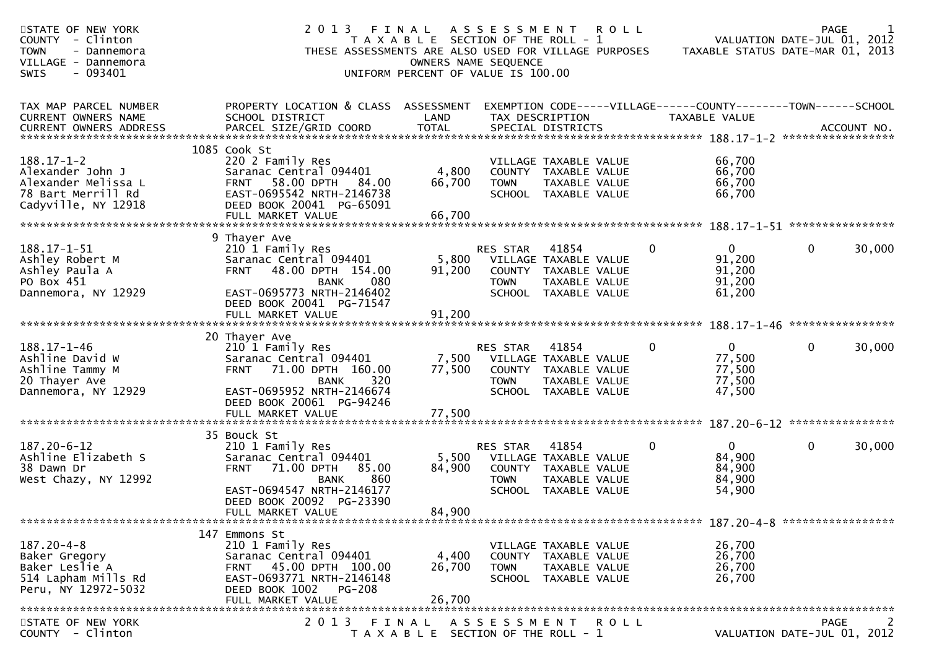| PROPERTY LOCATION & CLASS ASSESSMENT<br>EXEMPTION CODE-----VILLAGE------COUNTY-------TOWN------SCHOOL<br>SCHOOL DISTRICT<br>LAND<br>TAX DESCRIPTION<br>TAXABLE VALUE<br><b>TOTAL</b><br>CURRENT OWNERS ADDRESS<br>PARCEL SIZE/GRID COORD<br>SPECIAL DISTRICTS<br>ACCOUNT NO.<br>1085 Cook St<br>220 2 Family Res<br>66,700<br>VILLAGE TAXABLE VALUE<br>Alexander John J<br>Saranac Central 094401<br>4,800<br>COUNTY TAXABLE VALUE<br>66,700<br>Alexander Melissa L<br>58.00 DPTH 84.00<br>66,700<br>66,700<br><b>TOWN</b><br>TAXABLE VALUE<br><b>FRNT</b><br>66,700<br>78 Bart Merrill Rd<br>EAST-0695542 NRTH-2146738<br>SCHOOL TAXABLE VALUE<br>DEED BOOK 20041 PG-65091<br>FULL MARKET VALUE<br>66,700<br>9 Thayer Ave<br>30,000<br>210 1 Family Res<br>RES STAR<br>41854<br>0<br>$\overline{0}$<br>0<br>5,800<br>91,200<br>Ashley Robert M<br>Saranac Central 094401<br>VILLAGE TAXABLE VALUE<br>Ashley Paula A<br>48.00 DPTH 154.00<br>91,200<br>COUNTY TAXABLE VALUE<br>91,200<br><b>FRNT</b><br>PO Box 451<br>91,200<br>080<br>TAXABLE VALUE<br><b>BANK</b><br><b>TOWN</b><br>EAST-0695773 NRTH-2146402<br>61,200<br>Dannemora, NY 12929<br>SCHOOL TAXABLE VALUE<br>DEED BOOK 20041 PG-71547<br>FULL MARKET VALUE<br>91,200<br>20 Thayer Ave<br>41854<br>$\mathbf{0}$<br>$\mathbf 0$<br>30,000<br>210 1 Family Res<br>RES STAR<br>0<br>Ashline David W<br>Saranac Central 094401<br>7,500<br>77,500<br>VILLAGE TAXABLE VALUE<br>77,500<br>71.00 DPTH 160.00<br>77,500<br>Ashline Tammy M<br><b>FRNT</b><br>COUNTY TAXABLE VALUE<br>77,500<br>20 Thayer Ave<br>320<br><b>TOWN</b><br>TAXABLE VALUE<br><b>BANK</b><br>EAST-0695952 NRTH-2146674<br>SCHOOL TAXABLE VALUE<br>Dannemora, NY 12929<br>47,500<br>DEED BOOK 20061 PG-94246<br>FULL MARKET VALUE<br>77,500<br>35 Bouck St<br>41854<br>0<br>$\mathbf{0}$<br>$\mathbf 0$<br>30,000<br>210 1 Family Res<br>RES STAR<br>Ashline Elizabeth S<br>5,500<br>84,900<br>Saranac Central 094401<br>VILLAGE TAXABLE VALUE<br>84,900<br>38 Dawn Dr<br>71.00 DPTH<br>85.00<br>84,900<br><b>FRNT</b><br>COUNTY TAXABLE VALUE<br>84,900<br>West Chazy, NY 12992<br>860<br><b>TOWN</b><br>TAXABLE VALUE<br><b>BANK</b><br>54,900<br>EAST-0694547 NRTH-2146177<br>SCHOOL TAXABLE VALUE<br>DEED BOOK 20092 PG-23390<br>84,900<br>FULL MARKET VALUE<br>147 Emmons St<br>210 1 Family Res<br>26,700<br>VILLAGE TAXABLE VALUE<br>Saranac Central 094401<br>4,400<br>26,700<br>Baker Gregory<br>COUNTY TAXABLE VALUE<br>26,700<br>Baker Leslie A<br>FRNT 45.00 DPTH 100.00<br>26,700<br><b>TOWN</b><br>TAXABLE VALUE<br>514 Lapham Mills Rd<br>EAST-0693771 NRTH-2146148<br>26,700<br>SCHOOL TAXABLE VALUE<br>Peru, NY 12972-5032<br>DEED BOOK 1002 PG-208<br>FULL MARKET VALUE<br>26,700<br>STATE OF NEW YORK<br>2 0 1 3<br>A S S E S S M E N T<br>FINAL<br>R O L L<br>PAGE<br>$\mathcal{L}_{\mathcal{L}}$<br>COUNTY - Clinton<br>T A X A B L E SECTION OF THE ROLL - 1<br>VALUATION DATE-JUL 01, 2012 | STATE OF NEW YORK<br>- Clinton<br><b>COUNTY</b><br><b>TOWN</b><br>- Dannemora<br>VILLAGE - Dannemora<br>$-093401$<br><b>SWIS</b> | 2 0 1 3<br>THESE ASSESSMENTS ARE ALSO USED FOR VILLAGE PURPOSES | FINAL<br>T A X A B L E SECTION OF THE ROLL - 1<br>OWNERS NAME SEQUENCE<br>UNIFORM PERCENT OF VALUE IS 100.00 | A S S E S S M E N T | <b>ROLL</b> | TAXABLE STATUS DATE-MAR 01, 2013 | <b>PAGE</b><br>VALUATION DATE-JUL 01, 2012 |  |
|-------------------------------------------------------------------------------------------------------------------------------------------------------------------------------------------------------------------------------------------------------------------------------------------------------------------------------------------------------------------------------------------------------------------------------------------------------------------------------------------------------------------------------------------------------------------------------------------------------------------------------------------------------------------------------------------------------------------------------------------------------------------------------------------------------------------------------------------------------------------------------------------------------------------------------------------------------------------------------------------------------------------------------------------------------------------------------------------------------------------------------------------------------------------------------------------------------------------------------------------------------------------------------------------------------------------------------------------------------------------------------------------------------------------------------------------------------------------------------------------------------------------------------------------------------------------------------------------------------------------------------------------------------------------------------------------------------------------------------------------------------------------------------------------------------------------------------------------------------------------------------------------------------------------------------------------------------------------------------------------------------------------------------------------------------------------------------------------------------------------------------------------------------------------------------------------------------------------------------------------------------------------------------------------------------------------------------------------------------------------------------------------------------------------------------------------------------------------------------------------------------------------------------------------------------------------------------------------------------------------------------------------------------------------------------------------------------------------------------------------------------------------------------------------------------------------------------------------------------------------------------------------------------------------------------------------------|----------------------------------------------------------------------------------------------------------------------------------|-----------------------------------------------------------------|--------------------------------------------------------------------------------------------------------------|---------------------|-------------|----------------------------------|--------------------------------------------|--|
|                                                                                                                                                                                                                                                                                                                                                                                                                                                                                                                                                                                                                                                                                                                                                                                                                                                                                                                                                                                                                                                                                                                                                                                                                                                                                                                                                                                                                                                                                                                                                                                                                                                                                                                                                                                                                                                                                                                                                                                                                                                                                                                                                                                                                                                                                                                                                                                                                                                                                                                                                                                                                                                                                                                                                                                                                                                                                                                                                 | TAX MAP PARCEL NUMBER<br><b>CURRENT OWNERS NAME</b>                                                                              |                                                                 |                                                                                                              |                     |             |                                  |                                            |  |
|                                                                                                                                                                                                                                                                                                                                                                                                                                                                                                                                                                                                                                                                                                                                                                                                                                                                                                                                                                                                                                                                                                                                                                                                                                                                                                                                                                                                                                                                                                                                                                                                                                                                                                                                                                                                                                                                                                                                                                                                                                                                                                                                                                                                                                                                                                                                                                                                                                                                                                                                                                                                                                                                                                                                                                                                                                                                                                                                                 | $188.17 - 1 - 2$<br>Cadyville, NY 12918                                                                                          |                                                                 |                                                                                                              |                     |             |                                  |                                            |  |
|                                                                                                                                                                                                                                                                                                                                                                                                                                                                                                                                                                                                                                                                                                                                                                                                                                                                                                                                                                                                                                                                                                                                                                                                                                                                                                                                                                                                                                                                                                                                                                                                                                                                                                                                                                                                                                                                                                                                                                                                                                                                                                                                                                                                                                                                                                                                                                                                                                                                                                                                                                                                                                                                                                                                                                                                                                                                                                                                                 | $188.17 - 1 - 51$                                                                                                                |                                                                 |                                                                                                              |                     |             |                                  |                                            |  |
|                                                                                                                                                                                                                                                                                                                                                                                                                                                                                                                                                                                                                                                                                                                                                                                                                                                                                                                                                                                                                                                                                                                                                                                                                                                                                                                                                                                                                                                                                                                                                                                                                                                                                                                                                                                                                                                                                                                                                                                                                                                                                                                                                                                                                                                                                                                                                                                                                                                                                                                                                                                                                                                                                                                                                                                                                                                                                                                                                 |                                                                                                                                  |                                                                 |                                                                                                              |                     |             |                                  |                                            |  |
|                                                                                                                                                                                                                                                                                                                                                                                                                                                                                                                                                                                                                                                                                                                                                                                                                                                                                                                                                                                                                                                                                                                                                                                                                                                                                                                                                                                                                                                                                                                                                                                                                                                                                                                                                                                                                                                                                                                                                                                                                                                                                                                                                                                                                                                                                                                                                                                                                                                                                                                                                                                                                                                                                                                                                                                                                                                                                                                                                 | 188.17-1-46                                                                                                                      |                                                                 |                                                                                                              |                     |             |                                  |                                            |  |
|                                                                                                                                                                                                                                                                                                                                                                                                                                                                                                                                                                                                                                                                                                                                                                                                                                                                                                                                                                                                                                                                                                                                                                                                                                                                                                                                                                                                                                                                                                                                                                                                                                                                                                                                                                                                                                                                                                                                                                                                                                                                                                                                                                                                                                                                                                                                                                                                                                                                                                                                                                                                                                                                                                                                                                                                                                                                                                                                                 |                                                                                                                                  |                                                                 |                                                                                                              |                     |             |                                  |                                            |  |
|                                                                                                                                                                                                                                                                                                                                                                                                                                                                                                                                                                                                                                                                                                                                                                                                                                                                                                                                                                                                                                                                                                                                                                                                                                                                                                                                                                                                                                                                                                                                                                                                                                                                                                                                                                                                                                                                                                                                                                                                                                                                                                                                                                                                                                                                                                                                                                                                                                                                                                                                                                                                                                                                                                                                                                                                                                                                                                                                                 | 187.20-6-12                                                                                                                      |                                                                 |                                                                                                              |                     |             |                                  |                                            |  |
|                                                                                                                                                                                                                                                                                                                                                                                                                                                                                                                                                                                                                                                                                                                                                                                                                                                                                                                                                                                                                                                                                                                                                                                                                                                                                                                                                                                                                                                                                                                                                                                                                                                                                                                                                                                                                                                                                                                                                                                                                                                                                                                                                                                                                                                                                                                                                                                                                                                                                                                                                                                                                                                                                                                                                                                                                                                                                                                                                 |                                                                                                                                  |                                                                 |                                                                                                              |                     |             |                                  |                                            |  |
|                                                                                                                                                                                                                                                                                                                                                                                                                                                                                                                                                                                                                                                                                                                                                                                                                                                                                                                                                                                                                                                                                                                                                                                                                                                                                                                                                                                                                                                                                                                                                                                                                                                                                                                                                                                                                                                                                                                                                                                                                                                                                                                                                                                                                                                                                                                                                                                                                                                                                                                                                                                                                                                                                                                                                                                                                                                                                                                                                 | $187.20 - 4 - 8$                                                                                                                 |                                                                 |                                                                                                              |                     |             |                                  |                                            |  |
|                                                                                                                                                                                                                                                                                                                                                                                                                                                                                                                                                                                                                                                                                                                                                                                                                                                                                                                                                                                                                                                                                                                                                                                                                                                                                                                                                                                                                                                                                                                                                                                                                                                                                                                                                                                                                                                                                                                                                                                                                                                                                                                                                                                                                                                                                                                                                                                                                                                                                                                                                                                                                                                                                                                                                                                                                                                                                                                                                 |                                                                                                                                  |                                                                 |                                                                                                              |                     |             |                                  |                                            |  |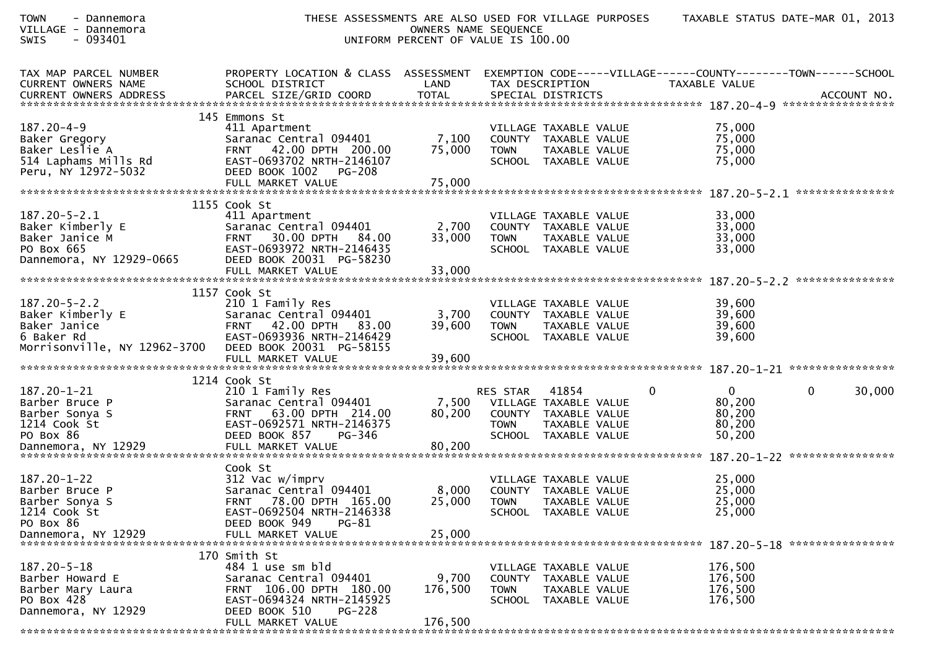| <b>TOWN</b><br>- Dannemora<br>VILLAGE - Dannemora<br>- 093401<br><b>SWIS</b>                              |                                                                                                                                                                           | THESE ASSESSMENTS ARE ALSO USED FOR VILLAGE PURPOSES<br>UNIFORM PERCENT OF VALUE IS 100.00 | OWNERS NAME SEQUENCE           |                                                                                                 |   |                                                                                 | TAXABLE STATUS DATE-MAR 01, 2013 |
|-----------------------------------------------------------------------------------------------------------|---------------------------------------------------------------------------------------------------------------------------------------------------------------------------|--------------------------------------------------------------------------------------------|--------------------------------|-------------------------------------------------------------------------------------------------|---|---------------------------------------------------------------------------------|----------------------------------|
| TAX MAP PARCEL NUMBER<br><b>CURRENT OWNERS NAME</b>                                                       | PROPERTY LOCATION & CLASS ASSESSMENT<br>SCHOOL DISTRICT                                                                                                                   | LAND                                                                                       | TAX DESCRIPTION                |                                                                                                 |   | EXEMPTION CODE-----VILLAGE------COUNTY--------TOWN------SCHOOL<br>TAXABLE VALUE |                                  |
| $187.20 - 4 - 9$<br>Baker Gregory<br>Baker Leslie A<br>514 Laphams Mills Rd<br>Peru, NY 12972-5032        | 145 Emmons St<br>411 Apartment<br>Saranac Central 094401<br>FRNT 42.00 DPTH 200.00<br>EAST-0693702 NRTH-2146107<br>DEED BOOK 1002<br>PG-208<br>FULL MARKET VALUE          | 7,100<br>75,000<br>75,000                                                                  | <b>TOWN</b>                    | VILLAGE TAXABLE VALUE<br>COUNTY TAXABLE VALUE<br>TAXABLE VALUE<br>SCHOOL TAXABLE VALUE          |   | 75,000<br>75,000<br>75,000<br>75,000                                            |                                  |
| $187.20 - 5 - 2.1$<br>Baker Kimberly E<br>Baker Janice M<br>PO Box 665<br>Dannemora, NY 12929-0665        | 1155 Cook St<br>411 Apartment<br>Saranac Central 094401<br><b>FRNT 30.00 DPTH</b><br>84.00<br>EAST-0693972 NRTH-2146435<br>DEED BOOK 20031 PG-58230                       | 2,700<br>33,000                                                                            | <b>TOWN</b>                    | VILLAGE TAXABLE VALUE<br>COUNTY TAXABLE VALUE<br>TAXABLE VALUE<br>SCHOOL TAXABLE VALUE          |   | 33,000<br>33,000<br>33,000<br>33,000                                            |                                  |
| $187.20 - 5 - 2.2$<br>Baker Kimberly E<br>Baker Janice<br>6 Baker Rd<br>Morrisonville, NY 12962-3700      | 1157 Cook St<br>210 1 Family Res<br>Saranac Central 094401<br>FRNT 42.00 DPTH 83.00<br>EAST-0693936 NRTH-2146429<br>DEED BOOK 20031 PG-58155                              | 3,700<br>39,600                                                                            | <b>TOWN</b>                    | VILLAGE TAXABLE VALUE<br>COUNTY TAXABLE VALUE<br>TAXABLE VALUE<br>SCHOOL TAXABLE VALUE          |   | 39,600<br>39,600<br>39,600<br>39,600                                            |                                  |
| $187.20 - 1 - 21$<br>Barber Bruce P<br>Barber Sonya S<br>1214 Cook St<br>PO Box 86<br>Dannemora, NY 12929 | 1214 Cook St<br>210 1 Family Res<br>Saranac Central 094401<br>FRNT 63.00 DPTH 214.00<br>EAST-0692571 NRTH-2146375<br>DEED BOOK 857<br>PG-346<br>FULL MARKET VALUE         | 7,500<br>80,200<br>80,200                                                                  | <b>RES STAR</b><br><b>TOWN</b> | 41854<br>VILLAGE TAXABLE VALUE<br>COUNTY TAXABLE VALUE<br>TAXABLE VALUE<br>SCHOOL TAXABLE VALUE | 0 | $\overline{0}$<br>80,200<br>80,200<br>80,200<br>50,200                          | 30,000<br>$\mathbf{0}$           |
| 187.20-1-22<br>Barber Bruce P<br>Barber Sonya S<br>1214 Cook St<br>PO Box 86<br>Dannemora, NY 12929       | Cook St<br>312 Vac w/imprv<br>Saranac Central 094401<br>FRNT 78.00 DPTH 165.00<br>EAST-0692504 NRTH-2146338<br>DEED BOOK 949<br>PG-81<br>FULL MARKET VALUE                | 8,000<br>25,000<br>25,000                                                                  | <b>TOWN</b>                    | VILLAGE TAXABLE VALUE<br>COUNTY TAXABLE VALUE<br>TAXABLE VALUE<br>SCHOOL TAXABLE VALUE          |   | 25,000<br>25,000<br>25,000<br>25,000                                            |                                  |
| 187.20-5-18<br>Barber Howard E<br>Barber Mary Laura<br>PO Box 428<br>Dannemora, NY 12929                  | 170 Smith St<br>484 1 use sm bld<br>Saranac Central 094401<br>FRNT 106.00 DPTH 180.00<br>EAST-0694324 NRTH-2145925<br>DEED BOOK 510<br><b>PG-228</b><br>FULL MARKET VALUE | 9,700<br>176,500<br>176,500                                                                | <b>TOWN</b>                    | VILLAGE TAXABLE VALUE<br>COUNTY TAXABLE VALUE<br>TAXABLE VALUE<br>SCHOOL TAXABLE VALUE          |   | 176,500<br>176,500<br>176,500<br>176,500                                        |                                  |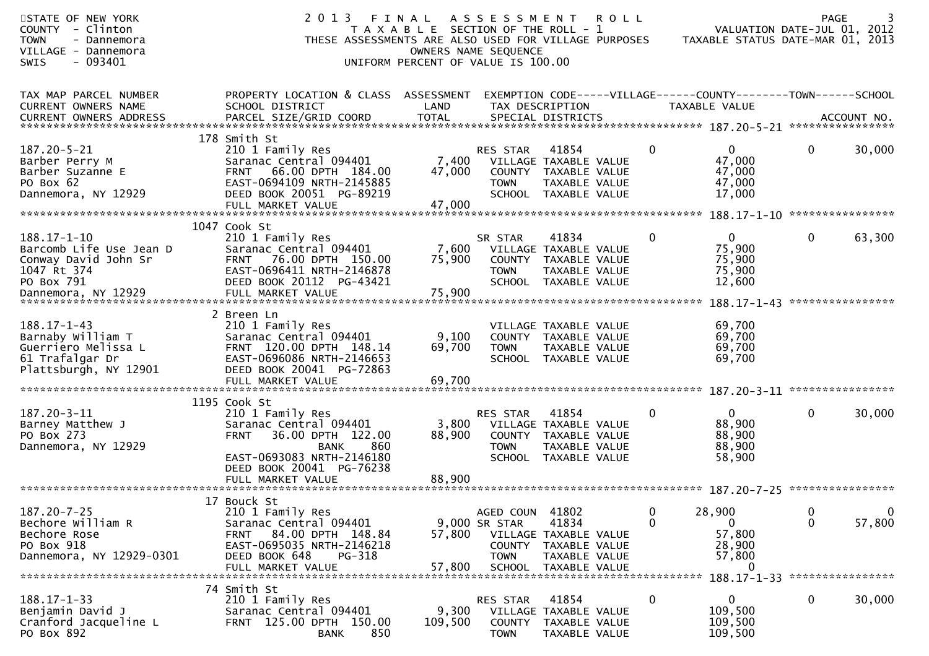| STATE OF NEW YORK<br>COUNTY - Clinton<br><b>TOWN</b><br>- Dannemora<br>VILLAGE - Dannemora<br>$-093401$<br>SWIS          | 2 0 1 3<br>THESE ASSESSMENTS ARE ALSO USED FOR VILLAGE PURPOSES                                                                                                               | FINAL<br>T A X A B L E SECTION OF THE ROLL - 1<br>OWNERS NAME SEQUENCE<br>UNIFORM PERCENT OF VALUE IS 100.00 | A S S E S S M E N T                             | <b>ROLL</b>                                                                                     |              | VALUATION DATE-JUL 01, 2012<br>TAXABLE STATUS DATE-MAR 01, 2013                 | <b>PAGE</b>       |                            |
|--------------------------------------------------------------------------------------------------------------------------|-------------------------------------------------------------------------------------------------------------------------------------------------------------------------------|--------------------------------------------------------------------------------------------------------------|-------------------------------------------------|-------------------------------------------------------------------------------------------------|--------------|---------------------------------------------------------------------------------|-------------------|----------------------------|
| TAX MAP PARCEL NUMBER<br>CURRENT OWNERS NAME                                                                             | PROPERTY LOCATION & CLASS ASSESSMENT<br>SCHOOL DISTRICT                                                                                                                       | LAND                                                                                                         | TAX DESCRIPTION                                 |                                                                                                 |              | EXEMPTION CODE-----VILLAGE------COUNTY--------TOWN------SCHOOL<br>TAXABLE VALUE |                   |                            |
| $187.20 - 5 - 21$<br>Barber Perry M<br>Barber Suzanne E<br>PO Box 62<br>Dannemora, NY 12929                              | 178 Smith St<br>210 1 Family Res<br>Saranac Central 094401<br>66.00 DPTH 184.00<br><b>FRNT</b><br>EAST-0694109 NRTH-2145885<br>DEED BOOK 20051 PG-89219<br>FULL MARKET VALUE  | 7,400<br>47,000<br>47,000                                                                                    | RES STAR<br><b>TOWN</b>                         | 41854<br>VILLAGE TAXABLE VALUE<br>COUNTY TAXABLE VALUE<br>TAXABLE VALUE<br>SCHOOL TAXABLE VALUE | $\mathbf{0}$ | $\mathbf{0}$<br>47,000<br>47,000<br>47,000<br>17,000                            | 0                 | 30,000                     |
|                                                                                                                          |                                                                                                                                                                               |                                                                                                              |                                                 |                                                                                                 |              |                                                                                 |                   |                            |
| $188.17 - 1 - 10$<br>Barcomb Life Use Jean D<br>Conway David John Sr<br>1047 Rt 374<br>PO Box 791<br>Dannemora, NY 12929 | 1047 Cook St<br>210 1 Family Res<br>Saranac Central 094401<br>76.00 DPTH 150.00<br><b>FRNT</b><br>EAST-0696411 NRTH-2146878<br>DEED BOOK 20112 PG-43421<br>FULL MARKET VALUE  | 7,600<br>75,900<br>75,900                                                                                    | SR STAR<br><b>TOWN</b>                          | 41834<br>VILLAGE TAXABLE VALUE<br>COUNTY TAXABLE VALUE<br>TAXABLE VALUE<br>SCHOOL TAXABLE VALUE | $\mathbf{0}$ | $\mathbf 0$<br>75,900<br>75,900<br>75,900<br>12,600<br>$188.17 - 1 - 43$        | 0                 | 63,300<br>**************** |
| $188.17 - 1 - 43$<br>Barnaby William T<br>Guerriero Melissa L<br>61 Trafalgar Dr<br>Plattsburgh, NY 12901                | 2 Breen Ln<br>210 1 Family Res<br>Saranac Central 094401<br>FRNT 120.00 DPTH 148.14<br>EAST-0696086 NRTH-2146653<br>DEED BOOK 20041 PG-72863<br>FULL MARKET VALUE             | 9,100<br>69,700<br>69,700                                                                                    | <b>TOWN</b>                                     | VILLAGE TAXABLE VALUE<br>COUNTY TAXABLE VALUE<br>TAXABLE VALUE<br>SCHOOL TAXABLE VALUE          |              | 69,700<br>69,700<br>69,700<br>69,700                                            |                   |                            |
| $187.20 - 3 - 11$<br>Barney Matthew J<br>PO Box 273<br>Dannemora, NY 12929                                               | 1195 Cook St<br>210 1 Family Res<br>Saranac Central 094401<br>36.00 DPTH 122.00<br><b>FRNT</b><br>860<br><b>BANK</b><br>EAST-0693083 NRTH-2146180<br>DEED BOOK 20041 PG-76238 | 3,800<br>88,900                                                                                              | RES STAR<br><b>COUNTY</b><br><b>TOWN</b>        | 41854<br>VILLAGE TAXABLE VALUE<br>TAXABLE VALUE<br>TAXABLE VALUE<br>SCHOOL TAXABLE VALUE        | $\mathbf{0}$ | $\mathbf 0$<br>88,900<br>88,900<br>88,900<br>58,900                             | 0                 | 30,000                     |
| $187.20 - 7 - 25$<br>Bechore William R<br>Bechore Rose<br>PO Box 918<br>Dannemora, NY 12929-0301                         | 17 Bouck St<br>210 1 Family Res<br>Saranac Central 094401<br>84.00 DPTH 148.84<br><b>FRNT</b><br>EAST-0695035 NRTH-2146218<br>DEED BOOK 648<br>PG-318<br>FULL MARKET VALUE    | 57,800<br>57,800                                                                                             | AGED COUN 41802<br>9,000 SR STAR<br><b>TOWN</b> | 41834<br>VILLAGE TAXABLE VALUE<br>COUNTY TAXABLE VALUE<br>TAXABLE VALUE<br>SCHOOL TAXABLE VALUE | 0<br>0       | 28,900<br>0<br>57,800<br>28,900<br>57,800<br>0<br>188.17-1-33 ***************** | 0<br>$\mathbf{0}$ | $\mathbf 0$<br>57,800      |
| $188.17 - 1 - 33$<br>Benjamin David J<br>Cranford Jacqueline L<br>PO Box 892                                             | 74 Smith St<br>210 1 Family Res<br>Saranac Central 094401<br>FRNT 125.00 DPTH 150.00<br>850<br><b>BANK</b>                                                                    | 9,300<br>109,500                                                                                             | RES STAR<br><b>COUNTY</b><br><b>TOWN</b>        | 41854<br>VILLAGE TAXABLE VALUE<br>TAXABLE VALUE<br>TAXABLE VALUE                                | 0            | 0<br>109,500<br>109,500<br>109,500                                              | 0                 | 30,000                     |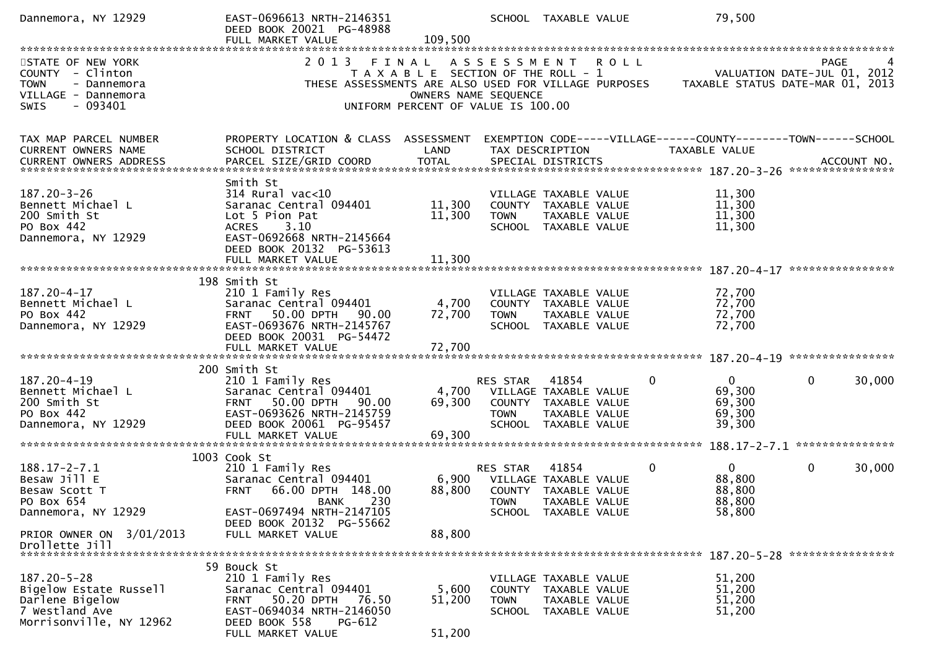| Dannemora, NY 12929                                                                                                                                                                                                                                                            | EAST-0696613 NRTH-2146351<br>DEED BOOK 20021 PG-48988<br>FULL MARKET VALUE                                                                                                                  | 109,500                                                                                                      |                                          | SCHOOL TAXABLE VALUE                                                                            |             | 79,500                                                                         |                                            |
|--------------------------------------------------------------------------------------------------------------------------------------------------------------------------------------------------------------------------------------------------------------------------------|---------------------------------------------------------------------------------------------------------------------------------------------------------------------------------------------|--------------------------------------------------------------------------------------------------------------|------------------------------------------|-------------------------------------------------------------------------------------------------|-------------|--------------------------------------------------------------------------------|--------------------------------------------|
| STATE OF NEW YORK<br>COUNTY - Clinton<br>- Dannemora<br><b>TOWN</b><br>VILLAGE - Dannemora<br>$-093401$<br>SWIS                                                                                                                                                                | 2 0 1 3<br>THESE ASSESSMENTS ARE ALSO USED FOR VILLAGE PURPOSES                                                                                                                             | FINAL<br>T A X A B L E SECTION OF THE ROLL - 1<br>OWNERS NAME SEQUENCE<br>UNIFORM PERCENT OF VALUE IS 100.00 | A S S E S S M E N T                      |                                                                                                 | <b>ROLL</b> | TAXABLE STATUS DATE-MAR 01, 2013                                               | <b>PAGE</b><br>VALUATION DATE-JUL 01, 2012 |
| TAX MAP PARCEL NUMBER<br>CURRENT OWNERS NAME<br>.4CCOUNT NO . PARCEL SIZE/GRID COORD TOTAL SPECIAL DISTRICTS . ACCOUNT NO . ACCOUNT NO . ACCOUNT NO . بالمحتمد المستوى المستوى المستوى المستوى المستوى المستوى المستوى المستوى المستوى المستوى المستوى المستوى المستوى المستوى | PROPERTY LOCATION & CLASS ASSESSMENT<br>SCHOOL DISTRICT                                                                                                                                     | LAND                                                                                                         |                                          | TAX DESCRIPTION                                                                                 |             | EXEMPTION CODE-----VILLAGE------COUNTY-------TOWN------SCHOOL<br>TAXABLE VALUE |                                            |
| $187.20 - 3 - 26$<br>Bennett Michael L<br>200 Smith St<br>PO Box 442<br>Dannemora, NY 12929                                                                                                                                                                                    | Smith St<br>$314$ Rural vac<10<br>Saranac Central 094401<br>Lot 5 Pion Pat<br>ACRES 3.10<br>EAST-0692668 NRTH-2145664<br>DEED BOOK 20132 PG-53613<br>FULL MARKET VALUE                      | 11,300<br>11,300<br>11,300                                                                                   | <b>TOWN</b>                              | VILLAGE TAXABLE VALUE<br>COUNTY TAXABLE VALUE<br>TAXABLE VALUE<br>SCHOOL TAXABLE VALUE          |             | 11,300<br>11,300<br>11,300<br>11,300                                           | ****************                           |
| $187.20 - 4 - 17$<br>Bennett Michael L<br>PO Box 442<br>Dannemora, NY 12929                                                                                                                                                                                                    | 198 Smith St<br>210 1 Family Res<br>Saranac Central 094401<br>FRNT 50.00 DPTH<br>90.00<br>EAST-0693676 NRTH-2145767<br>DEED BOOK 20031 PG-54472                                             | 4,700<br>72,700                                                                                              | <b>TOWN</b>                              | VILLAGE TAXABLE VALUE<br>COUNTY TAXABLE VALUE<br>TAXABLE VALUE<br>SCHOOL TAXABLE VALUE          |             | 72,700<br>72,700<br>72,700<br>72,700                                           |                                            |
| 187.20-4-19<br>Bennett Michael L<br>200 Smith St<br>PO Box 442<br>Dannemora, NY 12929                                                                                                                                                                                          | 200 Smith St<br>210 1 Family Res<br>Saranac Central 094401<br>50.00 DPTH<br><b>FRNT</b><br>90.00<br>EAST-0693626 NRTH-2145759<br>DEED BOOK 20061 PG-95457<br>FULL MARKET VALUE              | 4,700<br>69,300<br>69,300                                                                                    | RES STAR<br><b>TOWN</b><br><b>SCHOOL</b> | 41854<br>VILLAGE TAXABLE VALUE<br>COUNTY TAXABLE VALUE<br>TAXABLE VALUE<br>TAXABLE VALUE        | 0           | $\overline{0}$<br>69,300<br>69,300<br>69,300<br>39,300                         | 0<br>30,000                                |
| $188.17 - 2 - 7.1$<br>Besaw Jill E<br>Besaw Scott T<br>PO Box 654<br>Dannemora, NY 12929<br>PRIOR OWNER ON 3/01/2013                                                                                                                                                           | 1003 Cook St<br>210 1 Family Res<br>Saranac Central 094401<br>66.00 DPTH 148.00<br><b>FRNT</b><br>230<br>BANK<br>EAST-0697494 NRTH-2147105<br>DEED BOOK 20132 PG-55662<br>FULL MARKET VALUE | 6,900<br>88,800<br>88,800                                                                                    | RES STAR<br><b>TOWN</b>                  | 41854<br>VILLAGE TAXABLE VALUE<br>COUNTY TAXABLE VALUE<br>TAXABLE VALUE<br>SCHOOL TAXABLE VALUE | 0           | $\mathbf{0}$<br>88,800<br>88,800<br>88,800<br>58,800                           | $\mathbf{0}$<br>30,000                     |
| Drollette Jill<br>$187.20 - 5 - 28$<br>Bigelow Estate Russell<br>Darlene Bigelow<br>7 Westland Ave<br>Morrisonville, NY 12962                                                                                                                                                  | 59 Bouck St<br>210 1 Family Res<br>Saranac Central 094401<br>50.20 DPTH<br>76.50<br>FRNT<br>EAST-0694034 NRTH-2146050<br>DEED BOOK 558<br>PG-612<br>FULL MARKET VALUE                       | 5,600<br>51,200<br>51,200                                                                                    | <b>TOWN</b>                              | VILLAGE TAXABLE VALUE<br>COUNTY TAXABLE VALUE<br>TAXABLE VALUE<br>SCHOOL TAXABLE VALUE          |             | 51,200<br>51,200<br>51,200<br>51,200                                           |                                            |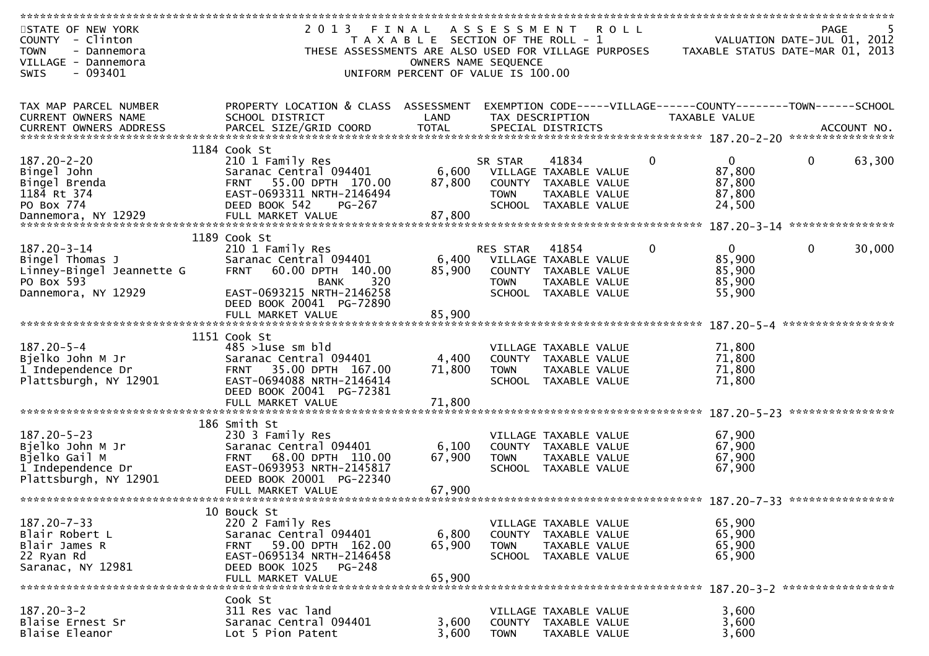| ************************** |                                                      |                                       |                     |                       |             |                                                                |             |                   |
|----------------------------|------------------------------------------------------|---------------------------------------|---------------------|-----------------------|-------------|----------------------------------------------------------------|-------------|-------------------|
| STATE OF NEW YORK          | 2013 FINAL                                           |                                       | A S S E S S M E N T |                       | <b>ROLL</b> |                                                                | <b>PAGE</b> |                   |
| COUNTY - Clinton           |                                                      | T A X A B L E SECTION OF THE ROLL - 1 |                     |                       |             | VALUATION DATE-JUL 01, 2012                                    |             |                   |
| <b>TOWN</b><br>- Dannemora | THESE ASSESSMENTS ARE ALSO USED FOR VILLAGE PURPOSES |                                       |                     |                       |             | TAXABLE STATUS DATE-MAR 01, 2013                               |             |                   |
| VILLAGE - Dannemora        |                                                      | OWNERS NAME SEQUENCE                  |                     |                       |             |                                                                |             |                   |
| - 093401<br>SWIS           |                                                      | UNIFORM PERCENT OF VALUE IS 100.00    |                     |                       |             |                                                                |             |                   |
|                            |                                                      |                                       |                     |                       |             |                                                                |             |                   |
|                            |                                                      |                                       |                     |                       |             |                                                                |             |                   |
| TAX MAP PARCEL NUMBER      | PROPERTY LOCATION & CLASS ASSESSMENT                 |                                       |                     |                       |             | EXEMPTION CODE-----VILLAGE------COUNTY--------TOWN------SCHOOL |             |                   |
| <b>CURRENT OWNERS NAME</b> | SCHOOL DISTRICT                                      | LAND                                  | TAX DESCRIPTION     |                       |             | TAXABLE VALUE                                                  |             |                   |
|                            |                                                      |                                       |                     |                       |             |                                                                |             |                   |
|                            |                                                      |                                       |                     |                       |             |                                                                |             |                   |
|                            |                                                      |                                       |                     |                       |             |                                                                |             |                   |
|                            | 1184 Cook St                                         |                                       |                     |                       |             |                                                                |             |                   |
| $187.20 - 2 - 20$          | 210 1 Family Res                                     |                                       | SR STAR             | 41834                 | 0           | $\mathbf{0}$                                                   | 0           | 63,300            |
| Bingel John                | Saranac Central 094401                               | 6,600                                 |                     | VILLAGE TAXABLE VALUE |             | 87,800                                                         |             |                   |
| Bingel Brenda              | 55.00 DPTH 170.00<br><b>FRNT</b>                     | 87,800                                |                     | COUNTY TAXABLE VALUE  |             | 87,800                                                         |             |                   |
| 1184 Rt 374                | EAST-0693311 NRTH-2146494                            |                                       | <b>TOWN</b>         | TAXABLE VALUE         |             | 87,800                                                         |             |                   |
| PO Box 774                 | DEED BOOK 542<br>PG-267                              |                                       | <b>SCHOOL</b>       | TAXABLE VALUE         |             | 24,500                                                         |             |                   |
| Dannemora, NY 12929        | FULL MARKET VALUE                                    | 87,800                                |                     |                       |             |                                                                |             |                   |
|                            |                                                      |                                       |                     |                       |             |                                                                |             | ***************** |
|                            | 1189 Cook St                                         |                                       |                     |                       |             |                                                                |             |                   |
| $187.20 - 3 - 14$          | 210 1 Family Res                                     |                                       | <b>RES STAR</b>     | 41854                 | $\Omega$    | $\Omega$                                                       | $\mathbf 0$ | 30,000            |
| Bingel Thomas J            | Saranac Central 094401                               | 6,400                                 |                     | VILLAGE TAXABLE VALUE |             | 85,900                                                         |             |                   |
| Linney-Bingel Jeannette G  | <b>FRNT</b><br>60.00 DPTH 140.00                     | 85,900                                |                     | COUNTY TAXABLE VALUE  |             | 85,900                                                         |             |                   |
| PO Box 593                 | 320<br><b>BANK</b>                                   |                                       | <b>TOWN</b>         | TAXABLE VALUE         |             | 85,900                                                         |             |                   |
| Dannemora, NY 12929        | EAST-0693215 NRTH-2146258                            |                                       |                     | SCHOOL TAXABLE VALUE  |             | 55,900                                                         |             |                   |
|                            | DEED BOOK 20041 PG-72890                             |                                       |                     |                       |             |                                                                |             |                   |
|                            | FULL MARKET VALUE                                    | 85,900                                |                     |                       |             |                                                                |             |                   |
|                            |                                                      |                                       |                     |                       |             |                                                                |             | ***************** |
|                            | 1151 Cook St                                         |                                       |                     |                       |             |                                                                |             |                   |
| $187.20 - 5 - 4$           | $485 > 1$ use sm bld                                 |                                       |                     | VILLAGE TAXABLE VALUE |             | 71,800                                                         |             |                   |
| Bjelko John M Jr           | Saranac Central 094401                               | 4,400                                 |                     | COUNTY TAXABLE VALUE  |             | 71,800                                                         |             |                   |
|                            |                                                      | 71,800                                |                     |                       |             |                                                                |             |                   |
| 1 Independence Dr          | 35.00 DPTH 167.00<br><b>FRNT</b>                     |                                       | <b>TOWN</b>         | TAXABLE VALUE         |             | 71,800                                                         |             |                   |
| Plattsburgh, NY 12901      | EAST-0694088 NRTH-2146414                            |                                       |                     | SCHOOL TAXABLE VALUE  |             | 71,800                                                         |             |                   |
|                            | DEED BOOK 20041 PG-72381                             |                                       |                     |                       |             |                                                                |             |                   |
|                            |                                                      |                                       |                     |                       |             |                                                                |             | ****************  |
|                            |                                                      |                                       |                     |                       |             |                                                                |             |                   |
|                            | 186 Smith St                                         |                                       |                     |                       |             |                                                                |             |                   |
| $187.20 - 5 - 23$          | 230 3 Family Res                                     |                                       |                     | VILLAGE TAXABLE VALUE |             | 67,900                                                         |             |                   |
| Bjelko John M Jr           | Saranac Central 094401                               | 6,100                                 |                     | COUNTY TAXABLE VALUE  |             | 67,900                                                         |             |                   |
| Bjelko Gail M              | 68.00 DPTH 110.00<br><b>FRNT</b>                     | 67,900                                | <b>TOWN</b>         | TAXABLE VALUE         |             | 67,900                                                         |             |                   |
| 1 Independence Dr          | EAST-0693953 NRTH-2145817                            |                                       |                     | SCHOOL TAXABLE VALUE  |             | 67,900                                                         |             |                   |
| Plattsburgh, NY 12901      | DEED BOOK 20001 PG-22340                             |                                       |                     |                       |             |                                                                |             |                   |
|                            | FULL MARKET VALUE                                    | 67,900                                |                     |                       |             |                                                                |             |                   |
|                            |                                                      |                                       |                     |                       |             |                                                                |             |                   |
|                            | 10 Bouck St                                          |                                       |                     |                       |             |                                                                |             |                   |
| $187.20 - 7 - 33$          | 220 2 Family Res                                     |                                       |                     | VILLAGE TAXABLE VALUE |             | 65,900                                                         |             |                   |
| Blair Robert L             | Saranac Central 094401                               | 6,800                                 |                     | COUNTY TAXABLE VALUE  |             | 65,900                                                         |             |                   |
| Blair James R              | 59.00 DPTH 162.00<br>FRNT                            | 65,900                                | <b>TOWN</b>         | TAXABLE VALUE         |             | 65,900                                                         |             |                   |
| 22 Ryan Rd                 | EAST-0695134 NRTH-2146458                            |                                       |                     | SCHOOL TAXABLE VALUE  |             | 65,900                                                         |             |                   |
| Saranac, NY 12981          | DEED BOOK 1025<br>PG-248                             |                                       |                     |                       |             |                                                                |             |                   |
|                            | FULL MARKET VALUE                                    | 65,900                                |                     |                       |             |                                                                |             |                   |
|                            |                                                      |                                       |                     |                       |             |                                                                |             |                   |
|                            | Cook St                                              |                                       |                     |                       |             |                                                                |             |                   |
| $187.20 - 3 - 2$           | 311 Res vac land                                     |                                       |                     | VILLAGE TAXABLE VALUE |             | 3,600                                                          |             |                   |
| Blaise Ernest Sr           | Saranac Central 094401                               | 3,600                                 |                     | COUNTY TAXABLE VALUE  |             | 3,600                                                          |             |                   |
| Blaise Eleanor             | Lot 5 Pion Patent                                    | 3,600                                 | <b>TOWN</b>         |                       |             | 3,600                                                          |             |                   |
|                            |                                                      |                                       |                     | TAXABLE VALUE         |             |                                                                |             |                   |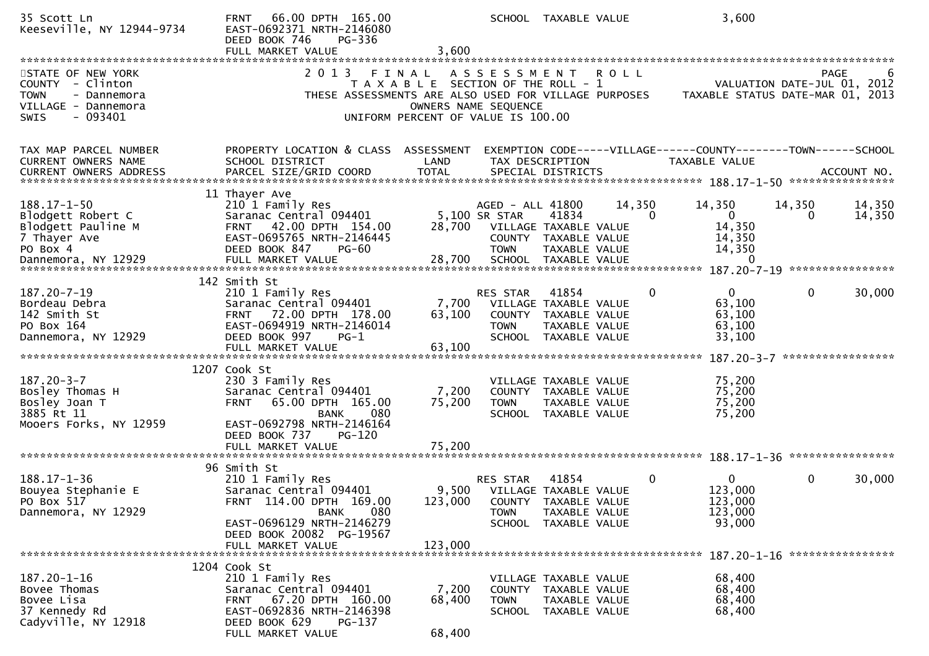| 35 Scott Ln<br>Keeseville, NY 12944-9734                                                                       | 66.00 DPTH 165.00<br><b>FRNT</b><br>EAST-0692371 NRTH-2146080<br>DEED BOOK 746<br>PG-336<br>FULL MARKET VALUE                                                                                            | 3,600                                                                                                        |                                                                           | SCHOOL TAXABLE VALUE                                                                            |                    | 3,600                                                                                 |                                                     |                  |
|----------------------------------------------------------------------------------------------------------------|----------------------------------------------------------------------------------------------------------------------------------------------------------------------------------------------------------|--------------------------------------------------------------------------------------------------------------|---------------------------------------------------------------------------|-------------------------------------------------------------------------------------------------|--------------------|---------------------------------------------------------------------------------------|-----------------------------------------------------|------------------|
| STATE OF NEW YORK<br>COUNTY - Clinton<br><b>TOWN</b><br>- Dannemora<br>VILLAGE - Dannemora<br>- 093401<br>SWIS | 2 0 1 3                                                                                                                                                                                                  | FINAL<br>T A X A B L E SECTION OF THE ROLL - 1<br>OWNERS NAME SEQUENCE<br>UNIFORM PERCENT OF VALUE IS 100.00 | A S S E S S M E N T                                                       |                                                                                                 | <b>ROLL</b>        | THESE ASSESSMENTS ARE ALSO USED FOR VILLAGE PURPOSES TAXABLE STATUS DATE-MAR 01, 2013 | <b>PAGE</b><br>VALUATION DATE-JUL 01, 2012          | 6                |
| TAX MAP PARCEL NUMBER<br>CURRENT OWNERS NAME<br><b>CURRENT OWNERS ADDRESS</b>                                  | PROPERTY LOCATION & CLASS ASSESSMENT<br>SCHOOL DISTRICT                                                                                                                                                  | LAND                                                                                                         |                                                                           | TAX DESCRIPTION                                                                                 |                    | EXEMPTION CODE-----VILLAGE------COUNTY--------TOWN------SCHOOL<br>TAXABLE VALUE       |                                                     |                  |
| $188.17 - 1 - 50$<br>Blodgett Robert C<br>Blodgett Pauline M<br>7 Thayer Ave<br>PO Box 4                       | 11 Thayer Ave<br>210 1 Family Res<br>Saranac Central 094401<br>FRNT 42.00 DPTH 154.00<br>EAST-0695765 NRTH-2146445<br>DEED BOOK 847<br>PG-60                                                             | 28,700                                                                                                       | AGED - ALL 41800<br>5,100 SR STAR<br>VILLAGE TAXABLE VALUE<br><b>TOWN</b> | 41834<br>COUNTY TAXABLE VALUE<br>TAXABLE VALUE                                                  | 14,350<br>$\Omega$ | 14,350<br>$\mathbf{0}$<br>14,350<br>14,350<br>14,350<br>0                             | 14,350<br>$\Omega$<br>187.20-7-19 ***************** | 14,350<br>14,350 |
| 187.20-7-19<br>Bordeau Debra<br>142 Smith St<br>PO Box 164<br>Dannemora, NY 12929                              | 142 Smith St<br>210 1 Family Res<br>Saranac Central 094401<br>FRNT 72.00 DPTH 178.00<br>EAST-0694919 NRTH-2146014<br>DEED BOOK 997<br>$PG-1$                                                             | 7,700<br>63,100                                                                                              | RES STAR<br><b>TOWN</b>                                                   | 41854<br>VILLAGE TAXABLE VALUE<br>COUNTY TAXABLE VALUE<br>TAXABLE VALUE<br>SCHOOL TAXABLE VALUE | $\mathbf{0}$       | $\Omega$<br>63,100<br>63,100<br>63,100<br>33,100                                      | $\mathbf 0$                                         | 30,000           |
| $187.20 - 3 - 7$<br>Bosley Thomas H<br>Bosley Joan T<br>3885 Rt 11<br>Mooers Forks, NY 12959                   | 1207 Cook St<br>230 3 Family Res<br>Saranac Central 094401<br>65.00 DPTH 165.00<br><b>FRNT</b><br>080<br><b>BANK</b><br>EAST-0692798 NRTH-2146164<br>DEED BOOK 737<br><b>PG-120</b><br>FULL MARKET VALUE | 7,200<br>75,200<br>75,200                                                                                    | <b>TOWN</b>                                                               | VILLAGE TAXABLE VALUE<br>COUNTY TAXABLE VALUE<br>TAXABLE VALUE<br>SCHOOL TAXABLE VALUE          |                    | 75,200<br>75,200<br>75,200<br>75,200                                                  |                                                     |                  |
| $188.17 - 1 - 36$<br>Bouyea Stephanie E<br>PO Box 517<br>Dannemora, NY 12929                                   | 96 Smith St<br>210 1 Family Res<br>Saranac Central 094401<br>FRNT 114.00 DPTH 169.00<br><b>BANK</b><br>080<br>EAST-0696129 NRTH-2146279<br>DEED BOOK 20082 PG-19567<br>FULL MARKET VALUE                 | 123,000<br>123,000                                                                                           | RES STAR<br>9,500 VILLAGE TAXABLE VALUE<br><b>TOWN</b>                    | 41854<br>COUNTY TAXABLE VALUE<br>TAXABLE VALUE<br>SCHOOL TAXABLE VALUE                          | 0                  | $\mathbf{0}$<br>123,000<br>123,000<br>123,000<br>93,000                               | $\mathbf 0$                                         | 30,000           |
| 187.20-1-16<br>Bovee Thomas<br>Bovee Lisa<br>37 Kennedy Rd<br>Cadyville, NY 12918                              | 1204 Cook St<br>210 1 Family Res<br>Saranac Central 094401<br>FRNT 67.20 DPTH 160.00<br>EAST-0692836 NRTH-2146398<br>DEED BOOK 629<br>$PG-137$<br>FULL MARKET VALUE                                      | 7,200<br>68,400<br>68,400                                                                                    | <b>TOWN</b>                                                               | VILLAGE TAXABLE VALUE<br>COUNTY TAXABLE VALUE<br>TAXABLE VALUE<br>SCHOOL TAXABLE VALUE          |                    | 68,400<br>68,400<br>68,400<br>68,400                                                  |                                                     |                  |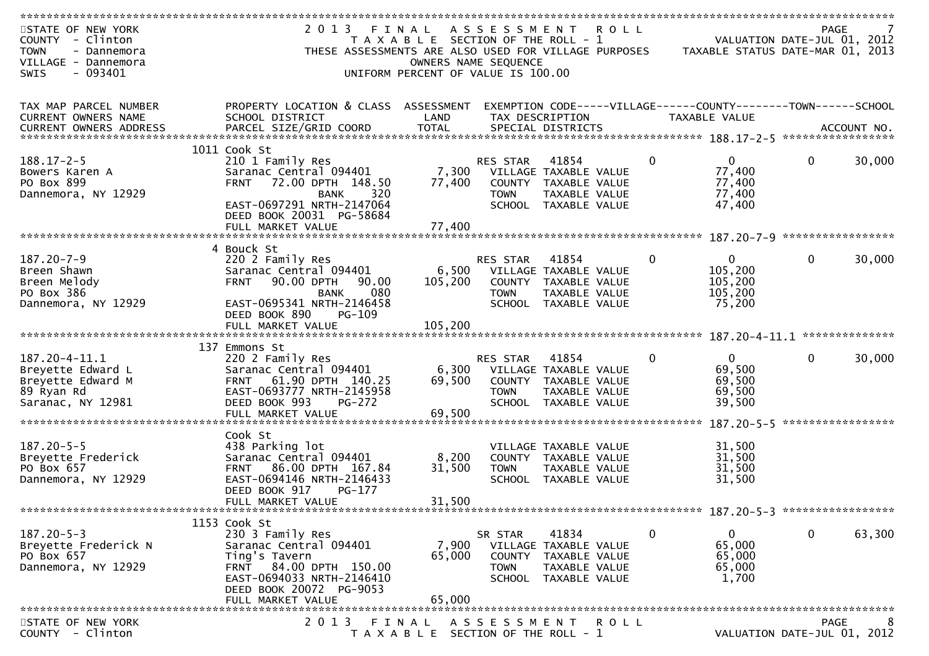| STATE OF NEW YORK             | 2 0 1 3<br>FINAL                                     |                                       | A S S E S S M E N T |                       | <b>ROLL</b> |                                                                | <b>PAGE</b>       |        |
|-------------------------------|------------------------------------------------------|---------------------------------------|---------------------|-----------------------|-------------|----------------------------------------------------------------|-------------------|--------|
| <b>COUNTY</b><br>- Clinton    |                                                      | T A X A B L E SECTION OF THE ROLL - 1 |                     |                       |             | VALUATION DATE-JUL 01, 2012                                    |                   |        |
| <b>TOWN</b><br>- Dannemora    | THESE ASSESSMENTS ARE ALSO USED FOR VILLAGE PURPOSES |                                       |                     |                       |             | TAXABLE STATUS DATE-MAR 01, 2013                               |                   |        |
| VILLAGE - Dannemora           |                                                      | OWNERS NAME SEQUENCE                  |                     |                       |             |                                                                |                   |        |
| $-093401$<br><b>SWIS</b>      |                                                      | UNIFORM PERCENT OF VALUE IS 100.00    |                     |                       |             |                                                                |                   |        |
|                               |                                                      |                                       |                     |                       |             |                                                                |                   |        |
|                               |                                                      |                                       |                     |                       |             |                                                                |                   |        |
| TAX MAP PARCEL NUMBER         | PROPERTY LOCATION & CLASS ASSESSMENT                 |                                       |                     |                       |             | EXEMPTION CODE-----VILLAGE------COUNTY--------TOWN------SCHOOL |                   |        |
| CURRENT OWNERS NAME           | SCHOOL DISTRICT                                      | LAND                                  |                     | TAX DESCRIPTION       |             | TAXABLE VALUE                                                  |                   |        |
| <b>CURRENT OWNERS ADDRESS</b> |                                                      |                                       |                     |                       |             |                                                                |                   |        |
|                               |                                                      |                                       |                     |                       |             |                                                                |                   |        |
|                               | 1011 Cook St                                         |                                       |                     |                       |             |                                                                |                   |        |
| $188.17 - 2 - 5$              | 210 1 Family Res                                     |                                       | RES STAR            | 41854                 | $\mathbf 0$ | $\mathbf{0}$                                                   | $\mathbf{0}$      | 30,000 |
| Bowers Karen A                | Saranac Central 094401                               | 7,300                                 |                     | VILLAGE TAXABLE VALUE |             | 77,400                                                         |                   |        |
| PO Box 899                    | 72.00 DPTH 148.50<br><b>FRNT</b>                     | 77,400                                |                     | COUNTY TAXABLE VALUE  |             | 77,400                                                         |                   |        |
| Dannemora, NY 12929           | 320<br><b>BANK</b>                                   |                                       | <b>TOWN</b>         | TAXABLE VALUE         |             | 77,400                                                         |                   |        |
|                               | EAST-0697291 NRTH-2147064                            |                                       |                     | SCHOOL TAXABLE VALUE  |             | 47,400                                                         |                   |        |
|                               | DEED BOOK 20031 PG-58684                             |                                       |                     |                       |             |                                                                |                   |        |
|                               | FULL MARKET VALUE                                    | 77,400                                |                     |                       |             |                                                                |                   |        |
|                               |                                                      |                                       |                     |                       |             |                                                                |                   |        |
|                               | 4 Bouck St                                           |                                       |                     |                       |             |                                                                |                   |        |
| 187.20-7-9                    | 220 2 Family Res                                     |                                       | RES STAR            | 41854                 | $\mathbf 0$ | 0                                                              | $\mathbf{0}$      | 30,000 |
| Breen Shawn                   | Saranac Central 094401                               | 6,500                                 |                     | VILLAGE TAXABLE VALUE |             | 105,200                                                        |                   |        |
| Breen Melody                  | 90.00 DPTH<br>90.00<br><b>FRNT</b>                   | 105,200                               |                     | COUNTY TAXABLE VALUE  |             | 105,200                                                        |                   |        |
| PO Box 386                    | 080<br><b>BANK</b>                                   |                                       | <b>TOWN</b>         | TAXABLE VALUE         |             | 105,200                                                        |                   |        |
| Dannemora, NY 12929           | EAST-0695341 NRTH-2146458                            |                                       |                     | SCHOOL TAXABLE VALUE  |             | 75,200                                                         |                   |        |
|                               | DEED BOOK 890<br>PG-109                              |                                       |                     |                       |             |                                                                |                   |        |
|                               | FULL MARKET VALUE                                    | 105,200                               |                     |                       |             |                                                                |                   |        |
|                               |                                                      |                                       |                     |                       |             |                                                                |                   |        |
|                               | 137 Emmons St                                        |                                       |                     |                       |             |                                                                |                   |        |
| 187.20-4-11.1                 | 220 2 Family Res                                     |                                       | RES STAR            | 41854                 | 0           | $\overline{0}$                                                 | $\mathbf{0}$      | 30,000 |
| Breyette Edward L             | Saranac Central 094401                               | 6,300                                 |                     | VILLAGE TAXABLE VALUE |             | 69,500                                                         |                   |        |
| Breyette Edward M             | 61.90 DPTH 140.25<br><b>FRNT</b>                     | 69,500                                |                     | COUNTY TAXABLE VALUE  |             | 69,500                                                         |                   |        |
| 89 Ryan Rd                    | EAST-0693777 NRTH-2145958                            |                                       | <b>TOWN</b>         | TAXABLE VALUE         |             | 69,500                                                         |                   |        |
| Saranac, NY 12981             | DEED BOOK 993<br>$PG-272$                            |                                       | <b>SCHOOL</b>       | TAXABLE VALUE         |             | 39,500                                                         |                   |        |
|                               | FULL MARKET VALUE                                    | 69,500                                |                     |                       |             |                                                                |                   |        |
|                               |                                                      |                                       |                     |                       |             |                                                                | ***************** |        |
|                               | Cook St                                              |                                       |                     |                       |             |                                                                |                   |        |
| $187.20 - 5 - 5$              | 438 Parking lot                                      |                                       |                     | VILLAGE TAXABLE VALUE |             | 31,500                                                         |                   |        |
| Breyette Frederick            | Saranac Central 094401                               | 8,200                                 |                     | COUNTY TAXABLE VALUE  |             | 31,500                                                         |                   |        |
| PO Box 657                    | 86.00 DPTH 167.84<br><b>FRNT</b>                     | 31,500                                | <b>TOWN</b>         | TAXABLE VALUE         |             | 31,500                                                         |                   |        |
| Dannemora, NY 12929           | EAST-0694146 NRTH-2146433                            |                                       |                     | SCHOOL TAXABLE VALUE  |             | 31,500                                                         |                   |        |
|                               | DEED BOOK 917<br>$PG-177$                            |                                       |                     |                       |             |                                                                |                   |        |
|                               |                                                      |                                       |                     |                       |             |                                                                |                   |        |
|                               | FULL MARKET VALUE                                    | 31,500                                |                     |                       |             |                                                                |                   |        |
|                               |                                                      |                                       |                     |                       |             |                                                                |                   |        |
| $187.20 - 5 - 3$              | 1153 Cook St                                         |                                       |                     |                       |             |                                                                |                   |        |
|                               | 230 3 Family Res                                     |                                       | SR STAR             | 41834                 | $\mathbf 0$ | $\mathbf{0}$                                                   | $\mathbf 0$       | 63,300 |
| Breyette Frederick N          | Saranac Central 094401                               | 7,900                                 |                     | VILLAGE TAXABLE VALUE |             | 65,000                                                         |                   |        |
| PO Box 657                    | Ting's Tavern                                        | 65,000                                | <b>COUNTY</b>       | TAXABLE VALUE         |             | 65,000                                                         |                   |        |
| Dannemora, NY 12929           | FRNT 84.00 DPTH 150.00                               |                                       | <b>TOWN</b>         | TAXABLE VALUE         |             | 65,000                                                         |                   |        |
|                               | EAST-0694033 NRTH-2146410                            |                                       |                     | SCHOOL TAXABLE VALUE  |             | 1,700                                                          |                   |        |
|                               | DEED BOOK 20072 PG-9053                              |                                       |                     |                       |             |                                                                |                   |        |
|                               | FULL MARKET VALUE                                    | 65,000                                |                     |                       |             |                                                                |                   |        |
|                               |                                                      |                                       |                     |                       |             |                                                                |                   |        |
| STATE OF NEW YORK             | 2 0 1 3<br>FINAL                                     |                                       | A S S E S S M E N T |                       | R O L L     |                                                                | <b>PAGE</b>       | 8      |
| COUNTY - Clinton              |                                                      | T A X A B L E SECTION OF THE ROLL - 1 |                     |                       |             | VALUATION DATE-JUL 01, 2012                                    |                   |        |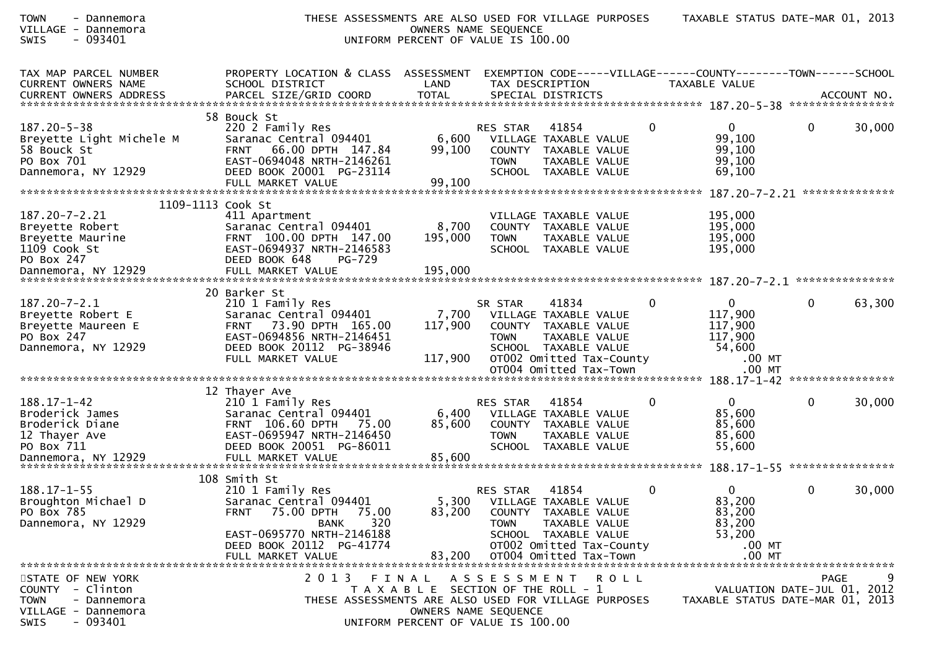| <b>TOWN</b><br>- Dannemora<br>VILLAGE - Dannemora<br>- 093401<br>SWIS | THESE ASSESSMENTS ARE ALSO USED FOR VILLAGE PURPOSES          | OWNERS NAME SEQUENCE<br>UNIFORM PERCENT OF VALUE IS 100.00 |                             |                                                    |             |              | TAXABLE STATUS DATE-MAR 01, 2013                                               |              |             |
|-----------------------------------------------------------------------|---------------------------------------------------------------|------------------------------------------------------------|-----------------------------|----------------------------------------------------|-------------|--------------|--------------------------------------------------------------------------------|--------------|-------------|
| TAX MAP PARCEL NUMBER<br>CURRENT OWNERS NAME                          | PROPERTY LOCATION & CLASS ASSESSMENT<br>SCHOOL DISTRICT       | LAND                                                       |                             | TAX DESCRIPTION                                    |             |              | EXEMPTION CODE-----VILLAGE------COUNTY-------TOWN------SCHOOL<br>TAXABLE VALUE |              |             |
| CURRENT OWNERS ADDRESS                                                | PARCEL SIZE/GRID COORD                                        | <b>TOTAL</b>                                               |                             | SPECIAL DISTRICTS                                  |             |              |                                                                                |              | ACCOUNT NO. |
| $187.20 - 5 - 38$                                                     | 58 Bouck St<br>220 2 Family Res                               |                                                            | <b>RES STAR</b>             | 41854                                              |             | 0            | $\overline{0}$                                                                 | $\mathbf{0}$ | 30,000      |
| Breyette Light Michele M                                              | Saranac Central 094401                                        | 6,600                                                      |                             | VILLAGE TAXABLE VALUE                              |             |              | 99,100                                                                         |              |             |
| 58 Bouck St<br>PO Box 701                                             | <b>FRNT</b><br>66.00 DPTH 147.84<br>EAST-0694048 NRTH-2146261 | 99,100                                                     | <b>TOWN</b>                 | COUNTY TAXABLE VALUE<br>TAXABLE VALUE              |             |              | 99,100<br>99,100                                                               |              |             |
| Dannemora, NY 12929                                                   | DEED BOOK 20001 PG-23114<br>FULL MARKET VALUE                 | 99,100                                                     |                             | SCHOOL TAXABLE VALUE                               |             |              | 69,100                                                                         |              |             |
| 1109-1113 Cook St                                                     |                                                               |                                                            |                             |                                                    |             |              |                                                                                |              |             |
| 187.20-7-2.21                                                         | 411 Apartment                                                 |                                                            |                             | VILLAGE TAXABLE VALUE                              |             |              | 195,000                                                                        |              |             |
| Breyette Robert<br>Breyette Maurine                                   | Saranac Central 094401<br>FRNT 100.00 DPTH 147.00             | 8,700<br>195,000                                           | COUNTY<br><b>TOWN</b>       | TAXABLE VALUE<br>TAXABLE VALUE                     |             |              | 195,000<br>195,000                                                             |              |             |
| 1109 Cook St<br>PO Box 247                                            | EAST-0694937 NRTH-2146583<br>DEED BOOK 648<br>$PG-729$        |                                                            |                             | SCHOOL TAXABLE VALUE                               |             |              | 195,000                                                                        |              |             |
|                                                                       |                                                               |                                                            |                             |                                                    |             |              |                                                                                |              |             |
|                                                                       | 20 Barker St                                                  |                                                            |                             |                                                    |             |              |                                                                                |              |             |
| $187.20 - 7 - 2.1$<br>Breyette Robert E                               | 210 1 Family Res<br>Saranac Central 094401                    | 7,700                                                      | SR STAR                     | 41834<br>VILLAGE TAXABLE VALUE                     |             | $\bf{0}$     | $\overline{0}$<br>117,900                                                      | $\bf{0}$     | 63,300      |
| Breyette Maureen E                                                    | 73.90 DPTH 165.00<br><b>FRNT</b>                              | 117,900                                                    |                             | COUNTY TAXABLE VALUE                               |             |              | 117,900                                                                        |              |             |
| PO Box 247<br>Dannemora, NY 12929                                     | EAST-0694856 NRTH-2146451<br>DEED BOOK 20112 PG-38946         |                                                            | <b>TOWN</b>                 | TAXABLE VALUE<br>SCHOOL TAXABLE VALUE              |             |              | 117,900<br>54,600                                                              |              |             |
|                                                                       | FULL MARKET VALUE                                             | 117,900                                                    |                             | OT002 Omitted Tax-County<br>OT004 Omitted Tax-Town |             |              | .00 MT<br>$.00$ MT                                                             |              |             |
|                                                                       |                                                               |                                                            |                             |                                                    |             |              |                                                                                |              |             |
| $188.17 - 1 - 42$                                                     | 12 Thayer Ave<br>210 1 Family Res                             |                                                            | RES STAR                    | 41854                                              |             | $\mathbf{0}$ | $\overline{0}$                                                                 | $\mathbf 0$  | 30,000      |
| Broderick James<br>Broderick Diane                                    | Saranac Central 094401<br>FRNT 106.60 DPTH 75.00              | 6,400<br>85,600                                            | COUNTY                      | VILLAGE TAXABLE VALUE<br>TAXABLE VALUE             |             |              | 85,600<br>85,600                                                               |              |             |
| 12 Thayer Ave                                                         | EAST-0695947 NRTH-2146450                                     |                                                            | <b>TOWN</b>                 | TAXABLE VALUE                                      |             |              | 85,600                                                                         |              |             |
| PO Box 711                                                            | DEED BOOK 20051 PG-86011                                      |                                                            |                             | SCHOOL TAXABLE VALUE                               |             |              | 55,600                                                                         |              |             |
|                                                                       | 108 Smith St                                                  |                                                            |                             |                                                    |             |              |                                                                                |              |             |
| $188.17 - 1 - 55$                                                     | 210 1 Family Res                                              |                                                            | RES STAR                    | 41854                                              |             | 0            | 0                                                                              | $\mathbf{0}$ | 30,000      |
| Broughton Michael D<br>PO Box 785                                     | Saranac Central 094401<br>75.00 DPTH<br>75.00<br><b>FRNT</b>  | 83,200                                                     | 5,300 VILLAGE TAXABLE VALUE | COUNTY TAXABLE VALUE                               |             |              | 83,200<br>83,200                                                               |              |             |
| Dannemora, NY 12929                                                   | 320<br>BANK<br>EAST-0695770 NRTH-2146188                      |                                                            | TOWN                        | TAXABLE VALUE<br>SCHOOL TAXABLE VALUE              |             |              | 83,200<br>53,200                                                               |              |             |
|                                                                       | DEED BOOK 20112 PG-41774                                      |                                                            |                             | OT002 Omitted Tax-County                           |             |              | $.00$ MT                                                                       |              |             |
|                                                                       | FULL MARKET VALUE                                             | 83,200                                                     |                             | OT004 Omitted Tax-Town                             |             |              | $.00$ MT                                                                       |              |             |
| STATE OF NEW YORK<br>- Clinton<br><b>COUNTY</b>                       | 2 0 1 3                                                       | FINAL<br>T A X A B L E SECTION OF THE ROLL - 1             | A S S E S S M E N T         |                                                    | <b>ROLL</b> |              | VALUATION DATE-JUL 01, 2012                                                    | <b>PAGE</b>  | 9           |
| <b>TOWN</b><br>- Dannemora                                            | THESE ASSESSMENTS ARE ALSO USED FOR VILLAGE PURPOSES          |                                                            |                             |                                                    |             |              | TAXABLE STATUS DATE-MAR 01, 2013                                               |              |             |
| VILLAGE - Dannemora<br>$-093401$<br><b>SWIS</b>                       |                                                               | UNIFORM PERCENT OF VALUE IS 100.00                         | OWNERS NAME SEQUENCE        |                                                    |             |              |                                                                                |              |             |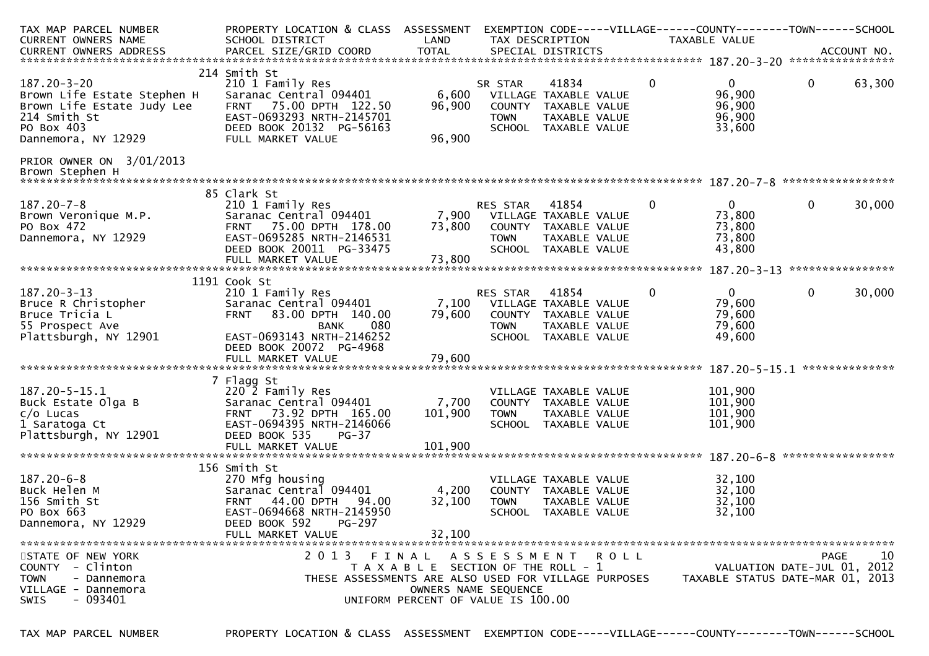| TAX MAP PARCEL NUMBER<br><b>CURRENT OWNERS NAME</b>                                                                                 | PROPERTY LOCATION & CLASS ASSESSMENT<br>SCHOOL DISTRICT                                                                                                                                           | LAND                                                                                                | TAX DESCRIPTION             |                                                                                                 |             | EXEMPTION CODE-----VILLAGE------COUNTY--------TOWN------SCHOOL<br>TAXABLE VALUE |                   |                  |
|-------------------------------------------------------------------------------------------------------------------------------------|---------------------------------------------------------------------------------------------------------------------------------------------------------------------------------------------------|-----------------------------------------------------------------------------------------------------|-----------------------------|-------------------------------------------------------------------------------------------------|-------------|---------------------------------------------------------------------------------|-------------------|------------------|
|                                                                                                                                     |                                                                                                                                                                                                   |                                                                                                     |                             |                                                                                                 |             |                                                                                 |                   |                  |
| $187.20 - 3 - 20$<br>Brown Life Estate Stephen H<br>Brown Life Estate Judy Lee<br>214 Smith St<br>PO Box 403<br>Dannemora, NY 12929 | 214 Smith St<br>210 1 Family Res<br>Saranac Central 094401<br>75.00 DPTH 122.50<br><b>FRNT</b><br>EAST-0693293 NRTH-2145701<br>DEED BOOK 20132 PG-56163<br>FULL MARKET VALUE                      | 6,600<br>96,900<br>96,900                                                                           | SR STAR<br><b>TOWN</b>      | 41834<br>VILLAGE TAXABLE VALUE<br>COUNTY TAXABLE VALUE<br>TAXABLE VALUE<br>SCHOOL TAXABLE VALUE | 0           | $\mathbf{0}$<br>96,900<br>96,900<br>96,900<br>33,600                            | $\mathbf 0$       | 63,300           |
| PRIOR OWNER ON 3/01/2013<br>Brown Stephen H                                                                                         |                                                                                                                                                                                                   |                                                                                                     |                             |                                                                                                 |             |                                                                                 |                   |                  |
|                                                                                                                                     | 85 Clark St                                                                                                                                                                                       |                                                                                                     |                             |                                                                                                 |             |                                                                                 |                   |                  |
| $187.20 - 7 - 8$<br>Brown Veronique M.P.<br>PO Box 472<br>Dannemora, NY 12929                                                       | 210 1 Family Res<br>Saranac Central 094401<br>FRNT 75.00 DPTH 178.00<br>EAST-0695285 NRTH-2146531<br>DEED BOOK 20011 PG-33475                                                                     | 7,900<br>73,800                                                                                     | RES STAR<br><b>TOWN</b>     | 41854<br>VILLAGE TAXABLE VALUE<br>COUNTY TAXABLE VALUE<br>TAXABLE VALUE<br>SCHOOL TAXABLE VALUE | $\mathbf 0$ | $\mathbf{0}$<br>73,800<br>73,800<br>73,800<br>43,800                            | $\mathbf 0$       | 30,000           |
|                                                                                                                                     |                                                                                                                                                                                                   |                                                                                                     |                             |                                                                                                 |             |                                                                                 |                   | **************** |
| $187.20 - 3 - 13$<br>Bruce R Christopher<br>Bruce Tricia L<br>55 Prospect Ave<br>Plattsburgh, NY 12901                              | 1191 Cook St<br>210 1 Family Res<br>Saranac Central 094401<br>83.00 DPTH 140.00<br><b>FRNT</b><br>080<br><b>BANK</b><br>EAST-0693143 NRTH-2146252<br>DEED BOOK 20072 PG-4968<br>FULL MARKET VALUE | 7,100<br>79,600<br>79,600                                                                           | RES STAR<br><b>TOWN</b>     | 41854<br>VILLAGE TAXABLE VALUE<br>COUNTY TAXABLE VALUE<br>TAXABLE VALUE<br>SCHOOL TAXABLE VALUE | 0           | $\mathbf{0}$<br>79,600<br>79,600<br>79,600<br>49,600                            | $\mathbf{0}$      | 30,000           |
|                                                                                                                                     |                                                                                                                                                                                                   |                                                                                                     |                             |                                                                                                 |             |                                                                                 |                   | **************   |
| $187.20 - 5 - 15.1$<br>Buck Estate Olga B<br>$c/o$ Lucas<br>1 Saratoga Ct<br>Plattsburgh, NY 12901                                  | 7 Flagg St<br>220 2 Family Res<br>Saranac Central 094401<br>FRNT 73.92 DPTH 165.00<br>EAST-0694395 NRTH-2146066<br>DEED BOOK 535<br>$PG-37$<br>FULL MARKET VALUE                                  | 7,700<br>101,900<br>101,900                                                                         | <b>TOWN</b>                 | VILLAGE TAXABLE VALUE<br>COUNTY TAXABLE VALUE<br>TAXABLE VALUE<br>SCHOOL TAXABLE VALUE          |             | 101,900<br>101,900<br>101,900<br>101,900                                        |                   |                  |
|                                                                                                                                     | 156 Smith St                                                                                                                                                                                      |                                                                                                     |                             |                                                                                                 |             |                                                                                 | ***************** |                  |
| $187.20 - 6 - 8$<br>Buck Helen M<br>156 Smith St<br>PO Box 663<br>Dannemora, NY 12929                                               | 270 Mfg housing<br>Saranac Central 094401<br>44.00 DPTH<br><b>FRNT</b><br>94.00<br>EAST-0694668 NRTH-2145950<br>DEED BOOK 592<br><b>PG-297</b>                                                    | 4,200<br>32,100                                                                                     | <b>TOWN</b>                 | VILLAGE TAXABLE VALUE<br>COUNTY TAXABLE VALUE<br>TAXABLE VALUE<br>SCHOOL TAXABLE VALUE          |             | 32,100<br>32,100<br>32,100<br>32,100                                            |                   |                  |
|                                                                                                                                     | FULL MARKET VALUE                                                                                                                                                                                 | 32,100                                                                                              |                             |                                                                                                 |             |                                                                                 |                   |                  |
| STATE OF NEW YORK<br>COUNTY - Clinton<br><b>TOWN</b><br>- Dannemora<br>VILLAGE - Dannemora<br>- 093401<br><b>SWIS</b>               | 2013<br>FINAL<br>THESE ASSESSMENTS ARE ALSO USED FOR VILLAGE PURPOSES                                                                                                                             | T A X A B L E SECTION OF THE ROLL - 1<br>OWNERS NAME SEQUENCE<br>UNIFORM PERCENT OF VALUE IS 100.00 | A S S E S S M E N T R O L L |                                                                                                 |             | VALUATION DATE-JUL 01, 2012<br>TAXABLE STATUS DATE-MAR 01, 2013                 | PAGE              | 10               |

TAX MAP PARCEL NUMBER PROPERTY LOCATION & CLASS ASSESSMENT EXEMPTION CODE-----VILLAGE------COUNTY--------TOWN------SCHOOL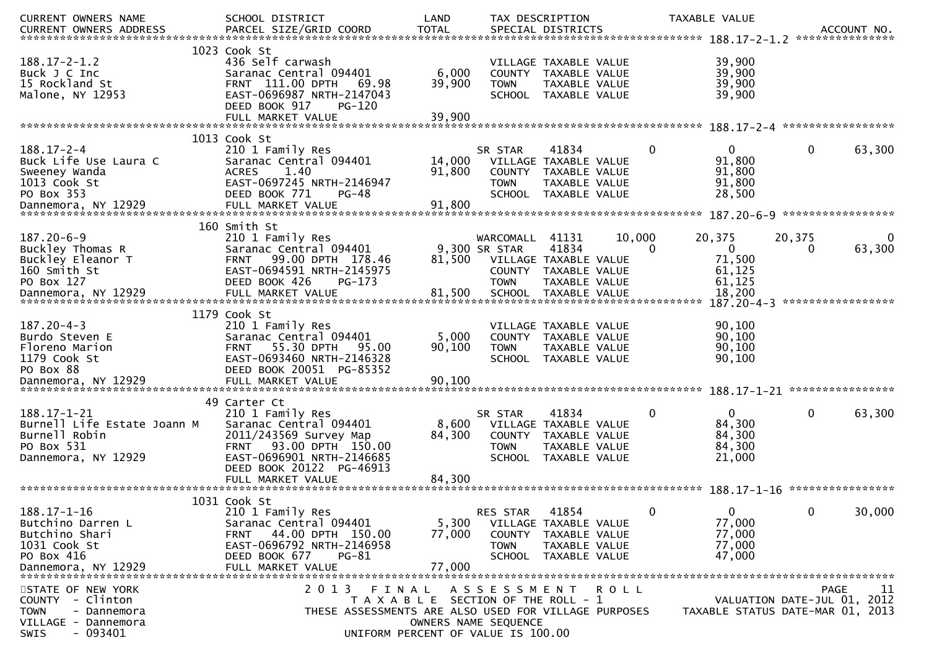| CURRENT OWNERS NAME                                                                                             | SCHOOL DISTRICT                                                                                                                                                               | LAND                                                                                                |                                                          | TAX DESCRIPTION                                                                                          |        |          | TAXABLE VALUE                                        |                                     | ACCOUNT NO.<br>*************** |
|-----------------------------------------------------------------------------------------------------------------|-------------------------------------------------------------------------------------------------------------------------------------------------------------------------------|-----------------------------------------------------------------------------------------------------|----------------------------------------------------------|----------------------------------------------------------------------------------------------------------|--------|----------|------------------------------------------------------|-------------------------------------|--------------------------------|
| $188.17 - 2 - 1.2$<br>Buck J C Inc<br>15 Rockland St<br>Malone, NY 12953                                        | 1023 Cook St<br>436 Self carwash<br>Saranac Central 094401<br>FRNT 111.00 DPTH<br>69.98<br>EAST-0696987 NRTH-2147043<br>DEED BOOK 917<br><b>PG-120</b><br>FULL MARKET VALUE   | 6,000<br>39,900<br>39,900                                                                           | <b>COUNTY</b><br><b>TOWN</b>                             | VILLAGE TAXABLE VALUE<br>TAXABLE VALUE<br>TAXABLE VALUE<br>SCHOOL TAXABLE VALUE                          |        |          | 39,900<br>39,900<br>39,900<br>39,900                 |                                     |                                |
|                                                                                                                 | 1013 Cook St                                                                                                                                                                  |                                                                                                     |                                                          |                                                                                                          |        |          |                                                      |                                     |                                |
| $188.17 - 2 - 4$<br>Buck Life Use Laura C<br>Sweeney Wanda<br>1013 Cook St<br>PO Box 353                        | 210 1 Family Res<br>Saranac Central 094401<br><b>ACRES</b><br>1.40<br>EAST-0697245 NRTH-2146947<br>DEED BOOK 771<br>PG-48                                                     | 14,000<br>91,800                                                                                    | SR STAR<br><b>COUNTY</b><br><b>TOWN</b><br><b>SCHOOL</b> | 41834<br>VILLAGE TAXABLE VALUE<br>TAXABLE VALUE<br>TAXABLE VALUE<br>TAXABLE VALUE                        |        | 0        | $\mathbf{0}$<br>91,800<br>91,800<br>91,800<br>28,500 | 0                                   | 63,300                         |
|                                                                                                                 |                                                                                                                                                                               |                                                                                                     |                                                          |                                                                                                          |        |          |                                                      |                                     |                                |
| $187.20 - 6 - 9$<br>Buckley Thomas R<br>Buckley Eleanor T<br>160 Smith St<br>PO Box 127<br>Dannemora, NY 12929  | 160 Smith St<br>210 1 Family Res<br>Saranac Central 094401<br>99.00 DPTH 178.46<br><b>FRNT</b><br>EAST-0694591 NRTH-2145975<br>DEED BOOK 426<br>$PG-173$<br>FULL MARKET VALUE | 81,500<br>81,500                                                                                    | WARCOMALL<br>9,300 SR STAR<br><b>TOWN</b>                | 41131<br>41834<br>VILLAGE TAXABLE VALUE<br>COUNTY TAXABLE VALUE<br>TAXABLE VALUE<br>SCHOOL TAXABLE VALUE | 10,000 | $\Omega$ | 20,375<br>0<br>71,500<br>61,125<br>61,125<br>18,200  | 20,375<br>$\bf{0}$                  | 63,300                         |
|                                                                                                                 |                                                                                                                                                                               |                                                                                                     |                                                          |                                                                                                          |        |          | $187.20 - 4 - 3$                                     | *****************                   |                                |
| $187.20 - 4 - 3$<br>Burdo Steven E<br>Floreno Marion<br>1179 Cook St<br>PO Box 88                               | 1179 Cook St<br>210 1 Family Res<br>Saranac Central 094401<br>55.30 DPTH<br>95.00<br><b>FRNT</b><br>EAST-0693460 NRTH-2146328<br>DEED BOOK 20051 PG-85352                     | 5,000<br>90,100                                                                                     | <b>TOWN</b>                                              | VILLAGE TAXABLE VALUE<br>COUNTY TAXABLE VALUE<br>TAXABLE VALUE<br>SCHOOL TAXABLE VALUE                   |        |          | 90,100<br>90,100<br>90,100<br>90,100                 |                                     | ****************               |
|                                                                                                                 | 49 Carter Ct                                                                                                                                                                  |                                                                                                     |                                                          |                                                                                                          |        |          |                                                      |                                     |                                |
| $188.17 - 1 - 21$<br>Burnell Life Estate Joann M<br>Burnell Robin<br>PO Box 531<br>Dannemora, NY 12929          | 210 1 Family Res<br>Saranac Central 094401<br>2011/243569 Survey Map<br>FRNT 93.00 DPTH 150.00<br>EAST-0696901 NRTH-2146685<br>DEED BOOK 20122 PG-46913                       | 8,600<br>84,300                                                                                     | SR STAR<br><b>COUNTY</b><br><b>TOWN</b>                  | 41834<br>VILLAGE TAXABLE VALUE<br>TAXABLE VALUE<br>TAXABLE VALUE<br>SCHOOL TAXABLE VALUE                 |        | 0        | $\mathbf{0}$<br>84,300<br>84,300<br>84,300<br>21,000 | 0                                   | 63,300                         |
|                                                                                                                 | FULL MARKET VALUE                                                                                                                                                             | 84,300                                                                                              |                                                          |                                                                                                          |        |          |                                                      |                                     |                                |
| $188.17 - 1 - 16$<br>Butchino Darren L<br>Butchino Shari<br>1031 Cook St<br>PO Box 416<br>Dannemora, NY 12929   | 1031 Cook St<br>210 1 Family Res<br>Saranac Central 094401<br>FRNT 44.00 DPTH 150.00<br>EAST-0696792 NRTH-2146958<br>DEED BOOK 677<br>$PG-81$<br>FULL MARKET VALUE            | 5,300<br>77,000<br>77,000                                                                           | RES STAR<br><b>COUNTY</b><br>TOWN<br><b>SCHOOL</b>       | 41854<br>VILLAGE TAXABLE VALUE<br>TAXABLE VALUE<br>TAXABLE VALUE<br>TAXABLE VALUE                        |        | 0        | $\mathbf{0}$<br>77,000<br>77,000<br>77,000<br>47,000 | $\mathbf{0}$                        | ****************<br>30,000     |
| STATE OF NEW YORK<br>COUNTY - Clinton<br><b>TOWN</b><br>- Dannemora<br>VILLAGE - Dannemora<br>$-093401$<br>SWIS | 2 0 1 3<br>FINAL<br>THESE ASSESSMENTS ARE ALSO USED FOR VILLAGE PURPOSES                                                                                                      | T A X A B L E SECTION OF THE ROLL - 1<br>OWNERS NAME SEQUENCE<br>UNIFORM PERCENT OF VALUE IS 100.00 | A S S E S S M E N T R O L L                              |                                                                                                          |        |          | TAXABLE STATUS DATE-MAR 01, 2013                     | PAGE<br>VALUATION DATE-JUL 01, 2012 | 11                             |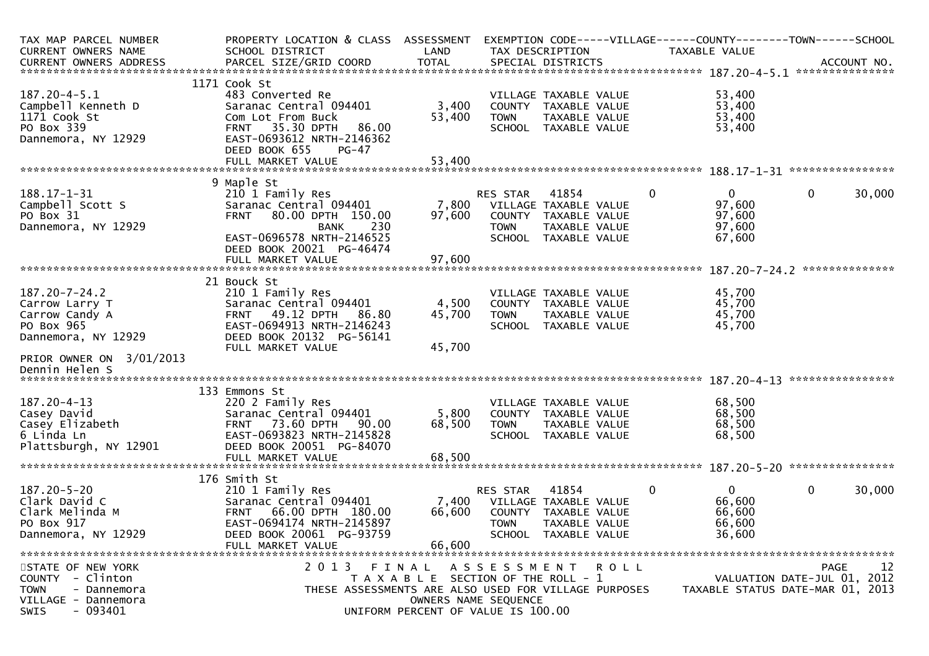| TAX MAP PARCEL NUMBER             | PROPERTY LOCATION & CLASS ASSESSMENT                         |                                       |                     |                       |             |              | EXEMPTION CODE-----VILLAGE------COUNTY--------TOWN------SCHOOL |                   |             |
|-----------------------------------|--------------------------------------------------------------|---------------------------------------|---------------------|-----------------------|-------------|--------------|----------------------------------------------------------------|-------------------|-------------|
| CURRENT OWNERS NAME               | SCHOOL DISTRICT                                              | LAND                                  |                     | TAX DESCRIPTION       |             |              | <b>TAXABLE VALUE</b>                                           |                   |             |
| CURRENT OWNERS ADDRESS            | PARCEL SIZE/GRID COORD                                       | <b>TOTAL</b>                          |                     | SPECIAL DISTRICTS     |             |              |                                                                |                   | ACCOUNT NO. |
|                                   |                                                              |                                       |                     |                       |             |              |                                                                |                   |             |
|                                   | 1171 Cook St                                                 |                                       |                     |                       |             |              |                                                                |                   |             |
| $187.20 - 4 - 5.1$                | 483 Converted Re                                             |                                       |                     | VILLAGE TAXABLE VALUE |             |              | 53,400                                                         |                   |             |
| Campbell Kenneth D                | Saranac Central 094401                                       | 3,400                                 |                     | COUNTY TAXABLE VALUE  |             |              | 53,400                                                         |                   |             |
| 1171 Cook St                      | Com Lot From Buck                                            | 53,400                                | <b>TOWN</b>         | TAXABLE VALUE         |             |              | 53,400                                                         |                   |             |
| PO Box 339<br>Dannemora, NY 12929 | <b>FRNT 35.30 DPTH</b><br>86.00<br>EAST-0693612 NRTH-2146362 |                                       |                     | SCHOOL TAXABLE VALUE  |             |              | 53,400                                                         |                   |             |
|                                   | DEED BOOK 655<br>$PG-47$                                     |                                       |                     |                       |             |              |                                                                |                   |             |
|                                   | FULL MARKET VALUE                                            | 53,400                                |                     |                       |             |              |                                                                |                   |             |
|                                   |                                                              |                                       |                     |                       |             |              |                                                                |                   |             |
|                                   | 9 Maple St                                                   |                                       |                     |                       |             |              |                                                                |                   |             |
| $188.17 - 1 - 31$                 | 210 1 Family Res                                             |                                       | <b>RES STAR</b>     | 41854                 |             | 0            | 0                                                              | 0                 | 30,000      |
| Campbell Scott S                  | Saranac Central 094401                                       | 7,800                                 |                     | VILLAGE TAXABLE VALUE |             |              | 97,600                                                         |                   |             |
| PO Box 31                         | <b>FRNT</b><br>80.00 DPTH 150.00                             | 97,600                                |                     | COUNTY TAXABLE VALUE  |             |              | 97,600                                                         |                   |             |
| Dannemora, NY 12929               | 230<br><b>BANK</b>                                           |                                       | <b>TOWN</b>         | TAXABLE VALUE         |             |              | 97,600                                                         |                   |             |
|                                   | EAST-0696578 NRTH-2146525                                    |                                       |                     | SCHOOL TAXABLE VALUE  |             |              | 67,600                                                         |                   |             |
|                                   | DEED BOOK 20021 PG-46474                                     |                                       |                     |                       |             |              |                                                                |                   |             |
|                                   | FULL MARKET VALUE                                            | 97,600                                |                     |                       |             |              |                                                                |                   |             |
|                                   |                                                              |                                       |                     |                       |             |              |                                                                |                   |             |
|                                   | 21 Bouck St                                                  |                                       |                     |                       |             |              |                                                                |                   |             |
| $187.20 - 7 - 24.2$               | 210 1 Family Res                                             |                                       |                     | VILLAGE TAXABLE VALUE |             |              | 45,700                                                         |                   |             |
| Carrow Larry T                    | Saranac Central 094401                                       | 4,500                                 |                     | COUNTY TAXABLE VALUE  |             |              | 45,700                                                         |                   |             |
| Carrow Candy A                    | FRNT 49.12 DPTH<br>86.80                                     | 45,700                                | <b>TOWN</b>         | TAXABLE VALUE         |             |              | 45,700                                                         |                   |             |
| PO Box 965                        | EAST-0694913 NRTH-2146243                                    |                                       |                     | SCHOOL TAXABLE VALUE  |             |              | 45,700                                                         |                   |             |
| Dannemora, NY 12929               | DEED BOOK 20132 PG-56141                                     |                                       |                     |                       |             |              |                                                                |                   |             |
|                                   | FULL MARKET VALUE                                            | 45,700                                |                     |                       |             |              |                                                                |                   |             |
| PRIOR OWNER ON 3/01/2013          |                                                              |                                       |                     |                       |             |              |                                                                |                   |             |
| Dennin Helen S                    |                                                              |                                       |                     |                       |             |              |                                                                |                   |             |
|                                   |                                                              |                                       |                     |                       |             |              |                                                                | ***************** |             |
|                                   | 133 Emmons St                                                |                                       |                     |                       |             |              |                                                                |                   |             |
| $187.20 - 4 - 13$                 | 220 2 Family Res                                             |                                       |                     | VILLAGE TAXABLE VALUE |             |              | 68,500                                                         |                   |             |
| Casey David                       | Saranac Central 094401                                       | 5,800                                 |                     | COUNTY TAXABLE VALUE  |             |              | 68,500                                                         |                   |             |
| Casey Elizabeth                   | <b>FRNT 73.60 DPTH</b><br>90.00                              | 68,500                                | <b>TOWN</b>         | TAXABLE VALUE         |             |              | 68,500                                                         |                   |             |
| 6 Linda Ln                        | EAST-0693823 NRTH-2145828                                    |                                       |                     | SCHOOL TAXABLE VALUE  |             |              | 68,500                                                         |                   |             |
| Plattsburgh, NY 12901             | DEED BOOK 20051 PG-84070                                     |                                       |                     |                       |             |              |                                                                |                   |             |
|                                   | FULL MARKET VALUE                                            | 68,500                                |                     |                       |             |              |                                                                |                   |             |
|                                   | 176 Smith St                                                 |                                       |                     |                       |             |              |                                                                |                   |             |
| $187.20 - 5 - 20$                 | 210 1 Family Res                                             |                                       | RES STAR            | 41854                 |             | $\mathbf{0}$ | $\mathbf{0}$                                                   | 0                 | 30,000      |
| Clark David C                     | Saranac Central 094401                                       | 7,400                                 |                     | VILLAGE TAXABLE VALUE |             |              | 66,600                                                         |                   |             |
| Clark Melinda M                   | 66.00 DPTH 180.00<br><b>FRNT</b>                             | 66,600                                | COUNTY              | TAXABLE VALUE         |             |              | 66,600                                                         |                   |             |
| PO Box 917                        | EAST-0694174 NRTH-2145897                                    |                                       | <b>TOWN</b>         | TAXABLE VALUE         |             |              | 66,600                                                         |                   |             |
| Dannemora, NY 12929               | DEED BOOK 20061 PG-93759                                     |                                       |                     | SCHOOL TAXABLE VALUE  |             |              | 36,600                                                         |                   |             |
|                                   | FULL MARKET VALUE                                            | 66,600                                |                     |                       |             |              |                                                                |                   |             |
|                                   |                                                              |                                       |                     |                       |             |              |                                                                |                   |             |
| STATE OF NEW YORK                 | 2013<br>FINAL                                                |                                       | A S S E S S M E N T |                       | <b>ROLL</b> |              |                                                                | PAGE              | 12          |
| COUNTY - Clinton                  |                                                              | T A X A B L E SECTION OF THE ROLL - 1 |                     |                       |             |              | VALUATION DATE-JUL 01, 2012                                    |                   |             |
| <b>TOWN</b><br>- Dannemora        | THESE ASSESSMENTS ARE ALSO USED FOR VILLAGE PURPOSES         |                                       |                     |                       |             |              | TAXABLE STATUS DATE-MAR 01, 2013                               |                   |             |
| VILLAGE - Dannemora               |                                                              | OWNERS NAME SEQUENCE                  |                     |                       |             |              |                                                                |                   |             |
| - 093401<br><b>SWIS</b>           |                                                              | UNIFORM PERCENT OF VALUE IS 100.00    |                     |                       |             |              |                                                                |                   |             |
|                                   |                                                              |                                       |                     |                       |             |              |                                                                |                   |             |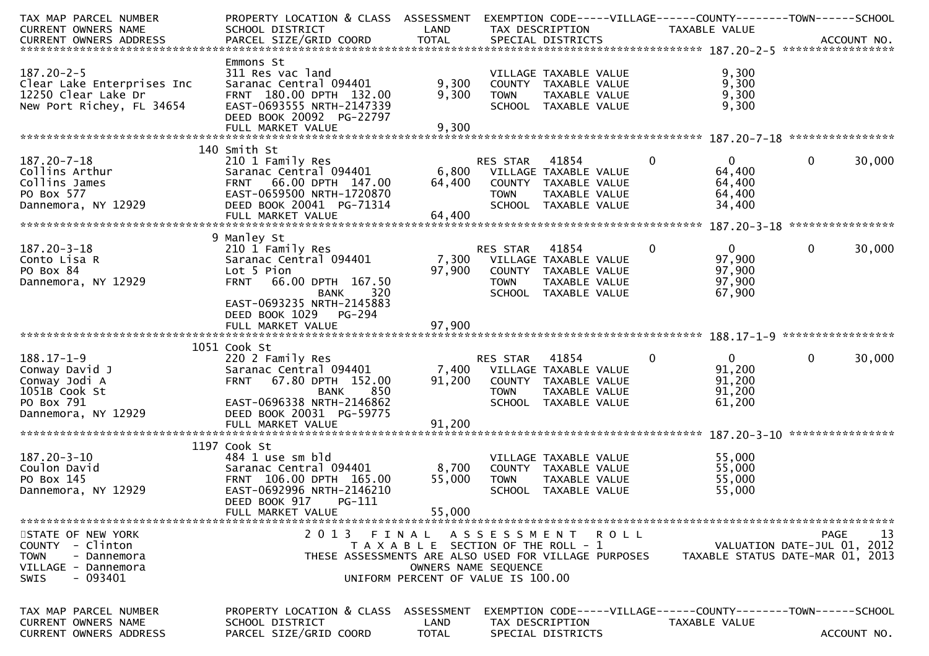| TAX MAP PARCEL NUMBER<br><b>CURRENT OWNERS NAME</b>                                                            | PROPERTY LOCATION & CLASS ASSESSMENT<br>SCHOOL DISTRICT                                                                                                            | LAND                          | TAX DESCRIPTION                                                                                                                                                    |                    | TAXABLE VALUE                                        | EXEMPTION CODE-----VILLAGE------COUNTY--------TOWN------SCHOOL                |
|----------------------------------------------------------------------------------------------------------------|--------------------------------------------------------------------------------------------------------------------------------------------------------------------|-------------------------------|--------------------------------------------------------------------------------------------------------------------------------------------------------------------|--------------------|------------------------------------------------------|-------------------------------------------------------------------------------|
|                                                                                                                |                                                                                                                                                                    |                               |                                                                                                                                                                    |                    |                                                      |                                                                               |
| $187.20 - 2 - 5$<br>Clear Lake Enterprises Inc<br>12250 Clear Lake Dr<br>New Port Richey, FL 34654             | Emmons St<br>311 Res vac land<br>Saranac Central 094401<br>FRNT 180.00 DPTH 132.00<br>EAST-0693555 NRTH-2147339<br>DEED BOOK 20092 PG-22797                        | 9,300<br>9,300                | VILLAGE TAXABLE VALUE<br>COUNTY TAXABLE VALUE<br><b>TOWN</b><br>SCHOOL TAXABLE VALUE                                                                               | TAXABLE VALUE      | 9,300<br>9,300<br>9,300<br>9,300                     |                                                                               |
|                                                                                                                | FULL MARKET VALUE                                                                                                                                                  | 9,300                         |                                                                                                                                                                    |                    |                                                      |                                                                               |
|                                                                                                                |                                                                                                                                                                    |                               |                                                                                                                                                                    |                    |                                                      |                                                                               |
| $187.20 - 7 - 18$<br>Collins Arthur<br>Collins James<br>PO Box 577<br>Dannemora, NY 12929                      | 140 Smith St<br>210 1 Family Res<br>Saranac Central 094401<br>FRNT 66.00 DPTH 147.00<br>EAST-0659500 NRTH-1720870<br>DEED BOOK 20041 PG-71314<br>FULL MARKET VALUE | 6,800<br>64,400<br>64,400     | RES STAR<br>41854<br>VILLAGE TAXABLE VALUE<br>COUNTY<br>TAXABLE VALUE<br><b>TOWN</b><br>SCHOOL<br>TAXABLE VALUE                                                    | 0<br>TAXABLE VALUE | $\mathbf{0}$<br>64,400<br>64,400<br>64,400<br>34,400 | $\mathbf 0$<br>30,000                                                         |
|                                                                                                                |                                                                                                                                                                    |                               |                                                                                                                                                                    |                    |                                                      |                                                                               |
| $187.20 - 3 - 18$<br>Conto Lisa R<br>PO Box 84<br>Dannemora, NY 12929                                          | 9 Manley St<br>210 1 Family Res<br>Saranac Central 094401<br>Lot 5 Pion<br>66.00 DPTH 167.50<br><b>FRNT</b><br>320<br><b>BANK</b>                                  | 7,300<br>97,900               | 41854<br><b>RES STAR</b><br>VILLAGE TAXABLE VALUE<br>COUNTY TAXABLE VALUE<br><b>TOWN</b><br>SCHOOL TAXABLE VALUE                                                   | 0<br>TAXABLE VALUE | $\mathbf{0}$<br>97,900<br>97,900<br>97,900<br>67,900 | $\mathbf{0}$<br>30,000                                                        |
|                                                                                                                | EAST-0693235 NRTH-2145883<br>DEED BOOK 1029<br>PG-294                                                                                                              |                               |                                                                                                                                                                    |                    |                                                      |                                                                               |
|                                                                                                                | 1051 Cook St                                                                                                                                                       |                               |                                                                                                                                                                    |                    |                                                      |                                                                               |
| $188.17 - 1 - 9$<br>Conway David J<br>Conway Jodi A<br>1051B Cook St<br>PO Box 791<br>Dannemora, NY 12929      | 220 2 Family Res<br>Saranac Central 094401<br>67.80 DPTH 152.00<br><b>FRNT</b><br>850<br><b>BANK</b><br>EAST-0696338 NRTH-2146862<br>DEED BOOK 20031 PG-59775      | 7,400<br>91,200               | RES STAR<br>41854<br>VILLAGE TAXABLE VALUE<br>COUNTY<br>TAXABLE VALUE<br><b>TOWN</b><br>SCHOOL TAXABLE VALUE                                                       | 0<br>TAXABLE VALUE | $\mathbf{0}$<br>91,200<br>91,200<br>91,200<br>61,200 | $\mathbf 0$<br>30,000                                                         |
|                                                                                                                | FULL MARKET VALUE                                                                                                                                                  | 91,200                        |                                                                                                                                                                    |                    |                                                      |                                                                               |
|                                                                                                                |                                                                                                                                                                    |                               |                                                                                                                                                                    |                    |                                                      |                                                                               |
| $187.20 - 3 - 10$<br>Coulon David<br>PO Box 145<br>Dannemora, NY 12929                                         | 1197 Cook St<br>484 1 use sm bld<br>Saranac Central 094401<br>FRNT 106.00 DPTH 165.00<br>EAST-0692996 NRTH-2146210<br>DEED BOOK 917<br>PG-111                      | 8,700<br>55,000               | VILLAGE TAXABLE VALUE<br>COUNTY TAXABLE VALUE<br><b>TOWN</b><br>SCHOOL TAXABLE VALUE                                                                               | TAXABLE VALUE      | 55,000<br>55,000<br>55,000<br>55,000                 |                                                                               |
|                                                                                                                | FULL MARKET VALUE                                                                                                                                                  | 55,000                        |                                                                                                                                                                    |                    |                                                      |                                                                               |
| STATE OF NEW YORK<br>COUNTY - Clinton<br><b>TOWN</b><br>- Dannemora<br>VILLAGE - Dannemora<br>- 093401<br>SWIS | 2013                                                                                                                                                               | FINAL<br>OWNERS NAME SEQUENCE | A S S E S S M E N T R O L L<br>T A X A B L E SECTION OF THE ROLL - 1<br>THESE ASSESSMENTS ARE ALSO USED FOR VILLAGE PURPOSES<br>UNIFORM PERCENT OF VALUE IS 100.00 |                    |                                                      | 13<br>PAGE<br>VALUATION DATE-JUL 01, 2012<br>TAXABLE STATUS DATE-MAR 01, 2013 |
| TAX MAP PARCEL NUMBER                                                                                          | PROPERTY LOCATION & CLASS                                                                                                                                          | ASSESSMENT                    |                                                                                                                                                                    |                    |                                                      |                                                                               |
| CURRENT OWNERS NAME<br>CURRENT OWNERS ADDRESS                                                                  | SCHOOL DISTRICT<br>PARCEL SIZE/GRID COORD                                                                                                                          | LAND<br>TOTAL                 | TAX DESCRIPTION<br>SPECIAL DISTRICTS                                                                                                                               |                    | TAXABLE VALUE                                        | ACCOUNT NO.                                                                   |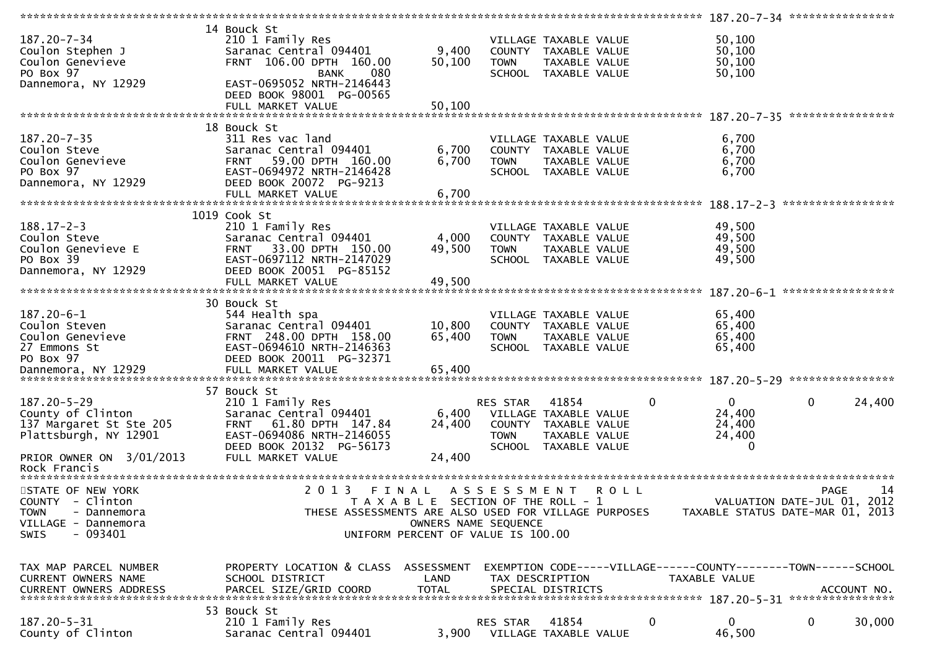|                                  |                                                      |                                       |                     |                                | ***************** | 187.20-7-34 *****************                                  |                   |             |
|----------------------------------|------------------------------------------------------|---------------------------------------|---------------------|--------------------------------|-------------------|----------------------------------------------------------------|-------------------|-------------|
| 187.20-7-34                      | 14 Bouck St<br>210 1 Family Res                      |                                       |                     | VILLAGE TAXABLE VALUE          |                   | 50,100                                                         |                   |             |
| Coulon Stephen J                 | Saranac Central 094401                               | 9,400                                 |                     | COUNTY TAXABLE VALUE           |                   | 50,100                                                         |                   |             |
| Coulon Genevieve                 | FRNT 106.00 DPTH 160.00                              | 50,100                                | <b>TOWN</b>         | TAXABLE VALUE                  |                   | 50,100                                                         |                   |             |
| PO Box 97                        | 080                                                  |                                       |                     | SCHOOL TAXABLE VALUE           |                   |                                                                |                   |             |
|                                  | <b>BANK</b>                                          |                                       |                     |                                |                   | 50,100                                                         |                   |             |
| Dannemora, NY 12929              | EAST-0695052 NRTH-2146443                            |                                       |                     |                                |                   |                                                                |                   |             |
|                                  | DEED BOOK 98001 PG-00565                             |                                       |                     |                                |                   |                                                                |                   |             |
|                                  | FULL MARKET VALUE                                    | 50,100                                |                     |                                |                   |                                                                |                   |             |
|                                  |                                                      |                                       |                     |                                |                   |                                                                |                   |             |
|                                  | 18 Bouck St                                          |                                       |                     |                                |                   |                                                                |                   |             |
| 187.20-7-35                      | 311 Res vac land                                     |                                       |                     | VILLAGE TAXABLE VALUE          |                   | 6,700                                                          |                   |             |
| Coulon Steve                     | Saranac Central 094401                               | 6,700                                 |                     | COUNTY TAXABLE VALUE           |                   | 6,700                                                          |                   |             |
|                                  |                                                      |                                       |                     |                                |                   |                                                                |                   |             |
| Coulon Genevieve                 | 59.00 DPTH 160.00<br>FRNT                            | 6,700                                 | <b>TOWN</b>         | TAXABLE VALUE                  |                   | 6,700                                                          |                   |             |
| PO Box 97                        | EAST-0694972 NRTH-2146428                            |                                       |                     | SCHOOL TAXABLE VALUE           |                   | 6,700                                                          |                   |             |
| Dannemora, NY 12929              | DEED BOOK 20072 PG-9213                              |                                       |                     |                                |                   |                                                                |                   |             |
|                                  | FULL MARKET VALUE                                    | 6,700                                 |                     |                                |                   |                                                                |                   |             |
|                                  |                                                      |                                       |                     |                                |                   |                                                                | ***************** |             |
|                                  | 1019 Cook St                                         |                                       |                     |                                |                   |                                                                |                   |             |
| $188.17 - 2 - 3$                 | 210 1 Family Res                                     |                                       |                     | VILLAGE TAXABLE VALUE          |                   | 49,500                                                         |                   |             |
| Coulon Steve                     | Saranac Central 094401                               | 4,000                                 |                     | COUNTY TAXABLE VALUE           |                   | 49,500                                                         |                   |             |
|                                  |                                                      |                                       |                     |                                |                   |                                                                |                   |             |
| Coulon Genevieve E               | 33.00 DPTH 150.00<br><b>FRNT</b>                     | 49,500                                | <b>TOWN</b>         | TAXABLE VALUE                  |                   | 49,500                                                         |                   |             |
| PO Box 39                        | EAST-0697112 NRTH-2147029                            |                                       |                     | SCHOOL TAXABLE VALUE           |                   | 49,500                                                         |                   |             |
| Dannemora, NY 12929              | DEED BOOK 20051 PG-85152                             |                                       |                     |                                |                   |                                                                |                   |             |
|                                  | FULL MARKET VALUE                                    | 49,500                                |                     |                                |                   |                                                                |                   |             |
|                                  |                                                      |                                       |                     |                                |                   |                                                                | ****************  |             |
|                                  | 30 Bouck St                                          |                                       |                     |                                |                   |                                                                |                   |             |
| $187.20 - 6 - 1$                 | 544 Health spa                                       |                                       |                     | VILLAGE TAXABLE VALUE          |                   | 65,400                                                         |                   |             |
| Coulon Steven                    | Saranac Central 094401                               | 10,800                                |                     | COUNTY TAXABLE VALUE           |                   | 65,400                                                         |                   |             |
|                                  |                                                      |                                       |                     |                                |                   |                                                                |                   |             |
| Coulon Genevieve                 | FRNT 248.00 DPTH 158.00                              | 65,400                                | <b>TOWN</b>         | TAXABLE VALUE                  |                   | 65,400                                                         |                   |             |
| 27 Emmons St                     | EAST-0694610 NRTH-2146363                            |                                       |                     | SCHOOL TAXABLE VALUE           |                   | 65,400                                                         |                   |             |
| PO Box 97                        | DEED BOOK 20011 PG-32371                             |                                       |                     |                                |                   |                                                                |                   |             |
|                                  |                                                      |                                       |                     |                                |                   |                                                                |                   |             |
|                                  |                                                      |                                       |                     |                                |                   |                                                                |                   |             |
|                                  | 57 Bouck St                                          |                                       |                     |                                |                   |                                                                |                   |             |
| 187.20-5-29                      | 210 1 Family Res                                     |                                       | RES STAR            | 41854                          |                   | 0<br>$\Omega$                                                  | $\mathbf 0$       | 24,400      |
| County of Clinton                | Saranac Central 094401                               | 6,400                                 |                     | VILLAGE TAXABLE VALUE          |                   | 24,400                                                         |                   |             |
|                                  | 61.80 DPTH 147.84                                    | 24,400                                |                     |                                |                   |                                                                |                   |             |
| 137 Margaret St Ste 205          | <b>FRNT</b>                                          |                                       |                     | COUNTY TAXABLE VALUE           |                   | 24,400                                                         |                   |             |
| Plattsburgh, NY 12901            | EAST-0694086 NRTH-2146055                            |                                       | <b>TOWN</b>         | TAXABLE VALUE                  |                   | 24,400                                                         |                   |             |
|                                  | DEED BOOK 20132 PG-56173                             |                                       |                     | SCHOOL TAXABLE VALUE           |                   |                                                                |                   |             |
| PRIOR OWNER ON 3/01/2013         |                                                      |                                       |                     |                                |                   |                                                                |                   |             |
|                                  | FULL MARKET VALUE                                    | 24,400                                |                     |                                |                   |                                                                |                   |             |
| Rock Francis                     |                                                      |                                       |                     |                                |                   |                                                                |                   |             |
|                                  |                                                      |                                       |                     |                                |                   |                                                                |                   |             |
|                                  | 2 0 1 3                                              | FINAL                                 |                     |                                | <b>ROLL</b>       |                                                                | <b>PAGE</b>       | 14          |
| STATE OF NEW YORK                |                                                      |                                       | A S S E S S M E N T |                                |                   |                                                                |                   |             |
| COUNTY - Clinton                 |                                                      | T A X A B L E SECTION OF THE ROLL - 1 |                     |                                |                   | VALUATION DATE-JUL 01, 2012                                    |                   |             |
| <b>TOWN</b><br>- Dannemora       | THESE ASSESSMENTS ARE ALSO USED FOR VILLAGE PURPOSES |                                       |                     |                                |                   | TAXABLE STATUS DATE-MAR 01, 2013                               |                   |             |
| VILLAGE - Dannemora              |                                                      | OWNERS NAME SEQUENCE                  |                     |                                |                   |                                                                |                   |             |
| - 093401<br><b>SWIS</b>          |                                                      | UNIFORM PERCENT OF VALUE IS 100.00    |                     |                                |                   |                                                                |                   |             |
|                                  |                                                      |                                       |                     |                                |                   |                                                                |                   |             |
|                                  |                                                      |                                       |                     |                                |                   |                                                                |                   |             |
| TAX MAP PARCEL NUMBER            | PROPERTY LOCATION & CLASS                            | ASSESSMENT                            |                     |                                |                   | EXEMPTION CODE-----VILLAGE------COUNTY--------TOWN------SCHOOL |                   |             |
| <b>CURRENT OWNERS NAME</b>       | SCHOOL DISTRICT                                      | LAND                                  | TAX DESCRIPTION     |                                |                   | TAXABLE VALUE                                                  |                   |             |
|                                  |                                                      | <b>TOTAL</b>                          |                     |                                |                   |                                                                |                   |             |
| <b>CURRENT OWNERS ADDRESS</b>    | PARCEL SIZE/GRID COORD                               |                                       |                     | SPECIAL DISTRICTS              |                   |                                                                |                   | ACCOUNT NO. |
|                                  |                                                      |                                       |                     |                                |                   |                                                                |                   |             |
|                                  | 53 Bouck St                                          |                                       |                     |                                |                   |                                                                |                   |             |
| 187.20-5-31<br>County of Clinton | 210 1 Family Res<br>Saranac Central 094401           | 3,900                                 | <b>RES STAR</b>     | 41854<br>VILLAGE TAXABLE VALUE |                   | $\mathbf 0$<br>$\overline{0}$<br>46,500                        | $\mathbf 0$       | 30,000      |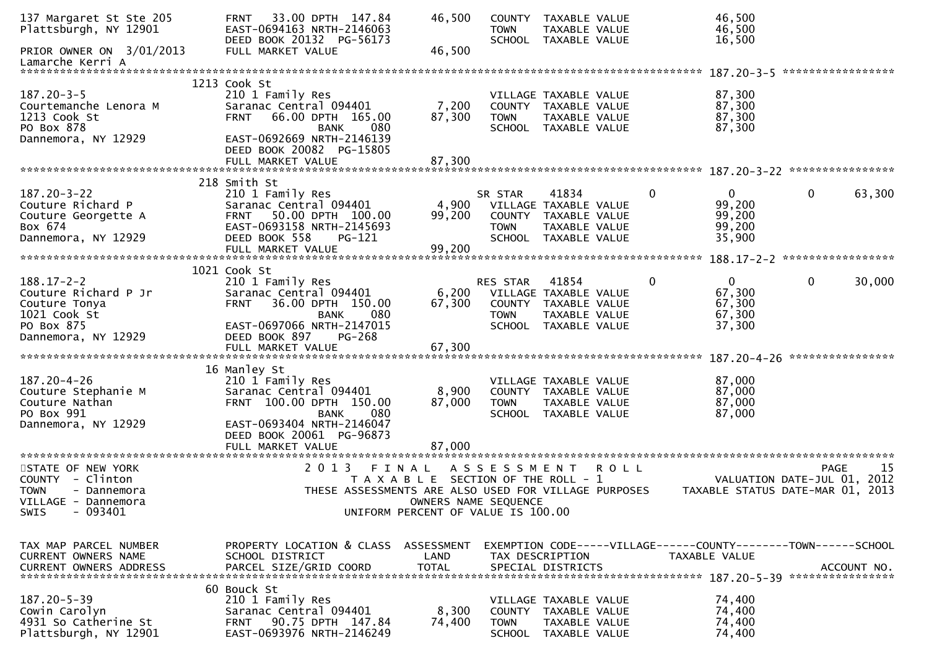| 137 Margaret St Ste 205<br>Plattsburgh, NY 12901 | 33.00 DPTH 147.84<br><b>FRNT</b><br>EAST-0694163 NRTH-2146063<br>DEED BOOK 20132 PG-56173 | 46,500                                                     | <b>TOWN</b>         | COUNTY TAXABLE VALUE<br><b>TAXABLE VALUE</b><br>SCHOOL TAXABLE VALUE |              | 46,500<br>46,500<br>16,500                                    |                   |             |
|--------------------------------------------------|-------------------------------------------------------------------------------------------|------------------------------------------------------------|---------------------|----------------------------------------------------------------------|--------------|---------------------------------------------------------------|-------------------|-------------|
| PRIOR OWNER ON 3/01/2013<br>Lamarche Kerri A     | FULL MARKET VALUE                                                                         | 46,500                                                     |                     |                                                                      |              |                                                               |                   |             |
|                                                  | 1213 Cook St                                                                              |                                                            |                     |                                                                      |              |                                                               | ***************** |             |
| $187.20 - 3 - 5$                                 | 210 1 Family Res                                                                          |                                                            |                     | VILLAGE TAXABLE VALUE                                                |              | 87,300                                                        |                   |             |
| Courtemanche Lenora M                            | Saranac Central 094401                                                                    | 7,200                                                      |                     | COUNTY TAXABLE VALUE                                                 |              | 87,300                                                        |                   |             |
| 1213 Cook St                                     | 66.00 DPTH 165.00<br><b>FRNT</b>                                                          | 87,300                                                     | <b>TOWN</b>         | TAXABLE VALUE                                                        |              | 87,300                                                        |                   |             |
| PO Box 878                                       | 080<br>BANK                                                                               |                                                            |                     | SCHOOL TAXABLE VALUE                                                 |              | 87,300                                                        |                   |             |
| Dannemora, NY 12929                              | EAST-0692669 NRTH-2146139<br>DEED BOOK 20082 PG-15805                                     |                                                            |                     |                                                                      |              |                                                               |                   |             |
|                                                  | FULL MARKET VALUE                                                                         | 87,300                                                     |                     |                                                                      |              |                                                               |                   |             |
|                                                  | 218 Smith St                                                                              |                                                            |                     |                                                                      |              |                                                               |                   |             |
| $187.20 - 3 - 22$                                | 210 1 Family Res                                                                          |                                                            | SR STAR             | 41834                                                                | $\mathbf{0}$ | $\overline{0}$                                                | $\mathbf 0$       | 63,300      |
| Couture Richard P                                | Saranac Central 094401                                                                    | 4,900                                                      |                     | VILLAGE TAXABLE VALUE                                                |              | 99,200                                                        |                   |             |
| Couture Georgette A                              | FRNT 50.00 DPTH 100.00                                                                    | 99,200                                                     |                     | COUNTY TAXABLE VALUE                                                 |              | 99,200                                                        |                   |             |
| Box 674                                          | EAST-0693158 NRTH-2145693                                                                 |                                                            | <b>TOWN</b>         | TAXABLE VALUE                                                        |              | 99,200                                                        |                   |             |
| Dannemora, NY 12929                              | DEED BOOK 558<br>PG-121                                                                   |                                                            |                     | SCHOOL TAXABLE VALUE                                                 |              | 35,900                                                        |                   |             |
|                                                  | FULL MARKET VALUE                                                                         | 99,200                                                     |                     |                                                                      |              |                                                               |                   |             |
|                                                  |                                                                                           |                                                            |                     |                                                                      |              |                                                               |                   |             |
| $188.17 - 2 - 2$                                 | 1021 Cook St                                                                              |                                                            | RES STAR            | 41854                                                                | $\mathbf{0}$ | $\overline{0}$                                                | $\mathbf 0$       |             |
| Couture Richard P Jr                             | 210 1 Family Res<br>Saranac Central 094401                                                | 6,200                                                      |                     | VILLAGE TAXABLE VALUE                                                |              | 67,300                                                        |                   | 30,000      |
| Couture Tonya                                    | 36.00 DPTH 150.00<br><b>FRNT</b>                                                          | 67,300                                                     |                     | COUNTY TAXABLE VALUE                                                 |              | 67,300                                                        |                   |             |
| 1021 Cook St                                     | 080<br><b>BANK</b>                                                                        |                                                            | <b>TOWN</b>         | TAXABLE VALUE                                                        |              | 67,300                                                        |                   |             |
| PO Box 875                                       | EAST-0697066 NRTH-2147015                                                                 |                                                            |                     | SCHOOL TAXABLE VALUE                                                 |              | 37,300                                                        |                   |             |
| Dannemora, NY 12929                              | DEED BOOK 897<br>PG-268                                                                   |                                                            |                     |                                                                      |              |                                                               |                   |             |
|                                                  |                                                                                           |                                                            |                     |                                                                      |              |                                                               |                   |             |
|                                                  |                                                                                           |                                                            |                     |                                                                      |              |                                                               | ****************  |             |
|                                                  | 16 Manley St                                                                              |                                                            |                     |                                                                      |              |                                                               |                   |             |
| $187.20 - 4 - 26$                                | 210 1 Family Res                                                                          |                                                            |                     | VILLAGE TAXABLE VALUE                                                |              | 87,000                                                        |                   |             |
| Couture Stephanie M                              | Saranac Central 094401<br>FRNT 100.00 DPTH 150.00                                         | 8,900<br>87,000                                            |                     | COUNTY TAXABLE VALUE                                                 |              | 87,000<br>87,000                                              |                   |             |
| Couture Nathan<br>PO Box 991                     | 080<br><b>BANK</b>                                                                        |                                                            | <b>TOWN</b>         | TAXABLE VALUE<br>SCHOOL TAXABLE VALUE                                |              | 87,000                                                        |                   |             |
| Dannemora, NY 12929                              | EAST-0693404 NRTH-2146047                                                                 |                                                            |                     |                                                                      |              |                                                               |                   |             |
|                                                  | DEED BOOK 20061 PG-96873                                                                  |                                                            |                     |                                                                      |              |                                                               |                   |             |
|                                                  | FULL MARKET VALUE                                                                         | 87,000                                                     |                     |                                                                      |              |                                                               |                   |             |
|                                                  |                                                                                           | ************                                               |                     |                                                                      |              |                                                               |                   |             |
| STATE OF NEW YORK                                | 2 0 1 3<br>FINAL                                                                          |                                                            | A S S E S S M E N T |                                                                      | <b>ROLL</b>  |                                                               | <b>PAGE</b>       | 15          |
| COUNTY - Clinton                                 |                                                                                           | T A X A B L E SECTION OF THE ROLL - 1                      |                     |                                                                      |              | VALUATION DATE-JUL 01,                                        |                   | 2012        |
| <b>TOWN</b><br>- Dannemora                       | THESE ASSESSMENTS ARE ALSO USED FOR VILLAGE PURPOSES                                      |                                                            |                     |                                                                      |              | TAXABLE STATUS DATE-MAR 01, 2013                              |                   |             |
| VILLAGE - Dannemora<br>$-093401$<br><b>SWIS</b>  |                                                                                           | OWNERS NAME SEQUENCE<br>UNIFORM PERCENT OF VALUE IS 100.00 |                     |                                                                      |              |                                                               |                   |             |
|                                                  |                                                                                           |                                                            |                     |                                                                      |              |                                                               |                   |             |
|                                                  |                                                                                           |                                                            |                     |                                                                      |              |                                                               |                   |             |
| TAX MAP PARCEL NUMBER                            | PROPERTY LOCATION & CLASS ASSESSMENT                                                      |                                                            |                     |                                                                      |              | EXEMPTION CODE-----VILLAGE------COUNTY-------TOWN------SCHOOL |                   |             |
| CURRENT OWNERS NAME                              | SCHOOL DISTRICT                                                                           | LAND                                                       | TAX DESCRIPTION     |                                                                      |              | TAXABLE VALUE                                                 |                   |             |
| <b>CURRENT OWNERS ADDRESS</b>                    | PARCEL SIZE/GRID COORD                                                                    | <b>TOTAL</b>                                               |                     | SPECIAL DISTRICTS                                                    |              |                                                               |                   | ACCOUNT NO. |
|                                                  |                                                                                           |                                                            |                     |                                                                      |              |                                                               |                   |             |
|                                                  | 60 Bouck St                                                                               |                                                            |                     |                                                                      |              |                                                               |                   |             |
| $187.20 - 5 - 39$<br>Cowin Carolyn               | 210 1 Family Res<br>Saranac Central 094401                                                | 8,300                                                      |                     | VILLAGE TAXABLE VALUE<br>COUNTY TAXABLE VALUE                        |              | 74,400<br>74,400                                              |                   |             |
| 4931 So Catherine St                             | 90.75 DPTH 147.84<br><b>FRNT</b>                                                          | 74,400                                                     | <b>TOWN</b>         | TAXABLE VALUE                                                        |              | 74,400                                                        |                   |             |
| Plattsburgh, NY 12901                            | EAST-0693976 NRTH-2146249                                                                 |                                                            |                     | SCHOOL TAXABLE VALUE                                                 |              | 74,400                                                        |                   |             |
|                                                  |                                                                                           |                                                            |                     |                                                                      |              |                                                               |                   |             |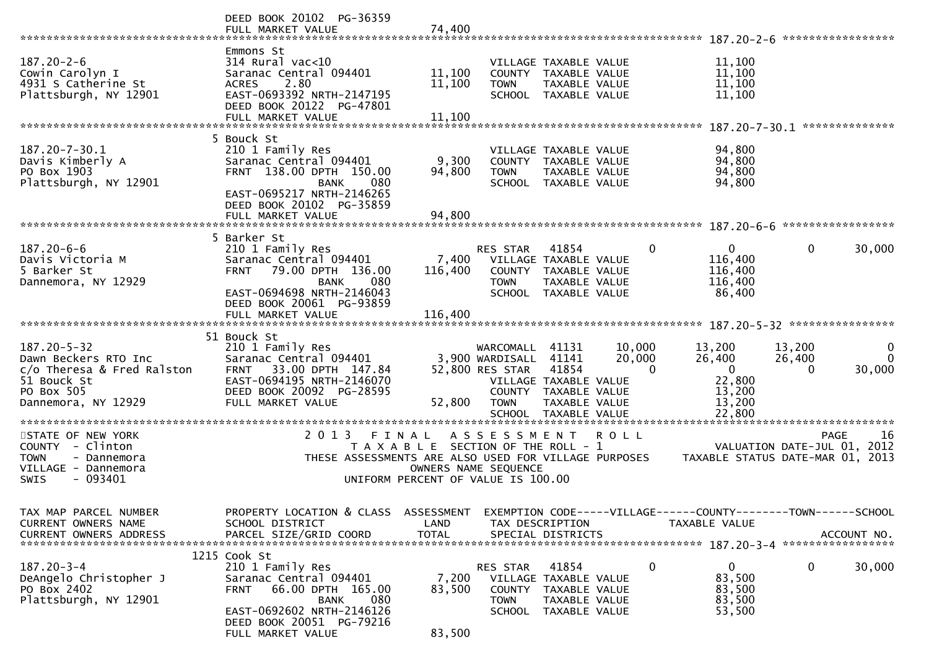|                                                                                                                             | DEED BOOK 20102 PG-36359<br>FULL MARKET VALUE                                                                                                                                               | 74,400                                                                               |                                                                |                                                                                                                   |                              |                                                                                |                                       | *****************       |
|-----------------------------------------------------------------------------------------------------------------------------|---------------------------------------------------------------------------------------------------------------------------------------------------------------------------------------------|--------------------------------------------------------------------------------------|----------------------------------------------------------------|-------------------------------------------------------------------------------------------------------------------|------------------------------|--------------------------------------------------------------------------------|---------------------------------------|-------------------------|
| $187.20 - 2 - 6$<br>Cowin Carolyn I<br>4931 S Catherine St<br>Plattsburgh, NY 12901                                         | Emmons St<br>$314$ Rural vac<10<br>Saranac Central 094401<br>2.80<br><b>ACRES</b><br>EAST-0693392 NRTH-2147195<br>DEED BOOK 20122 PG-47801                                                  | 11,100<br>11,100                                                                     | <b>TOWN</b>                                                    | VILLAGE TAXABLE VALUE<br>COUNTY TAXABLE VALUE<br>TAXABLE VALUE<br>SCHOOL TAXABLE VALUE                            |                              | 11,100<br>11,100<br>11,100<br>11,100                                           |                                       |                         |
|                                                                                                                             | FULL MARKET VALUE                                                                                                                                                                           | 11,100                                                                               |                                                                |                                                                                                                   |                              |                                                                                |                                       | **************          |
| $187.20 - 7 - 30.1$<br>Davis Kimberly A<br>PO Box 1903<br>Plattsburgh, NY 12901                                             | 5 Bouck St<br>210 1 Family Res<br>Saranac Central 094401<br>FRNT 138.00 DPTH 150.00<br>080<br><b>BANK</b><br>EAST-0695217 NRTH-2146265<br>DEED BOOK 20102 PG-35859<br>FULL MARKET VALUE     | 9,300<br>94,800<br>94,800                                                            | <b>TOWN</b>                                                    | VILLAGE TAXABLE VALUE<br>COUNTY TAXABLE VALUE<br>TAXABLE VALUE<br>SCHOOL TAXABLE VALUE                            |                              | 94,800<br>94,800<br>94,800<br>94,800                                           |                                       |                         |
|                                                                                                                             | 5 Barker St                                                                                                                                                                                 |                                                                                      |                                                                |                                                                                                                   |                              |                                                                                |                                       | *****************       |
| $187.20 - 6 - 6$<br>Davis Victoria M<br>5 Barker St<br>Dannemora, NY 12929                                                  | 210 1 Family Res<br>Saranac Central 094401<br><b>FRNT</b><br>79.00 DPTH 136.00<br><b>BANK</b><br>080<br>EAST-0694698 NRTH-2146043<br>DEED BOOK 20061 PG-93859                               | 7,400<br>116,400<br>116,400                                                          | RES STAR<br><b>TOWN</b>                                        | 41854<br>VILLAGE TAXABLE VALUE<br>COUNTY TAXABLE VALUE<br>TAXABLE VALUE<br>SCHOOL TAXABLE VALUE                   | 0                            | $\Omega$<br>116,400<br>116,400<br>116,400<br>86,400                            | 0                                     | 30,000                  |
|                                                                                                                             | FULL MARKET VALUE                                                                                                                                                                           |                                                                                      |                                                                |                                                                                                                   |                              |                                                                                |                                       |                         |
| $187.20 - 5 - 32$<br>Dawn Beckers RTO Inc<br>c/o Theresa & Fred Ralston<br>51 Bouck St<br>PO Box 505<br>Dannemora, NY 12929 | 51 Bouck St<br>210 1 Family Res<br>Saranac Central 094401<br>33.00 DPTH 147.84<br><b>FRNT</b><br>EAST-0694195 NRTH-2146070<br>DEED BOOK 20092 PG-28595<br>FULL MARKET VALUE                 | 52,800                                                                               | WARCOMALL<br>3,900 WARDISALL<br>52,800 RES STAR<br><b>TOWN</b> | 41131<br>41141<br>41854<br>VILLAGE TAXABLE VALUE<br>COUNTY TAXABLE VALUE<br>TAXABLE VALUE<br>SCHOOL TAXABLE VALUE | 10,000<br>20,000<br>$\Omega$ | 13,200<br>26,400<br>$\mathbf{0}$<br>22,800<br>13,200<br>13,200<br>22,800       | 13,200<br>26,400<br>$\Omega$          | 0<br>$\Omega$<br>30,000 |
| STATE OF NEW YORK<br>COUNTY - Clinton<br><b>TOWN</b><br>- Dannemora<br>VILLAGE - Dannemora<br>$-093401$<br>SWIS             | 2 0 1 3<br>THESE ASSESSMENTS ARE ALSO USED FOR VILLAGE PURPOSES                                                                                                                             | FINAL<br>T A X A B L E SECTION OF THE ROLL - 1<br>UNIFORM PERCENT OF VALUE IS 100.00 | ***********************<br>ASSESSMENT<br>OWNERS NAME SEQUENCE  |                                                                                                                   | <b>ROLL</b>                  | ********************************<br>TAXABLE STATUS DATE-MAR 01, 2013           | <b>PAGE</b><br>VALUATION DATE-JUL 01, | 16<br>2012              |
| TAX MAP PARCEL NUMBER<br>CURRENT OWNERS NAME<br><b>CURRENT OWNERS ADDRESS</b>                                               | PROPERTY LOCATION & CLASS<br>SCHOOL DISTRICT<br>PARCEL SIZE/GRID COORD                                                                                                                      | ASSESSMENT<br>LAND<br><b>TOTAL</b>                                                   |                                                                | TAX DESCRIPTION<br>SPECIAL DISTRICTS                                                                              |                              | EXEMPTION CODE-----VILLAGE------COUNTY-------TOWN------SCHOOL<br>TAXABLE VALUE |                                       | ACCOUNT NO.             |
| $187.20 - 3 - 4$<br>DeAngelo Christopher J<br>PO Box 2402<br>Plattsburgh, NY 12901                                          | 1215 Cook St<br>210 1 Family Res<br>Saranac Central 094401<br>66.00 DPTH 165.00<br><b>FRNT</b><br>080<br>BANK<br>EAST-0692602 NRTH-2146126<br>DEED BOOK 20051 PG-79216<br>FULL MARKET VALUE | 7,200<br>83,500<br>83,500                                                            | RES STAR<br><b>COUNTY</b><br><b>TOWN</b>                       | 41854<br>VILLAGE TAXABLE VALUE<br>TAXABLE VALUE<br>TAXABLE VALUE<br>SCHOOL TAXABLE VALUE                          | $\mathbf 0$                  | 0<br>83,500<br>83,500<br>83,500<br>53,500                                      | 0                                     | 30,000                  |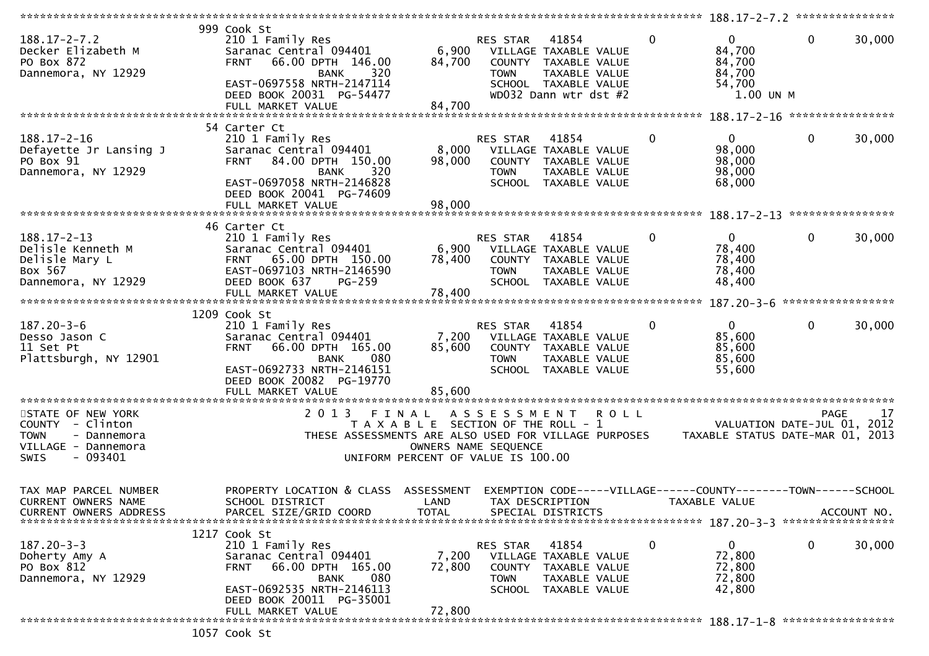|                                                                                                                 |                                                                                                                                                                                                    |                                                                                      |                                                    |                                                                                                                   |              |                | 188.17-2-7.2 ****************                                  |                                 |             |
|-----------------------------------------------------------------------------------------------------------------|----------------------------------------------------------------------------------------------------------------------------------------------------------------------------------------------------|--------------------------------------------------------------------------------------|----------------------------------------------------|-------------------------------------------------------------------------------------------------------------------|--------------|----------------|----------------------------------------------------------------|---------------------------------|-------------|
| $188.17 - 2 - 7.2$<br>Decker Elizabeth M<br>PO Box 872<br>Dannemora, NY 12929                                   | 999 Cook St<br>210 1 Family Res<br>Saranac Central 094401<br>66.00 DPTH 146.00<br><b>FRNT</b><br>320<br><b>BANK</b><br>EAST-0697558 NRTH-2147114<br>DEED BOOK 20031 PG-54477<br>FULL MARKET VALUE  | 6,900<br>84,700<br>84,700                                                            | RES STAR<br>COUNTY<br><b>TOWN</b>                  | 41854<br>VILLAGE TAXABLE VALUE<br>TAXABLE VALUE<br>TAXABLE VALUE<br>SCHOOL TAXABLE VALUE<br>WD032 Dann wtr dst #2 | $\mathbf{0}$ |                | $\Omega$<br>84,700<br>84,700<br>84,700<br>54,700<br>1.00 UN M  | $\mathbf{0}$                    | 30,000      |
|                                                                                                                 |                                                                                                                                                                                                    |                                                                                      |                                                    |                                                                                                                   |              |                |                                                                |                                 |             |
| $188.17 - 2 - 16$<br>Defayette Jr Lansing J<br>PO Box 91<br>Dannemora, NY 12929                                 | 54 Carter Ct<br>210 1 Family Res<br>Saranac Central 094401<br>84.00 DPTH 150.00<br><b>FRNT</b><br>320<br><b>BANK</b><br>EAST-0697058 NRTH-2146828<br>DEED BOOK 20041 PG-74609<br>FULL MARKET VALUE | 8,000<br>98,000<br>98,000                                                            | RES STAR<br><b>TOWN</b>                            | 41854<br>VILLAGE TAXABLE VALUE<br>COUNTY TAXABLE VALUE<br>TAXABLE VALUE<br>SCHOOL TAXABLE VALUE                   | $\mathbf{0}$ |                | $\overline{0}$<br>98,000<br>98,000<br>98,000<br>68,000         | $\mathbf 0$<br>**************** | 30,000      |
|                                                                                                                 | 46 Carter Ct                                                                                                                                                                                       |                                                                                      |                                                    |                                                                                                                   |              |                |                                                                |                                 |             |
| $188.17 - 2 - 13$<br>Delisle Kenneth M<br>Delisle Mary L<br>Box 567<br>Dannemora, NY 12929                      | 210 1 Family Res<br>Saranac Central 094401<br>65.00 DPTH 150.00<br><b>FRNT</b><br>EAST-0697103 NRTH-2146590<br>DEED BOOK 637<br>$PG-259$<br>FULL MARKET VALUE                                      | 6,900<br>78,400<br>78,400                                                            | RES STAR<br>COUNTY<br><b>TOWN</b><br><b>SCHOOL</b> | 41854<br>VILLAGE TAXABLE VALUE<br>TAXABLE VALUE<br><b>TAXABLE VALUE</b><br>TAXABLE VALUE                          |              | 0              | $\mathbf{0}$<br>78,400<br>78,400<br>78,400<br>48,400           | 0                               | 30,000      |
|                                                                                                                 |                                                                                                                                                                                                    |                                                                                      |                                                    |                                                                                                                   |              |                |                                                                |                                 |             |
| $187.20 - 3 - 6$<br>Desso Jason C                                                                               | 1209 Cook St<br>210 1 Family Res<br>Saranac Central 094401                                                                                                                                         | 7,200                                                                                | RES STAR                                           | 41854<br>VILLAGE TAXABLE VALUE                                                                                    |              | $\overline{0}$ | $\mathbf{0}$<br>85,600                                         | $\mathbf 0$                     | 30,000      |
| 11 Set Pt<br>Plattsburgh, NY 12901                                                                              | 66.00 DPTH 165.00<br><b>FRNT</b><br>080<br><b>BANK</b><br>EAST-0692733 NRTH-2146151<br>DEED BOOK 20082 PG-19770<br>FULL MARKET VALUE                                                               | 85,600<br>85,600                                                                     | <b>TOWN</b>                                        | COUNTY TAXABLE VALUE<br>TAXABLE VALUE<br>SCHOOL TAXABLE VALUE                                                     |              |                | 85,600<br>85,600<br>55,600                                     |                                 |             |
|                                                                                                                 |                                                                                                                                                                                                    |                                                                                      |                                                    |                                                                                                                   |              |                |                                                                |                                 |             |
| STATE OF NEW YORK<br>COUNTY - Clinton<br><b>TOWN</b><br>- Dannemora<br>VILLAGE - Dannemora<br>$-093401$<br>SWIS | 2 0 1 3<br>THESE ASSESSMENTS ARE ALSO USED FOR VILLAGE PURPOSES                                                                                                                                    | FINAL<br>T A X A B L E SECTION OF THE ROLL - 1<br>UNIFORM PERCENT OF VALUE IS 100.00 | A S S E S S M E N T<br>OWNERS NAME SEQUENCE        |                                                                                                                   | <b>ROLL</b>  |                | VALUATION DATE-JUL 01,<br>TAXABLE STATUS DATE-MAR 01, 2013     | <b>PAGE</b>                     | 17<br>2012  |
| TAX MAP PARCEL NUMBER<br><b>CURRENT OWNERS NAME</b><br><b>CURRENT OWNERS ADDRESS</b>                            | PROPERTY LOCATION & CLASS<br>SCHOOL DISTRICT<br>PARCEL SIZE/GRID COORD                                                                                                                             | ASSESSMENT<br>LAND<br><b>TOTAL</b>                                                   |                                                    | TAX DESCRIPTION<br>SPECIAL DISTRICTS                                                                              |              | TAXABLE VALUE  | EXEMPTION CODE-----VILLAGE------COUNTY--------TOWN------SCHOOL |                                 | ACCOUNT NO. |
|                                                                                                                 |                                                                                                                                                                                                    |                                                                                      |                                                    |                                                                                                                   |              |                |                                                                |                                 |             |
| $187.20 - 3 - 3$<br>Doherty Amy A<br>PO Box 812<br>Dannemora, NY 12929                                          | 1217 Cook St<br>210 1 Family Res<br>Saranac Central 094401<br>66.00 DPTH 165.00<br><b>FRNT</b><br>080<br><b>BANK</b><br>EAST-0692535 NRTH-2146113<br>DEED BOOK 20011 PG-35001                      | 7,200<br>72,800                                                                      | RES STAR<br>TOWN                                   | 41854<br>VILLAGE TAXABLE VALUE<br>COUNTY TAXABLE VALUE<br>TAXABLE VALUE<br>SCHOOL TAXABLE VALUE                   | 0            |                | 0<br>72,800<br>72,800<br>72,800<br>42,800                      | 0                               | 30,000      |
|                                                                                                                 | FULL MARKET VALUE                                                                                                                                                                                  | 72,800                                                                               |                                                    |                                                                                                                   |              |                |                                                                |                                 |             |
|                                                                                                                 | 1057 Cook St                                                                                                                                                                                       |                                                                                      |                                                    |                                                                                                                   |              |                |                                                                |                                 |             |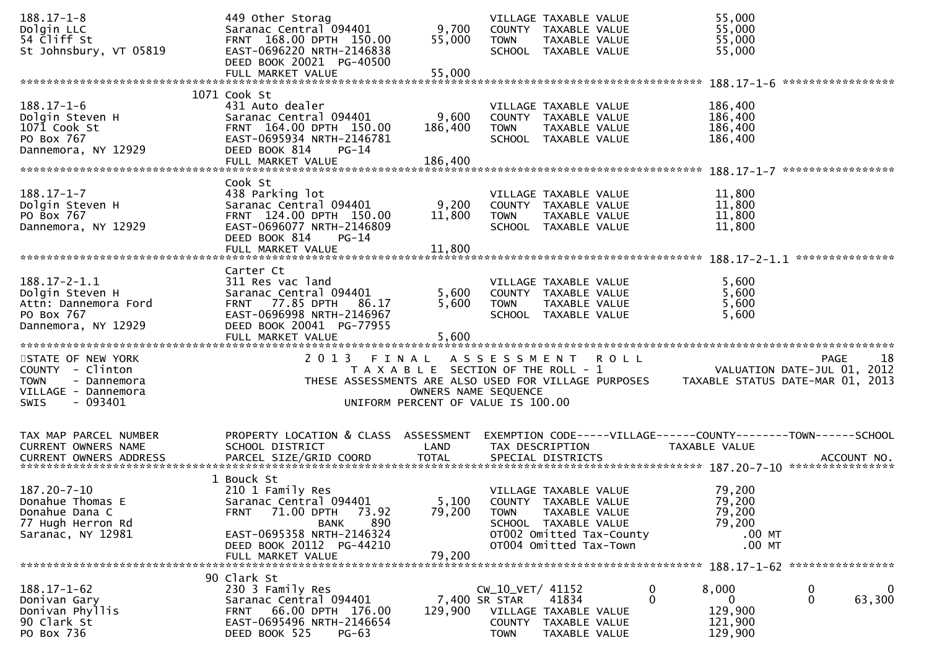| $188.17 - 1 - 8$                       | 449 Other Storag                                      |                                       |                       | VILLAGE TAXABLE VALUE                                | 55,000                                                         |                                  |
|----------------------------------------|-------------------------------------------------------|---------------------------------------|-----------------------|------------------------------------------------------|----------------------------------------------------------------|----------------------------------|
| Dolgin LLC                             | Saranac Central 094401                                | 9,700                                 |                       | COUNTY TAXABLE VALUE                                 | 55,000                                                         |                                  |
| 54 Cliff St                            | FRNT 168.00 DPTH 150.00                               | 55,000                                | <b>TOWN</b>           | TAXABLE VALUE                                        | 55,000                                                         |                                  |
| St Johnsbury, VT 05819                 | EAST-0696220 NRTH-2146838                             |                                       |                       | SCHOOL TAXABLE VALUE                                 | 55,000                                                         |                                  |
|                                        | DEED BOOK 20021 PG-40500                              |                                       |                       |                                                      |                                                                |                                  |
|                                        | FULL MARKET VALUE                                     | 55,000                                |                       |                                                      |                                                                | *****************                |
|                                        | 1071 Cook St                                          |                                       |                       |                                                      |                                                                |                                  |
| $188.17 - 1 - 6$                       | 431 Auto dealer                                       |                                       |                       | VILLAGE TAXABLE VALUE                                | 186,400                                                        |                                  |
| Dolgin Steven H                        | Saranac Central 094401                                | 9,600                                 |                       | COUNTY TAXABLE VALUE                                 | 186,400                                                        |                                  |
| 1071 Cook St                           | FRNT 164.00 DPTH 150.00                               | 186,400                               | <b>TOWN</b>           | TAXABLE VALUE                                        | 186,400                                                        |                                  |
| PO Box 767                             | EAST-0695934 NRTH-2146781                             |                                       |                       | SCHOOL TAXABLE VALUE                                 | 186,400                                                        |                                  |
| Dannemora, NY 12929                    | DEED BOOK 814<br>$PG-14$                              |                                       |                       |                                                      |                                                                |                                  |
|                                        | FULL MARKET VALUE                                     | 186,400                               |                       |                                                      |                                                                |                                  |
|                                        |                                                       |                                       |                       |                                                      |                                                                |                                  |
|                                        | Cook St                                               |                                       |                       |                                                      |                                                                |                                  |
| $188.17 - 1 - 7$                       | 438 Parking lot                                       |                                       |                       | VILLAGE TAXABLE VALUE                                | 11,800                                                         |                                  |
| Dolgin Steven H                        | Saranac Central 094401                                | 9,200                                 |                       | COUNTY TAXABLE VALUE                                 | 11,800                                                         |                                  |
| PO Box 767                             | FRNT 124.00 DPTH 150.00                               | 11,800                                | <b>TOWN</b>           | TAXABLE VALUE                                        | 11,800                                                         |                                  |
| Dannemora, NY 12929                    | EAST-0696077 NRTH-2146809                             |                                       |                       | SCHOOL TAXABLE VALUE                                 | 11,800                                                         |                                  |
|                                        | DEED BOOK 814<br>PG-14                                |                                       |                       |                                                      |                                                                |                                  |
|                                        | FULL MARKET VALUE                                     | 11,800                                |                       |                                                      |                                                                |                                  |
|                                        | Carter Ct                                             |                                       |                       |                                                      |                                                                |                                  |
| $188.17 - 2 - 1.1$                     | 311 Res vac land                                      |                                       |                       | VILLAGE TAXABLE VALUE                                | 5,600                                                          |                                  |
| Dolgin Steven H                        | Saranac Central 094401                                | 5,600                                 |                       | COUNTY TAXABLE VALUE                                 | 5,600                                                          |                                  |
| Attn: Dannemora Ford                   | FRNT 77.85 DPTH 86.17                                 | 5,600                                 | <b>TOWN</b>           | TAXABLE VALUE                                        | 5,600                                                          |                                  |
| PO Box 767                             | EAST-0696998 NRTH-2146967                             |                                       |                       | SCHOOL TAXABLE VALUE                                 | 5,600                                                          |                                  |
| Dannemora, NY 12929                    | DEED BOOK 20041 PG-77955                              |                                       |                       |                                                      |                                                                |                                  |
|                                        |                                                       |                                       |                       |                                                      |                                                                |                                  |
|                                        |                                                       |                                       |                       |                                                      |                                                                |                                  |
|                                        |                                                       |                                       |                       |                                                      |                                                                |                                  |
| STATE OF NEW YORK                      | 2 0 1 3<br>FINAL                                      |                                       |                       | ASSESSMENT ROLL                                      |                                                                | 18<br><b>PAGE</b>                |
| COUNTY - Clinton                       |                                                       | T A X A B L E SECTION OF THE ROLL - 1 |                       |                                                      |                                                                | VALUATION DATE-JUL 01, 2012      |
| <b>TOWN</b><br>- Dannemora             |                                                       |                                       |                       | THESE ASSESSMENTS ARE ALSO USED FOR VILLAGE PURPOSES |                                                                | TAXABLE STATUS DATE-MAR 01, 2013 |
| VILLAGE - Dannemora                    |                                                       | OWNERS NAME SEQUENCE                  |                       |                                                      |                                                                |                                  |
| $-093401$<br><b>SWIS</b>               |                                                       | UNIFORM PERCENT OF VALUE IS 100.00    |                       |                                                      |                                                                |                                  |
|                                        |                                                       |                                       |                       |                                                      |                                                                |                                  |
|                                        |                                                       |                                       |                       |                                                      |                                                                |                                  |
| TAX MAP PARCEL NUMBER                  | PROPERTY LOCATION & CLASS ASSESSMENT                  |                                       |                       |                                                      | EXEMPTION CODE-----VILLAGE------COUNTY--------TOWN------SCHOOL |                                  |
| CURRENT OWNERS NAME                    | SCHOOL DISTRICT                                       | LAND                                  |                       | TAX DESCRIPTION                                      | TAXABLE VALUE                                                  |                                  |
|                                        |                                                       |                                       |                       |                                                      |                                                                |                                  |
|                                        |                                                       |                                       |                       |                                                      |                                                                |                                  |
|                                        | 1 Bouck St                                            |                                       |                       |                                                      |                                                                |                                  |
| 187.20-7-10                            | 210 1 Family Res                                      |                                       |                       | VILLAGE TAXABLE VALUE                                | 79,200                                                         |                                  |
| Donahue Thomas E                       | Saranac Central 094401                                | 5,100                                 |                       | COUNTY TAXABLE VALUE                                 | 79,200                                                         |                                  |
| Donahue Dana C                         | 71.00 DPTH<br>73.92<br><b>FRNT</b>                    | 79,200                                | <b>TOWN</b>           | TAXABLE VALUE                                        | 79,200                                                         |                                  |
| 77 Hugh Herron Rd<br>Saranac, NY 12981 | 890<br>BANK                                           |                                       |                       | SCHOOL TAXABLE VALUE                                 | 79,200<br>$.00$ MT                                             |                                  |
|                                        | EAST-0695358 NRTH-2146324<br>DEED BOOK 20112 PG-44210 |                                       |                       | OT002 Omitted Tax-County<br>OT004 Omitted Tax-Town   | $.00$ MT                                                       |                                  |
|                                        | FULL MARKET VALUE                                     | 79,200                                |                       |                                                      |                                                                |                                  |
|                                        |                                                       |                                       |                       |                                                      |                                                                |                                  |
|                                        | 90 Clark St                                           |                                       |                       |                                                      |                                                                |                                  |
| $188.17 - 1 - 62$                      | 230 3 Family Res                                      |                                       | CW_10_VET/ 41152      |                                                      | 8,000<br>0                                                     | 0<br>0                           |
| Donivan Gary                           | Saranac Central 094401                                |                                       | 7,400 SR STAR         | 41834                                                | $\mathbf{0}$<br>0                                              | 0<br>63,300                      |
| Donivan Phyllis                        | 66.00 DPTH 176.00<br>FRNT                             | 129,900                               |                       | VILLAGE TAXABLE VALUE                                | 129,900                                                        |                                  |
| 90 Clark St<br>PO Box 736              | EAST-0695496 NRTH-2146654<br>DEED BOOK 525<br>$PG-63$ |                                       | COUNTY<br><b>TOWN</b> | TAXABLE VALUE<br>TAXABLE VALUE                       | 121,900<br>129,900                                             |                                  |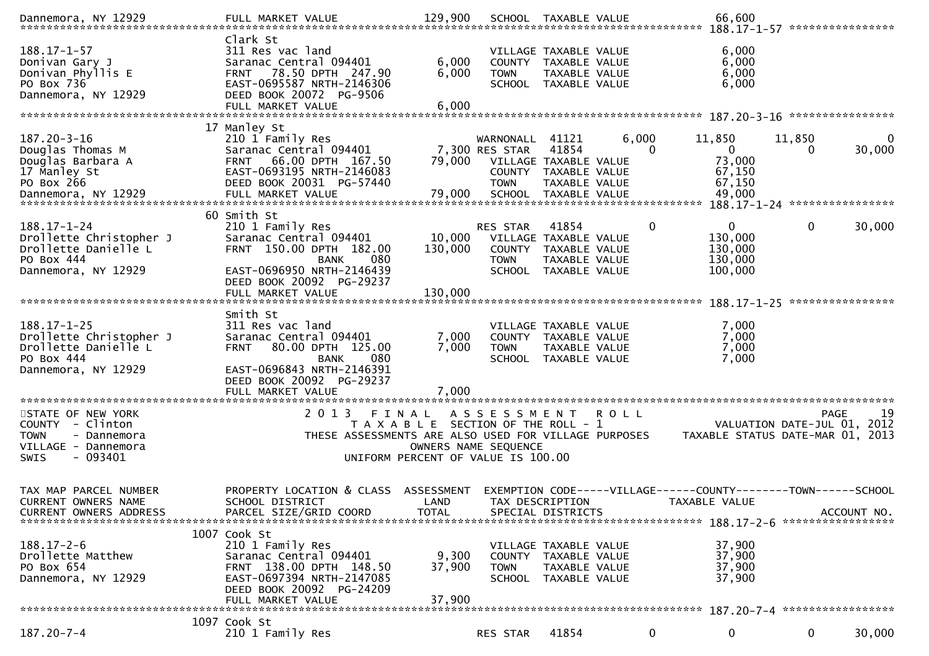| Dannemora, NY 12929                                                                                             | FULL MARKET VALUE                                                                                                                                                                              | 129,900                                                                     |                                                  | SCHOOL TAXABLE VALUE                                                                            |                   | 66,600                                                                                                           |                                            |                  |
|-----------------------------------------------------------------------------------------------------------------|------------------------------------------------------------------------------------------------------------------------------------------------------------------------------------------------|-----------------------------------------------------------------------------|--------------------------------------------------|-------------------------------------------------------------------------------------------------|-------------------|------------------------------------------------------------------------------------------------------------------|--------------------------------------------|------------------|
| $188.17 - 1 - 57$<br>Donivan Gary J<br>Donivan Phyllis E<br>PO Box 736<br>Dannemora, NY 12929                   | Clark St<br>311 Res vac land<br>Saranac Central 094401<br>78.50 DPTH 247.90<br><b>FRNT</b><br>EAST-0695587 NRTH-2146306<br>DEED BOOK 20072 PG-9506<br>FULL MARKET VALUE                        | 6,000<br>6,000<br>6.000                                                     | <b>TOWN</b>                                      | VILLAGE TAXABLE VALUE<br>COUNTY TAXABLE VALUE<br>TAXABLE VALUE<br>SCHOOL TAXABLE VALUE          |                   | 6,000<br>6,000<br>6,000<br>6,000                                                                                 |                                            |                  |
|                                                                                                                 | 17 Manley St                                                                                                                                                                                   |                                                                             |                                                  |                                                                                                 |                   |                                                                                                                  |                                            |                  |
| $187.20 - 3 - 16$<br>Douglas Thomas M<br>Douglas Barbara A<br>17 Manley St<br>PO Box 266<br>Dannemora, NY 12929 | 210 1 Family Res<br>Saranac Central 094401<br>66.00 DPTH 167.50<br><b>FRNT</b><br>EAST-0693195 NRTH-2146083<br>DEED BOOK 20031 PG-57440<br>FULL MARKET VALUE                                   | 79,000<br>79,000                                                            | WARNONALL 41121<br>7,300 RES STAR<br><b>TOWN</b> | 41854<br>VILLAGE TAXABLE VALUE<br>COUNTY TAXABLE VALUE<br>TAXABLE VALUE<br>SCHOOL TAXABLE VALUE | 6,000<br>$\Omega$ | 11,850<br>$\mathbf{0}$<br>73,000<br>67,150<br>67,150<br>49,000                                                   | 11,850<br>0                                | 0<br>30,000      |
|                                                                                                                 | 60 Smith St                                                                                                                                                                                    |                                                                             |                                                  |                                                                                                 |                   | 188.17-1-24 *****************                                                                                    |                                            |                  |
| 188.17-1-24<br>Drollette Christopher J<br>Drollette Danielle L<br>PO Box 444<br>Dannemora, NY 12929             | 210 1 Family Res<br>Saranac Central 094401<br>FRNT 150.00 DPTH 182.00<br>080<br><b>BANK</b><br>EAST-0696950 NRTH-2146439<br>DEED BOOK 20092 PG-29237                                           | 10,000<br>130,000                                                           | RES STAR<br><b>TOWN</b>                          | 41854<br>VILLAGE TAXABLE VALUE<br>COUNTY TAXABLE VALUE<br>TAXABLE VALUE<br>SCHOOL TAXABLE VALUE | $\mathbf 0$       | $\mathbf 0$<br>130,000<br>130,000<br>130,000<br>100,000                                                          | 0                                          | 30,000           |
|                                                                                                                 | FULL MARKET VALUE                                                                                                                                                                              | 130,000                                                                     |                                                  |                                                                                                 |                   | $188.17 - 1 - 25$                                                                                                |                                            | **************** |
| $188.17 - 1 - 25$<br>Drollette Christopher J<br>Drollette Danielle L<br>PO Box 444<br>Dannemora, NY 12929       | Smith St<br>311 Res vac land<br>Saranac Central 094401<br>80.00 DPTH 125.00<br><b>FRNT</b><br>080<br><b>BANK</b><br>EAST-0696843 NRTH-2146391<br>DEED BOOK 20092 PG-29237<br>FULL MARKET VALUE | 7,000<br>7,000<br>7,000                                                     | <b>TOWN</b>                                      | VILLAGE TAXABLE VALUE<br>COUNTY TAXABLE VALUE<br>TAXABLE VALUE<br>SCHOOL TAXABLE VALUE          |                   | 7,000<br>7,000<br>7,000<br>7,000                                                                                 |                                            |                  |
|                                                                                                                 |                                                                                                                                                                                                |                                                                             |                                                  |                                                                                                 |                   |                                                                                                                  |                                            |                  |
| STATE OF NEW YORK<br>COUNTY - Clinton<br><b>TOWN</b><br>- Dannemora<br>VILLAGE - Dannemora<br>$-093401$<br>SWIS | 2 0 1 3<br>FINAL<br>THESE ASSESSMENTS ARE ALSO USED FOR VILLAGE PURPOSES                                                                                                                       | T A X A B L E SECTION OF THE ROLL - 1<br>UNIFORM PERCENT OF VALUE IS 100.00 | A S S E S S M E N T<br>OWNERS NAME SEQUENCE      |                                                                                                 | R O L L           | TAXABLE STATUS DATE-MAR 01, 2013                                                                                 | <b>PAGE</b><br>VALUATION DATE-JUL 01, 2012 | 19               |
| TAX MAP PARCEL NUMBER<br>CURRENT OWNERS NAME<br>CURRENT OWNERS ADDRESS                                          | PROPERTY LOCATION & CLASS<br>SCHOOL DISTRICT<br>PARCEL SIZE/GRID COORD                                                                                                                         | ASSESSMENT<br>LAND<br><b>TOTAL</b>                                          |                                                  | TAX DESCRIPTION<br>SPECIAL DISTRICTS                                                            |                   | EXEMPTION CODE-----VILLAGE------COUNTY--------TOWN------SCHOOL<br>TAXABLE VALUE<br>188.17-2-6 ****************** |                                            | ACCOUNT NO.      |
| $188.17 - 2 - 6$<br>Drollette Matthew<br>PO Box 654<br>Dannemora, NY 12929                                      | 1007 Cook St<br>210 1 Family Res<br>Saranac Central 094401<br>FRNT 138.00 DPTH 148.50<br>EAST-0697394 NRTH-2147085<br>DEED BOOK 20092 PG-24209<br>FULL MARKET VALUE                            | 9,300<br>37,900<br>37,900                                                   | <b>COUNTY</b><br><b>TOWN</b><br><b>SCHOOL</b>    | VILLAGE TAXABLE VALUE<br>TAXABLE VALUE<br>TAXABLE VALUE<br>TAXABLE VALUE                        |                   | 37,900<br>37,900<br>37,900<br>37,900                                                                             |                                            |                  |
|                                                                                                                 | 1097 Cook St                                                                                                                                                                                   |                                                                             |                                                  |                                                                                                 |                   |                                                                                                                  |                                            |                  |
| $187.20 - 7 - 4$                                                                                                | 210 1 Family Res                                                                                                                                                                               |                                                                             | RES STAR                                         | 41854                                                                                           | 0                 | 0                                                                                                                | 0                                          | 30,000           |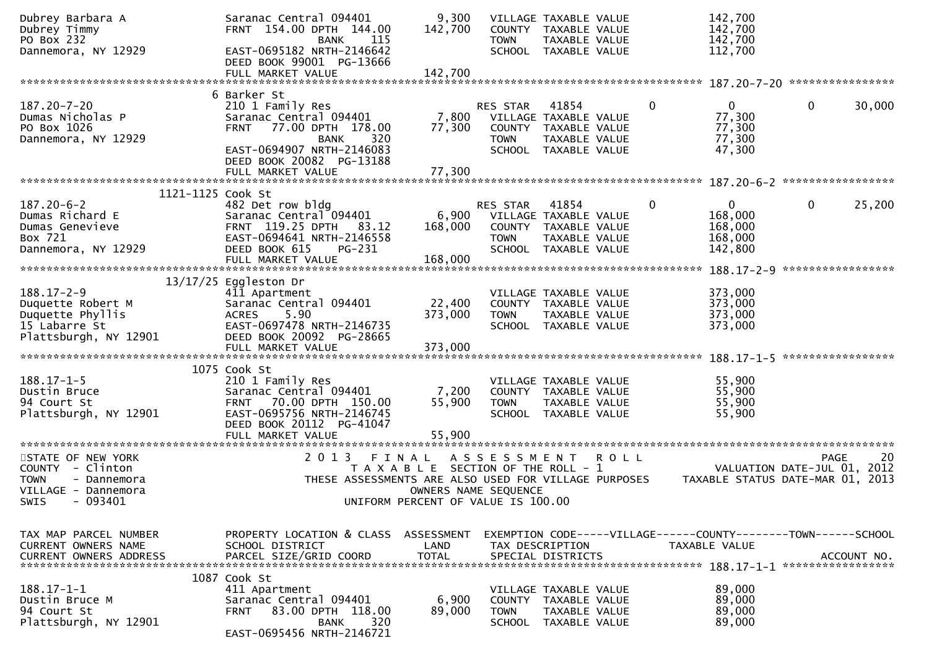| Dubrey Barbara A<br>Dubrey Timmy<br>PO Box 232 | Saranac Central 094401<br>FRNT 154.00 DPTH 144.00<br>115<br><b>BANK</b> | 9,300<br>142,700                      | <b>TOWN</b> | VILLAGE TAXABLE VALUE<br>COUNTY TAXABLE VALUE<br>TAXABLE VALUE |         |              | 142,700<br>142,700<br>142,700                                  |                   |             |
|------------------------------------------------|-------------------------------------------------------------------------|---------------------------------------|-------------|----------------------------------------------------------------|---------|--------------|----------------------------------------------------------------|-------------------|-------------|
| Dannemora, NY 12929                            | EAST-0695182 NRTH-2146642<br>DEED BOOK 99001 PG-13666                   |                                       |             | SCHOOL TAXABLE VALUE                                           |         |              | 112,700                                                        |                   |             |
|                                                | FULL MARKET VALUE                                                       | 142,700                               |             |                                                                |         |              |                                                                |                   |             |
|                                                | 6 Barker St                                                             |                                       |             |                                                                |         |              |                                                                |                   |             |
| 187.20-7-20                                    | 210 1 Family Res                                                        |                                       | RES STAR    | 41854                                                          |         | 0            | $\mathbf{0}$                                                   | 0                 | 30,000      |
| Dumas Nicholas P                               | Saranac Central 094401                                                  | 7,800                                 |             | VILLAGE TAXABLE VALUE                                          |         |              | 77,300                                                         |                   |             |
| PO Box 1026<br>Dannemora, NY 12929             | <b>FRNT</b><br>77.00 DPTH 178.00<br>320<br><b>BANK</b>                  | 77,300                                | <b>TOWN</b> | COUNTY TAXABLE VALUE<br>TAXABLE VALUE                          |         |              | 77,300<br>77,300                                               |                   |             |
|                                                | EAST-0694907 NRTH-2146083                                               |                                       |             | SCHOOL TAXABLE VALUE                                           |         |              | 47,300                                                         |                   |             |
|                                                | DEED BOOK 20082 PG-13188                                                |                                       |             |                                                                |         |              |                                                                |                   |             |
|                                                | FULL MARKET VALUE                                                       | 77,300                                |             |                                                                |         |              |                                                                |                   |             |
| 1121-1125 Cook St                              |                                                                         |                                       |             |                                                                |         |              |                                                                |                   |             |
| $187.20 - 6 - 2$                               | 482 Det row bldg                                                        |                                       | RES STAR    | 41854                                                          |         | $\mathbf{0}$ | $\mathbf{0}$                                                   | $\mathbf{0}$      | 25,200      |
| Dumas Richard E                                | Saranac Central 094401                                                  | 6,900                                 |             | VILLAGE TAXABLE VALUE                                          |         |              | 168,000                                                        |                   |             |
| Dumas Genevieve                                | FRNT 119.25 DPTH 83.12                                                  | 168,000                               |             | COUNTY TAXABLE VALUE                                           |         |              | 168,000                                                        |                   |             |
| Box 721                                        | EAST-0694641 NRTH-2146558                                               |                                       | <b>TOWN</b> | TAXABLE VALUE                                                  |         |              | 168,000                                                        |                   |             |
| Dannemora, NY 12929                            | DEED BOOK 615<br>PG-231                                                 |                                       |             | SCHOOL TAXABLE VALUE                                           |         |              | 142,800                                                        |                   |             |
|                                                | FULL MARKET VALUE                                                       | 168,000                               |             |                                                                |         |              |                                                                |                   |             |
|                                                | $13/17/25$ Eggleston Dr                                                 |                                       |             |                                                                |         |              |                                                                |                   |             |
| $188.17 - 2 - 9$                               | 411 Apartment                                                           |                                       |             | VILLAGE TAXABLE VALUE                                          |         |              | 373,000                                                        |                   |             |
| Duquette Robert M                              | Saranac Central 094401                                                  | 22,400                                |             | COUNTY TAXABLE VALUE                                           |         |              | 373,000                                                        |                   |             |
| Duquette Phyllis                               | 5.90<br><b>ACRES</b>                                                    | 373,000                               | <b>TOWN</b> | TAXABLE VALUE                                                  |         |              | 373,000                                                        |                   |             |
| 15 Labarre St                                  | EAST-0697478 NRTH-2146735                                               |                                       |             | SCHOOL TAXABLE VALUE                                           |         |              | 373,000                                                        |                   |             |
| Plattsburgh, NY 12901                          | DEED BOOK 20092 PG-28665                                                |                                       |             |                                                                |         |              |                                                                |                   |             |
|                                                | FULL MARKET VALUE                                                       | 373,000                               |             |                                                                |         |              |                                                                | ***************** |             |
|                                                | 1075 Cook St                                                            |                                       |             |                                                                |         |              |                                                                |                   |             |
| $188.17 - 1 - 5$                               | 210 1 Family Res                                                        |                                       |             | VILLAGE TAXABLE VALUE                                          |         |              | 55,900                                                         |                   |             |
| Dustin Bruce                                   | Saranac Central 094401                                                  | 7,200                                 |             | COUNTY TAXABLE VALUE                                           |         |              | 55,900                                                         |                   |             |
| 94 Court St                                    | FRNT 70.00 DPTH 150.00                                                  | 55,900                                | <b>TOWN</b> | TAXABLE VALUE                                                  |         |              | 55,900                                                         |                   |             |
| Plattsburgh, NY 12901                          | EAST-0695756 NRTH-2146745                                               |                                       |             | SCHOOL TAXABLE VALUE                                           |         |              | 55,900                                                         |                   |             |
|                                                | DEED BOOK 20112 PG-41047                                                |                                       |             |                                                                |         |              |                                                                |                   |             |
|                                                | FULL MARKET VALUE                                                       | 55,900                                |             |                                                                |         |              |                                                                |                   |             |
| STATE OF NEW YORK                              | 2 0 1 3<br>FINAL                                                        |                                       | ASSESSMENT  |                                                                | R O L L |              |                                                                | PAGE              | 20          |
| COUNTY - Clinton                               |                                                                         | T A X A B L E SECTION OF THE ROLL - 1 |             |                                                                |         |              | VALUATION DATE-JUL 01, 2012                                    |                   |             |
| <b>TOWN</b><br>- Dannemora                     | THESE ASSESSMENTS ARE ALSO USED FOR VILLAGE PURPOSES                    |                                       |             |                                                                |         |              | TAXABLE STATUS DATE-MAR 01, 2013                               |                   |             |
| VILLAGE - Dannemora                            |                                                                         | OWNERS NAME SEQUENCE                  |             |                                                                |         |              |                                                                |                   |             |
| $-093401$<br>SWIS                              | UNIFORM PERCENT OF VALUE IS 100.00                                      |                                       |             |                                                                |         |              |                                                                |                   |             |
|                                                |                                                                         |                                       |             |                                                                |         |              |                                                                |                   |             |
| TAX MAP PARCEL NUMBER                          | PROPERTY LOCATION & CLASS ASSESSMENT                                    |                                       |             |                                                                |         |              | EXEMPTION CODE-----VILLAGE------COUNTY--------TOWN------SCHOOL |                   |             |
| <b>CURRENT OWNERS NAME</b>                     | SCHOOL DISTRICT                                                         | LAND                                  |             | TAX DESCRIPTION                                                |         |              | <b>TAXABLE VALUE</b>                                           |                   |             |
| <b>CURRENT OWNERS ADDRESS</b>                  | PARCEL SIZE/GRID COORD                                                  | <b>TOTAL</b>                          |             | SPECIAL DISTRICTS                                              |         |              |                                                                |                   | ACCOUNT NO. |
|                                                |                                                                         |                                       |             |                                                                |         |              |                                                                |                   |             |
|                                                | 1087 Cook St                                                            |                                       |             |                                                                |         |              |                                                                |                   |             |
| $188.17 - 1 - 1$<br>Dustin Bruce M             | 411 Apartment<br>Saranac Central 094401                                 | 6,900                                 |             | VILLAGE TAXABLE VALUE<br>COUNTY TAXABLE VALUE                  |         |              | 89,000<br>89,000                                               |                   |             |
| 94 Court St                                    | 83.00 DPTH 118.00<br><b>FRNT</b>                                        | 89,000                                | <b>TOWN</b> | TAXABLE VALUE                                                  |         |              | 89,000                                                         |                   |             |
| Plattsburgh, NY 12901                          | 320<br><b>BANK</b>                                                      |                                       |             | SCHOOL TAXABLE VALUE                                           |         |              | 89,000                                                         |                   |             |
|                                                | EAST-0695456 NRTH-2146721                                               |                                       |             |                                                                |         |              |                                                                |                   |             |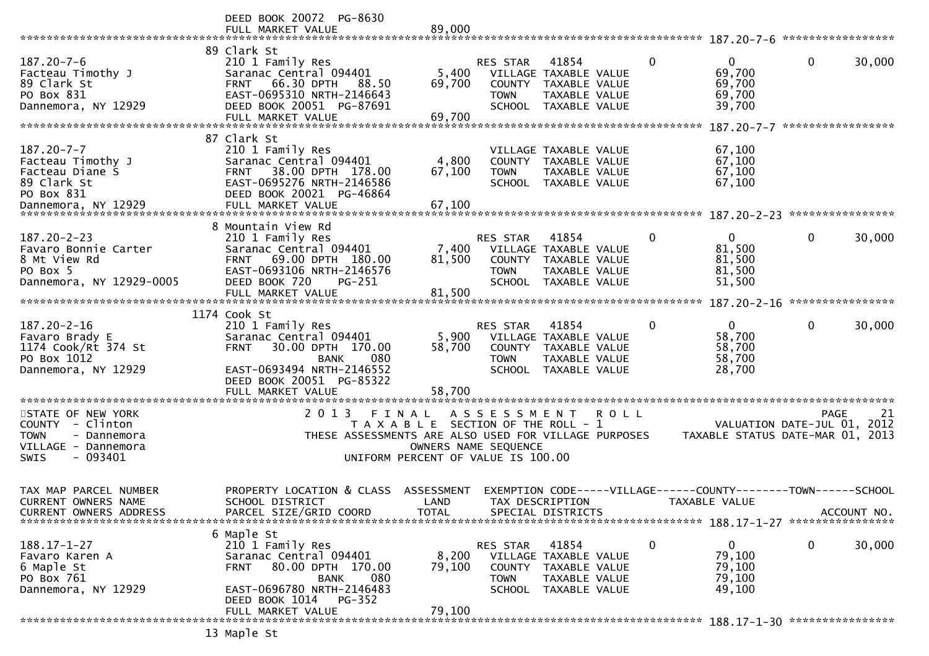|                                                                                                                       | DEED BOOK 20072 PG-8630                                                                                                                                                                   |                             |                                                           |                                                                                               |             |                                                                                       |             |                   |
|-----------------------------------------------------------------------------------------------------------------------|-------------------------------------------------------------------------------------------------------------------------------------------------------------------------------------------|-----------------------------|-----------------------------------------------------------|-----------------------------------------------------------------------------------------------|-------------|---------------------------------------------------------------------------------------|-------------|-------------------|
|                                                                                                                       | FULL MARKET VALUE                                                                                                                                                                         | 89,000                      |                                                           |                                                                                               |             |                                                                                       |             |                   |
| $187.20 - 7 - 6$<br>Facteau Timothy J<br>89 Clark St<br>PO Box 831<br>Dannemora, NY 12929                             | 89 Clark St<br>210 1 Family Res<br>Saranac Central 094401<br>66.30 DPTH<br><b>FRNT</b><br>88.50<br>EAST-0695310 NRTH-2146643<br>DEED BOOK 20051 PG-87691                                  | 5,400<br>69,700             | <b>RES STAR</b><br>COUNTY<br><b>TOWN</b><br><b>SCHOOL</b> | 41854<br>VILLAGE TAXABLE VALUE<br>TAXABLE VALUE<br>TAXABLE VALUE<br>TAXABLE VALUE             | $\mathbf 0$ | $\overline{0}$<br>69,700<br>69,700<br>69,700<br>39,700                                | $\mathbf 0$ | 30,000            |
|                                                                                                                       | FULL MARKET VALUE                                                                                                                                                                         | 69,700                      |                                                           |                                                                                               |             |                                                                                       |             | ***************** |
| $187.20 - 7 - 7$<br>Facteau Timothy J<br>Facteau Diane S<br>89 Clark St<br>PO Box 831                                 | 87 Clark St<br>210 1 Family Res<br>Saranac Central 094401<br>38.00 DPTH 178.00<br><b>FRNT</b><br>EAST-0695276 NRTH-2146586<br>DEED BOOK 20021 PG-46864                                    | 4,800<br>67,100             | <b>TOWN</b>                                               | VILLAGE TAXABLE VALUE<br>COUNTY TAXABLE VALUE<br><b>TAXABLE VALUE</b><br>SCHOOL TAXABLE VALUE |             | 67,100<br>67,100<br>67,100<br>67,100                                                  |             |                   |
|                                                                                                                       | 8 Mountain View Rd                                                                                                                                                                        |                             |                                                           |                                                                                               |             |                                                                                       |             |                   |
| $187.20 - 2 - 23$<br>Favaro Bonnie Carter<br>8 Mt View Rd<br>PO Box 5<br>Dannemora, NY 12929-0005                     | 210 1 Family Res<br>Saranac Central 094401<br>69.00 DPTH 180.00<br><b>FRNT</b><br>EAST-0693106 NRTH-2146576<br>DEED BOOK 720<br>PG-251                                                    | 7,400<br>81,500             | <b>RES STAR</b><br>COUNTY<br><b>TOWN</b><br><b>SCHOOL</b> | 41854<br>VILLAGE TAXABLE VALUE<br>TAXABLE VALUE<br><b>TAXABLE VALUE</b><br>TAXABLE VALUE      | 0           | $\Omega$<br>81,500<br>81,500<br>81,500<br>51,500                                      | $\mathbf 0$ | 30,000            |
|                                                                                                                       | FULL MARKET VALUE                                                                                                                                                                         | 81,500                      |                                                           |                                                                                               |             |                                                                                       |             |                   |
|                                                                                                                       | 1174 Cook St                                                                                                                                                                              |                             |                                                           |                                                                                               |             |                                                                                       |             |                   |
| 187.20-2-16<br>Favaro Brady E<br>1174 Cook/Rt 374 St<br>PO Box 1012<br>Dannemora, NY 12929                            | 210 1 Family Res<br>Saranac Central 094401<br>30.00 DPTH 170.00<br><b>FRNT</b><br>080<br><b>BANK</b><br>EAST-0693494 NRTH-2146552<br>DEED BOOK 20051 PG-85322<br>FULL MARKET VALUE        | 5,900<br>58,700<br>58,700   | RES STAR<br>COUNTY<br><b>TOWN</b>                         | 41854<br>VILLAGE TAXABLE VALUE<br>TAXABLE VALUE<br>TAXABLE VALUE<br>SCHOOL TAXABLE VALUE      | $\mathbf 0$ | $\mathbf{0}$<br>58,700<br>58,700<br>58,700<br>28,700                                  | $\mathbf 0$ | 30,000            |
|                                                                                                                       |                                                                                                                                                                                           |                             |                                                           |                                                                                               |             |                                                                                       |             |                   |
| STATE OF NEW YORK<br>COUNTY - Clinton<br><b>TOWN</b><br>- Dannemora<br>VILLAGE - Dannemora<br>- 093401<br><b>SWIS</b> | 2 0 1 3<br>FINAL<br>THESE ASSESSMENTS ARE ALSO USED FOR VILLAGE PURPOSES<br>UNIFORM PERCENT OF VALUE IS 100.00                                                                            | OWNERS NAME SEQUENCE        | A S S E S S M E N T                                       | T A X A B L E SECTION OF THE ROLL - 1                                                         | R O L L     | VALUATION DATE-JUL 01,<br>TAXABLE STATUS DATE-MAR 01, 2013                            | <b>PAGE</b> | 21<br>2012        |
| TAX MAP PARCEL NUMBER<br><b>CURRENT OWNERS NAME</b><br><b>CURRENT OWNERS ADDRESS</b>                                  | PROPERTY LOCATION & CLASS<br>SCHOOL DISTRICT<br>PARCEL SIZE/GRID COORD                                                                                                                    | ASSESSMENT<br>LAND<br>TOTAL |                                                           | TAX DESCRIPTION<br>SPECIAL DISTRICTS                                                          |             | EXEMPTION        CODE-----VILLAGE------COUNTY-------TOWN------SCHOOL<br>TAXABLE VALUE |             | ACCOUNT NO.       |
| $188.17 - 1 - 27$<br>Favaro Karen A<br>6 Maple St<br>PO Box 761<br>Dannemora, NY 12929                                | 6 Maple St<br>210 1 Family Res<br>Saranac Central 094401<br>80.00 DPTH 170.00<br><b>FRNT</b><br>080<br>BANK<br>EAST-0696780 NRTH-2146483<br>DEED BOOK 1014<br>PG-352<br>FULL MARKET VALUE | 8,200<br>79,100<br>79,100   | RES STAR<br><b>COUNTY</b><br><b>TOWN</b>                  | 41854<br>VILLAGE TAXABLE VALUE<br>TAXABLE VALUE<br>TAXABLE VALUE<br>SCHOOL TAXABLE VALUE      | 0           | 0<br>79,100<br>79,100<br>79,100<br>49,100                                             | $\mathbf 0$ | 30,000            |
|                                                                                                                       |                                                                                                                                                                                           |                             |                                                           |                                                                                               |             |                                                                                       |             |                   |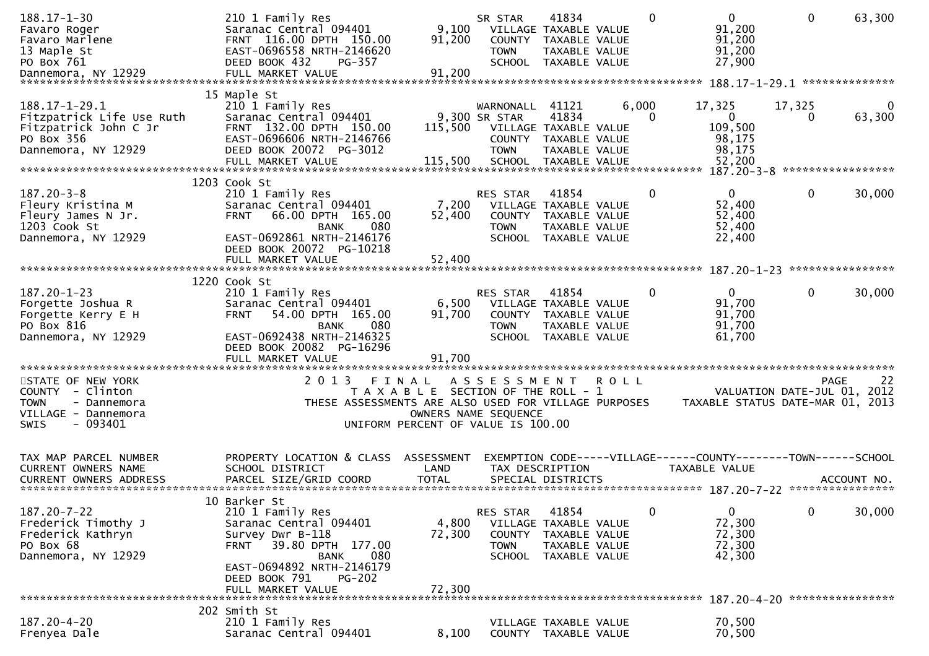| $188.17 - 1 - 30$<br>Favaro Roger<br>Favaro Marlene<br>13 Maple St<br>PO Box 761                                       | 210 1 Family Res<br>Saranac Central 094401<br>FRNT 116.00 DPTH 150.00<br>EAST-0696558 NRTH-2146620<br>DEED BOOK 432<br>PG-357                                                                                                | 9,100<br>91,200                                                                      | SR STAR<br><b>TOWN</b>                      | 41834<br>VILLAGE TAXABLE VALUE<br>COUNTY TAXABLE VALUE<br>TAXABLE VALUE<br>SCHOOL TAXABLE VALUE          |             | $\mathbf{0}$      | $\overline{0}$<br>91,200<br>91,200<br>91,200<br>27,900                                           | $\mathbf 0$  | 63,300           |
|------------------------------------------------------------------------------------------------------------------------|------------------------------------------------------------------------------------------------------------------------------------------------------------------------------------------------------------------------------|--------------------------------------------------------------------------------------|---------------------------------------------|----------------------------------------------------------------------------------------------------------|-------------|-------------------|--------------------------------------------------------------------------------------------------|--------------|------------------|
|                                                                                                                        |                                                                                                                                                                                                                              |                                                                                      |                                             |                                                                                                          |             |                   |                                                                                                  |              |                  |
| $188.17 - 1 - 29.1$<br>Fitzpatrick Life Use Ruth<br>Fitzpatrick John C Jr<br>PO Box 356<br>Dannemora, NY 12929         | 15 Maple St<br>210 1 Family Res<br>Saranac Central 094401<br>FRNT 132.00 DPTH 150.00<br>EAST-0696606 NRTH-2146766<br>DEED BOOK 20072 PG-3012<br>FULL MARKET VALUE                                                            | 115,500<br>115,500                                                                   | WARNONALL<br>9,300 SR STAR<br><b>TOWN</b>   | 41121<br>41834<br>VILLAGE TAXABLE VALUE<br>COUNTY TAXABLE VALUE<br>TAXABLE VALUE<br>SCHOOL TAXABLE VALUE |             | 6,000<br>$\Omega$ | 17,325<br>$\mathbf{0}$<br>109,500<br>98,175<br>98,175<br>52,200<br>187.20-3-8 ****************** | 17,325<br>0  | 63,300           |
|                                                                                                                        | 1203 Cook St                                                                                                                                                                                                                 |                                                                                      |                                             |                                                                                                          |             |                   |                                                                                                  |              |                  |
| $187.20 - 3 - 8$<br>Fleury Kristina M<br>Fleury James N Jr.<br>1203 Cook St<br>Dannemora, NY 12929                     | 210 1 Family Res<br>Saranac Central 094401<br>66.00 DPTH 165.00<br><b>FRNT</b><br><b>BANK</b><br>080<br>EAST-0692861 NRTH-2146176<br>DEED BOOK 20072 PG-10218                                                                | 7,200<br>52,400                                                                      | <b>RES STAR</b><br><b>TOWN</b>              | 41854<br>VILLAGE TAXABLE VALUE<br>COUNTY TAXABLE VALUE<br>TAXABLE VALUE<br>SCHOOL TAXABLE VALUE          |             | 0                 | $\Omega$<br>52,400<br>52,400<br>52,400<br>22,400                                                 | $\mathbf{0}$ | 30,000           |
|                                                                                                                        | FULL MARKET VALUE                                                                                                                                                                                                            | 52,400                                                                               |                                             |                                                                                                          |             |                   |                                                                                                  |              | **************** |
| $187.20 - 1 - 23$<br>Forgette Joshua R<br>Forgette Kerry E H<br>PO Box 816<br>Dannemora, NY 12929                      | 1220 Cook St<br>210 1 Family Res<br>Saranac Central 094401<br>54.00 DPTH 165.00<br><b>FRNT</b><br>080<br><b>BANK</b><br>EAST-0692438 NRTH-2146325<br>DEED BOOK 20082 PG-16296<br>FULL MARKET VALUE                           | 6,500<br>91,700<br>91.700                                                            | RES STAR<br><b>TOWN</b>                     | 41854<br>VILLAGE TAXABLE VALUE<br>COUNTY TAXABLE VALUE<br><b>TAXABLE VALUE</b><br>SCHOOL TAXABLE VALUE   |             | 0                 | $\mathbf{0}$<br>91,700<br>91,700<br>91,700<br>61,700                                             | $\mathbf{0}$ | 30,000           |
| STATE OF NEW YORK<br>COUNTY - Clinton<br><b>TOWN</b><br>- Dannemora<br>VILLAGE - Dannemora<br>$-093401$<br><b>SWIS</b> | 2 0 1 3<br>THESE ASSESSMENTS ARE ALSO USED FOR VILLAGE PURPOSES                                                                                                                                                              | FINAL<br>T A X A B L E SECTION OF THE ROLL - 1<br>UNIFORM PERCENT OF VALUE IS 100.00 | A S S E S S M E N T<br>OWNERS NAME SEQUENCE |                                                                                                          | <b>ROLL</b> |                   | VALUATION DATE-JUL 01, 2012<br>TAXABLE STATUS DATE-MAR 01, 2013                                  |              | 22<br>PAGE       |
| TAX MAP PARCEL NUMBER<br>CURRENT OWNERS NAME                                                                           | PROPERTY LOCATION & CLASS<br>SCHOOL DISTRICT                                                                                                                                                                                 | ASSESSMENT<br>LAND                                                                   |                                             | TAX DESCRIPTION                                                                                          |             |                   | EXEMPTION CODE-----VILLAGE------COUNTY--------TOWN------SCHOOL<br>TAXABLE VALUE                  |              |                  |
| $187.20 - 7 - 22$<br>Frederick Timothy J<br>Frederick Kathryn<br>PO Box 68<br>Dannemora, NY 12929                      | 10 Barker St<br>210 1 Family Res<br>Saranac Central 094401<br>Survey Dwr B-118<br>39.80 DPTH 177.00<br><b>FRNT</b><br><b>BANK</b><br>080<br>EAST-0694892 NRTH-2146179<br>DEED BOOK 791<br><b>PG-202</b><br>FULL MARKET VALUE | 4,800<br>72,300<br>72,300                                                            | RES STAR<br>COUNTY<br><b>TOWN</b>           | 41854<br>VILLAGE TAXABLE VALUE<br>TAXABLE VALUE<br>TAXABLE VALUE<br>SCHOOL TAXABLE VALUE                 |             | 0                 | $\mathbf 0$<br>72,300<br>72,300<br>72,300<br>42,300                                              | $\mathbf{0}$ | 30,000           |
|                                                                                                                        |                                                                                                                                                                                                                              |                                                                                      |                                             |                                                                                                          |             |                   |                                                                                                  |              |                  |
| 187.20-4-20<br>Frenyea Dale                                                                                            | 202 Smith St<br>210 1 Family Res<br>Saranac Central 094401                                                                                                                                                                   | 8,100                                                                                |                                             | VILLAGE TAXABLE VALUE<br>COUNTY TAXABLE VALUE                                                            |             |                   | 70,500<br>70,500                                                                                 |              |                  |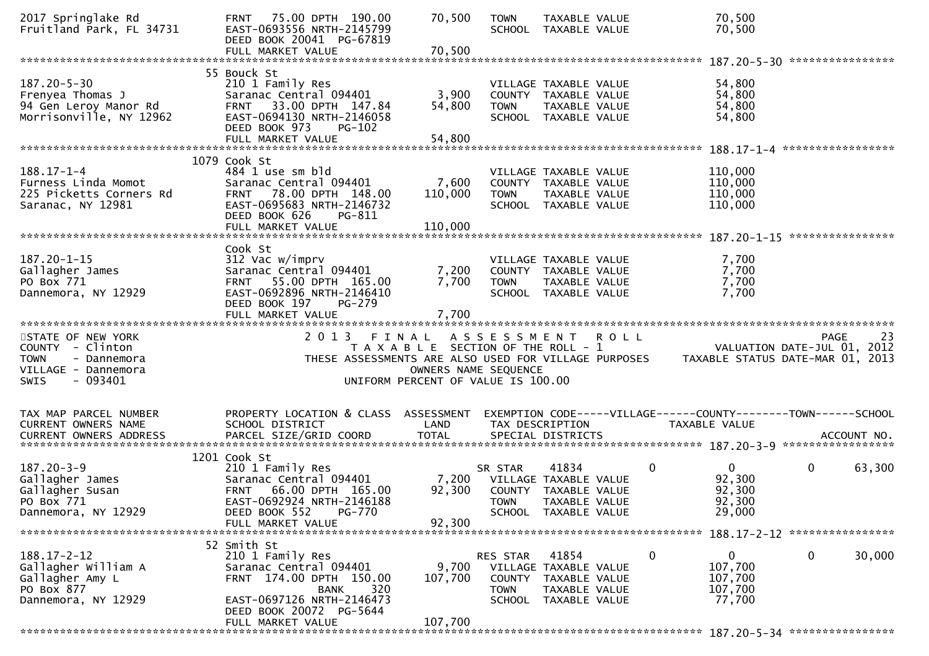| 2017 Springlake Rd<br>Fruitland Park, FL 34731                                                                        | FRNT 75.00 DPTH 190.00<br>EAST-0693556 NRTH-2145799<br>DEED BOOK 20041 PG-67819                                                                                    | 70,500                                                                                                       | <b>TOWN</b>             | TAXABLE VALUE<br>SCHOOL TAXABLE VALUE                                                           |             | 70,500<br>70,500                                                                |                  |        |
|-----------------------------------------------------------------------------------------------------------------------|--------------------------------------------------------------------------------------------------------------------------------------------------------------------|--------------------------------------------------------------------------------------------------------------|-------------------------|-------------------------------------------------------------------------------------------------|-------------|---------------------------------------------------------------------------------|------------------|--------|
|                                                                                                                       |                                                                                                                                                                    |                                                                                                              |                         |                                                                                                 |             |                                                                                 |                  |        |
| $187.20 - 5 - 30$<br>Frenyea Thomas J<br>94 Gen Leroy Manor Rd<br>Morrisonville, NY 12962                             | 55 Bouck St<br>210 1 Family Res<br>Saranac Central 094401<br>FRNT 33.00 DPTH 147.84<br>EAST-0694130 NRTH-2146058<br>DEED BOOK 973<br>$PG-102$<br>FULL MARKET VALUE | 3,900<br>54,800<br>54,800                                                                                    | <b>TOWN</b>             | VILLAGE TAXABLE VALUE<br>COUNTY TAXABLE VALUE<br>TAXABLE VALUE<br>SCHOOL TAXABLE VALUE          |             | 54,800<br>54,800<br>54,800<br>54,800                                            |                  |        |
|                                                                                                                       |                                                                                                                                                                    |                                                                                                              |                         |                                                                                                 |             |                                                                                 |                  |        |
| $188.17 - 1 - 4$<br>Furness Linda Momot<br>225 Picketts Corners Rd<br>Saranac, NY 12981                               | 1079 Cook St<br>484 1 use sm bld<br>Saranac Central 094401<br>FRNT 78.00 DPTH 148.00<br>EAST-0695683 NRTH-2146732<br>DEED BOOK 626<br>PG-811<br>FULL MARKET VALUE  | 7,600<br>110,000<br>110,000                                                                                  | <b>TOWN</b>             | VILLAGE TAXABLE VALUE<br>COUNTY TAXABLE VALUE<br>TAXABLE VALUE<br>SCHOOL TAXABLE VALUE          |             | 110,000<br>110,000<br>110,000<br>110,000                                        |                  |        |
|                                                                                                                       |                                                                                                                                                                    |                                                                                                              |                         |                                                                                                 |             |                                                                                 | **************** |        |
| 187.20-1-15<br>Gallagher James<br>PO Box 771<br>Dannemora, NY 12929                                                   | Cook St<br>312 Vac w/imprv<br>Saranac Central 094401<br>FRNT 55.00 DPTH 165.00<br>EAST-0692896 NRTH-2146410<br>DEED BOOK 197<br>PG-279                             | 7,200<br>7,700                                                                                               | <b>TOWN</b>             | VILLAGE TAXABLE VALUE<br>COUNTY TAXABLE VALUE<br>TAXABLE VALUE<br>SCHOOL TAXABLE VALUE          |             | 7,700<br>7,700<br>7,700<br>7,700                                                |                  |        |
|                                                                                                                       | FULL MARKET VALUE                                                                                                                                                  | 7,700                                                                                                        |                         |                                                                                                 |             |                                                                                 |                  |        |
|                                                                                                                       |                                                                                                                                                                    |                                                                                                              |                         |                                                                                                 |             |                                                                                 |                  |        |
| STATE OF NEW YORK<br>COUNTY - Clinton<br><b>TOWN</b><br>- Dannemora<br>VILLAGE - Dannemora<br><b>SWIS</b><br>- 093401 | 2 0 1 3<br>THESE ASSESSMENTS ARE ALSO USED FOR VILLAGE PURPOSES                                                                                                    | FINAL<br>T A X A B L E SECTION OF THE ROLL - 1<br>OWNERS NAME SEQUENCE<br>UNIFORM PERCENT OF VALUE IS 100.00 |                         | ASSESSMENT ROLL                                                                                 |             | VALUATION DATE-JUL 01, 2012<br>TAXABLE STATUS DATE-MAR 01, 2013                 | <b>PAGE</b>      | 23     |
| TAX MAP PARCEL NUMBER<br><b>CURRENT OWNERS NAME</b>                                                                   | PROPERTY LOCATION & CLASS ASSESSMENT<br>SCHOOL DISTRICT                                                                                                            | LAND                                                                                                         |                         | TAX DESCRIPTION                                                                                 |             | EXEMPTION CODE-----VILLAGE------COUNTY--------TOWN------SCHOOL<br>TAXABLE VALUE |                  |        |
|                                                                                                                       |                                                                                                                                                                    |                                                                                                              |                         |                                                                                                 |             |                                                                                 |                  |        |
| $187.20 - 3 - 9$<br>Gallagher James<br>Gallagher Susan<br>PO Box 771<br>Dannemora, NY 12929                           | 1201 Cook St<br>210 1 Family Res<br>Saranac Central 094401<br>66.00 DPTH 165.00<br><b>FRNT</b><br>EAST-0692924 NRTH-2146188<br>DEED BOOK 552<br>PG-770             | 7,200<br>92,300                                                                                              | SR STAR<br><b>TOWN</b>  | 41834<br>VILLAGE TAXABLE VALUE<br>COUNTY TAXABLE VALUE<br>TAXABLE VALUE<br>SCHOOL TAXABLE VALUE | $\mathbf 0$ | $\mathbf{0}$<br>92,300<br>92,300<br>92,300<br>29,000                            | 0                | 63,300 |
|                                                                                                                       | FULL MARKET VALUE                                                                                                                                                  | 92,300                                                                                                       |                         |                                                                                                 |             |                                                                                 |                  |        |
| $188.17 - 2 - 12$<br>Gallagher William A<br>Gallagher Amy L<br>PO Box 877<br>Dannemora, NY 12929                      | 52 Smith St<br>210 1 Family Res<br>Saranac Central 094401<br>FRNT 174.00 DPTH 150.00<br>320<br>BANK<br>EAST-0697126 NRTH-2146473<br>DEED BOOK 20072 PG-5644        | 9,700<br>107,700<br>107,700                                                                                  | RES STAR<br><b>TOWN</b> | 41854<br>VILLAGE TAXABLE VALUE<br>COUNTY TAXABLE VALUE<br>TAXABLE VALUE<br>SCHOOL TAXABLE VALUE | 0           | 0<br>107,700<br>107,700<br>107,700<br>77,700                                    | 0                | 30,000 |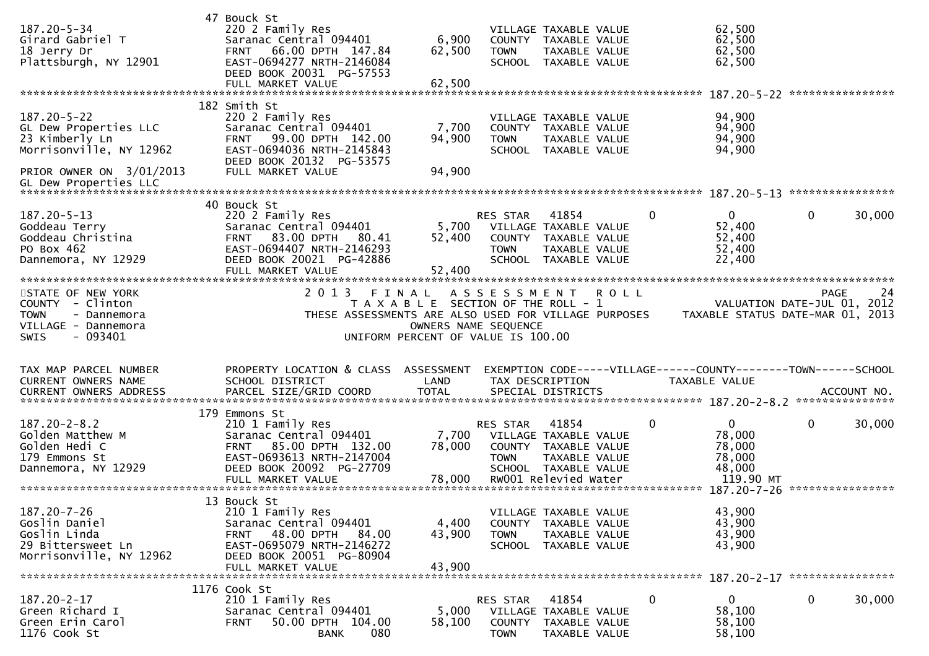| $187.20 - 5 - 34$<br>Girard Gabriel T<br>18 Jerry Dr<br>Plattsburgh, NY 12901                                         | 47 Bouck St<br>220 2 Family Res<br>Saranac Central 094401<br>66.00 DPTH 147.84<br><b>FRNT</b><br>EAST-0694277 NRTH-2146084<br>DEED BOOK 20031 PG-57553<br>FULL MARKET VALUE   | 6,900<br>62,500<br>62,500                                                                                    | <b>TOWN</b>                              | VILLAGE TAXABLE VALUE<br>COUNTY TAXABLE VALUE<br>TAXABLE VALUE<br>SCHOOL TAXABLE VALUE                                  |             |             | 62,500<br>62,500<br>62,500<br>62,500<br>187.20-5-22              |             | ****************                                               |
|-----------------------------------------------------------------------------------------------------------------------|-------------------------------------------------------------------------------------------------------------------------------------------------------------------------------|--------------------------------------------------------------------------------------------------------------|------------------------------------------|-------------------------------------------------------------------------------------------------------------------------|-------------|-------------|------------------------------------------------------------------|-------------|----------------------------------------------------------------|
|                                                                                                                       | 182 Smith St                                                                                                                                                                  |                                                                                                              |                                          |                                                                                                                         |             |             |                                                                  |             |                                                                |
| $187.20 - 5 - 22$<br>GL Dew Properties LLC<br>23 Kimberly Ln<br>Morrisonville, NY 12962                               | 220 2 Family Res<br>Saranac Central 094401<br>99.00 DPTH 142.00<br><b>FRNT</b><br>EAST-0694036 NRTH-2145843<br>DEED BOOK 20132 PG-53575                                       | 7,700<br>94,900                                                                                              | <b>TOWN</b>                              | VILLAGE TAXABLE VALUE<br>COUNTY TAXABLE VALUE<br>TAXABLE VALUE<br>SCHOOL TAXABLE VALUE                                  |             |             | 94,900<br>94,900<br>94,900<br>94,900                             |             |                                                                |
| PRIOR OWNER ON 3/01/2013                                                                                              | FULL MARKET VALUE                                                                                                                                                             | 94,900                                                                                                       |                                          |                                                                                                                         |             |             |                                                                  |             |                                                                |
|                                                                                                                       | 40 Bouck St                                                                                                                                                                   |                                                                                                              |                                          |                                                                                                                         |             |             |                                                                  |             |                                                                |
| $187.20 - 5 - 13$<br>Goddeau Terry<br>Goddeau Christina<br>PO Box 462<br>Dannemora, NY 12929                          | 220 2 Family Res<br>Saranac Central 094401<br>83.00 DPTH 80.41<br><b>FRNT</b><br>EAST-0694407 NRTH-2146293<br>DEED BOOK 20021 PG-42886                                        | 5,700<br>52,400                                                                                              | RES STAR<br><b>TOWN</b><br><b>SCHOOL</b> | 41854<br>VILLAGE TAXABLE VALUE<br>COUNTY TAXABLE VALUE<br>TAXABLE VALUE<br>TAXABLE VALUE                                |             | 0           | $\mathbf{0}$<br>52,400<br>52,400<br>52,400<br>22,400             | 0           | 30,000                                                         |
|                                                                                                                       | FULL MARKET VALUE                                                                                                                                                             | 52,400                                                                                                       |                                          |                                                                                                                         |             |             |                                                                  |             |                                                                |
| STATE OF NEW YORK<br>COUNTY - Clinton<br><b>TOWN</b><br>- Dannemora<br>VILLAGE - Dannemora<br><b>SWIS</b><br>- 093401 | 2 0 1 3<br>THESE ASSESSMENTS ARE ALSO USED FOR VILLAGE PURPOSES                                                                                                               | FINAL<br>T A X A B L E SECTION OF THE ROLL - 1<br>OWNERS NAME SEQUENCE<br>UNIFORM PERCENT OF VALUE IS 100.00 | A S S E S S M E N T                      |                                                                                                                         | <b>ROLL</b> |             | VALUATION DATE-JUL 01,<br>TAXABLE STATUS DATE-MAR 01, 2013       | <b>PAGE</b> | 24<br>2012                                                     |
| TAX MAP PARCEL NUMBER<br>CURRENT OWNERS NAME                                                                          | PROPERTY LOCATION & CLASS ASSESSMENT                                                                                                                                          |                                                                                                              |                                          |                                                                                                                         |             |             |                                                                  |             |                                                                |
|                                                                                                                       | SCHOOL DISTRICT                                                                                                                                                               | LAND                                                                                                         |                                          | TAX DESCRIPTION                                                                                                         |             |             | TAXABLE VALUE                                                    |             | EXEMPTION CODE-----VILLAGE------COUNTY--------TOWN------SCHOOL |
|                                                                                                                       |                                                                                                                                                                               |                                                                                                              |                                          |                                                                                                                         |             |             |                                                                  |             |                                                                |
| $187.20 - 2 - 8.2$<br>Golden Matthew M<br>Golden Hedi C<br>179 Emmons St<br>Dannemora, NY 12929                       | 179 Emmons St<br>210 1 Family Res<br>Saranac Central 094401<br>85.00 DPTH 132.00<br><b>FRNT</b><br>EAST-0693613 NRTH-2147004<br>DEED BOOK 20092 PG-27709<br>FULL MARKET VALUE | 7,700<br>78,000<br>78,000                                                                                    | RES STAR<br><b>TOWN</b>                  | 41854<br>VILLAGE TAXABLE VALUE<br>COUNTY TAXABLE VALUE<br>TAXABLE VALUE<br>SCHOOL TAXABLE VALUE<br>RW001 Relevied Water |             | $\mathbf 0$ | $\mathbf 0$<br>78,000<br>78,000<br>78,000<br>48,000<br>119.90 MT | 0           | 30,000                                                         |
|                                                                                                                       |                                                                                                                                                                               |                                                                                                              |                                          |                                                                                                                         |             |             | 187.20-7-26                                                      |             | ****************                                               |
| $187.20 - 7 - 26$<br>Goslin Daniel<br>Goslin Linda<br>29 Bittersweet Ln<br>Morrisonville, NY 12962                    | 13 Bouck St<br>210 1 Family Res<br>Saranac Central 094401<br>FRNT 48.00 DPTH 84.00<br>EAST-0695079 NRTH-2146272<br>DEED BOOK 20051 PG-80904<br>FULL MARKET VALUE              | 4,400<br>43,900<br>43,900                                                                                    | <b>TOWN</b>                              | VILLAGE TAXABLE VALUE<br>COUNTY TAXABLE VALUE<br>TAXABLE VALUE<br>SCHOOL TAXABLE VALUE                                  |             |             | 43,900<br>43,900<br>43,900<br>43,900                             |             |                                                                |
|                                                                                                                       | 1176 Cook St                                                                                                                                                                  |                                                                                                              |                                          |                                                                                                                         |             |             | 187.20-2-17 *****************                                    |             |                                                                |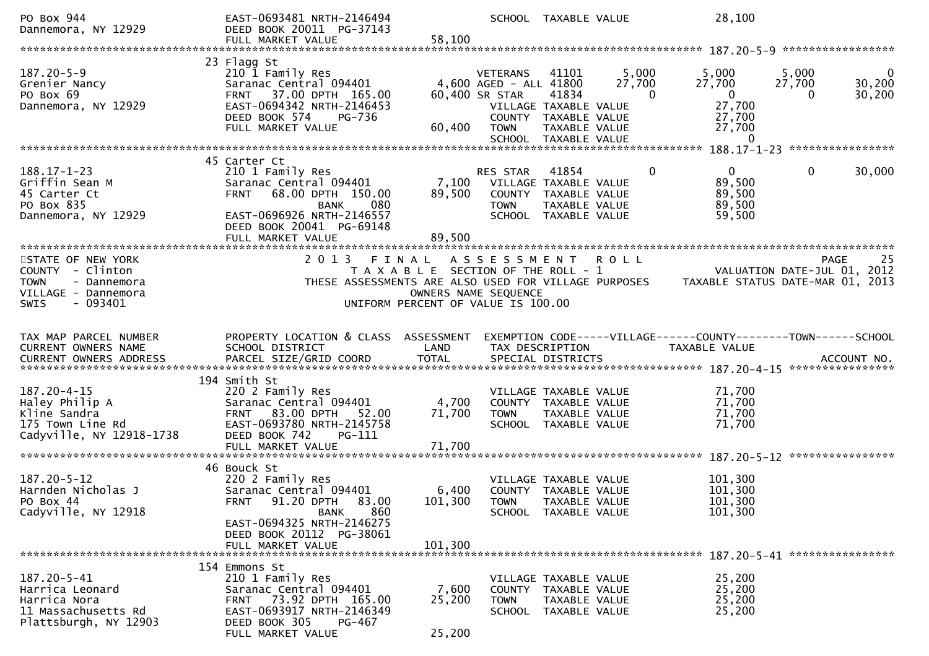| PO Box 944<br>Dannemora, NY 12929                                                                                      | EAST-0693481 NRTH-2146494<br>DEED BOOK 20011 PG-37143<br>FULL MARKET VALUE                                                                                                                         | 58,100                                                                                                       |                                                                            | SCHOOL TAXABLE VALUE                                                                                     |                 | 28,100                                                                      |                               |                                  |
|------------------------------------------------------------------------------------------------------------------------|----------------------------------------------------------------------------------------------------------------------------------------------------------------------------------------------------|--------------------------------------------------------------------------------------------------------------|----------------------------------------------------------------------------|----------------------------------------------------------------------------------------------------------|-----------------|-----------------------------------------------------------------------------|-------------------------------|----------------------------------|
|                                                                                                                        |                                                                                                                                                                                                    |                                                                                                              |                                                                            |                                                                                                          |                 |                                                                             |                               |                                  |
| $187.20 - 5 - 9$<br>Grenier Nancy<br>PO Box 69<br>Dannemora, NY 12929                                                  | 23 Flagg St<br>210 1 Family Res<br>Saranac Central 094401<br>FRNT 37.00 DPTH 165.00<br>EAST-0694342 NRTH-2146453<br>DEED BOOK 574<br>PG-736<br>FULL MARKET VALUE                                   | 60,400                                                                                                       | <b>VETERANS</b><br>4,600 AGED - ALL 41800<br>60,400 SR STAR<br><b>TOWN</b> | 41101<br>41834<br>VILLAGE TAXABLE VALUE<br>COUNTY TAXABLE VALUE<br>TAXABLE VALUE<br>SCHOOL TAXABLE VALUE | 5,000<br>27,700 | 5,000<br>27,700<br>$\Omega$<br>$\overline{0}$<br>27,700<br>27,700<br>27,700 | 5,000<br>27,700<br>0          | $\mathbf{0}$<br>30,200<br>30,200 |
|                                                                                                                        |                                                                                                                                                                                                    |                                                                                                              |                                                                            |                                                                                                          |                 |                                                                             | 188.17-1-23 ***************** |                                  |
| 188.17-1-23<br>Griffin Sean M<br>45 Carter Ct<br>PO Box 835<br>Dannemora, NY 12929                                     | 45 Carter Ct<br>210 1 Family Res<br>Saranac Central 094401<br>68.00 DPTH 150.00<br><b>FRNT</b><br><b>BANK</b><br>080<br>EAST-0696926 NRTH-2146557<br>DEED BOOK 20041 PG-69148<br>FULL MARKET VALUE | 7,100<br>89,500<br>89,500                                                                                    | RES STAR<br><b>TOWN</b>                                                    | 41854<br>VILLAGE TAXABLE VALUE<br>COUNTY TAXABLE VALUE<br>TAXABLE VALUE<br>SCHOOL TAXABLE VALUE          |                 | 0<br>0<br>89,500<br>89,500<br>89,500<br>59,500                              | 0                             | 30,000                           |
| **********************                                                                                                 | *********************************                                                                                                                                                                  |                                                                                                              |                                                                            |                                                                                                          |                 |                                                                             |                               |                                  |
| STATE OF NEW YORK<br>COUNTY - Clinton<br><b>TOWN</b><br>- Dannemora<br>VILLAGE - Dannemora<br>$-093401$<br><b>SWIS</b> | 2 0 1 3<br>THESE ASSESSMENTS ARE ALSO USED FOR VILLAGE PURPOSES                                                                                                                                    | FINAL<br>T A X A B L E SECTION OF THE ROLL - 1<br>OWNERS NAME SEQUENCE<br>UNIFORM PERCENT OF VALUE IS 100.00 | A S S E S S M E N T                                                        |                                                                                                          | <b>ROLL</b>     | TAXABLE STATUS DATE-MAR 01, 2013                                            | VALUATION DATE-JUL 01, 2012   | 25<br><b>PAGE</b>                |
| TAX MAP PARCEL NUMBER                                                                                                  | PROPERTY LOCATION & CLASS ASSESSMENT                                                                                                                                                               |                                                                                                              |                                                                            |                                                                                                          |                 | EXEMPTION CODE-----VILLAGE------COUNTY--------TOWN------SCHOOL              |                               |                                  |
| CURRENT OWNERS NAME                                                                                                    | SCHOOL DISTRICT                                                                                                                                                                                    | LAND                                                                                                         |                                                                            | TAX DESCRIPTION                                                                                          |                 | TAXABLE VALUE                                                               |                               |                                  |
|                                                                                                                        | 194 Smith St                                                                                                                                                                                       |                                                                                                              |                                                                            |                                                                                                          |                 |                                                                             |                               |                                  |
| $187.20 - 4 - 15$<br>Haley Philip A<br>Kline Sandra<br>175 Town Line Rd<br>Cadyville, NY 12918-1738                    | 220 2 Family Res<br>Saranac Central 094401<br>83.00 DPTH<br>FRNT<br>52.00<br>EAST-0693780 NRTH-2145758<br>DEED BOOK 742<br>PG-111                                                                  | 4,700<br>71,700                                                                                              | <b>TOWN</b>                                                                | VILLAGE TAXABLE VALUE<br>COUNTY TAXABLE VALUE<br>TAXABLE VALUE<br>SCHOOL TAXABLE VALUE                   |                 | 71,700<br>71,700<br>71,700<br>71,700                                        |                               |                                  |
|                                                                                                                        | FULL MARKET VALUE                                                                                                                                                                                  | 71,700                                                                                                       |                                                                            |                                                                                                          |                 |                                                                             |                               |                                  |
| $187.20 - 5 - 12$<br>Harnden Nicholas J<br>PO Box 44<br>Cadyville, NY 12918                                            | 46 Bouck St<br>220 2 Family Res<br>Saranac Central 094401<br>FRNT 91.20 DPTH 83.00<br>860<br>BANK<br>EAST-0694325 NRTH-2146275<br>DEED BOOK 20112 PG-38061                                         | 6,400<br>101,300<br>101,300                                                                                  | <b>TOWN</b>                                                                | VILLAGE TAXABLE VALUE<br>COUNTY TAXABLE VALUE<br>TAXABLE VALUE<br>SCHOOL TAXABLE VALUE                   |                 | 101,300<br>101,300<br>101,300<br>101,300                                    |                               |                                  |
|                                                                                                                        | FULL MARKET VALUE                                                                                                                                                                                  |                                                                                                              |                                                                            |                                                                                                          |                 |                                                                             |                               |                                  |
| 187.20-5-41<br>Harrica Leonard<br>Harrica Nora<br>11 Massachusetts Rd<br>Plattsburgh, NY 12903                         | 154 Emmons St<br>210 1 Family Res<br>Saranac Central 094401<br>FRNT 73.92 DPTH 165.00<br>EAST-0693917 NRTH-2146349<br>DEED BOOK 305<br>PG-467<br>FULL MARKET VALUE                                 | 7,600<br>25,200<br>25,200                                                                                    | <b>TOWN</b>                                                                | VILLAGE TAXABLE VALUE<br>COUNTY TAXABLE VALUE<br>TAXABLE VALUE<br>SCHOOL TAXABLE VALUE                   |                 | 25,200<br>25,200<br>25,200<br>25,200                                        |                               |                                  |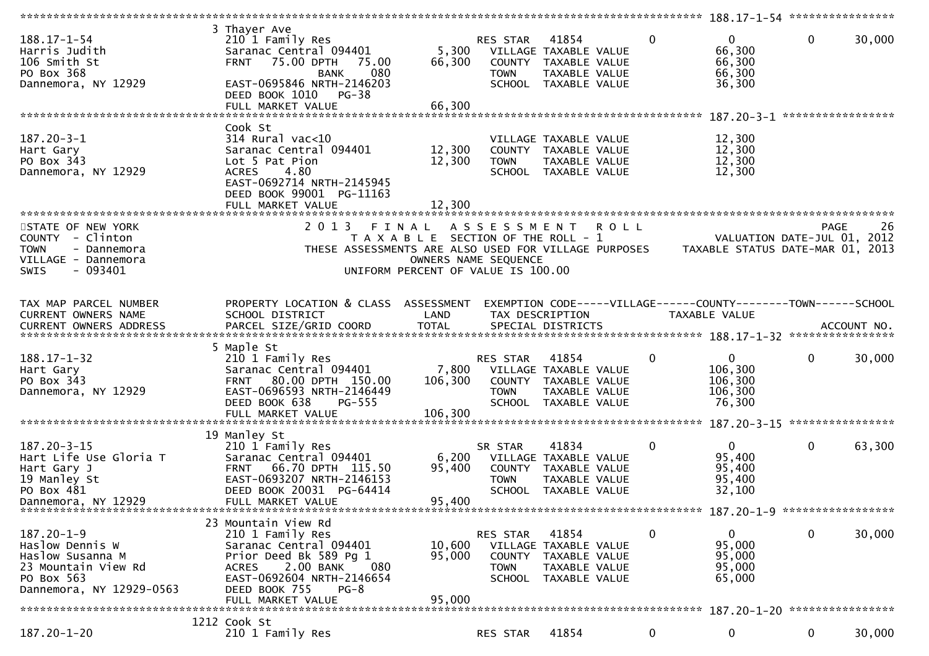| ************************                                                                                                 |                                                                                                                                                                                                              |                                                                                                     |                                          |                                                                                                 |         |                                                                                 | 188.17-1-54 *****************                                   |              |                            |
|--------------------------------------------------------------------------------------------------------------------------|--------------------------------------------------------------------------------------------------------------------------------------------------------------------------------------------------------------|-----------------------------------------------------------------------------------------------------|------------------------------------------|-------------------------------------------------------------------------------------------------|---------|---------------------------------------------------------------------------------|-----------------------------------------------------------------|--------------|----------------------------|
| $188.17 - 1 - 54$<br>Harris Judith<br>106 Smith St<br>PO Box 368<br>Dannemora, NY 12929                                  | 3 Thayer Ave<br>210 1 Family Res<br>Saranac Central 094401<br><b>FRNT</b><br>75.00 DPTH<br>75.00<br>080<br><b>BANK</b><br>EAST-0695846 NRTH-2146203<br>DEED BOOK 1010<br>PG-38<br>FULL MARKET VALUE          | 5,300<br>66,300<br>66,300                                                                           | RES STAR<br>COUNTY<br><b>TOWN</b>        | 41854<br>VILLAGE TAXABLE VALUE<br>TAXABLE VALUE<br>TAXABLE VALUE<br>SCHOOL TAXABLE VALUE        |         | $\mathbf{0}$                                                                    | $\overline{0}$<br>66,300<br>66,300<br>66,300<br>36,300          | 0            | 30,000                     |
|                                                                                                                          |                                                                                                                                                                                                              |                                                                                                     |                                          |                                                                                                 |         |                                                                                 |                                                                 |              | *****************          |
| $187.20 - 3 - 1$<br>Hart Gary<br>PO Box 343<br>Dannemora, NY 12929                                                       | Cook St<br>314 Rural vac<10<br>Saranac Central 094401<br>Lot 5 Pat Pion<br>4.80<br><b>ACRES</b><br>EAST-0692714 NRTH-2145945<br>DEED BOOK 99001 PG-11163<br>FULL MARKET VALUE                                | 12,300<br>12,300<br>12,300                                                                          | <b>TOWN</b>                              | VILLAGE TAXABLE VALUE<br>COUNTY TAXABLE VALUE<br>TAXABLE VALUE<br>SCHOOL TAXABLE VALUE          |         |                                                                                 | 12,300<br>12,300<br>12,300<br>12,300                            |              |                            |
| STATE OF NEW YORK                                                                                                        | 2013                                                                                                                                                                                                         | FINAL                                                                                               | A S S E S S M E N T                      |                                                                                                 | R O L L |                                                                                 |                                                                 | <b>PAGE</b>  | 26                         |
| COUNTY - Clinton<br><b>TOWN</b><br>- Dannemora<br>VILLAGE - Dannemora<br>- 093401<br>SWIS                                | THESE ASSESSMENTS ARE ALSO USED FOR VILLAGE PURPOSES                                                                                                                                                         | T A X A B L E SECTION OF THE ROLL - 1<br>OWNERS NAME SEQUENCE<br>UNIFORM PERCENT OF VALUE IS 100.00 |                                          |                                                                                                 |         |                                                                                 | VALUATION DATE-JUL 01, 2012<br>TAXABLE STATUS DATE-MAR 01, 2013 |              |                            |
|                                                                                                                          |                                                                                                                                                                                                              |                                                                                                     |                                          |                                                                                                 |         |                                                                                 |                                                                 |              |                            |
| TAX MAP PARCEL NUMBER<br>CURRENT OWNERS NAME                                                                             | PROPERTY LOCATION & CLASS ASSESSMENT<br>SCHOOL DISTRICT                                                                                                                                                      | LAND                                                                                                |                                          | TAX DESCRIPTION                                                                                 |         | EXEMPTION CODE-----VILLAGE------COUNTY--------TOWN------SCHOOL<br>TAXABLE VALUE |                                                                 |              |                            |
|                                                                                                                          | 5 Maple St                                                                                                                                                                                                   |                                                                                                     |                                          |                                                                                                 |         |                                                                                 |                                                                 |              |                            |
| $188.17 - 1 - 32$<br>Hart Gary<br>PO Box 343<br>Dannemora, NY 12929                                                      | 210 1 Family Res<br>Saranac Central 094401<br>FRNT 80.00 DPTH 150.00<br>EAST-0696593 NRTH-2146449<br>DEED BOOK 638<br><b>PG-555</b><br>FULL MARKET VALUE                                                     | 7,800<br>106,300<br>106,300                                                                         | RES STAR<br><b>TOWN</b><br>SCHOOL        | 41854<br>VILLAGE TAXABLE VALUE<br>COUNTY TAXABLE VALUE<br>TAXABLE VALUE<br>TAXABLE VALUE        |         | 0                                                                               | $\mathbf{0}$<br>106,300<br>106,300<br>106,300<br>76,300         | $\mathbf 0$  | 30,000<br>**************** |
|                                                                                                                          | 19 Manley St                                                                                                                                                                                                 |                                                                                                     |                                          |                                                                                                 |         |                                                                                 |                                                                 |              |                            |
| $187.20 - 3 - 15$<br>Hart Life Use Gloria T<br>Hart Gary J<br>19 Manley St<br>PO Box 481<br>Dannemora, NY 12929          | 210 1 Family Res<br>Saranac Central 094401<br>66.70 DPTH 115.50<br><b>FRNT</b><br>EAST-0693207 NRTH-2146153<br>DEED BOOK 20031 PG-64414<br>FULL MARKET VALUE                                                 | 6,200<br>95,400<br>95,400                                                                           | SR STAR<br><b>TOWN</b>                   | 41834<br>VILLAGE TAXABLE VALUE<br>COUNTY TAXABLE VALUE<br>TAXABLE VALUE<br>SCHOOL TAXABLE VALUE |         | 0                                                                               | $\overline{0}$<br>95,400<br>95,400<br>95,400<br>32,100          | $\mathbf{0}$ | 63,300                     |
|                                                                                                                          |                                                                                                                                                                                                              |                                                                                                     |                                          |                                                                                                 |         |                                                                                 |                                                                 |              |                            |
| $187.20 - 1 - 9$<br>Haslow Dennis W<br>Haslow Susanna M<br>23 Mountain View Rd<br>PO Box 563<br>Dannemora, NY 12929-0563 | 23 Mountain View Rd<br>210 1 Family Res<br>Saranac Central 094401<br>Prior Deed Bk 589 Pg 1<br>2.00 BANK<br>080<br><b>ACRES</b><br>EAST-0692604 NRTH-2146654<br>DEED BOOK 755<br>$PG-8$<br>FULL MARKET VALUE | 10,600<br>95,000<br>95,000                                                                          | RES STAR<br><b>COUNTY</b><br><b>TOWN</b> | 41854<br>VILLAGE TAXABLE VALUE<br>TAXABLE VALUE<br>TAXABLE VALUE<br>SCHOOL TAXABLE VALUE        |         | 0                                                                               | $\overline{0}$<br>95,000<br>95,000<br>95,000<br>65,000          | $\mathbf 0$  | 30,000                     |
|                                                                                                                          | 1212 Cook St                                                                                                                                                                                                 |                                                                                                     |                                          |                                                                                                 |         |                                                                                 |                                                                 |              |                            |
| 187.20-1-20                                                                                                              | 210 1 Family Res                                                                                                                                                                                             |                                                                                                     | RES STAR                                 | 41854                                                                                           |         | $\mathbf 0$                                                                     | 0                                                               | 0            | 30,000                     |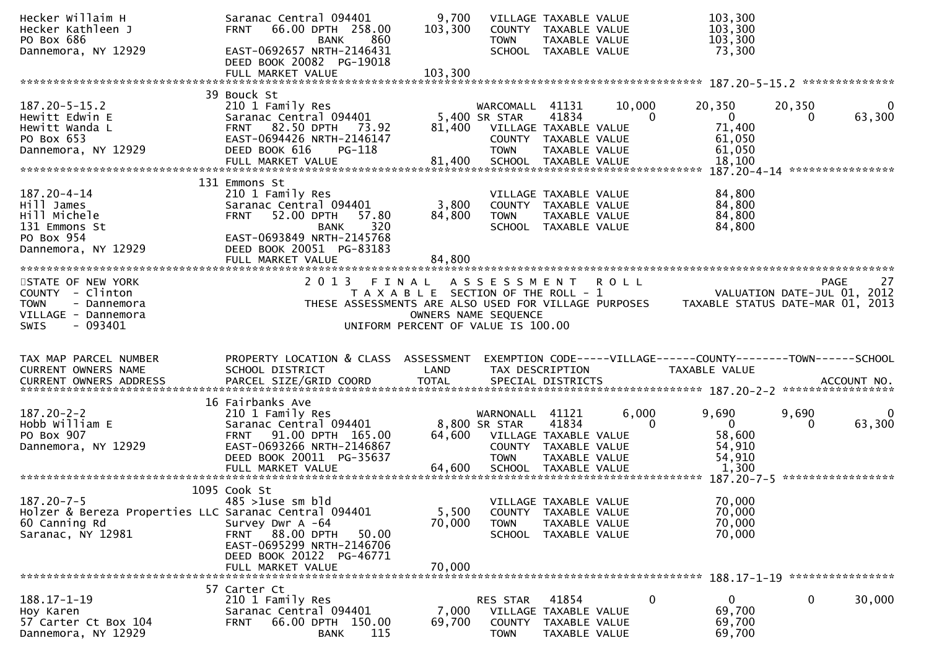| Hecker Kathleen J<br>PO Box 686                                                            | Saranac Central 094401<br><b>FRNT</b><br>66.00 DPTH 258.00<br><b>BANK</b>               | 860                                                           | 9,700<br>103,300 | VILLAGE TAXABLE VALUE<br><b>TOWN</b>                                                 | COUNTY TAXABLE VALUE<br>TAXABLE VALUE           |                   | 103,300<br>103,300<br>103,300                                                  |             |                                                  |
|--------------------------------------------------------------------------------------------|-----------------------------------------------------------------------------------------|---------------------------------------------------------------|------------------|--------------------------------------------------------------------------------------|-------------------------------------------------|-------------------|--------------------------------------------------------------------------------|-------------|--------------------------------------------------|
| Dannemora, NY 12929                                                                        | EAST-0692657 NRTH-2146431<br>DEED BOOK 20082 PG-19018                                   |                                                               |                  |                                                                                      | SCHOOL TAXABLE VALUE                            |                   | 73,300                                                                         |             |                                                  |
|                                                                                            | FULL MARKET VALUE                                                                       |                                                               | 103,300          |                                                                                      |                                                 |                   |                                                                                |             |                                                  |
|                                                                                            | 39 Bouck St                                                                             |                                                               |                  |                                                                                      |                                                 |                   |                                                                                |             |                                                  |
| $187.20 - 5 - 15.2$<br>Hewitt Edwin E<br>Hewitt Wanda L                                    | 210 1 Family Res<br>Saranac Central 094401<br>82.50 DPTH 73.92<br><b>FRNT</b>           |                                                               | 81,400           | WARCOMALL<br>5,400 SR STAR<br>VILLAGE TAXABLE VALUE                                  | 41131<br>41834                                  | 10,000<br>0       | 20,350<br>$\overline{0}$<br>71,400                                             | 20,350<br>0 | 0<br>63,300                                      |
| PO Box 653<br>Dannemora, NY 12929                                                          | EAST-0694426 NRTH-2146147<br>DEED BOOK 616                                              | PG-118                                                        |                  | COUNTY TAXABLE VALUE<br><b>TOWN</b>                                                  | TAXABLE VALUE                                   |                   | 61,050<br>61,050                                                               |             |                                                  |
|                                                                                            | FULL MARKET VALUE                                                                       |                                                               | 81,400           | SCHOOL TAXABLE VALUE                                                                 |                                                 |                   | 18,100                                                                         |             |                                                  |
|                                                                                            | 131 Emmons St                                                                           |                                                               |                  |                                                                                      |                                                 |                   |                                                                                |             |                                                  |
| 187.20-4-14<br>Hill James<br>Hill Michele<br>131 Emmons St                                 | 210 1 Family Res<br>Saranac Central 094401<br>52.00 DPTH<br><b>FRNT</b><br><b>BANK</b>  | 57.80<br>320                                                  | 3,800<br>84,800  | VILLAGE TAXABLE VALUE<br>COUNTY TAXABLE VALUE<br><b>TOWN</b>                         | TAXABLE VALUE<br>SCHOOL TAXABLE VALUE           |                   | 84,800<br>84,800<br>84,800<br>84,800                                           |             |                                                  |
| PO Box 954<br>Dannemora, NY 12929                                                          | EAST-0693849 NRTH-2145768<br>DEED BOOK 20051 PG-83183<br>FULL MARKET VALUE              |                                                               | 84,800           |                                                                                      |                                                 |                   |                                                                                |             |                                                  |
|                                                                                            |                                                                                         |                                                               |                  |                                                                                      |                                                 |                   |                                                                                |             |                                                  |
| STATE OF NEW YORK<br>COUNTY - Clinton<br><b>TOWN</b><br>- Dannemora<br>VILLAGE - Dannemora | 2 0 1 3                                                                                 | FINAL<br>THESE ASSESSMENTS ARE ALSO USED FOR VILLAGE PURPOSES |                  | A S S E S S M E N T<br>T A X A B L E SECTION OF THE ROLL - 1<br>OWNERS NAME SEQUENCE |                                                 | <b>ROLL</b>       | TAXABLE STATUS DATE-MAR 01, 2013                                               |             | <b>PAGE</b><br>27<br>VALUATION DATE-JUL 01, 2012 |
| <b>SWIS</b><br>- 093401                                                                    |                                                                                         | UNIFORM PERCENT OF VALUE IS 100.00                            |                  |                                                                                      |                                                 |                   |                                                                                |             |                                                  |
|                                                                                            |                                                                                         |                                                               |                  |                                                                                      |                                                 |                   |                                                                                |             |                                                  |
| TAX MAP PARCEL NUMBER<br>CURRENT OWNERS NAME                                               | PROPERTY LOCATION & CLASS ASSESSMENT<br>SCHOOL DISTRICT                                 |                                                               | LAND             | TAX DESCRIPTION                                                                      |                                                 |                   | EXEMPTION CODE-----VILLAGE------COUNTY-------TOWN------SCHOOL<br>TAXABLE VALUE |             |                                                  |
|                                                                                            |                                                                                         |                                                               |                  |                                                                                      |                                                 |                   |                                                                                |             |                                                  |
| <b>CURRENT OWNERS ADDRESS</b>                                                              |                                                                                         |                                                               |                  |                                                                                      |                                                 |                   |                                                                                |             |                                                  |
|                                                                                            |                                                                                         |                                                               |                  |                                                                                      |                                                 |                   |                                                                                |             |                                                  |
| $187.20 - 2 - 2$<br>Hobb William E                                                         | 16 Fairbanks Ave<br>210 1 Family Res<br>Saranac Central 094401                          |                                                               |                  | WARNONALL 41121<br>8,800 SR STAR                                                     | 41834                                           | 6,000<br>$\Omega$ | 9,690<br>$\overline{0}$                                                        | 9,690<br>0  | 63,300                                           |
| PO Box 907<br>Dannemora, NY 12929                                                          | FRNT 91.00 DPTH 165.00<br>EAST-0693266 NRTH-2146867<br>DEED BOOK 20011 PG-35637         |                                                               | 64,600           | VILLAGE TAXABLE VALUE<br><b>TOWN</b>                                                 | COUNTY TAXABLE VALUE<br>TAXABLE VALUE           |                   | 58,600<br>54,910<br>54,910                                                     |             |                                                  |
|                                                                                            | FULL MARKET VALUE                                                                       |                                                               | 64,600           | SCHOOL TAXABLE VALUE                                                                 |                                                 |                   | 1,300                                                                          |             |                                                  |
|                                                                                            |                                                                                         |                                                               |                  |                                                                                      |                                                 |                   | 187.20-7-5 ******************                                                  |             |                                                  |
| $187.20 - 7 - 5$<br>Holzer & Bereza Properties LLC Saranac Central 094401<br>60 Canning Rd | 1095 Cook St<br>$485 > 1$ use sm bld<br>Survey Dwr A -64                                |                                                               | 5,500<br>70,000  | VILLAGE TAXABLE VALUE<br>COUNTY<br><b>TOWN</b>                                       | TAXABLE VALUE<br>TAXABLE VALUE                  |                   | 70,000<br>70,000<br>70,000                                                     |             |                                                  |
| Saranac, NY 12981                                                                          | FRNT 88.00 DPTH<br>EAST-0695299 NRTH-2146706<br>DEED BOOK 20122 PG-46771                | 50.00                                                         |                  | <b>SCHOOL</b>                                                                        | TAXABLE VALUE                                   |                   | 70,000                                                                         |             |                                                  |
|                                                                                            | FULL MARKET VALUE                                                                       |                                                               | 70,000           |                                                                                      |                                                 |                   | 188.17-1-19 *****************                                                  |             |                                                  |
| $188.17 - 1 - 19$<br>Hoy Karen<br>57 Carter Ct Box 104                                     | 57 Carter Ct<br>210 1 Family Res<br>Saranac Central 094401<br>66.00 DPTH 150.00<br>FRNT |                                                               | 7,000<br>69,700  | RES STAR<br>COUNTY                                                                   | 41854<br>VILLAGE TAXABLE VALUE<br>TAXABLE VALUE | 0                 | $\overline{0}$<br>69,700<br>69,700                                             | $\mathbf 0$ | 30,000                                           |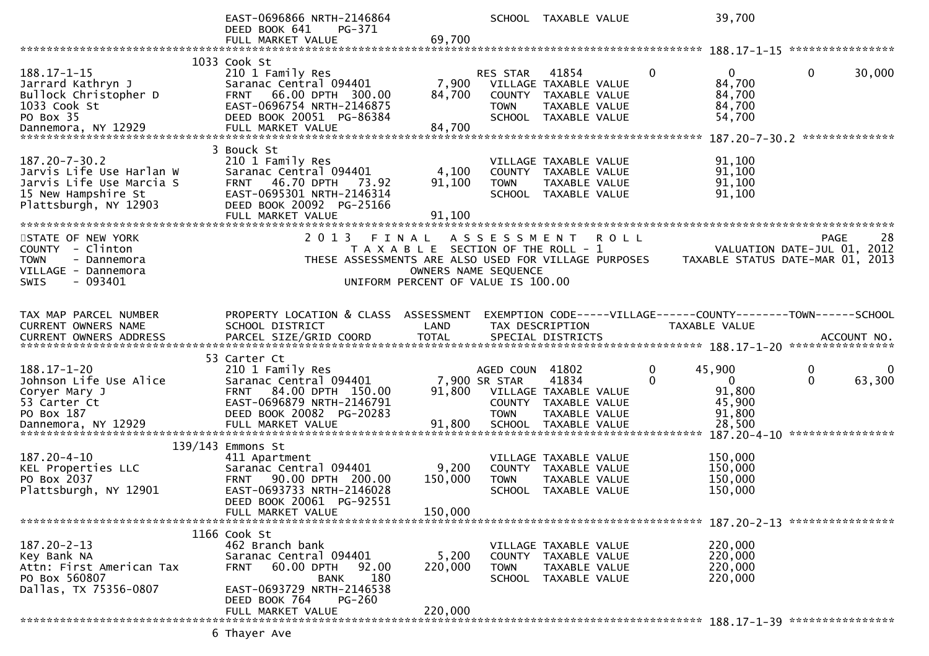|                                                                                                                             | EAST-0696866 NRTH-2146864<br>DEED BOOK 641<br>PG-371                                                                                                                                 | 69,700                                                                                                       |                                           | SCHOOL TAXABLE VALUE                                                                                     |               | 39,700                                                                          |               |             |
|-----------------------------------------------------------------------------------------------------------------------------|--------------------------------------------------------------------------------------------------------------------------------------------------------------------------------------|--------------------------------------------------------------------------------------------------------------|-------------------------------------------|----------------------------------------------------------------------------------------------------------|---------------|---------------------------------------------------------------------------------|---------------|-------------|
|                                                                                                                             | FULL MARKET VALUE                                                                                                                                                                    |                                                                                                              |                                           |                                                                                                          |               |                                                                                 |               |             |
| $188.17 - 1 - 15$<br>Jarrard Kathryn J<br>Bullock Christopher D<br>1033 Cook St<br>PO Box 35                                | 1033 Cook St<br>210 1 Family Res<br>Saranac Central 094401<br>FRNT 66.00 DPTH 300.00<br>EAST-0696754 NRTH-2146875<br>DEED BOOK 20051 PG-86384                                        | 7,900<br>84,700                                                                                              | <b>RES STAR</b><br><b>TOWN</b>            | 41854<br>VILLAGE TAXABLE VALUE<br>COUNTY TAXABLE VALUE<br>TAXABLE VALUE<br>SCHOOL TAXABLE VALUE          | $\mathbf{0}$  | $\mathbf{0}$<br>84,700<br>84,700<br>84,700<br>54,700                            | $\mathbf{0}$  | 30,000      |
| $187.20 - 7 - 30.2$<br>Jarvis Life Use Harlan W<br>Jarvis Life Use Marcia S<br>15 New Hampshire St<br>Plattsburgh, NY 12903 | 3 Bouck St<br>210 1 Family Res<br>Saranac Central 094401<br>46.70 DPTH<br>73.92<br><b>FRNT</b><br>EAST-0695301 NRTH-2146314<br>DEED BOOK 20092 PG-25166<br>FULL MARKET VALUE         | 4,100<br>91,100<br>91,100                                                                                    | <b>TOWN</b>                               | VILLAGE TAXABLE VALUE<br>COUNTY TAXABLE VALUE<br>TAXABLE VALUE<br>SCHOOL TAXABLE VALUE                   |               | 91,100<br>91,100<br>91,100<br>91,100                                            |               |             |
| STATE OF NEW YORK<br>COUNTY - Clinton<br><b>TOWN</b><br>- Dannemora<br>VILLAGE - Dannemora<br>$-093401$<br><b>SWIS</b>      | 2 0 1 3<br>THESE ASSESSMENTS ARE ALSO USED FOR VILLAGE PURPOSES                                                                                                                      | FINAL<br>T A X A B L E SECTION OF THE ROLL - 1<br>OWNERS NAME SEQUENCE<br>UNIFORM PERCENT OF VALUE IS 100.00 | A S S E S S M E N T                       |                                                                                                          | <b>ROLL</b>   | VALUATION DATE-JUL 01, 2012<br>TAXABLE STATUS DATE-MAR 01, 2013                 | <b>PAGE</b>   | 28          |
| TAX MAP PARCEL NUMBER<br>CURRENT OWNERS NAME<br>CURRENT OWNERS ADDRESS                                                      | PROPERTY LOCATION & CLASS ASSESSMENT<br>SCHOOL DISTRICT                                                                                                                              | LAND                                                                                                         |                                           | TAX DESCRIPTION                                                                                          |               | EXEMPTION CODE-----VILLAGE------COUNTY--------TOWN------SCHOOL<br>TAXABLE VALUE |               |             |
| $188.17 - 1 - 20$<br>Johnson Life Use Alice<br>Coryer Mary J<br>53 Carter Ct<br>PO Box 187<br>Dannemora, NY 12929           | 53 Carter Ct<br>210 1 Family Res<br>Saranac Central 094401<br>84.00 DPTH 150.00<br><b>FRNT</b><br>EAST-0696879 NRTH-2146791<br>DEED BOOK 20082 PG-20283<br>FULL MARKET VALUE         | 91,800<br>91,800                                                                                             | AGED COUN<br>7,900 SR STAR<br><b>TOWN</b> | 41802<br>41834<br>VILLAGE TAXABLE VALUE<br>COUNTY TAXABLE VALUE<br>TAXABLE VALUE<br>SCHOOL TAXABLE VALUE | 0<br>$\Omega$ | 45,900<br>$\overline{0}$<br>91,800<br>45,900<br>91,800<br>28,500                | 0<br>$\Omega$ | 0<br>63,300 |
| $187.20 - 4 - 10$<br>KEL Properties LLC<br>PO Box 2037<br>Plattsburgh, NY 12901                                             | 139/143 Emmons St<br>411 Apartment<br>Saranac Central 094401<br>90.00 DPTH 200.00<br><b>FRNT</b><br>EAST-0693733 NRTH-2146028<br>DEED BOOK 20061 PG-92551<br>FULL MARKET VALUE       | 9,200<br>150,000<br>150,000                                                                                  | <b>TOWN</b><br>SCHOOL                     | VILLAGE TAXABLE VALUE<br>COUNTY TAXABLE VALUE<br>TAXABLE VALUE<br>TAXABLE VALUE                          |               | 150,000<br>150,000<br>150,000<br>150,000                                        |               |             |
| 187.20-2-13<br>Key Bank NA<br>Attn: First American Tax<br>PO Box 560807<br>Dallas, TX 75356-0807                            | 1166 Cook St<br>462 Branch bank<br>Saranac Central 094401<br>60.00 DPTH<br>92.00<br><b>FRNT</b><br>180<br><b>BANK</b><br>EAST-0693729 NRTH-2146538<br>DEED BOOK 764<br><b>PG-260</b> | 5,200<br>220,000<br>220,000                                                                                  | <b>TOWN</b>                               | VILLAGE TAXABLE VALUE<br>COUNTY TAXABLE VALUE<br>TAXABLE VALUE<br>SCHOOL TAXABLE VALUE                   |               | 220,000<br>220,000<br>220,000<br>220,000                                        |               |             |
|                                                                                                                             | FULL MARKET VALUE                                                                                                                                                                    |                                                                                                              |                                           |                                                                                                          |               |                                                                                 |               |             |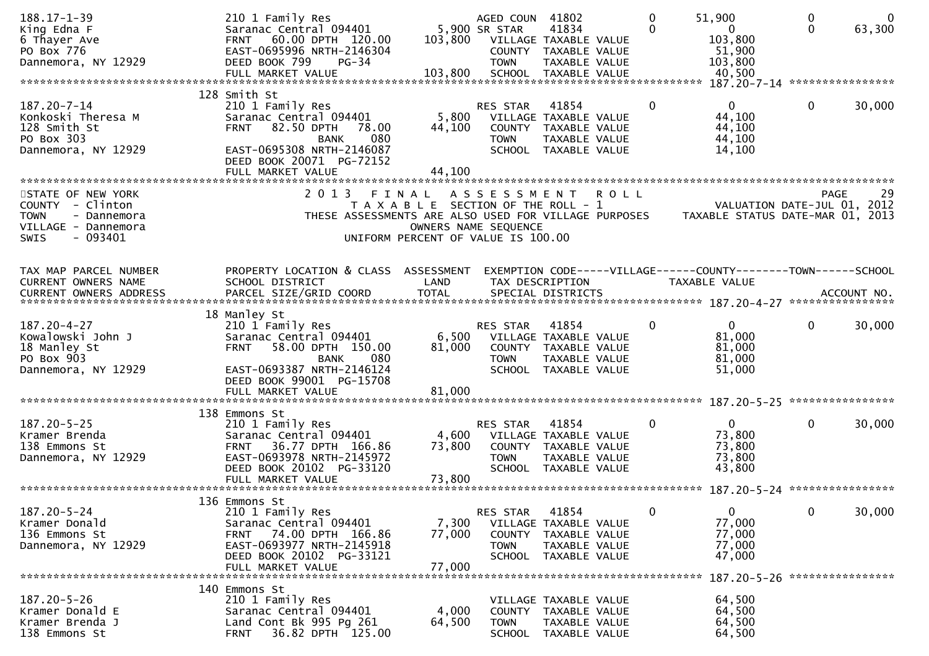| $188.17 - 1 - 39$          | 210 1 Family Res                                     |                                       | AGED COUN 41802       |                                               |             | $\mathbf{0}$ | 51,900                                                         | $\mathbf 0$  | $\mathbf{0}$ |
|----------------------------|------------------------------------------------------|---------------------------------------|-----------------------|-----------------------------------------------|-------------|--------------|----------------------------------------------------------------|--------------|--------------|
| King Edna F                | Saranac Central 094401                               |                                       | 5,900 SR STAR         | 41834                                         |             | $\Omega$     | $\mathbf{0}$                                                   | $\Omega$     | 63,300       |
| 6 Thayer Ave               | FRNT 60.00 DPTH 120.00                               | 103,800                               | VILLAGE TAXABLE VALUE |                                               |             |              | 103,800                                                        |              |              |
| PO Box 776                 | EAST-0695996 NRTH-2146304<br>DEED BOOK 799           |                                       |                       | COUNTY TAXABLE VALUE                          |             |              | 51,900<br>103,800                                              |              |              |
| Dannemora, NY 12929        | $PG-34$<br>FULL MARKET VALUE                         | 103,800                               | <b>TOWN</b>           | TAXABLE VALUE<br>SCHOOL TAXABLE VALUE         |             |              | 40,500                                                         |              |              |
|                            |                                                      |                                       |                       |                                               |             |              |                                                                |              |              |
|                            | 128 Smith St                                         |                                       |                       |                                               |             |              |                                                                |              |              |
| 187.20-7-14                | 210 1 Family Res                                     |                                       | RES STAR              | 41854                                         |             | 0            | $\Omega$                                                       | $\mathbf 0$  | 30,000       |
| Konkoski Theresa M         | Saranac Central 094401                               | 5,800                                 |                       | VILLAGE TAXABLE VALUE                         |             |              | 44,100                                                         |              |              |
| 128 Smith St               | <b>FRNT 82.50 DPTH</b><br>78.00                      | 44,100                                |                       | COUNTY TAXABLE VALUE                          |             |              | 44,100                                                         |              |              |
| PO Box 303                 | 080<br><b>BANK</b>                                   |                                       | <b>TOWN</b>           | TAXABLE VALUE                                 |             |              | 44,100                                                         |              |              |
| Dannemora, NY 12929        | EAST-0695308 NRTH-2146087                            |                                       |                       | SCHOOL TAXABLE VALUE                          |             |              | 14,100                                                         |              |              |
|                            | DEED BOOK 20071 PG-72152                             |                                       |                       |                                               |             |              |                                                                |              |              |
|                            | FULL MARKET VALUE                                    | 44,100                                |                       |                                               |             |              |                                                                |              |              |
|                            |                                                      |                                       |                       |                                               |             |              |                                                                |              |              |
| STATE OF NEW YORK          | 2 0 1 3                                              | FINAL                                 | A S S E S S M E N T   |                                               | <b>ROLL</b> |              |                                                                | <b>PAGE</b>  | 29           |
| COUNTY - Clinton           |                                                      | T A X A B L E SECTION OF THE ROLL - 1 |                       |                                               |             |              | VALUATION DATE-JUL 01, 2012                                    |              |              |
| <b>TOWN</b><br>- Dannemora | THESE ASSESSMENTS ARE ALSO USED FOR VILLAGE PURPOSES |                                       |                       |                                               |             |              | TAXABLE STATUS DATE-MAR 01, 2013                               |              |              |
| VILLAGE - Dannemora        |                                                      |                                       | OWNERS NAME SEQUENCE  |                                               |             |              |                                                                |              |              |
| $-093401$<br>SWIS          |                                                      | UNIFORM PERCENT OF VALUE IS 100.00    |                       |                                               |             |              |                                                                |              |              |
|                            |                                                      |                                       |                       |                                               |             |              |                                                                |              |              |
| TAX MAP PARCEL NUMBER      | PROPERTY LOCATION & CLASS ASSESSMENT                 |                                       |                       |                                               |             |              | EXEMPTION CODE-----VILLAGE------COUNTY--------TOWN------SCHOOL |              |              |
| CURRENT OWNERS NAME        | SCHOOL DISTRICT                                      | LAND                                  |                       | TAX DESCRIPTION                               |             |              | TAXABLE VALUE                                                  |              |              |
| CURRENT OWNERS ADDRESS     | PARCEL SIZE/GRID COORD                               | <b>TOTAL</b>                          |                       | SPECIAL DISTRICTS                             |             |              |                                                                |              | ACCOUNT NO.  |
|                            |                                                      |                                       |                       |                                               |             |              |                                                                |              |              |
|                            | 18 Manley St                                         |                                       |                       |                                               |             |              |                                                                |              |              |
| 187.20-4-27                | 210 1 Family Res                                     |                                       | <b>RES STAR</b>       | 41854                                         |             | 0            | $\overline{0}$                                                 | $\mathbf{0}$ | 30,000       |
| Kowalowski John J          | Saranac Central 094401                               | 6,500                                 |                       | VILLAGE TAXABLE VALUE                         |             |              | 81,000                                                         |              |              |
| 18 Manley St               | 58.00 DPTH 150.00<br><b>FRNT</b>                     | 81,000                                |                       | COUNTY TAXABLE VALUE                          |             |              | 81,000                                                         |              |              |
| PO Box 903                 | 080<br><b>BANK</b>                                   |                                       | <b>TOWN</b>           | TAXABLE VALUE                                 |             |              | 81,000                                                         |              |              |
| Dannemora, NY 12929        | EAST-0693387 NRTH-2146124                            |                                       |                       | SCHOOL TAXABLE VALUE                          |             |              | 51,000                                                         |              |              |
|                            | DEED BOOK 99001 PG-15708                             |                                       |                       |                                               |             |              |                                                                |              |              |
|                            | FULL MARKET VALUE                                    | 81,000                                |                       |                                               |             |              |                                                                |              |              |
|                            |                                                      |                                       |                       |                                               |             |              |                                                                |              |              |
|                            | 138 Emmons St                                        |                                       |                       |                                               |             |              |                                                                |              |              |
| $187.20 - 5 - 25$          | 210 1 Family Res                                     |                                       | RES STAR              | 41854                                         |             | 0            | $\mathbf{0}$                                                   | $\mathbf{0}$ | 30,000       |
| Kramer Brenda              | Saranac Central 094401<br>36.77 DPTH 166.86          | 4,600                                 |                       | VILLAGE TAXABLE VALUE<br>COUNTY TAXABLE VALUE |             |              | 73,800                                                         |              |              |
| 138 Emmons St              | <b>FRNT</b><br>EAST-0693978 NRTH-2145972             | 73,800                                |                       |                                               |             |              | 73,800<br>73,800                                               |              |              |
| Dannemora, NY 12929        | DEED BOOK 20102 PG-33120                             |                                       | <b>TOWN</b>           | TAXABLE VALUE<br>SCHOOL TAXABLE VALUE         |             |              | 43,800                                                         |              |              |
|                            | FULL MARKET VALUE                                    | 73,800                                |                       |                                               |             |              |                                                                |              |              |
|                            |                                                      |                                       |                       |                                               |             |              |                                                                |              |              |
|                            | 136 Emmons St                                        |                                       |                       |                                               |             |              |                                                                |              |              |
| $187.20 - 5 - 24$          | 210 1 Family Res                                     |                                       | RES STAR              | 41854                                         |             | 0            | 0                                                              | $\mathbf{0}$ | 30,000       |
| Kramer Donald              | Saranac Central 094401                               | 7,300                                 |                       | VILLAGE TAXABLE VALUE                         |             |              | 77,000                                                         |              |              |
| 136 Emmons St              | FRNT 74.00 DPTH 166.86                               | 77,000                                | <b>COUNTY</b>         | TAXABLE VALUE                                 |             |              | 77,000                                                         |              |              |
| Dannemora, NY 12929        | EAST-0693977 NRTH-2145918                            |                                       | <b>TOWN</b>           | TAXABLE VALUE                                 |             |              | 77,000                                                         |              |              |
|                            | DEED BOOK 20102 PG-33121                             |                                       | <b>SCHOOL</b>         | TAXABLE VALUE                                 |             |              | 47,000                                                         |              |              |
|                            | FULL MARKET VALUE                                    | 77,000                                |                       |                                               |             |              |                                                                |              |              |
|                            |                                                      |                                       |                       |                                               |             |              |                                                                |              |              |
|                            | 140 Emmons St                                        |                                       |                       |                                               |             |              |                                                                |              |              |
| $187.20 - 5 - 26$          | 210 1 Family Res                                     |                                       |                       | VILLAGE TAXABLE VALUE                         |             |              | 64,500                                                         |              |              |
| Kramer Donald E            | Saranac Central 094401                               | 4,000                                 |                       | COUNTY TAXABLE VALUE                          |             |              | 64,500                                                         |              |              |
| Kramer Brenda J            | Land Cont Bk 995 Pg 261                              | 64,500                                | <b>TOWN</b>           | TAXABLE VALUE                                 |             |              | 64,500                                                         |              |              |
| 138 Emmons St              | 36.82 DPTH 125.00<br><b>FRNT</b>                     |                                       | <b>SCHOOL</b>         | TAXABLE VALUE                                 |             |              | 64,500                                                         |              |              |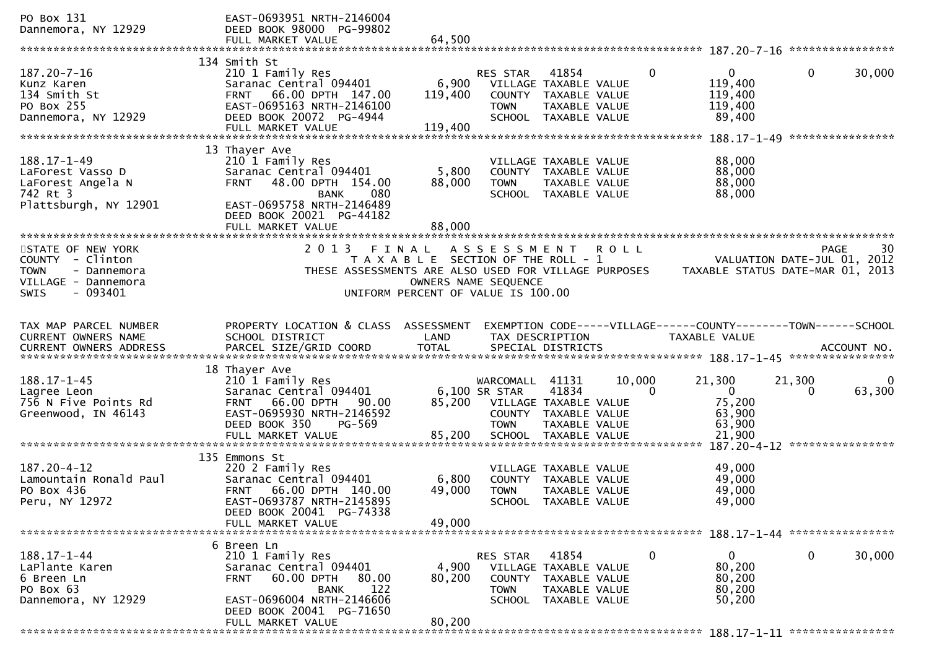| PO Box 131<br>Dannemora, NY 12929                                                                                                                                  | EAST-0693951 NRTH-2146004<br>DEED BOOK 98000 PG-99802<br>FULL MARKET VALUE                                                                                                     | 64.500                                                                                                       |                                                            |                                                                                                   |             |              |                                                                                 |                                            |                  |
|--------------------------------------------------------------------------------------------------------------------------------------------------------------------|--------------------------------------------------------------------------------------------------------------------------------------------------------------------------------|--------------------------------------------------------------------------------------------------------------|------------------------------------------------------------|---------------------------------------------------------------------------------------------------|-------------|--------------|---------------------------------------------------------------------------------|--------------------------------------------|------------------|
|                                                                                                                                                                    |                                                                                                                                                                                |                                                                                                              |                                                            |                                                                                                   |             |              |                                                                                 |                                            |                  |
| 187.20-7-16<br>Kunz Karen<br>134 Smith St<br>PO Box 255<br>Dannemora, NY 12929                                                                                     | 134 Smith St<br>210 1 Family Res<br>Saranac Central 094401<br>66.00 DPTH 147.00<br><b>FRNT</b><br>EAST-0695163 NRTH-2146100<br>DEED BOOK 20072 PG-4944<br>FULL MARKET VALUE    | 6,900<br>119,400<br>119,400                                                                                  | <b>RES STAR</b><br><b>TOWN</b><br><b>SCHOOL</b>            | 41854<br>VILLAGE TAXABLE VALUE<br>COUNTY TAXABLE VALUE<br>TAXABLE VALUE<br>TAXABLE VALUE          |             | $\mathbf{0}$ | $\mathbf{0}$<br>119,400<br>119,400<br>119,400<br>89,400                         | $\mathbf{0}$                               | 30,000           |
|                                                                                                                                                                    |                                                                                                                                                                                |                                                                                                              |                                                            |                                                                                                   |             |              |                                                                                 |                                            | **************** |
| $188.17 - 1 - 49$<br>LaForest Vasso D<br>LaForest Angela N<br>742 Rt 3<br>Plattsburgh, NY 12901                                                                    | 13 Thayer Ave<br>210 1 Family Res<br>Saranac Central 094401<br>48.00 DPTH 154.00<br><b>FRNT</b><br><b>BANK</b><br>080<br>EAST-0695758 NRTH-2146489<br>DEED BOOK 20021 PG-44182 | 5,800<br>88,000                                                                                              | <b>TOWN</b>                                                | VILLAGE TAXABLE VALUE<br>COUNTY TAXABLE VALUE<br>TAXABLE VALUE<br>SCHOOL TAXABLE VALUE            |             |              | 88,000<br>88,000<br>88,000<br>88,000                                            |                                            |                  |
| **********************                                                                                                                                             | FULL MARKET VALUE<br>**************************                                                                                                                                | 88,000                                                                                                       |                                                            |                                                                                                   |             |              |                                                                                 |                                            |                  |
| STATE OF NEW YORK<br>COUNTY - Clinton<br><b>TOWN</b><br>- Dannemora<br>VILLAGE - Dannemora<br>$-093401$<br>SWIS                                                    | 2 0 1 3<br>THESE ASSESSMENTS ARE ALSO USED FOR VILLAGE PURPOSES                                                                                                                | FINAL<br>T A X A B L E SECTION OF THE ROLL - 1<br>OWNERS NAME SEQUENCE<br>UNIFORM PERCENT OF VALUE IS 100.00 | A S S E S S M E N T                                        |                                                                                                   | <b>ROLL</b> |              | TAXABLE STATUS DATE-MAR 01, 2013                                                | <b>PAGE</b><br>VALUATION DATE-JUL 01, 2012 | 30               |
| TAX MAP PARCEL NUMBER<br>CURRENT OWNERS NAME<br>.CURRENT OWNERS ADDRESS PARCEL SIZE/GRID COORD TOTAL SPECIAL DISTRICTS ACCOUNT NO ACCOUNT NO ACCOUNT NO ACCOUNT NO | PROPERTY LOCATION & CLASS<br>SCHOOL DISTRICT                                                                                                                                   | ASSESSMENT<br>LAND                                                                                           |                                                            | TAX DESCRIPTION                                                                                   |             |              | EXEMPTION CODE-----VILLAGE------COUNTY--------TOWN------SCHOOL<br>TAXABLE VALUE |                                            |                  |
| $188.17 - 1 - 45$<br>Lagree Leon<br>756 N Five Points Rd<br>Greenwood, IN 46143                                                                                    | 18 Thayer Ave<br>210 1 Family Res<br>Saranac Central 094401<br>66.00 DPTH<br>90.00<br><b>FRNT</b><br>EAST-0695930 NRTH-2146592<br>DEED BOOK 350<br>PG-569<br>FULL MARKET VALUE | 85,200<br>85,200                                                                                             | WARCOMALL<br>6,100 SR STAR<br><b>TOWN</b><br><b>SCHOOL</b> | 41131<br>41834<br>VILLAGE TAXABLE VALUE<br>COUNTY TAXABLE VALUE<br>TAXABLE VALUE<br>TAXABLE VALUE | 10,000      | $\Omega$     | 21,300<br>$\overline{0}$<br>75,200<br>63,900<br>63,900<br>21,900                | 21,300<br>0                                | 0<br>63,300      |
|                                                                                                                                                                    |                                                                                                                                                                                |                                                                                                              |                                                            |                                                                                                   |             |              | $187.20 - 4 - 12$                                                               |                                            | **************** |
| $187.20 - 4 - 12$<br>Lamountain Ronald Paul<br>PO Box 436<br>Peru, NY 12972                                                                                        | 135 Emmons St<br>220 2 Family Res<br>Saranac Central 094401<br>66.00 DPTH 140.00<br><b>FRNT</b><br>EAST-0693787 NRTH-2145895<br>DEED BOOK 20041 PG-74338                       | 6,800<br>49,000                                                                                              | <b>TOWN</b>                                                | VILLAGE TAXABLE VALUE<br>COUNTY TAXABLE VALUE<br>TAXABLE VALUE<br>SCHOOL TAXABLE VALUE            |             |              | 49,000<br>49,000<br>49,000<br>49,000                                            |                                            |                  |
|                                                                                                                                                                    | FULL MARKET VALUE                                                                                                                                                              | 49,000                                                                                                       |                                                            |                                                                                                   |             |              |                                                                                 |                                            |                  |
| $188.17 - 1 - 44$<br>LaPlante Karen<br>6 Breen Ln<br>PO Box 63<br>Dannemora, NY 12929                                                                              | 6 Breen Ln<br>210 1 Family Res<br>Saranac Central 094401<br>60.00 DPTH<br>80.00<br><b>FRNT</b><br>122<br><b>BANK</b><br>EAST-0696004 NRTH-2146606<br>DEED BOOK 20041 PG-71650  | 4,900<br>80,200                                                                                              | RES STAR<br><b>TOWN</b>                                    | 41854<br>VILLAGE TAXABLE VALUE<br>COUNTY TAXABLE VALUE<br>TAXABLE VALUE<br>SCHOOL TAXABLE VALUE   |             | 0            | 0<br>80,200<br>80,200<br>80,200<br>50,200                                       | $\mathbf{0}$                               | 30,000           |
|                                                                                                                                                                    | FULL MARKET VALUE                                                                                                                                                              | 80,200                                                                                                       |                                                            |                                                                                                   |             |              |                                                                                 |                                            |                  |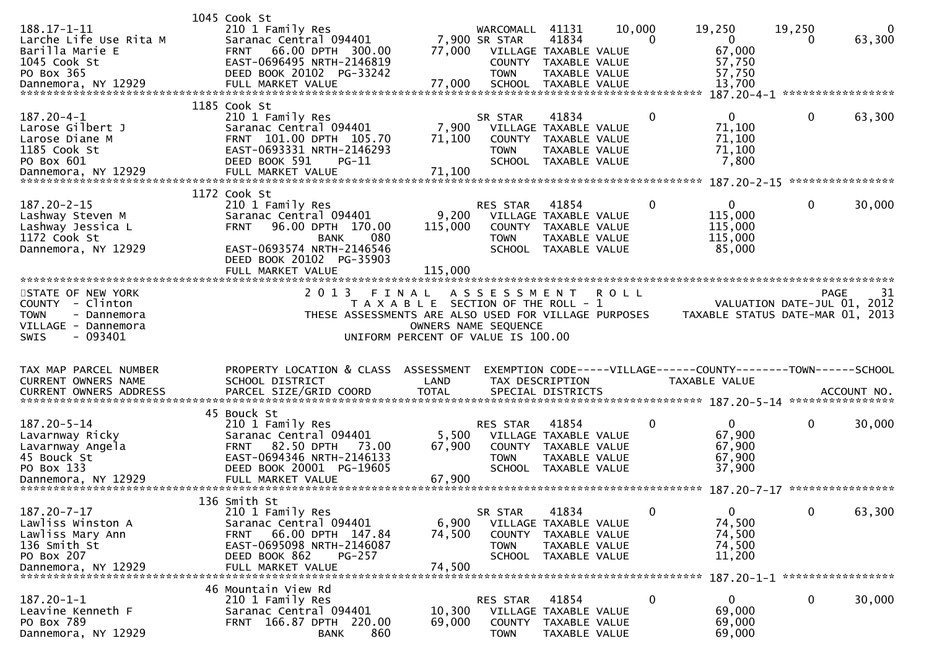| 188.17-1-11<br>Larche Life Use Rita M<br>Barilla Marie E<br>1045 Cook St<br>PO Box 365                                 | 1045 Cook St<br>210 1 Family Res<br>Saranac Central 094401<br>66.00 DPTH 300.00<br>FRNT<br>EAST-0696495 NRTH-2146819<br>DEED BOOK 20102 PG-33242                                                   | 77,000                                                                      | WARCOMALL<br>7,900 SR STAR<br><b>TOWN</b>   | 41131<br>41834<br>VILLAGE TAXABLE VALUE<br>COUNTY TAXABLE VALUE<br>TAXABLE VALUE                       | 10,000<br>0 | 19,250<br>$\mathbf{0}$<br>67,000<br>57,750<br>57,750                            | 19,250<br>0  | $\Omega$<br>63,300              |
|------------------------------------------------------------------------------------------------------------------------|----------------------------------------------------------------------------------------------------------------------------------------------------------------------------------------------------|-----------------------------------------------------------------------------|---------------------------------------------|--------------------------------------------------------------------------------------------------------|-------------|---------------------------------------------------------------------------------|--------------|---------------------------------|
| $187.20 - 4 - 1$<br>Larose Gilbert J<br>Larose Diane M<br>1185 Cook St<br>PO Box 601<br>Dannemora, NY 12929            | 1185 Cook St<br>210 1 Family Res<br>Saranac Central 094401<br>FRNT 101.00 DPTH 105.70<br>EAST-0693331 NRTH-2146293<br>DEED BOOK 591<br>$PG-11$<br>FULL MARKET VALUE                                | 7,900<br>71,100<br>71,100                                                   | SR STAR<br><b>TOWN</b><br><b>SCHOOL</b>     | 41834<br>VILLAGE TAXABLE VALUE<br>COUNTY TAXABLE VALUE<br><b>TAXABLE VALUE</b><br>TAXABLE VALUE        | 0           | $\Omega$<br>71,100<br>71,100<br>71,100<br>7,800                                 | $\mathbf{0}$ | 63,300<br>****************      |
| $187.20 - 2 - 15$<br>Lashway Steven M<br>Lashway Jessica L<br>1172 Cook St<br>Dannemora, NY 12929                      | 1172 Cook St<br>210 1 Family Res<br>Saranac Central 094401<br>96.00 DPTH 170.00<br><b>FRNT</b><br>080<br><b>BANK</b><br>EAST-0693574 NRTH-2146546<br>DEED BOOK 20102 PG-35903<br>FULL MARKET VALUE | 9,200<br>115,000<br>115,000                                                 | <b>RES STAR</b><br>COUNTY<br><b>TOWN</b>    | 41854<br>VILLAGE TAXABLE VALUE<br>TAXABLE VALUE<br>TAXABLE VALUE<br>SCHOOL TAXABLE VALUE               | 0           | 0<br>115,000<br>115,000<br>115,000<br>85,000                                    | 0            | 30,000                          |
| STATE OF NEW YORK<br>COUNTY - Clinton<br>- Dannemora<br><b>TOWN</b><br>VILLAGE - Dannemora<br>$-093401$<br><b>SWIS</b> | 2 0 1 3<br>FINAL<br>THESE ASSESSMENTS ARE ALSO USED FOR VILLAGE PURPOSES                                                                                                                           | T A X A B L E SECTION OF THE ROLL - 1<br>UNIFORM PERCENT OF VALUE IS 100.00 | A S S E S S M E N T<br>OWNERS NAME SEQUENCE |                                                                                                        | <b>ROLL</b> | VALUATION DATE-JUL 01, 2012<br>TAXABLE STATUS DATE-MAR 01, 2013                 |              | 31<br>PAGE                      |
| TAX MAP PARCEL NUMBER<br><b>CURRENT OWNERS NAME</b><br><b>CURRENT OWNERS ADDRESS</b>                                   | PROPERTY LOCATION & CLASS<br>SCHOOL DISTRICT<br>PARCEL SIZE/GRID COORD                                                                                                                             | ASSESSMENT<br>LAND<br><b>TOTAL</b>                                          |                                             | TAX DESCRIPTION<br>SPECIAL DISTRICTS                                                                   |             | EXEMPTION CODE-----VILLAGE------COUNTY--------TOWN------SCHOOL<br>TAXABLE VALUE |              | ACCOUNT NO.<br>**************** |
| 187.20-5-14<br>Lavarnway Ricky<br>Lavarnway Angela<br>45 Bouck St<br>PO Box 133                                        | 45 Bouck St<br>210 1 Family Res<br>Saranac Central 094401<br>82.50 DPTH<br>73.00<br><b>FRNT</b><br>EAST-0694346 NRTH-2146133<br>DEED BOOK 20001 PG-19605                                           | 5,500<br>67,900                                                             | <b>RES STAR</b><br><b>TOWN</b>              | 41854<br>VILLAGE TAXABLE VALUE<br>COUNTY TAXABLE VALUE<br><b>TAXABLE VALUE</b><br>SCHOOL TAXABLE VALUE | 0           | $\overline{0}$<br>67,900<br>67,900<br>67,900<br>37,900                          | $\mathbf{0}$ | 30,000                          |
| $187.20 - 7 - 17$<br>Lawliss Winston A<br>Lawliss Mary Ann<br>136 Smith St<br>PO Box 207<br>Dannemora, NY 12929        | 136 Smith St<br>210 1 Family Res<br>Saranac Central 094401<br>66.00 DPTH 147.84<br><b>FRNT</b><br>EAST-0695098 NRTH-2146087<br>DEED BOOK 862<br>PG-257<br>FULL MARKET VALUE                        | 6,900<br>74,500<br>74,500                                                   | SR STAR<br><b>TOWN</b>                      | 41834<br>VILLAGE TAXABLE VALUE<br>COUNTY TAXABLE VALUE<br>TAXABLE VALUE<br>SCHOOL TAXABLE VALUE        | $\Omega$    | 0<br>74,500<br>74,500<br>74,500<br>11,200                                       | 0            | 63,300                          |
| $187.20 - 1 - 1$<br>Leavine Kenneth F<br>PO Box 789<br>Dannemora, NY 12929                                             | 46 Mountain View Rd<br>210 1 Family Res<br>Saranac Central 094401<br>FRNT 166.87 DPTH 220.00<br>860<br><b>BANK</b>                                                                                 | 10,300<br>69,000                                                            | RES STAR<br>COUNTY<br><b>TOWN</b>           | 41854<br>VILLAGE TAXABLE VALUE<br>TAXABLE VALUE<br>TAXABLE VALUE                                       | 0           | $\mathbf{0}$<br>69,000<br>69,000<br>69,000                                      | $\mathbf 0$  | 30,000                          |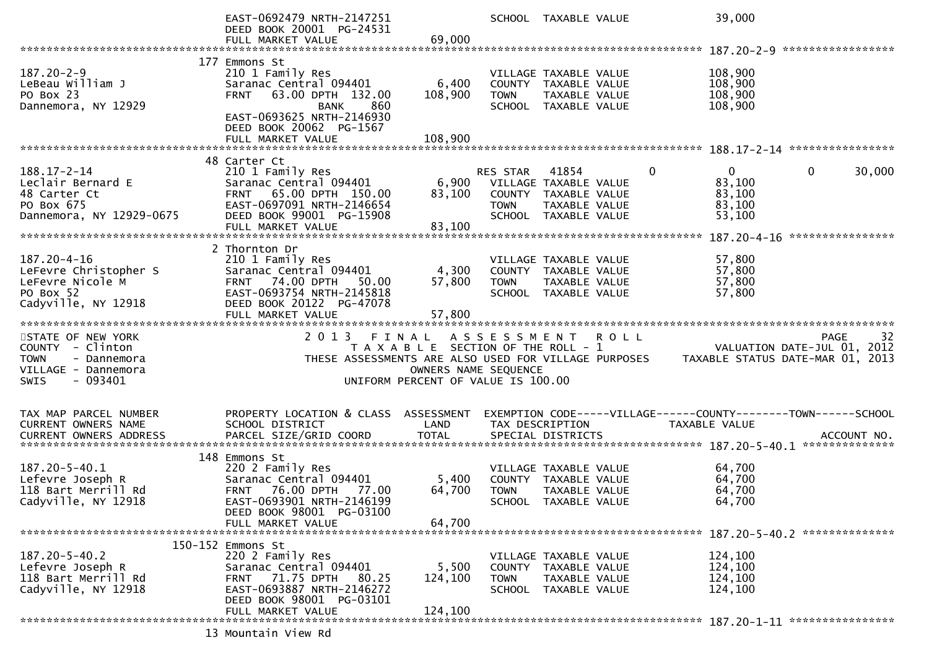|                                                | EAST-0692479 NRTH-2147251<br>DEED BOOK 20001 PG-24531        |                                       |                     | SCHOOL TAXABLE VALUE                  |             |          | 39,000                                                                          |   |                   |
|------------------------------------------------|--------------------------------------------------------------|---------------------------------------|---------------------|---------------------------------------|-------------|----------|---------------------------------------------------------------------------------|---|-------------------|
|                                                | FULL MARKET VALUE                                            | 69,000                                |                     |                                       |             |          |                                                                                 |   |                   |
|                                                |                                                              |                                       |                     |                                       |             |          |                                                                                 |   |                   |
|                                                | 177 Emmons St                                                |                                       |                     |                                       |             |          |                                                                                 |   |                   |
| $187.20 - 2 - 9$                               | 210 1 Family Res                                             |                                       |                     | VILLAGE TAXABLE VALUE                 |             |          | 108,900                                                                         |   |                   |
| LeBeau William J<br>PO Box 23                  | Saranac Central 094401<br>63.00 DPTH 132.00<br><b>FRNT</b>   | 6,400<br>108,900                      | <b>TOWN</b>         | COUNTY TAXABLE VALUE<br>TAXABLE VALUE |             |          | 108,900<br>108,900                                                              |   |                   |
| Dannemora, NY 12929                            | 860<br><b>BANK</b>                                           |                                       |                     | SCHOOL TAXABLE VALUE                  |             |          | 108,900                                                                         |   |                   |
|                                                | EAST-0693625 NRTH-2146930                                    |                                       |                     |                                       |             |          |                                                                                 |   |                   |
|                                                | DEED BOOK 20062 PG-1567                                      |                                       |                     |                                       |             |          |                                                                                 |   |                   |
|                                                | FULL MARKET VALUE                                            | 108,900                               |                     |                                       |             |          |                                                                                 |   |                   |
|                                                |                                                              |                                       |                     |                                       |             |          |                                                                                 |   |                   |
| $188.17 - 2 - 14$                              | 48 Carter Ct<br>210 1 Family Res                             |                                       | <b>RES STAR</b>     | 41854                                 |             | $\Omega$ | $\Omega$                                                                        | 0 | 30,000            |
| Leclair Bernard E                              | Saranac Central 094401                                       | 6,900                                 |                     | VILLAGE TAXABLE VALUE                 |             |          | 83,100                                                                          |   |                   |
| 48 Carter Ct                                   | FRNT 65.00 DPTH 150.00                                       | 83,100                                |                     | COUNTY TAXABLE VALUE                  |             |          | 83,100                                                                          |   |                   |
| PO Box 675                                     | EAST-0697091 NRTH-2146654                                    |                                       | <b>TOWN</b>         | TAXABLE VALUE                         |             |          | 83,100                                                                          |   |                   |
| Dannemora, NY 12929-0675                       | DEED BOOK 99001 PG-15908                                     |                                       |                     | SCHOOL TAXABLE VALUE                  |             |          | 53,100                                                                          |   |                   |
|                                                | FULL MARKET VALUE                                            | 83,100                                |                     |                                       |             |          |                                                                                 |   | ****************  |
|                                                | 2 Thornton Dr                                                |                                       |                     |                                       |             |          |                                                                                 |   |                   |
| 187.20-4-16                                    | 210 1 Family Res                                             |                                       |                     | VILLAGE TAXABLE VALUE                 |             |          | 57,800                                                                          |   |                   |
| LeFevre Christopher S                          | Saranac Central 094401                                       | 4,300                                 |                     | COUNTY TAXABLE VALUE                  |             |          | 57,800                                                                          |   |                   |
| LeFevre Nicole M                               | <b>FRNT 74.00 DPTH</b><br>50.00                              | 57,800                                | <b>TOWN</b>         | TAXABLE VALUE                         |             |          | 57,800                                                                          |   |                   |
| PO Box 52                                      | EAST-0693754 NRTH-2145818                                    |                                       |                     | SCHOOL TAXABLE VALUE                  |             |          | 57,800                                                                          |   |                   |
| Cadyville, NY 12918                            | DEED BOOK 20122 PG-47078                                     |                                       |                     |                                       |             |          |                                                                                 |   |                   |
|                                                | FULL MARKET VALUE                                            | 57,800                                |                     |                                       |             |          |                                                                                 |   |                   |
|                                                |                                                              |                                       |                     |                                       |             |          |                                                                                 |   |                   |
|                                                |                                                              |                                       |                     |                                       |             |          |                                                                                 |   |                   |
| STATE OF NEW YORK                              | 2 0 1 3                                                      | FINAL                                 | A S S E S S M E N T |                                       | <b>ROLL</b> |          |                                                                                 |   | 32<br><b>PAGE</b> |
| COUNTY - Clinton<br><b>TOWN</b><br>- Dannemora | THESE ASSESSMENTS ARE ALSO USED FOR VILLAGE PURPOSES         | T A X A B L E SECTION OF THE ROLL - 1 |                     |                                       |             |          | VALUATION DATE-JUL 01, 2012<br>TAXABLE STATUS DATE-MAR 01, 2013                 |   |                   |
| VILLAGE - Dannemora                            |                                                              | OWNERS NAME SEQUENCE                  |                     |                                       |             |          |                                                                                 |   |                   |
| $-093401$<br><b>SWIS</b>                       |                                                              | UNIFORM PERCENT OF VALUE IS 100.00    |                     |                                       |             |          |                                                                                 |   |                   |
|                                                |                                                              |                                       |                     |                                       |             |          |                                                                                 |   |                   |
|                                                |                                                              |                                       |                     |                                       |             |          |                                                                                 |   |                   |
| TAX MAP PARCEL NUMBER<br>CURRENT OWNERS NAME   | PROPERTY LOCATION & CLASS ASSESSMENT<br>SCHOOL DISTRICT      | LAND                                  |                     | TAX DESCRIPTION                       |             |          | EXEMPTION CODE-----VILLAGE------COUNTY--------TOWN------SCHOOL<br>TAXABLE VALUE |   |                   |
| CURRENT OWNERS ADDRESS                         |                                                              |                                       |                     |                                       |             |          |                                                                                 |   |                   |
|                                                |                                                              |                                       |                     |                                       |             |          |                                                                                 |   |                   |
|                                                | 148 Emmons St                                                |                                       |                     |                                       |             |          |                                                                                 |   |                   |
| 187.20-5-40.1                                  | 220 2 Family Res                                             |                                       |                     | VILLAGE TAXABLE VALUE                 |             |          | 64,700                                                                          |   |                   |
| Lefevre Joseph R                               | Saranac Central 094401                                       | 5,400                                 | <b>TOWN</b>         | COUNTY TAXABLE VALUE                  |             |          | 64,700                                                                          |   |                   |
| 118 Bart Merrill Rd<br>Cadyville, NY 12918     | <b>FRNT 76.00 DPTH</b><br>77.00<br>EAST-0693901 NRTH-2146199 | 64,700                                |                     | TAXABLE VALUE<br>SCHOOL TAXABLE VALUE |             |          | 64,700<br>64,700                                                                |   |                   |
|                                                | DEED BOOK 98001 PG-03100                                     |                                       |                     |                                       |             |          |                                                                                 |   |                   |
|                                                | FULL MARKET VALUE                                            | 64,700                                |                     |                                       |             |          |                                                                                 |   |                   |
|                                                |                                                              |                                       |                     |                                       |             |          |                                                                                 |   |                   |
|                                                | 150-152 Emmons St                                            |                                       |                     |                                       |             |          |                                                                                 |   |                   |
| $187.20 - 5 - 40.2$                            | 220 2 Family Res                                             |                                       |                     | VILLAGE TAXABLE VALUE                 |             |          | 124,100                                                                         |   |                   |
| Lefevre Joseph R<br>118 Bart Merrill Rd        | Saranac Central 094401<br>71.75 DPTH<br>80.25<br><b>FRNT</b> | 5,500<br>124,100                      | <b>TOWN</b>         | COUNTY TAXABLE VALUE<br>TAXABLE VALUE |             |          | 124,100<br>124,100                                                              |   |                   |
| Cadyville, NY 12918                            | EAST-0693887 NRTH-2146272                                    |                                       |                     | SCHOOL TAXABLE VALUE                  |             |          | 124,100                                                                         |   |                   |
|                                                | DEED BOOK 98001 PG-03101                                     |                                       |                     |                                       |             |          |                                                                                 |   |                   |
|                                                | FULL MARKET VALUE                                            | 124,100                               |                     |                                       |             |          |                                                                                 |   |                   |
|                                                | 13 Mountain View Rd                                          |                                       |                     |                                       |             |          |                                                                                 |   |                   |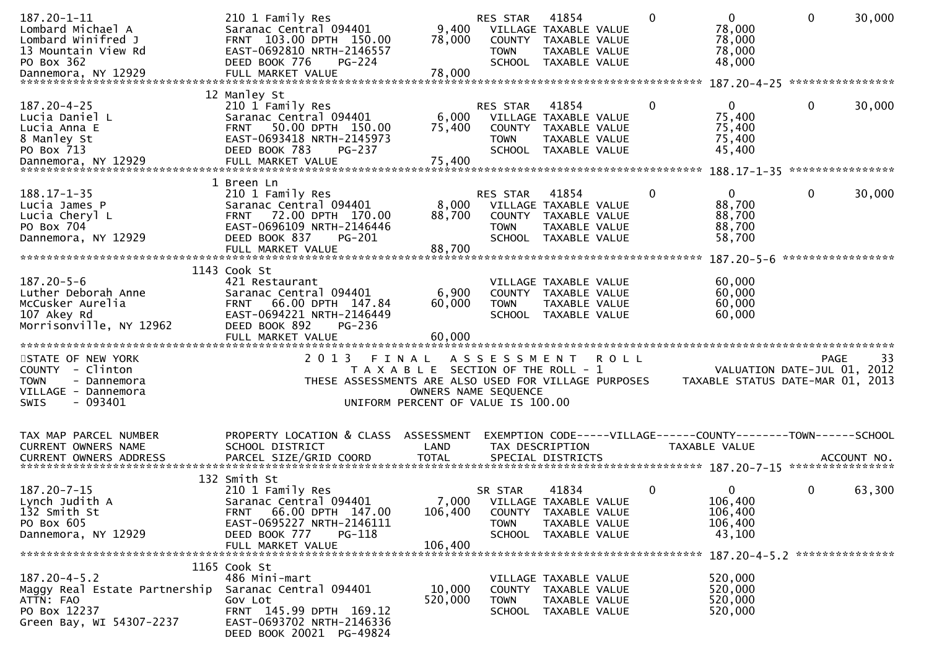| $187.20 - 1 - 11$<br>Lombard Michael A<br>Lombard Winifred J<br>13 Mountain View Rd<br>PO Box 362            | 210 1 Family Res<br>Saranac Central 094401<br>FRNT 103.00 DPTH 150.00<br>EAST-0692810 NRTH-2146557<br>DEED BOOK 776<br>$PG-224$                                   | 9,400<br>78,000                                                             | <b>RES STAR</b><br>COUNTY<br><b>TOWN</b>                  | 41854<br>VILLAGE TAXABLE VALUE<br>TAXABLE VALUE<br>TAXABLE VALUE<br>SCHOOL TAXABLE VALUE | $\mathbf{0}$ | $\mathbf{0}$<br>78,000<br>78,000<br>78,000<br>48,000                            | 0                 | 30,000 |
|--------------------------------------------------------------------------------------------------------------|-------------------------------------------------------------------------------------------------------------------------------------------------------------------|-----------------------------------------------------------------------------|-----------------------------------------------------------|------------------------------------------------------------------------------------------|--------------|---------------------------------------------------------------------------------|-------------------|--------|
|                                                                                                              |                                                                                                                                                                   |                                                                             |                                                           |                                                                                          |              |                                                                                 |                   |        |
| $187.20 - 4 - 25$<br>Lucia Daniel L<br>Lucia Anna E<br>8 Manley St<br>PO Box 713<br>Dannemora, NY 12929      | 12 Manley St<br>210 1 Family Res<br>Saranac Central 094401<br>FRNT 50.00 DPTH 150.00<br>EAST-0693418 NRTH-2145973<br>DEED BOOK 783<br>PG-237<br>FULL MARKET VALUE | 6,000<br>75,400<br>75,400                                                   | <b>RES STAR</b><br>COUNTY<br><b>TOWN</b><br><b>SCHOOL</b> | 41854<br>VILLAGE TAXABLE VALUE<br>TAXABLE VALUE<br>TAXABLE VALUE<br>TAXABLE VALUE        | 0            | $\overline{0}$<br>75,400<br>75,400<br>75,400<br>45,400                          | 0                 | 30,000 |
|                                                                                                              | 1 Breen Ln                                                                                                                                                        |                                                                             |                                                           |                                                                                          |              |                                                                                 |                   |        |
| $188.17 - 1 - 35$<br>Lucia James P<br>Lucia Cheryl L<br>PO Box 704<br>Dannemora, NY 12929                    | 210 1 Family Res<br>Saranac Central 094401<br>72.00 DPTH 170.00<br><b>FRNT</b><br>EAST-0696109 NRTH-2146446<br>DEED BOOK 837<br>PG-201<br>FULL MARKET VALUE       | 8,000<br>88,700<br>88,700                                                   | <b>RES STAR</b><br><b>TOWN</b><br>SCHOOL                  | 41854<br>VILLAGE TAXABLE VALUE<br>COUNTY TAXABLE VALUE<br>TAXABLE VALUE<br>TAXABLE VALUE | 0            | 0<br>88,700<br>88,700<br>88,700<br>58,700                                       | 0                 | 30,000 |
|                                                                                                              | 1143 Cook St                                                                                                                                                      |                                                                             |                                                           |                                                                                          |              |                                                                                 | ***************** |        |
| $187.20 - 5 - 6$<br>Luther Deborah Anne<br>McCusker Aurelia<br>107 Akey Rd<br>Morrisonville, NY 12962        | 421 Restaurant<br>Saranac Central 094401<br>66.00 DPTH 147.84<br><b>FRNT</b><br>EAST-0694221 NRTH-2146449<br>DEED BOOK 892<br>PG-236                              | 6,900<br>60,000                                                             | <b>TOWN</b>                                               | VILLAGE TAXABLE VALUE<br>COUNTY TAXABLE VALUE<br>TAXABLE VALUE<br>SCHOOL TAXABLE VALUE   |              | 60,000<br>60,000<br>60,000<br>60,000                                            |                   |        |
| STATE OF NEW YORK                                                                                            | 2013                                                                                                                                                              | FINAL                                                                       | ASSESSMENT ROLL                                           |                                                                                          |              |                                                                                 | <b>PAGE</b>       | 33     |
| COUNTY - Clinton<br><b>TOWN</b><br>- Dannemora<br>VILLAGE - Dannemora<br>- 093401<br>SWIS                    | THESE ASSESSMENTS ARE ALSO USED FOR VILLAGE PURPOSES                                                                                                              | T A X A B L E SECTION OF THE ROLL - 1<br>UNIFORM PERCENT OF VALUE IS 100.00 | OWNERS NAME SEQUENCE                                      |                                                                                          |              | VALUATION DATE-JUL 01,<br>TAXABLE STATUS DATE-MAR 01, 2013                      |                   | 2012   |
| TAX MAP PARCEL NUMBER<br>CURRENT OWNERS NAME                                                                 | PROPERTY LOCATION & CLASS ASSESSMENT<br>SCHOOL DISTRICT                                                                                                           | LAND                                                                        |                                                           | TAX DESCRIPTION                                                                          |              | EXEMPTION CODE-----VILLAGE------COUNTY--------TOWN------SCHOOL<br>TAXABLE VALUE |                   |        |
| $187.20 - 7 - 15$<br>Lynch Judith A<br>132 Smith St<br>PO Box 605<br>Dannemora, NY 12929                     | 132 Smith St<br>210 1 Family Res<br>Saranac Central 094401<br>FRNT 66.00 DPTH 147.00<br>EAST-0695227 NRTH-2146111<br>DEED BOOK 777<br>PG-118<br>FULL MARKET VALUE | 106,400<br>106,400                                                          | SR STAR<br>7,000 VILLAGE TAXABLE VALUE<br><b>TOWN</b>     | 41834<br>COUNTY TAXABLE VALUE<br>TAXABLE VALUE<br>SCHOOL TAXABLE VALUE                   | 0            | 0<br>106,400<br>106,400<br>106,400<br>43,100                                    | 0                 | 63,300 |
|                                                                                                              | 1165 Cook St                                                                                                                                                      |                                                                             |                                                           |                                                                                          |              | 187.20-4-5.2 ****************                                                   |                   |        |
| $187.20 - 4 - 5.2$<br>Maggy Real Estate Partnership<br>ATTN: FAO<br>PO Box 12237<br>Green Bay, WI 54307-2237 | 486 Mini-mart<br>Saranac Central 094401<br>Gov Lot<br>FRNT 145.99 DPTH 169.12<br>EAST-0693702 NRTH-2146336<br>DEED BOOK 20021 PG-49824                            | 10,000<br>520,000                                                           | <b>TOWN</b>                                               | VILLAGE TAXABLE VALUE<br>COUNTY TAXABLE VALUE<br>TAXABLE VALUE<br>SCHOOL TAXABLE VALUE   |              | 520,000<br>520,000<br>520,000<br>520,000                                        |                   |        |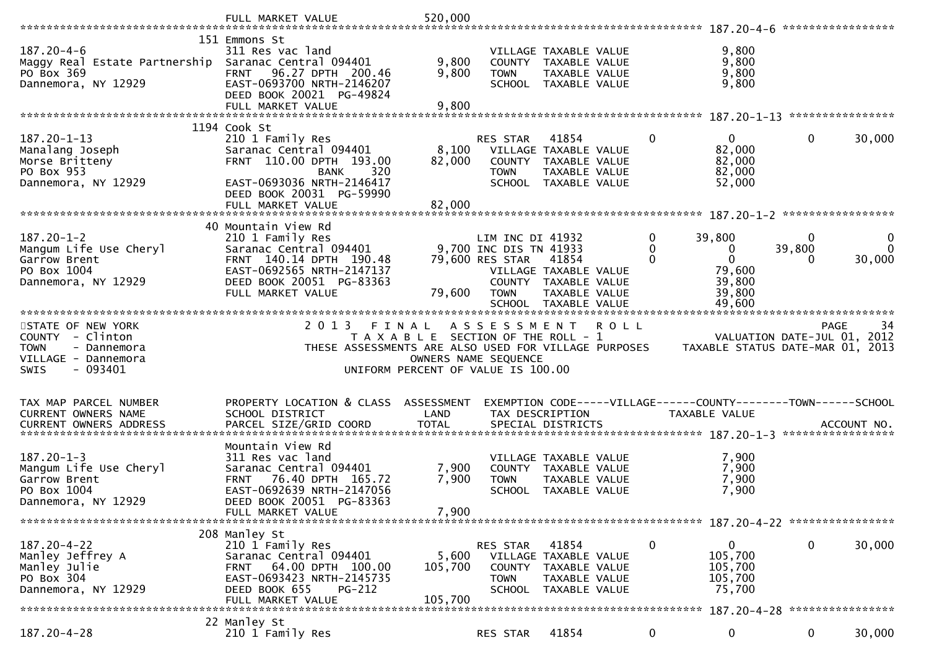|                                                                                                                | FULL MARKET VALUE                                                                                                                                                             | 520,000                                                                     |                                                                              |                                                                                                 |             |             |                                                                                 |                  |                                                  |
|----------------------------------------------------------------------------------------------------------------|-------------------------------------------------------------------------------------------------------------------------------------------------------------------------------|-----------------------------------------------------------------------------|------------------------------------------------------------------------------|-------------------------------------------------------------------------------------------------|-------------|-------------|---------------------------------------------------------------------------------|------------------|--------------------------------------------------|
|                                                                                                                |                                                                                                                                                                               |                                                                             |                                                                              |                                                                                                 |             |             |                                                                                 |                  | *****************                                |
| $187.20 - 4 - 6$<br>Maggy Real Estate Partnership<br>PO Box 369<br>Dannemora, NY 12929                         | 151 Emmons St<br>311 Res vac land<br>Saranac Central 094401<br>96.27 DPTH 200.46<br><b>FRNT</b><br>EAST-0693700 NRTH-2146207<br>DEED BOOK 20021 PG-49824<br>FULL MARKET VALUE | 9,800<br>9,800<br>9,800                                                     | <b>TOWN</b>                                                                  | VILLAGE TAXABLE VALUE<br>COUNTY TAXABLE VALUE<br><b>TAXABLE VALUE</b><br>SCHOOL TAXABLE VALUE   |             |             | 9,800<br>9,800<br>9,800<br>9,800                                                |                  |                                                  |
|                                                                                                                |                                                                                                                                                                               |                                                                             |                                                                              |                                                                                                 |             |             |                                                                                 |                  |                                                  |
|                                                                                                                | 1194 Cook St                                                                                                                                                                  |                                                                             |                                                                              |                                                                                                 |             |             |                                                                                 |                  |                                                  |
| 187.20-1-13<br>Manalang Joseph<br>Morse Britteny<br>PO Box 953<br>Dannemora, NY 12929                          | 210 1 Family Res<br>Saranac Central 094401<br>FRNT 110.00 DPTH 193.00<br>320<br>BANK<br>EAST-0693036 NRTH-2146417                                                             | 8,100<br>82,000                                                             | <b>RES STAR</b><br><b>TOWN</b>                                               | 41854<br>VILLAGE TAXABLE VALUE<br>COUNTY TAXABLE VALUE<br>TAXABLE VALUE<br>SCHOOL TAXABLE VALUE |             | 0           | $\overline{0}$<br>82,000<br>82,000<br>82,000<br>52,000                          | $\mathbf{0}$     | 30,000                                           |
|                                                                                                                | DEED BOOK 20031 PG-59990                                                                                                                                                      |                                                                             |                                                                              |                                                                                                 |             |             |                                                                                 |                  |                                                  |
|                                                                                                                |                                                                                                                                                                               |                                                                             |                                                                              |                                                                                                 |             |             |                                                                                 |                  |                                                  |
|                                                                                                                | 40 Mountain View Rd                                                                                                                                                           |                                                                             |                                                                              |                                                                                                 |             |             |                                                                                 |                  |                                                  |
| $187.20 - 1 - 2$<br>Mangum Life Use Cheryl<br>Garrow Brent<br>PO Box 1004<br>Dannemora, NY 12929               | 210 1 Family Res<br>Saranac Central 094401<br>FRNT 140.14 DPTH 190.48<br>EAST-0692565 NRTH-2147137<br>DEED BOOK 20051 PG-83363<br>FULL MARKET VALUE                           | 79,600                                                                      | LIM INC DI 41932<br>9,700 INC DIS TN 41933<br>79,600 RES STAR<br><b>TOWN</b> | 41854<br>VILLAGE TAXABLE VALUE<br>COUNTY TAXABLE VALUE<br>TAXABLE VALUE                         |             | 0<br>0<br>0 | 39,800<br>0<br>$\Omega$<br>79,600<br>39,800<br>39,800                           | 0<br>39,800<br>0 | 0<br>$\mathbf{0}$<br>30,000                      |
|                                                                                                                |                                                                                                                                                                               |                                                                             |                                                                              | SCHOOL TAXABLE VALUE                                                                            |             |             | 49,600                                                                          |                  |                                                  |
| STATE OF NEW YORK<br>COUNTY - Clinton<br><b>TOWN</b><br>- Dannemora<br>VILLAGE - Dannemora<br>- 093401<br>SWIS | 2 0 1 3<br>FINAL<br>THESE ASSESSMENTS ARE ALSO USED FOR VILLAGE PURPOSES                                                                                                      | T A X A B L E SECTION OF THE ROLL - 1<br>UNIFORM PERCENT OF VALUE IS 100.00 | A S S E S S M E N T<br>OWNERS NAME SEQUENCE                                  |                                                                                                 | <b>ROLL</b> |             | TAXABLE STATUS DATE-MAR 01, 2013                                                |                  | <b>PAGE</b><br>34<br>VALUATION DATE-JUL 01, 2012 |
| TAX MAP PARCEL NUMBER<br><b>CURRENT OWNERS NAME</b><br><b>CURRENT OWNERS ADDRESS</b>                           | PROPERTY LOCATION & CLASS ASSESSMENT<br>SCHOOL DISTRICT<br>PARCEL SIZE/GRID COORD                                                                                             | LAND<br><b>TOTAL</b>                                                        | TAX DESCRIPTION                                                              | SPECIAL DISTRICTS                                                                               |             |             | EXEMPTION CODE-----VILLAGE------COUNTY--------TOWN------SCHOOL<br>TAXABLE VALUE |                  | ACCOUNT NO.                                      |
| $187.20 - 1 - 3$<br>Mangum Life Use Cheryl<br>Garrow Brent<br>PO Box 1004<br>Dannemora, NY 12929               | Mountain View Rd<br>311 Res vac land<br>Saranac Central 094401<br>FRNT 76.40 DPTH 165.72<br>EAST-0692639 NRTH-2147056<br>DEED BOOK 20051 PG-83363<br>FULL MARKET VALUE        | 7,900<br>7,900<br>7,900                                                     | <b>TOWN</b>                                                                  | VILLAGE TAXABLE VALUE<br>COUNTY TAXABLE VALUE<br>TAXABLE VALUE<br>SCHOOL TAXABLE VALUE          |             |             | 7,900<br>7,900<br>7,900<br>7,900                                                |                  |                                                  |
|                                                                                                                | 208 Manley St                                                                                                                                                                 |                                                                             |                                                                              |                                                                                                 |             |             |                                                                                 |                  |                                                  |
| $187.20 - 4 - 22$<br>Manley Jeffrey A<br>Manley Julie<br>PO Box 304<br>Dannemora, NY 12929                     | 210 1 Family Res<br>Saranac Central 094401<br>64.00 DPTH 100.00<br>FRNT<br>EAST-0693423 NRTH-2145735<br>DEED BOOK 655<br>PG-212<br>FULL MARKET VALUE                          | 5,600<br>105,700<br>105,700                                                 | RES STAR<br>COUNTY<br><b>TOWN</b>                                            | 41854<br>VILLAGE TAXABLE VALUE<br>TAXABLE VALUE<br>TAXABLE VALUE<br>SCHOOL TAXABLE VALUE        |             | 0           | 0<br>105,700<br>105,700<br>105,700<br>75,700                                    | 0                | 30,000<br>****************                       |
|                                                                                                                | 22 Manley St                                                                                                                                                                  |                                                                             |                                                                              |                                                                                                 |             |             |                                                                                 |                  |                                                  |
| $187.20 - 4 - 28$                                                                                              | 210 1 Family Res                                                                                                                                                              |                                                                             | RES STAR                                                                     | 41854                                                                                           |             | 0           | 0                                                                               | 0                | 30,000                                           |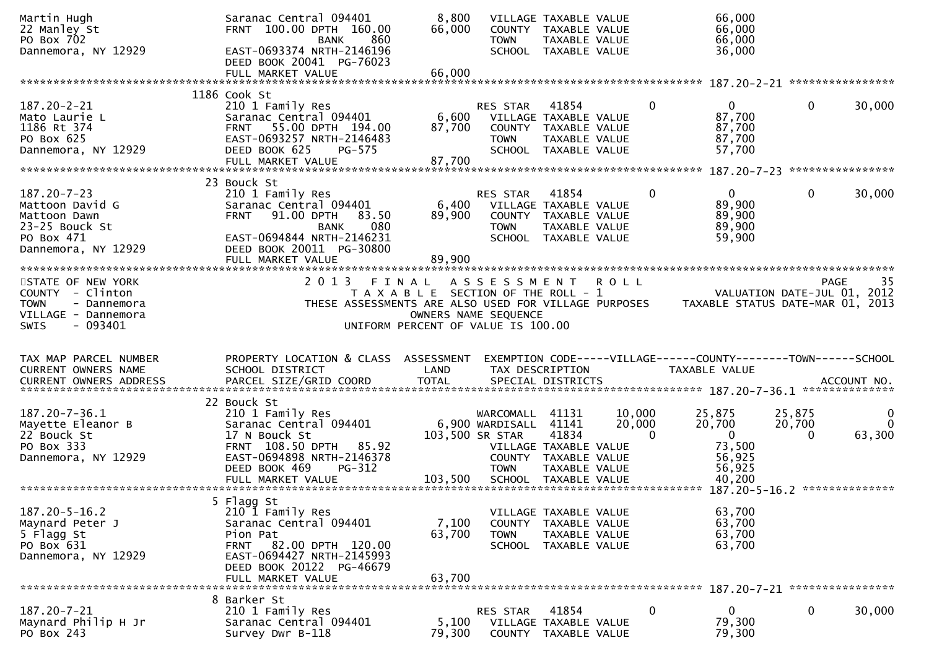| Martin Hugh<br>22 Manley St<br>PO Box 702 | Saranac Central 094401<br>FRNT 100.00 DPTH 160.00<br>860<br>BANK | 8,800<br>66,000                       | <b>TOWN</b>          | VILLAGE TAXABLE VALUE<br>COUNTY TAXABLE VALUE<br>TAXABLE VALUE |         |              | 66,000<br>66,000<br>66,000                                     |              |                             |
|-------------------------------------------|------------------------------------------------------------------|---------------------------------------|----------------------|----------------------------------------------------------------|---------|--------------|----------------------------------------------------------------|--------------|-----------------------------|
| Dannemora, NY 12929                       | EAST-0693374 NRTH-2146196<br>DEED BOOK 20041 PG-76023            |                                       |                      | SCHOOL TAXABLE VALUE                                           |         |              | 36,000                                                         |              |                             |
|                                           | FULL MARKET VALUE                                                | 66,000                                |                      |                                                                |         |              |                                                                |              |                             |
|                                           | 1186 Cook St                                                     |                                       |                      |                                                                |         |              |                                                                |              |                             |
| $187.20 - 2 - 21$                         | 210 1 Family Res                                                 |                                       | RES STAR             | 41854                                                          |         | 0            | $\mathbf{0}$                                                   | 0            | 30,000                      |
| Mato Laurie L                             | Saranac Central 094401                                           | 6,600                                 |                      | VILLAGE TAXABLE VALUE                                          |         |              | 87,700                                                         |              |                             |
| 1186 Rt 374                               | 55.00 DPTH 194.00<br><b>FRNT</b>                                 | 87,700                                |                      | COUNTY TAXABLE VALUE                                           |         |              | 87,700                                                         |              |                             |
| PO Box 625                                | EAST-0693257 NRTH-2146483                                        |                                       | <b>TOWN</b>          | TAXABLE VALUE                                                  |         |              | 87,700                                                         |              |                             |
| Dannemora, NY 12929                       | DEED BOOK 625<br>PG-575<br>FULL MARKET VALUE                     | 87,700                                | <b>SCHOOL</b>        | TAXABLE VALUE                                                  |         |              | 57,700                                                         |              |                             |
|                                           |                                                                  |                                       |                      |                                                                |         |              |                                                                |              |                             |
|                                           | 23 Bouck St                                                      |                                       |                      |                                                                |         |              |                                                                |              |                             |
| $187.20 - 7 - 23$                         | 210 1 Family Res                                                 |                                       | <b>RES STAR</b>      | 41854                                                          |         | 0            | $\mathbf{0}$                                                   | $\mathbf{0}$ | 30,000                      |
| Mattoon David G                           | Saranac Central 094401                                           | 6,400                                 |                      | VILLAGE TAXABLE VALUE                                          |         |              | 89,900                                                         |              |                             |
| Mattoon Dawn                              | 91.00 DPTH<br>83.50<br><b>FRNT</b>                               | 89,900                                |                      | COUNTY TAXABLE VALUE                                           |         |              | 89,900                                                         |              |                             |
| 23-25 Bouck St                            | 080<br><b>BANK</b>                                               |                                       | <b>TOWN</b>          | TAXABLE VALUE                                                  |         |              | 89,900                                                         |              |                             |
| PO Box 471                                | EAST-0694844 NRTH-2146231                                        |                                       |                      | SCHOOL TAXABLE VALUE                                           |         |              | 59,900                                                         |              |                             |
| Dannemora, NY 12929                       | DEED BOOK 20011 PG-30800                                         |                                       |                      |                                                                |         |              |                                                                |              |                             |
|                                           | FULL MARKET VALUE                                                | 89,900                                |                      |                                                                |         |              |                                                                |              |                             |
| STATE OF NEW YORK                         | 2013 FINAL ASSESSMENT                                            |                                       |                      |                                                                | R O L L |              |                                                                |              | -35<br>PAGE                 |
| COUNTY - Clinton                          |                                                                  | T A X A B L E SECTION OF THE ROLL - 1 |                      |                                                                |         |              |                                                                |              | VALUATION DATE-JUL 01, 2012 |
| - Dannemora<br><b>TOWN</b>                | THESE ASSESSMENTS ARE ALSO USED FOR VILLAGE PURPOSES             |                                       |                      |                                                                |         |              | TAXABLE STATUS DATE-MAR 01, 2013                               |              |                             |
| VILLAGE - Dannemora                       |                                                                  |                                       | OWNERS NAME SEQUENCE |                                                                |         |              |                                                                |              |                             |
| <b>SWIS</b><br>- 093401                   |                                                                  | UNIFORM PERCENT OF VALUE IS 100.00    |                      |                                                                |         |              |                                                                |              |                             |
|                                           |                                                                  |                                       |                      |                                                                |         |              |                                                                |              |                             |
|                                           |                                                                  |                                       |                      |                                                                |         |              |                                                                |              |                             |
|                                           |                                                                  |                                       |                      |                                                                |         |              |                                                                |              |                             |
| TAX MAP PARCEL NUMBER                     | PROPERTY LOCATION & CLASS ASSESSMENT                             |                                       |                      |                                                                |         |              | EXEMPTION CODE-----VILLAGE------COUNTY--------TOWN------SCHOOL |              |                             |
| CURRENT OWNERS NAME                       | SCHOOL DISTRICT                                                  | LAND                                  |                      | TAX DESCRIPTION                                                |         |              | <b>TAXABLE VALUE</b>                                           |              | ACCOUNT NO.                 |
| <b>CURRENT OWNERS ADDRESS</b>             | PARCEL SIZE/GRID COORD                                           | <b>TOTAL</b>                          |                      | SPECIAL DISTRICTS                                              |         |              |                                                                |              |                             |
|                                           | 22 Bouck St                                                      |                                       |                      |                                                                |         |              |                                                                |              |                             |
| 187.20-7-36.1                             | 210 1 Family Res                                                 |                                       | WARCOMALL 41131      |                                                                | 10,000  |              | 25,875                                                         | 25,875       | 0                           |
| Mayette Eleanor B                         | Saranac Central 094401                                           |                                       | 6,900 WARDISALL      | 41141                                                          | 20,000  |              | 20,700                                                         | 20,700       |                             |
| 22 Bouck St                               | 17 N Bouck St                                                    |                                       | 103,500 SR STAR      | 41834                                                          |         | $\mathbf{0}$ | $\mathbf 0$                                                    | $\mathbf{0}$ | 63,300                      |
| PO Box 333                                | FRNT 108.50 DPTH 85.92                                           |                                       |                      | VILLAGE TAXABLE VALUE                                          |         |              | 73,500                                                         |              |                             |
| Dannemora, NY 12929                       | EAST-0694898 NRTH-2146378                                        |                                       |                      | COUNTY TAXABLE VALUE                                           |         |              | 56,925                                                         |              |                             |
|                                           | DEED BOOK 469<br>$PG-312$<br>FULL MARKET VALUE                   |                                       | <b>TOWN</b>          | TAXABLE VALUE                                                  |         |              | 56,925                                                         |              |                             |
|                                           | ************************                                         | 103,500                               |                      | SCHOOL TAXABLE VALUE                                           |         |              | 40,200                                                         |              |                             |
|                                           | 5 Flagg St                                                       |                                       |                      |                                                                |         |              |                                                                |              |                             |
| $187.20 - 5 - 16.2$                       | 210 1 Family Res                                                 |                                       |                      | VILLAGE TAXABLE VALUE                                          |         |              | 63,700                                                         |              |                             |
| Maynard Peter J                           | Saranac Central 094401                                           | 7,100                                 |                      | COUNTY TAXABLE VALUE                                           |         |              | 63,700                                                         |              |                             |
| 5 Flagg St                                | Pion Pat                                                         | 63,700                                | <b>TOWN</b>          | TAXABLE VALUE                                                  |         |              | 63,700                                                         |              |                             |
| PO Box 631                                | FRNT 82.00 DPTH 120.00                                           |                                       |                      | SCHOOL TAXABLE VALUE                                           |         |              | 63,700                                                         |              |                             |
| Dannemora, NY 12929                       | EAST-0694427 NRTH-2145993                                        |                                       |                      |                                                                |         |              |                                                                |              |                             |
|                                           | DEED BOOK 20122 PG-46679<br>FULL MARKET VALUE                    | 63.700                                |                      |                                                                |         |              |                                                                |              |                             |
|                                           |                                                                  |                                       |                      |                                                                |         |              |                                                                |              |                             |
|                                           | 8 Barker St                                                      |                                       |                      |                                                                |         |              |                                                                |              |                             |
| 187.20-7-21                               | 210 1 Family Res                                                 |                                       | RES STAR             | 41854                                                          |         | 0            | 0                                                              | 0            | 30,000                      |
| Maynard Philip H Jr<br>PO Box 243         | Saranac Central 094401<br>Survey Dwr B-118                       | 5,100<br>79,300                       | COUNTY               | VILLAGE TAXABLE VALUE<br>TAXABLE VALUE                         |         |              | 79,300<br>79,300                                               |              |                             |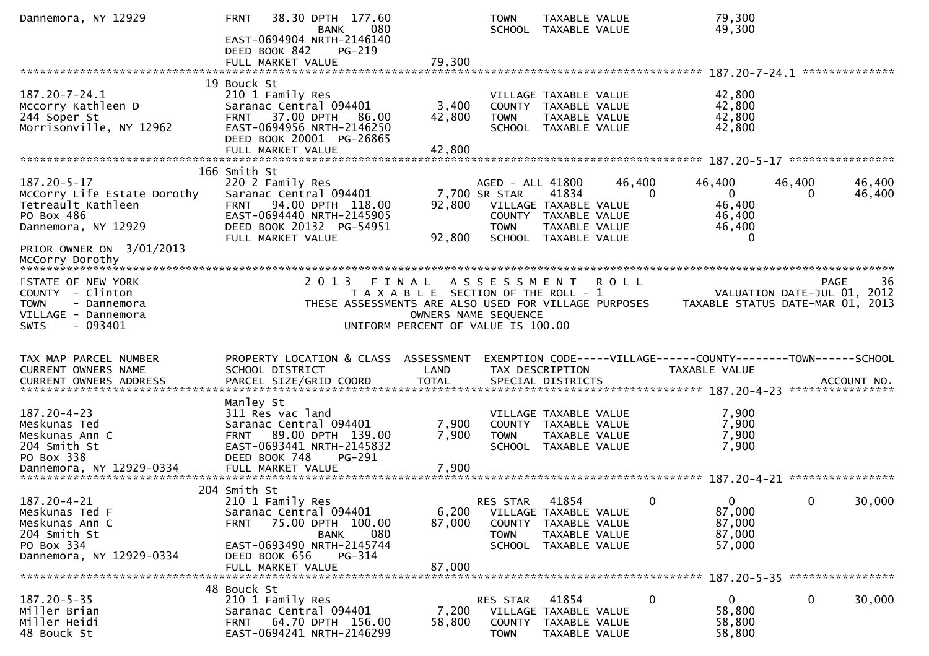| Dannemora, NY 12929                                                                                                                                  | 38.30 DPTH 177.60<br><b>FRNT</b><br>080<br><b>BANK</b><br>EAST-0694904 NRTH-2146140<br>DEED BOOK 842<br>PG-219                                                               |                                                                                                              | <b>TOWN</b><br>SCHOOL TAXABLE VALUE                                                                         | TAXABLE VALUE                           |                    | 79,300<br>49,300                                                                |                                            |                  |
|------------------------------------------------------------------------------------------------------------------------------------------------------|------------------------------------------------------------------------------------------------------------------------------------------------------------------------------|--------------------------------------------------------------------------------------------------------------|-------------------------------------------------------------------------------------------------------------|-----------------------------------------|--------------------|---------------------------------------------------------------------------------|--------------------------------------------|------------------|
|                                                                                                                                                      | FULL MARKET VALUE                                                                                                                                                            | 79,300                                                                                                       |                                                                                                             |                                         |                    |                                                                                 | **************                             |                  |
|                                                                                                                                                      | 19 Bouck St                                                                                                                                                                  |                                                                                                              |                                                                                                             |                                         |                    |                                                                                 |                                            |                  |
| 187.20-7-24.1<br>Mccorry Kathleen D<br>244 Soper St<br>Morrisonville, NY 12962                                                                       | 210 1 Family Res<br>Saranac Central 094401<br>37.00 DPTH<br>86.00<br><b>FRNT</b><br>EAST-0694956 NRTH-2146250<br>DEED BOOK 20001 PG-26865                                    | 3,400<br>42,800                                                                                              | VILLAGE TAXABLE VALUE<br>COUNTY TAXABLE VALUE<br><b>TOWN</b><br>SCHOOL TAXABLE VALUE                        | TAXABLE VALUE                           |                    | 42,800<br>42,800<br>42,800<br>42,800                                            |                                            |                  |
|                                                                                                                                                      | FULL MARKET VALUE                                                                                                                                                            | 42,800                                                                                                       |                                                                                                             |                                         |                    |                                                                                 | ****************                           |                  |
| 187.20-5-17<br>McCorry Life Estate Dorothy<br>Tetreault Kathleen<br>PO Box 486<br>Dannemora, NY 12929<br>PRIOR OWNER ON 3/01/2013<br>McCorry Dorothy | 166 Smith St<br>220 2 Family Res<br>Saranac Central 094401<br>94.00 DPTH 118.00<br><b>FRNT</b><br>EAST-0694440 NRTH-2145905<br>DEED BOOK 20132 PG-54951<br>FULL MARKET VALUE | 92,800<br>92,800                                                                                             | AGED - ALL 41800<br>7,700 SR STAR<br>VILLAGE TAXABLE VALUE<br>COUNTY TAXABLE VALUE<br><b>TOWN</b><br>SCHOOL | 41834<br>TAXABLE VALUE<br>TAXABLE VALUE | 46,400<br>$\Omega$ | 46,400<br>$\overline{0}$<br>46,400<br>46,400<br>46,400<br>$\Omega$              | 46,400<br>0                                | 46,400<br>46,400 |
| *************************                                                                                                                            |                                                                                                                                                                              |                                                                                                              |                                                                                                             |                                         |                    |                                                                                 |                                            |                  |
| STATE OF NEW YORK<br>COUNTY - Clinton<br><b>TOWN</b><br>- Dannemora<br>VILLAGE - Dannemora<br>$-093401$<br><b>SWIS</b>                               | 2 0 1 3<br>THESE ASSESSMENTS ARE ALSO USED FOR VILLAGE PURPOSES                                                                                                              | FINAL<br>T A X A B L E SECTION OF THE ROLL - 1<br>OWNERS NAME SEQUENCE<br>UNIFORM PERCENT OF VALUE IS 100.00 | A S S E S S M E N T                                                                                         |                                         | <b>ROLL</b>        | TAXABLE STATUS DATE-MAR 01, 2013                                                | <b>PAGE</b><br>VALUATION DATE-JUL 01, 2012 | 36               |
| TAX MAP PARCEL NUMBER<br>CURRENT OWNERS NAME                                                                                                         | PROPERTY LOCATION & CLASS<br>SCHOOL DISTRICT                                                                                                                                 | ASSESSMENT<br>LAND                                                                                           | TAX DESCRIPTION                                                                                             |                                         |                    | EXEMPTION CODE-----VILLAGE------COUNTY--------TOWN------SCHOOL<br>TAXABLE VALUE | ****************                           | ACCOUNT NO.      |
| $187.20 - 4 - 23$<br>Meskunas Ted<br>Meskunas Ann C<br>204 Smith St<br>PO Box 338                                                                    | Manley St<br>311 Res vac land<br>Saranac Central 094401<br>89.00 DPTH 139.00<br><b>FRNT</b><br>EAST-0693441 NRTH-2145832<br>DEED BOOK 748<br>$PG-291$                        | 7,900<br>7,900                                                                                               | VILLAGE TAXABLE VALUE<br>COUNTY TAXABLE VALUE<br><b>TOWN</b><br>SCHOOL TAXABLE VALUE                        | TAXABLE VALUE                           |                    | 7,900<br>7,900<br>7,900<br>7,900                                                |                                            |                  |
|                                                                                                                                                      | 204 Smith St                                                                                                                                                                 |                                                                                                              |                                                                                                             |                                         |                    |                                                                                 |                                            |                  |
| 187.20-4-21<br>Meskunas Ted F<br>Meskunas Ann C<br>204 Smith St<br>PO Box 334                                                                        | 210 1 Family Res<br>Saranac Central 094401<br>75.00 DPTH 100.00<br><b>FRNT</b><br>080<br><b>BANK</b><br>EAST-0693490 NRTH-2145744                                            | 6,200<br>87,000                                                                                              | RES STAR<br>VILLAGE TAXABLE VALUE<br>COUNTY TAXABLE VALUE<br><b>TOWN</b><br>SCHOOL TAXABLE VALUE            | 41854<br>TAXABLE VALUE                  | 0                  | $\mathbf{0}$<br>87,000<br>87,000<br>87,000<br>57,000                            | $\mathbf 0$                                | 30,000           |
| Dannemora, NY 12929-0334                                                                                                                             | DEED BOOK 656<br>$PG-314$<br>FULL MARKET VALUE                                                                                                                               | 87,000                                                                                                       |                                                                                                             |                                         |                    |                                                                                 |                                            |                  |
|                                                                                                                                                      |                                                                                                                                                                              |                                                                                                              |                                                                                                             |                                         |                    |                                                                                 |                                            |                  |
| $187.20 - 5 - 35$<br>Miller Brian<br>Miller Heidi<br>48 Bouck St                                                                                     | 48 Bouck St<br>210 1 Family Res<br>Saranac Central 094401<br>64.70 DPTH 156.00<br><b>FRNT</b><br>EAST-0694241 NRTH-2146299                                                   | 7,200<br>58,800                                                                                              | <b>RES STAR</b><br>VILLAGE TAXABLE VALUE<br>COUNTY<br><b>TOWN</b>                                           | 41854<br>TAXABLE VALUE<br>TAXABLE VALUE | 0                  | $\mathbf{0}$<br>58,800<br>58,800<br>58,800                                      | $\mathbf 0$                                | 30,000           |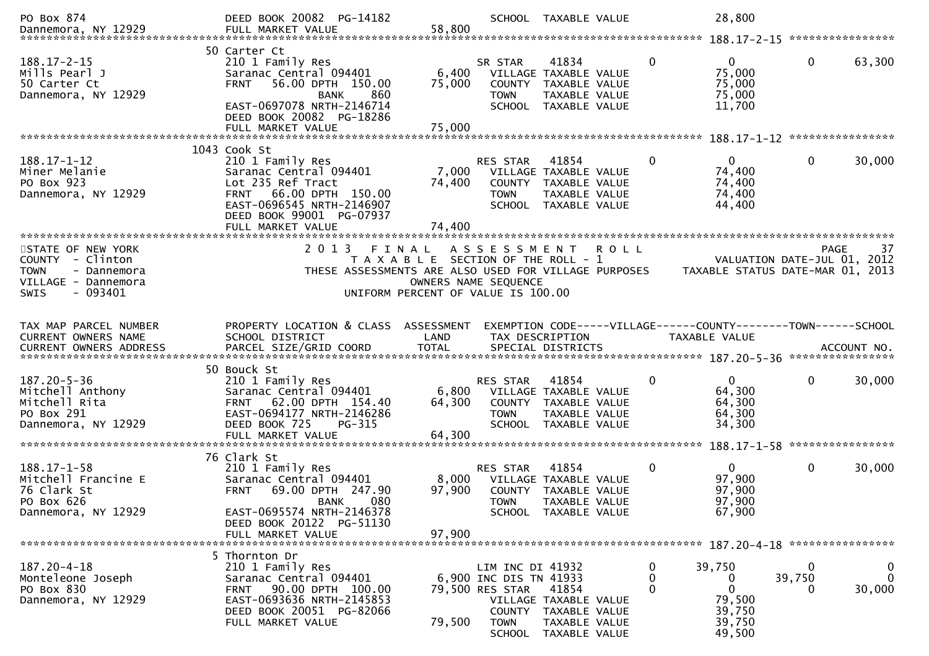| PO Box 874                                                                                                            | DEED BOOK 20082 PG-14182                                                                                                                                                                           |                                                                                                              |                                                                                        | SCHOOL TAXABLE VALUE                                                                                   |             | 28,800                                                             |                                       | ****************           |
|-----------------------------------------------------------------------------------------------------------------------|----------------------------------------------------------------------------------------------------------------------------------------------------------------------------------------------------|--------------------------------------------------------------------------------------------------------------|----------------------------------------------------------------------------------------|--------------------------------------------------------------------------------------------------------|-------------|--------------------------------------------------------------------|---------------------------------------|----------------------------|
| $188.17 - 2 - 15$<br>Mills Pearl J<br>50 Carter Ct<br>Dannemora, NY 12929                                             | 50 Carter Ct<br>210 1 Family Res<br>Saranac Central 094401<br><b>FRNT</b><br>56.00 DPTH 150.00<br>860<br><b>BANK</b><br>EAST-0697078 NRTH-2146714<br>DEED BOOK 20082 PG-18286<br>FULL MARKET VALUE | 6,400<br>75,000<br>75,000                                                                                    | SR STAR<br><b>COUNTY</b><br><b>TOWN</b>                                                | 41834<br>VILLAGE TAXABLE VALUE<br>TAXABLE VALUE<br>TAXABLE VALUE<br>SCHOOL TAXABLE VALUE               | 0           | 0<br>75,000<br>75,000<br>75,000<br>11,700                          | $\mathbf 0$                           | 63,300                     |
|                                                                                                                       |                                                                                                                                                                                                    |                                                                                                              |                                                                                        |                                                                                                        |             |                                                                    |                                       | ****************           |
| $188.17 - 1 - 12$<br>Miner Melanie<br>PO Box 923<br>Dannemora, NY 12929                                               | 1043 Cook St<br>210 1 Family Res<br>Saranac Central 094401<br>Lot 235 Ref Tract<br>66.00 DPTH 150.00<br><b>FRNT</b><br>EAST-0696545 NRTH-2146907<br>DEED BOOK 99001 PG-07937<br>FULL MARKET VALUE  | 7,000<br>74,400<br>74,400                                                                                    | <b>RES STAR</b><br>COUNTY<br><b>TOWN</b>                                               | 41854<br>VILLAGE TAXABLE VALUE<br>TAXABLE VALUE<br>TAXABLE VALUE<br>SCHOOL TAXABLE VALUE               | $\Omega$    | $\Omega$<br>74,400<br>74,400<br>74,400<br>44,400                   | $\mathbf{0}$                          | 30,000                     |
|                                                                                                                       |                                                                                                                                                                                                    |                                                                                                              |                                                                                        |                                                                                                        |             |                                                                    |                                       |                            |
| STATE OF NEW YORK<br>COUNTY - Clinton<br><b>TOWN</b><br>- Dannemora<br>VILLAGE - Dannemora<br>- 093401<br><b>SWIS</b> | 2 0 1 3<br>THESE ASSESSMENTS ARE ALSO USED FOR VILLAGE PURPOSES                                                                                                                                    | FINAL<br>T A X A B L E SECTION OF THE ROLL - 1<br>OWNERS NAME SEQUENCE<br>UNIFORM PERCENT OF VALUE IS 100.00 | A S S E S S M E N T                                                                    |                                                                                                        | <b>ROLL</b> | TAXABLE STATUS DATE-MAR 01, 2013                                   | <b>PAGE</b><br>VALUATION DATE-JUL 01, | 37<br>2012                 |
| TAX MAP PARCEL NUMBER                                                                                                 | PROPERTY LOCATION & CLASS ASSESSMENT                                                                                                                                                               |                                                                                                              |                                                                                        |                                                                                                        |             | EXEMPTION CODE-----VILLAGE------COUNTY--------TOWN------SCHOOL     |                                       |                            |
| <b>CURRENT OWNERS NAME</b>                                                                                            | SCHOOL DISTRICT                                                                                                                                                                                    | LAND                                                                                                         |                                                                                        | TAX DESCRIPTION                                                                                        |             | TAXABLE VALUE                                                      |                                       |                            |
| $187.20 - 5 - 36$<br>Mitchell Anthony<br>Mitchell Rita<br>PO Box 291<br>Dannemora, NY 12929                           | 50 Bouck St<br>210 1 Family Res<br>Saranac Central 094401<br>62.00 DPTH 154.40<br><b>FRNT</b><br>EAST-0694177 NRTH-2146286<br>DEED BOOK 725<br>PG-315<br>FULL MARKET VALUE                         | 6,800<br>64,300<br>64,300                                                                                    | RES STAR<br>COUNTY<br><b>TOWN</b><br><b>SCHOOL</b>                                     | 41854<br>VILLAGE TAXABLE VALUE<br>TAXABLE VALUE<br>TAXABLE VALUE<br>TAXABLE VALUE                      | 0           | $\Omega$<br>64,300<br>64,300<br>64,300<br>34,300                   | $\mathbf 0$                           | 30,000                     |
|                                                                                                                       | 76 Clark St                                                                                                                                                                                        |                                                                                                              |                                                                                        |                                                                                                        |             |                                                                    | 188.17-1-58 *****************         |                            |
| $188.17 - 1 - 58$<br>Mitchell Francine E<br>76 Clark St<br>PO Box 626<br>Dannemora, NY 12929                          | 210 1 Family Res<br>Saranac Central 094401<br><b>FRNT</b><br>69.00 DPTH 247.90<br>080<br><b>BANK</b><br>EAST-0695574 NRTH-2146378<br>DEED BOOK 20122 PG-51130                                      | 8,000<br>97,900                                                                                              | <b>RES STAR</b><br>TOWN                                                                | 41854<br>VILLAGE TAXABLE VALUE<br>COUNTY TAXABLE VALUE<br><b>TAXABLE VALUE</b><br>SCHOOL TAXABLE VALUE | $\Omega$    | $\Omega$<br>97,900<br>97,900<br>97,900<br>67,900                   | $\mathbf{0}$                          | 30,000                     |
|                                                                                                                       | FULL MARKET VALUE                                                                                                                                                                                  | 97,900                                                                                                       |                                                                                        |                                                                                                        |             |                                                                    |                                       |                            |
|                                                                                                                       | 5 Thornton Dr                                                                                                                                                                                      |                                                                                                              |                                                                                        |                                                                                                        |             |                                                                    |                                       |                            |
| 187.20-4-18<br>Monteleone Joseph<br>PO Box 830<br>Dannemora, NY 12929                                                 | 210 1 Family Res<br>Saranac Central 094401<br>FRNT 90.00 DPTH 100.00<br>EAST-0693636 NRTH-2145853<br>DEED BOOK 20051 PG-82066<br>FULL MARKET VALUE                                                 | 79,500                                                                                                       | LIM INC DI 41932<br>6,900 INC DIS TN 41933<br>79,500 RES STAR<br><b>TOWN</b><br>SCHOOL | 41854<br>VILLAGE TAXABLE VALUE<br>COUNTY TAXABLE VALUE<br>TAXABLE VALUE<br>TAXABLE VALUE               | 0<br>0<br>0 | 39,750<br>0<br>$\mathbf 0$<br>79,500<br>39,750<br>39,750<br>49,500 | 0<br>39,750<br>0                      | 0<br>$\mathbf 0$<br>30,000 |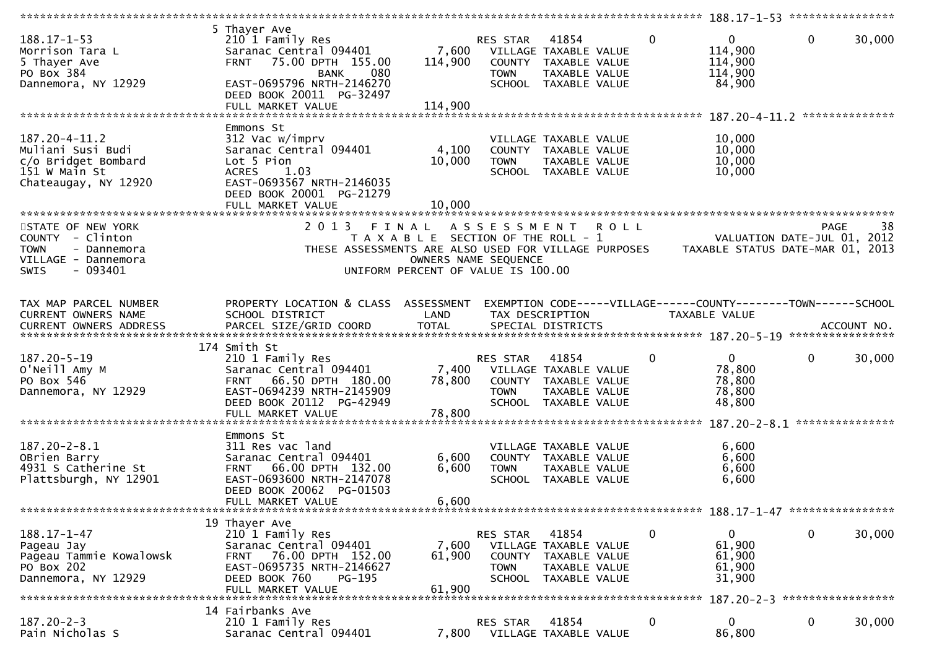|                                                                                                                                    |                                                                                                                                                                                                              |                                                                                                     |                                                    |                                                                                                 | $188.17 - 1 - 53$ *****************                                                       |                                     |                |
|------------------------------------------------------------------------------------------------------------------------------------|--------------------------------------------------------------------------------------------------------------------------------------------------------------------------------------------------------------|-----------------------------------------------------------------------------------------------------|----------------------------------------------------|-------------------------------------------------------------------------------------------------|-------------------------------------------------------------------------------------------|-------------------------------------|----------------|
| $188.17 - 1 - 53$<br>Morrison Tara L<br>5 Thayer Ave<br>PO Box 384<br>Dannemora, NY 12929                                          | 5 Thayer Ave<br>210 1 Family Res<br>Saranac Central 094401<br>75.00 DPTH 155.00<br><b>FRNT</b><br>080<br><b>BANK</b><br>EAST-0695796 NRTH-2146270<br>DEED BOOK 20011 PG-32497<br>FULL MARKET VALUE           | 7,600<br>114,900<br>114,900                                                                         | RES STAR<br><b>TOWN</b>                            | 41854<br>VILLAGE TAXABLE VALUE<br>COUNTY TAXABLE VALUE<br>TAXABLE VALUE<br>SCHOOL TAXABLE VALUE | $\Omega$<br>$\mathbf{0}$<br>114,900<br>114,900<br>114,900<br>84,900                       | $\mathbf{0}$                        | 30,000         |
|                                                                                                                                    |                                                                                                                                                                                                              |                                                                                                     |                                                    |                                                                                                 | ************************* 187.20-4-11.2                                                   |                                     | ************** |
| $187.20 - 4 - 11.2$<br>Muliani Susi Budi<br>c/o Bridget Bombard<br>151 w Main St<br>Chateaugay, NY 12920<br>********************** | Emmons St<br>312 Vac w/imprv<br>Saranac Central 094401<br>Lot 5 Pion<br>1.03<br><b>ACRES</b><br>EAST-0693567 NRTH-2146035<br>DEED BOOK 20001 PG-21279<br>FULL MARKET VALUE<br>****************************** | 4,100<br>10,000<br>10,000                                                                           | <b>TOWN</b>                                        | VILLAGE TAXABLE VALUE<br>COUNTY TAXABLE VALUE<br>TAXABLE VALUE<br>SCHOOL TAXABLE VALUE          | 10,000<br>10,000<br>10,000<br>10,000                                                      |                                     |                |
| STATE OF NEW YORK                                                                                                                  | 2 0 1 3<br>FINAL                                                                                                                                                                                             |                                                                                                     |                                                    |                                                                                                 |                                                                                           | <b>PAGE</b>                         | 38             |
| COUNTY - Clinton<br><b>TOWN</b><br>- Dannemora<br>VILLAGE - Dannemora<br>- 093401<br>SWIS                                          | THESE ASSESSMENTS ARE ALSO USED FOR VILLAGE PURPOSES                                                                                                                                                         | T A X A B L E SECTION OF THE ROLL - 1<br>OWNERS NAME SEQUENCE<br>UNIFORM PERCENT OF VALUE IS 100.00 | ASSESSMENT ROLL                                    |                                                                                                 | TAXABLE STATUS DATE-MAR 01, 2013                                                          | VALUATION DATE-JUL 01, 2012         |                |
|                                                                                                                                    |                                                                                                                                                                                                              |                                                                                                     |                                                    |                                                                                                 |                                                                                           |                                     |                |
| TAX MAP PARCEL NUMBER<br>CURRENT OWNERS NAME                                                                                       | PROPERTY LOCATION & CLASS ASSESSMENT<br>SCHOOL DISTRICT                                                                                                                                                      | LAND                                                                                                |                                                    | TAX DESCRIPTION                                                                                 | EXEMPTION CODE-----VILLAGE------COUNTY--------TOWN------SCHOOL<br>TAXABLE VALUE           |                                     |                |
|                                                                                                                                    | 174 Smith St                                                                                                                                                                                                 |                                                                                                     |                                                    |                                                                                                 |                                                                                           |                                     |                |
| 187.20-5-19<br>O'Neill Amy M<br>PO Box 546<br>Dannemora, NY 12929                                                                  | 210 1 Family Res<br>Saranac Central 094401<br>66.50 DPTH 180.00<br><b>FRNT</b><br>EAST-0694239 NRTH-2145909<br>DEED BOOK 20112 PG-42949<br>FULL MARKET VALUE                                                 | 7,400<br>78,800<br>78,800                                                                           | RES STAR<br><b>TOWN</b><br>SCHOOL                  | 41854<br>VILLAGE TAXABLE VALUE<br>COUNTY TAXABLE VALUE<br>TAXABLE VALUE<br>TAXABLE VALUE        | $\mathbf 0$<br>$\overline{0}$<br>78,800<br>78,800<br>78,800<br>48,800                     | $\mathbf 0$                         | 30,000         |
|                                                                                                                                    | Emmons St                                                                                                                                                                                                    |                                                                                                     |                                                    |                                                                                                 |                                                                                           |                                     |                |
| $187.20 - 2 - 8.1$<br>OBrien Barry<br>4931 S Catherine St<br>Plattsburgh, NY 12901                                                 | 311 Res vac land<br>Saranac Central 094401<br>FRNT 66.00 DPTH 132.00<br>EAST-0693600 NRTH-2147078<br>DEED BOOK 20062 PG-01503<br>FULL MARKET VALUE                                                           | 6,600<br>6,600<br>6,600                                                                             | <b>TOWN</b>                                        | VILLAGE TAXABLE VALUE<br>COUNTY TAXABLE VALUE<br>TAXABLE VALUE<br>SCHOOL TAXABLE VALUE          | 6,600<br>6,600<br>6,600<br>6,600                                                          |                                     |                |
|                                                                                                                                    |                                                                                                                                                                                                              |                                                                                                     |                                                    |                                                                                                 |                                                                                           | $188.17 - 1 - 47$ ***************** |                |
| 188.17-1-47<br>Pageau Jay<br>Pageau Tammie Kowalowsk<br>PO Box 202<br>Dannemora, NY 12929                                          | 19 Thayer Ave<br>210 1 Family Res<br>Saranac Central 094401<br>76.00 DPTH 152.00<br><b>FRNT</b><br>EAST-0695735 NRTH-2146627<br>DEED BOOK 760<br>PG-195<br>FULL MARKET VALUE                                 | 7,600<br>61,900<br>61,900                                                                           | RES STAR<br><b>COUNTY</b><br><b>TOWN</b><br>SCHOOL | 41854<br>VILLAGE TAXABLE VALUE<br>TAXABLE VALUE<br>TAXABLE VALUE<br>TAXABLE VALUE               | $\mathbf 0$<br>$\overline{0}$<br>61,900<br>61,900<br>61,900<br>31,900<br>$187.20 - 2 - 3$ | 0<br>*****************              | 30,000         |
|                                                                                                                                    | 14 Fairbanks Ave                                                                                                                                                                                             |                                                                                                     |                                                    |                                                                                                 |                                                                                           |                                     |                |
| $187.20 - 2 - 3$<br>Pain Nicholas S                                                                                                | 210 1 Family Res<br>Saranac Central 094401                                                                                                                                                                   | 7,800                                                                                               | RES STAR                                           | 41854<br>VILLAGE TAXABLE VALUE                                                                  | $\mathbf 0$<br>$\mathbf{0}$<br>86,800                                                     | 0                                   | 30,000         |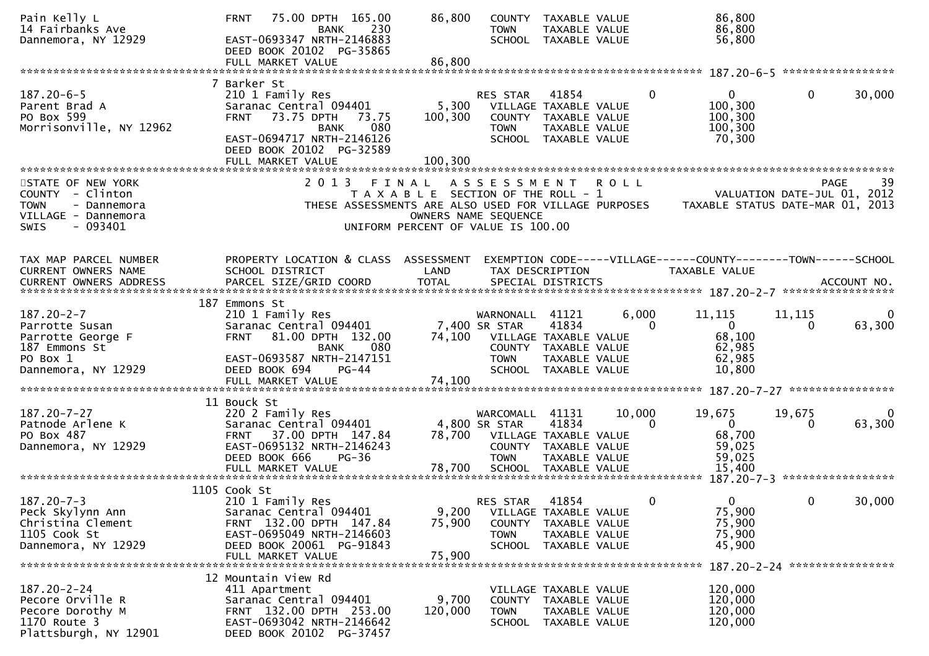| Pain Kelly L<br>14 Fairbanks Ave<br>Dannemora, NY 12929                                                     | 75.00 DPTH 165.00<br><b>FRNT</b><br>230<br><b>BANK</b><br>EAST-0693347 NRTH-2146883<br>DEED BOOK 20102 PG-35865<br>FULL MARKET VALUE                                                                | 86,800<br>86,800                                                            | <b>TOWN</b>                                                              | COUNTY TAXABLE VALUE<br>TAXABLE VALUE<br>SCHOOL TAXABLE VALUE                                   |                    | 86,800<br>86,800<br>56,800                                                            |                               |             |
|-------------------------------------------------------------------------------------------------------------|-----------------------------------------------------------------------------------------------------------------------------------------------------------------------------------------------------|-----------------------------------------------------------------------------|--------------------------------------------------------------------------|-------------------------------------------------------------------------------------------------|--------------------|---------------------------------------------------------------------------------------|-------------------------------|-------------|
|                                                                                                             |                                                                                                                                                                                                     |                                                                             |                                                                          |                                                                                                 |                    |                                                                                       |                               |             |
| $187.20 - 6 - 5$<br>Parent Brad A<br>PO Box 599<br>Morrisonville, NY 12962                                  | 7 Barker St<br>210 1 Family Res<br>Saranac Central 094401<br>73.75 DPTH<br><b>FRNT</b><br>73.75<br>080<br><b>BANK</b><br>EAST-0694717 NRTH-2146126<br>DEED BOOK 20102 PG-32589<br>FULL MARKET VALUE | 5,300<br>100,300<br>100,300                                                 | RES STAR<br>VILLAGE TAXABLE VALUE<br><b>TOWN</b>                         | 41854<br>COUNTY TAXABLE VALUE<br>TAXABLE VALUE<br>SCHOOL TAXABLE VALUE                          | 0                  | $\mathbf{0}$<br>100,300<br>100,300<br>100,300<br>70,300                               | $\mathbf{0}$                  | 30,000      |
| STATE OF NEW YORK                                                                                           | 2 0 1 3                                                                                                                                                                                             | FINAL                                                                       |                                                                          |                                                                                                 |                    |                                                                                       |                               | 39<br>PAGE  |
| COUNTY - Clinton<br><b>TOWN</b><br>- Dannemora<br>VILLAGE - Dannemora<br><b>SWIS</b><br>- 093401            |                                                                                                                                                                                                     | T A X A B L E SECTION OF THE ROLL - 1<br>UNIFORM PERCENT OF VALUE IS 100.00 | A S S E S S M E N T<br>OWNERS NAME SEQUENCE                              |                                                                                                 | <b>ROLL</b>        | THESE ASSESSMENTS ARE ALSO USED FOR VILLAGE PURPOSES TAXABLE STATUS DATE-MAR 01, 2013 | VALUATION DATE-JUL 01, 2012   |             |
| TAX MAP PARCEL NUMBER<br>CURRENT OWNERS NAME                                                                | PROPERTY LOCATION & CLASS ASSESSMENT<br>SCHOOL DISTRICT                                                                                                                                             | LAND                                                                        |                                                                          | TAX DESCRIPTION                                                                                 |                    | EXEMPTION CODE-----VILLAGE------COUNTY--------TOWN------SCHOOL<br>TAXABLE VALUE       |                               |             |
|                                                                                                             |                                                                                                                                                                                                     |                                                                             |                                                                          |                                                                                                 |                    |                                                                                       |                               |             |
| $187.20 - 2 - 7$<br>Parrotte Susan<br>Parrotte George F<br>187 Emmons St<br>PO Box 1<br>Dannemora, NY 12929 | 187 Emmons St<br>210 1 Family Res<br>Saranac Central 094401<br>81.00 DPTH 132.00<br><b>FRNT</b><br>080<br>BANK<br>EAST-0693587 NRTH-2147151<br>DEED BOOK 694<br>$PG-44$                             | 74,100                                                                      | WARNONALL<br>7,400 SR STAR<br>VILLAGE TAXABLE VALUE<br><b>TOWN</b>       | 41121<br>41834<br>COUNTY TAXABLE VALUE<br>TAXABLE VALUE<br>SCHOOL TAXABLE VALUE                 | 6,000<br>$\Omega$  | 11,115<br>$\overline{0}$<br>68,100<br>62,985<br>62,985<br>10,800                      | 11,115<br>$\Omega$            | 0<br>63,300 |
|                                                                                                             | FULL MARKET VALUE                                                                                                                                                                                   | 74,100                                                                      |                                                                          |                                                                                                 |                    |                                                                                       |                               |             |
| $187.20 - 7 - 27$<br>Patnode Arlene K<br>PO Box 487<br>Dannemora, NY 12929                                  | 11 Bouck St<br>220 2 Family Res<br>Saranac Central 094401<br>FRNT 37.00 DPTH 147.84<br>EAST-0695132 NRTH-2146243<br>DEED BOOK 666<br>$PG-36$                                                        | 78,700                                                                      | WARCOMALL 41131<br>4,800 SR STAR<br>VILLAGE TAXABLE VALUE<br><b>TOWN</b> | 41834<br>COUNTY TAXABLE VALUE<br>TAXABLE VALUE                                                  | 10,000<br>$\Omega$ | 19,675<br>$\overline{0}$<br>68,700<br>59,025<br>59,025                                | 19,675<br>$\Omega$            | 0<br>63,300 |
|                                                                                                             | 1105 Cook St                                                                                                                                                                                        |                                                                             |                                                                          |                                                                                                 |                    |                                                                                       |                               |             |
| $187.20 - 7 - 3$<br>Peck Skylynn Ann<br>Christina Clement<br>1105 Cook St<br>Dannemora, NY 12929            | 210 1 Family Res<br>Saranac Central 094401<br>FRNT 132.00 DPTH 147.84<br>EAST-0695049 NRTH-2146603<br>DEED BOOK 20061 PG-91843<br>FULL MARKET VALUE                                                 | 9,200<br>75,900<br>75,900                                                   | <b>RES STAR</b><br><b>TOWN</b>                                           | 41854<br>VILLAGE TAXABLE VALUE<br>COUNTY TAXABLE VALUE<br>TAXABLE VALUE<br>SCHOOL TAXABLE VALUE | 0                  | $\Omega$<br>75,900<br>75,900<br>75,900<br>45,900                                      | 0                             | 30,000      |
|                                                                                                             | 12 Mountain View Rd                                                                                                                                                                                 |                                                                             |                                                                          |                                                                                                 |                    |                                                                                       | 187.20-2-24 ***************** |             |
| $187.20 - 2 - 24$<br>Pecore Orville R<br>Pecore Dorothy M<br>1170 Route 3<br>Plattsburgh, NY 12901          | 411 Apartment<br>Saranac Central 094401<br>FRNT 132.00 DPTH 253.00<br>EAST-0693042 NRTH-2146642<br>DEED BOOK 20102 PG-37457                                                                         | 9,700<br>120,000                                                            | <b>TOWN</b>                                                              | VILLAGE TAXABLE VALUE<br>COUNTY TAXABLE VALUE<br>TAXABLE VALUE<br>SCHOOL TAXABLE VALUE          |                    | 120,000<br>120,000<br>120,000<br>120,000                                              |                               |             |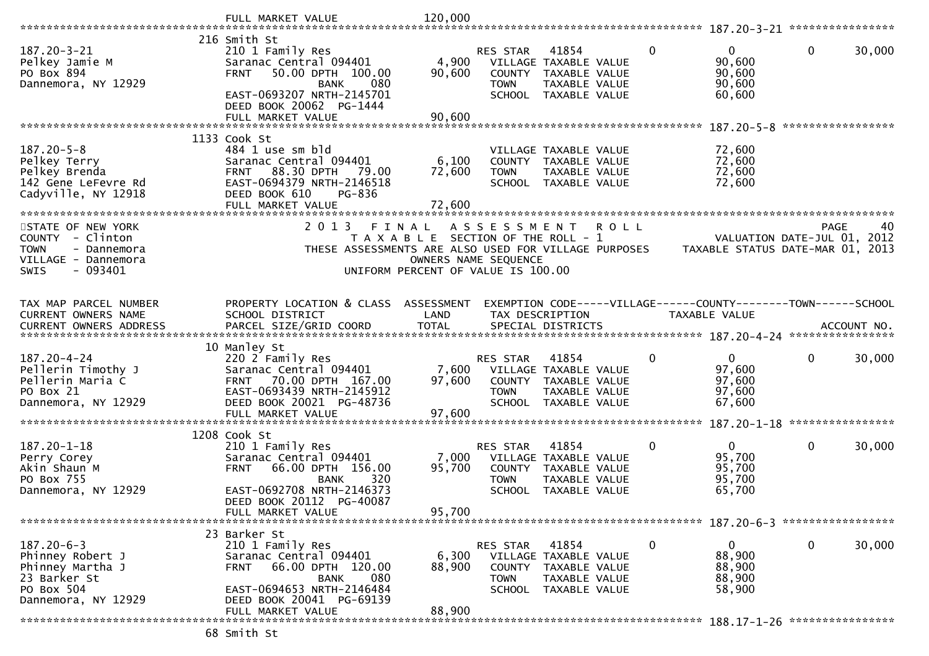|                                                                                                               | FULL MARKET VALUE                                                                                                                                                                                  | 120,000                                                    |                                                 |                                                                                                 |             |                                                                                |                   |        |
|---------------------------------------------------------------------------------------------------------------|----------------------------------------------------------------------------------------------------------------------------------------------------------------------------------------------------|------------------------------------------------------------|-------------------------------------------------|-------------------------------------------------------------------------------------------------|-------------|--------------------------------------------------------------------------------|-------------------|--------|
|                                                                                                               |                                                                                                                                                                                                    |                                                            |                                                 |                                                                                                 |             |                                                                                |                   |        |
| $187.20 - 3 - 21$<br>Pelkey Jamie M<br>PO Box 894<br>Dannemora, NY 12929                                      | 216 Smith St<br>210 1 Family Res<br>Saranac Central 094401<br>50.00 DPTH 100.00<br><b>FRNT</b><br><b>BANK</b><br>080<br>EAST-0693207 NRTH-2145701                                                  | 4,900<br>90,600                                            | RES STAR<br>COUNTY<br><b>TOWN</b>               | 41854<br>VILLAGE TAXABLE VALUE<br>TAXABLE VALUE<br>TAXABLE VALUE<br>SCHOOL TAXABLE VALUE        | $\Omega$    | $\overline{0}$<br>90,600<br>90,600<br>90,600<br>60,600                         | $\mathbf{0}$      | 30,000 |
|                                                                                                               | DEED BOOK 20062 PG-1444<br>FULL MARKET VALUE                                                                                                                                                       | 90,600                                                     |                                                 |                                                                                                 |             |                                                                                | ***************** |        |
|                                                                                                               | 1133 Cook St                                                                                                                                                                                       |                                                            |                                                 |                                                                                                 |             |                                                                                |                   |        |
| $187.20 - 5 - 8$<br>Pelkey Terry                                                                              | 484 1 use sm bld<br>Saranac Central 094401                                                                                                                                                         | 6,100                                                      |                                                 | VILLAGE TAXABLE VALUE<br>COUNTY TAXABLE VALUE                                                   |             | 72,600<br>72,600                                                               |                   |        |
| Pelkey Brenda                                                                                                 | 88.30 DPTH<br>79.00<br><b>FRNT</b>                                                                                                                                                                 | 72,600                                                     | <b>TOWN</b>                                     | TAXABLE VALUE                                                                                   |             | 72,600                                                                         |                   |        |
| 142 Gene LeFevre Rd<br>Cadyville, NY 12918                                                                    | EAST-0694379 NRTH-2146518<br>DEED BOOK 610<br>PG-836<br>FULL MARKET VALUE                                                                                                                          | 72,600                                                     |                                                 | SCHOOL TAXABLE VALUE                                                                            |             | 72,600                                                                         |                   |        |
|                                                                                                               | ***********************                                                                                                                                                                            |                                                            |                                                 |                                                                                                 |             |                                                                                |                   |        |
| STATE OF NEW YORK                                                                                             | 2 0 1 3<br>FINAL                                                                                                                                                                                   |                                                            | ASSESSMENT                                      |                                                                                                 | <b>ROLL</b> |                                                                                | <b>PAGE</b>       | 40     |
| COUNTY - Clinton                                                                                              |                                                                                                                                                                                                    | T A X A B L E SECTION OF THE ROLL - 1                      |                                                 |                                                                                                 |             | VALUATION DATE-JUL 01,                                                         |                   | 2012   |
| <b>TOWN</b><br>- Dannemora<br>VILLAGE - Dannemora<br>- 093401<br>SWIS                                         | THESE ASSESSMENTS ARE ALSO USED FOR VILLAGE PURPOSES                                                                                                                                               | OWNERS NAME SEQUENCE<br>UNIFORM PERCENT OF VALUE IS 100.00 |                                                 |                                                                                                 |             | TAXABLE STATUS DATE-MAR 01, 2013                                               |                   |        |
|                                                                                                               |                                                                                                                                                                                                    |                                                            |                                                 |                                                                                                 |             |                                                                                |                   |        |
| TAX MAP PARCEL NUMBER<br><b>CURRENT OWNERS NAME</b>                                                           | PROPERTY LOCATION & CLASS ASSESSMENT<br>SCHOOL DISTRICT                                                                                                                                            | LAND                                                       | TAX DESCRIPTION                                 |                                                                                                 |             | EXEMPTION CODE-----VILLAGE------COUNTY-------TOWN------SCHOOL<br>TAXABLE VALUE |                   |        |
|                                                                                                               |                                                                                                                                                                                                    |                                                            |                                                 |                                                                                                 |             |                                                                                |                   |        |
|                                                                                                               | 10 Manley St                                                                                                                                                                                       |                                                            |                                                 |                                                                                                 |             |                                                                                |                   |        |
| 187.20-4-24<br>Pellerin Timothy J<br>Pellerin Maria C<br>PO Box 21<br>Dannemora, NY 12929                     | 220 2 Family Res<br>Saranac Central 094401<br>70.00 DPTH 167.00<br><b>FRNT</b><br>EAST-0693439 NRTH-2145912<br>DEED BOOK 20021 PG-48736                                                            | 7,600<br>97,600                                            | <b>RES STAR</b><br><b>TOWN</b><br><b>SCHOOL</b> | 41854<br>VILLAGE TAXABLE VALUE<br>COUNTY TAXABLE VALUE<br>TAXABLE VALUE<br>TAXABLE VALUE        | 0           | $\mathbf{0}$<br>97,600<br>97,600<br>97,600<br>67,600                           | $\mathbf 0$       | 30,000 |
|                                                                                                               | FULL MARKET VALUE                                                                                                                                                                                  | 97,600                                                     |                                                 |                                                                                                 |             |                                                                                | ****************  |        |
|                                                                                                               | 1208 Cook St                                                                                                                                                                                       |                                                            |                                                 |                                                                                                 |             |                                                                                |                   |        |
| $187.20 - 1 - 18$<br>Perry Corey<br>Akin Shaun M<br>PO Box 755<br>Dannemora, NY 12929                         | 210 1 Family Res<br>Saranac Central 094401<br>66.00 DPTH 156.00<br><b>FRNT</b><br>320<br><b>BANK</b><br>EAST-0692708 NRTH-2146373<br>DEED BOOK 20112 PG-40087                                      | 7,000<br>95,700                                            | <b>RES STAR</b><br><b>TOWN</b><br><b>SCHOOL</b> | 41854<br>VILLAGE TAXABLE VALUE<br>COUNTY TAXABLE VALUE<br>TAXABLE VALUE<br>TAXABLE VALUE        | 0           | $\mathbf{0}$<br>95,700<br>95,700<br>95,700<br>65,700                           | $\mathbf{0}$      | 30,000 |
|                                                                                                               | FULL MARKET VALUE                                                                                                                                                                                  | 95,700                                                     |                                                 |                                                                                                 |             |                                                                                |                   |        |
| $187.20 - 6 - 3$<br>Phinney Robert J<br>Phinney Martha J<br>23 Barker St<br>PO Box 504<br>Dannemora, NY 12929 | 23 Barker St<br>210 1 Family Res<br>Saranac Central 094401<br>66.00 DPTH 120.00<br><b>FRNT</b><br>080<br><b>BANK</b><br>EAST-0694653 NRTH-2146484<br>DEED BOOK 20041 PG-69139<br>FULL MARKET VALUE | 6,300<br>88,900<br>88,900                                  | RES STAR<br><b>TOWN</b>                         | 41854<br>VILLAGE TAXABLE VALUE<br>COUNTY TAXABLE VALUE<br>TAXABLE VALUE<br>SCHOOL TAXABLE VALUE | 0           | $\mathbf{0}$<br>88,900<br>88,900<br>88,900<br>58,900                           | 0                 | 30,000 |
|                                                                                                               |                                                                                                                                                                                                    |                                                            |                                                 |                                                                                                 |             |                                                                                |                   |        |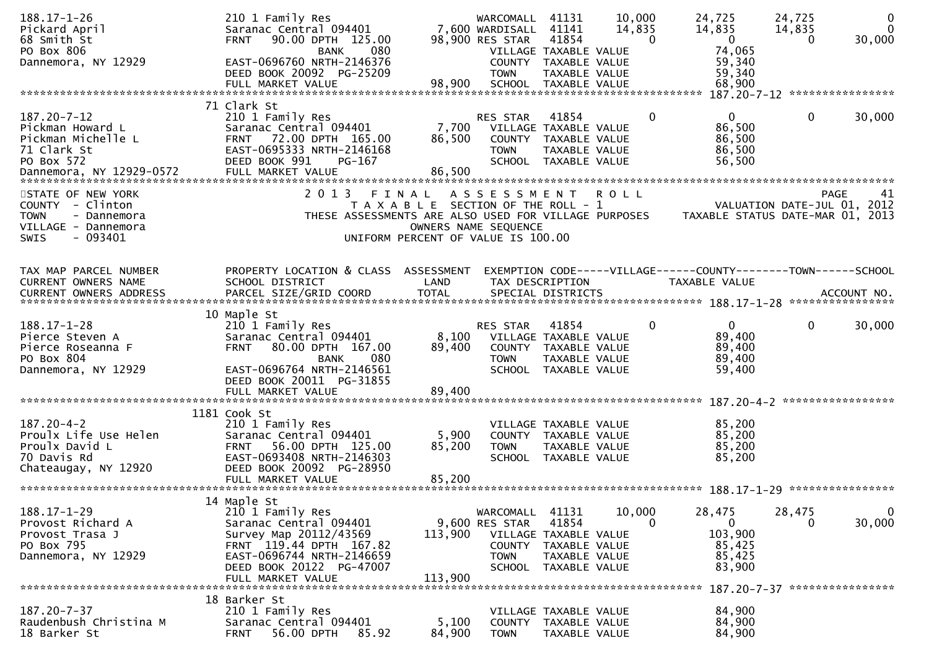| $188.17 - 1 - 26$<br>Pickard April<br>68 Smith St                                                                      | 210 1 Family Res<br>Saranac Central 094401<br>90.00 DPTH 125.00<br><b>FRNT</b>                                                                                          |                                                                                                              | WARCOMALL<br>7,600 WARDISALL<br>98,900 RES STAR                   | 41131<br>41141<br>41854                                                                         | 10,000<br>14,835<br>$\Omega$ | 24,725<br>14,835<br>$\overline{0}$                                | 24,725<br>14,835<br>$\Omega$ | $\mathbf 0$<br>$\Omega$<br>30,000 |
|------------------------------------------------------------------------------------------------------------------------|-------------------------------------------------------------------------------------------------------------------------------------------------------------------------|--------------------------------------------------------------------------------------------------------------|-------------------------------------------------------------------|-------------------------------------------------------------------------------------------------|------------------------------|-------------------------------------------------------------------|------------------------------|-----------------------------------|
| PO Box 806<br>Dannemora, NY 12929                                                                                      | 080<br><b>BANK</b><br>EAST-0696760 NRTH-2146376<br>DEED BOOK 20092 PG-25209<br>FULL MARKET VALUE                                                                        | 98,900                                                                                                       | <b>TOWN</b>                                                       | VILLAGE TAXABLE VALUE<br>COUNTY TAXABLE VALUE<br>TAXABLE VALUE<br>SCHOOL TAXABLE VALUE          |                              | 74,065<br>59,340<br>59,340<br>68,900                              |                              |                                   |
|                                                                                                                        |                                                                                                                                                                         |                                                                                                              |                                                                   |                                                                                                 |                              | 187.20-7-12 *****************                                     |                              |                                   |
| 187.20-7-12<br>Pickman Howard L<br>Pickman Michelle L<br>71 Clark St<br>PO Box 572                                     | 71 Clark St<br>210 1 Family Res<br>Saranac Central 094401<br>72.00 DPTH 165.00<br><b>FRNT</b><br>EAST-0695333 NRTH-2146168<br>DEED BOOK 991<br>PG-167                   | 7,700<br>86,500<br>86,500                                                                                    | RES STAR<br><b>TOWN</b>                                           | 41854<br>VILLAGE TAXABLE VALUE<br>COUNTY TAXABLE VALUE<br>TAXABLE VALUE<br>SCHOOL TAXABLE VALUE | $\Omega$                     | $\mathbf{0}$<br>86,500<br>86,500<br>86,500<br>56,500              | $\mathbf 0$                  | 30,000                            |
|                                                                                                                        |                                                                                                                                                                         |                                                                                                              |                                                                   |                                                                                                 |                              |                                                                   |                              |                                   |
| STATE OF NEW YORK<br>COUNTY - Clinton<br><b>TOWN</b><br>- Dannemora<br>VILLAGE - Dannemora<br><b>SWIS</b><br>$-093401$ | 2 0 1 3<br>THESE ASSESSMENTS ARE ALSO USED FOR VILLAGE PURPOSES                                                                                                         | FINAL<br>T A X A B L E SECTION OF THE ROLL - 1<br>OWNERS NAME SEQUENCE<br>UNIFORM PERCENT OF VALUE IS 100.00 | A S S E S S M E N T                                               |                                                                                                 | <b>ROLL</b>                  | VALUATION DATE-JUL 01, 2012<br>TAXABLE STATUS DATE-MAR 01, 2013   | <b>PAGE</b>                  | 41                                |
| TAX MAP PARCEL NUMBER                                                                                                  | PROPERTY LOCATION & CLASS ASSESSMENT                                                                                                                                    |                                                                                                              |                                                                   |                                                                                                 |                              | EXEMPTION CODE-----VILLAGE------COUNTY--------TOWN------SCHOOL    |                              |                                   |
| CURRENT OWNERS NAME                                                                                                    | SCHOOL DISTRICT                                                                                                                                                         | LAND                                                                                                         | TAX DESCRIPTION                                                   |                                                                                                 |                              | TAXABLE VALUE                                                     |                              |                                   |
| <b>CURRENT OWNERS ADDRESS</b>                                                                                          | PARCEL SIZE/GRID COORD                                                                                                                                                  | <b>TOTAL</b>                                                                                                 |                                                                   | SPECIAL DISTRICTS                                                                               |                              |                                                                   |                              | ACCOUNT NO.<br>****************   |
|                                                                                                                        | 10 Maple St                                                                                                                                                             |                                                                                                              |                                                                   |                                                                                                 |                              |                                                                   |                              |                                   |
| 188.17-1-28<br>Pierce Steven A<br>Pierce Roseanna F<br>PO Box 804<br>Dannemora, NY 12929                               | 210 1 Family Res<br>Saranac Central 094401<br>80.00 DPTH 167.00<br><b>FRNT</b><br>080<br><b>BANK</b><br>EAST-0696764 NRTH-2146561                                       | 8,100<br>89,400                                                                                              | RES STAR<br><b>TOWN</b>                                           | 41854<br>VILLAGE TAXABLE VALUE<br>COUNTY TAXABLE VALUE<br>TAXABLE VALUE<br>SCHOOL TAXABLE VALUE | $\mathbf{0}$                 | $\mathbf{0}$<br>89,400<br>89,400<br>89,400<br>59,400              | $\mathbf{0}$                 | 30,000                            |
|                                                                                                                        | DEED BOOK 20011 PG-31855                                                                                                                                                |                                                                                                              |                                                                   |                                                                                                 |                              |                                                                   |                              |                                   |
|                                                                                                                        |                                                                                                                                                                         |                                                                                                              |                                                                   |                                                                                                 |                              |                                                                   |                              |                                   |
|                                                                                                                        | 1181 Cook St                                                                                                                                                            |                                                                                                              |                                                                   |                                                                                                 |                              |                                                                   |                              |                                   |
| $187.20 - 4 - 2$<br>Proulx Life Use Helen<br>Proulx David L<br>70 Davis Rd<br>Chateaugay, NY 12920                     | 210 1 Family Res<br>Saranac Central 094401<br>56.00 DPTH 125.00<br><b>FRNT</b><br>EAST-0693408 NRTH-2146303<br>DEED BOOK 20092 PG-28950                                 | 5,900<br>85,200                                                                                              | <b>TOWN</b>                                                       | VILLAGE TAXABLE VALUE<br>COUNTY TAXABLE VALUE<br>TAXABLE VALUE<br>SCHOOL TAXABLE VALUE          |                              | 85,200<br>85,200<br>85,200<br>85,200                              |                              |                                   |
|                                                                                                                        | FULL MARKET VALUE                                                                                                                                                       | 85,200                                                                                                       |                                                                   |                                                                                                 |                              |                                                                   |                              |                                   |
|                                                                                                                        |                                                                                                                                                                         |                                                                                                              |                                                                   |                                                                                                 |                              |                                                                   |                              |                                   |
| $188.17 - 1 - 29$<br>Provost Richard A<br>Provost Trasa J<br>PO Box 795<br>Dannemora, NY 12929                         | 14 Maple St<br>210 1 Family Res<br>Saranac Central 094401<br>Survey Map 20112/43569<br>FRNT 119.44 DPTH 167.82<br>EAST-0696744 NRTH-2146659<br>DEED BOOK 20122 PG-47007 | 113,900                                                                                                      | WARCOMALL 41131<br>9,600 RES STAR<br><b>TOWN</b><br><b>SCHOOL</b> | 41854<br>VILLAGE TAXABLE VALUE<br>COUNTY TAXABLE VALUE<br>TAXABLE VALUE<br>TAXABLE VALUE        | 10,000<br>$\Omega$           | 28,475<br>$\overline{0}$<br>103,900<br>85,425<br>85,425<br>83,900 | 28,475<br>$\Omega$           | $\mathbf{0}$<br>30,000            |
|                                                                                                                        | FULL MARKET VALUE                                                                                                                                                       | 113,900                                                                                                      |                                                                   |                                                                                                 |                              | 187.20-7-37 *****************                                     |                              |                                   |
|                                                                                                                        | 18 Barker St                                                                                                                                                            |                                                                                                              |                                                                   |                                                                                                 |                              |                                                                   |                              |                                   |
| $187.20 - 7 - 37$<br>Raudenbush Christina M<br>18 Barker St                                                            | 210 1 Family Res<br>Saranac Central 094401<br>56.00 DPTH<br>85.92<br><b>FRNT</b>                                                                                        | 5,100<br>84,900                                                                                              | <b>TOWN</b>                                                       | VILLAGE TAXABLE VALUE<br>COUNTY TAXABLE VALUE<br>TAXABLE VALUE                                  |                              | 84,900<br>84,900<br>84,900                                        |                              |                                   |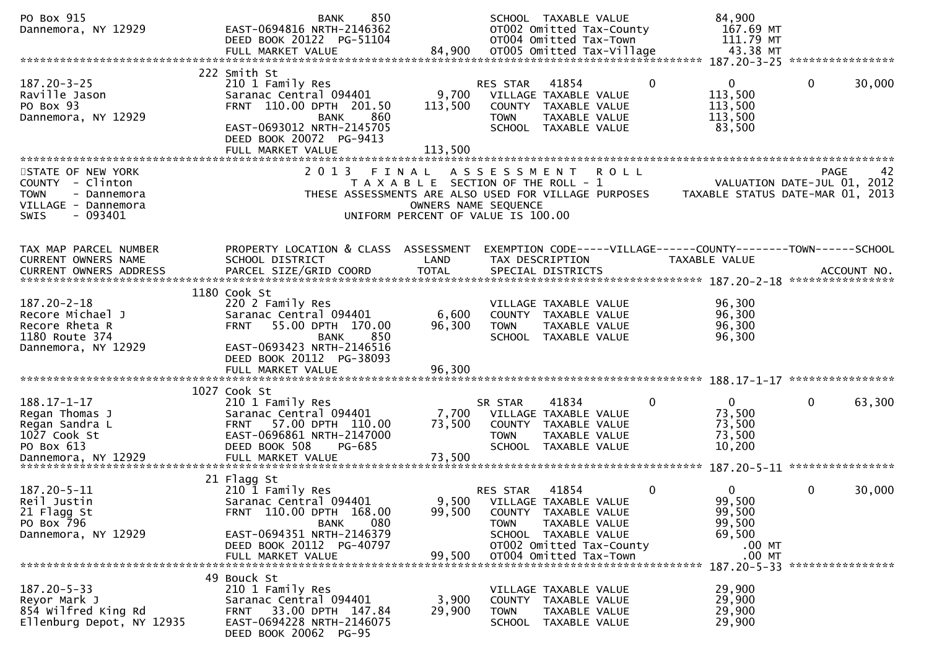| PO Box 915<br>Dannemora, NY 12929                                                                                      | 850<br><b>BANK</b><br>EAST-0694816 NRTH-2146362<br>DEED BOOK 20122 PG-51104<br>FULL MARKET VALUE                                                                                         | 84,900                                                                                              |                                   | SCHOOL TAXABLE VALUE<br>OT002 Omitted Tax-County<br>OT004 Omitted Tax-Town                                                  | OT005 Omitted Tax-Village | 84,900<br>167.69 MT<br>111.79 MT<br>43.38 MT                                    |             |                   |
|------------------------------------------------------------------------------------------------------------------------|------------------------------------------------------------------------------------------------------------------------------------------------------------------------------------------|-----------------------------------------------------------------------------------------------------|-----------------------------------|-----------------------------------------------------------------------------------------------------------------------------|---------------------------|---------------------------------------------------------------------------------|-------------|-------------------|
|                                                                                                                        |                                                                                                                                                                                          |                                                                                                     |                                   |                                                                                                                             |                           |                                                                                 |             |                   |
| $187.20 - 3 - 25$<br>Raville Jason<br>PO Box 93<br>Dannemora, NY 12929                                                 | 222 Smith St<br>210 1 Family Res<br>Saranac Central 094401<br>FRNT 110.00 DPTH 201.50<br>860<br><b>BANK</b><br>EAST-0693012 NRTH-2145705<br>DEED BOOK 20072 PG-9413<br>FULL MARKET VALUE | 9,700<br>113,500<br>113,500                                                                         | RES STAR<br>COUNTY<br><b>TOWN</b> | 41854<br>VILLAGE TAXABLE VALUE<br>TAXABLE VALUE<br>TAXABLE VALUE<br>SCHOOL TAXABLE VALUE                                    | $\mathbf{0}$              | $\overline{0}$<br>113,500<br>113,500<br>113,500<br>83,500                       | $\mathbf 0$ | 30,000            |
|                                                                                                                        |                                                                                                                                                                                          |                                                                                                     |                                   |                                                                                                                             |                           |                                                                                 |             |                   |
| STATE OF NEW YORK<br>COUNTY - Clinton<br><b>TOWN</b><br>- Dannemora<br>VILLAGE - Dannemora<br>$-093401$<br><b>SWIS</b> | 2 0 1 3<br>FINAL<br>THESE ASSESSMENTS ARE ALSO USED FOR VILLAGE PURPOSES                                                                                                                 | T A X A B L E SECTION OF THE ROLL - 1<br>OWNERS NAME SEQUENCE<br>UNIFORM PERCENT OF VALUE IS 100.00 | A S S E S S M E N T               |                                                                                                                             | <b>ROLL</b>               | VALUATION DATE-JUL 01, 2012<br>TAXABLE STATUS DATE-MAR 01, 2013                 |             | <b>PAGE</b><br>42 |
| TAX MAP PARCEL NUMBER<br>CURRENT OWNERS NAME                                                                           | PROPERTY LOCATION & CLASS ASSESSMENT<br>SCHOOL DISTRICT                                                                                                                                  | LAND                                                                                                |                                   | TAX DESCRIPTION                                                                                                             |                           | EXEMPTION CODE-----VILLAGE------COUNTY--------TOWN------SCHOOL<br>TAXABLE VALUE |             |                   |
|                                                                                                                        | 1180 Cook St                                                                                                                                                                             |                                                                                                     |                                   |                                                                                                                             |                           |                                                                                 |             |                   |
| $187.20 - 2 - 18$<br>Recore Michael J<br>Recore Rheta R<br>1180 Route 374<br>Dannemora, NY 12929                       | 220 2 Family Res<br>Saranac Central 094401<br>55.00 DPTH 170.00<br><b>FRNT</b><br>850<br><b>BANK</b><br>EAST-0693423 NRTH-2146516                                                        | 6,600<br>96,300                                                                                     | <b>TOWN</b>                       | VILLAGE TAXABLE VALUE<br>COUNTY TAXABLE VALUE<br>TAXABLE VALUE<br>SCHOOL TAXABLE VALUE                                      |                           | 96,300<br>96,300<br>96,300<br>96,300                                            |             |                   |
|                                                                                                                        | DEED BOOK 20112 PG-38093<br>FULL MARKET VALUE                                                                                                                                            | 96.300                                                                                              |                                   |                                                                                                                             |                           |                                                                                 |             |                   |
|                                                                                                                        | 1027 Cook St                                                                                                                                                                             |                                                                                                     |                                   |                                                                                                                             |                           |                                                                                 |             |                   |
| $188.17 - 1 - 17$<br>Regan Thomas J<br>Regan Sandra L<br>1027 Cook St<br>PO Box 613                                    | 210 1 Family Res<br>Saranac Central 094401<br>57.00 DPTH 110.00<br><b>FRNT</b><br>EAST-0696861 NRTH-2147000<br>DEED BOOK 508<br>PG-685                                                   | 7,700<br>73,500                                                                                     | SR STAR<br><b>TOWN</b>            | 41834<br>VILLAGE TAXABLE VALUE<br>COUNTY TAXABLE VALUE<br>TAXABLE VALUE<br>SCHOOL TAXABLE VALUE                             | 0                         | $\mathbf{0}$<br>73,500<br>73,500<br>73,500<br>10,200                            | $\mathbf 0$ | 63,300            |
|                                                                                                                        |                                                                                                                                                                                          |                                                                                                     |                                   |                                                                                                                             |                           |                                                                                 |             |                   |
| 187.20-5-11<br>Reil Justin<br>21 Flagg St<br>PO Box 796<br>Dannemora, NY 12929                                         | 21 Flagg St<br>210 1 Family Res<br>Saranac Central 094401<br>FRNT 110.00 DPTH 168.00<br>080<br>BANK<br>EAST-0694351 NRTH-2146379<br>DEED BOOK 20112 PG-40797                             | 9,500<br>99,500                                                                                     | RES STAR<br><b>TOWN</b>           | 41854<br>VILLAGE TAXABLE VALUE<br>COUNTY TAXABLE VALUE<br>TAXABLE VALUE<br>SCHOOL TAXABLE VALUE<br>OT002 Omitted Tax-County | $\mathbf 0$               | 0<br>99,500<br>99,500<br>99,500<br>69,500<br>$.00$ MT                           | 0           | 30,000            |
|                                                                                                                        | FULL MARKET VALUE                                                                                                                                                                        | 99,500                                                                                              |                                   | OT004 Omitted Tax-Town                                                                                                      |                           | $.00$ MT                                                                        |             |                   |
| $187.20 - 5 - 33$<br>Reyor Mark J<br>854 Wilfred King Rd<br>Ellenburg Depot, NY 12935                                  | 49 Bouck St<br>210 1 Family Res<br>Saranac Central 094401<br>33.00 DPTH 147.84<br><b>FRNT</b><br>EAST-0694228 NRTH-2146075<br>DEED BOOK 20062 PG-95                                      | 3,900<br>29,900                                                                                     | <b>TOWN</b>                       | VILLAGE TAXABLE VALUE<br>COUNTY TAXABLE VALUE<br>TAXABLE VALUE<br>SCHOOL TAXABLE VALUE                                      |                           | 187.20-5-33 *****************<br>29,900<br>29,900<br>29,900<br>29,900           |             |                   |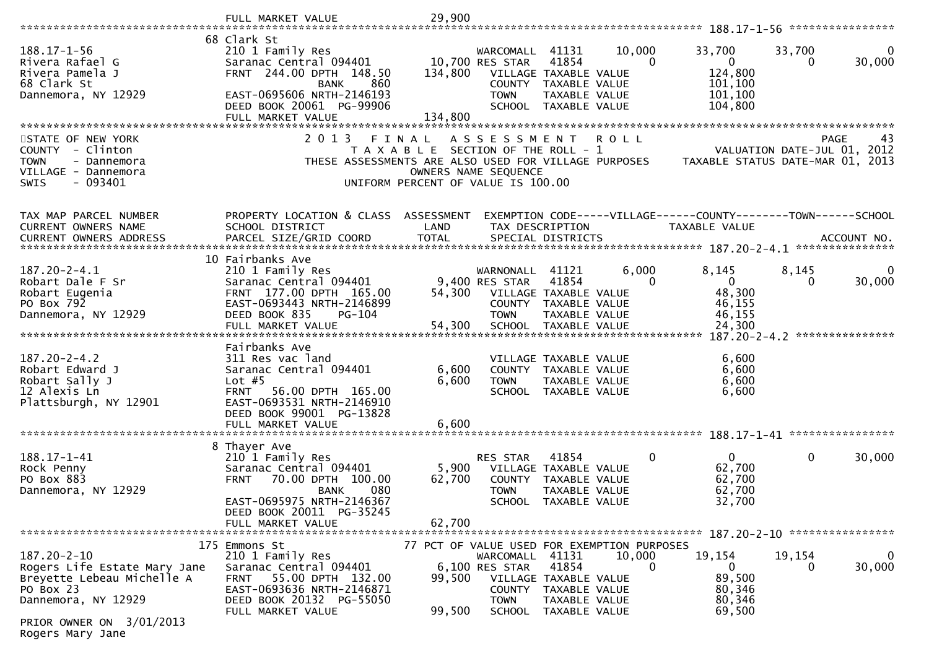|                                      | FULL MARKET VALUE                                     |        | 29,900                                               |                                    |                                       |                    |                                                                |                             |                                |
|--------------------------------------|-------------------------------------------------------|--------|------------------------------------------------------|------------------------------------|---------------------------------------|--------------------|----------------------------------------------------------------|-----------------------------|--------------------------------|
|                                      | 68 Clark St                                           |        |                                                      |                                    |                                       |                    |                                                                |                             |                                |
| $188.17 - 1 - 56$<br>Rivera Rafael G | 210 1 Family Res<br>Saranac Central 094401            |        |                                                      | WARCOMALL 41131<br>10,700 RES STAR | 41854                                 | 10,000<br>$\Omega$ | 33,700<br>$\overline{0}$                                       | 33,700<br>0                 | 0<br>30,000                    |
| Rivera Pamela J                      | FRNT 244.00 DPTH 148.50                               |        | 134,800                                              |                                    | VILLAGE TAXABLE VALUE                 |                    | 124,800                                                        |                             |                                |
| 68 Clark St                          | <b>BANK</b>                                           | 860    |                                                      |                                    | COUNTY TAXABLE VALUE                  |                    | 101,100                                                        |                             |                                |
| Dannemora, NY 12929                  | EAST-0695606 NRTH-2146193                             |        |                                                      | <b>TOWN</b>                        | TAXABLE VALUE                         |                    | 101,100                                                        |                             |                                |
|                                      | DEED BOOK 20061 PG-99906<br>FULL MARKET VALUE         |        | 134,800                                              |                                    | SCHOOL TAXABLE VALUE                  |                    | 104,800                                                        |                             |                                |
|                                      |                                                       |        |                                                      |                                    |                                       |                    |                                                                |                             |                                |
| STATE OF NEW YORK                    | 2 0 1 3                                               | FINAL  |                                                      | A S S E S S M E N T                |                                       | <b>ROLL</b>        |                                                                |                             | 43<br><b>PAGE</b>              |
| COUNTY - Clinton                     |                                                       |        | T A X A B L E SECTION OF THE ROLL - 1                |                                    |                                       |                    |                                                                | VALUATION DATE-JUL 01, 2012 |                                |
| <b>TOWN</b><br>- Dannemora           |                                                       |        | THESE ASSESSMENTS ARE ALSO USED FOR VILLAGE PURPOSES |                                    |                                       |                    | TAXABLE STATUS DATE-MAR 01, 2013                               |                             |                                |
| VILLAGE - Dannemora                  |                                                       |        |                                                      | OWNERS NAME SEQUENCE               |                                       |                    |                                                                |                             |                                |
| $-093401$<br>SWIS                    |                                                       |        | UNIFORM PERCENT OF VALUE IS 100.00                   |                                    |                                       |                    |                                                                |                             |                                |
|                                      |                                                       |        |                                                      |                                    |                                       |                    |                                                                |                             |                                |
| TAX MAP PARCEL NUMBER                | PROPERTY LOCATION & CLASS ASSESSMENT                  |        |                                                      |                                    |                                       |                    | EXEMPTION CODE-----VILLAGE------COUNTY--------TOWN------SCHOOL |                             |                                |
| CURRENT OWNERS NAME                  | SCHOOL DISTRICT                                       |        | LAND                                                 |                                    | TAX DESCRIPTION                       |                    | TAXABLE VALUE                                                  |                             |                                |
|                                      |                                                       |        |                                                      |                                    |                                       |                    |                                                                |                             | ACCOUNT NO.<br>*************** |
|                                      | 10 Fairbanks Ave                                      |        |                                                      |                                    |                                       |                    |                                                                |                             |                                |
| 187.20-2-4.1                         | 210 1 Family Res                                      |        |                                                      | WARNONALL                          | 41121                                 | 6,000              | 8,145                                                          | 8,145                       | $\Omega$                       |
| Robart Dale F Sr                     | Saranac Central 094401                                |        |                                                      | 9,400 RES STAR                     | 41854                                 | 0                  | $\overline{0}$                                                 | 0                           | 30,000                         |
| Robart Eugenia                       | FRNT 177.00 DPTH 165.00                               |        | 54,300                                               |                                    | VILLAGE TAXABLE VALUE                 |                    | 48,300                                                         |                             |                                |
| PO Box 792                           | EAST-0693443 NRTH-2146899                             |        |                                                      |                                    | COUNTY TAXABLE VALUE                  |                    | 46,155                                                         |                             |                                |
| Dannemora, NY 12929                  | DEED BOOK 835                                         | PG-104 |                                                      | <b>TOWN</b>                        | TAXABLE VALUE                         |                    | 46,155                                                         |                             |                                |
|                                      | FULL MARKET VALUE                                     |        | 54,300                                               |                                    | SCHOOL TAXABLE VALUE                  |                    | 24,300                                                         |                             |                                |
|                                      | Fairbanks Ave                                         |        |                                                      |                                    |                                       |                    |                                                                |                             |                                |
| $187.20 - 2 - 4.2$                   | 311 Res vac land                                      |        |                                                      |                                    | VILLAGE TAXABLE VALUE                 |                    | 6,600                                                          |                             |                                |
| Robart Edward J                      | Saranac Central 094401                                |        | 6,600                                                |                                    | COUNTY TAXABLE VALUE                  |                    | 6,600                                                          |                             |                                |
| Robart Sally J                       | Lot $#5$                                              |        | 6,600                                                | <b>TOWN</b>                        | TAXABLE VALUE                         |                    | 6,600                                                          |                             |                                |
| 12 Alexis Ln                         | <b>FRNT</b><br>56.00 DPTH 165.00                      |        |                                                      |                                    | SCHOOL TAXABLE VALUE                  |                    | 6,600                                                          |                             |                                |
| Plattsburgh, NY 12901                | EAST-0693531 NRTH-2146910                             |        |                                                      |                                    |                                       |                    |                                                                |                             |                                |
|                                      | DEED BOOK 99001 PG-13828                              |        |                                                      |                                    |                                       |                    |                                                                |                             |                                |
|                                      | FULL MARKET VALUE                                     |        | 6.600                                                |                                    |                                       |                    |                                                                |                             |                                |
|                                      | 8 Thayer Ave                                          |        |                                                      |                                    |                                       |                    |                                                                |                             |                                |
| $188.17 - 1 - 41$                    | 210 1 Family Res                                      |        |                                                      | <b>RES STAR</b>                    | 41854                                 | 0                  | $\mathbf{0}$                                                   | $\mathbf 0$                 | 30,000                         |
| Rock Penny                           | Saranac Central 094401                                |        | 5,900                                                |                                    | VILLAGE TAXABLE VALUE                 |                    | 62,700                                                         |                             |                                |
| PO Box 883                           | 70.00 DPTH 100.00<br><b>FRNT</b>                      |        | 62,700                                               | <b>COUNTY</b>                      | TAXABLE VALUE                         |                    | 62,700                                                         |                             |                                |
| Dannemora, NY 12929                  | <b>BANK</b>                                           | 080    |                                                      | <b>TOWN</b>                        | TAXABLE VALUE                         |                    | 62,700                                                         |                             |                                |
|                                      | EAST-0695975 NRTH-2146367                             |        |                                                      |                                    | SCHOOL TAXABLE VALUE                  |                    | 32,700                                                         |                             |                                |
|                                      | DEED BOOK 20011 PG-35245<br>FULL MARKET VALUE         |        | 62,700                                               |                                    |                                       |                    |                                                                |                             |                                |
|                                      |                                                       |        |                                                      |                                    |                                       |                    |                                                                |                             |                                |
|                                      | 175 Emmons St                                         |        | 77 PCT OF VALUE USED FOR EXEMPTION PURPOSES          |                                    |                                       |                    |                                                                |                             |                                |
| $187.20 - 2 - 10$                    | 210 1 Family Res                                      |        |                                                      | WARCOMALL 41131                    |                                       | 10,000             | 19,154                                                         | 19,154                      | $\mathbf 0$                    |
| Rogers Life Estate Mary Jane         | Saranac Central 094401                                |        |                                                      | 6,100 RES STAR                     | 41854                                 | 0                  | $\overline{0}$                                                 | 0                           | 30,000                         |
| Breyette Lebeau Michelle A           | 55.00 DPTH 132.00<br><b>FRNT</b>                      |        | 99,500                                               |                                    | VILLAGE TAXABLE VALUE                 |                    | 89,500                                                         |                             |                                |
| PO Box 23<br>Dannemora, NY 12929     | EAST-0693636 NRTH-2146871<br>DEED BOOK 20132 PG-55050 |        |                                                      | <b>TOWN</b>                        | COUNTY TAXABLE VALUE<br>TAXABLE VALUE |                    | 80,346<br>80,346                                               |                             |                                |
|                                      | FULL MARKET VALUE                                     |        | 99,500                                               |                                    | SCHOOL TAXABLE VALUE                  |                    | 69,500                                                         |                             |                                |
| PRIOR OWNER ON 3/01/2013             |                                                       |        |                                                      |                                    |                                       |                    |                                                                |                             |                                |
| Rogers Mary Jane                     |                                                       |        |                                                      |                                    |                                       |                    |                                                                |                             |                                |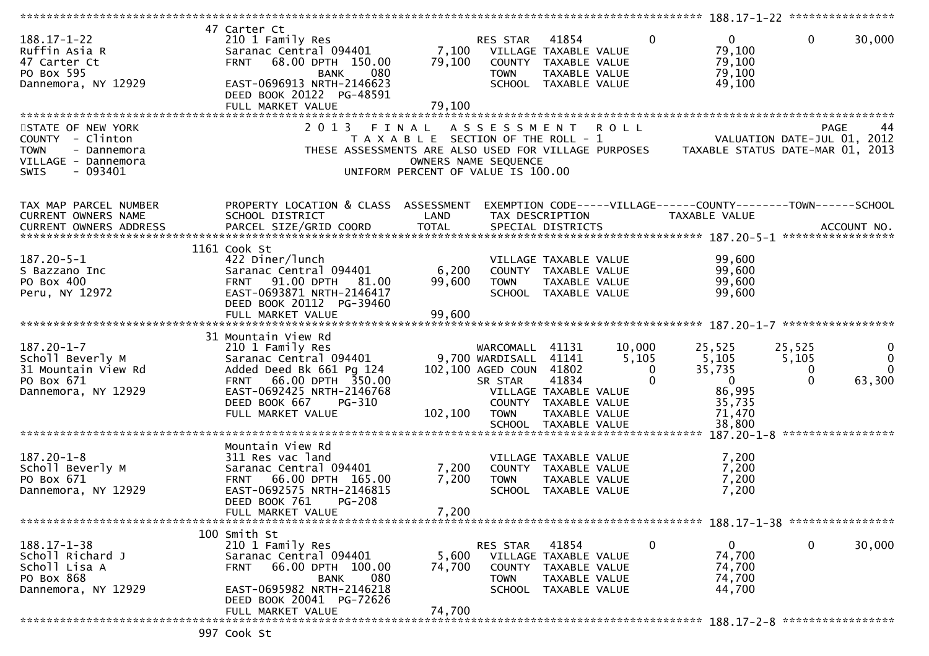|                                                                                                                        |                                                                                                                                                                                                    |                                                                                                              |                                                                                         |                                                                                                          |                                             |                                                                                                                      | 188.17-1-22 *****************    |                                                |
|------------------------------------------------------------------------------------------------------------------------|----------------------------------------------------------------------------------------------------------------------------------------------------------------------------------------------------|--------------------------------------------------------------------------------------------------------------|-----------------------------------------------------------------------------------------|----------------------------------------------------------------------------------------------------------|---------------------------------------------|----------------------------------------------------------------------------------------------------------------------|----------------------------------|------------------------------------------------|
| $188.17 - 1 - 22$<br>Ruffin Asia R<br>47 Carter Ct<br>PO Box 595<br>Dannemora, NY 12929                                | 47 Carter Ct<br>210 1 Family Res<br>Saranac Central 094401<br>68.00 DPTH 150.00<br><b>FRNT</b><br>080<br><b>BANK</b><br>EAST-0696913 NRTH-2146623<br>DEED BOOK 20122 PG-48591<br>FULL MARKET VALUE | 7,100<br>79,100<br>79,100                                                                                    | RES STAR<br><b>TOWN</b>                                                                 | 41854<br>VILLAGE TAXABLE VALUE<br>COUNTY TAXABLE VALUE<br>TAXABLE VALUE<br>SCHOOL TAXABLE VALUE          | $\Omega$                                    | $\mathbf{0}$<br>79,100<br>79,100<br>79,100<br>49,100                                                                 | $\mathbf{0}$                     | 30,000                                         |
|                                                                                                                        |                                                                                                                                                                                                    |                                                                                                              |                                                                                         |                                                                                                          |                                             |                                                                                                                      |                                  |                                                |
| STATE OF NEW YORK<br>COUNTY - Clinton<br><b>TOWN</b><br>- Dannemora<br>VILLAGE - Dannemora<br>$-093401$<br><b>SWIS</b> | 2 0 1 3                                                                                                                                                                                            | FINAL<br>T A X A B L E SECTION OF THE ROLL - 1<br>OWNERS NAME SEQUENCE<br>UNIFORM PERCENT OF VALUE IS 100.00 | A S S E S S M E N T                                                                     |                                                                                                          | <b>ROLL</b>                                 | VALUATION DATE-JUL 01, 2012<br>THESE ASSESSMENTS ARE ALSO USED FOR VILLAGE PURPOSES TAXABLE STATUS DATE-MAR 01, 2013 | <b>PAGE</b>                      | 44                                             |
| TAX MAP PARCEL NUMBER<br>CURRENT OWNERS NAME                                                                           | PROPERTY LOCATION & CLASS ASSESSMENT<br>SCHOOL DISTRICT                                                                                                                                            | LAND                                                                                                         |                                                                                         | TAX DESCRIPTION                                                                                          |                                             | EXEMPTION CODE-----VILLAGE------COUNTY--------TOWN------SCHOOL<br>TAXABLE VALUE                                      |                                  |                                                |
|                                                                                                                        |                                                                                                                                                                                                    |                                                                                                              |                                                                                         |                                                                                                          |                                             |                                                                                                                      |                                  |                                                |
| 187.20-5-1<br>S Bazzano Inc<br>PO Box 400<br>Peru, NY 12972                                                            | 1161 Cook St<br>422 Diner/lunch<br>Saranac Central 094401<br>FRNT 91.00 DPTH 81.00<br>EAST-0693871 NRTH-2146417<br>DEED BOOK 20112 PG-39460<br>FULL MARKET VALUE                                   | 6,200<br>99,600<br>99,600                                                                                    | <b>TOWN</b>                                                                             | VILLAGE TAXABLE VALUE<br>COUNTY TAXABLE VALUE<br>TAXABLE VALUE<br>SCHOOL TAXABLE VALUE                   |                                             | 99,600<br>99,600<br>99,600<br>99,600                                                                                 |                                  |                                                |
|                                                                                                                        | 31 Mountain View Rd                                                                                                                                                                                |                                                                                                              |                                                                                         |                                                                                                          |                                             |                                                                                                                      |                                  |                                                |
| $187.20 - 1 - 7$<br>Scholl Beverly M<br>31 Mountain View Rd<br>PO Box 671<br>Dannemora, NY 12929                       | 210 1 Family Res<br>Saranac Central 094401<br>Added Deed Bk 661 Pg 124<br>66.00 DPTH 350.00<br><b>FRNT</b><br>EAST-0692425 NRTH-2146768<br>DEED BOOK 667<br>PG-310<br>FULL MARKET VALUE            | 102,100                                                                                                      | WARCOMALL 41131<br>9,700 WARDISALL<br>102,100 AGED COUN 41802<br>SR STAR<br><b>TOWN</b> | 41141<br>41834<br>VILLAGE TAXABLE VALUE<br>COUNTY TAXABLE VALUE<br>TAXABLE VALUE<br>SCHOOL TAXABLE VALUE | 10,000<br>5,105<br>$\mathbf{0}$<br>$\Omega$ | 25,525<br>5,105<br>35,735<br>$\mathbf{0}$<br>86,995<br>35,735<br>71,470<br>38,800                                    | 25,525<br>5,105<br>0<br>$\Omega$ | $\bf{0}$<br>$\mathbf{0}$<br>$\Omega$<br>63,300 |
|                                                                                                                        |                                                                                                                                                                                                    |                                                                                                              |                                                                                         |                                                                                                          |                                             |                                                                                                                      | 187.20-1-8 ******************    |                                                |
| $187.20 - 1 - 8$<br>Scholl Beverly M<br>PO Box 671<br>Dannemora, NY 12929                                              | Mountain View Rd<br>311 Res vac land<br>Saranac Central 094401<br><b>FRNT</b><br>66.00 DPTH 165.00<br>EAST-0692575 NRTH-2146815<br>DEED BOOK 761<br><b>PG-208</b>                                  | 7,200<br>7,200                                                                                               | <b>TOWN</b>                                                                             | VILLAGE TAXABLE VALUE<br>COUNTY TAXABLE VALUE<br>TAXABLE VALUE<br>SCHOOL TAXABLE VALUE                   |                                             | 7,200<br>7,200<br>7,200<br>7,200                                                                                     |                                  |                                                |
|                                                                                                                        | FULL MARKET VALUE                                                                                                                                                                                  | 7,200                                                                                                        |                                                                                         |                                                                                                          |                                             |                                                                                                                      |                                  |                                                |
| $188.17 - 1 - 38$<br>Scholl Richard J<br>Scholl Lisa A<br>PO Box 868<br>Dannemora, NY 12929                            | 100 Smith St<br>210 1 Family Res<br>Saranac Central 094401<br>66.00 DPTH 100.00<br>FRNT<br>080<br>BANK<br>EAST-0695982 NRTH-2146218<br>DEED BOOK 20041 PG-72626                                    | 5,600<br>74,700                                                                                              | RES STAR<br><b>TOWN</b>                                                                 | 41854<br>VILLAGE TAXABLE VALUE<br>COUNTY TAXABLE VALUE<br>TAXABLE VALUE<br>SCHOOL TAXABLE VALUE          | 0                                           | $\mathbf{0}$<br>74,700<br>74,700<br>74,700<br>44,700                                                                 | $\mathbf 0$                      | 30,000                                         |
|                                                                                                                        | FULL MARKET VALUE                                                                                                                                                                                  | 74,700                                                                                                       |                                                                                         |                                                                                                          |                                             |                                                                                                                      |                                  |                                                |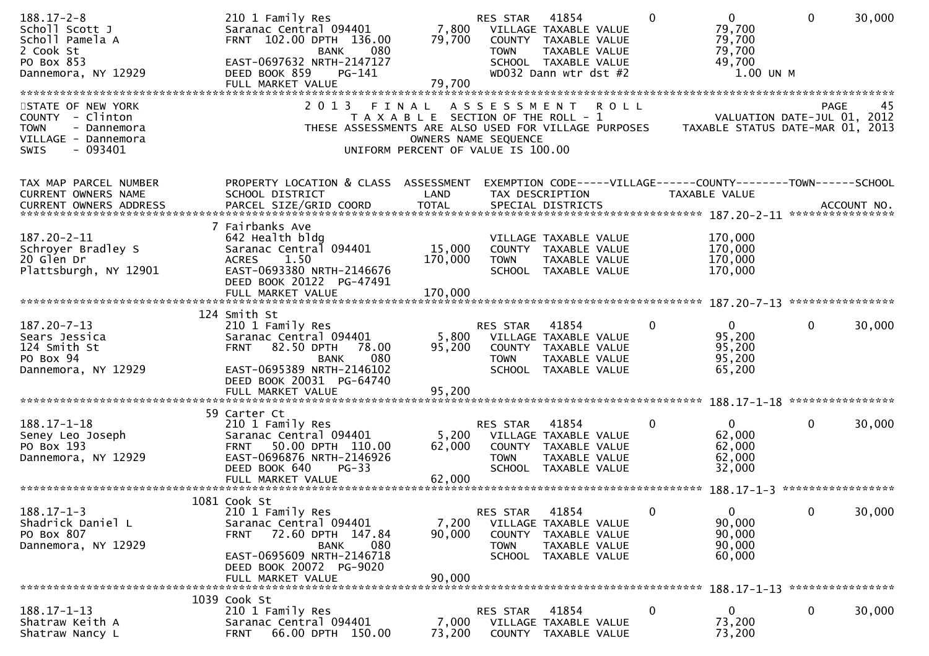| $188.17 - 2 - 8$<br>Scholl Scott J<br>Scholl Pamela A<br>2 Cook St<br>PO Box 853<br>Dannemora, NY 12929                | 210 1 Family Res<br>Saranac Central 094401<br>FRNT 102.00 DPTH 136.00<br>080<br><b>BANK</b><br>EAST-0697632 NRTH-2147127<br>DEED BOOK 859<br>$PG-141$<br>FULL MARKET VALUE                        | 7,800<br>79,700<br>79,700                                                                                    | RES STAR<br><b>TOWN</b>                            | 41854<br>VILLAGE TAXABLE VALUE<br>COUNTY TAXABLE VALUE<br>TAXABLE VALUE<br>SCHOOL TAXABLE VALUE<br>WD032 Dann wtr dst #2 | $\Omega$    | $\mathbf 0$<br>79,700<br>79,700<br>79,700<br>49,700<br>1.00 UN M                | $\mathbf 0$       | 30,000 |
|------------------------------------------------------------------------------------------------------------------------|---------------------------------------------------------------------------------------------------------------------------------------------------------------------------------------------------|--------------------------------------------------------------------------------------------------------------|----------------------------------------------------|--------------------------------------------------------------------------------------------------------------------------|-------------|---------------------------------------------------------------------------------|-------------------|--------|
| STATE OF NEW YORK<br>COUNTY - Clinton<br><b>TOWN</b><br>- Dannemora<br>VILLAGE - Dannemora<br>$-093401$<br><b>SWIS</b> | 2 0 1 3<br>THESE ASSESSMENTS ARE ALSO USED FOR VILLAGE PURPOSES                                                                                                                                   | FINAL<br>T A X A B L E SECTION OF THE ROLL - 1<br>OWNERS NAME SEQUENCE<br>UNIFORM PERCENT OF VALUE IS 100.00 |                                                    | ASSESSMENT ROLL                                                                                                          |             | VALUATION DATE-JUL 01, 2012<br>TAXABLE STATUS DATE-MAR 01, 2013                 | <b>PAGE</b>       | 45     |
| TAX MAP PARCEL NUMBER<br>CURRENT OWNERS NAME                                                                           | PROPERTY LOCATION & CLASS ASSESSMENT<br>SCHOOL DISTRICT                                                                                                                                           | LAND                                                                                                         |                                                    | TAX DESCRIPTION                                                                                                          |             | EXEMPTION CODE-----VILLAGE------COUNTY--------TOWN------SCHOOL<br>TAXABLE VALUE |                   |        |
| 187.20-2-11<br>Schroyer Bradley S<br>20 Glen Dr<br>Plattsburgh, NY 12901                                               | 7 Fairbanks Ave<br>642 Health bldg<br>Saranac Central 094401<br>1.50<br><b>ACRES</b><br>EAST-0693380 NRTH-2146676<br>DEED BOOK 20122 PG-47491<br>FULL MARKET VALUE                                | 15,000<br>170,000<br>170,000                                                                                 | <b>TOWN</b>                                        | VILLAGE TAXABLE VALUE<br>COUNTY TAXABLE VALUE<br>TAXABLE VALUE<br>SCHOOL TAXABLE VALUE                                   |             | 170,000<br>170,000<br>170,000<br>170,000                                        |                   |        |
|                                                                                                                        | 124 Smith St                                                                                                                                                                                      |                                                                                                              |                                                    |                                                                                                                          |             |                                                                                 |                   |        |
| 187.20-7-13<br>Sears Jessica<br>124 Smith St<br>PO Box 94<br>Dannemora, NY 12929                                       | 210 1 Family Res<br>Saranac Central 094401<br>82.50 DPTH<br>78.00<br><b>FRNT</b><br>080<br>BANK<br>EAST-0695389 NRTH-2146102<br>DEED BOOK 20031 PG-64740<br>FULL MARKET VALUE                     | 5,800<br>95,200<br>95,200                                                                                    | RES STAR<br><b>TOWN</b>                            | 41854<br>VILLAGE TAXABLE VALUE<br>COUNTY TAXABLE VALUE<br>TAXABLE VALUE<br>SCHOOL TAXABLE VALUE                          | $\Omega$    | $\mathbf{0}$<br>95,200<br>95,200<br>95,200<br>65,200                            | 0                 | 30,000 |
|                                                                                                                        |                                                                                                                                                                                                   |                                                                                                              |                                                    |                                                                                                                          |             |                                                                                 |                   |        |
| $188.17 - 1 - 18$<br>Seney Leo Joseph<br>PO Box 193<br>Dannemora, NY 12929                                             | 59 Carter Ct<br>210 1 Family Res<br>Saranac Central 094401<br>50.00 DPTH 110.00<br><b>FRNT</b><br>EAST-0696876 NRTH-2146926<br>DEED BOOK 640<br>$PG-33$                                           | 5,200<br>62,000                                                                                              | RES STAR<br><b>TOWN</b><br><b>SCHOOL</b>           | 41854<br>VILLAGE TAXABLE VALUE<br>COUNTY TAXABLE VALUE<br>TAXABLE VALUE<br>TAXABLE VALUE                                 | $\mathbf 0$ | 0<br>62,000<br>62,000<br>62,000<br>32,000                                       | $\mathbf{0}$      | 30,000 |
|                                                                                                                        | FULL MARKET VALUE                                                                                                                                                                                 | 62,000                                                                                                       |                                                    |                                                                                                                          |             |                                                                                 | ***************** |        |
| $188.17 - 1 - 3$<br>Shadrick Daniel L<br>PO Box 807<br>Dannemora, NY 12929                                             | 1081 Cook St<br>210 1 Family Res<br>Saranac Central 094401<br>72.60 DPTH 147.84<br><b>FRNT</b><br>080<br><b>BANK</b><br>EAST-0695609 NRTH-2146718<br>DEED BOOK 20072 PG-9020<br>FULL MARKET VALUE | 7,200<br>90,000<br>90,000                                                                                    | RES STAR<br>COUNTY<br><b>TOWN</b><br><b>SCHOOL</b> | 41854<br>VILLAGE TAXABLE VALUE<br>TAXABLE VALUE<br>TAXABLE VALUE<br>TAXABLE VALUE                                        | $\mathbf 0$ | $\mathbf 0$<br>90,000<br>90,000<br>90,000<br>60,000                             | $\mathbf 0$       | 30,000 |
|                                                                                                                        | 1039 Cook St                                                                                                                                                                                      |                                                                                                              |                                                    |                                                                                                                          |             | $188.17 - 1 - 13$                                                               | ****************  |        |
| $188.17 - 1 - 13$<br>Shatraw Keith A<br>Shatraw Nancy L                                                                | 210 1 Family Res<br>Saranac Central 094401<br>66.00 DPTH 150.00<br><b>FRNT</b>                                                                                                                    | 7,000<br>73,200                                                                                              | RES STAR                                           | 41854<br>VILLAGE TAXABLE VALUE<br>COUNTY TAXABLE VALUE                                                                   | $\mathbf 0$ | 0<br>73,200<br>73,200                                                           | 0                 | 30,000 |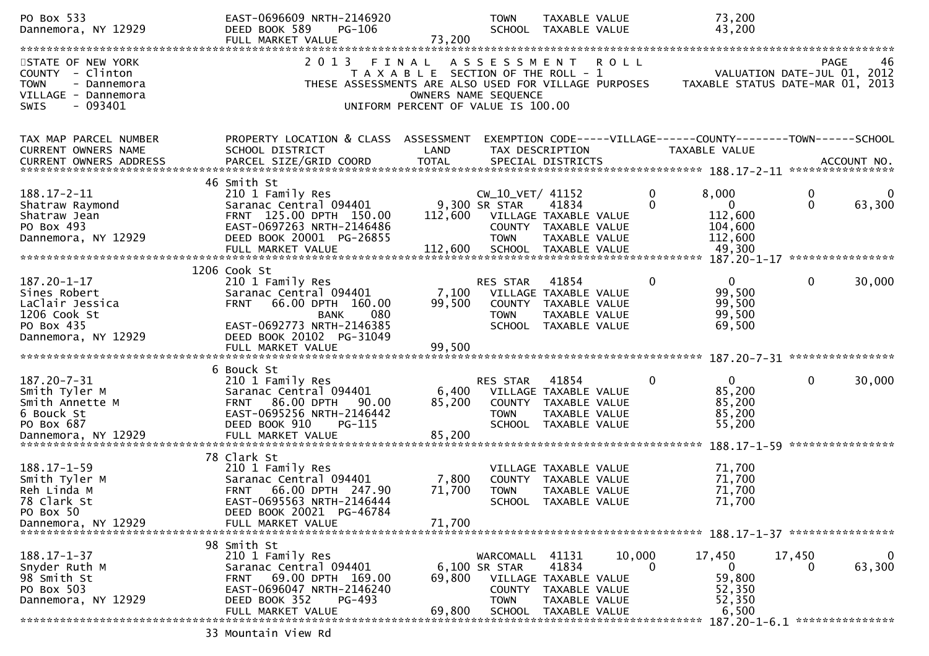| PO Box 533<br>Dannemora, NY 12929                                                                                      | EAST-0696609 NRTH-2146920<br>DEED BOOK 589<br>PG-106<br>FULL MARKET VALUE                                                                                                | 73,200                                                                                                       | <b>TOWN</b>                                             | TAXABLE VALUE<br>SCHOOL TAXABLE VALUE                                                           |                    | 73,200<br>43,200                                                                |               |                        |
|------------------------------------------------------------------------------------------------------------------------|--------------------------------------------------------------------------------------------------------------------------------------------------------------------------|--------------------------------------------------------------------------------------------------------------|---------------------------------------------------------|-------------------------------------------------------------------------------------------------|--------------------|---------------------------------------------------------------------------------|---------------|------------------------|
|                                                                                                                        |                                                                                                                                                                          |                                                                                                              |                                                         |                                                                                                 |                    |                                                                                 |               |                        |
| STATE OF NEW YORK<br>COUNTY - Clinton<br><b>TOWN</b><br>- Dannemora<br>VILLAGE - Dannemora<br>$-093401$<br><b>SWIS</b> | 2 0 1 3<br>THESE ASSESSMENTS ARE ALSO USED FOR VILLAGE PURPOSES                                                                                                          | FINAL<br>T A X A B L E SECTION OF THE ROLL - 1<br>OWNERS NAME SEQUENCE<br>UNIFORM PERCENT OF VALUE IS 100.00 | A S S E S S M E N T                                     |                                                                                                 | <b>ROLL</b>        | VALUATION DATE-JUL 01, 2012<br>TAXABLE STATUS DATE-MAR 01, 2013                 | PAGE          | 46                     |
| TAX MAP PARCEL NUMBER<br><b>CURRENT OWNERS NAME</b><br>CURRENT OWNERS ADDRESS                                          | PROPERTY LOCATION & CLASS ASSESSMENT<br>SCHOOL DISTRICT                                                                                                                  | LAND                                                                                                         |                                                         | TAX DESCRIPTION                                                                                 |                    | EXEMPTION CODE-----VILLAGE------COUNTY--------TOWN------SCHOOL<br>TAXABLE VALUE |               |                        |
|                                                                                                                        | 46 Smith St                                                                                                                                                              |                                                                                                              |                                                         |                                                                                                 |                    |                                                                                 |               |                        |
| $188.17 - 2 - 11$<br>Shatraw Raymond<br>Shatraw Jean<br>PO Box 493<br>Dannemora, NY 12929                              | 210 1 Family Res<br>Saranac Central 094401<br>FRNT 125.00 DPTH 150.00<br>EAST-0697263 NRTH-2146486<br>DEED BOOK 20001 PG-26855                                           | 112,600<br>112,600                                                                                           | CW_10_VET/ 41152<br>9,300 SR STAR<br><b>TOWN</b>        | 41834<br>VILLAGE TAXABLE VALUE<br>COUNTY TAXABLE VALUE<br>TAXABLE VALUE                         | 0<br>$\Omega$      | 8,000<br>$\overline{0}$<br>112,600<br>104,600<br>112,600                        | 0<br>$\Omega$ | 0<br>63,300            |
|                                                                                                                        | FULL MARKET VALUE                                                                                                                                                        |                                                                                                              |                                                         | SCHOOL TAXABLE VALUE                                                                            |                    | 49,300                                                                          |               |                        |
|                                                                                                                        |                                                                                                                                                                          |                                                                                                              |                                                         |                                                                                                 |                    |                                                                                 |               |                        |
| 187.20-1-17<br>Sines Robert<br>LaClair Jessica<br>1206 Cook St<br>PO Box 435                                           | 1206 Cook St<br>210 1 Family Res<br>Saranac Central 094401<br>66.00 DPTH 160.00<br><b>FRNT</b><br>080<br><b>BANK</b><br>EAST-0692773 NRTH-2146385                        | 7,100<br>99,500                                                                                              | <b>RES STAR</b><br>VILLAGE TAXABLE VALUE<br><b>TOWN</b> | 41854<br>COUNTY TAXABLE VALUE<br>TAXABLE VALUE<br>SCHOOL TAXABLE VALUE                          | $\mathbf{0}$       | $\overline{0}$<br>99,500<br>99,500<br>99,500<br>69,500                          | $\mathbf{0}$  | 30,000                 |
| Dannemora, NY 12929                                                                                                    | DEED BOOK 20102 PG-31049                                                                                                                                                 |                                                                                                              |                                                         |                                                                                                 |                    |                                                                                 |               |                        |
|                                                                                                                        |                                                                                                                                                                          |                                                                                                              |                                                         |                                                                                                 |                    |                                                                                 |               |                        |
| $187.20 - 7 - 31$<br>Smith Tyler M<br>Smith Annette M<br>6 Bouck St<br>PO Box 687<br>Dannemora, NY 12929               | 6 Bouck St<br>210 1 Family Res<br>Saranac Central 094401<br><b>FRNT 86.00 DPTH</b><br>90.00<br>EAST-0695256 NRTH-2146442<br>DEED BOOK 910<br>PG-115<br>FULL MARKET VALUE | 6,400<br>85,200<br>85,200                                                                                    | RES STAR<br><b>TOWN</b>                                 | 41854<br>VILLAGE TAXABLE VALUE<br>COUNTY TAXABLE VALUE<br>TAXABLE VALUE<br>SCHOOL TAXABLE VALUE | 0                  | $\Omega$<br>85,200<br>85,200<br>85,200<br>55,200                                | $\mathbf 0$   | 30,000                 |
|                                                                                                                        | 78 Clark St                                                                                                                                                              |                                                                                                              |                                                         |                                                                                                 |                    |                                                                                 |               |                        |
| $188.17 - 1 - 59$<br>Smith Tyler M<br>Reh Linda M<br>78 Clark St<br>PO Box 50                                          | 210 1 Family Res<br>Saranac Central 094401<br><b>FRNT</b><br>66.00 DPTH 247.90<br>EAST-0695563 NRTH-2146444<br>DEED BOOK 20021 PG-46784                                  | 7,800<br>71,700                                                                                              | <b>TOWN</b>                                             | VILLAGE TAXABLE VALUE<br>COUNTY TAXABLE VALUE<br>TAXABLE VALUE<br>SCHOOL TAXABLE VALUE          |                    | 71,700<br>71,700<br>71,700<br>71,700                                            |               |                        |
| Dannemora, NY 12929                                                                                                    | FULL MARKET VALUE                                                                                                                                                        | 71,700                                                                                                       |                                                         |                                                                                                 |                    |                                                                                 |               |                        |
| $188.17 - 1 - 37$                                                                                                      | 98 Smith St                                                                                                                                                              |                                                                                                              |                                                         |                                                                                                 |                    |                                                                                 |               |                        |
| Snyder Ruth M<br>98 Smith St<br>PO Box 503<br>Dannemora, NY 12929                                                      | 210 1 Family Res<br>Saranac Central 094401<br>FRNT 69.00 DPTH 169.00<br>EAST-0696047 NRTH-2146240<br>DEED BOOK 352<br>PG-493                                             | 69,800                                                                                                       | WARCOMALL<br>6,100 SR STAR<br><b>TOWN</b>               | 41131<br>41834<br>VILLAGE TAXABLE VALUE<br>COUNTY TAXABLE VALUE<br>TAXABLE VALUE                | 10,000<br>$\Omega$ | 17,450<br>$\bf{0}$<br>59,800<br>52,350<br>52,350                                | 17,450<br>0   | $\mathbf{0}$<br>63,300 |
|                                                                                                                        | FULL MARKET VALUE                                                                                                                                                        | 69,800                                                                                                       | <b>SCHOOL</b>                                           | TAXABLE VALUE                                                                                   |                    | 6,500                                                                           |               |                        |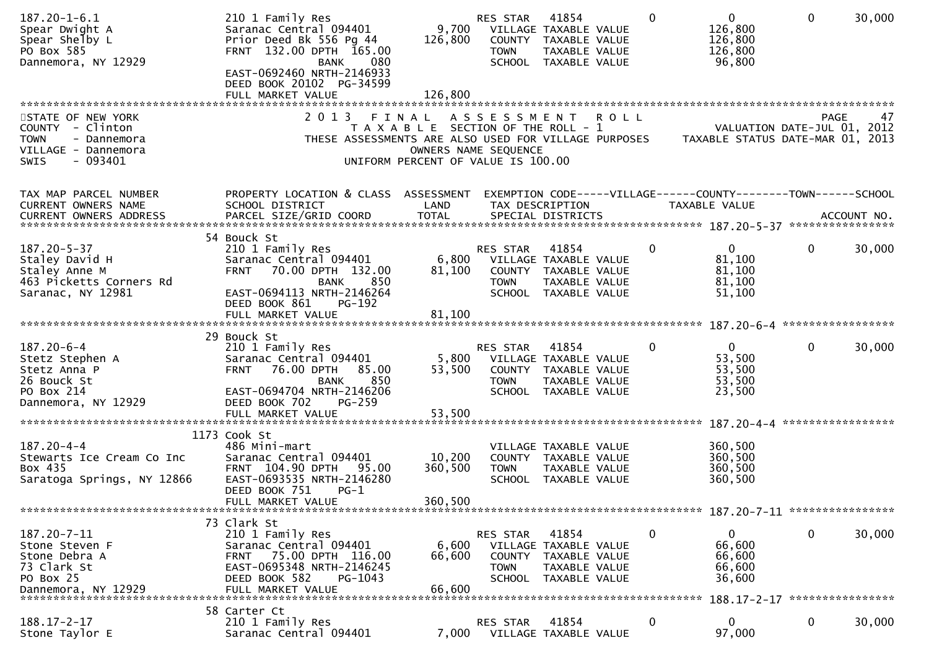| $187.20 - 1 - 6.1$<br>Spear Dwight A<br>Spear Shelby L<br>PO Box 585<br>Dannemora, NY 12929                            | 210 1 Family Res<br>Saranac Central 094401<br>Prior Deed Bk 556 Pg 44<br>FRNT 132.00 DPTH 165.00<br>080<br>BANK<br>EAST-0692460 NRTH-2146933<br>DEED BOOK 20102 PG-34599<br>FULL MARKET VALUE        | 9,700<br>126,800<br>126,800                                                          | RES STAR<br><b>TOWN</b>                                   | 41854<br>VILLAGE TAXABLE VALUE<br>COUNTY TAXABLE VALUE<br>TAXABLE VALUE<br>SCHOOL TAXABLE VALUE | $\mathbf{0}$ | $\overline{0}$<br>126,800<br>126,800<br>126,800<br>96,800                      | $\mathbf 0$       | 30,000 |
|------------------------------------------------------------------------------------------------------------------------|------------------------------------------------------------------------------------------------------------------------------------------------------------------------------------------------------|--------------------------------------------------------------------------------------|-----------------------------------------------------------|-------------------------------------------------------------------------------------------------|--------------|--------------------------------------------------------------------------------|-------------------|--------|
| STATE OF NEW YORK<br>COUNTY - Clinton<br><b>TOWN</b><br>- Dannemora<br>VILLAGE - Dannemora<br>$-093401$<br><b>SWIS</b> | 2 0 1 3<br>THESE ASSESSMENTS ARE ALSO USED FOR VILLAGE PURPOSES                                                                                                                                      | FINAL<br>T A X A B L E SECTION OF THE ROLL - 1<br>UNIFORM PERCENT OF VALUE IS 100.00 | A S S E S S M E N T R O L L<br>OWNERS NAME SEQUENCE       |                                                                                                 |              | VALUATION DATE-JUL 01, 2012<br>TAXABLE STATUS DATE-MAR 01, 2013                | <b>PAGE</b>       | 47     |
| TAX MAP PARCEL NUMBER<br>CURRENT OWNERS NAME                                                                           | PROPERTY LOCATION & CLASS ASSESSMENT<br>SCHOOL DISTRICT                                                                                                                                              | LAND                                                                                 |                                                           | TAX DESCRIPTION                                                                                 |              | EXEMPTION CODE-----VILLAGE------COUNTY-------TOWN------SCHOOL<br>TAXABLE VALUE |                   |        |
| $187.20 - 5 - 37$<br>Staley David H<br>Staley Anne M<br>463 Picketts Corners Rd<br>Saranac, NY 12981                   | 54 Bouck St<br>210 1 Family Res<br>Saranac Central 094401<br>70.00 DPTH 132.00<br><b>FRNT</b><br>850<br><b>BANK</b><br>EAST-0694113 NRTH-2146264<br>DEED BOOK 861<br>PG-192<br>FULL MARKET VALUE     | 6,800<br>81,100<br>81,100                                                            | RES STAR<br><b>TOWN</b>                                   | 41854<br>VILLAGE TAXABLE VALUE<br>COUNTY TAXABLE VALUE<br>TAXABLE VALUE<br>SCHOOL TAXABLE VALUE | $\mathbf{0}$ | $\mathbf{0}$<br>81,100<br>81,100<br>81,100<br>51,100                           | $\mathbf 0$       | 30,000 |
|                                                                                                                        |                                                                                                                                                                                                      |                                                                                      |                                                           |                                                                                                 |              |                                                                                |                   |        |
| $187.20 - 6 - 4$<br>Stetz Stephen A<br>Stetz Anna P<br>26 Bouck St<br>PO Box 214<br>Dannemora, NY 12929                | 29 Bouck St<br>210 1 Family Res<br>Saranac Central 094401<br><b>FRNT</b><br>76.00 DPTH<br>85.00<br>850<br><b>BANK</b><br>EAST-0694704 NRTH-2146206<br>DEED BOOK 702<br>$PG-259$<br>FULL MARKET VALUE | 5,800<br>53,500<br>53,500                                                            | RES STAR<br><b>TOWN</b>                                   | 41854<br>VILLAGE TAXABLE VALUE<br>COUNTY TAXABLE VALUE<br>TAXABLE VALUE<br>SCHOOL TAXABLE VALUE | $\Omega$     | $\mathbf{0}$<br>53,500<br>53,500<br>53,500<br>23,500                           | $\mathbf{0}$      | 30,000 |
|                                                                                                                        |                                                                                                                                                                                                      |                                                                                      |                                                           |                                                                                                 |              |                                                                                | ***************** |        |
| $187.20 - 4 - 4$<br>Stewarts Ice Cream Co Inc<br>Box 435<br>Saratoga Springs, NY 12866                                 | 1173 Cook St<br>486 Mini-mart<br>Saranac Central 094401<br>FRNT 104.90 DPTH<br>95.00<br>EAST-0693535 NRTH-2146280<br>DEED BOOK 751<br>PG-1<br>FULL MARKET VALUE                                      | 10,200<br>360,500<br>360,500                                                         | <b>TOWN</b>                                               | VILLAGE TAXABLE VALUE<br>COUNTY TAXABLE VALUE<br>TAXABLE VALUE<br>SCHOOL TAXABLE VALUE          |              | 360,500<br>360,500<br>360,500<br>360,500                                       |                   |        |
|                                                                                                                        |                                                                                                                                                                                                      |                                                                                      |                                                           |                                                                                                 |              |                                                                                |                   |        |
| 187.20-7-11<br>Stone Steven F<br>Stone Debra A<br>73 Clark St<br>PO Box 25<br>Dannemora, NY 12929                      | 73 Clark St<br>210 1 Family Res<br>Saranac Central 094401<br>75.00 DPTH 116.00<br><b>FRNT</b><br>EAST-0695348 NRTH-2146245<br>DEED BOOK 582<br>PG-1043<br>FULL MARKET VALUE                          | 6,600<br>66,600<br>66,600                                                            | RES STAR<br><b>COUNTY</b><br><b>TOWN</b><br><b>SCHOOL</b> | 41854<br>VILLAGE TAXABLE VALUE<br>TAXABLE VALUE<br>TAXABLE VALUE<br>TAXABLE VALUE               | 0            | 0<br>66,600<br>66,600<br>66,600<br>36,600                                      | 0                 | 30,000 |
|                                                                                                                        | 58 Carter Ct                                                                                                                                                                                         |                                                                                      |                                                           |                                                                                                 |              |                                                                                |                   |        |
| $188.17 - 2 - 17$<br>Stone Taylor E                                                                                    | 210 1 Family Res<br>Saranac Central 094401                                                                                                                                                           | 7,000                                                                                | <b>RES STAR</b>                                           | 41854<br>VILLAGE TAXABLE VALUE                                                                  | $\Omega$     | $\mathbf{0}$<br>97,000                                                         | $\mathbf{0}$      | 30,000 |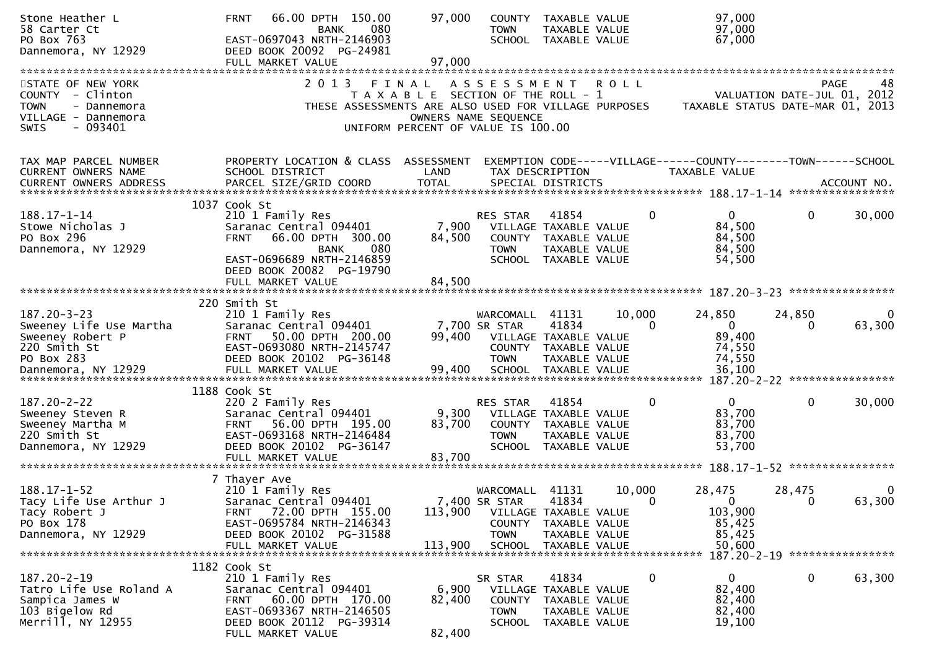| Stone Heather L<br>58 Carter Ct<br>PO Box 763<br>Dannemora, NY 12929                                                  | 66.00 DPTH 150.00<br><b>FRNT</b><br>080<br><b>BANK</b><br>EAST-0697043 NRTH-2146903<br>DEED BOOK 20092 PG-24981<br>FULL MARKET VALUE                                                        | 97,000<br>97,000                                                                     | COUNTY<br><b>TOWN</b>                                      | TAXABLE VALUE<br>TAXABLE VALUE<br>SCHOOL TAXABLE VALUE                                            |                        | 97,000<br>97,000<br>67,000                                                                       |                                     |             |
|-----------------------------------------------------------------------------------------------------------------------|---------------------------------------------------------------------------------------------------------------------------------------------------------------------------------------------|--------------------------------------------------------------------------------------|------------------------------------------------------------|---------------------------------------------------------------------------------------------------|------------------------|--------------------------------------------------------------------------------------------------|-------------------------------------|-------------|
| STATE OF NEW YORK<br>COUNTY - Clinton<br><b>TOWN</b><br>- Dannemora<br>VILLAGE - Dannemora<br>$-093401$<br>SWIS       | 2 0 1 3<br>THESE ASSESSMENTS ARE ALSO USED FOR VILLAGE PURPOSES                                                                                                                             | FINAL<br>T A X A B L E SECTION OF THE ROLL - 1<br>UNIFORM PERCENT OF VALUE IS 100.00 | A S S E S S M E N T<br>OWNERS NAME SEQUENCE                |                                                                                                   | <b>ROLL</b>            | TAXABLE STATUS DATE-MAR 01, 2013                                                                 | PAGE<br>VALUATION DATE-JUL 01, 2012 | 48          |
| TAX MAP PARCEL NUMBER<br>CURRENT OWNERS NAME                                                                          | PROPERTY LOCATION & CLASS ASSESSMENT<br>SCHOOL DISTRICT                                                                                                                                     | LAND                                                                                 | TAX DESCRIPTION                                            |                                                                                                   |                        | EXEMPTION CODE-----VILLAGE------COUNTY--------TOWN------SCHOOL<br><b>TAXABLE VALUE</b>           |                                     |             |
| $188.17 - 1 - 14$<br>Stowe Nicholas J<br>PO Box 296<br>Dannemora, NY 12929                                            | 1037 Cook St<br>210 1 Family Res<br>Saranac Central 094401<br>66.00 DPTH 300.00<br><b>FRNT</b><br>080<br>BANK<br>EAST-0696689 NRTH-2146859<br>DEED BOOK 20082 PG-19790<br>FULL MARKET VALUE | 7,900<br>84,500<br>84,500                                                            | RES STAR<br><b>TOWN</b>                                    | 41854<br>VILLAGE TAXABLE VALUE<br>COUNTY TAXABLE VALUE<br>TAXABLE VALUE<br>SCHOOL TAXABLE VALUE   | 0                      | $\overline{0}$<br>84,500<br>84,500<br>84,500<br>54,500                                           | $\mathbf{0}$<br>****************    | 30,000      |
| $187.20 - 3 - 23$<br>Sweeney Life Use Martha<br>Sweeney Robert P<br>220 Smith St<br>PO Box 283<br>Dannemora, NY 12929 | 220 Smith St<br>210 1 Family Res<br>Saranac Central 094401<br>50.00 DPTH 200.00<br>FRNT<br>EAST-0693080 NRTH-2145747<br>DEED BOOK 20102 PG-36148<br>FULL MARKET VALUE                       | 99,400<br>99,400                                                                     | WARCOMALL<br>7,700 SR STAR<br><b>TOWN</b><br><b>SCHOOL</b> | 41131<br>41834<br>VILLAGE TAXABLE VALUE<br>COUNTY TAXABLE VALUE<br>TAXABLE VALUE<br>TAXABLE VALUE | 10,000<br>$\Omega$     | 24,850<br>$\overline{0}$<br>89,400<br>74,550<br>74,550<br>36,100<br>$187.20 - 2 - 22$            | 24,850<br>0<br>****************     | 0<br>63,300 |
| $187.20 - 2 - 22$<br>Sweeney Steven R<br>Sweeney Martha M<br>220 Smith St<br>Dannemora, NY 12929                      | 1188 Cook St<br>220 2 Family Res<br>Saranac Central 094401<br>56.00 DPTH 195.00<br><b>FRNT</b><br>EAST-0693168 NRTH-2146484<br>DEED BOOK 20102 PG-36147                                     | 9,300<br>83,700                                                                      | RES STAR<br>COUNTY<br><b>TOWN</b><br><b>SCHOOL</b>         | 41854<br>VILLAGE TAXABLE VALUE<br>TAXABLE VALUE<br>TAXABLE VALUE<br>TAXABLE VALUE                 | 0                      | $\mathbf{0}$<br>83,700<br>83,700<br>83,700<br>53,700                                             | $\mathbf 0$                         | 30,000      |
| $188.17 - 1 - 52$<br>Tacy Life Use Arthur J<br>Tacy Robert J<br>PO Box 178<br>Dannemora, NY 12929                     | 7 Thayer Ave<br>210 1 Family Res<br>Saranac Central 094401<br>FRNT 72.00 DPTH 155.00<br>EAST-0695784 NRTH-2146343<br>DEED BOOK 20102 PG-31588<br>FULL MARKET VALUE                          | 113,900<br>113,900                                                                   | WARCOMALL<br>7,400 SR STAR<br>COUNTY<br><b>TOWN</b>        | 41131<br>41834<br>VILLAGE TAXABLE VALUE<br>TAXABLE VALUE<br>TAXABLE VALUE<br>SCHOOL TAXABLE VALUE | 10,000<br>$\mathbf{0}$ | 28,475<br>$\mathbf{0}$<br>103,900<br>85,425<br>85,425<br>50,600<br>187.20-2-19 ***************** | 28,475<br>0                         | 0<br>63,300 |
| $187.20 - 2 - 19$<br>Tatro Life Use Roland A<br>Sampica James W<br>103 Bigelow Rd<br>Merrill, NY 12955                | 1182 Cook St<br>210 1 Family Res<br>Saranac Central 094401<br>60.00 DPTH 170.00<br><b>FRNT</b><br>EAST-0693367 NRTH-2146505<br>DEED BOOK 20112 PG-39314<br>FULL MARKET VALUE                | 6,900<br>82,400<br>82,400                                                            | SR STAR<br>COUNTY<br><b>TOWN</b><br>SCHOOL                 | 41834<br>VILLAGE TAXABLE VALUE<br>TAXABLE VALUE<br>TAXABLE VALUE<br>TAXABLE VALUE                 | 0                      | $\mathbf{0}$<br>82,400<br>82,400<br>82,400<br>19,100                                             | $\mathbf 0$                         | 63,300      |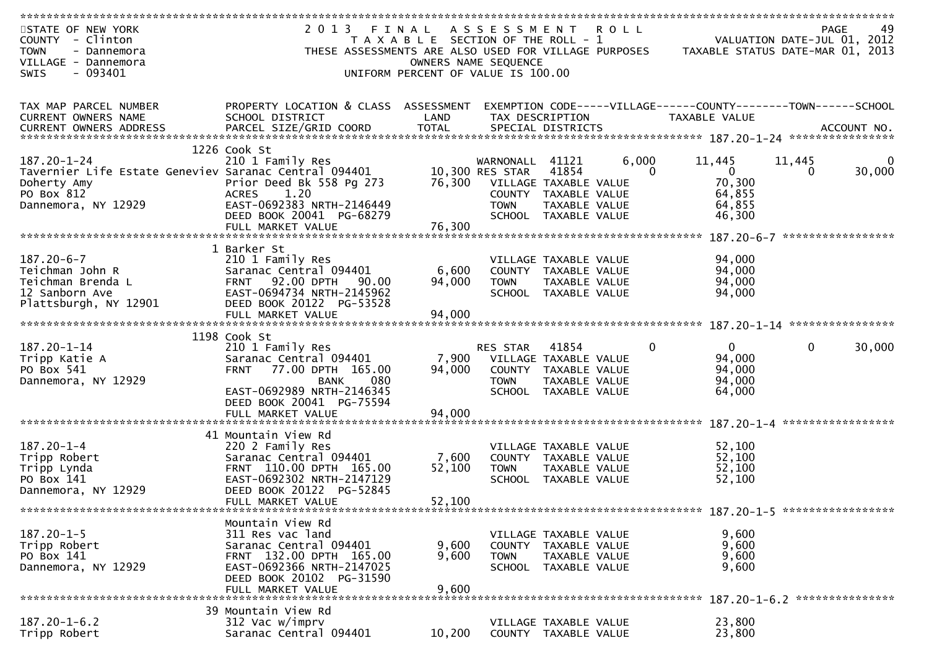| STATE OF NEW YORK<br>COUNTY - Clinton                 | 2 0 1 3                                               | FINAL<br>T A X A B L E SECTION OF THE ROLL - 1 | A S S E S S M E N T |                                               | <b>ROLL</b>  |                                                                | VALUATION DATE-JUL 01, 2012 | <b>PAGE</b><br>49 |
|-------------------------------------------------------|-------------------------------------------------------|------------------------------------------------|---------------------|-----------------------------------------------|--------------|----------------------------------------------------------------|-----------------------------|-------------------|
| <b>TOWN</b><br>- Dannemora<br>VILLAGE - Dannemora     | THESE ASSESSMENTS ARE ALSO USED FOR VILLAGE PURPOSES  | OWNERS NAME SEQUENCE                           |                     |                                               |              | TAXABLE STATUS DATE-MAR 01, 2013                               |                             |                   |
| $-093401$<br>SWIS                                     |                                                       | UNIFORM PERCENT OF VALUE IS 100.00             |                     |                                               |              |                                                                |                             |                   |
|                                                       |                                                       |                                                |                     |                                               |              |                                                                |                             |                   |
|                                                       |                                                       |                                                |                     |                                               |              |                                                                |                             |                   |
| TAX MAP PARCEL NUMBER                                 | PROPERTY LOCATION & CLASS ASSESSMENT                  |                                                |                     |                                               |              | EXEMPTION CODE-----VILLAGE------COUNTY--------TOWN------SCHOOL |                             |                   |
| <b>CURRENT OWNERS NAME</b>                            | SCHOOL DISTRICT                                       | LAND                                           |                     | TAX DESCRIPTION                               |              | TAXABLE VALUE                                                  |                             |                   |
|                                                       |                                                       |                                                |                     |                                               |              |                                                                |                             |                   |
|                                                       | 1226 Cook St                                          |                                                |                     |                                               |              |                                                                |                             |                   |
| $187.20 - 1 - 24$                                     | 210 1 Family Res                                      |                                                | WARNONALL           | 41121                                         | 6,000        | 11,445                                                         | 11,445                      |                   |
| Tavernier Life Estate Geneviev Saranac Central 094401 |                                                       |                                                | 10,300 RES STAR     | 41854                                         | $\mathbf{0}$ | $\mathbf{0}$                                                   | $\Omega$                    | 30,000            |
| Doherty Amy                                           | Prior Deed Bk 558 Pg 273                              | 76,300                                         |                     | VILLAGE TAXABLE VALUE                         |              | 70,300                                                         |                             |                   |
| PO Box 812                                            | 1.20<br><b>ACRES</b>                                  |                                                |                     | COUNTY TAXABLE VALUE                          |              | 64,855                                                         |                             |                   |
| Dannemora, NY 12929                                   | EAST-0692383 NRTH-2146449<br>DEED BOOK 20041 PG-68279 |                                                | <b>TOWN</b>         | TAXABLE VALUE                                 |              | 64,855                                                         |                             |                   |
|                                                       | FULL MARKET VALUE                                     | 76,300                                         | SCHOOL              | TAXABLE VALUE                                 |              | 46,300                                                         |                             |                   |
|                                                       |                                                       |                                                |                     |                                               |              |                                                                |                             |                   |
|                                                       | 1 Barker St                                           |                                                |                     |                                               |              |                                                                |                             |                   |
| $187.20 - 6 - 7$                                      | 210 1 Family Res                                      |                                                |                     | VILLAGE TAXABLE VALUE                         |              | 94,000                                                         |                             |                   |
| Teichman John R                                       | Saranac Central 094401                                | 6,600                                          |                     | COUNTY TAXABLE VALUE                          |              | 94,000                                                         |                             |                   |
| Teichman Brenda L                                     | <b>FRNT 92.00 DPTH</b><br>90.00                       | 94,000                                         | <b>TOWN</b>         | TAXABLE VALUE                                 |              | 94,000                                                         |                             |                   |
| 12 Sanborn Ave                                        | EAST-0694734 NRTH-2145962<br>DEED BOOK 20122 PG-53528 |                                                |                     | SCHOOL TAXABLE VALUE                          |              | 94,000                                                         |                             |                   |
| Plattsburgh, NY 12901                                 | FULL MARKET VALUE                                     | 94,000                                         |                     |                                               |              |                                                                |                             |                   |
|                                                       |                                                       |                                                |                     |                                               |              |                                                                |                             | ****************  |
|                                                       | 1198 Cook St                                          |                                                |                     |                                               |              |                                                                |                             |                   |
| 187.20-1-14                                           | 210 1 Family Res                                      |                                                | RES STAR            | 41854                                         | 0            | $\overline{0}$                                                 | $\mathbf 0$                 | 30,000            |
| Tripp Katie A                                         | Saranac Central 094401                                | 7,900                                          |                     | VILLAGE TAXABLE VALUE                         |              | 94,000                                                         |                             |                   |
| PO Box 541                                            | 77.00 DPTH 165.00<br><b>FRNT</b>                      | 94,000                                         |                     | COUNTY TAXABLE VALUE                          |              | 94,000                                                         |                             |                   |
| Dannemora, NY 12929                                   | 080<br><b>BANK</b><br>EAST-0692989 NRTH-2146345       |                                                | <b>TOWN</b>         | TAXABLE VALUE<br>SCHOOL TAXABLE VALUE         |              | 94,000<br>64,000                                               |                             |                   |
|                                                       | DEED BOOK 20041 PG-75594                              |                                                |                     |                                               |              |                                                                |                             |                   |
|                                                       | FULL MARKET VALUE                                     | 94,000                                         |                     |                                               |              |                                                                |                             |                   |
|                                                       |                                                       |                                                |                     |                                               |              |                                                                |                             | ***************** |
|                                                       | 41 Mountain View Rd                                   |                                                |                     |                                               |              |                                                                |                             |                   |
| $187.20 - 1 - 4$                                      | 220 2 Family Res                                      |                                                |                     | VILLAGE TAXABLE VALUE                         |              | 52,100                                                         |                             |                   |
| Tripp Robert                                          | Saranac Central 094401                                | 7,600                                          |                     | COUNTY TAXABLE VALUE                          |              | 52,100                                                         |                             |                   |
| Tripp Lynda<br>PO Box 141                             | FRNT 110.00 DPTH 165.00<br>EAST-0692302 NRTH-2147129  | 52,100                                         | <b>TOWN</b>         | <b>TAXABLE VALUE</b><br>SCHOOL TAXABLE VALUE  |              | 52,100<br>52,100                                               |                             |                   |
| Dannemora, NY 12929                                   | DEED BOOK 20122 PG-52845                              |                                                |                     |                                               |              |                                                                |                             |                   |
|                                                       | FULL MARKET VALUE                                     | 52,100                                         |                     |                                               |              |                                                                |                             |                   |
|                                                       |                                                       |                                                |                     |                                               |              |                                                                |                             |                   |
|                                                       | Mountain View Rd                                      |                                                |                     |                                               |              |                                                                |                             |                   |
| $187.20 - 1 - 5$                                      | 311 Res vac land                                      |                                                |                     | VILLAGE TAXABLE VALUE                         |              | 9,600                                                          |                             |                   |
| Tripp Robert<br>PO Box 141                            | Saranac Central 094401<br>FRNT 132.00 DPTH 165.00     | 9,600<br>9,600                                 | <b>TOWN</b>         | COUNTY TAXABLE VALUE<br>TAXABLE VALUE         |              | 9,600<br>9,600                                                 |                             |                   |
| Dannemora, NY 12929                                   | EAST-0692366 NRTH-2147025                             |                                                |                     | SCHOOL TAXABLE VALUE                          |              | 9,600                                                          |                             |                   |
|                                                       | DEED BOOK 20102 PG-31590                              |                                                |                     |                                               |              |                                                                |                             |                   |
|                                                       | FULL MARKET VALUE                                     | 9,600                                          |                     |                                               |              |                                                                |                             |                   |
|                                                       |                                                       |                                                |                     |                                               |              |                                                                |                             |                   |
|                                                       | 39 Mountain View Rd                                   |                                                |                     |                                               |              |                                                                |                             |                   |
| $187.20 - 1 - 6.2$<br>Tripp Robert                    | 312 Vac w/imprv<br>Saranac Central 094401             | 10,200                                         |                     | VILLAGE TAXABLE VALUE<br>COUNTY TAXABLE VALUE |              | 23,800<br>23,800                                               |                             |                   |
|                                                       |                                                       |                                                |                     |                                               |              |                                                                |                             |                   |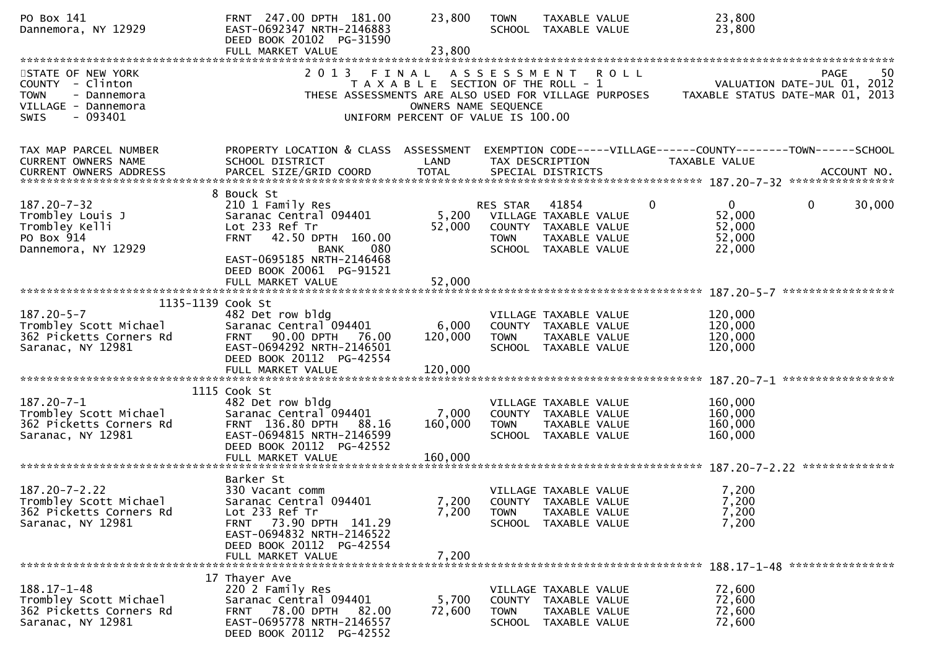| PO Box 141<br>Dannemora, NY 12929                                                                               | FRNT 247.00 DPTH 181.00<br>EAST-0692347 NRTH-2146883<br>DEED BOOK 20102 PG-31590                                                                                                    | 23,800                                                                                                       | <b>TOWN</b>                                            | TAXABLE VALUE<br>SCHOOL TAXABLE VALUE                                                  |              | 23,800<br>23,800                                                                                                     |                   |             |
|-----------------------------------------------------------------------------------------------------------------|-------------------------------------------------------------------------------------------------------------------------------------------------------------------------------------|--------------------------------------------------------------------------------------------------------------|--------------------------------------------------------|----------------------------------------------------------------------------------------|--------------|----------------------------------------------------------------------------------------------------------------------|-------------------|-------------|
|                                                                                                                 | FULL MARKET VALUE                                                                                                                                                                   | 23,800                                                                                                       |                                                        |                                                                                        |              |                                                                                                                      |                   |             |
| STATE OF NEW YORK<br>COUNTY - Clinton<br><b>TOWN</b><br>- Dannemora<br>VILLAGE - Dannemora<br>$-093401$<br>SWIS | 2 0 1 3                                                                                                                                                                             | FINAL<br>T A X A B L E SECTION OF THE ROLL - 1<br>OWNERS NAME SEQUENCE<br>UNIFORM PERCENT OF VALUE IS 100.00 | A S S E S S M E N T                                    |                                                                                        | <b>ROLL</b>  | VALUATION DATE-JUL 01, 2012<br>THESE ASSESSMENTS ARE ALSO USED FOR VILLAGE PURPOSES TAXABLE STATUS DATE-MAR 01, 2013 | PAGE              | 50          |
| TAX MAP PARCEL NUMBER<br>CURRENT OWNERS NAME<br>CURRENT OWNERS ADDRESS                                          | PROPERTY LOCATION & CLASS ASSESSMENT<br>SCHOOL DISTRICT<br>PARCEL SIZE/GRID COORD                                                                                                   | LAND<br><b>TOTAL</b>                                                                                         |                                                        | TAX DESCRIPTION<br>SPECIAL DISTRICTS                                                   |              | EXEMPTION CODE-----VILLAGE------COUNTY--------TOWN------SCHOOL<br><b>TAXABLE VALUE</b>                               |                   | ACCOUNT NO. |
| $187.20 - 7 - 32$<br>Trombley Louis J<br>Trombley Kelli<br>PO Box 914<br>Dannemora, NY 12929                    | 8 Bouck St<br>210 1 Family Res<br>Saranac Central 094401<br>Lot 233 Ref Tr<br>FRNT 42.50 DPTH 160.00<br><b>BANK</b><br>080<br>EAST-0695185 NRTH-2146468<br>DEED BOOK 20061 PG-91521 | 52,000                                                                                                       | RES STAR<br>5,200 VILLAGE TAXABLE VALUE<br><b>TOWN</b> | 41854<br>COUNTY TAXABLE VALUE<br>TAXABLE VALUE<br>SCHOOL TAXABLE VALUE                 | $\mathbf{0}$ | $\Omega$<br>52,000<br>52,000<br>52,000<br>22,000                                                                     | $\mathbf{0}$      | 30,000      |
|                                                                                                                 |                                                                                                                                                                                     |                                                                                                              |                                                        |                                                                                        |              |                                                                                                                      | ***************** |             |
| 1135-1139 Cook St<br>$187.20 - 5 - 7$<br>Trombley Scott Michael<br>362 Picketts Corners Rd<br>Saranac, NY 12981 | 482 Det row bldg<br>Saranac Central 094401<br>90.00 DPTH 76.00<br><b>FRNT</b><br>EAST-0694292 NRTH-2146501                                                                          | 6,000<br>120,000                                                                                             | <b>TOWN</b>                                            | VILLAGE TAXABLE VALUE<br>COUNTY TAXABLE VALUE<br>TAXABLE VALUE<br>SCHOOL TAXABLE VALUE |              | 120,000<br>120,000<br>120,000<br>120,000                                                                             |                   |             |
|                                                                                                                 | DEED BOOK 20112 PG-42554<br>FULL MARKET VALUE                                                                                                                                       | 120,000                                                                                                      |                                                        |                                                                                        |              |                                                                                                                      |                   |             |
| $187.20 - 7 - 1$<br>Trombley Scott Michael<br>362 Picketts Corners Rd<br>Saranac, NY 12981                      | 1115 Cook St<br>482 Det row bldg<br>Saranac Central 094401<br>FRNT 136.80 DPTH 88.16<br>EAST-0694815 NRTH-2146599<br>DEED BOOK 20112 PG-42552                                       | 7,000<br>160,000                                                                                             | <b>TOWN</b>                                            | VILLAGE TAXABLE VALUE<br>COUNTY TAXABLE VALUE<br>TAXABLE VALUE<br>SCHOOL TAXABLE VALUE |              | 160,000<br>160,000<br>160,000<br>160,000                                                                             |                   |             |
|                                                                                                                 | Barker St                                                                                                                                                                           |                                                                                                              |                                                        |                                                                                        |              |                                                                                                                      |                   |             |
| $187.20 - 7 - 2.22$<br>Trombley Scott Michael<br>362 Picketts Corners Rd<br>Saranac, NY 12981                   | 330 Vacant comm<br>Saranac Central 094401<br>Lot 233 Ref Tr<br>73.90 DPTH 141.29<br><b>FRNT</b><br>EAST-0694832 NRTH-2146522<br>DEED BOOK 20112 PG-42554                            | 7,200<br>7,200                                                                                               | <b>TOWN</b><br><b>SCHOOL</b>                           | VILLAGE TAXABLE VALUE<br>COUNTY TAXABLE VALUE<br>TAXABLE VALUE<br>TAXABLE VALUE        |              | 7,200<br>7,200<br>7,200<br>7,200                                                                                     |                   |             |
|                                                                                                                 | FULL MARKET VALUE                                                                                                                                                                   | 7,200                                                                                                        |                                                        |                                                                                        |              |                                                                                                                      |                   |             |
| $188.17 - 1 - 48$<br>Trombley Scott Michael<br>362 Picketts Corners Rd<br>Saranac, NY 12981                     | 17 Thayer Ave<br>220 2 Family Res<br>Saranac Central 094401<br>78.00 DPTH 82.00<br><b>FRNT</b><br>EAST-0695778 NRTH-2146557<br>DEED BOOK 20112 PG-42552                             | 5,700<br>72,600                                                                                              | <b>TOWN</b>                                            | VILLAGE TAXABLE VALUE<br>COUNTY TAXABLE VALUE<br>TAXABLE VALUE<br>SCHOOL TAXABLE VALUE |              | 72,600<br>72,600<br>72,600<br>72,600                                                                                 |                   |             |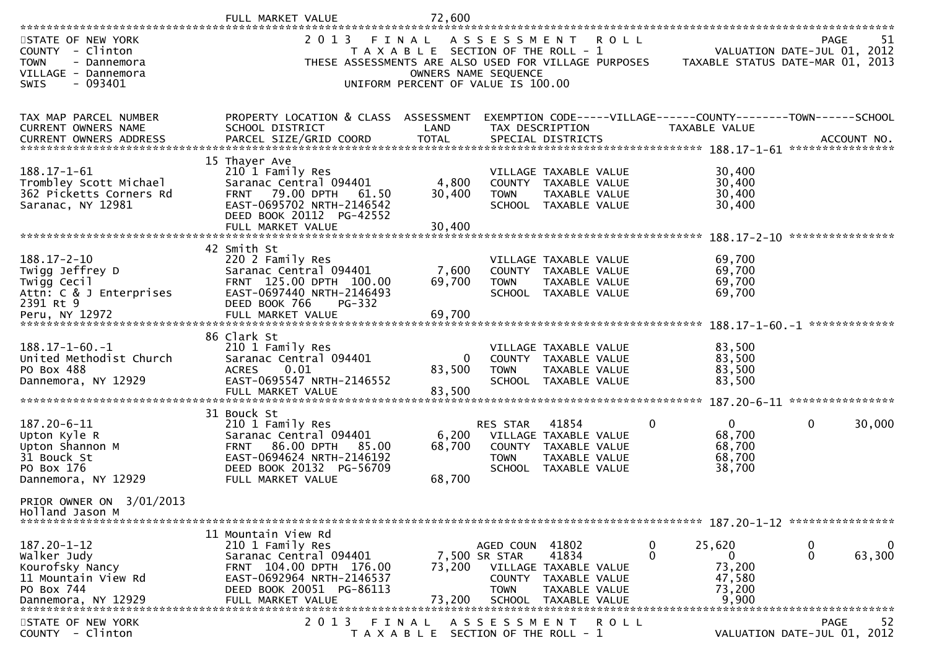|                                                                                                                       | FULL MARKET VALUE                                                                                                                                                             | 72,600                             |                                                                                                                                                            |                                |                                                                                 |                                                                               |
|-----------------------------------------------------------------------------------------------------------------------|-------------------------------------------------------------------------------------------------------------------------------------------------------------------------------|------------------------------------|------------------------------------------------------------------------------------------------------------------------------------------------------------|--------------------------------|---------------------------------------------------------------------------------|-------------------------------------------------------------------------------|
| STATE OF NEW YORK<br>COUNTY - Clinton<br><b>TOWN</b><br>- Dannemora<br>VILLAGE - Dannemora<br><b>SWIS</b><br>- 093401 | 2 0 1 3                                                                                                                                                                       | FINAL<br>OWNERS NAME SEQUENCE      | A S S E S S M E N T<br>T A X A B L E SECTION OF THE ROLL - 1<br>THESE ASSESSMENTS ARE ALSO USED FOR VILLAGE PURPOSES<br>UNIFORM PERCENT OF VALUE IS 100.00 | <b>ROLL</b>                    |                                                                                 | 51<br>PAGE<br>VALUATION DATE-JUL 01, 2012<br>TAXABLE STATUS DATE-MAR 01, 2013 |
| TAX MAP PARCEL NUMBER<br>CURRENT OWNERS NAME                                                                          | PROPERTY LOCATION & CLASS ASSESSMENT<br>SCHOOL DISTRICT                                                                                                                       | LAND                               | TAX DESCRIPTION                                                                                                                                            |                                | EXEMPTION CODE-----VILLAGE------COUNTY--------TOWN------SCHOOL<br>TAXABLE VALUE |                                                                               |
| $188.17 - 1 - 61$<br>Trombley Scott Michael<br>362 Picketts Corners Rd<br>Saranac, NY 12981                           | 15 Thayer Ave<br>210 1 Family Res<br>Saranac Central 094401<br><b>FRNT</b><br>79.00 DPTH<br>61.50<br>EAST-0695702 NRTH-2146542<br>DEED BOOK 20112 PG-42552                    | 4,800<br>30,400                    | VILLAGE TAXABLE VALUE<br>COUNTY TAXABLE VALUE<br><b>TOWN</b><br>SCHOOL TAXABLE VALUE                                                                       | TAXABLE VALUE                  | 30,400<br>30,400<br>30,400<br>30,400                                            | *****************                                                             |
| $188.17 - 2 - 10$<br>Twigg Jeffrey D<br>Twigg Cecil<br>Attn: C & J Enterprises<br>2391 Rt 9<br>Peru, NY 12972         | 42 Smith St<br>220 2 Family Res<br>Saranac Central 094401<br>FRNT 125.00 DPTH 100.00<br>EAST-0697440 NRTH-2146493<br>DEED BOOK 766<br>PG-332<br>FULL MARKET VALUE             | 7,600<br>69,700<br>69,700          | VILLAGE TAXABLE VALUE<br>COUNTY TAXABLE VALUE<br><b>TOWN</b><br>SCHOOL TAXABLE VALUE                                                                       | TAXABLE VALUE                  | 69,700<br>69,700<br>69,700<br>69,700                                            |                                                                               |
| $188.17 - 1 - 60. - 1$<br>United Methodist Church<br>PO Box 488<br>Dannemora, NY 12929                                | 86 Clark St<br>210 1 Family Res<br>Saranac Central 094401<br>0.01<br><b>ACRES</b><br>EAST-0695547 NRTH-2146552<br>FULL MARKET VALUE                                           | $\overline{0}$<br>83,500<br>83,500 | VILLAGE TAXABLE VALUE<br>COUNTY TAXABLE VALUE<br><b>TOWN</b><br><b>SCHOOL</b>                                                                              | TAXABLE VALUE<br>TAXABLE VALUE | 83,500<br>83,500<br>83,500<br>83,500                                            | ****************                                                              |
| 187.20-6-11<br>Upton Kyle R<br>Upton Shannon M<br>31 Bouck St<br>PO Box 176<br>Dannemora, NY 12929                    | 31 Bouck St<br>210 1 Family Res<br>Saranac Central 094401<br>86.00 DPTH<br>85.00<br><b>FRNT</b><br>EAST-0694624 NRTH-2146192<br>DEED BOOK 20132 PG-56709<br>FULL MARKET VALUE | 6,200<br>68,700<br>68,700          | 41854<br>RES STAR<br>VILLAGE TAXABLE VALUE<br>COUNTY TAXABLE VALUE<br><b>TOWN</b><br>SCHOOL TAXABLE VALUE                                                  | TAXABLE VALUE                  | $\mathbf{0}$<br>0<br>68,700<br>68,700<br>68,700<br>38,700                       | $\mathbf{0}$<br>30,000                                                        |
| PRIOR OWNER ON 3/01/2013<br>Holland Jason M                                                                           |                                                                                                                                                                               |                                    |                                                                                                                                                            |                                |                                                                                 |                                                                               |
| 187.20-1-12<br>Walker Judy<br>Kourofsky Nancy<br>11 Mountain View Rd<br>PO Box 744<br>Dannemora, NY 12929             | 11 Mountain View Rd<br>210 1 Family Res<br>Saranac Central 094401<br>FRNT 104.00 DPTH 176.00<br>EAST-0692964 NRTH-2146537<br>DEED BOOK 20051 PG-86113<br>FULL MARKET VALUE    | 73,200<br>73,200                   | AGED COUN 41802<br>41834<br>7,500 SR STAR<br>VILLAGE TAXABLE VALUE<br>COUNTY TAXABLE VALUE<br><b>TOWN</b><br>SCHOOL                                        | TAXABLE VALUE<br>TAXABLE VALUE | 0<br>25,620<br>0<br>0<br>73,200<br>47,580<br>73,200<br>9,900                    | $\mathbf 0$<br>0<br>0<br>63,300                                               |
| STATE OF NEW YORK<br>COUNTY - Clinton                                                                                 | 2 0 1 3                                                                                                                                                                       | FINAL                              | A S S E S S M E N T<br>T A X A B L E SECTION OF THE ROLL - 1                                                                                               | <b>ROLL</b>                    |                                                                                 | <b>PAGE</b><br>52<br>VALUATION DATE-JUL 01, 2012                              |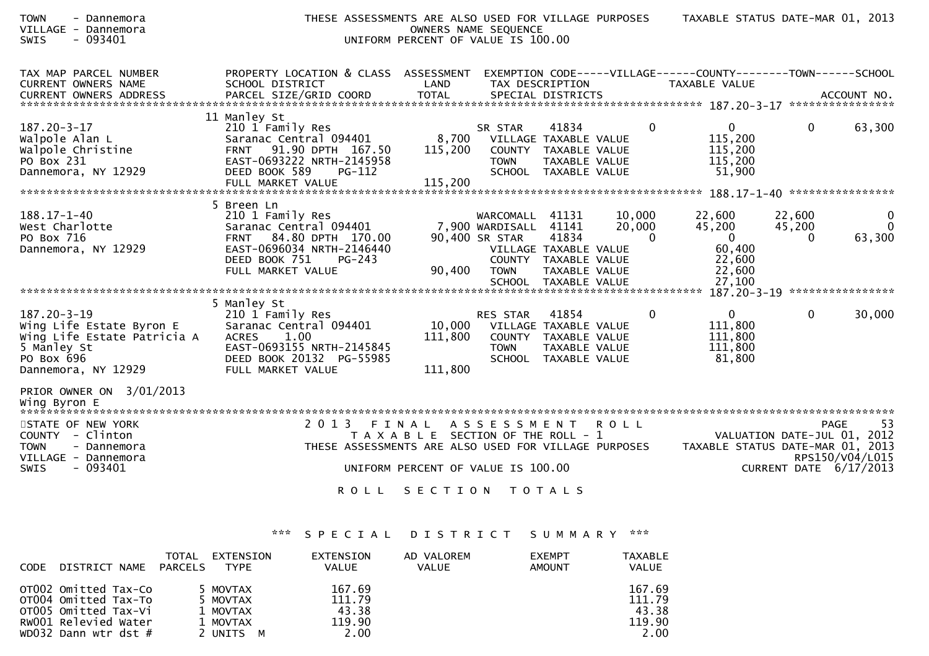| <b>TOWN</b><br>- Dannemora<br>VILLAGE - Dannemora<br><b>SWIS</b><br>- 093401                                                                                       | THESE ASSESSMENTS ARE ALSO USED FOR VILLAGE PURPOSES                                                                                                                        | UNIFORM PERCENT OF VALUE IS 100.00                                                     | OWNERS NAME SEQUENCE                                          |                                                                                                                   |                  |                                                                                        | TAXABLE STATUS DATE-MAR 01, 2013                                                     |                                                                |
|--------------------------------------------------------------------------------------------------------------------------------------------------------------------|-----------------------------------------------------------------------------------------------------------------------------------------------------------------------------|----------------------------------------------------------------------------------------|---------------------------------------------------------------|-------------------------------------------------------------------------------------------------------------------|------------------|----------------------------------------------------------------------------------------|--------------------------------------------------------------------------------------|----------------------------------------------------------------|
| TAX MAP PARCEL NUMBER<br>CURRENT OWNERS NAME<br>CURRENT OWNERS ADDRESS                                                                                             | PROPERTY LOCATION & CLASS ASSESSMENT<br>SCHOOL DISTRICT                                                                                                                     | LAND                                                                                   | TAX DESCRIPTION                                               |                                                                                                                   |                  | EXEMPTION CODE-----VILLAGE------COUNTY--------TOWN------SCHOOL<br><b>TAXABLE VALUE</b> |                                                                                      |                                                                |
| $187.20 - 3 - 17$<br>Walpole Alan L<br>Walpole Christine<br>PO Box 231<br>Dannemora, NY 12929                                                                      | 11 Manley St<br>210 1 Family Res<br>Saranac Central 094401<br>91.90 DPTH 167.50<br><b>FRNT</b><br>EAST-0693222 NRTH-2145958<br>DEED BOOK 589<br>PG-112<br>FULL MARKET VALUE | 8,700<br>115,200<br>115,200                                                            | SR STAR<br><b>TOWN</b><br><b>SCHOOL</b>                       | 41834<br>VILLAGE TAXABLE VALUE<br>COUNTY TAXABLE VALUE<br>TAXABLE VALUE<br>TAXABLE VALUE                          |                  | $\mathbf{0}$<br>115,200<br>115,200                                                     | $\Omega$<br>$\mathbf{0}$<br>115,200<br>51,900                                        | 63,300                                                         |
|                                                                                                                                                                    | 5 Breen Ln                                                                                                                                                                  |                                                                                        |                                                               |                                                                                                                   |                  |                                                                                        |                                                                                      |                                                                |
| $188.17 - 1 - 40$<br>West Charlotte<br>PO Box 716<br>Dannemora, NY 12929                                                                                           | 210 1 Family Res<br>Saranac Central 094401<br>84.80 DPTH 170.00<br><b>FRNT</b><br>EAST-0696034 NRTH-2146440<br>DEED BOOK 751<br>$PG-243$<br>FULL MARKET VALUE               | 90,400                                                                                 | WARCOMALL<br>7,900 WARDISALL<br>90,400 SR STAR<br><b>TOWN</b> | 41131<br>41141<br>41834<br>VILLAGE TAXABLE VALUE<br>COUNTY TAXABLE VALUE<br>TAXABLE VALUE<br>SCHOOL TAXABLE VALUE | 10,000<br>20,000 | 22,600<br>45,200<br>$\Omega$                                                           | 22,600<br>45,200<br>$\mathbf{0}$<br>$\Omega$<br>60,400<br>22,600<br>22,600<br>27,100 | 0<br>$\Omega$<br>63,300                                        |
|                                                                                                                                                                    |                                                                                                                                                                             |                                                                                        |                                                               |                                                                                                                   |                  |                                                                                        | $187.20 - 3 - 19$                                                                    | ****************                                               |
| $187.20 - 3 - 19$<br>Wing Life Estate Byron E<br>Wing Life Estate Patricia A<br>5 Manley St<br>PO Box 696<br>Dannemora, NY 12929                                   | 5 Manley St<br>210 1 Family Res<br>Saranac Central 094401<br>1.00<br><b>ACRES</b><br>EAST-0693155 NRTH-2145845<br>DEED BOOK 20132 PG-55985<br>FULL MARKET VALUE             | 10,000<br>111,800<br>111,800                                                           | RES STAR<br><b>TOWN</b>                                       | 41854<br>VILLAGE TAXABLE VALUE<br>COUNTY TAXABLE VALUE<br>TAXABLE VALUE<br>SCHOOL TAXABLE VALUE                   |                  | 0<br>111,800<br>111,800                                                                | $\mathbf{0}$<br>$\overline{0}$<br>111,800<br>81,800                                  | 30,000                                                         |
| PRIOR OWNER ON 3/01/2013<br>Wing Byron E<br>STATE OF NEW YORK<br>COUNTY - Clinton<br><b>TOWN</b><br>- Dannemora<br>VILLAGE - Dannemora<br>$-093401$<br><b>SWIS</b> | 2 0 1 3<br>FINAL<br>THESE ASSESSMENTS ARE ALSO USED FOR VILLAGE PURPOSES<br><b>ROLL</b>                                                                                     | T A X A B L E SECTION OF THE ROLL - 1<br>UNIFORM PERCENT OF VALUE IS 100.00<br>SECTION | A S S E S S M E N T                                           | <b>TOTALS</b>                                                                                                     | <b>ROLL</b>      |                                                                                        | VALUATION DATE-JUL 01, 2012<br>TAXABLE STATUS DATE-MAR 01, 2013                      | <b>PAGE</b><br>53<br>RPS150/V04/L015<br>CURRENT DATE 6/17/2013 |
|                                                                                                                                                                    |                                                                                                                                                                             |                                                                                        |                                                               |                                                                                                                   |                  |                                                                                        |                                                                                      |                                                                |

| <b>CODE</b> | DISTRICT NAME                                                                                                        | TOTAL<br><b>PARCELS</b> | EXTENSION<br><b>TYPE</b>                                  | EXTENSION<br><b>VALUE</b>                   | AD VALOREM<br><b>VALUE</b> | <b>EXEMPT</b><br>AMOUNT | <b>TAXABLE</b><br>VALUE                     |
|-------------|----------------------------------------------------------------------------------------------------------------------|-------------------------|-----------------------------------------------------------|---------------------------------------------|----------------------------|-------------------------|---------------------------------------------|
|             | OTO02 Omitted Tax-Co<br>OTO04 Omitted Tax-To<br>OTO05 Omitted Tax-Vi<br>RW001 Relevied Water<br>WD032 Dann wtr dst # |                         | 5 MOVTAX<br>5 MOVTAX<br>1 MOVTAX<br>1 MOVTAX<br>2 UNITS M | 167.69<br>111.79<br>43.38<br>119.90<br>2.00 |                            |                         | 167.69<br>111.79<br>43.38<br>119.90<br>2.00 |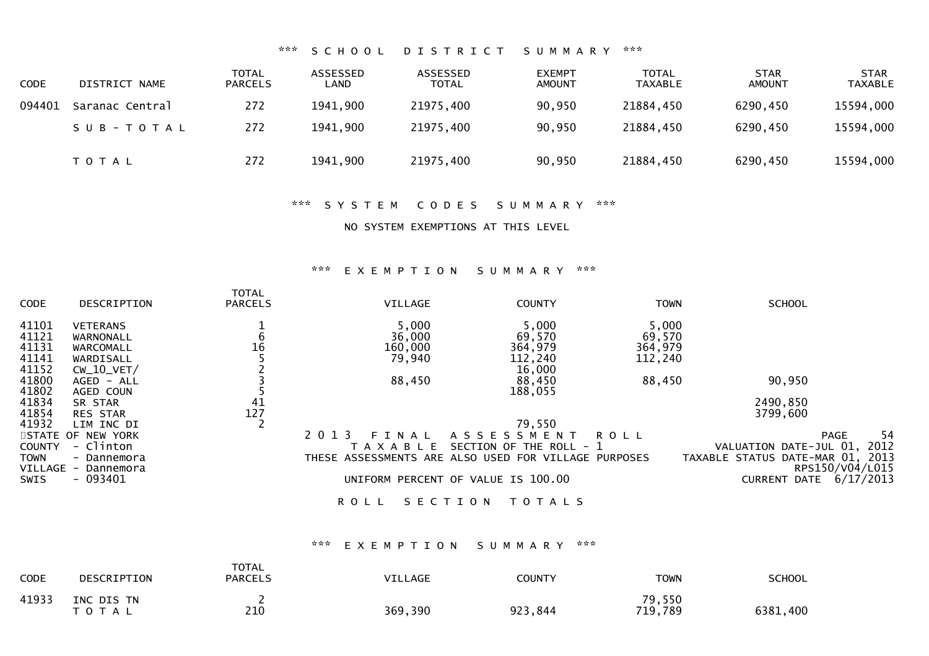## \*\*\* S C H O O L D I S T R I C T S U M M A R Y \*\*\*

| <b>CODE</b> | DISTRICT NAME   | <b>TOTAL</b><br><b>PARCELS</b> | ASSESSED<br>LAND | ASSESSED<br>TOTAL | <b>EXEMPT</b><br><b>AMOUNT</b> | TOTAL<br><b>TAXABLE</b> | <b>STAR</b><br><b>AMOUNT</b> | <b>STAR</b><br><b>TAXABLE</b> |
|-------------|-----------------|--------------------------------|------------------|-------------------|--------------------------------|-------------------------|------------------------------|-------------------------------|
| 094401      | Saranac Central | 272                            | 1941,900         | 21975,400         | 90,950                         | 21884,450               | 6290,450                     | 15594,000                     |
|             | SUB-TOTAL       | 272                            | 1941,900         | 21975,400         | 90,950                         | 21884,450               | 6290,450                     | 15594,000                     |
|             | T O T A L       | 272                            | 1941,900         | 21975,400         | 90,950                         | 21884,450               | 6290,450                     | 15594,000                     |

### \*\*\* S Y S T E M C O D E S S U M M A R Y \*\*\*

NO SYSTEM EXEMPTIONS AT THIS LEVEL

### \*\*\* E X E M P T I O N S U M M A R Y \*\*\*

| CODE            | DESCRIPTION                | <b>TOTAL</b><br><b>PARCELS</b> | VILLAGE                                              | <b>COUNTY</b>           | <b>TOWN</b> | <b>SCHOOL</b>                                       |
|-----------------|----------------------------|--------------------------------|------------------------------------------------------|-------------------------|-------------|-----------------------------------------------------|
| 41101           | <b>VETERANS</b>            |                                | 5,000                                                | 5,000                   | 5,000       |                                                     |
| 41121           | WARNONALL                  | b                              | 36,000                                               | 69,570                  | 69,570      |                                                     |
| 41131           | WARCOMALL                  | 16                             | 160,000                                              | 364,979                 | 364,979     |                                                     |
| 41141           | WARDISALL                  |                                | 79,940                                               | 112,240                 | 112,240     |                                                     |
| 41152           | $CW_10_VET/$               |                                |                                                      | 16,000                  |             |                                                     |
| 41800           | AGED - ALL                 |                                | 88,450                                               | 88,450                  | 88,450      | 90,950                                              |
| 41802           | AGED COUN                  |                                |                                                      | 188,055                 |             |                                                     |
| 41834           | SR STAR                    | 41                             |                                                      |                         |             | 2490,850                                            |
| 41854           | <b>RES STAR</b>            | 127                            |                                                      |                         |             | 3799,600                                            |
| 41932           | LIM INC DI                 |                                |                                                      | 79,550                  |             |                                                     |
|                 | STATE OF NEW YORK          |                                | 2 0 1 3<br>F T<br>NAL                                | A S S E S S M E N T     | <b>ROLL</b> | 54<br><b>PAGE</b>                                   |
| COUNTY          | - Clinton                  |                                | TAXABLE                                              | SECTION OF THE ROLL - 1 |             | 2012<br>VALUATION DATE-JUL 01,                      |
| TOWN<br>VILLAGE | - Dannemora<br>- Dannemora |                                | THESE ASSESSMENTS ARE ALSO USED FOR VILLAGE PURPOSES |                         |             | TAXABLE STATUS DATE-MAR 01, 2013<br>RPS150/V04/L015 |
| SWIS            | $-093401$                  |                                | UNIFORM PERCENT OF VALUE IS 100.00                   |                         |             | 6/17/2013<br><b>CURRENT DATE</b>                    |
|                 |                            |                                | SECTION<br><b>ROLL</b>                               | T O T A L S             |             |                                                     |

### \*\*\* E X E M P T I O N S U M M A R Y \*\*\*

| CODE  | DESCRIPTION             | <b>TOTAL</b><br><b>PARCELS</b> | <b>VILLAGE</b> | <b>COUNTY</b> | <b>TOWN</b>       | <b>SCHOOL</b> |
|-------|-------------------------|--------------------------------|----------------|---------------|-------------------|---------------|
| 41933 | INC DIS TN<br>T O T A L | 210                            | 369,390        | 923,844       | 79,550<br>719,789 | 6381,400      |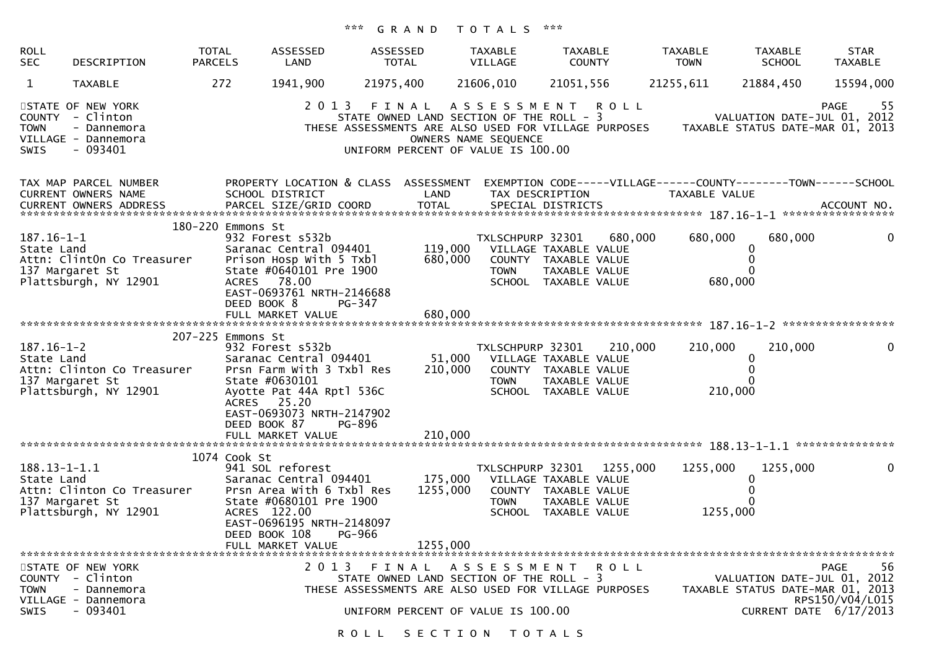| <b>ROLL</b><br><b>SEC</b>        | DESCRIPTION                                                                              | <b>TOTAL</b><br><b>PARCELS</b>                   | ASSESSED<br>LAND                                                                                                                                             | ASSESSED<br><b>TOTAL</b>                                                                | <b>TAXABLE</b><br>VILLAGE       | <b>TAXABLE</b><br><b>COUNTY</b>                                                                            | <b>TAXABLE</b><br><b>TOWN</b>                                                                                                                                                 | TAXABLE<br><b>SCHOOL</b>                                                                  | <b>STAR</b><br><b>TAXABLE</b>        |
|----------------------------------|------------------------------------------------------------------------------------------|--------------------------------------------------|--------------------------------------------------------------------------------------------------------------------------------------------------------------|-----------------------------------------------------------------------------------------|---------------------------------|------------------------------------------------------------------------------------------------------------|-------------------------------------------------------------------------------------------------------------------------------------------------------------------------------|-------------------------------------------------------------------------------------------|--------------------------------------|
| $\mathbf{1}$                     | TAXABLE                                                                                  | 272                                              | 1941,900                                                                                                                                                     | 21975,400                                                                               | 21606,010                       | 21051,556                                                                                                  | 21255,611                                                                                                                                                                     | 21884,450                                                                                 | 15594,000                            |
| <b>TOWN</b><br>SWIS              | STATE OF NEW YORK<br>COUNTY - Clinton<br>- Dannemora<br>VILLAGE - Dannemora<br>$-093401$ |                                                  |                                                                                                                                                              | UNIFORM PERCENT OF VALUE IS 100.00                                                      | OWNERS NAME SEQUENCE            | 2013 FINAL ASSESSMENT ROLL                                                                                 | STATE OWNED LAND SECTION OF THE ROLL - 3<br>STATE OWNED LAND SECTION OF THE ROLL - 3<br>THESE ASSESSMENTS ARE ALSO USED FOR VILLAGE PURPOSES TAXABLE STATUS DATE-MAR 01, 2013 |                                                                                           | -55<br>PAGE                          |
|                                  | TAX MAP PARCEL NUMBER<br>CURRENT OWNERS NAME                                             |                                                  | PROPERTY LOCATION & CLASS ASSESSMENT<br>SCHOOL DISTRICT                                                                                                      | LAND                                                                                    |                                 | TAX DESCRIPTION                                                                                            | EXEMPTION CODE-----VILLAGE------COUNTY--------TOWN------SCHOOL<br>TAXABLE VALUE                                                                                               |                                                                                           |                                      |
| $187.16 - 1 - 1$<br>State Land   | Attn: ClintOn Co Treasurer<br>137 Margaret St<br>Plattsburgh, NY 12901                   | 180-220 Emmons St<br>ACRES 78.00<br>DEED BOOK 8  | 932 Forest s532b<br>Saranac Central 094401<br>Prison Hosp With 5 Txbl<br>State #0640101 Pre 1900<br>EAST-0693761 NRTH-2146688<br>PG-347                      | 119,000<br>680,000                                                                      | TXLSCHPURP 32301<br><b>TOWN</b> | VILLAGE TAXABLE VALUE<br>COUNTY TAXABLE VALUE<br>TAXABLE VALUE<br>SCHOOL TAXABLE VALUE                     | 680,000<br>680,000<br>680,000                                                                                                                                                 | 680,000<br>0                                                                              | 0                                    |
|                                  |                                                                                          |                                                  |                                                                                                                                                              |                                                                                         |                                 |                                                                                                            |                                                                                                                                                                               |                                                                                           |                                      |
| $187.16 - 1 - 2$<br>State Land   | Attn: Clinton Co Treasurer<br>137 Margaret St<br>Plattsburgh, NY 12901                   | 207-225 Emmons St<br>ACRES 25.20<br>DEED BOOK 87 | 932 Forest s532b<br>Saranac Central 094401<br>Prsn Farm With 3 Txbl Res<br>State #0630101<br>Ayotte Pat 44A Rptl 536C<br>EAST-0693073 NRTH-2147902<br>PG-896 | 210,000                                                                                 | TXLSCHPURP 32301<br><b>TOWN</b> | 51,000 VILLAGE TAXABLE VALUE<br>COUNTY TAXABLE VALUE<br>TAXABLE VALUE<br>SCHOOL TAXABLE VALUE              | 210,000<br>210,000<br>210,000                                                                                                                                                 | 210,000<br>0                                                                              | $\mathbf 0$                          |
|                                  |                                                                                          |                                                  |                                                                                                                                                              |                                                                                         |                                 |                                                                                                            |                                                                                                                                                                               |                                                                                           |                                      |
| $188.13 - 1 - 1.1$<br>State Land | Attn: Clinton Co Treasurer<br>137 Margaret St<br>Plattsburgh, NY 12901                   | 1074 Cook St<br>ACRES 122.00<br>DEED BOOK 108    | 941 SOL reforest<br>Saranac Central 094401<br>Prsn Area With 6 Txbl Res<br>State #0680101 Pre 1900<br>EAST-0696195 NRTH-2148097<br>PG-966                    | 1255,000                                                                                | TXLSCHPURP 32301<br><b>TOWN</b> | 1255,000<br>175,000 VILLAGE TAXABLE VALUE<br>COUNTY TAXABLE VALUE<br>TAXABLE VALUE<br>SCHOOL TAXABLE VALUE | 1255,000<br>1255,000                                                                                                                                                          | 1255,000<br>0                                                                             | 0                                    |
|                                  |                                                                                          |                                                  | FULL MARKET VALUE                                                                                                                                            | 1255,000                                                                                |                                 |                                                                                                            |                                                                                                                                                                               |                                                                                           |                                      |
| <b>TOWN</b><br><b>SWIS</b>       | STATE OF NEW YORK<br>COUNTY - Clinton<br>- Dannemora<br>VILLAGE - Dannemora<br>- 093401  |                                                  | 2 0 1 3                                                                                                                                                      | FINAL<br>STATE OWNED LAND SECTION OF THE ROLL - 3<br>UNIFORM PERCENT OF VALUE IS 100.00 |                                 | ASSESSMENT ROLL<br>THESE ASSESSMENTS ARE ALSO USED FOR VILLAGE PURPOSES                                    |                                                                                                                                                                               | VALUATION DATE-JUL 01, 2012<br>TAXABLE STATUS DATE-MAR 01, 2013<br>CURRENT DATE 6/17/2013 | 56<br><b>PAGE</b><br>RPS150/V04/L015 |
|                                  |                                                                                          |                                                  |                                                                                                                                                              | ROLL SECTION TOTALS                                                                     |                                 |                                                                                                            |                                                                                                                                                                               |                                                                                           |                                      |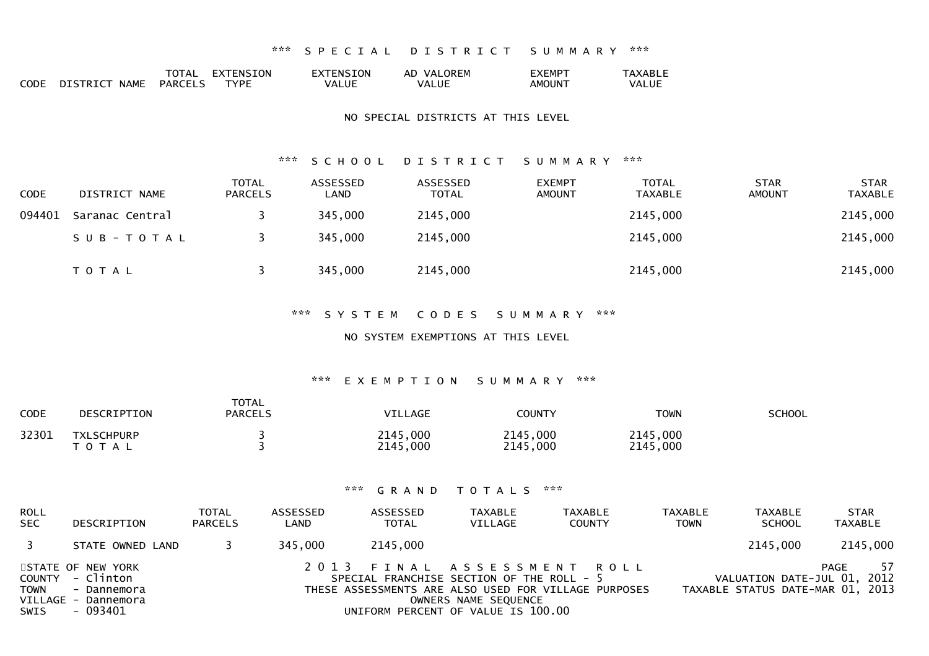|             |                         | TOTAL          | <b>EXTENSION</b> | EXTENSION | AD VALOREM   | EXEMPT | <b>AXABLE</b> |
|-------------|-------------------------|----------------|------------------|-----------|--------------|--------|---------------|
| <b>CODE</b> | DISTRICT<br><b>NAME</b> | <b>PARCELS</b> | <b>TYPF</b>      | VALUE     | <b>VALUE</b> | AMOUNT | VALUE         |

#### NO SPECIAL DISTRICTS AT THIS LEVEL

#### \*\*\* S C H O O L D I S T R I C T S U M M A R Y \*\*\*

| <b>CODE</b> | DISTRICT NAME   | <b>TOTAL</b><br><b>PARCELS</b> | ASSESSED<br>LAND | ASSESSED<br><b>TOTAL</b> | <b>EXEMPT</b><br><b>AMOUNT</b> | <b>TOTAL</b><br>TAXABLE | <b>STAR</b><br><b>AMOUNT</b> | <b>STAR</b><br><b>TAXABLE</b> |
|-------------|-----------------|--------------------------------|------------------|--------------------------|--------------------------------|-------------------------|------------------------------|-------------------------------|
| 094401      | Saranac Central |                                | 345,000          | 2145,000                 |                                | 2145,000                |                              | 2145,000                      |
|             | SUB-TOTAL       |                                | 345,000          | 2145,000                 |                                | 2145,000                |                              | 2145,000                      |
|             | T O T A L       |                                | 345,000          | 2145,000                 |                                | 2145,000                |                              | 2145,000                      |

### \*\*\* S Y S T E M C O D E S S U M M A R Y \*\*\*

### NO SYSTEM EXEMPTIONS AT THIS LEVEL

### \*\*\* E X E M P T I O N S U M M A R Y \*\*\*

| <b>CODE</b> | DESCRIPTION                    | <b>TOTAL</b><br><b>PARCELS</b> | <b>VILLAGE</b>       | COUNTY               | <b>TOWN</b>          | <b>SCHOOL</b> |
|-------------|--------------------------------|--------------------------------|----------------------|----------------------|----------------------|---------------|
| 32301       | <b>TXLSCHPURP</b><br>T O T A L |                                | 2145,000<br>2145,000 | 2145,000<br>2145,000 | 2145,000<br>2145,000 |               |

| <b>ROLL</b><br>SEC | DESCRIPTION                                                                             | <b>TOTAL</b><br><b>PARCELS</b> | ASSESSED<br>LAND | ASSESSED<br><b>TOTAL</b> | <b>TAXABLE</b><br>VILLAGE                                                                               | TAXABLE<br><b>COUNTY</b>                                                           | TAXABLE<br><b>TOWN</b> | TAXABLE<br><b>SCHOOL</b>                                        | <b>STAR</b><br>TAXABLE |
|--------------------|-----------------------------------------------------------------------------------------|--------------------------------|------------------|--------------------------|---------------------------------------------------------------------------------------------------------|------------------------------------------------------------------------------------|------------------------|-----------------------------------------------------------------|------------------------|
| $\overline{3}$     | STATE OWNED LAND                                                                        |                                | 345.000          | 2145,000                 |                                                                                                         |                                                                                    |                        | 2145,000                                                        | 2145,000               |
| TOWN<br>SWIS       | STATE OF NEW YORK<br>COUNTY - Clinton<br>- Dannemora<br>VILLAGE - Dannemora<br>- 093401 |                                |                  |                          | SPECIAL FRANCHISE SECTION OF THE ROLL - 5<br>OWNERS NAME SEQUENCE<br>UNIFORM PERCENT OF VALUE IS 100.00 | 2013 FINAL ASSESSMENT ROLL<br>THESE ASSESSMENTS ARE ALSO USED FOR VILLAGE PURPOSES |                        | VALUATION DATE-JUL 01, 2012<br>TAXABLE STATUS DATE-MAR 01, 2013 | 57<br>PAGE             |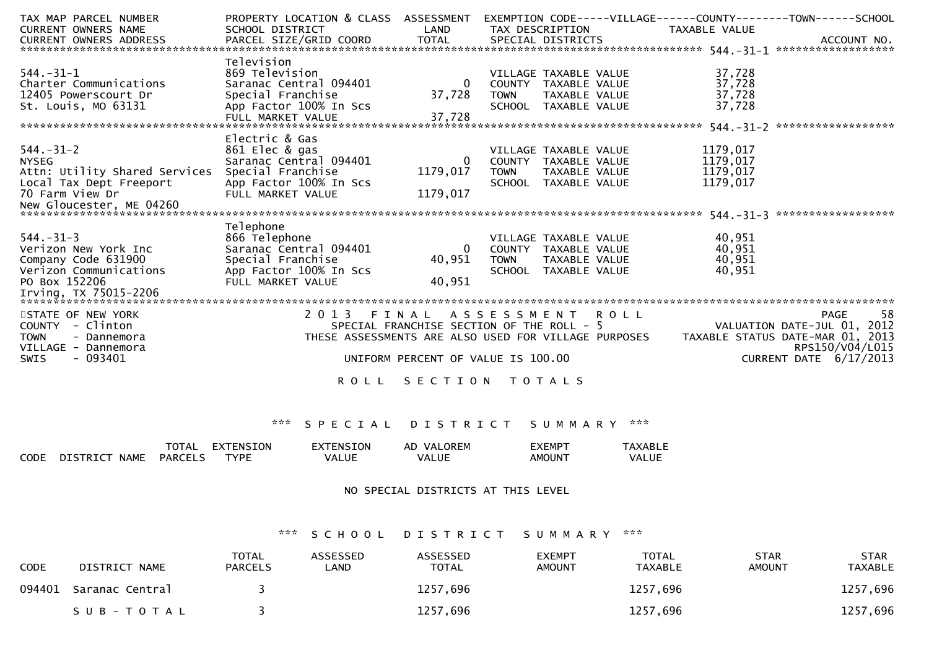| TAX MAP PARCEL NUMBER         | PROPERTY LOCATION & CLASS ASSESSMENT        |              |                                    | EXEMPTION CODE-----VILLAGE------COUNTY--------TOWN------SCHOOL                                                                                                 |
|-------------------------------|---------------------------------------------|--------------|------------------------------------|----------------------------------------------------------------------------------------------------------------------------------------------------------------|
| <b>CURRENT OWNERS NAME</b>    | SCHOOL DISTRICT                             | LAND         | TAX DESCRIPTION TAXABLE VALUE      |                                                                                                                                                                |
|                               |                                             |              |                                    |                                                                                                                                                                |
|                               |                                             |              |                                    |                                                                                                                                                                |
|                               | Television                                  |              |                                    |                                                                                                                                                                |
| $544. - 31 - 1$               | 869 Television                              |              | VILLAGE TAXABLE VALUE              | 37,728                                                                                                                                                         |
| Charter Communications        | Saranac Central 094401                      | - 0          | COUNTY TAXABLE VALUE               | 37,728                                                                                                                                                         |
| 12405 Powerscourt Dr          | Special Franchise                           | 37,728       | TOWN TAXABLE VALUE                 | 37,728                                                                                                                                                         |
| St. Louis, MO 63131           | App Factor 100% In Scs<br>FULL MARKET VALUE | 37,728       | SCHOOL TAXABLE VALUE               | 37,728                                                                                                                                                         |
|                               |                                             |              |                                    |                                                                                                                                                                |
|                               | Electric & Gas                              |              |                                    |                                                                                                                                                                |
| $544. - 31 - 2$               | 861 Elec & gas                              |              | VILLAGE TAXABLE VALUE              | 1179,017                                                                                                                                                       |
| <b>NYSEG</b>                  | Saranac Central 094401                      | $\Omega$     | COUNTY TAXABLE VALUE               | 1179,017                                                                                                                                                       |
| Attn: Utility Shared Services | Special Franchise                           | 1179,017     | <b>TOWN</b><br>TAXABLE VALUE       | 1179,017                                                                                                                                                       |
| Local Tax Dept Freeport       | App Factor 100% In Scs                      |              | SCHOOL TAXABLE VALUE               | 1179,017                                                                                                                                                       |
| 70 Farm View Dr               | FULL MARKET VALUE                           | 1179,017     |                                    |                                                                                                                                                                |
| New Gloucester, ME 04260      |                                             |              |                                    |                                                                                                                                                                |
|                               |                                             |              |                                    |                                                                                                                                                                |
|                               | Telephone                                   |              |                                    |                                                                                                                                                                |
| $544. - 31 - 3$               | 866 Telephone                               |              | VILLAGE TAXABLE VALUE              | 40,951                                                                                                                                                         |
| Verizon New York Inc          | Saranac Central 094401                      | $\mathbf{0}$ | COUNTY TAXABLE VALUE               | 40,951                                                                                                                                                         |
| Company Code 631900           | Special Franchise                           | 40,951       | <b>TOWN</b><br>TAXABLE VALUE       | 40,951                                                                                                                                                         |
| Verizon Communications        | App Factor 100% In Scs                      |              | SCHOOL TAXABLE VALUE               | 40,951                                                                                                                                                         |
| PO Box 152206                 | FULL MARKET VALUE                           | 40,951       |                                    |                                                                                                                                                                |
|                               |                                             |              |                                    |                                                                                                                                                                |
| STATE OF NEW YORK             | 2 0 1 3                                     | FINAL        | A S S E S S M E N T R O L L        | 58<br><b>PAGE</b>                                                                                                                                              |
| COUNTY - Clinton              |                                             |              |                                    |                                                                                                                                                                |
| <b>TOWN</b><br>- Dannemora    |                                             |              |                                    | SPECIAL FRANCHISE SECTION OF THE ROLL - 5 VALUATION DATE-JUL 01, 2012<br>THESE ASSESSMENTS ARE ALSO USED FOR VILLAGE PURPOSES TAXABLE STATUS DATE-MAR 01, 2013 |
| VILLAGE - Dannemora           |                                             |              |                                    | RPS150/V04/L015                                                                                                                                                |
| $-093401$<br><b>SWIS</b>      |                                             |              | UNIFORM PERCENT OF VALUE IS 100.00 | CURRENT DATE 6/17/2013                                                                                                                                         |
|                               |                                             |              |                                    |                                                                                                                                                                |
|                               | R O L L                                     |              | SECTION TOTALS                     |                                                                                                                                                                |
|                               |                                             |              |                                    |                                                                                                                                                                |
|                               |                                             |              |                                    |                                                                                                                                                                |

|             |                                | TOTAL          | EXTENSION   | EXTENSION | VAI ORFM<br>AD. | <b>EXEMPT</b>      | TAXABL F |
|-------------|--------------------------------|----------------|-------------|-----------|-----------------|--------------------|----------|
| <b>CODE</b> | <b>DISTRICT</b><br><b>NAME</b> | <b>PARCELS</b> | <b>TYPF</b> | VALUE     | <b>VALUE</b>    | AMOUN <sup>-</sup> | VALUE    |

### NO SPECIAL DISTRICTS AT THIS LEVEL

\*\*\* S C H O O L D I S T R I C T S U M M A R Y \*\*\*

| <b>CODE</b> | DISTRICT NAME   | <b>TOTAL</b><br><b>PARCELS</b> | <b>ASSESSED</b><br>∟AND | ASSESSED<br><b>TOTAL</b> | <b>EXEMPT</b><br><b>AMOUNT</b> | <b>TOTAL</b><br>TAXABLE | <b>STAR</b><br><b>AMOUNT</b> | <b>STAR</b><br>TAXABLE |
|-------------|-----------------|--------------------------------|-------------------------|--------------------------|--------------------------------|-------------------------|------------------------------|------------------------|
| 094401      | Saranac Central |                                |                         | 1257,696                 |                                | 1257,696                |                              | 1257,696               |
|             | SUB-TOTAL       |                                |                         | 1257,696                 |                                | 1257,696                |                              | 1257,696               |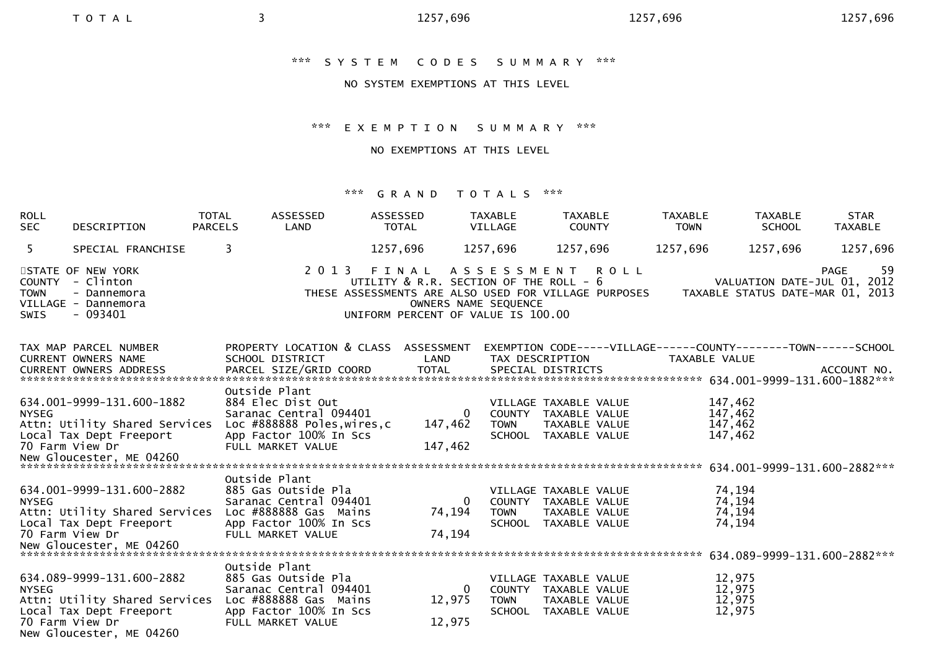# \*\*\* S Y S T E M C O D E S S U M M A R Y \*\*\*

### NO SYSTEM EXEMPTIONS AT THIS LEVEL

## \*\*\* E X E M P T I O N S U M M A R Y \*\*\*

### NO EXEMPTIONS AT THIS LEVEL

| <b>ROLL</b><br><b>SEC</b>                   | DESCRIPTION                                                                                                                          | TOTAL<br><b>PARCELS</b> | ASSESSED<br>LAND                                                                                                                           | ASSESSED<br>TOTAL                                                                                                                             |                                      | TAXABLE<br>VILLAGE                     | <b>TAXABLE</b><br><b>COUNTY</b>                                                        | <b>TAXABLE</b><br><b>TOWN</b> | <b>TAXABLE</b><br><b>SCHOOL</b>          | <b>STAR</b><br><b>TAXABLE</b>                                                         |
|---------------------------------------------|--------------------------------------------------------------------------------------------------------------------------------------|-------------------------|--------------------------------------------------------------------------------------------------------------------------------------------|-----------------------------------------------------------------------------------------------------------------------------------------------|--------------------------------------|----------------------------------------|----------------------------------------------------------------------------------------|-------------------------------|------------------------------------------|---------------------------------------------------------------------------------------|
| 5 <sup>1</sup>                              | SPECIAL FRANCHISE                                                                                                                    | 3                       |                                                                                                                                            | 1257,696                                                                                                                                      |                                      | 1257,696                               | 1257,696                                                                               | 1257,696                      | 1257,696                                 | 1257,696                                                                              |
| <b>COUNTY</b><br><b>TOWN</b><br><b>SWIS</b> | STATE OF NEW YORK<br>- Clinton<br>- Dannemora<br>VILLAGE - Dannemora<br>$-093401$                                                    |                         | 2 0 1 3                                                                                                                                    | FINAL<br>UTILITY & R.R. SECTION OF THE ROLL - 6<br>THESE ASSESSMENTS ARE ALSO USED FOR VILLAGE PURPOSES<br>UNIFORM PERCENT OF VALUE IS 100.00 | OWNERS NAME SEQUENCE                 | ASSESSMENT ROLL                        |                                                                                        |                               |                                          | -59<br><b>PAGE</b><br>VALUATION DATE-JUL 01, 2012<br>TAXABLE STATUS DATE-MAR 01, 2013 |
|                                             | TAX MAP PARCEL NUMBER<br>CURRENT OWNERS NAME                                                                                         |                         | PROPERTY LOCATION & CLASS ASSESSMENT<br>SCHOOL DISTRICT                                                                                    |                                                                                                                                               | LAND                                 |                                        | TAX DESCRIPTION                                                                        | TAXABLE VALUE                 |                                          | EXEMPTION CODE-----VILLAGE------COUNTY--------TOWN------SCHOOL                        |
| <b>NYSEG</b>                                | 634.001-9999-131.600-1882<br>Attn: Utility Shared Services<br>Local Tax Dept Freeport<br>70 Farm View Dr                             |                         | Outside Plant<br>884 Elec Dist Out<br>Saranac Central 094401<br>Loc #888888 Poles, wires, c<br>App Factor 100% In Scs<br>FULL MARKET VALUE |                                                                                                                                               | $\overline{0}$<br>147,462<br>147,462 | <b>TOWN</b>                            | VILLAGE TAXABLE VALUE<br>COUNTY TAXABLE VALUE<br>TAXABLE VALUE<br>SCHOOL TAXABLE VALUE |                               | 147,462<br>147,462<br>147,462<br>147,462 |                                                                                       |
| <b>NYSEG</b>                                | 634.001-9999-131.600-2882<br>Attn: Utility Shared Services<br>Local Tax Dept Freeport<br>70 Farm View Dr                             |                         | Outside Plant<br>885 Gas Outside Pla<br>Saranac Central 094401<br>Loc #888888 Gas Mains<br>App Factor 100% In Scs<br>FULL MARKET VALUE     |                                                                                                                                               | $\overline{0}$<br>74,194<br>74,194   | COUNTY<br><b>TOWN</b>                  | VILLAGE TAXABLE VALUE<br>TAXABLE VALUE<br>TAXABLE VALUE<br>SCHOOL TAXABLE VALUE        |                               | 74,194<br>74,194<br>74,194<br>74,194     |                                                                                       |
| <b>NYSEG</b>                                | 634.089-9999-131.600-2882<br>Attn: Utility Shared Services<br>Local Tax Dept Freeport<br>70 Farm View Dr<br>New Gloucester, ME 04260 |                         | Outside Plant<br>885 Gas Outside Pla<br>Saranac Central 094401<br>Loc #888888 Gas Mains<br>App Factor 100% In Scs<br>FULL MARKET VALUE     |                                                                                                                                               | 0<br>12,975<br>12,975                | COUNTY<br><b>TOWN</b><br><b>SCHOOL</b> | VILLAGE TAXABLE VALUE<br>TAXABLE VALUE<br>TAXABLE VALUE<br>TAXABLE VALUE               |                               | 12,975<br>12,975<br>12,975<br>12,975     |                                                                                       |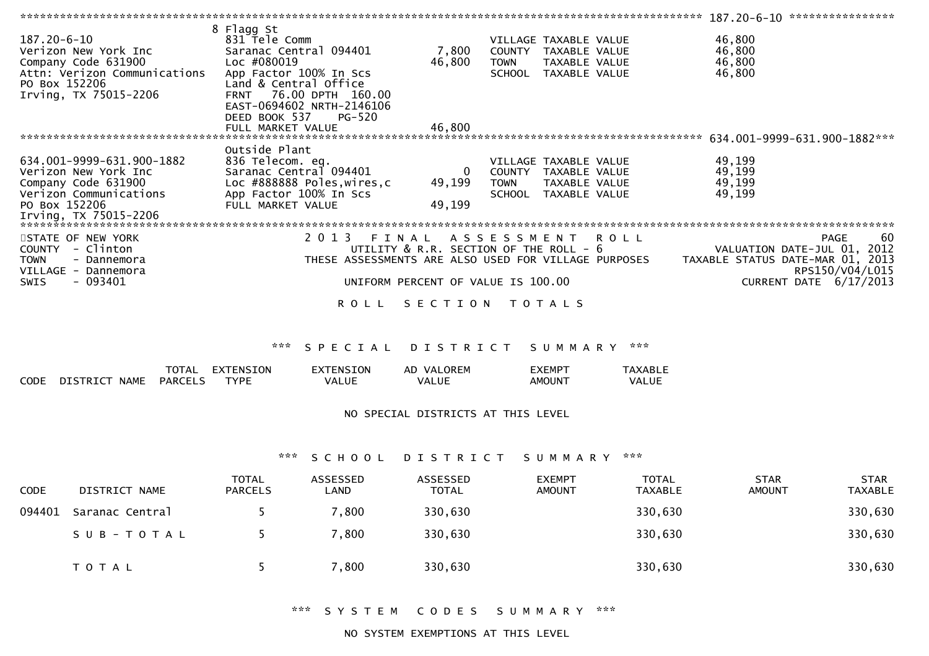|                                                   |                                                      |                                             |               |                       | $187.20 - 6 - 10$ ***************** |                 |
|---------------------------------------------------|------------------------------------------------------|---------------------------------------------|---------------|-----------------------|-------------------------------------|-----------------|
|                                                   | 8 Flagg St                                           |                                             |               |                       |                                     |                 |
| 187.20-6-10                                       | 831 Tele Comm                                        |                                             |               | VILLAGE TAXABLE VALUE | 46,800                              |                 |
| Verizon New York Inc                              | Saranac Central 094401                               | 7,800                                       | COUNTY        | TAXABLE VALUE         | 46,800                              |                 |
| Company Code 631900                               | Loc #080019                                          | 46,800                                      | <b>TOWN</b>   | TAXABLE VALUE         | 46,800                              |                 |
| Attn: Verizon Communications                      | App Factor 100% In Scs                               |                                             | <b>SCHOOL</b> | TAXABLE VALUE         | 46,800                              |                 |
| PO Box 152206                                     | Land & Central Office                                |                                             |               |                       |                                     |                 |
| Irving, TX 75015-2206                             | 76.00 DPTH 160.00<br><b>FRNT</b>                     |                                             |               |                       |                                     |                 |
|                                                   | EAST-0694602 NRTH-2146106                            |                                             |               |                       |                                     |                 |
|                                                   | DEED BOOK 537<br>PG-520                              |                                             |               |                       |                                     |                 |
|                                                   | FULL MARKET VALUE                                    | 46,800                                      |               |                       |                                     |                 |
|                                                   |                                                      |                                             |               |                       | 634.001-9999-631.900-1882***        |                 |
|                                                   | Outside Plant                                        |                                             |               |                       |                                     |                 |
| 634.001-9999-631.900-1882                         | 836 Telecom. eq.                                     |                                             |               | VILLAGE TAXABLE VALUE | 49,199                              |                 |
| Verizon New York Inc                              | Saranac Central 094401                               | 0                                           | COUNTY        | TAXABLE VALUE         | 49,199                              |                 |
|                                                   |                                                      |                                             |               |                       |                                     |                 |
| Company Code 631900                               | Loc #888888 Poles, wires, c                          | 49,199                                      | <b>TOWN</b>   | TAXABLE VALUE         | 49,199                              |                 |
| Verizon Communications                            | App Factor 100% In Scs                               |                                             | <b>SCHOOL</b> | TAXABLE VALUE         | 49,199                              |                 |
| PO Box 152206                                     | FULL MARKET VALUE                                    | 49,199                                      |               |                       |                                     |                 |
| Irving, TX 75015-2206                             |                                                      |                                             |               |                       |                                     |                 |
|                                                   |                                                      |                                             |               |                       |                                     |                 |
| STATE OF NEW YORK                                 | 2013 FINAL ASSESSMENT ROLL                           |                                             |               |                       | PAGE                                | -60             |
| COUNTY - Clinton                                  |                                                      | UTILITY $\&$ R.R. SECTION OF THE ROLL - $6$ |               |                       | VALUATION DATE-JUL 01, 2012         |                 |
| <b>TOWN</b><br>- Dannemora<br>VILLAGE - Dannemora | THESE ASSESSMENTS ARE ALSO USED FOR VILLAGE PURPOSES |                                             |               |                       | TAXABLE STATUS DATE-MAR 01, 2013    | RPS150/V04/L015 |
| - 093401<br>SWIS                                  |                                                      | UNIFORM PERCENT OF VALUE IS 100.00          |               |                       | CURRENT DATE $6/17/2013$            |                 |
|                                                   | R O L L                                              | SECTION                                     |               | T O T A L S           |                                     |                 |

|             |                         | <b>TOTAL</b>   | TENSION<br>FX <sup>-</sup> | EXTENSION | VALOREM<br>AD. | :XEMP1 | <b>AXABLE</b> |
|-------------|-------------------------|----------------|----------------------------|-----------|----------------|--------|---------------|
| <b>CODE</b> | <b>NAME</b><br>DISTRICT | <b>PARCELS</b> | <b>TYPF</b>                | VALUE     | VALUE          | AMOUNT | VALUE         |

#### NO SPECIAL DISTRICTS AT THIS LEVEL

### \*\*\* S C H O O L D I S T R I C T S U M M A R Y \*\*\*

| CODE   | DISTRICT NAME   | <b>TOTAL</b><br><b>PARCELS</b> | ASSESSED<br>LAND | ASSESSED<br><b>TOTAL</b> | <b>EXEMPT</b><br><b>AMOUNT</b> | <b>TOTAL</b><br><b>TAXABLE</b> | <b>STAR</b><br><b>AMOUNT</b> | <b>STAR</b><br><b>TAXABLE</b> |
|--------|-----------------|--------------------------------|------------------|--------------------------|--------------------------------|--------------------------------|------------------------------|-------------------------------|
| 094401 | Saranac Central |                                | 7,800            | 330,630                  |                                | 330,630                        |                              | 330,630                       |
|        | SUB-TOTAL       |                                | 7,800            | 330,630                  |                                | 330,630                        |                              | 330,630                       |
|        | <b>TOTAL</b>    |                                | 7,800            | 330,630                  |                                | 330,630                        |                              | 330,630                       |

\*\*\* S Y S T E M C O D E S S U M M A R Y \*\*\*

NO SYSTEM EXEMPTIONS AT THIS LEVEL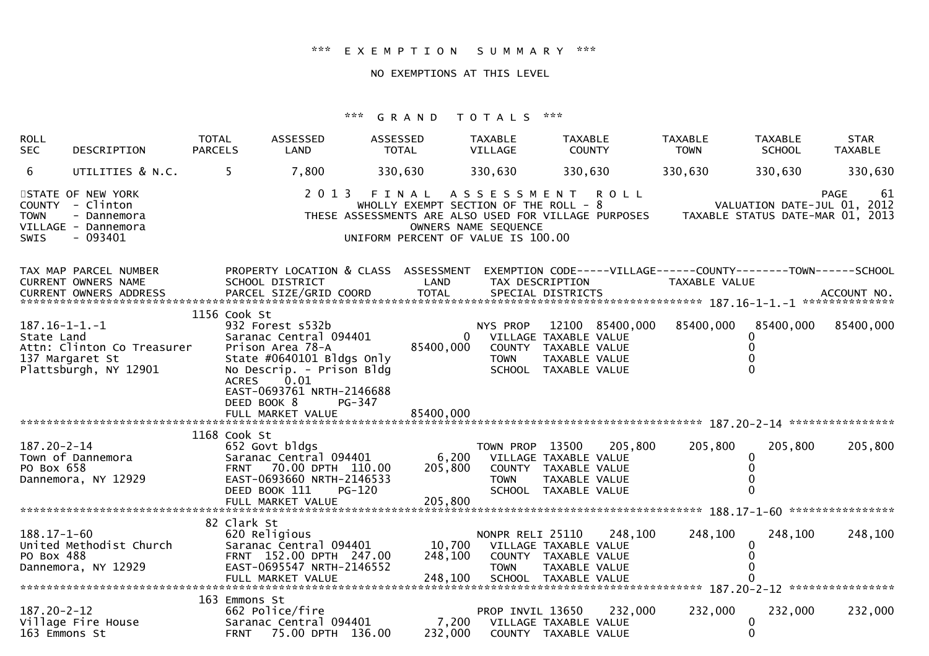### \*\*\* E X E M P T I O N S U M M A R Y \*\*\*

### NO EXEMPTIONS AT THIS LEVEL

| <b>ROLL</b><br><b>SEC</b>                             | DESCRIPTION                                                                      | <b>TOTAL</b><br><b>PARCELS</b> | ASSESSED<br>LAND                                                                                                                                                                       | ASSESSED<br><b>TOTAL</b>                                                             | <b>TAXABLE</b><br><b>VILLAGE</b>        | <b>TAXABLE</b><br><b>COUNTY</b>                                                                           | <b>TAXABLE</b><br><b>TOWN</b> | <b>TAXABLE</b><br><b>SCHOOL</b>                                 | <b>STAR</b><br><b>TAXABLE</b> |
|-------------------------------------------------------|----------------------------------------------------------------------------------|--------------------------------|----------------------------------------------------------------------------------------------------------------------------------------------------------------------------------------|--------------------------------------------------------------------------------------|-----------------------------------------|-----------------------------------------------------------------------------------------------------------|-------------------------------|-----------------------------------------------------------------|-------------------------------|
| 6                                                     | UTILITIES & N.C.                                                                 | 5.                             | 7,800                                                                                                                                                                                  | 330,630                                                                              | 330,630                                 | 330,630                                                                                                   | 330,630                       | 330,630                                                         | 330,630                       |
| <b>COUNTY</b><br><b>TOWN</b><br><b>SWIS</b>           | STATE OF NEW YORK<br>- Clinton<br>- Dannemora<br>VILLAGE - Dannemora<br>- 093401 |                                | 2 0 1 3                                                                                                                                                                                | FINAL<br>WHOLLY EXEMPT SECTION OF THE ROLL - 8<br>UNIFORM PERCENT OF VALUE IS 100.00 | OWNERS NAME SEQUENCE                    | ASSESSMENT ROLL<br>THESE ASSESSMENTS ARE ALSO USED FOR VILLAGE PURPOSES                                   |                               | VALUATION DATE-JUL 01, 2012<br>TAXABLE STATUS DATE-MAR 01, 2013 | <b>PAGE</b><br>-61            |
|                                                       | TAX MAP PARCEL NUMBER<br>CURRENT OWNERS NAME                                     |                                | PROPERTY LOCATION & CLASS ASSESSMENT<br>SCHOOL DISTRICT                                                                                                                                | LAND                                                                                 |                                         | EXEMPTION CODE-----VILLAGE------COUNTY--------TOWN------SCHOOL<br>TAX DESCRIPTION                         | <b>TAXABLE VALUE</b>          |                                                                 |                               |
| $187.16 - 1 - 1 - 1$<br>State Land<br>137 Margaret St | Attn: Clinton Co Treasurer<br>Plattsburgh, NY 12901                              | 1156 Cook St<br><b>ACRES</b>   | 932 Forest s532b<br>Saranac Central 094401<br>Prison Area 78-A<br>State #0640101 Bldgs Only<br>No Descrip. - Prison Bldg<br>0.01<br>EAST-0693761 NRTH-2146688<br>DEED BOOK 8<br>PG-347 | 85400,000                                                                            | NYS PROP<br>$\mathbf{0}$<br><b>TOWN</b> | 12100 85400,000<br>VILLAGE TAXABLE VALUE<br>COUNTY TAXABLE VALUE<br>TAXABLE VALUE<br>SCHOOL TAXABLE VALUE | 85400,000                     | 85400,000                                                       | 85400,000                     |
|                                                       |                                                                                  |                                |                                                                                                                                                                                        |                                                                                      |                                         |                                                                                                           |                               |                                                                 |                               |
| $187.20 - 2 - 14$<br>PO Box 658                       | Town of Dannemora<br>Dannemora, NY 12929                                         | 1168 Cook St<br><b>FRNT</b>    | 652 Govt bldgs<br>Saranac Central 094401<br>70.00 DPTH 110.00<br>EAST-0693660 NRTH-2146533<br>DEED BOOK 111<br>PG-120<br>FULL MARKET VALUE                                             | 6,200<br>205,800<br>205,800                                                          | TOWN PROP 13500<br><b>TOWN</b>          | 205,800<br>VILLAGE TAXABLE VALUE<br>COUNTY TAXABLE VALUE<br>TAXABLE VALUE<br>SCHOOL TAXABLE VALUE         | 205,800                       | 205,800<br>0                                                    | 205,800                       |
|                                                       |                                                                                  | 82 Clark St                    |                                                                                                                                                                                        |                                                                                      |                                         |                                                                                                           |                               |                                                                 |                               |
| $188.17 - 1 - 60$<br>PO Box 488                       | United Methodist Church<br>Dannemora, NY 12929                                   |                                | 620 Religious<br>Saranac Central 094401<br>FRNT 152.00 DPTH 247.00<br>EAST-0695547 NRTH-2146552                                                                                        | 10,700<br>248,100                                                                    | NONPR RELI 25110<br><b>TOWN</b>         | 248,100<br>VILLAGE TAXABLE VALUE<br>COUNTY TAXABLE VALUE<br>TAXABLE VALUE                                 | 248,100                       | 248,100<br>0                                                    | 248,100                       |
|                                                       |                                                                                  | 163 Emmons St                  |                                                                                                                                                                                        |                                                                                      |                                         |                                                                                                           |                               |                                                                 |                               |
| $187.20 - 2 - 12$<br>163 Emmons St                    | Village Fire House                                                               |                                | 662 Police/fire<br>Saranac Central 094401<br>FRNT 75.00 DPTH 136.00                                                                                                                    | 7,200<br>232,000                                                                     | PROP INVIL 13650                        | 232,000<br>VILLAGE TAXABLE VALUE<br>COUNTY TAXABLE VALUE                                                  | 232,000                       | 232,000<br>0<br>0                                               | 232,000                       |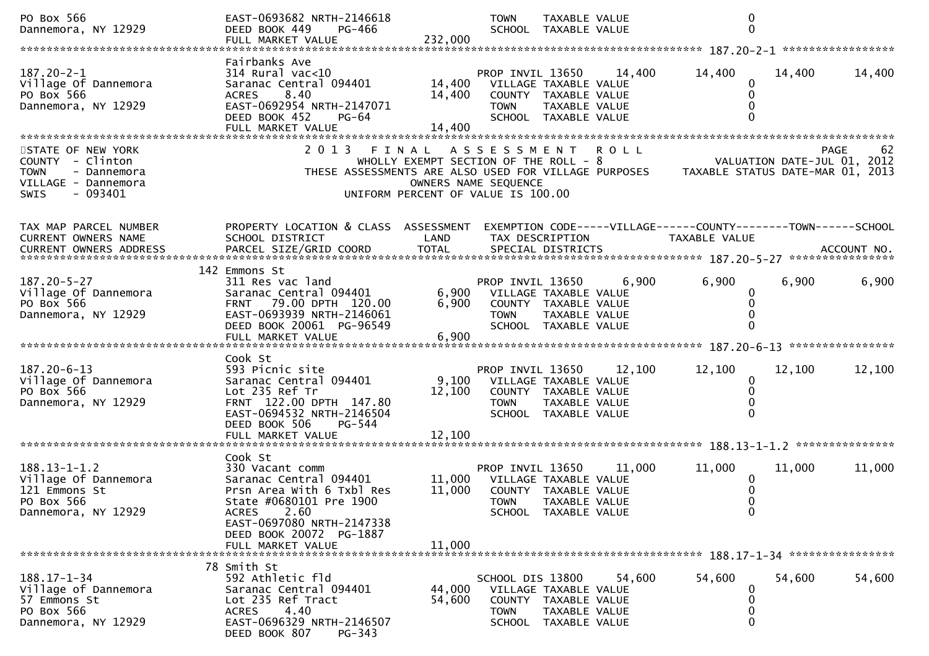| PO Box 566<br>Dannemora, NY 12929                                                                               | EAST-0693682 NRTH-2146618<br>DEED BOOK 449<br>PG-466<br>FULL MARKET VALUE                                                                                                                    | 232,000                                                                                             | <b>TOWN</b><br>SCHOOL TAXABLE VALUE                                                                             | TAXABLE VALUE |             | 0<br>$\Omega$                                                                                                        |        |                   |
|-----------------------------------------------------------------------------------------------------------------|----------------------------------------------------------------------------------------------------------------------------------------------------------------------------------------------|-----------------------------------------------------------------------------------------------------|-----------------------------------------------------------------------------------------------------------------|---------------|-------------|----------------------------------------------------------------------------------------------------------------------|--------|-------------------|
|                                                                                                                 |                                                                                                                                                                                              |                                                                                                     |                                                                                                                 |               |             |                                                                                                                      |        |                   |
| $187.20 - 2 - 1$<br>Village Of Dannemora<br>PO Box 566<br>Dannemora, NY 12929                                   | Fairbanks Ave<br>$314$ Rural vac<10<br>Saranac Central 094401<br>8.40<br><b>ACRES</b><br>EAST-0692954 NRTH-2147071<br>DEED BOOK 452<br>PG-64                                                 | 14,400<br>14,400<br>14,400                                                                          | PROP INVIL 13650<br>VILLAGE TAXABLE VALUE<br>COUNTY TAXABLE VALUE<br><b>TOWN</b><br>SCHOOL TAXABLE VALUE        | TAXABLE VALUE | 14,400      | 14,400<br>$\mathbf 0$<br>0<br>0                                                                                      | 14,400 | 14,400            |
|                                                                                                                 | FULL MARKET VALUE                                                                                                                                                                            |                                                                                                     |                                                                                                                 |               |             |                                                                                                                      |        |                   |
| STATE OF NEW YORK<br>COUNTY - Clinton<br><b>TOWN</b><br>- Dannemora<br>VILLAGE - Dannemora<br>$-093401$<br>SWIS | 2013 FINAL ASSESSMENT                                                                                                                                                                        | WHOLLY EXEMPT SECTION OF THE ROLL - 8<br>OWNERS NAME SEQUENCE<br>UNIFORM PERCENT OF VALUE IS 100.00 |                                                                                                                 |               | <b>ROLL</b> | VALUATION DATE-JUL 01, 2012<br>THESE ASSESSMENTS ARE ALSO USED FOR VILLAGE PURPOSES TAXABLE STATUS DATE-MAR 01, 2013 |        | 62<br><b>PAGE</b> |
| TAX MAP PARCEL NUMBER<br>CURRENT OWNERS NAME                                                                    | PROPERTY LOCATION & CLASS ASSESSMENT<br>SCHOOL DISTRICT                                                                                                                                      | LAND                                                                                                | TAX DESCRIPTION                                                                                                 |               |             | EXEMPTION CODE-----VILLAGE------COUNTY--------TOWN------SCHOOL<br>TAXABLE VALUE                                      |        |                   |
|                                                                                                                 | 142 Emmons St                                                                                                                                                                                |                                                                                                     |                                                                                                                 |               |             |                                                                                                                      |        |                   |
| $187.20 - 5 - 27$<br>Village Of Dannemora<br>PO Box 566<br>Dannemora, NY 12929                                  | 311 Res vac land<br>Saranac Central 094401<br>FRNT 79.00 DPTH 120.00<br>EAST-0693939 NRTH-2146061<br>DEED BOOK 20061 PG-96549                                                                | 6,900<br>6,900                                                                                      | PROP INVIL 13650<br>VILLAGE TAXABLE VALUE<br>COUNTY TAXABLE VALUE<br><b>TOWN</b><br>SCHOOL TAXABLE VALUE        | TAXABLE VALUE | 6,900       | 6,900<br>0                                                                                                           | 6,900  | 6,900             |
|                                                                                                                 |                                                                                                                                                                                              |                                                                                                     |                                                                                                                 |               |             |                                                                                                                      |        |                   |
| 187.20-6-13<br>Village Of Dannemora<br>PO Box 566<br>Dannemora, NY 12929                                        | Cook St<br>593 Picnic site<br>Saranac Central 094401<br>Lot 235 Ref Tr<br>FRNT 122.00 DPTH 147.80<br>EAST-0694532 NRTH-2146504<br>DEED BOOK 506<br>PG-544                                    | 12,100                                                                                              | PROP INVIL 13650<br>9,100 VILLAGE TAXABLE VALUE<br>COUNTY TAXABLE VALUE<br><b>TOWN</b><br>SCHOOL TAXABLE VALUE  | TAXABLE VALUE | 12,100      | 12,100<br>0<br>0                                                                                                     | 12,100 | 12,100            |
|                                                                                                                 |                                                                                                                                                                                              |                                                                                                     |                                                                                                                 |               |             |                                                                                                                      |        |                   |
| $188.13 - 1 - 1.2$<br>Village Of Dannemora<br>121 Emmons St<br>PO Box 566<br>Dannemora, NY 12929                | Cook St<br>330 Vacant comm<br>Saranac Central 094401<br>Prsn Area With 6 Txbl Res<br>State #0680101 Pre 1900<br>2.60<br><b>ACRES</b><br>EAST-0697080 NRTH-2147338<br>DEED BOOK 20072 PG-1887 | 11,000                                                                                              | PROP INVIL 13650<br>11,000 VILLAGE TAXABLE VALUE<br>COUNTY TAXABLE VALUE<br><b>TOWN</b><br>SCHOOL TAXABLE VALUE | TAXABLE VALUE | 11,000      | 11,000<br>0<br>$\mathbf 0$                                                                                           | 11,000 | 11,000            |
|                                                                                                                 | FULL MARKET VALUE                                                                                                                                                                            | 11,000                                                                                              |                                                                                                                 |               |             |                                                                                                                      |        |                   |
| $188.17 - 1 - 34$<br>Village of Dannemora<br>57 Emmons St<br>PO Box 566<br>Dannemora, NY 12929                  | 78 Smith St<br>592 Athletic fld<br>Saranac Central 094401<br>Lot 235 Ref Tract<br>4.40<br><b>ACRES</b><br>EAST-0696329 NRTH-2146507<br>DEED BOOK 807<br>PG-343                               | 44,000<br>54,600                                                                                    | SCHOOL DIS 13800<br>VILLAGE TAXABLE VALUE<br>COUNTY TAXABLE VALUE<br><b>TOWN</b><br>SCHOOL TAXABLE VALUE        | TAXABLE VALUE | 54,600      | 54,600<br>0<br>0<br>$\Omega$                                                                                         | 54,600 | 54,600            |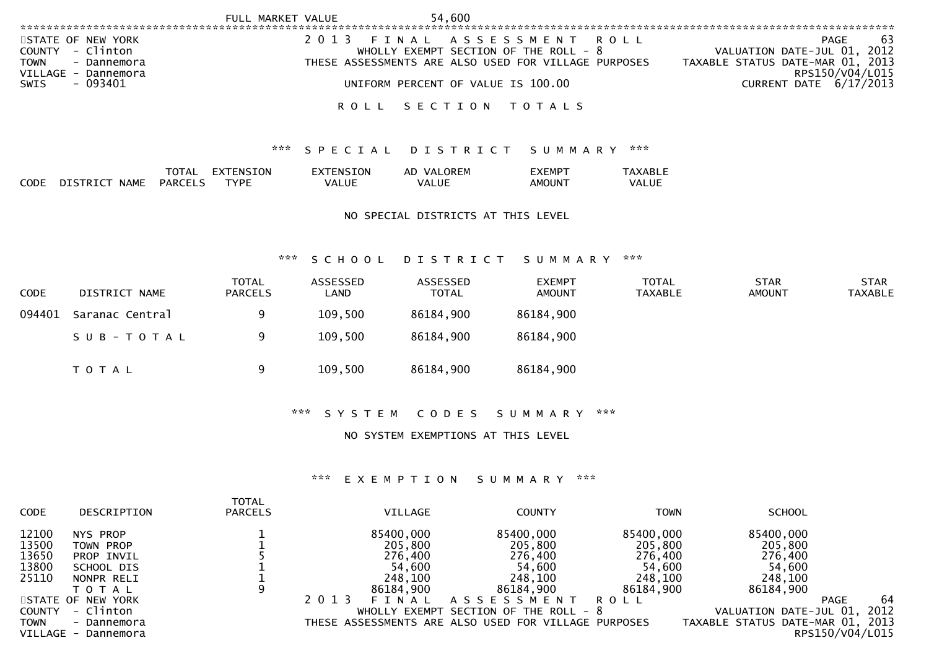|                                                                                                  | FULL MARKET VALUE                              | 54,600                                           |                                                                         |                                                                                                   |
|--------------------------------------------------------------------------------------------------|------------------------------------------------|--------------------------------------------------|-------------------------------------------------------------------------|---------------------------------------------------------------------------------------------------|
|                                                                                                  |                                                |                                                  |                                                                         |                                                                                                   |
| STATE OF NEW YORK<br>- Clinton<br>COUNTY<br><b>TOWN</b><br>- Dannemora<br>VILLAGE -<br>Dannemora | 2 0 1 3                                        | FINAL<br>WHOLLY EXEMPT SECTION OF THE ROLL - $8$ | ASSESSMENT ROLL<br>THESE ASSESSMENTS ARE ALSO USED FOR VILLAGE PURPOSES | -63<br>PAGE<br>VALUATION DATE-JUL 01, 2012<br>TAXABLE STATUS DATE-MAR 01, 2013<br>RPS150/V04/L015 |
| - 093401<br>SWIS                                                                                 |                                                | UNIFORM PERCENT OF VALUE IS 100.00               |                                                                         | CURRENT DATE 6/17/2013                                                                            |
|                                                                                                  | ROLL                                           | SECTION                                          | T O T A L S                                                             |                                                                                                   |
|                                                                                                  |                                                | *** SPECIAL DISTRICT SUMMARY                     | ***                                                                     |                                                                                                   |
| <b>TOTAL</b><br><b>PARCELS</b><br><b>NAME</b><br><b>CODE</b><br>DISTRICT                         | EXTENSION<br>EXTENSION<br><b>TYPE</b><br>VALUE | AD VALOREM<br>VALUE                              | <b>TAXABLE</b><br><b>EXEMPT</b><br>AMOUNT<br>VALUE                      |                                                                                                   |

NO SPECIAL DISTRICTS AT THIS LEVEL

### \*\*\* S C H O O L D I S T R I C T S U M M A R Y \*\*\*

| <b>CODE</b> | DISTRICT NAME   | <b>TOTAL</b><br><b>PARCELS</b> | ASSESSED<br>LAND | ASSESSED<br><b>TOTAL</b> | <b>EXEMPT</b><br><b>AMOUNT</b> | <b>TOTAL</b><br><b>TAXABLE</b> | <b>STAR</b><br><b>AMOUNT</b> | <b>STAR</b><br><b>TAXABLE</b> |
|-------------|-----------------|--------------------------------|------------------|--------------------------|--------------------------------|--------------------------------|------------------------------|-------------------------------|
| 094401      | Saranac Central | q                              | 109,500          | 86184,900                | 86184,900                      |                                |                              |                               |
|             | SUB-TOTAL       | 9                              | 109,500          | 86184,900                | 86184,900                      |                                |                              |                               |
|             | T O T A L       | 9                              | 109,500          | 86184,900                | 86184,900                      |                                |                              |                               |

\*\*\* S Y S T E M C O D E S S U M M A R Y \*\*\*

NO SYSTEM EXEMPTIONS AT THIS LEVEL

### \*\*\* E X E M P T I O N S U M M A R Y \*\*\*

| <b>CODE</b>                                                | DESCRIPTION                                                                                                    | <b>TOTAL</b><br><b>PARCELS</b> | VILLAGE                                                                                                       | <b>COUNTY</b>                                                                                                       | TOWN                                                                      | <b>SCHOOL</b>                                                                               |                    |
|------------------------------------------------------------|----------------------------------------------------------------------------------------------------------------|--------------------------------|---------------------------------------------------------------------------------------------------------------|---------------------------------------------------------------------------------------------------------------------|---------------------------------------------------------------------------|---------------------------------------------------------------------------------------------|--------------------|
| 12100<br>13500<br>13650<br>13800<br>25110<br><b>COUNTY</b> | NYS PROP<br>TOWN PROP<br>PROP INVIL<br>SCHOOL DIS<br>NONPR RELI<br>T O T A L<br>STATE OF NEW YORK<br>- Clinton | 9                              | 85400,000<br>205,800<br>276,400<br>54,600<br>248,100<br>86184,900<br>2 0 1 3<br>F I<br>N A L<br>WHOLLY EXEMPT | 85400,000<br>205,800<br>276,400<br>54,600<br>248,100<br>86184,900<br>A S S E S S M E N T<br>SECTION OF THE ROLL - 8 | 85400,000<br>205,800<br>276,400<br>54,600<br>248,100<br>86184,900<br>ROLL | 85400,000<br>205,800<br>276,400<br>54,600<br>248,100<br>86184,900<br>VALUATION DATE-JUL 01, | 64<br>PAGE<br>2012 |
| <b>TOWN</b><br>VILLAGE -                                   | - Dannemora<br>Dannemora                                                                                       |                                |                                                                                                               | THESE ASSESSMENTS ARE ALSO USED FOR VILLAGE PURPOSES                                                                |                                                                           | TAXABLE STATUS DATE-MAR 01, 2013                                                            | RPS150/V04/L015    |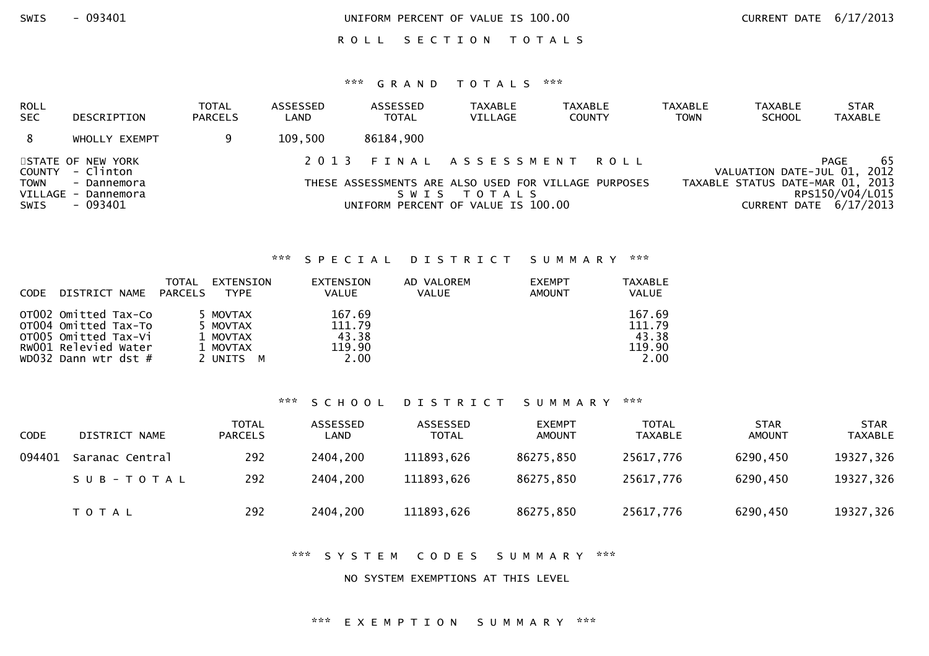ROLL SECTION TOTALS

### \*\*\* G R A N D T O T A L S \*\*\*

| ROLL<br><b>SEC</b>  | DESCRIPTION                                    | <b>TOTAL</b><br><b>PARCELS</b> | ASSESSED<br>LAND | ASSESSED<br><b>TOTAL</b> | <b>TAXABLE</b><br>VILLAGE                         | <b>TAXABLE</b><br><b>COUNTY</b>                      | <b>TAXABLE</b><br><b>TOWN</b> | <b>TAXABLE</b><br><b>SCHOOL</b> | <b>STAR</b><br>TAXABLE                                                        |
|---------------------|------------------------------------------------|--------------------------------|------------------|--------------------------|---------------------------------------------------|------------------------------------------------------|-------------------------------|---------------------------------|-------------------------------------------------------------------------------|
| 8                   | WHOLLY EXEMPT                                  |                                | 109,500          | 86184,900                |                                                   |                                                      |                               |                                 |                                                                               |
|                     | STATE OF NEW YORK<br>COUNTY - Clinton          |                                | 2013             |                          |                                                   | FINAL ASSESSMENT ROLL                                |                               |                                 | 65<br>PAGE<br>VALUATION DATE-JUL 01, 2012                                     |
| <b>TOWN</b><br>SWIS | - Dannemora<br>VILLAGE - Dannemora<br>- 093401 |                                |                  | S W I S                  | T O T A L S<br>UNIFORM PERCENT OF VALUE IS 100.00 | THESE ASSESSMENTS ARE ALSO USED FOR VILLAGE PURPOSES |                               |                                 | TAXABLE STATUS DATE-MAR 01, 2013<br>RPS150/V04/L015<br>CURRENT DATE 6/17/2013 |

### \*\*\* S P E C I A L D I S T R I C T S U M M A R Y \*\*\*

| <b>CODE</b> | DISTRICT NAME                                                                                                        | TOTAL<br>PARCELS | EXTENSION<br><b>TYPE</b>                                  | <b>EXTENSION</b><br>VALUE                   | AD VALOREM<br><b>VALUE</b> | <b>EXEMPT</b><br><b>AMOUNT</b> | <b>TAXABLE</b><br><b>VALUE</b>              |
|-------------|----------------------------------------------------------------------------------------------------------------------|------------------|-----------------------------------------------------------|---------------------------------------------|----------------------------|--------------------------------|---------------------------------------------|
|             | OTO02 Omitted Tax-Co<br>OT004 Omitted Tax-To<br>OTO05 Omitted Tax-Vi<br>RW001 Relevied Water<br>WD032 Dann wtr dst # |                  | 5 MOVTAX<br>5 MOVTAX<br>1 MOVTAX<br>1 MOVTAX<br>2 UNITS M | 167.69<br>111.79<br>43.38<br>119.90<br>2.00 |                            |                                | 167.69<br>111.79<br>43.38<br>119.90<br>2.00 |

#### \*\*\* S C H O O L D I S T R I C T S U M M A R Y \*\*\*

| <b>CODE</b> | DISTRICT NAME   | TOTAL<br><b>PARCELS</b> | ASSESSED<br>LAND | ASSESSED<br><b>TOTAL</b> | <b>EXEMPT</b><br><b>AMOUNT</b> | <b>TOTAL</b><br>TAXABLE | <b>STAR</b><br><b>AMOUNT</b> | <b>STAR</b><br><b>TAXABLE</b> |
|-------------|-----------------|-------------------------|------------------|--------------------------|--------------------------------|-------------------------|------------------------------|-------------------------------|
| 094401      | Saranac Central | 292                     | 2404,200         | 111893,626               | 86275,850                      | 25617,776               | 6290,450                     | 19327,326                     |
|             | SUB-TOTAL       | 292                     | 2404,200         | 111893,626               | 86275,850                      | 25617,776               | 6290,450                     | 19327,326                     |
|             | <b>TOTAL</b>    | 292                     | 2404,200         | 111893,626               | 86275,850                      | 25617,776               | 6290,450                     | 19327,326                     |

\*\*\* S Y S T E M C O D E S S U M M A R Y \*\*\*

NO SYSTEM EXEMPTIONS AT THIS LEVEL

#### \*\*\* E X E M P T I O N S U M M A R Y \*\*\*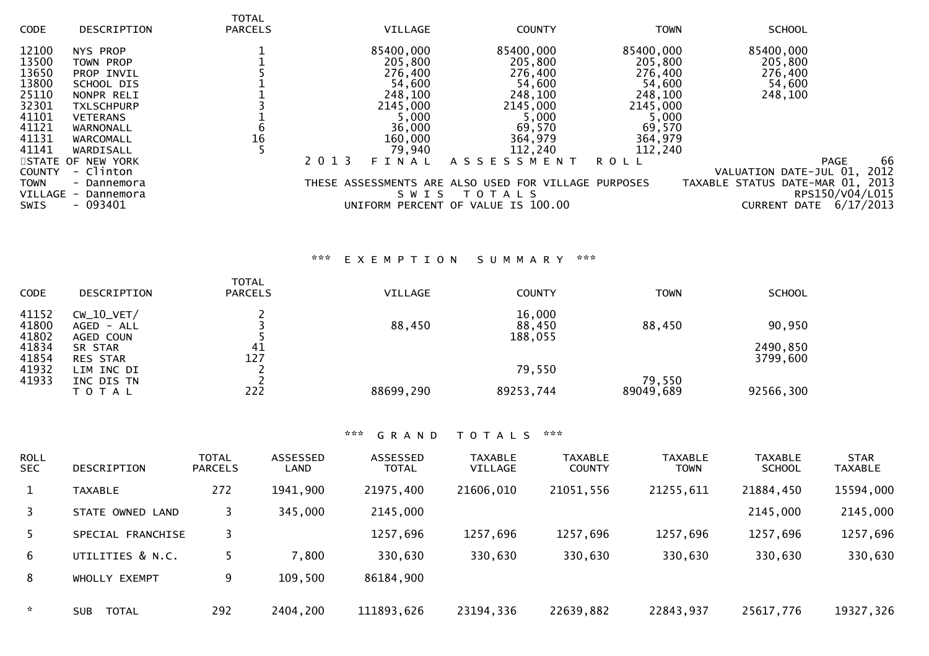| <b>CODE</b>                               | DESCRIPTION                           | <b>TOTAL</b><br><b>PARCELS</b> | VILLAGE                    | <b>COUNTY</b>                                                       | <b>TOWN</b>          | <b>SCHOOL</b>                                                                         |
|-------------------------------------------|---------------------------------------|--------------------------------|----------------------------|---------------------------------------------------------------------|----------------------|---------------------------------------------------------------------------------------|
| 12100<br>13500                            | NYS PROP<br>TOWN PROP                 |                                | 85400,000<br>205,800       | 85400,000<br>205,800                                                | 85400,000<br>205,800 | 85400,000<br>205,800                                                                  |
| 13650                                     | PROP INVIL                            |                                | 276,400                    | 276,400                                                             | 276,400              | 276,400                                                                               |
| 13800                                     | SCHOOL DIS                            |                                | 54,600                     | 54,600                                                              | 54,600               | 54,600                                                                                |
| 25110                                     | NONPR RELI                            |                                | 248,100                    | 248,100                                                             | 248,100              | 248,100                                                                               |
| 32301<br>41101                            | <b>TXLSCHPURP</b><br><b>VETERANS</b>  |                                | 2145,000<br>5,000          | 2145,000<br>5,000                                                   | 2145,000<br>5,000    |                                                                                       |
| 41121                                     | WARNONALL                             |                                | 36,000                     | 69,570                                                              | 69,570               |                                                                                       |
| 41131                                     | WARCOMALL                             | 16                             | 160,000                    | 364,979                                                             | 364,979              |                                                                                       |
| 41141                                     | WARDISALL<br>STATE OF NEW YORK        |                                | 79,940<br>2 0 1 3<br>FINAL | 112,240<br>A S S E S S M E N T                                      | 112,240<br>R O L L   | 66<br><b>PAGE</b>                                                                     |
| <b>COUNTY</b><br><b>TOWN</b><br>VILLAGE - | - Clinton<br>- Dannemora<br>Dannemora |                                | S W I S                    | THESE ASSESSMENTS ARE ALSO USED FOR VILLAGE PURPOSES<br>T O T A L S |                      | 2012<br>VALUATION DATE-JUL 01,<br>TAXABLE STATUS DATE-MAR 01, 2013<br>RPS150/V04/L015 |
| <b>SWIS</b>                               | $-093401$                             |                                |                            | UNIFORM PERCENT OF VALUE IS 100.00                                  |                      | 6/17/2013<br><b>CURRENT</b><br>DATE                                                   |

# \*\*\* E X E M P T I O N S U M M A R Y \*\*\*

| <b>CODE</b>    | <b>DESCRIPTION</b>            | <b>TOTAL</b><br><b>PARCELS</b> | VILLAGE   | <b>COUNTY</b>     | <b>TOWN</b> | <b>SCHOOL</b> |
|----------------|-------------------------------|--------------------------------|-----------|-------------------|-------------|---------------|
| 41152          | $CW_10_VET/$                  |                                |           | 16,000            |             |               |
| 41800<br>41802 | $AGED - ALL$<br>AGED COUN     |                                | 88,450    | 88,450<br>188,055 | 88,450      | 90,950        |
| 41834          | SR STAR                       | 41                             |           |                   |             | 2490,850      |
| 41854<br>41932 | <b>RES STAR</b><br>LIM INC DI | 127                            |           | 79,550            |             | 3799,600      |
| 41933          | INC DIS TN                    |                                |           |                   | 79,550      |               |
|                | T O T A L                     | 222                            | 88699,290 | 89253,744         | 89049,689   | 92566,300     |

| <b>ROLL</b><br>SEC. | DESCRIPTION                | <b>TOTAL</b><br><b>PARCELS</b> | ASSESSED<br>LAND | <b>ASSESSED</b><br><b>TOTAL</b> | <b>TAXABLE</b><br><b>VILLAGE</b> | <b>TAXABLE</b><br><b>COUNTY</b> | <b>TAXABLE</b><br>TOWN | <b>TAXABLE</b><br><b>SCHOOL</b> | <b>STAR</b><br><b>TAXABLE</b> |
|---------------------|----------------------------|--------------------------------|------------------|---------------------------------|----------------------------------|---------------------------------|------------------------|---------------------------------|-------------------------------|
| $\mathbf{1}$        | <b>TAXABLE</b>             | 272                            | 1941,900         | 21975,400                       | 21606,010                        | 21051,556                       | 21255,611              | 21884,450                       | 15594,000                     |
| 3                   | STATE OWNED LAND           | 3                              | 345,000          | 2145,000                        |                                  |                                 |                        | 2145,000                        | 2145,000                      |
| 5.                  | SPECIAL FRANCHISE          |                                |                  | 1257,696                        | 1257,696                         | 1257,696                        | 1257,696               | 1257,696                        | 1257,696                      |
| 6                   | UTILITIES & N.C.           |                                | 7,800            | 330,630                         | 330,630                          | 330,630                         | 330,630                | 330,630                         | 330,630                       |
| 8                   | WHOLLY EXEMPT              | 9                              | 109,500          | 86184,900                       |                                  |                                 |                        |                                 |                               |
| $\sim$              | <b>TOTAL</b><br><b>SUB</b> | 292                            | 2404,200         | 111893,626                      | 23194,336                        | 22639,882                       | 22843,937              | 25617,776                       | 19327,326                     |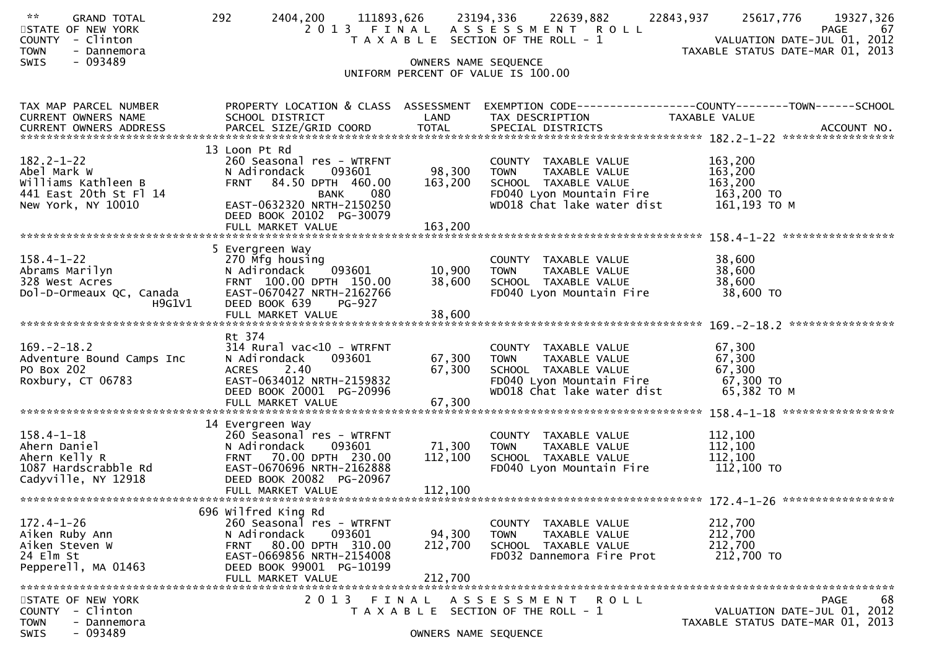| $\mathbf{x} \times$<br><b>GRAND TOTAL</b><br>STATE OF NEW YORK<br><b>COUNTY</b><br>- Clinton<br><b>TOWN</b><br>- Dannemora<br>$-093489$<br>SWIS | 292<br>2404,200<br>111893,626                                                                                                                                                                      | 23194,336<br>OWNERS NAME SEQUENCE | 22639,882<br>2013 FINAL ASSESSMENT ROLL<br>T A X A B L E SECTION OF THE ROLL - 1<br>UNIFORM PERCENT OF VALUE IS 100.00                 | 22843,937<br>25617,776<br>19327,326<br>67<br>PAGE<br>VALUATION DATE-JUL 01, 2012<br>TAXABLE STATUS DATE-MAR 01, 2013 |
|-------------------------------------------------------------------------------------------------------------------------------------------------|----------------------------------------------------------------------------------------------------------------------------------------------------------------------------------------------------|-----------------------------------|----------------------------------------------------------------------------------------------------------------------------------------|----------------------------------------------------------------------------------------------------------------------|
| TAX MAP PARCEL NUMBER<br>CURRENT OWNERS NAME                                                                                                    | PROPERTY LOCATION & CLASS ASSESSMENT<br>SCHOOL DISTRICT                                                                                                                                            | LAND                              | TAX DESCRIPTION                                                                                                                        | EXEMPTION CODE------------------COUNTY--------TOWN------SCHOOL<br>TAXABLE VALUE                                      |
| 182.2-1-22<br>Abel Mark W<br>Williams Kathleen B<br>441 East 20th St Fl 14<br>New York, NY 10010                                                | 13 Loon Pt Rd<br>260 Seasonal res - WTRFNT<br>093601<br>N Adirondack<br>FRNT 84.50 DPTH 460.00<br><b>BANK</b><br>080<br>EAST-0632320 NRTH-2150250<br>DEED BOOK 20102 PG-30079<br>FULL MARKET VALUE | 98,300<br>163,200<br>163,200      | COUNTY TAXABLE VALUE<br><b>TOWN</b><br>TAXABLE VALUE<br>SCHOOL TAXABLE VALUE<br>FD040 Lyon Mountain Fire<br>WD018 Chat lake water dist | 163,200<br>163,200<br>163,200<br>163,200 TO<br>161,193 ТО М                                                          |
| $158.4 - 1 - 22$<br>Abrams Marilyn<br>328 West Acres<br>Dol-D-Ormeaux QC, Canada<br>H9G1V1                                                      | 5 Evergreen Way<br>270 Mfg housing<br>093601<br>N Adirondack<br>FRNT 100.00 DPTH 150.00<br>EAST-0670427 NRTH-2162766<br>DEED BOOK 639<br><b>PG-927</b><br>FULL MARKET VALUE                        | 10,900<br>38,600<br>38,600        | COUNTY TAXABLE VALUE<br><b>TOWN</b><br>TAXABLE VALUE<br>SCHOOL TAXABLE VALUE<br>FD040 Lyon Mountain Fire                               | 38,600<br>38,600<br>38,600<br>38,600 TO                                                                              |
| $169. - 2 - 18.2$<br>Adventure Bound Camps Inc<br>PO Box 202<br>Roxbury, CT 06783                                                               | Rt 374<br>$314$ Rural vac<10 - WTRFNT<br>093601<br>N Adirondack<br>2.40<br><b>ACRES</b><br>EAST-0634012 NRTH-2159832<br>DEED BOOK 20001 PG-20996                                                   | 67,300<br>67,300                  | COUNTY TAXABLE VALUE<br>TAXABLE VALUE<br><b>TOWN</b><br>SCHOOL TAXABLE VALUE<br>FD040 Lyon Mountain Fire<br>WD018 Chat lake water dist | 67,300<br>67,300<br>67,300<br>67,300 TO<br>65,382 TO M                                                               |
| $158.4 - 1 - 18$<br>Ahern Daniel<br>Ahern Kelly R<br>1087 Hardscrabble Rd<br>Cadyville, NY 12918                                                | 14 Evergreen Way<br>260 Seasonal res - WTRFNT<br>093601<br>N Adirondack<br>FRNT 70.00 DPTH 230.00<br>EAST-0670696 NRTH-2162888<br>DEED BOOK 20082 PG-20967<br>FULL MARKET VALUE                    | 71,300<br>112,100<br>112,100      | COUNTY TAXABLE VALUE<br><b>TOWN</b><br>TAXABLE VALUE<br>SCHOOL TAXABLE VALUE<br>FD040 Lyon Mountain Fire                               | 112,100<br>112,100<br>112,100<br>112,100 TO                                                                          |
| $172.4 - 1 - 26$<br>Aiken Ruby Ann<br>Aiken Steven W<br>24 Elm St<br>Pepperell, MA 01463                                                        | 696 wilfred King Rd<br>260 Seasonal res - WTRFNT<br>N Adirondack<br>093601<br>80.00 DPTH 310.00<br><b>FRNT</b><br>EAST-0669856 NRTH-2154008<br>DEED BOOK 99001 PG-10199<br>FULL MARKET VALUE       | 94,300<br>212,700<br>212,700      | COUNTY TAXABLE VALUE<br><b>TOWN</b><br>TAXABLE VALUE<br>SCHOOL TAXABLE VALUE<br>FD032 Dannemora Fire Prot                              | 212,700<br>212,700<br>212,700<br>212,700 TO                                                                          |
| STATE OF NEW YORK<br>- Clinton<br><b>COUNTY</b><br><b>TOWN</b><br>- Dannemora<br>$-093489$<br>SWIS                                              | 2 0 1 3<br>T A X A B L E                                                                                                                                                                           | FINAL<br>OWNERS NAME SEQUENCE     | A S S E S S M E N T<br><b>ROLL</b><br>SECTION OF THE ROLL - 1                                                                          | 68<br><b>PAGE</b><br>VALUATION DATE-JUL 01, 2012<br>TAXABLE STATUS DATE-MAR 01, 2013                                 |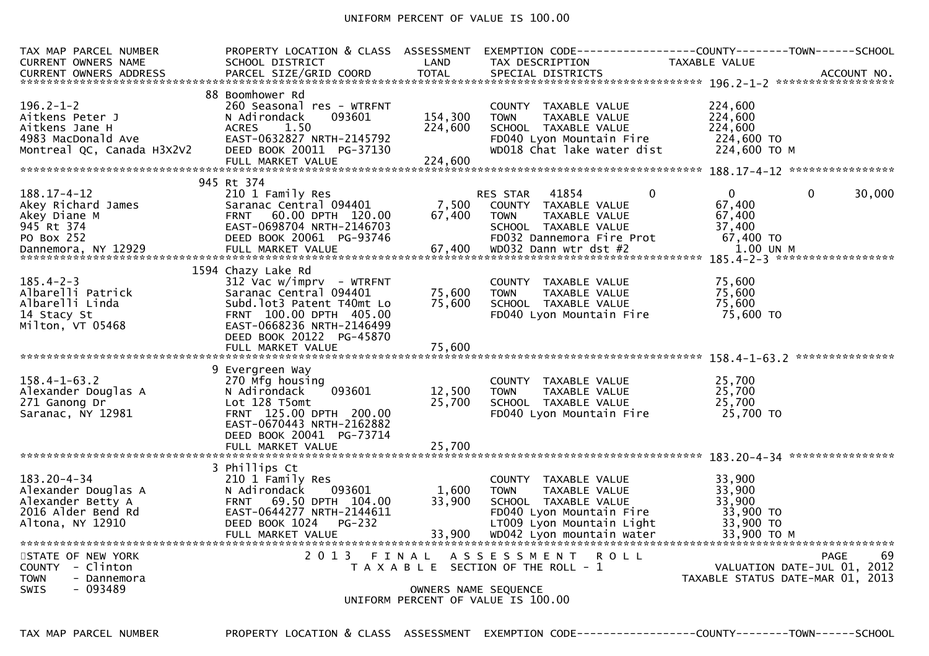### UNIFORM PERCENT OF VALUE IS 100.00

| TAX MAP PARCEL NUMBER<br><b>CURRENT OWNERS NAME</b>                                                      | PROPERTY LOCATION & CLASS ASSESSMENT<br>SCHOOL DISTRICT                                                                                                                                                        | LAND                          | EXEMPTION CODE-----<br>TAX DESCRIPTION                                                                                                                             | TAXABLE VALUE                                                       | -------COUNTY--------TOWN------SCHOOL                                                |
|----------------------------------------------------------------------------------------------------------|----------------------------------------------------------------------------------------------------------------------------------------------------------------------------------------------------------------|-------------------------------|--------------------------------------------------------------------------------------------------------------------------------------------------------------------|---------------------------------------------------------------------|--------------------------------------------------------------------------------------|
| $196.2 - 1 - 2$<br>Aitkens Peter J<br>Aitkens Jane H<br>4983 MacDonald Ave<br>Montreal QC, Canada H3X2V2 | 88 Boomhower Rd<br>260 Seasonal res - WTRFNT<br>N Adirondack<br>093601<br>1.50<br><b>ACRES</b><br>EAST-0632827 NRTH-2145792<br>DEED BOOK 20011 PG-37130<br>FULL MARKET VALUE                                   | 154,300<br>224,600<br>224,600 | COUNTY TAXABLE VALUE<br><b>TOWN</b><br>TAXABLE VALUE<br>SCHOOL TAXABLE VALUE<br>FD040 Lyon Mountain Fire<br>WD018 Chat lake water dist                             | 224,600<br>224,600<br>224,600<br>224,600 TO<br>224,600 ТО М         |                                                                                      |
|                                                                                                          | 945 Rt 374                                                                                                                                                                                                     |                               |                                                                                                                                                                    |                                                                     |                                                                                      |
| 188.17-4-12<br>Akey Richard James<br>Akey Diane M<br>945 Rt 374<br>PO Box 252                            | 210 1 Family Res<br>Saranac Central 094401<br>60.00 DPTH 120.00<br><b>FRNT</b><br>EAST-0698704 NRTH-2146703<br>DEED BOOK 20061 PG-93746                                                                        | 7,500<br>67,400               | RES STAR<br>41854<br>COUNTY TAXABLE VALUE<br><b>TOWN</b><br>TAXABLE VALUE<br>SCHOOL TAXABLE VALUE<br>FD032 Dannemora Fire Prot                                     | $\Omega$<br>$\Omega$<br>67,400<br>67,400<br>37,400<br>67,400 TO     | $\mathbf{0}$<br>30,000                                                               |
| $185.4 - 2 - 3$<br>Albarelli Patrick<br>Albarelli Linda<br>14 Stacy St<br>Milton, VT 05468               | 1594 Chazy Lake Rd<br>312 Vac w/imprv - WTRFNT<br>Saranac Central 094401<br>Subd.lot3 Patent T40mt Lo<br>FRNT 100.00 DPTH 405.00<br>EAST-0668236 NRTH-2146499<br>DEED BOOK 20122 PG-45870<br>FULL MARKET VALUE | 75,600<br>75.600<br>75,600    | COUNTY TAXABLE VALUE<br><b>TOWN</b><br>TAXABLE VALUE<br>SCHOOL TAXABLE VALUE<br>FD040 Lyon Mountain Fire                                                           | 75,600<br>75,600<br>75.600<br>75,600 TO                             |                                                                                      |
| $158.4 - 1 - 63.2$<br>Alexander Douglas A<br>271 Ganong Dr<br>Saranac, NY 12981                          | 9 Evergreen Way<br>270 Mfg housing<br>093601<br>N Adirondack<br>Lot 128 T5omt<br>FRNT 125.00 DPTH 200.00<br>EAST-0670443 NRTH-2162882<br>DEED BOOK 20041 PG-73714<br>FULL MARKET VALUE                         | 12,500<br>25,700<br>25,700    | COUNTY TAXABLE VALUE<br><b>TOWN</b><br>TAXABLE VALUE<br>SCHOOL TAXABLE VALUE<br>FD040 Lyon Mountain Fire                                                           | 25,700<br>25,700<br>25,700<br>25,700 TO                             |                                                                                      |
| $183.20 - 4 - 34$                                                                                        | 3 Phillips Ct                                                                                                                                                                                                  |                               |                                                                                                                                                                    |                                                                     |                                                                                      |
| Alexander Douglas A<br>Alexander Betty A<br>2016 Alder Bend Rd<br>Altona, NY 12910                       | 210 1 Family Res<br>093601<br>N Adirondack<br>FRNT 69.50 DPTH 104.00<br>EAST-0644277 NRTH-2144611<br>DEED BOOK 1024<br>PG-232<br>FULL MARKET VALUE                                                             | 1,600<br>33,900<br>33,900     | COUNTY TAXABLE VALUE<br>TAXABLE VALUE<br><b>TOWN</b><br>SCHOOL TAXABLE VALUE<br>FD040 Lyon Mountain Fire<br>LT009 Lyon Mountain Light<br>WD042 Lyon mountain water | 33,900<br>33,900<br>33,900<br>33,900 TO<br>33,900 TO<br>33,900 TO M |                                                                                      |
| STATE OF NEW YORK<br>COUNTY - Clinton<br><b>TOWN</b><br>- Dannemora<br><b>SWIS</b><br>- 093489           | 2 0 1 3                                                                                                                                                                                                        | FINAL<br>OWNERS NAME SEQUENCE | A S S E S S M E N T<br><b>ROLL</b><br>T A X A B L E SECTION OF THE ROLL - 1<br>UNIFORM PERCENT OF VALUE IS 100.00                                                  |                                                                     | 69<br><b>PAGE</b><br>VALUATION DATE-JUL 01, 2012<br>TAXABLE STATUS DATE-MAR 01, 2013 |

TAX MAP PARCEL NUMBER PROPERTY LOCATION & CLASS ASSESSMENT EXEMPTION CODE------------------COUNTY--------TOWN------SCHOOL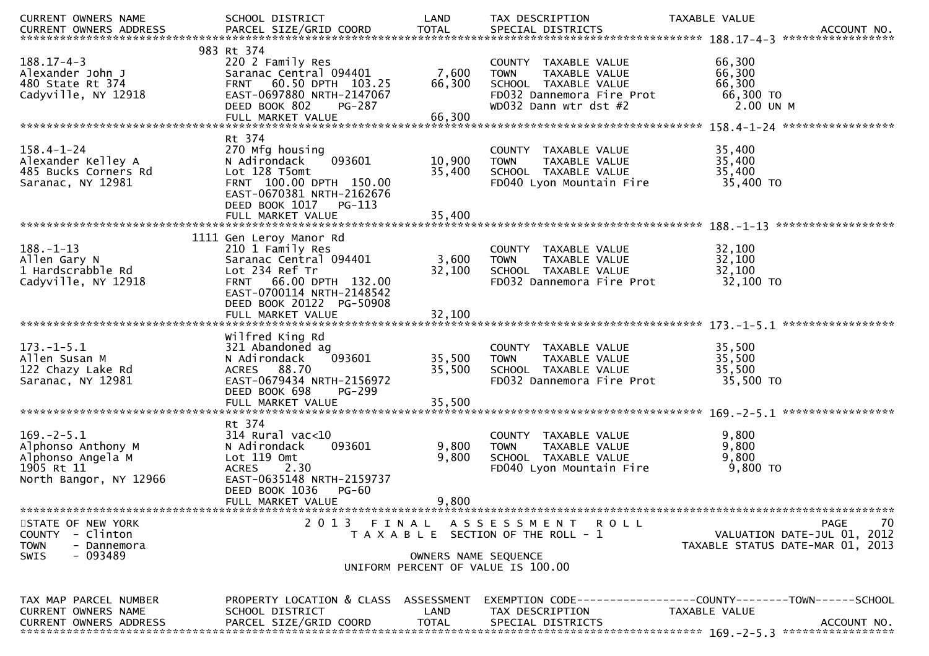| CURRENT OWNERS NAME           | SCHOOL DISTRICT                      | LAND                 | TAX DESCRIPTION                       | TAXABLE VALUE                                                  |
|-------------------------------|--------------------------------------|----------------------|---------------------------------------|----------------------------------------------------------------|
| CURRENT OWNERS ADDRESS        |                                      |                      |                                       |                                                                |
|                               |                                      |                      |                                       |                                                                |
|                               | 983 Rt 374                           |                      |                                       |                                                                |
| $188.17 - 4 - 3$              | 220 2 Family Res                     |                      | COUNTY TAXABLE VALUE                  | 66,300                                                         |
| Alexander John J              | Saranac Central 094401               | 7,600                | <b>TOWN</b><br>TAXABLE VALUE          | 66,300                                                         |
| 480 State Rt 374              | FRNT 60.50 DPTH 103.25               | 66,300               | SCHOOL TAXABLE VALUE                  | 66,300                                                         |
| Cadyville, NY 12918           | EAST-0697880 NRTH-2147067            |                      | FD032 Dannemora Fire Prot             | 66,300 TO                                                      |
|                               | DEED BOOK 802<br>PG-287              |                      | WD032 Dann wtr dst #2                 | 2.00 UN M                                                      |
|                               | FULL MARKET VALUE                    | 66,300               |                                       |                                                                |
|                               |                                      |                      |                                       |                                                                |
|                               | Rt 374                               |                      |                                       |                                                                |
| $158.4 - 1 - 24$              | 270 Mfg housing                      |                      | COUNTY TAXABLE VALUE                  | 35,400                                                         |
| Alexander Kelley A            | N Adirondack<br>093601               | 10,900               | TAXABLE VALUE<br><b>TOWN</b>          | 35,400                                                         |
| 485 Bucks Corners Rd          | Lot 128 T5omt                        | 35,400               | SCHOOL TAXABLE VALUE                  | 35,400                                                         |
| Saranac, NY 12981             | FRNT 100.00 DPTH 150.00              |                      | FD040 Lyon Mountain Fire              | 35,400 TO                                                      |
|                               | EAST-0670381 NRTH-2162676            |                      |                                       |                                                                |
|                               | DEED BOOK 1017<br>PG-113             |                      |                                       |                                                                |
|                               | FULL MARKET VALUE                    | 35,400               |                                       |                                                                |
|                               |                                      |                      |                                       | ******************                                             |
|                               | 1111 Gen Leroy Manor Rd              |                      |                                       |                                                                |
| $188. - 1 - 13$               | 210 1 Family Res                     |                      | COUNTY TAXABLE VALUE                  | 32,100                                                         |
| Allen Gary N                  | Saranac Central 094401               | 3,600                | TAXABLE VALUE<br><b>TOWN</b>          | 32,100                                                         |
| 1 Hardscrabble Rd             | Lot 234 Ref Tr                       | 32,100               | SCHOOL TAXABLE VALUE                  | 32,100                                                         |
| Cadyville, NY 12918           | FRNT 66.00 DPTH 132.00               |                      | FD032 Dannemora Fire Prot             | 32,100 TO                                                      |
|                               | EAST-0700114 NRTH-2148542            |                      |                                       |                                                                |
|                               | DEED BOOK 20122 PG-50908             |                      |                                       |                                                                |
|                               | FULL MARKET VALUE                    | 32,100               |                                       |                                                                |
|                               |                                      |                      |                                       |                                                                |
|                               | Wilfred King Rd                      |                      |                                       |                                                                |
| $173. - 1 - 5.1$              | 321 Abandoned ag                     |                      | COUNTY TAXABLE VALUE                  | 35,500                                                         |
| Allen Susan M                 | 093601<br>N Adirondack               | 35,500               | TAXABLE VALUE<br><b>TOWN</b>          | 35,500                                                         |
| 122 Chazy Lake Rd             | ACRES 88.70                          | 35,500               | SCHOOL TAXABLE VALUE                  | 35,500                                                         |
| Saranac, NY 12981             | EAST-0679434 NRTH-2156972            |                      | FD032 Dannemora Fire Prot             | 35,500 TO                                                      |
|                               | DEED BOOK 698<br>PG-299              |                      |                                       |                                                                |
|                               |                                      |                      |                                       |                                                                |
|                               |                                      |                      |                                       | *****************                                              |
|                               | Rt 374                               |                      |                                       |                                                                |
| $169. - 2 - 5.1$              | $314$ Rural vac<10                   |                      | COUNTY TAXABLE VALUE                  | 9,800                                                          |
| Alphonso Anthony M            | 093601<br>N Adirondack               | 9,800                | <b>TOWN</b><br>TAXABLE VALUE          | 9,800                                                          |
| Alphonso Angela M             | Lot 119 Omt                          | 9,800                | SCHOOL TAXABLE VALUE                  | 9,800                                                          |
| 1905 Rt 11                    | <b>ACRES</b><br>2.30                 |                      | FD040 Lyon Mountain Fire              | 9,800 TO                                                       |
| North Bangor, NY 12966        | EAST-0635148 NRTH-2159737            |                      |                                       |                                                                |
|                               | DEED BOOK 1036<br>$PG-60$            |                      |                                       |                                                                |
|                               | FULL MARKET VALUE                    | 9,800                |                                       |                                                                |
|                               |                                      |                      |                                       |                                                                |
| STATE OF NEW YORK             | 2 0 1 3<br>FINAL                     |                      | A S S E S S M E N T R O L L           | 70<br>PAGE                                                     |
| COUNTY - Clinton              |                                      |                      | T A X A B L E SECTION OF THE ROLL - 1 | VALUATION DATE-JUL 01, 2012                                    |
| <b>TOWN</b><br>- Dannemora    |                                      |                      |                                       | TAXABLE STATUS DATE-MAR 01, 2013                               |
| $-093489$<br>SWIS             |                                      | OWNERS NAME SEQUENCE |                                       |                                                                |
|                               |                                      |                      | UNIFORM PERCENT OF VALUE IS 100.00    |                                                                |
|                               |                                      |                      |                                       |                                                                |
|                               |                                      |                      |                                       |                                                                |
| TAX MAP PARCEL NUMBER         | PROPERTY LOCATION & CLASS ASSESSMENT |                      |                                       | EXEMPTION CODE------------------COUNTY--------TOWN------SCHOOL |
| CURRENT OWNERS NAME           | SCHOOL DISTRICT                      | LAND                 | TAX DESCRIPTION                       | TAXABLE VALUE                                                  |
| <b>CURRENT OWNERS ADDRESS</b> | PARCEL SIZE/GRID COORD               | <b>TOTAL</b>         | SPECIAL DISTRICTS                     | ACCOUNT NO.                                                    |
|                               |                                      |                      |                                       |                                                                |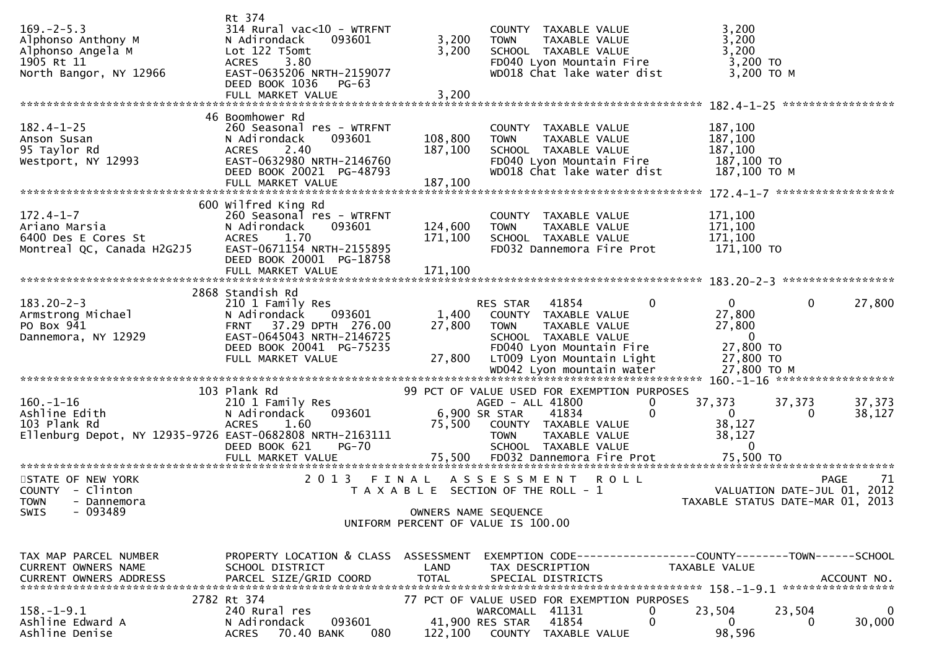|                                                                          | Rt 374                                                      |              |                                                                 |                                         |                                                                 |
|--------------------------------------------------------------------------|-------------------------------------------------------------|--------------|-----------------------------------------------------------------|-----------------------------------------|-----------------------------------------------------------------|
| $169. -2 - 5.3$<br>Alphonso Anthony M                                    | $314$ Rural vac<10 - WTRFNT<br>N Adirondack<br>093601       | 3,200        | COUNTY TAXABLE VALUE<br>TAXABLE VALUE<br><b>TOWN</b>            |                                         | 3,200<br>3,200                                                  |
| Alphonso Angela M<br>1905 Rt 11                                          | Lot 122 T5omt<br><b>ACRES</b><br>3.80                       | 3,200        | SCHOOL TAXABLE VALUE<br>FD040 Lyon Mountain Fire                |                                         | 3,200<br>$3,200$ TO                                             |
| North Bangor, NY 12966                                                   | EAST-0635206 NRTH-2159077<br>DEED BOOK 1036<br><b>PG-63</b> |              | WD018 Chat lake water dist                                      |                                         | 3,200 ТО М                                                      |
|                                                                          |                                                             |              |                                                                 |                                         |                                                                 |
| $182.4 - 1 - 25$                                                         | 46 Boomhower Rd<br>260 Seasonal res - WTRFNT                |              | COUNTY TAXABLE VALUE                                            | 187,100                                 |                                                                 |
| Anson Susan                                                              | 093601<br>N Adirondack                                      | 108,800      | <b>TOWN</b><br>TAXABLE VALUE                                    | 187,100                                 |                                                                 |
| 95 Taylor Rd<br>Westport, NY 12993                                       | <b>ACRES</b><br>2.40<br>EAST-0632980 NRTH-2146760           | 187,100      | SCHOOL TAXABLE VALUE<br>FD040 Lyon Mountain Fire                | 187,100                                 | 187,100 TO                                                      |
|                                                                          | DEED BOOK 20021 PG-48793                                    |              | WD018 Chat lake water dist                                      |                                         | 187,100 ТО М                                                    |
|                                                                          | FULL MARKET VALUE                                           | 187,100      |                                                                 |                                         |                                                                 |
| $172.4 - 1 - 7$                                                          | 600 Wilfred King Rd                                         |              |                                                                 |                                         |                                                                 |
| Ariano Marsia                                                            | 260 Seasonal res - WTRFNT<br>N Adirondack<br>093601         | 124,600      | COUNTY TAXABLE VALUE<br>TAXABLE VALUE<br><b>TOWN</b>            | 171,100<br>171,100                      |                                                                 |
| 6400 Des E Cores St<br>Montreal QC, Canada H2G2J5                        | ACRES 1.70<br>EAST-0671154 NRTH-2155895                     | 171,100      | SCHOOL TAXABLE VALUE<br>FD032 Dannemora Fire Prot               | 171,100                                 | 171,100 TO                                                      |
|                                                                          | DEED BOOK 20001 PG-18758                                    |              |                                                                 |                                         |                                                                 |
|                                                                          | FULL MARKET VALUE                                           | 171,100      |                                                                 |                                         |                                                                 |
|                                                                          | 2868 Standish Rd                                            |              |                                                                 |                                         |                                                                 |
| $183.20 - 2 - 3$<br>Armstrong Michael                                    | 210 1 Family Res<br>093601<br>N Adirondack                  | 1,400        | RES STAR 41854<br>COUNTY TAXABLE VALUE                          |                                         | 27,800<br>$\mathbf{0}$<br>0<br>27,800                           |
| PO Box 941                                                               | FRNT 37.29 DPTH 276.00                                      | 27,800       | <b>TOWN</b><br>TAXABLE VALUE                                    |                                         | 27,800                                                          |
| Dannemora, NY 12929                                                      | EAST-0645043 NRTH-2146725<br>DEED BOOK 20041 PG-75235       |              | SCHOOL TAXABLE VALUE<br>FD040 Lyon Mountain Fire                |                                         | - 0<br>27,800 TO                                                |
|                                                                          | FULL MARKET VALUE                                           | 27,800       | LT009 Lyon Mountain Light                                       |                                         | 27,800 TO                                                       |
|                                                                          |                                                             |              |                                                                 |                                         |                                                                 |
| $160. - 1 - 16$                                                          | 103 Plank Rd                                                |              | 99 PCT OF VALUE USED FOR EXEMPTION PURPOSES<br>AGED - ALL 41800 | 37,373<br>0                             | 37,373<br>37,373                                                |
| Ashline Edith                                                            | 210 1 Family Res<br>093601<br>N Adirondack                  |              | 6,900 SR STAR<br>41834                                          | 0<br>$\overline{0}$                     | 38,127<br>$\Omega$                                              |
| 103 Plank Rd<br>Ellenburg Depot, NY 12935-9726 EAST-0682808 NRTH-2163111 | <b>ACRES</b><br>1.60                                        | 75,500       | COUNTY TAXABLE VALUE<br>TAXABLE VALUE<br><b>TOWN</b>            |                                         | 38,127<br>38,127                                                |
|                                                                          | <b>PG-70</b><br>DEED BOOK 621                               |              | SCHOOL TAXABLE VALUE                                            |                                         | $\mathbf{0}$                                                    |
|                                                                          |                                                             |              |                                                                 |                                         |                                                                 |
| STATE OF NEW YORK                                                        | 2 0 1 3<br>FINAL                                            |              | A S S E S S M E N T                                             | <b>ROLL</b>                             | <b>PAGE</b><br>-71                                              |
| COUNTY - Clinton<br>TOWN - Dannemora                                     |                                                             |              | T A X A B L E SECTION OF THE ROLL - 1                           |                                         | VALUATION DATE-JUL 01, 2012<br>TAXABLE STATUS DATE-MAR 01, 2013 |
| $-093489$<br>SWIS                                                        |                                                             |              | OWNERS NAME SEQUENCE                                            |                                         |                                                                 |
|                                                                          |                                                             |              | UNIFORM PERCENT OF VALUE IS 100.00                              |                                         |                                                                 |
| TAX MAP PARCEL NUMBER                                                    | PROPERTY LOCATION & CLASS ASSESSMENT                        |              |                                                                 |                                         | EXEMPTION CODE------------------COUNTY--------TOWN------SCHOOL  |
| CURRENT OWNERS NAME                                                      | SCHOOL DISTRICT                                             | LAND         | TAX DESCRIPTION                                                 | TAXABLE VALUE                           |                                                                 |
| CURRENT OWNERS ADDRESS                                                   | PARCEL SIZE/GRID COORD                                      | <b>TOTAL</b> | SPECIAL DISTRICTS                                               |                                         | ACCOUNT NO.                                                     |
|                                                                          | 2782 Rt 374                                                 |              | 77 PCT OF VALUE USED FOR EXEMPTION PURPOSES                     |                                         |                                                                 |
| $158. - 1 - 9.1$<br>Ashline Edward A                                     | 240 Rural res<br>093601<br>N Adirondack                     |              | WARCOMALL 41131<br>41854<br>41,900 RES STAR                     | 23,504<br>0<br>$\mathbf{0}$<br>$\Omega$ | 23,504<br>$\Omega$<br>30,000<br>0                               |
| Ashline Denise                                                           | ACRES 70.40 BANK<br>080                                     | 122,100      | COUNTY TAXABLE VALUE                                            |                                         | 98,596                                                          |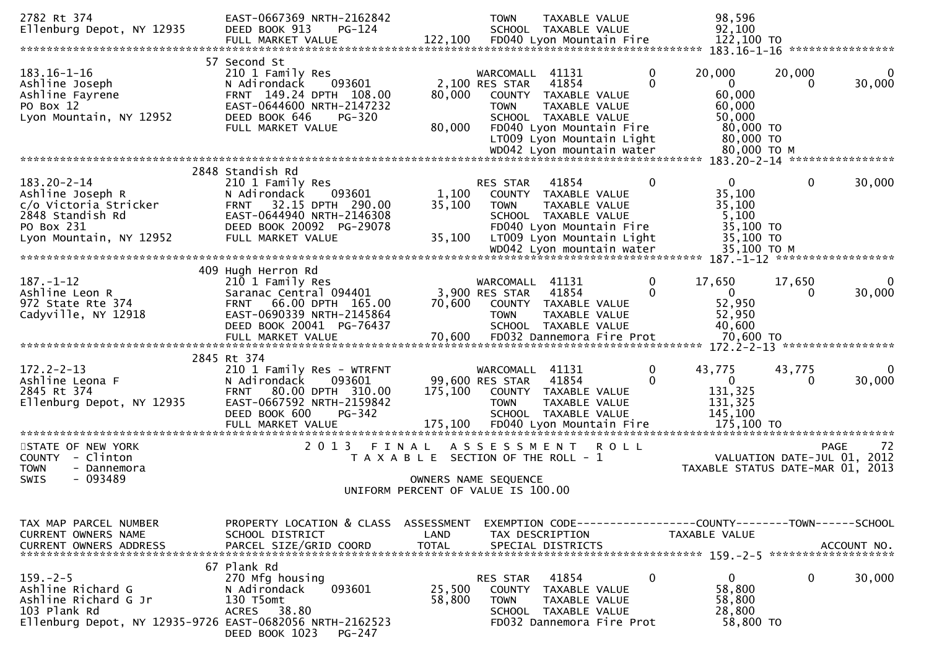| 2782 Rt 374<br>Ellenburg Depot, NY 12935                                                                                                | EAST-0667369 NRTH-2162842<br>DEED BOOK 913<br>$PG-124$<br>FULL MARKET VALUE                                                                                                         | 122,100                                                                                                      | <b>TOWN</b>                                      | TAXABLE VALUE<br>SCHOOL TAXABLE VALUE<br>FD040 Lyon Mountain Fire                                                                                            |               | 98,596<br>92,100<br>122,100 TO                                                     |                                     |                   |
|-----------------------------------------------------------------------------------------------------------------------------------------|-------------------------------------------------------------------------------------------------------------------------------------------------------------------------------------|--------------------------------------------------------------------------------------------------------------|--------------------------------------------------|--------------------------------------------------------------------------------------------------------------------------------------------------------------|---------------|------------------------------------------------------------------------------------|-------------------------------------|-------------------|
|                                                                                                                                         |                                                                                                                                                                                     |                                                                                                              |                                                  |                                                                                                                                                              |               |                                                                                    |                                     |                   |
| $183.16 - 1 - 16$<br>Ashline Joseph<br>Ashline Fayrene<br>PO Box 12<br>Lyon Mountain, NY 12952                                          | 57 Second St<br>210 1 Family Res<br>N Adirondack<br>093601<br>FRNT 149.24 DPTH 108.00<br>EAST-0644600 NRTH-2147232<br>DEED BOOK 646<br><b>PG-320</b><br>FULL MARKET VALUE           | 80,000<br>80,000                                                                                             | WARCOMALL<br>2,100 RES STAR<br><b>TOWN</b>       | 41131<br>41854<br>COUNTY TAXABLE VALUE<br>TAXABLE VALUE<br>SCHOOL TAXABLE VALUE<br>FD040 Lyon Mountain Fire<br>LT009 Lyon Mountain Light                     | 0<br>$\Omega$ | 20,000<br>$\overline{0}$<br>60,000<br>60,000<br>50,000<br>80,000 TO<br>80,000 TO   | 20,000<br>$\Omega$                  | 30,000            |
|                                                                                                                                         | 2848 Standish Rd                                                                                                                                                                    |                                                                                                              |                                                  |                                                                                                                                                              |               |                                                                                    |                                     |                   |
| $183.20 - 2 - 14$<br>Ashline Joseph R<br>c/o Victoria Stricker<br>2848 Standish Rd<br>PO Box 231<br>Lyon Mountain, NY 12952             | 210 1 Family Res<br>093601<br>N Adirondack<br>32.15 DPTH 290.00<br><b>FRNT</b><br>EAST-0644940 NRTH-2146308<br>DEED BOOK 20092 PG-29078<br>FULL MARKET VALUE                        | 1,100<br>35,100<br>35,100                                                                                    | RES STAR<br><b>TOWN</b>                          | 41854<br>COUNTY TAXABLE VALUE<br>TAXABLE VALUE<br>SCHOOL TAXABLE VALUE<br>FD040 Lyon Mountain Fire<br>LT009 Lyon Mountain Light<br>WD042 Lyon mountain water | 0             | $\mathbf{0}$<br>35,100<br>35,100<br>5,100<br>35,100 TO<br>35,100 TO<br>35,100 ТО М | $\mathbf 0$                         | 30,000            |
|                                                                                                                                         |                                                                                                                                                                                     |                                                                                                              |                                                  |                                                                                                                                                              |               |                                                                                    | $187. - 1 - 12$ ******************* |                   |
| $187. - 1 - 12$<br>Ashline Leon R<br>972 State Rte 374<br>Cadyville, NY 12918                                                           | 409 Hugh Herron Rd<br>210 1 Family Res<br>Saranac Central 094401<br>66.00 DPTH 165.00<br><b>FRNT</b><br>EAST-0690339 NRTH-2145864<br>DEED BOOK 20041 PG-76437                       | 70,600                                                                                                       | WARCOMALL 41131<br>3,900 RES STAR<br><b>TOWN</b> | 41854<br>COUNTY TAXABLE VALUE<br>TAXABLE VALUE<br>SCHOOL TAXABLE VALUE                                                                                       | 0<br>$\Omega$ | 17,650<br>$\overline{0}$<br>52,950<br>52,950<br>40,600                             | 17,650<br>$\Omega$                  | 30,000            |
|                                                                                                                                         |                                                                                                                                                                                     |                                                                                                              |                                                  |                                                                                                                                                              |               |                                                                                    |                                     |                   |
| $172.2 - 2 - 13$<br>Ashline Leona F<br>2845 Rt 374<br>Ellenburg Depot, NY 12935                                                         | 2845 Rt 374<br>210 1 Family Res - WTRFNT<br>N Adirondack<br>093601<br>80.00 DPTH 310.00<br><b>FRNT</b><br>EAST-0667592 NRTH-2159842<br>DEED BOOK 600<br>PG-342<br>FULL MARKET VALUE | 175,100<br>175,100                                                                                           | WARCOMALL<br>99,600 RES STAR<br><b>TOWN</b>      | 41131<br>41854<br>COUNTY TAXABLE VALUE<br>TAXABLE VALUE<br>SCHOOL TAXABLE VALUE<br>FD040 Lyon Mountain Fire                                                  | 0<br>0        | 43,775<br>$\mathbf 0$<br>131,325<br>131,325<br>145,100<br>175,100 TO               | 43,775<br>0                         | 30,000            |
| **********************                                                                                                                  | *******************                                                                                                                                                                 |                                                                                                              |                                                  | ***********************************                                                                                                                          |               | *****************************                                                      |                                     |                   |
| STATE OF NEW YORK<br>- Clinton<br><b>COUNTY</b><br><b>TOWN</b><br>- Dannemora<br>- 093489<br><b>SWIS</b>                                | 2 0 1 3                                                                                                                                                                             | FINAL<br>T A X A B L E SECTION OF THE ROLL - 1<br>OWNERS NAME SEQUENCE<br>UNIFORM PERCENT OF VALUE IS 100.00 | ASSESSMENT                                       |                                                                                                                                                              | <b>ROLL</b>   | TAXABLE STATUS DATE-MAR 01, 2013                                                   | VALUATION DATE-JUL 01, 2012         | <b>PAGE</b><br>72 |
|                                                                                                                                         |                                                                                                                                                                                     |                                                                                                              |                                                  |                                                                                                                                                              |               |                                                                                    |                                     |                   |
| TAX MAP PARCEL NUMBER<br>CURRENT OWNERS NAME                                                                                            | PROPERTY LOCATION & CLASS ASSESSMENT<br>SCHOOL DISTRICT                                                                                                                             | LAND                                                                                                         |                                                  | TAX DESCRIPTION                                                                                                                                              |               | EXEMPTION CODE------------------COUNTY--------TOWN------SCHOOL<br>TAXABLE VALUE    |                                     |                   |
| $159. - 2 - 5$<br>Ashline Richard G<br>Ashline Richard G Jr<br>103 Plank Rd<br>Ellenburg Depot, NY 12935-9726 EAST-0682056 NRTH-2162523 | 67 Plank Rd<br>270 Mfg housing<br>093601<br>N Adirondack<br>130 T5omt<br><b>ACRES</b><br>38.80<br>DEED BOOK 1023<br>PG-247                                                          | 25,500<br>58,800                                                                                             | RES STAR<br>COUNTY<br><b>TOWN</b>                | 41854<br>TAXABLE VALUE<br>TAXABLE VALUE<br>SCHOOL TAXABLE VALUE<br>FD032 Dannemora Fire Prot                                                                 | $\mathbf 0$   | 0<br>58,800<br>58,800<br>28,800<br>58,800 TO                                       | $\mathbf 0$                         | 30,000            |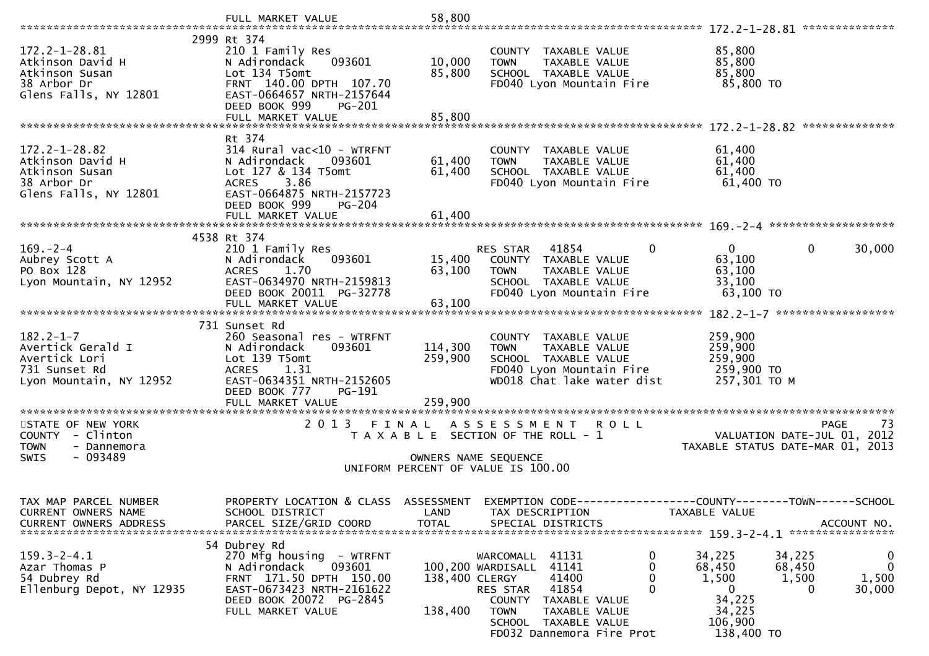|                                                                                                   | FULL MARKET VALUE                                                                                                                                                          | 58,800                        |                                                                                                                                                                                                                        |                                                                                                                                                      |
|---------------------------------------------------------------------------------------------------|----------------------------------------------------------------------------------------------------------------------------------------------------------------------------|-------------------------------|------------------------------------------------------------------------------------------------------------------------------------------------------------------------------------------------------------------------|------------------------------------------------------------------------------------------------------------------------------------------------------|
|                                                                                                   |                                                                                                                                                                            |                               |                                                                                                                                                                                                                        |                                                                                                                                                      |
| $172.2 - 1 - 28.81$<br>Atkinson David H<br>Atkinson Susan<br>38 Arbor Dr<br>Glens Falls, NY 12801 | 2999 Rt 374<br>210 1 Family Res<br>N Adirondack<br>093601<br>Lot 134 T5omt<br>FRNT 140.00 DPTH 107.70<br>EAST-0664657 NRTH-2157644<br>DEED BOOK 999<br>PG-201              | 10,000<br>85,800              | COUNTY TAXABLE VALUE<br>TAXABLE VALUE<br><b>TOWN</b><br>SCHOOL TAXABLE VALUE<br>FD040 Lyon Mountain Fire                                                                                                               | 85,800<br>85,800<br>85,800<br>85,800 TO                                                                                                              |
|                                                                                                   | FULL MARKET VALUE                                                                                                                                                          | 85,800                        |                                                                                                                                                                                                                        |                                                                                                                                                      |
|                                                                                                   |                                                                                                                                                                            |                               |                                                                                                                                                                                                                        |                                                                                                                                                      |
| $172.2 - 1 - 28.82$<br>Atkinson David H<br>Atkinson Susan<br>38 Arbor Dr<br>Glens Falls, NY 12801 | Rt 374<br>$314$ Rural vac<10 - WTRFNT<br>N Adirondack<br>093601<br>Lot 127 & 134 T5omt<br>3.86<br>ACRES<br>EAST-0664875 NRTH-2157723<br>DEED BOOK 999<br><b>PG-204</b>     | 61,400<br>61,400              | COUNTY TAXABLE VALUE<br><b>TOWN</b><br>TAXABLE VALUE<br>SCHOOL TAXABLE VALUE<br>FD040 Lyon Mountain Fire                                                                                                               | 61,400<br>61,400<br>61,400<br>61,400 TO                                                                                                              |
|                                                                                                   | FULL MARKET VALUE                                                                                                                                                          | 61,400                        |                                                                                                                                                                                                                        |                                                                                                                                                      |
|                                                                                                   | 4538 Rt 374                                                                                                                                                                |                               |                                                                                                                                                                                                                        |                                                                                                                                                      |
| $169. - 2 - 4$<br>Aubrey Scott A<br>PO Box 128<br>Lyon Mountain, NY 12952                         | 210 1 Family Res<br>N Adirondack<br>093601<br>1.70<br><b>ACRES</b><br>EAST-0634970 NRTH-2159813<br>DEED BOOK 20011 PG-32778                                                | 15,400<br>63,100              | $\mathbf{0}$<br>RES STAR<br>41854<br>COUNTY TAXABLE VALUE<br><b>TOWN</b><br>TAXABLE VALUE<br>SCHOOL TAXABLE VALUE<br>FD040 Lyon Mountain Fire                                                                          | $\Omega$<br>$\mathbf{0}$<br>30,000<br>63,100<br>63,100<br>33,100<br>$63,100$ TO                                                                      |
|                                                                                                   |                                                                                                                                                                            |                               |                                                                                                                                                                                                                        |                                                                                                                                                      |
| $182.2 - 1 - 7$<br>Avertick Gerald I<br>Avertick Lori<br>731 Sunset Rd<br>Lyon Mountain, NY 12952 | 731 Sunset Rd<br>260 Seasonal res - WTRFNT<br>093601<br>N Adirondack<br>Lot 139 T5omt<br><b>ACRES</b><br>1.31<br>EAST-0634351 NRTH-2152605<br>DEED BOOK 777<br>PG-191      | 114,300<br>259,900            | COUNTY TAXABLE VALUE<br>TAXABLE VALUE<br><b>TOWN</b><br>SCHOOL TAXABLE VALUE<br>FD040 Lyon Mountain Fire<br>WD018 Chat lake water dist                                                                                 | 259,900<br>259,900<br>259,900<br>259,900 TO<br>257,301 TO M                                                                                          |
|                                                                                                   |                                                                                                                                                                            |                               |                                                                                                                                                                                                                        |                                                                                                                                                      |
| STATE OF NEW YORK<br>COUNTY - Clinton<br><b>TOWN</b><br>- Dannemora<br>- 093489<br>SWIS           | 2 0 1 3                                                                                                                                                                    | FINAL<br>OWNERS NAME SEQUENCE | A S S E S S M E N T R O L L<br>T A X A B L E SECTION OF THE ROLL - 1<br>UNIFORM PERCENT OF VALUE IS 100.00                                                                                                             | <b>PAGE</b><br>73<br>VALUATION DATE-JUL 01,<br>2012<br>TAXABLE STATUS DATE-MAR 01, 2013                                                              |
| TAX MAP PARCEL NUMBER<br>CURRENT OWNERS NAME<br><b>CURRENT OWNERS ADDRESS</b>                     | SCHOOL DISTRICT<br>PARCEL SIZE/GRID COORD                                                                                                                                  | LAND<br><b>TOTAL</b>          | PROPERTY LOCATION & CLASS ASSESSMENT EXEMPTION CODE----------------COUNTY-------TOWN------SCHOOL<br>TAX DESCRIPTION<br>SPECIAL DISTRICTS                                                                               | TAXABLE VALUE<br>ACCOUNT NO.                                                                                                                         |
| $159.3 - 2 - 4.1$<br>Azar Thomas P<br>54 Dubrey Rd<br>Ellenburg Depot, NY 12935                   | 54 Dubrey Rd<br>270 Mfg housing - WTRFNT<br>093601<br>N Adirondack<br>FRNT 171.50 DPTH 150.00<br>EAST-0673423 NRTH-2161622<br>DEED BOOK 20072 PG-2845<br>FULL MARKET VALUE | 138,400 CLERGY<br>138,400     | WARCOMALL<br>41131<br>100,200 WARDISALL<br>41141<br>41400<br>0<br>$\Omega$<br>41854<br><b>RES STAR</b><br>COUNTY TAXABLE VALUE<br>TAXABLE VALUE<br><b>TOWN</b><br>TAXABLE VALUE<br>SCHOOL<br>FD032 Dannemora Fire Prot | 34,225<br>0<br>34,225<br>$\mathbf 0$<br>68,450<br>68,450<br>1,500<br>1,500<br>1,500<br>30,000<br>0<br>0<br>34,225<br>34,225<br>106,900<br>138,400 TO |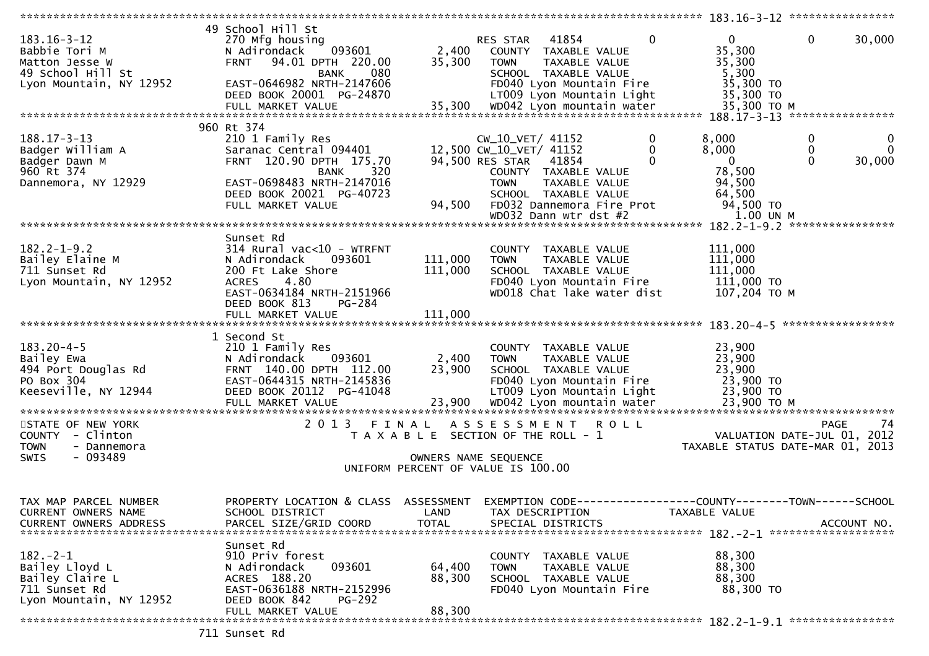| $183.16 - 3 - 12$<br>Babbie Tori M<br>Matton Jesse W<br>49 School Hill St                       | 49 School Hill St<br>270 Mfg housing<br>093601<br>N Adirondack<br>94.01 DPTH 220.00<br><b>FRNT</b><br>080<br><b>BANK</b>                                                                | 2,400<br>35,300            | RES STAR<br>41854<br>COUNTY TAXABLE VALUE<br><b>TOWN</b><br>SCHOOL TAXABLE VALUE                                                                                    | 0<br>TAXABLE VALUE           | $\Omega$<br>35,300<br>35,300<br>5,300                                     | $\mathbf{0}$<br>30,000                                                               |
|-------------------------------------------------------------------------------------------------|-----------------------------------------------------------------------------------------------------------------------------------------------------------------------------------------|----------------------------|---------------------------------------------------------------------------------------------------------------------------------------------------------------------|------------------------------|---------------------------------------------------------------------------|--------------------------------------------------------------------------------------|
| Lyon Mountain, NY 12952                                                                         | EAST-0646982 NRTH-2147606<br>DEED BOOK 20001 PG-24870                                                                                                                                   |                            | FD040 Lyon Mountain Fire<br>LT009 Lyon Mountain Light                                                                                                               |                              | 35,300 TO<br>35,300 TO                                                    |                                                                                      |
|                                                                                                 |                                                                                                                                                                                         |                            |                                                                                                                                                                     |                              |                                                                           |                                                                                      |
| $188.17 - 3 - 13$<br>Badger William A<br>Badger Dawn M<br>960 Rt 374<br>Dannemora, NY 12929     | 960 Rt 374<br>210 1 Family Res<br>Saranac Central 094401<br>FRNT 120.90 DPTH 175.70<br>320<br><b>BANK</b><br>EAST-0698483 NRTH-2147016<br>DEED BOOK 20021 PG-40723<br>FULL MARKET VALUE | 94,500                     | CW_10_VET/ 41152<br>12,500 CW_10_VET/ 41152<br>94,500 RES STAR<br>41854<br>COUNTY TAXABLE VALUE<br><b>TOWN</b><br>SCHOOL TAXABLE VALUE<br>FD032 Dannemora Fire Prot | 0<br>0<br>0<br>TAXABLE VALUE | 8,000<br>8,000<br>$\mathbf{0}$<br>78,500<br>94,500<br>64,500<br>94,500 TO | 0<br>U<br>0<br>$\Omega$<br>$\Omega$<br>30,000                                        |
|                                                                                                 |                                                                                                                                                                                         |                            | WD032 Dann wtr dst #2                                                                                                                                               |                              | 1.00 UN M                                                                 |                                                                                      |
| $182.2 - 1 - 9.2$<br>Bailey Elaine M<br>711 Sunset Rd<br>Lyon Mountain, NY 12952                | Sunset Rd<br>$314$ Rural vac< $10$ - WTRFNT<br>093601<br>N Adirondack<br>200 Ft Lake Shore<br>4.80<br><b>ACRES</b><br>EAST-0634184 NRTH-2151966<br>DEED BOOK 813<br>PG-284              | 111,000<br>111,000         | COUNTY TAXABLE VALUE<br><b>TOWN</b><br>SCHOOL TAXABLE VALUE<br>FD040 Lyon Mountain Fire<br>WD018 Chat lake water dist                                               | <b>TAXABLE VALUE</b>         | 111,000<br>111,000<br>111,000<br>111,000 TO<br>107,204 ТО М               |                                                                                      |
|                                                                                                 | FULL MARKET VALUE                                                                                                                                                                       | 111,000                    |                                                                                                                                                                     |                              |                                                                           |                                                                                      |
|                                                                                                 |                                                                                                                                                                                         |                            |                                                                                                                                                                     |                              |                                                                           |                                                                                      |
| $183.20 - 4 - 5$<br>Bailey Ewa<br>494 Port Douglas Rd<br>PO Box 304<br>Keeseville, NY 12944     | 1 Second St<br>210 1 Family Res<br>N Adirondack<br>093601<br>FRNT 140.00 DPTH 112.00<br>EAST-0644315 NRTH-2145836<br>DEED BOOK 20112 PG-41048                                           | 2,400<br>23,900            | COUNTY TAXABLE VALUE<br><b>TOWN</b><br>SCHOOL TAXABLE VALUE<br>FD040 Lyon Mountain Fire<br>LT009 Lyon Mountain Light                                                | TAXABLE VALUE                | 23,900<br>23,900<br>23,900<br>23,900 TO<br>23,900 TO                      |                                                                                      |
|                                                                                                 |                                                                                                                                                                                         |                            |                                                                                                                                                                     |                              |                                                                           |                                                                                      |
| STATE OF NEW YORK<br>COUNTY - Clinton<br><b>TOWN</b><br>- Dannemora<br>$-093489$<br><b>SWIS</b> | 2013                                                                                                                                                                                    | FINAL                      | A S S E S S M E N T<br>T A X A B L E SECTION OF THE ROLL - 1<br>OWNERS NAME SEQUENCE<br>UNIFORM PERCENT OF VALUE IS 100.00                                          | <b>ROLL</b>                  |                                                                           | 74<br><b>PAGE</b><br>VALUATION DATE-JUL 01, 2012<br>TAXABLE STATUS DATE-MAR 01, 2013 |
|                                                                                                 |                                                                                                                                                                                         |                            |                                                                                                                                                                     |                              |                                                                           |                                                                                      |
| TAX MAP PARCEL NUMBER<br>CURRENT OWNERS NAME<br><b>CURRENT OWNERS ADDRESS</b>                   | PROPERTY LOCATION & CLASS ASSESSMENT<br>SCHOOL DISTRICT<br>PARCEL SIZE/GRID COORD                                                                                                       | LAND<br><b>TOTAL</b>       | EXEMPTION CODE--<br>TAX DESCRIPTION<br>SPECIAL DISTRICTS                                                                                                            |                              | ----------------COUNTY--------TOWN------SCHOOL<br>TAXABLE VALUE           | ACCOUNT NO.                                                                          |
| $182 - 2 - 1$<br>Bailey Lloyd L<br>Bailey Claire L<br>711 Sunset Rd<br>Lyon Mountain, NY 12952  | Sunset Rd<br>910 Priv forest<br>093601<br>N Adirondack<br>ACRES 188.20<br>EAST-0636188 NRTH-2152996<br>DEED BOOK 842<br><b>PG-292</b><br>FULL MARKET VALUE                              | 64,400<br>88,300<br>88,300 | COUNTY TAXABLE VALUE<br><b>TOWN</b><br>SCHOOL TAXABLE VALUE<br>FD040 Lyon Mountain Fire                                                                             | TAXABLE VALUE                | 88,300<br>88,300<br>88,300<br>88,300 TO                                   |                                                                                      |
|                                                                                                 | $711$ $C$ uncet $D$                                                                                                                                                                     |                            |                                                                                                                                                                     |                              |                                                                           |                                                                                      |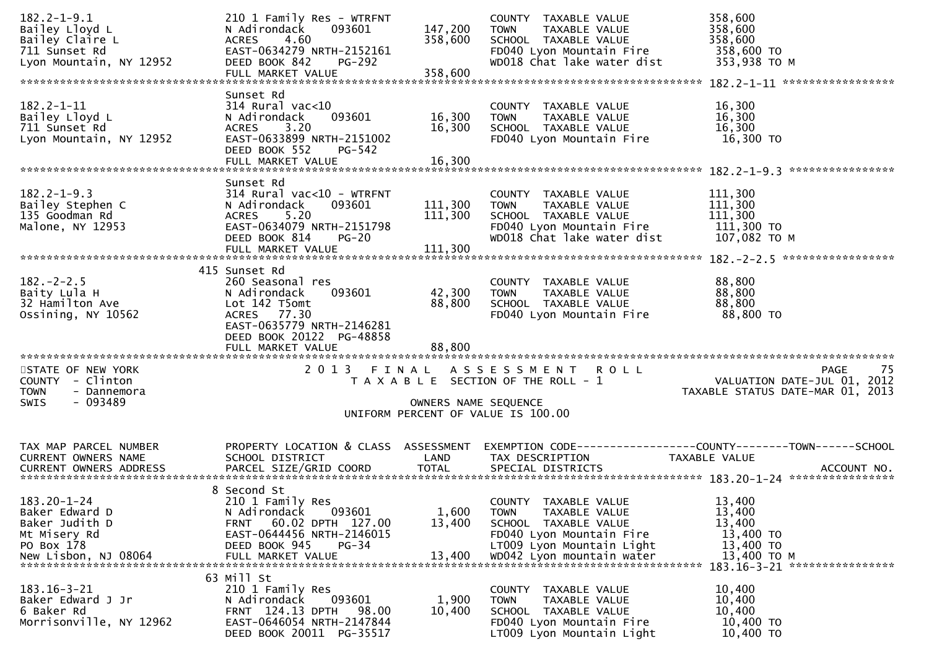| $182.2 - 1 - 9.1$                     | 210 1 Family Res - WTRFNT                                     |                      | COUNTY TAXABLE VALUE                                                                                                                                                                                                           | 358,600                             |  |  |
|---------------------------------------|---------------------------------------------------------------|----------------------|--------------------------------------------------------------------------------------------------------------------------------------------------------------------------------------------------------------------------------|-------------------------------------|--|--|
| Bailey Lloyd L                        | 093601<br>N Adirondack                                        | 147,200              | <b>TOWN</b><br>TAXABLE VALUE                                                                                                                                                                                                   | 358,600                             |  |  |
| Bailey Claire L                       | 4.60<br><b>ACRES</b>                                          | 358,600              | SCHOOL TAXABLE VALUE                                                                                                                                                                                                           | 358,600                             |  |  |
| 711 Sunset Rd                         | EAST-0634279 NRTH-2152161                                     |                      | FD040 Lyon Mountain Fire                                                                                                                                                                                                       | 358,600 TO                          |  |  |
| Lyon Mountain, NY 12952               | DEED BOOK 842<br><b>PG-292</b>                                |                      | WD018 Chat lake water dist                                                                                                                                                                                                     | 353,938 ТО М                        |  |  |
|                                       | FULL MARKET VALUE                                             | 358,600              |                                                                                                                                                                                                                                |                                     |  |  |
|                                       |                                                               |                      |                                                                                                                                                                                                                                |                                     |  |  |
|                                       | Sunset Rd                                                     |                      |                                                                                                                                                                                                                                |                                     |  |  |
| $182.2 - 1 - 11$                      | $314$ Rural vac<10                                            |                      | COUNTY TAXABLE VALUE                                                                                                                                                                                                           | 16,300                              |  |  |
| Bailey Lloyd L                        | 093601<br>N Adirondack                                        | 16,300               | <b>TOWN</b><br>TAXABLE VALUE                                                                                                                                                                                                   | 16,300                              |  |  |
| 711 Sunset Rd                         | 3.20<br><b>ACRES</b><br>EAST-0633899 NRTH-2151002             | 16,300               | SCHOOL TAXABLE VALUE                                                                                                                                                                                                           | 16,300                              |  |  |
| Lyon Mountain, NY 12952               | DEED BOOK 552<br>PG-542                                       |                      | FD040 Lyon Mountain Fire                                                                                                                                                                                                       | 16,300 TO                           |  |  |
|                                       | FULL MARKET VALUE                                             | 16,300               |                                                                                                                                                                                                                                |                                     |  |  |
|                                       |                                                               |                      |                                                                                                                                                                                                                                |                                     |  |  |
|                                       | Sunset Rd                                                     |                      |                                                                                                                                                                                                                                |                                     |  |  |
| $182.2 - 1 - 9.3$                     | $314$ Rural vac<10 - WTRFNT                                   |                      | COUNTY TAXABLE VALUE                                                                                                                                                                                                           | 111,300                             |  |  |
| Bailey Stephen C                      | N Adirondack<br>093601                                        | 111,300              | TAXABLE VALUE<br><b>TOWN</b>                                                                                                                                                                                                   | 111,300                             |  |  |
| 135 Goodman Rd                        | 5.20<br><b>ACRES</b>                                          | 111,300              | SCHOOL TAXABLE VALUE                                                                                                                                                                                                           | 111,300                             |  |  |
| Malone, NY 12953                      | EAST-0634079 NRTH-2151798                                     |                      | FD040 Lyon Mountain Fire                                                                                                                                                                                                       | 111,300 TO                          |  |  |
|                                       | DEED BOOK 814<br>$PG-20$                                      |                      | WD018 Chat lake water dist                                                                                                                                                                                                     | 107,082 ТО М                        |  |  |
|                                       | FULL MARKET VALUE                                             | 111,300              |                                                                                                                                                                                                                                |                                     |  |  |
|                                       |                                                               |                      |                                                                                                                                                                                                                                |                                     |  |  |
|                                       | 415 Sunset Rd                                                 |                      |                                                                                                                                                                                                                                |                                     |  |  |
| $182 - 2 - 2.5$                       | 260 Seasonal res                                              |                      | COUNTY TAXABLE VALUE                                                                                                                                                                                                           | 88,800                              |  |  |
| Baity Lula H                          | 093601<br>N Adirondack                                        | 42,300               | TAXABLE VALUE<br><b>TOWN</b>                                                                                                                                                                                                   | 88,800                              |  |  |
| 32 Hamilton Ave                       | Lot 142 T5omt                                                 | 88,800               | SCHOOL TAXABLE VALUE                                                                                                                                                                                                           | 88,800                              |  |  |
| Ossining, NY 10562                    | ACRES 77.30                                                   |                      | FD040 Lyon Mountain Fire                                                                                                                                                                                                       | 88,800 TO                           |  |  |
|                                       | EAST-0635779 NRTH-2146281                                     |                      |                                                                                                                                                                                                                                |                                     |  |  |
|                                       | DEED BOOK 20122 PG-48858                                      |                      |                                                                                                                                                                                                                                |                                     |  |  |
|                                       | FULL MARKET VALUE                                             | 88,800               |                                                                                                                                                                                                                                |                                     |  |  |
|                                       | 2 0 1 3                                                       |                      |                                                                                                                                                                                                                                | -75                                 |  |  |
| STATE OF NEW YORK<br>COUNTY - Clinton |                                                               | FINAL                | ASSESSMENT ROLL<br>T A X A B L E SECTION OF THE ROLL - 1                                                                                                                                                                       | PAGE<br>VALUATION DATE-JUL 01, 2012 |  |  |
| <b>TOWN</b><br>- Dannemora            |                                                               |                      |                                                                                                                                                                                                                                | TAXABLE STATUS DATE-MAR 01, 2013    |  |  |
| $-093489$<br><b>SWIS</b>              |                                                               | OWNERS NAME SEQUENCE |                                                                                                                                                                                                                                |                                     |  |  |
|                                       |                                                               |                      | UNIFORM PERCENT OF VALUE IS 100.00                                                                                                                                                                                             |                                     |  |  |
|                                       |                                                               |                      |                                                                                                                                                                                                                                |                                     |  |  |
|                                       |                                                               |                      |                                                                                                                                                                                                                                |                                     |  |  |
| TAX MAP PARCEL NUMBER                 | PROPERTY LOCATION & CLASS ASSESSMENT                          |                      | EXEMPTION CODE------------------COUNTY--------TOWN------SCHOOL                                                                                                                                                                 |                                     |  |  |
| CURRENT OWNERS NAME                   | SCHOOL DISTRICT                                               | LAND                 | TAX DESCRIPTION                                                                                                                                                                                                                | TAXABLE VALUE                       |  |  |
|                                       |                                                               |                      | .4CCOUNT NO . PARCEL SIZE/GRID COORD TOTAL SPECIAL DISTRICTS . ACCOUNT NO . ACCOUNT NO . ACCOUNT NO . بالمكتبة المستوى المستوى المستوى المستوى المستوى المستوى المستوى المستوى المستوى المستوى المستوى المستوى المستوى المستوى |                                     |  |  |
|                                       |                                                               |                      |                                                                                                                                                                                                                                |                                     |  |  |
|                                       | 8 Second St                                                   |                      |                                                                                                                                                                                                                                |                                     |  |  |
| 183.20-1-24                           | 210 1 Family Res                                              |                      | COUNTY TAXABLE VALUE                                                                                                                                                                                                           | 13,400                              |  |  |
| Baker Edward D                        | 093601<br>N Adirondack                                        | 1,600                | TAXABLE VALUE<br><b>TOWN</b>                                                                                                                                                                                                   | 13,400                              |  |  |
| Baker Judith D<br>Mt Misery Rd        | 60.02 DPTH 127.00<br><b>FRNT</b><br>EAST-0644456 NRTH-2146015 | 13,400               | SCHOOL TAXABLE VALUE<br>FD040 Lyon Mountain Fire                                                                                                                                                                               | 13,400<br>13,400 TO                 |  |  |
| PO Box 178                            | DEED BOOK 945<br>PG-34                                        |                      | LT009 Lyon Mountain Light                                                                                                                                                                                                      | 13,400 TO                           |  |  |
| New Lisbon, NJ 08064                  | FULL MARKET VALUE                                             | 13,400               | WD042 Lyon mountain water                                                                                                                                                                                                      | 13,400 TO M                         |  |  |
|                                       |                                                               |                      |                                                                                                                                                                                                                                | 183.16-3-21 *****************       |  |  |
| 63 Mill St                            |                                                               |                      |                                                                                                                                                                                                                                |                                     |  |  |
| $183.16 - 3 - 21$                     |                                                               |                      | COUNTY TAXABLE VALUE                                                                                                                                                                                                           | 10,400                              |  |  |
| Baker Edward J Jr                     | 210 1 Family Res                                              |                      |                                                                                                                                                                                                                                |                                     |  |  |
|                                       | N Adirondack<br>093601                                        | 1,900                | TAXABLE VALUE<br><b>TOWN</b>                                                                                                                                                                                                   | 10,400                              |  |  |
| 6 Baker Rd                            | FRNT 124.13 DPTH<br>98.00                                     | 10,400               | SCHOOL TAXABLE VALUE                                                                                                                                                                                                           | 10,400                              |  |  |
| Morrisonville, NY 12962               | EAST-0646054 NRTH-2147844                                     |                      | FD040 Lyon Mountain Fire                                                                                                                                                                                                       | 10,400 TO                           |  |  |
|                                       | DEED BOOK 20011 PG-35517                                      |                      | LT009 Lyon Mountain Light                                                                                                                                                                                                      | 10,400 TO                           |  |  |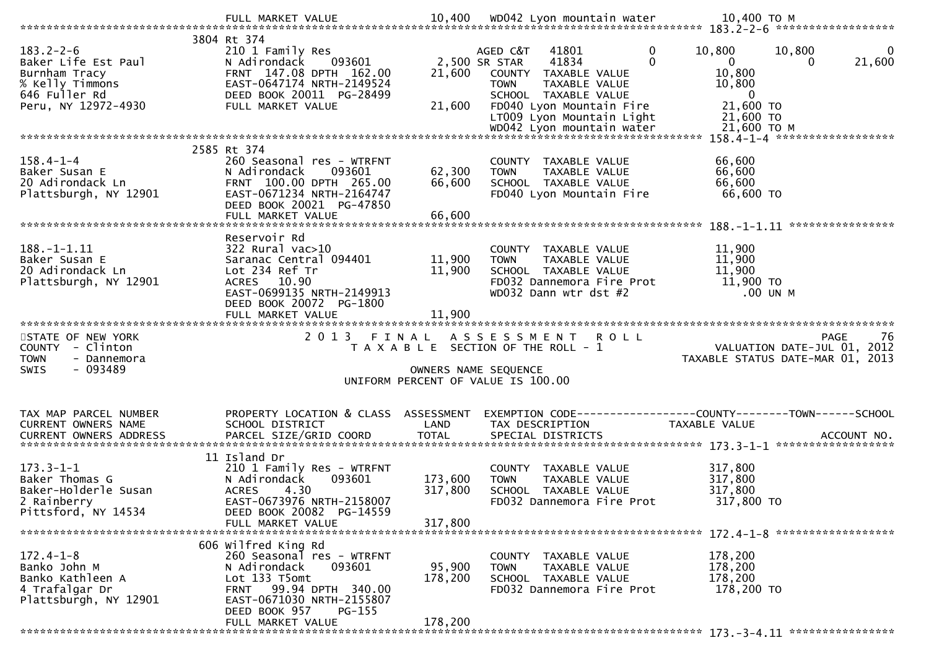|                                                                                                                    | FULL MARKET VALUE                                                                                                                                                                    | 10,400                        | WD042 Lyon mountain water                                                                                                                                                                                        | 10,400 ТО М                                                                                                   |
|--------------------------------------------------------------------------------------------------------------------|--------------------------------------------------------------------------------------------------------------------------------------------------------------------------------------|-------------------------------|------------------------------------------------------------------------------------------------------------------------------------------------------------------------------------------------------------------|---------------------------------------------------------------------------------------------------------------|
|                                                                                                                    |                                                                                                                                                                                      |                               |                                                                                                                                                                                                                  |                                                                                                               |
| $183.2 - 2 - 6$<br>Baker Life Est Paul<br>Burnham Tracy<br>% Kelly Timmons<br>646 Fuller Rd<br>Peru, NY 12972-4930 | 3804 Rt 374<br>210 1 Family Res<br>N Adirondack<br>093601<br>FRNT 147.08 DPTH 162.00<br>EAST-0647174 NRTH-2149524<br>DEED BOOK 20011 PG-28499<br>FULL MARKET VALUE                   | 21,600<br>21,600              | $\mathbf{0}$<br>AGED C&T<br>41801<br>41834<br>2,500 SR STAR<br>$\Omega$<br>COUNTY TAXABLE VALUE<br>TAXABLE VALUE<br><b>TOWN</b><br>SCHOOL TAXABLE VALUE<br>FD040 Lyon Mountain Fire<br>LT009 Lyon Mountain Light | 10,800<br>10,800<br>0<br>$\mathbf{0}$<br>21,600<br>10,800<br>10,800<br>$\mathbf{0}$<br>21,600 TO<br>21,600 TO |
|                                                                                                                    |                                                                                                                                                                                      |                               |                                                                                                                                                                                                                  |                                                                                                               |
|                                                                                                                    |                                                                                                                                                                                      |                               |                                                                                                                                                                                                                  |                                                                                                               |
|                                                                                                                    | 2585 Rt 374                                                                                                                                                                          |                               |                                                                                                                                                                                                                  |                                                                                                               |
| $158.4 - 1 - 4$<br>Baker Susan E<br>20 Adirondack Ln<br>Plattsburgh, NY 12901                                      | 260 Seasonal res - WTRFNT<br>N Adirondack<br>093601<br>FRNT 100.00 DPTH 265.00<br>EAST-0671234 NRTH-2164747<br>DEED BOOK 20021 PG-47850                                              | 62,300<br>66,600              | COUNTY TAXABLE VALUE<br>TAXABLE VALUE<br><b>TOWN</b><br>SCHOOL TAXABLE VALUE<br>FD040 Lyon Mountain Fire                                                                                                         | 66,600<br>66,600<br>66,600<br>66,600 TO                                                                       |
|                                                                                                                    | FULL MARKET VALUE                                                                                                                                                                    | 66,600                        |                                                                                                                                                                                                                  |                                                                                                               |
| 188.-1-1.11<br>Baker Susan E<br>20 Adirondack Ln<br>Plattsburgh, NY 12901                                          | Reservoir Rd<br>$322$ Rural vac $>10$<br>Saranac Central 094401<br>Lot 234 Ref Tr<br>ACRES 10.90<br>EAST-0699135 NRTH-2149913<br>DEED BOOK 20072 PG-1800                             | 11,900<br>11,900              | COUNTY TAXABLE VALUE<br>TAXABLE VALUE<br><b>TOWN</b><br>SCHOOL TAXABLE VALUE<br>FD032 Dannemora Fire Prot<br>WD032 Dann wtr dst #2                                                                               | ****************<br>11,900<br>11,900<br>11,900<br>11,900 TO<br>.00 UN M                                       |
|                                                                                                                    |                                                                                                                                                                                      |                               |                                                                                                                                                                                                                  |                                                                                                               |
|                                                                                                                    |                                                                                                                                                                                      |                               |                                                                                                                                                                                                                  |                                                                                                               |
|                                                                                                                    | FULL MARKET VALUE                                                                                                                                                                    | 11,900                        |                                                                                                                                                                                                                  |                                                                                                               |
| STATE OF NEW YORK<br>COUNTY - Clinton<br><b>TOWN</b><br>- Dannemora<br>$-093489$<br><b>SWIS</b>                    | 2 0 1 3                                                                                                                                                                              | FINAL<br>OWNERS NAME SEQUENCE | ASSESSMENT ROLL<br>T A X A B L E SECTION OF THE ROLL - 1<br>UNIFORM PERCENT OF VALUE IS 100.00                                                                                                                   | -76<br>PAGE<br>VALUATION DATE-JUL 01, 2012<br>TAXABLE STATUS DATE-MAR 01, 2013                                |
| TAX MAP PARCEL NUMBER                                                                                              | PROPERTY LOCATION & CLASS                                                                                                                                                            | ASSESSMENT                    |                                                                                                                                                                                                                  | EXEMPTION CODE-----------------COUNTY-------TOWN------SCHOOL                                                  |
| CURRENT OWNERS NAME                                                                                                | SCHOOL DISTRICT                                                                                                                                                                      | LAND                          | TAX DESCRIPTION                                                                                                                                                                                                  | TAXABLE VALUE                                                                                                 |
|                                                                                                                    |                                                                                                                                                                                      |                               |                                                                                                                                                                                                                  | ACCOUNT NO.                                                                                                   |
|                                                                                                                    |                                                                                                                                                                                      |                               |                                                                                                                                                                                                                  | ******************                                                                                            |
| $173.3 - 1 - 1$<br>Baker Thomas G<br>Baker-Holderle Susan<br>2 Rainberry<br>Pittsford, NY 14534                    | 11 Island Dr<br>210 1 Family Res - WTRFNT<br>093601<br>N Adirondack<br>4.30<br><b>ACRES</b><br>EAST-0673976 NRTH-2158007<br>DEED BOOK 20082 PG-14559<br>FULL MARKET VALUE            | 173,600<br>317,800<br>317,800 | COUNTY TAXABLE VALUE<br>TAXABLE VALUE<br><b>TOWN</b><br>SCHOOL TAXABLE VALUE<br>FD032 Dannemora Fire Prot                                                                                                        | 317,800<br>317,800<br>317,800<br>317,800 TO                                                                   |
|                                                                                                                    |                                                                                                                                                                                      |                               |                                                                                                                                                                                                                  |                                                                                                               |
| $172.4 - 1 - 8$<br>Banko John M<br>Banko Kathleen A<br>4 Trafalgar Dr<br>Plattsburgh, NY 12901                     | 606 wilfred King Rd<br>260 Seasonal res - WTRFNT<br>N Adirondack<br>093601<br>Lot 133 T5omt<br>FRNT 99.94 DPTH 340.00<br>EAST-0671030 NRTH-2155807<br>DEED BOOK 957<br><b>PG-155</b> | 95,900<br>178,200             | COUNTY TAXABLE VALUE<br>TAXABLE VALUE<br><b>TOWN</b><br>SCHOOL TAXABLE VALUE<br>FD032 Dannemora Fire Prot                                                                                                        | 178,200<br>178,200<br>178,200<br>178,200 TO                                                                   |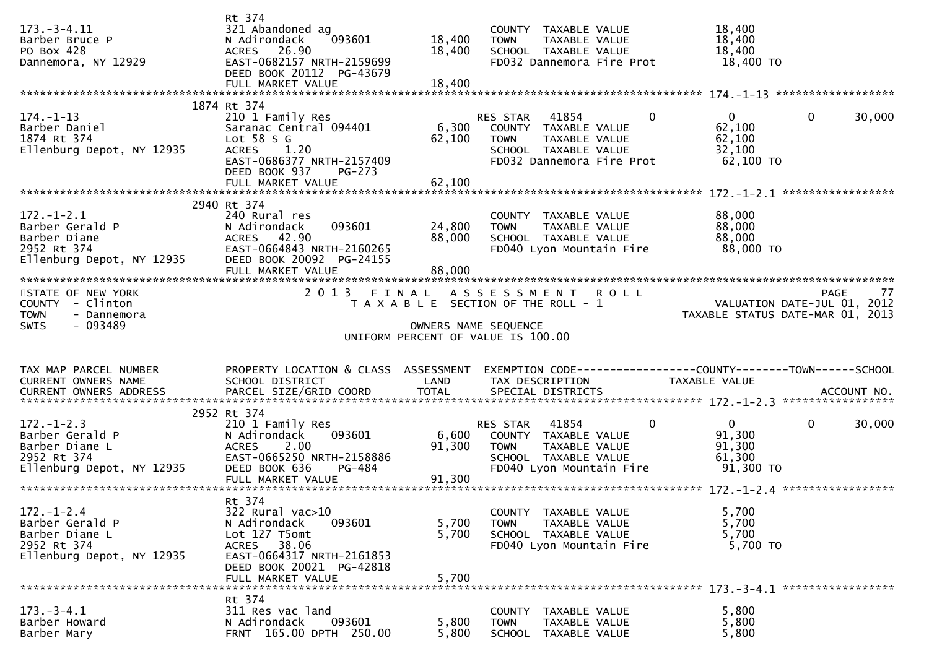| $173. - 3 - 4.11$<br>Barber Bruce P<br>PO Box 428<br>Dannemora, NY 12929                          | Rt 374<br>321 Abandoned ag<br>N Adirondack<br>093601<br>ACRES 26.90<br>EAST-0682157 NRTH-2159699<br>DEED BOOK 20112 PG-43679<br>FULL MARKET VALUE                  | 18,400<br>18,400<br>18,400 | COUNTY TAXABLE VALUE<br>TAXABLE VALUE<br><b>TOWN</b><br>SCHOOL TAXABLE VALUE<br>FD032 Dannemora Fire Prot                          | 18,400<br>18,400<br>18,400<br>18,400 TO                                     |            |
|---------------------------------------------------------------------------------------------------|--------------------------------------------------------------------------------------------------------------------------------------------------------------------|----------------------------|------------------------------------------------------------------------------------------------------------------------------------|-----------------------------------------------------------------------------|------------|
|                                                                                                   | 1874 Rt 374                                                                                                                                                        |                            | 0                                                                                                                                  | $\Omega$                                                                    |            |
| $174. - 1 - 13$<br>Barber Daniel<br>1874 Rt 374<br>Ellenburg Depot, NY 12935                      | 210 1 Family Res<br>Saranac Central 094401<br>Lot $58 S G$<br><b>ACRES</b><br>1.20<br>EAST-0686377 NRTH-2157409<br>DEED BOOK 937<br>$PG-273$                       | 6,300<br>62,100            | RES STAR<br>41854<br>COUNTY TAXABLE VALUE<br>TAXABLE VALUE<br><b>TOWN</b><br>SCHOOL TAXABLE VALUE<br>FD032 Dannemora Fire Prot     | $\mathbf{0}$<br>62,100<br>62,100<br>32,100<br>62,100 TO                     | 30,000     |
|                                                                                                   |                                                                                                                                                                    |                            |                                                                                                                                    |                                                                             |            |
| $172. - 1 - 2.1$<br>Barber Gerald P<br>Barber Diane<br>2952 Rt 374<br>Ellenburg Depot, NY 12935   | 2940 Rt 374<br>240 Rural res<br>N Adirondack<br>093601<br>42.90<br><b>ACRES</b><br>EAST-0664843 NRTH-2160265<br>DEED BOOK 20092 PG-24155<br>FULL MARKET VALUE      | 24,800<br>88,000<br>88,000 | COUNTY<br>TAXABLE VALUE<br><b>TAXABLE VALUE</b><br><b>TOWN</b><br>SCHOOL TAXABLE VALUE<br>FD040 Lyon Mountain Fire                 | 88,000<br>88,000<br>88,000<br>88,000 TO                                     |            |
| STATE OF NEW YORK                                                                                 |                                                                                                                                                                    |                            | 2013 FINAL ASSESSMENT ROLL                                                                                                         |                                                                             | 77<br>PAGE |
| COUNTY - Clinton<br><b>TOWN</b><br>- Dannemora<br>- 093489<br><b>SWIS</b>                         |                                                                                                                                                                    | OWNERS NAME SEQUENCE       | T A X A B L E SECTION OF THE ROLL - 1<br>UNIFORM PERCENT OF VALUE IS 100.00                                                        | VALUATION DATE-JUL 01, 2012<br>TAXABLE STATUS DATE-MAR 01, 2013             |            |
| TAX MAP PARCEL NUMBER<br>CURRENT OWNERS NAME                                                      | PROPERTY LOCATION & CLASS ASSESSMENT<br>SCHOOL DISTRICT                                                                                                            | LAND                       | EXEMPTION CODE-----------------COUNTY-------TOWN------SCHOOL<br>TAX DESCRIPTION                                                    | TAXABLE VALUE                                                               |            |
|                                                                                                   | 2952 Rt 374                                                                                                                                                        |                            |                                                                                                                                    |                                                                             |            |
| $172. - 1 - 2.3$<br>Barber Gerald P<br>Barber Diane L<br>2952 Rt 374<br>Ellenburg Depot, NY 12935 | 210 1 Family Res<br>N Adirondack<br>093601<br><b>ACRES</b><br>2.00<br>EAST-0665250 NRTH-2158886<br>DEED BOOK 636<br>PG-484                                         | 6,600<br>91,300            | 41854<br>0<br>RES STAR<br>COUNTY TAXABLE VALUE<br>TAXABLE VALUE<br><b>TOWN</b><br>SCHOOL TAXABLE VALUE<br>FD040 Lyon Mountain Fire | $\overline{0}$<br>$\mathbf{0}$<br>91,300<br>91,300<br>61,300<br>$91,300$ TO | 30,000     |
|                                                                                                   |                                                                                                                                                                    |                            |                                                                                                                                    |                                                                             |            |
| $172. - 1 - 2.4$<br>Barber Gerald P<br>Barber Diane L<br>2952 Rt 374<br>Ellenburg Depot, NY 12935 | Rt 374<br>322 Rural vac>10<br>N Adirondack<br>093601<br>Lot 127 T5omt<br>ACRES 38.06<br>EAST-0664317 NRTH-2161853<br>DEED BOOK 20021 PG-42818<br>FULL MARKET VALUE | 5,700<br>5,700<br>5,700    | COUNTY TAXABLE VALUE<br>TAXABLE VALUE<br><b>TOWN</b><br>SCHOOL TAXABLE VALUE<br>FD040 Lyon Mountain Fire                           | 5,700<br>5,700<br>5,700<br>5,700 TO                                         |            |
|                                                                                                   | Rt 374                                                                                                                                                             |                            |                                                                                                                                    |                                                                             |            |
| $173. - 3 - 4.1$<br>Barber Howard<br>Barber Mary                                                  | 311 Res vac land<br>093601<br>N Adirondack<br>FRNT 165.00 DPTH 250.00                                                                                              | 5,800<br>5,800             | COUNTY TAXABLE VALUE<br><b>TOWN</b><br>TAXABLE VALUE<br><b>SCHOOL</b><br>TAXABLE VALUE                                             | 5,800<br>5,800<br>5,800                                                     |            |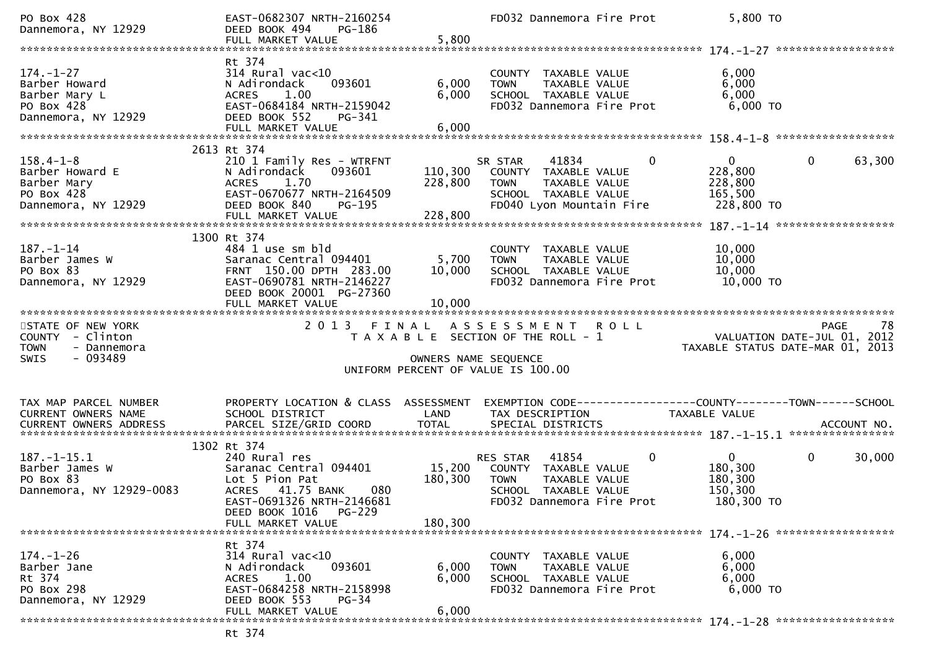| PO Box 428<br>Dannemora, NY 12929                                                              | EAST-0682307 NRTH-2160254<br>PG-186<br>DEED BOOK 494<br>FULL MARKET VALUE                                                                                          | 5,800                         | FD032 Dannemora Fire Prot                                                                                                      |              | 5,800 TO                                                                                                         |             |        |
|------------------------------------------------------------------------------------------------|--------------------------------------------------------------------------------------------------------------------------------------------------------------------|-------------------------------|--------------------------------------------------------------------------------------------------------------------------------|--------------|------------------------------------------------------------------------------------------------------------------|-------------|--------|
|                                                                                                |                                                                                                                                                                    |                               |                                                                                                                                |              |                                                                                                                  |             |        |
| $174. - 1 - 27$<br>Barber Howard<br>Barber Mary L<br>PO Box 428<br>Dannemora, NY 12929         | Rt 374<br>$314$ Rural vac<10<br>093601<br>N Adirondack<br><b>ACRES</b><br>1.00<br>EAST-0684184 NRTH-2159042<br>DEED BOOK 552<br>PG-341                             | 6,000<br>6,000                | COUNTY TAXABLE VALUE<br>TAXABLE VALUE<br><b>TOWN</b><br>SCHOOL TAXABLE VALUE<br>FD032 Dannemora Fire Prot                      |              | 6,000<br>6,000<br>6,000<br>$6,000$ TO                                                                            |             |        |
|                                                                                                |                                                                                                                                                                    |                               |                                                                                                                                |              |                                                                                                                  |             |        |
| $158.4 - 1 - 8$<br>Barber Howard E<br>Barber Mary<br>PO Box 428<br>Dannemora, NY 12929         | 2613 Rt 374<br>210 1 Family Res - WTRFNT<br>093601<br>N Adirondack<br>1.70<br>ACRES<br>EAST-0670677 NRTH-2164509<br>DEED BOOK 840<br>PG-195                        | 110,300<br>228,800            | SR STAR<br>41834<br>COUNTY TAXABLE VALUE<br>TAXABLE VALUE<br><b>TOWN</b><br>SCHOOL TAXABLE VALUE<br>FD040 Lyon Mountain Fire   | $\mathbf 0$  | $\mathbf{0}$<br>228,800<br>228,800<br>165,500<br>228,800 TO                                                      | $\mathbf 0$ | 63,300 |
|                                                                                                |                                                                                                                                                                    |                               |                                                                                                                                |              |                                                                                                                  |             |        |
| $187. - 1 - 14$<br>Barber James W<br>PO Box 83<br>Dannemora, NY 12929                          | 1300 Rt 374<br>484 1 use sm bld<br>Saranac Central 094401<br>FRNT 150.00 DPTH 283.00<br>EAST-0690781 NRTH-2146227<br>DEED BOOK 20001 PG-27360<br>FULL MARKET VALUE | 5,700<br>10,000<br>10,000     | COUNTY TAXABLE VALUE<br><b>TOWN</b><br>TAXABLE VALUE<br>SCHOOL TAXABLE VALUE<br>FD032 Dannemora Fire Prot                      |              | 10,000<br>10,000<br>10,000<br>10,000 TO                                                                          |             |        |
|                                                                                                |                                                                                                                                                                    |                               |                                                                                                                                |              |                                                                                                                  |             |        |
|                                                                                                |                                                                                                                                                                    |                               |                                                                                                                                |              |                                                                                                                  |             |        |
| STATE OF NEW YORK<br>COUNTY - Clinton<br><b>TOWN</b><br>- Dannemora<br><b>SWIS</b><br>- 093489 | 2013                                                                                                                                                               | FINAL<br>OWNERS NAME SEQUENCE | ASSESSMENT ROLL<br>T A X A B L E SECTION OF THE ROLL - 1<br>UNIFORM PERCENT OF VALUE IS 100.00                                 |              | 78 PAGE<br>VALUATION DATE-JUL 01, 2012<br>TAXABLE STATUS DATE MARIC 21, 2012<br>TAXABLE STATUS DATE-MAR 01, 2013 |             |        |
|                                                                                                |                                                                                                                                                                    |                               |                                                                                                                                |              |                                                                                                                  |             |        |
| TAX MAP PARCEL NUMBER<br>CURRENT OWNERS NAME                                                   | PROPERTY LOCATION & CLASS ASSESSMENT<br>SCHOOL DISTRICT                                                                                                            | LAND                          | EXEMPTION CODE-----------------COUNTY--------TOWN------SCHOOL<br>TAX DESCRIPTION                                               |              | TAXABLE VALUE                                                                                                    |             |        |
|                                                                                                |                                                                                                                                                                    |                               |                                                                                                                                |              |                                                                                                                  |             |        |
| $187. - 1 - 15.1$<br>Barber James W<br>PO Box 83<br>Dannemora, NY 12929-0083                   | 1302 Rt 374<br>240 Rural res<br>Saranac Central 094401<br>Lot 5 Pion Pat<br>ACRES 41.75 BANK<br>080<br>EAST-0691326 NRTH-2146681<br>DEED BOOK 1016 PG-229          | 15,200<br>180,300             | 41854<br>RES STAR<br>COUNTY TAXABLE VALUE<br><b>TOWN</b><br>TAXABLE VALUE<br>SCHOOL TAXABLE VALUE<br>FD032 Dannemora Fire Prot | $\mathbf{0}$ | $\mathbf{0}$<br>180,300<br>180,300<br>150,300<br>180,300 TO                                                      | $\mathbf 0$ | 30,000 |
|                                                                                                | FULL MARKET VALUE                                                                                                                                                  | 180,300                       |                                                                                                                                |              |                                                                                                                  |             |        |
| $174. - 1 - 26$<br>Barber Jane<br>Rt 374<br>PO Box 298<br>Dannemora, NY 12929                  | Rt 374<br>$314$ Rural vac<10<br>093601<br>N Adirondack<br>1.00<br>ACRES<br>EAST-0684258 NRTH-2158998<br>DEED BOOK 553<br>$PG-34$                                   | 6,000<br>6,000                | COUNTY TAXABLE VALUE<br>TAXABLE VALUE<br><b>TOWN</b><br>SCHOOL TAXABLE VALUE<br>FD032 Dannemora Fire Prot                      |              | 6,000<br>6,000<br>6,000<br>6,000 TO                                                                              |             |        |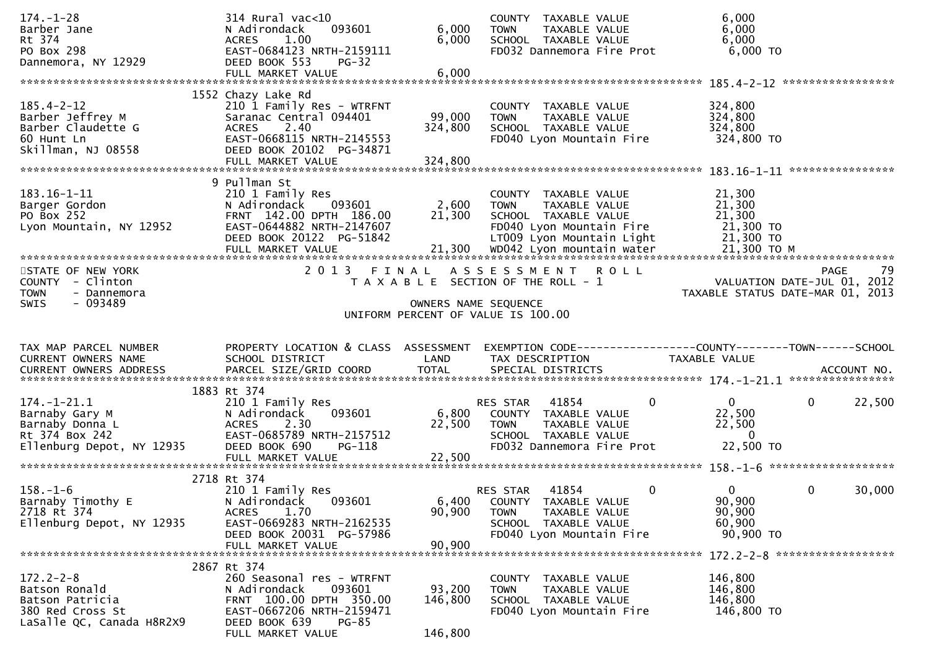| $174. - 1 - 28$                                | 314 Rural vac<10                                    |                      | COUNTY TAXABLE VALUE                                 | 6,000                                                                                            |
|------------------------------------------------|-----------------------------------------------------|----------------------|------------------------------------------------------|--------------------------------------------------------------------------------------------------|
| Barber Jane<br>Rt 374                          | 093601<br>N Adirondack<br>1.00<br><b>ACRES</b>      | 6,000<br>6,000       | <b>TOWN</b><br>TAXABLE VALUE<br>SCHOOL TAXABLE VALUE | 6,000<br>6,000                                                                                   |
| PO Box 298                                     | EAST-0684123 NRTH-2159111                           |                      | FD032 Dannemora Fire Prot                            | 6,000 TO                                                                                         |
| Dannemora, NY 12929                            | DEED BOOK 553<br>$PG-32$                            |                      |                                                      |                                                                                                  |
|                                                | FULL MARKET VALUE                                   | 6,000                |                                                      |                                                                                                  |
|                                                |                                                     |                      |                                                      |                                                                                                  |
|                                                | 1552 Chazy Lake Rd                                  |                      |                                                      |                                                                                                  |
| $185.4 - 2 - 12$<br>Barber Jeffrey M           | 210 1 Family Res - WTRFNT<br>Saranac Central 094401 | 99,000               | COUNTY TAXABLE VALUE<br><b>TOWN</b><br>TAXABLE VALUE | 324,800<br>324,800                                                                               |
| Barber Claudette G                             | ACRES 2.40                                          | 324,800              | SCHOOL TAXABLE VALUE                                 | 324,800                                                                                          |
| 60 Hunt Ln                                     | EAST-0668115 NRTH-2145553                           |                      | FD040 Lyon Mountain Fire                             | 324,800 TO                                                                                       |
| Skillman, NJ 08558                             | DEED BOOK 20102 PG-34871                            |                      |                                                      |                                                                                                  |
|                                                | FULL MARKET VALUE                                   | 324,800              |                                                      |                                                                                                  |
|                                                |                                                     |                      |                                                      |                                                                                                  |
| 183.16-1-11                                    | 9 Pullman St<br>210 1 Family Res                    |                      | COUNTY TAXABLE VALUE                                 | 21,300                                                                                           |
| Barger Gordon                                  | 093601<br>N Adirondack                              | 2,600                | <b>TOWN</b><br>TAXABLE VALUE                         | 21,300                                                                                           |
| PO Box 252                                     | FRNT 142.00 DPTH 186.00                             | 21,300               | SCHOOL TAXABLE VALUE                                 | 21,300                                                                                           |
| Lyon Mountain, NY 12952                        | EAST-0644882 NRTH-2147607                           |                      | FD040 Lyon Mountain Fire                             | 21,300 TO                                                                                        |
|                                                | DEED BOOK 20122 PG-51842                            |                      | LT009 Lyon Mountain Light                            | 21,300 TO                                                                                        |
|                                                |                                                     |                      |                                                      |                                                                                                  |
|                                                |                                                     |                      |                                                      |                                                                                                  |
| STATE OF NEW YORK                              | 2 0 1 3                                             | FINAL                | ASSESSMENT ROLL                                      | -79<br><b>PAGE</b>                                                                               |
| COUNTY - Clinton<br><b>TOWN</b><br>- Dannemora |                                                     |                      | T A X A B L E SECTION OF THE ROLL - 1                | VALUATION DATE-JUL 01, 2012<br>TAXABLE STATUS DATE-MAR 01, 2013                                  |
| $-093489$<br>SWIS                              |                                                     | OWNERS NAME SEQUENCE |                                                      |                                                                                                  |
|                                                |                                                     |                      | UNIFORM PERCENT OF VALUE IS 100.00                   |                                                                                                  |
|                                                |                                                     |                      |                                                      |                                                                                                  |
|                                                |                                                     |                      |                                                      |                                                                                                  |
|                                                |                                                     |                      |                                                      |                                                                                                  |
| TAX MAP PARCEL NUMBER                          |                                                     |                      |                                                      | PROPERTY LOCATION & CLASS ASSESSMENT EXEMPTION CODE----------------COUNTY-------TOWN------SCHOOL |
| CURRENT OWNERS NAME                            | SCHOOL DISTRICT                                     | LAND                 | TAX DESCRIPTION                                      | TAXABLE VALUE                                                                                    |
|                                                |                                                     |                      |                                                      |                                                                                                  |
|                                                | 1883 Rt 374                                         |                      |                                                      |                                                                                                  |
| $174. - 1 - 21.1$                              | 210 1 Family Res                                    |                      | RES STAR 41854                                       | $\overline{0}$<br>$\mathbf{0}$<br>$\mathbf{0}$<br>22,500                                         |
| Barnaby Gary M                                 | 093601<br>N Adirondack                              |                      | 6,800 COUNTY TAXABLE VALUE                           | 22,500                                                                                           |
| Barnaby Donna L                                | 2.30<br><b>ACRES</b>                                | 22,500               | <b>TOWN</b><br>TAXABLE VALUE                         | 22,500                                                                                           |
| Rt 374 Box 242                                 | EAST-0685789 NRTH-2157512                           |                      | SCHOOL TAXABLE VALUE                                 | $\mathbf{0}$                                                                                     |
| Ellenburg Depot, NY 12935                      | DEED BOOK 690<br>PG-118                             |                      | FD032 Dannemora Fire Prot                            | 22,500 TO                                                                                        |
|                                                |                                                     |                      |                                                      |                                                                                                  |
|                                                |                                                     |                      |                                                      |                                                                                                  |
| $158. - 1 - 6$                                 | 2718 Rt 374<br>210 1 Family Res                     |                      | 41854<br>RES STAR                                    | $\mathbf{0}$<br>$\mathbf{0}$<br>0<br>30,000                                                      |
| Barnaby Timothy E                              | N Adirondack<br>093601                              | 6,400                | COUNTY TAXABLE VALUE                                 | 90,900                                                                                           |
| 2718 Rt 374                                    | 1.70<br><b>ACRES</b>                                | 90,900               | TAXABLE VALUE<br><b>TOWN</b>                         | 90,900                                                                                           |
| Ellenburg Depot, NY 12935                      | EAST-0669283 NRTH-2162535                           |                      | SCHOOL TAXABLE VALUE                                 | 60,900                                                                                           |
|                                                | DEED BOOK 20031 PG-57986                            |                      | FD040 Lyon Mountain Fire                             | 90,900 TO                                                                                        |
|                                                | FULL MARKET VALUE                                   | 90,900               |                                                      |                                                                                                  |
|                                                |                                                     |                      |                                                      | 172.2-2-8 *******************                                                                    |
| $172.2 - 2 - 8$                                | 2867 Rt 374<br>260 Seasonal res - WTRFNT            |                      |                                                      | 146,800                                                                                          |
| Batson Ronald                                  | N Adirondack<br>093601                              | 93,200               | COUNTY TAXABLE VALUE<br>TAXABLE VALUE<br><b>TOWN</b> | 146,800                                                                                          |
| Batson Patricia                                | FRNT 100.00 DPTH 350.00                             | 146,800              | SCHOOL TAXABLE VALUE                                 | 146,800                                                                                          |
| 380 Red Cross St                               | EAST-0667206 NRTH-2159471                           |                      | FD040 Lyon Mountain Fire                             | 146,800 TO                                                                                       |
| LaSalle QC, Canada H8R2X9                      | DEED BOOK 639<br>PG-85<br>FULL MARKET VALUE         | 146,800              |                                                      |                                                                                                  |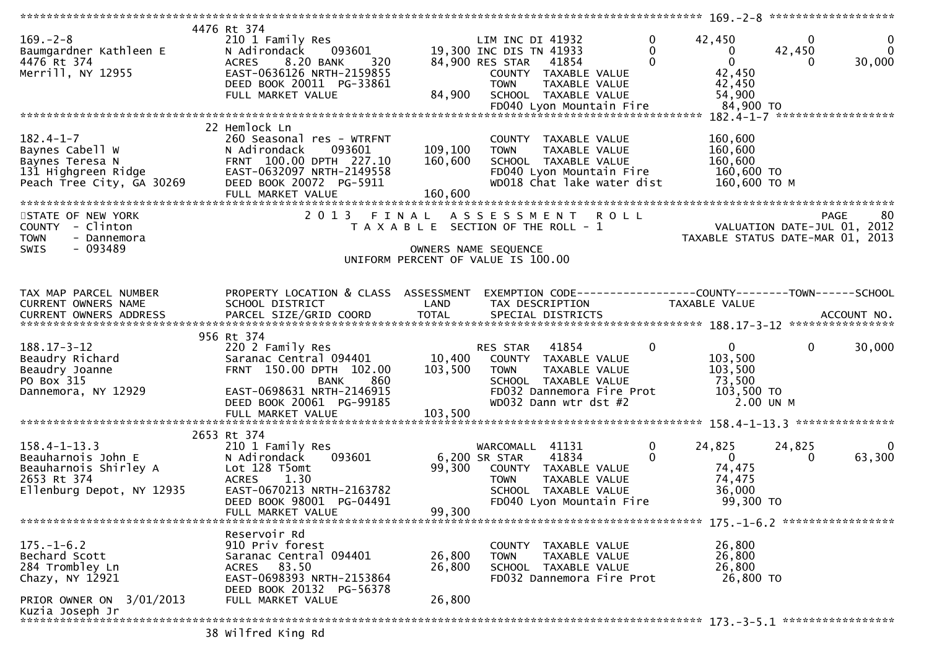|                                                          | 4476 Rt 374                          |         |                                                                |                                |                                  |
|----------------------------------------------------------|--------------------------------------|---------|----------------------------------------------------------------|--------------------------------|----------------------------------|
| $169. - 2 - 8$                                           | 210 1 Family Res                     |         | LIM INC DI 41932                                               | $\Omega$<br>42,450             | $\mathbf{0}$<br>$\mathbf 0$      |
| Baumgardner Kathleen E                                   | 093601<br>N Adirondack               |         | 19,300 INC DIS TN 41933                                        | $\mathbf{0}$<br>$\mathbf{0}$   | $\mathbf 0$<br>42,450            |
| 4476 Rt 374                                              | 8.20 BANK<br><b>ACRES</b><br>320     |         | 84,900 RES STAR<br>41854                                       | $\overline{0}$<br>$\Omega$     | 30,000<br>0                      |
|                                                          |                                      |         |                                                                |                                |                                  |
| Merrill, NY 12955                                        | EAST-0636126 NRTH-2159855            |         | COUNTY TAXABLE VALUE                                           | 42,450                         |                                  |
|                                                          | DEED BOOK 20011 PG-33861             |         | <b>TOWN</b><br>TAXABLE VALUE                                   | 42,450                         |                                  |
|                                                          | FULL MARKET VALUE                    | 84,900  | SCHOOL TAXABLE VALUE                                           | 54,900                         |                                  |
|                                                          |                                      |         |                                                                |                                |                                  |
|                                                          |                                      |         |                                                                |                                |                                  |
|                                                          | 22 Hemlock Ln                        |         |                                                                |                                |                                  |
| $182.4 - 1 - 7$                                          | 260 Seasonal res - WTRFNT            |         | COUNTY TAXABLE VALUE                                           | 160,600                        |                                  |
| Baynes Cabell W                                          | 093601<br>N Adirondack               | 109,100 | <b>TOWN</b><br>TAXABLE VALUE                                   | 160,600                        |                                  |
|                                                          | FRNT 100.00 DPTH 227.10              | 160,600 | SCHOOL TAXABLE VALUE                                           | 160,600                        |                                  |
|                                                          | EAST-0632097 NRTH-2149558            |         | FD040 Lyon Mountain Fire                                       | 160,600 TO                     |                                  |
|                                                          | DEED BOOK 20072 PG-5911              |         | WD018 Chat lake water dist                                     | 160,600 ТО М                   |                                  |
|                                                          |                                      |         |                                                                |                                |                                  |
| <b>131 Highgreen Ridge<br/>Peach Tree City, GA 30269</b> | FULL MARKET VALUE                    | 160,600 |                                                                |                                |                                  |
|                                                          |                                      |         |                                                                |                                |                                  |
| STATE OF NEW YORK                                        |                                      |         | 2013 FINAL ASSESSMENT ROLL                                     |                                | <b>PAGE</b><br>80                |
| COUNTY - Clinton                                         |                                      |         | T A X A B L E SECTION OF THE ROLL - 1                          |                                | VALUATION DATE-JUL 01, 2012      |
| <b>TOWN</b><br>- Dannemora                               |                                      |         |                                                                |                                | TAXABLE STATUS DATE-MAR 01, 2013 |
| $-093489$<br><b>SWIS</b>                                 |                                      |         | OWNERS NAME SEQUENCE                                           |                                |                                  |
|                                                          |                                      |         | UNIFORM PERCENT OF VALUE IS 100.00                             |                                |                                  |
|                                                          |                                      |         |                                                                |                                |                                  |
|                                                          |                                      |         |                                                                |                                |                                  |
| TAX MAP PARCEL NUMBER                                    | PROPERTY LOCATION & CLASS ASSESSMENT |         | EXEMPTION CODE------------------COUNTY--------TOWN------SCHOOL |                                |                                  |
| CURRENT OWNERS NAME                                      | SCHOOL DISTRICT                      | LAND    | TAX DESCRIPTION                                                | TAXABLE VALUE                  |                                  |
|                                                          |                                      |         |                                                                |                                |                                  |
|                                                          |                                      |         |                                                                |                                |                                  |
|                                                          | 956 Rt 374                           |         |                                                                |                                |                                  |
|                                                          |                                      |         |                                                                |                                |                                  |
| $188.17 - 3 - 12$                                        | 220 2 Family Res                     |         | 41854<br>RES STAR                                              | $\mathbf{0}$<br>0              | 30,000<br>$\mathbf{0}$           |
| Beaudry Richard                                          | Saranac Central 094401               | 10,400  | COUNTY TAXABLE VALUE                                           | 103,500                        |                                  |
| Beaudry Joanne                                           | FRNT 150.00 DPTH 102.00              | 103,500 | TAXABLE VALUE<br><b>TOWN</b>                                   | 103,500                        |                                  |
| PO Box 315                                               | 860<br>BANK                          |         | SCHOOL TAXABLE VALUE                                           | 73,500                         |                                  |
| Dannemora, NY 12929                                      | EAST-0698631 NRTH-2146915            |         | FD032 Dannemora Fire Prot                                      | 103,500 TO                     |                                  |
|                                                          | DEED BOOK 20061 PG-99185             |         | WD032 Dann wtr dst #2                                          | 2.00 UN M                      |                                  |
|                                                          | FULL MARKET VALUE                    | 103,500 |                                                                |                                |                                  |
|                                                          |                                      |         |                                                                |                                | ***************                  |
|                                                          | 2653 Rt 374                          |         |                                                                |                                |                                  |
| $158.4 - 1 - 13.3$                                       | 210 1 Family Res                     |         | WARCOMALL 41131                                                | 0<br>24,825                    | 24,825<br>0                      |
| Beauharnois John E                                       | N Adirondack<br>093601               |         | 6,200 SR STAR<br>41834                                         | $\mathbf{0}$<br>$\overline{0}$ | 63,300<br>$\Omega$               |
| Beauharnois Shirley A                                    | Lot 128 T5omt                        | 99,300  |                                                                | 74,475                         |                                  |
|                                                          |                                      |         | COUNTY TAXABLE VALUE                                           |                                |                                  |
| 2653 Rt 374                                              | <b>ACRES</b><br>1.30                 |         | TAXABLE VALUE<br><b>TOWN</b>                                   | 74,475                         |                                  |
| Ellenburg Depot, NY 12935                                | EAST-0670213 NRTH-2163782            |         | SCHOOL TAXABLE VALUE                                           | 36,000                         |                                  |
|                                                          | DEED BOOK 98001 PG-04491             |         | FD040 Lyon Mountain Fire                                       | 99,300 TO                      |                                  |
|                                                          | FULL MARKET VALUE                    | 99,300  |                                                                |                                |                                  |
|                                                          |                                      |         |                                                                |                                |                                  |
|                                                          | Reservoir Rd                         |         |                                                                |                                |                                  |
| $175. - 1 - 6.2$                                         | 910 Priv forest                      |         | COUNTY TAXABLE VALUE                                           | 26,800                         |                                  |
| Bechard Scott                                            | Saranac Central 094401               | 26,800  | <b>TOWN</b><br>TAXABLE VALUE                                   | 26,800                         |                                  |
| 284 Trombley Ln                                          | ACRES 83.50                          | 26,800  | SCHOOL TAXABLE VALUE                                           | 26,800                         |                                  |
| Chazy, NY 12921                                          | EAST-0698393 NRTH-2153864            |         | FD032 Dannemora Fire Prot                                      | 26,800 TO                      |                                  |
|                                                          | DEED BOOK 20132 PG-56378             |         |                                                                |                                |                                  |
| PRIOR OWNER ON 3/01/2013                                 | FULL MARKET VALUE                    | 26,800  |                                                                |                                |                                  |
|                                                          |                                      |         |                                                                |                                |                                  |
| Kuzia Joseph Jr<br>*************************             |                                      |         |                                                                |                                |                                  |
|                                                          |                                      |         |                                                                |                                |                                  |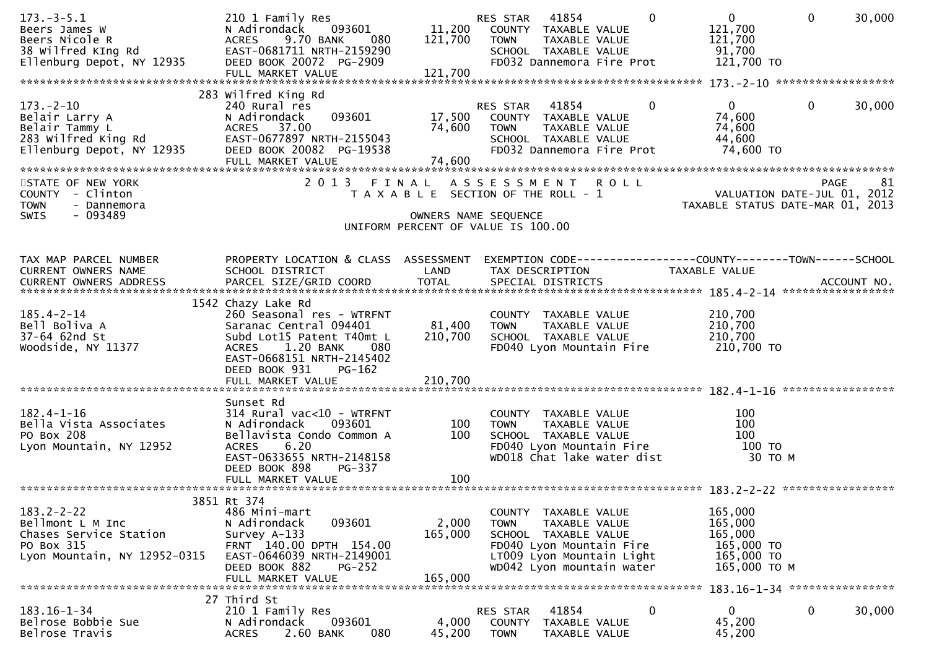| $173. - 3 - 5.1$<br>Beers James W<br>Beers Nicole R<br>38 Wilfred KIng Rd<br>Ellenburg Depot, NY 12935       | 210 1 Family Res<br>093601<br>N Adirondack<br>9.70 BANK<br><b>ACRES</b><br>080<br>EAST-0681711 NRTH-2159290<br>DEED BOOK 20072 PG-2909                                                      | 11,200<br>121,700           | 41854<br>$\Omega$<br>RES STAR<br>COUNTY TAXABLE VALUE<br><b>TOWN</b><br>TAXABLE VALUE<br>SCHOOL TAXABLE VALUE<br>FD032 Dannemora Fire Prot                         | $\mathbf{0}$<br>121,700<br>121,700<br>91,700<br>121,700 TO                | $\mathbf{0}$<br>30,000 |
|--------------------------------------------------------------------------------------------------------------|---------------------------------------------------------------------------------------------------------------------------------------------------------------------------------------------|-----------------------------|--------------------------------------------------------------------------------------------------------------------------------------------------------------------|---------------------------------------------------------------------------|------------------------|
|                                                                                                              |                                                                                                                                                                                             |                             |                                                                                                                                                                    |                                                                           |                        |
| $173. - 2 - 10$<br>Belair Larry A<br>Belair Tammy L<br>283 Wilfred King Rd<br>Ellenburg Depot, NY 12935      | 283 Wilfred King Rd<br>240 Rural res<br>093601<br>N Adirondack<br>ACRES 37.00<br>EAST-0677897 NRTH-2155043<br>DEED BOOK 20082 PG-19538<br>FULL MARKET VALUE                                 | 17,500<br>74,600<br>74,600  | RES STAR<br>41854<br>0<br>COUNTY TAXABLE VALUE<br>TAXABLE VALUE<br>TOWN<br>SCHOOL TAXABLE VALUE<br>FD032 Dannemora Fire Prot                                       | $\mathbf{0}$<br>74,600<br>74,600<br>44,600<br>74,600 TO                   | $\mathbf 0$<br>30,000  |
| STATE OF NEW YORK<br>COUNTY - Clinton<br><b>TOWN</b><br>- Dannemora                                          |                                                                                                                                                                                             |                             | 2013 FINAL ASSESSMENT ROLL<br>T A X A B L E SECTION OF THE ROLL - 1                                                                                                | ot<br>VALUATION DATE-JUL 01, 2012<br>TAXABLE STATUS DATE-MAR 01, 2013     | <b>PAGE</b><br>81      |
| - 093489<br><b>SWIS</b>                                                                                      |                                                                                                                                                                                             |                             | OWNERS NAME SEQUENCE<br>UNIFORM PERCENT OF VALUE IS 100.00                                                                                                         |                                                                           |                        |
|                                                                                                              |                                                                                                                                                                                             |                             |                                                                                                                                                                    |                                                                           |                        |
| TAX MAP PARCEL NUMBER<br>CURRENT OWNERS NAME                                                                 | PROPERTY LOCATION & CLASS ASSESSMENT<br>SCHOOL DISTRICT                                                                                                                                     | LAND                        | EXEMPTION CODE------------------COUNTY--------TOWN------SCHOOL<br>TAX DESCRIPTION                                                                                  | TAXABLE VALUE                                                             |                        |
| $185.4 - 2 - 14$<br>Bell Boliva A<br>37-64 62nd St<br>Woodside, NY 11377                                     | 1542 Chazy Lake Rd<br>260 Seasonal res - WTRFNT<br>Saranac Central 094401<br>Subd Lot15 Patent T40mt L<br>ACRES 1.20 BANK<br>-- 080<br>EAST-0668151 NRTH-2145402<br>DEED BOOK 931<br>PG-162 | 81,400<br>210,700           | COUNTY TAXABLE VALUE<br>TAXABLE VALUE<br><b>TOWN</b><br>SCHOOL TAXABLE VALUE<br>FD040 Lyon Mountain Fire                                                           | 210,700<br>210,700<br>210,700<br>210,700 TO                               |                        |
|                                                                                                              |                                                                                                                                                                                             |                             |                                                                                                                                                                    |                                                                           |                        |
| $182.4 - 1 - 16$<br>Bella Vista Associates<br>PO Box 208<br>Lyon Mountain, NY 12952                          | Sunset Rd<br>$314$ Rural vac<10 - WTRFNT<br>N Adirondack<br>093601<br>Bellavista Condo Common A<br>6.20<br><b>ACRES</b><br>EAST-0633655 NRTH-2148158<br>DEED BOOK 898<br>PG-337             | 100<br>100                  | COUNTY TAXABLE VALUE<br>TAXABLE VALUE<br><b>TOWN</b><br>SCHOOL TAXABLE VALUE<br>FD040 Lyon Mountain Fire<br>WD018 Chat lake water dist                             | 100<br>100<br>100<br>100 TO<br>30 TO M                                    |                        |
|                                                                                                              | FULL MARKET VALUE                                                                                                                                                                           | 100                         |                                                                                                                                                                    |                                                                           |                        |
|                                                                                                              |                                                                                                                                                                                             |                             |                                                                                                                                                                    |                                                                           |                        |
| $183.2 - 2 - 22$<br>Bellmont L M Inc<br>Chases Service Station<br>PO Box 315<br>Lyon Mountain, NY 12952-0315 | 3851 Rt 374<br>486 Mini-mart<br>093601<br>N Adirondack<br>Survey A-133<br>FRNT 140.00 DPTH 154.00<br>EAST-0646039 NRTH-2149001<br>DEED BOOK 882<br><b>PG-252</b><br>FULL MARKET VALUE       | 2,000<br>165,000<br>165,000 | COUNTY TAXABLE VALUE<br><b>TOWN</b><br>TAXABLE VALUE<br>SCHOOL TAXABLE VALUE<br>FD040 Lyon Mountain Fire<br>LT009 Lyon Mountain Light<br>WD042 Lyon mountain water | 165,000<br>165,000<br>165,000<br>165,000 TO<br>165,000 TO<br>165,000 TO M |                        |
|                                                                                                              | 27 Third St                                                                                                                                                                                 |                             |                                                                                                                                                                    |                                                                           |                        |
| $183.16 - 1 - 34$<br>Belrose Bobbie Sue<br>Belrose Travis                                                    | 210 1 Family Res<br>093601<br>N Adirondack<br><b>ACRES</b><br>2.60 BANK<br>080                                                                                                              | 4,000<br>45,200             | 41854<br>RES STAR<br>0<br><b>COUNTY</b><br>TAXABLE VALUE<br><b>TOWN</b><br>TAXABLE VALUE                                                                           | $\mathbf{0}$<br>45,200<br>45,200                                          | $\mathbf 0$<br>30,000  |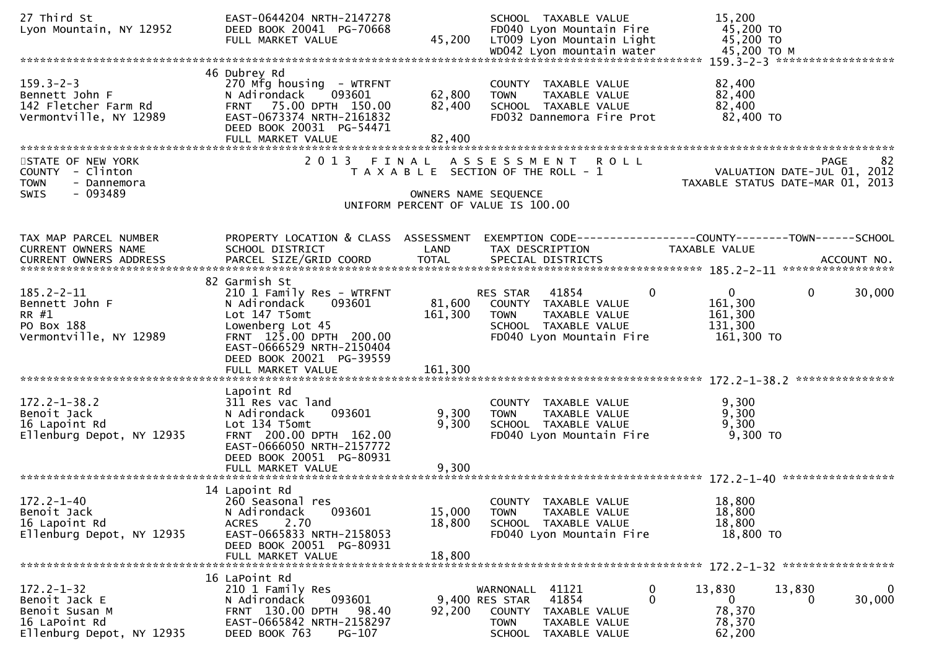| 27 Third St<br>Lyon Mountain, NY 12952                                                            | EAST-0644204 NRTH-2147278<br>DEED BOOK 20041 PG-70668<br>FULL MARKET VALUE                                                                                                                                         | 45,200                       | SCHOOL TAXABLE VALUE<br>FD040 Lyon Mountain Fire<br>LT009 Lyon Mountain Light<br>WD042 Lyon mountain water                                                  | 15,200<br>45,200 TO<br>45,200 TO<br>45,200 TO M             |                                                                                |
|---------------------------------------------------------------------------------------------------|--------------------------------------------------------------------------------------------------------------------------------------------------------------------------------------------------------------------|------------------------------|-------------------------------------------------------------------------------------------------------------------------------------------------------------|-------------------------------------------------------------|--------------------------------------------------------------------------------|
| $159.3 - 2 - 3$<br>Bennett John F<br>142 Fletcher Farm Rd<br>Vermontville, NY 12989               | 46 Dubrey Rd<br>270 Mfg housing - WTRFNT<br>093601<br>N Adirondack<br>FRNT 75.00 DPTH 150.00<br>EAST-0673374 NRTH-2161832<br>DEED BOOK 20031 PG-54471<br>FULL MARKET VALUE                                         | 62,800<br>82,400<br>82,400   | COUNTY TAXABLE VALUE<br>TAXABLE VALUE<br><b>TOWN</b><br>SCHOOL TAXABLE VALUE<br>FD032 Dannemora Fire Prot                                                   | 82,400<br>82,400<br>82,400<br>82,400 TO                     |                                                                                |
| STATE OF NEW YORK<br>COUNTY - Clinton<br>- Dannemora<br><b>TOWN</b><br>SWIS<br>- 093489           |                                                                                                                                                                                                                    | OWNERS NAME SEQUENCE         | 2013 FINAL ASSESSMENT ROLL<br>T A X A B L E SECTION OF THE ROLL - 1<br>UNIFORM PERCENT OF VALUE IS 100.00                                                   |                                                             | -82<br>PAGE<br>VALUATION DATE-JUL 01, 2012<br>TAXABLE STATUS DATE-MAR 01, 2013 |
| TAX MAP PARCEL NUMBER<br>CURRENT OWNERS NAME                                                      | PROPERTY LOCATION & CLASS ASSESSMENT<br>SCHOOL DISTRICT                                                                                                                                                            | LAND                         | EXEMPTION CODE-----------------COUNTY-------TOWN------SCHOOL<br>TAX DESCRIPTION                                                                             | TAXABLE VALUE                                               |                                                                                |
| $185.2 - 2 - 11$<br>Bennett John F<br>RR #1<br>PO Box 188<br>Vermontville, NY 12989               | 82 Garmish St<br>210 1 Family Res - WTRFNT<br>093601<br>N Adirondack<br>Lot 147 T5omt<br>Lowenberg Lot 45<br>FRNT 125.00 DPTH 200.00<br>EAST-0666529 NRTH-2150404<br>DEED BOOK 20021 PG-39559<br>FULL MARKET VALUE | 81,600<br>161,300<br>161,300 | 0<br>RES STAR<br>41854<br>COUNTY TAXABLE VALUE<br>TAXABLE VALUE<br><b>TOWN</b><br>SCHOOL TAXABLE VALUE<br>FD040 Lyon Mountain Fire                          | $\mathbf{0}$<br>161,300<br>161,300<br>131,300<br>161,300 TO | 30,000<br>0                                                                    |
| $172.2 - 1 - 38.2$<br>Benoit Jack<br>16 Lapoint Rd<br>Ellenburg Depot, NY 12935                   | Lapoint Rd<br>311 Res vac land<br>N Adirondack<br>093601<br>Lot 134 T5omt<br>FRNT 200.00 DPTH 162.00<br>EAST-0666050 NRTH-2157772<br>DEED BOOK 20051 PG-80931<br>FULL MARKET VALUE                                 | 9,300<br>9,300<br>9,300      | COUNTY TAXABLE VALUE<br>TAXABLE VALUE<br><b>TOWN</b><br>SCHOOL TAXABLE VALUE<br>FD040 Lyon Mountain Fire                                                    | 9,300<br>9,300<br>9,300<br>9,300 TO                         |                                                                                |
| $172.2 - 1 - 40$<br>Benoit Jack<br>16 Lapoint Rd<br>Ellenburg Depot, NY 12935                     | 14 Lapoint Rd<br>260 Seasonal res<br>093601<br>N Adirondack<br>2.70<br><b>ACRES</b><br>EAST-0665833 NRTH-2158053<br>DEED BOOK 20051 PG-80931<br>FULL MARKET VALUE                                                  | 15,000<br>18,800<br>18,800   | COUNTY TAXABLE VALUE<br><b>TOWN</b><br>TAXABLE VALUE<br>SCHOOL TAXABLE VALUE<br>FD040 Lyon Mountain Fire                                                    | 18,800<br>18,800<br>18,800<br>18,800 TO                     |                                                                                |
| $172.2 - 1 - 32$<br>Benoit Jack E<br>Benoit Susan M<br>16 LaPoint Rd<br>Ellenburg Depot, NY 12935 | 16 LaPoint Rd<br>210 1 Family Res<br>093601<br>N Adirondack<br>FRNT 130.00 DPTH<br>98.40<br>EAST-0665842 NRTH-2158297<br>DEED BOOK 763<br>PG-107                                                                   | 92,200                       | 41121<br>0<br>WARNONALL<br>0<br>9,400 RES STAR<br>41854<br><b>COUNTY</b><br>TAXABLE VALUE<br>TAXABLE VALUE<br><b>TOWN</b><br><b>SCHOOL</b><br>TAXABLE VALUE | 13,830<br>$\mathbf{0}$<br>78,370<br>78,370<br>62,200        | 13,830<br>0<br>30,000<br>0                                                     |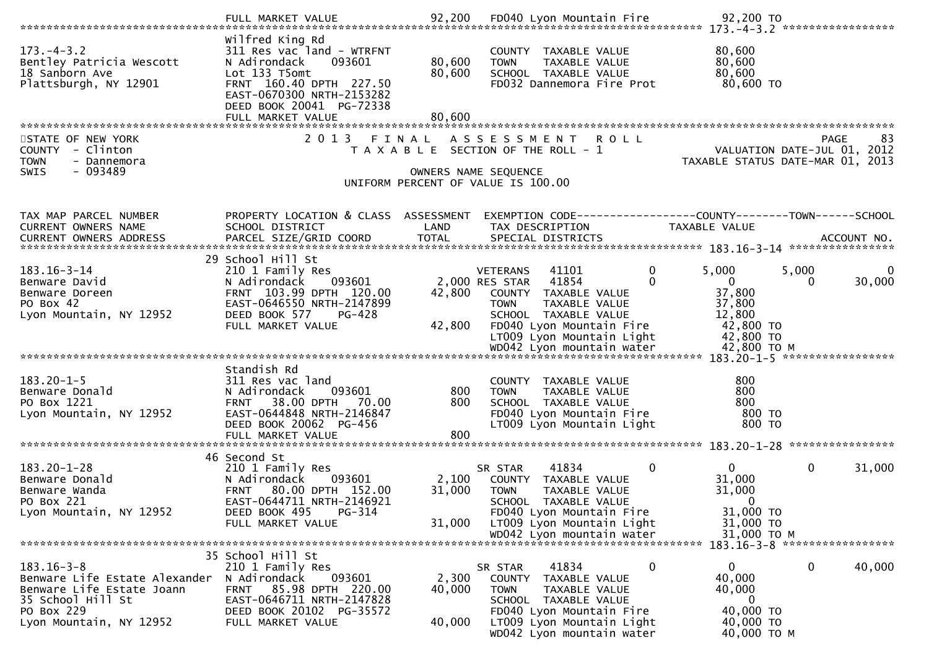|                                                                                         | Wilfred King Rd                                                                                                                                          |                  |                                                                                                           |                                                                |        |
|-----------------------------------------------------------------------------------------|----------------------------------------------------------------------------------------------------------------------------------------------------------|------------------|-----------------------------------------------------------------------------------------------------------|----------------------------------------------------------------|--------|
| $173. - 4 - 3.2$<br>Bentley Patricia Wescott<br>18 Sanborn Ave<br>Plattsburgh, NY 12901 | 311 Res vac land - WTRFNT<br>093601<br>N Adirondack<br>Lot 133 T5omt<br>FRNT 160.40 DPTH 227.50<br>EAST-0670300 NRTH-2153282<br>DEED BOOK 20041 PG-72338 | 80,600<br>80,600 | COUNTY TAXABLE VALUE<br>TAXABLE VALUE<br><b>TOWN</b><br>SCHOOL TAXABLE VALUE<br>FD032 Dannemora Fire Prot | 80,600<br>80,600<br>80,600<br>80,600 TO                        |        |
|                                                                                         | FULL MARKET VALUE                                                                                                                                        | 80,600           |                                                                                                           |                                                                |        |
| STATE OF NEW YORK                                                                       | 2 0 1 3                                                                                                                                                  | FINAL            | A S S E S S M E N T<br><b>ROLL</b>                                                                        | <b>PAGE</b>                                                    | 83     |
| COUNTY - Clinton                                                                        |                                                                                                                                                          |                  | T A X A B L E SECTION OF THE ROLL - 1                                                                     | VALUATION DATE-JUL 01, 2012                                    |        |
| <b>TOWN</b><br>- Dannemora                                                              |                                                                                                                                                          |                  |                                                                                                           | TAXABLE STATUS DATE-MAR 01, 2013                               |        |
| $-093489$<br><b>SWIS</b>                                                                |                                                                                                                                                          |                  | OWNERS NAME SEQUENCE                                                                                      |                                                                |        |
|                                                                                         |                                                                                                                                                          |                  | UNIFORM PERCENT OF VALUE IS 100.00                                                                        |                                                                |        |
| TAX MAP PARCEL NUMBER                                                                   | PROPERTY LOCATION & CLASS ASSESSMENT                                                                                                                     |                  |                                                                                                           | EXEMPTION CODE------------------COUNTY--------TOWN------SCHOOL |        |
| CURRENT OWNERS NAME                                                                     | SCHOOL DISTRICT                                                                                                                                          | LAND             | TAX DESCRIPTION                                                                                           | TAXABLE VALUE                                                  |        |
| CURRENT OWNERS ADDRESS                                                                  | PARCEL SIZE/GRID COORD                                                                                                                                   | <b>TOTAL</b>     | SPECIAL DISTRICTS                                                                                         | ACCOUNT NO.                                                    |        |
|                                                                                         | 29 School Hill St                                                                                                                                        |                  |                                                                                                           |                                                                |        |
| $183.16 - 3 - 14$                                                                       | 210 1 Family Res                                                                                                                                         |                  | $\mathbf{0}$<br><b>VETERANS</b><br>41101                                                                  | 5,000<br>5,000                                                 |        |
| Benware David                                                                           | N Adirondack<br>093601                                                                                                                                   |                  | 2,000 RES STAR 41854<br>0                                                                                 | $\mathbf 0$<br>0                                               | 30,000 |
| Benware Doreen                                                                          | FRNT 103.99 DPTH 120.00                                                                                                                                  | 42,800           | COUNTY TAXABLE VALUE                                                                                      | 37,800                                                         |        |
| PO Box 42                                                                               | EAST-0646550 NRTH-2147899                                                                                                                                |                  | <b>TOWN</b><br>TAXABLE VALUE                                                                              | 37,800                                                         |        |
| Lyon Mountain, NY 12952                                                                 | DEED BOOK 577<br>PG-428<br>FULL MARKET VALUE                                                                                                             | 42,800           | SCHOOL TAXABLE VALUE<br>FD040 Lyon Mountain Fire                                                          | 12,800<br>42,800 TO                                            |        |
|                                                                                         |                                                                                                                                                          |                  | LT009 Lyon Mountain Light                                                                                 | 42,800 TO                                                      |        |
|                                                                                         |                                                                                                                                                          |                  |                                                                                                           |                                                                |        |
|                                                                                         |                                                                                                                                                          |                  |                                                                                                           |                                                                |        |
| $183.20 - 1 - 5$                                                                        | Standish Rd<br>311 Res vac land                                                                                                                          |                  | COUNTY TAXABLE VALUE                                                                                      | 800                                                            |        |
| Benware Donald                                                                          | 093601<br>N Adirondack                                                                                                                                   | 800              | TAXABLE VALUE<br><b>TOWN</b>                                                                              | 800                                                            |        |
| PO Box 1221                                                                             | 38.00 DPTH 70.00<br><b>FRNT</b>                                                                                                                          | 800              | SCHOOL TAXABLE VALUE                                                                                      | 800                                                            |        |
| Lyon Mountain, NY 12952                                                                 | EAST-0644848 NRTH-2146847                                                                                                                                |                  | FD040 Lyon Mountain Fire                                                                                  | 800 TO                                                         |        |
|                                                                                         | DEED BOOK 20062 PG-456                                                                                                                                   |                  | LT009 Lyon Mountain Light                                                                                 | 800 TO                                                         |        |
|                                                                                         | FULL MARKET VALUE                                                                                                                                        | 800              |                                                                                                           |                                                                |        |
|                                                                                         | 46 Second St                                                                                                                                             |                  |                                                                                                           |                                                                |        |
| $183.20 - 1 - 28$                                                                       | 210 1 Family Res                                                                                                                                         |                  | 41834<br>$\mathbf{0}$<br>SR STAR                                                                          | $\overline{0}$<br>$\mathbf{0}$<br>31,000                       |        |
| Benware Donald                                                                          | 093601<br>N Adirondack                                                                                                                                   | 2,100            | COUNTY TAXABLE VALUE                                                                                      | 31,000                                                         |        |
| Benware Wanda                                                                           | FRNT 80.00 DPTH 152.00                                                                                                                                   | 31,000           | <b>TOWN</b><br>TAXABLE VALUE                                                                              | 31,000                                                         |        |
| PO Box 221<br>Lyon Mountain, NY 12952                                                   | EAST-0644711 NRTH-2146921<br>PG-314<br>DEED BOOK 495                                                                                                     |                  | SCHOOL TAXABLE VALUE<br>FD040 Lyon Mountain Fire                                                          | $\Omega$<br>31,000 TO                                          |        |
|                                                                                         | FULL MARKET VALUE                                                                                                                                        | 31,000           | LT009 Lyon Mountain Light                                                                                 | 31,000 TO                                                      |        |
|                                                                                         |                                                                                                                                                          |                  | WD042 Lyon mountain water                                                                                 | 31,000 ТО М                                                    |        |
|                                                                                         |                                                                                                                                                          |                  |                                                                                                           | 183.16-3-8 *******************                                 |        |
| $183.16 - 3 - 8$                                                                        | 35 School Hill St<br>210 1 Family Res                                                                                                                    |                  | $\mathbf 0$<br>41834<br>SR STAR                                                                           | $\mathbf{0}$<br>0                                              | 40,000 |
| Benware Life Estate Alexander                                                           | N Adirondack<br>093601                                                                                                                                   | 2,300            | TAXABLE VALUE<br>COUNTY                                                                                   | 40,000                                                         |        |
| Benware Life Estate Joann                                                               | 85.98 DPTH 220.00<br><b>FRNT</b>                                                                                                                         | 40,000           | <b>TOWN</b><br>TAXABLE VALUE                                                                              | 40,000                                                         |        |
| 35 School Hill St                                                                       | EAST-0646711 NRTH-2147828                                                                                                                                |                  | SCHOOL TAXABLE VALUE                                                                                      | $\bf{0}$                                                       |        |
| PO Box 229<br>Lyon Mountain, NY 12952                                                   | DEED BOOK 20102 PG-35572                                                                                                                                 | 40,000           | FD040 Lyon Mountain Fire                                                                                  | 40,000 TO<br>40,000 TO                                         |        |
|                                                                                         | FULL MARKET VALUE                                                                                                                                        |                  | LT009 Lyon Mountain Light<br>WD042 Lyon mountain water                                                    | 40,000 TO M                                                    |        |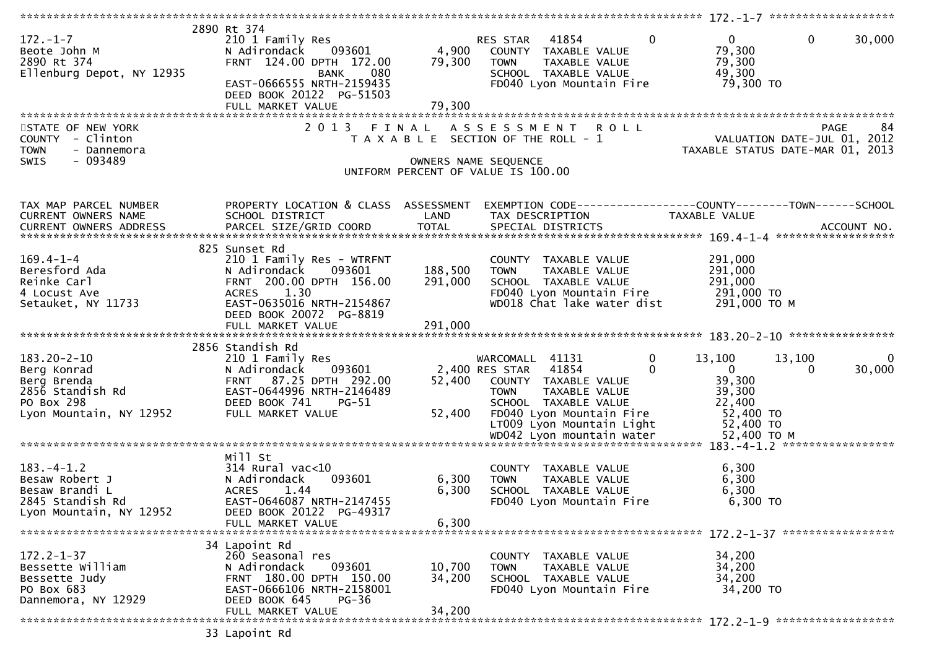| $172. - 1 - 7$<br>Beote John M<br>2890 Rt 374<br>Ellenburg Depot, NY 12935                                   | 2890 Rt 374<br>210 1 Family Res<br>N Adirondack<br>093601<br>FRNT 124.00 DPTH 172.00<br><b>BANK</b><br>080<br>EAST-0666555 NRTH-2159435<br>DEED BOOK 20122 PG-51503<br>FULL MARKET VALUE | 4,900<br>79,300<br>79,300 | $\Omega$<br>RES STAR 41854<br>COUNTY TAXABLE VALUE<br><b>TOWN</b><br>TAXABLE VALUE<br>SCHOOL TAXABLE VALUE<br>FD040 Lyon Mountain Fire                                                                         | $\mathbf 0$<br>$\mathbf{0}$<br>30,000<br>79,300<br>79,300<br>49,300<br>79,300 TO                                    |
|--------------------------------------------------------------------------------------------------------------|------------------------------------------------------------------------------------------------------------------------------------------------------------------------------------------|---------------------------|----------------------------------------------------------------------------------------------------------------------------------------------------------------------------------------------------------------|---------------------------------------------------------------------------------------------------------------------|
|                                                                                                              |                                                                                                                                                                                          |                           |                                                                                                                                                                                                                |                                                                                                                     |
| STATE OF NEW YORK<br>COUNTY - Clinton<br><b>TOWN</b><br>- Dannemora<br>$-093489$<br>SWIS                     | 2 0 1 3                                                                                                                                                                                  | FINAL                     | A S S E S S M E N T<br><b>ROLL</b><br>T A X A B L E SECTION OF THE ROLL - 1<br>OWNERS NAME SEQUENCE<br>UNIFORM PERCENT OF VALUE IS 100.00                                                                      | 84<br>PAGE<br>VALUATION DATE-JUL 01, 2012<br>TAXABLE STATUS DATE-MAR 01, 2013                                       |
| TAX MAP PARCEL NUMBER<br>CURRENT OWNERS NAME                                                                 | PROPERTY LOCATION & CLASS ASSESSMENT<br>SCHOOL DISTRICT                                                                                                                                  | LAND                      | TAX DESCRIPTION                                                                                                                                                                                                | EXEMPTION CODE-----------------COUNTY-------TOWN------SCHOOL<br>TAXABLE VALUE                                       |
| $169.4 - 1 - 4$<br>Beresford Ada<br>Reinke Carl<br>4 Locust Ave<br>Setauket, NY 11733                        | 825 Sunset Rd<br>210 1 Family Res - WTRFNT<br>N Adirondack<br>093601<br>FRNT 200.00 DPTH 156.00<br>ACRES 1.30<br>EAST-0635016 NRTH-2154867<br>DEED BOOK 20072 PG-8819                    | 188,500<br>291,000        | COUNTY TAXABLE VALUE<br>TAXABLE VALUE<br><b>TOWN</b><br>SCHOOL TAXABLE VALUE<br>FD040 Lyon Mountain Fire<br>WD018 Chat lake water dist                                                                         | 291,000<br>291,000<br>291,000<br>291,000 то<br>291,000 ТО М                                                         |
|                                                                                                              |                                                                                                                                                                                          |                           |                                                                                                                                                                                                                |                                                                                                                     |
| $183.20 - 2 - 10$<br>Berg Konrad<br>Berg Brenda<br>2856 Standish Rd<br>PO Box 298<br>Lyon Mountain, NY 12952 | 2856 Standish Rd<br>210 1 Family Res<br>093601<br>N Adirondack<br>FRNT 87.25 DPTH 292.00<br>EAST-0644996 NRTH-2146489<br>DEED BOOK 741<br>$PG-51$<br>FULL MARKET VALUE                   | 52,400<br>52,400          | $\mathbf 0$<br>WARCOMALL 41131<br>2,400 RES STAR<br>41854<br>$\Omega$<br>COUNTY TAXABLE VALUE<br>TAXABLE VALUE<br><b>TOWN</b><br>SCHOOL TAXABLE VALUE<br>FD040 Lyon Mountain Fire<br>LT009 Lyon Mountain Light | 13,100<br>13,100<br>0<br>$\mathbf{0}$<br>30,000<br>$\Omega$<br>39,300<br>39,300<br>22,400<br>52,400 TO<br>52,400 TO |
|                                                                                                              |                                                                                                                                                                                          |                           |                                                                                                                                                                                                                |                                                                                                                     |
| $183. -4 - 1.2$<br>Besaw Robert J<br>Besaw Brandi L<br>2845 Standish Rd<br>Lyon Mountain, NY 12952           | Mill St<br>314 Rural vac<10<br>N Adirondack<br>093601<br>1.44<br><b>ACRES</b><br>EAST-0646087 NRTH-2147455<br>DEED BOOK 20122 PG-49317<br>FULL MARKET VALUE                              | 6,300<br>6,300<br>6,300   | COUNTY TAXABLE VALUE<br>TAXABLE VALUE<br><b>TOWN</b><br>SCHOOL TAXABLE VALUE<br>FD040 Lyon Mountain Fire                                                                                                       | 6,300<br>6,300<br>6,300<br>6,300 TO                                                                                 |
|                                                                                                              |                                                                                                                                                                                          |                           |                                                                                                                                                                                                                |                                                                                                                     |
| $172.2 - 1 - 37$<br>Bessette William<br>Bessette Judy<br>PO Box 683<br>Dannemora, NY 12929                   | 34 Lapoint Rd<br>260 Seasonal res<br>N Adirondack<br>093601<br>FRNT 180.00 DPTH 150.00<br>EAST-0666106 NRTH-2158001<br>DEED BOOK 645<br>$PG-36$                                          | 10,700<br>34,200          | COUNTY TAXABLE VALUE<br><b>TOWN</b><br>TAXABLE VALUE<br>SCHOOL TAXABLE VALUE<br>FD040 Lyon Mountain Fire                                                                                                       | 34,200<br>34,200<br>34,200<br>34,200 TO                                                                             |
|                                                                                                              | FULL MARKET VALUE                                                                                                                                                                        | 34,200                    |                                                                                                                                                                                                                |                                                                                                                     |
|                                                                                                              | 33 Lapoint Rd                                                                                                                                                                            |                           |                                                                                                                                                                                                                |                                                                                                                     |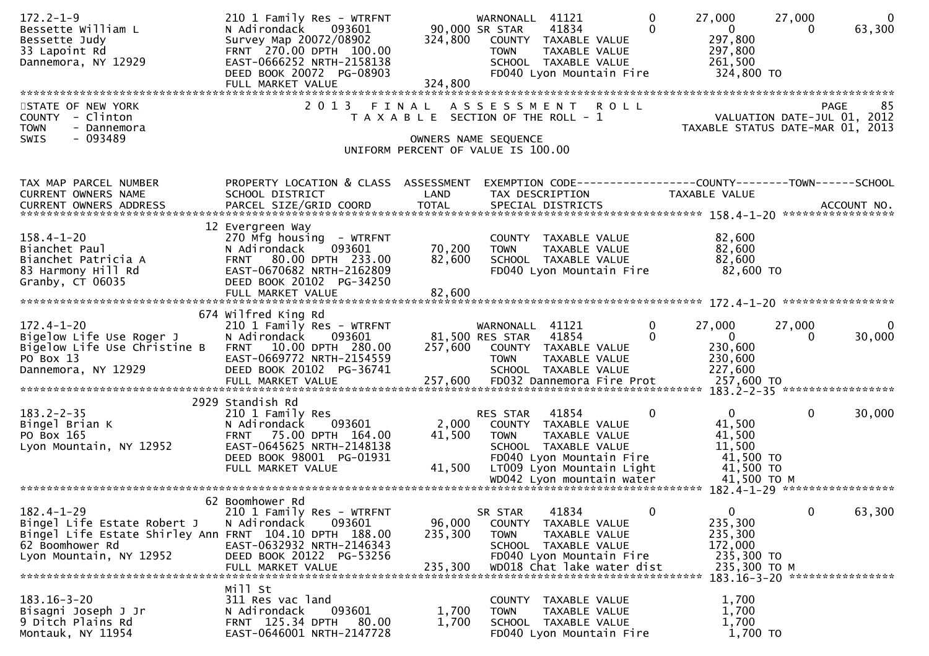| $172.2 - 1 - 9$<br>Bessette William L<br>Bessette Judy<br>33 Lapoint Rd<br>Dannemora, NY 12929  | 210 1 Family Res - WTRFNT<br>093601<br>N Adirondack<br>Survey Map 20072/08902<br>FRNT 270.00 DPTH 100.00<br>EAST-0666252 NRTH-2158138<br>DEED BOOK 20072 PG-08903<br>FULL MARKET VALUE | 324,800<br>324,800 | WARNONALL 41121<br>90,000 SR STAR<br>41834<br>COUNTY TAXABLE VALUE<br>TAXABLE VALUE<br><b>TOWN</b><br>SCHOOL TAXABLE VALUE<br>FD040 Lyon Mountain Fire | $\mathbf{0}$<br>$\mathbf{0}$ | 27,000<br>$\mathbf{0}$<br>297,800<br>297,800<br>261,500<br>324,800 TO | 27,000<br>0                                | $\mathbf{0}$<br>63,300 |
|-------------------------------------------------------------------------------------------------|----------------------------------------------------------------------------------------------------------------------------------------------------------------------------------------|--------------------|--------------------------------------------------------------------------------------------------------------------------------------------------------|------------------------------|-----------------------------------------------------------------------|--------------------------------------------|------------------------|
|                                                                                                 |                                                                                                                                                                                        |                    |                                                                                                                                                        |                              |                                                                       |                                            |                        |
| STATE OF NEW YORK<br>COUNTY - Clinton<br><b>TOWN</b><br>- Dannemora<br>$-093489$<br><b>SWIS</b> | 2 0 1 3                                                                                                                                                                                | F I N A L          | A S S E S S M E N T<br><b>ROLL</b><br>T A X A B L E SECTION OF THE ROLL - 1<br>OWNERS NAME SEQUENCE<br>UNIFORM PERCENT OF VALUE IS 100.00              |                              | TAXABLE STATUS DATE-MAR 01, 2013                                      | <b>PAGE</b><br>VALUATION DATE-JUL 01, 2012 | 85                     |
| TAX MAP PARCEL NUMBER                                                                           | PROPERTY LOCATION & CLASS ASSESSMENT                                                                                                                                                   |                    | EXEMPTION CODE-----------------COUNTY-------TOWN------SCHOOL                                                                                           |                              |                                                                       |                                            |                        |
| <b>CURRENT OWNERS NAME</b>                                                                      | SCHOOL DISTRICT                                                                                                                                                                        | LAND               | TAX DESCRIPTION                                                                                                                                        |                              | TAXABLE VALUE                                                         |                                            |                        |
| CURRENT OWNERS ADDRESS                                                                          |                                                                                                                                                                                        |                    |                                                                                                                                                        |                              |                                                                       |                                            |                        |
|                                                                                                 | 12 Evergreen Way                                                                                                                                                                       |                    |                                                                                                                                                        |                              |                                                                       |                                            |                        |
| $158.4 - 1 - 20$                                                                                | 270 Mfg housing - WTRFNT                                                                                                                                                               |                    | COUNTY TAXABLE VALUE                                                                                                                                   |                              | 82,600                                                                |                                            |                        |
| Bianchet Paul                                                                                   | 093601<br>N Adirondack                                                                                                                                                                 | 70,200             | TAXABLE VALUE<br><b>TOWN</b>                                                                                                                           |                              | 82,600                                                                |                                            |                        |
| Bianchet Patricia A                                                                             | FRNT 80.00 DPTH 233.00                                                                                                                                                                 | 82,600             | SCHOOL TAXABLE VALUE                                                                                                                                   |                              | 82,600                                                                |                                            |                        |
| 83 Harmony Hill Rd<br>Granby, CT 06035                                                          | EAST-0670682 NRTH-2162809<br>DEED BOOK 20102 PG-34250                                                                                                                                  |                    | FD040 Lyon Mountain Fire                                                                                                                               |                              | 82,600 TO                                                             |                                            |                        |
|                                                                                                 | FULL MARKET VALUE                                                                                                                                                                      | 82,600             |                                                                                                                                                        |                              |                                                                       |                                            |                        |
|                                                                                                 |                                                                                                                                                                                        |                    |                                                                                                                                                        |                              |                                                                       |                                            |                        |
|                                                                                                 | 674 Wilfred King Rd                                                                                                                                                                    |                    |                                                                                                                                                        |                              |                                                                       |                                            |                        |
| $172.4 - 1 - 20$<br>Bigelow Life Use Roger J                                                    | 210 1 Family Res - WTRFNT<br>N Adirondack<br>093601                                                                                                                                    |                    | WARNONALL 41121<br>81,500 RES STAR<br>41854                                                                                                            | 0<br>0                       | 27,000<br>$\overline{0}$                                              | 27,000<br>$\Omega$                         | $\Omega$<br>30,000     |
| Bigelow Life Use Christine B                                                                    | FRNT 10.00 DPTH 280.00                                                                                                                                                                 | 257,600            | COUNTY TAXABLE VALUE                                                                                                                                   |                              | 230,600                                                               |                                            |                        |
| PO Box 13                                                                                       | EAST-0669772 NRTH-2154559                                                                                                                                                              |                    | <b>TOWN</b><br>TAXABLE VALUE                                                                                                                           |                              | 230,600                                                               |                                            |                        |
| Dannemora, NY 12929                                                                             | DEED BOOK 20102 PG-36741                                                                                                                                                               |                    | SCHOOL TAXABLE VALUE                                                                                                                                   |                              | 227,600                                                               |                                            |                        |
|                                                                                                 | FULL MARKET VALUE                                                                                                                                                                      | 257,600            | FD032 Dannemora Fire Prot                                                                                                                              |                              | 257,600 TO                                                            |                                            |                        |
|                                                                                                 | 2929 Standish Rd                                                                                                                                                                       |                    |                                                                                                                                                        |                              |                                                                       |                                            |                        |
| $183.2 - 2 - 35$                                                                                | 210 1 Family Res                                                                                                                                                                       |                    | 41854<br>RES STAR                                                                                                                                      | 0                            | $\mathbf{0}$                                                          | $\mathbf{0}$                               | 30,000                 |
| Bingel Brian K                                                                                  | N Adirondack<br>093601                                                                                                                                                                 | 2,000              | COUNTY TAXABLE VALUE                                                                                                                                   |                              | 41,500                                                                |                                            |                        |
| PO Box 165                                                                                      | FRNT 75.00 DPTH 164.00                                                                                                                                                                 | 41,500             | <b>TOWN</b><br>TAXABLE VALUE                                                                                                                           |                              | 41,500                                                                |                                            |                        |
| Lyon Mountain, NY 12952                                                                         | EAST-0645625 NRTH-2148138<br>DEED BOOK 98001 PG-01931                                                                                                                                  |                    | SCHOOL TAXABLE VALUE<br>FD040 Lyon Mountain Fire                                                                                                       |                              | 11,500<br>41,500 TO                                                   |                                            |                        |
|                                                                                                 | FULL MARKET VALUE                                                                                                                                                                      | 41,500             | LT009 Lyon Mountain Light                                                                                                                              |                              | 41,500 TO                                                             |                                            |                        |
|                                                                                                 |                                                                                                                                                                                        |                    |                                                                                                                                                        |                              |                                                                       |                                            |                        |
|                                                                                                 |                                                                                                                                                                                        |                    |                                                                                                                                                        |                              |                                                                       |                                            |                        |
| $182.4 - 1 - 29$                                                                                | 62 Boomhower Rd                                                                                                                                                                        |                    | 41834                                                                                                                                                  | 0                            | $\mathbf{0}$                                                          | $\mathbf 0$                                |                        |
| Bingel Life Estate Robert J                                                                     | 210 1 Family Res - WTRFNT<br>093601<br>N Adirondack                                                                                                                                    | 96,000             | SR STAR<br>COUNTY TAXABLE VALUE                                                                                                                        |                              | 235,300                                                               |                                            | 63,300                 |
| Bingel Life Estate Shirley Ann FRNT 104.10 DPTH 188.00                                          |                                                                                                                                                                                        | 235,300            | TAXABLE VALUE<br>TOWN                                                                                                                                  |                              | 235,300                                                               |                                            |                        |
| 62 Boomhower Rd                                                                                 | EAST-0632932 NRTH-2146343                                                                                                                                                              |                    | SCHOOL TAXABLE VALUE                                                                                                                                   |                              | 172,000                                                               |                                            |                        |
| Lyon Mountain, NY 12952                                                                         | DEED BOOK 20122 PG-53256                                                                                                                                                               |                    | FD040 Lyon Mountain Fire                                                                                                                               |                              | 235,300 TO                                                            |                                            |                        |
|                                                                                                 | FULL MARKET VALUE                                                                                                                                                                      | 235,300            | WD018 Chat lake water dist                                                                                                                             |                              | 235,300 TO M<br>183.16-3-20 *****************                         |                                            |                        |
|                                                                                                 | Mill St                                                                                                                                                                                |                    |                                                                                                                                                        |                              |                                                                       |                                            |                        |
| $183.16 - 3 - 20$                                                                               | 311 Res vac land                                                                                                                                                                       |                    | COUNTY<br>TAXABLE VALUE                                                                                                                                |                              | 1,700                                                                 |                                            |                        |
| Bisagni Joseph J Jr                                                                             | N Adirondack<br>093601                                                                                                                                                                 | 1,700              | TAXABLE VALUE<br><b>TOWN</b>                                                                                                                           |                              | 1,700                                                                 |                                            |                        |
| 9 Ditch Plains Rd<br>Montauk, NY 11954                                                          | FRNT 125.34 DPTH<br>80.00<br>EAST-0646001 NRTH-2147728                                                                                                                                 | 1,700              | SCHOOL TAXABLE VALUE<br>FD040 Lyon Mountain Fire                                                                                                       |                              | 1,700<br>1,700 TO                                                     |                                            |                        |
|                                                                                                 |                                                                                                                                                                                        |                    |                                                                                                                                                        |                              |                                                                       |                                            |                        |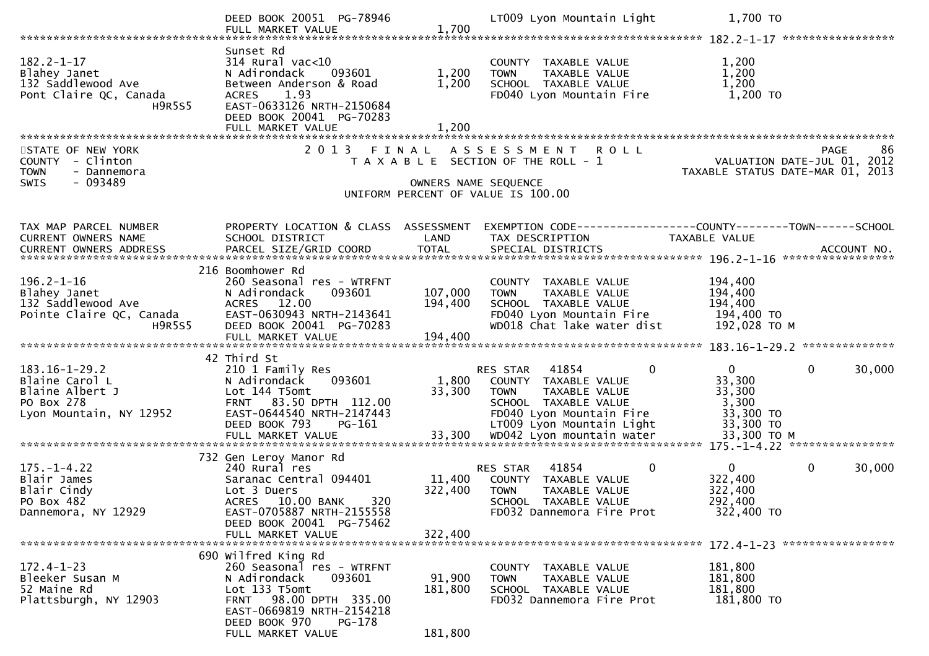|                                                                                                   | DEED BOOK 20051 PG-78946<br>FULL MARKET VALUE                                                                                                                                                                | 1,700                        | LT009 Lyon Mountain Light                                                                                                                                       | 1,700 TO                                                            |                        |
|---------------------------------------------------------------------------------------------------|--------------------------------------------------------------------------------------------------------------------------------------------------------------------------------------------------------------|------------------------------|-----------------------------------------------------------------------------------------------------------------------------------------------------------------|---------------------------------------------------------------------|------------------------|
| $182.2 - 1 - 17$<br>Blahey Janet<br>132 Saddlewood Ave<br>Pont Claire QC, Canada<br><b>H9R5S5</b> | Sunset Rd<br>314 Rural vac<10<br>093601<br>N Adirondack<br>Between Anderson & Road<br>1.93<br><b>ACRES</b><br>EAST-0633126 NRTH-2150684<br>DEED BOOK 20041 PG-70283<br>FULL MARKET VALUE                     | 1,200<br>1,200<br>1,200      | COUNTY TAXABLE VALUE<br>TAXABLE VALUE<br><b>TOWN</b><br>SCHOOL TAXABLE VALUE<br>FD040 Lyon Mountain Fire                                                        | 1,200<br>1,200<br>1,200<br>1,200 TO                                 |                        |
| STATE OF NEW YORK                                                                                 | 2 0 1 3                                                                                                                                                                                                      | FINAL                        | A S S E S S M E N T<br><b>ROLL</b>                                                                                                                              |                                                                     | PAGE<br>86             |
| COUNTY - Clinton<br><b>TOWN</b><br>- Dannemora                                                    |                                                                                                                                                                                                              |                              | T A X A B L E SECTION OF THE ROLL - 1                                                                                                                           | VALUATION DATE-JUL 01, 2012<br>TAXABLE STATUS DATE-MAR 01, 2013     |                        |
| $-093489$<br><b>SWIS</b>                                                                          |                                                                                                                                                                                                              |                              | OWNERS NAME SEQUENCE<br>UNIFORM PERCENT OF VALUE IS 100.00                                                                                                      |                                                                     |                        |
|                                                                                                   |                                                                                                                                                                                                              |                              |                                                                                                                                                                 |                                                                     |                        |
| TAX MAP PARCEL NUMBER<br><b>CURRENT OWNERS NAME</b>                                               | PROPERTY LOCATION & CLASS ASSESSMENT<br>SCHOOL DISTRICT                                                                                                                                                      | LAND                         | EXEMPTION CODE-----------------COUNTY-------TOWN------SCHOOL<br>TAX DESCRIPTION                                                                                 | TAXABLE VALUE                                                       |                        |
| CURRENT OWNERS ADDRESS                                                                            | PARCEL SIZE/GRID COORD                                                                                                                                                                                       | <b>TOTAL</b>                 | SPECIAL DISTRICTS                                                                                                                                               |                                                                     | ACCOUNT NO.            |
|                                                                                                   | 216 Boomhower Rd                                                                                                                                                                                             |                              |                                                                                                                                                                 |                                                                     |                        |
| $196.2 - 1 - 16$<br>Blahey Janet                                                                  | 260 Seasonal res - WTRFNT<br>N Adirondack<br>093601                                                                                                                                                          | 107,000                      | COUNTY TAXABLE VALUE<br>TAXABLE VALUE<br><b>TOWN</b>                                                                                                            | 194,400<br>194,400                                                  |                        |
| 132 Saddlewood Ave<br>Pointe Claire QC, Canada                                                    | ACRES 12.00<br>EAST-0630943 NRTH-2143641                                                                                                                                                                     | 194,400                      | SCHOOL TAXABLE VALUE<br>FD040 Lyon Mountain Fire                                                                                                                | 194,400<br>194,400 TO                                               |                        |
| <b>H9R5S5</b>                                                                                     | DEED BOOK 20041 PG-70283                                                                                                                                                                                     |                              | WD018 Chat lake water dist                                                                                                                                      | 192,028 TO M                                                        |                        |
|                                                                                                   |                                                                                                                                                                                                              |                              |                                                                                                                                                                 |                                                                     |                        |
| $183.16 - 1 - 29.2$<br>Blaine Carol L<br>Blaine Albert J<br>PO Box 278<br>Lyon Mountain, NY 12952 | 42 Third St<br>210 1 Family Res<br>093601<br>N Adirondack<br>Lot 144 T5omt<br>FRNT 83.50 DPTH 112.00<br>EAST-0644540 NRTH-2147443<br>DEED BOOK 793<br>PG-161                                                 | 1,800<br>33,300              | 41854<br>RES STAR<br>0<br>COUNTY TAXABLE VALUE<br><b>TOWN</b><br>TAXABLE VALUE<br>SCHOOL TAXABLE VALUE<br>FD040 Lyon Mountain Fire<br>LT009 Lyon Mountain Light | $\mathbf{0}$<br>33,300<br>33,300<br>3,300<br>33,300 TO<br>33,300 TO | 30,000<br>$\Omega$     |
|                                                                                                   |                                                                                                                                                                                                              |                              |                                                                                                                                                                 |                                                                     |                        |
| $175. - 1 - 4.22$<br>Blair James<br>Blair Cindy<br>PO Box 482<br>Dannemora, NY 12929              | 732 Gen Leroy Manor Rd<br>240 Rural res<br>Saranac Central 094401<br>Lot 3 Duers<br>320<br>ACRES 10.00 BANK<br>EAST-0705887 NRTH-2155558<br>DEED BOOK 20041 PG-75462                                         | 11,400<br>322,400            | 41854<br>$\mathbf 0$<br>RES STAR<br>COUNTY TAXABLE VALUE<br><b>TOWN</b><br>TAXABLE VALUE<br>SCHOOL TAXABLE VALUE<br>FD032 Dannemora Fire Prot                   | $\mathbf{0}$<br>322,400<br>322,400<br>292,400<br>322,400 TO         | $\mathbf{0}$<br>30,000 |
|                                                                                                   | FULL MARKET VALUE                                                                                                                                                                                            | 322,400                      |                                                                                                                                                                 |                                                                     |                        |
| $172.4 - 1 - 23$<br>Bleeker Susan M<br>52 Maine Rd<br>Plattsburgh, NY 12903                       | 690 Wilfred King Rd<br>260 Seasonal res - WTRFNT<br>N Adirondack<br>093601<br>Lot 133 T5omt<br>98.00 DPTH 335.00<br><b>FRNT</b><br>EAST-0669819 NRTH-2154218<br>DEED BOOK 970<br>PG-178<br>FULL MARKET VALUE | 91,900<br>181,800<br>181,800 | COUNTY TAXABLE VALUE<br><b>TOWN</b><br>TAXABLE VALUE<br>SCHOOL TAXABLE VALUE<br>FD032 Dannemora Fire Prot                                                       | 181,800<br>181,800<br>181,800<br>181,800 TO                         |                        |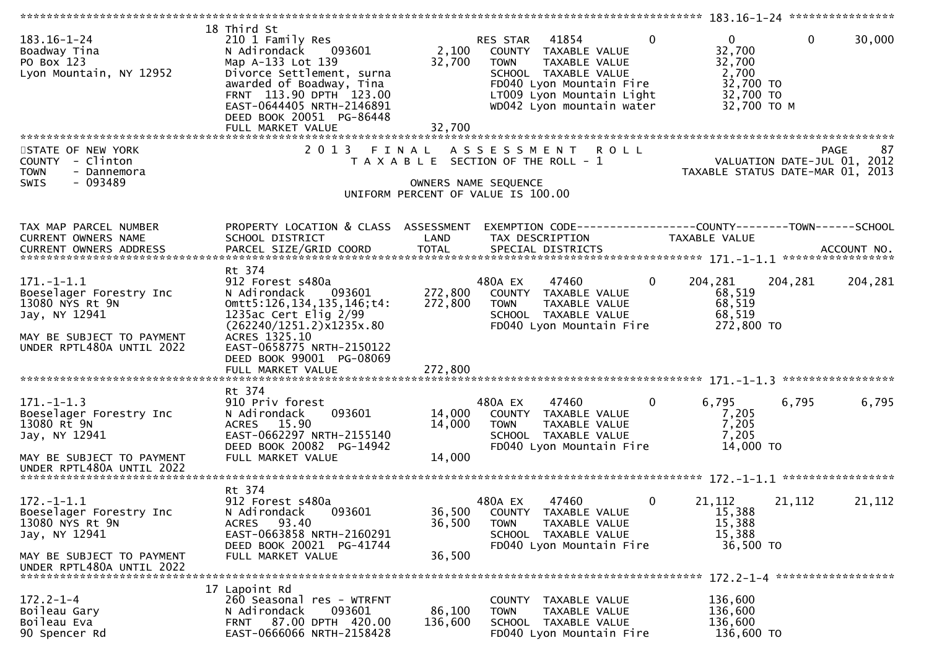| 18 Third St<br>210 1 Family Res<br>N Adirondack<br>093601<br>Map A-133 Lot 139<br>Divorce Settlement, surna<br>awarded of Boadway, Tina<br>FRNT 113.90 DPTH 123.00<br>EAST-0644405 NRTH-2146891<br>DEED BOOK 20051 PG-86448<br>FULL MARKET VALUE | 2,100<br>32,700<br>32,700                                                                         | $\mathbf{0}$<br>41854<br>COUNTY TAXABLE VALUE<br><b>TOWN</b><br>TAXABLE VALUE<br>SCHOOL TAXABLE VALUE<br>FD040 Lyon Mountain Fire<br>LT009 Lyon Mountain Light<br>WD042 Lyon mountain water | $\mathbf{0}$<br>$\mathbf{0}$<br>32,700<br>32,700<br>2,700<br>32,700 TO<br>32,700 TO<br>32,700 TO M                                                                                                            | 30,000                                                                                                   |
|--------------------------------------------------------------------------------------------------------------------------------------------------------------------------------------------------------------------------------------------------|---------------------------------------------------------------------------------------------------|---------------------------------------------------------------------------------------------------------------------------------------------------------------------------------------------|---------------------------------------------------------------------------------------------------------------------------------------------------------------------------------------------------------------|----------------------------------------------------------------------------------------------------------|
|                                                                                                                                                                                                                                                  |                                                                                                   |                                                                                                                                                                                             |                                                                                                                                                                                                               |                                                                                                          |
|                                                                                                                                                                                                                                                  |                                                                                                   |                                                                                                                                                                                             | VALUATION DATE-JUL 01, 2012<br>TAXABLE STATUS DATE-MAR 01, 2013                                                                                                                                               | 87                                                                                                       |
|                                                                                                                                                                                                                                                  |                                                                                                   |                                                                                                                                                                                             |                                                                                                                                                                                                               |                                                                                                          |
| SCHOOL DISTRICT                                                                                                                                                                                                                                  | LAND                                                                                              | TAX DESCRIPTION                                                                                                                                                                             |                                                                                                                                                                                                               |                                                                                                          |
|                                                                                                                                                                                                                                                  |                                                                                                   |                                                                                                                                                                                             |                                                                                                                                                                                                               |                                                                                                          |
|                                                                                                                                                                                                                                                  |                                                                                                   |                                                                                                                                                                                             |                                                                                                                                                                                                               |                                                                                                          |
| 912 Forest s480a<br>N Adirondack<br>093601<br>omtt5:126,134,135,146;t4:<br>1235ac Cert Elig $2/99$<br>(262240/1251.2)x1235x.80<br>ACRES 1325.10<br>EAST-0658775 NRTH-2150122<br>DEED BOOK 99001 PG-08069<br>FULL MARKET VALUE                    | 272,800<br>272,800<br>272,800                                                                     | 480A EX<br>$\mathbf{0}$<br>47460<br>COUNTY TAXABLE VALUE<br>TAXABLE VALUE<br><b>TOWN</b><br>SCHOOL TAXABLE VALUE<br>FD040 Lyon Mountain Fire                                                | 204,281<br>204,281<br>68,519<br>68,519<br>68,519<br>272,800 TO                                                                                                                                                | 204,281                                                                                                  |
|                                                                                                                                                                                                                                                  |                                                                                                   |                                                                                                                                                                                             |                                                                                                                                                                                                               |                                                                                                          |
| 910 Priv forest<br>093601<br>N Adirondack<br>ACRES 15.90<br>EAST-0662297 NRTH-2155140<br>DEED BOOK 20082 PG-14942                                                                                                                                | 14,000<br>14,000                                                                                  | 480A EX<br>47460<br>0<br>COUNTY TAXABLE VALUE<br>TAXABLE VALUE<br><b>TOWN</b><br>SCHOOL TAXABLE VALUE<br>FD040 Lyon Mountain Fire                                                           | 6,795<br>6,795<br>7,205<br>7,205<br>7,205<br>14,000 TO                                                                                                                                                        | 6,795                                                                                                    |
|                                                                                                                                                                                                                                                  |                                                                                                   |                                                                                                                                                                                             |                                                                                                                                                                                                               |                                                                                                          |
|                                                                                                                                                                                                                                                  |                                                                                                   |                                                                                                                                                                                             |                                                                                                                                                                                                               |                                                                                                          |
| 912 Forest s480a<br>093601<br>N Adirondack<br>93.40<br>ACRES<br>EAST-0663858 NRTH-2160291<br>DEED BOOK 20021 PG-41744                                                                                                                            | 36,500<br>36,500                                                                                  | 480A EX<br>$\mathbf{0}$<br>47460<br>COUNTY<br>TAXABLE VALUE<br><b>TOWN</b><br>TAXABLE VALUE<br>SCHOOL TAXABLE VALUE<br>FD040 Lyon Mountain Fire                                             | 21,112<br>21,112<br>15,388<br>15,388<br>15,388<br>36,500 TO                                                                                                                                                   | 21,112                                                                                                   |
|                                                                                                                                                                                                                                                  |                                                                                                   |                                                                                                                                                                                             |                                                                                                                                                                                                               |                                                                                                          |
|                                                                                                                                                                                                                                                  |                                                                                                   |                                                                                                                                                                                             |                                                                                                                                                                                                               |                                                                                                          |
| 17 Lapoint Rd                                                                                                                                                                                                                                    |                                                                                                   |                                                                                                                                                                                             |                                                                                                                                                                                                               |                                                                                                          |
| N Adirondack<br>093601                                                                                                                                                                                                                           | 86,100                                                                                            | TAXABLE VALUE<br><b>TOWN</b>                                                                                                                                                                | 136,600                                                                                                                                                                                                       |                                                                                                          |
| 87.00 DPTH 420.00<br>FRNT<br>EAST-0666066 NRTH-2158428                                                                                                                                                                                           | 136,600                                                                                           | SCHOOL TAXABLE VALUE<br>FD040 Lyon Mountain Fire                                                                                                                                            | 136,600<br>136,600 TO                                                                                                                                                                                         |                                                                                                          |
|                                                                                                                                                                                                                                                  | Rt 374<br>Rt 374<br>FULL MARKET VALUE<br>Rt 374<br>FULL MARKET VALUE<br>260 Seasonal res - WTRFNT | 14,000<br>36,500                                                                                                                                                                            | RES STAR<br>2013 FINAL ASSESSMENT ROLL<br>T A X A B L E SECTION OF THE ROLL - 1<br>OWNERS NAME SEQUENCE<br>UNIFORM PERCENT OF VALUE IS 100.00<br>PROPERTY LOCATION & CLASS ASSESSMENT<br>COUNTY TAXABLE VALUE | PAGE<br>EXEMPTION CODE-----------------COUNTY--------TOWN------SCHOOL<br><b>TAXABLE VALUE</b><br>136,600 |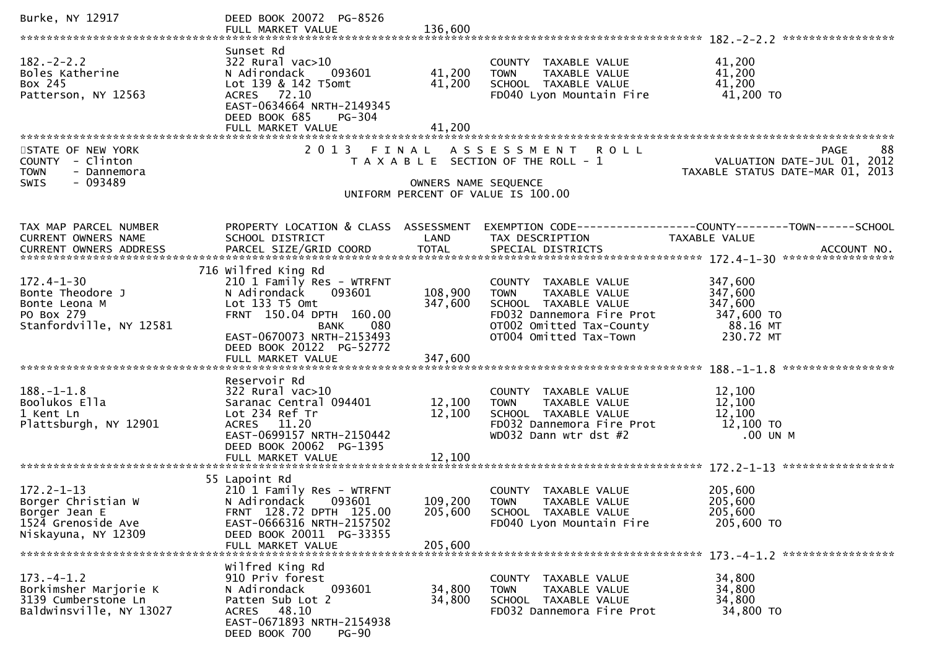| Burke, NY 12917                                                                                      | DEED BOOK 20072 PG-8526                                                                                                                                                                             |                                    |                                                                                                                                                                 |                                                                                           |
|------------------------------------------------------------------------------------------------------|-----------------------------------------------------------------------------------------------------------------------------------------------------------------------------------------------------|------------------------------------|-----------------------------------------------------------------------------------------------------------------------------------------------------------------|-------------------------------------------------------------------------------------------|
| $182 - 2 - 2.2$<br>Boles Katherine<br>Box 245<br>Patterson, NY 12563                                 | Sunset Rd<br>322 Rural vac>10<br>093601<br>N Adirondack<br>Lot 139 & 142 T5omt<br>ACRES 72.10<br>EAST-0634664 NRTH-2149345<br>DEED BOOK 685<br>$PG-304$<br>FULL MARKET VALUE                        | 41,200<br>41,200<br>41,200         | COUNTY TAXABLE VALUE<br>TAXABLE VALUE<br><b>TOWN</b><br>SCHOOL TAXABLE VALUE<br>FD040 Lyon Mountain Fire                                                        | 41,200<br>41,200<br>41,200<br>41,200 TO                                                   |
| STATE OF NEW YORK<br>COUNTY - Clinton<br>- Dannemora<br><b>TOWN</b><br>- 093489<br><b>SWIS</b>       | 2 0 1 3                                                                                                                                                                                             | FINAL<br>OWNERS NAME SEQUENCE      | ASSESSMENT ROLL<br>T A X A B L E SECTION OF THE ROLL - 1<br>UNIFORM PERCENT OF VALUE IS 100.00                                                                  | 88<br><b>PAGE</b><br>VALUATION DATE-JUL 01, 2012<br>TAXABLE STATUS DATE-MAR 01, 2013      |
| TAX MAP PARCEL NUMBER<br>CURRENT OWNERS NAME<br>CURRENT OWNERS ADDRESS                               | PROPERTY LOCATION & CLASS ASSESSMENT<br>SCHOOL DISTRICT                                                                                                                                             | LAND                               | TAX DESCRIPTION                                                                                                                                                 | EXEMPTION CODE------------------COUNTY--------TOWN------SCHOOL<br>TAXABLE VALUE           |
| $172.4 - 1 - 30$<br>Bonte Theodore J<br>Bonte Leona M<br>PO Box 279<br>Stanfordville, NY 12581       | 716 Wilfred King Rd<br>210 1 Family Res - WTRFNT<br>N Adirondack 093601<br>Lot 133 T5 Omt<br>FRNT 150.04 DPTH 160.00<br>080<br><b>BANK</b><br>EAST-0670073 NRTH-2153493<br>DEED BOOK 20122 PG-52772 | 108,900<br>347,600                 | COUNTY TAXABLE VALUE<br>TAXABLE VALUE<br><b>TOWN</b><br>SCHOOL TAXABLE VALUE<br>FD032 Dannemora Fire Prot<br>OT002 Omitted Tax-County<br>OT004 Omitted Tax-Town | 347,600<br>347,600<br>347,600<br>347,600 TO<br>88.16 MT<br>230.72 MT<br>***************** |
| $188. - 1 - 1.8$<br>Boolukos Ella<br>1 Kent Ln<br>Plattsburgh, NY 12901                              | Reservoir Rd<br>322 Rural vac>10<br>Saranac Central 094401<br>Lot 234 Ref Tr<br>ACRES 11.20<br>EAST-0699157 NRTH-2150442<br>DEED BOOK 20062 PG-1395                                                 | 12,100<br>12,100                   | COUNTY TAXABLE VALUE<br><b>TOWN</b><br>TAXABLE VALUE<br>SCHOOL TAXABLE VALUE<br>FD032 Dannemora Fire Prot<br>WD032 Dann wtr dst #2                              | 12,100<br>12,100<br>12,100<br>12,100 TO<br>.00 UN M                                       |
| $172.2 - 1 - 13$<br>Borger Christian W<br>Borger Jean E<br>1524 Grenoside Ave<br>Niskayuna, NY 12309 | 55 Lapoint Rd<br>210 1 Family Res - WTRFNT<br>N Adirondack 093601<br>FRNT 128.72 DPTH 125.00<br>EAST-0666316 NRTH-2157502<br>DEED BOOK 20011 PG-33355<br>FULL MARKET VALUE                          | 109,200 TOWN<br>205,600<br>205,600 | COUNTY TAXABLE VALUE<br>TAXABLE VALUE<br>SCHOOL TAXABLE VALUE<br>FD040 Lyon Mountain Fire                                                                       | 205,600<br>205,600<br>205,600<br>205,600 TO                                               |
| $173. -4 - 1.2$<br>Borkimsher Marjorie K<br>3139 Cumberstone Ln<br>Baldwinsville, NY 13027           | Wilfred King Rd<br>910 Priv forest<br>N Adirondack<br>093601<br>Patten Sub Lot 2<br>ACRES 48.10<br>EAST-0671893 NRTH-2154938<br>DEED BOOK 700<br>$PG-90$                                            | 34,800<br>34,800                   | COUNTY TAXABLE VALUE<br>TAXABLE VALUE<br><b>TOWN</b><br>SCHOOL TAXABLE VALUE<br>FD032 Dannemora Fire Prot                                                       | 34,800<br>34,800<br>34,800<br>34,800 TO                                                   |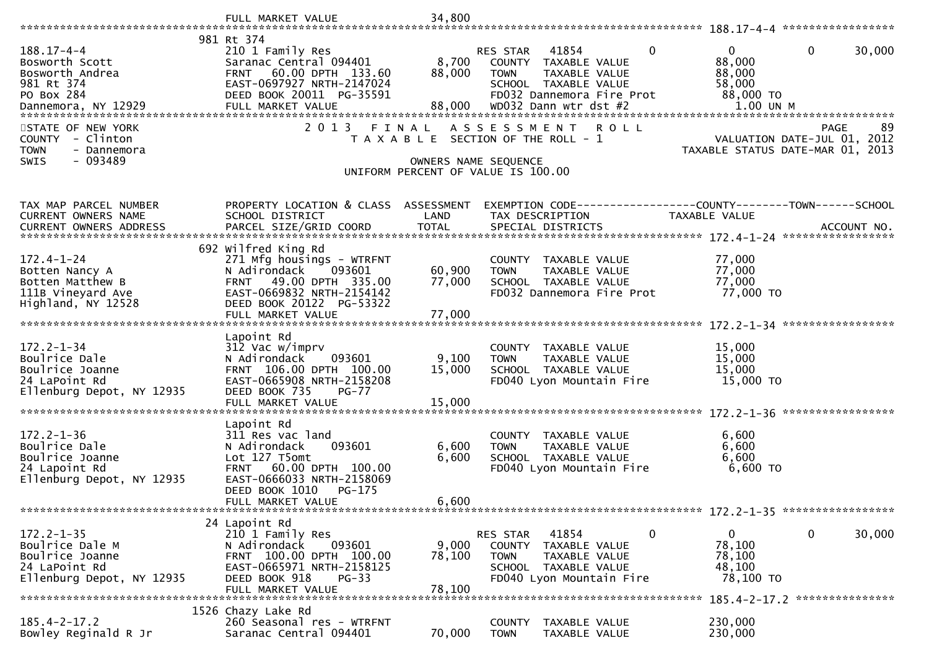|                                                                                                      | FULL MARKET VALUE                                                                                                                                                      | 34,800               |                                                                                                                                         |               |                                                         |                                                                                       |
|------------------------------------------------------------------------------------------------------|------------------------------------------------------------------------------------------------------------------------------------------------------------------------|----------------------|-----------------------------------------------------------------------------------------------------------------------------------------|---------------|---------------------------------------------------------|---------------------------------------------------------------------------------------|
|                                                                                                      | 981 Rt 374                                                                                                                                                             |                      |                                                                                                                                         |               |                                                         |                                                                                       |
| $188.17 - 4 - 4$<br>Bosworth Scott<br>Bosworth Andrea<br>981 Rt 374                                  | 210 1 Family Res<br>Saranac Central 094401<br>60.00 DPTH 133.60<br><b>FRNT</b><br>EAST-0697927 NRTH-2147024                                                            | 8,700<br>88,000      | 41854<br><b>RES STAR</b><br>COUNTY<br>TAXABLE VALUE<br><b>TOWN</b><br>TAXABLE VALUE<br>SCHOOL TAXABLE VALUE                             | $\mathbf 0$   | $\overline{0}$<br>88,000<br>88,000<br>58,000            | $\mathbf{0}$<br>30,000                                                                |
| PO Box 284                                                                                           | DEED BOOK 20011 PG-35591                                                                                                                                               |                      | FD032 Dannemora Fire Prot<br>WD032 Dann wtr dst #2                                                                                      |               | 88,000 TO<br>$1.00$ UN M                                |                                                                                       |
| STATE OF NEW YORK<br><b>COUNTY</b><br>- Clinton<br>- Dannemora<br><b>TOWN</b>                        | 2 0 1 3<br>FINAL                                                                                                                                                       |                      | A S S E S S M E N T<br>R O L L<br>T A X A B L E SECTION OF THE ROLL - 1                                                                 |               |                                                         | -89<br><b>PAGE</b><br>VALUATION DATE-JUL 01, 2012<br>TAXABLE STATUS DATE-MAR 01, 2013 |
| $-093489$<br><b>SWIS</b>                                                                             |                                                                                                                                                                        | OWNERS NAME SEQUENCE | UNIFORM PERCENT OF VALUE IS 100.00                                                                                                      |               |                                                         |                                                                                       |
| TAX MAP PARCEL NUMBER<br>CURRENT OWNERS NAME                                                         | PROPERTY LOCATION & CLASS<br>SCHOOL DISTRICT                                                                                                                           | ASSESSMENT<br>LAND   | EXEMPTION        CODE-----------------COUNTY-------TOWN------SCHOOL<br>TAX DESCRIPTION                                                  | TAXABLE VALUE |                                                         |                                                                                       |
|                                                                                                      |                                                                                                                                                                        |                      |                                                                                                                                         |               |                                                         |                                                                                       |
| $172.4 - 1 - 24$<br>Botten Nancy A<br>Botten Matthew B<br>111B Vineyard Ave                          | 692 Wilfred King Rd<br>271 Mfg housings - WTRFNT<br>N Adirondack<br>093601<br>49.00 DPTH 335.00<br><b>FRNT</b><br>EAST-0669832 NRTH-2154142                            | 60,900<br>77,000     | COUNTY TAXABLE VALUE<br>TAXABLE VALUE<br><b>TOWN</b><br>SCHOOL TAXABLE VALUE<br>FD032 Dannemora Fire Prot                               |               | 77,000<br>77,000<br>77,000<br>77,000 TO                 |                                                                                       |
| Highland, NY 12528                                                                                   | DEED BOOK 20122 PG-53322<br>FULL MARKET VALUE                                                                                                                          | 77,000               |                                                                                                                                         |               |                                                         |                                                                                       |
|                                                                                                      |                                                                                                                                                                        |                      |                                                                                                                                         |               |                                                         |                                                                                       |
| $172.2 - 1 - 34$<br>Boulrice Dale<br>Boulrice Joanne<br>24 LaPoint Rd<br>Ellenburg Depot, NY 12935   | Lapoint Rd<br>312 Vac w/imprv<br>N Adirondack<br>093601<br>FRNT 106.00 DPTH 100.00<br>EAST-0665908 NRTH-2158208<br>DEED BOOK 735<br>$PG-77$                            | 9,100<br>15,000      | COUNTY TAXABLE VALUE<br>TAXABLE VALUE<br><b>TOWN</b><br>SCHOOL TAXABLE VALUE<br>FD040 Lyon Mountain Fire                                |               | 15,000<br>15,000<br>15,000<br>15,000 TO                 |                                                                                       |
|                                                                                                      | FULL MARKET VALUE                                                                                                                                                      | 15,000               |                                                                                                                                         |               |                                                         |                                                                                       |
| $172.2 - 1 - 36$<br>Boulrice Dale<br>Boulrice Joanne<br>24 Lapoint Rd<br>Ellenburg Depot, NY 12935   | Lapoint Rd<br>311 Res vac land<br>N Adirondack<br>093601<br>Lot 127 T5omt<br><b>FRNT</b><br>60.00 DPTH 100.00<br>EAST-0666033 NRTH-2158069<br>DEED BOOK 1010<br>PG-175 | 6,600<br>6,600       | TAXABLE VALUE<br>COUNTY<br>TAXABLE VALUE<br><b>TOWN</b><br>SCHOOL TAXABLE VALUE<br>FD040 Lyon Mountain Fire                             |               | 6,600<br>6,600<br>6,600<br>6,600 TO                     |                                                                                       |
|                                                                                                      | FULL MARKET VALUE                                                                                                                                                      | 6,600                |                                                                                                                                         |               |                                                         |                                                                                       |
|                                                                                                      |                                                                                                                                                                        |                      |                                                                                                                                         |               |                                                         | $172.2 - 1 - 35$ ******************                                                   |
| $172.2 - 1 - 35$<br>Boulrice Dale M<br>Boulrice Joanne<br>24 LaPoint Rd<br>Ellenburg Depot, NY 12935 | 24 Lapoint Rd<br>210 1 Family Res<br>093601<br>N Adirondack<br>FRNT 100.00 DPTH 100.00<br>EAST-0665971 NRTH-2158125<br>DEED BOOK 918<br>$PG-33$                        | 9,000<br>78,100      | RES STAR<br>41854<br><b>COUNTY</b><br>TAXABLE VALUE<br><b>TOWN</b><br>TAXABLE VALUE<br>SCHOOL TAXABLE VALUE<br>FD040 Lyon Mountain Fire | $\mathbf 0$   | $\mathbf{0}$<br>78,100<br>78,100<br>48,100<br>78,100 TO | $\mathbf 0$<br>30,000                                                                 |
|                                                                                                      | FULL MARKET VALUE                                                                                                                                                      | 78,100               |                                                                                                                                         |               |                                                         | 185.4-2-17.2 ****************                                                         |
| $185.4 - 2 - 17.2$<br>Bowley Reginald R Jr                                                           | 1526 Chazy Lake Rd<br>260 Seasonal res - WTRFNT<br>Saranac Central 094401                                                                                              | 70,000               | <b>COUNTY</b><br>TAXABLE VALUE<br>TAXABLE VALUE<br><b>TOWN</b>                                                                          |               | 230,000<br>230,000                                      |                                                                                       |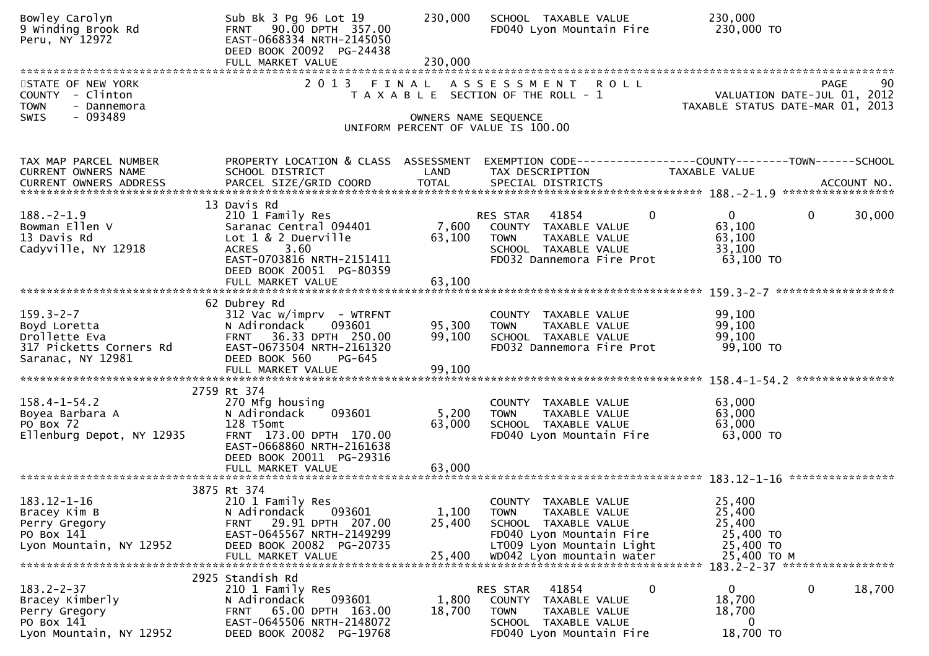| Bowley Carolyn<br>9 Winding Brook Rd<br>Peru, NY 12972                                           | Sub Bk 3 Pg 96 Lot 19<br>FRNT 90.00 DPTH 357.00<br>EAST-0668334 NRTH-2145050<br>DEED BOOK 20092 PG-24438<br>FULL MARKET VALUE                                                         | 230,000<br>230,000         | SCHOOL TAXABLE VALUE<br>FD040 Lyon Mountain Fire                                                                                                                             | 230,000<br>230,000 TO                                                                                |
|--------------------------------------------------------------------------------------------------|---------------------------------------------------------------------------------------------------------------------------------------------------------------------------------------|----------------------------|------------------------------------------------------------------------------------------------------------------------------------------------------------------------------|------------------------------------------------------------------------------------------------------|
| STATE OF NEW YORK<br>COUNTY - Clinton<br><b>TOWN</b><br>- Dannemora<br>- 093489<br><b>SWIS</b>   |                                                                                                                                                                                       |                            | 2013 FINAL ASSESSMENT ROLL<br>T A X A B L E SECTION OF THE ROLL - 1<br>OWNERS NAME SEQUENCE                                                                                  | 90<br><b>PAGE</b><br>VALUATION DATE-JUL 01, 2012<br>TAXABLE STATUS DATE-MAR 01, 2013                 |
|                                                                                                  |                                                                                                                                                                                       |                            | UNIFORM PERCENT OF VALUE IS 100.00                                                                                                                                           |                                                                                                      |
| TAX MAP PARCEL NUMBER<br>CURRENT OWNERS NAME                                                     | PROPERTY LOCATION & CLASS ASSESSMENT<br>SCHOOL DISTRICT                                                                                                                               | LAND                       | TAX DESCRIPTION                                                                                                                                                              | EXEMPTION CODE-----------------COUNTY-------TOWN------SCHOOL<br>TAXABLE VALUE                        |
| $188. - 2 - 1.9$<br>Bowman Ellen V<br>13 Davis Rd<br>Cadyville, NY 12918                         | 13 Davis Rd<br>210 1 Family Res<br>Saranac Central 094401<br>Lot 1 & 2 Duerville<br><b>ACRES</b><br>3.60<br>EAST-0703816 NRTH-2151411<br>DEED BOOK 20051 PG-80359                     | 7,600<br>63,100            | $\mathbf{0}$<br>RES STAR 41854<br>COUNTY TAXABLE VALUE<br>TAXABLE VALUE<br><b>TOWN</b><br>SCHOOL TAXABLE VALUE<br>FD032 Dannemora Fire Prot                                  | $\Omega$<br>30,000<br>$\mathbf{0}$<br>63,100<br>63,100<br>33,100<br>63,100 TO                        |
| $159.3 - 2 - 7$<br>Boyd Loretta<br>Drollette Eva<br>317 Picketts Corners Rd<br>Saranac, NY 12981 | 62 Dubrey Rd<br>$312$ Vac w/imprv - WTRFNT<br>N Adirondack<br>093601<br>36.33 DPTH 250.00<br><b>FRNT</b><br>EAST-0673504 NRTH-2161320<br>DEED BOOK 560<br>PG-645<br>FULL MARKET VALUE | 95,300<br>99,100<br>99,100 | COUNTY TAXABLE VALUE<br><b>TOWN</b><br>TAXABLE VALUE<br>SCHOOL TAXABLE VALUE<br>FD032 Dannemora Fire Prot                                                                    | ******************<br>99,100<br>99,100<br>99,100<br>99,100 TO                                        |
|                                                                                                  | 2759 Rt 374                                                                                                                                                                           |                            |                                                                                                                                                                              |                                                                                                      |
| $158.4 - 1 - 54.2$<br>Boyea Barbara A<br>PO Box 72<br>Ellenburg Depot, NY 12935                  | 270 Mfg housing<br>093601<br>N Adirondack<br>128 T5omt<br>FRNT 173.00 DPTH 170.00<br>EAST-0668860 NRTH-2161638<br>DEED BOOK 20011 PG-29316                                            | 5,200<br>63,000<br>63,000  | COUNTY<br>TAXABLE VALUE<br>TAXABLE VALUE<br><b>TOWN</b><br>SCHOOL TAXABLE VALUE<br>FD040 Lyon Mountain Fire                                                                  | 63,000<br>63,000<br>63,000<br>63,000 TO                                                              |
|                                                                                                  | FULL MARKET VALUE                                                                                                                                                                     |                            |                                                                                                                                                                              |                                                                                                      |
| 183.12-1-16<br>Bracey Kim B<br>Perry Gregory<br>PO Box 141<br>Lyon Mountain, NY 12952            | 3875 Rt 374<br>210 1 Family Res<br>093601<br>N Adirondack<br>29.91 DPTH 207.00<br>FRNT<br>EAST-0645567 NRTH-2149299<br>DEED BOOK 20082 PG-20735<br>FULL MARKET VALUE                  | 1,100<br>25,400<br>25,400  | <b>COUNTY</b><br>TAXABLE VALUE<br>TAXABLE VALUE<br><b>TOWN</b><br>SCHOOL TAXABLE VALUE<br>FD040 Lyon Mountain Fire<br>LT009 Lyon Mountain Light<br>WD042 Lyon mountain water | 25,400<br>25,400<br>25,400<br>25,400 TO<br>25,400 TO<br>25,400 TO M<br>183.2-2-37 ****************** |
| $183.2 - 2 - 37$<br>Bracey Kimberly<br>Perry Gregory<br>PO Box 141<br>Lyon Mountain, NY 12952    | 2925 Standish Rd<br>210 1 Family Res<br>N Adirondack<br>093601<br>65.00 DPTH 163.00<br>FRNT<br>EAST-0645506 NRTH-2148072<br>DEED BOOK 20082 PG-19768                                  | 1,800<br>18,700            | 41854<br>0<br>RES STAR<br>COUNTY<br>TAXABLE VALUE<br>TAXABLE VALUE<br><b>TOWN</b><br>SCHOOL TAXABLE VALUE<br>FD040 Lyon Mountain Fire                                        | 0<br>18,700<br>$\mathbf 0$<br>18,700<br>18,700<br>0<br>18,700 TO                                     |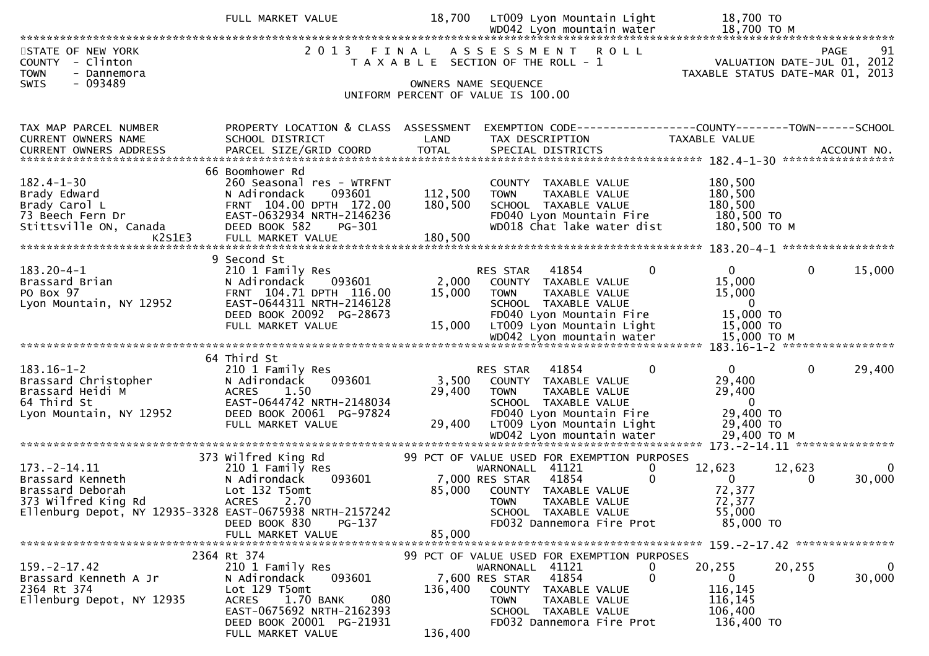|                                                                                                                                               | FULL MARKET VALUE                                                                                                                                                                            | 18,700                        | LT009 Lyon Mountain Light<br>WD042 Lyon mountain water                                                                                                                                                 | 18,700 TO<br>18,700 TO M                                                               |                                                                                      |
|-----------------------------------------------------------------------------------------------------------------------------------------------|----------------------------------------------------------------------------------------------------------------------------------------------------------------------------------------------|-------------------------------|--------------------------------------------------------------------------------------------------------------------------------------------------------------------------------------------------------|----------------------------------------------------------------------------------------|--------------------------------------------------------------------------------------|
| STATE OF NEW YORK<br>COUNTY - Clinton<br><b>TOWN</b><br>- Dannemora                                                                           | 2 0 1 3                                                                                                                                                                                      | FINAL                         | ASSESSMENT<br><b>ROLL</b><br>T A X A B L E SECTION OF THE ROLL - 1                                                                                                                                     |                                                                                        | <b>PAGE</b><br>91<br>VALUATION DATE-JUL 01, 2012<br>TAXABLE STATUS DATE-MAR 01, 2013 |
| $-093489$<br>SWIS                                                                                                                             |                                                                                                                                                                                              |                               | OWNERS NAME SEQUENCE<br>UNIFORM PERCENT OF VALUE IS 100.00                                                                                                                                             |                                                                                        |                                                                                      |
| TAX MAP PARCEL NUMBER<br>CURRENT OWNERS NAME                                                                                                  | PROPERTY LOCATION & CLASS ASSESSMENT<br>SCHOOL DISTRICT                                                                                                                                      | LAND                          | EXEMPTION CODE------------------COUNTY--------TOWN------SCHOOL<br>TAX DESCRIPTION                                                                                                                      | TAXABLE VALUE                                                                          |                                                                                      |
| $182.4 - 1 - 30$<br>Brady Edward<br>Brady Carol L<br>73 Beech Fern Dr<br>Stittsville ON, Canada<br>K2S1E3                                     | 66 Boomhower Rd<br>260 Seasonal res - WTRFNT<br>N Adirondack<br>093601<br>FRNT 104.00 DPTH 172.00<br>EAST-0632934 NRTH-2146236<br>DEED BOOK 582<br>PG-301<br>FULL MARKET VALUE               | 112,500<br>180,500<br>180,500 | COUNTY TAXABLE VALUE<br>TAXABLE VALUE<br><b>TOWN</b><br>SCHOOL TAXABLE VALUE<br>FD040 Lyon Mountain Fire<br>WD018 Chat lake water dist                                                                 | 180,500<br>180,500<br>180,500<br>180,500 TO<br>180,500 ТО М                            |                                                                                      |
| $183.20 - 4 - 1$<br>Brassard Brian<br>PO Box 97<br>Lyon Mountain, NY 12952                                                                    | 9 Second St<br>210 1 Family Res<br>093601<br>N Adirondack<br>FRNT 104.71 DPTH 116.00<br>EAST-0644311 NRTH-2146128<br>DEED BOOK 20092 PG-28673<br>FULL MARKET VALUE                           | 2,000<br>15,000<br>15,000     | RES STAR<br>41854<br>COUNTY TAXABLE VALUE<br>TAXABLE VALUE<br><b>TOWN</b><br>SCHOOL TAXABLE VALUE<br>FD040 Lyon Mountain Fire<br>LT009 Lyon Mountain Light                                             | 0<br>$\Omega$<br>15,000<br>15,000<br>$\overline{\mathbf{0}}$<br>15,000 TO<br>15,000 TO | $\mathbf 0$<br>15,000                                                                |
|                                                                                                                                               |                                                                                                                                                                                              |                               |                                                                                                                                                                                                        |                                                                                        |                                                                                      |
| $183.16 - 1 - 2$<br>Brassard Christopher<br>Brassard Heidi M<br>64 Third St<br>Lyon Mountain, NY 12952                                        | 64 Third St<br>210 1 Family Res<br>093601<br>N Adirondack<br>1.50<br><b>ACRES</b><br>EAST-0644742 NRTH-2148034<br>DEED BOOK 20061 PG-97824<br>FULL MARKET VALUE                              | 3,500<br>29,400<br>29,400     | 41854<br><b>RES STAR</b><br>COUNTY TAXABLE VALUE<br>TAXABLE VALUE<br><b>TOWN</b><br>SCHOOL TAXABLE VALUE<br>FD040 Lyon Mountain Fire<br>LT009 Lyon Mountain Light                                      | 0<br>$\mathbf{0}$<br>29,400<br>29,400<br>- 0<br>29,400 TO<br>29,400 TO                 | $\mathbf 0$<br>29,400                                                                |
|                                                                                                                                               |                                                                                                                                                                                              |                               |                                                                                                                                                                                                        | 29,400 ТО М                                                                            | $173. - 2 - 14.11$ ***************                                                   |
| $173. - 2 - 14.11$<br>Brassard Kenneth<br>Brassard Deborah<br>373 Wilfred King Rd<br>Ellenburg Depot, NY 12935-3328 EAST-0675938 NRTH-2157242 | 373 Wilfred King Rd<br>210 1 Family Res<br>N Adirondack<br>093601<br>Lot 132 T5omt<br><b>ACRES</b><br>2.70<br>PG-137<br>DEED BOOK 830                                                        | 85,000                        | 99 PCT OF VALUE USED FOR EXEMPTION PURPOSES<br>WARNONALL 41121<br>7,000 RES STAR<br>41854<br>COUNTY TAXABLE VALUE<br>TAXABLE VALUE<br><b>TOWN</b><br>SCHOOL TAXABLE VALUE<br>FD032 Dannemora Fire Prot | 0<br>12,623<br>$\mathbf{0}$<br>$\mathbf{0}$<br>72,377<br>72,377<br>55,000<br>85,000 TO | 12,623<br>0<br>30,000<br>$\Omega$                                                    |
|                                                                                                                                               | FULL MARKET VALUE                                                                                                                                                                            | 85,000                        |                                                                                                                                                                                                        |                                                                                        |                                                                                      |
| $159. - 2 - 17.42$<br>Brassard Kenneth A Jr<br>2364 Rt 374<br>Ellenburg Depot, NY 12935                                                       | 2364 Rt 374<br>210 1 Family Res<br>N Adirondack<br>093601<br>Lot 129 T5omt<br>080<br>1.70 BANK<br><b>ACRES</b><br>EAST-0675692 NRTH-2162393<br>DEED BOOK 20001 PG-21931<br>FULL MARKET VALUE | 136,400<br>136,400            | 99 PCT OF VALUE USED FOR EXEMPTION PURPOSES<br>WARNONALL 41121<br>41854<br>7,600 RES STAR<br>COUNTY TAXABLE VALUE<br>TAXABLE VALUE<br><b>TOWN</b><br>SCHOOL TAXABLE VALUE<br>FD032 Dannemora Fire Prot | 20,255<br>0<br>0<br>$\overline{0}$<br>116,145<br>116,145<br>106,400<br>136,400 TO      | $\mathbf 0$<br>20,255<br>30,000<br>0                                                 |
|                                                                                                                                               |                                                                                                                                                                                              |                               |                                                                                                                                                                                                        |                                                                                        |                                                                                      |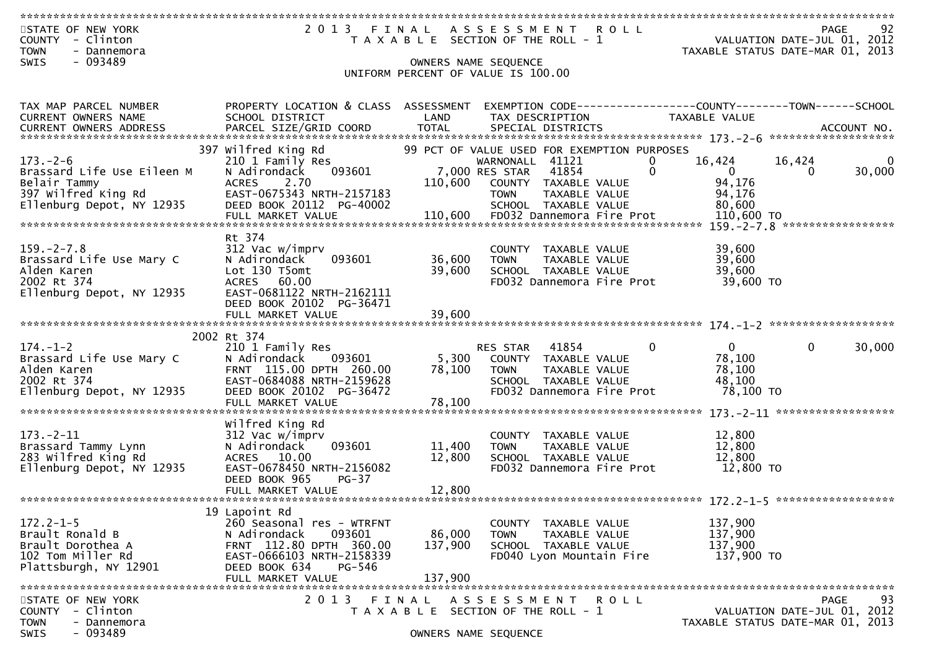| 2013 FINAL ASSESSMENT ROLL<br>STATE OF NEW YORK<br>PAGE<br>VALUATION DATE-JUL 01, 2012<br>COUNTY - Clinton<br>T A X A B L E SECTION OF THE ROLL - 1<br>TAXABLE STATUS DATE-MAR 01, 2013<br><b>TOWN</b><br>- Dannemora | 92     |
|-----------------------------------------------------------------------------------------------------------------------------------------------------------------------------------------------------------------------|--------|
| - 093489<br><b>SWIS</b><br>OWNERS NAME SEQUENCE                                                                                                                                                                       |        |
| UNIFORM PERCENT OF VALUE IS 100.00                                                                                                                                                                                    |        |
| PROPERTY LOCATION & CLASS ASSESSMENT EXEMPTION CODE----------------COUNTY-------TOWN------SCHOOL<br>TAX MAP PARCEL NUMBER                                                                                             |        |
| LAND<br>CURRENT OWNERS NAME<br>SCHOOL DISTRICT<br><b>TAXABLE VALUE</b><br>TAX DESCRIPTION                                                                                                                             |        |
|                                                                                                                                                                                                                       |        |
| 397 Wilfred King Rd<br>99 PCT OF VALUE USED FOR EXEMPTION PURPOSES<br>$173. - 2 - 6$<br>WARNONALL 41121<br>$\Omega$<br>16,424<br>16,424<br>210 1 Family Res                                                           | 0      |
| 7,000 RES STAR<br>$\mathbf{0}$<br>Brassard Life Use Eileen M<br>N Adirondack<br>093601<br>41854<br>$\mathbf{0}$<br>$\Omega$                                                                                           | 30,000 |
| 94,176<br>Belair Tammy<br>2.70<br>110,600<br><b>ACRES</b><br>COUNTY TAXABLE VALUE<br>397 Wilfred King Rd<br>EAST-0675343 NRTH-2157183<br>94,176<br>TAXABLE VALUE<br><b>TOWN</b>                                       |        |
| Ellenburg Depot, NY 12935<br>DEED BOOK 20112 PG-40002<br>SCHOOL TAXABLE VALUE<br>80,600                                                                                                                               |        |
| = 2000,  = 2000<br>FULL MARKET VALUE 110,600 FD032 Dannemora Fire Prot 110,600 TO 110,600 FD032 FULL MARKET VALUE                                                                                                     |        |
| Rt 374                                                                                                                                                                                                                |        |
| 39,600<br>$159. - 2 - 7.8$<br>312 Vac w/imprv<br>COUNTY TAXABLE VALUE                                                                                                                                                 |        |
| 36,600<br>39,600<br>093601<br>Brassard Life Use Mary C<br>N Adirondack<br><b>TOWN</b><br>TAXABLE VALUE<br>39,600<br>39,600<br>Alden Karen<br>Lot 130 T5omt<br>SCHOOL TAXABLE VALUE                                    |        |
| 2002 Rt 374<br>39,600 TO<br>ACRES 60.00<br>FD032 Dannemora Fire Prot                                                                                                                                                  |        |
| Ellenburg Depot, NY 12935<br>EAST-0681122 NRTH-2162111<br>DEED BOOK 20102 PG-36471                                                                                                                                    |        |
| 39,600<br>FULL MARKET VALUE                                                                                                                                                                                           |        |
|                                                                                                                                                                                                                       |        |
| 2002 Rt 374<br>$174. - 1 - 2$<br>$\mathbf{0}$<br>$\overline{0}$<br>RES STAR 41854<br>$\mathbf{0}$<br>210 1 Family Res                                                                                                 | 30,000 |
| 78,100<br>Brassard Life Use Mary C<br>N Adirondack<br>5,300<br>093601<br>COUNTY TAXABLE VALUE                                                                                                                         |        |
| Alden Karen<br>FRNT 115.00 DPTH 260.00<br>78,100<br>78,100<br><b>TOWN</b><br>TAXABLE VALUE<br>EAST-0684088 NRTH-2159628<br>2002 Rt 374<br>SCHOOL TAXABLE VALUE<br>48,100                                              |        |
| Ellenburg Depot, NY 12935<br>DEED BOOK 20102 PG-36472<br>FD032 Dannemora Fire Prot<br>78,100 то                                                                                                                       |        |
|                                                                                                                                                                                                                       |        |
| Wilfred King Rd                                                                                                                                                                                                       |        |
| $173. - 2 - 11$<br>12,800<br>312 Vac w/imprv<br>COUNTY TAXABLE VALUE<br>Brassard Tammy Lynn<br>093601<br>11,400<br>12,800<br>N Adirondack<br><b>TOWN</b><br>TAXABLE VALUE                                             |        |
| 283 Wilfred King Rd<br>12,800<br><b>ACRES</b><br>10.00<br>12,800<br>SCHOOL TAXABLE VALUE                                                                                                                              |        |
| Ellenburg Depot, NY 12935<br>EAST-0678450 NRTH-2156082<br>12,800 TO<br>FD032 Dannemora Fire Prot<br>DEED BOOK 965<br>$PG-37$                                                                                          |        |
| FULL MARKET VALUE<br>12,800                                                                                                                                                                                           |        |
|                                                                                                                                                                                                                       |        |
| 19 Lapoint Rd<br>$172.2 - 1 - 5$<br>260 Seasonal res - WTRFNT<br>137,900<br>COUNTY TAXABLE VALUE                                                                                                                      |        |
| Brault Ronald B<br>N Adirondack<br>093601<br>86,000<br>137,900<br>TAXABLE VALUE<br>TOWN                                                                                                                               |        |
| Brault Dorothea A<br>FRNT 112.80 DPTH 360.00<br>137,900<br>137,900<br>SCHOOL TAXABLE VALUE<br>102 Tom Miller Rd<br>137,900 TO<br>EAST-0666103 NRTH-2158339<br>FD040 Lyon Mountain Fire                                |        |
| DEED BOOK 634<br>Plattsburgh, NY 12901<br>PG-546                                                                                                                                                                      |        |
| 137,900<br>FULL MARKET VALUE                                                                                                                                                                                          |        |
| 2 0 1 3<br>STATE OF NEW YORK<br>FINAL<br><b>ROLL</b><br><b>PAGE</b><br>A S S E S S M E N T                                                                                                                            | 93     |
| VALUATION DATE-JUL 01, 2012<br>- Clinton<br><b>COUNTY</b><br>T A X A B L E SECTION OF THE ROLL - 1<br>TAXABLE STATUS DATE-MAR 01, 2013<br><b>TOWN</b><br>- Dannemora                                                  |        |
| $-093489$<br>SWIS<br>OWNERS NAME SEQUENCE                                                                                                                                                                             |        |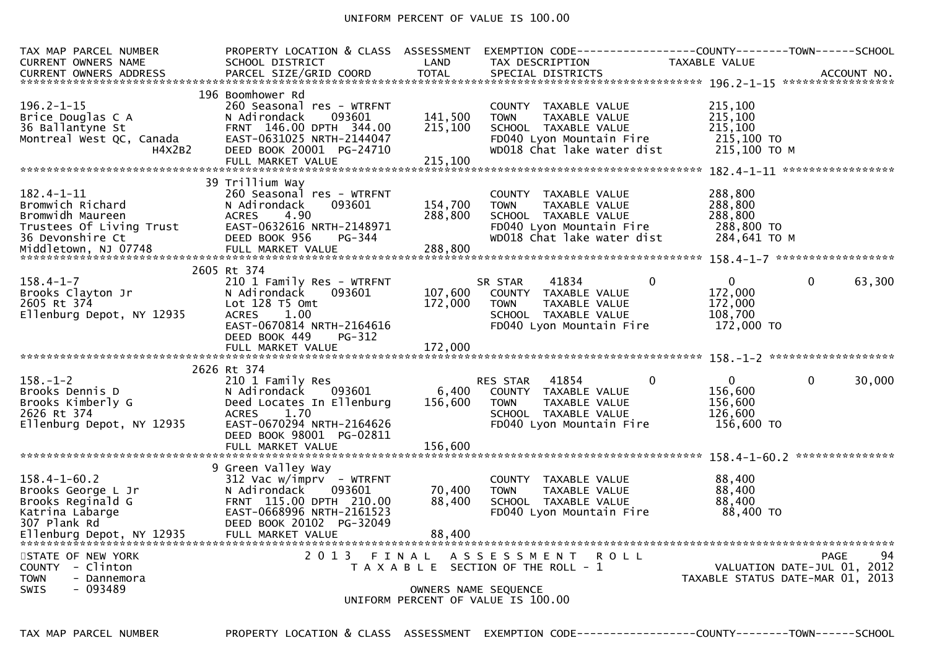## UNIFORM PERCENT OF VALUE IS 100.00

| TAX MAP PARCEL NUMBER<br>CURRENT OWNERS NAME                                                                          | PROPERTY LOCATION & CLASS ASSESSMENT<br>SCHOOL DISTRICT                                                                                                                                      | LAND                          | EXEMPTION CODE------------------COUNTY--------TOWN------SCHOOL<br>TAX DESCRIPTION                                                              | TAXABLE VALUE                                                           |                                                                 |
|-----------------------------------------------------------------------------------------------------------------------|----------------------------------------------------------------------------------------------------------------------------------------------------------------------------------------------|-------------------------------|------------------------------------------------------------------------------------------------------------------------------------------------|-------------------------------------------------------------------------|-----------------------------------------------------------------|
| $196.2 - 1 - 15$<br>Brice Douglas C A<br>36 Ballantyne St<br>Montreal West QC, Canada<br>H4X2B2                       | 196 Boomhower Rd<br>260 Seasonal res - WTRFNT<br>093601<br>N Adirondack<br>FRNT 146.00 DPTH 344.00<br>EAST-0631025 NRTH-2144047<br>DEED BOOK 20001 PG-24710                                  | 141,500<br>215,100            | COUNTY TAXABLE VALUE<br><b>TOWN</b><br>TAXABLE VALUE<br>SCHOOL TAXABLE VALUE<br>FD040 Lyon Mountain Fire<br>WD018 Chat lake water dist         | 215,100<br>215,100<br>215,100<br>215,100 TO<br>215,100 ТО М             |                                                                 |
| 182.4-1-11<br>Bromwich Richard<br>Bromwidh Maureen<br>Trustees Of Living Trust<br>36 Devonshire Ct                    | 39 Trillium Way<br>260 Seasonal res - WTRFNT<br>N Adirondack<br>093601<br>4.90<br><b>ACRES</b><br>EAST-0632616 NRTH-2148971<br>DEED BOOK 956<br>PG-344                                       | 154,700<br>288,800            | COUNTY TAXABLE VALUE<br>TAXABLE VALUE<br><b>TOWN</b><br>SCHOOL TAXABLE VALUE<br>FD040 Lyon Mountain Fire<br>WD018 Chat lake water dist         | 288,800<br>288,800<br>288,800<br>288,800 TO<br>284,641 ТО М             |                                                                 |
| $158.4 - 1 - 7$<br>Brooks Clayton Jr<br>2605 Rt 374<br>Ellenburg Depot, NY 12935                                      | 2605 Rt 374<br>210 1 Family Res - WTRFNT<br>093601<br>N Adirondack<br>Lot $128$ T5 Omt<br>1.00<br><b>ACRES</b><br>EAST-0670814 NRTH-2164616<br>DEED BOOK 449<br>PG-312<br>FULL MARKET VALUE  | 107,600<br>172,000<br>172,000 | 41834<br>SR STAR<br>COUNTY TAXABLE VALUE<br><b>TOWN</b><br>TAXABLE VALUE<br>SCHOOL TAXABLE VALUE<br>FD040 Lyon Mountain Fire                   | $\mathbf{0}$<br>$\Omega$<br>172,000<br>172,000<br>108,700<br>172,000 TO | $\mathbf 0$<br>63,300                                           |
| $158. - 1 - 2$<br>Brooks Dennis D<br>Brooks Kimberly G<br>2626 Rt 374<br>Ellenburg Depot, NY 12935                    | 2626 Rt 374<br>210 1 Family Res<br>N Adirondack<br>093601<br>Deed Locates In Ellenburg<br>1.70<br><b>ACRES</b><br>EAST-0670294 NRTH-2164626<br>DEED BOOK 98001 PG-02811<br>FULL MARKET VALUE | 6,400<br>156,600<br>156,600   | 41854<br>RES STAR<br>COUNTY TAXABLE VALUE<br>TAXABLE VALUE<br><b>TOWN</b><br>SCHOOL TAXABLE VALUE<br>FD040 Lyon Mountain Fire                  | $\mathbf 0$<br>$\Omega$<br>156,600<br>156,600<br>126,600<br>156,600 TO  | $\mathbf 0$<br>30,000                                           |
| $158.4 - 1 - 60.2$<br>Brooks George L Jr<br>Brooks Reginald G<br>Katrina Labarge<br>307 Plank Rd<br>STATE OF NEW YORK | 9 Green Valley Way<br>$312$ Vac w/imprv - WTRFNT<br>N Adirondack<br>093601<br>FRNT 115.00 DPTH 210.00<br>EAST-0668996 NRTH-2161523<br>DEED BOOK 20102 PG-32049<br>2013 FINAL                 | 70,400<br>88,400              | COUNTY TAXABLE VALUE<br>TAXABLE VALUE<br><b>TOWN</b><br>SCHOOL TAXABLE VALUE<br>FD040 Lyon Mountain Fire<br>A S S E S S M E N T<br><b>ROLL</b> | 88,400<br>88,400<br>88,400<br>88,400 TO                                 | 94<br>PAGE                                                      |
| COUNTY - Clinton<br><b>TOWN</b><br>- Dannemora<br>$-093489$<br><b>SWIS</b>                                            |                                                                                                                                                                                              |                               | T A X A B L E SECTION OF THE ROLL - 1<br>OWNERS NAME SEQUENCE<br>UNIFORM PERCENT OF VALUE IS 100.00                                            |                                                                         | VALUATION DATE-JUL 01, 2012<br>TAXABLE STATUS DATE-MAR 01, 2013 |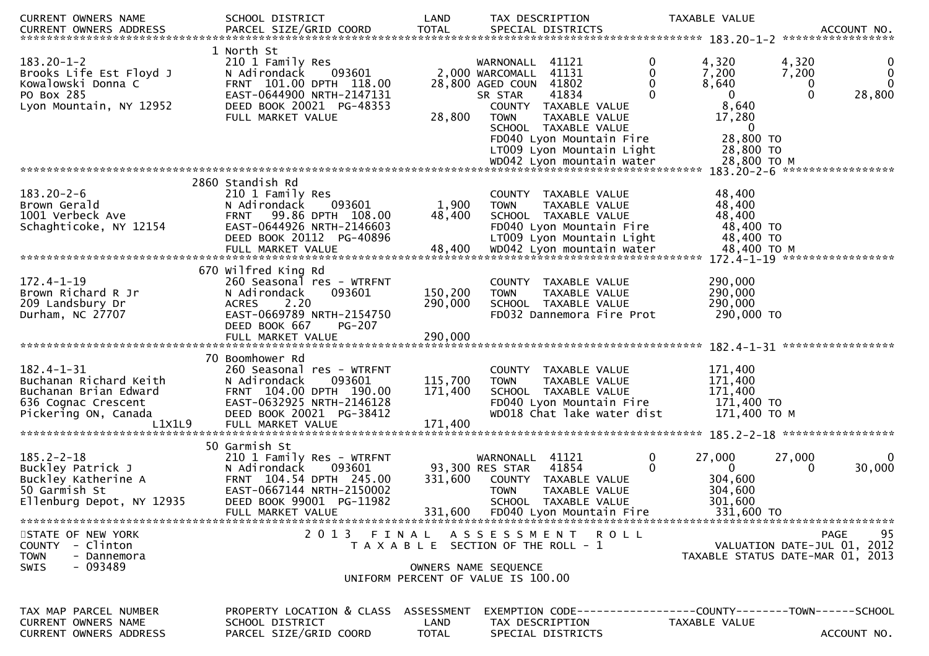| CURRENT OWNERS NAME                                                                                                          | SCHOOL DISTRICT                                                                                                                                                                 | LAND                          | TAX DESCRIPTION                                                                                                                                                                                                                                                 |               | TAXABLE VALUE                                                                                                                                                        |
|------------------------------------------------------------------------------------------------------------------------------|---------------------------------------------------------------------------------------------------------------------------------------------------------------------------------|-------------------------------|-----------------------------------------------------------------------------------------------------------------------------------------------------------------------------------------------------------------------------------------------------------------|---------------|----------------------------------------------------------------------------------------------------------------------------------------------------------------------|
| $183.20 - 1 - 2$<br>Brooks Life Est Floyd J<br>Kowalowski Donna C<br>PO Box 285<br>Lyon Mountain, NY 12952                   | 1 North St<br>210 1 Family Res<br>093601<br>N Adirondack<br>FRNT 101.00 DPTH 118.00<br>EAST-0644900 NRTH-2147131<br>DEED BOOK 20021 PG-48353<br>FULL MARKET VALUE               | 28,800                        | WARNONALL 41121<br>41131<br>2,000 WARCOMALL<br>28,800 AGED COUN 41802<br>41834<br>SR STAR<br>COUNTY TAXABLE VALUE<br><b>TOWN</b><br>TAXABLE VALUE<br>SCHOOL TAXABLE VALUE<br>FD040 Lyon Mountain Fire<br>LT009 Lyon Mountain Light<br>WD042 Lyon mountain water | 0             | 4,320<br>4,320<br>0<br>0<br>7,200<br>7,200<br>$\Omega$<br>8,640<br>0<br>$\mathbf{0}$<br>0<br>28,800<br>8,640<br>17,280<br>0<br>28,800 TO<br>28,800 TO<br>28,800 TO M |
| $183.20 - 2 - 6$<br>Brown Gerald<br>1001 Verbeck Ave<br>Schaghticoke, NY 12154                                               | 2860 Standish Rd<br>210 1 Family Res<br>093601<br>N Adirondack<br>FRNT 99.86 DPTH 108.00<br>EAST-0644926 NRTH-2146603<br>DEED BOOK 20112 PG-40896<br>FULL MARKET VALUE          | 1,900<br>48,400<br>48,400     | COUNTY TAXABLE VALUE<br>TAXABLE VALUE<br>TOWN<br>SCHOOL TAXABLE VALUE<br>FD040 Lyon Mountain Fire<br>LT009 Lyon Mountain Light<br>WD042 Lyon mountain water                                                                                                     |               | 183.20-2-6 ******************<br>48,400<br>48,400<br>48,400<br>48,400 TO<br>48,400 TO<br>48,400 TO M<br>172.4-1-19 ******************                                |
| $172.4 - 1 - 19$<br>Brown Richard R Jr<br>209 Landsbury Dr<br>Durham, NC 27707                                               | 670 Wilfred King Rd<br>260 Seasonal res - WTRFNT<br>N Adirondack<br>093601<br>2.20<br><b>ACRES</b><br>EAST-0669789 NRTH-2154750<br>DEED BOOK 667<br><b>PG-207</b>               | 150,200<br>290,000            | COUNTY TAXABLE VALUE<br><b>TOWN</b><br>TAXABLE VALUE<br>SCHOOL TAXABLE VALUE<br>FD032 Dannemora Fire Prot                                                                                                                                                       |               | 290,000<br>290,000<br>290,000<br>290,000 TO                                                                                                                          |
| $182.4 - 1 - 31$<br>Buchanan Richard Keith<br>Buchanan Brian Edward<br>636 Cognac Crescent<br>Pickering ON, Canada<br>L1X1L9 | 70 Boomhower Rd<br>260 Seasonal res - WTRFNT<br>N Adirondack<br>093601<br>FRNT 104.00 DPTH 190.00<br>EAST-0632925 NRTH-2146128<br>DEED BOOK 20021 PG-38412<br>FULL MARKET VALUE | 115,700<br>171,400<br>171,400 | COUNTY TAXABLE VALUE<br><b>TOWN</b><br>TAXABLE VALUE<br>SCHOOL TAXABLE VALUE<br>FD040 Lyon Mountain Fire<br>WD018 Chat lake water dist                                                                                                                          |               | 171,400<br>171,400<br>171,400<br>171,400 TO<br>171,400 TO M<br>185.2-2-18 ******************                                                                         |
| $185.2 - 2 - 18$<br>Buckley Patrick J<br>Buckley Katherine A<br>50 Garmish St<br>Ellenburg Depot, NY 12935                   | 50 Garmish St<br>210 1 Family Res - WTRFNT<br>N Adirondack<br>093601<br>FRNT 104.54 DPTH 245.00<br>EAST-0667144 NRTH-2150002<br>DEED BOOK 99001 PG-11982<br>FULL MARKET VALUE   | 331,600                       | 41121<br>WARNONALL<br>93,300 RES STAR<br>41854<br>COUNTY TAXABLE VALUE<br>TAXABLE VALUE<br><b>TOWN</b><br><b>SCHOOL</b><br>TAXABLE VALUE<br>331,600 FD040 Lyon Mountain Fire                                                                                    | 0<br>$\Omega$ | 27,000<br>27,000<br>0<br>30,000<br>$\bf{0}$<br>$\Omega$<br>304,600<br>304,600<br>301,600<br>331,600 TO                                                               |
| STATE OF NEW YORK<br>COUNTY - Clinton<br><b>TOWN</b><br>- Dannemora<br>- 093489<br><b>SWIS</b>                               | 2013 FINAL                                                                                                                                                                      |                               | A S S E S S M E N T R O L L<br>T A X A B L E SECTION OF THE ROLL - 1<br>OWNERS NAME SEQUENCE<br>UNIFORM PERCENT OF VALUE IS 100.00                                                                                                                              |               | PAGE<br>95<br>VALUATION DATE-JUL 01, 2012<br>TAXABLE STATUS DATE-MAR 01, 2013                                                                                        |
| TAX MAP PARCEL NUMBER<br><b>CURRENT OWNERS NAME</b><br><b>CURRENT OWNERS ADDRESS</b>                                         | PROPERTY LOCATION & CLASS ASSESSMENT<br>SCHOOL DISTRICT<br>PARCEL SIZE/GRID COORD                                                                                               | LAND<br>TOTAL                 | TAX DESCRIPTION<br>SPECIAL DISTRICTS                                                                                                                                                                                                                            |               | EXEMPTION CODE------------------COUNTY--------TOWN------SCHOOL<br>TAXABLE VALUE<br>ACCOUNT NO.                                                                       |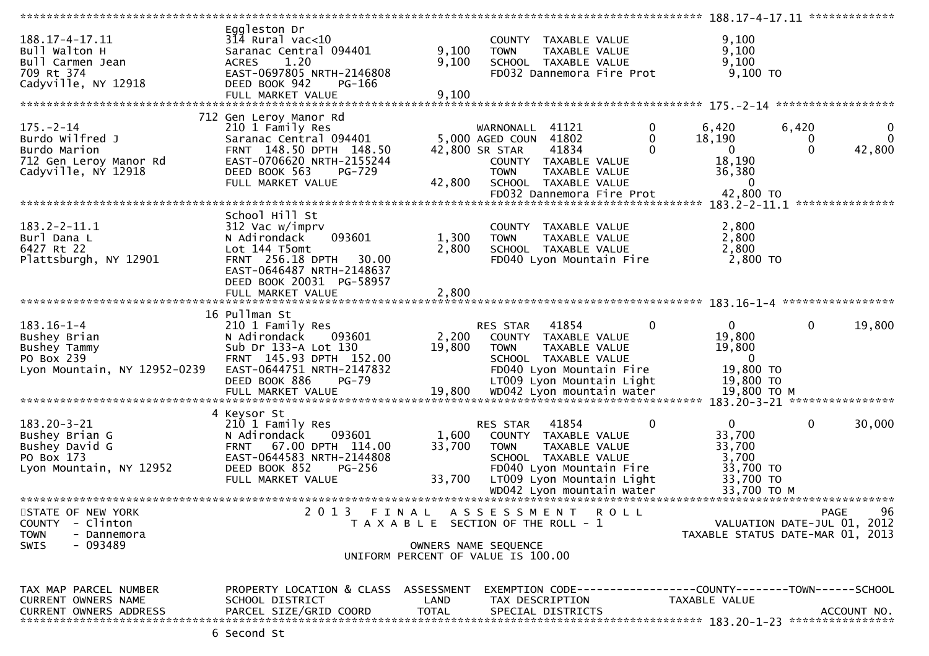| 188.17-4-17.11<br>Bull Walton H<br>Bull Carmen Jean<br>709 Rt 374<br>Cadyville, NY 12918                 | Eggleston Dr<br>$3\overline{14}$ Rural vac<10<br>Saranac Central 094401<br>1.20<br><b>ACRES</b><br>EAST-0697805 NRTH-2146808<br>DEED BOOK 942<br>PG-166            | 9,100<br>9,100                                                              | <b>TOWN</b>                                                         | COUNTY TAXABLE VALUE<br>TAXABLE VALUE<br>SCHOOL TAXABLE VALUE<br>FD032 Dannemora Fire Prot                                                                   |             | 9,100<br>9,100<br>9,100<br>$9,100$ TO                                        |                 |                             |
|----------------------------------------------------------------------------------------------------------|--------------------------------------------------------------------------------------------------------------------------------------------------------------------|-----------------------------------------------------------------------------|---------------------------------------------------------------------|--------------------------------------------------------------------------------------------------------------------------------------------------------------|-------------|------------------------------------------------------------------------------|-----------------|-----------------------------|
|                                                                                                          | FULL MARKET VALUE                                                                                                                                                  | 9,100                                                                       |                                                                     |                                                                                                                                                              |             |                                                                              |                 |                             |
|                                                                                                          |                                                                                                                                                                    |                                                                             |                                                                     |                                                                                                                                                              |             |                                                                              |                 |                             |
|                                                                                                          | 712 Gen Leroy Manor Rd                                                                                                                                             |                                                                             |                                                                     |                                                                                                                                                              |             |                                                                              |                 |                             |
| $175. - 2 - 14$<br>Burdo Wilfred J<br>Burdo Marion<br>712 Gen Leroy Manor Rd<br>Cadyville, NY 12918      | 210 1 Family Res<br>Saranac Central 094401<br>FRNT 148.50 DPTH 148.50<br>EAST-0706620 NRTH-2155244<br>DEED BOOK 563<br>PG-729<br>FULL MARKET VALUE                 | 42,800                                                                      | WARNONALL<br>5,000 AGED COUN 41802<br>42,800 SR STAR<br><b>TOWN</b> | 41121<br>41834<br>COUNTY TAXABLE VALUE<br>TAXABLE VALUE<br>SCHOOL TAXABLE VALUE                                                                              | 0<br>0      | 6,420<br>18,190<br>$\overline{0}$<br>18,190<br>36,380<br>$\Omega$            | 6,420<br>0<br>0 | $\Omega$<br>42,800          |
|                                                                                                          |                                                                                                                                                                    |                                                                             |                                                                     | FD032 Dannemora Fire Prot                                                                                                                                    |             | 42,800 TO                                                                    |                 |                             |
|                                                                                                          |                                                                                                                                                                    |                                                                             |                                                                     |                                                                                                                                                              |             |                                                                              |                 |                             |
| $183.2 - 2 - 11.1$<br>Burl Dana L<br>6427 Rt 22<br>Plattsburgh, NY 12901                                 | School Hill St<br>312 Vac w/imprv<br>093601<br>N Adirondack<br>Lot 144 T5omt<br>FRNT 256.18 DPTH<br>30.00<br>EAST-0646487 NRTH-2148637<br>DEED BOOK 20031 PG-58957 | 1,300<br>2,800                                                              | <b>TOWN</b>                                                         | COUNTY TAXABLE VALUE<br>TAXABLE VALUE<br>SCHOOL TAXABLE VALUE<br>FD040 Lyon Mountain Fire                                                                    |             | 2,800<br>2,800<br>2,800<br>2,800 TO                                          |                 |                             |
|                                                                                                          | FULL MARKET VALUE                                                                                                                                                  | 2,800                                                                       |                                                                     |                                                                                                                                                              |             |                                                                              |                 |                             |
|                                                                                                          |                                                                                                                                                                    |                                                                             |                                                                     |                                                                                                                                                              |             |                                                                              |                 |                             |
|                                                                                                          | 16 Pullman St                                                                                                                                                      |                                                                             |                                                                     |                                                                                                                                                              |             |                                                                              |                 |                             |
| $183.16 - 1 - 4$<br>Bushey Brian<br>Bushey Tammy<br>PO Box 239<br>Lyon Mountain, NY 12952-0239           | 210 1 Family Res<br>N Adirondack<br>093601<br>Sub Dr 133-A Lot 130<br>FRNT 145.93 DPTH 152.00<br>EAST-0644751 NRTH-2147832<br>DEED BOOK 886<br>$PG-79$             | 2,200<br>19,800                                                             | RES STAR<br><b>TOWN</b>                                             | 41854<br>COUNTY TAXABLE VALUE<br>TAXABLE VALUE<br>SCHOOL TAXABLE VALUE<br>FD040 Lyon Mountain Fire<br>LT009 Lyon Mountain Light                              | $\mathbf 0$ | $\overline{0}$<br>19,800<br>19,800<br>$\mathbf{0}$<br>19,800 TO<br>19,800 TO | 0               | 19,800                      |
|                                                                                                          | 4 Keysor St                                                                                                                                                        |                                                                             |                                                                     |                                                                                                                                                              |             |                                                                              |                 |                             |
| $183.20 - 3 - 21$<br>Bushey Brian G<br>Bushey David G<br>PO Box 173<br>Lyon Mountain, NY 12952           | 210 1 Family Res<br>093601<br>N Adirondack<br>67.00 DPTH 114.00<br><b>FRNT</b><br>EAST-0644583 NRTH-2144808<br>DEED BOOK 852<br>$PG-256$<br>FULL MARKET VALUE      | 1,600<br>33,700<br>33,700                                                   | RES STAR<br><b>TOWN</b>                                             | 41854<br>COUNTY TAXABLE VALUE<br>TAXABLE VALUE<br>SCHOOL TAXABLE VALUE<br>FD040 Lyon Mountain Fire<br>LT009 Lyon Mountain Light<br>WD042 Lyon mountain water | 0           | 0<br>33,700<br>33,700<br>3,700<br>33,700 TO<br>33,700 TO<br>33,700 TO M      | 0               | 30,000                      |
|                                                                                                          |                                                                                                                                                                    |                                                                             |                                                                     |                                                                                                                                                              |             |                                                                              |                 | *************************** |
| STATE OF NEW YORK<br><b>COUNTY</b><br>- Clinton<br><b>TOWN</b><br>- Dannemora<br><b>SWIS</b><br>- 093489 | 2013 FINAL ASSESSMENT ROLL                                                                                                                                         | T A X A B L E SECTION OF THE ROLL - 1<br>UNIFORM PERCENT OF VALUE IS 100.00 | OWNERS NAME SEQUENCE                                                |                                                                                                                                                              |             | VALUATION DATE-JUL 01, 2012<br>TAXABLE STATUS DATE-MAR 01, 2013              |                 | PAGE<br>-96                 |
| TAX MAP PARCEL NUMBER<br>CURRENT OWNERS NAME<br><b>CURRENT OWNERS ADDRESS</b>                            | PROPERTY LOCATION & CLASS ASSESSMENT<br>SCHOOL DISTRICT<br>PARCEL SIZE/GRID COORD                                                                                  | LAND<br><b>TOTAL</b>                                                        |                                                                     | TAX DESCRIPTION<br>SPECIAL DISTRICTS                                                                                                                         |             | TAXABLE VALUE                                                                |                 | ACCOUNT NO.                 |
|                                                                                                          |                                                                                                                                                                    |                                                                             |                                                                     |                                                                                                                                                              |             |                                                                              |                 |                             |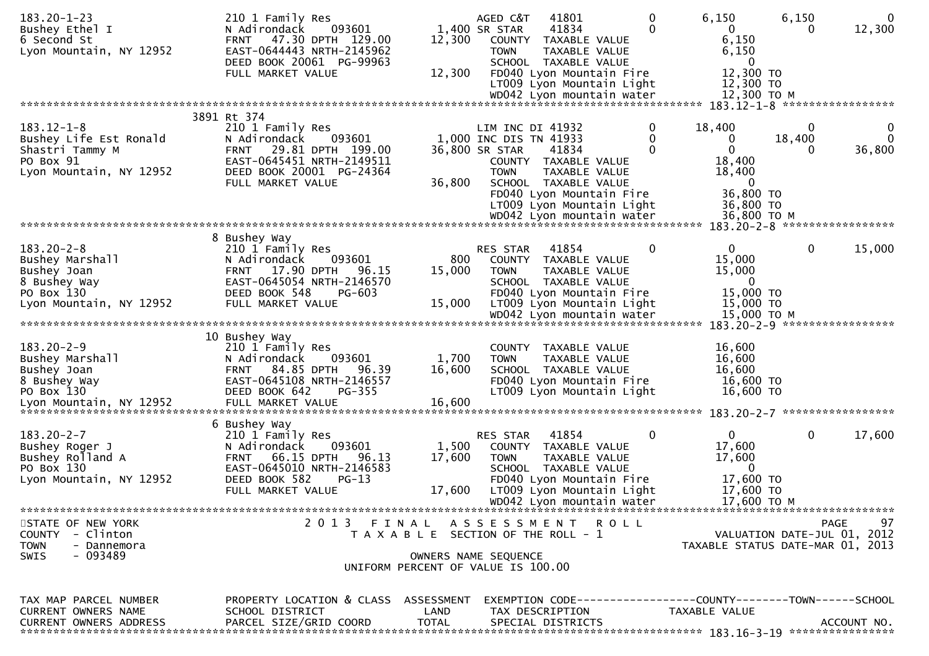| $183.20 - 1 - 23$             | 210 1 Family Res                     |                                       | AGED C&T               | 41801                     | 0 | 6,150                                                         | 6,150       | $\mathbf{0}$                |
|-------------------------------|--------------------------------------|---------------------------------------|------------------------|---------------------------|---|---------------------------------------------------------------|-------------|-----------------------------|
| Bushey Ethel I                | N Adirondack<br>093601               |                                       | 1,400 SR STAR          | 41834                     | 0 | $\mathbf{0}$                                                  | $\Omega$    | 12,300                      |
| 6 Second St                   | 47.30 DPTH 129.00<br><b>FRNT</b>     | 12,300                                |                        | COUNTY TAXABLE VALUE      |   | 6,150                                                         |             |                             |
| Lyon Mountain, NY 12952       | EAST-0644443 NRTH-2145962            |                                       | <b>TOWN</b>            | <b>TAXABLE VALUE</b>      |   | 6,150                                                         |             |                             |
|                               | DEED BOOK 20061 PG-99963             |                                       |                        | SCHOOL TAXABLE VALUE      |   | 0                                                             |             |                             |
|                               | FULL MARKET VALUE                    | 12,300                                |                        | FD040 Lyon Mountain Fire  |   | 12,300 TO                                                     |             |                             |
|                               |                                      |                                       |                        | LT009 Lyon Mountain Light |   | 12,300 TO                                                     |             |                             |
|                               |                                      |                                       |                        | WD042 Lyon mountain water |   | 12,300 ТО М                                                   |             |                             |
|                               |                                      |                                       |                        |                           |   | 183.12-1-8 ******************                                 |             |                             |
|                               | 3891 Rt 374                          |                                       |                        |                           |   |                                                               |             |                             |
| $183.12 - 1 - 8$              | 210 1 Family Res                     |                                       | LIM INC DI 41932       |                           |   | 18,400                                                        | 0           |                             |
| Bushey Life Est Ronald        | 093601<br>N Adirondack               |                                       | 1,000 INC DIS TN 41933 |                           | 0 | 0                                                             | 18,400      | $\Omega$                    |
| Shastri Tammy M               | 29.81 DPTH 199.00<br><b>FRNT</b>     |                                       | 36,800 SR STAR         | 41834                     | 0 | $\mathbf{0}$                                                  | 0           | 36,800                      |
| PO Box 91                     | EAST-0645451 NRTH-2149511            |                                       |                        | COUNTY TAXABLE VALUE      |   | 18,400                                                        |             |                             |
| Lyon Mountain, NY 12952       | DEED BOOK 20001 PG-24364             |                                       | <b>TOWN</b>            | TAXABLE VALUE             |   | 18,400                                                        |             |                             |
|                               | FULL MARKET VALUE                    | 36,800                                |                        | SCHOOL TAXABLE VALUE      |   | $\bf{0}$                                                      |             |                             |
|                               |                                      |                                       |                        | FD040 Lyon Mountain Fire  |   | 36,800 TO                                                     |             |                             |
|                               |                                      |                                       |                        | LT009 Lyon Mountain Light |   | 36,800 TO                                                     |             |                             |
|                               |                                      |                                       |                        | WD042 Lyon mountain water |   | 36,800 ТО М                                                   |             |                             |
|                               |                                      |                                       |                        |                           |   | 183.20-2-8 ******************                                 |             |                             |
|                               | 8 Bushey Way                         |                                       |                        |                           |   |                                                               |             |                             |
| $183.20 - 2 - 8$              | 210 1 Family Res                     |                                       | <b>RES STAR</b>        | 41854                     | 0 | 0                                                             | $\mathbf 0$ | 15,000                      |
| Bushey Marshall               | 093601<br>N Adirondack               | 800                                   | <b>COUNTY</b>          | TAXABLE VALUE             |   | 15,000                                                        |             |                             |
| Bushey Joan                   | 17.90 DPTH<br>96.15<br><b>FRNT</b>   | 15,000                                | <b>TOWN</b>            | TAXABLE VALUE             |   | 15,000                                                        |             |                             |
| 8 Bushey Way                  | EAST-0645054 NRTH-2146570            |                                       |                        | SCHOOL TAXABLE VALUE      |   | $\mathbf{0}$                                                  |             |                             |
| PO Box 130                    | DEED BOOK 548<br><b>PG-603</b>       |                                       |                        | FD040 Lyon Mountain Fire  |   | 15,000 TO                                                     |             |                             |
| Lyon Mountain, NY 12952       | FULL MARKET VALUE                    | 15,000                                |                        | LT009 Lyon Mountain Light |   | 15,000 TO                                                     |             |                             |
|                               |                                      |                                       |                        | WD042 Lyon mountain water |   | 15,000 ТО М                                                   |             |                             |
|                               |                                      |                                       |                        |                           |   | 183.20-2-9 ******************                                 |             |                             |
|                               | 10 Bushey Way                        |                                       |                        |                           |   |                                                               |             |                             |
| $183.20 - 2 - 9$              | 210 1 Family Res                     |                                       |                        | COUNTY TAXABLE VALUE      |   | 16,600                                                        |             |                             |
| Bushey Marshall               | 093601<br>N Adirondack               | 1,700                                 | <b>TOWN</b>            | TAXABLE VALUE             |   | 16,600                                                        |             |                             |
| Bushey Joan                   | 84.85 DPTH<br>96.39<br><b>FRNT</b>   | 16,600                                |                        | SCHOOL TAXABLE VALUE      |   | 16,600                                                        |             |                             |
| 8 Bushey Way                  | EAST-0645108 NRTH-2146557            |                                       |                        | FD040 Lyon Mountain Fire  |   | 16,600 TO                                                     |             |                             |
| PO Box 130                    | DEED BOOK 642<br><b>PG-355</b>       |                                       |                        | LT009 Lyon Mountain Light |   | 16,600 TO                                                     |             |                             |
|                               |                                      |                                       |                        |                           |   |                                                               |             |                             |
|                               |                                      |                                       |                        |                           |   |                                                               |             |                             |
|                               | 6 Bushey Way                         |                                       |                        |                           |   |                                                               |             |                             |
| $183.20 - 2 - 7$              | 210 1 Family Res                     |                                       | <b>RES STAR</b>        | 41854                     | 0 | $\mathbf{0}$                                                  | $\mathbf 0$ | 17,600                      |
| Bushey Roger J                | 093601<br>N Adirondack               | 1,500                                 |                        | COUNTY TAXABLE VALUE      |   | 17,600                                                        |             |                             |
| Bushey Rolland A              | 66.15 DPTH<br>96.13<br>FRNT          | 17,600                                | <b>TOWN</b>            | TAXABLE VALUE             |   | 17,600                                                        |             |                             |
| PO Box 130                    | EAST-0645010 NRTH-2146583            |                                       |                        | SCHOOL TAXABLE VALUE      |   | 0                                                             |             |                             |
| Lyon Mountain, NY 12952       | DEED BOOK 582<br>$PG-13$             |                                       |                        | FD040 Lyon Mountain Fire  |   | 17,600 TO                                                     |             |                             |
|                               | FULL MARKET VALUE                    | 17,600                                |                        | LT009 Lyon Mountain Light |   | 17,600 TO                                                     |             |                             |
|                               |                                      |                                       |                        | WD042 Lyon mountain water |   | 17,600 ТО М                                                   |             |                             |
|                               |                                      |                                       |                        |                           |   |                                                               |             |                             |
| STATE OF NEW YORK             | 2013 FINAL                           |                                       | A S S E S S M E N T    | <b>ROLL</b>               |   |                                                               |             | 97<br><b>PAGE</b>           |
| COUNTY - Clinton              |                                      | T A X A B L E SECTION OF THE ROLL - 1 |                        |                           |   |                                                               |             | VALUATION DATE-JUL 01, 2012 |
| <b>TOWN</b><br>- Dannemora    |                                      |                                       |                        |                           |   | TAXABLE STATUS DATE-MAR 01, 2013                              |             |                             |
| $-093489$<br>SWIS             |                                      | OWNERS NAME SEQUENCE                  |                        |                           |   |                                                               |             |                             |
|                               |                                      | UNIFORM PERCENT OF VALUE IS 100.00    |                        |                           |   |                                                               |             |                             |
|                               |                                      |                                       |                        |                           |   |                                                               |             |                             |
|                               |                                      |                                       |                        |                           |   |                                                               |             |                             |
| TAX MAP PARCEL NUMBER         | PROPERTY LOCATION & CLASS ASSESSMENT |                                       |                        |                           |   | EXEMPTION CODE-----------------COUNTY--------TOWN------SCHOOL |             |                             |
| <b>CURRENT OWNERS NAME</b>    | SCHOOL DISTRICT                      | LAND                                  |                        | TAX DESCRIPTION           |   | TAXABLE VALUE                                                 |             |                             |
| <b>CURRENT OWNERS ADDRESS</b> | PARCEL SIZE/GRID COORD               | <b>TOTAL</b>                          |                        | SPECIAL DISTRICTS         |   |                                                               |             | ACCOUNT NO.                 |
|                               |                                      |                                       |                        |                           |   |                                                               |             |                             |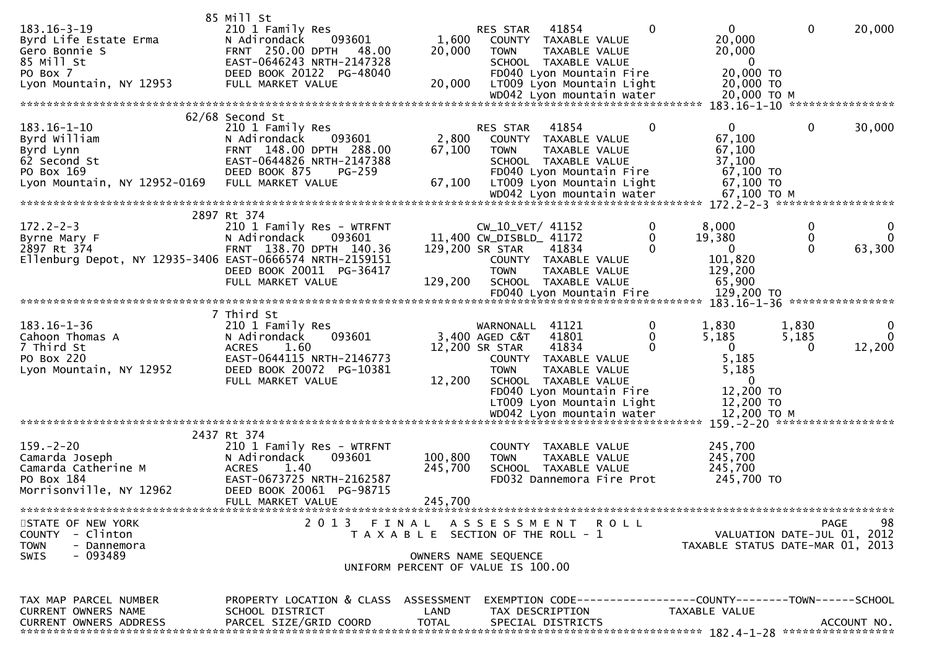|                                                             | 85 Mill St                                                              |                                       |                         |                                                       |   |                                                                     |             |                |
|-------------------------------------------------------------|-------------------------------------------------------------------------|---------------------------------------|-------------------------|-------------------------------------------------------|---|---------------------------------------------------------------------|-------------|----------------|
| $183.16 - 3 - 19$<br>Byrd Life Estate Erma<br>Gero Bonnie S | 210 1 Family Res<br>093601<br>N Adirondack<br>FRNT 250.00 DPTH<br>48.00 | 1,600<br>20,000                       | RES STAR<br><b>TOWN</b> | 41854<br>COUNTY TAXABLE VALUE<br>TAXABLE VALUE        | 0 | 0<br>20,000<br>20,000                                               | $\mathbf 0$ | 20,000         |
| 85 Mill St                                                  | EAST-0646243 NRTH-2147328                                               |                                       |                         | SCHOOL TAXABLE VALUE                                  |   | - 0                                                                 |             |                |
| PO Box 7<br>Lyon Mountain, NY 12953                         | DEED BOOK 20122 PG-48040<br>FULL MARKET VALUE                           | 20,000                                |                         | FD040 Lyon Mountain Fire<br>LT009 Lyon Mountain Light |   | 20,000 TO<br>20,000 TO                                              |             |                |
|                                                             |                                                                         |                                       |                         |                                                       |   |                                                                     |             |                |
|                                                             | 62/68 Second St                                                         |                                       |                         |                                                       |   |                                                                     |             |                |
| $183.16 - 1 - 10$                                           | 210 1 Family Res                                                        |                                       | <b>RES STAR</b>         | 41854                                                 | 0 | $\overline{0}$                                                      | $\mathbf 0$ | 30,000         |
| Byrd William                                                | 093601<br>N Adirondack                                                  | 2,800                                 |                         | COUNTY TAXABLE VALUE                                  |   | 67,100                                                              |             |                |
| Byrd Lynn                                                   | FRNT 148.00 DPTH 288.00                                                 | 67,100                                | <b>TOWN</b>             | TAXABLE VALUE                                         |   | 67,100                                                              |             |                |
| 62 Second St                                                | EAST-0644826 NRTH-2147388                                               |                                       |                         | SCHOOL TAXABLE VALUE                                  |   | 37,100                                                              |             |                |
| PO Box 169                                                  | DEED BOOK 875<br>$PG-259$                                               |                                       |                         | FD040 Lyon Mountain Fire                              |   | 67,100 TO                                                           |             |                |
| Lyon Mountain, NY 12952-0169                                | FULL MARKET VALUE                                                       | 67,100                                |                         | LT009 Lyon Mountain Light                             |   | 67,100 TO<br>67,100 ТО М                                            |             |                |
|                                                             |                                                                         |                                       |                         |                                                       |   | $172.2 - 2 - 3$ *******************                                 |             |                |
|                                                             | 2897 Rt 374                                                             |                                       |                         |                                                       |   |                                                                     |             |                |
| $172.2 - 2 - 3$                                             | 210 1 Family Res - WTRFNT                                               |                                       | CW_10_VET/ 41152        |                                                       | 0 | 8,000                                                               | $\mathbf 0$ | 0              |
| Byrne Mary F                                                | N Adirondack<br>093601                                                  |                                       | 11,400 CW_DISBLD_ 41172 |                                                       | 0 | 19,380                                                              | 0           | $\overline{0}$ |
| 2897 Rt 374                                                 | FRNT 138.70 DPTH 140.36                                                 |                                       | 129,200 SR STAR         | 41834                                                 | 0 | $\mathbf{0}$                                                        | $\Omega$    | 63,300         |
| Ellenburg Depot, NY 12935-3406 EAST-0666574 NRTH-2159151    |                                                                         |                                       |                         | COUNTY TAXABLE VALUE                                  |   | 101,820                                                             |             |                |
|                                                             | DEED BOOK 20011 PG-36417<br>FULL MARKET VALUE                           |                                       | <b>TOWN</b>             | TAXABLE VALUE                                         |   | 129,200<br>65,900                                                   |             |                |
|                                                             |                                                                         | 129,200                               |                         | SCHOOL TAXABLE VALUE                                  |   |                                                                     |             |                |
|                                                             |                                                                         |                                       |                         |                                                       |   |                                                                     |             |                |
|                                                             | 7 Third St                                                              |                                       |                         |                                                       |   |                                                                     |             |                |
| $183.16 - 1 - 36$                                           | 210 1 Family Res                                                        |                                       | WARNONALL               | 41121                                                 | 0 | 1,830                                                               | 1,830       | 0              |
| Cahoon Thomas A                                             | N Adirondack<br>093601                                                  |                                       | 3,400 AGED C&T          | 41801                                                 | 0 | 5,185                                                               | 5,185       | $\overline{0}$ |
| 7 Third St                                                  | <b>ACRES</b><br>1.60                                                    |                                       | 12,200 SR STAR          | 41834                                                 | 0 | $\mathbf{0}$                                                        | $\Omega$    | 12,200         |
| PO Box 220                                                  | EAST-0644115 NRTH-2146773                                               |                                       |                         | COUNTY TAXABLE VALUE                                  |   | 5,185                                                               |             |                |
| Lyon Mountain, NY 12952                                     | DEED BOOK 20072 PG-10381<br>FULL MARKET VALUE                           | 12,200                                | <b>TOWN</b>             | TAXABLE VALUE<br>SCHOOL TAXABLE VALUE                 |   | 5,185<br>$\mathbf{0}$                                               |             |                |
|                                                             |                                                                         |                                       |                         | FD040 Lyon Mountain Fire                              |   | 12,200 TO                                                           |             |                |
|                                                             |                                                                         |                                       |                         | LT009 Lyon Mountain Light                             |   | 12,200 TO                                                           |             |                |
|                                                             |                                                                         |                                       |                         |                                                       |   |                                                                     |             |                |
|                                                             |                                                                         |                                       |                         |                                                       |   |                                                                     |             |                |
|                                                             | 2437 Rt 374                                                             |                                       |                         |                                                       |   |                                                                     |             |                |
| $159. - 2 - 20$                                             | 210 1 Family Res - WTRFNT<br>N Adirondack                               | 100,800                               |                         | COUNTY TAXABLE VALUE                                  |   | 245,700                                                             |             |                |
| Camarda Joseph<br>Camarda Catherine M                       | 093601<br>1.40<br><b>ACRES</b>                                          | 245,700                               | <b>TOWN</b>             | TAXABLE VALUE<br>SCHOOL TAXABLE VALUE                 |   | 245,700<br>245,700                                                  |             |                |
| PO Box 184                                                  | EAST-0673725 NRTH-2162587                                               |                                       |                         | FD032 Dannemora Fire Prot                             |   | 245,700 TO                                                          |             |                |
| Morrisonville, NY 12962                                     | DEED BOOK 20061 PG-98715                                                |                                       |                         |                                                       |   |                                                                     |             |                |
|                                                             | FULL MARKET VALUE                                                       | 245,700                               |                         |                                                       |   |                                                                     |             |                |
|                                                             |                                                                         |                                       |                         |                                                       |   |                                                                     |             |                |
| STATE OF NEW YORK                                           | 2013 FINAL ASSESSMENT ROLL                                              |                                       |                         |                                                       |   |                                                                     |             | 98<br>PAGE     |
| COUNTY - Clinton                                            |                                                                         | T A X A B L E SECTION OF THE ROLL - 1 |                         |                                                       |   | VALUATION DATE-JUL 01, 2012                                         |             |                |
| <b>TOWN</b><br>- Dannemora<br>- 093489<br><b>SWIS</b>       |                                                                         | OWNERS NAME SEQUENCE                  |                         |                                                       |   | TAXABLE STATUS DATE-MAR 01, 2013                                    |             |                |
|                                                             |                                                                         | UNIFORM PERCENT OF VALUE IS 100.00    |                         |                                                       |   |                                                                     |             |                |
|                                                             |                                                                         |                                       |                         |                                                       |   |                                                                     |             |                |
|                                                             |                                                                         |                                       |                         |                                                       |   |                                                                     |             |                |
| TAX MAP PARCEL NUMBER                                       | PROPERTY LOCATION & CLASS ASSESSMENT                                    |                                       |                         |                                                       |   | EXEMPTION        CODE-----------------COUNTY-------TOWN------SCHOOL |             |                |
| CURRENT OWNERS NAME<br><b>CURRENT OWNERS ADDRESS</b>        | SCHOOL DISTRICT<br>PARCEL SIZE/GRID COORD                               | LAND<br><b>TOTAL</b>                  |                         | TAX DESCRIPTION<br>SPECIAL DISTRICTS                  |   | TAXABLE VALUE                                                       |             | ACCOUNT NO.    |
|                                                             |                                                                         |                                       |                         |                                                       |   |                                                                     |             |                |
|                                                             |                                                                         |                                       |                         |                                                       |   |                                                                     |             |                |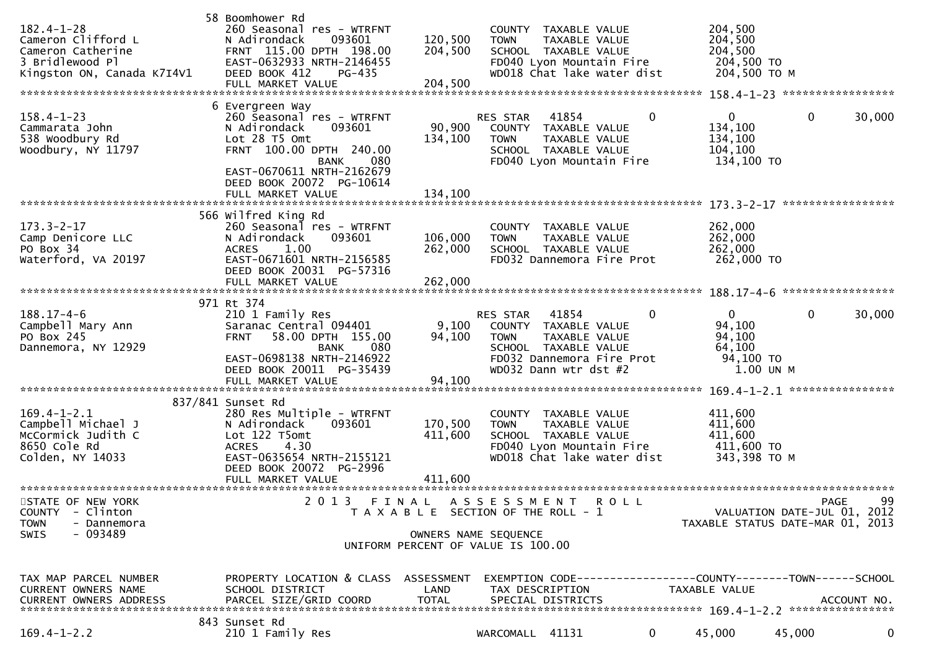| $182.4 - 1 - 28$<br>Cameron Clifford L<br>Cameron Catherine<br>3 Bridlewood Pl<br>Kingston ON, Canada K7I4V1 | 58 Boomhower Rd<br>260 Seasonal res - WTRFNT<br>093601<br>N Adirondack<br>FRNT 115.00 DPTH 198.00<br>EAST-0632933 NRTH-2146455<br>DEED BOOK 412<br>PG-435<br>FULL MARKET VALUE                                         | 120,500<br>204,500<br>204,500 | <b>TOWN</b>                                                                                         | COUNTY TAXABLE VALUE<br>TAXABLE VALUE<br>SCHOOL TAXABLE VALUE<br>FD040 Lyon Mountain Fire<br>WD018 Chat lake water dist      |              | 204,500<br>204,500<br>204,500<br>204,500 TO<br>204,500 ТО М                     |              |        |
|--------------------------------------------------------------------------------------------------------------|------------------------------------------------------------------------------------------------------------------------------------------------------------------------------------------------------------------------|-------------------------------|-----------------------------------------------------------------------------------------------------|------------------------------------------------------------------------------------------------------------------------------|--------------|---------------------------------------------------------------------------------|--------------|--------|
| $158.4 - 1 - 23$<br>Cammarata John<br>538 Woodbury Rd<br>Woodbury, NY 11797                                  | 6 Evergreen Way<br>260 Seasonal res - WTRFNT<br>N Adirondack<br>093601<br>Lot 28 T5 Omt<br>FRNT 100.00 DPTH 240.00<br><b>BANK</b><br>080<br>EAST-0670611 NRTH-2162679<br>DEED BOOK 20072 PG-10614<br>FULL MARKET VALUE | 90,900<br>134,100<br>134,100  | <b>RES STAR</b><br><b>TOWN</b>                                                                      | 41854<br>COUNTY TAXABLE VALUE<br>TAXABLE VALUE<br>SCHOOL TAXABLE VALUE<br>FD040 Lyon Mountain Fire                           | 0            | $\mathbf{0}$<br>134,100<br>134,100<br>104,100<br>134,100 TO                     | $\mathbf 0$  | 30,000 |
| $173.3 - 2 - 17$<br>Camp Denicore LLC<br>PO Box 34<br>Waterford, VA 20197                                    | 566 Wilfred King Rd<br>260 Seasonal res - WTRFNT<br>093601<br>N Adirondack<br><b>ACRES</b><br>1.00<br>EAST-0671601 NRTH-2156585<br>DEED BOOK 20031 PG-57316                                                            | 106,000<br>262,000            | <b>TOWN</b>                                                                                         | COUNTY TAXABLE VALUE<br>TAXABLE VALUE<br>SCHOOL TAXABLE VALUE<br>FD032 Dannemora Fire Prot                                   |              | 262,000<br>262,000<br>262,000<br>262,000 TO                                     |              |        |
| $188.17 - 4 - 6$<br>Campbell Mary Ann<br>PO Box 245<br>Dannemora, NY 12929                                   | 971 Rt 374<br>210 1 Family Res<br>Saranac Central 094401<br>58.00 DPTH 155.00<br><b>FRNT</b><br>080<br><b>BANK</b><br>EAST-0698138 NRTH-2146922<br>DEED BOOK 20011 PG-35439<br>FULL MARKET VALUE                       | 9,100<br>94,100<br>94,100     | RES STAR<br><b>TOWN</b>                                                                             | 41854<br>COUNTY TAXABLE VALUE<br>TAXABLE VALUE<br>SCHOOL TAXABLE VALUE<br>FD032 Dannemora Fire Prot<br>WD032 Dann wtr dst #2 | 0            | $\mathbf{0}$<br>94,100<br>94,100<br>64,100<br>94,100 TO<br>1.00 UN M            | $\mathbf{0}$ | 30,000 |
| $169.4 - 1 - 2.1$<br>Campbell Michael J<br>McCormick Judith C<br>8650 Cole Rd<br>Colden, NY 14033            | 837/841 Sunset Rd<br>280 Res Multiple - WTRFNT<br>N Adirondack<br>093601<br>Lot 122 T5omt<br>4.30<br><b>ACRES</b><br>EAST-0635654 NRTH-2155121<br>DEED BOOK 20072 PG-2996                                              | 170,500<br>411,600            | COUNTY<br><b>TOWN</b>                                                                               | TAXABLE VALUE<br>TAXABLE VALUE<br>SCHOOL TAXABLE VALUE<br>FD040 Lyon Mountain Fire<br>WD018 Chat lake water dist             |              | 411,600<br>411,600<br>411,600<br>411,600 TO<br>343,398 TO M                     |              |        |
| STATE OF NEW YORK<br>COUNTY - Clinton<br><b>TOWN</b><br>- Dannemora<br>SWIS<br>- 093489                      | 2013 FINAL ASSESSMENT ROLL                                                                                                                                                                                             |                               | T A X A B L E SECTION OF THE ROLL - 1<br>OWNERS NAME SEQUENCE<br>UNIFORM PERCENT OF VALUE IS 100.00 |                                                                                                                              |              | VALUATION DATE-JUL 01, 2012<br>TAXABLE STATUS DATE-MAR 01, 2013                 | PAGE         | 99     |
| TAX MAP PARCEL NUMBER<br>CURRENT OWNERS NAME<br>CURRENT OWNERS ADDRESS                                       | PROPERTY LOCATION & CLASS ASSESSMENT<br>SCHOOL DISTRICT<br>PARCEL SIZE/GRID COORD                                                                                                                                      | LAND<br>TOTAL                 | TAX DESCRIPTION                                                                                     | SPECIAL DISTRICTS                                                                                                            |              | EXEMPTION CODE------------------COUNTY--------TOWN------SCHOOL<br>TAXABLE VALUE | ACCOUNT NO.  |        |
| $169.4 - 1 - 2.2$                                                                                            | 843 Sunset Rd<br>210 1 Family Res                                                                                                                                                                                      |                               | WARCOMALL 41131                                                                                     |                                                                                                                              | $\mathbf{0}$ | 45,000                                                                          | 45,000       | 0      |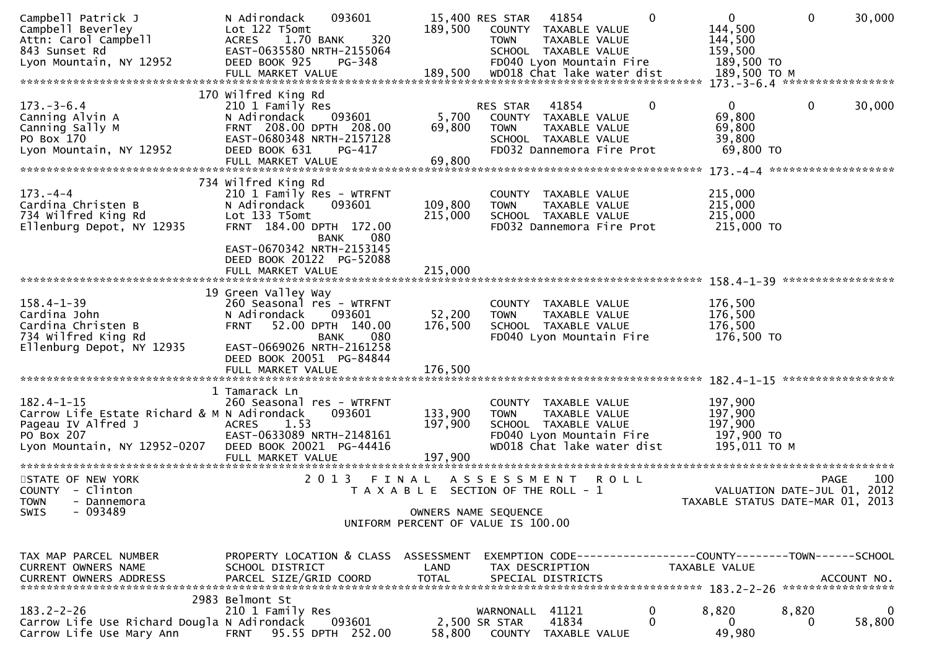| Campbell Patrick J<br>Campbell Beverley<br>Attn: Carol Campbell<br>843 Sunset Rd<br>Lyon Mountain, NY 12952<br>FULL MARKET VALUE 189,500 WD018 Chat Take water dist 189,500 TO M د FULL MARKET VALUE 189,500 TO M د به باست به باست به باست به باست به باست به باست به باست به باست به باست به باست به باست به باست به باست به باست به باست ب | 093601<br>N Adirondack<br>Lot 122 T5omt<br>320<br>1.70 BANK<br><b>ACRES</b><br>EAST-0635580 NRTH-2155064<br>DEED BOOK 925<br>PG-348                                                                                | 189,500                      | 41854<br>15,400 RES STAR<br>COUNTY TAXABLE VALUE<br><b>TOWN</b><br>SCHOOL TAXABLE VALUE<br>FD040 Lyon Mountain Fire    | $\mathbf{0}$<br>TAXABLE VALUE  | $\overline{0}$<br>144,500<br>144,500<br>159,500<br>189,500 TO                          | $\mathbf{0}$                               | 30,000      |
|-----------------------------------------------------------------------------------------------------------------------------------------------------------------------------------------------------------------------------------------------------------------------------------------------------------------------------------------------|--------------------------------------------------------------------------------------------------------------------------------------------------------------------------------------------------------------------|------------------------------|------------------------------------------------------------------------------------------------------------------------|--------------------------------|----------------------------------------------------------------------------------------|--------------------------------------------|-------------|
|                                                                                                                                                                                                                                                                                                                                               | 170 Wilfred King Rd                                                                                                                                                                                                |                              |                                                                                                                        |                                |                                                                                        |                                            |             |
| $173. - 3 - 6.4$<br>Canning Alvin A<br>Canning Sally M<br>PO Box 170<br>Lyon Mountain, NY 12952                                                                                                                                                                                                                                               | 210 1 Family Res<br>N Adirondack<br>093601<br>FRNT 208.00 DPTH 208.00<br>EAST-0680348 NRTH-2157128<br>DEED BOOK 631<br>PG-417<br>FULL MARKET VALUE                                                                 | 5,700<br>69,800<br>69,800    | 41854<br>RES STAR<br>COUNTY TAXABLE VALUE<br><b>TOWN</b><br>SCHOOL TAXABLE VALUE<br>FD032 Dannemora Fire Prot          | $\mathbf{0}$<br>TAXABLE VALUE  | 0<br>69,800<br>69,800<br>39,800<br>69,800 TO                                           | 0                                          | 30,000      |
|                                                                                                                                                                                                                                                                                                                                               |                                                                                                                                                                                                                    |                              |                                                                                                                        |                                |                                                                                        |                                            |             |
| $173. - 4 - 4$<br>Cardina Christen B<br>734 Wilfred King Rd<br>Ellenburg Depot, NY 12935                                                                                                                                                                                                                                                      | 734 Wilfred King Rd<br>210 1 Family Res - WTRFNT<br>N Adirondack<br>093601<br>Lot 133 T5omt<br>FRNT 184.00 DPTH 172.00<br>080<br><b>BANK</b><br>EAST-0670342 NRTH-2153145<br>DEED BOOK 20122 PG-52088              | 109,800<br>215,000           | <b>COUNTY</b><br><b>TOWN</b><br>SCHOOL TAXABLE VALUE<br>FD032 Dannemora Fire Prot                                      | TAXABLE VALUE<br>TAXABLE VALUE | 215,000<br>215,000<br>215,000<br>215,000 TO                                            |                                            |             |
|                                                                                                                                                                                                                                                                                                                                               | FULL MARKET VALUE                                                                                                                                                                                                  | 215,000                      |                                                                                                                        |                                |                                                                                        |                                            |             |
| $158.4 - 1 - 39$<br>Cardina John<br>Cardina Christen B<br>734 Wilfred King Rd<br>Ellenburg Depot, NY 12935                                                                                                                                                                                                                                    | 19 Green Valley Way<br>260 Seasonal res - WTRFNT<br>N Adirondack<br>093601<br>52.00 DPTH 140.00<br><b>FRNT</b><br>080<br><b>BANK</b><br>EAST-0669026 NRTH-2161258<br>DEED BOOK 20051 PG-84844<br>FULL MARKET VALUE | 52,200<br>176,500<br>176,500 | COUNTY TAXABLE VALUE<br><b>TOWN</b><br>SCHOOL TAXABLE VALUE<br>FD040 Lyon Mountain Fire                                | TAXABLE VALUE                  | 176,500<br>176,500<br>176,500<br>176,500 TO                                            |                                            |             |
|                                                                                                                                                                                                                                                                                                                                               |                                                                                                                                                                                                                    |                              |                                                                                                                        |                                |                                                                                        |                                            |             |
| $182.4 - 1 - 15$<br>Carrow Life Estate Richard & M N Adirondack<br>Pageau IV Alfred J<br>PO Box 207<br>Lyon Mountain, NY 12952-0207                                                                                                                                                                                                           | 1 Tamarack Ln<br>260 Seasonal res - WTRFNT<br>093601<br>1.53<br><b>ACRES</b><br>EAST-0633089 NRTH-2148161<br>DEED BOOK 20021 PG-44416                                                                              | 133,900<br>197,900           | COUNTY TAXABLE VALUE<br><b>TOWN</b><br>SCHOOL TAXABLE VALUE<br>FD040 Lyon Mountain Fire<br>WD018 Chat lake water dist  | TAXABLE VALUE                  | 197,900<br>197,900<br>197,900<br>197,900 TO<br>195,011 ТО М                            |                                            |             |
| STATE OF NEW YORK<br>COUNTY - Clinton<br><b>TOWN</b><br>- Dannemora<br>$-093489$<br>SWIS                                                                                                                                                                                                                                                      | 2013 FINAL                                                                                                                                                                                                         |                              | ASSESSMENT ROLL<br>T A X A B L E SECTION OF THE ROLL - 1<br>OWNERS NAME SEQUENCE<br>UNIFORM PERCENT OF VALUE IS 100.00 |                                | TAXABLE STATUS DATE-MAR 01, 2013                                                       | <b>PAGE</b><br>VALUATION DATE-JUL 01, 2012 | 100         |
| TAX MAP PARCEL NUMBER<br>CURRENT OWNERS NAME                                                                                                                                                                                                                                                                                                  | PROPERTY LOCATION & CLASS ASSESSMENT<br>SCHOOL DISTRICT                                                                                                                                                            | LAND                         | TAX DESCRIPTION                                                                                                        |                                | EXEMPTION CODE------------------COUNTY--------TOWN------SCHOOL<br><b>TAXABLE VALUE</b> |                                            |             |
| $183.2 - 2 - 26$<br>Carrow Life Use Richard Dougla N Adirondack<br>Carrow Life Use Mary Ann                                                                                                                                                                                                                                                   | 2983 Belmont St<br>210 1 Family Res<br>093601<br><b>FRNT</b><br>95.55 DPTH 252.00                                                                                                                                  | 58,800                       | WARNONALL 41121<br>41834<br>2,500 SR STAR<br>COUNTY TAXABLE VALUE                                                      | 0<br>$\Omega$                  | 8,820<br>0<br>49,980                                                                   | 8,820                                      | 0<br>58,800 |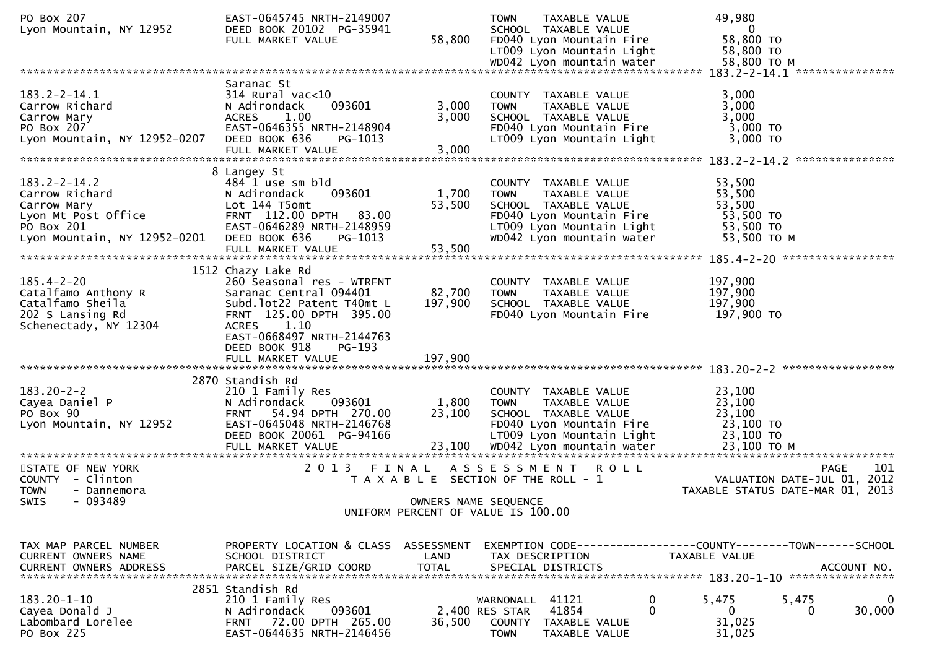| PO Box 207<br>Lyon Mountain, NY 12952                                                                                    | EAST-0645745 NRTH-2149007<br>DEED BOOK 20102 PG-35941<br>FULL MARKET VALUE                                                                                                            | 58,800                    | <b>TOWN</b><br>TAXABLE VALUE<br>SCHOOL TAXABLE VALUE<br>FD040 Lyon Mountain Fire<br>LT009 Lyon Mountain Light<br>WD042 Lyon mountain water                         | 49,980<br>$\mathbf{0}$<br>58,800 TO<br>58,800 TO<br>58,800 TO M                              |
|--------------------------------------------------------------------------------------------------------------------------|---------------------------------------------------------------------------------------------------------------------------------------------------------------------------------------|---------------------------|--------------------------------------------------------------------------------------------------------------------------------------------------------------------|----------------------------------------------------------------------------------------------|
|                                                                                                                          |                                                                                                                                                                                       |                           |                                                                                                                                                                    |                                                                                              |
| $183.2 - 2 - 14.1$<br>Carrow Richard<br>Carrow Mary<br>PO Box 207<br>Lyon Mountain, NY 12952-0207                        | Saranac St<br>$314$ Rural vac<10<br>093601<br>N Adirondack<br><b>ACRES</b><br>1.00<br>EAST-0646355 NRTH-2148904<br>DEED BOOK 636<br>PG-1013<br>FULL MARKET VALUE                      | 3,000<br>3,000<br>3,000   | COUNTY TAXABLE VALUE<br><b>TOWN</b><br>TAXABLE VALUE<br>SCHOOL TAXABLE VALUE<br>FD040 Lyon Mountain Fire<br>LT009 Lyon Mountain Light                              | 3,000<br>3,000<br>3,000<br>3,000 TO<br>3,000 TO                                              |
|                                                                                                                          |                                                                                                                                                                                       |                           |                                                                                                                                                                    | ***************                                                                              |
| $183.2 - 2 - 14.2$<br>Carrow Richard<br>Carrow Mary<br>Lyon Mt Post Office<br>PO Box 201<br>Lyon Mountain, NY 12952-0201 | 8 Langey St<br>484 1 use sm bld<br>093601<br>N Adirondack<br>Lot 144 T5omt<br>FRNT 112.00 DPTH<br>83.00<br>EAST-0646289 NRTH-2148959<br>DEED BOOK 636<br>PG-1013<br>FULL MARKET VALUE | 1,700<br>53,500<br>53,500 | COUNTY TAXABLE VALUE<br><b>TOWN</b><br>TAXABLE VALUE<br>SCHOOL TAXABLE VALUE<br>FD040 Lyon Mountain Fire<br>LT009 Lyon Mountain Light<br>WD042 Lyon mountain water | 53,500<br>53,500<br>53,500<br>53,500 TO<br>53,500 TO<br>53,500 TO M                          |
|                                                                                                                          | 1512 Chazy Lake Rd                                                                                                                                                                    |                           |                                                                                                                                                                    |                                                                                              |
| $185.4 - 2 - 20$<br>Catalfamo Anthony R<br>Catalfamo Sheila<br>202 S Lansing Rd<br>Schenectady, NY 12304                 | 260 Seasonal res - WTRFNT<br>Saranac Central 094401<br>Subd.lot22 Patent T40mt L<br>FRNT 125.00 DPTH 395.00<br>ACRES 1.10<br>EAST-0668497 NRTH-2144763<br>DEED BOOK 918<br>PG-193     | 82,700<br>197,900         | COUNTY TAXABLE VALUE<br><b>TOWN</b><br>TAXABLE VALUE<br>SCHOOL TAXABLE VALUE<br>FD040 Lyon Mountain Fire                                                           | 197,900<br>197,900<br>197,900<br>197,900 TO                                                  |
|                                                                                                                          |                                                                                                                                                                                       |                           |                                                                                                                                                                    |                                                                                              |
| $183.20 - 2 - 2$<br>Cayea Daniel P<br>PO Box 90<br>Lyon Mountain, NY 12952                                               | 2870 Standish Rd<br>210 1 Family Res<br>093601<br>N Adirondack<br>54.94 DPTH 270.00<br><b>FRNT</b><br>EAST-0645048 NRTH-2146768<br>DEED BOOK 20061 PG-94166<br>FULL MARKET VALUE      | 1,800<br>23,100<br>23,100 | COUNTY TAXABLE VALUE<br><b>TOWN</b><br>TAXABLE VALUE<br>SCHOOL TAXABLE VALUE<br>FD040 Lyon Mountain Fire<br>LT009 Lyon Mountain Light<br>WD042 Lyon mountain water | 23,100<br>23,100<br>23,100<br>23,100 TO<br>23,100 TO<br>23,100 TO M                          |
|                                                                                                                          |                                                                                                                                                                                       |                           |                                                                                                                                                                    |                                                                                              |
| STATE OF NEW YORK<br>COUNTY - Clinton<br><b>TOWN</b><br>- Dannemora<br>$-093489$<br>SWIS                                 | 2 0 1 3<br>FINAL                                                                                                                                                                      | OWNERS NAME SEQUENCE      | A S S E S S M E N T<br><b>ROLL</b><br>T A X A B L E SECTION OF THE ROLL - 1                                                                                        | 101<br>PAGE<br>VALUATION DATE-JUL 01, 2012<br>TAXABLE STATUS DATE-MAR 01, 2013               |
|                                                                                                                          |                                                                                                                                                                                       |                           | UNIFORM PERCENT OF VALUE IS 100.00                                                                                                                                 |                                                                                              |
|                                                                                                                          |                                                                                                                                                                                       |                           |                                                                                                                                                                    |                                                                                              |
| TAX MAP PARCEL NUMBER<br>CURRENT OWNERS NAME<br><b>CURRENT OWNERS ADDRESS</b>                                            | PROPERTY LOCATION & CLASS ASSESSMENT<br>SCHOOL DISTRICT<br>PARCEL SIZE/GRID COORD                                                                                                     | LAND<br><b>TOTAL</b>      | TAX DESCRIPTION<br>SPECIAL DISTRICTS                                                                                                                               | EXEMPTION CODE-----------------COUNTY-------TOWN------SCHOOL<br>TAXABLE VALUE<br>ACCOUNT NO. |
|                                                                                                                          | 2851 Standish Rd                                                                                                                                                                      |                           |                                                                                                                                                                    |                                                                                              |
| $183.20 - 1 - 10$<br>Cayea Donald J<br>Labombard Lorelee<br>PO Box 225                                                   | 210 1 Family Res<br>093601<br>N Adirondack<br>FRNT 72.00 DPTH 265.00<br>EAST-0644635 NRTH-2146456                                                                                     | 36,500                    | WARNONALL<br>41121<br>$\bf{0}$<br>$\Omega$<br>41854<br>2,400 RES STAR<br>COUNTY<br>TAXABLE VALUE<br><b>TOWN</b><br>TAXABLE VALUE                                   | 5,475<br>5,475<br>30,000<br>0<br>0<br>31,025<br>31,025                                       |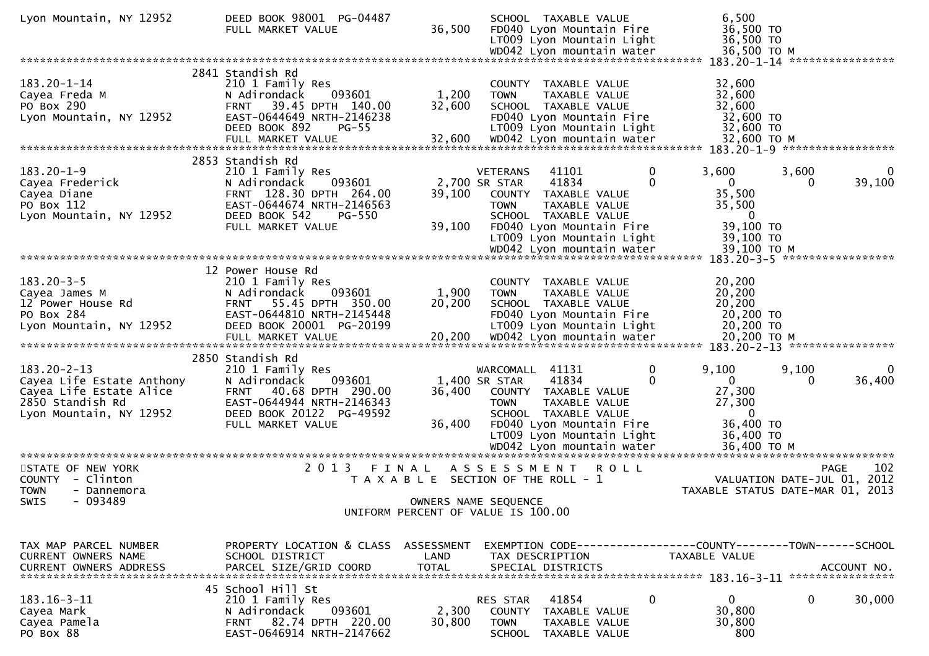| Lyon Mountain, NY 12952                                                                                                  | DEED BOOK 98001 PG-04487<br>FULL MARKET VALUE                                                                                                                          | 36,500               | SCHOOL TAXABLE VALUE<br>FD040 Lyon Mountain Fire<br>LT009 Lyon Mountain Light<br>WD042 Lyon mountain water                                                                                                      | 6,500<br>36,500 TO<br>36,500 TO<br>36,500 TO M                                          |                                                   |
|--------------------------------------------------------------------------------------------------------------------------|------------------------------------------------------------------------------------------------------------------------------------------------------------------------|----------------------|-----------------------------------------------------------------------------------------------------------------------------------------------------------------------------------------------------------------|-----------------------------------------------------------------------------------------|---------------------------------------------------|
|                                                                                                                          |                                                                                                                                                                        |                      |                                                                                                                                                                                                                 |                                                                                         | 183.20-1-14 *****************                     |
| $183.20 - 1 - 14$<br>Cayea Freda M<br>PO Box 290<br>Lyon Mountain, NY 12952                                              | 2841 Standish Rd<br>210 1 Family Res<br>093601<br>N Adirondack<br>39.45 DPTH 140.00<br><b>FRNT</b><br>EAST-0644649 NRTH-2146238<br>DEED BOOK 892<br>$PG-55$            | 1,200<br>32,600      | TAXABLE VALUE<br>COUNTY<br><b>TOWN</b><br>TAXABLE VALUE<br>SCHOOL TAXABLE VALUE<br>FD040 Lyon Mountain Fire<br>LT009 Lyon Mountain Light                                                                        | 32,600<br>32,600<br>32,600<br>32,600 TO<br>32,600 TO                                    |                                                   |
|                                                                                                                          |                                                                                                                                                                        |                      |                                                                                                                                                                                                                 |                                                                                         |                                                   |
| $183.20 - 1 - 9$<br>Cayea Frederick<br>Cayea Diane<br>PO Box 112<br>Lyon Mountain, NY 12952                              | 2853 Standish Rd<br>210 1 Family Res<br>N Adirondack<br>093601<br>FRNT 128.30 DPTH 264.00<br>EAST-0644674 NRTH-2146563<br>DEED BOOK 542<br>PG-550<br>FULL MARKET VALUE | 39,100<br>39,100     | 41101<br>0<br><b>VETERANS</b><br>$\Omega$<br>41834<br>2,700 SR STAR<br>COUNTY<br>TAXABLE VALUE<br>TAXABLE VALUE<br><b>TOWN</b><br>SCHOOL TAXABLE VALUE<br>FD040 Lyon Mountain Fire<br>LT009 Lyon Mountain Light | 3,600<br>0<br>35,500<br>35,500<br>$\mathbf{0}$<br>39,100 TO<br>39,100 TO<br>39,100 ТО М | 3,600<br>0<br>39,100<br>0                         |
|                                                                                                                          |                                                                                                                                                                        |                      |                                                                                                                                                                                                                 |                                                                                         | 183.20-3-5 ******************                     |
| $183.20 - 3 - 5$<br>Cayea James M<br>12 Power House Rd<br>PO Box 284<br>Lyon Mountain, NY 12952                          | 12 Power House Rd<br>210 1 Family Res<br>093601<br>N Adirondack<br>55.45 DPTH 350.00<br><b>FRNT</b><br>EAST-0644810 NRTH-2145448<br>DEED BOOK 20001 PG-20199           | 1,900<br>20,200      | COUNTY TAXABLE VALUE<br>TAXABLE VALUE<br><b>TOWN</b><br>SCHOOL TAXABLE VALUE<br>FD040 Lyon Mountain Fire<br>LT009 Lyon Mountain Light                                                                           | 20,200<br>20,200<br>20,200<br>20,200 TO<br>20,200 TO                                    |                                                   |
|                                                                                                                          | 2850 Standish Rd                                                                                                                                                       |                      |                                                                                                                                                                                                                 |                                                                                         |                                                   |
| $183.20 - 2 - 13$<br>Cayea Life Estate Anthony<br>Cayea Life Estate Alice<br>2850 Standish Rd<br>Lyon Mountain, NY 12952 | 210 1 Family Res<br>093601<br>N Adirondack<br>40.68 DPTH 290.00<br><b>FRNT</b><br>EAST-0644944 NRTH-2146343<br>DEED BOOK 20122 PG-49592                                | 36,400               | WARCOMALL 41131<br>0<br>41834<br>0<br>1,400 SR STAR<br>COUNTY TAXABLE VALUE<br><b>TOWN</b><br>TAXABLE VALUE<br>SCHOOL TAXABLE VALUE                                                                             | 9,100<br>$\Omega$<br>27,300<br>27,300<br>0                                              | 9,100<br>0<br>36,400<br>0                         |
|                                                                                                                          | FULL MARKET VALUE                                                                                                                                                      | 36,400               | FD040 Lyon Mountain Fire<br>LT009 Lyon Mountain Light<br>WD042 Lyon mountain water                                                                                                                              | 36,400 TO<br>36,400 TO<br>36,400 ТО М                                                   |                                                   |
| STATE OF NEW YORK<br>COUNTY - Clinton<br><b>TOWN</b><br>- Dannemora                                                      | 2 0 1 3                                                                                                                                                                | FINAL                | A S S E S S M E N T<br>R O L L<br>T A X A B L E SECTION OF THE ROLL - 1                                                                                                                                         | TAXABLE STATUS DATE-MAR 01, 2013                                                        | 102<br><b>PAGE</b><br>VALUATION DATE-JUL 01, 2012 |
| $-093489$<br>SWIS                                                                                                        |                                                                                                                                                                        |                      | OWNERS NAME SEQUENCE<br>UNIFORM PERCENT OF VALUE IS 100.00                                                                                                                                                      |                                                                                         |                                                   |
|                                                                                                                          |                                                                                                                                                                        |                      |                                                                                                                                                                                                                 |                                                                                         |                                                   |
| TAX MAP PARCEL NUMBER<br>CURRENT OWNERS NAME<br><b>CURRENT OWNERS ADDRESS</b>                                            | PROPERTY LOCATION & CLASS ASSESSMENT<br>SCHOOL DISTRICT<br>PARCEL SIZE/GRID COORD                                                                                      | LAND<br><b>TOTAL</b> | EXEMPTION CODE-----------------COUNTY-------TOWN------SCHOOL<br>TAX DESCRIPTION<br>SPECIAL DISTRICTS                                                                                                            | TAXABLE VALUE                                                                           | ACCOUNT NO.                                       |
|                                                                                                                          | 45 School Hill St                                                                                                                                                      |                      |                                                                                                                                                                                                                 |                                                                                         |                                                   |
| $183.16 - 3 - 11$<br>Cayea Mark<br>Cayea Pamela<br>PO Box 88                                                             | 210 1 Family Res<br>093601<br>N Adirondack<br>82.74 DPTH 220.00<br>FRNT<br>EAST-0646914 NRTH-2147662                                                                   | 2,300<br>30,800      | RES STAR<br>41854<br>0<br><b>COUNTY</b><br>TAXABLE VALUE<br><b>TOWN</b><br>TAXABLE VALUE<br><b>SCHOOL</b><br>TAXABLE VALUE                                                                                      | 0<br>30,800<br>30,800<br>800                                                            | 0<br>30,000                                       |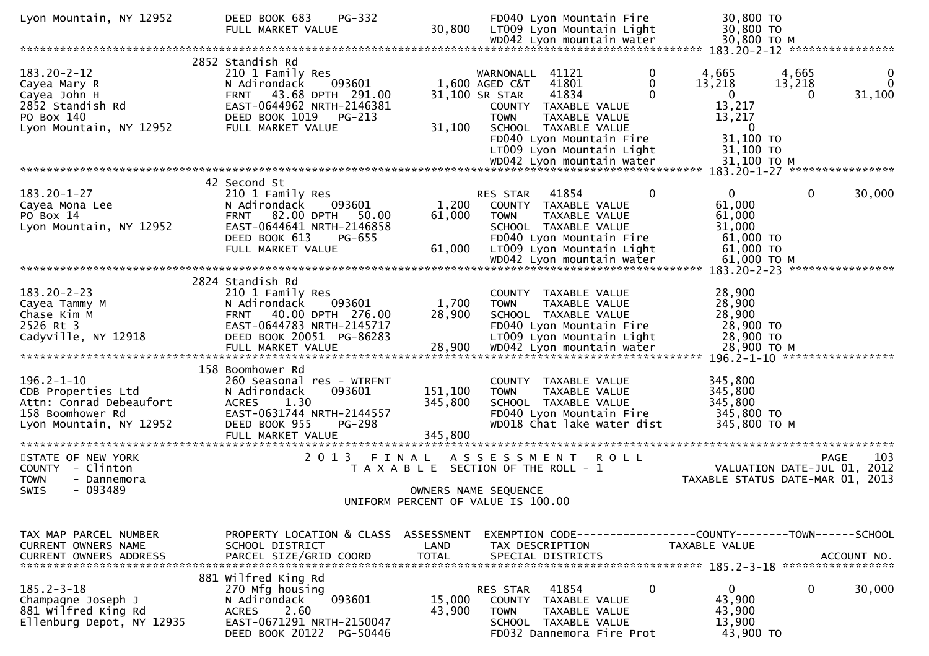| Lyon Mountain, NY 12952                                                                                          | PG-332<br>DEED BOOK 683<br>FULL MARKET VALUE                                                                                                                                  | 30,800                                                     |                                               | FD040 Lyon Mountain Fire<br>LT009 Lyon Mountain Light<br>WD042 Lyon mountain water                                                                           |             | 30,800 TO<br>30,800 TO<br>30,800 ТО М                                       |                                            |                         |
|------------------------------------------------------------------------------------------------------------------|-------------------------------------------------------------------------------------------------------------------------------------------------------------------------------|------------------------------------------------------------|-----------------------------------------------|--------------------------------------------------------------------------------------------------------------------------------------------------------------|-------------|-----------------------------------------------------------------------------|--------------------------------------------|-------------------------|
|                                                                                                                  |                                                                                                                                                                               |                                                            |                                               |                                                                                                                                                              |             |                                                                             | 183.20-2-12 *****************              |                         |
| $183.20 - 2 - 12$<br>Cayea Mary R<br>Cayea John H                                                                | 2852 Standish Rd<br>210 1 Family Res<br>093601<br>N Adirondack<br>FRNT 43.68 DPTH 291.00<br>EAST-0644962 NRTH-2146381                                                         |                                                            | WARNONALL<br>1,600 AGED C&T<br>31,100 SR STAR | 41121<br>41801<br>41834                                                                                                                                      | 0<br>0<br>0 | 4,665<br>13,218<br>0                                                        | 4,665<br>13,218<br>0                       | 0<br>$\Omega$<br>31,100 |
| 2852 Standish Rd<br>PO Box 140<br>Lyon Mountain, NY 12952                                                        | DEED BOOK 1019<br>PG-213<br>FULL MARKET VALUE                                                                                                                                 | 31,100                                                     | <b>TOWN</b>                                   | COUNTY TAXABLE VALUE<br>TAXABLE VALUE<br>SCHOOL TAXABLE VALUE<br>FD040 Lyon Mountain Fire<br>LT009 Lyon Mountain Light<br>WD042 Lyon mountain water          |             | 13,217<br>13,217<br>$\overline{0}$<br>31,100 TO<br>31,100 TO<br>31,100 ТО М |                                            |                         |
|                                                                                                                  |                                                                                                                                                                               |                                                            |                                               |                                                                                                                                                              |             |                                                                             | 183.20-1-27 *****************              |                         |
| $183.20 - 1 - 27$<br>Cayea Mona Lee<br>PO Box 14<br>Lyon Mountain, NY 12952                                      | 42 Second St<br>210 1 Family Res<br>093601<br>N Adirondack<br>82.00 DPTH<br><b>FRNT</b><br>50.00<br>EAST-0644641 NRTH-2146858<br>DEED BOOK 613<br>PG-655<br>FULL MARKET VALUE | 1,200<br>61,000<br>61,000                                  | RES STAR<br><b>TOWN</b>                       | 41854<br>COUNTY TAXABLE VALUE<br>TAXABLE VALUE<br>SCHOOL TAXABLE VALUE<br>FD040 Lyon Mountain Fire<br>LT009 Lyon Mountain Light<br>WD042 Lyon mountain water | 0           | 0<br>61,000<br>61,000<br>31,000<br>61,000 TO<br>61,000 TO<br>61,000 ТО М    | 0                                          | 30,000                  |
|                                                                                                                  |                                                                                                                                                                               |                                                            |                                               |                                                                                                                                                              |             |                                                                             | 183.20-2-23 *****************              |                         |
| $183.20 - 2 - 23$<br>Cayea Tammy M<br>Chase Kim M<br>2526 Rt 3<br>Cadyville, NY 12918                            | 2824 Standish Rd<br>210 1 Family Res<br>N Adirondack<br>093601<br>40.00 DPTH 276.00<br><b>FRNT</b><br>EAST-0644783 NRTH-2145717<br>DEED BOOK 20051 PG-86283                   | 1,700<br>28,900                                            | <b>TOWN</b>                                   | COUNTY TAXABLE VALUE<br><b>TAXABLE VALUE</b><br>SCHOOL TAXABLE VALUE<br>FD040 Lyon Mountain Fire<br>LT009 Lyon Mountain Light                                |             | 28,900<br>28,900<br>28,900<br>28,900 TO<br>28,900 TO<br>28,900 ТО М         |                                            |                         |
|                                                                                                                  | 158 Boomhower Rd                                                                                                                                                              |                                                            |                                               |                                                                                                                                                              |             |                                                                             | 196.2-1-10 ******************              |                         |
| $196.2 - 1 - 10$<br>CDB Properties Ltd<br>Attn: Conrad Debeaufort<br>158 Boomhower Rd<br>Lyon Mountain, NY 12952 | 260 Seasonal res - WTRFNT<br>093601<br>N Adirondack<br><b>ACRES</b><br>1.30<br>EAST-0631744 NRTH-2144557<br>DEED BOOK 955<br>PG-298<br>FULL MARKET VALUE                      | 151,100<br>345,800<br>345,800                              | <b>TOWN</b>                                   | COUNTY TAXABLE VALUE<br>TAXABLE VALUE<br>SCHOOL TAXABLE VALUE<br>FD040 Lyon Mountain Fire<br>WD018 Chat lake water dist                                      |             | 345,800<br>345,800<br>345,800<br>345,800 TO<br>345,800 TO M                 |                                            |                         |
| STATE OF NEW YORK<br><b>COUNTY</b><br>- Clinton<br><b>TOWN</b><br>- Dannemora                                    | 2 0 1 3<br>FINAL                                                                                                                                                              | T A X A B L E SECTION OF THE ROLL - 1                      | A S S E S S M E N T                           |                                                                                                                                                              | <b>ROLL</b> | TAXABLE STATUS DATE-MAR 01, 2013                                            | <b>PAGE</b><br>VALUATION DATE-JUL 01, 2012 | 103                     |
| SWIS<br>- 093489                                                                                                 |                                                                                                                                                                               | OWNERS NAME SEQUENCE<br>UNIFORM PERCENT OF VALUE IS 100.00 |                                               |                                                                                                                                                              |             |                                                                             |                                            |                         |
|                                                                                                                  |                                                                                                                                                                               |                                                            |                                               |                                                                                                                                                              |             |                                                                             |                                            |                         |
| TAX MAP PARCEL NUMBER<br><b>CURRENT OWNERS NAME</b><br><b>CURRENT OWNERS ADDRESS</b>                             | PROPERTY LOCATION & CLASS<br>SCHOOL DISTRICT<br>PARCEL SIZE/GRID COORD                                                                                                        | ASSESSMENT<br>LAND<br><b>TOTAL</b>                         |                                               | EXEMPTION CODE---------------<br>TAX DESCRIPTION<br>SPECIAL DISTRICTS                                                                                        |             | --COUNTY--------TOWN------SCHOOL<br>TAXABLE VALUE                           | ACCOUNT NO.                                |                         |
| $185.2 - 3 - 18$<br>Champagne Joseph J<br>881 Wilfred King Rd<br>Ellenburg Depot, NY 12935                       | 881 Wilfred King Rd<br>270 Mfg housing<br>093601<br>N Adirondack<br>2.60<br><b>ACRES</b><br>EAST-0671291 NRTH-2150047<br>DEED BOOK 20122 PG-50446                             | 15,000<br>43,900                                           | RES STAR<br><b>COUNTY</b><br><b>TOWN</b>      | 41854<br>TAXABLE VALUE<br>TAXABLE VALUE<br>SCHOOL TAXABLE VALUE<br>FD032 Dannemora Fire Prot                                                                 | $\mathbf 0$ | $\mathbf 0$<br>43,900<br>43,900<br>13,900<br>43,900 TO                      | 0                                          | 30,000                  |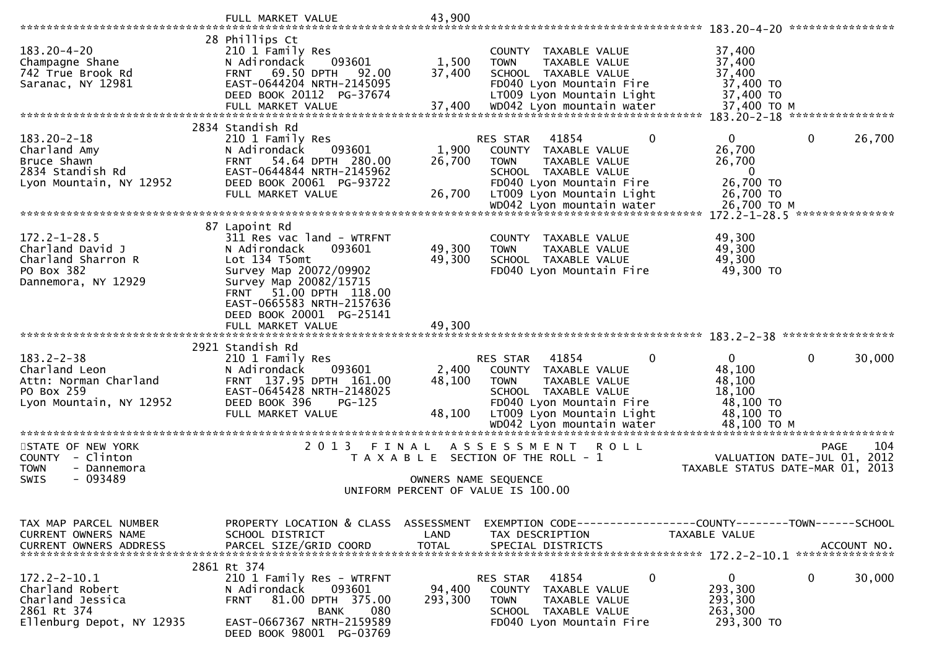|                                               | FULL MARKET VALUE                                               | 43,900                             |                     |                                                                |             | 183.20-4-20 *****************              |                 |             |
|-----------------------------------------------|-----------------------------------------------------------------|------------------------------------|---------------------|----------------------------------------------------------------|-------------|--------------------------------------------|-----------------|-------------|
|                                               | 28 Phillips Ct                                                  |                                    |                     |                                                                |             |                                            |                 |             |
| $183.20 - 4 - 20$                             | 210 1 Family Res                                                |                                    |                     | COUNTY TAXABLE VALUE                                           |             | 37,400                                     |                 |             |
| Champagne Shane                               | 093601<br>N Adirondack                                          | 1,500                              | <b>TOWN</b>         | TAXABLE VALUE                                                  |             | 37,400                                     |                 |             |
| 742 True Brook Rd<br>Saranac, NY 12981        | 69.50 DPTH<br>92.00<br><b>FRNT</b><br>EAST-0644204 NRTH-2145095 | 37,400                             |                     | SCHOOL TAXABLE VALUE<br>FD040 Lyon Mountain Fire               |             | 37,400<br>37,400 TO                        |                 |             |
|                                               | DEED BOOK 20112 PG-37674                                        |                                    |                     | LT009 Lyon Mountain Light                                      |             | 37,400 TO                                  |                 |             |
|                                               | FULL MARKET VALUE                                               | 37,400                             |                     | WD042 Lyon mountain water                                      |             | 37,400 TO M                                |                 |             |
|                                               |                                                                 |                                    |                     |                                                                |             | 183.20-2-18 *****************              |                 |             |
| $183.20 - 2 - 18$                             | 2834 Standish Rd<br>210 1 Family Res                            |                                    | RES STAR            | 41854                                                          | $\mathbf 0$ | 0                                          | 0               | 26,700      |
| Charland Amy                                  | 093601<br>N Adirondack                                          | 1,900                              |                     | COUNTY TAXABLE VALUE                                           |             | 26,700                                     |                 |             |
| Bruce Shawn                                   | 54.64 DPTH 280.00<br><b>FRNT</b>                                | 26,700                             | <b>TOWN</b>         | TAXABLE VALUE                                                  |             | 26,700                                     |                 |             |
| 2834 Standish Rd                              | EAST-0644844 NRTH-2145962                                       |                                    |                     | SCHOOL TAXABLE VALUE                                           |             | $\bf{0}$                                   |                 |             |
| Lyon Mountain, NY 12952                       | DEED BOOK 20061 PG-93722<br>FULL MARKET VALUE                   | 26,700                             |                     | FD040 Lyon Mountain Fire<br>LT009 Lyon Mountain Light          |             | 26,700 TO<br>26,700 TO                     |                 |             |
|                                               |                                                                 |                                    |                     | wDO42 Lyon mountain water<br>********************************* |             | 26,700 ТО М                                |                 |             |
|                                               |                                                                 |                                    |                     |                                                                |             | $172.2 - 1 - 28.5$                         | *************** |             |
| $172.2 - 1 - 28.5$                            | 87 Lapoint Rd<br>311 Res vac land - WTRFNT                      |                                    |                     |                                                                |             | 49,300                                     |                 |             |
| Charland David J                              | 093601<br>N Adirondack                                          | 49,300                             | <b>TOWN</b>         | COUNTY TAXABLE VALUE<br><b>TAXABLE VALUE</b>                   |             | 49,300                                     |                 |             |
| Charland Sharron R                            | Lot 134 T5omt                                                   | 49,300                             |                     | SCHOOL TAXABLE VALUE                                           |             | 49,300                                     |                 |             |
| PO Box 382                                    | Survey Map 20072/09902                                          |                                    |                     | FD040 Lyon Mountain Fire                                       |             | 49,300 TO                                  |                 |             |
| Dannemora, NY 12929                           | Survey Map 20082/15715<br>51.00 DPTH 118.00<br>FRNT             |                                    |                     |                                                                |             |                                            |                 |             |
|                                               | EAST-0665583 NRTH-2157636                                       |                                    |                     |                                                                |             |                                            |                 |             |
|                                               | DEED BOOK 20001 PG-25141                                        |                                    |                     |                                                                |             |                                            |                 |             |
|                                               | FULL MARKET VALUE                                               | 49,300                             |                     |                                                                |             |                                            |                 |             |
|                                               | 2921 Standish Rd                                                |                                    |                     |                                                                |             |                                            |                 |             |
| $183.2 - 2 - 38$                              | 210 1 Family Res                                                |                                    | <b>RES STAR</b>     | 41854                                                          | 0           | $\Omega$                                   | 0               | 30,000      |
| Charland Leon                                 | 093601<br>N Adirondack                                          | 2,400                              |                     | COUNTY TAXABLE VALUE                                           |             | 48,100                                     |                 |             |
| Attn: Norman Charland                         | FRNT 137.95 DPTH 161.00                                         | 48,100                             | <b>TOWN</b>         | TAXABLE VALUE                                                  |             | 48,100                                     |                 |             |
| PO Box 259<br>Lyon Mountain, NY 12952         | EAST-0645428 NRTH-2148025<br>DEED BOOK 396<br>$PG-125$          |                                    |                     | SCHOOL TAXABLE VALUE<br>FD040 Lyon Mountain Fire               |             | 18,100<br>48,100 TO                        |                 |             |
|                                               | FULL MARKET VALUE                                               | 48,100                             |                     | LT009 Lyon Mountain Light                                      |             | 48,100 TO                                  |                 |             |
|                                               |                                                                 |                                    |                     | WD042 Lyon mountain water                                      |             | 48,100 ТО М<br>*************************** |                 |             |
| STATE OF NEW YORK                             | 2 0 1 3                                                         | FINAL                              | A S S E S S M E N T | <b>ROLL</b>                                                    |             |                                            | <b>PAGE</b>     | 104         |
| COUNTY - Clinton                              | T A X A B L E                                                   |                                    |                     | SECTION OF THE ROLL - 1                                        |             | VALUATION DATE-JUL 01,                     |                 | 2012        |
| <b>TOWN</b><br>- Dannemora                    |                                                                 |                                    |                     |                                                                |             | TAXABLE STATUS DATE-MAR 01,                |                 | 2013        |
| $-093489$<br>SWIS                             |                                                                 | OWNERS NAME SEQUENCE               |                     |                                                                |             |                                            |                 |             |
|                                               |                                                                 | UNIFORM PERCENT OF VALUE IS 100.00 |                     |                                                                |             |                                            |                 |             |
|                                               |                                                                 |                                    |                     |                                                                |             |                                            |                 |             |
| TAX MAP PARCEL NUMBER                         | PROPERTY LOCATION & CLASS ASSESSMENT                            |                                    |                     | EXEMPTION CODE-----------------COUNTY-------TOWN------SCHOOL   |             |                                            |                 |             |
| CURRENT OWNERS NAME<br>CURRENT OWNERS ADDRESS | SCHOOL DISTRICT<br>PARCEL SIZE/GRID COORD                       | LAND<br>TOTAL                      |                     | TAX DESCRIPTION<br>SPECIAL DISTRICTS                           |             | TAXABLE VALUE                              |                 | ACCOUNT NO. |
|                                               |                                                                 |                                    |                     |                                                                |             |                                            |                 |             |
|                                               | 2861 Rt 374                                                     |                                    |                     |                                                                |             |                                            |                 |             |
| $172.2 - 2 - 10.1$<br>Charland Robert         | 210 1 Family Res - WTRFNT<br>N Adirondack<br>093601             | 94,400                             | RES STAR            | 41854                                                          | 0           | 0<br>293,300                               | 0               | 30,000      |
| Charland Jessica                              | 81.00 DPTH 375.00<br><b>FRNT</b>                                | 293,300                            | <b>TOWN</b>         | COUNTY TAXABLE VALUE<br>TAXABLE VALUE                          |             | 293,300                                    |                 |             |
| 2861 Rt 374                                   | 080<br><b>BANK</b>                                              |                                    |                     | SCHOOL TAXABLE VALUE                                           |             | 263,300                                    |                 |             |
| Ellenburg Depot, NY 12935                     | EAST-0667367 NRTH-2159589                                       |                                    |                     | FD040 Lyon Mountain Fire                                       |             | 293,300 TO                                 |                 |             |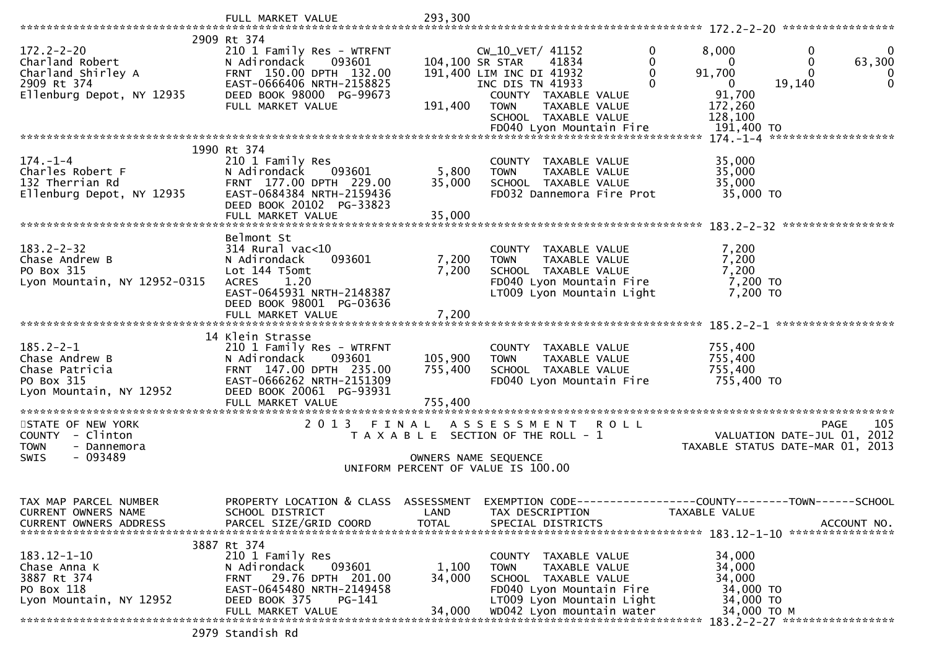|                                                                                                       | FULL MARKET VALUE                                                                                                                                                                    | 293,300                   |                                                                                                                                                                              |                   |                                                                                 |                                                                                       |
|-------------------------------------------------------------------------------------------------------|--------------------------------------------------------------------------------------------------------------------------------------------------------------------------------------|---------------------------|------------------------------------------------------------------------------------------------------------------------------------------------------------------------------|-------------------|---------------------------------------------------------------------------------|---------------------------------------------------------------------------------------|
|                                                                                                       |                                                                                                                                                                                      |                           |                                                                                                                                                                              |                   |                                                                                 |                                                                                       |
| $172.2 - 2 - 20$<br>Charland Robert<br>Charland Shirley A<br>2909 Rt 374<br>Ellenburg Depot, NY 12935 | 2909 Rt 374<br>210 1 Family Res - WTRFNT<br>093601<br>N Adirondack<br>FRNT 150.00 DPTH 132.00<br>EAST-0666406 NRTH-2158825<br>DEED BOOK 98000 PG-99673<br>FULL MARKET VALUE          | 191,400                   | CW_10_VET/ 41152<br>104,100 SR STAR<br>41834<br>191,400 LIM INC DI 41932<br>INC DIS TN 41933<br>COUNTY TAXABLE VALUE<br><b>TOWN</b><br>TAXABLE VALUE<br>SCHOOL TAXABLE VALUE | $\mathbf{0}$<br>0 | 8,000<br>$\mathbf{0}$<br>91,700<br>$\mathbf{0}$<br>91,700<br>172,260<br>128,100 | 0<br>$\bf{0}$<br>$\mathbf{0}$<br>63,300<br>$\Omega$<br>0<br>$\mathbf{0}$<br>19,140    |
|                                                                                                       |                                                                                                                                                                                      |                           |                                                                                                                                                                              |                   |                                                                                 |                                                                                       |
|                                                                                                       | 1990 Rt 374                                                                                                                                                                          |                           |                                                                                                                                                                              |                   |                                                                                 |                                                                                       |
| $174. - 1 - 4$<br>Charles Robert F<br>132 Therrian Rd<br>Ellenburg Depot, NY 12935                    | 210 1 Family Res<br>N Adirondack<br>093601<br>FRNT 177.00 DPTH 229.00<br>EAST-0684384 NRTH-2159436<br>DEED BOOK 20102 PG-33823<br>FULL MARKET VALUE                                  | 5,800<br>35,000<br>35,000 | COUNTY TAXABLE VALUE<br><b>TOWN</b><br>TAXABLE VALUE<br>SCHOOL TAXABLE VALUE<br>FD032 Dannemora Fire Prot                                                                    |                   | 35,000<br>35,000<br>35,000<br>35,000 TO                                         |                                                                                       |
|                                                                                                       |                                                                                                                                                                                      |                           |                                                                                                                                                                              |                   |                                                                                 |                                                                                       |
| $183.2 - 2 - 32$<br>Chase Andrew B<br>PO Box 315<br>Lyon Mountain, NY 12952-0315                      | Belmont St<br>$314$ Rural vac< $10$<br>093601<br>N Adirondack<br>Lot 144 T5omt<br>1.20<br><b>ACRES</b><br>EAST-0645931 NRTH-2148387<br>DEED BOOK 98001 PG-03636<br>FULL MARKET VALUE | 7,200<br>7,200<br>7,200   | COUNTY TAXABLE VALUE<br>TAXABLE VALUE<br><b>TOWN</b><br>SCHOOL TAXABLE VALUE<br>FD040 Lyon Mountain Fire<br>LT009 Lyon Mountain Light                                        |                   | 7,200<br>7,200<br>7,200<br>7,200 TO<br>7,200 TO                                 |                                                                                       |
|                                                                                                       |                                                                                                                                                                                      |                           |                                                                                                                                                                              |                   |                                                                                 |                                                                                       |
| $185.2 - 2 - 1$<br>Chase Andrew B<br>Chase Patricia<br>PO Box 315<br>Lyon Mountain, NY 12952          | 14 Klein Strasse<br>210 1 Family Res - WTRFNT<br>N Adirondack<br>093601<br>FRNT 147.00 DPTH 235.00<br>EAST-0666262 NRTH-2151309<br>DEED BOOK 20061 PG-93931                          | 105,900<br>755,400        | COUNTY TAXABLE VALUE<br><b>TOWN</b><br>TAXABLE VALUE<br>SCHOOL TAXABLE VALUE<br>FD040 Lyon Mountain Fire                                                                     |                   | 755,400<br>755,400<br>755,400<br>755,400 TO                                     |                                                                                       |
|                                                                                                       |                                                                                                                                                                                      |                           |                                                                                                                                                                              |                   |                                                                                 |                                                                                       |
| STATE OF NEW YORK<br>COUNTY - Clinton<br><b>TOWN</b><br>- Dannemora<br>SWIS<br>- 093489               | FINAL<br>2 0 1 3                                                                                                                                                                     |                           | A S S E S S M E N T R O L L<br>T A X A B L E SECTION OF THE ROLL - 1<br>OWNERS NAME SEQUENCE<br>UNIFORM PERCENT OF VALUE IS 100.00                                           |                   |                                                                                 | 105<br><b>PAGE</b><br>VALUATION DATE-JUL 01, 2012<br>TAXABLE STATUS DATE-MAR 01, 2013 |
|                                                                                                       |                                                                                                                                                                                      |                           |                                                                                                                                                                              |                   |                                                                                 |                                                                                       |
| TAX MAP PARCEL NUMBER<br>CURRENT OWNERS NAME<br><b>CURRENT OWNERS ADDRESS</b>                         | PROPERTY LOCATION & CLASS ASSESSMENT EXEMPTION CODE----------------COUNTY-------TOWN------SCHOOL<br>SCHOOL DISTRICT<br>PARCEL SIZE/GRID COORD                                        | LAND<br><b>TOTAL</b>      | TAX DESCRIPTION<br>SPECIAL DISTRICTS                                                                                                                                         |                   | TAXABLE VALUE                                                                   | ACCOUNT NO.                                                                           |
|                                                                                                       | 3887 Rt 374                                                                                                                                                                          |                           |                                                                                                                                                                              |                   |                                                                                 |                                                                                       |
| $183.12 - 1 - 10$<br>Chase Anna K<br>3887 Rt 374<br>PO Box 118<br>Lyon Mountain, NY 12952             | 210 1 Family Res<br>N Adirondack<br>093601<br>29.76 DPTH 201.00<br>FRNT<br>EAST-0645480 NRTH-2149458<br>DEED BOOK 375<br>PG-141                                                      | 1,100<br>34,000           | <b>COUNTY</b><br>TAXABLE VALUE<br><b>TOWN</b><br>TAXABLE VALUE<br>SCHOOL TAXABLE VALUE<br>FD040 Lyon Mountain Fire<br>LT009 Lyon Mountain Light                              |                   | 34,000<br>34,000<br>34,000<br>34,000 TO<br>34,000 TO                            |                                                                                       |
|                                                                                                       | FULL MARKET VALUE                                                                                                                                                                    | 34,000                    | WD042 Lyon mountain water                                                                                                                                                    |                   | 34,000 TO M                                                                     | 183.2-2-27 *******************                                                        |
|                                                                                                       | 2979 Standish Rd                                                                                                                                                                     |                           |                                                                                                                                                                              |                   |                                                                                 |                                                                                       |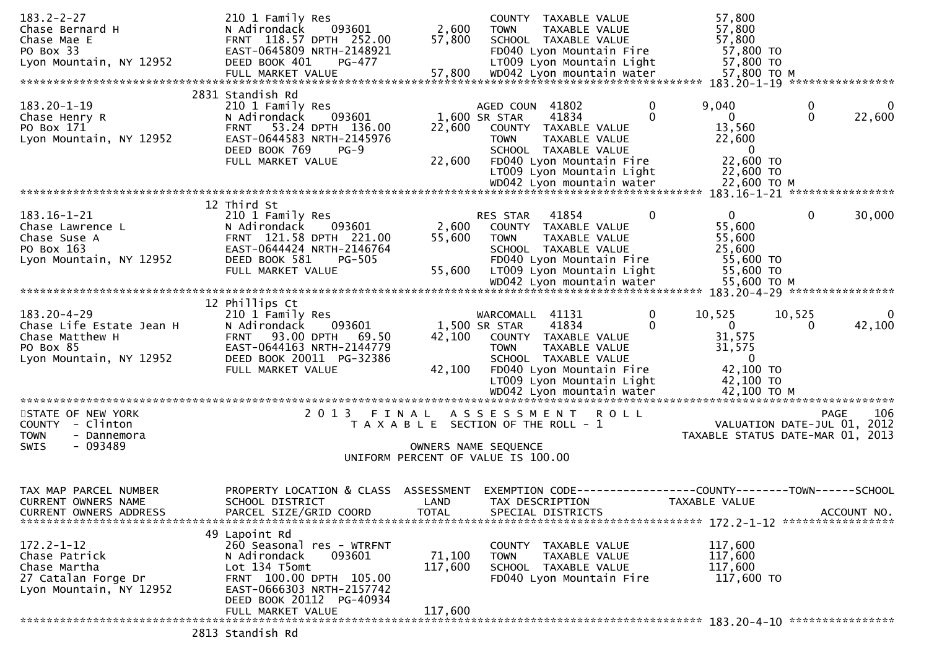| $183.2 - 2 - 27$<br>Chase Bernard H<br>Chase Mae E<br>PO Box 33<br>Lyon Mountain, NY 12952               | 210 1 Family Res<br>N Adirondack<br>093601<br>FRNT 118.57 DPTH 252.00<br>EAST-0645809 NRTH-2148921<br>DEED BOOK 401<br>PG-477                                                   | 2,600<br>57,800                    | COUNTY TAXABLE VALUE<br><b>TOWN</b><br><b>TAXABLE VALUE</b><br>SCHOOL TAXABLE VALUE<br>FD040 Lyon Mountain Fire<br>LT009 Lyon Mountain Light                                                        | 57,800<br>57,800<br>57,800<br>57,800 TO<br>57,800 TO                                                           |
|----------------------------------------------------------------------------------------------------------|---------------------------------------------------------------------------------------------------------------------------------------------------------------------------------|------------------------------------|-----------------------------------------------------------------------------------------------------------------------------------------------------------------------------------------------------|----------------------------------------------------------------------------------------------------------------|
|                                                                                                          |                                                                                                                                                                                 |                                    |                                                                                                                                                                                                     |                                                                                                                |
| $183.20 - 1 - 19$<br>Chase Henry R<br>PO Box 171<br>Lyon Mountain, NY 12952                              | 2831 Standish Rd<br>210 1 Family Res<br>093601<br>N Adirondack<br>53.24 DPTH 136.00<br><b>FRNT</b><br>EAST-0644583 NRTH-2145976<br>DEED BOOK 769<br>$PG-9$<br>FULL MARKET VALUE | 22,600<br>22,600                   | AGED COUN 41802<br>0<br>1,600 SR STAR<br>41834<br>$\Omega$<br>COUNTY TAXABLE VALUE<br><b>TOWN</b><br>TAXABLE VALUE<br>SCHOOL TAXABLE VALUE<br>FD040 Lyon Mountain Fire<br>LT009 Lyon Mountain Light | 9,040<br>0<br>0<br>$\mathbf{0}$<br>22,600<br>0<br>13,560<br>22,600<br>$\bf{0}$<br>22,600 TO<br>22,600 TO       |
|                                                                                                          |                                                                                                                                                                                 |                                    |                                                                                                                                                                                                     |                                                                                                                |
| $183.16 - 1 - 21$<br>Chase Lawrence L<br>Chase Suse A<br>PO Box 163<br>Lyon Mountain, NY 12952           | 12 Third St<br>210 1 Family Res<br>093601<br>N Adirondack<br>FRNT 121.58 DPTH 221.00<br>EAST-0644424 NRTH-2146764<br>DEED BOOK 581<br><b>PG-505</b><br>FULL MARKET VALUE        | 2,600<br>55,600<br>55,600          | RES STAR<br>41854<br>$\Omega$<br>COUNTY TAXABLE VALUE<br><b>TOWN</b><br>TAXABLE VALUE<br>SCHOOL TAXABLE VALUE<br>FD040 Lyon Mountain Fire<br>LT009 Lyon Mountain Light                              | $\Omega$<br>$\mathbf{0}$<br>30,000<br>55,600<br>55,600<br>25,600<br>55,600 TO<br>55,600 TO                     |
|                                                                                                          | 12 Phillips Ct                                                                                                                                                                  |                                    |                                                                                                                                                                                                     |                                                                                                                |
| $183.20 - 4 - 29$<br>Chase Life Estate Jean H<br>Chase Matthew H<br>PO Box 85<br>Lyon Mountain, NY 12952 | 210 1 Family Res<br>N Adirondack<br>093601<br><b>FRNT 93.00 DPTH</b><br>69.50<br>EAST-0644163 NRTH-2144779<br>DEED BOOK 20011 PG-32386<br>FULL MARKET VALUE                     | 42,100<br>42,100                   | WARCOMALL 41131<br>0<br>41834<br>1,500 SR STAR<br>0<br>COUNTY TAXABLE VALUE<br>TAXABLE VALUE<br><b>TOWN</b><br>SCHOOL TAXABLE VALUE<br>FD040 Lyon Mountain Fire<br>LT009 Lyon Mountain Light        | 10,525<br>10,525<br>0<br>$\mathbf{0}$<br>42,100<br>$\Omega$<br>31,575<br>31,575<br>0<br>42,100 TO<br>42,100 TO |
|                                                                                                          |                                                                                                                                                                                 |                                    |                                                                                                                                                                                                     |                                                                                                                |
| STATE OF NEW YORK<br>COUNTY - Clinton<br><b>TOWN</b><br>- Dannemora<br>$-093489$<br><b>SWIS</b>          | 2 0 1 3                                                                                                                                                                         | FINAL                              | ASSESSMENT ROLL<br>T A X A B L E SECTION OF THE ROLL - 1<br>OWNERS NAME SEQUENCE<br>UNIFORM PERCENT OF VALUE IS 100.00                                                                              | 106<br><b>PAGE</b><br>VALUATION DATE-JUL 01, 2012<br>TAXABLE STATUS DATE-MAR 01, 2013                          |
| TAX MAP PARCEL NUMBER<br><b>CURRENT OWNERS NAME</b><br>CURRENT OWNERS ADDRESS                            | PROPERTY LOCATION & CLASS<br>SCHOOL DISTRICT<br>PARCEL SIZE/GRID COORD                                                                                                          | ASSESSMENT<br>LAND<br><b>TOTAL</b> | EXEMPTION CODE--<br>TAX DESCRIPTION<br>SPECIAL DISTRICTS                                                                                                                                            | ----------------COUNTY--------TOWN------SCHOOL<br>TAXABLE VALUE<br>ACCOUNT NO.                                 |
| $172.2 - 1 - 12$<br>Chase Patrick<br>Chase Martha<br>27 Catalan Forge Dr<br>Lyon Mountain, NY 12952      | 49 Lapoint Rd<br>260 Seasonal res - WTRFNT<br>093601<br>N Adirondack<br>Lot 134 T5omt<br>FRNT 100.00 DPTH 105.00<br>EAST-0666303 NRTH-2157742                                   | 71,100<br>117,600                  | COUNTY<br>TAXABLE VALUE<br>TAXABLE VALUE<br><b>TOWN</b><br>SCHOOL TAXABLE VALUE<br>FD040 Lyon Mountain Fire                                                                                         | 117,600<br>117,600<br>117,600<br>117,600 TO                                                                    |
|                                                                                                          | DEED BOOK 20112 PG-40934<br>FULL MARKET VALUE                                                                                                                                   | 117,600                            |                                                                                                                                                                                                     |                                                                                                                |
|                                                                                                          |                                                                                                                                                                                 |                                    |                                                                                                                                                                                                     |                                                                                                                |
|                                                                                                          | 2813 Standish Rd                                                                                                                                                                |                                    |                                                                                                                                                                                                     |                                                                                                                |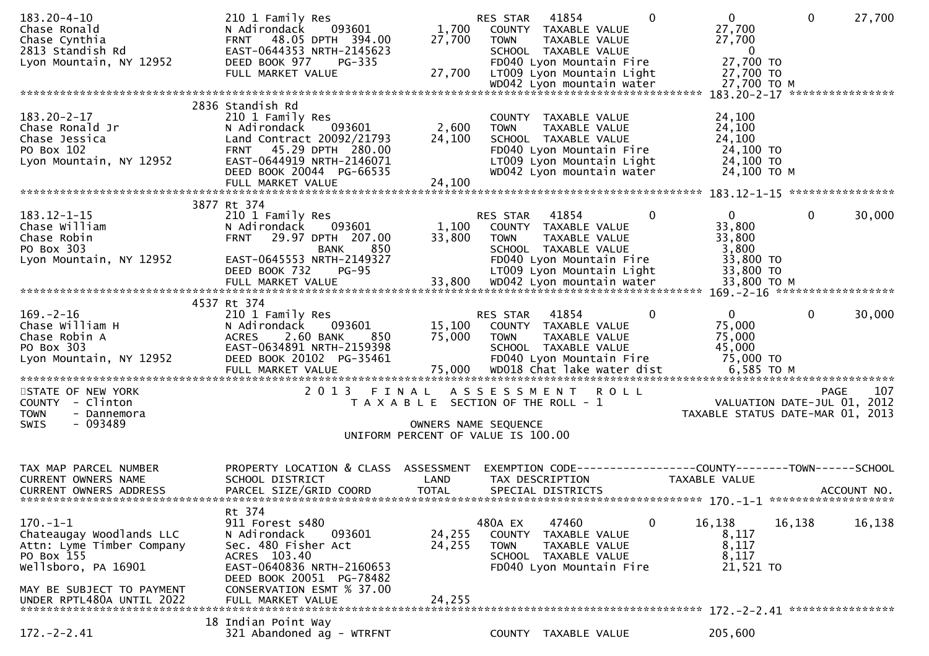| $183.20 - 4 - 10$                 | 210 1 Family Res                          |              | RES STAR                                                   | 41854                                                          | $\Omega$ | $\mathbf{0}$                     | $\mathbf 0$  | 27,700      |
|-----------------------------------|-------------------------------------------|--------------|------------------------------------------------------------|----------------------------------------------------------------|----------|----------------------------------|--------------|-------------|
| Chase Ronald                      | 093601<br>N Adirondack                    | 1,700        | COUNTY TAXABLE VALUE                                       |                                                                |          | 27,700                           |              |             |
| Chase Cynthia                     | FRNT 48.05 DPTH 394.00                    | 27,700       | <b>TOWN</b>                                                | TAXABLE VALUE                                                  |          | 27,700                           |              |             |
| 2813 Standish Rd                  | EAST-0644353 NRTH-2145623                 |              | SCHOOL TAXABLE VALUE                                       |                                                                |          | $\overline{0}$                   |              |             |
| Lyon Mountain, NY 12952           | DEED BOOK 977<br>PG-335                   |              |                                                            | FD040 Lyon Mountain Fire                                       |          | 27,700 TO                        |              |             |
|                                   | FULL MARKET VALUE                         | 27,700       |                                                            | LT009 Lyon Mountain Light                                      |          | 27,700 TO                        |              |             |
|                                   |                                           |              |                                                            |                                                                |          |                                  |              |             |
|                                   | 2836 Standish Rd                          |              |                                                            |                                                                |          |                                  |              |             |
| $183.20 - 2 - 17$                 | 210 1 Family Res                          |              | COUNTY TAXABLE VALUE                                       |                                                                |          | 24,100                           |              |             |
| Chase Ronald Jr                   | 093601<br>N Adirondack                    | 2,600        | <b>TOWN</b>                                                | TAXABLE VALUE                                                  |          | 24,100                           |              |             |
| Chase Jessica                     | Land Contract 20092/21793                 | 24,100       | SCHOOL TAXABLE VALUE                                       |                                                                |          | 24,100                           |              |             |
| PO Box 102                        | FRNT 45.29 DPTH 280.00                    |              |                                                            | FD040 Lyon Mountain Fire                                       |          | 24,100 TO                        |              |             |
| Lyon Mountain, NY 12952           | EAST-0644919 NRTH-2146071                 |              |                                                            | LT009 Lyon Mountain Light                                      |          | 24,100 TO                        |              |             |
|                                   | DEED BOOK 20044 PG-66535                  |              |                                                            | WD042 Lyon mountain water                                      |          | 24,100 TO M                      |              |             |
|                                   |                                           |              |                                                            |                                                                |          |                                  |              |             |
|                                   |                                           |              |                                                            |                                                                |          |                                  |              |             |
|                                   | 3877 Rt 374                               |              |                                                            |                                                                |          |                                  |              |             |
| $183.12 - 1 - 15$                 | 210 1 Family Res                          |              | RES STAR 41854                                             |                                                                | 0        | $\overline{0}$                   | $\mathbf{0}$ | 30,000      |
| Chase William                     | N Adirondack<br>093601                    | 1,100        | COUNTY TAXABLE VALUE                                       |                                                                |          | 33,800                           |              |             |
| Chase Robin                       | FRNT 29.97 DPTH 207.00                    | 33,800       | <b>TOWN</b>                                                | <b>TAXABLE VALUE</b>                                           |          | 33,800                           |              |             |
| PO Box 303                        | 850<br><b>BANK</b>                        |              | SCHOOL TAXABLE VALUE                                       |                                                                |          | 3,800                            |              |             |
| Lyon Mountain, NY 12952           | EAST-0645553 NRTH-2149327                 |              |                                                            | FD040 Lyon Mountain Fire                                       |          | 33,800 TO                        |              |             |
|                                   | DEED BOOK 732<br>$PG-95$                  |              |                                                            | LT009 Lyon Mountain Light                                      |          | 33,800 TO                        |              |             |
|                                   |                                           |              |                                                            |                                                                |          |                                  |              |             |
|                                   | 4537 Rt 374                               |              |                                                            |                                                                |          |                                  |              |             |
| $169. - 2 - 16$                   | 210 1 Family Res                          |              | RES STAR                                                   | 41854                                                          | 0        | $\mathbf{0}$                     | $\mathbf{0}$ | 30,000      |
| Chase William H                   | N Adirondack<br>093601                    | 15,100       | COUNTY TAXABLE VALUE                                       |                                                                |          | 75,000                           |              |             |
| Chase Robin A                     | 2.60 BANK<br><b>ACRES</b><br>850          | 75,000       | <b>TOWN</b>                                                | TAXABLE VALUE                                                  |          | 75,000                           |              |             |
| PO Box 303                        | EAST-0634891 NRTH-2159398                 |              | SCHOOL TAXABLE VALUE                                       |                                                                |          | 45,000                           |              |             |
| Lyon Mountain, NY 12952           | DEED BOOK 20102 PG-35461                  |              |                                                            | FD040 Lyon Mountain Fire                                       |          | 75,000 TO                        |              |             |
|                                   | FULL MARKET VALUE                         | 75,000       |                                                            | WD018 Chat lake water dist                                     |          | 6,585 TO M                       |              |             |
|                                   |                                           |              |                                                            |                                                                |          |                                  |              |             |
| STATE OF NEW YORK                 | 2 0 1 3<br>FINAL                          |              | ASSESSMENT                                                 | <b>ROLL</b>                                                    |          |                                  | <b>PAGE</b>  | 107         |
| COUNTY - Clinton                  |                                           |              | T A X A B L E SECTION OF THE ROLL - 1                      |                                                                |          | VALUATION DATE-JUL 01, 2012      |              |             |
| <b>TOWN</b><br>- Dannemora        |                                           |              |                                                            |                                                                |          | TAXABLE STATUS DATE-MAR 01, 2013 |              |             |
| - 093489<br>SWIS                  |                                           |              | OWNERS NAME SEQUENCE<br>UNIFORM PERCENT OF VALUE IS 100.00 |                                                                |          |                                  |              |             |
|                                   |                                           |              |                                                            |                                                                |          |                                  |              |             |
|                                   |                                           |              |                                                            |                                                                |          |                                  |              |             |
| TAX MAP PARCEL NUMBER             | PROPERTY LOCATION & CLASS ASSESSMENT      |              |                                                            | EXEMPTION CODE------------------COUNTY--------TOWN------SCHOOL |          |                                  |              |             |
| CURRENT OWNERS NAME               | SCHOOL DISTRICT                           | LAND         | TAX DESCRIPTION                                            |                                                                |          | TAXABLE VALUE                    |              |             |
| <b>CURRENT OWNERS ADDRESS</b>     | PARCEL SIZE/GRID COORD                    | <b>TOTAL</b> | SPECIAL DISTRICTS                                          |                                                                |          |                                  |              | ACCOUNT NO. |
|                                   |                                           |              |                                                            |                                                                |          |                                  |              |             |
|                                   | Rt 374                                    |              |                                                            |                                                                |          |                                  |              |             |
| $170.-1-1$                        | 911 Forest s480                           |              | 480A EX                                                    | 47460                                                          | 0        | 16,138                           | 16,138       | 16,138      |
| Chateaugay Woodlands LLC          | N Adirondack<br>093601                    | 24,255       | COUNTY                                                     | TAXABLE VALUE                                                  |          | 8,117                            |              |             |
| Attn: Lyme Timber Company         | Sec. 480 Fisher Act                       | 24,255       | <b>TOWN</b>                                                | TAXABLE VALUE                                                  |          | 8,117                            |              |             |
| PO Box 155<br>Wellsboro, PA 16901 | ACRES 103.40<br>EAST-0640836 NRTH-2160653 |              | SCHOOL TAXABLE VALUE                                       | FD040 Lyon Mountain Fire                                       |          | 8,117<br>21,521 TO               |              |             |
|                                   | DEED BOOK 20051 PG-78482                  |              |                                                            |                                                                |          |                                  |              |             |
| MAY BE SUBJECT TO PAYMENT         | CONSERVATION ESMT % 37.00                 |              |                                                            |                                                                |          |                                  |              |             |
| UNDER RPTL480A UNTIL 2022         | FULL MARKET VALUE                         | 24,255       |                                                            |                                                                |          |                                  |              |             |
|                                   |                                           |              |                                                            |                                                                |          |                                  |              |             |
|                                   | 18 Indian Point Way                       |              |                                                            |                                                                |          |                                  |              |             |
| $172. - 2 - 2.41$                 | 321 Abandoned ag - WTRFNT                 |              | COUNTY TAXABLE VALUE                                       |                                                                |          | 205,600                          |              |             |
|                                   |                                           |              |                                                            |                                                                |          |                                  |              |             |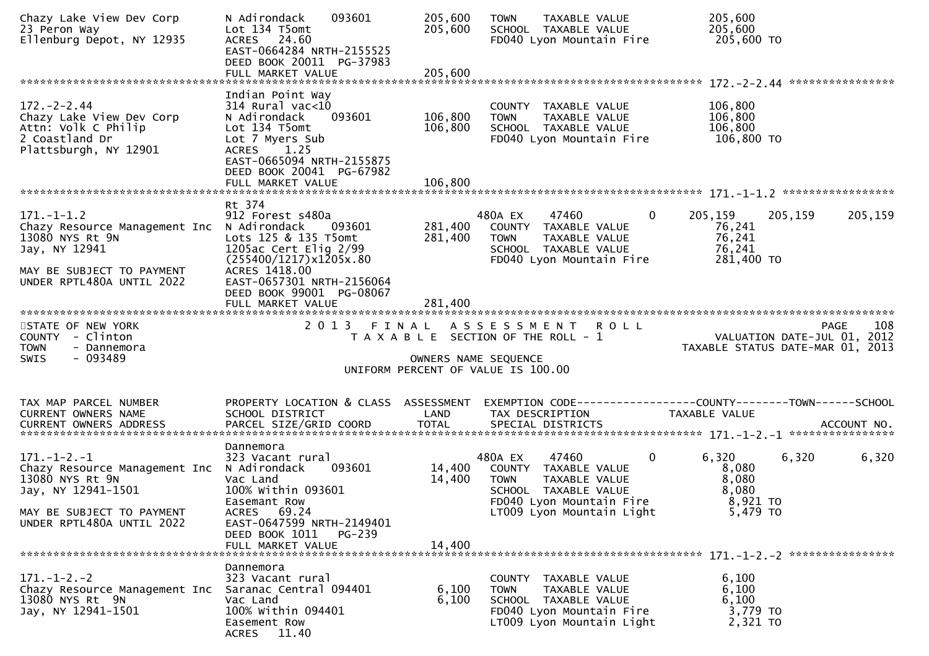| Chazy Lake View Dev Corp<br>23 Peron Way<br>Ellenburg Depot, NY 12935                                                                                                | 093601<br>N Adirondack<br>Lot 134 T5omt<br>ACRES 24.60<br>EAST-0664284 NRTH-2155525<br>DEED BOOK 20011 PG-37983<br>FULL MARKET VALUE                                                                             | 205,600<br>205,600<br>205,600 | <b>TOWN</b><br>TAXABLE VALUE<br>SCHOOL TAXABLE VALUE<br>FD040 Lyon Mountain Fire                                                                          | 205,600<br>205,600<br>205,600 TO                                                          |       |
|----------------------------------------------------------------------------------------------------------------------------------------------------------------------|------------------------------------------------------------------------------------------------------------------------------------------------------------------------------------------------------------------|-------------------------------|-----------------------------------------------------------------------------------------------------------------------------------------------------------|-------------------------------------------------------------------------------------------|-------|
| $172. - 2 - 2.44$<br>Chazy Lake View Dev Corp<br>Attn: Volk C Philip<br>2 Coastland Dr<br>Plattsburgh, NY 12901                                                      | Indian Point Way<br>$314$ Rural vac<10<br>093601<br>N Adirondack<br>Lot 134 T5omt<br>Lot 7 Myers Sub<br>ACRES 1.25<br>EAST-0665094 NRTH-2155875<br>DEED BOOK 20041 PG-67982                                      | 106,800<br>106,800            | COUNTY TAXABLE VALUE<br><b>TOWN</b><br>TAXABLE VALUE<br>SCHOOL TAXABLE VALUE<br>FD040 Lyon Mountain Fire                                                  | 106,800<br>106,800<br>106,800<br>106,800 TO                                               |       |
| $171. - 1 - 1.2$<br>Chazy Resource Management Inc N Adirondack<br>13080 NYS Rt 9N<br>Jay, NY 12941<br>MAY BE SUBJECT TO PAYMENT<br>UNDER RPTL480A UNTIL 2022         | Rt 374<br>912 Forest s480a<br>093601<br>Lots 125 & 135 T5omt<br>1205ac Cert Elig $2/99$<br>(255400/1217)x1205x.80<br>ACRES 1418.00<br>EAST-0657301 NRTH-2156064<br>DEED BOOK 99001 PG-08067<br>FULL MARKET VALUE | 281,400<br>281,400<br>281,400 | 480A EX<br>47460<br>COUNTY TAXABLE VALUE<br><b>TOWN</b><br>TAXABLE VALUE<br>SCHOOL TAXABLE VALUE<br>FD040 Lyon Mountain Fire                              | $\mathbf{0}$<br>205,159<br>205,159<br>205,159<br>76,241<br>76,241<br>76,241<br>281,400 TO |       |
| STATE OF NEW YORK<br>COUNTY - Clinton<br><b>TOWN</b><br>- Dannemora<br>$-093489$<br><b>SWIS</b>                                                                      | 2 0 1 3                                                                                                                                                                                                          | FINAL                         | ASSESSMENT ROLL<br>T A X A B L E SECTION OF THE ROLL - 1<br>OWNERS NAME SEQUENCE<br>UNIFORM PERCENT OF VALUE IS 100.00                                    | PAGE<br>VALUATION DATE-JUL 01, 2012<br>TAXABLE STATUS DATE-MAR 01, 2013                   | 108   |
| TAX MAP PARCEL NUMBER<br>CURRENT OWNERS NAME<br><b>CURRENT OWNERS ADDRESS</b>                                                                                        | PROPERTY LOCATION & CLASS ASSESSMENT<br>SCHOOL DISTRICT                                                                                                                                                          | LAND                          | TAX DESCRIPTION                                                                                                                                           | EXEMPTION CODE------------------COUNTY-------TOWN------SCHOOL<br>TAXABLE VALUE            |       |
| $171. - 1 - 2. - 1$<br>Chazy Resource Management Inc N Adirondack<br>13080 NYS Rt 9N<br>Jay, NY 12941-1501<br>MAY BE SUBJECT TO PAYMENT<br>UNDER RPTL480A UNTIL 2022 | Dannemora<br>323 Vacant rural<br>093601<br>Vac Land<br>100% within 093601<br>Easemant Row<br>ACRES 69.24<br>EAST-0647599 NRTH-2149401<br>DEED BOOK 1011<br>PG-239<br>FULL MARKET VALUE                           | 14,400<br>14,400<br>14,400    | 480A EX<br>47460<br>COUNTY TAXABLE VALUE<br>TAXABLE VALUE<br><b>TOWN</b><br>SCHOOL TAXABLE VALUE<br>FD040 Lyon Mountain Fire<br>LT009 Lyon Mountain Light | $\mathbf 0$<br>6,320<br>6,320<br>8,080<br>8,080<br>8,080<br>8,921 TO<br>5,479 TO          | 6,320 |
|                                                                                                                                                                      |                                                                                                                                                                                                                  |                               |                                                                                                                                                           |                                                                                           |       |
| $171. - 1 - 2. - 2$<br>Chazy Resource Management Inc<br>13080 NYS Rt 9N<br>Jay, NY 12941-1501                                                                        | Dannemora<br>323 Vacant rural<br>Saranac Central 094401<br>Vac Land<br>100% Within 094401<br>Easement Row<br>ACRES 11.40                                                                                         | 6,100<br>6,100                | COUNTY TAXABLE VALUE<br>TAXABLE VALUE<br><b>TOWN</b><br>SCHOOL TAXABLE VALUE<br>FD040 Lyon Mountain Fire<br>LT009 Lyon Mountain Light                     | 6,100<br>6,100<br>6,100<br>3,779 TO<br>2,321 TO                                           |       |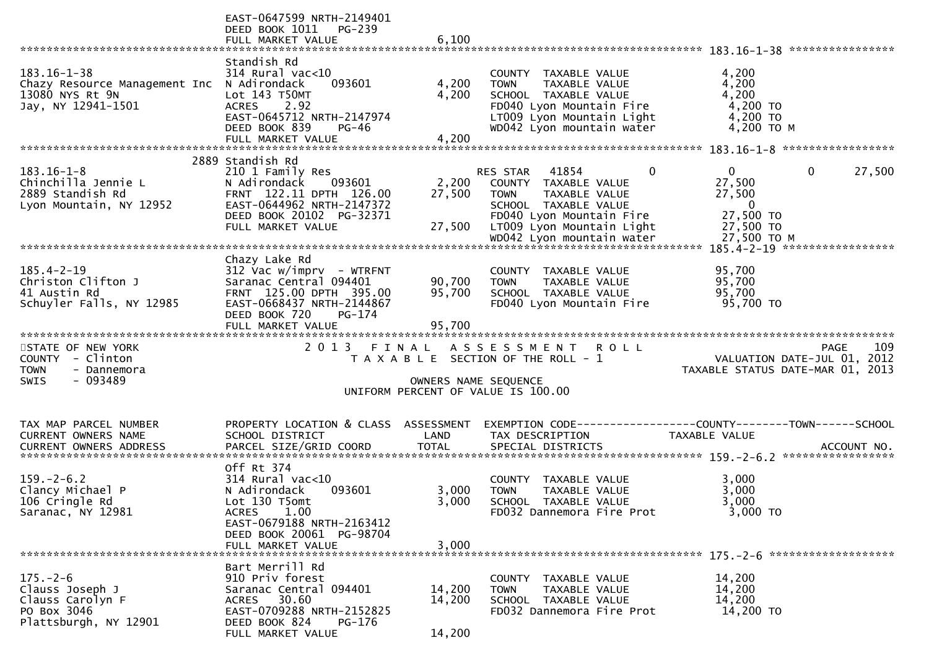|                                                                                                 | EAST-0647599 NRTH-2149401<br>DEED BOOK 1011 PG-239<br>FULL MARKET VALUE                                                                                                     | 6,100                     |                                                                                                                                                                    |                                                                                             |
|-------------------------------------------------------------------------------------------------|-----------------------------------------------------------------------------------------------------------------------------------------------------------------------------|---------------------------|--------------------------------------------------------------------------------------------------------------------------------------------------------------------|---------------------------------------------------------------------------------------------|
|                                                                                                 |                                                                                                                                                                             |                           |                                                                                                                                                                    |                                                                                             |
| $183.16 - 1 - 38$<br>Chazy Resource Management Inc<br>13080 NYS Rt 9N<br>Jay, NY 12941-1501     | Standish Rd<br>$314$ Rural vac< $10$<br>093601<br>N Adirondack<br>Lot 143 T50MT<br>ACRES 2.92<br>EAST-0645712 NRTH-2147974<br>DEED BOOK 839<br>$PG-46$<br>FULL MARKET VALUE | 4,200<br>4,200<br>4,200   | COUNTY TAXABLE VALUE<br><b>TOWN</b><br>TAXABLE VALUE<br>SCHOOL TAXABLE VALUE<br>FD040 Lyon Mountain Fire<br>LT009 Lyon Mountain Light<br>WD042 Lyon mountain water | 4,200<br>4,200<br>4,200<br>4,200 TO<br>4,200 TO<br>4,200 TO M                               |
|                                                                                                 |                                                                                                                                                                             |                           |                                                                                                                                                                    |                                                                                             |
| $183.16 - 1 - 8$<br>Chinchilla Jennie L<br>2889 Standish Rd<br>Lyon Mountain, NY 12952          | 2889 Standish Rd<br>210 1 Family Res<br>N Adirondack<br>093601<br>FRNT 122.11 DPTH 126.00<br>EAST-0644962 NRTH-2147372<br>DEED BOOK 20102 PG-32371<br>FULL MARKET VALUE     | 2,200<br>27,500<br>27,500 | RES STAR 41854<br>$\Omega$<br>COUNTY TAXABLE VALUE<br>TOWN<br>TAXABLE VALUE<br>SCHOOL TAXABLE VALUE<br>FD040 Lyon Mountain Fire<br>LT009 Lyon Mountain Light       | 27,500<br>$\mathbf{0}$<br>0<br>27,500<br>27,500<br>$\overline{0}$<br>27,500 TO<br>27,500 TO |
|                                                                                                 |                                                                                                                                                                             |                           |                                                                                                                                                                    |                                                                                             |
| $185.4 - 2 - 19$<br>Christon Clifton J<br>41 Austin Rd<br>Schuyler Falls, NY 12985              | Chazy Lake Rd<br>$312$ Vac w/imprv - WTRFNT<br>Saranac Central 094401<br>FRNT 125.00 DPTH 395.00<br>EAST-0668437 NRTH-2144867<br>DEED BOOK 720<br>$PG-174$                  | 90,700<br>95,700          | COUNTY TAXABLE VALUE<br>TAXABLE VALUE<br><b>TOWN</b><br>SCHOOL TAXABLE VALUE<br>FD040 Lyon Mountain Fire                                                           | 95,700<br>95,700<br>95,700<br>95,700 TO                                                     |
|                                                                                                 | FULL MARKET VALUE                                                                                                                                                           | 95,700                    |                                                                                                                                                                    |                                                                                             |
| STATE OF NEW YORK<br>COUNTY - Clinton<br><b>TOWN</b><br>- Dannemora<br>$-093489$<br><b>SWIS</b> |                                                                                                                                                                             | OWNERS NAME SEQUENCE      | 2013 FINAL ASSESSMENT ROLL<br>T A X A B L E SECTION OF THE ROLL - 1<br>UNIFORM PERCENT OF VALUE IS 100.00                                                          | 109<br>PAGE<br>VALUATION DATE-JUL 01, 2012<br>TAXABLE STATUS DATE-MAR 01, 2013              |
| TAX MAP PARCEL NUMBER                                                                           | PROPERTY LOCATION & CLASS ASSESSMENT                                                                                                                                        |                           |                                                                                                                                                                    | EXEMPTION CODE-----------------COUNTY-------TOWN------SCHOOL                                |
| CURRENT OWNERS NAME                                                                             | SCHOOL DISTRICT                                                                                                                                                             | LAND                      | TAX DESCRIPTION                                                                                                                                                    | TAXABLE VALUE                                                                               |
|                                                                                                 |                                                                                                                                                                             |                           |                                                                                                                                                                    |                                                                                             |
|                                                                                                 |                                                                                                                                                                             |                           |                                                                                                                                                                    |                                                                                             |
| $159. - 2 - 6.2$<br>Clancy Michael P<br>106 Cringle Rd<br>Saranac, NY 12981                     | Off Rt 374<br>$314$ Rural vac<10<br>093601<br>N Adirondack<br>Lot 130 T5omt<br>1.00<br><b>ACRES</b><br>EAST-0679188 NRTH-2163412<br>DEED BOOK 20061 PG-98704                | 3,000<br>3,000            | COUNTY TAXABLE VALUE<br><b>TOWN</b><br>TAXABLE VALUE<br>SCHOOL TAXABLE VALUE<br>FD032 Dannemora Fire Prot                                                          | 3,000<br>3,000<br>3,000<br>3,000 TO                                                         |
|                                                                                                 | FULL MARKET VALUE                                                                                                                                                           | 3,000                     |                                                                                                                                                                    |                                                                                             |
| $175. - 2 - 6$<br>Clauss Joseph J<br>Clauss Carolyn F<br>PO Box 3046                            | Bart Merrill Rd<br>910 Priv forest<br>Saranac Central 094401<br>ACRES 30.60                                                                                                 | 14,200<br>14,200          | COUNTY TAXABLE VALUE<br>TAXABLE VALUE<br><b>TOWN</b><br>SCHOOL TAXABLE VALUE                                                                                       | 14,200<br>14,200<br>14,200                                                                  |
| Plattsburgh, NY 12901                                                                           | EAST-0709288 NRTH-2152825<br>DEED BOOK 824<br>$PG-176$<br>FULL MARKET VALUE                                                                                                 | 14,200                    | FD032 Dannemora Fire Prot                                                                                                                                          | 14,200 TO                                                                                   |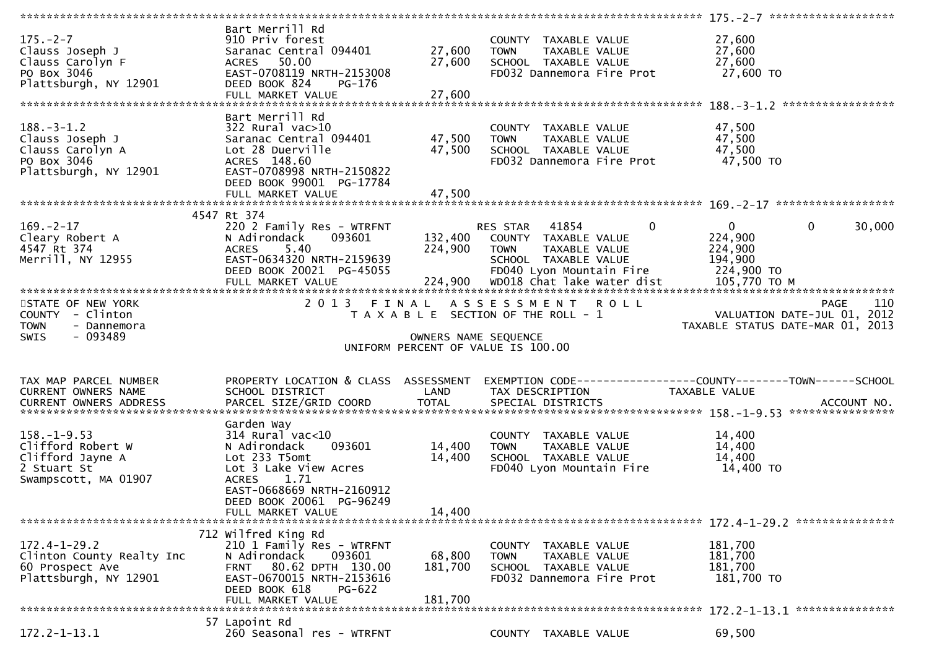| $175. - 2 - 7$<br>Clauss Joseph J<br>Clauss Carolyn F<br>PO Box 3046<br>Plattsburgh, NY 12901     | Bart Merrill Rd<br>910 Priv forest<br>Saranac Central 094401<br>ACRES 50.00<br>EAST-0708119 NRTH-2153008<br>DEED BOOK 824 PG-176<br>FULL MARKET VALUE                                          | 27,600<br>27,600<br>27,600   | COUNTY TAXABLE VALUE<br>TAXABLE VALUE<br><b>TOWN</b><br>SCHOOL TAXABLE VALUE<br>FD032 Dannemora Fire Prot                            | 27,600<br>27,600<br>27,600<br>27,600 TO                                                                                                             |
|---------------------------------------------------------------------------------------------------|------------------------------------------------------------------------------------------------------------------------------------------------------------------------------------------------|------------------------------|--------------------------------------------------------------------------------------------------------------------------------------|-----------------------------------------------------------------------------------------------------------------------------------------------------|
| $188. - 3 - 1.2$<br>Clauss Joseph J<br>Clauss Carolyn A<br>PO Box 3046<br>Plattsburgh, NY 12901   | Bart Merrill Rd<br>322 Rural vac>10<br>Saranac Central 094401<br>Lot 28 Duerville<br>ACRES 148.60<br>EAST-0708998 NRTH-2150822<br>DEED BOOK 99001 PG-17784<br>FULL MARKET VALUE                | 47,500<br>47,500<br>47,500   | COUNTY TAXABLE VALUE<br><b>TOWN</b><br>TAXABLE VALUE<br>SCHOOL TAXABLE VALUE<br>FD032 Dannemora Fire Prot 47,500 TO                  | 47,500<br>47,500<br>47,500                                                                                                                          |
|                                                                                                   | 4547 Rt 374                                                                                                                                                                                    |                              |                                                                                                                                      |                                                                                                                                                     |
| 169.-2-17<br>Cleary Robert A<br>4547 Rt 374<br>Merrill, NY 12955                                  | 220 2 Family Res - WTRFNT<br>N Adirondack<br>093601<br>ACRES 5.40<br>EAST-0634320 NRTH-2159639<br>EAST-0634320 NRTH-2159639                                                                    |                              | RES STAR 41854 0<br>132,400 COUNTY TAXABLE VALUE<br>TAXABLE VALUE<br><b>TOWN</b><br>SCHOOL TAXABLE VALUE<br>FD040 Lyon Mountain Fire | $0 \qquad$<br>$\mathbf{0}$<br>30,000<br>224,900<br>224,900<br>194,900<br>224,900 TO                                                                 |
|                                                                                                   |                                                                                                                                                                                                |                              |                                                                                                                                      |                                                                                                                                                     |
| STATE OF NEW YORK<br>COUNTY - Clinton                                                             |                                                                                                                                                                                                |                              | 2013 FINAL ASSESSMENT ROLL<br>T A X A B L E SECTION OF THE ROLL - 1                                                                  |                                                                                                                                                     |
| <b>TOWN</b><br>- Dannemora<br>- 093489<br>SWIS                                                    |                                                                                                                                                                                                | OWNERS NAME SEQUENCE         | UNIFORM PERCENT OF VALUE IS 100.00                                                                                                   | 0 L L<br>VALUATION DATE-JUL 01, 2012<br>TAXABLE STATUS DATE-MAR 01, 2013                                                                            |
| TAX MAP PARCEL NUMBER<br>CURRENT OWNERS NAME                                                      | PROPERTY LOCATION & CLASS ASSESSMENT<br>SCHOOL DISTRICT                                                                                                                                        | LAND                         | TAX DESCRIPTION                                                                                                                      | EXEMPTION CODE-----------------COUNTY--------TOWN-----SCHOOL<br>TAXABLE VALUE                                                                       |
| $158. - 1 - 9.53$<br>Clifford Robert W<br>Clifford Jayne A<br>2 Stuart St<br>Swampscott, MA 01907 | Garden Way<br>314 Rural vac<10<br>093601<br>N Adirondack<br>Lot 233 T5omt<br>Lot 3 Lake View Acres<br>ACRES 1.71<br>EAST-0668669 NRTH-2160912<br>DEED BOOK 20061 PG-96249<br>FULL MARKET VALUE | 14,400<br>14,400<br>14,400   | COUNTY TAXABLE VALUE<br>TAXABLE VALUE<br><b>TOWN</b><br>SCHOOL TAXABLE VALUE<br>FD040 Lyon Mountain Fire                             | CURRENT OWNERS NAME<br>CURRENT OWNERS ADDRESS PARCEL SIZE/GRID COORD TOTAL SPECIAL DISTRICTS ACCOUNT NO.<br>14,400<br>14,400<br>14,400<br>14,400 TO |
|                                                                                                   |                                                                                                                                                                                                |                              |                                                                                                                                      |                                                                                                                                                     |
| $172.4 - 1 - 29.2$<br>Clinton County Realty Inc<br>60 Prospect Ave<br>Plattsburgh, NY 12901       | 712 Wilfred King Rd<br>210 1 Family Res - WTRFNT<br>N Adirondack<br>093601<br>FRNT 80.62 DPTH 130.00<br>EAST-0670015 NRTH-2153616<br>DEED BOOK 618<br><b>PG-622</b><br>FULL MARKET VALUE       | 68,800<br>181,700<br>181,700 | COUNTY TAXABLE VALUE<br><b>TOWN</b><br>TAXABLE VALUE<br>SCHOOL TAXABLE VALUE<br>FD032 Dannemora Fire Prot                            | 181,700<br>181,700<br>181,700<br>181,700 TO                                                                                                         |
|                                                                                                   | 57 Lapoint Rd                                                                                                                                                                                  |                              |                                                                                                                                      |                                                                                                                                                     |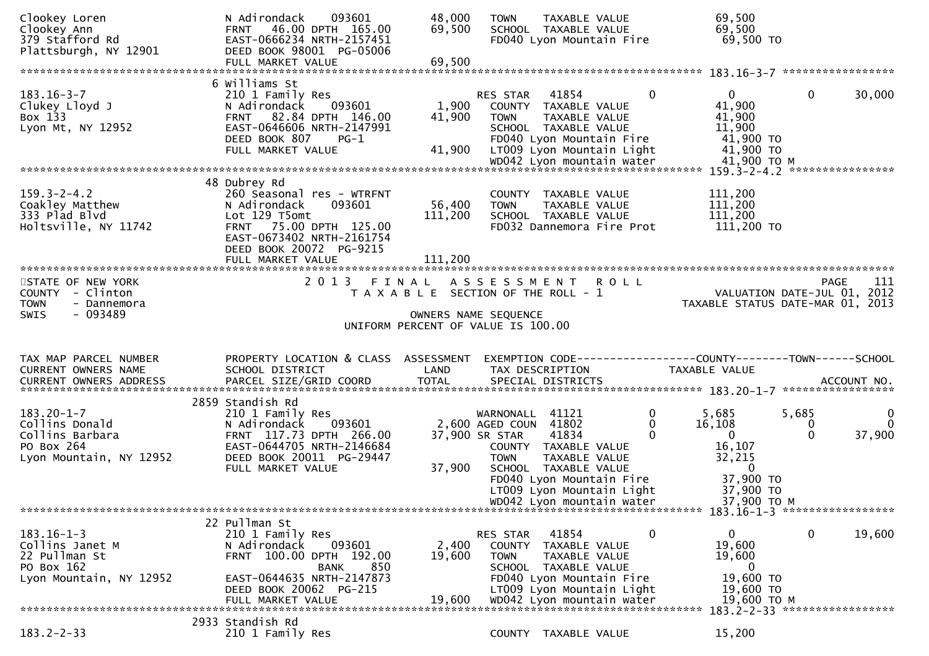| Clookey Loren<br>Clookey Ann<br>379 Stafford Rd<br>Plattsburgh, NY 12901                       | 093601<br>N Adirondack<br>FRNT 46.00 DPTH 165.00<br>EAST-0666234 NRTH-2157451<br>DEED BOOK 98001 PG-05006<br>FULL MARKET VALUE                                                              | 48,000<br>69,500<br>69,500   | TAXABLE VALUE<br><b>TOWN</b><br>SCHOOL TAXABLE VALUE<br>FD040 Lyon Mountain Fire                                                                                                        |             | 69,500<br>69,500<br>69,500 TO                                                       |                        |                                    |
|------------------------------------------------------------------------------------------------|---------------------------------------------------------------------------------------------------------------------------------------------------------------------------------------------|------------------------------|-----------------------------------------------------------------------------------------------------------------------------------------------------------------------------------------|-------------|-------------------------------------------------------------------------------------|------------------------|------------------------------------|
|                                                                                                | 6 Williams St                                                                                                                                                                               |                              |                                                                                                                                                                                         |             |                                                                                     |                        |                                    |
| $183.16 - 3 - 7$<br>Clukey Lloyd J<br>Box 133<br>Lyon Mt, NY 12952                             | 210 1 Family Res<br>N Adirondack<br>093601<br>FRNT 82.84 DPTH 146.00<br>EAST-0646606 NRTH-2147991<br>DEED BOOK 807<br>$PG-1$<br>FULL MARKET VALUE                                           | 1,900<br>41,900<br>41,900    | 41854<br>RES STAR<br>COUNTY TAXABLE VALUE<br><b>TOWN</b><br>TAXABLE VALUE<br>SCHOOL TAXABLE VALUE<br>FD040 Lyon Mountain Fire<br>LT009 Lyon Mountain Light<br>WD042 Lyon mountain water | 0           | $\mathbf{0}$<br>41,900<br>41,900<br>11,900<br>41,900 TO<br>41,900 TO<br>41,900 ТО М | $\mathbf{0}$           | 30,000                             |
|                                                                                                |                                                                                                                                                                                             |                              |                                                                                                                                                                                         |             |                                                                                     |                        |                                    |
| $159.3 - 2 - 4.2$<br>Coakley Matthew<br>333 Plad Blvd<br>Holtsville, NY 11742                  | 48 Dubrey Rd<br>260 Seasonal res - WTRFNT<br>N Adirondack<br>093601<br>Lot 129 T5omt<br>FRNT 75.00 DPTH 125.00<br>EAST-0673402 NRTH-2161754<br>DEED BOOK 20072 PG-9215<br>FULL MARKET VALUE | 56,400<br>111,200<br>111,200 | COUNTY TAXABLE VALUE<br><b>TOWN</b><br>TAXABLE VALUE<br>SCHOOL TAXABLE VALUE<br>FD032 Dannemora Fire Prot                                                                               |             | 111,200<br>111,200<br>111,200<br>111,200 TO                                         |                        |                                    |
|                                                                                                |                                                                                                                                                                                             |                              |                                                                                                                                                                                         |             |                                                                                     |                        |                                    |
| STATE OF NEW YORK<br>COUNTY - Clinton<br>TOWN<br>- Dannemora                                   |                                                                                                                                                                                             |                              | 2013 FINAL ASSESSMENT<br>T A X A B L E SECTION OF THE ROLL - 1                                                                                                                          | <b>ROLL</b> | VALUATION DATE-JUL 01, 2012<br>TAXABLE STATUS DATE-MAR 01, 2013                     |                        | 111<br>PAGE                        |
| $-093489$<br><b>SWIS</b>                                                                       |                                                                                                                                                                                             |                              | OWNERS NAME SEQUENCE<br>UNIFORM PERCENT OF VALUE IS 100.00                                                                                                                              |             |                                                                                     |                        |                                    |
| TAX MAP PARCEL NUMBER<br>CURRENT OWNERS NAME                                                   | PROPERTY LOCATION & CLASS ASSESSMENT<br>SCHOOL DISTRICT                                                                                                                                     | LAND                         | EXEMPTION CODE-----------------COUNTY-------TOWN------SCHOOL<br>TAX DESCRIPTION                                                                                                         |             | TAXABLE VALUE                                                                       |                        | ACCOUNT NO.<br>*****************   |
|                                                                                                | 2859 Standish Rd                                                                                                                                                                            |                              |                                                                                                                                                                                         |             |                                                                                     |                        |                                    |
| $183.20 - 1 - 7$<br>Collins Donald<br>Collins Barbara<br>PO Box 264<br>Lyon Mountain, NY 12952 | 210 1 Family Res<br>093601<br>N Adirondack<br>FRNT 117.73 DPTH 266.00<br>EAST-0644705 NRTH-2146684<br>DEED BOOK 20011 PG-29447<br>FULL MARKET VALUE                                         | 37,900                       | WARNONALL 41121<br>2,600 AGED COUN 41802<br>37,900 SR STAR<br>41834<br>COUNTY TAXABLE VALUE<br><b>TOWN</b><br><b>TAXABLE VALUE</b><br>SCHOOL TAXABLE VALUE<br>FD040 Lyon Mountain Fire  | 0<br>0<br>0 | 5,685<br>16,108<br>$\Omega$<br>16,107<br>32,215<br>$\bf{0}$<br>37,900 TO            | 5,685<br>0<br>$\Omega$ | $\bf{0}$<br>$\mathbf{0}$<br>37,900 |
|                                                                                                |                                                                                                                                                                                             |                              | LT009 Lyon Mountain Light<br>WD042 Lyon mountain water                                                                                                                                  |             | 37,900 TO<br>37,900 TO M                                                            |                        |                                    |
|                                                                                                |                                                                                                                                                                                             |                              |                                                                                                                                                                                         |             |                                                                                     |                        |                                    |
|                                                                                                |                                                                                                                                                                                             |                              |                                                                                                                                                                                         |             |                                                                                     |                        |                                    |
|                                                                                                | 22 Pullman St                                                                                                                                                                               |                              |                                                                                                                                                                                         |             |                                                                                     |                        |                                    |
| $183.16 - 1 - 3$<br>Collins Janet M<br>22 Pullman St<br>PO Box 162                             | 210 1 Family Res<br>093601<br>N Adirondack<br>FRNT 100.00 DPTH 192.00<br>850<br><b>BANK</b>                                                                                                 | 2,400<br>19,600              | 41854<br>RES STAR<br>COUNTY TAXABLE VALUE<br><b>TAXABLE VALUE</b><br><b>TOWN</b><br>SCHOOL TAXABLE VALUE                                                                                | 0           | $\mathbf{0}$<br>19,600<br>19,600<br>0                                               | 0                      | 19,600                             |
| Lyon Mountain, NY 12952                                                                        | EAST-0644635 NRTH-2147873<br>DEED BOOK 20062 PG-215<br>FULL MARKET VALUE                                                                                                                    | 19.600                       | FD040 Lyon Mountain Fire<br>LT009 Lyon Mountain Light<br>WD042 Lyon mountain water                                                                                                      |             | 19,600 TO<br>19,600 TO<br>19,600 то м                                               |                        |                                    |
|                                                                                                | 2933 Standish Rd                                                                                                                                                                            |                              |                                                                                                                                                                                         |             | 183.2-2-33 ******************                                                       |                        |                                    |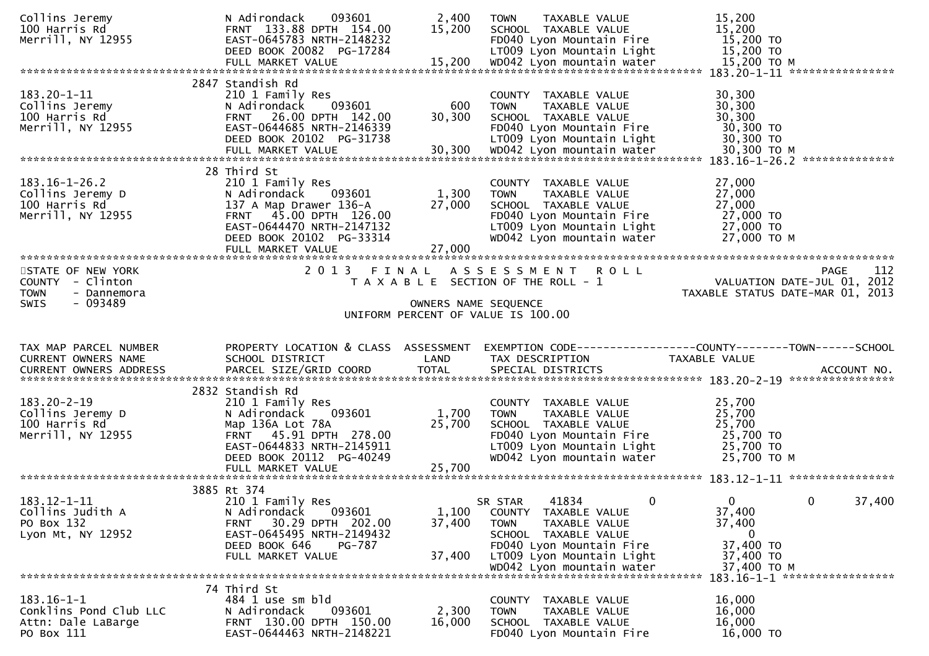| Collins Jeremy<br>100 Harris Rd<br>Merrill, NY 12955                                     | 093601<br>N Adirondack<br>FRNT 133.88 DPTH 154.00<br>EAST-0645783 NRTH-2148232<br>DEED BOOK 20082 PG-17284                                                                                  | 2,400<br>15,200           | TAXABLE VALUE<br><b>TOWN</b><br>SCHOOL TAXABLE VALUE<br>FD040 Lyon Mountain Fire<br>LT009 Lyon Mountain Light                                                                                          | 15,200<br>15,200<br>15,200 TO<br>15,200 TO                                                                                                   |
|------------------------------------------------------------------------------------------|---------------------------------------------------------------------------------------------------------------------------------------------------------------------------------------------|---------------------------|--------------------------------------------------------------------------------------------------------------------------------------------------------------------------------------------------------|----------------------------------------------------------------------------------------------------------------------------------------------|
| $183.20 - 1 - 11$<br>Collins Jeremy<br>100 Harris Rd<br>Merrill, NY 12955                | 2847 Standish Rd<br>210 1 Family Res<br>N Adirondack<br>093601<br>FRNT 26.00 DPTH 142.00<br>EAST-0644685 NRTH-2146339<br>DEED BOOK 20102 PG-31738                                           | 600<br>30,300             | COUNTY TAXABLE VALUE<br><b>TOWN</b><br>TAXABLE VALUE<br>SCHOOL TAXABLE VALUE<br>FD040 Lyon Mountain Fire<br>LT009 Lyon Mountain Light                                                                  | 30,300<br>30,300<br>30,300<br>30,300 TO<br>30,300 TO                                                                                         |
| $183.16 - 1 - 26.2$<br>Collins Jeremy D<br>100 Harris Rd<br>Merrill, NY 12955            | 28 Third St<br>210 1 Family Res<br>N Adirondack<br>093601<br>137 A Map Drawer 136-A<br>FRNT 45.00 DPTH 126.00<br>EAST-0644470 NRTH-2147132<br>DEED BOOK 20102 PG-33314<br>FULL MARKET VALUE | 1,300<br>27,000<br>27,000 | COUNTY TAXABLE VALUE<br>TAXABLE VALUE<br><b>TOWN</b><br>SCHOOL TAXABLE VALUE<br>FD040 Lyon Mountain Fire<br>LT009 Lyon Mountain Light<br>WD042 Lyon mountain water                                     | 27,000<br>27,000<br>27,000<br>27,000 TO<br>27,000 TO<br>27,000 TO M                                                                          |
| STATE OF NEW YORK<br>COUNTY - Clinton<br>TOWN<br>- Dannemora<br>$-093489$<br><b>SWIS</b> | 2013 FINAL                                                                                                                                                                                  | OWNERS NAME SEQUENCE      | ASSESSMENT ROLL<br>T A X A B L E SECTION OF THE ROLL - 1<br>UNIFORM PERCENT OF VALUE IS 100.00                                                                                                         | 112<br><b>PAGE</b><br>VALUATION DATE-JUL $01$ , $2012$<br>TAXABLE STATUS DATE-MAR 01, 2013                                                   |
|                                                                                          |                                                                                                                                                                                             |                           |                                                                                                                                                                                                        |                                                                                                                                              |
| TAX MAP PARCEL NUMBER<br>CURRENT OWNERS NAME<br>CURRENT OWNERS ADDRESS                   | PROPERTY LOCATION & CLASS ASSESSMENT<br>SCHOOL DISTRICT<br>PARCEL SIZE/GRID COORD                                                                                                           | LAND<br><b>TOTAL</b>      | TAX DESCRIPTION<br>SPECIAL DISTRICTS                                                                                                                                                                   | EXEMPTION CODE-----------------COUNTY--------TOWN-----SCHOOL<br>TAXABLE VALUE<br>ACCOUNT NO.                                                 |
| $183.20 - 2 - 19$<br>Collins Jeremy D<br>100 Harris Rd<br>Merrill, NY 12955              | 2832 Standish Rd<br>210 1 Family Res<br>093601<br>N Adirondack<br>Map 136A Lot 78A<br>FRNT 45.91 DPTH 278.00<br>EAST-0644833 NRTH-2145911<br>DEED BOOK 20112 PG-40249                       | 1,700<br>25,700           | COUNTY TAXABLE VALUE<br>TAXABLE VALUE<br><b>TOWN</b><br>SCHOOL TAXABLE VALUE<br>FD040 Lyon Mountain Fire<br>LT009 Lyon Mountain Light<br>WD042 Lyon mountain water                                     | 25,700<br>25,700<br>25,700<br>25,700 TO<br>$25,700$ TO<br>25,700 TO M                                                                        |
| $183.12 - 1 - 11$<br>Collins Judith A<br>PO Box 132<br>Lyon Mt, NY 12952                 | 3885 Rt 374<br>210 1 Family Res<br>093601<br>N Adirondack<br>30.29 DPTH 202.00<br>FRNT<br>EAST-0645495 NRTH-2149432<br>DEED BOOK 646<br>PG-787<br>FULL MARKET VALUE                         | 1,100<br>37,400<br>37,400 | $\mathbf{0}$<br>41834<br>SR STAR<br>COUNTY TAXABLE VALUE<br><b>TOWN</b><br>TAXABLE VALUE<br>SCHOOL TAXABLE VALUE<br>FD040 Lyon Mountain Fire<br>LT009 Lyon Mountain Light<br>WD042 Lyon mountain water | $\Omega$<br>$\mathbf{0}$<br>37,400<br>37,400<br>37,400<br>$\bf{0}$<br>37,400 TO<br>37,400 TO<br>37,400 TO M<br>183.16-1-1 ****************** |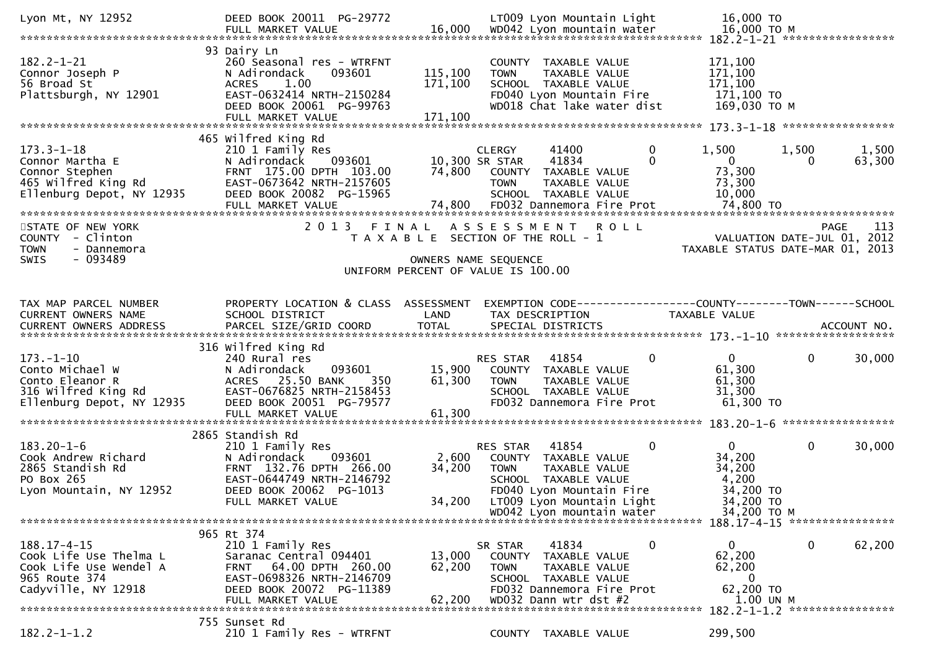| Lyon Mt, NY 12952                                                                                             | DEED BOOK 20011 PG-29772                                                                                                                                                 |                                                                                                     |                                                | LT009 Lyon Mountain Light                                                                                                                                           |             | 16,000 TO                                                                              |                                                        |
|---------------------------------------------------------------------------------------------------------------|--------------------------------------------------------------------------------------------------------------------------------------------------------------------------|-----------------------------------------------------------------------------------------------------|------------------------------------------------|---------------------------------------------------------------------------------------------------------------------------------------------------------------------|-------------|----------------------------------------------------------------------------------------|--------------------------------------------------------|
| $182.2 - 1 - 21$<br>Connor Joseph P<br>56 Broad St<br>Plattsburgh, NY 12901                                   | 93 Dairy Ln<br>260 Seasonal res - WTRFNT<br>N Adirondack<br>093601<br>1.00<br><b>ACRES</b><br>EAST-0632414 NRTH-2150284<br>DEED BOOK 20061 PG-99763<br>FULL MARKET VALUE | 115,100<br>171,100<br>171,100                                                                       | <b>TOWN</b>                                    | COUNTY TAXABLE VALUE<br>TAXABLE VALUE<br>SCHOOL TAXABLE VALUE<br>FD040 Lyon Mountain Fire<br>WD018 Chat lake water dist                                             |             | 171,100<br>171,100<br>171,100<br>171,100 TO<br>169,030 ТО М                            |                                                        |
| $173.3 - 1 - 18$<br>Connor Martha E<br>Connor Stephen<br>465 Wilfred King Rd<br>Ellenburg Depot, NY 12935     | 465 Wilfred King Rd<br>210 1 Family Res<br>093601<br>N Adirondack<br>FRNT 175.00 DPTH 103.00<br>EAST-0673642 NRTH-2157605<br>DEED BOOK 20082 PG-15965                    | 74,800                                                                                              | <b>CLERGY</b><br>10,300 SR STAR<br><b>TOWN</b> | 41400<br>41834<br>COUNTY TAXABLE VALUE<br>TAXABLE VALUE<br>SCHOOL TAXABLE VALUE                                                                                     | 0<br>0      | 1,500<br>$\mathbf 0$<br>73,300<br>73,300<br>10,000                                     | 1,500<br>1,500<br>63,300<br>0                          |
| STATE OF NEW YORK<br>- Clinton<br><b>COUNTY</b><br><b>TOWN</b><br>- Dannemora<br>$-093489$<br>SWIS            | 2013 FINAL                                                                                                                                                               | T A X A B L E SECTION OF THE ROLL - 1<br>OWNERS NAME SEQUENCE<br>UNIFORM PERCENT OF VALUE IS 100.00 | A S S E S S M E N T                            |                                                                                                                                                                     | <b>ROLL</b> | VALUATION DATE-JUL 01, 2012                                                            | 113<br><b>PAGE</b><br>TAXABLE STATUS DATE-MAR 01, 2013 |
| TAX MAP PARCEL NUMBER<br>CURRENT OWNERS NAME                                                                  | PROPERTY LOCATION & CLASS ASSESSMENT<br>SCHOOL DISTRICT                                                                                                                  | LAND                                                                                                |                                                | TAX DESCRIPTION                                                                                                                                                     |             | EXEMPTION CODE------------------COUNTY--------TOWN------SCHOOL<br><b>TAXABLE VALUE</b> |                                                        |
| $173. - 1 - 10$<br>Conto Michael W<br>Conto Eleanor R<br>316 Wilfred King Rd<br>Ellenburg Depot, NY 12935     | 316 Wilfred King Rd<br>240 Rural res<br>093601<br>N Adirondack<br>ACRES 25.50 BANK<br>350<br>EAST-0676825 NRTH-2158453<br>DEED BOOK 20051 PG-79577                       | 15,900<br>61,300                                                                                    | <b>RES STAR</b><br><b>TOWN</b>                 | 41854<br>COUNTY TAXABLE VALUE<br>TAXABLE VALUE<br>SCHOOL TAXABLE VALUE<br>FD032 Dannemora Fire Prot                                                                 | $\Omega$    | $\overline{0}$<br>61,300<br>61,300<br>31,300<br>61,300 TO                              | 0<br>30,000                                            |
| $183.20 - 1 - 6$<br>Cook Andrew Richard<br>2865 Standish Rd<br>PO Box 265<br>Lyon Mountain, NY 12952          | 2865 Standish Rd<br>210 1 Family Res<br>N Adirondack<br>093601<br>FRNT 132.76 DPTH 266.00<br>EAST-0644749 NRTH-2146792<br>DEED BOOK 20062 PG-1013<br>FULL MARKET VALUE   | 2,600<br>34,200                                                                                     | RES STAR<br><b>TOWN</b>                        | 41854<br>COUNTY TAXABLE VALUE<br>TAXABLE VALUE<br>SCHOOL TAXABLE VALUE<br>FD040 Lyon Mountain Fire<br>34,200 LT009 Lyon Mountain Light<br>WD042 Lyon mountain water | $\mathbf 0$ | $\mathbf{0}$<br>34,200<br>34,200<br>4,200<br>34,200 TO<br>34,200 TO<br>34,200 TO M     | 0<br>30,000                                            |
|                                                                                                               | 965 Rt 374                                                                                                                                                               |                                                                                                     |                                                |                                                                                                                                                                     |             |                                                                                        |                                                        |
| $188.17 - 4 - 15$<br>Cook Life Use Thelma L<br>Cook Life Use Wendel A<br>965 Route 374<br>Cadyville, NY 12918 | 210 1 Family Res<br>Saranac Central 094401<br>64.00 DPTH 260.00<br><b>FRNT</b><br>EAST-0698326 NRTH-2146709<br>DEED BOOK 20072 PG-11389<br>FULL MARKET VALUE             | 13,000<br>62,200<br>62,200                                                                          | SR STAR<br><b>TOWN</b>                         | 41834<br>COUNTY TAXABLE VALUE<br>TAXABLE VALUE<br>SCHOOL TAXABLE VALUE<br>FD032 Dannemora Fire Prot<br>WD032 Dann wtr dst #2                                        | 0           | $\mathbf{0}$<br>62,200<br>62,200<br>$\mathbf{0}$<br>62,200 TO<br>1.00 UN M             | 62,200<br>0                                            |
| $182.2 - 1 - 1.2$                                                                                             | 755 Sunset Rd<br>210 1 Family Res - WTRFNT                                                                                                                               |                                                                                                     |                                                | COUNTY TAXABLE VALUE                                                                                                                                                |             | 299,500                                                                                | 182.2-1-1.2 *****************                          |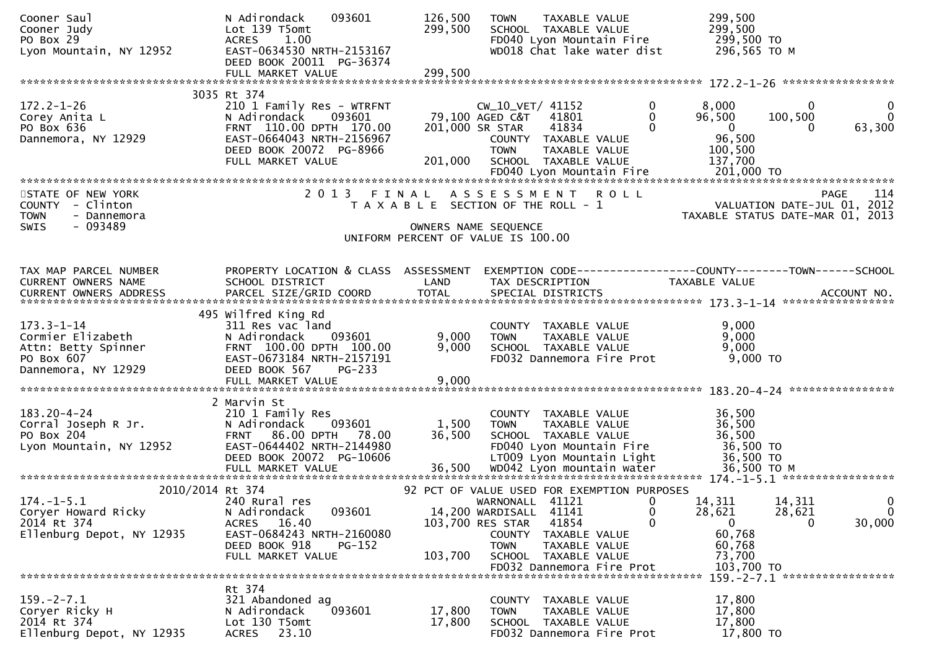| Cooner Saul<br>Cooner Judy<br>PO Box 29<br>Lyon Mountain, NY 12952                                | 093601<br>N Adirondack<br>Lot 139 T5omt<br>1.00<br><b>ACRES</b><br>EAST-0634530 NRTH-2153167<br>DEED BOOK 20011 PG-36374                                    | 126,500<br>299,500   | TAXABLE VALUE<br><b>TOWN</b><br>SCHOOL TAXABLE VALUE<br>FD040 Lyon Mountain Fire<br>WD018 Chat lake water dist                                                                                      | 299,500<br>299,500<br>299,500 TO<br>296,565 TO M                                                                                                |
|---------------------------------------------------------------------------------------------------|-------------------------------------------------------------------------------------------------------------------------------------------------------------|----------------------|-----------------------------------------------------------------------------------------------------------------------------------------------------------------------------------------------------|-------------------------------------------------------------------------------------------------------------------------------------------------|
|                                                                                                   |                                                                                                                                                             |                      |                                                                                                                                                                                                     |                                                                                                                                                 |
|                                                                                                   | 3035 Rt 374                                                                                                                                                 |                      |                                                                                                                                                                                                     |                                                                                                                                                 |
| $172.2 - 1 - 26$<br>Corey Anita L<br>PO Box 636<br>Dannemora, NY 12929                            | 210 1 Family Res - WTRFNT<br>093601<br>N Adirondack<br>FRNT 110.00 DPTH 170.00<br>EAST-0664043 NRTH-2156967<br>DEED BOOK 20072 PG-8966<br>FULL MARKET VALUE | 201,000              | $\mathbf 0$<br>CW_10_VET/ 41152<br>79,100 AGED C&T<br>41801<br>$\mathbf{0}$<br>$\Omega$<br>41834<br>201,000 SR STAR<br>COUNTY TAXABLE VALUE<br><b>TOWN</b><br>TAXABLE VALUE<br>SCHOOL TAXABLE VALUE | 8,000<br>$\bf{0}$<br>$\mathbf{0}$<br>$\mathbf 0$<br>96,500<br>100,500<br>63,300<br>$\overline{\mathbf{0}}$<br>0<br>96,500<br>100,500<br>137,700 |
|                                                                                                   |                                                                                                                                                             |                      |                                                                                                                                                                                                     |                                                                                                                                                 |
| STATE OF NEW YORK<br>COUNTY - Clinton<br><b>TOWN</b><br>- Dannemora<br>$-093489$<br><b>SWIS</b>   | 2 0 1 3<br>FINAL                                                                                                                                            |                      | A S S E S S M E N T<br><b>ROLL</b><br>T A X A B L E SECTION OF THE ROLL - 1<br>OWNERS NAME SEQUENCE                                                                                                 | 114<br><b>PAGE</b><br>VALUATION DATE-JUL 01, 2012<br>TAXABLE STATUS DATE-MAR 01, 2013                                                           |
|                                                                                                   |                                                                                                                                                             |                      | UNIFORM PERCENT OF VALUE IS 100.00                                                                                                                                                                  |                                                                                                                                                 |
| TAX MAP PARCEL NUMBER<br>CURRENT OWNERS NAME<br><b>CURRENT OWNERS ADDRESS</b>                     | PROPERTY LOCATION & CLASS ASSESSMENT<br>SCHOOL DISTRICT<br>PARCEL SIZE/GRID COORD                                                                           | LAND<br><b>TOTAL</b> | TAX DESCRIPTION<br>SPECIAL DISTRICTS                                                                                                                                                                | EXEMPTION CODE------------------COUNTY--------TOWN------SCHOOL<br>TAXABLE VALUE<br>ACCOUNT NO.                                                  |
|                                                                                                   | 495 Wilfred King Rd                                                                                                                                         |                      |                                                                                                                                                                                                     |                                                                                                                                                 |
| $173.3 - 1 - 14$<br>Cormier Elizabeth<br>Attn: Betty Spinner<br>PO Box 607<br>Dannemora, NY 12929 | 311 Res vac land<br>N Adirondack<br>093601<br>FRNT 100.00 DPTH 100.00<br>EAST-0673184 NRTH-2157191<br>DEED BOOK 567<br>$PG-233$                             | 9,000<br>9,000       | COUNTY TAXABLE VALUE<br><b>TOWN</b><br>TAXABLE VALUE<br>SCHOOL TAXABLE VALUE<br>FD032 Dannemora Fire Prot                                                                                           | 9,000<br>9,000<br>9,000<br>9,000 TO                                                                                                             |
|                                                                                                   |                                                                                                                                                             |                      |                                                                                                                                                                                                     |                                                                                                                                                 |
| $183.20 - 4 - 24$<br>Corral Joseph R Jr.<br>PO Box 204<br>Lyon Mountain, NY 12952                 | 2 Marvin St<br>210 1 Family Res<br>N Adirondack<br>093601<br>FRNT 86.00 DPTH 78.00<br>EAST-0644402 NRTH-2144980<br>DEED BOOK 20072 PG-10606                 | 1,500<br>36,500      | COUNTY TAXABLE VALUE<br><b>TOWN</b><br>TAXABLE VALUE<br>SCHOOL TAXABLE VALUE<br>FD040 Lyon Mountain Fire<br>LT009 Lyon Mountain Light                                                               | 36,500<br>36,500<br>36,500<br>36,500 TO<br>36,500 TO                                                                                            |
| 2010/2014 Rt 374                                                                                  |                                                                                                                                                             |                      | 92 PCT OF VALUE USED FOR EXEMPTION PURPOSES                                                                                                                                                         |                                                                                                                                                 |
| $174. - 1 - 5.1$<br>Coryer Howard Ricky<br>2014 Rt 374<br>Ellenburg Depot, NY 12935               | 240 Rural res<br>093601<br>N Adirondack<br>ACRES 16.40<br>EAST-0684243 NRTH-2160080<br>DEED BOOK 918<br><b>PG-152</b><br>FULL MARKET VALUE                  | 103,700              | WARNONALL 41121<br>0<br>14,200 WARDISALL 41141<br>$\mathbf 0$<br>$\Omega$<br>103,700 RES STAR<br>41854<br>COUNTY<br>TAXABLE VALUE<br>TAXABLE VALUE<br><b>TOWN</b><br>SCHOOL TAXABLE VALUE           | 14,311<br>$\mathbf 0$<br>14,311<br>28,621<br>28,621<br>$\mathbf{0}$<br>30,000<br>$\overline{0}$<br>$\Omega$<br>60,768<br>60,768<br>73,700       |
|                                                                                                   |                                                                                                                                                             |                      | FD032 Dannemora Fire Prot                                                                                                                                                                           | 103,700 TO<br>159. - 2 - 7.1 ******************                                                                                                 |
| $159. - 2 - 7.1$<br>Coryer Ricky H<br>2014 Rt 374<br>Ellenburg Depot, NY 12935                    | Rt 374<br>321 Abandoned ag<br>093601<br>N Adirondack<br>Lot 130 T5omt<br>23.10<br><b>ACRES</b>                                                              | 17,800<br>17,800     | COUNTY<br>TAXABLE VALUE<br><b>TAXABLE VALUE</b><br><b>TOWN</b><br>SCHOOL TAXABLE VALUE<br>FD032 Dannemora Fire Prot                                                                                 | 17,800<br>17,800<br>17,800<br>17,800 TO                                                                                                         |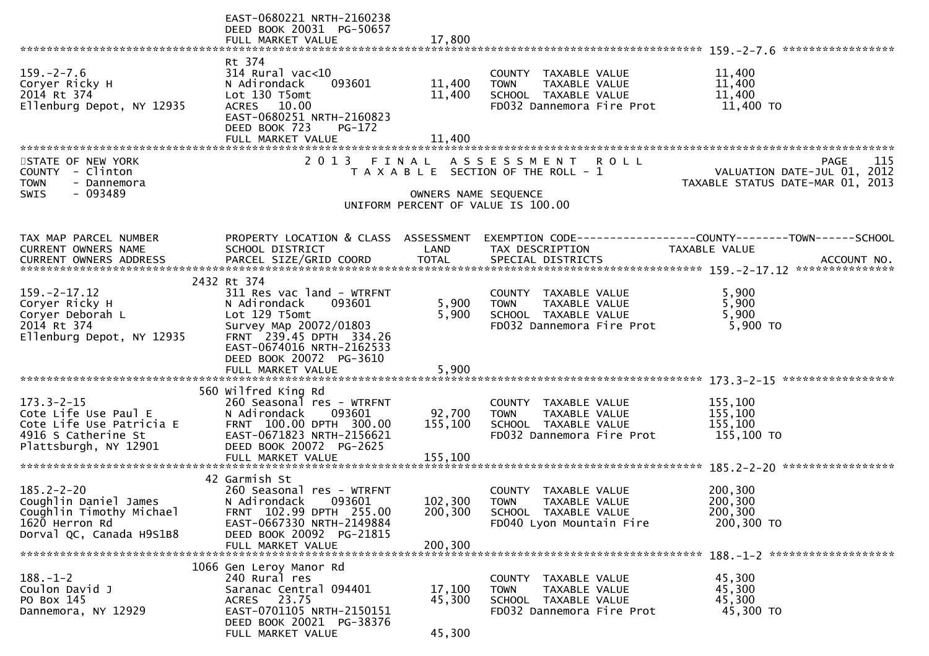|                                              | EAST-0680221 NRTH-2160238<br>DEED BOOK 20031 PG-50657   |                      |                                                      |                                                                                |
|----------------------------------------------|---------------------------------------------------------|----------------------|------------------------------------------------------|--------------------------------------------------------------------------------|
|                                              | FULL MARKET VALUE                                       | 17,800               |                                                      |                                                                                |
|                                              | Rt 374                                                  |                      |                                                      |                                                                                |
| $159. - 2 - 7.6$                             | $314$ Rural vac<10                                      |                      | COUNTY TAXABLE VALUE                                 | 11,400                                                                         |
| Coryer Ricky H                               | N Adirondack<br>093601                                  | 11,400               | <b>TOWN</b><br>TAXABLE VALUE                         | 11,400                                                                         |
| 2014 Rt 374                                  | Lot 130 T5omt                                           | 11,400               | SCHOOL TAXABLE VALUE<br>FD032 Dannemora Fire Prot    | 11,400                                                                         |
| Ellenburg Depot, NY 12935                    | ACRES 10.00<br>EAST-0680251 NRTH-2160823                |                      |                                                      | 11,400 TO                                                                      |
|                                              | DEED BOOK 723<br>$PG-172$                               |                      |                                                      |                                                                                |
|                                              | FULL MARKET VALUE                                       | 11,400               |                                                      |                                                                                |
| STATE OF NEW YORK                            | 2 0 1 3                                                 | FINAL                | A S S E S S M E N T<br><b>ROLL</b>                   | 115<br><b>PAGE</b>                                                             |
| COUNTY - Clinton                             |                                                         |                      | T A X A B L E SECTION OF THE ROLL - 1                | VALUATION DATE-JUL 01, 2012                                                    |
| - Dannemora<br><b>TOWN</b>                   |                                                         |                      |                                                      | TAXABLE STATUS DATE-MAR 01, 2013                                               |
| $-093489$<br><b>SWIS</b>                     |                                                         | OWNERS NAME SEQUENCE | UNIFORM PERCENT OF VALUE IS 100.00                   |                                                                                |
|                                              |                                                         |                      |                                                      |                                                                                |
|                                              |                                                         |                      |                                                      |                                                                                |
| TAX MAP PARCEL NUMBER<br>CURRENT OWNERS NAME | PROPERTY LOCATION & CLASS ASSESSMENT<br>SCHOOL DISTRICT | LAND                 | TAX DESCRIPTION                                      | EXEMPTION CODE-----------------COUNTY--------TOWN------SCHOOL<br>TAXABLE VALUE |
|                                              |                                                         |                      |                                                      |                                                                                |
|                                              |                                                         |                      |                                                      |                                                                                |
| $159. -2 - 17.12$                            | 2432 Rt 374<br>311 Res vac land - WTRFNT                |                      | COUNTY TAXABLE VALUE                                 | 5,900                                                                          |
| Coryer Ricky H                               | 093601<br>N Adirondack                                  | 5,900                | TAXABLE VALUE<br><b>TOWN</b>                         | 5,900                                                                          |
| Corver Deborah L                             | Lot 129 T5omt                                           | 5,900                | SCHOOL TAXABLE VALUE                                 | 5,900                                                                          |
| 2014 Rt 374                                  | Survey MAp 20072/01803                                  |                      | FD032 Dannemora Fire Prot                            | 5,900 TO                                                                       |
| Ellenburg Depot, NY 12935                    | FRNT 239.45 DPTH 334.26<br>EAST-0674016 NRTH-2162533    |                      |                                                      |                                                                                |
|                                              | DEED BOOK 20072 PG-3610                                 |                      |                                                      |                                                                                |
|                                              | FULL MARKET VALUE                                       | 5,900                |                                                      |                                                                                |
|                                              | 560 Wilfred King Rd                                     |                      |                                                      |                                                                                |
| $173.3 - 2 - 15$                             | 260 Seasonal res - WTRFNT                               |                      | COUNTY TAXABLE VALUE                                 | 155,100                                                                        |
| Cote Life Use Paul E                         | 093601<br>N Adirondack                                  | 92,700               | TAXABLE VALUE<br><b>TOWN</b>                         | 155,100                                                                        |
| Cote Life Use Patricia E                     | FRNT 100.00 DPTH 300.00                                 | 155,100              | SCHOOL TAXABLE VALUE                                 | 155,100                                                                        |
| 4916 S Catherine St<br>Plattsburgh, NY 12901 | EAST-0671823 NRTH-2156621<br>DEED BOOK 20072 PG-2625    |                      | FD032 Dannemora Fire Prot                            | 155,100 TO                                                                     |
|                                              |                                                         |                      |                                                      |                                                                                |
|                                              |                                                         |                      |                                                      |                                                                                |
| $185.2 - 2 - 20$                             | 42 Garmish St<br>260 Seasonal res - WTRFNT              |                      | <b>COUNTY</b><br>TAXABLE VALUE                       | 200,300                                                                        |
| Coughlin Daniel James                        | N Adirondack<br>093601                                  | 102,300              | <b>TOWN</b><br><b>TAXABLE VALUE</b>                  | 200,300                                                                        |
| Coughlin Timothy Michael                     | FRNT 102.99 DPTH 255.00                                 | 200,300              | SCHOOL TAXABLE VALUE                                 | 200,300                                                                        |
| 1620 Herron Rd<br>Dorval QC, Canada H9S1B8   | EAST-0667330 NRTH-2149884                               |                      | FD040 Lyon Mountain Fire                             | 200,300 TO                                                                     |
|                                              | DEED BOOK 20092 PG-21815<br>FULL MARKET VALUE           | 200,300              |                                                      |                                                                                |
|                                              |                                                         |                      |                                                      |                                                                                |
|                                              | 1066 Gen Leroy Manor Rd                                 |                      |                                                      |                                                                                |
| $188. - 1 - 2$<br>Coulon David J             | 240 Rural res<br>Saranac Central 094401                 | 17,100               | COUNTY TAXABLE VALUE<br>TAXABLE VALUE<br><b>TOWN</b> | 45,300<br>45,300                                                               |
| PO Box 145                                   | ACRES 23.75                                             | 45,300               | SCHOOL TAXABLE VALUE                                 | 45,300                                                                         |
| Dannemora, NY 12929                          | EAST-0701105 NRTH-2150151                               |                      | FD032 Dannemora Fire Prot                            | 45,300 TO                                                                      |
|                                              | DEED BOOK 20021 PG-38376                                |                      |                                                      |                                                                                |
|                                              | FULL MARKET VALUE                                       | 45,300               |                                                      |                                                                                |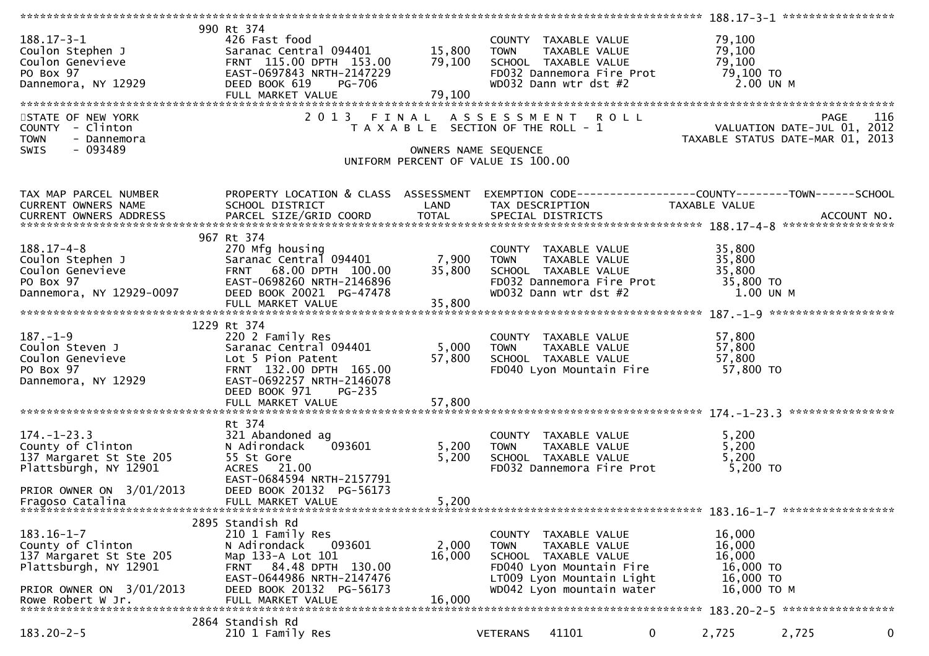| $188.17 - 3 - 1$<br>Coulon Stephen J<br>Coulon Genevieve<br>PO Box 97<br>Dannemora, NY 12929<br>STATE OF NEW YORK<br>COUNTY - Clinton<br>- Dannemora<br><b>TOWN</b><br>$-093489$<br><b>SWIS</b> | 990 Rt 374<br>426 Fast food<br>Saranac Central 094401<br>FRNT 115.00 DPTH 153.00<br>EAST-0697843 NRTH-2147229<br>DEED BOOK 619<br>PG-706<br>FULL MARKET VALUE                               | 15,800<br>79,100<br>79,100<br>OWNERS NAME SEQUENCE | COUNTY TAXABLE VALUE<br><b>TOWN</b><br>TAXABLE VALUE<br>SCHOOL TAXABLE VALUE<br>FD032 Dannemora Fire Prot<br>WD032 Dann wtr dst #2<br>2013 FINAL ASSESSMENT ROLL<br>T A X A B L E SECTION OF THE ROLL - 1 | 79,100<br>79,100<br>79,100<br>79,100 TO<br>2.00 UN M<br>VALUATION DATE-JUL 01, 2012<br>TAXABLE STATUS DATE-MAR 01, 2013 | <b>PAGE</b><br>116 |             |
|-------------------------------------------------------------------------------------------------------------------------------------------------------------------------------------------------|---------------------------------------------------------------------------------------------------------------------------------------------------------------------------------------------|----------------------------------------------------|-----------------------------------------------------------------------------------------------------------------------------------------------------------------------------------------------------------|-------------------------------------------------------------------------------------------------------------------------|--------------------|-------------|
|                                                                                                                                                                                                 |                                                                                                                                                                                             |                                                    | UNIFORM PERCENT OF VALUE IS 100.00                                                                                                                                                                        |                                                                                                                         |                    |             |
|                                                                                                                                                                                                 |                                                                                                                                                                                             |                                                    |                                                                                                                                                                                                           |                                                                                                                         |                    |             |
| TAX MAP PARCEL NUMBER<br>CURRENT OWNERS NAME                                                                                                                                                    | PROPERTY LOCATION & CLASS ASSESSMENT<br>SCHOOL DISTRICT                                                                                                                                     | LAND                                               | EXEMPTION CODE-----------------COUNTY--------TOWN------SCHOOL<br>TAX DESCRIPTION                                                                                                                          | TAXABLE VALUE                                                                                                           |                    |             |
| $188.17 - 4 - 8$<br>Coulon Stephen J<br>Coulon Genevieve<br>PO Box 97<br>Dannemora, NY 12929-0097                                                                                               | 967 Rt 374<br>270 Mfg housing<br>Saranac Central 094401<br>FRNT 68.00 DPTH 100.00<br>EAST-0698260 NRTH-2146896<br>DEED BOOK 20021 PG-47478<br>FULL MARKET VALUE                             | 7,900<br>35,800<br>35,800                          | COUNTY TAXABLE VALUE<br><b>TOWN</b><br>TAXABLE VALUE<br>SCHOOL TAXABLE VALUE<br>FD032 Dannemora Fire Prot<br>WD032 Dann wtr dst #2                                                                        | 35,800<br>35,800<br>35,800<br>35,800 TO<br>1.00 UN M                                                                    |                    |             |
|                                                                                                                                                                                                 | 1229 Rt 374                                                                                                                                                                                 |                                                    |                                                                                                                                                                                                           |                                                                                                                         |                    |             |
| $187. - 1 - 9$<br>Coulon Steven J<br>Coulon Genevieve<br>PO Box 97<br>Dannemora, NY 12929                                                                                                       | 220 2 Family Res<br>Saranac Central 094401<br>Lot 5 Pion Patent<br>FRNT 132.00 DPTH 165.00<br>EAST-0692257 NRTH-2146078<br>DEED BOOK 971<br><b>PG-235</b>                                   | 5,000<br>57,800                                    | COUNTY TAXABLE VALUE<br>TAXABLE VALUE<br><b>TOWN</b><br>SCHOOL TAXABLE VALUE<br>FD040 Lyon Mountain Fire                                                                                                  | 57,800<br>57,800<br>57,800<br>57,800 TO                                                                                 |                    |             |
|                                                                                                                                                                                                 |                                                                                                                                                                                             |                                                    |                                                                                                                                                                                                           |                                                                                                                         |                    |             |
|                                                                                                                                                                                                 |                                                                                                                                                                                             |                                                    |                                                                                                                                                                                                           |                                                                                                                         |                    |             |
| $174. - 1 - 23.3$<br>County of Clinton<br>137 Margaret St Ste 205<br>Plattsburgh, NY 12901<br>PRIOR OWNER ON 3/01/2013                                                                          | Rt 374<br>321 Abandoned ag<br>093601<br>N Adirondack<br>55 St Gore<br>ACRES 21.00<br>EAST-0684594 NRTH-2157791<br>DEED BOOK 20132 PG-56173                                                  | 5,200<br>5,200                                     | COUNTY TAXABLE VALUE<br>TAXABLE VALUE<br><b>TOWN</b><br>SCHOOL TAXABLE VALUE<br>FD032 Dannemora Fire Prot                                                                                                 | 5,200<br>5,200<br>5,200<br>5,200 TO                                                                                     |                    |             |
| Fragoso Catalina                                                                                                                                                                                | FULL MARKET VALUE                                                                                                                                                                           | 5,200                                              |                                                                                                                                                                                                           |                                                                                                                         |                    |             |
|                                                                                                                                                                                                 |                                                                                                                                                                                             |                                                    |                                                                                                                                                                                                           |                                                                                                                         |                    |             |
| $183.16 - 1 - 7$<br>County of Clinton<br>137 Margaret St Ste 205<br>Plattsburgh, NY 12901<br>PRIOR OWNER ON 3/01/2013<br>Rowe Robert W Jr.                                                      | 2895 Standish Rd<br>210 1 Family Res<br>N Adirondack<br>093601<br>Map 133-A Lot 101<br>FRNT 84.48 DPTH 130.00<br>EAST-0644986 NRTH-2147476<br>DEED BOOK 20132 PG-56173<br>FULL MARKET VALUE | 2,000<br>16,000<br>16,000                          | COUNTY TAXABLE VALUE<br>TAXABLE VALUE<br><b>TOWN</b><br>SCHOOL TAXABLE VALUE<br>FD040 Lyon Mountain Fire<br>LT009 Lyon Mountain Light<br>WD042 Lyon mountain water                                        | 16,000<br>16,000<br>16,000<br>16,000 TO<br>16,000 TO<br>16,000 ТО М                                                     |                    |             |
|                                                                                                                                                                                                 | 2864 Standish Rd                                                                                                                                                                            |                                                    |                                                                                                                                                                                                           |                                                                                                                         |                    |             |
| $183.20 - 2 - 5$                                                                                                                                                                                | 210 1 Family Res                                                                                                                                                                            |                                                    | 41101<br><b>VETERANS</b>                                                                                                                                                                                  | $\overline{0}$<br>2,725                                                                                                 | 2,725              | $\mathbf 0$ |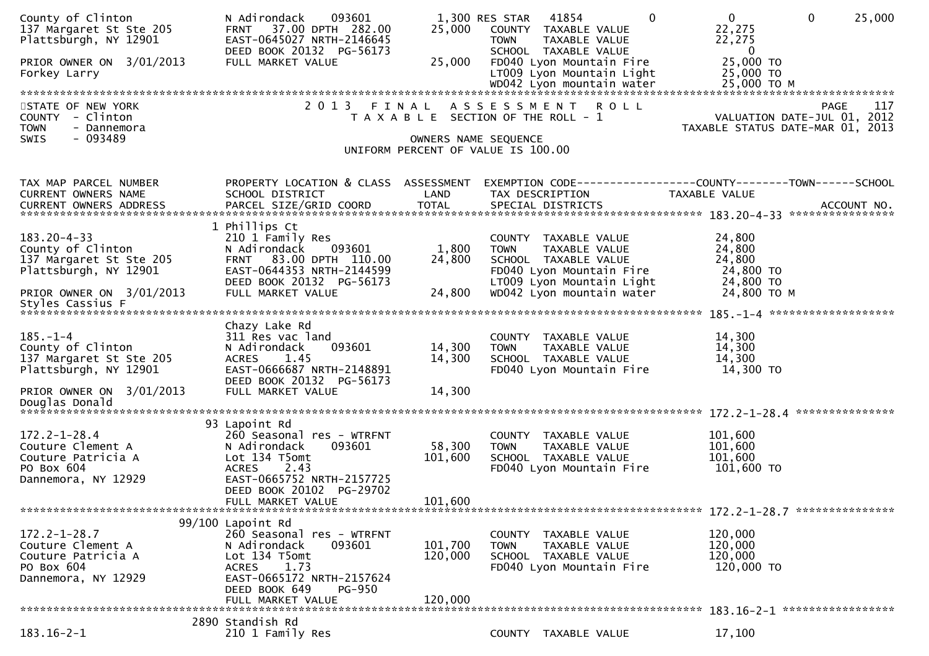| County of Clinton<br>137 Margaret St Ste 205<br>Plattsburgh, NY 12901<br>PRIOR OWNER ON 3/01/2013<br>Forkey Larry | N Adirondack<br>093601<br>37.00 DPTH 282.00<br><b>FRNT</b><br>EAST-0645027 NRTH-2146645<br>DEED BOOK 20132 PG-56173<br>FULL MARKET VALUE | 25,000<br>25,000     | $\Omega$<br>1,300 RES STAR<br>41854<br>COUNTY TAXABLE VALUE<br>TAXABLE VALUE<br><b>TOWN</b><br>SCHOOL TAXABLE VALUE<br>FD040 Lyon Mountain Fire<br>LT009 Lyon Mountain Light | $\mathbf 0$<br>$\mathbf{0}$<br>25,000<br>22,275<br>22,275<br>$\bf{0}$<br>25,000 TO<br>25,000 TO |
|-------------------------------------------------------------------------------------------------------------------|------------------------------------------------------------------------------------------------------------------------------------------|----------------------|------------------------------------------------------------------------------------------------------------------------------------------------------------------------------|-------------------------------------------------------------------------------------------------|
| STATE OF NEW YORK                                                                                                 | 2 0 1 3                                                                                                                                  | FINAL                | ASSESSMENT ROLL                                                                                                                                                              | <b>PAGE</b><br>117                                                                              |
| COUNTY - Clinton                                                                                                  |                                                                                                                                          |                      | T A X A B L E SECTION OF THE ROLL - 1                                                                                                                                        | VALUATION DATE-JUL 01, 2012                                                                     |
| <b>TOWN</b><br>- Dannemora                                                                                        |                                                                                                                                          |                      |                                                                                                                                                                              | TAXABLE STATUS DATE-MAR 01, 2013                                                                |
| $-093489$<br><b>SWIS</b>                                                                                          |                                                                                                                                          | OWNERS NAME SEQUENCE |                                                                                                                                                                              |                                                                                                 |
|                                                                                                                   |                                                                                                                                          |                      | UNIFORM PERCENT OF VALUE IS 100.00                                                                                                                                           |                                                                                                 |
|                                                                                                                   |                                                                                                                                          |                      |                                                                                                                                                                              |                                                                                                 |
| TAX MAP PARCEL NUMBER                                                                                             | PROPERTY LOCATION & CLASS ASSESSMENT                                                                                                     |                      |                                                                                                                                                                              | EXEMPTION CODE-----------------COUNTY-------TOWN------SCHOOL                                    |
| CURRENT OWNERS NAME                                                                                               | SCHOOL DISTRICT                                                                                                                          | LAND                 | TAX DESCRIPTION                                                                                                                                                              | TAXABLE VALUE                                                                                   |
| CURRENT OWNERS ADDRESS                                                                                            |                                                                                                                                          |                      |                                                                                                                                                                              |                                                                                                 |
|                                                                                                                   | 1 Phillips Ct                                                                                                                            |                      |                                                                                                                                                                              |                                                                                                 |
| $183.20 - 4 - 33$                                                                                                 | 210 1 Family Res                                                                                                                         |                      | COUNTY TAXABLE VALUE                                                                                                                                                         | 24,800                                                                                          |
| County of Clinton                                                                                                 | 093601<br>N Adirondack                                                                                                                   | 1,800                | <b>TOWN</b><br>TAXABLE VALUE                                                                                                                                                 | 24,800                                                                                          |
| 137 Margaret St Ste 205                                                                                           | FRNT 83.00 DPTH 110.00                                                                                                                   | 24,800               | SCHOOL TAXABLE VALUE                                                                                                                                                         | 24,800                                                                                          |
| Plattsburgh, NY 12901                                                                                             | EAST-0644353 NRTH-2144599                                                                                                                |                      | FD040 Lyon Mountain Fire                                                                                                                                                     | 24,800 TO                                                                                       |
|                                                                                                                   | DEED BOOK 20132 PG-56173                                                                                                                 |                      | LT009 Lyon Mountain Light                                                                                                                                                    | 24,800 TO                                                                                       |
| PRIOR OWNER ON 3/01/2013                                                                                          | FULL MARKET VALUE                                                                                                                        | 24,800               | WD042 Lyon mountain water                                                                                                                                                    | 24,800 TO M                                                                                     |
| Styles Cassius F                                                                                                  |                                                                                                                                          |                      |                                                                                                                                                                              |                                                                                                 |
|                                                                                                                   | Chazy Lake Rd                                                                                                                            |                      |                                                                                                                                                                              |                                                                                                 |
| $185. - 1 - 4$                                                                                                    | 311 Res vac land                                                                                                                         |                      | COUNTY TAXABLE VALUE                                                                                                                                                         | 14,300                                                                                          |
| County of Clinton                                                                                                 | 093601<br>N Adirondack                                                                                                                   | 14,300               | TAXABLE VALUE<br><b>TOWN</b>                                                                                                                                                 | 14,300                                                                                          |
| 137 Margaret St Ste 205                                                                                           | 1.45<br><b>ACRES</b>                                                                                                                     | 14,300               | SCHOOL TAXABLE VALUE                                                                                                                                                         | 14,300                                                                                          |
| Plattsburgh, NY 12901                                                                                             | EAST-0666687 NRTH-2148891                                                                                                                |                      | FD040 Lyon Mountain Fire                                                                                                                                                     | 14,300 TO                                                                                       |
| PRIOR OWNER ON 3/01/2013                                                                                          | DEED BOOK 20132 PG-56173<br>FULL MARKET VALUE                                                                                            | 14,300               |                                                                                                                                                                              |                                                                                                 |
|                                                                                                                   |                                                                                                                                          |                      |                                                                                                                                                                              |                                                                                                 |
|                                                                                                                   |                                                                                                                                          |                      |                                                                                                                                                                              |                                                                                                 |
|                                                                                                                   | 93 Lapoint Rd                                                                                                                            |                      |                                                                                                                                                                              |                                                                                                 |
| $172.2 - 1 - 28.4$                                                                                                | 260 Seasonal res - WTRFNT                                                                                                                |                      | COUNTY TAXABLE VALUE                                                                                                                                                         | 101,600                                                                                         |
| Couture Clement A                                                                                                 | 093601<br>N Adirondack                                                                                                                   | 58,300               | <b>TOWN</b><br>TAXABLE VALUE                                                                                                                                                 | 101,600                                                                                         |
| Couture Patricia A<br>PO Box 604                                                                                  | Lot 134 T5omt<br><b>ACRES</b><br>2.43                                                                                                    | 101,600              | SCHOOL TAXABLE VALUE<br>FD040 Lyon Mountain Fire                                                                                                                             | 101,600<br>101,600 TO                                                                           |
| Dannemora, NY 12929                                                                                               | EAST-0665752 NRTH-2157725                                                                                                                |                      |                                                                                                                                                                              |                                                                                                 |
|                                                                                                                   | DEED BOOK 20102 PG-29702                                                                                                                 |                      |                                                                                                                                                                              |                                                                                                 |
|                                                                                                                   | FULL MARKET VALUE                                                                                                                        | 101,600              |                                                                                                                                                                              |                                                                                                 |
|                                                                                                                   |                                                                                                                                          |                      |                                                                                                                                                                              |                                                                                                 |
| $172.2 - 1 - 28.7$                                                                                                | 99/100 Lapoint Rd<br>260 Seasonal res - WTRFNT                                                                                           |                      |                                                                                                                                                                              |                                                                                                 |
| Couture Clement A                                                                                                 | N Adirondack<br>093601                                                                                                                   | 101,700              | COUNTY TAXABLE VALUE<br><b>TOWN</b><br>TAXABLE VALUE                                                                                                                         | 120,000<br>120,000                                                                              |
| Couture Patricia A                                                                                                | Lot 134 T5omt                                                                                                                            | 120,000              | SCHOOL TAXABLE VALUE                                                                                                                                                         | 120,000                                                                                         |
| PO Box 604                                                                                                        | 1.73<br><b>ACRES</b>                                                                                                                     |                      | FD040 Lyon Mountain Fire                                                                                                                                                     | 120,000 TO                                                                                      |
| Dannemora, NY 12929                                                                                               | EAST-0665172 NRTH-2157624                                                                                                                |                      |                                                                                                                                                                              |                                                                                                 |
|                                                                                                                   | DEED BOOK 649<br><b>PG-950</b>                                                                                                           |                      |                                                                                                                                                                              |                                                                                                 |
|                                                                                                                   | FULL MARKET VALUE                                                                                                                        | 120,000              |                                                                                                                                                                              |                                                                                                 |
|                                                                                                                   | 2890 Standish Rd                                                                                                                         |                      |                                                                                                                                                                              |                                                                                                 |
| $183.16 - 2 - 1$                                                                                                  | 210 1 Family Res                                                                                                                         |                      | COUNTY TAXABLE VALUE                                                                                                                                                         | 17,100                                                                                          |
|                                                                                                                   |                                                                                                                                          |                      |                                                                                                                                                                              |                                                                                                 |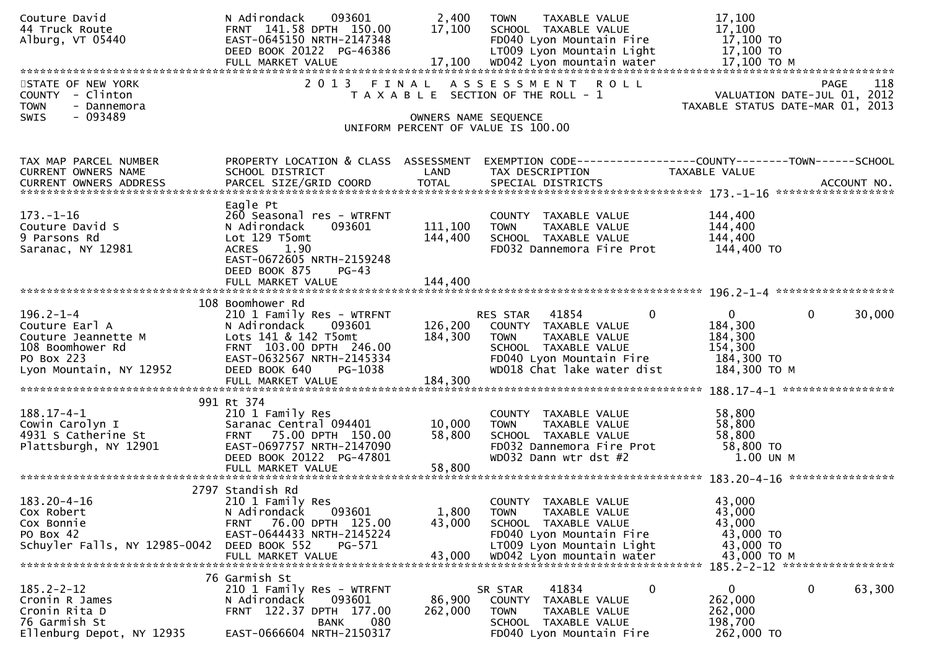| Couture David<br>44 Truck Route<br>Alburg, VT 05440                                                                   | 093601<br>N Adirondack<br>FRNT 141.58 DPTH 150.00<br>EAST-0645150 NRTH-2147348<br>DEED BOOK 20122 PG-46386                                                                      | 2,400<br>17,100            | TAXABLE VALUE<br><b>TOWN</b><br>SCHOOL TAXABLE VALUE<br>FD040 Lyon Mountain Fire<br>LT009 Lyon Mountain Light                                                            | 17,100<br>17,100<br>17,100 TO<br>17,100 TO                                                                                                                                                                                     |
|-----------------------------------------------------------------------------------------------------------------------|---------------------------------------------------------------------------------------------------------------------------------------------------------------------------------|----------------------------|--------------------------------------------------------------------------------------------------------------------------------------------------------------------------|--------------------------------------------------------------------------------------------------------------------------------------------------------------------------------------------------------------------------------|
| STATE OF NEW YORK<br>COUNTY - Clinton<br><b>TOWN</b><br>- Dannemora<br>- 093489<br><b>SWIS</b>                        | 2013 FINAL                                                                                                                                                                      |                            | A S S E S S M E N T R O L L<br>T A X A B L E SECTION OF THE ROLL - 1<br>OWNERS NAME SEQUENCE<br>UNIFORM PERCENT OF VALUE IS 100.00                                       | <b>PAGE</b><br>118<br>VALUATION DATE-JUL 01, 2012<br>TAXABLE STATUS DATE-MAR 01, 2013                                                                                                                                          |
|                                                                                                                       |                                                                                                                                                                                 |                            |                                                                                                                                                                          |                                                                                                                                                                                                                                |
| TAX MAP PARCEL NUMBER<br>CURRENT OWNERS NAME                                                                          | PROPERTY LOCATION & CLASS ASSESSMENT<br>SCHOOL DISTRICT                                                                                                                         | LAND                       | TAX DESCRIPTION                                                                                                                                                          | EXEMPTION CODE-----------------COUNTY-------TOWN------SCHOOL<br>TAXABLE VALUE                                                                                                                                                  |
| 173. – 1–16<br>Couture David S<br>9 Parsons Rd<br>Saranac, NY 12981                                                   | Eagle Pt<br>260 Seasonal res - WTRFNT<br>093601<br>N Adirondack<br>Lot 129 T5omt<br>1.90<br><b>ACRES</b><br>EAST-0672605 NRTH-2159248<br>DEED BOOK 875<br>$PG-43$               | 111,100<br>144,400         | COUNTY TAXABLE VALUE<br>TAXABLE VALUE<br><b>TOWN</b><br>SCHOOL TAXABLE VALUE<br>FD032 Dannemora Fire Prot                                                                | 144,400<br>144,400<br>144,400<br>144,400 TO                                                                                                                                                                                    |
|                                                                                                                       |                                                                                                                                                                                 |                            |                                                                                                                                                                          | FULL MARKET VALUE 144,400 و FULL MARKET VALUE 144,400 بالا بالا بالا بالاستفادة بالاستفادة بالاستفادة بالاستفادة بالاستفادة بالاستفادة بالاستفادة بالاستفادة بالاستفادة بالاستفادة بالاستفادة بالاستفادة بالاستفادة بالاستفادة |
|                                                                                                                       | 108 Boomhower Rd                                                                                                                                                                |                            |                                                                                                                                                                          |                                                                                                                                                                                                                                |
| $196.2 - 1 - 4$<br>Couture Earl A<br>Couture Jeannette M<br>108 Boomhower Rd<br>PO Box 223<br>Lyon Mountain, NY 12952 | 210 1 Family Res - WTRFNT<br>093601<br>N Adirondack<br>Lots 141 & 142 T5omt<br>FRNT 103.00 DPTH 246.00<br>EAST-0632567 NRTH-2145334<br>DEED BOOK 640<br>PG-1038                 | 126,200<br>184,300         | $\mathbf{0}$<br>RES STAR 41854<br>COUNTY TAXABLE VALUE<br>TAXABLE VALUE<br><b>TOWN</b><br>SCHOOL TAXABLE VALUE<br>FD040 Lyon Mountain Fire<br>WD018 Chat lake water dist | $\mathbf{0}$<br>$\mathbf{0}$<br>30,000<br>184,300<br>184,300<br>154,300<br>184,300 TO<br>184,300 ТО М                                                                                                                          |
|                                                                                                                       |                                                                                                                                                                                 |                            |                                                                                                                                                                          |                                                                                                                                                                                                                                |
| $188.17 - 4 - 1$<br>Cowin Carolyn I<br>4931 S Catherine St<br>Plattsburgh, NY 12901                                   | 991 Rt 374<br>210 1 Family Res<br>Saranac Central 094401<br>FRNT 75.00 DPTH 150.00<br>EAST-0697757 NRTH-2147090<br>DEED BOOK 20122 PG-47801<br>FULL MARKET VALUE                | 10,000<br>58,800<br>58,800 | COUNTY TAXABLE VALUE<br>TAXABLE VALUE<br><b>TOWN</b><br>SCHOOL TAXABLE VALUE<br>FD032 Dannemora Fire Prot<br>WD032 Dann wtr dst #2                                       | 58,800<br>58,800<br>58,800<br>58,800 TO<br>1.00 UN M                                                                                                                                                                           |
|                                                                                                                       |                                                                                                                                                                                 |                            |                                                                                                                                                                          |                                                                                                                                                                                                                                |
| $183.20 - 4 - 16$<br>Cox Robert<br>Cox Bonnie<br>PO Box 42<br>Schuyler Falls, NY 12985-0042                           | 2797 Standish Rd<br>210 1 Family Res<br>093601<br>N Adirondack<br>76.00 DPTH 125.00<br><b>FRNT</b><br>EAST-0644433 NRTH-2145224<br>DEED BOOK 552<br>PG-571<br>FULL MARKET VALUE | 1,800<br>43,000<br>43,000  | COUNTY TAXABLE VALUE<br><b>TOWN</b><br>TAXABLE VALUE<br>SCHOOL TAXABLE VALUE<br>FD040 Lyon Mountain Fire<br>LT009 Lyon Mountain Light<br>WD042 Lyon mountain water       | 43,000<br>43,000<br>43,000<br>43,000 TO<br>43,000 TO<br>43,000 TO M<br>185.2-2-12 ******************                                                                                                                           |
|                                                                                                                       | 76 Garmish St                                                                                                                                                                   |                            |                                                                                                                                                                          |                                                                                                                                                                                                                                |
| $185.2 - 2 - 12$<br>Cronin R James<br>Cronin Rita D<br>76 Garmish St<br>Ellenburg Depot, NY 12935                     | 210 1 Family Res - WTRFNT<br>093601<br>N Adirondack<br>FRNT 122.37 DPTH 177.00<br>080<br>BANK<br>EAST-0666604 NRTH-2150317                                                      | 86,900<br>262,000          | 0<br>41834<br>SR STAR<br><b>COUNTY</b><br>TAXABLE VALUE<br>TAXABLE VALUE<br><b>TOWN</b><br>SCHOOL TAXABLE VALUE<br>FD040 Lyon Mountain Fire                              | 0<br>63,300<br>$\mathbf{0}$<br>262,000<br>262,000<br>198,700<br>262,000 TO                                                                                                                                                     |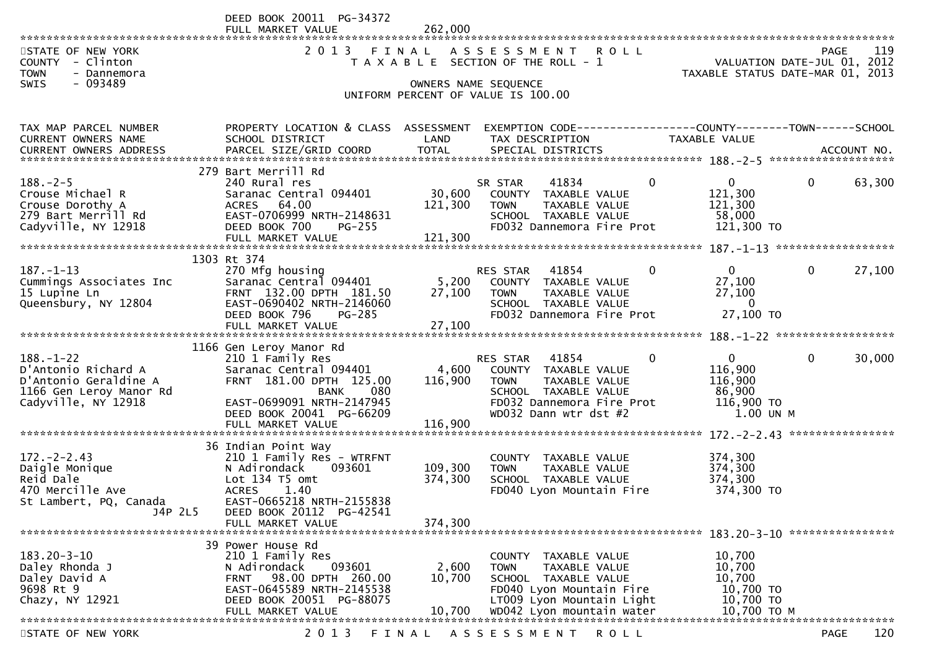|                                                                                                      | DEED BOOK 20011 PG-34372<br>FULL MARKET VALUE                                                                         | 262,000            |                                                                                                                               |                                                                        |                                                                                |
|------------------------------------------------------------------------------------------------------|-----------------------------------------------------------------------------------------------------------------------|--------------------|-------------------------------------------------------------------------------------------------------------------------------|------------------------------------------------------------------------|--------------------------------------------------------------------------------|
| STATE OF NEW YORK<br>COUNTY - Clinton<br><b>TOWN</b><br>- Dannemora                                  |                                                                                                                       |                    | 2013 FINAL ASSESSMENT ROLL<br>T A X A B L E SECTION OF THE ROLL - 1                                                           |                                                                        | 119<br>PAGE<br>VALUATION DATE-JUL 01, 2012<br>TAXABLE STATUS DATE-MAR 01, 2013 |
| - 093489<br>SWIS                                                                                     |                                                                                                                       |                    | OWNERS NAME SEQUENCE<br>UNIFORM PERCENT OF VALUE IS 100.00                                                                    |                                                                        |                                                                                |
| TAX MAP PARCEL NUMBER<br>CURRENT OWNERS NAME                                                         | PROPERTY LOCATION & CLASS ASSESSMENT<br>SCHOOL DISTRICT                                                               | LAND               | EXEMPTION CODE------------------COUNTY--------TOWN------SCHOOL<br>TAX DESCRIPTION                                             | TAXABLE VALUE                                                          |                                                                                |
|                                                                                                      | 279 Bart Merrill Rd                                                                                                   |                    |                                                                                                                               |                                                                        |                                                                                |
| $188. - 2 - 5$<br>Crouse Michael R<br>Crouse Dorothy A<br>279 Bart Merrill Rd<br>Cadyville, NY 12918 | 240 Rural res<br>Saranac Central 094401<br>ACRES 64.00<br>EAST-0706999 NRTH-2148631<br>DEED BOOK 700<br><b>PG-255</b> | 30,600<br>121,300  | SR STAR<br>41834<br>COUNTY TAXABLE VALUE<br>TAXABLE VALUE<br><b>TOWN</b><br>SCHOOL TAXABLE VALUE<br>FD032 Dannemora Fire Prot | $\mathbf{0}$<br>$\Omega$<br>121,300<br>121,300<br>58,000<br>121,300 TO | $\mathbf{0}$<br>63,300                                                         |
|                                                                                                      | FULL MARKET VALUE                                                                                                     | 121,300            |                                                                                                                               |                                                                        |                                                                                |
|                                                                                                      |                                                                                                                       |                    |                                                                                                                               |                                                                        |                                                                                |
| $187. - 1 - 13$<br>Cummings Associates Inc<br>15 Lupine Ln<br>Queensbury, NY 12804                   | 1303 Rt 374<br>270 Mfg housing<br>Saranac Central 094401<br>FRNT 132.00 DPTH 181.50<br>EAST-0690402 NRTH-2146060      | 5,200<br>27,100    | RES STAR<br>41854<br>COUNTY TAXABLE VALUE<br><b>TOWN</b><br>TAXABLE VALUE<br>SCHOOL TAXABLE VALUE                             | $\mathbf{0}$<br>0<br>27,100<br>27,100<br>$\overline{0}$                | $\mathbf{0}$<br>27,100                                                         |
|                                                                                                      | DEED BOOK 796<br>PG-285                                                                                               |                    | FD032 Dannemora Fire Prot                                                                                                     | 27,100 TO                                                              |                                                                                |
|                                                                                                      | FULL MARKET VALUE                                                                                                     | 27,100             |                                                                                                                               |                                                                        |                                                                                |
|                                                                                                      | 1166 Gen Leroy Manor Rd                                                                                               |                    |                                                                                                                               |                                                                        |                                                                                |
| $188. - 1 - 22$                                                                                      | 210 1 Family Res                                                                                                      |                    | 41854<br>RES STAR                                                                                                             | $\overline{0}$<br>$\mathbf 0$                                          | $\mathbf 0$<br>30,000                                                          |
| D'Antonio Richard A<br>D'Antonio Geraldine A                                                         | Saranac Central 094401<br>FRNT 181.00 DPTH 125.00                                                                     | 4,600<br>116,900   | COUNTY TAXABLE VALUE<br>TAXABLE VALUE<br><b>TOWN</b>                                                                          | 116,900<br>116,900                                                     |                                                                                |
| 1166 Gen Leroy Manor Rd                                                                              | <b>BANK</b><br>080                                                                                                    |                    | SCHOOL TAXABLE VALUE                                                                                                          | 86,900                                                                 |                                                                                |
| Cadyville, NY 12918                                                                                  | EAST-0699091 NRTH-2147945                                                                                             |                    | FD032 Dannemora Fire Prot                                                                                                     | 116,900 TO                                                             |                                                                                |
|                                                                                                      | DEED BOOK 20041 PG-66209                                                                                              |                    | WD032 Dann wtr dst #2                                                                                                         | 1.00 UN M                                                              |                                                                                |
|                                                                                                      | FULL MARKET VALUE                                                                                                     | 116,900            |                                                                                                                               |                                                                        | ****************                                                               |
|                                                                                                      | 36 Indian Point Way                                                                                                   |                    |                                                                                                                               |                                                                        |                                                                                |
| $172 - 2 - 2.43$                                                                                     | 210 1 Family Res - WTRFNT                                                                                             |                    | COUNTY TAXABLE VALUE                                                                                                          | 374,300                                                                |                                                                                |
| Daigle Monique<br>Reid Dale                                                                          | N Adirondack<br>093601<br>Lot $134$ T5 omt                                                                            | 109,300<br>374,300 | <b>TOWN</b><br>TAXABLE VALUE<br>SCHOOL TAXABLE VALUE                                                                          | 374,300<br>374,300                                                     |                                                                                |
| 470 Mercille Ave                                                                                     | <b>ACRES</b><br>1.40                                                                                                  |                    | FD040 Lyon Mountain Fire                                                                                                      | 374,300 TO                                                             |                                                                                |
| St Lambert, PQ, Canada                                                                               | EAST-0665218 NRTH-2155838                                                                                             |                    |                                                                                                                               |                                                                        |                                                                                |
| J4P 2L5                                                                                              | DEED BOOK 20112 PG-42541<br>FULL MARKET VALUE                                                                         | 374,300            |                                                                                                                               |                                                                        |                                                                                |
|                                                                                                      |                                                                                                                       |                    |                                                                                                                               |                                                                        |                                                                                |
|                                                                                                      | 39 Power House Rd                                                                                                     |                    |                                                                                                                               |                                                                        |                                                                                |
| $183.20 - 3 - 10$<br>Daley Rhonda J                                                                  | 210 1 Family Res<br>093601<br>N Adirondack                                                                            | 2,600              | COUNTY TAXABLE VALUE<br><b>TAXABLE VALUE</b><br>TOWN                                                                          | 10,700<br>10,700                                                       |                                                                                |
| Daley David A                                                                                        | 98.00 DPTH 260.00<br><b>FRNT</b>                                                                                      | 10,700             | SCHOOL TAXABLE VALUE                                                                                                          | 10,700                                                                 |                                                                                |
| 9698 Rt 9                                                                                            | EAST-0645589 NRTH-2145538                                                                                             |                    | FD040 Lyon Mountain Fire                                                                                                      | 10,700 TO                                                              |                                                                                |
| Chazy, NY 12921                                                                                      | DEED BOOK 20051 PG-88075<br>FULL MARKET VALUE                                                                         | 10.700             | LT009 Lyon Mountain Light<br>WD042 Lyon mountain water                                                                        | 10,700 TO<br>10,700 ТО М                                               |                                                                                |
|                                                                                                      |                                                                                                                       |                    |                                                                                                                               |                                                                        |                                                                                |
| STATE OF NEW YORK                                                                                    | 2 0 1 3                                                                                                               | FINAL              | A S S E S S M E N T<br>R O L L                                                                                                |                                                                        | 120<br><b>PAGE</b>                                                             |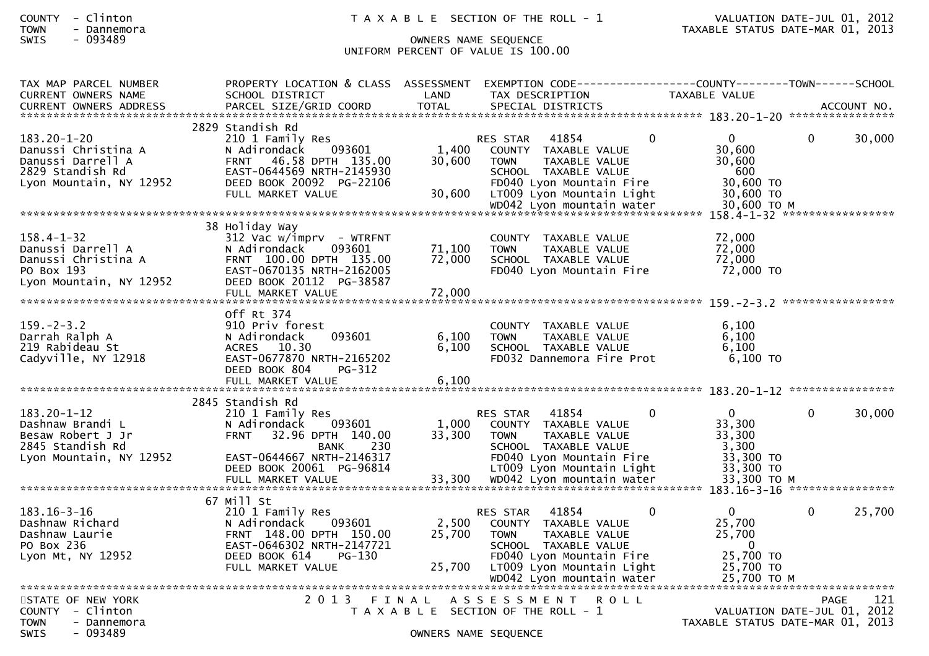# SWIS - 093489 OWNERS NAME SEQUENCE UNIFORM PERCENT OF VALUE IS 100.00

| TAX MAP PARCEL NUMBER<br><b>CURRENT OWNERS NAME</b>                                                          | PROPERTY LOCATION & CLASS ASSESSMENT<br>SCHOOL DISTRICT                                                                                                                           | LAND                       | TAX DESCRIPTION                                                                                                                                            | TAXABLE VALUE                                                               |                                                                 |
|--------------------------------------------------------------------------------------------------------------|-----------------------------------------------------------------------------------------------------------------------------------------------------------------------------------|----------------------------|------------------------------------------------------------------------------------------------------------------------------------------------------------|-----------------------------------------------------------------------------|-----------------------------------------------------------------|
| <b>CURRENT OWNERS ADDRESS</b>                                                                                | PARCEL SIZE/GRID COORD                                                                                                                                                            | <b>TOTAL</b>               | SPECIAL DISTRICTS                                                                                                                                          |                                                                             | ACCOUNT NO.                                                     |
| $183.20 - 1 - 20$<br>Danussi Christina A<br>Danussi Darrell A<br>2829 Standish Rd<br>Lyon Mountain, NY 12952 | 2829 Standish Rd<br>210 1 Family Res<br>093601<br>N Adirondack<br>46.58 DPTH 135.00<br><b>FRNT</b><br>EAST-0644569 NRTH-2145930<br>DEED BOOK 20092 PG-22106<br>FULL MARKET VALUE  | 1,400<br>30,600<br>30,600  | RES STAR<br>41854<br>COUNTY TAXABLE VALUE<br><b>TOWN</b><br>TAXABLE VALUE<br>SCHOOL TAXABLE VALUE<br>FD040 Lyon Mountain Fire<br>LT009 Lyon Mountain Light | $\Omega$<br>$\Omega$<br>30,600<br>30,600<br>600<br>30,600 TO<br>30,600 TO   | 30,000<br>$\Omega$                                              |
|                                                                                                              |                                                                                                                                                                                   |                            |                                                                                                                                                            |                                                                             |                                                                 |
| $158.4 - 1 - 32$<br>Danussi Darrell A<br>Danussi Christina A<br>PO Box 193<br>Lyon Mountain, NY 12952        | 38 Holiday Way<br>312 Vac w/imprv - WTRFNT<br>N Adirondack<br>093601<br>FRNT 100.00 DPTH 135.00<br>EAST-0670135 NRTH-2162005<br>DEED BOOK 20112 PG-38587<br>FULL MARKET VALUE     | 71,100<br>72,000<br>72,000 | COUNTY TAXABLE VALUE<br><b>TOWN</b><br>TAXABLE VALUE<br>SCHOOL TAXABLE VALUE<br>FD040 Lyon Mountain Fire                                                   | 72,000<br>72,000<br>72,000<br>72,000 TO                                     |                                                                 |
|                                                                                                              |                                                                                                                                                                                   |                            |                                                                                                                                                            |                                                                             |                                                                 |
| $159. - 2 - 3.2$<br>Darrah Ralph A<br>219 Rabideau St<br>Cadyville, NY 12918                                 | Off Rt 374<br>910 Priv forest<br>N Adirondack<br>093601<br>ACRES 10.30<br>EAST-0677870 NRTH-2165202<br>DEED BOOK 804<br>PG-312<br>FULL MARKET VALUE                               | 6,100<br>6.100<br>6,100    | COUNTY TAXABLE VALUE<br><b>TOWN</b><br>TAXABLE VALUE<br>SCHOOL TAXABLE VALUE<br>FD032 Dannemora Fire Prot                                                  | 6,100<br>6.100<br>6.100<br>$6,100$ TO                                       |                                                                 |
|                                                                                                              |                                                                                                                                                                                   |                            |                                                                                                                                                            |                                                                             |                                                                 |
| $183.20 - 1 - 12$<br>Dashnaw Brandi L<br>Besaw Robert J Jr<br>2845 Standish Rd<br>Lyon Mountain, NY 12952    | 2845 Standish Rd<br>210 1 Family Res<br>093601<br>N Adirondack<br>32.96 DPTH 140.00<br><b>FRNT</b><br>230<br><b>BANK</b><br>EAST-0644667 NRTH-2146317<br>DEED BOOK 20061 PG-96814 | 1,000<br>33,300            | 41854<br>RES STAR<br>COUNTY TAXABLE VALUE<br>TAXABLE VALUE<br><b>TOWN</b><br>SCHOOL TAXABLE VALUE<br>FD040 Lyon Mountain Fire<br>LT009 Lyon Mountain Light | $\Omega$<br>$\Omega$<br>33,300<br>33,300<br>3,300<br>33,300 TO<br>33,300 TO | 30,000<br>$\Omega$                                              |
|                                                                                                              | 67 Mill St                                                                                                                                                                        |                            |                                                                                                                                                            |                                                                             |                                                                 |
| $183.16 - 3 - 16$<br>Dashnaw Richard<br>Dashnaw Laurie<br>PO Box 236<br>Lyon Mt, NY 12952                    | 210 1 Family Res<br>093601<br>N Adirondack<br>FRNT 148.00 DPTH 150.00<br>EAST-0646302 NRTH-2147721<br>DEED BOOK 614<br>$PG-130$                                                   | 2,500<br>25,700            | 41854<br>RES STAR<br>COUNTY TAXABLE VALUE<br>TAXABLE VALUE<br><b>TOWN</b><br>SCHOOL TAXABLE VALUE<br>FD040 Lyon Mountain Fire                              | $\mathbf{0}$<br>0<br>25,700<br>25,700<br>$\Omega$<br>25,700 TO              | $\Omega$<br>25,700                                              |
|                                                                                                              | FULL MARKET VALUE                                                                                                                                                                 | 25,700                     | LT009 Lyon Mountain Light<br>WD042 Lyon mountain water                                                                                                     | 25,700 TO<br>25.700 TO M                                                    |                                                                 |
| STATE OF NEW YORK                                                                                            | 2 0 1 3                                                                                                                                                                           | FINAL                      | A S S E S S M E N T<br>R O L L                                                                                                                             |                                                                             | 121<br>PAGE                                                     |
| COUNTY - Clinton<br><b>TOWN</b><br>- Dannemora                                                               |                                                                                                                                                                                   |                            | T A X A B L E SECTION OF THE ROLL - 1                                                                                                                      |                                                                             | VALUATION DATE-JUL 01, 2012<br>TAXABLE STATUS DATE-MAR 01, 2013 |
| <b>SWIS</b><br>- 093489                                                                                      |                                                                                                                                                                                   |                            | OWNERS NAME SEQUENCE                                                                                                                                       |                                                                             |                                                                 |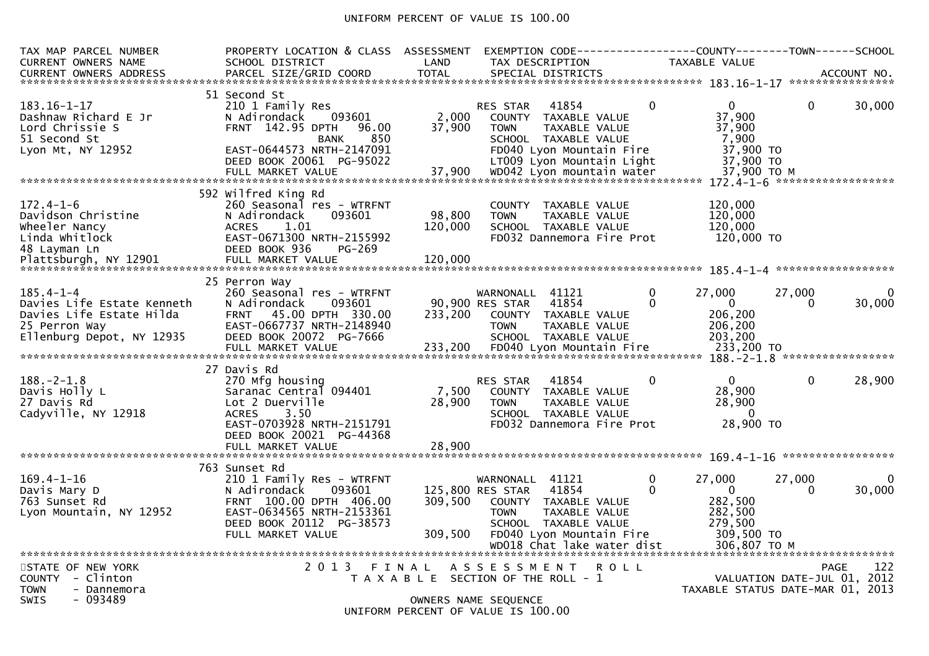### UNIFORM PERCENT OF VALUE IS 100.00

| TAX MAP PARCEL NUMBER<br><b>CURRENT OWNERS NAME</b>                                                                     | PROPERTY LOCATION & CLASS ASSESSMENT<br>SCHOOL DISTRICT                                                                                                                               | LAND                         | EXEMPTION CODE----<br>TAX DESCRIPTION                                                                                                                                                        | TAXABLE VALUE                                                                                            | -----COUNTY--------TOWN------SCHOOL                                            |
|-------------------------------------------------------------------------------------------------------------------------|---------------------------------------------------------------------------------------------------------------------------------------------------------------------------------------|------------------------------|----------------------------------------------------------------------------------------------------------------------------------------------------------------------------------------------|----------------------------------------------------------------------------------------------------------|--------------------------------------------------------------------------------|
| $183.16 - 1 - 17$<br>Dashnaw Richard E Jr<br>Lord Chrissie S<br>51 Second St<br>Lyon Mt, NY 12952                       | 51 Second St<br>210 1 Family Res<br>093601<br>N Adirondack<br>FRNT 142.95 DPTH<br>96.00<br>850<br><b>BANK</b><br>EAST-0644573 NRTH-2147091                                            | 2,000<br>37,900              | 41854<br><b>RES STAR</b><br>COUNTY TAXABLE VALUE<br>TAXABLE VALUE<br><b>TOWN</b><br>SCHOOL TAXABLE VALUE<br>FD040 Lyon Mountain Fire                                                         | $\Omega$<br>$\Omega$<br>37,900<br>37,900<br>7,900<br>37,900 TO                                           | $\Omega$<br>30,000                                                             |
|                                                                                                                         | DEED BOOK 20061 PG-95022<br>FULL MARKET VALUE                                                                                                                                         | 37,900                       | LT009 Lyon Mountain Light<br>WD042 Lyon mountain water                                                                                                                                       | 37,900 TO<br>37,900 TO M                                                                                 |                                                                                |
| $172.4 - 1 - 6$<br>Davidson Christine<br>Wheeler Nancy<br>Linda Whitlock<br>48 Layman Ln<br>Plattsburgh, NY 12901       | 592 Wilfred King Rd<br>260 Seasonal res - WTRFNT<br>N Adirondack<br>093601<br>1.01<br><b>ACRES</b><br>EAST-0671300 NRTH-2155992<br>DEED BOOK 936<br>PG-269<br>FULL MARKET VALUE       | 98,800<br>120,000<br>120,000 | COUNTY TAXABLE VALUE<br><b>TOWN</b><br>TAXABLE VALUE<br>SCHOOL TAXABLE VALUE<br>FD032 Dannemora Fire Prot                                                                                    | 120,000<br>120,000<br>120,000<br>120,000 TO                                                              |                                                                                |
| $185.4 - 1 - 4$<br>Davies Life Estate Kenneth<br>Davies Life Estate Hilda<br>25 Perron Way<br>Ellenburg Depot, NY 12935 | 25 Perron Way<br>260 Seasonal res - WTRFNT<br>093601<br>N Adirondack<br>45.00 DPTH 330.00<br><b>FRNT</b><br>EAST-0667737 NRTH-2148940<br>DEED BOOK 20072 PG-7666<br>FULL MARKET VALUE | 233,200<br>233,200           | WARNONALL 41121<br>41854<br>90,900 RES STAR<br>COUNTY TAXABLE VALUE<br>TAXABLE VALUE<br><b>TOWN</b><br>SCHOOL TAXABLE VALUE<br>FD040 Lyon Mountain Fire                                      | $\mathbf{0}$<br>27,000<br>$\mathbf{0}$<br>$\Omega$<br>206,200<br>206,200<br>203,200<br>233,200 TO        | 27,000<br>0<br>30,000<br>$\mathbf{0}$                                          |
| $188. - 2 - 1.8$<br>Davis Holly L<br>27 Davis Rd<br>Cadyville, NY 12918                                                 | 27 Davis Rd<br>270 Mfg housing<br>Saranac Central 094401<br>Lot 2 Duerville<br><b>ACRES</b><br>3.50<br>EAST-0703928 NRTH-2151791<br>DEED BOOK 20021 PG-44368<br>FULL MARKET VALUE     | 7,500<br>28,900<br>28,900    | 41854<br><b>RES STAR</b><br>COUNTY TAXABLE VALUE<br><b>TOWN</b><br>TAXABLE VALUE<br>SCHOOL TAXABLE VALUE<br>FD032 Dannemora Fire Prot                                                        | $\Omega$<br>$\Omega$<br>28,900<br>28,900<br>$\Omega$<br>28,900 TO                                        | 188. - 2 - 1.8 ******************<br>28,900<br>$\mathbf 0$                     |
| $169.4 - 1 - 16$<br>Davis Mary D<br>763 Sunset Rd<br>Lyon Mountain, NY 12952                                            | 763 Sunset Rd<br>210 1 Family Res - WTRFNT<br>N Adirondack<br>093601<br>FRNT 100.00 DPTH 406.00<br>EAST-0634565 NRTH-2153361<br>DEED BOOK 20112 PG-38573<br>FULL MARKET VALUE         | 309,500<br>309,500           | 41121<br>WARNONALL<br>41854<br>125,800 RES STAR<br>COUNTY<br>TAXABLE VALUE<br>TAXABLE VALUE<br><b>TOWN</b><br>SCHOOL TAXABLE VALUE<br>FD040 Lyon Mountain Fire<br>WD018 Chat lake water dist | 27,000<br>0<br>$\Omega$<br>$\overline{0}$<br>282,500<br>282,500<br>279,500<br>309,500 TO<br>306,807 ТО М | *****************<br>27,000<br>$\Omega$<br>30,000<br>0                         |
| STATE OF NEW YORK<br>COUNTY - Clinton<br><b>TOWN</b><br>- Dannemora<br>SWIS<br>- 093489                                 | 2 0 1 3                                                                                                                                                                               | FINAL                        | ASSESSMENT<br><b>ROLL</b><br>T A X A B L E SECTION OF THE ROLL - 1<br>OWNERS NAME SEQUENCE<br>UNIFORM PERCENT OF VALUE IS 100.00                                                             |                                                                                                          | 122<br>PAGE<br>VALUATION DATE-JUL 01, 2012<br>TAXABLE STATUS DATE-MAR 01, 2013 |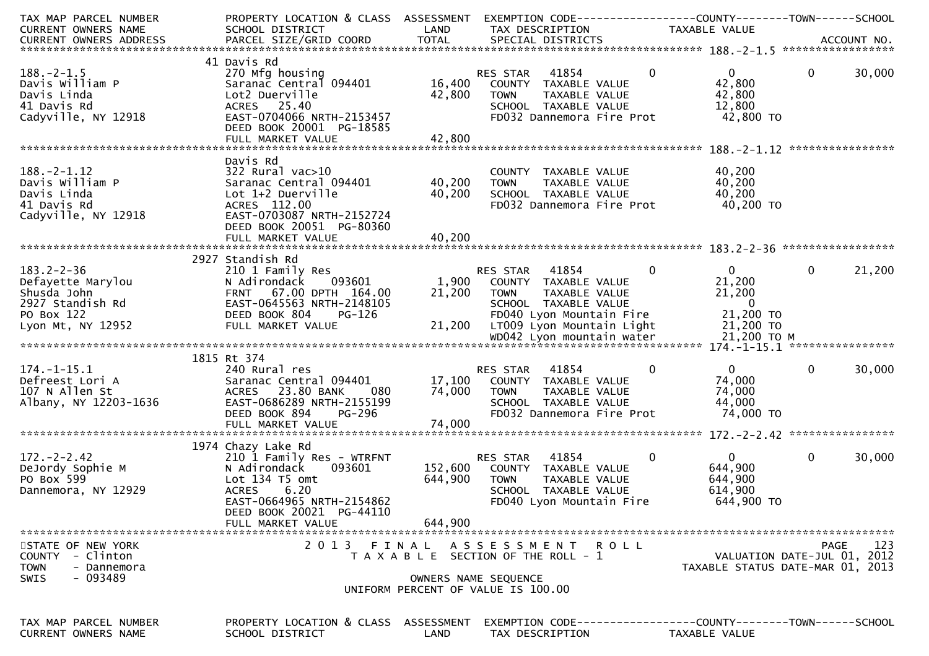| TAX MAP PARCEL NUMBER<br>CURRENT OWNERS NAME                                                                                                                                                                                   | PROPERTY LOCATION & CLASS ASSESSMENT<br>SCHOOL DISTRICT | LAND             | TAX DESCRIPTION                                       | EXEMPTION CODE-----------------COUNTY-------TOWN------SCHOOL<br>TAXABLE VALUE |                                  |
|--------------------------------------------------------------------------------------------------------------------------------------------------------------------------------------------------------------------------------|---------------------------------------------------------|------------------|-------------------------------------------------------|-------------------------------------------------------------------------------|----------------------------------|
| .4CCOUNT NO . PARCEL SIZE/GRID COORD TOTAL SPECIAL DISTRICTS . ACCOUNT NO . ACCOUNT NO . ACCOUNT NO . يتمام المستوى المستوى المستوى المستوى المستوى المستوى المستوى المستوى المستوى المستوى المستوى المستوى المستوى المستوى ال |                                                         |                  |                                                       |                                                                               |                                  |
|                                                                                                                                                                                                                                |                                                         |                  |                                                       |                                                                               |                                  |
|                                                                                                                                                                                                                                | 41 Davis Rd                                             |                  |                                                       |                                                                               |                                  |
| $188. - 2 - 1.5$<br>Davis William P                                                                                                                                                                                            | 270 Mfg housing<br>Saranac Central 094401               | 16,400           | RES STAR<br>41854<br>COUNTY TAXABLE VALUE             | $\mathbf 0$<br>$\mathbf{0}$<br>42,800                                         | $\mathbf{0}$<br>30,000           |
| Davis Linda                                                                                                                                                                                                                    | Lot2 Duerville                                          | 42,800           | TAXABLE VALUE<br><b>TOWN</b>                          | 42,800                                                                        |                                  |
| 41 Davis Rd                                                                                                                                                                                                                    | ACRES 25.40                                             |                  | SCHOOL TAXABLE VALUE                                  | 12,800                                                                        |                                  |
| Cadyville, NY 12918                                                                                                                                                                                                            | EAST-0704066 NRTH-2153457                               |                  | FD032 Dannemora Fire Prot                             | 42,800 TO                                                                     |                                  |
|                                                                                                                                                                                                                                | DEED BOOK 20001 PG-18585                                |                  |                                                       |                                                                               |                                  |
|                                                                                                                                                                                                                                | FULL MARKET VALUE                                       | 42,800           |                                                       |                                                                               |                                  |
|                                                                                                                                                                                                                                | Davis Rd                                                |                  |                                                       |                                                                               |                                  |
| $188. - 2 - 1.12$                                                                                                                                                                                                              | $322$ Rural vac $>10$                                   |                  | COUNTY TAXABLE VALUE                                  | 40,200                                                                        |                                  |
| Davis William P                                                                                                                                                                                                                | Saranac Central 094401                                  | 40,200           | TAXABLE VALUE<br><b>TOWN</b>                          | 40,200                                                                        |                                  |
| Davis Linda<br>41 Davis Rd                                                                                                                                                                                                     | Lot 1+2 Duerville<br>ACRES 112.00                       | 40,200           | SCHOOL TAXABLE VALUE<br>FD032 Dannemora Fire Prot     | 40,200<br>40,200 TO                                                           |                                  |
| Cadyville, NY 12918                                                                                                                                                                                                            | EAST-0703087 NRTH-2152724                               |                  |                                                       |                                                                               |                                  |
|                                                                                                                                                                                                                                | DEED BOOK 20051 PG-80360                                |                  |                                                       |                                                                               |                                  |
|                                                                                                                                                                                                                                | FULL MARKET VALUE                                       | 40,200           |                                                       |                                                                               |                                  |
|                                                                                                                                                                                                                                |                                                         |                  |                                                       |                                                                               |                                  |
| $183.2 - 2 - 36$                                                                                                                                                                                                               | 2927 Standish Rd<br>210 1 Family Res                    |                  | RES STAR 41854                                        | $\mathbf 0$<br>$\mathbf{0}$                                                   | 21,200<br>$\mathbf{0}$           |
| Defayette Marylou                                                                                                                                                                                                              | 093601<br>N Adirondack                                  |                  | 1,900 COUNTY TAXABLE VALUE                            | 21,200                                                                        |                                  |
| Shusda John                                                                                                                                                                                                                    | FRNT 67.00 DPTH 164.00                                  | 21,200           | TAXABLE VALUE<br>TOWN                                 | 21,200                                                                        |                                  |
| 2927 Standish Rd                                                                                                                                                                                                               | EAST-0645563 NRTH-2148105                               |                  | SCHOOL TAXABLE VALUE                                  | $\overline{0}$                                                                |                                  |
| PO Box 122<br>Lyon Mt, NY 12952                                                                                                                                                                                                | DEED BOOK 804<br>PG-126<br>FULL MARKET VALUE            | 21,200           | FD040 Lyon Mountain Fire<br>LT009 Lyon Mountain Light | 21,200 TO<br>21,200 TO                                                        |                                  |
|                                                                                                                                                                                                                                |                                                         |                  |                                                       |                                                                               |                                  |
|                                                                                                                                                                                                                                |                                                         |                  |                                                       |                                                                               |                                  |
|                                                                                                                                                                                                                                | 1815 Rt 374                                             |                  |                                                       |                                                                               |                                  |
| $174. - 1 - 15.1$                                                                                                                                                                                                              | 240 Rural res                                           |                  | 41854<br>RES STAR                                     | $\mathbf{0}$<br>0                                                             | $\mathbf 0$<br>30,000            |
| Defreest Lori A<br>107 N Allen St                                                                                                                                                                                              | Saranac Central 094401<br>ACRES 23.80 BANK<br>080       | 17,100<br>74,000 | COUNTY TAXABLE VALUE<br>TAXABLE VALUE<br><b>TOWN</b>  | 74,000<br>74,000                                                              |                                  |
| Albany, NY 12203-1636                                                                                                                                                                                                          | EAST-0686289 NRTH-2155199                               |                  | SCHOOL TAXABLE VALUE                                  | 44,000                                                                        |                                  |
|                                                                                                                                                                                                                                | DEED BOOK 894<br><b>PG-296</b>                          |                  | FD032 Dannemora Fire Prot                             | 74,000 TO                                                                     |                                  |
|                                                                                                                                                                                                                                | FULL MARKET VALUE                                       | 74,000           |                                                       |                                                                               |                                  |
|                                                                                                                                                                                                                                | 1974 Chazy Lake Rd                                      |                  |                                                       |                                                                               |                                  |
| $172. - 2 - 2.42$                                                                                                                                                                                                              | 210 1 Family Res - WTRFNT                               |                  | 41854<br>RES STAR                                     | $\mathbf{0}$<br>$\mathbf 0$                                                   | $\Omega$<br>30,000               |
| DeJordy Sophie M                                                                                                                                                                                                               | N Adirondack<br>093601                                  |                  | 152,600 COUNTY TAXABLE VALUE                          | 644,900                                                                       |                                  |
| PO Box 599                                                                                                                                                                                                                     | Lot 134 T5 omt                                          | 644,900          | TAXABLE VALUE<br><b>TOWN</b>                          | 644,900                                                                       |                                  |
| Dannemora, NY 12929                                                                                                                                                                                                            | <b>ACRES</b><br>6.20                                    |                  | SCHOOL TAXABLE VALUE                                  | 614,900                                                                       |                                  |
|                                                                                                                                                                                                                                | EAST-0664965 NRTH-2154862<br>DEED BOOK 20021 PG-44110   |                  | FD040 Lyon Mountain Fire                              | 644,900 TO                                                                    |                                  |
|                                                                                                                                                                                                                                | FULL MARKET VALUE                                       | 644,900          |                                                       |                                                                               |                                  |
|                                                                                                                                                                                                                                |                                                         |                  |                                                       |                                                                               |                                  |
| STATE OF NEW YORK                                                                                                                                                                                                              | 2 0 1 3                                                 | FINAL            | A S S E S S M E N T R O L L                           |                                                                               | 123<br>PAGE                      |
| - Clinton<br>COUNTY                                                                                                                                                                                                            |                                                         |                  | T A X A B L E SECTION OF THE ROLL - 1                 |                                                                               | VALUATION DATE-JUL 01, 2012      |
| TOWN<br>- Dannemora<br>- 093489<br><b>SWIS</b>                                                                                                                                                                                 |                                                         |                  | OWNERS NAME SEQUENCE                                  |                                                                               | TAXABLE STATUS DATE-MAR 01, 2013 |
|                                                                                                                                                                                                                                |                                                         |                  | UNIFORM PERCENT OF VALUE IS 100.00                    |                                                                               |                                  |
|                                                                                                                                                                                                                                |                                                         |                  |                                                       |                                                                               |                                  |
| TAX MAP PARCEL NUMBER                                                                                                                                                                                                          | PROPERTY LOCATION & CLASS                               | ASSESSMENT       |                                                       | EXEMPTION CODE-----------------COUNTY-------TOWN------SCHOOL                  |                                  |
| CURRENT OWNERS NAME                                                                                                                                                                                                            | SCHOOL DISTRICT                                         | LAND             | TAX DESCRIPTION                                       | TAXABLE VALUE                                                                 |                                  |
|                                                                                                                                                                                                                                |                                                         |                  |                                                       |                                                                               |                                  |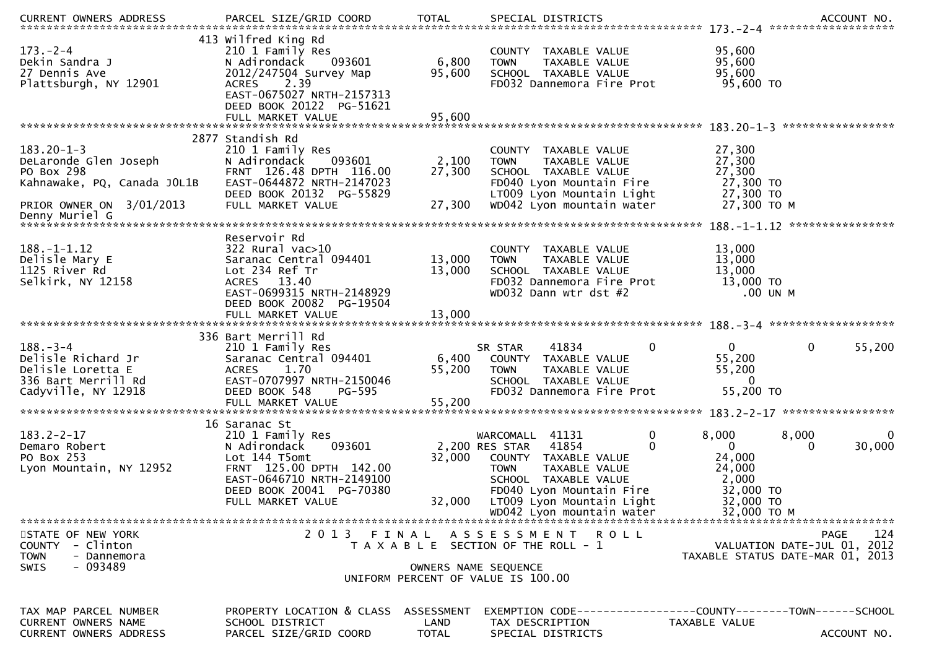| CURRENT OWNERS ADDRESS                                                                                  | PARCEL SIZE/GRID COORD                                                                                                                                                                | <b>TOTAL</b>               | SPECIAL DISTRICTS                                                                                                                                                                                                        | ACCOUNT NO.                                                                                                     |
|---------------------------------------------------------------------------------------------------------|---------------------------------------------------------------------------------------------------------------------------------------------------------------------------------------|----------------------------|--------------------------------------------------------------------------------------------------------------------------------------------------------------------------------------------------------------------------|-----------------------------------------------------------------------------------------------------------------|
| $173. - 2 - 4$<br>Dekin Sandra J<br>27 Dennis Ave<br>Plattsburgh, NY 12901                              | 413 Wilfred King Rd<br>210 1 Family Res<br>N Adirondack<br>093601<br>2012/247504 Survey Map<br><b>ACRES</b><br>2.39<br>EAST-0675027 NRTH-2157313<br>DEED BOOK 20122 PG-51621          | 6,800<br>95,600            | COUNTY TAXABLE VALUE<br><b>TOWN</b><br>TAXABLE VALUE<br>SCHOOL TAXABLE VALUE<br>FD032 Dannemora Fire Prot                                                                                                                | 95,600<br>95,600<br>95,600<br>95,600 TO                                                                         |
|                                                                                                         | FULL MARKET VALUE                                                                                                                                                                     | 95,600                     |                                                                                                                                                                                                                          |                                                                                                                 |
| $183.20 - 1 - 3$<br>DeLaronde Glen Joseph<br>PO Box 298<br>Kahnawake, PQ, Canada JOL1B                  | 2877 Standish Rd<br>210 1 Family Res<br>N Adirondack<br>093601<br>FRNT 126.48 DPTH 116.00<br>EAST-0644872 NRTH-2147023<br>DEED BOOK 20132 PG-55829                                    | 2,100<br>27,300            | COUNTY TAXABLE VALUE<br>TAXABLE VALUE<br><b>TOWN</b><br>SCHOOL TAXABLE VALUE<br>FD040 Lyon Mountain Fire                                                                                                                 | 27,300<br>27,300<br>27,300<br>27,300 TO<br>27,300 TO                                                            |
| PRIOR OWNER ON 3/01/2013                                                                                | FULL MARKET VALUE                                                                                                                                                                     | 27,300                     | LT009 Lyon Mountain Light<br>WD042 Lyon mountain water                                                                                                                                                                   | 27,300 TO M                                                                                                     |
| $188. - 1 - 1.12$<br>Delisle Mary E<br>1125 River Rd<br>Selkirk, NY 12158                               | Reservoir Rd<br>322 Rural vac>10<br>Saranac Central 094401<br>Lot 234 Ref Tr<br>ACRES 13.40<br>EAST-0699315 NRTH-2148929<br>DEED BOOK 20082 PG-19504                                  | 13,000<br>13,000<br>13,000 | COUNTY TAXABLE VALUE<br>TAXABLE VALUE<br><b>TOWN</b><br>SCHOOL TAXABLE VALUE<br>FD032 Dannemora Fire Prot<br>WD032 Dann wtr dst #2                                                                                       | ****************<br>13,000<br>13,000<br>13,000<br>13,000 TO<br>.00 UN M                                         |
|                                                                                                         | FULL MARKET VALUE                                                                                                                                                                     |                            |                                                                                                                                                                                                                          |                                                                                                                 |
| $188. - 3 - 4$<br>Delisle Richard Jr<br>Delisle Loretta E<br>336 Bart Merrill Rd<br>Cadyville, NY 12918 | 336 Bart Merrill Rd<br>210 1 Family Res<br>Saranac Central 094401<br>1.70<br><b>ACRES</b><br>EAST-0707997 NRTH-2150046<br>DEED BOOK 548<br>PG-595                                     | 6,400<br>55,200            | $\Omega$<br>SR STAR<br>41834<br>COUNTY TAXABLE VALUE<br><b>TOWN</b><br>TAXABLE VALUE<br>SCHOOL TAXABLE VALUE<br>FD032 Dannemora Fire Prot                                                                                | 0<br>$\Omega$<br>55,200<br>55,200<br>55,200<br>$\Omega$<br>55,200 TO                                            |
| $183.2 - 2 - 17$<br>Demaro Robert<br>PO Box 253<br>Lyon Mountain, NY 12952                              | 16 Saranac St<br>210 1 Family Res<br>093601<br>N Adirondack<br>Lot 144 T5omt<br>FRNT 125.00 DPTH 142.00<br>EAST-0646710 NRTH-2149100<br>DEED BOOK 20041 PG-70380<br>FULL MARKET VALUE | 32,000<br>32,000           | 0<br>41131<br>WARCOMALL<br>41854<br>2,200 RES STAR<br>COUNTY TAXABLE VALUE<br><b>TOWN</b><br>TAXABLE VALUE<br>SCHOOL TAXABLE VALUE<br>FD040 Lyon Mountain Fire<br>LT009 Lyon Mountain Light<br>WD042 Lyon mountain water | 8,000<br>8,000<br>30,000<br>$\Omega$<br>0<br>24,000<br>24,000<br>2,000<br>32,000 TO<br>32,000 TO<br>32,000 TO M |
| STATE OF NEW YORK<br>COUNTY - Clinton<br><b>TOWN</b><br>- Dannemora<br>- 093489<br><b>SWIS</b>          | 2013 FINAL                                                                                                                                                                            |                            | ASSESSMENT ROLL<br>T A X A B L E SECTION OF THE ROLL - 1<br>OWNERS NAME SEQUENCE<br>UNIFORM PERCENT OF VALUE IS 100.00                                                                                                   | 124<br>PAGE<br>VALUATION DATE-JUL 01, 2012<br>TAXABLE STATUS DATE-MAR 01, 2013                                  |
| TAX MAP PARCEL NUMBER<br><b>CURRENT OWNERS NAME</b><br>CURRENT OWNERS ADDRESS                           | PROPERTY LOCATION & CLASS ASSESSMENT<br>SCHOOL DISTRICT<br>PARCEL SIZE/GRID COORD                                                                                                     | LAND<br><b>TOTAL</b>       | TAX DESCRIPTION<br>SPECIAL DISTRICTS                                                                                                                                                                                     | EXEMPTION CODE------------------COUNTY--------TOWN------SCHOOL<br>TAXABLE VALUE<br>ACCOUNT NO.                  |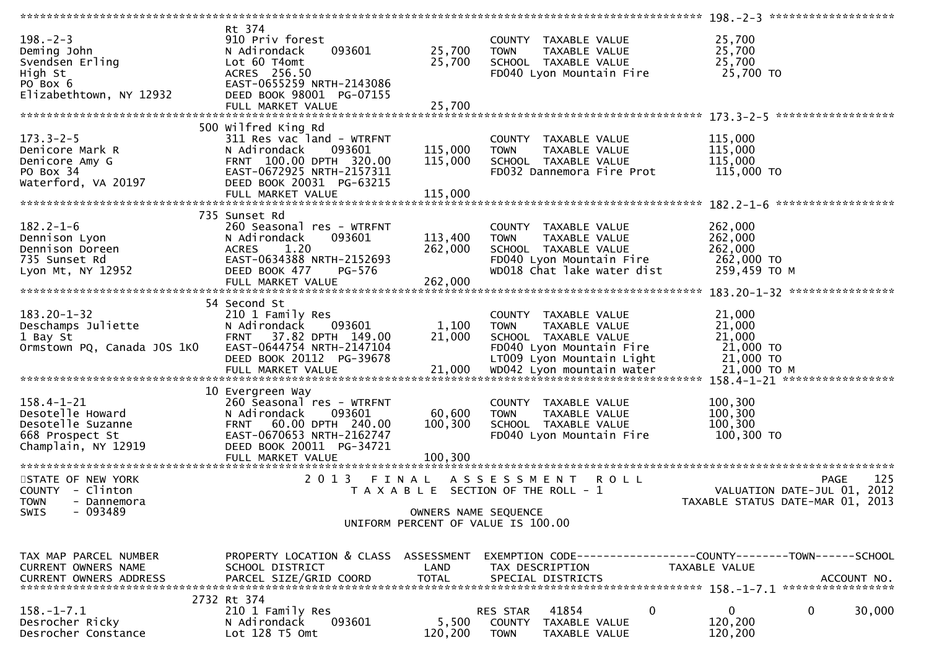| $198. - 2 - 3$<br>Deming John<br>Svendsen Erling<br>High St<br>PO Box 6<br>Elizabethtown, NY 12932  | Rt 374<br>910 Priv forest<br>093601<br>N Adirondack<br>Lot 60 T4omt<br>ACRES 256.50<br>EAST-0655259 NRTH-2143086<br>DEED BOOK 98001 PG-07155<br>FULL MARKET VALUE         | 25,700<br>25,700<br>25,700    | COUNTY TAXABLE VALUE<br>TAXABLE VALUE<br><b>TOWN</b><br>SCHOOL TAXABLE VALUE<br>FD040 Lyon Mountain Fire                               | 25,700<br>25,700<br>25,700<br>25,700 TO                                                              |
|-----------------------------------------------------------------------------------------------------|---------------------------------------------------------------------------------------------------------------------------------------------------------------------------|-------------------------------|----------------------------------------------------------------------------------------------------------------------------------------|------------------------------------------------------------------------------------------------------|
|                                                                                                     |                                                                                                                                                                           |                               |                                                                                                                                        |                                                                                                      |
| $173.3 - 2 - 5$<br>Denicore Mark R<br>Denicore Amy G<br>PO Box 34<br>Waterford, VA 20197            | 500 Wilfred King Rd<br>311 Res vac land - WTRFNT<br>093601<br>N Adirondack<br>FRNT 100.00 DPTH 320.00<br>EAST-0672925 NRTH-2157311<br>DEED BOOK 20031 PG-63215            | 115,000<br>115,000            | COUNTY TAXABLE VALUE<br><b>TOWN</b><br>TAXABLE VALUE<br>SCHOOL TAXABLE VALUE<br>FD032 Dannemora Fire Prot                              | 115,000<br>115,000<br>115,000<br>115,000 TO                                                          |
|                                                                                                     |                                                                                                                                                                           |                               |                                                                                                                                        |                                                                                                      |
| $182.2 - 1 - 6$<br>Dennison Lyon<br>Dennison Doreen<br>735 Sunset Rd<br>Lyon Mt, NY 12952           | 735 Sunset Rd<br>260 Seasonal res - WTRFNT<br>093601<br>N Adirondack<br>1.20<br><b>ACRES</b><br>EAST-0634388 NRTH-2152693<br>DEED BOOK 477<br>PG-576<br>FULL MARKET VALUE | 113,400<br>262,000<br>262,000 | COUNTY TAXABLE VALUE<br><b>TOWN</b><br>TAXABLE VALUE<br>SCHOOL TAXABLE VALUE<br>FD040 Lyon Mountain Fire<br>WD018 Chat lake water dist | 262,000<br>262,000<br>262,000<br>262,000 TO<br>259,459 ТО М                                          |
|                                                                                                     |                                                                                                                                                                           |                               |                                                                                                                                        |                                                                                                      |
| $183.20 - 1 - 32$<br>Deschamps Juliette<br>1 Bay St<br>Ormstown PQ, Canada JOS 1KO                  | 54 Second St<br>210 1 Family Res<br>N Adirondack<br>093601<br>FRNT 37.82 DPTH 149.00<br>EAST-0644754 NRTH-2147104<br>DEED BOOK 20112 PG-39678                             | 1,100<br>21,000               | COUNTY TAXABLE VALUE<br>TAXABLE VALUE<br><b>TOWN</b><br>SCHOOL TAXABLE VALUE<br>FD040 Lyon Mountain Fire<br>LT009 Lyon Mountain Light  | 21,000<br>21,000<br>21,000<br>21,000 TO<br>21,000 TO<br>21,000 ТО М<br>158.4-1-21 ****************** |
|                                                                                                     | 10 Evergreen Way                                                                                                                                                          |                               |                                                                                                                                        |                                                                                                      |
| $158.4 - 1 - 21$<br>Desotelle Howard<br>Desotelle Suzanne<br>668 Prospect St<br>Champlain, NY 12919 | 260 Seasonal res - WTRFNT<br>N Adirondack<br>093601<br>FRNT 60.00 DPTH 240.00<br>EAST-0670653 NRTH-2162747<br>DEED BOOK 20011 PG-34721                                    | 60,600<br>100,300             | COUNTY TAXABLE VALUE<br>TAXABLE VALUE<br><b>TOWN</b><br>SCHOOL TAXABLE VALUE<br>FD040 Lyon Mountain Fire                               | 100,300<br>100,300<br>100,300<br>100,300 TO                                                          |
| STATE OF NEW YORK                                                                                   | 2 0 1 3<br>FINAL                                                                                                                                                          |                               | ASSESSMENT ROLL                                                                                                                        | 125<br><b>PAGE</b>                                                                                   |
| COUNTY - Clinton<br><b>TOWN</b><br>- Dannemora<br>SWIS<br>- 093489                                  |                                                                                                                                                                           | OWNERS NAME SEQUENCE          | T A X A B L E SECTION OF THE ROLL - 1<br>UNIFORM PERCENT OF VALUE IS 100.00                                                            | 2012<br>VALUATION DATE-JUL 01,<br>TAXABLE STATUS DATE-MAR 01, 2013                                   |
|                                                                                                     |                                                                                                                                                                           |                               |                                                                                                                                        |                                                                                                      |
| TAX MAP PARCEL NUMBER<br>CURRENT OWNERS NAME<br><b>CURRENT OWNERS ADDRESS</b>                       | PROPERTY LOCATION & CLASS ASSESSMENT<br>SCHOOL DISTRICT<br>PARCEL SIZE/GRID COORD                                                                                         | LAND<br><b>TOTAL</b>          | TAX DESCRIPTION<br>SPECIAL DISTRICTS                                                                                                   | EXEMPTION CODE-----------------COUNTY-------TOWN------SCHOOL<br><b>TAXABLE VALUE</b><br>ACCOUNT NO.  |
|                                                                                                     | 2732 Rt 374                                                                                                                                                               |                               |                                                                                                                                        |                                                                                                      |
| $158.-1-7.1$<br>Desrocher Ricky<br>Desrocher Constance                                              | 210 1 Family Res<br>N Adirondack<br>093601<br>Lot 128 T5 Omt                                                                                                              | 5,500<br>120,200              | 41854<br>$\mathbf{0}$<br>RES STAR<br>COUNTY TAXABLE VALUE<br>TAXABLE VALUE<br><b>TOWN</b>                                              | $\mathbf{0}$<br>0<br>30,000<br>120,200<br>120,200                                                    |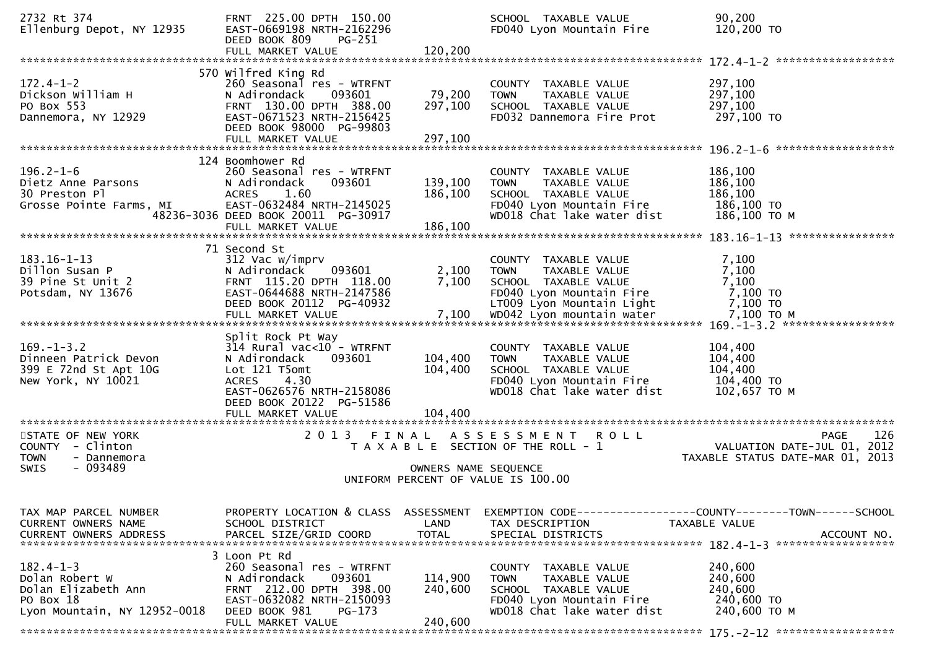| 2732 Rt 374<br>Ellenburg Depot, NY 12935                                                              | FRNT 225.00 DPTH 150.00<br>EAST-0669198 NRTH-2162296<br>DEED BOOK 809<br>PG-251<br>FULL MARKET VALUE                                                                                | 120,200                       | SCHOOL TAXABLE VALUE<br>FD040 Lyon Mountain Fire                                                                                                            | 90,200<br>120,200 TO                                                                                 |
|-------------------------------------------------------------------------------------------------------|-------------------------------------------------------------------------------------------------------------------------------------------------------------------------------------|-------------------------------|-------------------------------------------------------------------------------------------------------------------------------------------------------------|------------------------------------------------------------------------------------------------------|
| $172.4 - 1 - 2$<br>Dickson William H<br>PO Box 553<br>Dannemora, NY 12929                             | 570 Wilfred King Rd<br>260 Seasonal res - WTRFNT<br>N Adirondack<br>093601<br>FRNT 130.00 DPTH 388.00<br>EAST-0671523 NRTH-2156425<br>DEED BOOK 98000 PG-99803<br>FULL MARKET VALUE | 79,200<br>297,100<br>297,100  | COUNTY TAXABLE VALUE<br>TAXABLE VALUE<br><b>TOWN</b><br>SCHOOL TAXABLE VALUE<br>FD032 Dannemora Fire Prot                                                   | 297,100<br>297,100<br>297,100<br>297,100 TO                                                          |
| $196.2 - 1 - 6$<br>Dietz Anne Parsons<br>30 Preston Pl<br>Grosse Pointe Farms, MI                     | 124 Boomhower Rd<br>260 Seasonal res - WTRFNT<br>093601<br>N Adirondack<br>1.60<br><b>ACRES</b><br>EAST-0632484 NRTH-2145025<br>48236-3036 DEED BOOK 20011 PG-30917                 | 139,100<br>186,100            | COUNTY TAXABLE VALUE<br><b>TOWN</b><br>TAXABLE VALUE<br>SCHOOL TAXABLE VALUE<br>FD040 Lyon Mountain Fire<br>WD018 Chat lake water dist                      | 186,100<br>186,100<br>186,100<br>186,100 TO<br>186,100 ТО М                                          |
| $183.16 - 1 - 13$<br>Dillon Susan P<br>39 Pine St Unit 2<br>Potsdam, NY 13676                         | 71 Second St<br>312 Vac w/imprv<br>093601<br>N Adirondack<br>FRNT 115.20 DPTH 118.00<br>EAST-0644688 NRTH-2147586<br>DEED BOOK 20112 PG-40932<br>FULL MARKET VALUE                  | 2,100<br>7,100<br>7,100       | COUNTY TAXABLE VALUE<br>TOWN<br>TAXABLE VALUE<br>SCHOOL TAXABLE VALUE<br>FD040 Lyon Mountain Fire<br>LT009 Lyon Mountain Light<br>WD042 Lyon mountain water | 7,100<br>7,100<br>7,100<br>7,100 TO<br>7,100 TO<br>7,100 ТО М<br>$169. - 1 - 3.2$ ****************** |
| $169. - 1 - 3.2$<br>Dinneen Patrick Devon<br>399 E 72nd St Apt 10G<br>New York, NY 10021              | Split Rock Pt Way<br>$314$ Rural vac<10 - WTRFNT<br>N Adirondack<br>093601<br>Lot 121 T5omt<br>4.30<br><b>ACRES</b><br>EAST-0626576 NRTH-2158086<br>DEED BOOK 20122 PG-51586        | 104,400<br>104,400            | COUNTY TAXABLE VALUE<br>TAXABLE VALUE<br><b>TOWN</b><br>SCHOOL TAXABLE VALUE<br>FD040 Lyon Mountain Fire<br>WD018 Chat lake water dist                      | 104,400<br>104,400<br>104,400<br>104,400 TO<br>102,657 TO M                                          |
| STATE OF NEW YORK<br>COUNTY - Clinton<br><b>TOWN</b><br>- Dannemora<br>SWIS<br>- 093489               | 2013                                                                                                                                                                                | OWNERS NAME SEQUENCE          | FINAL ASSESSMENT<br><b>ROLL</b><br>T A X A B L E SECTION OF THE ROLL - 1<br>UNIFORM PERCENT OF VALUE IS 100.00                                              | 126<br><b>PAGE</b><br>VALUATION DATE-JUL 01, 2012<br>TAXABLE STATUS DATE-MAR 01, 2013                |
| TAX MAP PARCEL NUMBER<br><b>CURRENT OWNERS NAME</b><br><b>CURRENT OWNERS ADDRESS</b>                  | PROPERTY LOCATION & CLASS ASSESSMENT<br>SCHOOL DISTRICT<br>PARCEL SIZE/GRID COORD                                                                                                   | LAND<br><b>TOTAL</b>          | TAX DESCRIPTION<br>SPECIAL DISTRICTS                                                                                                                        | EXEMPTION CODE-----------------COUNTY-------TOWN------SCHOOL<br>TAXABLE VALUE<br>ACCOUNT NO.         |
| $182.4 - 1 - 3$<br>Dolan Robert W<br>Dolan Elizabeth Ann<br>PO Box 18<br>Lyon Mountain, NY 12952-0018 | 3 Loon Pt Rd<br>260 Seasonal res - WTRFNT<br>N Adirondack<br>093601<br>FRNT 212.00 DPTH 398.00<br>EAST-0632082 NRTH-2150093<br>DEED BOOK 981<br>PG-173<br>FULL MARKET VALUE         | 114,900<br>240,600<br>240,600 | COUNTY TAXABLE VALUE<br><b>TOWN</b><br>TAXABLE VALUE<br>SCHOOL TAXABLE VALUE<br>FD040 Lyon Mountain Fire<br>WD018 Chat lake water dist                      | 240,600<br>240,600<br>240,600<br>240,600 TO<br>240,600 ТО М                                          |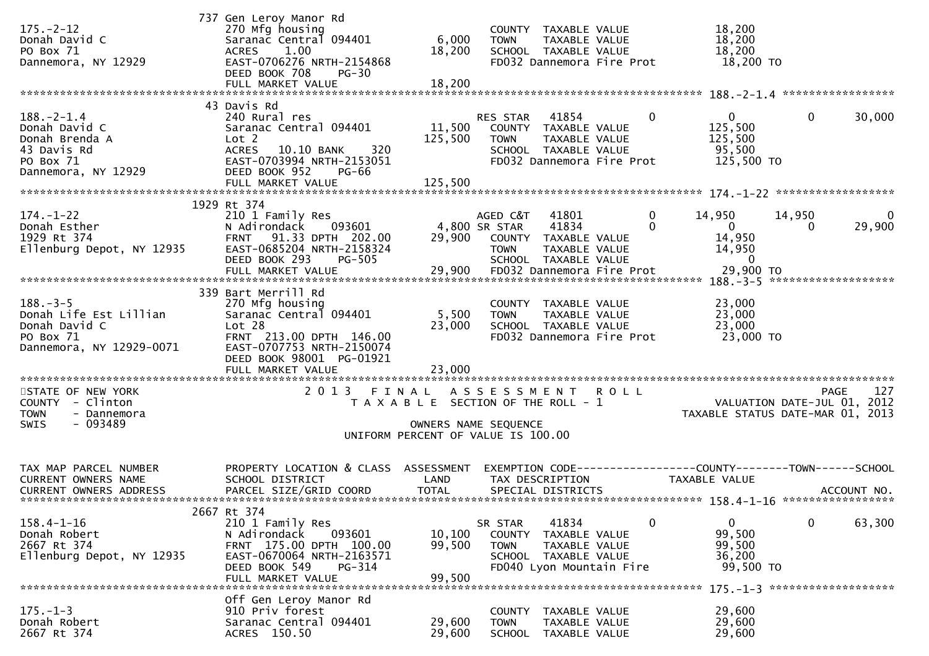| $175. - 2 - 12$<br>Donah David C<br>PO Box 71<br>Dannemora, NY 12929                                   | 737 Gen Leroy Manor Rd<br>270 Mfg housing<br>Saranac Central 094401<br>1.00<br>ACRES<br>EAST-0706276 NRTH-2154868<br>DEED BOOK 708<br>$PG-30$                                                  | 6,000<br>18,200                                                                                     | <b>TOWN</b>                              | COUNTY TAXABLE VALUE<br>TAXABLE VALUE<br>SCHOOL TAXABLE VALUE<br>FD032 Dannemora Fire Prot          | 18,200<br>18,200<br>18,200<br>18,200 TO                                              |                                     |                          |
|--------------------------------------------------------------------------------------------------------|------------------------------------------------------------------------------------------------------------------------------------------------------------------------------------------------|-----------------------------------------------------------------------------------------------------|------------------------------------------|-----------------------------------------------------------------------------------------------------|--------------------------------------------------------------------------------------|-------------------------------------|--------------------------|
| $188. - 2 - 1.4$<br>Donah David C<br>Donah Brenda A<br>43 Davis Rd<br>PO Box 71<br>Dannemora, NY 12929 | 43 Davis Rd<br>240 Rural res<br>Saranac Central 094401<br>Lot 2<br>320<br><b>ACRES</b><br>10.10 BANK<br>EAST-0703994 NRTH-2153051<br>DEED BOOK 952<br><b>PG-66</b><br>FULL MARKET VALUE        | 11,500<br>125,500<br>125,500                                                                        | RES STAR<br><b>TOWN</b>                  | 41854<br>COUNTY TAXABLE VALUE<br>TAXABLE VALUE<br>SCHOOL TAXABLE VALUE<br>FD032 Dannemora Fire Prot | $\bf{0}$<br>$\mathbf{0}$<br>125,500<br>125,500<br>95,500<br>125,500 TO               | $\bf{0}$                            | 30,000                   |
| $174. - 1 - 22$<br>Donah Esther<br>Donan Esther<br>1929 Rt 374<br>Ellenburg Depot, NY 12935            | 1929 Rt 374<br>210 1 Family Res<br>093601<br>N Adirondack<br>FRNT 91.33 DPTH 202.00<br>EAST-0685204 NRTH-2158324<br>DEED BOOK 293<br><b>PG-505</b>                                             | 29,900                                                                                              | AGED C&T<br>4,800 SR STAR<br><b>TOWN</b> | 41801<br>41834<br>COUNTY TAXABLE VALUE<br>TAXABLE VALUE<br>SCHOOL TAXABLE VALUE                     | $\mathbf 0$<br>14,950<br>$\Omega$<br>$\overline{0}$<br>14,950<br>14,950<br>- 0       | 14,950<br>0                         | $\overline{0}$<br>29,900 |
| $188. - 3 - 5$<br>Donah Life Est Lillian<br>Donah David C<br>PO Box 71<br>Dannemora, NY 12929-0071     | 339 Bart Merrill Rd<br>270 Mfg housing<br>Saranac Central 094401<br>Lot <sub>28</sub><br>FRNT 213.00 DPTH 146.00<br>EAST-0707753 NRTH-2150074<br>DEED BOOK 98001 PG-01921<br>FULL MARKET VALUE | 5,500<br>23,000<br>23,000                                                                           | <b>TOWN</b>                              | COUNTY TAXABLE VALUE<br>TAXABLE VALUE<br>SCHOOL TAXABLE VALUE<br>FD032 Dannemora Fire Prot          | 23,000<br>23,000<br>23,000<br>23,000 TO                                              |                                     |                          |
| STATE OF NEW YORK<br>COUNTY - Clinton<br><b>TOWN</b><br>- Dannemora<br>$-093489$<br>SWIS               | 2013 FINAL                                                                                                                                                                                     | T A X A B L E SECTION OF THE ROLL - 1<br>OWNERS NAME SEQUENCE<br>UNIFORM PERCENT OF VALUE IS 100.00 | ASSESSMENT ROLL                          |                                                                                                     | VALUATION DATE-JUL 01, 2012<br>TAXABLE STATUS DATE-MAR 01, 2013                      |                                     | 127<br><b>PAGE</b>       |
| TAX MAP PARCEL NUMBER<br>CURRENT OWNERS NAME<br><b>CURRENT OWNERS ADDRESS</b>                          | PROPERTY LOCATION & CLASS ASSESSMENT<br>SCHOOL DISTRICT<br>PARCEL SIZE/GRID COORD                                                                                                              | LAND<br><b>TOTAL</b>                                                                                |                                          | TAX DESCRIPTION<br>SPECIAL DISTRICTS                                                                | EXEMPTION CODE-----------------COUNTY-------TOWN------SCHOOL<br><b>TAXABLE VALUE</b> |                                     | ACCOUNT NO.              |
| $158.4 - 1 - 16$<br>Donah Robert<br>2667 Rt 374<br>Ellenburg Depot, NY 12935                           | 2667 Rt 374<br>210 1 Family Res<br>N Adirondack<br>093601<br>FRNT 175.00 DPTH 100.00<br>EAST-0670064 NRTH-2163571<br>DEED BOOK 549<br>PG-314<br>FULL MARKET VALUE                              | 10,100<br>99,500<br>99,500                                                                          | SR STAR<br>COUNTY<br><b>TOWN</b>         | 41834<br>TAXABLE VALUE<br>TAXABLE VALUE<br>SCHOOL TAXABLE VALUE<br>FD040 Lyon Mountain Fire         | $\mathbf{0}$<br>$\Omega$<br>99,500<br>99,500<br>36,200<br>99,500 TO                  | $\mathbf 0$                         | 63,300                   |
| $175. - 1 - 3$<br>Donah Robert<br>2667 Rt 374                                                          | Off Gen Leroy Manor Rd<br>910 Priv forest<br>Saranac Central 094401<br>ACRES 150.50                                                                                                            | 29,600<br>29,600                                                                                    | COUNTY<br><b>TOWN</b><br><b>SCHOOL</b>   | TAXABLE VALUE<br>TAXABLE VALUE<br>TAXABLE VALUE                                                     | 29,600<br>29,600<br>29,600                                                           | $175. - 1 - 3$ ******************** |                          |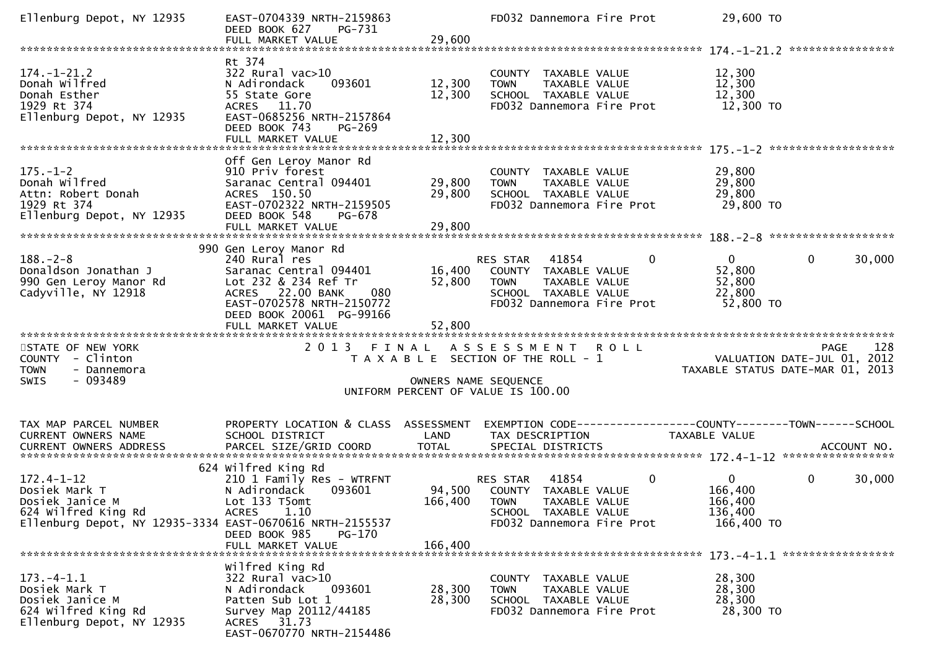| Ellenburg Depot, NY 12935                                                                                                               | EAST-0704339 NRTH-2159863<br>DEED BOOK 627<br>PG-731<br>FULL MARKET VALUE                                                                                           | 29,600                     | FD032 Dannemora Fire Prot                                                                                                                      | 29,600 TO                                                       |                       |
|-----------------------------------------------------------------------------------------------------------------------------------------|---------------------------------------------------------------------------------------------------------------------------------------------------------------------|----------------------------|------------------------------------------------------------------------------------------------------------------------------------------------|-----------------------------------------------------------------|-----------------------|
|                                                                                                                                         |                                                                                                                                                                     |                            |                                                                                                                                                |                                                                 |                       |
| $174. - 1 - 21.2$<br>Donah Wilfred<br>Donah Esther<br>1929 Rt 374<br>Ellenburg Depot, NY 12935                                          | Rt 374<br>322 Rural vac>10<br>093601<br>N Adirondack<br>55 State Gore<br>ACRES 11.70<br>EAST-0685256 NRTH-2157864<br>DEED BOOK 743<br>PG-269<br>FULL MARKET VALUE   | 12,300<br>12,300<br>12,300 | COUNTY TAXABLE VALUE<br>TAXABLE VALUE<br><b>TOWN</b><br>SCHOOL TAXABLE VALUE<br>FD032 Dannemora Fire Prot                                      | 12,300<br>12,300<br>12,300<br>12,300 TO                         |                       |
|                                                                                                                                         |                                                                                                                                                                     |                            |                                                                                                                                                |                                                                 |                       |
| $175. - 1 - 2$<br>Donah Wilfred<br>Attn: Robert Donah<br>1929 Rt 374<br>Ellenburg Depot, NY 12935                                       | Off Gen Leroy Manor Rd<br>910 Priv forest<br>Saranac Central 094401<br>ACRES 150.50<br>EAST-0702322 NRTH-2159505<br>DEED BOOK 548<br>PG-678                         | 29,800<br>29,800           | COUNTY TAXABLE VALUE<br><b>TOWN</b><br>TAXABLE VALUE<br>SCHOOL TAXABLE VALUE<br>FD032 Dannemora Fire Prot                                      | 29,800<br>29,800<br>29,800<br>29,800 TO                         |                       |
|                                                                                                                                         | 990 Gen Leroy Manor Rd                                                                                                                                              |                            |                                                                                                                                                |                                                                 |                       |
| $188. - 2 - 8$<br>Donaldson Jonathan J<br>990 Gen Leroy Manor Rd<br>Cadyville, NY 12918                                                 | 240 Rural res<br>Saranac Central 094401<br>Lot 232 & 234 Ref Tr<br>ACRES 22.00 BANK<br>080<br>EAST-0702578 NRTH-2150772<br>DEED BOOK 20061 PG-99166                 | 16,400<br>52,800           | $\mathbf{0}$<br>RES STAR<br>41854<br>COUNTY TAXABLE VALUE<br>TAXABLE VALUE<br><b>TOWN</b><br>SCHOOL TAXABLE VALUE<br>FD032 Dannemora Fire Prot | $\overline{0}$<br>52,800<br>52,800<br>22,800<br>52,800 TO       | $\mathbf 0$<br>30,000 |
|                                                                                                                                         | FULL MARKET VALUE                                                                                                                                                   | 52,800                     |                                                                                                                                                |                                                                 |                       |
| STATE OF NEW YORK<br>COUNTY - Clinton<br><b>TOWN</b><br>- Dannemora<br>$-093489$<br><b>SWIS</b>                                         | 2 0 1 3                                                                                                                                                             | OWNERS NAME SEQUENCE       | FINAL ASSESSMENT ROLL<br>T A X A B L E SECTION OF THE ROLL - 1<br>UNIFORM PERCENT OF VALUE IS 100.00                                           | VALUATION DATE-JUL 01, 2012<br>TAXABLE STATUS DATE-MAR 01, 2013 | 128<br><b>PAGE</b>    |
| TAX MAP PARCEL NUMBER                                                                                                                   | PROPERTY LOCATION & CLASS ASSESSMENT                                                                                                                                |                            | EXEMPTION CODE-----------------COUNTY-------TOWN------SCHOOL                                                                                   |                                                                 |                       |
| CURRENT OWNERS NAME                                                                                                                     | SCHOOL DISTRICT                                                                                                                                                     | LAND                       | TAX DESCRIPTION                                                                                                                                | TAXABLE VALUE                                                   |                       |
| $172.4 - 1 - 12$<br>Dosiek Mark T<br>Dosiek Janice M<br>624 Wilfred King Rd<br>Ellenburg Depot, NY 12935-3334 EAST-0670616 NRTH-2155537 | 624 Wilfred King Rd<br>210 1 Family Res - WTRFNT<br>093601<br>N Adirondack<br>Lot 133 T5omt<br>1.10<br><b>ACRES</b><br>DEED BOOK 985<br>PG-170<br>FULL MARKET VALUE | 166,400 TOWN<br>166,400    | $\mathbf 0$<br>41854<br>RES STAR<br>94,500 COUNTY TAXABLE VALUE<br>TAXABLE VALUE<br>SCHOOL TAXABLE VALUE<br>FD032 Dannemora Fire Prot          | $\overline{0}$<br>166,400<br>166,400<br>136,400<br>166,400 TO   | $\mathbf 0$<br>30,000 |
|                                                                                                                                         |                                                                                                                                                                     |                            |                                                                                                                                                |                                                                 |                       |
| $173. -4 - 1.1$<br>Dosiek Mark T<br>Dosiek Janice M<br>624 Wilfred King Rd<br>Ellenburg Depot, NY 12935                                 | Wilfred King Rd<br>322 Rural vac>10<br>093601<br>N Adirondack<br>Patten Sub Lot 1<br>Survey Map 20112/44185<br>ACRES 31.73                                          | 28,300<br>28,300           | COUNTY TAXABLE VALUE<br>TAXABLE VALUE<br><b>TOWN</b><br>SCHOOL TAXABLE VALUE<br>FD032 Dannemora Fire Prot                                      | 28,300<br>28,300<br>28,300<br>28,300 TO                         |                       |
|                                                                                                                                         | EAST-0670770 NRTH-2154486                                                                                                                                           |                            |                                                                                                                                                |                                                                 |                       |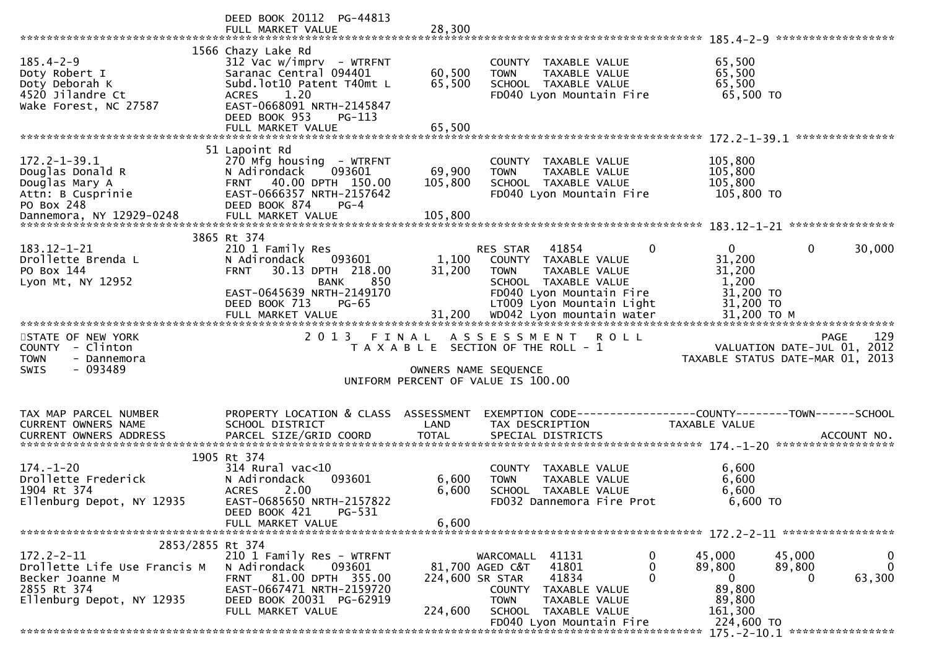|                                                                                                                                     | DEED BOOK 20112 PG-44813                                                                                                                                                                |                               |                                                                                                                                                                 | ******************                                                                                           |
|-------------------------------------------------------------------------------------------------------------------------------------|-----------------------------------------------------------------------------------------------------------------------------------------------------------------------------------------|-------------------------------|-----------------------------------------------------------------------------------------------------------------------------------------------------------------|--------------------------------------------------------------------------------------------------------------|
| $185.4 - 2 - 9$<br>Doty Robert I<br>Doty Deborah K<br>4520 Jilandre Ct<br>Wake Forest, NC 27587                                     | 1566 Chazy Lake Rd<br>$312$ Vac w/imprv - WTRFNT<br>Saranac Central 094401<br>Subd.lot10 Patent T40mt L<br><b>ACRES</b><br>1.20<br>EAST-0668091 NRTH-2145847<br>DEED BOOK 953<br>PG-113 | 60,500<br>65,500              | COUNTY TAXABLE VALUE<br><b>TOWN</b><br>TAXABLE VALUE<br>SCHOOL TAXABLE VALUE<br>FD040 Lyon Mountain Fire                                                        | 65,500<br>65,500<br>65,500<br>65,500 TO                                                                      |
|                                                                                                                                     |                                                                                                                                                                                         |                               |                                                                                                                                                                 |                                                                                                              |
| $172.2 - 1 - 39.1$<br>Douglas Donald R<br>Douglas Mary A<br>Attn: B Cusprinie<br>PO Box 248                                         | 51 Lapoint Rd<br>270 Mfg housing - WTRFNT<br>N Adirondack<br>093601<br>40.00 DPTH 150.00<br><b>FRNT</b><br>EAST-0666357 NRTH-2157642<br>DEED BOOK 874<br>PG-4                           | 69,900<br>105,800             | COUNTY TAXABLE VALUE<br><b>TOWN</b><br>TAXABLE VALUE<br>SCHOOL TAXABLE VALUE<br>FD040 Lyon Mountain Fire                                                        | 105,800<br>105,800<br>105,800<br>105,800 TO                                                                  |
|                                                                                                                                     |                                                                                                                                                                                         |                               |                                                                                                                                                                 |                                                                                                              |
| 183.12-1-21<br>Drollette Brenda L<br>PO Box 144<br>Lyon Mt, NY 12952                                                                | 3865 Rt 374<br>210 1 Family Res<br>N Adirondack<br>093601<br>30.13 DPTH 218.00<br><b>FRNT</b><br><b>BANK</b><br>850<br>EAST-0645639 NRTH-2149170<br>DEED BOOK 713<br>$PG-65$            | 1,100<br>31,200               | 41854<br>0<br>RES STAR<br>COUNTY TAXABLE VALUE<br><b>TOWN</b><br>TAXABLE VALUE<br>SCHOOL TAXABLE VALUE<br>FD040 Lyon Mountain Fire<br>LT009 Lyon Mountain Light | $\mathbf{0}$<br>0<br>30,000<br>31,200<br>31,200<br>1,200<br>31,200 TO<br>31,200 TO                           |
|                                                                                                                                     | FULL MARKET VALUE                                                                                                                                                                       | 31,200                        | WD042 Lyon mountain water                                                                                                                                       | 31,200 TO M                                                                                                  |
|                                                                                                                                     |                                                                                                                                                                                         |                               |                                                                                                                                                                 |                                                                                                              |
|                                                                                                                                     |                                                                                                                                                                                         |                               |                                                                                                                                                                 |                                                                                                              |
| STATE OF NEW YORK<br>COUNTY - Clinton<br><b>TOWN</b><br>- Dannemora<br>- 093489<br>SWIS                                             | 2 0 1 3                                                                                                                                                                                 | FINAL<br>OWNERS NAME SEQUENCE | ASSESSMENT ROLL<br>T A X A B L E SECTION OF THE ROLL - 1<br>UNIFORM PERCENT OF VALUE IS 100.00                                                                  | 129<br><b>PAGE</b><br>VALUATION DATE-JUL 01, 2012<br>TAXABLE STATUS DATE-MAR 01, 2013                        |
| TAX MAP PARCEL NUMBER<br>CURRENT OWNERS NAME                                                                                        | PROPERTY LOCATION & CLASS ASSESSMENT<br>SCHOOL DISTRICT                                                                                                                                 | LAND                          | TAX DESCRIPTION                                                                                                                                                 | EXEMPTION        CODE-----------------COUNTY-------TOWN------SCHOOL<br>TAXABLE VALUE                         |
| CURRENT OWNERS ADDRESS                                                                                                              | PARCEL SIZE/GRID COORD                                                                                                                                                                  | <b>TOTAL</b>                  | SPECIAL DISTRICTS                                                                                                                                               | ACCOUNT NO.                                                                                                  |
| $174. - 1 - 20$<br>Drollette Frederick<br>1904 Rt 374<br>Ellenburg Depot, NY 12935                                                  | 1905 Rt 374<br>$314$ Rural vac<10<br>N Adirondack<br>093601<br>2.00<br><b>ACRES</b><br>EAST-0685650 NRTH-2157822<br>PG-531<br>DEED BOOK 421<br>FULL MARKET VALUE                        | 6,600<br>6,600<br>6,600       | COUNTY TAXABLE VALUE<br>TAXABLE VALUE<br><b>TOWN</b><br>SCHOOL TAXABLE VALUE<br>FD032 Dannemora Fire Prot                                                       | 6,600<br>6,600<br>6,600<br>$6.600$ TO                                                                        |
|                                                                                                                                     |                                                                                                                                                                                         |                               |                                                                                                                                                                 |                                                                                                              |
| 2853/2855 Rt 374<br>$172.2 - 2 - 11$<br>Drollette Life Use Francis M<br>Becker Joanne M<br>2855 Rt 374<br>Ellenburg Depot, NY 12935 | 210 1 Family Res - WTRFNT<br>N Adirondack<br>093601<br>81.00 DPTH 355.00<br><b>FRNT</b><br>EAST-0667471 NRTH-2159720<br>DEED BOOK 20031 PG-62919<br>FULL MARKET VALUE                   | 224,600 SR STAR<br>224,600    | 41131<br>WARCOMALL<br>41801<br>0<br>81,700 AGED C&T<br>41834<br>COUNTY TAXABLE VALUE<br><b>TOWN</b><br>TAXABLE VALUE<br>SCHOOL TAXABLE VALUE                    | 45,000<br>45,000<br>0<br>$\mathbf{0}$<br>89,800<br>89,800<br>63,300<br>0<br>0<br>89,800<br>89,800<br>161,300 |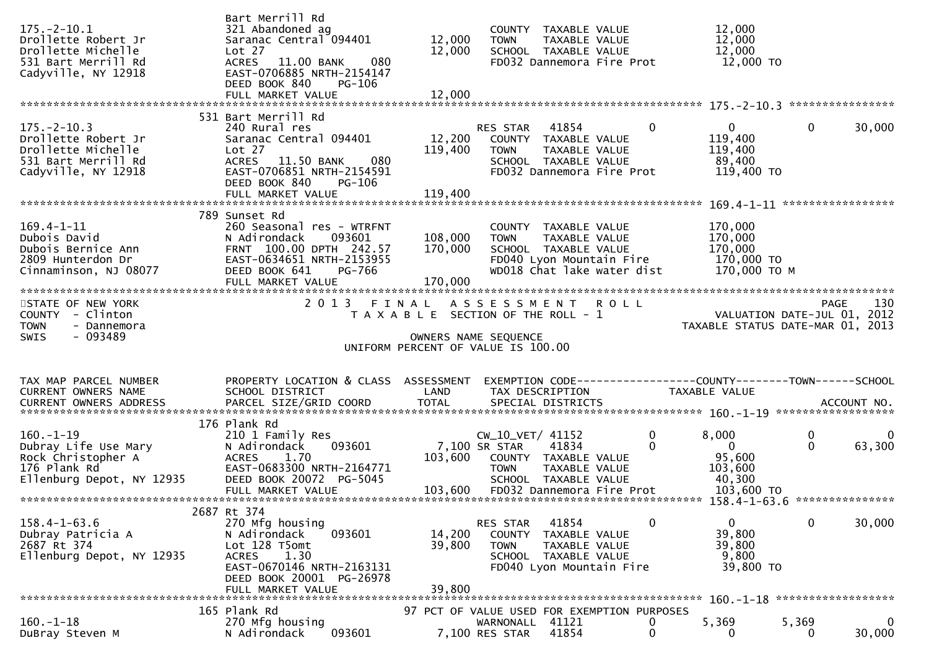| $175. - 2 - 10.1$<br>Drollette Robert Jr<br>Drollette Michelle<br>531 Bart Merrill Rd<br>Cadyville, NY 12918              | Bart Merrill Rd<br>321 Abandoned ag<br>Saranac Central 094401<br>Lot 27<br>ACRES 11.00 BANK<br>080<br>EAST-0706885 NRTH-2154147<br>DEED BOOK 840<br><b>PG-106</b>               | 12,000<br>12,000           | COUNTY TAXABLE VALUE<br>TAXABLE VALUE<br><b>TOWN</b><br>SCHOOL TAXABLE VALUE<br>FD032 Dannemora Fire Prot                                                       | 12,000<br>12,000<br>12,000<br>12,000 TO                                                   |                                                                                            |
|---------------------------------------------------------------------------------------------------------------------------|---------------------------------------------------------------------------------------------------------------------------------------------------------------------------------|----------------------------|-----------------------------------------------------------------------------------------------------------------------------------------------------------------|-------------------------------------------------------------------------------------------|--------------------------------------------------------------------------------------------|
| $175. - 2 - 10.3$<br>Drollette Robert Jr<br>Drollette Michelle<br>531 Bart Merrill Rd<br>Cadyville, NY 12918              | 531 Bart Merrill Rd<br>240 Rural res<br>Saranac Central 094401<br>Lot 27<br>ACRES 11.50 BANK<br>080<br>EAST-0706851 NRTH-2154591<br>DEED BOOK 840<br><b>PG-106</b>              | 12,200<br>119,400          | RES STAR<br>41854<br>COUNTY TAXABLE VALUE<br><b>TOWN</b><br>TAXABLE VALUE<br>SCHOOL TAXABLE VALUE<br>FD032 Dannemora Fire Prot                                  | 0<br>$\mathbf{0}$<br>119,400<br>119,400<br>89,400<br>119,400 TO                           | $\mathbf 0$<br>30,000                                                                      |
| $169.4 - 1 - 11$<br>Dubois David<br>Dubois Bernice Ann<br>2809 Hunterdon Dr<br>2809 Hunterdon Dr<br>Cinnaminson, NJ 08077 | 789 Sunset Rd<br>260 Seasonal res - WTRFNT<br>093601<br>N Adirondack<br>FRNT 100.00 DPTH 242.57<br>EAST-0634651 NRTH-2153955<br>DEED BOOK 641<br>PG-766                         | 108,000<br>170,000         | COUNTY TAXABLE VALUE<br><b>TOWN</b><br>TAXABLE VALUE<br>SCHOOL TAXABLE VALUE<br>FD040 Lyon Mountain Fire<br>WD018 Chat lake water dist                          | 170,000<br>170,000<br>170,000<br>170,000 TO<br>170,000 ТО М                               |                                                                                            |
| STATE OF NEW YORK<br>COUNTY - Clinton<br><b>TOWN</b><br>- Dannemora<br>- 093489<br>SWIS                                   |                                                                                                                                                                                 |                            | 2013 FINAL ASSESSMENT ROLL<br>T A X A B L E SECTION OF THE ROLL - 1<br>OWNERS NAME SEQUENCE<br>UNIFORM PERCENT OF VALUE IS 100.00                               |                                                                                           | 130<br>PAGE<br>rage 130<br>VALUATION DATE-JUL 01, 2012<br>TAXABLE STATUS DATE-MAR 01, 2013 |
|                                                                                                                           |                                                                                                                                                                                 |                            |                                                                                                                                                                 |                                                                                           |                                                                                            |
| TAX MAP PARCEL NUMBER<br>CURRENT OWNERS NAME                                                                              | PROPERTY LOCATION & CLASS ASSESSMENT<br>SCHOOL DISTRICT                                                                                                                         | LAND                       | EXEMPTION CODE------------------COUNTY-------TOWN------SCHOOL<br>TAX DESCRIPTION                                                                                | TAXABLE VALUE                                                                             |                                                                                            |
| $160. - 1 - 19$<br>Dubray Life Use Mary<br>Rock Christopher A<br>176 Plank Rd<br>Ellenburg Depot, NY 12935                | 176 Plank Rd<br>210 1 Family Res<br>093601<br>N Adirondack<br>1.70<br><b>ACRES</b><br>EAST-0683300 NRTH-2164771<br>DEED BOOK 20072 PG-5045<br>FULL MARKET VALUE                 | 103,600                    | CW_10_VET/ 41152<br>7,100 SR STAR<br>41834<br>COUNTY TAXABLE VALUE<br>TAXABLE VALUE<br><b>TOWN</b><br>SCHOOL TAXABLE VALUE<br>103,600 FD032 Dannemora Fire Prot | 8,000<br>0<br>$\mathbf{0}$<br>$\overline{0}$<br>95,600<br>103,600<br>40,300<br>103,600 TO | 0<br>0<br>$\mathbf 0$<br>63,300                                                            |
| $158.4 - 1 - 63.6$<br>Dubray Patricia A<br>2687 Rt 374<br>Ellenburg Depot, NY 12935                                       | 2687 Rt 374<br>270 Mfg housing<br>093601<br>N Adirondack<br>Lot 128 T5omt<br>1.30<br><b>ACRES</b><br>EAST-0670146 NRTH-2163131<br>DEED BOOK 20001 PG-26978<br>FULL MARKET VALUE | 14,200<br>39,800<br>39,800 | RES STAR<br>41854<br><b>COUNTY</b><br>TAXABLE VALUE<br><b>TOWN</b><br>TAXABLE VALUE<br>SCHOOL TAXABLE VALUE<br>FD040 Lyon Mountain Fire                         | $\mathbf{0}$<br>0<br>39,800<br>39,800<br>9,800<br>39,800 TO                               | $\mathbf 0$<br>30,000<br>******************                                                |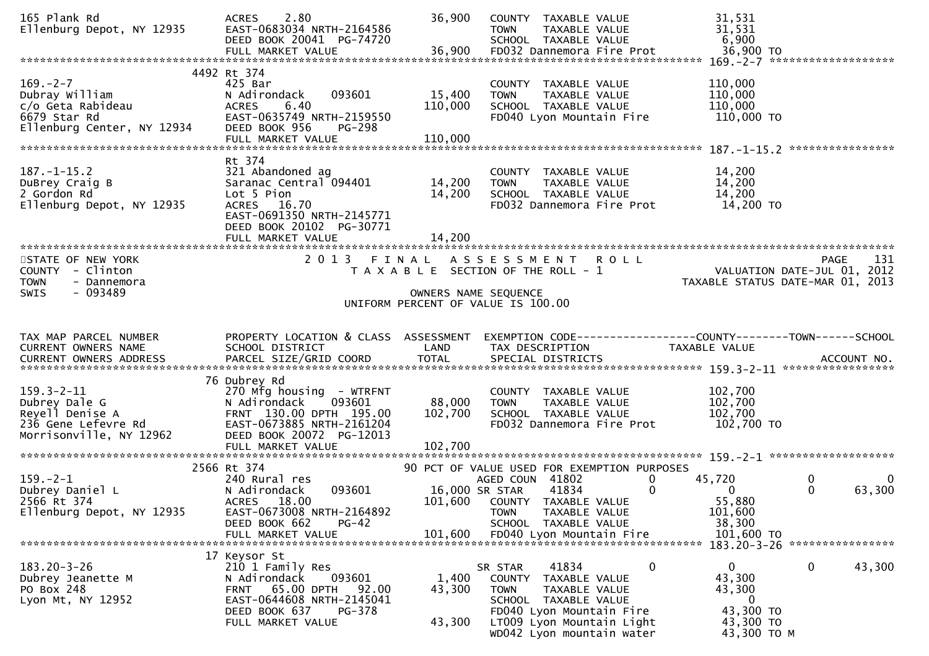| 2.80<br><b>ACRES</b><br>EAST-0683034 NRTH-2164586<br>DEED BOOK 20041 PG-74720                                                                                               | 36,900                                          | COUNTY TAXABLE VALUE<br><b>TOWN</b><br><b>TAXABLE VALUE</b><br>SCHOOL TAXABLE VALUE                       | 31,531<br>31,531<br>6,900                                                                                                                                                                                                                                                                                                                              |                                                                                                                                                |
|-----------------------------------------------------------------------------------------------------------------------------------------------------------------------------|-------------------------------------------------|-----------------------------------------------------------------------------------------------------------|--------------------------------------------------------------------------------------------------------------------------------------------------------------------------------------------------------------------------------------------------------------------------------------------------------------------------------------------------------|------------------------------------------------------------------------------------------------------------------------------------------------|
|                                                                                                                                                                             |                                                 |                                                                                                           |                                                                                                                                                                                                                                                                                                                                                        | $169. -2 - 7$ *********************                                                                                                            |
| 425 Bar<br>093601<br>N Adirondack<br>6.40<br><b>ACRES</b><br>EAST-0635749 NRTH-2159550<br>DEED BOOK 956<br>PG-298                                                           | 15,400<br>110,000                               | COUNTY TAXABLE VALUE<br>TAXABLE VALUE<br><b>TOWN</b><br>SCHOOL TAXABLE VALUE<br>FD040 Lyon Mountain Fire  | 110,000<br>110,000<br>110,000                                                                                                                                                                                                                                                                                                                          |                                                                                                                                                |
| Rt 374<br>321 Abandoned ag<br>Saranac Central 094401<br>Lot 5 Pion<br>ACRES 16.70<br>EAST-0691350 NRTH-2145771<br>DEED BOOK 20102 PG-30771<br>FULL MARKET VALUE             | 14,200<br>14,200<br>14,200                      | COUNTY TAXABLE VALUE<br>TAXABLE VALUE<br><b>TOWN</b><br>SCHOOL TAXABLE VALUE<br>FD032 Dannemora Fire Prot | 14,200<br>14,200<br>14,200                                                                                                                                                                                                                                                                                                                             |                                                                                                                                                |
| 2 0 1 3                                                                                                                                                                     |                                                 | <b>ROLL</b>                                                                                               |                                                                                                                                                                                                                                                                                                                                                        | 131<br><b>PAGE</b><br>TAXABLE STATUS DATE-MAR 01, 2013                                                                                         |
| SCHOOL DISTRICT                                                                                                                                                             | LAND                                            | TAX DESCRIPTION                                                                                           | TAXABLE VALUE                                                                                                                                                                                                                                                                                                                                          |                                                                                                                                                |
| 76 Dubrey Rd<br>270 Mfg housing - WTRFNT<br>093601<br>N Adirondack<br>FRNT 130.00 DPTH 195.00<br>EAST-0673885 NRTH-2161204<br>DEED BOOK 20072 PG-12013<br>FULL MARKET VALUE | 88,000<br>102,700<br>102,700                    | COUNTY TAXABLE VALUE<br><b>TOWN</b><br>TAXABLE VALUE<br>SCHOOL TAXABLE VALUE<br>FD032 Dannemora Fire Prot | 102,700<br>102,700<br>102,700                                                                                                                                                                                                                                                                                                                          |                                                                                                                                                |
|                                                                                                                                                                             |                                                 |                                                                                                           |                                                                                                                                                                                                                                                                                                                                                        |                                                                                                                                                |
| 240 Rural res<br>093601<br>N Adirondack<br>18.00<br><b>ACRES</b><br>EAST-0673008 NRTH-2164892<br>DEED BOOK 662<br>$PG-42$                                                   |                                                 | 0<br>41834<br>$\mathbf{0}$<br><b>TOWN</b><br>TAXABLE VALUE<br>SCHOOL TAXABLE VALUE                        | 45,720<br>$\bf{0}$<br>55,880<br>101,600<br>38,300                                                                                                                                                                                                                                                                                                      | 0<br>$\overline{0}$<br>63,300<br>$\Omega$                                                                                                      |
|                                                                                                                                                                             |                                                 |                                                                                                           |                                                                                                                                                                                                                                                                                                                                                        | 183.20-3-26 *****************                                                                                                                  |
| 17 Keysor St<br>210 1 Family Res                                                                                                                                            |                                                 | 0<br>41834                                                                                                | 0<br>43,300                                                                                                                                                                                                                                                                                                                                            | $\bf{0}$<br>43,300                                                                                                                             |
|                                                                                                                                                                             | 4492 Rt 374<br>2566 Rt 374<br>FULL MARKET VALUE | FINAL<br>101,600                                                                                          | 36,900<br>A S S E S S M E N T<br>T A X A B L E SECTION OF THE ROLL - 1<br>OWNERS NAME SEQUENCE<br>UNIFORM PERCENT OF VALUE IS 100.00<br>PROPERTY LOCATION & CLASS ASSESSMENT<br>AGED COUN 41802<br>16,000 SR STAR<br>101,600 COUNTY TAXABLE VALUE<br>FD040 Lyon Mountain Fire<br>SR STAR<br>093601<br>N Adirondack<br>1,400<br>COUNTY<br>TAXABLE VALUE | 36,900 TO<br>110,000 TO<br>14,200 TO<br>VALUATION DATE-JUL 01, 2012<br>102,700 TO<br>90 PCT OF VALUE USED FOR EXEMPTION PURPOSES<br>101,600 TO |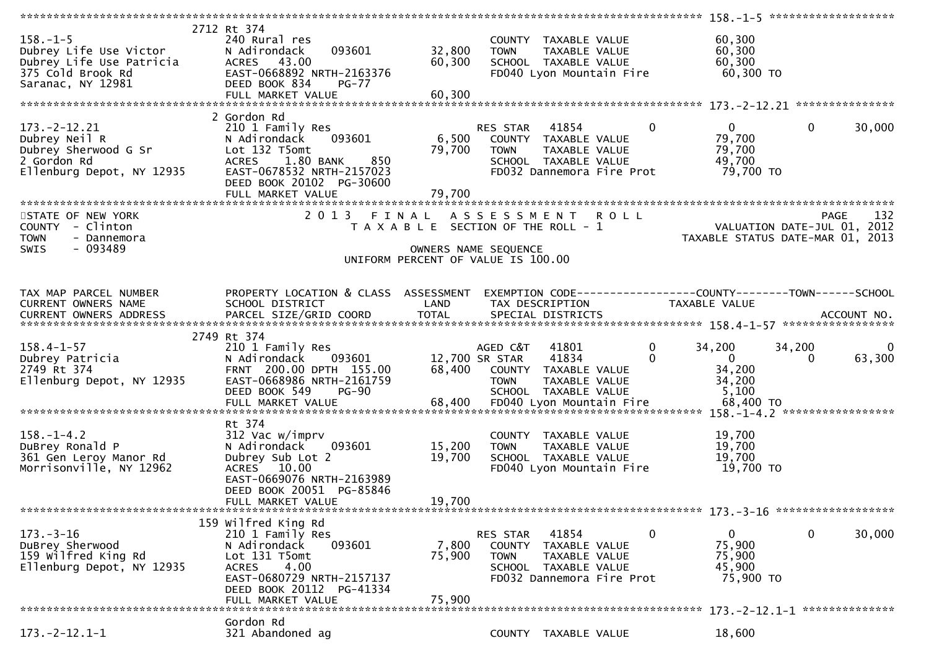| $158. - 1 - 5$<br>Dubrey Life Use Victor<br>Dubrey Life Use Patricia<br>375 Cold Brook Rd<br>Saranac, NY 12981                                                | 2712 Rt 374<br>240 Rural res<br>093601<br>N Adirondack<br>ACRES 43.00<br>EAST-0668892 NRTH-2163376<br>DEED BOOK 834<br>$PG-77$<br>FULL MARKET VALUE                  | 32,800<br>60,300<br>60,300 | <b>TOWN</b>                                                              | COUNTY TAXABLE VALUE<br>TAXABLE VALUE<br>SCHOOL TAXABLE VALUE<br>FD040 Lyon Mountain Fire           | 60,300<br>60,300<br>60,300<br>60,300 TO                                         |                               |             |
|---------------------------------------------------------------------------------------------------------------------------------------------------------------|----------------------------------------------------------------------------------------------------------------------------------------------------------------------|----------------------------|--------------------------------------------------------------------------|-----------------------------------------------------------------------------------------------------|---------------------------------------------------------------------------------|-------------------------------|-------------|
|                                                                                                                                                               | 2 Gordon Rd                                                                                                                                                          |                            |                                                                          |                                                                                                     |                                                                                 |                               |             |
| 173.-2-12.21<br>Dubrey Neil R<br>Dubrey Sherwood G Sr<br>Cordon Rd<br>N Adironuach<br>Lot 132 T5omt<br>ACRES 1.80<br>ACRES 1.80<br>ACRES 1.80<br>PEED BOOK 20 | 210 1 Family Res<br>093601<br>1.80 BANK<br>850<br>EAST-0678532 NRTH-2157023<br>DEED BOOK 20102 PG-30600<br>FULL MARKET VALUE                                         | 6,500<br>79,700<br>79,700  | RES STAR<br><b>TOWN</b>                                                  | 41854<br>COUNTY TAXABLE VALUE<br>TAXABLE VALUE<br>SCHOOL TAXABLE VALUE<br>FD032 Dannemora Fire Prot | $\mathbf{0}$<br>$\mathbf{0}$<br>79,700<br>79,700<br>49,700<br>79,700 TO         | $\Omega$                      | 30,000      |
|                                                                                                                                                               |                                                                                                                                                                      |                            |                                                                          |                                                                                                     |                                                                                 |                               |             |
| STATE OF NEW YORK<br>COUNTY - Clinton<br><b>TOWN</b><br>- Dannemora<br>- 093489<br><b>SWIS</b>                                                                | 2013 FINAL ASSESSMENT ROLL                                                                                                                                           |                            | T A X A B L E SECTION OF THE ROLL - 1<br>OWNERS NAME SEQUENCE            |                                                                                                     | VALUATION DATE-JUL 01, 2012<br>TAXABLE STATUS DATE-MAR 01, 2013                 | <b>PAGE</b>                   | 132         |
|                                                                                                                                                               |                                                                                                                                                                      |                            | UNIFORM PERCENT OF VALUE IS 100.00                                       |                                                                                                     |                                                                                 |                               |             |
|                                                                                                                                                               |                                                                                                                                                                      |                            |                                                                          |                                                                                                     |                                                                                 |                               |             |
| TAX MAP PARCEL NUMBER<br>CURRENT OWNERS NAME                                                                                                                  | PROPERTY LOCATION & CLASS ASSESSMENT<br>SCHOOL DISTRICT                                                                                                              | LAND                       | TAX DESCRIPTION                                                          |                                                                                                     | EXEMPTION CODE------------------COUNTY-------TOWN------SCHOOL<br>TAXABLE VALUE  |                               |             |
|                                                                                                                                                               | 2749 Rt 374                                                                                                                                                          |                            |                                                                          |                                                                                                     |                                                                                 |                               |             |
| $158.4 - 1 - 57$<br>Dubrey Patricia<br>2749 Rt 374<br>Ellenburg Depot, NY 12935                                                                               | 210 1 Family Res<br>N Adirondack<br>093601<br>FRNT 200.00 DPTH 155.00<br>EAST-0668986 NRTH-2161759<br>DEED BOOK 549<br>PG-90                                         |                            | AGED C&T<br>12,700 SR STAR<br>68,400 COUNTY TAXABLE VALUE<br><b>TOWN</b> | 41801<br>41834<br><b>TAXABLE VALUE</b><br>SCHOOL TAXABLE VALUE                                      | $\mathbf{0}$<br>34,200<br>$\Omega$<br>$\mathbf{0}$<br>34,200<br>34,200<br>5,100 | 34,200<br>$\Omega$            | 0<br>63,300 |
|                                                                                                                                                               |                                                                                                                                                                      |                            |                                                                          |                                                                                                     |                                                                                 |                               |             |
| $158. - 1 - 4.2$<br>DuBrey Ronald P<br>361 Gen Leroy Manor Rd<br>Morrisonville, NY 12962                                                                      | Rt 374<br>312 Vac w/imprv<br>093601<br>N Adirondack<br>Dubrey Sub Lot 2<br>ACRES 10.00<br>EAST-0669076 NRTH-2163989<br>DEED BOOK 20051 PG-85846<br>FULL MARKET VALUE | 15,200<br>19,700<br>19,700 | <b>TOWN</b>                                                              | COUNTY TAXABLE VALUE<br>TAXABLE VALUE<br>SCHOOL TAXABLE VALUE<br>FD040 Lyon Mountain Fire           | 19,700<br>19,700<br>19,700<br>19,700 TO                                         |                               |             |
|                                                                                                                                                               |                                                                                                                                                                      |                            |                                                                          |                                                                                                     |                                                                                 | 173.-3-16 ******************* |             |
|                                                                                                                                                               | 159 Wilfred King Rd                                                                                                                                                  |                            |                                                                          |                                                                                                     |                                                                                 |                               |             |
| $173. - 3 - 16$<br>DuBrey Sherwood<br>159 Wilfred King Rd<br>Ellenburg Depot, NY 12935                                                                        | 210 1 Family Res<br>093601<br>N Adirondack<br>Lot 131 T5omt<br>4.00<br><b>ACRES</b><br>EAST-0680729 NRTH-2157137<br>DEED BOOK 20112 PG-41334<br>FULL MARKET VALUE    | 7,800<br>75,900<br>75,900  | RES STAR<br><b>TOWN</b>                                                  | 41854<br>COUNTY TAXABLE VALUE<br>TAXABLE VALUE<br>SCHOOL TAXABLE VALUE<br>FD032 Dannemora Fire Prot | 0<br>$\overline{0}$<br>75,900<br>75,900<br>45,900<br>75,900 TO                  | $\mathbf 0$                   | 30,000      |
|                                                                                                                                                               |                                                                                                                                                                      |                            |                                                                          |                                                                                                     |                                                                                 |                               |             |
| $173. - 2 - 12.1 - 1$                                                                                                                                         | Gordon Rd<br>321 Abandoned ag                                                                                                                                        |                            |                                                                          | COUNTY TAXABLE VALUE                                                                                | 18,600                                                                          |                               |             |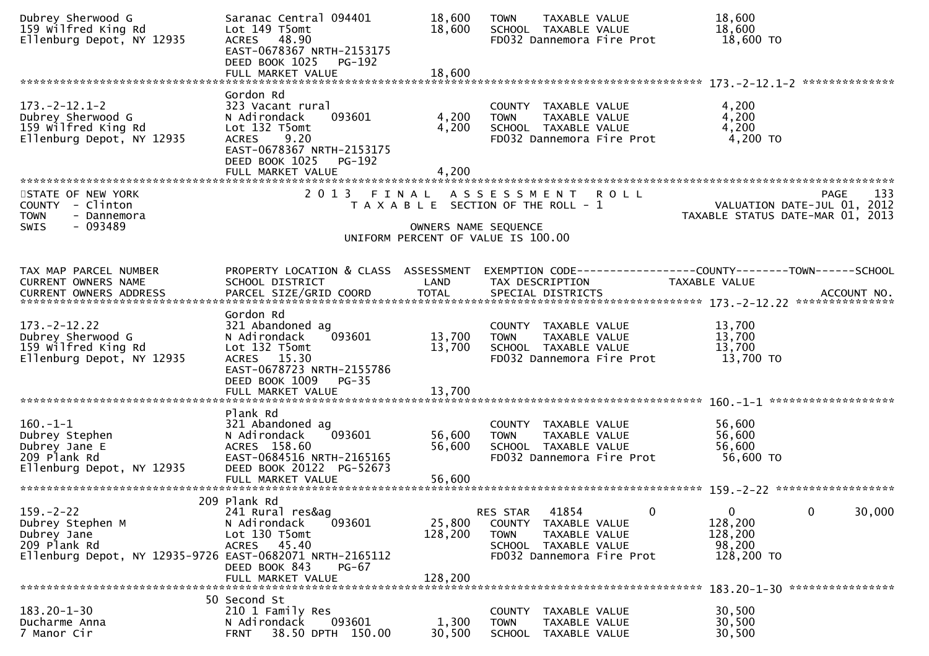| Dubrey Sherwood G<br>159 Wilfred King Rd<br>Ellenburg Depot, NY 12935                                                          | Saranac Central 094401<br>Lot 149 T5omt<br>ACRES 48.90<br>EAST-0678367 NRTH-2153175<br>DEED BOOK 1025 PG-192                                                                   | 18,600<br>18,600              | <b>TOWN</b><br>TAXABLE VALUE<br>SCHOOL TAXABLE VALUE<br>FD032 Dannemora Fire Prot                                              | 18,600<br>18,600<br>18,600 TO                                                                 |
|--------------------------------------------------------------------------------------------------------------------------------|--------------------------------------------------------------------------------------------------------------------------------------------------------------------------------|-------------------------------|--------------------------------------------------------------------------------------------------------------------------------|-----------------------------------------------------------------------------------------------|
|                                                                                                                                | FULL MARKET VALUE                                                                                                                                                              | 18,600                        |                                                                                                                                |                                                                                               |
| $173. -2 - 12.1 - 2$<br>Dubrey Sherwood G<br>159 Wilfred King Rd<br>Ellenburg Depot, NY 12935                                  | Gordon Rd<br>323 Vacant rural<br>N Adirondack<br>093601<br>Lot 132 T5omt<br><b>ACRES</b><br>9.20<br>EAST-0678367 NRTH-2153175<br>DEED BOOK 1025<br>PG-192<br>FULL MARKET VALUE | 4,200<br>4,200<br>4,200       | COUNTY TAXABLE VALUE<br><b>TOWN</b><br>TAXABLE VALUE<br>SCHOOL TAXABLE VALUE<br>FD032 Dannemora Fire Prot                      | 4,200<br>4,200<br>4,200<br>4,200 TO                                                           |
| STATE OF NEW YORK<br>COUNTY - Clinton<br><b>TOWN</b><br>- Dannemora<br>$-093489$<br><b>SWIS</b>                                | 2 0 1 3                                                                                                                                                                        | FINAL<br>OWNERS NAME SEQUENCE | ASSESSMENT ROLL<br>T A X A B L E SECTION OF THE ROLL - 1<br>UNIFORM PERCENT OF VALUE IS 100.00                                 | 133<br><b>PAGE</b><br>VALUATION DATE-JUL 01, 2012<br>TAXABLE STATUS DATE-MAR 01, 2013         |
|                                                                                                                                |                                                                                                                                                                                |                               |                                                                                                                                |                                                                                               |
| TAX MAP PARCEL NUMBER<br>CURRENT OWNERS NAME<br>CURRENT OWNERS ADDRESS                                                         | PROPERTY LOCATION & CLASS ASSESSMENT<br>SCHOOL DISTRICT<br>PARCEL SIZE/GRID COORD                                                                                              | LAND<br><b>TOTAL</b>          | TAX DESCRIPTION<br>SPECIAL DISTRICTS                                                                                           | EXEMPTION CODE-----------------COUNTY--------TOWN------SCHOOL<br>TAXABLE VALUE<br>ACCOUNT NO. |
| $173. - 2 - 12.22$<br>Dubrey Sherwood G<br>159 Wilfred King Rd<br>Ellenburg Depot, NY 12935                                    | Gordon Rd<br>321 Abandoned ag<br>093601<br>N Adirondack<br>Lot 132 T5omt<br>ACRES 15.30<br>EAST-0678723 NRTH-2155786<br>DEED BOOK 1009<br>PG-35<br>FULL MARKET VALUE           | 13,700<br>13,700<br>13,700    | COUNTY TAXABLE VALUE<br>TAXABLE VALUE<br><b>TOWN</b><br>SCHOOL TAXABLE VALUE<br>FD032 Dannemora Fire Prot                      | 13,700<br>13,700<br>13,700<br>13,700 TO                                                       |
| $160.-1-1$<br>Dubrey Stephen<br>Dubrey Jane E<br>209 Plank Rd<br>Ellenburg Depot, NY 12935                                     | Plank Rd<br>321 Abandoned ag<br>093601<br>N Adirondack<br>ACRES 158.60<br>EAST-0684516 NRTH-2165165<br>DEED BOOK 20122 PG-52673<br>FULL MARKET VALUE                           | 56,600<br>56,600<br>56,600    | COUNTY TAXABLE VALUE<br>TAXABLE VALUE<br><b>TOWN</b><br>SCHOOL TAXABLE VALUE<br>FD032 Dannemora Fire Prot                      | 56,600<br>56,600<br>56,600<br>56,600 TO                                                       |
| $159. - 2 - 22$<br>Dubrey Stephen M<br>Dubrey Jane<br>209 Plank Rd<br>Ellenburg Depot, NY 12935-9726 EAST-0682071 NRTH-2165112 | 209 Plank Rd<br>241 Rural res&ag<br>093601<br>N Adirondack<br>Lot 130 T5omt<br>ACRES 45.40<br>DEED BOOK 843<br>$PG-67$<br>FULL MARKET VALUE                                    | 25,800<br>128,200<br>128,200  | 41854<br>RES STAR<br>COUNTY TAXABLE VALUE<br><b>TOWN</b><br>TAXABLE VALUE<br>SCHOOL TAXABLE VALUE<br>FD032 Dannemora Fire Prot | 30,000<br>$\mathbf{0}$<br>0<br>0<br>128,200<br>128,200<br>98,200<br>128,200 TO                |
| $183.20 - 1 - 30$<br>Ducharme Anna<br>7 Manor Cir                                                                              | 50 Second St<br>210 1 Family Res<br>093601<br>N Adirondack<br>38.50 DPTH 150.00<br><b>FRNT</b>                                                                                 | 1,300<br>30,500               | <b>COUNTY</b><br>TAXABLE VALUE<br>TAXABLE VALUE<br><b>TOWN</b><br>SCHOOL TAXABLE VALUE                                         | 183.20-1-30 *****************<br>30,500<br>30,500<br>30,500                                   |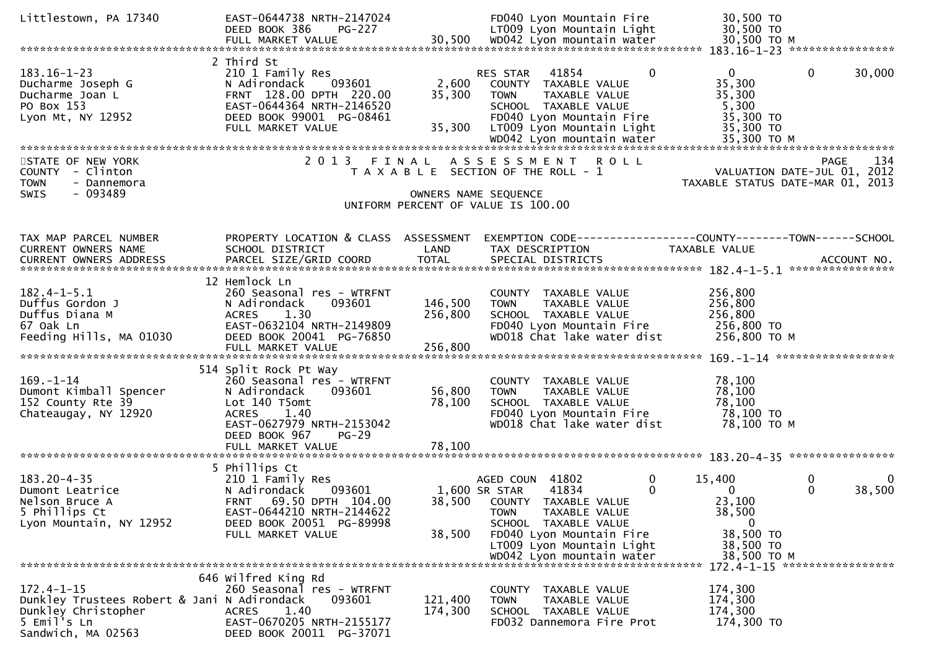| Littlestown, PA 17340                                                                                                       | EAST-0644738 NRTH-2147024<br>DEED BOOK 386<br><b>PG-227</b>                                                                                                                    |                           | FD040 Lyon Mountain Fire<br>LT009 Lyon Mountain Light                                                                                                                  | 30,500 TO<br>30,500 TO                                                                        |
|-----------------------------------------------------------------------------------------------------------------------------|--------------------------------------------------------------------------------------------------------------------------------------------------------------------------------|---------------------------|------------------------------------------------------------------------------------------------------------------------------------------------------------------------|-----------------------------------------------------------------------------------------------|
|                                                                                                                             |                                                                                                                                                                                |                           |                                                                                                                                                                        |                                                                                               |
| $183.16 - 1 - 23$<br>Ducharme Joseph G<br>Ducharme Joan L<br>PO Box 153<br>Lyon Mt, NY 12952                                | 2 Third St<br>210 1 Family Res<br>N Adirondack<br>093601<br>FRNT 128.00 DPTH 220.00<br>EAST-0644364 NRTH-2146520<br>DEED BOOK 99001 PG-08461<br>FULL MARKET VALUE              | 2,600<br>35,300<br>35,300 | $\Omega$<br>41854<br>RES STAR<br>COUNTY TAXABLE VALUE<br>TAXABLE VALUE<br><b>TOWN</b><br>SCHOOL TAXABLE VALUE<br>FD040 Lyon Mountain Fire<br>LT009 Lyon Mountain Light | $\mathbf{0}$<br>$\mathbf{0}$<br>30,000<br>35,300<br>35,300<br>5,300<br>35,300 TO<br>35,300 TO |
|                                                                                                                             |                                                                                                                                                                                |                           |                                                                                                                                                                        |                                                                                               |
| STATE OF NEW YORK<br>- Clinton<br><b>COUNTY</b><br><b>TOWN</b><br>- Dannemora<br>$-093489$<br><b>SWIS</b>                   |                                                                                                                                                                                |                           | 2013 FINAL ASSESSMENT ROLL<br>T A X A B L E SECTION OF THE ROLL - 1<br>OWNERS NAME SEQUENCE<br>UNIFORM PERCENT OF VALUE IS 100.00                                      | 134<br>PAGE<br>VALUATION DATE-JUL 01, 2012<br>TAXABLE STATUS DATE-MAR 01, 2013                |
|                                                                                                                             |                                                                                                                                                                                |                           |                                                                                                                                                                        |                                                                                               |
| TAX MAP PARCEL NUMBER<br>CURRENT OWNERS NAME                                                                                | PROPERTY LOCATION & CLASS ASSESSMENT<br>SCHOOL DISTRICT                                                                                                                        | LAND                      | TAX DESCRIPTION                                                                                                                                                        | EXEMPTION CODE-----------------COUNTY-------TOWN------SCHOOL<br>TAXABLE VALUE                 |
|                                                                                                                             | 12 Hemlock Ln                                                                                                                                                                  |                           |                                                                                                                                                                        |                                                                                               |
| $182.4 - 1 - 5.1$<br>Duffus Gordon J<br>Duffus Diana M<br>67 Oak Ln<br>Feeding Hills, MA 01030                              | 260 Seasonal res - WTRFNT<br>093601<br>N Adirondack<br>1.30<br><b>ACRES</b><br>EAST-0632104 NRTH-2149809<br>DEED BOOK 20041 PG-76850                                           | 146,500<br>256,800        | COUNTY TAXABLE VALUE<br><b>TOWN</b><br>TAXABLE VALUE<br>SCHOOL TAXABLE VALUE<br>FD040 Lyon Mountain Fire<br>WD018 Chat lake water dist                                 | 256,800<br>256,800<br>256,800<br>256,800 TO<br>256,800 ТО М                                   |
|                                                                                                                             | FULL MARKET VALUE                                                                                                                                                              | 256,800                   |                                                                                                                                                                        |                                                                                               |
| $169. - 1 - 14$<br>Dumont Kimball Spencer<br>152 County Rte 39<br>Chateaugay, NY 12920                                      | 514 Split Rock Pt Way<br>260 Seasonal res - WTRFNT<br>N Adirondack<br>093601<br>Lot 140 T5omt<br>1.40<br><b>ACRES</b><br>EAST-0627979 NRTH-2153042<br>DEED BOOK 967<br>$PG-29$ | 56,800<br>78,100          | COUNTY TAXABLE VALUE<br>TAXABLE VALUE<br><b>TOWN</b><br>SCHOOL TAXABLE VALUE<br>FD040 Lyon Mountain Fire<br>WD018 Chat lake water dist                                 | 78,100<br>78,100<br>78,100<br>78,100 TO<br>78,100 TO M                                        |
|                                                                                                                             | FULL MARKET VALUE                                                                                                                                                              | 78,100                    |                                                                                                                                                                        |                                                                                               |
|                                                                                                                             | 5 Phillips Ct                                                                                                                                                                  |                           |                                                                                                                                                                        |                                                                                               |
| $183.20 - 4 - 35$<br>Dumont Leatrice<br>Nelson Bruce A<br>5 Phillips Ct<br>Lyon Mountain, NY 12952                          | 210 1 Family Res<br>N Adirondack<br>093601<br>69.50 DPTH 104.00<br><b>FRNT</b><br>EAST-0644210 NRTH-2144622<br>DEED BOOK 20051 PG-89998                                        |                           | $\mathbf{0}$<br>AGED COUN 41802<br>$\Omega$<br>41834<br>1,600 SR STAR<br>38,500 COUNTY TAXABLE VALUE<br>TAXABLE VALUE<br>TOWN<br>SCHOOL TAXABLE VALUE                  | 15,400<br>0<br>0<br>38,500<br>$\Omega$<br>0<br>23,100<br>38,500<br>0                          |
|                                                                                                                             | FULL MARKET VALUE                                                                                                                                                              | 38,500                    | FD040 Lyon Mountain Fire<br>LT009 Lyon Mountain Light<br>WD042 Lyon mountain water                                                                                     | 38,500 TO<br>38,500 TO<br>38,500 TO M<br>172.4-1-15 ******************                        |
|                                                                                                                             | 646 Wilfred King Rd                                                                                                                                                            |                           |                                                                                                                                                                        |                                                                                               |
| $172.4 - 1 - 15$<br>Dunkley Trustees Robert & Jani N Adirondack<br>Dunkley Christopher<br>5 Emil's Ln<br>Sandwich, MA 02563 | 260 Seasonal res - WTRFNT<br>093601<br>1.40<br><b>ACRES</b><br>EAST-0670205 NRTH-2155177<br>DEED BOOK 20011 PG-37071                                                           | 121,400<br>174,300        | COUNTY TAXABLE VALUE<br>TAXABLE VALUE<br><b>TOWN</b><br>SCHOOL TAXABLE VALUE<br>FD032 Dannemora Fire Prot                                                              | 174,300<br>174,300<br>174,300<br>174,300 TO                                                   |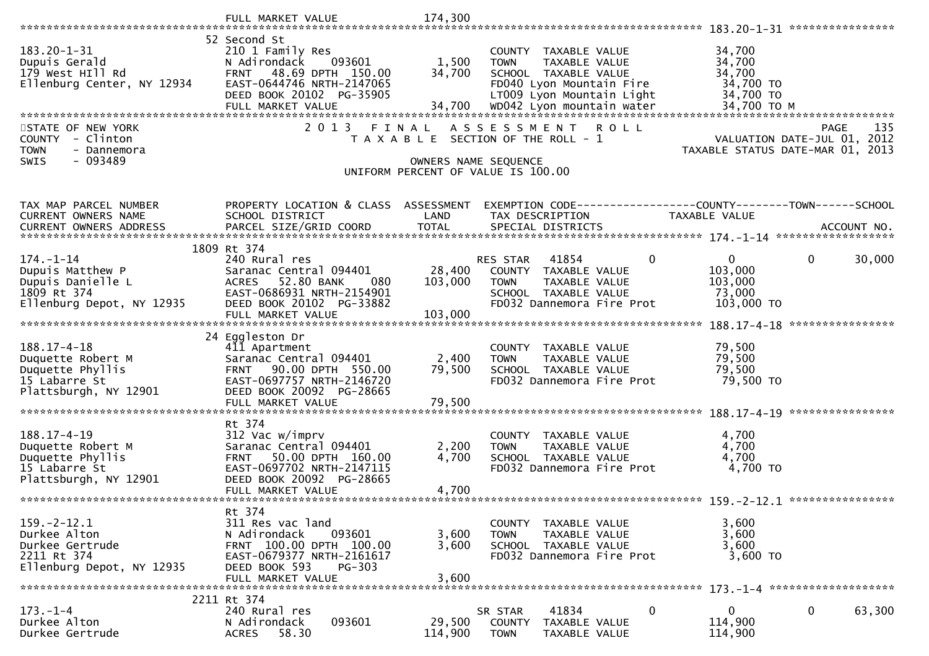|                                                                                                      | FULL MARKET VALUE                                                                                                                                                            | 174,300                      |                                                                                                                                                                    |              |                                                                     |             |             |
|------------------------------------------------------------------------------------------------------|------------------------------------------------------------------------------------------------------------------------------------------------------------------------------|------------------------------|--------------------------------------------------------------------------------------------------------------------------------------------------------------------|--------------|---------------------------------------------------------------------|-------------|-------------|
|                                                                                                      |                                                                                                                                                                              |                              |                                                                                                                                                                    |              |                                                                     |             |             |
| $183.20 - 1 - 31$<br>Dupuis Gerald<br>179 West HIll Rd<br>Ellenburg Center, NY 12934                 | 52 Second St<br>210 1 Family Res<br>N Adirondack<br>093601<br><b>FRNT</b><br>48.69 DPTH 150.00<br>EAST-0644746 NRTH-2147065<br>DEED BOOK 20102 PG-35905<br>FULL MARKET VALUE | 1,500<br>34,700<br>34,700    | COUNTY TAXABLE VALUE<br>TAXABLE VALUE<br><b>TOWN</b><br>SCHOOL TAXABLE VALUE<br>FD040 Lyon Mountain Fire<br>LT009 Lyon Mountain Light<br>WD042 Lyon mountain water |              | 34,700<br>34,700<br>34,700<br>34,700 TO<br>34,700 TO<br>34,700 TO M |             |             |
|                                                                                                      |                                                                                                                                                                              |                              |                                                                                                                                                                    |              |                                                                     |             |             |
| STATE OF NEW YORK<br><b>COUNTY</b><br>- Clinton<br><b>TOWN</b><br>- Dannemora<br>$-093489$<br>SWIS   | 2 0 1 3                                                                                                                                                                      | FINAL                        | A S S E S S M E N T<br>T A X A B L E SECTION OF THE ROLL - 1<br>OWNERS NAME SEQUENCE<br>UNIFORM PERCENT OF VALUE IS 100.00                                         | ROLL         | VALUATION DATE-JUL 01, 2012<br>TAXABLE STATUS DATE-MAR 01,          | PAGE        | 135<br>2013 |
|                                                                                                      |                                                                                                                                                                              |                              |                                                                                                                                                                    |              |                                                                     |             |             |
| TAX MAP PARCEL NUMBER<br>CURRENT OWNERS NAME<br><b>CURRENT OWNERS ADDRESS</b>                        | PROPERTY LOCATION & CLASS ASSESSMENT<br>SCHOOL DISTRICT<br>PARCEL SIZE/GRID COORD                                                                                            | LAND<br><b>TOTAL</b>         | TAX DESCRIPTION<br>SPECIAL DISTRICTS                                                                                                                               |              | TAXABLE VALUE                                                       | ACCOUNT NO. |             |
|                                                                                                      | 1809 Rt 374                                                                                                                                                                  |                              |                                                                                                                                                                    |              |                                                                     |             |             |
| $174. - 1 - 14$<br>Dupuis Matthew P<br>Dupuis Danielle L<br>1809 Rt 374<br>Ellenburg Depot, NY 12935 | 240 Rural res<br>Saranac Central 094401<br>52.80 BANK<br>080<br><b>ACRES</b><br>EAST-0686931 NRTH-2154901<br>DEED BOOK 20102 PG-33882<br>FULL MARKET VALUE                   | 28,400<br>103,000<br>103,000 | 41854<br><b>RES STAR</b><br>COUNTY TAXABLE VALUE<br>TAXABLE VALUE<br><b>TOWN</b><br>SCHOOL TAXABLE VALUE<br>FD032 Dannemora Fire Prot                              | $\mathbf{0}$ | $\mathbf{0}$<br>103,000<br>103,000<br>73,000<br>103,000 TO          | 0           | 30,000      |
|                                                                                                      |                                                                                                                                                                              |                              |                                                                                                                                                                    |              |                                                                     |             |             |
| $188.17 - 4 - 18$<br>Duquette Robert M<br>Duquette Phyllis<br>15 Labarre St<br>Plattsburgh, NY 12901 | 24 Eggleston Dr<br>411 Apartment<br>Saranac Central 094401<br>FRNT 90.00 DPTH 550.00<br>EAST-0697757 NRTH-2146720<br>DEED BOOK 20092 PG-28665                                | 2,400<br>79,500              | COUNTY TAXABLE VALUE<br>TAXABLE VALUE<br><b>TOWN</b><br>SCHOOL TAXABLE VALUE<br>FD032 Dannemora Fire Prot                                                          |              | 79,500<br>79,500<br>79,500<br>79,500 TO                             |             |             |
|                                                                                                      |                                                                                                                                                                              |                              |                                                                                                                                                                    |              |                                                                     |             |             |
| $188.17 - 4 - 19$<br>Duquette Robert M<br>Duquette Phyllis<br>15 Labarre St<br>Plattsburgh, NY 12901 | Rt 374<br>312 Vac w/imprv<br>Saranac Central 094401<br>50.00 DPTH 160.00<br><b>FRNT</b><br>EAST-0697702 NRTH-2147115<br>DEED BOOK 20092 PG-28665<br>FULL MARKET VALUE        | 2,200<br>4,700<br>4,700      | COUNTY TAXABLE VALUE<br><b>TOWN</b><br><b>TAXABLE VALUE</b><br>SCHOOL TAXABLE VALUE<br>FD032 Dannemora Fire Prot                                                   |              | 4,700<br>4,700<br>4,700<br>4,700 TO                                 |             |             |
|                                                                                                      | Rt 374                                                                                                                                                                       |                              |                                                                                                                                                                    |              |                                                                     |             |             |
| $159. - 2 - 12.1$<br>Durkee Alton<br>Durkee Gertrude<br>2211 Rt 374<br>Ellenburg Depot, NY 12935     | 311 Res vac land<br>N Adirondack<br>093601<br>FRNT 100.00 DPTH 100.00<br>EAST-0679377 NRTH-2161617<br>DEED BOOK 593<br>$PG-303$<br>FULL MARKET VALUE                         | 3,600<br>3,600<br>3,600      | COUNTY TAXABLE VALUE<br>TAXABLE VALUE<br><b>TOWN</b><br>SCHOOL TAXABLE VALUE<br>FD032 Dannemora Fire Prot                                                          |              | 3,600<br>3,600<br>3,600<br>3,600 TO                                 |             |             |
|                                                                                                      | 2211 Rt 374                                                                                                                                                                  |                              |                                                                                                                                                                    |              |                                                                     |             |             |
| $173. - 1 - 4$<br>Durkee Alton<br>Durkee Gertrude                                                    | 240 Rural res<br>093601<br>N Adirondack<br>58.30<br><b>ACRES</b>                                                                                                             | 29,500<br>114,900            | 41834<br>SR STAR<br>COUNTY<br>TAXABLE VALUE<br><b>TOWN</b><br>TAXABLE VALUE                                                                                        | $\mathbf{0}$ | $\bf{0}$<br>114,900<br>114,900                                      | 0           | 63,300      |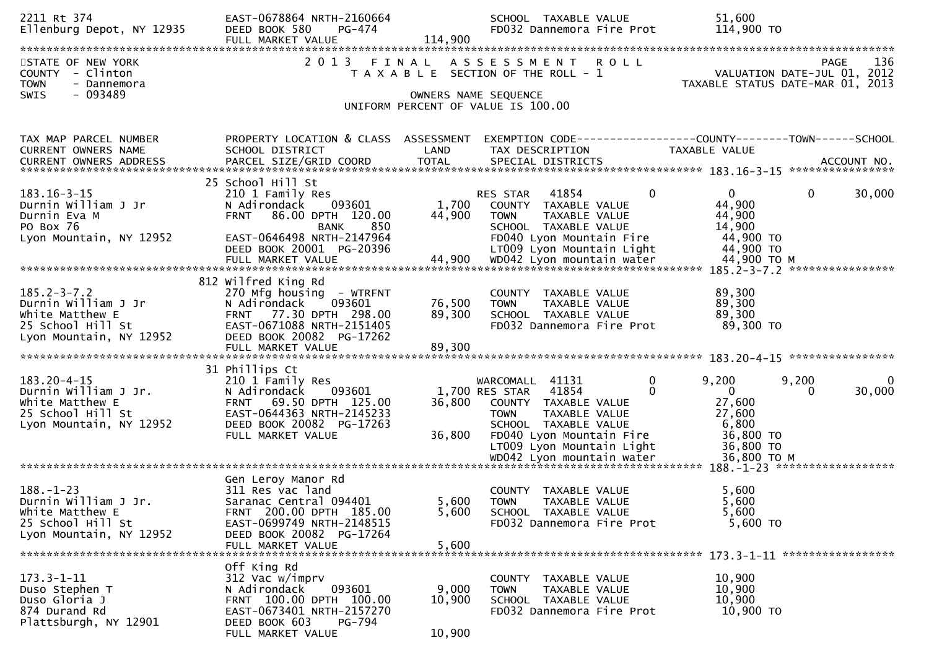| 2211 Rt 374<br>Ellenburg Depot, NY 12935                                                                     | EAST-0678864 NRTH-2160664<br>DEED BOOK 580<br>PG-474<br>FULL MARKET VALUE                                                                                                          | 114,900                   | SCHOOL TAXABLE VALUE<br>FD032 Dannemora Fire Prot                                                                                                                                             | 51,600<br>114,900 TO                                                                                      |
|--------------------------------------------------------------------------------------------------------------|------------------------------------------------------------------------------------------------------------------------------------------------------------------------------------|---------------------------|-----------------------------------------------------------------------------------------------------------------------------------------------------------------------------------------------|-----------------------------------------------------------------------------------------------------------|
| STATE OF NEW YORK<br>COUNTY - Clinton<br><b>TOWN</b><br>- Dannemora<br>$-093489$<br><b>SWIS</b>              | 2 0 1 3                                                                                                                                                                            |                           | FINAL ASSESSMENT<br><b>ROLL</b><br>T A X A B L E SECTION OF THE ROLL - 1<br>OWNERS NAME SEQUENCE<br>UNIFORM PERCENT OF VALUE IS 100.00                                                        | 136<br><b>PAGE</b><br>VALUATION DATE-JUL 01, 2012<br>TAXABLE STATUS DATE-MAR 01, 2013                     |
| TAX MAP PARCEL NUMBER<br>CURRENT OWNERS NAME                                                                 | PROPERTY LOCATION & CLASS ASSESSMENT<br>SCHOOL DISTRICT                                                                                                                            | LAND                      | TAX DESCRIPTION                                                                                                                                                                               | EXEMPTION CODE------------------COUNTY--------TOWN------SCHOOL<br>TAXABLE VALUE                           |
| $183.16 - 3 - 15$<br>Durnin William J Jr<br>Durnin Eva M<br>PO Box 76<br>Lyon Mountain, NY 12952             | 25 School Hill St<br>210 1 Family Res<br>093601<br>N Adirondack<br><b>FRNT</b><br>86.00 DPTH 120.00<br>850<br><b>BANK</b><br>EAST-0646498 NRTH-2147964<br>DEED BOOK 20001 PG-20396 | 1,700<br>44,900           | $\mathbf{0}$<br>41854<br>RES STAR<br>COUNTY TAXABLE VALUE<br><b>TOWN</b><br>TAXABLE VALUE<br>SCHOOL TAXABLE VALUE<br>FD040 Lyon Mountain Fire<br>LT009 Lyon Mountain Light                    | $\mathbf{0}$<br>$\mathbf{0}$<br>30,000<br>44,900<br>44,900<br>14,900<br>44,900 TO<br>44,900 TO            |
| $185.2 - 3 - 7.2$<br>Durnin William J Jr<br>White Matthew E<br>25 School Hill St<br>Lyon Mountain, NY 12952  | 812 Wilfred King Rd<br>270 Mfg housing - WTRFNT<br>093601<br>N Adirondack<br>FRNT 77.30 DPTH 298.00<br>EAST-0671088 NRTH-2151405<br>DEED BOOK 20082 PG-17262                       | 76,500<br>89,300          | COUNTY TAXABLE VALUE<br><b>TOWN</b><br><b>TAXABLE VALUE</b><br>SCHOOL TAXABLE VALUE<br>FD032 Dannemora Fire Prot                                                                              | 89,300<br>89,300<br>89,300<br>89,300 TO                                                                   |
| $183.20 - 4 - 15$<br>Durnin William J Jr.<br>White Matthew E<br>25 School Hill St<br>Lyon Mountain, NY 12952 | 31 Phillips Ct<br>210 1 Family Res<br>093601<br>N Adirondack<br>69.50 DPTH 125.00<br><b>FRNT</b><br>EAST-0644363 NRTH-2145233<br>DEED BOOK 20082 PG-17263<br>FULL MARKET VALUE     | 36,800<br>36,800          | 0<br>WARCOMALL 41131<br>41854<br>0<br>1,700 RES STAR<br>COUNTY TAXABLE VALUE<br><b>TOWN</b><br>TAXABLE VALUE<br>SCHOOL TAXABLE VALUE<br>FD040 Lyon Mountain Fire<br>LT009 Lyon Mountain Light | 9,200<br>9,200<br>0<br>$\mathbf{0}$<br>30,000<br>0<br>27,600<br>27,600<br>6,800<br>36,800 TO<br>36,800 TO |
| $188. - 1 - 23$<br>Durnin William J Jr.<br>White Matthew E<br>25 School Hill St<br>Lyon Mountain, NY 12952   | Gen Leroy Manor Rd<br>311 Res vac land<br>Saranac Central 094401<br>FRNT 200.00 DPTH 185.00<br>EAST-0699749 NRTH-2148515<br>DEED BOOK 20082 PG-17264<br>FULL MARKET VALUE          | 5,600<br>5,600<br>5,600   | COUNTY TAXABLE VALUE<br><b>TOWN</b><br>TAXABLE VALUE<br>SCHOOL TAXABLE VALUE<br>FD032 Dannemora Fire Prot                                                                                     | 5,600<br>5,600<br>5,600<br>5,600 TO                                                                       |
| $173.3 - 1 - 11$<br>Duso Stephen T<br>Duso Gloria J<br>874 Durand Rd<br>Plattsburgh, NY 12901                | Off King Rd<br>312 Vac w/imprv<br>093601<br>N Adirondack<br>FRNT 100.00 DPTH 100.00<br>EAST-0673401 NRTH-2157270<br>DEED BOOK 603<br>PG-794<br>FULL MARKET VALUE                   | 9,000<br>10,900<br>10,900 | COUNTY TAXABLE VALUE<br>TAXABLE VALUE<br><b>TOWN</b><br>SCHOOL TAXABLE VALUE<br>FD032 Dannemora Fire Prot                                                                                     | 10,900<br>10,900<br>10,900<br>10,900 TO                                                                   |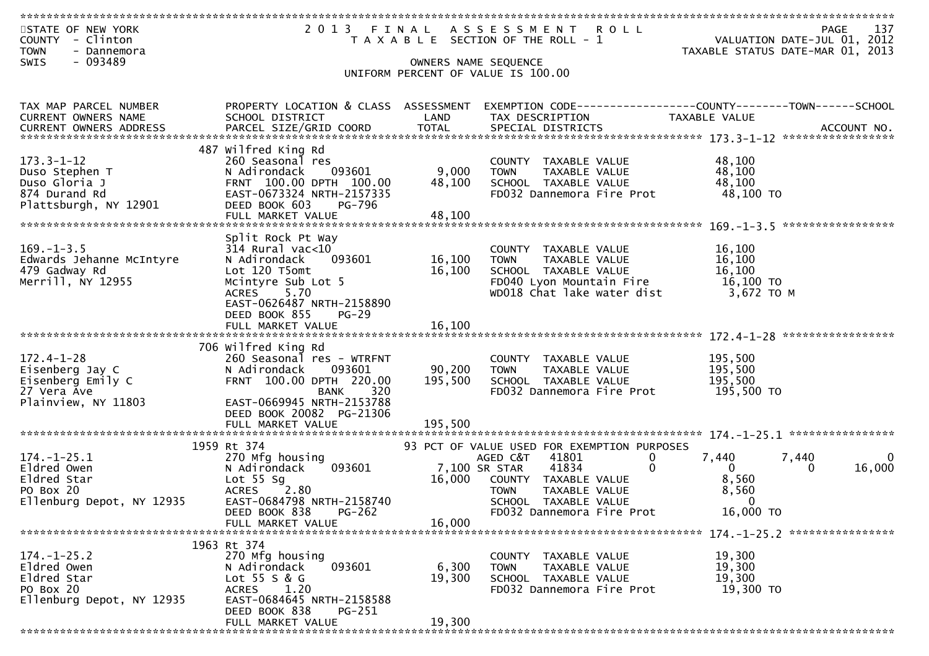| 2013 FINAL ASSESSMENT ROLL<br>137<br>STATE OF NEW YORK<br>PAGE<br>VALUATION DATE-JUL 01, 2012<br>COUNTY - Clinton<br>T A X A B L E SECTION OF THE ROLL - 1<br><b>TOWN</b><br>- Dannemora<br>TAXABLE STATUS DATE-MAR 01, 2013<br>$-093489$<br>SWIS<br>OWNERS NAME SEQUENCE<br>UNIFORM PERCENT OF VALUE IS 100.00<br>PROPERTY LOCATION & CLASS ASSESSMENT<br>TAX MAP PARCEL NUMBER<br>CURRENT OWNERS NAME<br>SCHOOL DISTRICT<br>LAND<br>TAX DESCRIPTION<br><b>TAXABLE VALUE</b><br>487 Wilfred King Rd<br>$173.3 - 1 - 12$<br>48,100<br>260 Seasonal res<br>COUNTY TAXABLE VALUE<br>48,100<br>093601<br>9,000<br>Duso Stephen T<br>N Adirondack<br><b>TOWN</b><br>TAXABLE VALUE<br>48,100<br>Duso Gloria J<br>FRNT 100.00 DPTH 100.00<br>48,100<br>SCHOOL TAXABLE VALUE<br>48,100 TO<br>FD032 Dannemora Fire Prot<br>874 Durand Rd<br>EAST-0673324 NRTH-2157335<br>Plattsburgh, NY 12901<br>DEED BOOK 603<br><b>PG-796</b><br>Split Rock Pt Way<br>$169. - 1 - 3.5$<br>$314$ Rural vac< $10$<br>16,100<br>COUNTY TAXABLE VALUE<br>Edwards Jehanne McIntyre<br>093601<br>16,100<br>16,100<br>N Adirondack<br>TAXABLE VALUE<br><b>TOWN</b><br>479 Gadway Rd<br>16,100<br>16,100<br>Lot 120 T5omt<br>SCHOOL TAXABLE VALUE<br>Merrill, NY 12955<br>FD040 Lyon Mountain Fire<br>16,100 TO<br>Mcintyre Sub Lot 5<br>5.70<br>WD018 Chat lake water dist<br>3,672 TO M<br><b>ACRES</b><br>EAST-0626487 NRTH-2158890<br>DEED BOOK 855<br>$PG-29$<br>16,100<br>FULL MARKET VALUE<br>706 Wilfred King Rd<br>$172.4 - 1 - 28$<br>195,500<br>260 Seasonal res - WTRFNT<br>COUNTY TAXABLE VALUE<br>90,200<br>195,500<br>Eisenberg Jay C<br>N Adirondack<br>093601<br><b>TOWN</b><br>TAXABLE VALUE<br>FRNT 100.00 DPTH 220.00<br>195,500<br>Eisenberg Emily C<br>195,500<br>SCHOOL TAXABLE VALUE<br>27 Vera Ave<br>FD032 Dannemora Fire Prot<br>195,500 TO<br>320<br>BANK<br>Plainview, NY 11803<br>EAST-0669945 NRTH-2153788<br>DEED BOOK 20082 PG-21306<br>FULL MARKET VALUE<br>195,500<br>1959 Rt 374<br>93 PCT OF VALUE USED FOR EXEMPTION PURPOSES<br>$174. - 1 - 25.1$<br>270 Mfg housing<br>41801<br>AGED C&T<br>$\mathbf{0}$<br>7,440<br>7,440<br>0<br>093601<br>$\mathbf{0}$<br>Eldred Owen<br>7,100 SR STAR<br>41834<br>16,000<br>N Adirondack<br>$\Omega$<br>0<br>Eldred Star<br>Lot 55 Sg<br>8,560<br>16,000<br>COUNTY TAXABLE VALUE<br>PO Box 20<br><b>ACRES</b><br>2.80<br>TAXABLE VALUE<br>8,560<br><b>TOWN</b><br>EAST-0684798 NRTH-2158740<br>Ellenburg Depot, NY 12935<br>$\Omega$<br>SCHOOL TAXABLE VALUE<br>PG-262<br>FD032 Dannemora Fire Prot<br>16,000 TO<br>DEED BOOK 838<br>FULL MARKET VALUE<br>16,000<br>1963 Rt 374<br>270 Mfg housing<br>$174. - 1 - 25.2$<br>19,300<br>COUNTY TAXABLE VALUE<br>Eldred Owen<br>093601<br>6,300<br>19,300<br>N Adirondack<br>TAXABLE VALUE<br>TOWN<br>Eldred Star<br>Lot 55 S & G<br>19,300<br>19,300<br>SCHOOL TAXABLE VALUE<br>PO Box 20<br>ACRES 1.20<br>FD032 Dannemora Fire Prot<br>19,300 TO<br>Ellenburg Depot, NY 12935<br>EAST-0684645 NRTH-2158588<br>DEED BOOK 838<br><b>PG-251</b><br>19,300<br>FULL MARKET VALUE |  |  |  |
|--------------------------------------------------------------------------------------------------------------------------------------------------------------------------------------------------------------------------------------------------------------------------------------------------------------------------------------------------------------------------------------------------------------------------------------------------------------------------------------------------------------------------------------------------------------------------------------------------------------------------------------------------------------------------------------------------------------------------------------------------------------------------------------------------------------------------------------------------------------------------------------------------------------------------------------------------------------------------------------------------------------------------------------------------------------------------------------------------------------------------------------------------------------------------------------------------------------------------------------------------------------------------------------------------------------------------------------------------------------------------------------------------------------------------------------------------------------------------------------------------------------------------------------------------------------------------------------------------------------------------------------------------------------------------------------------------------------------------------------------------------------------------------------------------------------------------------------------------------------------------------------------------------------------------------------------------------------------------------------------------------------------------------------------------------------------------------------------------------------------------------------------------------------------------------------------------------------------------------------------------------------------------------------------------------------------------------------------------------------------------------------------------------------------------------------------------------------------------------------------------------------------------------------------------------------------------------------------------------------------------------------------------------------------------------------------------------------------------------------------------------------------------------------------------------------------------------------------------------------------------------------------------------------------------------------------------------------------------------------------------------------------------------------------------------------------------|--|--|--|
|                                                                                                                                                                                                                                                                                                                                                                                                                                                                                                                                                                                                                                                                                                                                                                                                                                                                                                                                                                                                                                                                                                                                                                                                                                                                                                                                                                                                                                                                                                                                                                                                                                                                                                                                                                                                                                                                                                                                                                                                                                                                                                                                                                                                                                                                                                                                                                                                                                                                                                                                                                                                                                                                                                                                                                                                                                                                                                                                                                                                                                                                          |  |  |  |
|                                                                                                                                                                                                                                                                                                                                                                                                                                                                                                                                                                                                                                                                                                                                                                                                                                                                                                                                                                                                                                                                                                                                                                                                                                                                                                                                                                                                                                                                                                                                                                                                                                                                                                                                                                                                                                                                                                                                                                                                                                                                                                                                                                                                                                                                                                                                                                                                                                                                                                                                                                                                                                                                                                                                                                                                                                                                                                                                                                                                                                                                          |  |  |  |
|                                                                                                                                                                                                                                                                                                                                                                                                                                                                                                                                                                                                                                                                                                                                                                                                                                                                                                                                                                                                                                                                                                                                                                                                                                                                                                                                                                                                                                                                                                                                                                                                                                                                                                                                                                                                                                                                                                                                                                                                                                                                                                                                                                                                                                                                                                                                                                                                                                                                                                                                                                                                                                                                                                                                                                                                                                                                                                                                                                                                                                                                          |  |  |  |
|                                                                                                                                                                                                                                                                                                                                                                                                                                                                                                                                                                                                                                                                                                                                                                                                                                                                                                                                                                                                                                                                                                                                                                                                                                                                                                                                                                                                                                                                                                                                                                                                                                                                                                                                                                                                                                                                                                                                                                                                                                                                                                                                                                                                                                                                                                                                                                                                                                                                                                                                                                                                                                                                                                                                                                                                                                                                                                                                                                                                                                                                          |  |  |  |
|                                                                                                                                                                                                                                                                                                                                                                                                                                                                                                                                                                                                                                                                                                                                                                                                                                                                                                                                                                                                                                                                                                                                                                                                                                                                                                                                                                                                                                                                                                                                                                                                                                                                                                                                                                                                                                                                                                                                                                                                                                                                                                                                                                                                                                                                                                                                                                                                                                                                                                                                                                                                                                                                                                                                                                                                                                                                                                                                                                                                                                                                          |  |  |  |
|                                                                                                                                                                                                                                                                                                                                                                                                                                                                                                                                                                                                                                                                                                                                                                                                                                                                                                                                                                                                                                                                                                                                                                                                                                                                                                                                                                                                                                                                                                                                                                                                                                                                                                                                                                                                                                                                                                                                                                                                                                                                                                                                                                                                                                                                                                                                                                                                                                                                                                                                                                                                                                                                                                                                                                                                                                                                                                                                                                                                                                                                          |  |  |  |
|                                                                                                                                                                                                                                                                                                                                                                                                                                                                                                                                                                                                                                                                                                                                                                                                                                                                                                                                                                                                                                                                                                                                                                                                                                                                                                                                                                                                                                                                                                                                                                                                                                                                                                                                                                                                                                                                                                                                                                                                                                                                                                                                                                                                                                                                                                                                                                                                                                                                                                                                                                                                                                                                                                                                                                                                                                                                                                                                                                                                                                                                          |  |  |  |
|                                                                                                                                                                                                                                                                                                                                                                                                                                                                                                                                                                                                                                                                                                                                                                                                                                                                                                                                                                                                                                                                                                                                                                                                                                                                                                                                                                                                                                                                                                                                                                                                                                                                                                                                                                                                                                                                                                                                                                                                                                                                                                                                                                                                                                                                                                                                                                                                                                                                                                                                                                                                                                                                                                                                                                                                                                                                                                                                                                                                                                                                          |  |  |  |
|                                                                                                                                                                                                                                                                                                                                                                                                                                                                                                                                                                                                                                                                                                                                                                                                                                                                                                                                                                                                                                                                                                                                                                                                                                                                                                                                                                                                                                                                                                                                                                                                                                                                                                                                                                                                                                                                                                                                                                                                                                                                                                                                                                                                                                                                                                                                                                                                                                                                                                                                                                                                                                                                                                                                                                                                                                                                                                                                                                                                                                                                          |  |  |  |
|                                                                                                                                                                                                                                                                                                                                                                                                                                                                                                                                                                                                                                                                                                                                                                                                                                                                                                                                                                                                                                                                                                                                                                                                                                                                                                                                                                                                                                                                                                                                                                                                                                                                                                                                                                                                                                                                                                                                                                                                                                                                                                                                                                                                                                                                                                                                                                                                                                                                                                                                                                                                                                                                                                                                                                                                                                                                                                                                                                                                                                                                          |  |  |  |
|                                                                                                                                                                                                                                                                                                                                                                                                                                                                                                                                                                                                                                                                                                                                                                                                                                                                                                                                                                                                                                                                                                                                                                                                                                                                                                                                                                                                                                                                                                                                                                                                                                                                                                                                                                                                                                                                                                                                                                                                                                                                                                                                                                                                                                                                                                                                                                                                                                                                                                                                                                                                                                                                                                                                                                                                                                                                                                                                                                                                                                                                          |  |  |  |
|                                                                                                                                                                                                                                                                                                                                                                                                                                                                                                                                                                                                                                                                                                                                                                                                                                                                                                                                                                                                                                                                                                                                                                                                                                                                                                                                                                                                                                                                                                                                                                                                                                                                                                                                                                                                                                                                                                                                                                                                                                                                                                                                                                                                                                                                                                                                                                                                                                                                                                                                                                                                                                                                                                                                                                                                                                                                                                                                                                                                                                                                          |  |  |  |
|                                                                                                                                                                                                                                                                                                                                                                                                                                                                                                                                                                                                                                                                                                                                                                                                                                                                                                                                                                                                                                                                                                                                                                                                                                                                                                                                                                                                                                                                                                                                                                                                                                                                                                                                                                                                                                                                                                                                                                                                                                                                                                                                                                                                                                                                                                                                                                                                                                                                                                                                                                                                                                                                                                                                                                                                                                                                                                                                                                                                                                                                          |  |  |  |
|                                                                                                                                                                                                                                                                                                                                                                                                                                                                                                                                                                                                                                                                                                                                                                                                                                                                                                                                                                                                                                                                                                                                                                                                                                                                                                                                                                                                                                                                                                                                                                                                                                                                                                                                                                                                                                                                                                                                                                                                                                                                                                                                                                                                                                                                                                                                                                                                                                                                                                                                                                                                                                                                                                                                                                                                                                                                                                                                                                                                                                                                          |  |  |  |
|                                                                                                                                                                                                                                                                                                                                                                                                                                                                                                                                                                                                                                                                                                                                                                                                                                                                                                                                                                                                                                                                                                                                                                                                                                                                                                                                                                                                                                                                                                                                                                                                                                                                                                                                                                                                                                                                                                                                                                                                                                                                                                                                                                                                                                                                                                                                                                                                                                                                                                                                                                                                                                                                                                                                                                                                                                                                                                                                                                                                                                                                          |  |  |  |
|                                                                                                                                                                                                                                                                                                                                                                                                                                                                                                                                                                                                                                                                                                                                                                                                                                                                                                                                                                                                                                                                                                                                                                                                                                                                                                                                                                                                                                                                                                                                                                                                                                                                                                                                                                                                                                                                                                                                                                                                                                                                                                                                                                                                                                                                                                                                                                                                                                                                                                                                                                                                                                                                                                                                                                                                                                                                                                                                                                                                                                                                          |  |  |  |
|                                                                                                                                                                                                                                                                                                                                                                                                                                                                                                                                                                                                                                                                                                                                                                                                                                                                                                                                                                                                                                                                                                                                                                                                                                                                                                                                                                                                                                                                                                                                                                                                                                                                                                                                                                                                                                                                                                                                                                                                                                                                                                                                                                                                                                                                                                                                                                                                                                                                                                                                                                                                                                                                                                                                                                                                                                                                                                                                                                                                                                                                          |  |  |  |
|                                                                                                                                                                                                                                                                                                                                                                                                                                                                                                                                                                                                                                                                                                                                                                                                                                                                                                                                                                                                                                                                                                                                                                                                                                                                                                                                                                                                                                                                                                                                                                                                                                                                                                                                                                                                                                                                                                                                                                                                                                                                                                                                                                                                                                                                                                                                                                                                                                                                                                                                                                                                                                                                                                                                                                                                                                                                                                                                                                                                                                                                          |  |  |  |
|                                                                                                                                                                                                                                                                                                                                                                                                                                                                                                                                                                                                                                                                                                                                                                                                                                                                                                                                                                                                                                                                                                                                                                                                                                                                                                                                                                                                                                                                                                                                                                                                                                                                                                                                                                                                                                                                                                                                                                                                                                                                                                                                                                                                                                                                                                                                                                                                                                                                                                                                                                                                                                                                                                                                                                                                                                                                                                                                                                                                                                                                          |  |  |  |
|                                                                                                                                                                                                                                                                                                                                                                                                                                                                                                                                                                                                                                                                                                                                                                                                                                                                                                                                                                                                                                                                                                                                                                                                                                                                                                                                                                                                                                                                                                                                                                                                                                                                                                                                                                                                                                                                                                                                                                                                                                                                                                                                                                                                                                                                                                                                                                                                                                                                                                                                                                                                                                                                                                                                                                                                                                                                                                                                                                                                                                                                          |  |  |  |
|                                                                                                                                                                                                                                                                                                                                                                                                                                                                                                                                                                                                                                                                                                                                                                                                                                                                                                                                                                                                                                                                                                                                                                                                                                                                                                                                                                                                                                                                                                                                                                                                                                                                                                                                                                                                                                                                                                                                                                                                                                                                                                                                                                                                                                                                                                                                                                                                                                                                                                                                                                                                                                                                                                                                                                                                                                                                                                                                                                                                                                                                          |  |  |  |
|                                                                                                                                                                                                                                                                                                                                                                                                                                                                                                                                                                                                                                                                                                                                                                                                                                                                                                                                                                                                                                                                                                                                                                                                                                                                                                                                                                                                                                                                                                                                                                                                                                                                                                                                                                                                                                                                                                                                                                                                                                                                                                                                                                                                                                                                                                                                                                                                                                                                                                                                                                                                                                                                                                                                                                                                                                                                                                                                                                                                                                                                          |  |  |  |
|                                                                                                                                                                                                                                                                                                                                                                                                                                                                                                                                                                                                                                                                                                                                                                                                                                                                                                                                                                                                                                                                                                                                                                                                                                                                                                                                                                                                                                                                                                                                                                                                                                                                                                                                                                                                                                                                                                                                                                                                                                                                                                                                                                                                                                                                                                                                                                                                                                                                                                                                                                                                                                                                                                                                                                                                                                                                                                                                                                                                                                                                          |  |  |  |
|                                                                                                                                                                                                                                                                                                                                                                                                                                                                                                                                                                                                                                                                                                                                                                                                                                                                                                                                                                                                                                                                                                                                                                                                                                                                                                                                                                                                                                                                                                                                                                                                                                                                                                                                                                                                                                                                                                                                                                                                                                                                                                                                                                                                                                                                                                                                                                                                                                                                                                                                                                                                                                                                                                                                                                                                                                                                                                                                                                                                                                                                          |  |  |  |
|                                                                                                                                                                                                                                                                                                                                                                                                                                                                                                                                                                                                                                                                                                                                                                                                                                                                                                                                                                                                                                                                                                                                                                                                                                                                                                                                                                                                                                                                                                                                                                                                                                                                                                                                                                                                                                                                                                                                                                                                                                                                                                                                                                                                                                                                                                                                                                                                                                                                                                                                                                                                                                                                                                                                                                                                                                                                                                                                                                                                                                                                          |  |  |  |
|                                                                                                                                                                                                                                                                                                                                                                                                                                                                                                                                                                                                                                                                                                                                                                                                                                                                                                                                                                                                                                                                                                                                                                                                                                                                                                                                                                                                                                                                                                                                                                                                                                                                                                                                                                                                                                                                                                                                                                                                                                                                                                                                                                                                                                                                                                                                                                                                                                                                                                                                                                                                                                                                                                                                                                                                                                                                                                                                                                                                                                                                          |  |  |  |
|                                                                                                                                                                                                                                                                                                                                                                                                                                                                                                                                                                                                                                                                                                                                                                                                                                                                                                                                                                                                                                                                                                                                                                                                                                                                                                                                                                                                                                                                                                                                                                                                                                                                                                                                                                                                                                                                                                                                                                                                                                                                                                                                                                                                                                                                                                                                                                                                                                                                                                                                                                                                                                                                                                                                                                                                                                                                                                                                                                                                                                                                          |  |  |  |
|                                                                                                                                                                                                                                                                                                                                                                                                                                                                                                                                                                                                                                                                                                                                                                                                                                                                                                                                                                                                                                                                                                                                                                                                                                                                                                                                                                                                                                                                                                                                                                                                                                                                                                                                                                                                                                                                                                                                                                                                                                                                                                                                                                                                                                                                                                                                                                                                                                                                                                                                                                                                                                                                                                                                                                                                                                                                                                                                                                                                                                                                          |  |  |  |
|                                                                                                                                                                                                                                                                                                                                                                                                                                                                                                                                                                                                                                                                                                                                                                                                                                                                                                                                                                                                                                                                                                                                                                                                                                                                                                                                                                                                                                                                                                                                                                                                                                                                                                                                                                                                                                                                                                                                                                                                                                                                                                                                                                                                                                                                                                                                                                                                                                                                                                                                                                                                                                                                                                                                                                                                                                                                                                                                                                                                                                                                          |  |  |  |
|                                                                                                                                                                                                                                                                                                                                                                                                                                                                                                                                                                                                                                                                                                                                                                                                                                                                                                                                                                                                                                                                                                                                                                                                                                                                                                                                                                                                                                                                                                                                                                                                                                                                                                                                                                                                                                                                                                                                                                                                                                                                                                                                                                                                                                                                                                                                                                                                                                                                                                                                                                                                                                                                                                                                                                                                                                                                                                                                                                                                                                                                          |  |  |  |
|                                                                                                                                                                                                                                                                                                                                                                                                                                                                                                                                                                                                                                                                                                                                                                                                                                                                                                                                                                                                                                                                                                                                                                                                                                                                                                                                                                                                                                                                                                                                                                                                                                                                                                                                                                                                                                                                                                                                                                                                                                                                                                                                                                                                                                                                                                                                                                                                                                                                                                                                                                                                                                                                                                                                                                                                                                                                                                                                                                                                                                                                          |  |  |  |
|                                                                                                                                                                                                                                                                                                                                                                                                                                                                                                                                                                                                                                                                                                                                                                                                                                                                                                                                                                                                                                                                                                                                                                                                                                                                                                                                                                                                                                                                                                                                                                                                                                                                                                                                                                                                                                                                                                                                                                                                                                                                                                                                                                                                                                                                                                                                                                                                                                                                                                                                                                                                                                                                                                                                                                                                                                                                                                                                                                                                                                                                          |  |  |  |
|                                                                                                                                                                                                                                                                                                                                                                                                                                                                                                                                                                                                                                                                                                                                                                                                                                                                                                                                                                                                                                                                                                                                                                                                                                                                                                                                                                                                                                                                                                                                                                                                                                                                                                                                                                                                                                                                                                                                                                                                                                                                                                                                                                                                                                                                                                                                                                                                                                                                                                                                                                                                                                                                                                                                                                                                                                                                                                                                                                                                                                                                          |  |  |  |
|                                                                                                                                                                                                                                                                                                                                                                                                                                                                                                                                                                                                                                                                                                                                                                                                                                                                                                                                                                                                                                                                                                                                                                                                                                                                                                                                                                                                                                                                                                                                                                                                                                                                                                                                                                                                                                                                                                                                                                                                                                                                                                                                                                                                                                                                                                                                                                                                                                                                                                                                                                                                                                                                                                                                                                                                                                                                                                                                                                                                                                                                          |  |  |  |
|                                                                                                                                                                                                                                                                                                                                                                                                                                                                                                                                                                                                                                                                                                                                                                                                                                                                                                                                                                                                                                                                                                                                                                                                                                                                                                                                                                                                                                                                                                                                                                                                                                                                                                                                                                                                                                                                                                                                                                                                                                                                                                                                                                                                                                                                                                                                                                                                                                                                                                                                                                                                                                                                                                                                                                                                                                                                                                                                                                                                                                                                          |  |  |  |
|                                                                                                                                                                                                                                                                                                                                                                                                                                                                                                                                                                                                                                                                                                                                                                                                                                                                                                                                                                                                                                                                                                                                                                                                                                                                                                                                                                                                                                                                                                                                                                                                                                                                                                                                                                                                                                                                                                                                                                                                                                                                                                                                                                                                                                                                                                                                                                                                                                                                                                                                                                                                                                                                                                                                                                                                                                                                                                                                                                                                                                                                          |  |  |  |
|                                                                                                                                                                                                                                                                                                                                                                                                                                                                                                                                                                                                                                                                                                                                                                                                                                                                                                                                                                                                                                                                                                                                                                                                                                                                                                                                                                                                                                                                                                                                                                                                                                                                                                                                                                                                                                                                                                                                                                                                                                                                                                                                                                                                                                                                                                                                                                                                                                                                                                                                                                                                                                                                                                                                                                                                                                                                                                                                                                                                                                                                          |  |  |  |
|                                                                                                                                                                                                                                                                                                                                                                                                                                                                                                                                                                                                                                                                                                                                                                                                                                                                                                                                                                                                                                                                                                                                                                                                                                                                                                                                                                                                                                                                                                                                                                                                                                                                                                                                                                                                                                                                                                                                                                                                                                                                                                                                                                                                                                                                                                                                                                                                                                                                                                                                                                                                                                                                                                                                                                                                                                                                                                                                                                                                                                                                          |  |  |  |
|                                                                                                                                                                                                                                                                                                                                                                                                                                                                                                                                                                                                                                                                                                                                                                                                                                                                                                                                                                                                                                                                                                                                                                                                                                                                                                                                                                                                                                                                                                                                                                                                                                                                                                                                                                                                                                                                                                                                                                                                                                                                                                                                                                                                                                                                                                                                                                                                                                                                                                                                                                                                                                                                                                                                                                                                                                                                                                                                                                                                                                                                          |  |  |  |
|                                                                                                                                                                                                                                                                                                                                                                                                                                                                                                                                                                                                                                                                                                                                                                                                                                                                                                                                                                                                                                                                                                                                                                                                                                                                                                                                                                                                                                                                                                                                                                                                                                                                                                                                                                                                                                                                                                                                                                                                                                                                                                                                                                                                                                                                                                                                                                                                                                                                                                                                                                                                                                                                                                                                                                                                                                                                                                                                                                                                                                                                          |  |  |  |
|                                                                                                                                                                                                                                                                                                                                                                                                                                                                                                                                                                                                                                                                                                                                                                                                                                                                                                                                                                                                                                                                                                                                                                                                                                                                                                                                                                                                                                                                                                                                                                                                                                                                                                                                                                                                                                                                                                                                                                                                                                                                                                                                                                                                                                                                                                                                                                                                                                                                                                                                                                                                                                                                                                                                                                                                                                                                                                                                                                                                                                                                          |  |  |  |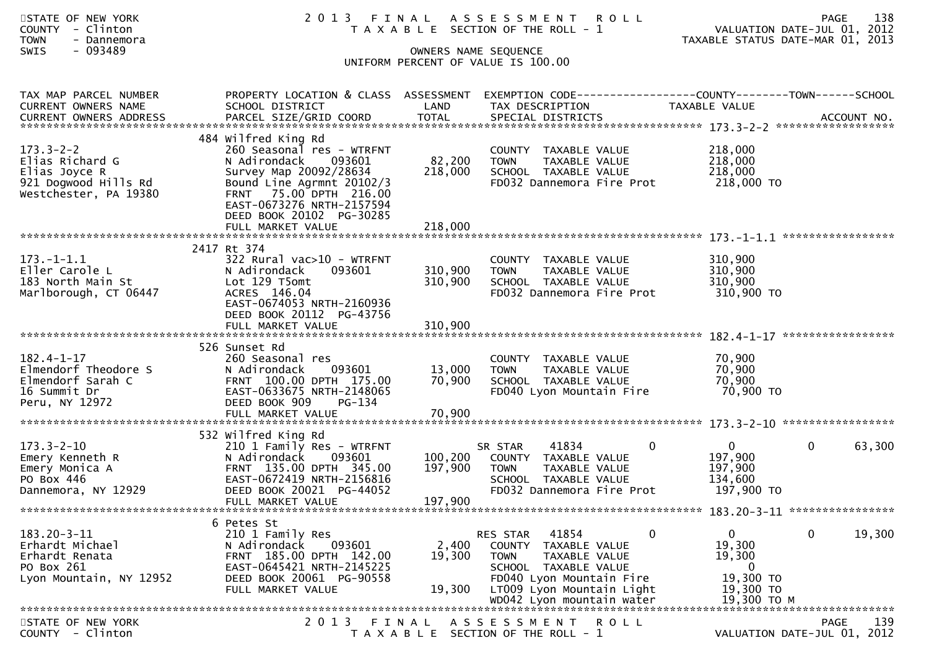| STATE OF NEW YORK<br><b>COUNTY</b><br>- Clinton<br><b>TOWN</b><br>- Dannemora<br>$-093489$<br>SWIS   |                                                                                                                                                                                                                      |                               | 2013 FINAL ASSESSMENT<br><b>ROLL</b><br>T A X A B L E SECTION OF THE ROLL - 1<br>OWNERS NAME SEQUENCE<br>UNIFORM PERCENT OF VALUE IS 100.00                                                  | 138<br><b>PAGE</b><br>VALUATION DATE-JUL 01, 2012<br>2013<br>TAXABLE STATUS DATE-MAR 01,      |
|------------------------------------------------------------------------------------------------------|----------------------------------------------------------------------------------------------------------------------------------------------------------------------------------------------------------------------|-------------------------------|----------------------------------------------------------------------------------------------------------------------------------------------------------------------------------------------|-----------------------------------------------------------------------------------------------|
| TAX MAP PARCEL NUMBER<br>CURRENT OWNERS NAME<br><b>CURRENT OWNERS ADDRESS</b>                        | PROPERTY LOCATION & CLASS ASSESSMENT<br>SCHOOL DISTRICT<br>PARCEL SIZE/GRID COORD                                                                                                                                    | LAND<br><b>TOTAL</b>          | TAX DESCRIPTION<br>SPECIAL DISTRICTS                                                                                                                                                         | EXEMPTION CODE-----------------COUNTY--------TOWN------SCHOOL<br>TAXABLE VALUE<br>ACCOUNT NO. |
| $173.3 - 2 - 2$<br>Elias Richard G<br>Elias Joyce R<br>921 Dogwood Hills Rd<br>Westchester, PA 19380 | 484 Wilfred King Rd<br>260 Seasonal res - WTRFNT<br>N Adirondack<br>093601<br>Survey Map 20092/28634<br>Bound Line Agrmnt 20102/3<br>FRNT 75.00 DPTH 216.00<br>EAST-0673276 NRTH-2157594<br>DEED BOOK 20102 PG-30285 | 82,200<br>218,000             | COUNTY TAXABLE VALUE<br><b>TOWN</b><br>TAXABLE VALUE<br>SCHOOL TAXABLE VALUE<br>FD032 Dannemora Fire Prot                                                                                    | 218,000<br>218,000<br>218,000<br>218,000 TO                                                   |
|                                                                                                      |                                                                                                                                                                                                                      |                               |                                                                                                                                                                                              |                                                                                               |
| $173.-1-1.1$<br>Eller Carole L<br>183 North Main St<br>Marlborough, CT 06447                         | 2417 Rt 374<br>$322$ Rural vac $>10$ - WTRFNT<br>N Adirondack<br>093601<br>Lot 129 T5omt<br>ACRES 146.04<br>EAST-0674053 NRTH-2160936<br>DEED BOOK 20112 PG-43756                                                    | 310,900<br>310,900            | COUNTY TAXABLE VALUE<br>TAXABLE VALUE<br><b>TOWN</b><br>SCHOOL TAXABLE VALUE<br>FD032 Dannemora Fire Prot                                                                                    | 310,900<br>310,900<br>310,900<br>310,900 TO                                                   |
|                                                                                                      | FULL MARKET VALUE                                                                                                                                                                                                    | 310,900                       |                                                                                                                                                                                              |                                                                                               |
| $182.4 - 1 - 17$<br>Elmendorf Theodore S<br>Elmendorf Sarah C<br>16 Summit Dr<br>Peru, NY 12972      | 526 Sunset Rd<br>260 Seasonal res<br>093601<br>N Adirondack<br>FRNT 100.00 DPTH 175.00<br>EAST-0633675 NRTH-2148065<br>DEED BOOK 909<br>PG-134<br>FULL MARKET VALUE                                                  | 13,000<br>70,900<br>70,900    | COUNTY TAXABLE VALUE<br>TAXABLE VALUE<br><b>TOWN</b><br>SCHOOL TAXABLE VALUE<br>FD040 Lyon Mountain Fire                                                                                     | 70,900<br>70,900<br>70,900<br>70,900 TO                                                       |
| $173.3 - 2 - 10$<br>Emery Kenneth R<br>Emery Monica A<br>PO Box 446<br>Dannemora, NY 12929           | 532 Wilfred King Rd<br>210 1 Family Res - WTRFNT<br>093601<br>N Adirondack<br>FRNT 135.00 DPTH 345.00<br>EAST-0672419 NRTH-2156816<br>DEED BOOK 20021 PG-44052<br>FULL MARKET VALUE                                  | 100,200<br>197,900<br>197,900 | 41834<br>SR STAR<br>0<br>COUNTY TAXABLE VALUE<br>TAXABLE VALUE<br>TOWN<br>SCHOOL TAXABLE VALUE<br>FD032 Dannemora Fire Prot                                                                  | $\mathbf{0}$<br>$\mathbf{0}$<br>63,300<br>197,900<br>197,900<br>134,600<br>197,900 TO         |
|                                                                                                      | 6 Petes St                                                                                                                                                                                                           |                               |                                                                                                                                                                                              |                                                                                               |
| $183.20 - 3 - 11$<br>Erhardt Michael<br>Erhardt Renata<br>PO Box 261<br>Lyon Mountain, NY 12952      | 210 1 Family Res<br>093601<br>N Adirondack<br>FRNT 185.00 DPTH 142.00<br>EAST-0645421 NRTH-2145225<br>DEED BOOK 20061 PG-90558<br>FULL MARKET VALUE                                                                  | 2,400<br>19,300<br>19,300     | 41854<br>RES STAR<br>0<br>COUNTY TAXABLE VALUE<br>TAXABLE VALUE<br><b>TOWN</b><br>SCHOOL TAXABLE VALUE<br>FD040 Lyon Mountain Fire<br>LT009 Lyon Mountain Light<br>WD042 Lyon mountain water | 19,300<br>$\mathbf{0}$<br>0<br>19,300<br>19,300<br>0<br>19,300 TO<br>19,300 TO<br>19,300 ТО М |
| STATE OF NEW YORK                                                                                    | 2013 FINAL                                                                                                                                                                                                           |                               | A S S E S S M E N T R O L L                                                                                                                                                                  | 139<br>PAGE                                                                                   |
| COUNTY - Clinton                                                                                     |                                                                                                                                                                                                                      |                               | T A X A B L E SECTION OF THE ROLL - 1                                                                                                                                                        | VALUATION DATE-JUL 01, 2012                                                                   |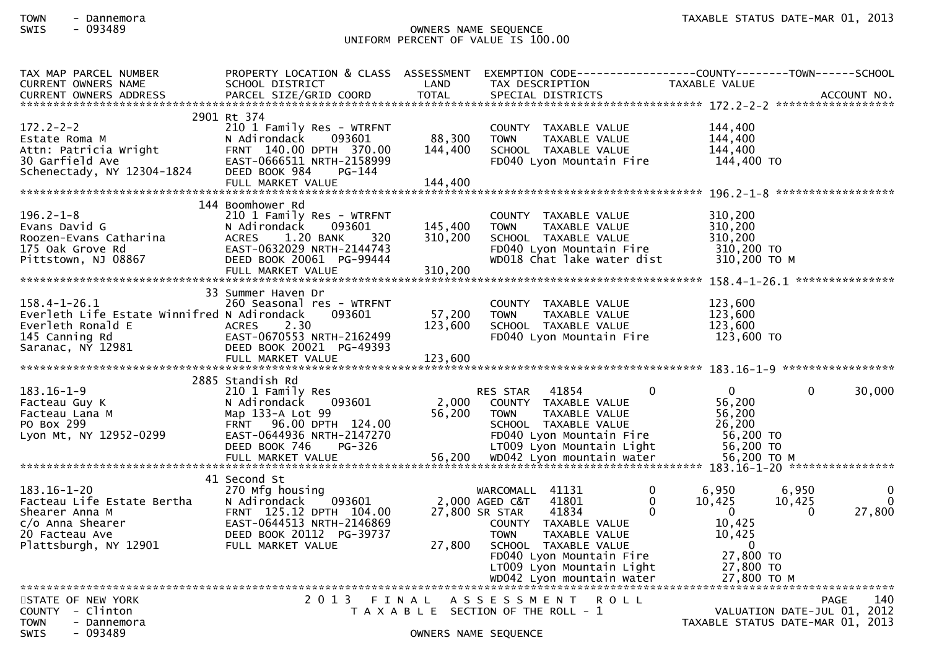## TOWN - Dannemora<br>SWIS - 093489 - 2013 - 2013 - 2019 - 2019 - 2019 - 2019 - 2019 - 2019 - 2019 - 2013<br>TAXABLE STATUS DATE-MAR 01, 2013 SWIS - 093489 OWNERS NAME SEQUENCE UNIFORM PERCENT OF VALUE IS 100.00

| LAND<br>CURRENT OWNERS NAME<br>SCHOOL DISTRICT<br>TAX DESCRIPTION<br>TAXABLE VALUE<br>2901 Rt 374<br>210 1 Family Res - WTRFNT<br>144,400<br>COUNTY TAXABLE VALUE<br>88,300<br>144,400<br>N Adirondack<br>093601<br><b>TOWN</b><br>TAXABLE VALUE<br>l72.2-2-2<br>Estate Roma Maright<br>Attn: Patricia Wright<br>^^ Carfield Ave<br>FRNT 140.00 DPTH 370.00<br>144,400<br>144.400<br>SCHOOL TAXABLE VALUE<br>144,400 TO<br>EAST-0666511 NRTH-2158999<br>FD040 Lyon Mountain Fire<br>DEED BOOK 984<br>PG-144<br>144 Boomhower Rd<br>$196.2 - 1 - 8$<br>310,200<br>210 1 Family Res - WTRFNT<br>COUNTY TAXABLE VALUE<br>145,400<br>310,200<br>Evans David G<br>093601<br>N Adirondack<br>TAXABLE VALUE<br><b>TOWN</b><br>1.20 BANK<br>320<br>310,200<br>310,200<br>Roozen-Evans Catharina<br><b>ACRES</b><br>SCHOOL TAXABLE VALUE<br>175 Oak Grove Rd<br>EAST-0632029 NRTH-2144743<br>FD040 Lyon Mountain Fire<br>310,200 TO<br>DEED BOOK 20061 PG-99444<br>WD018 Chat lake water dist<br>310,200 ТО М<br>Pittstown, NJ 08867<br>310,200<br>FULL MARKET VALUE<br>33 Summer Haven Dr<br>158.4-1-26.1<br>123,600<br>260 Seasonal res - WTRFNT<br>COUNTY TAXABLE VALUE<br>Everleth Life Estate Winnifred N Adirondack<br>57,200<br>123,600<br>093601<br><b>TOWN</b><br>TAXABLE VALUE<br>Everleth Ronald E<br>145 Canning Rd<br>Saranac, NY 12981<br><b>ACRES</b><br>2.30<br>123,600<br>123,600<br>SCHOOL TAXABLE VALUE<br>EAST-0670553 NRTH-2162499<br>FD040 Lyon Mountain Fire<br>123,600 TO<br>DEED BOOK 20021 PG-49393<br>2885 Standish Rd<br>30,000<br>$183.16 - 1 - 9$<br>$\mathbf{0}$<br>$\mathbf{0}$<br>$\mathbf{0}$<br>RES STAR 41854<br>210 1 Family Res<br>2,000<br>56,200<br>093601<br>COUNTY TAXABLE VALUE<br>Facteau Guy K<br>N Adirondack<br>56,200<br>56,200<br>Facteau Lana M<br>Map 133-A Lot 99<br><b>TOWN</b><br>TAXABLE VALUE<br>PO Box 299<br>26,200<br>FRNT 96.00 DPTH 124.00<br>SCHOOL TAXABLE VALUE<br>56,200 TO<br>Lyon Mt, NY 12952-0299<br>EAST-0644936 NRTH-2147270<br>FD040 Lyon Mountain Fire<br>DEED BOOK 746<br>PG-326<br>LT009 Lyon Mountain Light<br>56,200 TO<br>41 Second St<br>$183.16 - 1 - 20$<br>$\Omega$<br>6,950<br>6,950<br>270 Mfg housing<br>WARCOMALL 41131<br>$\Omega$<br>Facteau Life Estate Bertha<br>$\Omega$<br>10,425<br>$\Omega$<br>N Adirondack<br>093601<br>2,000 AGED C&T<br>41801<br>10,425<br>27,800<br>27,800 SR STAR<br>41834<br>0<br>$\overline{0}$<br>$\Omega$<br>10,425<br>COUNTY TAXABLE VALUE<br><b>TOWN</b><br>TAXABLE VALUE<br>10,425<br>27,800<br>$\mathbf{0}$<br>SCHOOL TAXABLE VALUE<br>27,800 TO<br>FD040 Lyon Mountain Fire<br>27,800 TO<br>LT009 Lyon Mountain Light<br>WD042 Lyon mountain water<br>27,800 TO M<br>2013 FINAL<br>STATE OF NEW YORK<br>A S S E S S M E N T R O L L<br>PAGE<br>140<br>COUNTY - Clinton<br>VALUATION DATE-JUL 01, 2012<br>T A X A B L E SECTION OF THE ROLL - 1<br>TAXABLE STATUS DATE-MAR 01, 2013<br><b>TOWN</b><br>- Dannemora<br>- 093489<br><b>SWIS</b><br>OWNERS NAME SEQUENCE | TAX MAP PARCEL NUMBER | PROPERTY LOCATION & CLASS ASSESSMENT | EXEMPTION CODE-----------------COUNTY-------TOWN------SCHOOL |  |
|----------------------------------------------------------------------------------------------------------------------------------------------------------------------------------------------------------------------------------------------------------------------------------------------------------------------------------------------------------------------------------------------------------------------------------------------------------------------------------------------------------------------------------------------------------------------------------------------------------------------------------------------------------------------------------------------------------------------------------------------------------------------------------------------------------------------------------------------------------------------------------------------------------------------------------------------------------------------------------------------------------------------------------------------------------------------------------------------------------------------------------------------------------------------------------------------------------------------------------------------------------------------------------------------------------------------------------------------------------------------------------------------------------------------------------------------------------------------------------------------------------------------------------------------------------------------------------------------------------------------------------------------------------------------------------------------------------------------------------------------------------------------------------------------------------------------------------------------------------------------------------------------------------------------------------------------------------------------------------------------------------------------------------------------------------------------------------------------------------------------------------------------------------------------------------------------------------------------------------------------------------------------------------------------------------------------------------------------------------------------------------------------------------------------------------------------------------------------------------------------------------------------------------------------------------------------------------------------------------------------------------------------------------------------------------------------------------------------------------------------------------------------------------------------------------------------------------------------------------------------------------------------------------------------------------------------------------------------------------------|-----------------------|--------------------------------------|--------------------------------------------------------------|--|
|                                                                                                                                                                                                                                                                                                                                                                                                                                                                                                                                                                                                                                                                                                                                                                                                                                                                                                                                                                                                                                                                                                                                                                                                                                                                                                                                                                                                                                                                                                                                                                                                                                                                                                                                                                                                                                                                                                                                                                                                                                                                                                                                                                                                                                                                                                                                                                                                                                                                                                                                                                                                                                                                                                                                                                                                                                                                                                                                                                                        |                       |                                      |                                                              |  |
|                                                                                                                                                                                                                                                                                                                                                                                                                                                                                                                                                                                                                                                                                                                                                                                                                                                                                                                                                                                                                                                                                                                                                                                                                                                                                                                                                                                                                                                                                                                                                                                                                                                                                                                                                                                                                                                                                                                                                                                                                                                                                                                                                                                                                                                                                                                                                                                                                                                                                                                                                                                                                                                                                                                                                                                                                                                                                                                                                                                        |                       |                                      |                                                              |  |
|                                                                                                                                                                                                                                                                                                                                                                                                                                                                                                                                                                                                                                                                                                                                                                                                                                                                                                                                                                                                                                                                                                                                                                                                                                                                                                                                                                                                                                                                                                                                                                                                                                                                                                                                                                                                                                                                                                                                                                                                                                                                                                                                                                                                                                                                                                                                                                                                                                                                                                                                                                                                                                                                                                                                                                                                                                                                                                                                                                                        |                       |                                      |                                                              |  |
|                                                                                                                                                                                                                                                                                                                                                                                                                                                                                                                                                                                                                                                                                                                                                                                                                                                                                                                                                                                                                                                                                                                                                                                                                                                                                                                                                                                                                                                                                                                                                                                                                                                                                                                                                                                                                                                                                                                                                                                                                                                                                                                                                                                                                                                                                                                                                                                                                                                                                                                                                                                                                                                                                                                                                                                                                                                                                                                                                                                        |                       |                                      |                                                              |  |
|                                                                                                                                                                                                                                                                                                                                                                                                                                                                                                                                                                                                                                                                                                                                                                                                                                                                                                                                                                                                                                                                                                                                                                                                                                                                                                                                                                                                                                                                                                                                                                                                                                                                                                                                                                                                                                                                                                                                                                                                                                                                                                                                                                                                                                                                                                                                                                                                                                                                                                                                                                                                                                                                                                                                                                                                                                                                                                                                                                                        |                       |                                      |                                                              |  |
|                                                                                                                                                                                                                                                                                                                                                                                                                                                                                                                                                                                                                                                                                                                                                                                                                                                                                                                                                                                                                                                                                                                                                                                                                                                                                                                                                                                                                                                                                                                                                                                                                                                                                                                                                                                                                                                                                                                                                                                                                                                                                                                                                                                                                                                                                                                                                                                                                                                                                                                                                                                                                                                                                                                                                                                                                                                                                                                                                                                        |                       |                                      |                                                              |  |
|                                                                                                                                                                                                                                                                                                                                                                                                                                                                                                                                                                                                                                                                                                                                                                                                                                                                                                                                                                                                                                                                                                                                                                                                                                                                                                                                                                                                                                                                                                                                                                                                                                                                                                                                                                                                                                                                                                                                                                                                                                                                                                                                                                                                                                                                                                                                                                                                                                                                                                                                                                                                                                                                                                                                                                                                                                                                                                                                                                                        |                       |                                      |                                                              |  |
|                                                                                                                                                                                                                                                                                                                                                                                                                                                                                                                                                                                                                                                                                                                                                                                                                                                                                                                                                                                                                                                                                                                                                                                                                                                                                                                                                                                                                                                                                                                                                                                                                                                                                                                                                                                                                                                                                                                                                                                                                                                                                                                                                                                                                                                                                                                                                                                                                                                                                                                                                                                                                                                                                                                                                                                                                                                                                                                                                                                        |                       |                                      |                                                              |  |
|                                                                                                                                                                                                                                                                                                                                                                                                                                                                                                                                                                                                                                                                                                                                                                                                                                                                                                                                                                                                                                                                                                                                                                                                                                                                                                                                                                                                                                                                                                                                                                                                                                                                                                                                                                                                                                                                                                                                                                                                                                                                                                                                                                                                                                                                                                                                                                                                                                                                                                                                                                                                                                                                                                                                                                                                                                                                                                                                                                                        |                       |                                      |                                                              |  |
|                                                                                                                                                                                                                                                                                                                                                                                                                                                                                                                                                                                                                                                                                                                                                                                                                                                                                                                                                                                                                                                                                                                                                                                                                                                                                                                                                                                                                                                                                                                                                                                                                                                                                                                                                                                                                                                                                                                                                                                                                                                                                                                                                                                                                                                                                                                                                                                                                                                                                                                                                                                                                                                                                                                                                                                                                                                                                                                                                                                        |                       |                                      |                                                              |  |
|                                                                                                                                                                                                                                                                                                                                                                                                                                                                                                                                                                                                                                                                                                                                                                                                                                                                                                                                                                                                                                                                                                                                                                                                                                                                                                                                                                                                                                                                                                                                                                                                                                                                                                                                                                                                                                                                                                                                                                                                                                                                                                                                                                                                                                                                                                                                                                                                                                                                                                                                                                                                                                                                                                                                                                                                                                                                                                                                                                                        |                       |                                      |                                                              |  |
|                                                                                                                                                                                                                                                                                                                                                                                                                                                                                                                                                                                                                                                                                                                                                                                                                                                                                                                                                                                                                                                                                                                                                                                                                                                                                                                                                                                                                                                                                                                                                                                                                                                                                                                                                                                                                                                                                                                                                                                                                                                                                                                                                                                                                                                                                                                                                                                                                                                                                                                                                                                                                                                                                                                                                                                                                                                                                                                                                                                        |                       |                                      |                                                              |  |
|                                                                                                                                                                                                                                                                                                                                                                                                                                                                                                                                                                                                                                                                                                                                                                                                                                                                                                                                                                                                                                                                                                                                                                                                                                                                                                                                                                                                                                                                                                                                                                                                                                                                                                                                                                                                                                                                                                                                                                                                                                                                                                                                                                                                                                                                                                                                                                                                                                                                                                                                                                                                                                                                                                                                                                                                                                                                                                                                                                                        |                       |                                      |                                                              |  |
|                                                                                                                                                                                                                                                                                                                                                                                                                                                                                                                                                                                                                                                                                                                                                                                                                                                                                                                                                                                                                                                                                                                                                                                                                                                                                                                                                                                                                                                                                                                                                                                                                                                                                                                                                                                                                                                                                                                                                                                                                                                                                                                                                                                                                                                                                                                                                                                                                                                                                                                                                                                                                                                                                                                                                                                                                                                                                                                                                                                        |                       |                                      |                                                              |  |
|                                                                                                                                                                                                                                                                                                                                                                                                                                                                                                                                                                                                                                                                                                                                                                                                                                                                                                                                                                                                                                                                                                                                                                                                                                                                                                                                                                                                                                                                                                                                                                                                                                                                                                                                                                                                                                                                                                                                                                                                                                                                                                                                                                                                                                                                                                                                                                                                                                                                                                                                                                                                                                                                                                                                                                                                                                                                                                                                                                                        |                       |                                      |                                                              |  |
|                                                                                                                                                                                                                                                                                                                                                                                                                                                                                                                                                                                                                                                                                                                                                                                                                                                                                                                                                                                                                                                                                                                                                                                                                                                                                                                                                                                                                                                                                                                                                                                                                                                                                                                                                                                                                                                                                                                                                                                                                                                                                                                                                                                                                                                                                                                                                                                                                                                                                                                                                                                                                                                                                                                                                                                                                                                                                                                                                                                        |                       |                                      |                                                              |  |
|                                                                                                                                                                                                                                                                                                                                                                                                                                                                                                                                                                                                                                                                                                                                                                                                                                                                                                                                                                                                                                                                                                                                                                                                                                                                                                                                                                                                                                                                                                                                                                                                                                                                                                                                                                                                                                                                                                                                                                                                                                                                                                                                                                                                                                                                                                                                                                                                                                                                                                                                                                                                                                                                                                                                                                                                                                                                                                                                                                                        |                       |                                      |                                                              |  |
|                                                                                                                                                                                                                                                                                                                                                                                                                                                                                                                                                                                                                                                                                                                                                                                                                                                                                                                                                                                                                                                                                                                                                                                                                                                                                                                                                                                                                                                                                                                                                                                                                                                                                                                                                                                                                                                                                                                                                                                                                                                                                                                                                                                                                                                                                                                                                                                                                                                                                                                                                                                                                                                                                                                                                                                                                                                                                                                                                                                        |                       |                                      |                                                              |  |
|                                                                                                                                                                                                                                                                                                                                                                                                                                                                                                                                                                                                                                                                                                                                                                                                                                                                                                                                                                                                                                                                                                                                                                                                                                                                                                                                                                                                                                                                                                                                                                                                                                                                                                                                                                                                                                                                                                                                                                                                                                                                                                                                                                                                                                                                                                                                                                                                                                                                                                                                                                                                                                                                                                                                                                                                                                                                                                                                                                                        |                       |                                      |                                                              |  |
|                                                                                                                                                                                                                                                                                                                                                                                                                                                                                                                                                                                                                                                                                                                                                                                                                                                                                                                                                                                                                                                                                                                                                                                                                                                                                                                                                                                                                                                                                                                                                                                                                                                                                                                                                                                                                                                                                                                                                                                                                                                                                                                                                                                                                                                                                                                                                                                                                                                                                                                                                                                                                                                                                                                                                                                                                                                                                                                                                                                        |                       |                                      |                                                              |  |
|                                                                                                                                                                                                                                                                                                                                                                                                                                                                                                                                                                                                                                                                                                                                                                                                                                                                                                                                                                                                                                                                                                                                                                                                                                                                                                                                                                                                                                                                                                                                                                                                                                                                                                                                                                                                                                                                                                                                                                                                                                                                                                                                                                                                                                                                                                                                                                                                                                                                                                                                                                                                                                                                                                                                                                                                                                                                                                                                                                                        |                       |                                      |                                                              |  |
|                                                                                                                                                                                                                                                                                                                                                                                                                                                                                                                                                                                                                                                                                                                                                                                                                                                                                                                                                                                                                                                                                                                                                                                                                                                                                                                                                                                                                                                                                                                                                                                                                                                                                                                                                                                                                                                                                                                                                                                                                                                                                                                                                                                                                                                                                                                                                                                                                                                                                                                                                                                                                                                                                                                                                                                                                                                                                                                                                                                        |                       |                                      |                                                              |  |
|                                                                                                                                                                                                                                                                                                                                                                                                                                                                                                                                                                                                                                                                                                                                                                                                                                                                                                                                                                                                                                                                                                                                                                                                                                                                                                                                                                                                                                                                                                                                                                                                                                                                                                                                                                                                                                                                                                                                                                                                                                                                                                                                                                                                                                                                                                                                                                                                                                                                                                                                                                                                                                                                                                                                                                                                                                                                                                                                                                                        |                       |                                      |                                                              |  |
|                                                                                                                                                                                                                                                                                                                                                                                                                                                                                                                                                                                                                                                                                                                                                                                                                                                                                                                                                                                                                                                                                                                                                                                                                                                                                                                                                                                                                                                                                                                                                                                                                                                                                                                                                                                                                                                                                                                                                                                                                                                                                                                                                                                                                                                                                                                                                                                                                                                                                                                                                                                                                                                                                                                                                                                                                                                                                                                                                                                        |                       |                                      |                                                              |  |
|                                                                                                                                                                                                                                                                                                                                                                                                                                                                                                                                                                                                                                                                                                                                                                                                                                                                                                                                                                                                                                                                                                                                                                                                                                                                                                                                                                                                                                                                                                                                                                                                                                                                                                                                                                                                                                                                                                                                                                                                                                                                                                                                                                                                                                                                                                                                                                                                                                                                                                                                                                                                                                                                                                                                                                                                                                                                                                                                                                                        |                       |                                      |                                                              |  |
|                                                                                                                                                                                                                                                                                                                                                                                                                                                                                                                                                                                                                                                                                                                                                                                                                                                                                                                                                                                                                                                                                                                                                                                                                                                                                                                                                                                                                                                                                                                                                                                                                                                                                                                                                                                                                                                                                                                                                                                                                                                                                                                                                                                                                                                                                                                                                                                                                                                                                                                                                                                                                                                                                                                                                                                                                                                                                                                                                                                        |                       |                                      |                                                              |  |
|                                                                                                                                                                                                                                                                                                                                                                                                                                                                                                                                                                                                                                                                                                                                                                                                                                                                                                                                                                                                                                                                                                                                                                                                                                                                                                                                                                                                                                                                                                                                                                                                                                                                                                                                                                                                                                                                                                                                                                                                                                                                                                                                                                                                                                                                                                                                                                                                                                                                                                                                                                                                                                                                                                                                                                                                                                                                                                                                                                                        |                       |                                      |                                                              |  |
|                                                                                                                                                                                                                                                                                                                                                                                                                                                                                                                                                                                                                                                                                                                                                                                                                                                                                                                                                                                                                                                                                                                                                                                                                                                                                                                                                                                                                                                                                                                                                                                                                                                                                                                                                                                                                                                                                                                                                                                                                                                                                                                                                                                                                                                                                                                                                                                                                                                                                                                                                                                                                                                                                                                                                                                                                                                                                                                                                                                        |                       |                                      |                                                              |  |
|                                                                                                                                                                                                                                                                                                                                                                                                                                                                                                                                                                                                                                                                                                                                                                                                                                                                                                                                                                                                                                                                                                                                                                                                                                                                                                                                                                                                                                                                                                                                                                                                                                                                                                                                                                                                                                                                                                                                                                                                                                                                                                                                                                                                                                                                                                                                                                                                                                                                                                                                                                                                                                                                                                                                                                                                                                                                                                                                                                                        |                       |                                      |                                                              |  |
|                                                                                                                                                                                                                                                                                                                                                                                                                                                                                                                                                                                                                                                                                                                                                                                                                                                                                                                                                                                                                                                                                                                                                                                                                                                                                                                                                                                                                                                                                                                                                                                                                                                                                                                                                                                                                                                                                                                                                                                                                                                                                                                                                                                                                                                                                                                                                                                                                                                                                                                                                                                                                                                                                                                                                                                                                                                                                                                                                                                        |                       |                                      |                                                              |  |
|                                                                                                                                                                                                                                                                                                                                                                                                                                                                                                                                                                                                                                                                                                                                                                                                                                                                                                                                                                                                                                                                                                                                                                                                                                                                                                                                                                                                                                                                                                                                                                                                                                                                                                                                                                                                                                                                                                                                                                                                                                                                                                                                                                                                                                                                                                                                                                                                                                                                                                                                                                                                                                                                                                                                                                                                                                                                                                                                                                                        |                       |                                      |                                                              |  |
|                                                                                                                                                                                                                                                                                                                                                                                                                                                                                                                                                                                                                                                                                                                                                                                                                                                                                                                                                                                                                                                                                                                                                                                                                                                                                                                                                                                                                                                                                                                                                                                                                                                                                                                                                                                                                                                                                                                                                                                                                                                                                                                                                                                                                                                                                                                                                                                                                                                                                                                                                                                                                                                                                                                                                                                                                                                                                                                                                                                        |                       |                                      |                                                              |  |
|                                                                                                                                                                                                                                                                                                                                                                                                                                                                                                                                                                                                                                                                                                                                                                                                                                                                                                                                                                                                                                                                                                                                                                                                                                                                                                                                                                                                                                                                                                                                                                                                                                                                                                                                                                                                                                                                                                                                                                                                                                                                                                                                                                                                                                                                                                                                                                                                                                                                                                                                                                                                                                                                                                                                                                                                                                                                                                                                                                                        |                       |                                      |                                                              |  |
|                                                                                                                                                                                                                                                                                                                                                                                                                                                                                                                                                                                                                                                                                                                                                                                                                                                                                                                                                                                                                                                                                                                                                                                                                                                                                                                                                                                                                                                                                                                                                                                                                                                                                                                                                                                                                                                                                                                                                                                                                                                                                                                                                                                                                                                                                                                                                                                                                                                                                                                                                                                                                                                                                                                                                                                                                                                                                                                                                                                        |                       |                                      |                                                              |  |
|                                                                                                                                                                                                                                                                                                                                                                                                                                                                                                                                                                                                                                                                                                                                                                                                                                                                                                                                                                                                                                                                                                                                                                                                                                                                                                                                                                                                                                                                                                                                                                                                                                                                                                                                                                                                                                                                                                                                                                                                                                                                                                                                                                                                                                                                                                                                                                                                                                                                                                                                                                                                                                                                                                                                                                                                                                                                                                                                                                                        |                       |                                      |                                                              |  |
|                                                                                                                                                                                                                                                                                                                                                                                                                                                                                                                                                                                                                                                                                                                                                                                                                                                                                                                                                                                                                                                                                                                                                                                                                                                                                                                                                                                                                                                                                                                                                                                                                                                                                                                                                                                                                                                                                                                                                                                                                                                                                                                                                                                                                                                                                                                                                                                                                                                                                                                                                                                                                                                                                                                                                                                                                                                                                                                                                                                        |                       |                                      |                                                              |  |
|                                                                                                                                                                                                                                                                                                                                                                                                                                                                                                                                                                                                                                                                                                                                                                                                                                                                                                                                                                                                                                                                                                                                                                                                                                                                                                                                                                                                                                                                                                                                                                                                                                                                                                                                                                                                                                                                                                                                                                                                                                                                                                                                                                                                                                                                                                                                                                                                                                                                                                                                                                                                                                                                                                                                                                                                                                                                                                                                                                                        |                       |                                      |                                                              |  |
|                                                                                                                                                                                                                                                                                                                                                                                                                                                                                                                                                                                                                                                                                                                                                                                                                                                                                                                                                                                                                                                                                                                                                                                                                                                                                                                                                                                                                                                                                                                                                                                                                                                                                                                                                                                                                                                                                                                                                                                                                                                                                                                                                                                                                                                                                                                                                                                                                                                                                                                                                                                                                                                                                                                                                                                                                                                                                                                                                                                        |                       |                                      |                                                              |  |
|                                                                                                                                                                                                                                                                                                                                                                                                                                                                                                                                                                                                                                                                                                                                                                                                                                                                                                                                                                                                                                                                                                                                                                                                                                                                                                                                                                                                                                                                                                                                                                                                                                                                                                                                                                                                                                                                                                                                                                                                                                                                                                                                                                                                                                                                                                                                                                                                                                                                                                                                                                                                                                                                                                                                                                                                                                                                                                                                                                                        |                       |                                      |                                                              |  |
|                                                                                                                                                                                                                                                                                                                                                                                                                                                                                                                                                                                                                                                                                                                                                                                                                                                                                                                                                                                                                                                                                                                                                                                                                                                                                                                                                                                                                                                                                                                                                                                                                                                                                                                                                                                                                                                                                                                                                                                                                                                                                                                                                                                                                                                                                                                                                                                                                                                                                                                                                                                                                                                                                                                                                                                                                                                                                                                                                                                        |                       |                                      |                                                              |  |
|                                                                                                                                                                                                                                                                                                                                                                                                                                                                                                                                                                                                                                                                                                                                                                                                                                                                                                                                                                                                                                                                                                                                                                                                                                                                                                                                                                                                                                                                                                                                                                                                                                                                                                                                                                                                                                                                                                                                                                                                                                                                                                                                                                                                                                                                                                                                                                                                                                                                                                                                                                                                                                                                                                                                                                                                                                                                                                                                                                                        |                       |                                      |                                                              |  |
|                                                                                                                                                                                                                                                                                                                                                                                                                                                                                                                                                                                                                                                                                                                                                                                                                                                                                                                                                                                                                                                                                                                                                                                                                                                                                                                                                                                                                                                                                                                                                                                                                                                                                                                                                                                                                                                                                                                                                                                                                                                                                                                                                                                                                                                                                                                                                                                                                                                                                                                                                                                                                                                                                                                                                                                                                                                                                                                                                                                        |                       |                                      |                                                              |  |
|                                                                                                                                                                                                                                                                                                                                                                                                                                                                                                                                                                                                                                                                                                                                                                                                                                                                                                                                                                                                                                                                                                                                                                                                                                                                                                                                                                                                                                                                                                                                                                                                                                                                                                                                                                                                                                                                                                                                                                                                                                                                                                                                                                                                                                                                                                                                                                                                                                                                                                                                                                                                                                                                                                                                                                                                                                                                                                                                                                                        |                       |                                      |                                                              |  |
|                                                                                                                                                                                                                                                                                                                                                                                                                                                                                                                                                                                                                                                                                                                                                                                                                                                                                                                                                                                                                                                                                                                                                                                                                                                                                                                                                                                                                                                                                                                                                                                                                                                                                                                                                                                                                                                                                                                                                                                                                                                                                                                                                                                                                                                                                                                                                                                                                                                                                                                                                                                                                                                                                                                                                                                                                                                                                                                                                                                        |                       |                                      |                                                              |  |
|                                                                                                                                                                                                                                                                                                                                                                                                                                                                                                                                                                                                                                                                                                                                                                                                                                                                                                                                                                                                                                                                                                                                                                                                                                                                                                                                                                                                                                                                                                                                                                                                                                                                                                                                                                                                                                                                                                                                                                                                                                                                                                                                                                                                                                                                                                                                                                                                                                                                                                                                                                                                                                                                                                                                                                                                                                                                                                                                                                                        |                       |                                      |                                                              |  |
|                                                                                                                                                                                                                                                                                                                                                                                                                                                                                                                                                                                                                                                                                                                                                                                                                                                                                                                                                                                                                                                                                                                                                                                                                                                                                                                                                                                                                                                                                                                                                                                                                                                                                                                                                                                                                                                                                                                                                                                                                                                                                                                                                                                                                                                                                                                                                                                                                                                                                                                                                                                                                                                                                                                                                                                                                                                                                                                                                                                        |                       |                                      |                                                              |  |
|                                                                                                                                                                                                                                                                                                                                                                                                                                                                                                                                                                                                                                                                                                                                                                                                                                                                                                                                                                                                                                                                                                                                                                                                                                                                                                                                                                                                                                                                                                                                                                                                                                                                                                                                                                                                                                                                                                                                                                                                                                                                                                                                                                                                                                                                                                                                                                                                                                                                                                                                                                                                                                                                                                                                                                                                                                                                                                                                                                                        |                       |                                      |                                                              |  |
|                                                                                                                                                                                                                                                                                                                                                                                                                                                                                                                                                                                                                                                                                                                                                                                                                                                                                                                                                                                                                                                                                                                                                                                                                                                                                                                                                                                                                                                                                                                                                                                                                                                                                                                                                                                                                                                                                                                                                                                                                                                                                                                                                                                                                                                                                                                                                                                                                                                                                                                                                                                                                                                                                                                                                                                                                                                                                                                                                                                        |                       |                                      |                                                              |  |
|                                                                                                                                                                                                                                                                                                                                                                                                                                                                                                                                                                                                                                                                                                                                                                                                                                                                                                                                                                                                                                                                                                                                                                                                                                                                                                                                                                                                                                                                                                                                                                                                                                                                                                                                                                                                                                                                                                                                                                                                                                                                                                                                                                                                                                                                                                                                                                                                                                                                                                                                                                                                                                                                                                                                                                                                                                                                                                                                                                                        |                       |                                      |                                                              |  |
|                                                                                                                                                                                                                                                                                                                                                                                                                                                                                                                                                                                                                                                                                                                                                                                                                                                                                                                                                                                                                                                                                                                                                                                                                                                                                                                                                                                                                                                                                                                                                                                                                                                                                                                                                                                                                                                                                                                                                                                                                                                                                                                                                                                                                                                                                                                                                                                                                                                                                                                                                                                                                                                                                                                                                                                                                                                                                                                                                                                        |                       |                                      |                                                              |  |
|                                                                                                                                                                                                                                                                                                                                                                                                                                                                                                                                                                                                                                                                                                                                                                                                                                                                                                                                                                                                                                                                                                                                                                                                                                                                                                                                                                                                                                                                                                                                                                                                                                                                                                                                                                                                                                                                                                                                                                                                                                                                                                                                                                                                                                                                                                                                                                                                                                                                                                                                                                                                                                                                                                                                                                                                                                                                                                                                                                                        |                       |                                      |                                                              |  |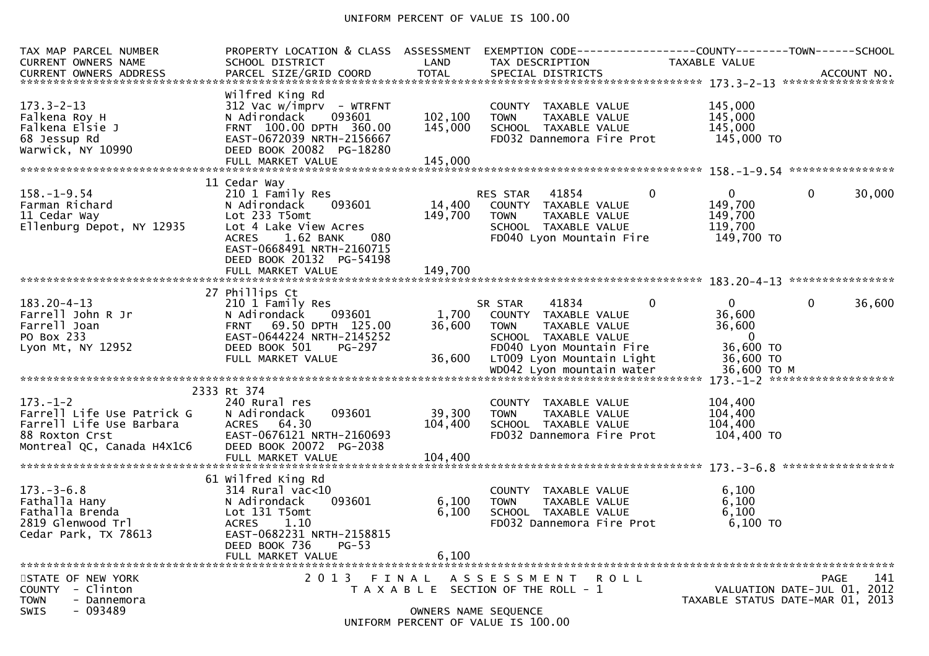### UNIFORM PERCENT OF VALUE IS 100.00

| TAX MAP PARCEL NUMBER<br><b>CURRENT OWNERS NAME</b>                                                                      | PROPERTY LOCATION & CLASS ASSESSMENT<br>SCHOOL DISTRICT                                                                                                                           | LAND                          | EXEMPTION CODE-----------------COUNTY-------TOWN------SCHOOL<br>TAX DESCRIPTION                                              | TAXABLE VALUE                                                                               |                                                                                |
|--------------------------------------------------------------------------------------------------------------------------|-----------------------------------------------------------------------------------------------------------------------------------------------------------------------------------|-------------------------------|------------------------------------------------------------------------------------------------------------------------------|---------------------------------------------------------------------------------------------|--------------------------------------------------------------------------------|
| $173.3 - 2 - 13$<br>Falkena Roy H<br>Falkena Elsie J<br>68 Jessup Rd<br>Warwick, NY 10990                                | Wilfred King Rd<br>$312$ Vac w/imprv - WTRFNT<br>N Adirondack<br>093601<br>FRNT 100.00 DPTH 360.00<br>EAST-0672039 NRTH-2156667<br>DEED BOOK 20082 PG-18280<br>FULL MARKET VALUE  | 102,100<br>145,000<br>145,000 | COUNTY TAXABLE VALUE<br><b>TOWN</b><br>TAXABLE VALUE<br>SCHOOL TAXABLE VALUE<br>FD032 Dannemora Fire Prot                    | 145,000<br>145,000<br>145,000<br>145,000 TO                                                 |                                                                                |
|                                                                                                                          | 11 Cedar Way                                                                                                                                                                      |                               |                                                                                                                              |                                                                                             |                                                                                |
| $158. - 1 - 9.54$<br>Farman Richard<br>11 Cedar Way<br>Ellenburg Depot, NY 12935                                         | 210 1 Family Res<br>N Adirondack<br>093601<br>Lot 233 T5omt<br>Lot 4 Lake View Acres<br>1.62 BANK<br>080<br><b>ACRES</b><br>EAST-0668491 NRTH-2160715<br>DEED BOOK 20132 PG-54198 | 14,400<br>149,700             | RES STAR 41854<br>COUNTY TAXABLE VALUE<br>TAXABLE VALUE<br><b>TOWN</b><br>SCHOOL TAXABLE VALUE<br>FD040 Lyon Mountain Fire   | $\overline{0}$<br>$\overline{0}$<br>149,700<br>149,700<br>119,700<br>149,700 TO             | $\mathbf{0}$<br>30,000                                                         |
|                                                                                                                          | FULL MARKET VALUE                                                                                                                                                                 | 149,700                       |                                                                                                                              |                                                                                             |                                                                                |
|                                                                                                                          | 27 Phillips Ct                                                                                                                                                                    |                               |                                                                                                                              |                                                                                             |                                                                                |
| $183.20 - 4 - 13$<br>Farrell John R Jr<br>Farrell Joan<br>PO Box 233<br>Lyon Mt, NY 12952                                | 210 1 Family Res<br>N Adirondack<br>093601<br>FRNT 69.50 DPTH 125.00<br>EAST-0644224 NRTH-2145252<br>DEED BOOK 501<br><b>PG-297</b>                                               | 1,700<br>36,600               | 41834<br>SR STAR<br>COUNTY TAXABLE VALUE<br>TAXABLE VALUE<br><b>TOWN</b><br>SCHOOL TAXABLE VALUE<br>FD040 Lyon Mountain Fire | $\mathbf{0}$<br>$\overline{0}$<br>36,600<br>36,600<br>$\overline{\phantom{0}}$<br>36,600 TO | $\mathbf{0}$<br>36,600                                                         |
|                                                                                                                          | FULL MARKET VALUE                                                                                                                                                                 | 36,600                        | LT009 Lyon Mountain Light                                                                                                    | 36,600 TO                                                                                   |                                                                                |
|                                                                                                                          |                                                                                                                                                                                   |                               |                                                                                                                              |                                                                                             |                                                                                |
|                                                                                                                          | 2333 Rt 374                                                                                                                                                                       |                               |                                                                                                                              |                                                                                             |                                                                                |
| $173. - 1 - 2$<br>Farrell Life Use Patrick G<br>Farrell Life Use Patrick G<br>Farrell Life Use Barbara<br>88 Roxton Crst | 240 Rural res<br>093601<br>N Adirondack<br>ACRES 64.30<br>EAST-0676121 NRTH-2160693                                                                                               | 39,300<br>104,400             | COUNTY TAXABLE VALUE<br>TAXABLE VALUE<br><b>TOWN</b><br>SCHOOL TAXABLE VALUE<br>FD032 Dannemora Fire Prot                    | 104,400<br>104,400<br>104,400<br>104,400 TO                                                 |                                                                                |
| Montreal QC, Canada H4X1C6                                                                                               | DEED BOOK 20072 PG-2038                                                                                                                                                           |                               |                                                                                                                              |                                                                                             |                                                                                |
|                                                                                                                          |                                                                                                                                                                                   |                               |                                                                                                                              |                                                                                             |                                                                                |
| $173. - 3 - 6.8$<br>Fathalla Hany<br>Fathalla Brenda<br>2819 Glenwood Trl<br>Cedar Park, TX 78613                        | 61 Wilfred King Rd<br>$314$ Rural vac<10<br>093601<br>N Adirondack<br>Lot 131 T5omt<br><b>ACRES</b><br>1.10<br>EAST-0682231 NRTH-2158815<br>$PG-53$<br>DEED BOOK 736              | 6,100<br>6,100                | COUNTY TAXABLE VALUE<br><b>TOWN</b><br>TAXABLE VALUE<br>SCHOOL TAXABLE VALUE<br>FD032 Dannemora Fire Prot                    | 6,100<br>6,100<br>6,100<br>$6,100$ TO                                                       |                                                                                |
|                                                                                                                          | FULL MARKET VALUE                                                                                                                                                                 | 6,100                         |                                                                                                                              |                                                                                             |                                                                                |
|                                                                                                                          |                                                                                                                                                                                   |                               |                                                                                                                              |                                                                                             |                                                                                |
| STATE OF NEW YORK<br>COUNTY - Clinton<br><b>TOWN</b><br>- Dannemora                                                      | 2013 FINAL                                                                                                                                                                        |                               | A S S E S S M E N T<br>R O L L<br>T A X A B L E SECTION OF THE ROLL - 1                                                      |                                                                                             | PAGE<br>141<br>VALUATION DATE-JUL 01, 2012<br>TAXABLE STATUS DATE-MAR 01, 2013 |
| $-093489$<br>SWIS                                                                                                        |                                                                                                                                                                                   |                               | OWNERS NAME SEQUENCE<br>UNIFORM PERCENT OF VALUE IS 100.00                                                                   |                                                                                             |                                                                                |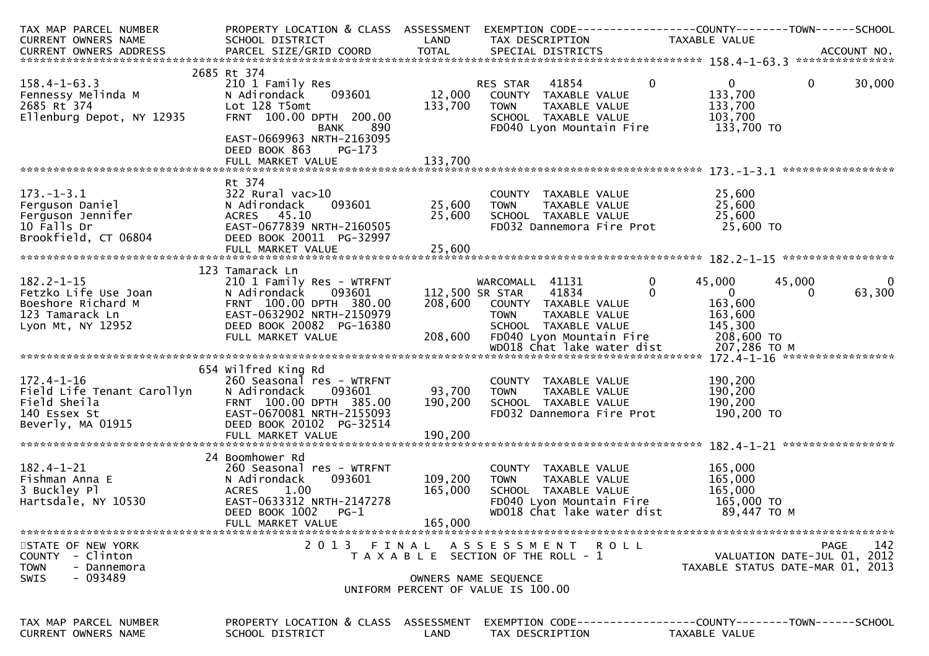| TAX MAP PARCEL NUMBER                                                                                                                                     |                                               |               |                                                                                                                                        | PROPERTY LOCATION & CLASS ASSESSMENT EXEMPTION CODE----------------COUNTY-------TOWN------SCHOOL |
|-----------------------------------------------------------------------------------------------------------------------------------------------------------|-----------------------------------------------|---------------|----------------------------------------------------------------------------------------------------------------------------------------|--------------------------------------------------------------------------------------------------|
| CURRENT OWNERS NAME                                                                                                                                       | SCHOOL DISTRICT<br><b>Example 18 The LAND</b> |               | TAX DESCRIPTION                                                                                                                        | TAXABLE VALUE                                                                                    |
|                                                                                                                                                           |                                               |               |                                                                                                                                        |                                                                                                  |
|                                                                                                                                                           |                                               |               |                                                                                                                                        |                                                                                                  |
|                                                                                                                                                           | 2685 Rt 374                                   |               |                                                                                                                                        |                                                                                                  |
| $158.4 - 1 - 63.3$                                                                                                                                        | 210 1 Family Res                              |               | RES STAR 41854 0                                                                                                                       | $\overline{0}$<br>$\mathbf{0}$<br>30,000                                                         |
| 158.4-1-63.3<br>Fennessy Melinda M<br>2685 Rt 374<br>Ellenburg Depot, NY 12935                                                                            | N Adirondack                                  |               |                                                                                                                                        | 133,700                                                                                          |
|                                                                                                                                                           |                                               |               | TAXABLE VALUE                                                                                                                          |                                                                                                  |
|                                                                                                                                                           | Lot 128 T5omt                                 | 133,700       | <b>TOWN</b>                                                                                                                            | 133,700                                                                                          |
|                                                                                                                                                           | FRNT 100.00 DPTH 200.00                       |               | SCHOOL TAXABLE VALUE                                                                                                                   | 103,700                                                                                          |
|                                                                                                                                                           | 890<br><b>BANK</b>                            |               | FD040 Lyon Mountain Fire                                                                                                               | 133,700 TO                                                                                       |
|                                                                                                                                                           | EAST-0669963 NRTH-2163095                     |               |                                                                                                                                        |                                                                                                  |
|                                                                                                                                                           | DEED BOOK 863<br>PG-173                       |               |                                                                                                                                        |                                                                                                  |
|                                                                                                                                                           | FULL MARKET VALUE                             | 133,700       |                                                                                                                                        |                                                                                                  |
|                                                                                                                                                           |                                               |               |                                                                                                                                        |                                                                                                  |
|                                                                                                                                                           | Rt 374                                        |               |                                                                                                                                        |                                                                                                  |
| 173.-1-3.1<br>Ferguson Daniel (1993)<br>Ferguson Jennifer (1993601)<br>Terguson Jennifer (1993601)<br>10 Falls Dr. (199364)<br>Teast-0677839 NRTH-2160505 |                                               |               |                                                                                                                                        |                                                                                                  |
|                                                                                                                                                           |                                               | 093601 25,600 | COUNTY TAXABLE VALUE $25,600$<br>TOWN TAXABLE VALUE $25,600$<br>SCHOOL TAXABLE VALUE $25,600$<br>FD032 Dannemora Fire Prot $25,600$ TO |                                                                                                  |
|                                                                                                                                                           |                                               | 25,600        |                                                                                                                                        |                                                                                                  |
|                                                                                                                                                           |                                               |               |                                                                                                                                        |                                                                                                  |
|                                                                                                                                                           |                                               |               |                                                                                                                                        |                                                                                                  |
| Brookfield, CT 06804                                                                                                                                      | DEED BOOK 20011 PG-32997                      |               |                                                                                                                                        |                                                                                                  |
|                                                                                                                                                           |                                               |               |                                                                                                                                        |                                                                                                  |
|                                                                                                                                                           |                                               |               |                                                                                                                                        |                                                                                                  |
|                                                                                                                                                           | 123 Tamarack Ln                               |               |                                                                                                                                        |                                                                                                  |
| $182.2 - 1 - 15$                                                                                                                                          | 210 1 Family Res - WTRFNT                     |               | WARCOMALL 41131 0                                                                                                                      | 45,000<br>45,000<br>$\overline{\mathbf{0}}$                                                      |
| Fetzko Life Use Joan<br>Boeshore Richard M<br>123 Tamarack Ln<br>Lyon Mt, NY 12952<br>Lyon Mt, NY 12952<br>CHE BOOK 20082 PG-16380                        |                                               |               | $112,500$ SR STAR $4\overline{1834}$<br>$\Omega$                                                                                       | 63,300<br>$\overline{0}$<br>$\Omega$                                                             |
|                                                                                                                                                           |                                               |               | 208,600 COUNTY TAXABLE VALUE                                                                                                           | 163,600                                                                                          |
|                                                                                                                                                           |                                               |               | TOWN TAXABLE VALUE                                                                                                                     | 163,600                                                                                          |
|                                                                                                                                                           |                                               |               | SCHOOL TAXABLE VALUE                                                                                                                   | 145,300                                                                                          |
|                                                                                                                                                           |                                               |               |                                                                                                                                        |                                                                                                  |
|                                                                                                                                                           | FULL MARKET VALUE                             | 208,600       | FD040 Lyon Mountain Fire 208,600 TO                                                                                                    |                                                                                                  |
|                                                                                                                                                           |                                               |               | WD018 Chat lake water dist                                                                                                             | 207,286 то м                                                                                     |
|                                                                                                                                                           |                                               |               |                                                                                                                                        |                                                                                                  |
|                                                                                                                                                           | 654 Wilfred King Rd                           |               |                                                                                                                                        |                                                                                                  |
| $172.4 - 1 - 16$                                                                                                                                          | 260 Seasonal res - WTRFNT                     |               | COUNTY TAXABLE VALUE                                                                                                                   | 190,200                                                                                          |
| Field Life Tenant Carollyn                                                                                                                                | 093601<br>N Adirondack                        | 93,700        | TAXABLE VALUE<br>TOWN                                                                                                                  | 190,200                                                                                          |
| Field Sheila<br>140 Essex St<br>Beverly, MA 01915<br>Beverly, MA 01915<br>Beverly, MA 01915<br>BEED BOOK 20102 PG-32514                                   |                                               | 190,200       | SCHOOL TAXABLE VALUE                                                                                                                   | 190,200                                                                                          |
|                                                                                                                                                           |                                               |               | FD032 Dannemora Fire Prot                                                                                                              | 190,200 TO                                                                                       |
|                                                                                                                                                           |                                               |               |                                                                                                                                        |                                                                                                  |
|                                                                                                                                                           |                                               |               |                                                                                                                                        |                                                                                                  |
|                                                                                                                                                           |                                               |               |                                                                                                                                        |                                                                                                  |
|                                                                                                                                                           | 24 Boomhower Rd                               |               |                                                                                                                                        |                                                                                                  |
|                                                                                                                                                           |                                               |               |                                                                                                                                        |                                                                                                  |
| $182.4 - 1 - 21$<br>$\mathbf{E}$                                                                                                                          | 260 Seasonal res - WTRFNT                     |               | COUNTY TAXABLE VALUE                                                                                                                   | 165,000<br>165,000                                                                               |
| Fishman Anna E                                                                                                                                            | 093601<br>N Adirondack                        | 109,200       | TAXABLE VALUE<br><b>TOWN</b>                                                                                                           |                                                                                                  |
| 3 Buckley Pl                                                                                                                                              | ACRES<br>1.00                                 | 165,000       | SCHOOL TAXABLE VALUE                                                                                                                   | 165,000                                                                                          |
| Hartsdale, NY 10530                                                                                                                                       | EAST-0633312 NRTH-2147278                     |               | FD040 Lyon Mountain Fire $165,000$ TO                                                                                                  |                                                                                                  |
|                                                                                                                                                           | DEED BOOK 1002<br>$PG-1$                      |               | WD018 Chat lake water dist                                                                                                             | 89,447 TO M                                                                                      |
|                                                                                                                                                           | FULL MARKET VALUE                             | 165,000       |                                                                                                                                        |                                                                                                  |
|                                                                                                                                                           |                                               |               |                                                                                                                                        |                                                                                                  |
| STATE OF NEW YORK                                                                                                                                         | 2 0 1 3                                       | FINAL         | ASSESSMENT ROLL                                                                                                                        | 142<br>PAGE                                                                                      |
| COUNTY - Clinton                                                                                                                                          |                                               |               | T A X A B L E SECTION OF THE ROLL - 1                                                                                                  | VALUATION DATE-JUL 01, 2012                                                                      |
| - Dannemora<br>TOWN                                                                                                                                       |                                               |               |                                                                                                                                        | TAXABLE STATUS DATE-MAR 01, 2013                                                                 |
| - 093489<br>SWIS                                                                                                                                          |                                               |               |                                                                                                                                        |                                                                                                  |
|                                                                                                                                                           |                                               |               | OWNERS NAME SEQUENCE                                                                                                                   |                                                                                                  |
|                                                                                                                                                           |                                               |               | UNIFORM PERCENT OF VALUE IS 100.00                                                                                                     |                                                                                                  |
|                                                                                                                                                           |                                               |               |                                                                                                                                        |                                                                                                  |
|                                                                                                                                                           |                                               |               |                                                                                                                                        |                                                                                                  |
| TAX MAP PARCEL NUMBER                                                                                                                                     | PROPERTY LOCATION & CLASS ASSESSMENT          |               |                                                                                                                                        | EXEMPTION        CODE-----------------COUNTY-------TOWN------SCHOOL                              |
| <b>CURRENT OWNERS NAME</b>                                                                                                                                | SCHOOL DISTRICT                               | LAND          | TAX DESCRIPTION                                                                                                                        | TAXABLE VALUE                                                                                    |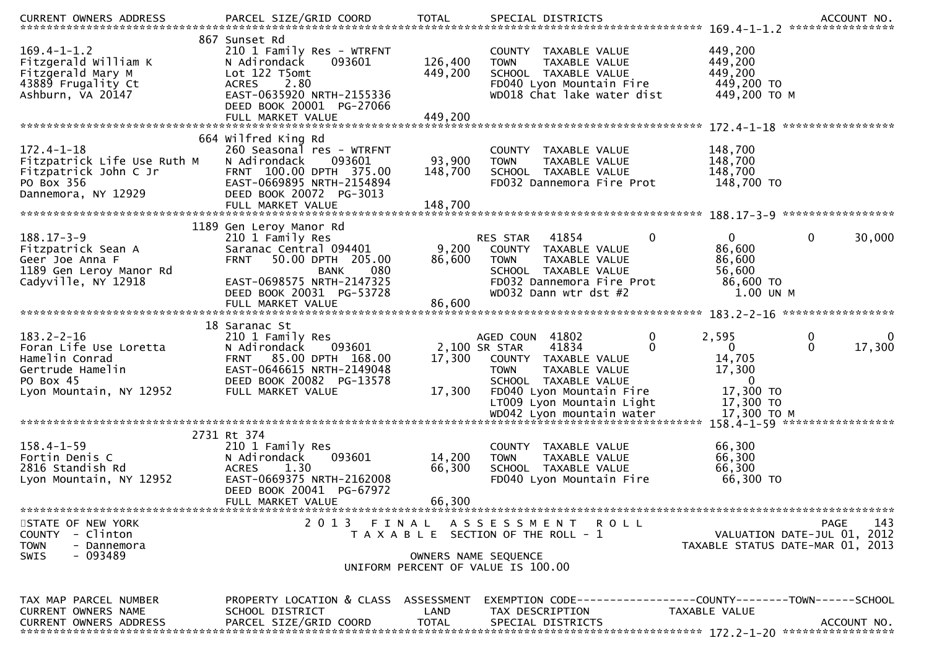| $169.4 - 1 - 1.2$<br>Fitzgerald William K<br>Fitzgerald Mary M<br>43889 Frugality Ct<br>Ashburn, VA 20147                | 867 Sunset Rd<br>210 1 Family Res - WTRFNT<br>093601<br>N Adirondack<br>Lot 122 T5omt<br>2.80<br><b>ACRES</b><br>EAST-0635920 NRTH-2155336<br>DEED BOOK 20001 PG-27066<br>FULL MARKET VALUE                   | 126,400<br>449,200<br>449,200 | COUNTY TAXABLE VALUE<br>TAXABLE VALUE<br><b>TOWN</b><br>SCHOOL TAXABLE VALUE<br>FD040 Lyon Mountain Fire<br>WD018 Chat lake water dist                                                              | 449,200<br>449,200<br>449,200<br>449,200 TO<br>449,200 TO M                                                                        |
|--------------------------------------------------------------------------------------------------------------------------|---------------------------------------------------------------------------------------------------------------------------------------------------------------------------------------------------------------|-------------------------------|-----------------------------------------------------------------------------------------------------------------------------------------------------------------------------------------------------|------------------------------------------------------------------------------------------------------------------------------------|
| $172.4 - 1 - 18$<br>Fitzpatrick Life Use Ruth M<br>Fitzpatrick John C Jr<br>PO Box 356<br>Dannemora, NY 12929            | 664 Wilfred King Rd<br>260 Seasonal res - WTRFNT<br>N Adirondack<br>093601<br>FRNT 100.00 DPTH 375.00<br>EAST-0669895 NRTH-2154894<br>DEED BOOK 20072 PG-3013<br>FULL MARKET VALUE                            | 93,900<br>148,700<br>148,700  | COUNTY TAXABLE VALUE<br>TAXABLE VALUE<br><b>TOWN</b><br>SCHOOL TAXABLE VALUE<br>FD032 Dannemora Fire Prot                                                                                           | 148,700<br>148,700<br>148,700<br>148,700 TO                                                                                        |
| $188.17 - 3 - 9$<br>Fitzpatrick Sean A<br>Geer Joe Anna F<br>1189 Gen Leroy Manor Rd<br>Cadyville, NY 12918              | 1189 Gen Leroy Manor Rd<br>210 1 Family Res<br>Saranac Central 094401<br><b>FRNT</b><br>50.00 DPTH 205.00<br>080<br><b>BANK</b><br>EAST-0698575 NRTH-2147325<br>DEED BOOK 20031 PG-53728<br>FULL MARKET VALUE | 9,200<br>86,600<br>86,600     | 41854<br>RES STAR<br>0<br>COUNTY TAXABLE VALUE<br>TAXABLE VALUE<br><b>TOWN</b><br>SCHOOL TAXABLE VALUE<br>FD032 Dannemora Fire Prot<br>WD032 Dann wtr dst #2                                        | 30,000<br>$\mathbf{0}$<br>0<br>86,600<br>86,600<br>56,600<br>86,600 TO<br>$1.00$ UN M                                              |
| $183.2 - 2 - 16$<br>Foran Life Use Loretta<br>Hamelin Conrad<br>Gertrude Hamelin<br>PO Box 45<br>Lyon Mountain, NY 12952 | 18 Saranac St<br>210 1 Family Res<br>N Adirondack<br>093601<br>FRNT 85.00 DPTH 168.00<br>EAST-0646615 NRTH-2149048<br>DEED BOOK 20082 PG-13578<br>FULL MARKET VALUE                                           | 17,300<br>17,300              | AGED COUN 41802<br>0<br>2,100 SR STAR<br>41834<br>$\Omega$<br>COUNTY TAXABLE VALUE<br>TAXABLE VALUE<br><b>TOWN</b><br>SCHOOL TAXABLE VALUE<br>FD040 Lyon Mountain Fire<br>LT009 Lyon Mountain Light | 2,595<br>$\bf{0}$<br>0<br>17,300<br>$\mathbf{0}$<br>$\overline{0}$<br>14,705<br>17,300<br>$\overline{0}$<br>17,300 TO<br>17,300 TO |
| $158.4 - 1 - 59$<br>Fortin Denis C<br>2816 Standish Rd<br>Lyon Mountain, NY 12952                                        | 2731 Rt 374<br>210 1 Family Res<br>093601<br>N Adirondack<br>1.30<br><b>ACRES</b><br>EAST-0669375 NRTH-2162008<br>DEED BOOK 20041 PG-67972<br>FULL MARKET VALUE                                               | 14,200<br>66,300<br>66,300    | COUNTY TAXABLE VALUE<br>TAXABLE VALUE<br><b>TOWN</b><br>SCHOOL TAXABLE VALUE<br>FD040 Lyon Mountain Fire                                                                                            | 66,300<br>66,300<br>66,300<br>66,300 TO                                                                                            |
| STATE OF NEW YORK<br>COUNTY - Clinton<br><b>TOWN</b><br>- Dannemora<br>- 093489<br>SWIS                                  |                                                                                                                                                                                                               |                               | 2013 FINAL ASSESSMENT<br><b>ROLL</b><br>T A X A B L E SECTION OF THE ROLL - 1<br>OWNERS NAME SEQUENCE<br>UNIFORM PERCENT OF VALUE IS 100.00                                                         | 143<br><b>PAGE</b><br>VALUATION DATE-JUL 01, 2012<br>TAXABLE STATUS DATE-MAR 01, 2013                                              |
| TAX MAP PARCEL NUMBER<br><b>CURRENT OWNERS NAME</b><br><b>CURRENT OWNERS ADDRESS</b>                                     | PROPERTY LOCATION & CLASS ASSESSMENT<br>SCHOOL DISTRICT<br>PARCEL SIZE/GRID COORD                                                                                                                             | LAND<br><b>TOTAL</b>          | TAX DESCRIPTION<br>SPECIAL DISTRICTS                                                                                                                                                                | EXEMPTION        CODE-----------------COUNTY-------TOWN------SCHOOL<br>TAXABLE VALUE<br>ACCOUNT NO.                                |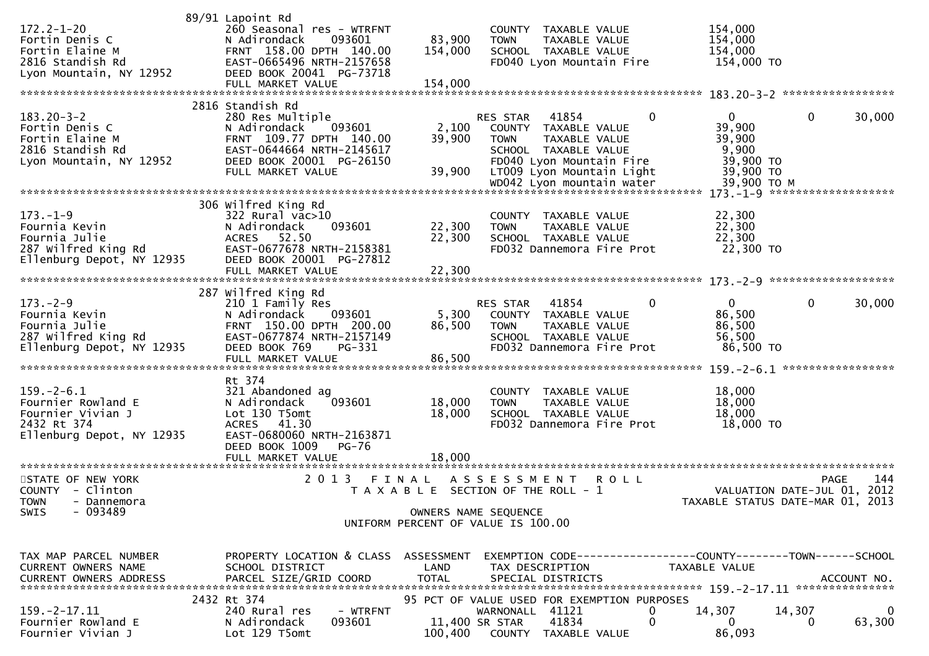|                                         | 89/91 Lapoint Rd                        |                           |                                             |                                                              |
|-----------------------------------------|-----------------------------------------|---------------------------|---------------------------------------------|--------------------------------------------------------------|
| $172.2 - 1 - 20$                        | 260 Seasonal res - WTRFNT               |                           | COUNTY TAXABLE VALUE                        | 154,000                                                      |
| Fortin Denis C                          | N Adirondack<br>093601                  | 83,900                    | TAXABLE VALUE<br><b>TOWN</b>                | 154,000                                                      |
| Fortin Elaine M                         | FRNT 158.00 DPTH 140.00                 | 154,000                   | SCHOOL TAXABLE VALUE                        | 154,000                                                      |
| 2816 Standish Rd                        | EAST-0665496 NRTH-2157658               |                           | FD040 Lyon Mountain Fire                    | 154,000 TO                                                   |
| Lyon Mountain, NY 12952                 | DEED BOOK 20041 PG-73718                |                           |                                             |                                                              |
|                                         | FULL MARKET VALUE                       | 154,000                   |                                             |                                                              |
|                                         | 2816 Standish Rd                        |                           |                                             |                                                              |
| $183.20 - 3 - 2$                        | 280 Res Multiple                        |                           | 41854<br>$\Omega$<br><b>RES STAR</b>        | $\mathbf 0$<br>30,000<br>$\mathbf{0}$                        |
| Fortin Denis C                          | N Adirondack<br>093601                  | 2,100                     | COUNTY TAXABLE VALUE                        | 39,900                                                       |
| Fortin Elaine M                         | FRNT 109.77 DPTH 140.00                 | 39,900                    | <b>TOWN</b><br>TAXABLE VALUE                | 39,900                                                       |
| 2816 Standish Rd                        | EAST-0644664 NRTH-2145617               |                           | SCHOOL TAXABLE VALUE                        | 9,900                                                        |
| Lyon Mountain, NY 12952                 | DEED BOOK 20001 PG-26150                |                           | FD040 Lyon Mountain Fire                    | 39,900 TO                                                    |
|                                         | FULL MARKET VALUE                       | 39,900                    | LT009 Lyon Mountain Light                   | 39,900 TO                                                    |
|                                         |                                         |                           |                                             | 39,900 ТО М                                                  |
|                                         |                                         |                           |                                             | 173. -1-9 *********************                              |
|                                         | 306 Wilfred King Rd                     |                           |                                             |                                                              |
| $173. - 1 - 9$                          | 322 Rural vac>10                        |                           | COUNTY TAXABLE VALUE                        | 22,300                                                       |
| Fournia Kevin                           | 093601<br>N Adirondack                  | 22,300                    | <b>TOWN</b><br>TAXABLE VALUE                | 22,300                                                       |
| Fournia Julie                           | ACRES 52.50                             | 22,300                    | SCHOOL TAXABLE VALUE                        | 22,300                                                       |
| 287 Wilfred King Rd                     | EAST-0677678 NRTH-2158381               |                           | FD032 Dannemora Fire Prot                   | 22,300 TO                                                    |
| Ellenburg Depot, NY 12935               | DEED BOOK 20001 PG-27812                |                           |                                             |                                                              |
|                                         | FULL MARKET VALUE                       | 22,300                    |                                             |                                                              |
|                                         | 287 Wilfred King Rd                     |                           |                                             |                                                              |
| $173. - 2 - 9$                          | 210 1 Family Res                        |                           | RES STAR<br>41854<br>0                      | $\mathbf 0$<br>30,000<br>$\overline{0}$                      |
| Fournia Kevin                           | 093601<br>N Adirondack                  | 5,300                     | COUNTY<br>TAXABLE VALUE                     | 86,500                                                       |
| Fournia Julie                           | FRNT 150.00 DPTH 200.00                 | 86,500                    | <b>TOWN</b><br>TAXABLE VALUE                | 86,500                                                       |
| 287 Wilfred King Rd                     | EAST-0677874 NRTH-2157149               |                           | SCHOOL TAXABLE VALUE                        | 56,500                                                       |
| Ellenburg Depot, NY 12935               | DEED BOOK 769<br>PG-331                 |                           | FD032 Dannemora Fire Prot                   | 86,500 TO                                                    |
|                                         | FULL MARKET VALUE                       | 86,500                    |                                             |                                                              |
|                                         |                                         |                           |                                             |                                                              |
|                                         | Rt 374                                  |                           |                                             |                                                              |
| $159. - 2 - 6.1$                        | 321 Abandoned ag                        |                           | COUNTY TAXABLE VALUE                        | 18,000                                                       |
| Fournier Rowland E                      | N Adirondack<br>093601                  | 18,000                    | TAXABLE VALUE<br><b>TOWN</b>                | 18,000                                                       |
| Fournier Vivian J                       | Lot 130 T5omt                           | 18,000                    | SCHOOL TAXABLE VALUE                        | 18,000                                                       |
| 2432 Rt 374                             | ACRES 41.30                             |                           | FD032 Dannemora Fire Prot                   | 18,000 TO                                                    |
| Ellenburg Depot, NY 12935               | EAST-0680060 NRTH-2163871               |                           |                                             |                                                              |
|                                         | DEED BOOK 1009<br><b>PG-76</b>          |                           |                                             |                                                              |
|                                         |                                         |                           |                                             |                                                              |
| STATE OF NEW YORK                       | 2 0 1 3                                 |                           | A S S E S S M E N T<br>R O L L              | 144<br><b>PAGE</b>                                           |
| - Clinton<br><b>COUNTY</b>              |                                         |                           |                                             |                                                              |
|                                         |                                         | FINAL                     |                                             |                                                              |
| - Dannemora                             |                                         |                           | T A X A B L E SECTION OF THE ROLL - 1       | 2012<br>VALUATION DATE-JUL 01,                               |
| <b>TOWN</b><br>SWIS<br>- 093489         |                                         |                           |                                             | TAXABLE STATUS DATE-MAR 01, 2013                             |
|                                         |                                         | OWNERS NAME SEQUENCE      | UNIFORM PERCENT OF VALUE IS 100.00          |                                                              |
|                                         |                                         |                           |                                             |                                                              |
|                                         |                                         |                           |                                             |                                                              |
| TAX MAP PARCEL NUMBER                   | PROPERTY LOCATION & CLASS ASSESSMENT    |                           |                                             | EXEMPTION CODE-----------------COUNTY-------TOWN------SCHOOL |
| CURRENT OWNERS NAME                     | SCHOOL DISTRICT                         | LAND                      | TAX DESCRIPTION                             | TAXABLE VALUE                                                |
| CURRENT OWNERS ADDRESS                  | PARCEL SIZE/GRID COORD                  | TOTAL                     | SPECIAL DISTRICTS                           | ACCOUNT NO.                                                  |
|                                         |                                         |                           |                                             |                                                              |
|                                         | 2432 Rt 374                             |                           | 95 PCT OF VALUE USED FOR EXEMPTION PURPOSES |                                                              |
| 159. – 2–17.11                          | 240 Rural res<br>- WTRFNT               |                           | WARNONALL 41121<br>0<br>0                   | 14,307<br>14,307<br>$\Omega$<br>$\mathbf{0}$<br>0            |
| Fournier Rowland E<br>Fournier Vivian J | N Adirondack<br>093601<br>Lot 129 T5omt | 11,400 SR STAR<br>100,400 | 41834<br>COUNTY TAXABLE VALUE               | 63,300<br>86,093                                             |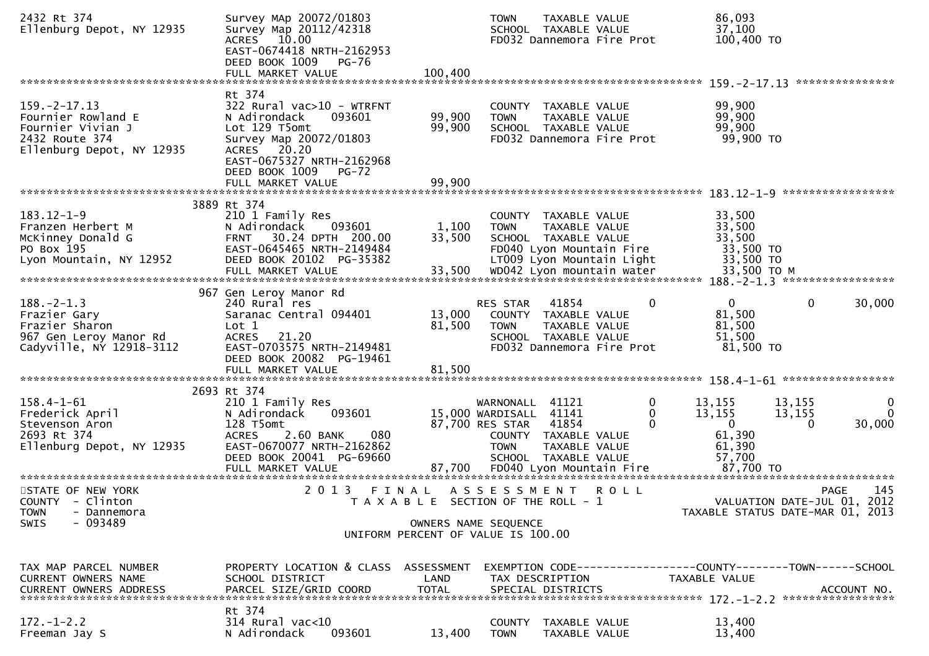| 2432 Rt 374<br>Ellenburg Depot, NY 12935                                                                    | Survey MAp 20072/01803<br>Survey Map 20112/42318<br>ACRES 10.00<br>EAST-0674418 NRTH-2162953<br>DEED BOOK 1009<br>PG-76                                                           |                      | <b>TOWN</b><br>SCHOOL TAXABLE VALUE<br>FD032 Dannemora Fire Prot                                                                  | TAXABLE VALUE                       | 86,093<br>37,100<br>100,400 TO                                                |                                            |                         |
|-------------------------------------------------------------------------------------------------------------|-----------------------------------------------------------------------------------------------------------------------------------------------------------------------------------|----------------------|-----------------------------------------------------------------------------------------------------------------------------------|-------------------------------------|-------------------------------------------------------------------------------|--------------------------------------------|-------------------------|
|                                                                                                             | FULL MARKET VALUE                                                                                                                                                                 | 100,400              |                                                                                                                                   |                                     |                                                                               |                                            |                         |
| $159. -2 - 17.13$<br>Fournier Rowland E<br>Fournier Vivian J<br>2432 Route 374<br>Ellenburg Depot, NY 12935 | Rt 374<br>322 Rural vac>10 - WTRFNT<br>093601<br>N Adirondack<br>Lot 129 T5omt<br>Survey Map 20072/01803<br>ACRES 20.20<br>EAST-0675327 NRTH-2162968<br>DEED BOOK 1009<br>$PG-72$ | 99,900<br>99,900     | COUNTY TAXABLE VALUE<br><b>TOWN</b><br>SCHOOL TAXABLE VALUE<br>FD032 Dannemora Fire Prot                                          | TAXABLE VALUE                       | 99,900<br>99,900<br>99,900<br>99,900 TO                                       |                                            |                         |
|                                                                                                             |                                                                                                                                                                                   |                      |                                                                                                                                   |                                     |                                                                               |                                            |                         |
| $183.12 - 1 - 9$<br>Franzen Herbert M<br>McKinney Donald G<br>PO Box 195<br>Lyon Mountain, NY 12952         | 3889 Rt 374<br>210 1 Family Res<br>093601<br>N Adirondack<br>30.24 DPTH 200.00<br><b>FRNT</b><br>EAST-0645465 NRTH-2149484<br>DEED BOOK 20102 PG-35382                            | 1,100<br>33,500      | COUNTY TAXABLE VALUE<br><b>TOWN</b><br>SCHOOL TAXABLE VALUE<br>FD040 Lyon Mountain Fire<br>LT009 Lyon Mountain Light              | TAXABLE VALUE                       | 33,500<br>33,500<br>33,500<br>33,500 TO<br>33,500 TO                          |                                            |                         |
| $188. - 2 - 1.3$<br>Frazier Gary<br>Frazier Sharon<br>967 Gen Leroy Manor Rd<br>Cadyville, NY 12918-3112    | 967 Gen Leroy Manor Rd<br>240 Rural res<br>Saranac Central 094401<br>Lot 1<br>21.20<br><b>ACRES</b><br>EAST-0703575 NRTH-2149481                                                  | 13,000<br>81,500     | 41854<br>RES STAR<br>COUNTY TAXABLE VALUE<br><b>TOWN</b><br>SCHOOL TAXABLE VALUE<br>FD032 Dannemora Fire Prot                     | 0<br>TAXABLE VALUE                  | $\overline{0}$<br>81,500<br>81,500<br>51,500<br>81,500 TO                     | $\mathbf{0}$                               | 30,000                  |
|                                                                                                             | DEED BOOK 20082 PG-19461<br>FULL MARKET VALUE                                                                                                                                     | 81,500               |                                                                                                                                   |                                     |                                                                               |                                            |                         |
|                                                                                                             | 2693 Rt 374                                                                                                                                                                       |                      |                                                                                                                                   |                                     |                                                                               |                                            |                         |
| $158.4 - 1 - 61$<br>Frederick April<br>Stevenson Aron<br>2693 Rt 374<br>Ellenburg Depot, NY 12935           | 210 1 Family Res<br>093601<br>N Adirondack<br>128 T5omt<br>2.60 BANK<br>080<br><b>ACRES</b><br>EAST-0670077 NRTH-2162862<br>DEED BOOK 20041 PG-69660                              |                      | WARNONALL 41121<br>15,000 WARDISALL 41141<br>87,700 RES STAR 41854<br>COUNTY TAXABLE VALUE<br><b>TOWN</b><br>SCHOOL TAXABLE VALUE | 0<br>0<br>$\Omega$<br>TAXABLE VALUE | 13,155<br>13,155<br>$\mathbf{0}$<br>61,390<br>61,390<br>57,700                | 13,155<br>13,155<br>0                      | 0<br>$\Omega$<br>30,000 |
| STATE OF NEW YORK<br>COUNTY - Clinton<br><b>TOWN</b><br>- Dannemora                                         | 2 0 1 3                                                                                                                                                                           | FINAL                | A S S E S S M E N T<br>T A X A B L E SECTION OF THE ROLL - 1                                                                      | <b>ROLL</b>                         | TAXABLE STATUS DATE-MAR 01, 2013                                              | <b>PAGE</b><br>VALUATION DATE-JUL 01, 2012 | 145                     |
| $-093489$<br><b>SWIS</b>                                                                                    |                                                                                                                                                                                   | OWNERS NAME SEQUENCE | UNIFORM PERCENT OF VALUE IS 100.00                                                                                                |                                     |                                                                               |                                            |                         |
| TAX MAP PARCEL NUMBER<br><b>CURRENT OWNERS NAME</b><br><b>CURRENT OWNERS ADDRESS</b>                        | PROPERTY LOCATION & CLASS ASSESSMENT<br>SCHOOL DISTRICT<br>PARCEL SIZE/GRID COORD                                                                                                 | LAND<br><b>TOTAL</b> | TAX DESCRIPTION<br>SPECIAL DISTRICTS                                                                                              |                                     | EXEMPTION CODE-----------------COUNTY-------TOWN------SCHOOL<br>TAXABLE VALUE | ACCOUNT NO.                                |                         |
| $172. - 1 - 2.2$<br>Freeman Jay S                                                                           | Rt 374<br>$314$ Rural vac<10<br>N Adirondack<br>093601                                                                                                                            | 13,400               | COUNTY<br>TAXABLE VALUE<br><b>TOWN</b>                                                                                            | TAXABLE VALUE                       | 13,400<br>13,400                                                              |                                            |                         |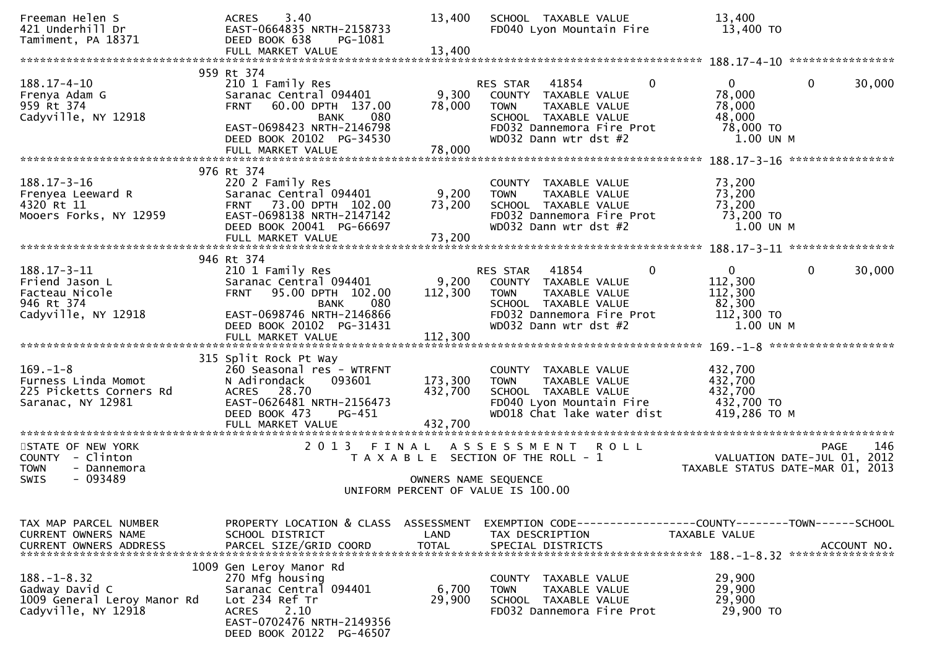| Freeman Helen S<br>421 Underhill Dr<br>Tamiment, PA 18371                                       | 3.40<br><b>ACRES</b><br>EAST-0664835 NRTH-2158733<br>DEED BOOK 638<br>PG-1081<br>FULL MARKET VALUE                                                                          | 13,400<br>13,400              | SCHOOL TAXABLE VALUE<br>FD040 Lyon Mountain Fire                                                                                                                               | 13,400<br>13,400 TO                                                    |                                                   |
|-------------------------------------------------------------------------------------------------|-----------------------------------------------------------------------------------------------------------------------------------------------------------------------------|-------------------------------|--------------------------------------------------------------------------------------------------------------------------------------------------------------------------------|------------------------------------------------------------------------|---------------------------------------------------|
|                                                                                                 |                                                                                                                                                                             |                               |                                                                                                                                                                                |                                                                        |                                                   |
| $188.17 - 4 - 10$<br>Frenya Adam G<br>959 Rt 374<br>Cadyville, NY 12918                         | 959 Rt 374<br>210 1 Family Res<br>Saranac Central 094401<br>60.00 DPTH 137.00<br><b>FRNT</b><br>080<br><b>BANK</b><br>EAST-0698423 NRTH-2146798<br>DEED BOOK 20102 PG-34530 | 9,300<br>78,000               | 41854<br>$\mathbf{0}$<br>RES STAR<br>COUNTY TAXABLE VALUE<br><b>TOWN</b><br><b>TAXABLE VALUE</b><br>SCHOOL TAXABLE VALUE<br>FD032 Dannemora Fire Prot<br>WD032 Dann wtr dst #2 | $\overline{0}$<br>78,000<br>78,000<br>48,000<br>78,000 TO<br>1.00 UN M | $\mathbf{0}$<br>30,000                            |
|                                                                                                 |                                                                                                                                                                             |                               |                                                                                                                                                                                |                                                                        | ****************                                  |
| $188.17 - 3 - 16$<br>Frenyea Leeward R<br>4320 Rt 11<br>Mooers Forks, NY 12959                  | 976 Rt 374<br>220 2 Family Res<br>Saranac Central 094401<br>73.00 DPTH 102.00<br><b>FRNT</b><br>EAST-0698138 NRTH-2147142<br>DEED BOOK 20041 PG-66697<br>FULL MARKET VALUE  | 9,200<br>73,200<br>73,200     | COUNTY TAXABLE VALUE<br>TAXABLE VALUE<br><b>TOWN</b><br>SCHOOL TAXABLE VALUE<br>FD032 Dannemora Fire Prot<br>WD032 Dann wtr dst #2                                             | 73,200<br>73,200<br>73,200<br>73,200 TO<br>1.00 UN M                   |                                                   |
|                                                                                                 | 946 Rt 374                                                                                                                                                                  |                               |                                                                                                                                                                                |                                                                        |                                                   |
| $188.17 - 3 - 11$<br>Friend Jason L<br>Facteau Nicole<br>946 Rt 374<br>Cadyville, NY 12918      | 210 1 Family Res<br>Saranac Central 094401<br>95.00 DPTH 102.00<br><b>FRNT</b><br>080<br><b>BANK</b><br>EAST-0698746 NRTH-2146866                                           | 9,200<br>112,300              | $\Omega$<br>41854<br><b>RES STAR</b><br>COUNTY TAXABLE VALUE<br><b>TOWN</b><br>TAXABLE VALUE<br>SCHOOL TAXABLE VALUE<br>FD032 Dannemora Fire Prot                              | $\mathbf{0}$<br>112,300<br>112,300<br>82,300<br>112,300 TO             | $\mathbf{0}$<br>30,000                            |
|                                                                                                 | DEED BOOK 20102 PG-31431                                                                                                                                                    |                               | WD032 Dann wtr dst #2                                                                                                                                                          | 1.00 UN M                                                              |                                                   |
| $169. - 1 - 8$<br>Furness Linda Momot<br>225 Picketts Corners Rd<br>Saranac, NY 12981           | 315 Split Rock Pt Way<br>260 Seasonal res - WTRFNT<br>093601<br>N Adirondack<br>ACRES 28.70<br>EAST-0626481 NRTH-2156473<br>DEED BOOK 473<br>PG-451<br>FULL MARKET VALUE    | 173,300<br>432,700<br>432,700 | COUNTY TAXABLE VALUE<br><b>TOWN</b><br>TAXABLE VALUE<br>SCHOOL TAXABLE VALUE<br>FD040 Lyon Mountain Fire<br>WD018 Chat lake water dist                                         | 432,700<br>432,700<br>432,700<br>432,700 TO<br>419,286 ТО М            |                                                   |
| ************************<br>STATE OF NEW YORK<br>COUNTY - Clinton<br><b>TOWN</b><br>- Dannemora | 2 0 1 3                                                                                                                                                                     | FINAL                         | ASSESSMENT ROLL<br>T A X A B L E SECTION OF THE ROLL - 1                                                                                                                       | **********************************<br>TAXABLE STATUS DATE-MAR 01, 2013 | 146<br><b>PAGE</b><br>VALUATION DATE-JUL 01, 2012 |
| $-093489$<br><b>SWIS</b>                                                                        |                                                                                                                                                                             | OWNERS NAME SEQUENCE          | UNIFORM PERCENT OF VALUE IS 100.00                                                                                                                                             |                                                                        |                                                   |
| TAX MAP PARCEL NUMBER<br><b>CURRENT OWNERS NAME</b>                                             | PROPERTY LOCATION & CLASS<br>SCHOOL DISTRICT                                                                                                                                | ASSESSMENT<br>LAND            | TAX DESCRIPTION                                                                                                                                                                | TAXABLE VALUE                                                          |                                                   |
| $188. - 1 - 8.32$<br>Gadway David C<br>1009 General Leroy Manor Rd<br>Cadyville, NY 12918       | 1009 Gen Leroy Manor Rd<br>270 Mfg housing<br>Saranac Central 094401<br>Lot 234 Ref Tr<br>2.10<br><b>ACRES</b><br>EAST-0702476 NRTH-2149356<br>DEED BOOK 20122 PG-46507     | 6,700<br>29,900               | COUNTY TAXABLE VALUE<br>TAXABLE VALUE<br><b>TOWN</b><br>SCHOOL TAXABLE VALUE<br>FD032 Dannemora Fire Prot                                                                      | 29,900<br>29,900<br>29,900<br>29,900 TO                                |                                                   |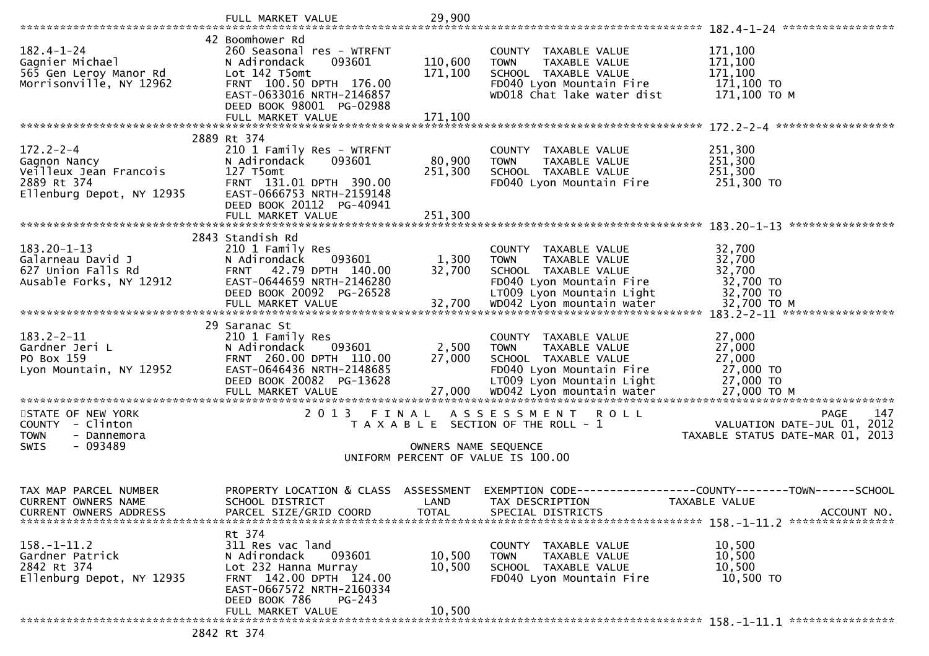|                                                               | FULL MARKET VALUE                                                                                     | 29,900               |                                                                              |                                                |
|---------------------------------------------------------------|-------------------------------------------------------------------------------------------------------|----------------------|------------------------------------------------------------------------------|------------------------------------------------|
| $182.4 - 1 - 24$<br>Gagnier Michael<br>565 Gen Leroy Manor Rd | 42 Boomhower Rd<br>260 Seasonal res - WTRFNT<br>093601<br>N Adirondack<br>Lot 142 T5omt               | 110,600<br>171,100   | COUNTY TAXABLE VALUE<br><b>TOWN</b><br>TAXABLE VALUE<br>SCHOOL TAXABLE VALUE | 171,100<br>171,100<br>171,100                  |
| Morrisonville, NY 12962                                       | FRNT 100.50 DPTH 176.00<br>EAST-0633016 NRTH-2146857<br>DEED BOOK 98001 PG-02988<br>FULL MARKET VALUE | 171,100              | FD040 Lyon Mountain Fire<br>WD018 Chat lake water dist                       | 171,100 TO<br>171,100 ТО М                     |
| $172.2 - 2 - 4$                                               | 2889 Rt 374<br>210 1 Family Res - WTRFNT                                                              |                      | COUNTY TAXABLE VALUE                                                         | 251,300                                        |
| Gagnon Nancy                                                  | N Adirondack<br>093601                                                                                | 80,900               | <b>TOWN</b><br>TAXABLE VALUE                                                 | 251,300                                        |
| Veilleux Jean Francois<br>2889 Rt 374                         | 127 T5omt<br>FRNT 131.01 DPTH 390.00                                                                  | 251,300              | SCHOOL TAXABLE VALUE<br>FD040 Lyon Mountain Fire                             | 251,300<br>251,300 TO                          |
| Ellenburg Depot, NY 12935                                     | EAST-0666753 NRTH-2159148<br>DEED BOOK 20112 PG-40941                                                 |                      |                                                                              |                                                |
|                                                               |                                                                                                       |                      |                                                                              | ****************                               |
|                                                               | 2843 Standish Rd                                                                                      |                      |                                                                              |                                                |
| $183.20 - 1 - 13$<br>Galarneau David J                        | 210 1 Family Res<br>N Adirondack<br>093601                                                            | 1,300                | COUNTY TAXABLE VALUE<br>TAXABLE VALUE<br><b>TOWN</b>                         | 32,700<br>32,700                               |
| 627 Union Falls Rd                                            | 42.79 DPTH 140.00<br><b>FRNT</b>                                                                      | 32,700               | SCHOOL TAXABLE VALUE                                                         | 32,700                                         |
| Ausable Forks, NY 12912                                       | EAST-0644659 NRTH-2146280<br>DEED BOOK 20092 PG-26528                                                 |                      | FD040 Lyon Mountain Fire<br>LT009 Lyon Mountain Light                        | 32,700 TO<br>32,700 TO                         |
|                                                               |                                                                                                       |                      |                                                                              |                                                |
|                                                               | 29 Saranac St                                                                                         |                      |                                                                              |                                                |
| $183.2 - 2 - 11$<br>Gardner Jeri L                            | 210 1 Family Res<br>N Adirondack<br>093601                                                            | 2,500                | COUNTY TAXABLE VALUE<br>TAXABLE VALUE<br><b>TOWN</b>                         | 27,000<br>27,000                               |
| PO Box 159                                                    | FRNT 260.00 DPTH 110.00                                                                               | 27,000               | SCHOOL TAXABLE VALUE                                                         | 27,000                                         |
| Lyon Mountain, NY 12952                                       | EAST-0646436 NRTH-2148685<br>DEED BOOK 20082 PG-13628                                                 |                      | FD040 Lyon Mountain Fire<br>LT009 Lyon Mountain Light                        | 27,000 TO<br>27,000 TO                         |
|                                                               |                                                                                                       |                      |                                                                              |                                                |
| STATE OF NEW YORK                                             |                                                                                                       |                      | 2013 FINAL ASSESSMENT ROLL                                                   | 147<br><b>PAGE</b>                             |
| COUNTY - Clinton                                              |                                                                                                       |                      | T A X A B L E SECTION OF THE ROLL - 1                                        | VALUATION DATE-JUL 01, 2012                    |
| <b>TOWN</b><br>- Dannemora<br>- 093489<br><b>SWIS</b>         |                                                                                                       | OWNERS NAME SEQUENCE |                                                                              | TAXABLE STATUS DATE-MAR 01, 2013               |
|                                                               |                                                                                                       |                      | UNIFORM PERCENT OF VALUE IS 100.00                                           |                                                |
| TAX MAP PARCEL NUMBER                                         | PROPERTY LOCATION & CLASS                                                                             | ASSESSMENT           | EXEMPTION CODE--                                                             | ----------------COUNTY--------TOWN------SCHOOL |
| CURRENT OWNERS NAME                                           | SCHOOL DISTRICT                                                                                       | LAND                 | TAX DESCRIPTION                                                              | <b>TAXABLE VALUE</b>                           |
| <b>CURRENT OWNERS ADDRESS</b>                                 | PARCEL SIZE/GRID COORD                                                                                | <b>TOTAL</b>         | SPECIAL DISTRICTS                                                            | ACCOUNT NO.                                    |
| $158. - 1 - 11.2$                                             | Rt 374<br>311 Res vac land                                                                            |                      | COUNTY<br>TAXABLE VALUE                                                      | 10,500                                         |
| Gardner Patrick                                               | N Adirondack<br>093601                                                                                | 10,500               | TAXABLE VALUE<br><b>TOWN</b>                                                 | 10,500                                         |
| 2842 Rt 374<br>Ellenburg Depot, NY 12935                      | Lot 232 Hanna Murray<br>FRNT 142.00 DPTH 124.00                                                       | 10,500               | SCHOOL TAXABLE VALUE<br>FD040 Lyon Mountain Fire                             | 10,500<br>10,500 TO                            |
|                                                               | EAST-0667572 NRTH-2160334                                                                             |                      |                                                                              |                                                |
|                                                               | DEED BOOK 786<br>$PG-243$<br>FULL MARKET VALUE                                                        | 10,500               |                                                                              |                                                |
|                                                               | 2842 Rt 374                                                                                           |                      |                                                                              |                                                |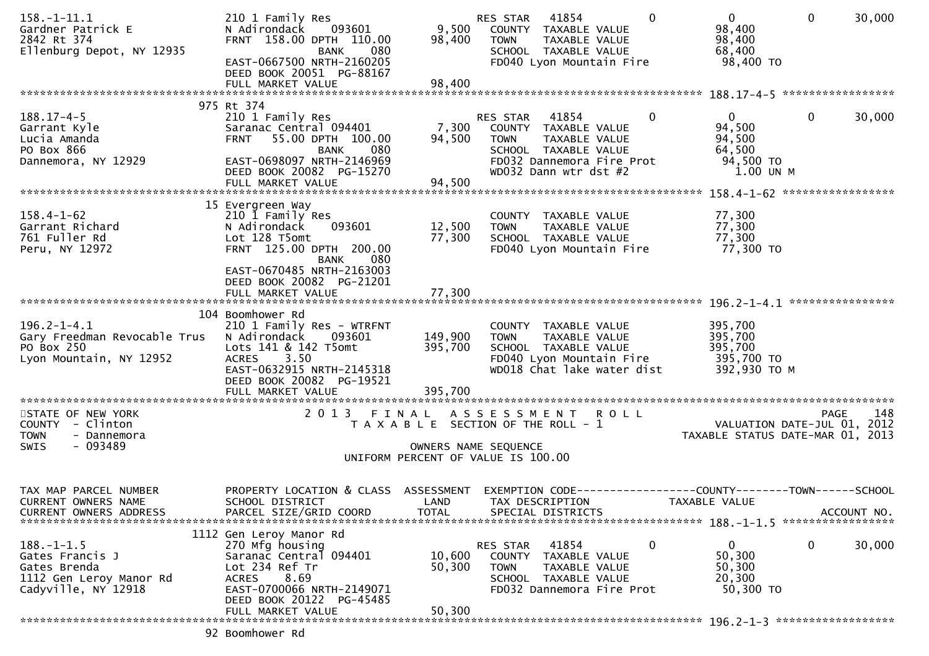| $158. - 1 - 11.1$<br>Gardner Patrick E<br>2842 Rt 374<br>Ellenburg Depot, NY 12935                    | 210 1 Family Res<br>093601<br>N Adirondack<br>FRNT 158.00 DPTH 110.00<br><b>BANK</b><br>080<br>EAST-0667500 NRTH-2160205<br>DEED BOOK 20051 PG-88167                                             | 9,500<br>98,400                    | 41854<br>RES STAR<br>$\Omega$<br>COUNTY TAXABLE VALUE<br><b>TOWN</b><br>TAXABLE VALUE<br>SCHOOL TAXABLE VALUE<br>FD040 Lyon Mountain Fire                               | $\overline{0}$<br>98,400<br>98,400<br>68,400<br>98,400 TO              | $\mathbf{0}$<br>30,000                                                                |
|-------------------------------------------------------------------------------------------------------|--------------------------------------------------------------------------------------------------------------------------------------------------------------------------------------------------|------------------------------------|-------------------------------------------------------------------------------------------------------------------------------------------------------------------------|------------------------------------------------------------------------|---------------------------------------------------------------------------------------|
|                                                                                                       | FULL MARKET VALUE                                                                                                                                                                                | 98,400                             |                                                                                                                                                                         |                                                                        |                                                                                       |
| $188.17 - 4 - 5$<br>Garrant Kyle<br>Lucia Amanda<br>PO Box 866<br>Dannemora, NY 12929                 | 975 Rt 374<br>210 1 Family Res<br>Saranac Central 094401<br>55.00 DPTH 100.00<br><b>FRNT</b><br>080<br><b>BANK</b><br>EAST-0698097 NRTH-2146969<br>DEED BOOK 20082 PG-15270<br>FULL MARKET VALUE | 7,300<br>94,500<br>94,500          | $\mathbf{0}$<br>RES STAR<br>41854<br>COUNTY TAXABLE VALUE<br><b>TOWN</b><br>TAXABLE VALUE<br>SCHOOL TAXABLE VALUE<br>FD032 Dannemora Fire Prot<br>WD032 Dann wtr dst #2 | $\overline{0}$<br>94,500<br>94,500<br>64,500<br>94,500 TO<br>1.00 UN M | $\mathbf 0$<br>30,000                                                                 |
|                                                                                                       |                                                                                                                                                                                                  |                                    |                                                                                                                                                                         |                                                                        |                                                                                       |
| $158.4 - 1 - 62$<br>Garrant Richard<br>761 Fuller Rd<br>Peru, NY 12972                                | 15 Evergreen Way<br>210 1 Family Res<br>N Adirondack<br>093601<br>Lot 128 T5omt<br>FRNT 125.00 DPTH 200.00<br><b>BANK</b><br>080                                                                 | 12,500<br>77,300                   | COUNTY TAXABLE VALUE<br><b>TOWN</b><br>TAXABLE VALUE<br>SCHOOL TAXABLE VALUE<br>FD040 Lyon Mountain Fire                                                                | 77,300<br>77,300<br>77,300<br>77,300 TO                                |                                                                                       |
|                                                                                                       | EAST-0670485 NRTH-2163003<br>DEED BOOK 20082 PG-21201<br>FULL MARKET VALUE                                                                                                                       | 77,300                             |                                                                                                                                                                         |                                                                        |                                                                                       |
| $196.2 - 1 - 4.1$<br>Gary Freedman Revocable Trus<br>PO Box 250<br>Lyon Mountain, NY 12952            | 104 Boomhower Rd<br>210 1 Family Res - WTRFNT<br>N Adirondack<br>093601<br>Lots 141 & 142 T5omt<br>3.50<br><b>ACRES</b><br>EAST-0632915 NRTH-2145318<br>DEED BOOK 20082 PG-19521                 | 149,900<br>395,700                 | COUNTY TAXABLE VALUE<br>TAXABLE VALUE<br><b>TOWN</b><br>SCHOOL TAXABLE VALUE<br>FD040 Lyon Mountain Fire<br>WD018 Chat lake water dist                                  | 395,700<br>395,700<br>395,700<br>395,700 TO<br>392,930 ТО М            |                                                                                       |
| STATE OF NEW YORK<br>COUNTY - Clinton<br><b>TOWN</b><br>- Dannemora<br>SWIS<br>- 093489               | 2 0 1 3<br>FINAL                                                                                                                                                                                 |                                    | A S S E S S M E N T<br><b>ROLL</b><br>T A X A B L E SECTION OF THE ROLL - 1<br>OWNERS NAME SEQUENCE                                                                     |                                                                        | 148<br><b>PAGE</b><br>VALUATION DATE-JUL 01, 2012<br>TAXABLE STATUS DATE-MAR 01, 2013 |
|                                                                                                       |                                                                                                                                                                                                  |                                    | UNIFORM PERCENT OF VALUE IS 100.00                                                                                                                                      |                                                                        |                                                                                       |
| TAX MAP PARCEL NUMBER<br>CURRENT OWNERS NAME<br><b>CURRENT OWNERS ADDRESS</b>                         | PROPERTY LOCATION & CLASS<br>SCHOOL DISTRICT<br>PARCEL SIZE/GRID COORD                                                                                                                           | ASSESSMENT<br>LAND<br><b>TOTAL</b> | TAX DESCRIPTION<br>SPECIAL DISTRICTS                                                                                                                                    | TAXABLE VALUE                                                          | ACCOUNT NO.                                                                           |
| $188. - 1 - 1.5$<br>Gates Francis J<br>Gates Brenda<br>1112 Gen Leroy Manor Rd<br>Cadyville, NY 12918 | 1112 Gen Leroy Manor Rd<br>270 Mfg housing<br>Saranac Central 094401<br>Lot 234 Ref Tr<br>8.69<br><b>ACRES</b><br>EAST-0700066 NRTH-2149071<br>DEED BOOK 20122 PG-45485<br>FULL MARKET VALUE     | 10,600<br>50,300<br>50,300         | $\mathbf 0$<br>41854<br>RES STAR<br>COUNTY<br>TAXABLE VALUE<br><b>TOWN</b><br>TAXABLE VALUE<br>SCHOOL TAXABLE VALUE<br>FD032 Dannemora Fire Prot                        | $\mathbf{0}$<br>50,300<br>50,300<br>20,300<br>50,300 TO                | $\mathbf 0$<br>30,000                                                                 |
|                                                                                                       |                                                                                                                                                                                                  |                                    |                                                                                                                                                                         |                                                                        |                                                                                       |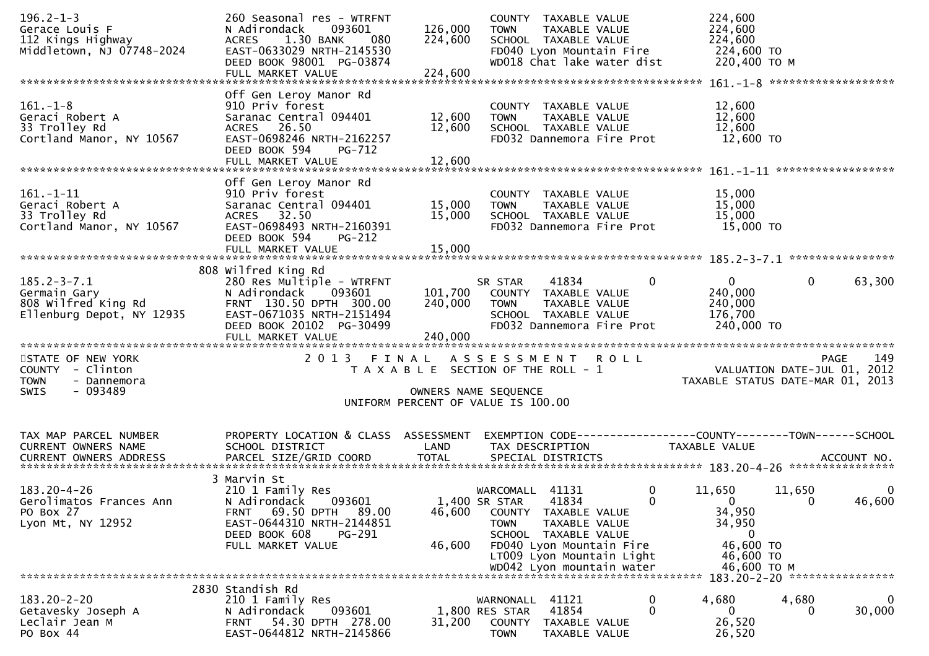| $196.2 - 1 - 3$<br>Gerace Louis F<br>112 Kings Highway<br>Middletown, NJ 07748-2024                                                | 260 Seasonal res - WTRFNT<br>093601<br>N Adirondack<br>1.30 BANK<br><b>ACRES</b><br>- 080<br>EAST-0633029 NRTH-2145530<br>DEED BOOK 98001 PG-03874                    | 126,000<br>224,600                                                                                   | COUNTY TAXABLE VALUE<br><b>TOWN</b><br>SCHOOL TAXABLE VALUE                                                          | TAXABLE VALUE                                    | FD040 Lyon Mountain Fire<br>WD018 Chat lake water dist                     | 224,600<br>224,600<br>224,600<br>224,600 TO<br>220,400 ТО М                                          |                    |                        |
|------------------------------------------------------------------------------------------------------------------------------------|-----------------------------------------------------------------------------------------------------------------------------------------------------------------------|------------------------------------------------------------------------------------------------------|----------------------------------------------------------------------------------------------------------------------|--------------------------------------------------|----------------------------------------------------------------------------|------------------------------------------------------------------------------------------------------|--------------------|------------------------|
|                                                                                                                                    |                                                                                                                                                                       |                                                                                                      |                                                                                                                      |                                                  |                                                                            |                                                                                                      |                    |                        |
| $161.-1-8$<br>Geraci Robert A<br>33 Trolley Rd<br>Cortland Manor, NY 10567                                                         | Off Gen Leroy Manor Rd<br>910 Priv forest<br>Saranac Central 094401<br>ACRES 26.50<br>EAST-0698246 NRTH-2162257<br>DEED BOOK 594<br>PG-712<br>FULL MARKET VALUE       | 12,600<br>12,600<br>12,600                                                                           | COUNTY TAXABLE VALUE<br><b>TOWN</b><br>SCHOOL TAXABLE VALUE                                                          | TAXABLE VALUE                                    | FD032 Dannemora Fire Prot                                                  | 12,600<br>12,600<br>12,600<br>12,600 TO                                                              |                    |                        |
|                                                                                                                                    | Off Gen Leroy Manor Rd                                                                                                                                                |                                                                                                      |                                                                                                                      |                                                  |                                                                            |                                                                                                      |                    |                        |
| $161.-1-11$<br>Geraci Robert A<br>33 Trolley Rd<br>Cortland Manor, NY 10567                                                        | 910 Priv forest<br>Saranac Central 094401<br>ACRES 32.50<br>EAST-0698493 NRTH-2160391<br>DEED BOOK 594<br>PG-212<br>FULL MARKET VALUE                                 | 15,000<br>15,000<br>15,000                                                                           | COUNTY TAXABLE VALUE<br><b>TOWN</b><br>SCHOOL TAXABLE VALUE                                                          | TAXABLE VALUE                                    | FD032 Dannemora Fire Prot                                                  | 15,000<br>15,000<br>15,000<br>15,000 TO                                                              |                    |                        |
|                                                                                                                                    | 808 wilfred King Rd                                                                                                                                                   |                                                                                                      |                                                                                                                      |                                                  |                                                                            |                                                                                                      |                    |                        |
| $185.2 - 3 - 7.1$<br>Germain Gary<br>Germain Gary<br>808 Wilfred King Rd<br>Ellenburg Depot, NY 12935<br>Ellenburg Depot, NY 12935 | 280 Res Multiple - WTRFNT<br>N Adirondack 093601<br>FRNT 130.50 DPTH 300.00<br>EAST-0671035 NRTH-2151494<br>DEED BOOK 20102 PG-30499                                  | 240,000                                                                                              | SR STAR<br>101,700 COUNTY TAXABLE VALUE<br><b>TOWN</b><br>SCHOOL TAXABLE VALUE                                       | 41834<br>TAXABLE VALUE                           | $\overline{\mathbf{0}}$<br>FD032 Dannemora Fire Prot                       | $\overline{0}$<br>240,000<br>240,000<br>176,700<br>240,000 TO                                        | $\overline{0}$     | 63,300                 |
| STATE OF NEW YORK<br>COUNTY - Clinton<br><b>TOWN</b><br>- Dannemora<br>$-093489$<br><b>SWIS</b>                                    | 2 0 1 3                                                                                                                                                               | FINAL ASSESSMENT ROLL<br>T A X A B L E SECTION OF THE ROLL - 1<br>UNIFORM PERCENT OF VALUE IS 100.00 | OWNERS NAME SEQUENCE                                                                                                 |                                                  |                                                                            | PAGE 149<br>VALUATION DATE-JUL 01, 2012<br>TAYABLE STATUS BITE :<br>TAXABLE STATUS DATE-MAR 01, 2013 |                    | <b>PAGE</b><br>149     |
| TAX MAP PARCEL NUMBER<br>CURRENT OWNERS NAME                                                                                       | PROPERTY LOCATION & CLASS ASSESSMENT<br>SCHOOL DISTRICT                                                                                                               | LAND                                                                                                 | TAX DESCRIPTION                                                                                                      |                                                  |                                                                            | EXEMPTION CODE-----------------COUNTY-------TOWN------SCHOOL<br>TAXABLE VALUE                        |                    |                        |
| $183.20 - 4 - 26$<br>Gerolimatos Frances Ann<br>PO Box 27<br>Lyon Mt, NY 12952                                                     | 3 Marvin St<br>210 1 Family Res<br>N Adirondack<br>093601<br>69.50 DPTH<br>89.00<br>FRNT<br>EAST-0644310 NRTH-2144851<br>DEED BOOK 608<br>PG-291<br>FULL MARKET VALUE | 46,600<br>46,600                                                                                     | WARCOMALL 41131<br>1,400 SR STAR<br><b>COUNTY</b><br><b>TOWN</b><br>SCHOOL TAXABLE VALUE<br>FD040 Lyon Mountain Fire | 41834<br>TAXABLE VALUE<br>TAXABLE VALUE          | 0<br>$\mathbf 0$<br>LT009 Lyon Mountain Light<br>WD042 Lyon mountain water | 11,650<br>$\mathbf{0}$<br>34,950<br>34,950<br>0<br>46,600 TO<br>46,600 TO<br>46,600 TO M             | 11,650<br>$\Omega$ | $\mathbf{0}$<br>46,600 |
|                                                                                                                                    |                                                                                                                                                                       |                                                                                                      |                                                                                                                      |                                                  |                                                                            | 183.20-2-20 *****************                                                                        |                    |                        |
| $183.20 - 2 - 20$<br>Getavesky Joseph A<br>Leclair Jean M<br>PO Box 44                                                             | 2830 Standish Rd<br>210 1 Family Res<br>N Adirondack<br>093601<br>54.30 DPTH 278.00<br><b>FRNT</b><br>EAST-0644812 NRTH-2145866                                       | 31,200                                                                                               | WARNONALL<br>1,800 RES STAR<br><b>COUNTY</b><br><b>TOWN</b>                                                          | 41121<br>41854<br>TAXABLE VALUE<br>TAXABLE VALUE | 0<br>$\mathbf{0}$                                                          | 4,680<br>0<br>26,520<br>26,520                                                                       | 4,680              | 0<br>30,000            |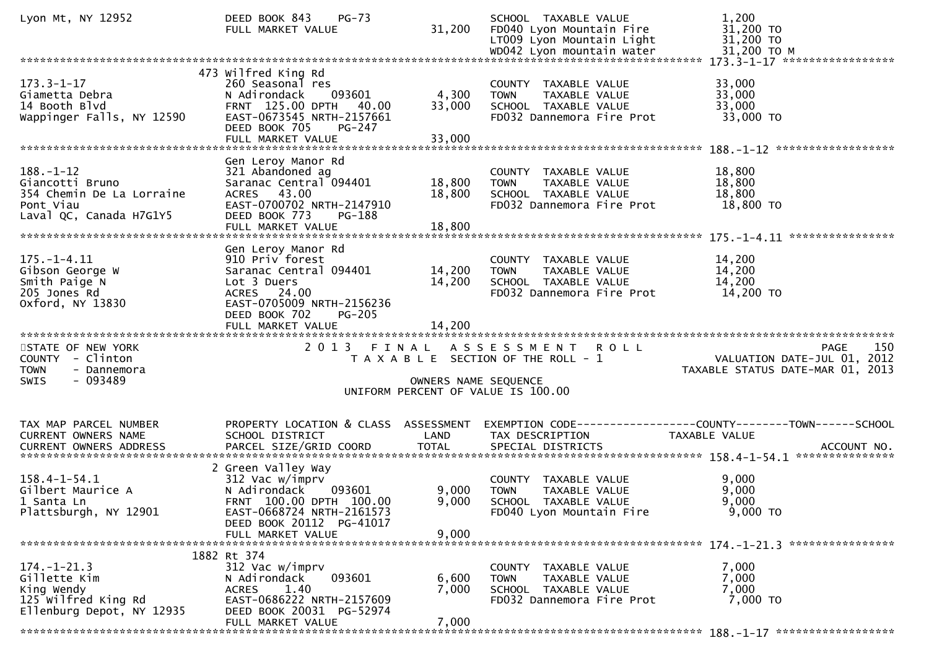| Lyon Mt, NY 12952                                                                                       | DEED BOOK 843<br>$PG-73$<br>FULL MARKET VALUE                                                                                                                                 | 31,200                     | SCHOOL TAXABLE VALUE<br>FD040 Lyon Mountain Fire<br>LT009 Lyon Mountain Light                             | 1,200<br>31,200 TO<br>31,200 TO                                                |
|---------------------------------------------------------------------------------------------------------|-------------------------------------------------------------------------------------------------------------------------------------------------------------------------------|----------------------------|-----------------------------------------------------------------------------------------------------------|--------------------------------------------------------------------------------|
|                                                                                                         |                                                                                                                                                                               |                            |                                                                                                           |                                                                                |
| $173.3 - 1 - 17$<br>Giametta Debra<br>14 Booth Blvd<br>Wappinger Falls, NY 12590                        | 473 Wilfred King Rd<br>260 Seasonal res<br>N Adirondack<br>093601<br>FRNT 125.00 DPTH<br>40.00<br>EAST-0673545 NRTH-2157661<br>DEED BOOK 705<br>$PG-247$<br>FULL MARKET VALUE | 4,300<br>33,000<br>33,000  | COUNTY TAXABLE VALUE<br>TAXABLE VALUE<br><b>TOWN</b><br>SCHOOL TAXABLE VALUE<br>FD032 Dannemora Fire Prot | 33,000<br>33,000<br>33,000<br>33,000 TO                                        |
|                                                                                                         | Gen Leroy Manor Rd                                                                                                                                                            |                            |                                                                                                           |                                                                                |
| $188. - 1 - 12$<br>Giancotti Bruno<br>354 Chemin De La Lorraine<br>Pont Viau<br>Laval QC, Canada H7G1Y5 | 321 Abandoned ag<br>Saranac Central 094401<br>ACRES 43.00<br>EAST-0700702 NRTH-2147910<br>DEED BOOK 773<br>PG-188<br>FULL MARKET VALUE                                        | 18,800<br>18,800<br>18,800 | COUNTY TAXABLE VALUE<br><b>TOWN</b><br>TAXABLE VALUE<br>SCHOOL TAXABLE VALUE<br>FD032 Dannemora Fire Prot | 18,800<br>18,800<br>18,800<br>18,800 TO                                        |
|                                                                                                         |                                                                                                                                                                               |                            |                                                                                                           |                                                                                |
| $175. - 1 - 4.11$<br>Gibson George W<br>Smith Paige N<br>205 Jones Rd<br>Oxford, NY 13830               | Gen Leroy Manor Rd<br>910 Priv forest<br>Saranac Central 094401<br>Lot 3 Duers<br>ACRES 24.00<br>EAST-0705009 NRTH-2156236<br>DEED BOOK 702<br><b>PG-205</b>                  | 14,200<br>14,200           | COUNTY TAXABLE VALUE<br>TAXABLE VALUE<br><b>TOWN</b><br>SCHOOL TAXABLE VALUE<br>FD032 Dannemora Fire Prot | 14,200<br>14,200<br>14,200<br>14,200 TO                                        |
|                                                                                                         | FULL MARKET VALUE                                                                                                                                                             | 14,200                     |                                                                                                           |                                                                                |
| STATE OF NEW YORK<br>COUNTY - Clinton<br><b>TOWN</b><br>- Dannemora<br>$-093489$<br><b>SWIS</b>         |                                                                                                                                                                               | OWNERS NAME SEQUENCE       | 2013 FINAL ASSESSMENT ROLL<br>T A X A B L E SECTION OF THE ROLL - 1<br>UNIFORM PERCENT OF VALUE IS 100.00 | 150<br>PAGE<br>VALUATION DATE-JUL 01, 2012<br>TAXABLE STATUS DATE-MAR 01, 2013 |
|                                                                                                         | PROPERTY LOCATION & CLASS ASSESSMENT                                                                                                                                          |                            |                                                                                                           |                                                                                |
| TAX MAP PARCEL NUMBER<br>CURRENT OWNERS NAME                                                            | SCHOOL DISTRICT                                                                                                                                                               | LAND                       | TAX DESCRIPTION                                                                                           | EXEMPTION CODE-----------------COUNTY-------TOWN------SCHOOL<br>TAXABLE VALUE  |
| $158.4 - 1 - 54.1$<br>Gilbert Maurice A<br>1 Santa Ln<br>Plattsburgh, NY 12901                          | 2 Green Valley Way<br>312 Vac w/imprv<br>N Adirondack<br>093601<br>FRNT 100.00 DPTH 100.00<br>EAST-0668724 NRTH-2161573<br>DEED BOOK 20112 PG-41017<br>FULL MARKET VALUE      | 9,000<br>9,000<br>9,000    | COUNTY TAXABLE VALUE<br><b>TOWN</b><br>TAXABLE VALUE<br>SCHOOL TAXABLE VALUE<br>FD040 Lyon Mountain Fire  | 9,000<br>9,000<br>9,000<br>9,000 TO                                            |
|                                                                                                         | 1882 Rt 374                                                                                                                                                                   |                            |                                                                                                           |                                                                                |
| $174. - 1 - 21.3$<br>Gillette Kim<br>King Wendy<br>125 Wilfred King Rd<br>Ellenburg Depot, NY 12935     | 312 Vac w/imprv<br>093601<br>N Adirondack<br>1.40<br><b>ACRES</b><br>EAST-0686222 NRTH-2157609<br>DEED BOOK 20031 PG-52974<br>FULL MARKET VALUE                               | 6,600<br>7,000<br>7,000    | COUNTY TAXABLE VALUE<br>TAXABLE VALUE<br><b>TOWN</b><br>SCHOOL TAXABLE VALUE<br>FD032 Dannemora Fire Prot | 7,000<br>7,000<br>7,000<br>7,000 TO                                            |
|                                                                                                         |                                                                                                                                                                               |                            |                                                                                                           |                                                                                |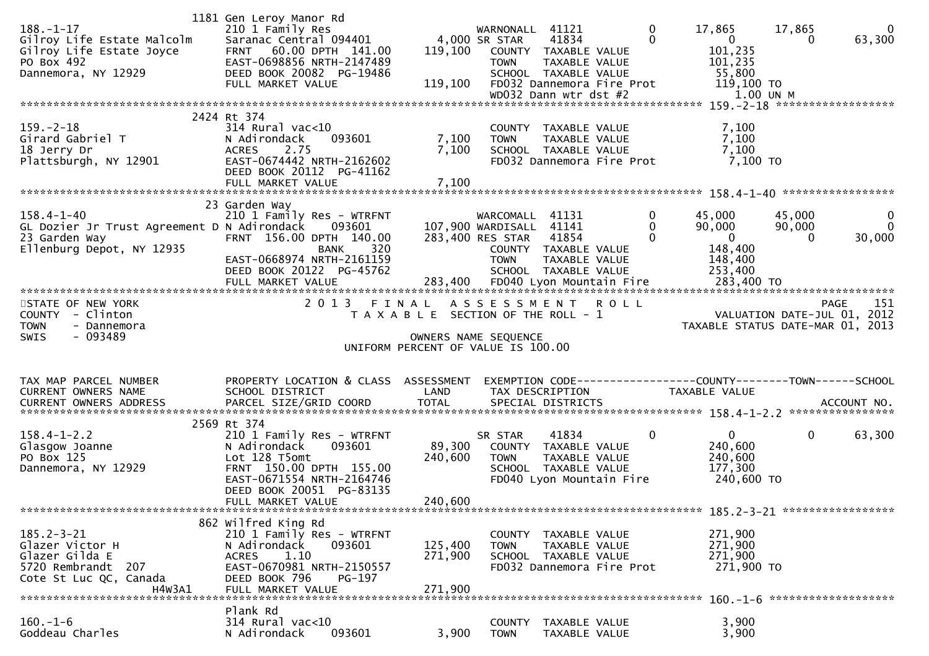| $188. - 1 - 17$<br>Gilroy Life Estate Malcolm<br>Gilroy Life Estate Joyce<br>PO Box 492<br>Dannemora, NY 12929  | 1181 Gen Leroy Manor Rd<br>210 1 Family Res<br>Saranac Central 094401<br>FRNT 60.00 DPTH 141.00<br>EAST-0698856 NRTH-2147489<br>DEED BOOK 20082 PG-19486<br>FULL MARKET VALUE                | 119,100<br>119,100            | WARNONALL<br>4,000 SR STAR<br><b>TOWN</b>                         | 41121<br>41834<br>COUNTY TAXABLE VALUE<br>TAXABLE VALUE<br>SCHOOL TAXABLE VALUE<br>FD032 Dannemora Fire Prot<br>WD032 Dann wtr dst #2 | 0<br>17,865<br>$\Omega$<br>$\overline{0}$<br>101,235<br>101,235<br>55,800<br>119,100 TO | 17,865<br>0<br>1.00 UN M | $\mathbf{0}$<br>63,300                     |
|-----------------------------------------------------------------------------------------------------------------|----------------------------------------------------------------------------------------------------------------------------------------------------------------------------------------------|-------------------------------|-------------------------------------------------------------------|---------------------------------------------------------------------------------------------------------------------------------------|-----------------------------------------------------------------------------------------|--------------------------|--------------------------------------------|
|                                                                                                                 |                                                                                                                                                                                              |                               |                                                                   |                                                                                                                                       |                                                                                         |                          |                                            |
| $159. - 2 - 18$<br>Girard Gabriel T<br>18 Jerry Dr<br>Plattsburgh, NY 12901                                     | 2424 Rt 374<br>$314$ Rural vac<10<br>N Adirondack<br>093601<br>2.75<br><b>ACRES</b><br>EAST-0674442 NRTH-2162602<br>DEED BOOK 20112 PG-41162<br>FULL MARKET VALUE                            | 7,100<br>7,100<br>7,100       | <b>TOWN</b>                                                       | COUNTY TAXABLE VALUE<br>TAXABLE VALUE<br>SCHOOL TAXABLE VALUE<br>FD032 Dannemora Fire Prot                                            | 7,100<br>7,100<br>7,100<br>7,100 TO                                                     |                          |                                            |
| $158.4 - 1 - 40$<br>GL Dozier Jr Trust Agreement D N Adirondack<br>23 Garden Way<br>Ellenburg Depot, NY 12935   | 23 Garden Way<br>210 1 Family Res - WTRFNT<br>093601<br>FRNT 156.00 DPTH 140.00<br>320<br><b>BANK</b><br>EAST-0668974 NRTH-2161159<br>DEED BOOK 20122 PG-45762                               |                               | WARCOMALL<br>107,900 WARDISALL<br>283,400 RES STAR<br><b>TOWN</b> | 41131<br>41141<br>41854<br>COUNTY TAXABLE VALUE<br>TAXABLE VALUE<br>SCHOOL TAXABLE VALUE                                              | $\bf{0}$<br>45,000<br>90,000<br>0<br>$\mathbf{0}$<br>0<br>148,400<br>148,400<br>253,400 | 45,000<br>90,000<br>0    | 0<br>$\mathbf{0}$<br>30,000                |
| STATE OF NEW YORK<br>- Clinton<br><b>COUNTY</b><br><b>TOWN</b><br>- Dannemora<br>$-093489$<br>SWIS              | 2013 FINAL ASSESSMENT ROLL                                                                                                                                                                   |                               | T A X A B L E SECTION OF THE ROLL - 1                             |                                                                                                                                       | TAXABLE STATUS DATE-MAR 01, 2013                                                        |                          | 151<br>PAGE<br>VALUATION DATE-JUL 01, 2012 |
|                                                                                                                 |                                                                                                                                                                                              |                               | OWNERS NAME SEQUENCE<br>UNIFORM PERCENT OF VALUE IS 100.00        |                                                                                                                                       |                                                                                         |                          |                                            |
| TAX MAP PARCEL NUMBER<br><b>CURRENT OWNERS NAME</b>                                                             | PROPERTY LOCATION & CLASS ASSESSMENT<br>SCHOOL DISTRICT                                                                                                                                      | LAND                          | TAX DESCRIPTION                                                   |                                                                                                                                       | TAXABLE VALUE                                                                           |                          |                                            |
| $158.4 - 1 - 2.2$<br>Glasgow Joanne<br>PO Box 125<br>Dannemora, NY 12929                                        | 2569 Rt 374<br>210 1 Family Res - WTRFNT<br>093601<br>N Adirondack<br>Lot 128 T5omt<br>FRNT 150.00 DPTH 155.00<br>EAST-0671554 NRTH-2164746<br>DEED BOOK 20051 PG-83135<br>FULL MARKET VALUE | 89,300<br>240,600<br>240,600  | SR STAR<br><b>TOWN</b>                                            | 41834<br>COUNTY TAXABLE VALUE<br>TAXABLE VALUE<br>SCHOOL TAXABLE VALUE<br>FD040 Lyon Mountain Fire                                    | $\mathbf{0}$<br>0<br>240,600<br>240,600<br>177,300<br>240,600 то                        | 0                        | 63,300                                     |
| $185.2 - 3 - 21$<br>Glazer Victor H<br>Glazer Gilda E<br>5720 Rembrandt 207<br>Cote St Luc QC, Canada<br>H4W3A1 | 862 Wilfred King Rd<br>210 1 Family Res - WTRFNT<br>093601<br>N Adirondack<br>1.10<br>ACRES<br>EAST-0670981 NRTH-2150557<br>DEED BOOK 796<br>PG-197<br>FULL MARKET VALUE                     | 125,400<br>271,900<br>271,900 | <b>TOWN</b>                                                       | COUNTY TAXABLE VALUE<br>TAXABLE VALUE<br>SCHOOL TAXABLE VALUE<br>FD032 Dannemora Fire Prot                                            | 271,900<br>271,900<br>271,900<br>271,900 то                                             |                          |                                            |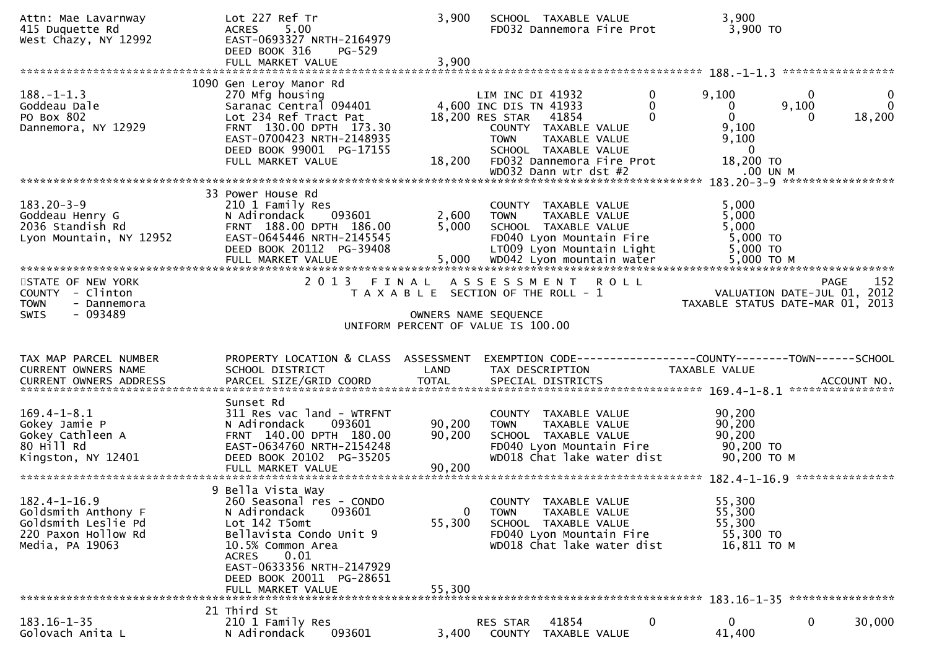| Attn: Mae Lavarnway<br>415 Duquette Rd<br>West Chazy, NY 12992                                             | Lot 227 Ref Tr<br>5.00<br><b>ACRES</b><br>EAST-0693327 NRTH-2164979<br>DEED BOOK 316<br>PG-529<br>FULL MARKET VALUE                                                                                                                            | 3,900<br>3,900             | SCHOOL TAXABLE VALUE<br>FD032 Dannemora Fire Prot                                                                                                                                                  | 3,900<br>3,900 TO                                                                                                       |                             |
|------------------------------------------------------------------------------------------------------------|------------------------------------------------------------------------------------------------------------------------------------------------------------------------------------------------------------------------------------------------|----------------------------|----------------------------------------------------------------------------------------------------------------------------------------------------------------------------------------------------|-------------------------------------------------------------------------------------------------------------------------|-----------------------------|
|                                                                                                            |                                                                                                                                                                                                                                                |                            |                                                                                                                                                                                                    |                                                                                                                         |                             |
| $188. - 1 - 1.3$<br>Goddeau Dale<br>PO Box 802<br>Dannemora, NY 12929                                      | 1090 Gen Leroy Manor Rd<br>270 Mfg housing<br>Saranac Central 094401<br>Lot 234 Ref Tract Pat<br>FRNT 130.00 DPTH 173.30<br>EAST-0700423 NRTH-2148935<br>DEED BOOK 99001 PG-17155<br>FULL MARKET VALUE                                         | 18,200                     | 0<br>LIM INC DI 41932<br>4,600 INC DIS TN 41933<br>0<br>0<br>18,200 RES STAR<br>41854<br>COUNTY TAXABLE VALUE<br>TAXABLE VALUE<br><b>TOWN</b><br>SCHOOL TAXABLE VALUE<br>FD032 Dannemora Fire Prot | $\mathbf 0$<br>9,100<br>9,100<br>0<br>18,200<br>$\mathbf{0}$<br>$\Omega$<br>9,100<br>9,100<br>$\mathbf{0}$<br>18,200 TO | $\mathbf 0$<br>$\mathbf{0}$ |
|                                                                                                            |                                                                                                                                                                                                                                                |                            | WD032 Dann wtr dst #2                                                                                                                                                                              | .00 UN M<br>183.20-3-9 ******************                                                                               |                             |
| $183.20 - 3 - 9$<br>Goddeau Henry G<br>2036 Standish Rd<br>Lyon Mountain, NY 12952                         | 33 Power House Rd<br>210 1 Family Res<br>093601<br>N Adirondack<br>FRNT 188.00 DPTH 186.00<br>EAST-0645446 NRTH-2145545<br>DEED BOOK 20112 PG-39408                                                                                            | 2,600<br>5,000             | COUNTY TAXABLE VALUE<br><b>TOWN</b><br>TAXABLE VALUE<br>SCHOOL TAXABLE VALUE<br>FD040 Lyon Mountain Fire<br>LT009 Lyon Mountain Light                                                              | 5,000<br>5,000<br>5,000<br>5,000 TO<br>5,000 TO<br>5,000 ТО М                                                           |                             |
|                                                                                                            |                                                                                                                                                                                                                                                |                            |                                                                                                                                                                                                    |                                                                                                                         |                             |
| STATE OF NEW YORK<br>COUNTY - Clinton<br><b>TOWN</b><br>- Dannemora<br>$-093489$<br><b>SWIS</b>            | 2 0 1 3<br>FINAL                                                                                                                                                                                                                               |                            | A S S E S S M E N T<br><b>ROLL</b><br>T A X A B L E SECTION OF THE ROLL - 1<br>OWNERS NAME SEQUENCE                                                                                                | PAGE<br>VALUATION DATE-JUL 01, 2012<br>TAXABLE STATUS DATE-MAR 01, 2013                                                 | 152                         |
|                                                                                                            |                                                                                                                                                                                                                                                |                            | UNIFORM PERCENT OF VALUE IS 100.00                                                                                                                                                                 |                                                                                                                         |                             |
|                                                                                                            |                                                                                                                                                                                                                                                |                            |                                                                                                                                                                                                    |                                                                                                                         |                             |
| TAX MAP PARCEL NUMBER<br>CURRENT OWNERS NAME                                                               | PROPERTY LOCATION & CLASS ASSESSMENT<br>SCHOOL DISTRICT                                                                                                                                                                                        | LAND                       | TAX DESCRIPTION                                                                                                                                                                                    | EXEMPTION        CODE-----------------COUNTY-------TOWN------SCHOOL<br>TAXABLE VALUE<br>ACCOUNT NO.                     |                             |
| $169.4 - 1 - 8.1$<br>Gokey Jamie P<br>Gokey Cathleen A<br>80 Hill Rd<br>Kingston, NY 12401                 | Sunset Rd<br>311 Res vac land - WTRFNT<br>093601<br>N Adirondack<br>FRNT 140.00 DPTH 180.00<br>EAST-0634760 NRTH-2154248<br>DEED BOOK 20102 PG-35205<br>FULL MARKET VALUE                                                                      | 90,200<br>90,200<br>90,200 | COUNTY TAXABLE VALUE<br>TAXABLE VALUE<br><b>TOWN</b><br>SCHOOL TAXABLE VALUE<br>FD040 Lyon Mountain Fire<br>WD018 Chat lake water dist                                                             | ****************<br>90,200<br>90,200<br>90,200<br>90,200 TO<br>90,200 ТО М                                              |                             |
| $182.4 - 1 - 16.9$<br>Goldsmith Anthony F<br>Goldsmith Leslie Pd<br>220 Paxon Hollow Rd<br>Media, PA 19063 | 9 Bella Vista Way<br>260 Seasonal res - CONDO<br>093601<br>N Adirondack<br>Lot 142 T5omt<br>Bellavista Condo Unit 9<br>10.5% Common Area<br><b>ACRES</b><br>0.01<br>EAST-0633356 NRTH-2147929<br>DEED BOOK 20011 PG-28651<br>FULL MARKET VALUE | 0<br>55,300<br>55,300      | COUNTY TAXABLE VALUE<br><b>TOWN</b><br>TAXABLE VALUE<br>SCHOOL TAXABLE VALUE<br>FD040 Lyon Mountain Fire<br>WD018 Chat lake water dist                                                             | 55,300<br>55,300<br>55,300<br>55,300 TO<br>16,811 TO M                                                                  |                             |
|                                                                                                            | 21 Third St                                                                                                                                                                                                                                    |                            |                                                                                                                                                                                                    |                                                                                                                         |                             |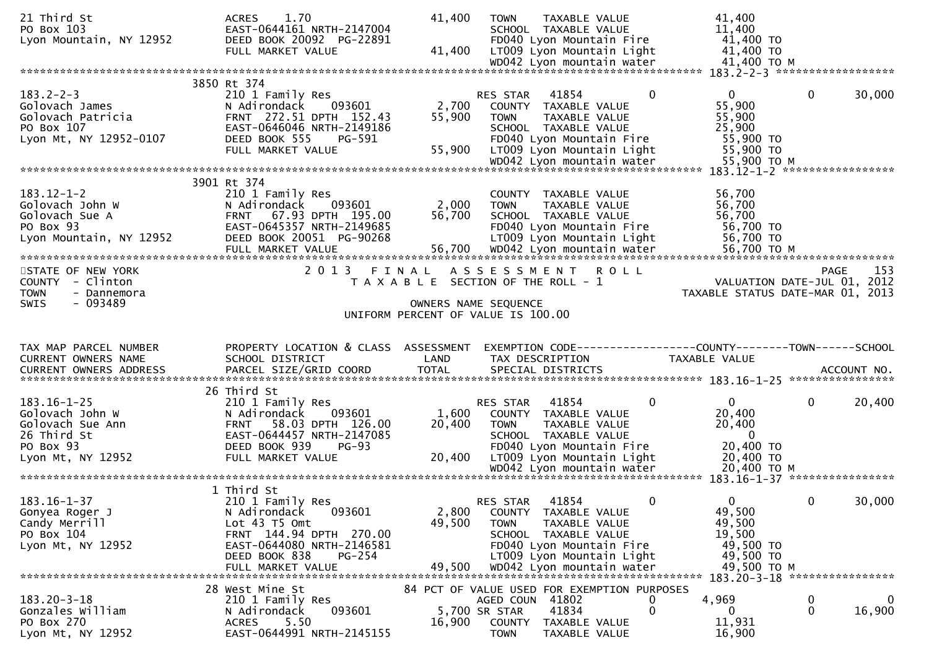| 21 Third St<br>PO Box 103<br>Lyon Mountain, NY 12952                                                      | 1.70<br><b>ACRES</b><br>EAST-0644161 NRTH-2147004<br>DEED BOOK 20092 PG-22891<br>FULL MARKET VALUE                                                                                  | 41,400<br>41,400          | <b>TOWN</b><br>TAXABLE VALUE<br>SCHOOL TAXABLE VALUE<br>FD040 Lyon Mountain Fire<br>LT009 Lyon Mountain Light<br>WD042 Lyon mountain water                                                     | 41,400<br>11,400<br>41,400 TO<br>41,400 TO<br>41,400 TO M                                        |                                                                                |
|-----------------------------------------------------------------------------------------------------------|-------------------------------------------------------------------------------------------------------------------------------------------------------------------------------------|---------------------------|------------------------------------------------------------------------------------------------------------------------------------------------------------------------------------------------|--------------------------------------------------------------------------------------------------|--------------------------------------------------------------------------------|
|                                                                                                           | 3850 Rt 374                                                                                                                                                                         |                           |                                                                                                                                                                                                |                                                                                                  |                                                                                |
| $183.2 - 2 - 3$<br>Golovach James<br>Golovach Patricia<br>PO Box 107<br>Lyon Mt, NY 12952-0107            | 210 1 Family Res<br>N Adirondack<br>093601<br>FRNT 272.51 DPTH 152.43<br>EAST-0646046 NRTH-2149186<br>DEED BOOK 555<br>PG-591<br>FULL MARKET VALUE                                  | 2,700<br>55,900<br>55,900 | RES STAR<br>41854<br>COUNTY TAXABLE VALUE<br><b>TOWN</b><br>TAXABLE VALUE<br>SCHOOL TAXABLE VALUE<br>FD040 Lyon Mountain Fire<br>LT009 Lyon Mountain Light                                     | $\overline{0}$<br>$\Omega$<br>55,900<br>55,900<br>25,900<br>55,900 TO<br>55,900 TO               | $\mathbf{0}$<br>30,000                                                         |
|                                                                                                           |                                                                                                                                                                                     |                           | WD042 Lyon mountain water                                                                                                                                                                      | 55,900 TO M                                                                                      | 183.12-1-2 ******************                                                  |
| $183.12 - 1 - 2$<br>Golovach John W<br>Golovach Sue A<br>PO Box 93<br>Lyon Mountain, NY 12952             | 3901 Rt 374<br>210 1 Family Res<br>N Adirondack<br>093601<br>FRNT 67.93 DPTH 195.00<br>EAST-0645357 NRTH-2149685<br>DEED BOOK 20051 PG-90268<br>FULL MARKET VALUE                   | 2,000<br>56,700<br>56,700 | COUNTY TAXABLE VALUE<br><b>TOWN</b><br>TAXABLE VALUE<br>SCHOOL TAXABLE VALUE<br>FD040 Lyon Mountain Fire<br>LT009 Lyon Mountain Light<br>WD042 Lyon mountain water                             | 56,700<br>56,700<br>56,700<br>56,700 TO<br>56,700 TO<br>56,700 ТО М                              |                                                                                |
| STATE OF NEW YORK<br>COUNTY - Clinton<br><b>TOWN</b><br>- Dannemora<br>$-093489$<br>SWIS                  | 2 0 1 3<br>FINAL                                                                                                                                                                    | OWNERS NAME SEQUENCE      | A S S E S S M E N T<br><b>ROLL</b><br>T A X A B L E SECTION OF THE ROLL - 1                                                                                                                    |                                                                                                  | 153<br>PAGE<br>VALUATION DATE-JUL 01, 2012<br>TAXABLE STATUS DATE-MAR 01, 2013 |
|                                                                                                           |                                                                                                                                                                                     |                           | UNIFORM PERCENT OF VALUE IS 100.00                                                                                                                                                             |                                                                                                  |                                                                                |
| TAX MAP PARCEL NUMBER<br>CURRENT OWNERS NAME<br>CURRENT OWNERS ADDRESS                                    | PROPERTY LOCATION & CLASS ASSESSMENT<br>SCHOOL DISTRICT<br>PARCEL SIZE/GRID COORD                                                                                                   | LAND<br><b>TOTAL</b>      | TAX DESCRIPTION<br>SPECIAL DISTRICTS                                                                                                                                                           | TAXABLE VALUE                                                                                    | ACCOUNT NO.                                                                    |
| $183.16 - 1 - 25$<br>Golovach John W<br>Golovach Sue Ann<br>26 Third St<br>PO Box 93<br>Lyon Mt, NY 12952 | 26 Third St<br>210 1 Family Res<br>N Adirondack<br>093601<br>58.03 DPTH 126.00<br><b>FRNT</b><br>EAST-0644457 NRTH-2147085<br>DEED BOOK 939<br>$PG-93$<br>FULL MARKET VALUE         | 1,600<br>20,400<br>20,400 | 41854<br><b>RES STAR</b><br>COUNTY TAXABLE VALUE<br><b>TOWN</b><br>TAXABLE VALUE<br>SCHOOL TAXABLE VALUE<br>FD040 Lyon Mountain Fire<br>LT009 Lyon Mountain Light<br>WD042 Lyon mountain water | $\mathbf{0}$<br>0<br>20,400<br>20,400<br>$\overline{0}$<br>20,400 TO<br>20,400 TO<br>20,400 ТО М | 0<br>20,400                                                                    |
| $183.16 - 1 - 37$<br>Gonyea Roger J<br>Candy Merrill<br>PO Box 104<br>Lyon Mt, NY 12952                   | 1 Third St<br>210 1 Family Res<br>093601<br>N Adirondack<br>Lot 43 T5 Omt<br>FRNT 144.94 DPTH 270.00<br>EAST-0644080 NRTH-2146581<br>DEED BOOK 838<br>$PG-254$<br>FULL MARKET VALUE | 2,800<br>49,500<br>49,500 | 41854<br>RES STAR<br>COUNTY TAXABLE VALUE<br>TAXABLE VALUE<br><b>TOWN</b><br>SCHOOL TAXABLE VALUE<br>FD040 Lyon Mountain Fire<br>LT009 Lyon Mountain Light<br>WD042 Lyon mountain water        | 0<br>$\Omega$<br>49,500<br>49,500<br>19,500<br>49,500 TO<br>49,500 TO<br>49,500 TO M             | 30,000<br>$\Omega$<br>183.20-3-18 *****************                            |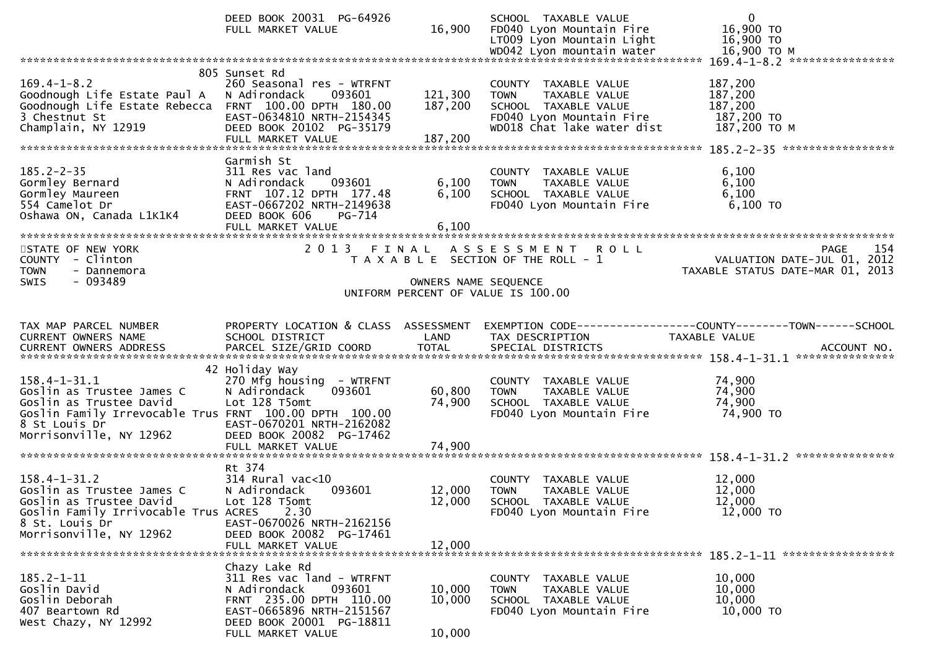|                                                                                                                                                                                  | DEED BOOK 20031 PG-64926<br>FULL MARKET VALUE                                                                                                                                 | 16,900                        | SCHOOL TAXABLE VALUE<br>FD040 Lyon Mountain Fire<br>LT009 Lyon Mountain Light                                                          | $\mathbf 0$<br>16,900 TO<br>16,900 TO<br>16,900 ТО М                                                                                                                                                                                                                                                           |
|----------------------------------------------------------------------------------------------------------------------------------------------------------------------------------|-------------------------------------------------------------------------------------------------------------------------------------------------------------------------------|-------------------------------|----------------------------------------------------------------------------------------------------------------------------------------|----------------------------------------------------------------------------------------------------------------------------------------------------------------------------------------------------------------------------------------------------------------------------------------------------------------|
|                                                                                                                                                                                  |                                                                                                                                                                               |                               |                                                                                                                                        | 169.4-1-8.2 *****************                                                                                                                                                                                                                                                                                  |
| $169.4 - 1 - 8.2$<br>Goodnough Life Estate Paul A<br>Goodnough Life Estate Rebecca FRNT 100.00 DPTH 180.00<br>3 Chestnut St<br>Champlain, NY 12919                               | 805 Sunset Rd<br>260 Seasonal res - WTRFNT<br>093601<br>N Adirondack<br>EAST-0634810 NRTH-2154345<br>DEED BOOK 20102 PG-35179<br>FULL MARKET VALUE                            | 121,300<br>187,200<br>187,200 | COUNTY TAXABLE VALUE<br>TAXABLE VALUE<br><b>TOWN</b><br>SCHOOL TAXABLE VALUE<br>FD040 Lyon Mountain Fire<br>WD018 Chat lake water dist | 187,200<br>187,200<br>187,200<br>187,200 TO<br>187,200 ТО М                                                                                                                                                                                                                                                    |
| $185.2 - 2 - 35$<br>Gormley Bernard<br>Gormley Maureen<br>554 Camelot Dr<br>Oshawa ON, Canada L1K1K4                                                                             | Garmish St<br>311 Res vac land<br>N Adirondack<br>093601<br>FRNT 107.12 DPTH 177.48<br>EAST-0667202 NRTH-2149638<br>DEED BOOK 606<br>PG-714<br>FULL MARKET VALUE              | 6,100<br>6,100<br>6,100       | COUNTY TAXABLE VALUE<br>TAXABLE VALUE<br><b>TOWN</b><br>SCHOOL TAXABLE VALUE<br>FD040 Lyon Mountain Fire                               | 6,100<br>6,100<br>6,100<br>$6,100$ TO                                                                                                                                                                                                                                                                          |
| STATE OF NEW YORK<br>COUNTY - Clinton<br><b>TOWN</b><br>- Dannemora                                                                                                              | 2 0 1 3                                                                                                                                                                       | FINAL                         | ASSESSMENT ROLL<br>T A X A B L E SECTION OF THE ROLL - 1                                                                               | 154<br><b>PAGE</b><br>VALUATION DATE-JUL 01, 2012<br>TAXABLE STATUS DATE-MAR 01, 2013                                                                                                                                                                                                                          |
| $-093489$<br><b>SWIS</b>                                                                                                                                                         |                                                                                                                                                                               | OWNERS NAME SEQUENCE          | UNIFORM PERCENT OF VALUE IS 100.00                                                                                                     |                                                                                                                                                                                                                                                                                                                |
| TAX MAP PARCEL NUMBER<br>CURRENT OWNERS NAME                                                                                                                                     | PROPERTY LOCATION & CLASS ASSESSMENT<br>SCHOOL DISTRICT                                                                                                                       | LAND                          | TAX DESCRIPTION                                                                                                                        | EXEMPTION CODE-----------------COUNTY-------TOWN------SCHOOL<br>TAXABLE VALUE<br>-CURRENT OWNERS ADDRESS PARCEL SIZE/GRID COORD TOTAL SPECIAL DISTRICTS AND MONERS ADDRESS PARCEL SIZE/GRID COORD TOTAL SPECIAL DISTRICTS AND MONERS ADDRESS FOR A SERVER AND TO A SERVER AND TO TALL THE SERVER ON THE SERVER |
| $158.4 - 1 - 31.1$<br>Goslin as Trustee James C<br>Goslin as Trustee David<br>Goslin Family Irrevocable Trus FRNT 100.00 DPTH 100.00<br>8 St Louis Dr<br>Morrisonville, NY 12962 | 42 Holiday Way<br>270 Mfg housing - WTRFNT<br>093601<br>N Adirondack<br>Lot 128 T5omt<br>EAST-0670201 NRTH-2162082<br>DEED BOOK 20082 PG-17462<br>FULL MARKET VALUE           | 60,800<br>74,900<br>74,900    | COUNTY TAXABLE VALUE<br>TAXABLE VALUE<br><b>TOWN</b><br>SCHOOL TAXABLE VALUE<br>FD040 Lyon Mountain Fire                               | 74,900<br>74,900<br>74,900<br>74,900 TO                                                                                                                                                                                                                                                                        |
|                                                                                                                                                                                  |                                                                                                                                                                               |                               |                                                                                                                                        |                                                                                                                                                                                                                                                                                                                |
| $158.4 - 1 - 31.2$<br>Goslin as Trustee James C<br>Goslin as Trustee David<br>Goslin Family Irrivocable Trus ACRES<br>8 St. Louis Dr                                             | Rt 374<br>$314$ Rural vac<10<br>N Adirondack<br>093601<br>Lot 128 T5omt<br>2.30<br>EAST-0670026 NRTH-2162156                                                                  | 12,000<br>12,000              | COUNTY TAXABLE VALUE<br><b>TOWN</b><br>TAXABLE VALUE<br>SCHOOL TAXABLE VALUE<br>FD040 Lyon Mountain Fire                               | 12,000<br>12,000<br>12,000<br>12,000 TO                                                                                                                                                                                                                                                                        |
| Morrisonville, NY 12962                                                                                                                                                          | DEED BOOK 20082 PG-17461<br>FULL MARKET VALUE                                                                                                                                 | 12,000                        |                                                                                                                                        |                                                                                                                                                                                                                                                                                                                |
| $185.2 - 1 - 11$<br>Goslin David<br>Goslin Deborah<br>407 Beartown Rd<br>West Chazy, NY 12992                                                                                    | Chazy Lake Rd<br>311 Res vac land - WTRFNT<br>093601<br>N Adirondack<br>FRNT 235.00 DPTH 110.00<br>EAST-0665896 NRTH-2151567<br>DEED BOOK 20001 PG-18811<br>FULL MARKET VALUE | 10,000<br>10,000<br>10,000    | COUNTY TAXABLE VALUE<br><b>TOWN</b><br>TAXABLE VALUE<br>SCHOOL TAXABLE VALUE<br>FD040 Lyon Mountain Fire                               | 10,000<br>10,000<br>10,000<br>10,000 TO                                                                                                                                                                                                                                                                        |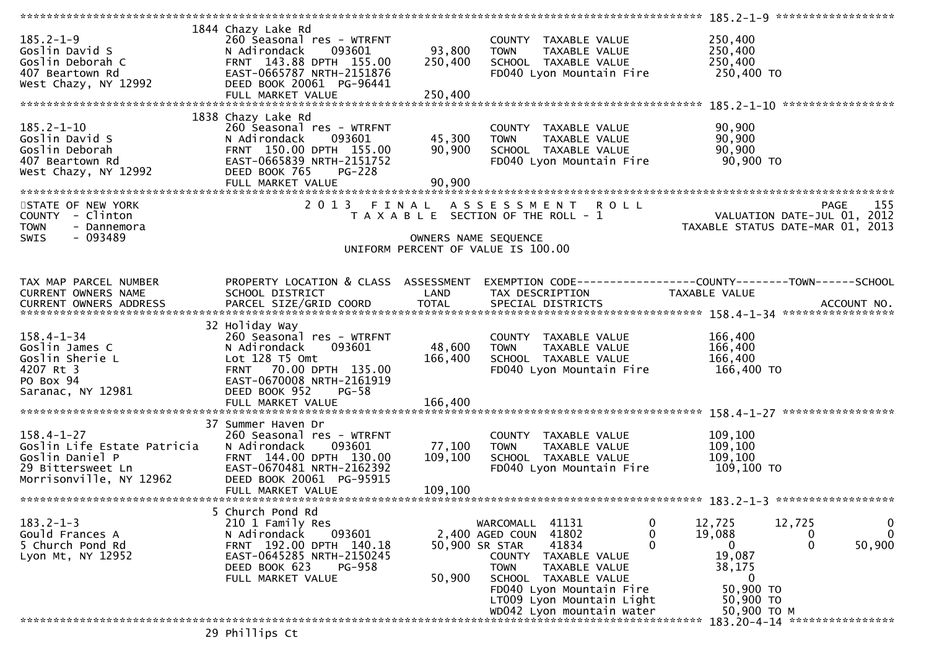|                                                                                                                    |                                                                                                                                                                                     |                              |                                                                                                                                                           |                                                               | 185.2-1-9 *******************                                                         |
|--------------------------------------------------------------------------------------------------------------------|-------------------------------------------------------------------------------------------------------------------------------------------------------------------------------------|------------------------------|-----------------------------------------------------------------------------------------------------------------------------------------------------------|---------------------------------------------------------------|---------------------------------------------------------------------------------------|
| $185.2 - 1 - 9$<br>Goslin David S<br>Goslin Deborah C<br>407 Beartown Rd                                           | 1844 Chazy Lake Rd<br>260 Seasonal res - WTRFNT<br>093601<br>N Adirondack<br>FRNT 143.88 DPTH 155.00<br>EAST-0665787 NRTH-2151876                                                   | 93,800<br>250,400            | COUNTY TAXABLE VALUE<br><b>TOWN</b><br>TAXABLE VALUE<br>SCHOOL TAXABLE VALUE<br>FD040 Lyon Mountain Fire                                                  | 250,400<br>250,400<br>250,400<br>250,400 TO                   |                                                                                       |
| West Chazy, NY 12992                                                                                               | DEED BOOK 20061 PG-96441<br>FULL MARKET VALUE                                                                                                                                       | 250,400                      |                                                                                                                                                           |                                                               |                                                                                       |
| $185.2 - 1 - 10$<br>Goslin David S<br>Goslin Deborah<br>407 Beartown Rd<br>West Chazy, NY 12992                    | 1838 Chazy Lake Rd<br>260 Seasonal res - WTRFNT<br>093601<br>N Adirondack<br>FRNT 150.00 DPTH 155.00<br>EAST-0665839 NRTH-2151752<br>DEED BOOK 765<br>$PG-228$<br>FULL MARKET VALUE | 45,300<br>90,900<br>90,900   | COUNTY TAXABLE VALUE<br>TAXABLE VALUE<br><b>TOWN</b><br>SCHOOL TAXABLE VALUE<br>FD040 Lyon Mountain Fire                                                  | 90,900<br>90,900<br>90,900<br>90,900 TO                       |                                                                                       |
| STATE OF NEW YORK<br>COUNTY - Clinton<br><b>TOWN</b><br>- Dannemora<br>$-093489$<br><b>SWIS</b>                    |                                                                                                                                                                                     |                              | 2013 FINAL ASSESSMENT ROLL<br>T A X A B L E SECTION OF THE ROLL - 1                                                                                       |                                                               | 155<br><b>PAGE</b><br>VALUATION DATE-JUL 01, 2012<br>TAXABLE STATUS DATE-MAR 01, 2013 |
|                                                                                                                    |                                                                                                                                                                                     |                              | OWNERS NAME SEQUENCE<br>UNIFORM PERCENT OF VALUE IS 100.00                                                                                                |                                                               |                                                                                       |
| TAX MAP PARCEL NUMBER<br><b>CURRENT OWNERS NAME</b>                                                                | PROPERTY LOCATION & CLASS ASSESSMENT<br>SCHOOL DISTRICT                                                                                                                             | LAND                         | EXEMPTION CODE-----------------COUNTY-------TOWN------SCHOOL<br>TAX DESCRIPTION                                                                           | TAXABLE VALUE                                                 |                                                                                       |
| $158.4 - 1 - 34$<br>Goslin James C<br>Goslin Sherie L<br>4207 Rt 3<br>PO Box 94<br>Saranac, NY 12981               | 32 Holiday Way<br>260 Seasonal res - WTRFNT<br>093601<br>N Adirondack<br>Lot 128 T5 Omt<br>FRNT 70.00 DPTH 135.00<br>EAST-0670008 NRTH-2161919<br>DEED BOOK 952<br>$PG-58$          | 48,600<br>166,400            | COUNTY TAXABLE VALUE<br>TAXABLE VALUE<br><b>TOWN</b><br>SCHOOL TAXABLE VALUE<br>FD040 Lyon Mountain Fire                                                  | 166,400<br>166,400<br>166,400<br>166,400 TO                   |                                                                                       |
|                                                                                                                    | 37 Summer Haven Dr                                                                                                                                                                  |                              |                                                                                                                                                           |                                                               |                                                                                       |
| $158.4 - 1 - 27$<br>Goslin Life Estate Patricia<br>Goslin Daniel P<br>29 Bittersweet Ln<br>Morrisonville, NY 12962 | 260 Seasonal res - WTRFNT<br>093601<br>N Adirondack<br>FRNT 144.00 DPTH 130.00<br>EAST-0670481 NRTH-2162392<br>DEED BOOK 20061 PG-95915<br>FULL MARKET VALUE                        | 77,100<br>109,100<br>109,100 | COUNTY TAXABLE VALUE<br>TAXABLE VALUE<br><b>TOWN</b><br>SCHOOL TAXABLE VALUE<br>FD040 Lyon Mountain Fire                                                  | 109,100<br>109,100<br>109,100<br>109,100 TO                   |                                                                                       |
|                                                                                                                    | 5 Church Pond Rd                                                                                                                                                                    |                              |                                                                                                                                                           |                                                               |                                                                                       |
| $183.2 - 1 - 3$<br>Gould Frances A<br>5 Church Pond Rd<br>Lyon Mt, NY 12952                                        | 210 1 Family Res<br>N Adirondack<br>093601<br>FRNT 192.00 DPTH 140.18<br>EAST-0645285 NRTH-2150245<br>DEED BOOK 623<br><b>PG-958</b><br>FULL MARKET VALUE                           | 50,900                       | 41131<br>WARCOMALL<br>2,400 AGED COUN 41802<br>41834<br>50,900 SR STAR<br>COUNTY<br>TAXABLE VALUE<br><b>TOWN</b><br>TAXABLE VALUE<br>SCHOOL TAXABLE VALUE | 0<br>12,725<br>0<br>19,088<br>0<br>0<br>19,087<br>38,175<br>0 | 12,725<br>0<br>$\mathbf{0}$<br>0<br>$\mathbf{0}$<br>50,900                            |
|                                                                                                                    |                                                                                                                                                                                     |                              | FD040 Lyon Mountain Fire<br>LT009 Lyon Mountain Light<br>WD042 Lyon mountain water                                                                        | 50,900 TO<br>50,900 TO<br>50,900 ТО М                         |                                                                                       |
|                                                                                                                    | $20$ philling $C_{\pm}$                                                                                                                                                             |                              |                                                                                                                                                           |                                                               | 183.20-4-14 *****************                                                         |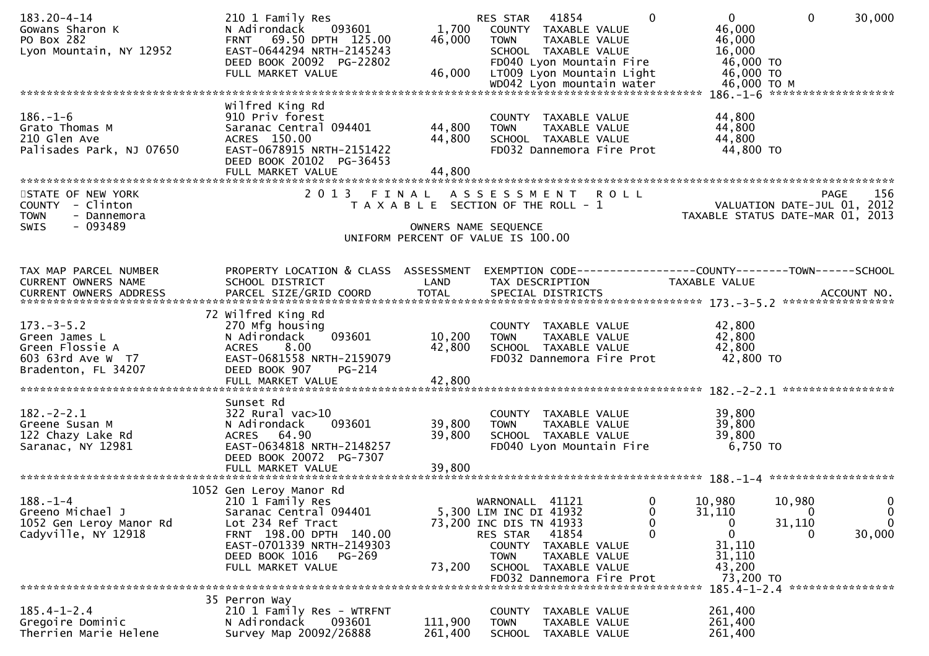| 183.20-4-14                               | 210 1 Family Res                                 |                    | 41854<br>$\mathbf{0}$<br>$\mathbf{0}$<br>30,000<br>RES STAR<br>$\Omega$       |
|-------------------------------------------|--------------------------------------------------|--------------------|-------------------------------------------------------------------------------|
| Gowans Sharon K                           | 093601<br>N Adirondack                           | 1,700              | 46,000<br>COUNTY TAXABLE VALUE                                                |
| PO Box 282                                | FRNT 69.50 DPTH 125.00                           | 46,000             | 46,000<br><b>TOWN</b><br>TAXABLE VALUE                                        |
| Lyon Mountain, NY 12952                   | EAST-0644294 NRTH-2145243                        |                    | 16,000<br>SCHOOL TAXABLE VALUE                                                |
|                                           | DEED BOOK 20092 PG-22802                         |                    | 46,000 TO<br>FD040 Lyon Mountain Fire                                         |
|                                           | FULL MARKET VALUE                                | 46,000             | LT009 Lyon Mountain Light<br>46,000 TO                                        |
|                                           |                                                  |                    | WD042 Lyon mountain water<br>46,000 ТО М                                      |
|                                           |                                                  |                    |                                                                               |
|                                           | Wilfred King Rd                                  |                    |                                                                               |
| $186. - 1 - 6$                            |                                                  |                    |                                                                               |
|                                           | 910 Priv forest                                  |                    | 44,800<br>COUNTY TAXABLE VALUE                                                |
| Grato Thomas M                            | Saranac Central 094401                           | 44,800             | 44,800<br>TAXABLE VALUE<br><b>TOWN</b>                                        |
| 210 Glen Ave                              | ACRES 150.00                                     | 44,800             | 44,800<br>SCHOOL TAXABLE VALUE                                                |
| Palisades Park, NJ 07650                  | EAST-0678915 NRTH-2151422                        |                    | 44,800 TO<br>FD032 Dannemora Fire Prot                                        |
|                                           | DEED BOOK 20102 PG-36453                         |                    |                                                                               |
|                                           | FULL MARKET VALUE                                | 44,800             |                                                                               |
|                                           |                                                  |                    |                                                                               |
| STATE OF NEW YORK                         | 2013 FINAL                                       |                    | ASSESSMENT ROLL<br>156<br><b>PAGE</b>                                         |
| COUNTY - Clinton                          |                                                  |                    | VALUATION DATE-JUL 01, 2012<br>T A X A B L E SECTION OF THE ROLL - 1          |
| <b>TOWN</b><br>- Dannemora                |                                                  |                    | TAXABLE STATUS DATE-MAR 01, 2013                                              |
| - 093489                                  |                                                  |                    |                                                                               |
| SWIS                                      |                                                  |                    | OWNERS NAME SEQUENCE                                                          |
|                                           |                                                  |                    | UNIFORM PERCENT OF VALUE IS 100.00                                            |
|                                           |                                                  |                    |                                                                               |
|                                           |                                                  |                    |                                                                               |
| TAX MAP PARCEL NUMBER                     | PROPERTY LOCATION & CLASS ASSESSMENT             |                    | EXEMPTION CODE-----------------COUNTY--------TOWN------SCHOOL                 |
| CURRENT OWNERS NAME                       | SCHOOL DISTRICT                                  | LAND               | TAX DESCRIPTION<br>TAXABLE VALUE                                              |
| CURRENT OWNERS ADDRESS                    | PARCEL SIZE/GRID COORD                           | <b>TOTAL</b>       | SPECIAL DISTRICTS<br>ACCOUNT NO.                                              |
|                                           |                                                  |                    |                                                                               |
|                                           | 72 Wilfred King Rd                               |                    |                                                                               |
| $173. - 3 - 5.2$                          | 270 Mfg housing                                  |                    | 42,800<br>COUNTY TAXABLE VALUE                                                |
| Green James L                             | 093601<br>N Adirondack                           | 10,200             | 42,800<br>TAXABLE VALUE<br><b>TOWN</b>                                        |
| Green Flossie A                           | 8.00<br><b>ACRES</b>                             | 42,800             | 42,800<br>SCHOOL TAXABLE VALUE                                                |
| 603 63rd Ave W T7                         | EAST-0681558 NRTH-2159079                        |                    | FD032 Dannemora Fire Prot<br>42,800 TO                                        |
|                                           |                                                  |                    |                                                                               |
| Bradenton, FL 34207                       | DEED BOOK 907<br>PG-214                          |                    |                                                                               |
|                                           |                                                  |                    |                                                                               |
|                                           |                                                  |                    |                                                                               |
|                                           | Sunset Rd                                        |                    |                                                                               |
| $182. - 2 - 2.1$                          | $322$ Rural vac $>10$                            |                    | 39,800<br>COUNTY TAXABLE VALUE                                                |
| Greene Susan M                            | 093601<br>N Adirondack                           | 39,800             | 39,800<br>TAXABLE VALUE<br><b>TOWN</b>                                        |
| 122 Chazy Lake Rd                         | ACRES 64.90                                      | 39,800             | 39,800<br>SCHOOL TAXABLE VALUE                                                |
| Saranac, NY 12981                         | EAST-0634818 NRTH-2148257                        |                    | $6,750$ TO<br>FD040 Lyon Mountain Fire                                        |
|                                           | DEED BOOK 20072 PG-7307                          |                    |                                                                               |
|                                           | FULL MARKET VALUE                                | 39,800             |                                                                               |
|                                           |                                                  |                    |                                                                               |
|                                           | 1052 Gen Leroy Manor Rd                          |                    |                                                                               |
| $188. - 1 - 4$                            |                                                  |                    | 10,980<br>10,980<br>0                                                         |
| Greeno Michael J                          |                                                  |                    | $\mathbf 0$<br>WARNONALL 41121                                                |
|                                           | 210 1 Family Res                                 |                    |                                                                               |
|                                           | Saranac Central 094401                           |                    | 5,300 LIM INC DI 41932<br>$\mathbf 0$<br>$\bf{0}$<br>31,110<br>0              |
| 1052 Gen Leroy Manor Rd                   | Lot 234 Ref Tract                                |                    | 0<br>31,110<br>$\Omega$<br>73,200 INC DIS TN 41933<br>0                       |
| Cadyville, NY 12918                       | FRNT 198.00 DPTH 140.00                          |                    | 30,000<br>$\mathbf{0}$<br>$\mathbf{0}$<br>RES STAR<br>41854<br>0              |
|                                           | EAST-0701339 NRTH-2149303                        |                    | 31,110<br><b>COUNTY</b><br>TAXABLE VALUE                                      |
|                                           | DEED BOOK 1016<br>PG-269                         |                    | 31,110<br><b>TOWN</b><br>TAXABLE VALUE                                        |
|                                           | FULL MARKET VALUE                                | 73,200             | SCHOOL TAXABLE VALUE<br>43,200                                                |
|                                           |                                                  |                    |                                                                               |
|                                           |                                                  |                    | FD032 Dannemora Fire Prot<br>73,200 TO                                        |
|                                           |                                                  |                    | 185.4-1-2.4 *****************                                                 |
|                                           | 35 Perron Way                                    |                    |                                                                               |
| $185.4 - 1 - 2.4$                         | 210 1 Family Res - WTRFNT                        |                    | 261,400<br><b>COUNTY</b><br>TAXABLE VALUE                                     |
| Gregoire Dominic<br>Therrien Marie Helene | N Adirondack<br>093601<br>Survey Map 20092/26888 | 111,900<br>261,400 | TAXABLE VALUE<br>261,400<br><b>TOWN</b><br>261,400<br>SCHOOL<br>TAXABLE VALUE |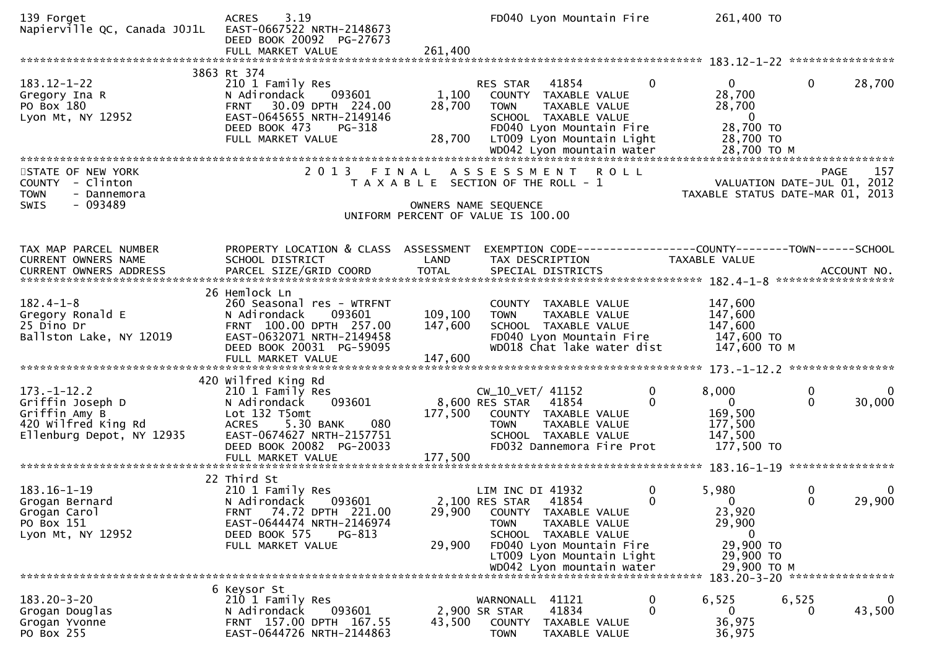| 139 Forget<br>Napierville QC, Canada JOJ1L                                                                 | 3.19<br><b>ACRES</b><br>EAST-0667522 NRTH-2148673<br>DEED BOOK 20092 PG-27673                                                                                                                        |                           | FD040 Lyon Mountain Fire                                                                                                                                                          | 261,400 TO                                                                              |                                                                                |
|------------------------------------------------------------------------------------------------------------|------------------------------------------------------------------------------------------------------------------------------------------------------------------------------------------------------|---------------------------|-----------------------------------------------------------------------------------------------------------------------------------------------------------------------------------|-----------------------------------------------------------------------------------------|--------------------------------------------------------------------------------|
|                                                                                                            |                                                                                                                                                                                                      |                           |                                                                                                                                                                                   |                                                                                         |                                                                                |
| $183.12 - 1 - 22$<br>Gregory Ina R<br>PO Box 180<br>Lyon Mt, NY 12952                                      | 3863 Rt 374<br>210 1 Family Res<br>093601<br>N Adirondack<br>30.09 DPTH 224.00<br><b>FRNT</b><br>EAST-0645655 NRTH-2149146<br>DEED BOOK 473<br>PG-318<br>FULL MARKET VALUE                           | 1,100<br>28,700<br>28,700 | $\mathbf{0}$<br>41854<br><b>RES STAR</b><br>COUNTY TAXABLE VALUE<br>TAXABLE VALUE<br><b>TOWN</b><br>SCHOOL TAXABLE VALUE<br>FD040 Lyon Mountain Fire<br>LT009 Lyon Mountain Light | $\overline{0}$<br>28,700<br>28,700<br>$\overline{\mathbf{0}}$<br>28,700 TO<br>28,700 TO | $\mathbf{0}$<br>28,700                                                         |
|                                                                                                            |                                                                                                                                                                                                      |                           |                                                                                                                                                                                   |                                                                                         |                                                                                |
| STATE OF NEW YORK<br>- Clinton<br><b>COUNTY</b><br><b>TOWN</b><br>- Dannemora                              | 2 0 1 3                                                                                                                                                                                              | FINAL                     | ASSESSMENT ROLL<br>T A X A B L E SECTION OF THE ROLL - 1                                                                                                                          |                                                                                         | 157<br>PAGE<br>VALUATION DATE-JUL 01, 2012<br>TAXABLE STATUS DATE-MAR 01, 2013 |
| $-093489$<br><b>SWIS</b>                                                                                   |                                                                                                                                                                                                      |                           | OWNERS NAME SEQUENCE<br>UNIFORM PERCENT OF VALUE IS 100.00                                                                                                                        |                                                                                         |                                                                                |
|                                                                                                            |                                                                                                                                                                                                      |                           |                                                                                                                                                                                   |                                                                                         |                                                                                |
| TAX MAP PARCEL NUMBER<br>CURRENT OWNERS NAME                                                               | PROPERTY LOCATION & CLASS ASSESSMENT<br>SCHOOL DISTRICT                                                                                                                                              | LAND                      | EXEMPTION CODE-----------------COUNTY-------TOWN------SCHOOL<br>TAX DESCRIPTION                                                                                                   | <b>TAXABLE VALUE</b>                                                                    |                                                                                |
|                                                                                                            | 26 Hemlock Ln                                                                                                                                                                                        |                           |                                                                                                                                                                                   |                                                                                         |                                                                                |
| $182.4 - 1 - 8$<br>Gregory Ronald E<br>25 Dino Dr<br>Ballston Lake, NY 12019                               | 260 Seasonal res - WTRFNT<br>093601<br>N Adirondack<br>FRNT 100.00 DPTH 257.00<br>EAST-0632071 NRTH-2149458<br>DEED BOOK 20031 PG-59095                                                              | 109,100<br>147,600        | COUNTY TAXABLE VALUE<br>TAXABLE VALUE<br><b>TOWN</b><br>SCHOOL TAXABLE VALUE<br>FD040 Lyon Mountain Fire<br>WD018 Chat lake water dist                                            | 147,600<br>147,600<br>147,600<br>147,600 TO<br>147,600 ТО М                             |                                                                                |
|                                                                                                            |                                                                                                                                                                                                      |                           |                                                                                                                                                                                   |                                                                                         |                                                                                |
| $173. - 1 - 12.2$<br>Griffin Joseph D<br>Griffin Amy B<br>420 Wilfred King Rd<br>Ellenburg Depot, NY 12935 | 420 Wilfred King Rd<br>210 1 Family Res<br>N Adirondack<br>093601<br>Lot 132 T5omt<br><b>ACRES</b><br>5.30 BANK<br>080<br>EAST-0674627 NRTH-2157751<br>DEED BOOK 20082 PG-20033<br>FULL MARKET VALUE | 177,500<br>177,500        | CW_10_VET/ 41152<br>0<br>8,600 RES STAR<br>41854<br>$\Omega$<br>COUNTY TAXABLE VALUE<br>TAXABLE VALUE<br><b>TOWN</b><br>SCHOOL TAXABLE VALUE<br>FD032 Dannemora Fire Prot         | 8,000<br>$\mathbf{0}$<br>169,500<br>177,500<br>147,500<br>177,500 TO                    | 0<br>$\mathbf{0}$<br>$\Omega$<br>30,000                                        |
|                                                                                                            |                                                                                                                                                                                                      |                           |                                                                                                                                                                                   |                                                                                         |                                                                                |
| 183.16-1-19<br>Grogan Bernard<br>Grogan Carol<br>PO Box 151<br>Lyon Mt, NY 12952                           | 22 Third St<br>210 1 Family Res<br>093601<br>N Adirondack<br>74.72 DPTH 221.00<br><b>FRNT</b><br>EAST-0644474 NRTH-2146974<br>DEED BOOK 575<br>PG-813<br>FULL MARKET VALUE                           | 29,900<br>29,900          | LIM INC DI 41932<br>0<br>$\Omega$<br>2,100 RES STAR 41854<br>COUNTY TAXABLE VALUE<br>TAXABLE VALUE<br><b>TOWN</b><br>SCHOOL TAXABLE VALUE<br>FD040 Lyon Mountain Fire             | 5,980<br>$\Omega$<br>23,920<br>29,900<br>0<br>29,900 ТО                                 | 0<br>$\mathbf 0$<br>29,900<br>$\Omega$                                         |
|                                                                                                            |                                                                                                                                                                                                      |                           | LT009 Lyon Mountain Light                                                                                                                                                         | 29,900 TO                                                                               |                                                                                |
|                                                                                                            |                                                                                                                                                                                                      |                           | WD042 Lyon mountain water                                                                                                                                                         | 29,900 ТО М                                                                             |                                                                                |
|                                                                                                            | 6 Keysor St                                                                                                                                                                                          |                           |                                                                                                                                                                                   |                                                                                         |                                                                                |
| $183.20 - 3 - 20$<br>Grogan Douglas<br>Grogan Yvonne<br>PO Box 255                                         | 210 1 Family Res<br>N Adirondack<br>093601<br>FRNT 157.00 DPTH 167.55<br>EAST-0644726 NRTH-2144863                                                                                                   | 43,500                    | WARNONALL<br>41121<br>0<br>41834<br>0<br>2,900 SR STAR<br>COUNTY<br>TAXABLE VALUE<br>TAXABLE VALUE<br><b>TOWN</b>                                                                 | 6,525<br>$\mathbf{0}$<br>36,975<br>36,975                                               | 6,525<br>0<br>43,500<br>0                                                      |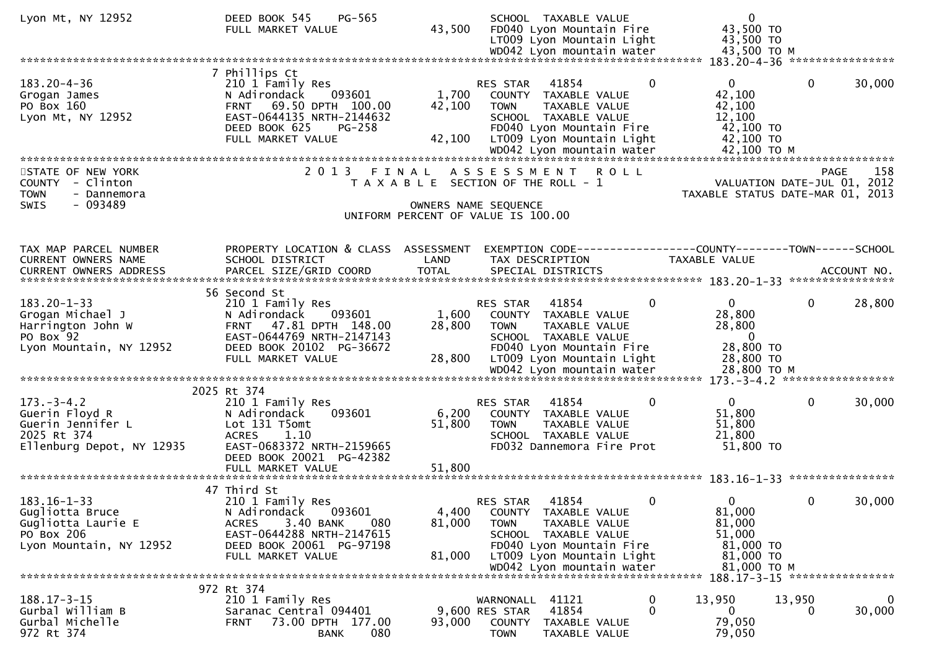| Lyon Mt, NY 12952                                                                                   | <b>PG-565</b><br>DEED BOOK 545<br>FULL MARKET VALUE                                                                                                                          | 43,500                    | SCHOOL TAXABLE VALUE<br>FD040 Lyon Mountain Fire<br>LT009 Lyon Mountain Light                                                                                                                | $\mathbf{0}$<br>43,500 TO<br>43,500 TO                                                                    |
|-----------------------------------------------------------------------------------------------------|------------------------------------------------------------------------------------------------------------------------------------------------------------------------------|---------------------------|----------------------------------------------------------------------------------------------------------------------------------------------------------------------------------------------|-----------------------------------------------------------------------------------------------------------|
|                                                                                                     |                                                                                                                                                                              |                           |                                                                                                                                                                                              |                                                                                                           |
| $183.20 - 4 - 36$<br>Grogan James<br>PO Box 160<br>Lyon Mt, NY 12952                                | 7 Phillips Ct<br>210 1 Family Res<br>N Adirondack<br>093601<br>69.50 DPTH 100.00<br><b>FRNT</b><br>EAST-0644135 NRTH-2144632<br>DEED BOOK 625<br>PG-258<br>FULL MARKET VALUE | 1,700<br>42,100<br>42,100 | 41854<br>$\mathbf{0}$<br>RES STAR<br>COUNTY TAXABLE VALUE<br>TAXABLE VALUE<br><b>TOWN</b><br>SCHOOL TAXABLE VALUE<br>FD040 Lyon Mountain Fire<br>LT009 Lyon Mountain Light                   | $\mathbf 0$<br>30,000<br>$\overline{0}$<br>42,100<br>42,100<br>12,100<br>42,100 TO<br>42,100 TO           |
|                                                                                                     |                                                                                                                                                                              |                           |                                                                                                                                                                                              |                                                                                                           |
| STATE OF NEW YORK<br>COUNTY - Clinton<br><b>TOWN</b><br>- Dannemora                                 | 2 0 1 3<br>FINAL                                                                                                                                                             |                           | A S S E S S M E N T<br><b>ROLL</b><br>T A X A B L E SECTION OF THE ROLL - 1                                                                                                                  | 158<br><b>PAGE</b><br>VALUATION DATE-JUL 01, 2012<br>TAXABLE STATUS DATE-MAR 01, 2013                     |
| - 093489<br><b>SWIS</b>                                                                             |                                                                                                                                                                              |                           | OWNERS NAME SEQUENCE<br>UNIFORM PERCENT OF VALUE IS 100.00                                                                                                                                   |                                                                                                           |
|                                                                                                     |                                                                                                                                                                              |                           |                                                                                                                                                                                              |                                                                                                           |
| TAX MAP PARCEL NUMBER<br>CURRENT OWNERS NAME                                                        | PROPERTY LOCATION & CLASS ASSESSMENT<br>SCHOOL DISTRICT                                                                                                                      | LAND                      | TAX DESCRIPTION                                                                                                                                                                              | EXEMPTION CODE-----------------COUNTY-------TOWN------SCHOOL<br>TAXABLE VALUE                             |
|                                                                                                     | 56 Second St                                                                                                                                                                 |                           |                                                                                                                                                                                              |                                                                                                           |
| $183.20 - 1 - 33$<br>Grogan Michael J<br>Harrington John W<br>PO Box 92<br>Lyon Mountain, NY 12952  | 210 1 Family Res<br>093601<br>N Adirondack<br>47.81 DPTH 148.00<br><b>FRNT</b><br>EAST-0644769 NRTH-2147143<br>DEED BOOK 20102 PG-36672<br>FULL MARKET VALUE                 | 1,600<br>28,800<br>28,800 | 41854<br>0<br><b>RES STAR</b><br>COUNTY TAXABLE VALUE<br>TAXABLE VALUE<br>TOWN<br>SCHOOL TAXABLE VALUE<br>FD040 Lyon Mountain Fire<br>LT009 Lyon Mountain Light                              | 28,800<br>$\mathbf{0}$<br>$\mathbf{0}$<br>28,800<br>28,800<br>$\overline{0}$<br>28,800 TO<br>28,800 TO    |
|                                                                                                     |                                                                                                                                                                              |                           |                                                                                                                                                                                              |                                                                                                           |
| $173. - 3 - 4.2$<br>Guerin Floyd R<br>Guerin Jennifer L<br>2025 Rt 374<br>Ellenburg Depot, NY 12935 | 2025 Rt 374<br>210 1 Family Res<br>093601<br>N Adirondack<br>Lot 131 T5omt<br><b>ACRES</b><br>1.10<br>EAST-0683372 NRTH-2159665<br>DEED BOOK 20021 PG-42382                  | 6,200<br>51,800           | 41854<br>0<br><b>RES STAR</b><br>COUNTY TAXABLE VALUE<br><b>TOWN</b><br>TAXABLE VALUE<br>SCHOOL TAXABLE VALUE<br>FD032 Dannemora Fire Prot                                                   | $\mathbf 0$<br>$\mathbf{0}$<br>30,000<br>51,800<br>51,800<br>21,800<br>51,800 TO                          |
|                                                                                                     | 47 Third St                                                                                                                                                                  |                           |                                                                                                                                                                                              |                                                                                                           |
| $183.16 - 1 - 33$<br>Gugliotta Bruce<br>Gugliotta Laurie E<br>PO Box 206<br>Lyon Mountain, NY 12952 | 210 1 Family Res<br>093601<br>N Adirondack<br>3.40 BANK<br>080<br><b>ACRES</b><br>EAST-0644288 NRTH-2147615<br>DEED BOOK 20061 PG-97198<br>FULL MARKET VALUE                 | 4,400<br>81,000<br>81,000 | 0<br>RES STAR<br>41854<br>COUNTY TAXABLE VALUE<br><b>TOWN</b><br>TAXABLE VALUE<br>SCHOOL TAXABLE VALUE<br>FD040 Lyon Mountain Fire<br>LT009 Lyon Mountain Light<br>WD042 Lyon mountain water | $\mathbf{0}$<br>30,000<br>$\Omega$<br>81,000<br>81,000<br>51,000<br>81,000 TO<br>81,000 TO<br>81,000 TO M |
|                                                                                                     |                                                                                                                                                                              |                           |                                                                                                                                                                                              |                                                                                                           |
| $188.17 - 3 - 15$<br>Gurbal William B<br>Gurbal Michelle<br>972 Rt 374                              | 972 Rt 374<br>210 1 Family Res<br>Saranac Central 094401<br>73.00 DPTH 177.00<br><b>FRNT</b><br>080<br><b>BANK</b>                                                           | 93,000                    | 41121<br>WARNONALL<br>$\mathbf 0$<br>$\Omega$<br>41854<br>9,600 RES STAR<br><b>COUNTY</b><br>TAXABLE VALUE<br><b>TOWN</b><br>TAXABLE VALUE                                                   | 13,950<br>$\mathbf 0$<br>13,950<br>30,000<br>$\overline{0}$<br>0<br>79,050<br>79,050                      |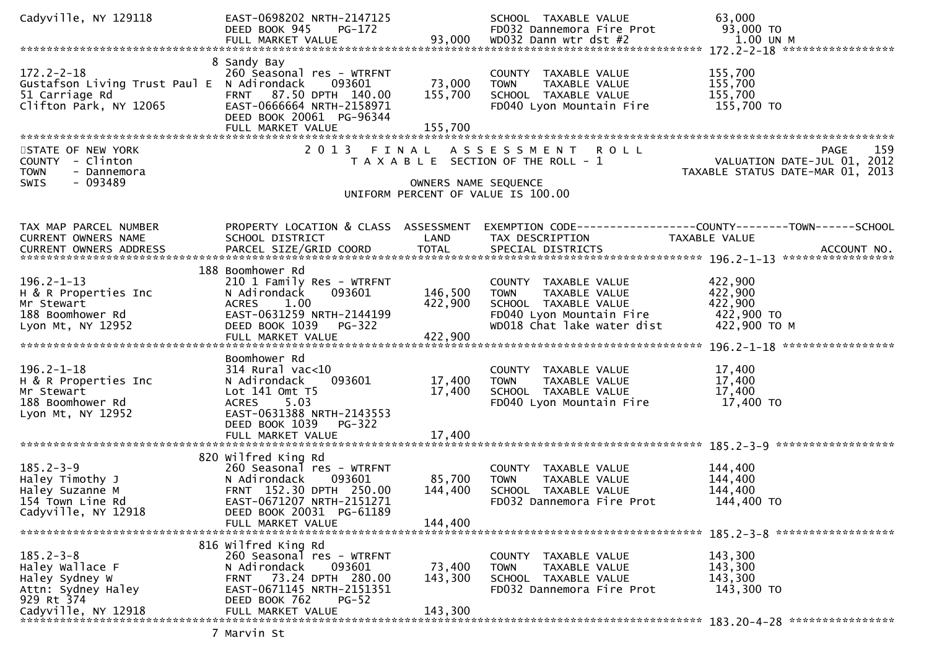| Cadyville, NY 129118                                                                                            | EAST-0698202 NRTH-2147125<br>DEED BOOK 945<br>PG-172<br>FULL MARKET VALUE                                                                                                                          | 93,000                       | SCHOOL TAXABLE VALUE<br>FD032 Dannemora Fire Prot<br>WD032 Dann wtr dst #2                                                             | 63,000<br>93,000 TO<br>1.00 UN M                                                     |
|-----------------------------------------------------------------------------------------------------------------|----------------------------------------------------------------------------------------------------------------------------------------------------------------------------------------------------|------------------------------|----------------------------------------------------------------------------------------------------------------------------------------|--------------------------------------------------------------------------------------|
|                                                                                                                 |                                                                                                                                                                                                    |                              |                                                                                                                                        |                                                                                      |
| $172.2 - 2 - 18$<br>Gustafson Living Trust Paul E N Adirondack<br>51 Carriage Rd<br>Clifton Park, NY 12065      | 8 Sandy Bay<br>260 Seasonal res - WTRFNT<br>093601<br>FRNT 87.50 DPTH 140.00<br>EAST-0666664 NRTH-2158971<br>DEED BOOK 20061 PG-96344<br>FULL MARKET VALUE                                         | 73,000<br>155,700<br>155,700 | COUNTY TAXABLE VALUE<br><b>TOWN</b><br>TAXABLE VALUE<br>SCHOOL TAXABLE VALUE<br>FD040 Lyon Mountain Fire                               | 155,700<br>155,700<br>155,700<br>155,700 TO                                          |
|                                                                                                                 |                                                                                                                                                                                                    |                              |                                                                                                                                        |                                                                                      |
| STATE OF NEW YORK<br>COUNTY - Clinton<br><b>TOWN</b><br>- Dannemora<br>$-093489$<br><b>SWIS</b>                 |                                                                                                                                                                                                    | OWNERS NAME SEQUENCE         | 2013 FINAL ASSESSMENT ROLL<br>T A X A B L E SECTION OF THE ROLL - 1<br>UNIFORM PERCENT OF VALUE IS 100.00                              | 159<br>PAGE<br>VALUATION DATE-JUL 01, 2012<br>TAXABLE STATUS DATE-MAR 01, 2013       |
|                                                                                                                 |                                                                                                                                                                                                    |                              |                                                                                                                                        |                                                                                      |
| TAX MAP PARCEL NUMBER<br>CURRENT OWNERS NAME                                                                    | PROPERTY LOCATION & CLASS ASSESSMENT<br>SCHOOL DISTRICT                                                                                                                                            | LAND                         | TAX DESCRIPTION                                                                                                                        | EXEMPTION        CODE-----------------COUNTY-------TOWN------SCHOOL<br>TAXABLE VALUE |
| $196.2 - 1 - 13$<br>H & R Properties Inc<br>Mr Stewart<br>188 Boomhower Rd<br>Lyon Mt, NY 12952                 | 188 Boomhower Rd<br>210 1 Family Res - WTRFNT<br>093601<br>N Adirondack<br>1.00<br>ACRES<br>EAST-0631259 NRTH-2144199<br>DEED BOOK 1039<br><b>PG-322</b>                                           | 146,500<br>422,900           | COUNTY TAXABLE VALUE<br><b>TOWN</b><br>TAXABLE VALUE<br>SCHOOL TAXABLE VALUE<br>FD040 Lyon Mountain Fire<br>WD018 Chat lake water dist | 422,900<br>422,900<br>422,900<br>422,900 TO<br>422,900 TO M                          |
| $196.2 - 1 - 18$<br>H & R Properties Inc<br>Mr Stewart<br>188 Boomhower Rd<br>Lyon Mt, NY 12952                 | Boomhower Rd<br>$314$ Rural vac< $10$<br>N Adirondack<br>093601<br>Lot $141$ Omt $T5$<br>5.03<br><b>ACRES</b><br>EAST-0631388 NRTH-2143553<br>DEED BOOK 1039<br><b>PG-322</b><br>FULL MARKET VALUE | 17,400<br>17,400<br>17,400   | COUNTY TAXABLE VALUE<br>TAXABLE VALUE<br>TOWN<br>SCHOOL TAXABLE VALUE<br>FD040 Lyon Mountain Fire                                      | 17,400<br>17,400<br>17,400<br>17,400 TO                                              |
| $185.2 - 3 - 9$<br>Haley Timothy J<br>Haley Suzanne M<br>154 Town Line Rd<br>Cadyville, NY 12918                | 820 Wilfred King Rd<br>260 Seasonal res - WTRFNT<br>N Adirondack<br>093601<br>FRNT 152.30 DPTH 250.00<br>EAST-0671207 NRTH-2151271<br>DEED BOOK 20031 PG-61189<br>FULL MARKET VALUE                | 85,700<br>144,400<br>144.400 | COUNTY TAXABLE VALUE<br>TAXABLE VALUE<br><b>TOWN</b><br>SCHOOL TAXABLE VALUE<br>FD032 Dannemora Fire Prot                              | 144,400<br>144,400<br>144,400<br>144,400 TO                                          |
| $185.2 - 3 - 8$<br>Haley Wallace F<br>Haley Sydney W<br>Attn: Sydney Haley<br>929 Rt 374<br>Cadyville, NY 12918 | 816 Wilfred King Rd<br>260 Seasonal res - WTRFNT<br>093601<br>N Adirondack<br>73.24 DPTH 280.00<br><b>FRNT</b><br>EAST-0671145 NRTH-2151351<br>DEED BOOK 762<br>$PG-52$<br>FULL MARKET VALUE       | 73,400<br>143,300<br>143,300 | <b>COUNTY</b><br>TAXABLE VALUE<br><b>TOWN</b><br>TAXABLE VALUE<br>SCHOOL TAXABLE VALUE<br>FD032 Dannemora Fire Prot                    | 143,300<br>143,300<br>143,300<br>143,300 TO                                          |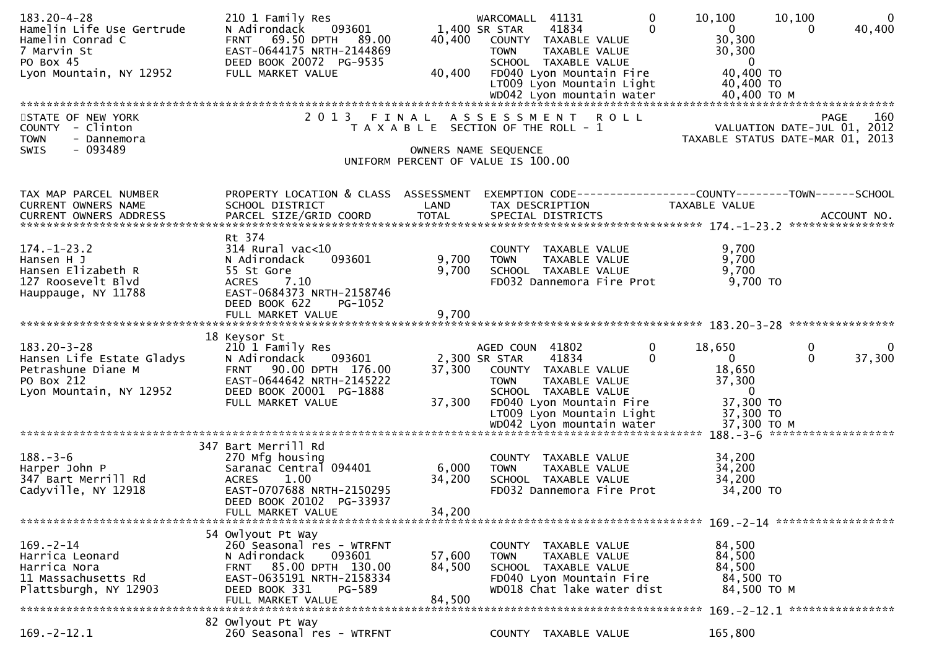| $183.20 - 4 - 28$<br>Hamelin Life Use Gertrude<br>Hamelin Conrad C<br>7 Marvin St<br>PO Box 45<br>Lyon Mountain, NY 12952 | 210 1 Family Res<br>093601<br>N Adirondack<br>69.50 DPTH<br>89.00<br><b>FRNT</b><br>EAST-0644175 NRTH-2144869<br>DEED BOOK 20072 PG-9535<br>FULL MARKET VALUE                             | 40,400<br>40,400           | $\mathbf{0}$<br>WARCOMALL 41131<br>$\Omega$<br>1,400 SR STAR<br>41834<br>COUNTY TAXABLE VALUE<br>TAXABLE VALUE<br><b>TOWN</b><br>SCHOOL TAXABLE VALUE<br>FD040 Lyon Mountain Fire<br>LT009 Lyon Mountain Light | 10, 100<br>10,100<br>$\overline{0}$<br>$\overline{0}$<br>40,400<br>$\Omega$<br>30,300<br>30,300<br>$\overline{\phantom{0}}$<br>40,400 TO<br>40,400 TO |
|---------------------------------------------------------------------------------------------------------------------------|-------------------------------------------------------------------------------------------------------------------------------------------------------------------------------------------|----------------------------|----------------------------------------------------------------------------------------------------------------------------------------------------------------------------------------------------------------|-------------------------------------------------------------------------------------------------------------------------------------------------------|
|                                                                                                                           |                                                                                                                                                                                           |                            |                                                                                                                                                                                                                |                                                                                                                                                       |
| STATE OF NEW YORK<br>COUNTY - Clinton<br><b>TOWN</b><br>- Dannemora<br>$-093489$<br><b>SWIS</b>                           | 2013 FINAL                                                                                                                                                                                | OWNERS NAME SEQUENCE       | ASSESSMENT ROLL<br>T A X A B L E SECTION OF THE ROLL - 1<br>UNIFORM PERCENT OF VALUE IS 100.00                                                                                                                 | <b>PAGE</b><br>160<br>VALUATION DATE-JUL 01, 2012<br>TAXABLE STATUS DATE-MAR 01, 2013                                                                 |
|                                                                                                                           |                                                                                                                                                                                           |                            |                                                                                                                                                                                                                |                                                                                                                                                       |
| TAX MAP PARCEL NUMBER<br>CURRENT OWNERS NAME                                                                              | PROPERTY LOCATION & CLASS ASSESSMENT<br>SCHOOL DISTRICT                                                                                                                                   | LAND                       | TAX DESCRIPTION                                                                                                                                                                                                | EXEMPTION CODE------------------COUNTY--------TOWN------SCHOOL<br>TAXABLE VALUE                                                                       |
| $174. - 1 - 23.2$<br>Hansen H J<br>Hansen Elizabeth R<br>127 Roosevelt Blvd<br>Hauppauge, NY 11788                        | Rt 374<br>$314$ Rural vac<10<br>N Adirondack<br>093601<br>55 St Gore<br><b>ACRES</b><br>7.10<br>EAST-0684373 NRTH-2158746<br>DEED BOOK 622<br>PG-1052                                     | 9,700<br>9,700             | COUNTY TAXABLE VALUE<br><b>TOWN</b><br>TAXABLE VALUE<br>SCHOOL TAXABLE VALUE<br>FD032 Dannemora Fire Prot                                                                                                      | 9,700<br>9,700<br>9,700<br>9,700 TO                                                                                                                   |
|                                                                                                                           | FULL MARKET VALUE                                                                                                                                                                         | 9,700                      |                                                                                                                                                                                                                |                                                                                                                                                       |
|                                                                                                                           | 18 Keysor St                                                                                                                                                                              |                            |                                                                                                                                                                                                                |                                                                                                                                                       |
| $183.20 - 3 - 28$<br>Hansen Life Estate Gladys<br>Petrashune Diane M<br>PO Box 212<br>Lyon Mountain, NY 12952             | 210 1 Family Res<br>N Adirondack<br>093601<br>90.00 DPTH 176.00<br><b>FRNT</b><br>EAST-0644642 NRTH-2145222<br>DEED BOOK 20001 PG-1888<br>FULL MARKET VALUE                               | 37,300<br>37,300           | $\mathbf 0$<br>AGED COUN 41802<br>41834<br>$\Omega$<br>2,300 SR STAR<br>COUNTY TAXABLE VALUE<br><b>TOWN</b><br>TAXABLE VALUE<br>SCHOOL TAXABLE VALUE<br>FD040 Lyon Mountain Fire<br>LT009 Lyon Mountain Light  | 0<br>18,650<br>$\mathbf{0}$<br>37,300<br>$\overline{0}$<br>$\Omega$<br>18,650<br>37,300<br>$\overline{0}$<br>37,300 TO<br>37,300 TO                   |
|                                                                                                                           |                                                                                                                                                                                           |                            |                                                                                                                                                                                                                |                                                                                                                                                       |
| $188. - 3 - 6$<br>Harper John P<br>347 Bart Merrill Rd<br>Cadyville, NY 12918                                             | 347 Bart Merrill Rd<br>270 Mfg housing<br>Saranac Central 094401<br>1.00<br><b>ACRES</b><br>EAST-0707688 NRTH-2150295<br>DEED BOOK 20102 PG-33937<br>FULL MARKET VALUE                    | 6,000<br>34,200<br>34,200  | COUNTY TAXABLE VALUE<br>TAXABLE VALUE<br><b>TOWN</b><br>SCHOOL TAXABLE VALUE<br>FD032 Dannemora Fire Prot                                                                                                      | 34,200<br>34,200<br>34,200<br>34,200 TO                                                                                                               |
|                                                                                                                           |                                                                                                                                                                                           |                            |                                                                                                                                                                                                                |                                                                                                                                                       |
| $169. - 2 - 14$<br>Harrica Leonard<br>Harrica Nora<br>11 Massachusetts Rd<br>Plattsburgh, NY 12903                        | 54 Owlyout Pt Way<br>260 Seasonal res - WTRFNT<br>093601<br>N Adirondack<br>85.00 DPTH 130.00<br><b>FRNT</b><br>EAST-0635191 NRTH-2158334<br>DEED BOOK 331<br>PG-589<br>FULL MARKET VALUE | 57,600<br>84,500<br>84,500 | <b>COUNTY</b><br>TAXABLE VALUE<br>TAXABLE VALUE<br>TOWN<br>SCHOOL TAXABLE VALUE<br>FD040 Lyon Mountain Fire<br>WD018 Chat lake water dist                                                                      | 84,500<br>84,500<br>84,500<br>84,500 TO<br>84,500 TO M<br>169. - 2 - 12. 1 *****************                                                          |
|                                                                                                                           | 82 Owlyout Pt Way                                                                                                                                                                         |                            |                                                                                                                                                                                                                |                                                                                                                                                       |
| $169. -2 - 12.1$                                                                                                          | 260 Seasonal res - WTRFNT                                                                                                                                                                 |                            | COUNTY TAXABLE VALUE                                                                                                                                                                                           | 165,800                                                                                                                                               |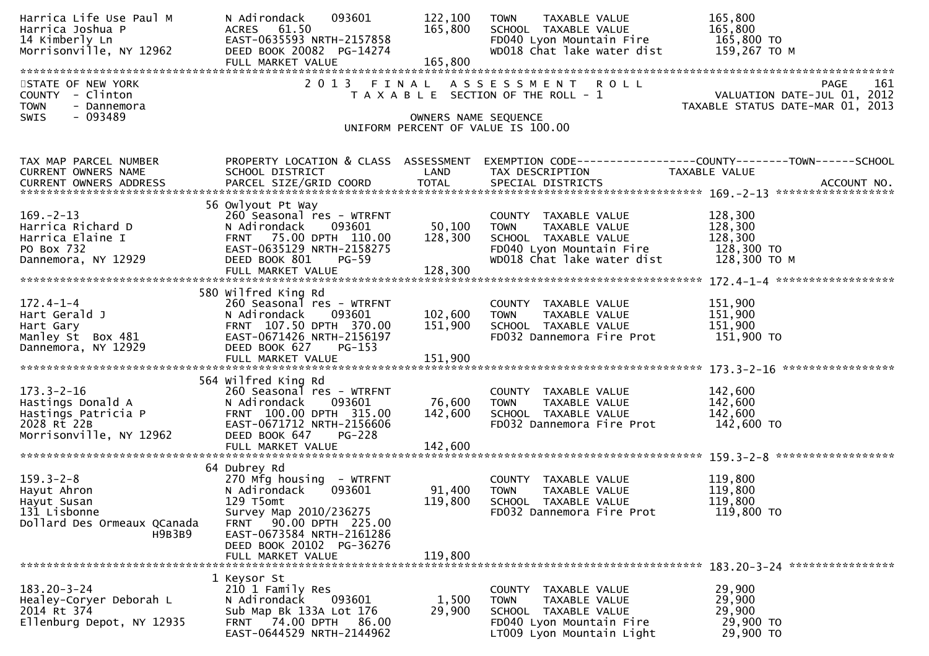| Harrica Life Use Paul M<br>Harrica Joshua P<br>14 Kimberly Ln<br>Morrisonville, NY 12962                        | N Adirondack<br>093601<br>ACRES 61.50<br>EAST-0635593 NRTH-2157858<br>DEED BOOK 20082 PG-14274<br>FULL MARKET VALUE                                                                                                         | 122,100<br>165,800<br>165,800 | TAXABLE VALUE<br><b>TOWN</b><br>SCHOOL TAXABLE VALUE<br>FD040 Lyon Mountain Fire<br>WD018 Chat lake water dist                           | 165,800<br>165,800<br>165,800 TO<br>159,267 то м                                |
|-----------------------------------------------------------------------------------------------------------------|-----------------------------------------------------------------------------------------------------------------------------------------------------------------------------------------------------------------------------|-------------------------------|------------------------------------------------------------------------------------------------------------------------------------------|---------------------------------------------------------------------------------|
| STATE OF NEW YORK<br>COUNTY - Clinton<br><b>TOWN</b><br>- Dannemora                                             |                                                                                                                                                                                                                             |                               | 2013 FINAL ASSESSMENT ROLL<br>T A X A B L E SECTION OF THE ROLL - 1                                                                      | 161<br>PAGE<br>VALUATION DATE-JUL 01, 2012<br>TAXABLE STATUS DATE-MAR 01, 2013  |
| - 093489<br>SWIS                                                                                                |                                                                                                                                                                                                                             | OWNERS NAME SEQUENCE          | UNIFORM PERCENT OF VALUE IS 100.00                                                                                                       |                                                                                 |
| TAX MAP PARCEL NUMBER<br>CURRENT OWNERS NAME                                                                    | PROPERTY LOCATION & CLASS ASSESSMENT<br>SCHOOL DISTRICT                                                                                                                                                                     | LAND                          | TAX DESCRIPTION                                                                                                                          | EXEMPTION CODE------------------COUNTY--------TOWN------SCHOOL<br>TAXABLE VALUE |
| $169. - 2 - 13$<br>Harrica Richard D<br>Harrica Elaine I<br>PO Box 732<br>Dannemora, NY 12929                   | 56 Owlyout Pt Way<br>260 Seasonal res - WTRFNT<br>093601<br>N Adirondack<br>FRNT 75.00 DPTH 110.00<br>EAST-0635129 NRTH-2158275<br>DEED BOOK 801<br>PG-59                                                                   | 50,100<br>128,300             | COUNTY TAXABLE VALUE<br>TAXABLE VALUE<br><b>TOWN</b><br>SCHOOL TAXABLE VALUE<br>FD040 Lyon Mountain Fire<br>WD018 Chat lake water dist   | 128,300<br>128,300<br>128,300<br>128,300 TO<br>128,300 ТО М                     |
|                                                                                                                 |                                                                                                                                                                                                                             |                               |                                                                                                                                          |                                                                                 |
| $172.4 - 1 - 4$<br>Hart Gerald J<br>Hart Gary<br>Manley St Box 481<br>Dannemona NY 12020<br>Dannemora, NY 12929 | 580 Wilfred King Rd<br>260 Seasonal res - WTRFNT<br>093601<br>N Adirondack<br>FRNT 107.50 DPTH 370.00<br>EAST-0671426 NRTH-2156197<br>DEED BOOK 627<br>PG-153<br>FULL MARKET VALUE                                          | 102,600<br>151,900<br>151,900 | COUNTY TAXABLE VALUE<br><b>TOWN</b><br>TAXABLE VALUE<br>SCHOOL TAXABLE VALUE<br>FD032 Dannemora Fire Prot                                | 151,900<br>151,900<br>151,900<br>151,900 TO                                     |
| $173.3 - 2 - 16$<br>Hastings Donald A<br>Hastings Patricia P<br>2028 Rt 22B<br>Morrisonville, NY 12962          | 564 Wilfred King Rd<br>260 Seasonal res - WTRFNT<br>N Adirondack<br>093601<br>FRNT 100.00 DPTH 315.00<br>EAST-0671712 NRTH-2156606<br>DEED BOOK 647<br><b>PG-228</b><br>FULL MARKET VALUE                                   | 76,600<br>142,600<br>142,600  | COUNTY TAXABLE VALUE<br>TAXABLE VALUE<br><b>TOWN</b><br>SCHOOL TAXABLE VALUE<br>FD032 Dannemora Fire Prot                                | 142,600<br>142,600<br>142,600<br>142,600 TO                                     |
| $159.3 - 2 - 8$<br>Hayut Ahron<br>Hayut Susan<br>131 Lisbonne<br>Dollard Des Ormeaux QCanada<br>H9B3B9          | 64 Dubrey Rd<br>270 Mfg housing - WTRFNT<br>N Adirondack<br>093601<br>129 T5omt<br>Survey Map 2010/236275<br>90.00 DPTH 225.00<br><b>FRNT</b><br>EAST-0673584 NRTH-2161286<br>DEED BOOK 20102 PG-36276<br>FULL MARKET VALUE | 91,400<br>119,800<br>119,800  | COUNTY TAXABLE VALUE<br><b>TOWN</b><br>TAXABLE VALUE<br>SCHOOL TAXABLE VALUE<br>FD032 Dannemora Fire Prot                                | 119,800<br>119,800<br>119,800<br>119,800 TO                                     |
| $183.20 - 3 - 24$<br>Healey-Coryer Deborah L<br>2014 Rt 374<br>Ellenburg Depot, NY 12935                        | 1 Keysor St<br>210 1 Family Res<br>N Adirondack<br>093601<br>Sub Map Bk 133A Lot 176<br>74.00 DPTH<br>86.00<br><b>FRNT</b><br>EAST-0644529 NRTH-2144962                                                                     | 1,500<br>29,900               | COUNTY<br>TAXABLE VALUE<br><b>TOWN</b><br>TAXABLE VALUE<br>SCHOOL TAXABLE VALUE<br>FD040 Lyon Mountain Fire<br>LT009 Lyon Mountain Light | 29,900<br>29,900<br>29,900<br>29,900 TO<br>29,900 TO                            |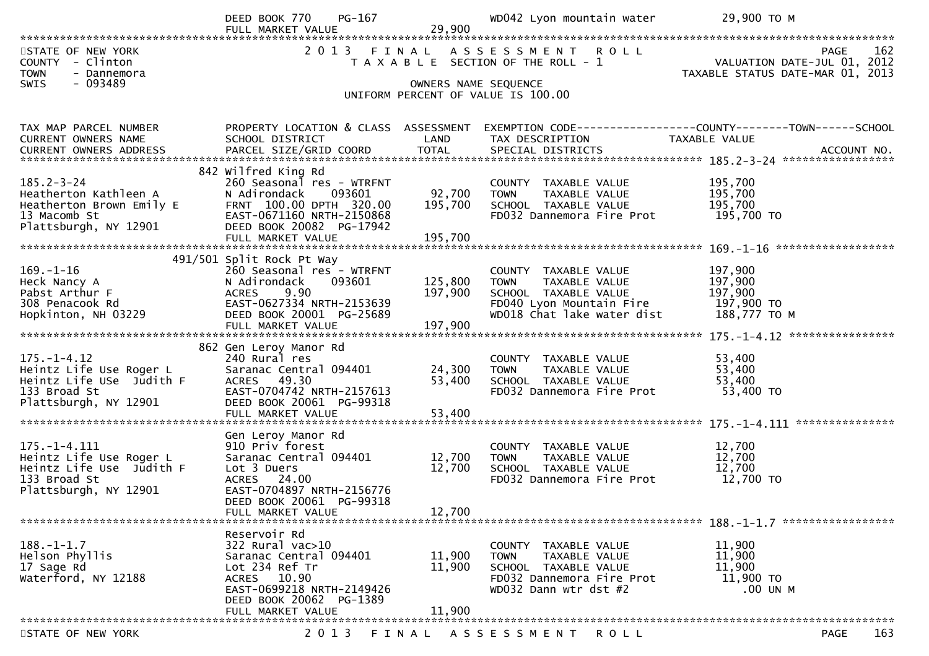|                                                                     | PG-167<br>DEED BOOK 770                               |                      | WD042 Lyon mountain water                                      | 29,900 ТО М                                                                    |
|---------------------------------------------------------------------|-------------------------------------------------------|----------------------|----------------------------------------------------------------|--------------------------------------------------------------------------------|
|                                                                     | FULL MARKET VALUE                                     | 29,900               |                                                                |                                                                                |
| STATE OF NEW YORK<br>COUNTY - Clinton<br><b>TOWN</b><br>- Dannemora | 2 0 1 3                                               |                      | FINAL ASSESSMENT ROLL<br>T A X A B L E SECTION OF THE ROLL - 1 | 162<br>PAGE<br>VALUATION DATE-JUL 01, 2012<br>TAXABLE STATUS DATE-MAR 01, 2013 |
| SWIS<br>$-093489$                                                   |                                                       | OWNERS NAME SEQUENCE |                                                                |                                                                                |
|                                                                     |                                                       |                      | UNIFORM PERCENT OF VALUE IS 100.00                             |                                                                                |
|                                                                     |                                                       |                      |                                                                |                                                                                |
| TAX MAP PARCEL NUMBER                                               | PROPERTY LOCATION & CLASS ASSESSMENT                  |                      |                                                                | EXEMPTION CODE-----------------COUNTY-------TOWN------SCHOOL                   |
| <b>CURRENT OWNERS NAME</b>                                          | SCHOOL DISTRICT                                       | LAND                 | TAX DESCRIPTION                                                | TAXABLE VALUE                                                                  |
|                                                                     |                                                       |                      |                                                                |                                                                                |
|                                                                     | 842 Wilfred King Rd                                   |                      |                                                                |                                                                                |
| $185.2 - 3 - 24$<br>Heatherton Kathleen A                           | 260 Seasonal res - WTRFNT<br>N Adirondack<br>093601   | 92,700               | COUNTY TAXABLE VALUE<br>TAXABLE VALUE<br><b>TOWN</b>           | 195,700<br>195,700                                                             |
| Heatherton Brown Emily E                                            | FRNT 100.00 DPTH 320.00                               | 195,700              | SCHOOL TAXABLE VALUE                                           | 195,700                                                                        |
| 13 Macomb St                                                        | EAST-0671160 NRTH-2150868                             |                      | FD032 Dannemora Fire Prot                                      | 195,700 TO                                                                     |
| Plattsburgh, NY 12901                                               | DEED BOOK 20082 PG-17942                              |                      |                                                                |                                                                                |
|                                                                     | FULL MARKET VALUE                                     | 195,700              |                                                                |                                                                                |
|                                                                     | 491/501 Split Rock Pt Way                             |                      |                                                                |                                                                                |
| $169. - 1 - 16$                                                     | 260 Seasonal res - WTRFNT                             |                      | COUNTY TAXABLE VALUE                                           | 197,900                                                                        |
| Heck Nancy A                                                        | N Adirondack<br>093601                                | 125,800              | TAXABLE VALUE<br><b>TOWN</b>                                   | 197,900                                                                        |
| Pabst Arthur F                                                      | 9.90<br><b>ACRES</b>                                  | 197,900              | SCHOOL TAXABLE VALUE                                           | 197,900                                                                        |
| 308 Penacook Rd<br>Hopkinton, NH 03229                              | EAST-0627334 NRTH-2153639<br>DEED BOOK 20001 PG-25689 |                      | FD040 Lyon Mountain Fire<br>WD018 Chat lake water dist         | 197,900 то<br>188,777 TO M                                                     |
|                                                                     | FULL MARKET VALUE                                     | 197,900              |                                                                |                                                                                |
|                                                                     |                                                       |                      |                                                                |                                                                                |
|                                                                     | 862 Gen Leroy Manor Rd                                |                      |                                                                |                                                                                |
| $175. - 1 - 4.12$<br>Heintz Life Use Roger L                        | 240 Rural res<br>Saranac Central 094401               | 24,300               | COUNTY TAXABLE VALUE<br><b>TOWN</b><br>TAXABLE VALUE           | 53,400<br>53,400                                                               |
| Heintz Life USe Judith F                                            | ACRES 49.30                                           | 53,400               | SCHOOL TAXABLE VALUE                                           | 53,400                                                                         |
| 133 Broad St                                                        | EAST-0704742 NRTH-2157613                             |                      | FD032 Dannemora Fire Prot                                      | 53,400 TO                                                                      |
| Plattsburgh, NY 12901                                               | DEED BOOK 20061 PG-99318                              |                      |                                                                |                                                                                |
|                                                                     | FULL MARKET VALUE                                     | 53,400               |                                                                |                                                                                |
|                                                                     | Gen Leroy Manor Rd                                    |                      |                                                                |                                                                                |
| $175. - 1 - 4.111$                                                  | 910 Priv forest                                       |                      | COUNTY TAXABLE VALUE                                           | 12,700                                                                         |
| Heintz Life Use Roger L                                             | Saranac Central 094401                                | 12,700               | TAXABLE VALUE<br><b>TOWN</b>                                   | 12,700                                                                         |
| Heintz Life Use Judith F                                            | Lot 3 Duers                                           | 12,700               | SCHOOL TAXABLE VALUE                                           | 12,700                                                                         |
| 133 Broad St<br>Plattsburgh, NY 12901                               | ACRES 24.00<br>EAST-0704897 NRTH-2156776              |                      | FD032 Dannemora Fire Prot                                      | 12,700 TO                                                                      |
|                                                                     | DEED BOOK 20061 PG-99318                              |                      |                                                                |                                                                                |
|                                                                     | FULL MARKET VALUE                                     | 12,700               |                                                                |                                                                                |
|                                                                     |                                                       |                      |                                                                |                                                                                |
| $188. - 1 - 1.7$                                                    | Reservoir Rd<br>322 Rural vac>10                      |                      | COUNTY TAXABLE VALUE                                           | 11,900                                                                         |
| Helson Phyllis                                                      | Saranac Central 094401                                | 11,900               | <b>TOWN</b><br>TAXABLE VALUE                                   | 11,900                                                                         |
| 17 Sage Rd                                                          | Lot 234 Ref Tr                                        | 11,900               | SCHOOL TAXABLE VALUE                                           | 11,900                                                                         |
| Waterford, NY 12188                                                 | ACRES 10.90                                           |                      | FD032 Dannemora Fire Prot                                      | 11,900 TO                                                                      |
|                                                                     | EAST-0699218 NRTH-2149426                             |                      | WD032 Dann wtr dst #2                                          | .00 UN M                                                                       |
|                                                                     | DEED BOOK 20062 PG-1389<br>FULL MARKET VALUE          | 11,900               |                                                                |                                                                                |
|                                                                     |                                                       |                      |                                                                |                                                                                |
| STATE OF NEW YORK                                                   | 2 0 1 3                                               | FINAL                | A S S E S S M E N T<br>R O L L                                 | 163<br>PAGE                                                                    |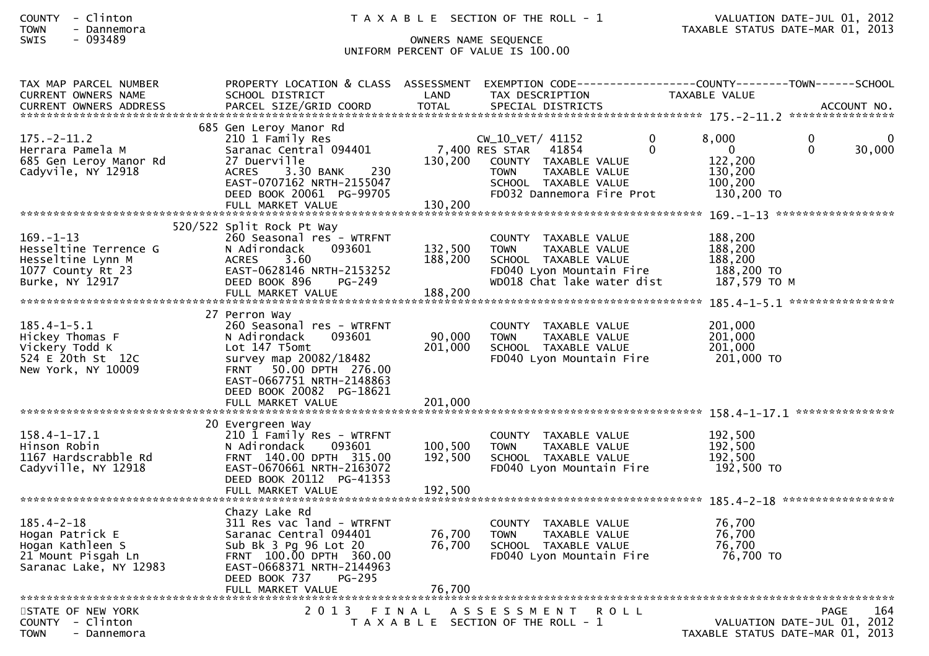## SWIS - 093489 OWNERS NAME SEQUENCE UNIFORM PERCENT OF VALUE IS 100.00

| TAX MAP PARCEL NUMBER<br><b>CURRENT OWNERS NAME</b>                                                     | PROPERTY LOCATION & CLASS ASSESSMENT<br>SCHOOL DISTRICT                                                                                                                                            | LAND                          | TAX DESCRIPTION                                                                                                                                          | EXEMPTION CODE-----------------COUNTY--------TOWN------SCHOOL<br><b>TAXABLE VALUE</b>                                                     |
|---------------------------------------------------------------------------------------------------------|----------------------------------------------------------------------------------------------------------------------------------------------------------------------------------------------------|-------------------------------|----------------------------------------------------------------------------------------------------------------------------------------------------------|-------------------------------------------------------------------------------------------------------------------------------------------|
|                                                                                                         |                                                                                                                                                                                                    |                               |                                                                                                                                                          |                                                                                                                                           |
| $175. - 2 - 11.2$<br>Herrara Pamela M<br>685 Gen Leroy Manor Rd<br>Cadyvile, NY 12918                   | 685 Gen Leroy Manor Rd<br>210 1 Family Res<br>Saranac Central 094401<br>27 Duerville<br>3.30 BANK<br>230<br><b>ACRES</b><br>EAST-0707162 NRTH-2155047<br>DEED BOOK 20061 PG-99705                  | 130,200                       | CW_10_VET/ 41152<br>7,400 RES STAR<br>41854<br>COUNTY TAXABLE VALUE<br>TAXABLE VALUE<br><b>TOWN</b><br>SCHOOL TAXABLE VALUE<br>FD032 Dannemora Fire Prot | 8,000<br>$\mathbf{0}$<br>$\Omega$<br>0<br>$\Omega$<br>$\overline{0}$<br>$\Omega$<br>30,000<br>122,200<br>130,200<br>100,200<br>130,200 TO |
|                                                                                                         | FULL MARKET VALUE                                                                                                                                                                                  | 130,200                       |                                                                                                                                                          |                                                                                                                                           |
|                                                                                                         | 520/522 Split Rock Pt Way                                                                                                                                                                          |                               |                                                                                                                                                          |                                                                                                                                           |
| $169. - 1 - 13$<br>Hesseltine Terrence G<br>Hesseltine Lynn M<br>1077 County Rt 23<br>Burke, NY 12917   | 260 Seasonal res - WTRFNT<br>093601<br>N Adirondack<br><b>ACRES</b><br>3.60<br>EAST-0628146 NRTH-2153252<br>DEED BOOK 896<br>PG-249<br>FULL MARKET VALUE                                           | 132,500<br>188,200<br>188,200 | COUNTY TAXABLE VALUE<br>TAXABLE VALUE<br><b>TOWN</b><br>SCHOOL TAXABLE VALUE<br>FD040 Lyon Mountain Fire<br>WD018 Chat lake water dist                   | 188,200<br>188,200<br>188,200<br>188,200 TO<br>187,579 TO M                                                                               |
|                                                                                                         |                                                                                                                                                                                                    |                               |                                                                                                                                                          |                                                                                                                                           |
| $185.4 - 1 - 5.1$<br>Hickey Thomas F<br>Vickery Todd K<br>524 E 20th St 12C<br>New York, NY 10009       | 27 Perron Way<br>260 Seasonal res - WTRFNT<br>N Adirondack<br>093601<br>Lot 147 T5omt<br>survey map 20082/18482<br>FRNT 50.00 DPTH 276.00<br>EAST-0667751 NRTH-2148863<br>DEED BOOK 20082 PG-18621 | 90,000<br>201,000             | COUNTY TAXABLE VALUE<br>TAXABLE VALUE<br><b>TOWN</b><br>SCHOOL TAXABLE VALUE<br>FD040 Lyon Mountain Fire                                                 | 201,000<br>201,000<br>201,000<br>201,000 TO                                                                                               |
|                                                                                                         |                                                                                                                                                                                                    |                               |                                                                                                                                                          |                                                                                                                                           |
| $158.4 - 1 - 17.1$<br>Hinson Robin<br>1167 Hardscrabble Rd<br>Cadyville, NY 12918                       | 20 Evergreen Way<br>210 1 Family Res - WTRFNT<br>N Adirondack<br>093601<br>FRNT 140.00 DPTH 315.00<br>EAST-0670661 NRTH-2163072<br>DEED BOOK 20112 PG-41353<br>FULL MARKET VALUE                   | 100,500<br>192,500<br>192,500 | COUNTY TAXABLE VALUE<br>TAXABLE VALUE<br><b>TOWN</b><br>SCHOOL TAXABLE VALUE<br>FD040 Lyon Mountain Fire                                                 | 192,500<br>192,500<br>192,500<br>192,500 TO                                                                                               |
|                                                                                                         |                                                                                                                                                                                                    |                               |                                                                                                                                                          |                                                                                                                                           |
| $185.4 - 2 - 18$<br>Hogan Patrick E<br>Hogan Kathleen S<br>21 Mount Pisgah Ln<br>Saranac Lake, NY 12983 | Chazy Lake Rd<br>311 Res vac land - WTRFNT<br>Saranac Central 094401<br>Sub Bk 3 Pg 96 Lot 20<br>FRNT 100.00 DPTH 360.00<br>EAST-0668371 NRTH-2144963<br><b>PG-295</b><br>DEED BOOK 737            | 76,700<br>76,700              | COUNTY TAXABLE VALUE<br><b>TOWN</b><br>TAXABLE VALUE<br>SCHOOL TAXABLE VALUE<br>FD040 Lyon Mountain Fire                                                 | 76,700<br>76,700<br>76,700<br>76,700 TO                                                                                                   |
|                                                                                                         | FULL MARKET VALUE                                                                                                                                                                                  | 76,700                        |                                                                                                                                                          |                                                                                                                                           |
| STATE OF NEW YORK<br>COUNTY - Clinton<br><b>TOWN</b><br>- Dannemora                                     |                                                                                                                                                                                                    |                               | 2013 FINAL ASSESSMENT ROLL<br>T A X A B L E SECTION OF THE ROLL - 1                                                                                      | 164<br>PAGE<br>VALUATION DATE-JUL 01, 2012<br>TAXABLE STATUS DATE-MAR 01, 2013                                                            |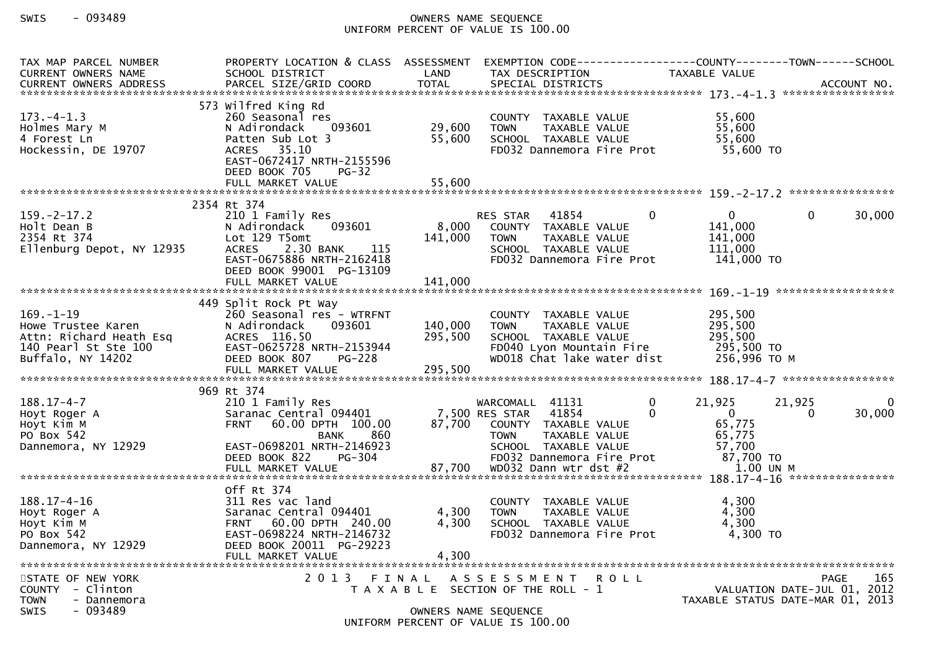## SWIS - 093489 OWNERS NAME SEQUENCE UNIFORM PERCENT OF VALUE IS 100.00

| TAX MAP PARCEL NUMBER<br>CURRENT OWNERS NAME                                                                  | PROPERTY LOCATION & CLASS ASSESSMENT<br>SCHOOL DISTRICT                                                                                                                                      | LAND                        | EXEMPTION        CODE------------------COUNTY-------TOWN------SCHOOL<br>TAX DESCRIPTION                                                                 |                          | TAXABLE VALUE                                                     |                    |        |
|---------------------------------------------------------------------------------------------------------------|----------------------------------------------------------------------------------------------------------------------------------------------------------------------------------------------|-----------------------------|---------------------------------------------------------------------------------------------------------------------------------------------------------|--------------------------|-------------------------------------------------------------------|--------------------|--------|
| $173. -4 - 1.3$<br>Holmes Mary M<br>4 Forest Ln<br>Hockessin, DE 19707                                        | 573 Wilfred King Rd<br>260 Seasonal res<br>N Adirondack<br>093601<br>Patten Sub Lot 3<br>ACRES 35.10<br>EAST-0672417 NRTH-2155596<br>DEED BOOK 705<br>$PG-32$                                | 29,600<br>55,600            | COUNTY TAXABLE VALUE<br>TAXABLE VALUE<br><b>TOWN</b><br>SCHOOL TAXABLE VALUE<br>FD032 Dannemora Fire Prot                                               |                          | 55,600<br>55,600<br>55,600<br>55,600 TO                           |                    |        |
|                                                                                                               |                                                                                                                                                                                              |                             |                                                                                                                                                         |                          |                                                                   |                    |        |
| $159. - 2 - 17.2$<br>Holt Dean B<br>2354 Rt 374<br>Ellenburg Depot, NY 12935                                  | 2354 Rt 374<br>210 1 Family Res<br>N Adirondack<br>093601<br>Lot 129 T5omt<br>2.30 BANK<br>115<br><b>ACRES</b><br>EAST-0675886 NRTH-2162418<br>DEED BOOK 99001 PG-13109<br>FULL MARKET VALUE | 8,000<br>141,000<br>141,000 | 41854<br><b>RES STAR</b><br>COUNTY TAXABLE VALUE<br>TAXABLE VALUE<br><b>TOWN</b><br>SCHOOL TAXABLE VALUE<br>FD032 Dannemora Fire Prot                   | $\mathbf{0}$             | $\mathbf{0}$<br>141,000<br>141,000<br>111,000<br>141,000 TO       | $\Omega$           | 30,000 |
| $169. - 1 - 19$<br>Howe Trustee Karen<br>Attn: Richard Heath Esq<br>140 Pearl St Ste 100<br>Buffalo, NY 14202 | 449 Split Rock Pt Way<br>260 Seasonal res - WTRFNT<br>N Adirondack<br>093601<br>ACRES 116.50<br>EAST-0625728 NRTH-2153944<br>DEED BOOK 807<br>PG-228                                         | 140,000<br>295,500          | COUNTY TAXABLE VALUE<br><b>TOWN</b><br>TAXABLE VALUE<br>SCHOOL TAXABLE VALUE<br>FD040 Lyon Mountain Fire<br>WD018 Chat lake water dist                  |                          | 295,500<br>295,500<br>295,500<br>295,500 TO<br>256,996 ТО М       |                    |        |
|                                                                                                               | 969 Rt 374                                                                                                                                                                                   |                             |                                                                                                                                                         |                          |                                                                   |                    |        |
| $188.17 - 4 - 7$<br>Hoyt Roger A<br>Hoyt Kim M<br>PO Box 542<br>Dannemora, NY 12929                           | 210 1 Family Res<br>Saranac Central 094401<br>60.00 DPTH 100.00<br><b>FRNT</b><br>860<br><b>BANK</b><br>EAST-0698201 NRTH-2146923<br>DEED BOOK 822<br>PG-304                                 | 87,700                      | WARCOMALL 41131<br>7,500 RES STAR<br>41854<br>COUNTY TAXABLE VALUE<br><b>TOWN</b><br>TAXABLE VALUE<br>SCHOOL TAXABLE VALUE<br>FD032 Dannemora Fire Prot | $\mathbf{0}$<br>$\Omega$ | 21,925<br>$\mathbf{0}$<br>65,775<br>65,775<br>57,700<br>87,700 TO | 21,925<br>$\Omega$ | 30,000 |
|                                                                                                               | FULL MARKET VALUE                                                                                                                                                                            | 87,700                      | WD032 Dann wtr dst #2                                                                                                                                   |                          | 1.00 UN M                                                         |                    |        |
|                                                                                                               |                                                                                                                                                                                              |                             |                                                                                                                                                         |                          |                                                                   |                    |        |
| $188.17 - 4 - 16$<br>Hoyt Roger A<br>Hoyt Kim M<br>PO Box 542<br>Dannemora, NY 12929                          | Off Rt 374<br>311 Res vac land<br>Saranac Central 094401<br>FRNT 60.00 DPTH 240.00<br>EAST-0698224 NRTH-2146732<br>DEED BOOK 20011 PG-29223                                                  | 4,300<br>4,300              | COUNTY TAXABLE VALUE<br><b>TOWN</b><br>TAXABLE VALUE<br>SCHOOL TAXABLE VALUE<br>FD032 Dannemora Fire Prot                                               |                          | 4,300<br>4,300<br>4,300<br>4,300 TO                               |                    |        |
|                                                                                                               | FULL MARKET VALUE                                                                                                                                                                            | 4,300                       |                                                                                                                                                         |                          |                                                                   |                    |        |
| STATE OF NEW YORK<br>COUNTY - Clinton<br><b>TOWN</b><br>- Dannemora<br>$-093489$<br><b>SWIS</b>               |                                                                                                                                                                                              |                             | 2013 FINAL ASSESSMENT<br>T A X A B L E SECTION OF THE ROLL - 1<br>OWNERS NAME SEQUENCE<br>UNIFORM PERCENT OF VALUE IS 100.00                            | R O L L                  | VALUATION DATE-JUL 01, 2012<br>TAXABLE STATUS DATE-MAR 01, 2013   | PAGE               | 165    |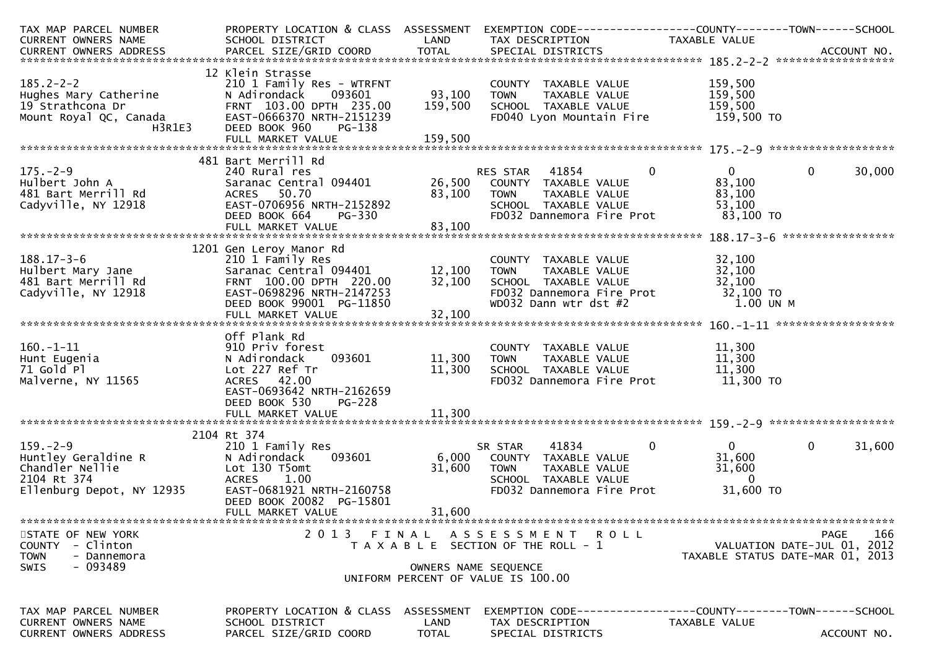| TAX MAP PARCEL NUMBER<br>CURRENT OWNERS NAME                                                                                   | PROPERTY LOCATION & CLASS ASSESSMENT<br>SCHOOL DISTRICT                                                                                                                         | LAND                         | EXEMPTION CODE-----------------COUNTY-------TOWN------SCHOOL<br>TAX DESCRIPTION                                                           | TAXABLE VALUE                                                           |                                                                                       |
|--------------------------------------------------------------------------------------------------------------------------------|---------------------------------------------------------------------------------------------------------------------------------------------------------------------------------|------------------------------|-------------------------------------------------------------------------------------------------------------------------------------------|-------------------------------------------------------------------------|---------------------------------------------------------------------------------------|
| $185.2 - 2 - 2$<br>Hughes Mary Catherine<br>19 Strathcona Dr<br>19 Strathcona Dr<br>Mount Royal QC, Canada<br>H3R1E3<br>H3R1E3 | 12 Klein Strasse<br>210 1 Family Res - WTRFNT<br>093601<br>N Adirondack<br>FRNT 103.00 DPTH 235.00<br>EAST-0666370 NRTH-2151239<br>DEED BOOK 960<br>PG-138<br>FULL MARKET VALUE | 93,100<br>159,500<br>159,500 | COUNTY TAXABLE VALUE<br>TAXABLE VALUE<br><b>TOWN</b><br>SCHOOL TAXABLE VALUE<br>FD040 Lyon Mountain Fire                                  | 159,500<br>159,500<br>159,500<br>159,500 TO                             |                                                                                       |
|                                                                                                                                | 481 Bart Merrill Rd                                                                                                                                                             |                              |                                                                                                                                           |                                                                         |                                                                                       |
| $175. - 2 - 9$<br>Hulbert John A<br>481 Bart Merrill Rd<br>Cadyville, NY 12918                                                 | 240 Rural res<br>Saranac Central 094401<br>ACRES 50.70<br>EAST-0706956 NRTH-2152892<br>DEED BOOK 664<br>PG-330                                                                  | 83,100                       | 41854<br>RES STAR<br>26,500 COUNTY TAXABLE VALUE<br>TAXABLE VALUE<br><b>TOWN</b><br>SCHOOL TAXABLE VALUE<br>FD032 Dannemora Fire Prot     | $\mathbf 0$<br>$\mathbf{0}$<br>83,100<br>83,100<br>53,100<br>83,100 TO  | 30,000<br>$\mathbf{0}$                                                                |
|                                                                                                                                | FULL MARKET VALUE                                                                                                                                                               | 83,100                       |                                                                                                                                           |                                                                         |                                                                                       |
| $188.17 - 3 - 6$<br>Hulbert Mary Jane<br>481 Bart Merrill Rd<br>Cadyville, NY 12918                                            | 1201 Gen Leroy Manor Rd<br>210 1 Family Res<br>Saranac Central 094401<br>FRNT 100.00 DPTH 220.00<br>EAST-0698296 NRTH-2147253<br>DEED BOOK 99001 PG-11850<br>FULL MARKET VALUE  | 12,100<br>32,100<br>32,100   | COUNTY TAXABLE VALUE<br><b>TOWN</b><br><b>TAXABLE VALUE</b><br>SCHOOL TAXABLE VALUE<br>FD032 Dannemora Fire Prot<br>WD032 Dann wtr dst #2 | 32,100<br>32,100<br>32,100<br>32,100 TO<br>1.00 UN M                    |                                                                                       |
|                                                                                                                                | Off Plank Rd                                                                                                                                                                    |                              |                                                                                                                                           |                                                                         |                                                                                       |
| $160. - 1 - 11$<br>Hunt Eugenia<br>71 Gold Pl<br>Malverne, NY 11565                                                            | 910 Priv forest<br>093601<br>N Adirondack<br>Lot 227 Ref Tr<br>ACRES 42.00<br>EAST-0693642 NRTH-2162659                                                                         | 11,300<br>11,300             | COUNTY TAXABLE VALUE<br>TAXABLE VALUE<br><b>TOWN</b><br>SCHOOL TAXABLE VALUE<br>FD032 Dannemora Fire Prot                                 | 11,300<br>11,300<br>11,300<br>11,300 TO                                 |                                                                                       |
|                                                                                                                                | DEED BOOK 530<br>PG-228                                                                                                                                                         |                              |                                                                                                                                           |                                                                         |                                                                                       |
|                                                                                                                                |                                                                                                                                                                                 |                              |                                                                                                                                           |                                                                         |                                                                                       |
| $159. - 2 - 9$<br>Huntley Geraldine R<br>Chandler Nellie<br>2104 Rt 374<br>Ellenburg Depot, NY 12935                           | 2104 Rt 374<br>210 1 Family Res<br>093601<br>N Adirondack<br>Lot 130 T5omt<br>1.00<br><b>ACRES</b><br>EAST-0681921 NRTH-2160758                                                 | 6,000<br>31,600              | 41834<br>SR STAR<br>COUNTY TAXABLE VALUE<br><b>TOWN</b><br>TAXABLE VALUE<br>SCHOOL TAXABLE VALUE<br>FD032 Dannemora Fire Prot             | $\Omega$<br>$\overline{0}$<br>31,600<br>31,600<br>$\Omega$<br>31,600 TO | $\mathbf 0$<br>31,600                                                                 |
|                                                                                                                                | DEED BOOK 20082 PG-15801<br>FULL MARKET VALUE                                                                                                                                   | 31,600                       |                                                                                                                                           |                                                                         |                                                                                       |
| STATE OF NEW YORK<br>COUNTY - Clinton<br><b>TOWN</b><br>- Dannemora                                                            | 2013 FINAL                                                                                                                                                                      |                              | ASSESSMENT ROLL<br>T A X A B L E SECTION OF THE ROLL - 1                                                                                  |                                                                         | 166<br><b>PAGE</b><br>VALUATION DATE-JUL 01, 2012<br>TAXABLE STATUS DATE-MAR 01, 2013 |
| - 093489<br>SWIS                                                                                                               |                                                                                                                                                                                 |                              | OWNERS NAME SEQUENCE<br>UNIFORM PERCENT OF VALUE IS 100.00                                                                                |                                                                         |                                                                                       |
| TAX MAP PARCEL NUMBER<br>CURRENT OWNERS NAME                                                                                   | PROPERTY LOCATION & CLASS ASSESSMENT<br>SCHOOL DISTRICT                                                                                                                         | LAND                         | EXEMPTION CODE------------------COUNTY--------TOWN------SCHOOL<br>TAX DESCRIPTION                                                         | TAXABLE VALUE                                                           |                                                                                       |
| CURRENT OWNERS ADDRESS                                                                                                         | PARCEL SIZE/GRID COORD                                                                                                                                                          | <b>TOTAL</b>                 | SPECIAL DISTRICTS                                                                                                                         |                                                                         | ACCOUNT NO.                                                                           |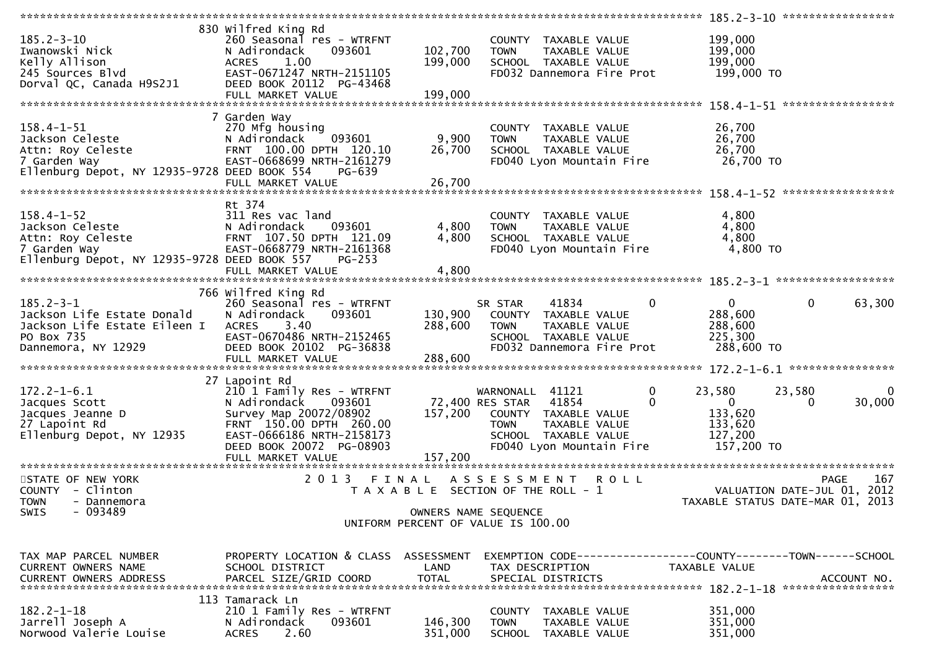| $185.2 - 3 - 10$<br>Iwanowski Nick<br>Kelly Allison<br>245 Sources Blvd                                                                  | 830 Wilfred King Rd<br>260 Seasonal res - WTRFNT<br>N Adirondack<br>093601<br><b>ACRES</b><br>1.00<br>EAST-0671247 NRTH-2151105                                                        | 102,700<br>199,000                                         | <b>TOWN</b>                                             | COUNTY TAXABLE VALUE<br>TAXABLE VALUE<br>SCHOOL TAXABLE VALUE<br>FD032 Dannemora Fire Prot                  |                              | 199,000<br>199,000<br>199,000<br>199,000 то                             |              |                                            |
|------------------------------------------------------------------------------------------------------------------------------------------|----------------------------------------------------------------------------------------------------------------------------------------------------------------------------------------|------------------------------------------------------------|---------------------------------------------------------|-------------------------------------------------------------------------------------------------------------|------------------------------|-------------------------------------------------------------------------|--------------|--------------------------------------------|
| Dorval QC, Canada H9S2J1                                                                                                                 | DEED BOOK 20112 PG-43468                                                                                                                                                               |                                                            |                                                         |                                                                                                             |                              |                                                                         |              |                                            |
|                                                                                                                                          |                                                                                                                                                                                        |                                                            |                                                         |                                                                                                             |                              |                                                                         |              |                                            |
| $158.4 - 1 - 51$<br>Jackson Celeste<br>Attn: Roy Celeste<br>7 Carden Way<br>7 Garden Way<br>Ellenburg Depot, NY 12935-9728 DEED BOOK 554 | 7 Garden Way<br>270 Mfg housing<br>093601<br>N Adirondack<br>FRNT 100.00 DPTH 120.10<br>EAST-0668699 NRTH-2161279<br>PG-639                                                            | 9,900<br>26,700                                            | <b>TOWN</b>                                             | COUNTY TAXABLE VALUE<br>TAXABLE VALUE<br>SCHOOL TAXABLE VALUE<br>FD040 Lyon Mountain Fire                   |                              | 26,700<br>26,700<br>26,700<br>26,700 TO                                 |              |                                            |
|                                                                                                                                          |                                                                                                                                                                                        |                                                            |                                                         |                                                                                                             |                              |                                                                         |              |                                            |
| $158.4 - 1 - 52$<br>Jackson Celeste<br>Attn: Roy Celeste<br>7 Garden Way<br>Ellenburg Depot, NY 12935-9728 DEED BOOK 557                 | Rt 374<br>311 Res vac land<br>093601<br>N Adirondack<br>FRNT 107.50 DPTH 121.09<br>EAST-0668779 NRTH-2161368<br>$PG-253$                                                               | 4,800<br>4,800                                             | <b>TOWN</b>                                             | COUNTY TAXABLE VALUE<br>TAXABLE VALUE<br>SCHOOL TAXABLE VALUE<br>FD040 Lyon Mountain Fire                   |                              | 4,800<br>4,800<br>4,800<br>4,800 TO                                     |              |                                            |
|                                                                                                                                          |                                                                                                                                                                                        |                                                            |                                                         |                                                                                                             |                              |                                                                         |              |                                            |
| $185.2 - 3 - 1$<br>Jackson Life Estate Donald<br>Jackson Life Estate Eileen I<br>PO Box 735<br>Dannemora, NY 12929                       | 766 Wilfred King Rd<br>260 Seasonal res - WTRFNT<br>N Adirondack<br>093601<br>3.40<br>ACRES<br>EAST-0670486 NRTH-2152465<br>DEED BOOK 20102 PG-36838                                   | 288,600                                                    | SR STAR<br><b>TOWN</b>                                  | 41834<br>130,900 COUNTY TAXABLE VALUE<br>TAXABLE VALUE<br>SCHOOL TAXABLE VALUE<br>FD032 Dannemora Fire Prot | $\mathbf 0$                  | $\mathbf{0}$<br>288,600<br>288,600<br>225,300<br>288,600 TO             | $\mathbf{0}$ | 63,300                                     |
|                                                                                                                                          | 27 Lapoint Rd                                                                                                                                                                          |                                                            |                                                         |                                                                                                             |                              |                                                                         |              |                                            |
| $172.2 - 1 - 6.1$<br>Jacques Scott<br>Jacques Jeanne D<br>27 Lapoint Rd<br>Ellenburg Depot, NY 12935                                     | 210 1 Family Res - WTRFNT<br>093601<br>N Adirondack<br>Survey Map 20072/08902<br>FRNT 150.00 DPTH 260.00<br>EAST-0666186 NRTH-2158173<br>DEED BOOK 20072 PG-08903<br>FULL MARKET VALUE | 157,200<br>157,200                                         | WARNONALL 41121<br>72,400 RES STAR 41854<br><b>TOWN</b> | COUNTY TAXABLE VALUE<br>TAXABLE VALUE<br>SCHOOL TAXABLE VALUE<br>FD040 Lyon Mountain Fire                   | $\mathbf{0}$<br>$\mathbf{0}$ | 23,580<br>$\overline{0}$<br>133,620<br>133,620<br>127,200<br>157,200 TO | 23,580<br>0  | 0<br>30,000                                |
| STATE OF NEW YORK<br>COUNTY - Clinton                                                                                                    | 2 0 1 3<br>FINAL                                                                                                                                                                       | T A X A B L E SECTION OF THE ROLL - 1                      | A S S E S S M E N T                                     | <b>ROLL</b>                                                                                                 |                              |                                                                         |              | 167<br>PAGE<br>VALUATION DATE-JUL 01, 2012 |
| <b>TOWN</b><br>- Dannemora<br>$-093489$<br>SWIS                                                                                          |                                                                                                                                                                                        | OWNERS NAME SEQUENCE<br>UNIFORM PERCENT OF VALUE IS 100.00 |                                                         |                                                                                                             |                              | TAXABLE STATUS DATE-MAR 01, 2013                                        |              |                                            |
| TAX MAP PARCEL NUMBER<br>CURRENT OWNERS NAME                                                                                             | PROPERTY LOCATION & CLASS ASSESSMENT<br>SCHOOL DISTRICT                                                                                                                                | LAND                                                       |                                                         | EXEMPTION CODE------------------COUNTY--------TOWN------SCHOOL<br>TAX DESCRIPTION                           |                              | <b>TAXABLE VALUE</b>                                                    |              |                                            |
| $182.2 - 1 - 18$<br>Jarrell Joseph A<br>Norwood Valerie Louise                                                                           | 113 Tamarack Ln<br>210 1 Family Res - WTRFNT<br>093601<br>N Adirondack<br>2.60<br><b>ACRES</b>                                                                                         | 146,300<br>351,000                                         | <b>TOWN</b><br><b>SCHOOL</b>                            | COUNTY TAXABLE VALUE<br>TAXABLE VALUE<br>TAXABLE VALUE                                                      |                              | 351,000<br>351,000<br>351,000                                           |              |                                            |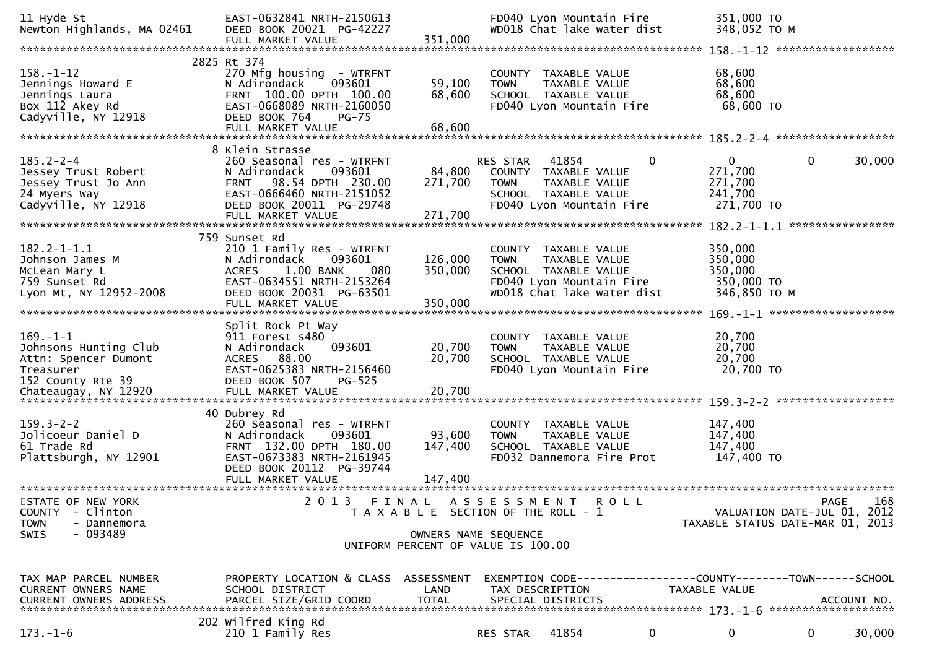| 11 Hyde St<br>Newton Highlands, MA 02461                                                                                  | EAST-0632841 NRTH-2150613<br>DEED BOOK 20021 PG-42227<br>FULL MARKET VALUE                                                                                                               | 351,000                                                                                |                         | FD040 Lyon Mountain Fire<br>WD018 Chat lake water dist                                             |             | 351,000 TO<br>348,052 TO M                                                    |              |             |
|---------------------------------------------------------------------------------------------------------------------------|------------------------------------------------------------------------------------------------------------------------------------------------------------------------------------------|----------------------------------------------------------------------------------------|-------------------------|----------------------------------------------------------------------------------------------------|-------------|-------------------------------------------------------------------------------|--------------|-------------|
|                                                                                                                           |                                                                                                                                                                                          |                                                                                        |                         |                                                                                                    |             |                                                                               |              |             |
| $158. - 1 - 12$<br>Jennings Howard E<br>Jennings Laura<br>Box 112 Akey Rd<br>Cadyville, NY 12918                          | 2825 Rt 374<br>270 Mfg housing - WTRFNT<br>093601<br>N Adirondack<br>FRNT 100.00 DPTH 100.00<br>EAST-0668089 NRTH-2160050<br>DEED BOOK 764<br><b>PG-75</b><br>FULL MARKET VALUE          | 59,100<br>68,600<br>68,600                                                             | <b>TOWN</b>             | COUNTY TAXABLE VALUE<br>TAXABLE VALUE<br>SCHOOL TAXABLE VALUE<br>FD040 Lyon Mountain Fire          |             | 68,600<br>68,600<br>68,600<br>68,600 TO                                       |              |             |
|                                                                                                                           |                                                                                                                                                                                          |                                                                                        |                         |                                                                                                    |             |                                                                               |              |             |
| $185.2 - 2 - 4$<br>Jessey Trust Robert<br>Jessey Trust Jo Ann<br>24 Myers Way<br>Cadyville, NY 12918                      | 8 Klein Strasse<br>260 Seasonal res - WTRFNT<br>093601<br>N Adirondack<br>98.54 DPTH 230.00<br><b>FRNT</b><br>EAST-0666460 NRTH-2151052<br>DEED BOOK 20011 PG-29748<br>FULL MARKET VALUE | 84,800<br>271,700<br>271,700                                                           | RES STAR<br><b>TOWN</b> | 41854<br>COUNTY TAXABLE VALUE<br>TAXABLE VALUE<br>SCHOOL TAXABLE VALUE<br>FD040 Lyon Mountain Fire | $\mathbf 0$ | $\mathbf{0}$<br>271,700<br>271,700<br>241,700<br>271,700 TO                   | $\mathbf{0}$ | 30,000      |
|                                                                                                                           | 759 Sunset Rd                                                                                                                                                                            |                                                                                        |                         |                                                                                                    |             |                                                                               |              |             |
| $182.2 - 1 - 1.1$<br>Johnson James M<br>McLean Mary L<br>759 Sunset Rd                                                    | 210 1 Family Res - WTRFNT<br>N Adirondack<br>093601<br>1.00 BANK<br>080<br><b>ACRES</b><br>EAST-0634551 NRTH-2153264                                                                     | 126,000<br>350,000                                                                     | <b>TOWN</b>             | COUNTY TAXABLE VALUE<br>TAXABLE VALUE<br>SCHOOL TAXABLE VALUE<br>FD040 Lyon Mountain Fire          |             | 350,000<br>350,000<br>350,000<br>350,000 TO                                   |              |             |
| Lyon Mt, NY 12952-2008                                                                                                    | DEED BOOK 20031 PG-63501<br>FULL MARKET VALUE                                                                                                                                            | 350,000                                                                                |                         | WD018 Chat lake water dist                                                                         |             | 346,850 ТО М                                                                  |              |             |
|                                                                                                                           |                                                                                                                                                                                          |                                                                                        |                         |                                                                                                    |             |                                                                               |              |             |
| $169. - 1 - 1$<br>Johnsons Hunting Club<br>Attn: Spencer Dumont<br>Treasurer<br>152 County Rte 39<br>Chateaugay, NY 12920 | Split Rock Pt Way<br>911 Forest s480<br>N Adirondack<br>093601<br>ACRES 88.00<br>EAST-0625383 NRTH-2156460<br>DEED BOOK 507<br>PG-525<br>FULL MARKET VALUE                               | 20,700<br>20,700<br>20,700                                                             | <b>TOWN</b>             | COUNTY TAXABLE VALUE<br>TAXABLE VALUE<br>SCHOOL TAXABLE VALUE<br>FD040 Lyon Mountain Fire          |             | 20,700<br>20,700<br>20,700<br>20,700 TO                                       |              |             |
|                                                                                                                           | 40 Dubrey Rd                                                                                                                                                                             |                                                                                        |                         |                                                                                                    |             |                                                                               |              |             |
| $159.3 - 2 - 2$<br>Jolicoeur Daniel D<br>61 Trade Rd<br>Plattsburgh, NY 12901                                             | 260 Seasonal res - WTRFNT<br>N Adirondack<br>093601<br>FRNT 132.00 DPTH 180.00<br>EAST-0673383 NRTH-2161945<br>DEED BOOK 20112 PG-39744                                                  | 93,600<br>147,400                                                                      | <b>TOWN</b>             | COUNTY TAXABLE VALUE<br>TAXABLE VALUE<br>SCHOOL TAXABLE VALUE<br>FD032 Dannemora Fire Prot         |             | 147,400<br>147,400<br>147,400<br>147,400 TO                                   |              |             |
|                                                                                                                           |                                                                                                                                                                                          |                                                                                        |                         |                                                                                                    |             |                                                                               |              |             |
| STATE OF NEW YORK<br>- Clinton<br><b>COUNTY</b><br><b>TOWN</b><br>- Dannemora<br><b>SWIS</b><br>- 093489                  | 2013                                                                                                                                                                                     | FINAL ASSESSMENT ROLL<br>T A X A B L E SECTION OF THE ROLL - 1<br>OWNERS NAME SEQUENCE |                         |                                                                                                    |             | VALUATION DATE-JUL 01, 2012<br>TAXABLE STATUS DATE-MAR 01, 2013               | <b>PAGE</b>  | 168         |
|                                                                                                                           |                                                                                                                                                                                          | UNIFORM PERCENT OF VALUE IS 100.00                                                     |                         |                                                                                                    |             |                                                                               |              |             |
| TAX MAP PARCEL NUMBER<br>CURRENT OWNERS NAME<br><b>CURRENT OWNERS ADDRESS</b>                                             | PROPERTY LOCATION & CLASS<br>SCHOOL DISTRICT<br>PARCEL SIZE/GRID COORD                                                                                                                   | ASSESSMENT<br>LAND<br><b>TOTAL</b>                                                     |                         | TAX DESCRIPTION<br>SPECIAL DISTRICTS                                                               |             | EXEMPTION CODE-----------------COUNTY-------TOWN------SCHOOL<br>TAXABLE VALUE |              | ACCOUNT NO. |
| $173. - 1 - 6$                                                                                                            | 202 Wilfred King Rd<br>210 1 Family Res                                                                                                                                                  |                                                                                        | RES STAR                | 41854                                                                                              | $\bf{0}$    | 0                                                                             | $\mathbf{0}$ | 30,000      |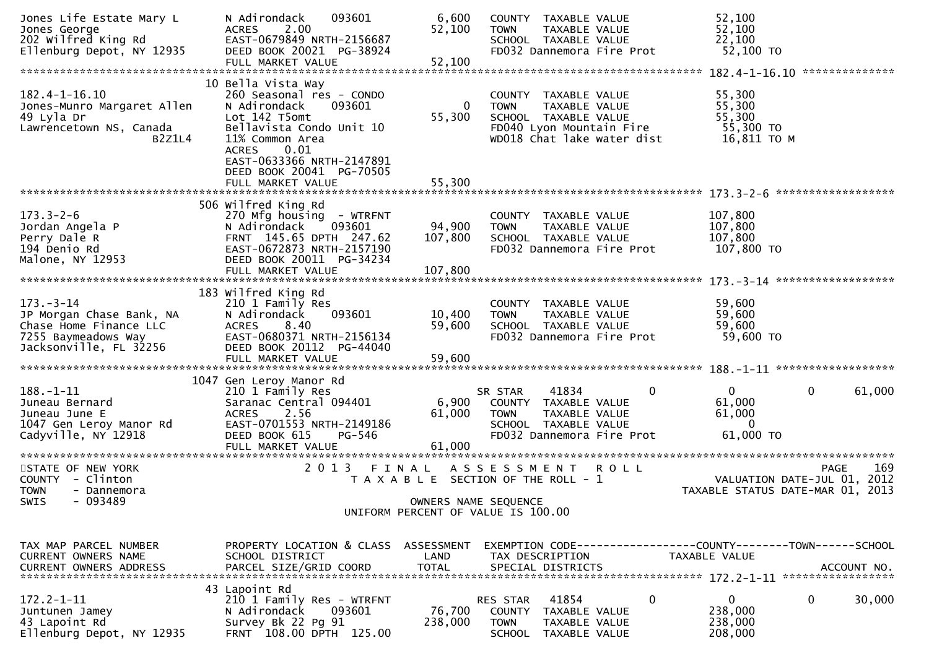| Jones Life Estate Mary L<br>Jones George<br>202 Wilfred King Rd<br>202 Wilfred Sonot NY 12935<br>Ellenburg Depot, NY 12935 | N Adirondack<br>093601<br>2.00<br><b>ACRES</b><br>EAST-0679849 NRTH-2156687<br>DEED BOOK 20021 PG-38924                                                                                                                   | 6,600<br>52,100<br>52,100     | COUNTY TAXABLE VALUE<br><b>TOWN</b><br>TAXABLE VALUE<br>SCHOOL TAXABLE VALUE<br>FD032 Dannemora Fire Prot                              |              | 52,100<br>52,100<br>22,100<br>52,100 TO                       |                                            |
|----------------------------------------------------------------------------------------------------------------------------|---------------------------------------------------------------------------------------------------------------------------------------------------------------------------------------------------------------------------|-------------------------------|----------------------------------------------------------------------------------------------------------------------------------------|--------------|---------------------------------------------------------------|--------------------------------------------|
|                                                                                                                            | FULL MARKET VALUE                                                                                                                                                                                                         |                               |                                                                                                                                        |              |                                                               |                                            |
| $182.4 - 1 - 16.10$<br>Jones-Munro Margaret Allen<br>49 Lyla Dr<br>Lawrencetown NS, Canada<br>B2Z1L4                       | 10 Bella Vista Way<br>260 Seasonal res - CONDO<br>093601<br>N Adirondack<br>Lot 142 T5omt<br>Bellavista Condo Unit 10<br>11% Common Area<br>0.01<br><b>ACRES</b><br>EAST-0633366 NRTH-2147891<br>DEED BOOK 20041 PG-70505 | $\bf{0}$<br>55,300            | COUNTY TAXABLE VALUE<br><b>TOWN</b><br>TAXABLE VALUE<br>SCHOOL TAXABLE VALUE<br>FD040 Lyon Mountain Fire<br>WD018 Chat lake water dist |              | 55,300<br>55,300<br>55,300<br>55,300 TO<br>16,811 TO M        |                                            |
|                                                                                                                            |                                                                                                                                                                                                                           |                               |                                                                                                                                        |              |                                                               |                                            |
|                                                                                                                            |                                                                                                                                                                                                                           |                               |                                                                                                                                        |              |                                                               |                                            |
| $173.3 - 2 - 6$<br>Jordan Angela P<br>Perry Dale R<br>194 Denio Rd<br>Malone, NY 12953                                     | 506 wilfred King Rd<br>270 Mfg housing - WTRFNT<br>093601<br>N Adirondack<br>FRNT 145.65 DPTH 247.62<br>EAST-0672873 NRTH-2157190<br>DEED BOOK 20011 PG-34234                                                             | 94,900<br>107,800             | COUNTY TAXABLE VALUE<br>TAXABLE VALUE<br><b>TOWN</b><br>SCHOOL TAXABLE VALUE<br>FD032 Dannemora Fire Prot                              |              | 107,800<br>107,800<br>107,800<br>107,800 TO                   |                                            |
|                                                                                                                            |                                                                                                                                                                                                                           |                               |                                                                                                                                        |              |                                                               |                                            |
| $173. - 3 - 14$<br>JP Morgan Chase Bank, NA<br>Chase Home Finance LLC<br>7255 Baymeadows Way<br>Jacksonville, FL 32256     | 183 Wilfred King Rd<br>210 1 Family Res<br>N Adirondack<br>093601<br>8.40<br><b>ACRES</b><br>EAST-0680371 NRTH-2156134<br>DEED BOOK 20112 PG-44040<br>FULL MARKET VALUE                                                   | 10,400<br>59,600<br>59,600    | COUNTY TAXABLE VALUE<br>TAXABLE VALUE<br><b>TOWN</b><br>SCHOOL TAXABLE VALUE<br>FD032 Dannemora Fire Prot                              |              | 59,600<br>59,600<br>59,600<br>59,600 TO                       |                                            |
|                                                                                                                            | 1047 Gen Leroy Manor Rd                                                                                                                                                                                                   |                               |                                                                                                                                        |              |                                                               |                                            |
| $188. - 1 - 11$<br>Juneau Bernard<br>Juneau June E<br>1047 Gen Leroy Manor Rd<br>Cadyville, NY 12918                       | 210 1 Family Res<br>Saranac Central 094401<br>2.56<br><b>ACRES</b><br>EAST-0701553 NRTH-2149186<br>DEED BOOK 615<br>PG-546<br>FULL MARKET VALUE                                                                           | 6,900<br>61,000<br>61,000     | 41834<br>SR STAR<br>COUNTY TAXABLE VALUE<br>TAXABLE VALUE<br><b>TOWN</b><br>SCHOOL TAXABLE VALUE<br>FD032 Dannemora Fire Prot          | $\mathbf{0}$ | $\mathbf{0}$<br>61,000<br>61,000<br>$\mathbf{0}$<br>61,000 TO | $\mathbf{0}$<br>61,000                     |
|                                                                                                                            |                                                                                                                                                                                                                           |                               |                                                                                                                                        |              |                                                               |                                            |
| STATE OF NEW YORK<br>COUNTY - Clinton<br><b>TOWN</b><br>- Dannemora<br>$-093489$<br><b>SWIS</b>                            | 2 0 1 3                                                                                                                                                                                                                   | FINAL<br>OWNERS NAME SEQUENCE | A S S E S S M E N T<br>T A X A B L E SECTION OF THE ROLL - 1<br>UNIFORM PERCENT OF VALUE IS 100.00                                     | <b>ROLL</b>  | TAXABLE STATUS DATE-MAR 01, 2013                              | 169<br>PAGE<br>VALUATION DATE-JUL 01, 2012 |
|                                                                                                                            |                                                                                                                                                                                                                           |                               |                                                                                                                                        |              |                                                               |                                            |
| TAX MAP PARCEL NUMBER<br>CURRENT OWNERS NAME                                                                               | PROPERTY LOCATION & CLASS ASSESSMENT<br>SCHOOL DISTRICT                                                                                                                                                                   | LAND                          | EXEMPTION CODE------------------COUNTY--------TOWN------SCHOOL<br>TAX DESCRIPTION                                                      |              | TAXABLE VALUE                                                 |                                            |
|                                                                                                                            | 43 Lapoint Rd                                                                                                                                                                                                             |                               |                                                                                                                                        |              |                                                               |                                            |
| $172.2 - 1 - 11$<br>Juntunen Jamey<br>43 Lapoint Rd<br>Ellenburg Depot, NY 12935                                           | 210 1 Family Res - WTRFNT<br>N Adirondack<br>093601<br>Survey Bk 22 Pg 91<br>FRNT 108.00 DPTH 125.00                                                                                                                      | 76,700<br>238,000             | 41854<br>RES STAR<br>COUNTY TAXABLE VALUE<br><b>TOWN</b><br>TAXABLE VALUE<br>SCHOOL TAXABLE VALUE                                      | 0            | 0<br>238,000<br>238,000<br>208,000                            | 0<br>30,000                                |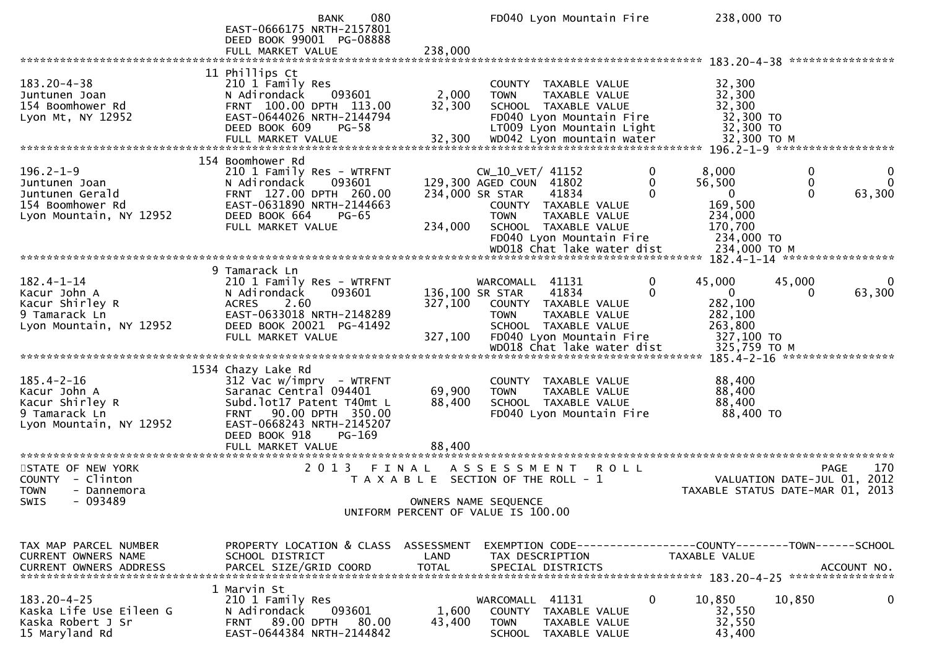|                                                                                                    | 080<br><b>BANK</b><br>EAST-0666175 NRTH-2157801<br>DEED BOOK 99001 PG-08888                                                                                                                                    |                            | FD040 Lyon Mountain Fire                                                                                                                                                                                           | 238,000 TO                                                                                           |                                                                                   |
|----------------------------------------------------------------------------------------------------|----------------------------------------------------------------------------------------------------------------------------------------------------------------------------------------------------------------|----------------------------|--------------------------------------------------------------------------------------------------------------------------------------------------------------------------------------------------------------------|------------------------------------------------------------------------------------------------------|-----------------------------------------------------------------------------------|
|                                                                                                    | FULL MARKET VALUE                                                                                                                                                                                              | 238,000                    |                                                                                                                                                                                                                    |                                                                                                      |                                                                                   |
| $183.20 - 4 - 38$<br>Juntunen Joan<br>154 Boomhower Rd<br>Lyon Mt, NY 12952                        | 11 Phillips Ct<br>210 1 Family Res<br>093601<br>N Adirondack<br>FRNT 100.00 DPTH 113.00<br>EAST-0644026 NRTH-2144794<br>DEED BOOK 609<br>$PG-58$                                                               | 2,000<br>32,300            | COUNTY TAXABLE VALUE<br>TAXABLE VALUE<br><b>TOWN</b><br>SCHOOL TAXABLE VALUE<br>FD040 Lyon Mountain Fire<br>LT009 Lyon Mountain Light                                                                              | 32,300<br>32,300<br>32,300<br>32,300 TO<br>32,300 TO                                                 |                                                                                   |
| $196.2 - 1 - 9$<br>Juntunen Joan<br>Juntunen Gerald<br>154 Boomhower Rd<br>Lyon Mountain, NY 12952 | 154 Boomhower Rd<br>210 1 Family Res - WTRFNT<br>N Adirondack<br>093601<br>FRNT 127.00 DPTH 260.00<br>EAST-0631890 NRTH-2144663<br>DEED BOOK 664<br>PG-65<br>FULL MARKET VALUE                                 | 234,000                    | $CW_10_VET/41152$<br>129,300 AGED COUN 41802<br>234,000 SR STAR<br>41834<br>COUNTY TAXABLE VALUE<br>TAXABLE VALUE<br><b>TOWN</b><br>SCHOOL TAXABLE VALUE<br>FD040 Lyon Mountain Fire<br>WD018 Chat lake water dist | 8,000<br>0<br>56,500<br>0<br>$\Omega$<br>169,500<br>234,000<br>170,700<br>234,000 TO<br>234,000 ТО М | 0<br>0<br>$\Omega$<br>0<br>63,300<br>0                                            |
|                                                                                                    | 9 Tamarack Ln                                                                                                                                                                                                  |                            |                                                                                                                                                                                                                    |                                                                                                      |                                                                                   |
| $182.4 - 1 - 14$<br>Kacur John A<br>Kacur Shirley R<br>9 Tamarack Ln<br>Lyon Mountain, NY 12952    | 210 1 Family Res - WTRFNT<br>093601<br>N Adirondack<br>2.60<br><b>ACRES</b><br>EAST-0633018 NRTH-2148289<br>DEED BOOK 20021 PG-41492<br>FULL MARKET VALUE                                                      | 327,100<br>327,100         | WARCOMALL 41131<br>41834<br>136,100 SR STAR<br>COUNTY TAXABLE VALUE<br><b>TOWN</b><br>TAXABLE VALUE<br>SCHOOL TAXABLE VALUE<br>FD040 Lyon Mountain Fire                                                            | 0<br>45,000<br>0<br>$\mathbf{0}$<br>282,100<br>282,100<br>263,800<br>327,100 TO                      | 45,000<br>63,300<br>$\Omega$                                                      |
| $185.4 - 2 - 16$<br>Kacur John A<br>Kacur Shirley R<br>9 Tamarack Ln<br>Lyon Mountain, NY 12952    | 1534 Chazy Lake Rd<br>$312$ Vac w/imprv - WTRFNT<br>Saranac Central 094401<br>Subd.lot17 Patent T40mt L<br>FRNT 90.00 DPTH 350.00<br>EAST-0668243 NRTH-2145207<br>DEED BOOK 918<br>PG-169<br>FULL MARKET VALUE | 69,900<br>88,400<br>88,400 | COUNTY TAXABLE VALUE<br>TAXABLE VALUE<br><b>TOWN</b><br>SCHOOL TAXABLE VALUE<br>FD040 Lyon Mountain Fire                                                                                                           | 88,400<br>88,400<br>88,400<br>88,400 TO                                                              |                                                                                   |
|                                                                                                    |                                                                                                                                                                                                                |                            |                                                                                                                                                                                                                    |                                                                                                      |                                                                                   |
| STATE OF NEW YORK<br>COUNTY - Clinton<br><b>TOWN</b><br>- Dannemora                                | 2 0 1 3                                                                                                                                                                                                        | FINAL                      | A S S E S S M E N T<br>R O L L<br>T A X A B L E SECTION OF THE ROLL - 1                                                                                                                                            |                                                                                                      | 170<br>PAGE<br>2012<br>VALUATION DATE-JUL 01,<br>TAXABLE STATUS DATE-MAR 01, 2013 |
| $-093489$<br><b>SWIS</b>                                                                           |                                                                                                                                                                                                                |                            | OWNERS NAME SEQUENCE<br>UNIFORM PERCENT OF VALUE IS 100.00                                                                                                                                                         |                                                                                                      |                                                                                   |
| TAX MAP PARCEL NUMBER<br>CURRENT OWNERS NAME<br><b>CURRENT OWNERS ADDRESS</b>                      | PROPERTY LOCATION & CLASS ASSESSMENT<br>SCHOOL DISTRICT<br>PARCEL SIZE/GRID COORD                                                                                                                              | LAND<br><b>TOTAL</b>       | EXEMPTION CODE-----------------COUNTY-------TOWN------SCHOOL<br>TAX DESCRIPTION<br>SPECIAL DISTRICTS                                                                                                               | TAXABLE VALUE                                                                                        | ACCOUNT NO.                                                                       |
| $183.20 - 4 - 25$<br>Kaska Life Use Eileen G<br>Kaska Robert J Sr<br>15 Maryland Rd                | 1 Marvin St<br>210 1 Family Res<br>093601<br>N Adirondack<br><b>FRNT 89.00 DPTH</b><br>80.00<br>EAST-0644384 NRTH-2144842                                                                                      | 1,600<br>43,400            | WARCOMALL 41131<br>COUNTY TAXABLE VALUE<br><b>TOWN</b><br>TAXABLE VALUE<br>SCHOOL TAXABLE VALUE                                                                                                                    | 10,850<br>0<br>32,550<br>32,550<br>43,400                                                            | 10,850<br>0                                                                       |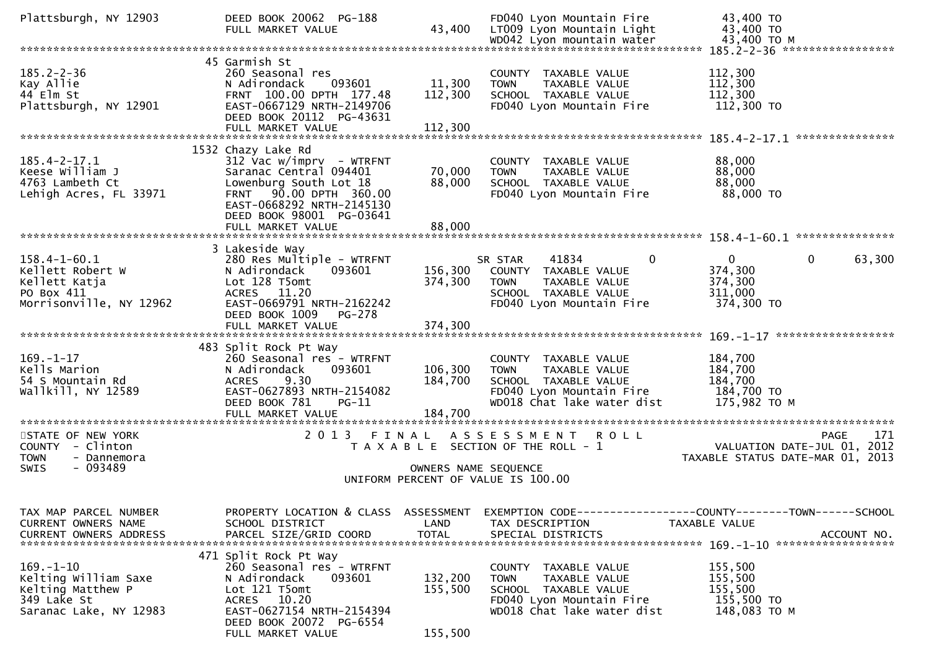| Plattsburgh, NY 12903                                                                                 | DEED BOOK 20062 PG-188<br>FULL MARKET VALUE                                                                                                                                               | 43,400                             | FD040 Lyon Mountain Fire<br>LT009 Lyon Mountain Light<br>WD042 Lyon mountain water                                                       | 43,400 TO<br>43,400 TO<br>43,400 TO M                                                        |
|-------------------------------------------------------------------------------------------------------|-------------------------------------------------------------------------------------------------------------------------------------------------------------------------------------------|------------------------------------|------------------------------------------------------------------------------------------------------------------------------------------|----------------------------------------------------------------------------------------------|
|                                                                                                       |                                                                                                                                                                                           |                                    |                                                                                                                                          | 185.2-2-36 ******************                                                                |
| $185.2 - 2 - 36$<br>Kay Allie<br>44 Elm St<br>Plattsburgh, NY 12901                                   | 45 Garmish St<br>260 Seasonal res<br>093601<br>N Adirondack<br>FRNT 100.00 DPTH 177.48<br>EAST-0667129 NRTH-2149706<br>DEED BOOK 20112 PG-43631                                           | 11,300<br>112,300                  | COUNTY TAXABLE VALUE<br><b>TOWN</b><br>TAXABLE VALUE<br>SCHOOL TAXABLE VALUE<br>FD040 Lyon Mountain Fire                                 | 112,300<br>112,300<br>112,300<br>112,300 TO                                                  |
|                                                                                                       |                                                                                                                                                                                           |                                    |                                                                                                                                          | ***************                                                                              |
| $185.4 - 2 - 17.1$<br>Keese William J<br>4763 Lambeth Ct<br>Lehigh Acres, FL 33971                    | 1532 Chazy Lake Rd<br>$312$ Vac w/imprv - WTRFNT<br>Saranac Central 094401<br>Lowenburg South Lot 18<br>FRNT 90.00 DPTH 360.00<br>EAST-0668292 NRTH-2145130<br>DEED BOOK 98001 PG-03641   | 70,000<br>88,000                   | COUNTY TAXABLE VALUE<br>TAXABLE VALUE<br><b>TOWN</b><br>SCHOOL TAXABLE VALUE<br>FD040 Lyon Mountain Fire                                 | 88,000<br>88,000<br>88,000<br>88,000 TO                                                      |
|                                                                                                       | FULL MARKET VALUE                                                                                                                                                                         | 88,000                             |                                                                                                                                          |                                                                                              |
| $158.4 - 1 - 60.1$<br>Kellett Robert W<br>Kellett Katja<br>PO Box 411<br>Morrisonville, NY 12962      | 3 Lakeside Way<br>280 Res Multiple - WTRFNT<br>N Adirondack<br>093601<br>Lot 128 T5omt<br>ACRES 11.20<br>EAST-0669791 NRTH-2162242<br>DEED BOOK 1009<br><b>PG-278</b>                     | 156,300<br>374,300                 | $\Omega$<br>41834<br>SR STAR<br>COUNTY TAXABLE VALUE<br><b>TOWN</b><br>TAXABLE VALUE<br>SCHOOL TAXABLE VALUE<br>FD040 Lyon Mountain Fire | $\Omega$<br>$\mathbf{0}$<br>63,300<br>374,300<br>374,300<br>311,000<br>374,300 TO            |
|                                                                                                       | FULL MARKET VALUE                                                                                                                                                                         | 374,300                            |                                                                                                                                          |                                                                                              |
| $169. - 1 - 17$<br>Kells Marion<br>54 S Mountain Rd<br>wallkill, NY 12589                             | 483 Split Rock Pt Way<br>260 Seasonal res - WTRFNT<br>N Adirondack<br>093601<br>9.30<br><b>ACRES</b><br>EAST-0627893 NRTH-2154082<br>DEED BOOK 781<br>$PG-11$<br>FULL MARKET VALUE        | 106,300<br>184,700<br>184,700      | COUNTY TAXABLE VALUE<br><b>TOWN</b><br>TAXABLE VALUE<br>SCHOOL TAXABLE VALUE<br>FD040 Lyon Mountain Fire<br>WD018 Chat lake water dist   | 184,700<br>184,700<br>184,700<br>184,700 TO<br>175,982 TO M                                  |
| STATE OF NEW YORK<br>COUNTY - Clinton<br><b>TOWN</b><br>- Dannemora                                   | 2 0 1 3                                                                                                                                                                                   | FINAL                              | A S S E S S M E N T R O L L<br>T A X A B L E SECTION OF THE ROLL - 1                                                                     | 171<br><b>PAGE</b><br>VALUATION DATE-JUL 01, 2012<br>TAXABLE STATUS DATE-MAR 01, 2013        |
| - 093489<br><b>SWIS</b>                                                                               |                                                                                                                                                                                           | OWNERS NAME SEQUENCE               | UNIFORM PERCENT OF VALUE IS 100.00                                                                                                       |                                                                                              |
| TAX MAP PARCEL NUMBER<br>CURRENT OWNERS NAME<br><b>CURRENT OWNERS ADDRESS</b>                         | PROPERTY LOCATION & CLASS<br>SCHOOL DISTRICT<br>PARCEL SIZE/GRID COORD                                                                                                                    | ASSESSMENT<br>LAND<br><b>TOTAL</b> | TAX DESCRIPTION<br>SPECIAL DISTRICTS                                                                                                     | EXEMPTION CODE-----------------COUNTY-------TOWN------SCHOOL<br>TAXABLE VALUE<br>ACCOUNT NO. |
| $169. - 1 - 10$<br>Kelting William Saxe<br>Kelting Matthew P<br>349 Lake St<br>Saranac Lake, NY 12983 | 471 Split Rock Pt Way<br>260 Seasonal res - WTRFNT<br>N Adirondack<br>093601<br>Lot 121 T5omt<br>ACRES 10.20<br>EAST-0627154 NRTH-2154394<br>DEED BOOK 20072 PG-6554<br>FULL MARKET VALUE | 132,200<br>155,500<br>155,500      | COUNTY TAXABLE VALUE<br>TAXABLE VALUE<br>TOWN<br>SCHOOL TAXABLE VALUE<br>FD040 Lyon Mountain Fire<br>WD018 Chat lake water dist          | 155,500<br>155,500<br>155,500<br>155,500 TO<br>148,083 TO M                                  |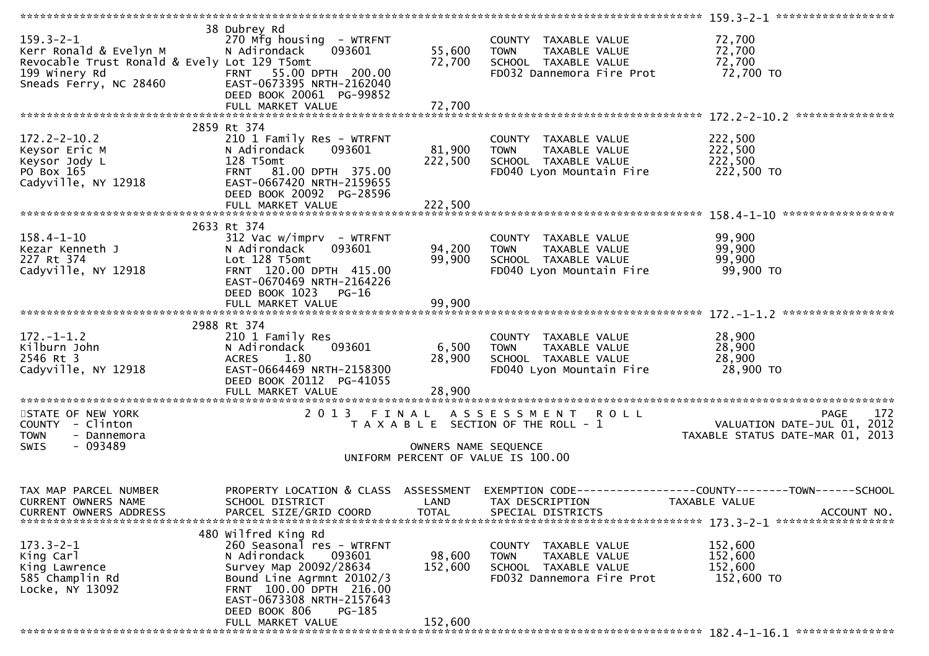| $159.3 - 2 - 1$<br>Kerr Ronald & Evelyn M<br>Revocable Trust Ronald & Evely Lot 129 T5omt<br>199 Winery Rd<br>Sneads Ferry, NC 28460 EAST-0673395 NRTH-2162040<br>199 Winery Rd | 38 Dubrey Rd<br>270 Mfg housing - WTRFNT<br>N Adirondack 093601<br>DEED BOOK 20061 PG-99852                                                                        | 55,600<br>72,700     | COUNTY TAXABLE VALUE<br><b>TOWN</b><br>TAXABLE VALUE<br>SCHOOL TAXABLE VALUE<br>FD032 Dannemora Fire Prot    | 72,700<br>72,700<br>72,700<br>72,700 TO                                                                                          |
|---------------------------------------------------------------------------------------------------------------------------------------------------------------------------------|--------------------------------------------------------------------------------------------------------------------------------------------------------------------|----------------------|--------------------------------------------------------------------------------------------------------------|----------------------------------------------------------------------------------------------------------------------------------|
| President Campion of Campionary<br>Keysor Eric Manus (National Keysor Jody L)<br>Po Box 165<br>Cadyville, NY 12918 EAST-06674                                                   | 2859 Rt 374<br>210 1 Family Res - WTRFNT<br>093601<br>N Adirondack<br>FRNT 81.00 DPTH 375.00<br>EAST-0667420 NRTH-2159655<br>DEED BOOK 20092 PG-28596              | 81,900<br>222,500    | COUNTY TAXABLE VALUE<br><b>TOWN</b><br>TAXABLE VALUE<br>SCHOOL TAXABLE VALUE<br>FD040 Lyon Mountain Fire     | 222,500<br>222,500<br>222,500<br>222,500 TO                                                                                      |
|                                                                                                                                                                                 |                                                                                                                                                                    |                      |                                                                                                              |                                                                                                                                  |
| $158.4 - 1 - 10$<br>Kezar Kenneth J<br>227 Rt 374<br>Cadyville, NY 12918                                                                                                        | 2633 Rt 374<br>$312$ Vac w/imprv - WTRFNT<br>N Adirondack<br>093601<br>Lot 128 T5omt<br>FRNT 120.00 DPTH 415.00<br>EAST-0670469 NRTH-2164226                       | 94,200<br>99,900     | COUNTY TAXABLE VALUE<br>TAXABLE VALUE<br><b>TOWN</b><br>SCHOOL TAXABLE VALUE<br>FD040 Lyon Mountain Fire     | 99,900<br>99,900<br>99,900<br>99,900 TO                                                                                          |
|                                                                                                                                                                                 | DEED BOOK 1023<br>PG-16                                                                                                                                            |                      |                                                                                                              |                                                                                                                                  |
| $172. - 1 - 1.2$<br>Kilburn John<br>2546 Rt 3<br>Cadyville, NY 12918                                                                                                            | 2988 Rt 374<br>210 1 Family Res<br>093601<br>N Adirondack<br>1.80<br><b>ACRES</b><br>EAST-0664469 NRTH-2158300<br>DEED BOOK 20112 PG-41055                         | 6,500<br>28,900      | COUNTY TAXABLE VALUE<br><b>TOWN</b><br>TAXABLE VALUE<br>SCHOOL TAXABLE VALUE<br>FD040 Lyon Mountain Fire     | 28,900<br>28,900<br>28,900<br>28,900 TO                                                                                          |
|                                                                                                                                                                                 |                                                                                                                                                                    |                      |                                                                                                              |                                                                                                                                  |
| STATE OF NEW YORK<br>COUNTY - Clinton<br>- Dannemora<br><b>TOWN</b><br>$-093489$<br><b>SWIS</b>                                                                                 | 2 0 1 3                                                                                                                                                            | OWNERS NAME SEQUENCE | FINAL ASSESSMENT ROLL<br>T A X A B L E SECTION OF THE ROLL - 1<br>UNIFORM PERCENT OF VALUE IS 100.00         | 172<br><b>PAGE</b><br>VALUATION DATE-JUL 01, 2012<br>TAXABLE STATUS DATE-MAR 01, 2013                                            |
|                                                                                                                                                                                 |                                                                                                                                                                    |                      |                                                                                                              |                                                                                                                                  |
| TAX MAP PARCEL NUMBER<br><b>CURRENT OWNERS NAME</b><br>CURRENT OWNERS ADDRESS                                                                                                   | SCHOOL DISTRICT<br>PARCEL SIZE/GRID COORD                                                                                                                          | LAND<br><b>TOTAL</b> | TAX DESCRIPTION<br>SPECIAL DISTRICTS                                                                         | PROPERTY LOCATION & CLASS ASSESSMENT EXEMPTION CODE----------------COUNTY-------TOWN------SCHOOL<br>TAXABLE VALUE<br>ACCOUNT NO. |
|                                                                                                                                                                                 | 480 wilfred King Rd                                                                                                                                                |                      |                                                                                                              |                                                                                                                                  |
| $173.3 - 2 - 1$<br>King Carl<br>King Lawrence<br>585 Champlin Rd<br>Locke, NY 13092                                                                                             | 260 Seasonal res - WTRFNT<br>N Adirondack<br>093601<br>Survey Map 20092/28634<br>Bound Line Agrmnt 20102/3<br>FRNT 100.00 DPTH 216.00<br>EAST-0673308 NRTH-2157643 | 98,600<br>152,600    | TAXABLE VALUE<br>COUNTY<br><b>TOWN</b><br>TAXABLE VALUE<br>SCHOOL TAXABLE VALUE<br>FD032 Dannemora Fire Prot | 152,600<br>152,600<br>152,600<br>152,600 TO                                                                                      |
|                                                                                                                                                                                 | DEED BOOK 806<br>PG-185<br>FULL MARKET VALUE                                                                                                                       | 152,600              |                                                                                                              |                                                                                                                                  |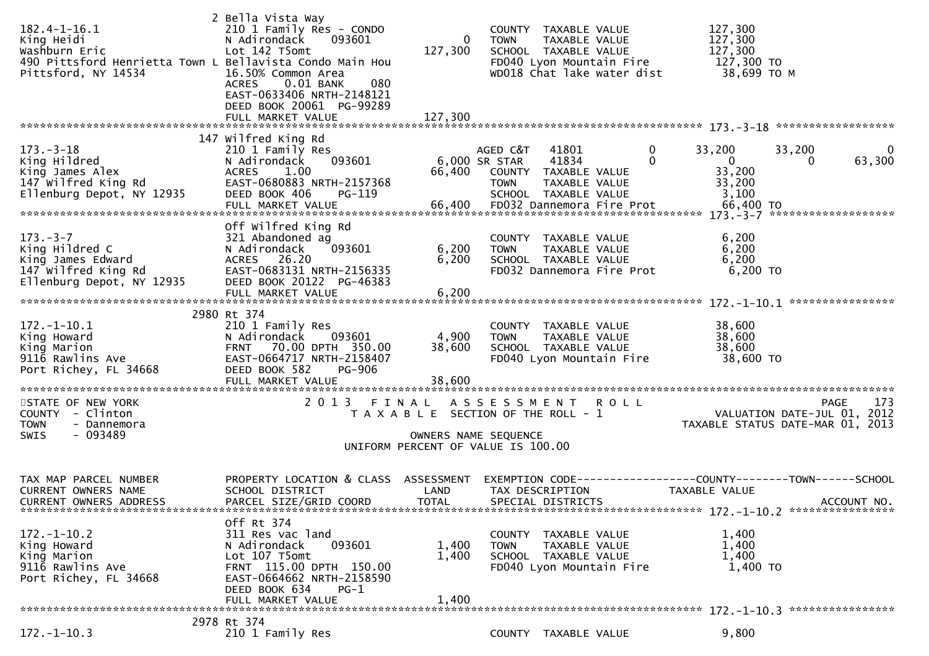| $182.4 - 1 - 16.1$<br>King Heidi<br>Washburn Eric<br>490 Pittsford Henrietta Town L Bellavista Condo Main Hou<br>Pittsford, NY 14534 | 2 Bella Vista Way<br>210 1 Family Res - CONDO<br>N Adirondack<br>093601<br>Lot 142 T5omt<br>16.50% Common Area<br>0.01 BANK<br><b>ACRES</b><br>080<br>EAST-0633406 NRTH-2148121<br>DEED BOOK 20061 PG-99289<br>FULL MARKET VALUE | 0<br>127,300<br>127,300            | COUNTY TAXABLE VALUE<br><b>TOWN</b><br>TAXABLE VALUE<br>SCHOOL TAXABLE VALUE<br>FD040 Lyon Mountain Fire<br>WD018 Chat lake water dist                                        | 127,300<br>127,300<br>127,300<br>127,300 TO<br>38,699 то м                                                 |
|--------------------------------------------------------------------------------------------------------------------------------------|----------------------------------------------------------------------------------------------------------------------------------------------------------------------------------------------------------------------------------|------------------------------------|-------------------------------------------------------------------------------------------------------------------------------------------------------------------------------|------------------------------------------------------------------------------------------------------------|
|                                                                                                                                      | 147 Wilfred King Rd                                                                                                                                                                                                              |                                    |                                                                                                                                                                               |                                                                                                            |
| $173. - 3 - 18$<br>King Hildred<br>King James Alex<br>147 wilfred King Rd<br>Ellenburg Depot, NY 12935                               | 210 1 Family Res<br>093601<br>N Adirondack<br>ACRES<br>1.00<br>EAST-0680883 NRTH-2157368<br>DEED BOOK 406<br>PG-119<br>FULL MARKET VALUE                                                                                         | 66,400<br>66,400                   | 41801<br>0<br>AGED C&T<br>41834<br>$\mathbf{0}$<br>6,000 SR STAR<br>COUNTY TAXABLE VALUE<br><b>TOWN</b><br>TAXABLE VALUE<br>SCHOOL TAXABLE VALUE<br>FD032 Dannemora Fire Prot | 33,200<br>33,200<br>0<br>$\overline{0}$<br>63,300<br>$\Omega$<br>33,200<br>33,200<br>3,100<br>66,400 TO    |
|                                                                                                                                      | Off wilfred King Rd                                                                                                                                                                                                              |                                    |                                                                                                                                                                               |                                                                                                            |
| $173. - 3 - 7$<br>King Hildred C<br>King James Edward<br>147 Wilfred King Rd<br>Ellenburg Depot, NY 12935                            | 321 Abandoned ag<br>N Adirondack<br>093601<br>ACRES 26.20<br>EAST-0683131 NRTH-2156335<br>DEED BOOK 20122 PG-46383                                                                                                               | 6,200<br>6,200                     | COUNTY TAXABLE VALUE<br><b>TOWN</b><br>TAXABLE VALUE<br>SCHOOL TAXABLE VALUE<br>FD032 Dannemora Fire Prot                                                                     | 6,200<br>6,200<br>6,200<br>6,200 TO                                                                        |
|                                                                                                                                      | FULL MARKET VALUE                                                                                                                                                                                                                | 6,200                              |                                                                                                                                                                               |                                                                                                            |
|                                                                                                                                      |                                                                                                                                                                                                                                  |                                    |                                                                                                                                                                               |                                                                                                            |
| $172. - 1 - 10.1$<br>King Howard<br>King Marion<br>9116 Rawlins Ave<br>Port Richey, FL 34668                                         | 2980 Rt 374<br>210 1 Family Res<br>N Adirondack<br>093601<br>FRNT 70.00 DPTH 350.00<br>EAST-0664717 NRTH-2158407<br>DEED BOOK 582<br>PG-906<br>FULL MARKET VALUE                                                                 | 4,900<br>38,600<br>38,600          | COUNTY TAXABLE VALUE<br>TAXABLE VALUE<br><b>TOWN</b><br>SCHOOL TAXABLE VALUE<br>FD040 Lyon Mountain Fire                                                                      | 38,600<br>38,600<br>38,600<br>38,600 TO                                                                    |
| STATE OF NEW YORK                                                                                                                    | 2013 FINAL                                                                                                                                                                                                                       |                                    | ASSESSMENT ROLL                                                                                                                                                               | PAGE<br>173                                                                                                |
| COUNTY - Clinton<br><b>TOWN</b><br>- Dannemora                                                                                       |                                                                                                                                                                                                                                  |                                    | T A X A B L E SECTION OF THE ROLL - 1                                                                                                                                         | VALUATION DATE-JUL 01, 2012<br>TAXABLE STATUS DATE-MAR 01, 2013                                            |
| - 093489<br>SWIS                                                                                                                     |                                                                                                                                                                                                                                  |                                    | OWNERS NAME SEQUENCE<br>UNIFORM PERCENT OF VALUE IS 100.00                                                                                                                    |                                                                                                            |
|                                                                                                                                      |                                                                                                                                                                                                                                  |                                    |                                                                                                                                                                               |                                                                                                            |
| TAX MAP PARCEL NUMBER<br>CURRENT OWNERS NAME<br>CURRENT OWNERS ADDRESS                                                               | PROPERTY LOCATION & CLASS<br>SCHOOL DISTRICT<br>PARCEL SIZE/GRID COORD                                                                                                                                                           | ASSESSMENT<br>LAND<br><b>TOTAL</b> | TAX DESCRIPTION<br>SPECIAL DISTRICTS                                                                                                                                          | EXEMPTION        CODE-----------------COUNTY-------TOWN------SCHOOL<br><b>TAXABLE VALUE</b><br>ACCOUNT NO. |
|                                                                                                                                      | Off Rt 374                                                                                                                                                                                                                       |                                    |                                                                                                                                                                               |                                                                                                            |
| $172. - 1 - 10.2$<br>King Howard<br>King Marion<br>9116 Rawlins Ave<br>Port Richey, FL 34668                                         | 311 Res vac land<br>N Adirondack<br>093601<br>Lot 107 T5omt<br>FRNT 115.00 DPTH 150.00<br>EAST-0664662 NRTH-2158590<br>DEED BOOK 634<br>$PG-1$                                                                                   | 1,400<br>1,400                     | COUNTY TAXABLE VALUE<br>TAXABLE VALUE<br><b>TOWN</b><br>SCHOOL TAXABLE VALUE<br>FD040 Lyon Mountain Fire                                                                      | 1,400<br>1,400<br>1,400<br>1,400 TO                                                                        |
|                                                                                                                                      | FULL MARKET VALUE                                                                                                                                                                                                                | 1,400                              |                                                                                                                                                                               |                                                                                                            |
| $172. - 1 - 10.3$                                                                                                                    | 2978 Rt 374<br>210 1 Family Res                                                                                                                                                                                                  |                                    | COUNTY TAXABLE VALUE                                                                                                                                                          | 9,800                                                                                                      |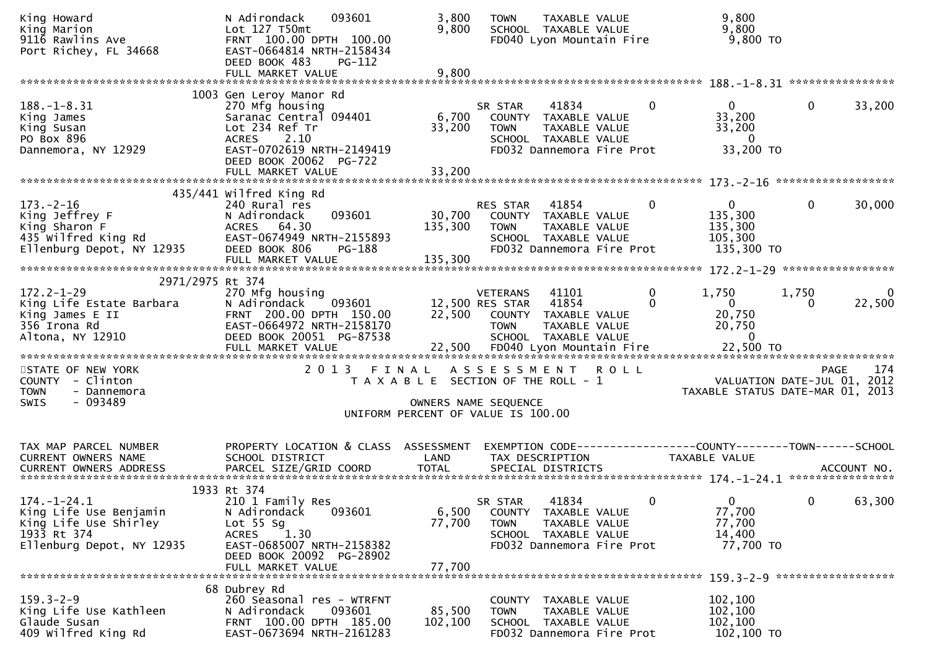| King Howard<br>King Marion<br>9116 Rawlins Ave<br>Port Richey, FL 34668                                                 | 093601<br>N Adirondack<br>Lot 127 T50mt<br>FRNT 100.00 DPTH 100.00<br>EAST-0664814 NRTH-2158434<br>DEED BOOK 483<br>PG-112                                                     | 3,800<br>9,800            | <b>TAXABLE VALUE</b><br><b>TOWN</b><br>SCHOOL TAXABLE VALUE<br>FD040 Lyon Mountain Fire                                                        | 9,800<br>9,800<br>9,800 TO                                                                 |
|-------------------------------------------------------------------------------------------------------------------------|--------------------------------------------------------------------------------------------------------------------------------------------------------------------------------|---------------------------|------------------------------------------------------------------------------------------------------------------------------------------------|--------------------------------------------------------------------------------------------|
|                                                                                                                         | FULL MARKET VALUE                                                                                                                                                              | 9,800                     |                                                                                                                                                |                                                                                            |
|                                                                                                                         | 1003 Gen Leroy Manor Rd                                                                                                                                                        |                           |                                                                                                                                                |                                                                                            |
| $188. - 1 - 8.31$<br>King James<br>King Susan<br>PO Box 896<br>Dannemora, NY 12929                                      | 270 Mfg housing<br>Saranac Central 094401<br>Lot 234 Ref Tr<br><b>ACRES</b><br>2.10<br>EAST-0702619 NRTH-2149419                                                               | 6,700<br>33,200           | SR STAR<br>41834<br>0<br>COUNTY TAXABLE VALUE<br>TAXABLE VALUE<br><b>TOWN</b><br>SCHOOL TAXABLE VALUE<br>FD032 Dannemora Fire Prot             | $\mathbf{0}$<br>33,200<br>0<br>33,200<br>33,200<br>0<br>33,200 TO                          |
|                                                                                                                         | DEED BOOK 20062 PG-722<br>FULL MARKET VALUE                                                                                                                                    | 33,200                    |                                                                                                                                                |                                                                                            |
|                                                                                                                         |                                                                                                                                                                                |                           |                                                                                                                                                |                                                                                            |
|                                                                                                                         | 435/441 wilfred King Rd                                                                                                                                                        |                           |                                                                                                                                                |                                                                                            |
| $173. - 2 - 16$<br>King Jeffrey F<br>King Sharon F<br>435 Wilfred King Rd<br>Ellenburg Depot, NY 12935                  | 240 Rural res<br>093601<br>N Adirondack<br>ACRES 64.30<br>EAST-0674949 NRTH-2155893<br>DEED BOOK 806<br><b>PG-188</b>                                                          | 30,700<br>135,300         | $\mathbf 0$<br>RES STAR<br>41854<br>COUNTY TAXABLE VALUE<br>TAXABLE VALUE<br><b>TOWN</b><br>SCHOOL TAXABLE VALUE<br>FD032 Dannemora Fire Prot  | $\mathbf{0}$<br>$\mathbf 0$<br>30,000<br>135,300<br>135,300<br>105,300<br>135,300 TO       |
|                                                                                                                         |                                                                                                                                                                                |                           |                                                                                                                                                |                                                                                            |
| 2971/2975 Rt 374<br>$172.2 - 1 - 29$<br>King Life Estate Barbara<br>King James E II<br>356 Irona Rd<br>Altona, NY 12910 | 270 Mfg housing<br>093601<br>N Adirondack<br>FRNT 200.00 DPTH 150.00<br>EAST-0664972 NRTH-2158170<br>DEED BOOK 20051 PG-87538                                                  | 22,500                    | 0<br><b>VETERANS</b><br>41101<br>41854<br>12,500 RES STAR<br>0<br>COUNTY TAXABLE VALUE<br>TAXABLE VALUE<br><b>TOWN</b><br>SCHOOL TAXABLE VALUE | 1,750<br>1,750<br>0<br>22,500<br>$\overline{0}$<br>0<br>20,750<br>20,750<br>$\overline{0}$ |
| STATE OF NEW YORK<br>COUNTY - Clinton<br><b>TOWN</b><br>- Dannemora<br>$-093489$<br><b>SWIS</b>                         | 2013 FINAL                                                                                                                                                                     |                           | A S S E S S M E N T<br><b>ROLL</b><br>T A X A B L E SECTION OF THE ROLL - 1<br>OWNERS NAME SEQUENCE<br>UNIFORM PERCENT OF VALUE IS 100.00      | 174<br><b>PAGE</b><br>VALUATION DATE-JUL 01, 2012<br>TAXABLE STATUS DATE-MAR 01, 2013      |
| TAX MAP PARCEL NUMBER<br>CURRENT OWNERS NAME                                                                            | PROPERTY LOCATION & CLASS ASSESSMENT<br>SCHOOL DISTRICT                                                                                                                        | LAND                      | TAX DESCRIPTION                                                                                                                                | EXEMPTION CODE-----------------COUNTY--------TOWN------SCHOOL<br>TAXABLE VALUE             |
|                                                                                                                         |                                                                                                                                                                                |                           |                                                                                                                                                |                                                                                            |
|                                                                                                                         |                                                                                                                                                                                |                           |                                                                                                                                                |                                                                                            |
| $174. - 1 - 24.1$<br>King Life Use Benjamin<br>King Life Use Shirley<br>1933 Rt 374<br>Ellenburg Depot, NY 12935        | 1933 Rt 374<br>210 1 Family Res<br>093601<br>N Adirondack<br>Lot $55$ Sg<br><b>ACRES</b><br>1.30<br>EAST-0685007 NRTH-2158382<br>DEED BOOK 20092 PG-28902<br>FULL MARKET VALUE | 6,500<br>77,700<br>77,700 | 0<br>41834<br>SR STAR<br>COUNTY TAXABLE VALUE<br><b>TOWN</b><br>TAXABLE VALUE<br>SCHOOL TAXABLE VALUE<br>FD032 Dannemora Fire Prot             | 0<br>$\mathbf 0$<br>63,300<br>77,700<br>77,700<br>14,400<br>77,700 TO                      |
|                                                                                                                         | 68 Dubrey Rd                                                                                                                                                                   |                           |                                                                                                                                                |                                                                                            |
| $159.3 - 2 - 9$<br>King Life Use Kathleen<br>Glaude Susan<br>409 Wilfred King Rd                                        | 260 Seasonal res - WTRFNT<br>N Adirondack<br>093601<br>FRNT 100.00 DPTH 185.00<br>EAST-0673694 NRTH-2161283                                                                    | 85,500<br>102,100         | COUNTY TAXABLE VALUE<br>TAXABLE VALUE<br><b>TOWN</b><br>SCHOOL TAXABLE VALUE<br>FD032 Dannemora Fire Prot                                      | 102,100<br>102,100<br>102,100<br>102,100 TO                                                |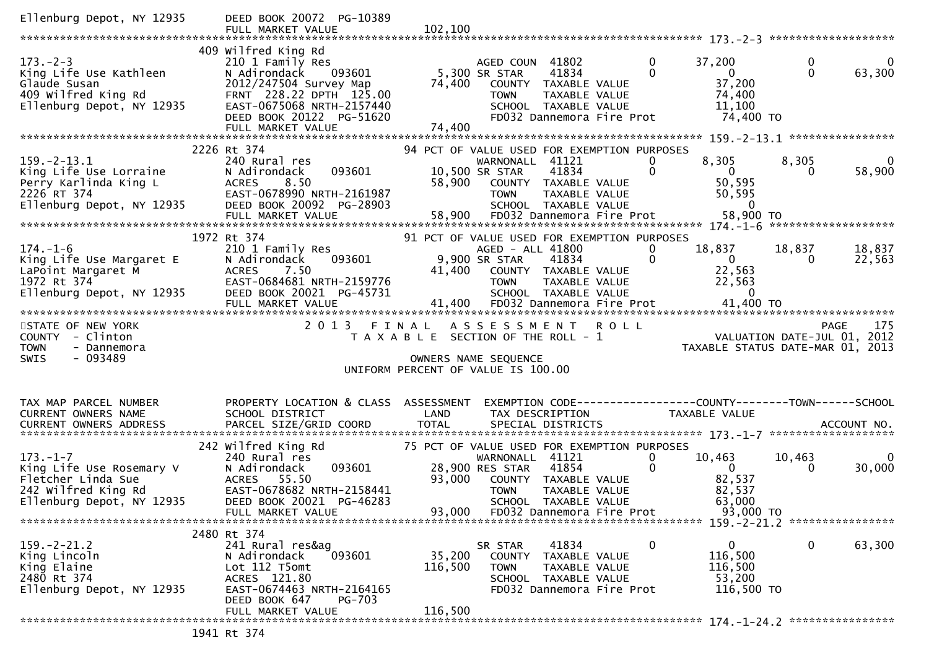| Ellenburg Depot, NY 12935                                                                                                          | DEED BOOK 20072 PG-10389                                                                                                                                                                             |                                    |                                                                                                                                                                                                         |                               |                                                                             |                    |                                    |
|------------------------------------------------------------------------------------------------------------------------------------|------------------------------------------------------------------------------------------------------------------------------------------------------------------------------------------------------|------------------------------------|---------------------------------------------------------------------------------------------------------------------------------------------------------------------------------------------------------|-------------------------------|-----------------------------------------------------------------------------|--------------------|------------------------------------|
| $173. - 2 - 3$<br>King Life Use Kathleen<br>Glaude Susan<br>409 wilfred King Rd<br>Ellenburg Depot, NY 12935                       | 409 Wilfred King Rd<br>210 1 Family Res<br>N Adirondack<br>093601<br>2012/247504 Survey Map<br>FRNT 228.22 DPTH 125.00<br>EAST-0675068 NRTH-2157440<br>DEED BOOK 20122 PG-51620<br>FULL MARKET VALUE | 74,400<br>74,400                   | AGED COUN 41802<br>5,300 SR STAR<br>41834<br>COUNTY TAXABLE VALUE<br><b>TOWN</b><br>TAXABLE VALUE<br>SCHOOL TAXABLE VALUE<br>FD032 Dannemora Fire Prot                                                  | $\mathbf{0}$<br>$\mathbf 0$   | 37,200<br>$\overline{0}$<br>37,200<br>74,400<br>11,100<br>74,400 TO         | 0<br>$\Omega$      | 0<br>63,300                        |
|                                                                                                                                    | 2226 Rt 374                                                                                                                                                                                          |                                    | 94 PCT OF VALUE USED FOR EXEMPTION PURPOSES                                                                                                                                                             |                               |                                                                             |                    |                                    |
| $159. - 2 - 13.1$<br>Example 11 Fe Use Lorrains<br>Perry Karlinda King L<br>2226 RT 374                                            | 240 Rural res<br>093601<br>N Adirondack<br>8.50<br><b>ACRES</b><br>EAST-0678990 NRTH-2161987<br>DEED BOOK 20092 PG-28903                                                                             |                                    | WARNONALL 41121<br>41834<br>10,500 SR STAR<br>58,900 COUNTY TAXABLE VALUE<br><b>TOWN</b><br>TAXABLE VALUE<br>SCHOOL TAXABLE VALUE                                                                       | 0<br>$\mathbf 0$              | 8,305<br>$\overline{0}$<br>50,595<br>50,595<br>$\Omega$                     | 8,305<br>0         | $\overline{\phantom{0}}$<br>58,900 |
|                                                                                                                                    |                                                                                                                                                                                                      |                                    |                                                                                                                                                                                                         |                               |                                                                             |                    |                                    |
|                                                                                                                                    | 1972 Rt 374                                                                                                                                                                                          |                                    | 91 PCT OF VALUE USED FOR EXEMPTION PURPOSES                                                                                                                                                             |                               |                                                                             |                    |                                    |
| 174.-1-6<br>King Life Use Margaret E<br>LaPoint Margaret M<br>1972 Rt 374<br>Ilaphurg Depot, NY 12935<br>Ellenburg Depot, NY 12935 | 210 1 Family Res<br>093601<br>N Adirondack<br>7.50<br>ACRES<br>EAST-0684681 NRTH-2159776<br>DEED BOOK 20021 PG-45731                                                                                 |                                    | AGED - ALL 41800<br>9,900 SR STAR<br>41834<br>41,400 COUNTY TAXABLE VALUE<br>TAXABLE VALUE<br><b>TOWN</b><br>SCHOOL TAXABLE VALUE                                                                       | 0<br>$\mathbf{0}$             | 18,837<br>$\overline{0}$<br>22,563<br>22,563<br>$\mathbf{0}$                | 18,837<br>$\Omega$ | 18,837<br>22,563                   |
|                                                                                                                                    |                                                                                                                                                                                                      |                                    |                                                                                                                                                                                                         |                               |                                                                             |                    |                                    |
| STATE OF NEW YORK<br>COUNTY - Clinton<br><b>TOWN</b><br>- Dannemora                                                                | 2013 FINAL                                                                                                                                                                                           |                                    | <b>ROLL</b><br>A S S E S S M E N T<br>T A X A B L E SECTION OF THE ROLL - 1                                                                                                                             |                               | PAGE 175<br>VALUATION DATE-JUL 01, 2012<br>TAXABLE STATUS DATE-MAR 01, 2013 |                    | 175<br><b>PAGE</b>                 |
| $-093489$<br><b>SWIS</b>                                                                                                           |                                                                                                                                                                                                      |                                    | OWNERS NAME SEQUENCE                                                                                                                                                                                    |                               |                                                                             |                    |                                    |
|                                                                                                                                    |                                                                                                                                                                                                      | UNIFORM PERCENT OF VALUE IS 100.00 |                                                                                                                                                                                                         |                               |                                                                             |                    |                                    |
| TAX MAP PARCEL NUMBER<br>CURRENT OWNERS NAME                                                                                       | PROPERTY LOCATION & CLASS ASSESSMENT<br>SCHOOL DISTRICT                                                                                                                                              | LAND                               | EXEMPTION CODE-----------------COUNTY--------TOWN------SCHOOL<br>TAX DESCRIPTION                                                                                                                        |                               | TAXABLE VALUE                                                               |                    |                                    |
|                                                                                                                                    | 242 Wilfred King Rd                                                                                                                                                                                  |                                    |                                                                                                                                                                                                         |                               |                                                                             |                    |                                    |
| $173. - 1 - 7$<br>King Life Use Rosemary V<br>Fletcher Linda Sue<br>242 Wilfred King Rd<br>Ellenburg Depot, NY 12935               | 240 Rural res<br>093601<br>N Adirondack<br>ACRES 55.50<br>EAST-0678682 NRTH-2158441<br>DEED BOOK 20021 PG-46283<br>FULL MARKET VALUE                                                                 | 93,000<br>93,000                   | 75 PCT OF VALUE USED FOR EXEMPTION PURPOSES<br>WARNONALL 41121<br>28,900 RES STAR<br>41854<br>COUNTY TAXABLE VALUE<br><b>TOWN</b><br>TAXABLE VALUE<br>SCHOOL TAXABLE VALUE<br>FD032 Dannemora Fire Prot | $\overline{0}$<br>$\mathbf 0$ | 10,463<br>- 0<br>82,537<br>82,537<br>63,000<br>93,000 TO                    | 10,463<br>$\Omega$ | $\Omega$<br>30,000                 |
|                                                                                                                                    |                                                                                                                                                                                                      |                                    |                                                                                                                                                                                                         |                               |                                                                             |                    |                                    |
| $159. - 2 - 21.2$<br>King Lincoln<br>King Elaine<br>2480 Rt 374<br>Ellenburg Depot, NY 12935                                       | 2480 Rt 374<br>241 Rural res&ag<br>093601<br>N Adirondack<br>Lot 112 T5omt<br>ACRES 121.80<br>EAST-0674463 NRTH-2164165<br>DEED BOOK 647<br><b>PG-703</b>                                            | 35,200<br>116,500                  | 41834<br>SR STAR<br><b>COUNTY</b><br>TAXABLE VALUE<br><b>TOWN</b><br>TAXABLE VALUE<br>SCHOOL TAXABLE VALUE<br>FD032 Dannemora Fire Prot                                                                 | 0                             | 0<br>116,500<br>116,500<br>53,200<br>116,500 TO                             | 0                  | 63,300                             |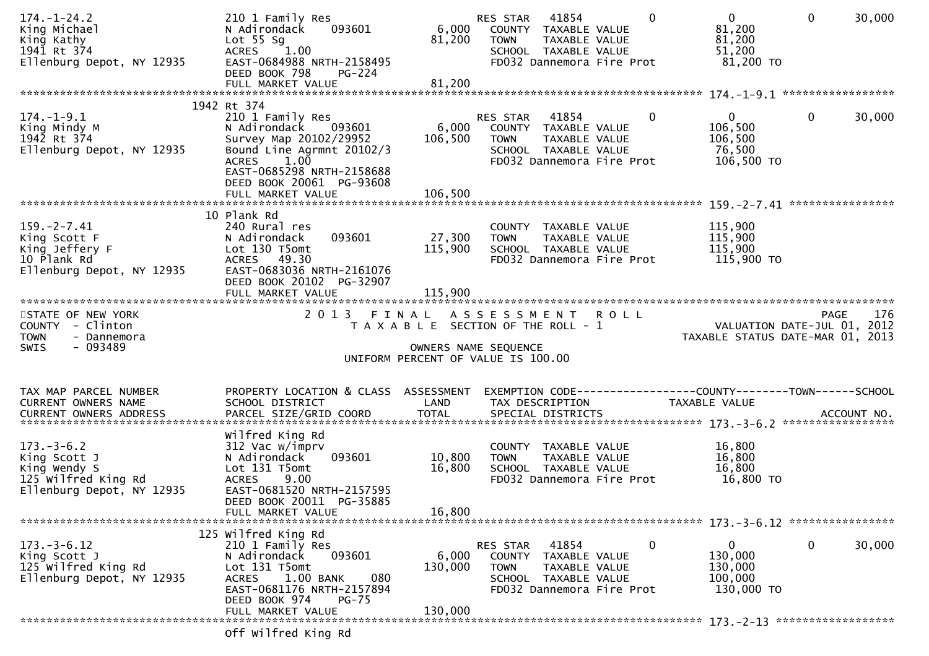| $174. - 1 - 24.2$<br>King Michael<br>King Kathy<br>1941 Rt 374<br>Ellenburg Depot, NY 12935          | 210 1 Family Res<br>093601<br>N Adirondack<br>Lot $55$ Sg<br>ACRES 1.00<br>EAST-0684988 NRTH-2158495<br>DEED BOOK 798<br><b>PG-224</b>                                                                                              | 6,000<br>81,200              | 41854<br>RES STAR<br>0<br>COUNTY TAXABLE VALUE<br><b>TOWN</b><br>TAXABLE VALUE<br>SCHOOL TAXABLE VALUE<br>FD032 Dannemora Fire Prot        | $\mathbf{0}$<br>81,200<br>81,200<br>51,200<br>81,200 TO         | 30,000<br>$\mathbf{0}$ |
|------------------------------------------------------------------------------------------------------|-------------------------------------------------------------------------------------------------------------------------------------------------------------------------------------------------------------------------------------|------------------------------|--------------------------------------------------------------------------------------------------------------------------------------------|-----------------------------------------------------------------|------------------------|
|                                                                                                      | FULL MARKET VALUE                                                                                                                                                                                                                   | 81,200                       |                                                                                                                                            |                                                                 |                        |
| $174. - 1 - 9.1$<br>King Mindy M<br>1942 Rt 374<br>Ellenburg Depot, NY 12935                         | 1942 Rt 374<br>210 1 Family Res<br>093601<br>N Adirondack<br>Survey Map 20102/29952<br>Bound Line Agrmnt 20102/3<br>$1.0\overline{0}$<br><b>ACRES</b><br>EAST-0685298 NRTH-2158688<br>DEED BOOK 20061 PG-93608<br>FULL MARKET VALUE | 6,000<br>106,500<br>106,500  | $\Omega$<br>RES STAR<br>41854<br>COUNTY TAXABLE VALUE<br><b>TOWN</b><br>TAXABLE VALUE<br>SCHOOL TAXABLE VALUE<br>FD032 Dannemora Fire Prot | $\overline{0}$<br>106,500<br>106,500<br>76,500<br>106,500 TO    | $\mathbf{0}$<br>30,000 |
| $159. - 2 - 7.41$<br>King Scott F<br>King Jeffery F<br>10 Plank Rd<br>Ellenburg Depot, NY 12935      | 10 Plank Rd<br>240 Rural res<br>093601<br>N Adirondack<br>Lot 130 T5omt<br>ACRES 49.30<br>EAST-0683036 NRTH-2161076<br>DEED BOOK 20102 PG-32907<br>FULL MARKET VALUE                                                                | 27,300<br>115,900<br>115,900 | COUNTY TAXABLE VALUE<br><b>TOWN</b><br>TAXABLE VALUE<br>SCHOOL TAXABLE VALUE<br>FD032 Dannemora Fire Prot                                  | 115,900<br>115,900<br>115,900<br>115,900 TO                     |                        |
| STATE OF NEW YORK<br>COUNTY - Clinton<br><b>TOWN</b><br>- Dannemora<br>$-093489$<br><b>SWIS</b>      | 2 0 1 3                                                                                                                                                                                                                             | FINAL                        | ASSESSMENT ROLL<br>T A X A B L E SECTION OF THE ROLL - 1<br>OWNERS NAME SEQUENCE<br>UNIFORM PERCENT OF VALUE IS 100.00                     | VALUATION DATE-JUL 01, 2012<br>TAXABLE STATUS DATE-MAR 01, 2013 | 176<br><b>PAGE</b>     |
| TAX MAP PARCEL NUMBER<br>CURRENT OWNERS NAME<br><b>CURRENT OWNERS ADDRESS</b>                        | PROPERTY LOCATION & CLASS ASSESSMENT<br>SCHOOL DISTRICT<br>PARCEL SIZE/GRID COORD                                                                                                                                                   | LAND<br><b>TOTAL</b>         | EXEMPTION CODE------------------COUNTY--------TOWN------SCHOOL<br>TAX DESCRIPTION<br>SPECIAL DISTRICTS                                     | TAXABLE VALUE                                                   | ACCOUNT NO.            |
| $173. - 3 - 6.2$<br>King Scott J<br>King Wendy S<br>125 Wilfred King Rd<br>Ellenburg Depot, NY 12935 | Wilfred King Rd<br>312 Vac w/imprv<br>093601<br>N Adirondack<br>Lot 131 T5omt<br><b>ACRES</b><br>9.00<br>EAST-0681520 NRTH-2157595<br>DEED BOOK 20011 PG-35885<br>FULL MARKET VALUE                                                 | 10,800<br>16,800<br>16,800   | COUNTY TAXABLE VALUE<br>TAXABLE VALUE<br><b>TOWN</b><br>SCHOOL TAXABLE VALUE<br>FD032 Dannemora Fire Prot                                  | 16,800<br>16,800<br>16,800<br>16,800 TO                         |                        |
| $173. - 3 - 6.12$<br>King Scott J<br>125 Wilfred King Rd<br>Ellenburg Depot, NY 12935                | 125 Wilfred King Rd<br>210 1 Family Res<br>N Adirondack<br>093601<br>Lot 131 T5omt<br>080<br><b>ACRES</b><br>1.00 BANK<br>EAST-0681176 NRTH-2157894<br>DEED BOOK 974<br>$PG-75$                                                     | 6,000<br>130,000             | 0<br>RES STAR<br>41854<br>COUNTY TAXABLE VALUE<br><b>TOWN</b><br>TAXABLE VALUE<br>SCHOOL TAXABLE VALUE<br>FD032 Dannemora Fire Prot        | $\mathbf{0}$<br>130,000<br>130,000<br>100,000<br>130,000 TO     | $\mathbf 0$<br>30,000  |
|                                                                                                      | FULL MARKET VALUE<br>Off Wilfred King Rd                                                                                                                                                                                            | 130,000                      |                                                                                                                                            |                                                                 |                        |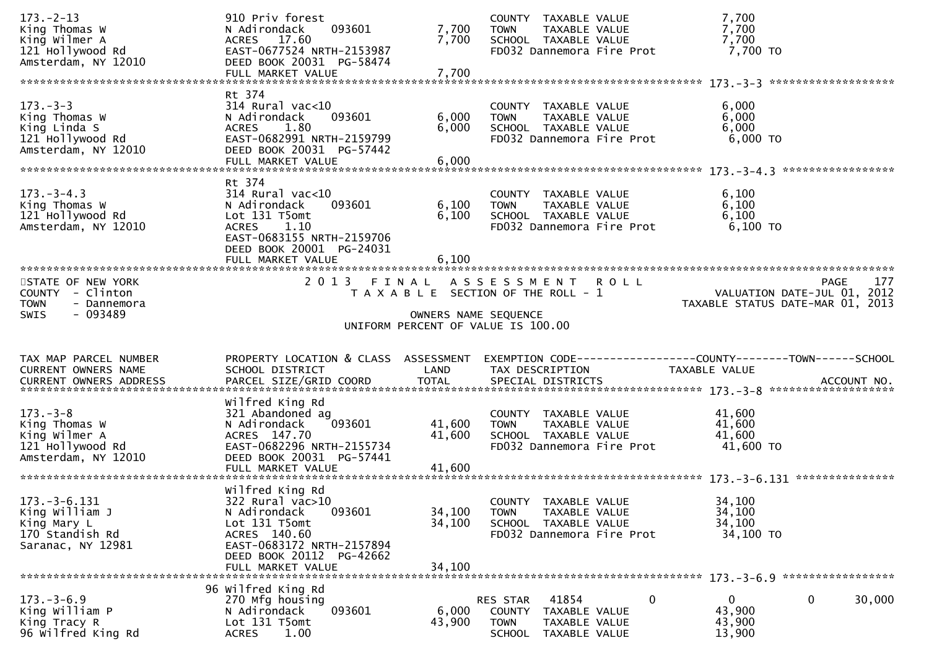| $173. - 2 - 13$                | 910 Priv forest                           |                      | COUNTY TAXABLE VALUE                                         | 7,700                            |                             |
|--------------------------------|-------------------------------------------|----------------------|--------------------------------------------------------------|----------------------------------|-----------------------------|
| King Thomas W                  | 093601<br>N Adirondack                    | 7,700                | TAXABLE VALUE<br><b>TOWN</b>                                 | 7,700                            |                             |
| King Wilmer A                  | ACRES 17.60                               | 7,700                | SCHOOL TAXABLE VALUE                                         | 7,700                            |                             |
| 121 Hollywood Rd               | EAST-0677524 NRTH-2153987                 |                      | FD032 Dannemora Fire Prot                                    | 7,700 TO                         |                             |
| Amsterdam, NY 12010            | DEED BOOK 20031 PG-58474                  |                      |                                                              |                                  |                             |
|                                | FULL MARKET VALUE                         | 7,700                |                                                              |                                  |                             |
|                                |                                           |                      |                                                              |                                  |                             |
|                                | Rt 374                                    |                      |                                                              |                                  |                             |
| $173. - 3 - 3$                 | $314$ Rural vac<10                        |                      | COUNTY TAXABLE VALUE                                         | 6,000                            |                             |
| King Thomas W                  | N Adirondack<br>093601                    | 6,000                | <b>TOWN</b><br>TAXABLE VALUE                                 | 6,000                            |                             |
| King Linda S                   | 1.80<br><b>ACRES</b>                      | 6,000                | SCHOOL TAXABLE VALUE                                         | 6,000                            |                             |
| 121 Hollywood Rd               | EAST-0682991 NRTH-2159799                 |                      | FD032 Dannemora Fire Prot                                    | 6,000 TO                         |                             |
| Amsterdam, NY 12010            | DEED BOOK 20031 PG-57442                  |                      |                                                              |                                  |                             |
|                                | FULL MARKET VALUE                         | 6,000                |                                                              |                                  |                             |
|                                |                                           |                      |                                                              |                                  |                             |
|                                | Rt 374                                    |                      |                                                              |                                  |                             |
| $173. - 3 - 4.3$               | $314$ Rural vac<10                        |                      | COUNTY TAXABLE VALUE                                         | 6,100                            |                             |
| King Thomas W                  | N Adirondack<br>093601                    | 6,100                | TAXABLE VALUE<br><b>TOWN</b>                                 | 6,100                            |                             |
| 121 Hollywood Rd               | Lot 131 T5omt                             | 6,100                | SCHOOL TAXABLE VALUE                                         | 6,100                            |                             |
| Amsterdam, NY 12010            | <b>ACRES</b><br>1.10                      |                      | FD032 Dannemora Fire Prot                                    | $6,100$ TO                       |                             |
|                                | EAST-0683155 NRTH-2159706                 |                      |                                                              |                                  |                             |
|                                | DEED BOOK 20001 PG-24031                  |                      |                                                              |                                  |                             |
|                                | FULL MARKET VALUE                         | 6,100                |                                                              |                                  |                             |
|                                |                                           |                      |                                                              |                                  |                             |
| STATE OF NEW YORK              |                                           |                      | 2013 FINAL ASSESSMENT ROLL                                   |                                  | 177<br>PAGE                 |
| COUNTY - Clinton               |                                           |                      | T A X A B L E SECTION OF THE ROLL - 1                        |                                  | VALUATION DATE-JUL 01, 2012 |
| - Dannemora<br><b>TOWN</b>     |                                           |                      |                                                              | TAXABLE STATUS DATE-MAR 01, 2013 |                             |
| - 093489<br><b>SWIS</b>        |                                           | OWNERS NAME SEQUENCE |                                                              |                                  |                             |
|                                |                                           |                      |                                                              |                                  |                             |
|                                |                                           |                      | UNIFORM PERCENT OF VALUE IS 100.00                           |                                  |                             |
|                                |                                           |                      |                                                              |                                  |                             |
|                                |                                           |                      |                                                              |                                  |                             |
| TAX MAP PARCEL NUMBER          | PROPERTY LOCATION & CLASS ASSESSMENT      |                      | EXEMPTION CODE-----------------COUNTY-------TOWN------SCHOOL |                                  |                             |
| <b>CURRENT OWNERS NAME</b>     | SCHOOL DISTRICT                           | LAND                 | TAX DESCRIPTION                                              | <b>TAXABLE VALUE</b>             |                             |
|                                |                                           |                      |                                                              |                                  |                             |
|                                |                                           |                      |                                                              |                                  |                             |
|                                | Wilfred King Rd                           |                      |                                                              |                                  |                             |
| $173. - 3 - 8$                 | 321 Abandoned ag                          |                      | COUNTY TAXABLE VALUE                                         | 41,600                           |                             |
| King Thomas W                  | 093601<br>N Adirondack                    | 41,600               | <b>TOWN</b><br>TAXABLE VALUE                                 | 41,600                           |                             |
| King Wilmer A                  | ACRES 147.70                              | 41,600               | SCHOOL TAXABLE VALUE                                         | 41,600                           |                             |
| 121 Hollywood Rd               | EAST-0682296 NRTH-2155734                 |                      | FD032 Dannemora Fire Prot                                    | $41,600$ TO                      |                             |
| Amsterdam, NY 12010            | DEED BOOK 20031 PG-57441                  |                      |                                                              |                                  |                             |
|                                | FULL MARKET VALUE                         | 41,600               |                                                              |                                  |                             |
|                                |                                           |                      |                                                              |                                  |                             |
|                                | Wilfred King Rd                           |                      |                                                              |                                  |                             |
| $173. - 3 - 6.131$             | 322 Rural vac>10                          |                      | COUNTY TAXABLE VALUE                                         | 34,100                           |                             |
| King William J                 | 093601<br>N Adirondack                    | 34,100               | <b>TOWN</b><br>TAXABLE VALUE                                 | 34,100                           |                             |
| King Mary L                    | Lot 131 T5omt                             | 34,100               | SCHOOL TAXABLE VALUE                                         | 34,100                           |                             |
| 170 Standish Rd                | ACRES 140.60                              |                      | FD032 Dannemora Fire Prot                                    | 34,100 TO                        |                             |
| Saranac, NY 12981              | EAST-0683172 NRTH-2157894                 |                      |                                                              |                                  |                             |
|                                | DEED BOOK 20112 PG-42662                  |                      |                                                              |                                  |                             |
|                                | FULL MARKET VALUE                         | 34,100               |                                                              |                                  |                             |
|                                |                                           |                      |                                                              |                                  |                             |
| $173. - 3 - 6.9$               | 96 Wilfred King Rd                        |                      | 41854<br>RES STAR                                            | 0<br>$\mathbf{0}$                | 0<br>30,000                 |
|                                | 270 Mfg housing<br>093601<br>N Adirondack | 6,000                | <b>COUNTY</b><br>TAXABLE VALUE                               | 43,900                           |                             |
| King William P<br>King Tracy R | Lot 131 T5omt                             | 43,900               | <b>TOWN</b><br>TAXABLE VALUE                                 |                                  |                             |
| 96 wilfred King Rd             | 1.00<br><b>ACRES</b>                      |                      | <b>SCHOOL</b><br>TAXABLE VALUE                               | 43,900<br>13,900                 |                             |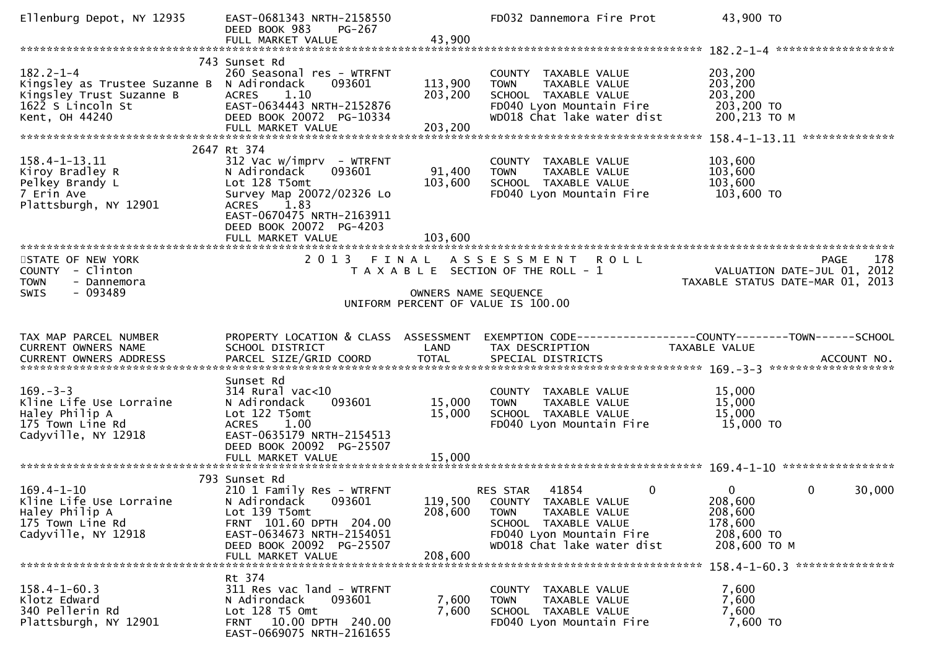| Ellenburg Depot, NY 12935                                                                                           | EAST-0681343 NRTH-2158550<br>DEED BOOK 983<br>PG-267<br>FULL MARKET VALUE                                                                                                                        | 43,900                       | FD032 Dannemora Fire Prot                                                                                                                                                  | 43,900 TO                                                                        |        |
|---------------------------------------------------------------------------------------------------------------------|--------------------------------------------------------------------------------------------------------------------------------------------------------------------------------------------------|------------------------------|----------------------------------------------------------------------------------------------------------------------------------------------------------------------------|----------------------------------------------------------------------------------|--------|
|                                                                                                                     |                                                                                                                                                                                                  |                              |                                                                                                                                                                            |                                                                                  |        |
| $182.2 - 1 - 4$<br>Kingsley as Trustee Suzanne B<br>Kingsley Trust Suzanne B<br>1622 S Lincoln St<br>Kent, OH 44240 | 743 Sunset Rd<br>260 Seasonal res - WTRFNT<br>N Adirondack<br>093601<br><b>ACRES</b><br>1.10<br>EAST-0634443 NRTH-2152876<br>DEED BOOK 20072 PG-10334                                            | 113,900<br>203,200           | COUNTY TAXABLE VALUE<br>TAXABLE VALUE<br><b>TOWN</b><br>SCHOOL TAXABLE VALUE<br>FD040 Lyon Mountain Fire<br>WD018 Chat lake water dist                                     | 203,200<br>203,200<br>203,200<br>203,200 TO<br>200,213 ТО М                      |        |
|                                                                                                                     | 2647 Rt 374                                                                                                                                                                                      |                              |                                                                                                                                                                            |                                                                                  |        |
| 158.4-1-13.11<br>Kiroy Bradley R<br>Pelkey Brandy L<br>7 Erin Ave<br>Plattsburgh, NY 12901                          | $312$ Vac w/imprv - WTRFNT<br>N Adirondack<br>093601<br>Lot 128 T5omt<br>Survey Map 20072/02326 Lo<br>1.83<br>ACRES<br>EAST-0670475 NRTH-2163911<br>DEED BOOK 20072 PG-4203<br>FULL MARKET VALUE | 91,400<br>103,600<br>103,600 | COUNTY TAXABLE VALUE<br>TAXABLE VALUE<br><b>TOWN</b><br>SCHOOL TAXABLE VALUE<br>FD040 Lyon Mountain Fire                                                                   | 103,600<br>103,600<br>103,600<br>103,600 TO                                      |        |
|                                                                                                                     |                                                                                                                                                                                                  |                              |                                                                                                                                                                            |                                                                                  |        |
| STATE OF NEW YORK<br>COUNTY - Clinton<br><b>TOWN</b><br>- Dannemora<br>$-093489$<br>SWIS                            | 2013 FINAL                                                                                                                                                                                       | OWNERS NAME SEQUENCE         | ASSESSMENT ROLL<br>T A X A B L E SECTION OF THE ROLL - 1<br>UNIFORM PERCENT OF VALUE IS 100.00                                                                             | <b>PAGE</b><br>VALUATION DATE-JUL 01, 2012<br>TAXABLE STATUS DATE-MAR 01, 2013   | 178    |
|                                                                                                                     |                                                                                                                                                                                                  |                              |                                                                                                                                                                            |                                                                                  |        |
| TAX MAP PARCEL NUMBER<br>CURRENT OWNERS NAME                                                                        | PROPERTY LOCATION & CLASS ASSESSMENT<br>SCHOOL DISTRICT                                                                                                                                          | LAND                         | EXEMPTION CODE-----------------COUNTY--------TOWN------SCHOOL<br>TAX DESCRIPTION                                                                                           | TAXABLE VALUE                                                                    |        |
| $169. - 3 - 3$<br>Kline Life Use Lorraine<br>Haley Philip A<br>175 Town Line Rd<br>Cadyville, NY 12918              | Sunset Rd<br>$314$ Rural vac<10<br>093601<br>N Adirondack<br>Lot 122 T5omt<br>ACRES 1.00<br>EAST-0635179 NRTH-2154513<br>DEED BOOK 20092 PG-25507<br>FULL MARKET VALUE                           | 15,000<br>15,000<br>15,000   | COUNTY TAXABLE VALUE<br><b>TOWN</b><br>TAXABLE VALUE<br>SCHOOL TAXABLE VALUE<br>FD040 Lyon Mountain Fire                                                                   | 15,000<br>15,000<br>15,000<br>15,000 TO                                          |        |
|                                                                                                                     |                                                                                                                                                                                                  |                              |                                                                                                                                                                            |                                                                                  |        |
| $169.4 - 1 - 10$<br>Kline Life Use Lorraine<br>Haley Philip A<br>175 Town Line Rd<br>Cadyville, NY 12918            | 793 Sunset Rd<br>210 1 Family Res - WTRFNT<br>N Adirondack<br>093601<br>Lot 139 T5omt<br>FRNT 101.60 DPTH 204.00<br>EAST-0634673 NRTH-2154051<br>DEED BOOK 20092 PG-25507                        | 119,500<br>208,600           | 41854<br>$\mathbf 0$<br>RES STAR<br>COUNTY TAXABLE VALUE<br>TAXABLE VALUE<br><b>TOWN</b><br>SCHOOL TAXABLE VALUE<br>FD040 Lyon Mountain Fire<br>WD018 Chat lake water dist | 0<br>$\mathbf{0}$<br>208,600<br>208,600<br>178,600<br>208,600 TO<br>208,600 ТО М | 30,000 |
|                                                                                                                     | FULL MARKET VALUE                                                                                                                                                                                | 208,600                      |                                                                                                                                                                            |                                                                                  |        |
| $158.4 - 1 - 60.3$<br>Klotz Edward<br>340 Pellerin Rd<br>Plattsburgh, NY 12901                                      | Rt 374<br>311 Res vac land - WTRFNT<br>N Adirondack<br>093601<br>Lot 128 T5 Omt<br>FRNT 10.00 DPTH 240.00<br>EAST-0669075 NRTH-2161655                                                           | 7,600<br>7,600               | COUNTY TAXABLE VALUE<br><b>TOWN</b><br>TAXABLE VALUE<br>SCHOOL TAXABLE VALUE<br>FD040 Lyon Mountain Fire                                                                   | 158.4-1-60.3 ****************<br>7,600<br>7,600<br>7,600<br>7,600 TO             |        |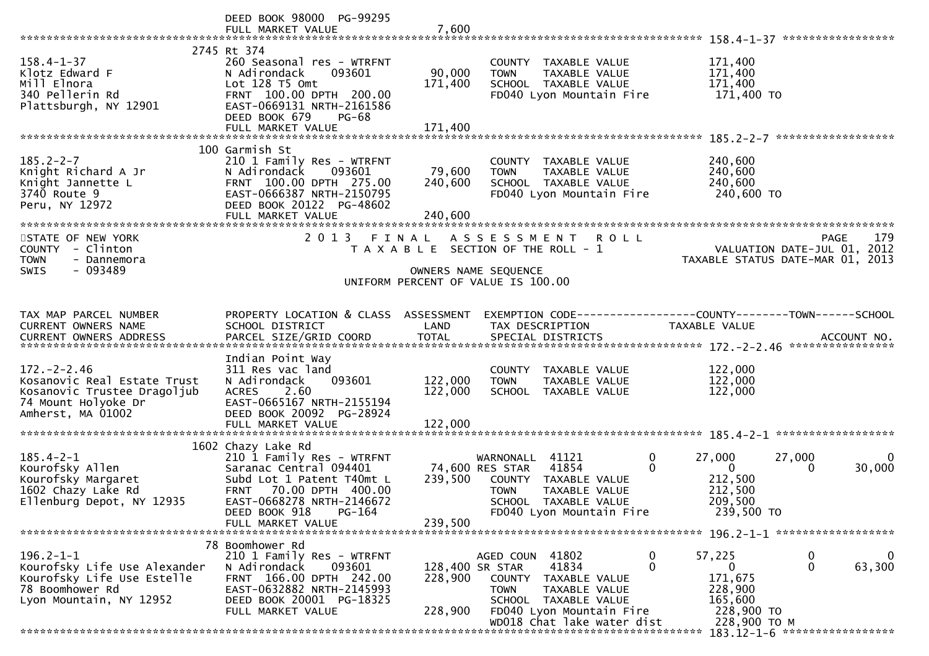|                                                                                                                             | DEED BOOK 98000 PG-99295                                                                                                                                                                                      |                                       |                                                                                                                                                                    |                                                                                    |                                                                                       |
|-----------------------------------------------------------------------------------------------------------------------------|---------------------------------------------------------------------------------------------------------------------------------------------------------------------------------------------------------------|---------------------------------------|--------------------------------------------------------------------------------------------------------------------------------------------------------------------|------------------------------------------------------------------------------------|---------------------------------------------------------------------------------------|
| $158.4 - 1 - 37$<br>Klotz Edward F<br>Mill Elnora<br>340 Pellerin Rd<br>Plattsburgh, NY 12901                               | 2745 Rt 374<br>260 Seasonal res - WTRFNT<br>N Adirondack<br>093601<br>Lot 128 T5 Omt<br>FRNT 100.00 DPTH 200.00<br>EAST-0669131 NRTH-2161586<br>DEED BOOK 679<br>$PG-68$                                      | 90,000<br>171,400                     | COUNTY TAXABLE VALUE<br>TAXABLE VALUE<br><b>TOWN</b><br>SCHOOL TAXABLE VALUE<br>FD040 Lyon Mountain Fire                                                           | 171,400<br>171,400<br>171,400<br>171,400 TO                                        |                                                                                       |
|                                                                                                                             |                                                                                                                                                                                                               |                                       |                                                                                                                                                                    |                                                                                    |                                                                                       |
| $185.2 - 2 - 7$<br>Knight Richard A Jr<br>Knight Jannette L<br>3740 Route 9<br>Peru, NY 12972                               | 100 Garmish St<br>210 1 Family Res - WTRFNT<br>N Adirondack<br>093601<br>FRNT 100.00 DPTH 275.00<br>EAST-0666387 NRTH-2150795<br>DEED BOOK 20122 PG-48602                                                     | 79,600<br>240,600                     | COUNTY TAXABLE VALUE<br>TAXABLE VALUE<br><b>TOWN</b><br>SCHOOL TAXABLE VALUE<br>FD040 Lyon Mountain Fire                                                           | 240,600<br>240,600<br>240,600<br>240,600 TO                                        |                                                                                       |
| STATE OF NEW YORK<br>COUNTY - Clinton<br><b>TOWN</b><br>- Dannemora                                                         |                                                                                                                                                                                                               |                                       | 2013 FINAL ASSESSMENT ROLL<br>T A X A B L E SECTION OF THE ROLL - 1                                                                                                |                                                                                    | 179<br><b>PAGE</b><br>VALUATION DATE-JUL 01, 2012<br>TAXABLE STATUS DATE-MAR 01, 2013 |
| - 093489<br><b>SWIS</b>                                                                                                     |                                                                                                                                                                                                               | OWNERS NAME SEQUENCE                  | UNIFORM PERCENT OF VALUE IS 100.00                                                                                                                                 |                                                                                    |                                                                                       |
| TAX MAP PARCEL NUMBER<br>CURRENT OWNERS NAME                                                                                | PROPERTY LOCATION & CLASS ASSESSMENT<br>SCHOOL DISTRICT                                                                                                                                                       | LAND                                  | EXEMPTION CODE------------------COUNTY--------TOWN------SCHOOL<br>TAX DESCRIPTION                                                                                  | <b>TAXABLE VALUE</b>                                                               |                                                                                       |
| $172 - 2 - 2.46$<br>Kosanovic Real Estate Trust<br>Kosanovic Trustee Dragoljub<br>74 Mount Holyoke Dr<br>Amherst, MA 01002  | Indian Point Way<br>311 Res vac land<br>093601<br>N Adirondack<br><b>ACRES</b><br>2.60<br>EAST-0665167 NRTH-2155194<br>DEED BOOK 20092 PG-28924                                                               | 122,000<br>122,000                    | COUNTY TAXABLE VALUE<br><b>TOWN</b><br>TAXABLE VALUE<br>SCHOOL TAXABLE VALUE                                                                                       | 122,000<br>122,000<br>122,000                                                      |                                                                                       |
|                                                                                                                             | FULL MARKET VALUE                                                                                                                                                                                             | 122,000                               |                                                                                                                                                                    |                                                                                    |                                                                                       |
| $185.4 - 2 - 1$<br>Kourofsky Allen<br>Kourofsky Margaret<br>1602 Chazy Lake Rd<br>Ellenburg Depot, NY 12935                 | 1602 Chazy Lake Rd<br>210 1 Family Res - WTRFNT<br>Saranac Central 094401<br>Subd Lot 1 Patent T40mt L<br>FRNT 70.00 DPTH 400.00<br>EAST-0668278 NRTH-2146672<br>PG-164<br>DEED BOOK 918<br>FULL MARKET VALUE | 74,600 RES STAR<br>239,500<br>239,500 | 41121<br>WARNONALL<br>41854<br>COUNTY TAXABLE VALUE<br><b>TOWN</b><br>TAXABLE VALUE<br>SCHOOL TAXABLE VALUE<br>FD040 Lyon Mountain Fire                            | 27,000<br>0<br>$\Omega$<br>$\Omega$<br>212,500<br>212,500<br>209,500<br>239,500 TO | 27,000<br>0<br>30,000                                                                 |
|                                                                                                                             |                                                                                                                                                                                                               |                                       |                                                                                                                                                                    |                                                                                    |                                                                                       |
| $196.2 - 1 - 1$<br>Kourofsky Life Use Alexander<br>Kourofsky Life Use Estelle<br>78 Boomhower Rd<br>Lyon Mountain, NY 12952 | 78 Boomhower Rd<br>210 1 Family Res - WTRFNT<br>093601<br>N Adirondack<br>FRNT 166.00 DPTH 242.00<br>EAST-0632882 NRTH-2145993<br>DEED BOOK 20001 PG-18325<br>FULL MARKET VALUE                               | 128,400 SR STAR<br>228,900<br>228,900 | AGED COUN 41802<br>41834<br>COUNTY TAXABLE VALUE<br>TAXABLE VALUE<br><b>TOWN</b><br>SCHOOL TAXABLE VALUE<br>FD040 Lyon Mountain Fire<br>WD018 Chat lake water dist | 57,225<br>0<br>0<br>171,675<br>228,900<br>165,600<br>228,900 TO<br>228,900 ТО М    | $\mathbf 0$<br>0<br>$\mathbf{0}$<br>63,300                                            |
|                                                                                                                             |                                                                                                                                                                                                               |                                       |                                                                                                                                                                    |                                                                                    |                                                                                       |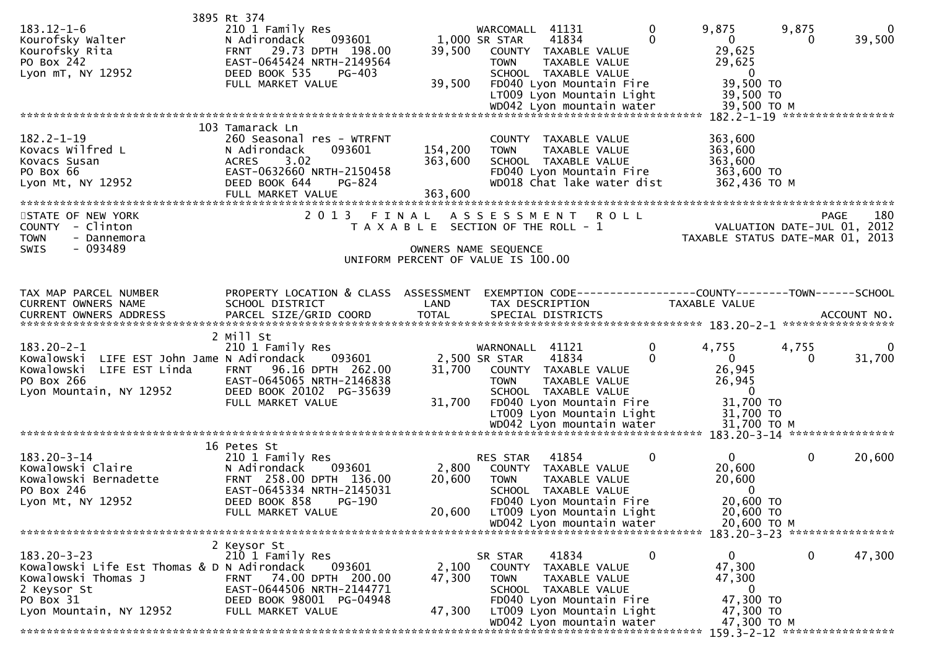| $183.12 - 1 - 6$<br>Kourofsky Walter<br>Kourofsky Rita<br>PO Box 242<br>Lyon mT, NY 12952                                                      | 3895 Rt 374<br>210 1 Family Res<br>093601<br>N Adirondack<br>29.73 DPTH 198.00<br><b>FRNT</b><br>EAST-0645424 NRTH-2149564<br>DEED BOOK 535<br>PG-403                              | 39,500                                                                                              | WARCOMALL<br>1,000 SR STAR<br><b>TOWN</b> | 41131<br>41834<br>COUNTY TAXABLE VALUE<br>TAXABLE VALUE<br>SCHOOL TAXABLE VALUE                                                                              | $\mathbf 0$<br>0 | 9,875<br>$\overline{0}$<br>29,625<br>29,625<br>$\overline{0}$                    | 9,875<br>0 | $\Omega$<br>39,500                                |
|------------------------------------------------------------------------------------------------------------------------------------------------|------------------------------------------------------------------------------------------------------------------------------------------------------------------------------------|-----------------------------------------------------------------------------------------------------|-------------------------------------------|--------------------------------------------------------------------------------------------------------------------------------------------------------------|------------------|----------------------------------------------------------------------------------|------------|---------------------------------------------------|
|                                                                                                                                                | FULL MARKET VALUE                                                                                                                                                                  | 39,500                                                                                              |                                           | FD040 Lyon Mountain Fire<br>LT009 Lyon Mountain Light<br>WD042 Lyon mountain water                                                                           |                  | 39,500 TO<br>39,500 TO<br>39,500 ТО М<br>182.2-1-19 ******************           |            |                                                   |
| $182.2 - 1 - 19$<br>Kovacs Wilfred L<br>Kovacs Susan<br>PO Box 66<br>Lyon Mt, NY 12952                                                         | 103 Tamarack Ln<br>260 Seasonal res - WTRFNT<br>093601<br>N Adirondack<br>3.02<br><b>ACRES</b><br>EAST-0632660 NRTH-2150458<br>DEED BOOK 644<br><b>PG-824</b><br>FULL MARKET VALUE | 154,200<br>363,600<br>363,600                                                                       | <b>TOWN</b>                               | COUNTY TAXABLE VALUE<br>TAXABLE VALUE<br>SCHOOL TAXABLE VALUE<br>FD040 Lyon Mountain Fire<br>WD018 Chat lake water dist                                      |                  | 363,600<br>363,600<br>363,600<br>363,600 TO<br>362,436 TO M                      |            |                                                   |
| STATE OF NEW YORK<br>COUNTY - Clinton<br><b>TOWN</b><br>- Dannemora<br>$-093489$<br>SWIS                                                       | 2 0 1 3<br>FINAL                                                                                                                                                                   | T A X A B L E SECTION OF THE ROLL - 1<br>OWNERS NAME SEQUENCE<br>UNIFORM PERCENT OF VALUE IS 100.00 | A S S E S S M E N T                       |                                                                                                                                                              | R O L L          | TAXABLE STATUS DATE-MAR 01, 2013                                                 |            | 180<br><b>PAGE</b><br>VALUATION DATE-JUL 01, 2012 |
| TAX MAP PARCEL NUMBER<br>CURRENT OWNERS NAME<br>CURRENT OWNERS ADDRESS                                                                         | PROPERTY LOCATION & CLASS ASSESSMENT<br>SCHOOL DISTRICT<br>PARCEL SIZE/GRID COORD                                                                                                  | LAND<br><b>TOTAL</b>                                                                                |                                           | TAX DESCRIPTION<br>SPECIAL DISTRICTS                                                                                                                         |                  | EXEMPTION CODE-----------------COUNTY-------TOWN------SCHOOL<br>TAXABLE VALUE    |            | ACCOUNT NO.                                       |
| $183.20 - 2 - 1$<br>Kowalowski LIFE EST John Jame N Adirondack<br>LIFE EST Linda<br>Kowalowski<br>PO Box 266<br>Lyon Mountain, NY 12952        | 2 Mill St<br>210 1 Family Res<br>093601<br>96.16 DPTH 262.00<br><b>FRNT</b><br>EAST-0645065 NRTH-2146838<br>DEED BOOK 20102 PG-35639<br>FULL MARKET VALUE                          | 31,700<br>31,700                                                                                    | WARNONALL<br>2,500 SR STAR<br><b>TOWN</b> | 41121<br>41834<br>COUNTY TAXABLE VALUE<br>TAXABLE VALUE<br>SCHOOL TAXABLE VALUE<br>FD040 Lyon Mountain Fire<br>LT009 Lyon Mountain Light                     | 0                | 4,755<br>$\Omega$<br>26,945<br>26,945<br>$\bf{0}$<br>31,700 TO<br>31,700 TO      | 4,755<br>0 | $\Omega$<br>31,700                                |
|                                                                                                                                                |                                                                                                                                                                                    |                                                                                                     |                                           |                                                                                                                                                              |                  |                                                                                  |            |                                                   |
| $183.20 - 3 - 14$<br>Kowalowski Claire<br>Kowalowski Bernadette<br>PO Box 246<br>Lyon Mt, NY 12952                                             | 16 Petes St<br>210 1 Family Res<br>N Adirondack<br>093601<br>FRNT 258.00 DPTH 136.00<br>EAST-0645334 NRTH-2145031<br>DEED BOOK 858 PG-190<br>FULL MARKET VALUE                     | 2,800<br>20,600<br>20,600                                                                           | <b>RES STAR</b><br><b>TOWN</b>            | 41854<br>COUNTY TAXABLE VALUE<br>TAXABLE VALUE<br>SCHOOL TAXABLE VALUE<br>FD040 Lyon Mountain Fire<br>LT009 Lyon Mountain Light                              | 0                | $\mathbf{0}$<br>20,600<br>20,600<br>$\mathbf{0}$<br>20,600 TO<br>20,600 TO       | 0          | 20,600                                            |
|                                                                                                                                                |                                                                                                                                                                                    |                                                                                                     |                                           | WD042 Lyon mountain water                                                                                                                                    |                  | 20,600 ТО М                                                                      |            |                                                   |
| $183.20 - 3 - 23$<br>Kowalowski Life Est Thomas & D N Adirondack<br>Kowalowski Thomas J<br>2 Keysor St<br>PO Box 31<br>Lyon Mountain, NY 12952 | 2 Keysor St<br>210 1 Family Res<br>093601<br>FRNT 74.00 DPTH 200.00<br>EAST-0644506 NRTH-2144771<br>DEED BOOK 98001 PG-04948<br>FULL MARKET VALUE                                  | 2,100<br>47,300<br>47,300                                                                           | SR STAR<br><b>TOWN</b>                    | 41834<br>COUNTY TAXABLE VALUE<br>TAXABLE VALUE<br>SCHOOL TAXABLE VALUE<br>FD040 Lyon Mountain Fire<br>LT009 Lyon Mountain Light<br>WD042 Lyon mountain water | 0                | 0<br>47,300<br>47,300<br>$\overline{0}$<br>47,300 TO<br>47,300 TO<br>47,300 TO M | 0          | 47,300                                            |
|                                                                                                                                                |                                                                                                                                                                                    |                                                                                                     |                                           |                                                                                                                                                              |                  |                                                                                  |            |                                                   |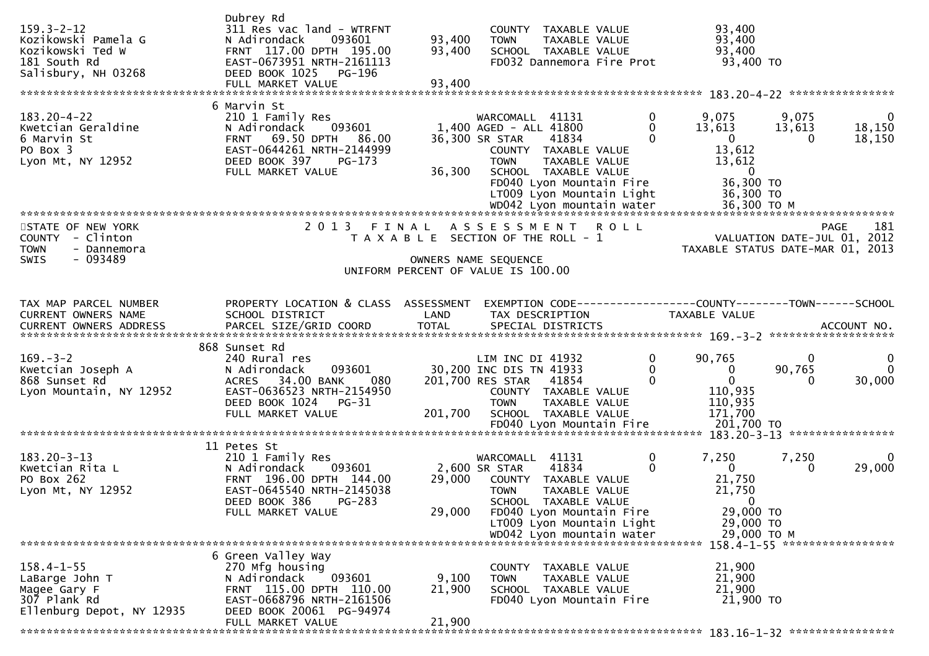| $159.3 - 2 - 12$<br>Kozikowski Pamela G<br>Kozikowski Ted W<br>181 South Rd<br>Salisbury, NH 03268 | Dubrey Rd<br>311 Res vac land - WTRFNT<br>N Adirondack<br>093601<br>FRNT 117.00 DPTH 195.00<br>EAST-0673951 NRTH-2161113<br>DEED BOOK 1025<br>PG-196<br>FULL MARKET VALUE  | 93,400<br>93,400<br>93,400 | COUNTY TAXABLE VALUE<br>TAXABLE VALUE<br><b>TOWN</b><br>SCHOOL TAXABLE VALUE<br>FD032 Dannemora Fire Prot                                                                                                     |                                  | 93,400<br>93,400<br>93,400<br>93,400 TO                                                         |                                     |                                  |
|----------------------------------------------------------------------------------------------------|----------------------------------------------------------------------------------------------------------------------------------------------------------------------------|----------------------------|---------------------------------------------------------------------------------------------------------------------------------------------------------------------------------------------------------------|----------------------------------|-------------------------------------------------------------------------------------------------|-------------------------------------|----------------------------------|
| $183.20 - 4 - 22$<br>Kwetcian Geraldine<br>6 Marvin St<br>PO Box 3<br>Lyon Mt, NY 12952            | 6 Marvin St<br>210 1 Family Res<br>N Adirondack<br>093601<br>FRNT 69.50 DPTH<br>86.00<br>EAST-0644261 NRTH-2144999<br>DEED BOOK 397<br>PG-173<br>FULL MARKET VALUE         | 36,300                     | WARCOMALL 41131<br>1,400 AGED - ALL 41800<br>36,300 SR STAR<br>41834<br>COUNTY TAXABLE VALUE<br><b>TOWN</b><br>TAXABLE VALUE<br>SCHOOL TAXABLE VALUE<br>FD040 Lyon Mountain Fire<br>LT009 Lyon Mountain Light | 0<br>$\Omega$<br>$\Omega$        | 9,075<br>13,613<br>$\mathbf{0}$<br>13,612<br>13,612<br>$\overline{0}$<br>36,300 TO<br>36,300 TO | 9,075<br>13,613<br>0                | $\mathbf{0}$<br>18,150<br>18,150 |
| STATE OF NEW YORK<br>COUNTY - Clinton<br><b>TOWN</b><br>- Dannemora<br>$-093489$<br>SWIS           | 2 0 1 3<br>FINAL                                                                                                                                                           |                            | A S S E S S M E N T<br><b>ROLL</b><br>T A X A B L E SECTION OF THE ROLL - 1<br>OWNERS NAME SEQUENCE<br>UNIFORM PERCENT OF VALUE IS 100.00                                                                     |                                  | TAXABLE STATUS DATE-MAR 01, 2013                                                                | PAGE<br>VALUATION DATE-JUL 01, 2012 | 181                              |
| TAX MAP PARCEL NUMBER<br>CURRENT OWNERS NAME<br>CURRENT OWNERS ADDRESS                             | PROPERTY LOCATION & CLASS ASSESSMENT<br>SCHOOL DISTRICT<br>PARCEL SIZE/GRID COORD                                                                                          | LAND<br><b>TOTAL</b>       | EXEMPTION CODE-----------------COUNTY-------TOWN------SCHOOL<br>TAX DESCRIPTION<br>SPECIAL DISTRICTS                                                                                                          |                                  | TAXABLE VALUE                                                                                   |                                     | ACCOUNT NO.                      |
| $169. - 3 - 2$<br>Kwetcian Joseph A<br>868 Sunset Rd<br>Lyon Mountain, NY 12952                    | 868 Sunset Rd<br>240 Rural res<br>093601<br>N Adirondack<br>34.00 BANK<br>080<br><b>ACRES</b><br>EAST-0636523 NRTH-2154950<br>DEED BOOK 1024<br>PG-31<br>FULL MARKET VALUE | 201,700                    | LIM INC DI 41932<br>30,200 INC DIS TN 41933<br>201,700 RES STAR<br>41854<br>COUNTY TAXABLE VALUE<br>TAXABLE VALUE<br><b>TOWN</b><br>SCHOOL TAXABLE VALUE                                                      | 0<br>$\mathbf{0}$<br>$\mathbf 0$ | 90,765<br>$\bf{0}$<br>$\mathbf{0}$<br>110,935<br>110,935<br>171,700                             | $\mathbf{0}$<br>90,765<br>0         | 0<br>$\Omega$<br>30,000          |
|                                                                                                    |                                                                                                                                                                            |                            |                                                                                                                                                                                                               |                                  |                                                                                                 |                                     |                                  |
| $183.20 - 3 - 13$<br>Kwetcian Rita L<br>PO Box 262<br>Lyon Mt, NY 12952                            | 11 Petes St<br>210 1 Family Res<br>093601<br>N Adirondack<br>FRNT 196.00 DPTH 144.00<br>EAST-0645540 NRTH-2145038<br>DEED BOOK 386 PG-283<br>FULL MARKET VALUE             | 29,000<br>29,000           | WARCOMALL<br>41131<br>2,600 SR STAR<br>41834<br>COUNTY TAXABLE VALUE<br><b>TOWN</b><br>TAXABLE VALUE<br>SCHOOL TAXABLE VALUE<br>FD040 Lyon Mountain Fire                                                      | 0<br>$\Omega$                    | 7,250<br>$\mathbf{0}$<br>21,750<br>21,750<br>$\overline{0}$<br>29,000 TO                        | 7,250<br>0                          | $\mathbf{0}$<br>29,000           |
|                                                                                                    |                                                                                                                                                                            |                            | LT009 Lyon Mountain Light<br>WD042 Lyon mountain water                                                                                                                                                        |                                  | 29,000 TO<br>29,000 ТО М                                                                        |                                     |                                  |
|                                                                                                    |                                                                                                                                                                            |                            |                                                                                                                                                                                                               |                                  | 158.4-1-55 ******************                                                                   |                                     |                                  |
| $158.4 - 1 - 55$<br>LaBarge John T<br>Magee Gary F<br>307 Plank Rd<br>Ellenburg Depot, NY 12935    | 6 Green Valley Way<br>270 Mfg housing<br>N Adirondack<br>093601<br>FRNT 115.00 DPTH 110.00<br>EAST-0668796 NRTH-2161506<br>DEED BOOK 20061 PG-94974<br>FULL MARKET VALUE   | 9,100<br>21,900<br>21,900  | COUNTY TAXABLE VALUE<br>TAXABLE VALUE<br><b>TOWN</b><br>SCHOOL TAXABLE VALUE<br>FD040 Lyon Mountain Fire                                                                                                      |                                  | 21,900<br>21,900<br>21,900<br>21,900 TO                                                         |                                     |                                  |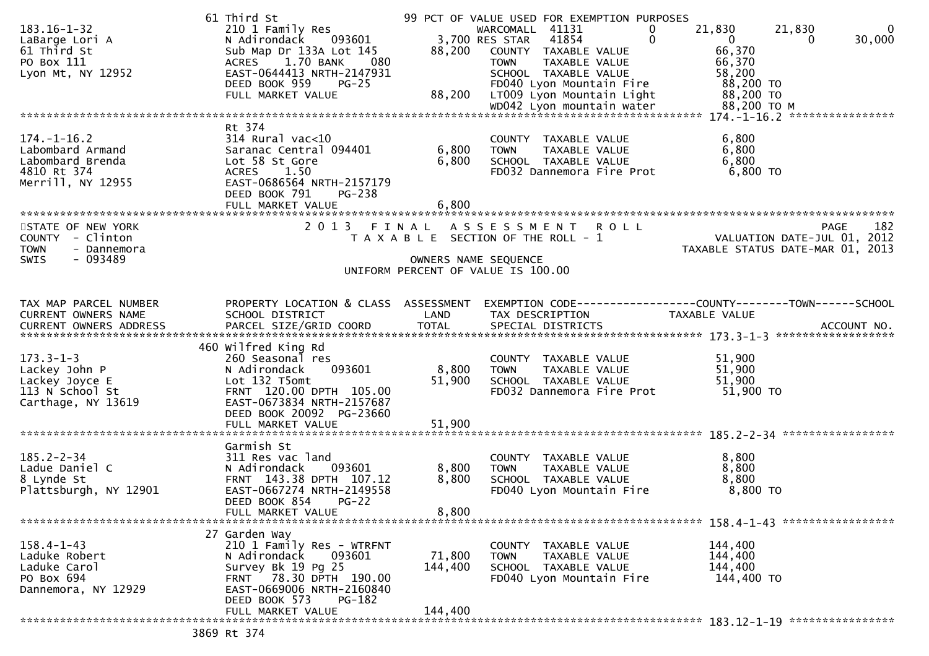| $183.16 - 1 - 32$<br>LaBarge Lori A<br>61 Third St<br>PO Box 111<br>Lyon Mt, NY 12952           | 61 Third St<br>210 1 Family Res<br>N Adirondack 093601<br>Sub Map Dr 133A Lot 145<br>1.70 BANK<br>080<br><b>ACRES</b><br>EAST-0644413 NRTH-2147931<br>DEED BOOK 959<br>$PG-25$<br>FULL MARKET VALUE | 88,200<br>88,200        | 99 PCT OF VALUE USED FOR EXEMPTION PURPOSES<br>WARCOMALL 41131<br>3,700 RES STAR 41854<br>COUNTY TAXABLE VALUE<br><b>TOWN</b><br>TAXABLE VALUE<br>SCHOOL TAXABLE VALUE<br>FD040 Lyon Mountain Fire<br>LT009 Lyon Mountain Light | 21,830<br>21,830<br>$\overline{0}$<br>$\Omega$<br>$\mathbf{0}$<br>0<br>66,370<br>66,370<br>58,200<br>88,200 TO<br>88,200 TO | $\Omega$<br>30,000 |
|-------------------------------------------------------------------------------------------------|-----------------------------------------------------------------------------------------------------------------------------------------------------------------------------------------------------|-------------------------|---------------------------------------------------------------------------------------------------------------------------------------------------------------------------------------------------------------------------------|-----------------------------------------------------------------------------------------------------------------------------|--------------------|
|                                                                                                 | Rt 374                                                                                                                                                                                              |                         |                                                                                                                                                                                                                                 |                                                                                                                             |                    |
| $174. - 1 - 16.2$<br>Labombard Armand<br>Labombard Brenda<br>4810 Rt 374<br>Merrill, NY 12955   | $314$ Rural vac<10<br>Saranac Central 094401<br>Lot 58 St Gore<br>1.50<br><b>ACRES</b><br>EAST-0686564 NRTH-2157179<br>DEED BOOK 791<br>PG-238                                                      | 6,800<br>6,800          | COUNTY TAXABLE VALUE<br>TAXABLE VALUE<br><b>TOWN</b><br>SCHOOL TAXABLE VALUE<br>FD032 Dannemora Fire Prot                                                                                                                       | 6,800<br>6,800<br>6,800<br>6,800 TO                                                                                         |                    |
|                                                                                                 |                                                                                                                                                                                                     |                         |                                                                                                                                                                                                                                 |                                                                                                                             |                    |
| STATE OF NEW YORK<br>COUNTY - Clinton<br><b>TOWN</b><br>- Dannemora<br>$-093489$<br><b>SWIS</b> |                                                                                                                                                                                                     | OWNERS NAME SEQUENCE    | 2013 FINAL ASSESSMENT ROLL<br>T A X A B L E SECTION OF THE ROLL - 1<br>UNIFORM PERCENT OF VALUE IS 100.00                                                                                                                       | VALUATION DATE-JUL 01, 2012<br>TAXABLE STATUS DATE-MAR 01, 2013                                                             | 182<br><b>PAGE</b> |
|                                                                                                 |                                                                                                                                                                                                     |                         |                                                                                                                                                                                                                                 |                                                                                                                             |                    |
| TAX MAP PARCEL NUMBER<br>CURRENT OWNERS NAME                                                    | PROPERTY LOCATION & CLASS ASSESSMENT<br>SCHOOL DISTRICT                                                                                                                                             | LAND                    | TAX DESCRIPTION                                                                                                                                                                                                                 | EXEMPTION CODE-----------------COUNTY-------TOWN------SCHOOL<br>TAXABLE VALUE                                               |                    |
|                                                                                                 | 460 wilfred King Rd                                                                                                                                                                                 |                         |                                                                                                                                                                                                                                 |                                                                                                                             |                    |
| $173.3 - 1 - 3$<br>Lackey John P<br>Lackey Joyce E<br>113 N School St<br>Carthage, NY 13619     | 260 Seasonal res<br>093601<br>N Adirondack<br>Lot 132 T5omt<br>FRNT 120.00 DPTH 105.00<br>EAST-0673834 NRTH-2157687<br>DEED BOOK 20092 PG-23660                                                     | 8,800<br>51,900         | COUNTY TAXABLE VALUE<br><b>TOWN</b><br>TAXABLE VALUE<br>SCHOOL TAXABLE VALUE<br>FD032 Dannemora Fire Prot                                                                                                                       | 51,900<br>51,900<br>51,900<br>51,900 TO                                                                                     |                    |
|                                                                                                 | FULL MARKET VALUE                                                                                                                                                                                   | 51,900                  |                                                                                                                                                                                                                                 |                                                                                                                             |                    |
| $185.2 - 2 - 34$<br>Ladue Daniel C<br>8 Lynde St<br>Plattsburgh, NY 12901                       | Garmish St<br>311 Res vac land<br>N Adirondack<br>093601<br>FRNT 143.38 DPTH 107.12<br>EAST-0667274 NRTH-2149558<br>DEED BOOK 854<br>$PG-22$<br>FULL MARKET VALUE                                   | 8,800<br>8,800<br>8,800 | COUNTY TAXABLE VALUE<br>TAXABLE VALUE<br><b>TOWN</b><br>SCHOOL TAXABLE VALUE<br>FD040 Lyon Mountain Fire                                                                                                                        | 8,800<br>8,800<br>8,800<br>8,800 TO                                                                                         |                    |
|                                                                                                 | 27 Garden Way                                                                                                                                                                                       |                         |                                                                                                                                                                                                                                 |                                                                                                                             |                    |
| $158.4 - 1 - 43$<br>Laduke Robert<br>Laduke Carol<br>PO Box 694<br>Dannemora, NY 12929          | 210 1 Family Res - WTRFNT<br>093601<br>N Adirondack<br>Survey Bk 19 Pg 25<br>FRNT 78.30 DPTH 190.00<br>EAST-0669006 NRTH-2160840<br>DEED BOOK 573<br>$PG-182$                                       | 71,800<br>144,400       | COUNTY TAXABLE VALUE<br>TAXABLE VALUE<br><b>TOWN</b><br>SCHOOL TAXABLE VALUE<br>FD040 Lyon Mountain Fire                                                                                                                        | 144,400<br>144,400<br>144,400<br>144,400 TO                                                                                 |                    |
|                                                                                                 | FULL MARKET VALUE<br>3869 $P + 374$                                                                                                                                                                 | 144,400                 |                                                                                                                                                                                                                                 |                                                                                                                             |                    |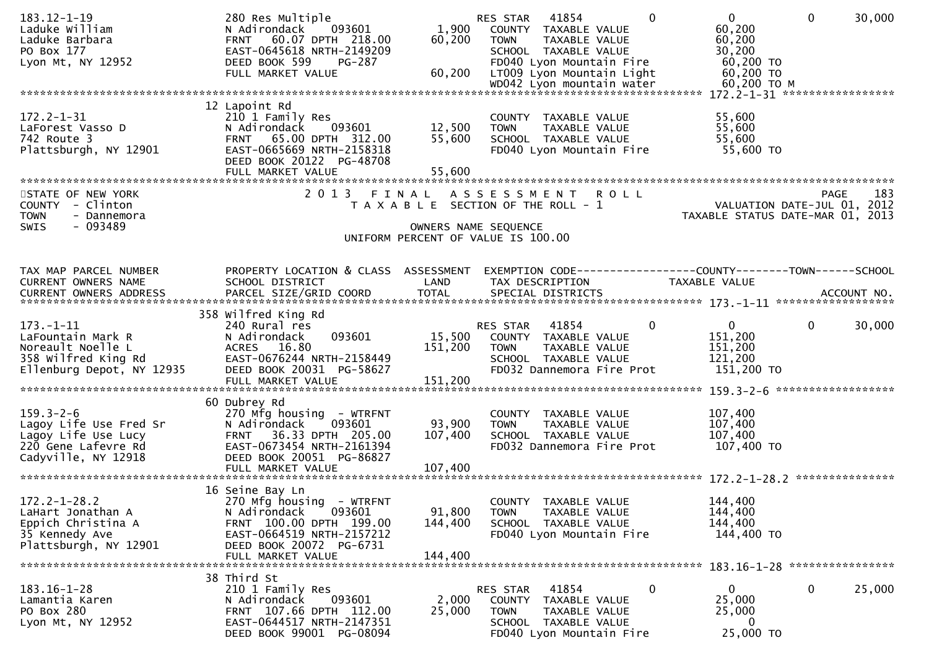| 60,200<br>1,900<br>Laduke William<br>N Adirondack<br>093601<br>COUNTY TAXABLE VALUE<br>FRNT 60.07 DPTH 218.00<br>60,200<br>60,200<br>Laduke Barbara<br><b>TOWN</b><br>TAXABLE VALUE<br>PO Box 177<br>EAST-0645618 NRTH-2149209<br>30,200<br>SCHOOL TAXABLE VALUE<br>DEED BOOK 599<br>60,200 TO<br>Lyon Mt, NY 12952<br>FD040 Lyon Mountain Fire<br><b>PG-287</b><br>60,200 TO<br>FULL MARKET VALUE<br>60,200<br>LT009 Lyon Mountain Light<br>WD042 Lyon mountain water<br>60,200 ТО М<br>172.2-1-31 ******************<br>12 Lapoint Rd<br>$172.2 - 1 - 31$<br>210 1 Family Res<br>55,600<br>COUNTY TAXABLE VALUE<br>55,600<br>093601<br>12,500<br>LaForest Vasso D<br>N Adirondack<br><b>TOWN</b><br>TAXABLE VALUE<br>742 Route 3<br>55,600<br>FRNT 65.00 DPTH 312.00<br>SCHOOL TAXABLE VALUE<br>55,600<br>Plattsburgh, NY 12901<br>EAST-0665669 NRTH-2158318<br>55,600 TO<br>FD040 Lyon Mountain Fire<br>DEED BOOK 20122 PG-48708<br>55,600<br>FULL MARKET VALUE |                    |
|--------------------------------------------------------------------------------------------------------------------------------------------------------------------------------------------------------------------------------------------------------------------------------------------------------------------------------------------------------------------------------------------------------------------------------------------------------------------------------------------------------------------------------------------------------------------------------------------------------------------------------------------------------------------------------------------------------------------------------------------------------------------------------------------------------------------------------------------------------------------------------------------------------------------------------------------------------------------|--------------------|
|                                                                                                                                                                                                                                                                                                                                                                                                                                                                                                                                                                                                                                                                                                                                                                                                                                                                                                                                                                    |                    |
|                                                                                                                                                                                                                                                                                                                                                                                                                                                                                                                                                                                                                                                                                                                                                                                                                                                                                                                                                                    |                    |
|                                                                                                                                                                                                                                                                                                                                                                                                                                                                                                                                                                                                                                                                                                                                                                                                                                                                                                                                                                    |                    |
|                                                                                                                                                                                                                                                                                                                                                                                                                                                                                                                                                                                                                                                                                                                                                                                                                                                                                                                                                                    |                    |
|                                                                                                                                                                                                                                                                                                                                                                                                                                                                                                                                                                                                                                                                                                                                                                                                                                                                                                                                                                    |                    |
|                                                                                                                                                                                                                                                                                                                                                                                                                                                                                                                                                                                                                                                                                                                                                                                                                                                                                                                                                                    |                    |
|                                                                                                                                                                                                                                                                                                                                                                                                                                                                                                                                                                                                                                                                                                                                                                                                                                                                                                                                                                    |                    |
|                                                                                                                                                                                                                                                                                                                                                                                                                                                                                                                                                                                                                                                                                                                                                                                                                                                                                                                                                                    |                    |
|                                                                                                                                                                                                                                                                                                                                                                                                                                                                                                                                                                                                                                                                                                                                                                                                                                                                                                                                                                    |                    |
|                                                                                                                                                                                                                                                                                                                                                                                                                                                                                                                                                                                                                                                                                                                                                                                                                                                                                                                                                                    |                    |
|                                                                                                                                                                                                                                                                                                                                                                                                                                                                                                                                                                                                                                                                                                                                                                                                                                                                                                                                                                    |                    |
| 2 0 1 3<br>STATE OF NEW YORK<br>FINAL<br>ASSESSMENT ROLL                                                                                                                                                                                                                                                                                                                                                                                                                                                                                                                                                                                                                                                                                                                                                                                                                                                                                                           | 183<br><b>PAGE</b> |
| VALUATION DATE-JUL 01, 2012<br>COUNTY - Clinton<br>T A X A B L E SECTION OF THE ROLL - 1                                                                                                                                                                                                                                                                                                                                                                                                                                                                                                                                                                                                                                                                                                                                                                                                                                                                           |                    |
| TAXABLE STATUS DATE-MAR 01, 2013<br><b>TOWN</b><br>- Dannemora                                                                                                                                                                                                                                                                                                                                                                                                                                                                                                                                                                                                                                                                                                                                                                                                                                                                                                     |                    |
| $-093489$<br>SWIS<br>OWNERS NAME SEQUENCE                                                                                                                                                                                                                                                                                                                                                                                                                                                                                                                                                                                                                                                                                                                                                                                                                                                                                                                          |                    |
| UNIFORM PERCENT OF VALUE IS 100.00                                                                                                                                                                                                                                                                                                                                                                                                                                                                                                                                                                                                                                                                                                                                                                                                                                                                                                                                 |                    |
|                                                                                                                                                                                                                                                                                                                                                                                                                                                                                                                                                                                                                                                                                                                                                                                                                                                                                                                                                                    |                    |
| TAX MAP PARCEL NUMBER<br>PROPERTY LOCATION & CLASS ASSESSMENT<br>EXEMPTION CODE-----------------COUNTY-------TOWN------SCHOOL                                                                                                                                                                                                                                                                                                                                                                                                                                                                                                                                                                                                                                                                                                                                                                                                                                      |                    |
| CURRENT OWNERS NAME<br>SCHOOL DISTRICT<br>LAND<br>TAX DESCRIPTION<br>TAXABLE VALUE                                                                                                                                                                                                                                                                                                                                                                                                                                                                                                                                                                                                                                                                                                                                                                                                                                                                                 |                    |
| <b>TOTAL</b><br>CURRENT OWNERS ADDRESS<br>PARCEL SIZE/GRID COORD<br>SPECIAL DISTRICTS                                                                                                                                                                                                                                                                                                                                                                                                                                                                                                                                                                                                                                                                                                                                                                                                                                                                              | ACCOUNT NO.        |
| 358 Wilfred King Rd                                                                                                                                                                                                                                                                                                                                                                                                                                                                                                                                                                                                                                                                                                                                                                                                                                                                                                                                                |                    |
| $\overline{0}$<br>$\mathbf 0$<br>$\mathbf{0}$<br>$173. - 1 - 11$<br>240 Rural res<br>RES STAR<br>41854                                                                                                                                                                                                                                                                                                                                                                                                                                                                                                                                                                                                                                                                                                                                                                                                                                                             | 30,000             |
| 15,500<br>151,200<br>LaFountain Mark R<br>093601<br>N Adirondack<br>COUNTY TAXABLE VALUE                                                                                                                                                                                                                                                                                                                                                                                                                                                                                                                                                                                                                                                                                                                                                                                                                                                                           |                    |
| Noreault Noelle L<br>151,200<br>151,200<br>ACRES 16.80<br>TAXABLE VALUE<br><b>TOWN</b>                                                                                                                                                                                                                                                                                                                                                                                                                                                                                                                                                                                                                                                                                                                                                                                                                                                                             |                    |
| 358 Wilfred King Rd<br>EAST-0676244 NRTH-2158449<br>SCHOOL TAXABLE VALUE<br>121,200<br>Ellenburg Depot, NY 12935<br>DEED BOOK 20031 PG-58627<br>151,200 TO<br>FD032 Dannemora Fire Prot                                                                                                                                                                                                                                                                                                                                                                                                                                                                                                                                                                                                                                                                                                                                                                            |                    |
| 151,200<br>FULL MARKET VALUE                                                                                                                                                                                                                                                                                                                                                                                                                                                                                                                                                                                                                                                                                                                                                                                                                                                                                                                                       |                    |
|                                                                                                                                                                                                                                                                                                                                                                                                                                                                                                                                                                                                                                                                                                                                                                                                                                                                                                                                                                    |                    |
| 60 Dubrey Rd                                                                                                                                                                                                                                                                                                                                                                                                                                                                                                                                                                                                                                                                                                                                                                                                                                                                                                                                                       |                    |
| $159.3 - 2 - 6$<br>107,400<br>270 Mfg housing - WTRFNT<br>COUNTY TAXABLE VALUE<br>Lagoy Life Use Fred Sr<br>93,900<br>107,400<br>N Adirondack<br>093601<br>TAXABLE VALUE<br><b>TOWN</b>                                                                                                                                                                                                                                                                                                                                                                                                                                                                                                                                                                                                                                                                                                                                                                            |                    |
| Lagoy Life Use Lucy<br>FRNT 36.33 DPTH 205.00<br>107,400<br>107,400<br>SCHOOL TAXABLE VALUE                                                                                                                                                                                                                                                                                                                                                                                                                                                                                                                                                                                                                                                                                                                                                                                                                                                                        |                    |
|                                                                                                                                                                                                                                                                                                                                                                                                                                                                                                                                                                                                                                                                                                                                                                                                                                                                                                                                                                    |                    |
| EAST-0673454 NRTH-2161394<br>107,400 TO<br>220 Gene Lafevre Rd<br>FD032 Dannemora Fire Prot                                                                                                                                                                                                                                                                                                                                                                                                                                                                                                                                                                                                                                                                                                                                                                                                                                                                        |                    |
| Cadyville, NY 12918<br>DEED BOOK 20051 PG-86827                                                                                                                                                                                                                                                                                                                                                                                                                                                                                                                                                                                                                                                                                                                                                                                                                                                                                                                    |                    |
| FULL MARKET VALUE<br>107,400                                                                                                                                                                                                                                                                                                                                                                                                                                                                                                                                                                                                                                                                                                                                                                                                                                                                                                                                       |                    |
|                                                                                                                                                                                                                                                                                                                                                                                                                                                                                                                                                                                                                                                                                                                                                                                                                                                                                                                                                                    |                    |
| 16 Seine Bay Ln<br>$172.2 - 1 - 28.2$<br>144,400<br>270 Mfg housing - WTRFNT<br>COUNTY TAXABLE VALUE                                                                                                                                                                                                                                                                                                                                                                                                                                                                                                                                                                                                                                                                                                                                                                                                                                                               |                    |
| 91,800<br>LaHart Jonathan A<br>N Adirondack<br>093601<br><b>TOWN</b><br>TAXABLE VALUE<br>144,400                                                                                                                                                                                                                                                                                                                                                                                                                                                                                                                                                                                                                                                                                                                                                                                                                                                                   |                    |
| FRNT 100.00 DPTH 199.00<br>Eppich Christina A<br>144,400<br>144,400<br>SCHOOL TAXABLE VALUE                                                                                                                                                                                                                                                                                                                                                                                                                                                                                                                                                                                                                                                                                                                                                                                                                                                                        |                    |
| EAST-0664519 NRTH-2157212<br>35 Kennedy Ave<br>FD040 Lyon Mountain Fire<br>144,400 TO                                                                                                                                                                                                                                                                                                                                                                                                                                                                                                                                                                                                                                                                                                                                                                                                                                                                              |                    |
| Plattsburgh, NY 12901<br>DEED BOOK 20072 PG-6731                                                                                                                                                                                                                                                                                                                                                                                                                                                                                                                                                                                                                                                                                                                                                                                                                                                                                                                   |                    |
| 144,400<br>FULL MARKET VALUE                                                                                                                                                                                                                                                                                                                                                                                                                                                                                                                                                                                                                                                                                                                                                                                                                                                                                                                                       |                    |
| 38 Third St                                                                                                                                                                                                                                                                                                                                                                                                                                                                                                                                                                                                                                                                                                                                                                                                                                                                                                                                                        |                    |
| $183.16 - 1 - 28$<br>$\mathbf{0}$<br>$\mathbf 0$<br>210 1 Family Res<br>41854<br>0<br>RES STAR                                                                                                                                                                                                                                                                                                                                                                                                                                                                                                                                                                                                                                                                                                                                                                                                                                                                     | 25,000             |
| 25,000<br>093601<br>2,000<br>Lamantia Karen<br>N Adirondack<br>COUNTY TAXABLE VALUE                                                                                                                                                                                                                                                                                                                                                                                                                                                                                                                                                                                                                                                                                                                                                                                                                                                                                |                    |
| PO Box 280<br>FRNT 107.66 DPTH 112.00<br>25,000<br>25,000<br>TAXABLE VALUE<br><b>TOWN</b><br>EAST-0644517 NRTH-2147351<br>$\mathbf{0}$<br>Lyon Mt, NY 12952<br>SCHOOL TAXABLE VALUE<br>25,000 TO<br>DEED BOOK 99001 PG-08094<br>FD040 Lyon Mountain Fire                                                                                                                                                                                                                                                                                                                                                                                                                                                                                                                                                                                                                                                                                                           |                    |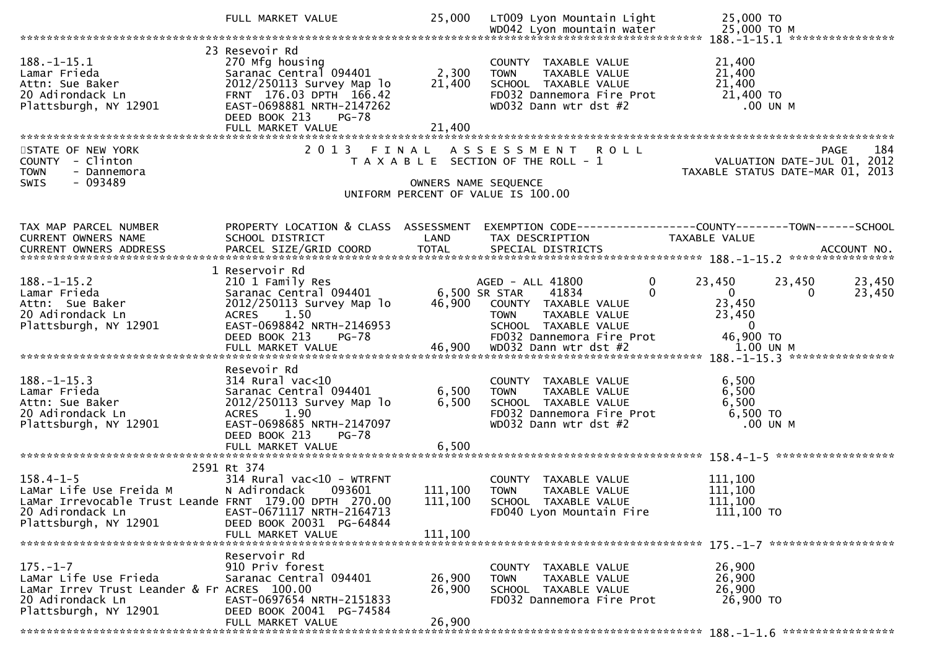|                                                                                                                                                                      | FULL MARKET VALUE                                                                                                                                                          | 25,000                     | LT009 Lyon Mountain Light                                                                                                             | 25,000 TO                                                                                                         |
|----------------------------------------------------------------------------------------------------------------------------------------------------------------------|----------------------------------------------------------------------------------------------------------------------------------------------------------------------------|----------------------------|---------------------------------------------------------------------------------------------------------------------------------------|-------------------------------------------------------------------------------------------------------------------|
|                                                                                                                                                                      |                                                                                                                                                                            |                            |                                                                                                                                       |                                                                                                                   |
| $188. - 1 - 15.1$<br>Lamar Frieda<br>Attn: Sue Baker<br>20 Adirondack Ln<br>Plattsburgh, NY 12901                                                                    | 23 Resevoir Rd<br>270 Mfg housing<br>Saranac Central 094401<br>2012/250113 Survey Map lo<br>FRNT 176.03 DPTH 166.42<br>EAST-0698881 NRTH-2147262<br>DEED BOOK 213<br>PG-78 | 2,300<br>21,400<br>21,400  | COUNTY TAXABLE VALUE<br>TAXABLE VALUE<br><b>TOWN</b><br>SCHOOL TAXABLE VALUE<br>FD032 Dannemora Fire Prot<br>WD032 Dann wtr dst #2    | 21,400<br>21,400<br>21,400<br>21,400 TO<br>$.00$ UN M                                                             |
|                                                                                                                                                                      |                                                                                                                                                                            |                            |                                                                                                                                       |                                                                                                                   |
| STATE OF NEW YORK<br>COUNTY - Clinton<br><b>TOWN</b><br>- Dannemora<br>- 093489<br><b>SWIS</b>                                                                       | 2 0 1 3                                                                                                                                                                    | FINAL                      | ASSESSMENT ROLL<br>T A X A B L E SECTION OF THE ROLL - 1<br>OWNERS NAME SEQUENCE<br>UNIFORM PERCENT OF VALUE IS 100.00                | 184<br>PAGE<br>VALUATION DATE-JUL 01, 2012<br>TAXABLE STATUS DATE-MAR 01, 2013                                    |
| TAX MAP PARCEL NUMBER<br>CURRENT OWNERS NAME                                                                                                                         | SCHOOL DISTRICT                                                                                                                                                            | LAND                       | TAX DESCRIPTION                                                                                                                       | PROPERTY LOCATION & CLASS ASSESSMENT EXEMPTION CODE----------------COUNTY-------TOWN------SCHOOL<br>TAXABLE VALUE |
|                                                                                                                                                                      | 1 Reservoir Rd                                                                                                                                                             |                            |                                                                                                                                       |                                                                                                                   |
| $188. - 1 - 15.2$<br>Lamar Frieda<br>Attn: Sue Baker<br>20 Adirondack Ln<br>Plattsburgh, NY 12901                                                                    | 210 1 Family Res<br>Saranac Central 094401<br>2012/250113 Survey Map lo<br>ACRES 1.50<br>EAST-0698842 NRTH-2146953                                                         | 6,500 SR STAR<br>46,900    | $\mathbf{0}$<br>AGED - ALL 41800<br>41834<br>$\Omega$<br>COUNTY TAXABLE VALUE<br>TAXABLE VALUE<br><b>TOWN</b><br>SCHOOL TAXABLE VALUE | 23,450<br>23,450<br>23,450<br>$\mathbf{0}$<br>23,450<br>0<br>23,450<br>23,450<br>$\mathbf 0$                      |
|                                                                                                                                                                      | DEED BOOK 213<br><b>PG-78</b><br>FULL MARKET VALUE                                                                                                                         | 46,900                     | FD032 Dannemora Fire Prot<br>WD032 Dann wtr dst #2                                                                                    | 46,900 TO<br>1.00 UN M                                                                                            |
|                                                                                                                                                                      | Resevoir Rd                                                                                                                                                                |                            |                                                                                                                                       |                                                                                                                   |
| $188. - 1 - 15.3$<br>Lamar Frieda<br>Attn: Sue Baker<br>20 Adirondack Ln<br>Plattsburgh, NY 12901                                                                    | $314$ Rural vac<10<br>Saranac Central 094401<br>2012/250113 Survey Map lo<br>ACRES 1.90<br>EAST-0698685 NRTH-2147097<br>DEED BOOK 213<br>PG-78                             | 6,500<br>6,500             | COUNTY TAXABLE VALUE<br><b>TOWN</b><br>TAXABLE VALUE<br>SCHOOL TAXABLE VALUE<br>FD032 Dannemora Fire Prot<br>WD032 Dann wtr dst #2    | 6,500<br>6,500<br>6,500<br>6,500 TO<br>.00 UN M                                                                   |
|                                                                                                                                                                      | FULL MARKET VALUE                                                                                                                                                          | 6,500                      |                                                                                                                                       |                                                                                                                   |
|                                                                                                                                                                      |                                                                                                                                                                            |                            |                                                                                                                                       |                                                                                                                   |
| $158.4 - 1 - 5$<br>LaMar Life Use Freida M<br>LaMar Innovessi<br>LaMar Irrevocable Trust Leande FRNT 179.00 DPTH 270.00<br>20 Adirondack Ln<br>Plattsburgh, NY 12901 | 2591 Rt 374<br>$314$ Rural vac<10 - WTRFNT<br>N Adirondack 093601<br>EAST-0671117 NRTH-2164713<br>DEED BOOK 20031 PG-64844                                                 | 111,100                    | COUNTY TAXABLE VALUE<br><b>TOWN</b><br>TAXABLE VALUE<br>111,100 SCHOOL TAXABLE VALUE<br>FD040 Lyon Mountain Fire                      | 111,100<br>111,100<br>111,100<br>111,100 TO                                                                       |
|                                                                                                                                                                      | FULL MARKET VALUE                                                                                                                                                          | 111,100                    |                                                                                                                                       |                                                                                                                   |
| $175. - 1 - 7$<br>LaMar Life Use Frieda<br>LaMar Irrev Trust Leander & Fr ACRES 100.00<br>20 Adirondack Ln<br>Plattsburgh, NY 12901                                  | Reservoir Rd<br>910 Priv forest<br>Saranac Central 094401<br>EAST-0697654 NRTH-2151833<br>DEED BOOK 20041 PG-74584<br>FULL MARKET VALUE                                    | 26,900<br>26,900<br>26,900 | COUNTY TAXABLE VALUE<br><b>TOWN</b><br>TAXABLE VALUE<br>SCHOOL TAXABLE VALUE<br>FD032 Dannemora Fire Prot                             | 26,900<br>26,900<br>26,900<br>26,900 TO                                                                           |
|                                                                                                                                                                      |                                                                                                                                                                            |                            |                                                                                                                                       |                                                                                                                   |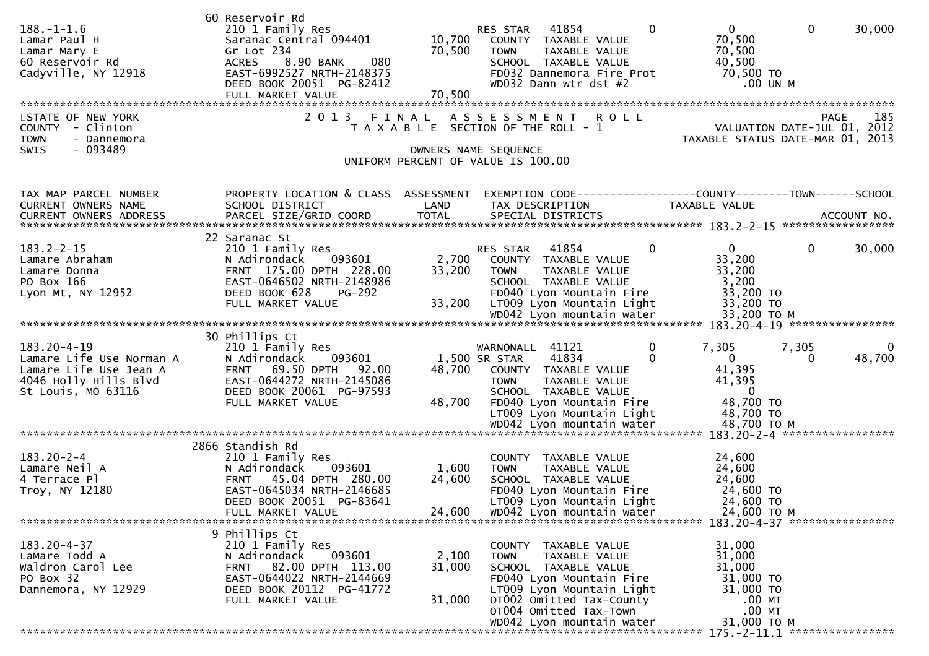| 2013 FINAL ASSESSMENT ROLL<br>185<br>STATE OF NEW YORK<br>PAGE<br>VALUATION DATE-JUL 01, 2012<br>COUNTY - Clinton<br>T A X A B L E SECTION OF THE ROLL - 1<br>- Dannemora<br>TAXABLE STATUS DATE-MAR 01, 2013<br><b>TOWN</b><br>- 093489<br><b>SWIS</b><br>OWNERS NAME SEQUENCE<br>UNIFORM PERCENT OF VALUE IS 100.00<br>PROPERTY LOCATION & CLASS ASSESSMENT<br>EXEMPTION CODE-----------------COUNTY--------TOWN------SCHOOL<br>TAX MAP PARCEL NUMBER<br>CURRENT OWNERS NAME<br>SCHOOL DISTRICT<br>LAND<br>TAX DESCRIPTION<br><b>TAXABLE VALUE</b><br>22 Saranac St<br>30,000<br>$183.2 - 2 - 15$<br>210 1 Family Res<br>RES STAR<br>41854<br>$\Omega$<br>$\mathbf{0}$<br>$\overline{0}$<br>093601<br>2,700<br>33,200<br>Lamare Abraham<br>N Adirondack<br>COUNTY TAXABLE VALUE<br>33,200<br>FRNT 175.00 DPTH 228.00<br><b>TOWN</b><br>TAXABLE VALUE<br>33,200<br>Lamare Donna<br>EAST-0646502 NRTH-2148986<br>3,200<br>PO Box 166<br>SCHOOL TAXABLE VALUE<br>FD040 Lyon Mountain Fire<br>33,200 TO<br>Lyon Mt, NY 12952<br>DEED BOOK 628<br><b>PG-292</b><br>33,200 TO<br>33,200<br>LT009 Lyon Mountain Light<br>FULL MARKET VALUE<br>30 Phillips Ct<br>183.20-4-19<br>7,305<br>7,305<br>210 1 Family Res<br>WARNONALL 41121<br>0<br>0<br>Lamare Life Use Norman A<br>093601<br>1,500 SR STAR<br>41834<br>$\Omega$<br>$\mathbf{0}$<br>48,700<br>N Adirondack<br>$\Omega$<br>41,395<br>FRNT 69.50 DPTH 92.00<br>Lamare Life Use Jean A<br>48,700<br>COUNTY TAXABLE VALUE<br>4046 Holly Hills Blvd<br>EAST-0644272 NRTH-2145086<br>41,395<br><b>TAXABLE VALUE</b><br><b>TOWN</b><br>St Louis, MO 63116<br>DEED BOOK 20061 PG-97593<br>SCHOOL TAXABLE VALUE<br>$\overline{0}$<br>48,700 TO<br>48,700<br>FULL MARKET VALUE<br>FD040 Lyon Mountain Fire<br>LT009 Lyon Mountain Light<br>48,700 TO<br>2866 Standish Rd<br>$183.20 - 2 - 4$<br>210 1 Family Res<br>24,600<br>COUNTY TAXABLE VALUE<br>093601<br>1,600<br>24,600<br>Lamare Neil A<br>N Adirondack<br>TAXABLE VALUE<br><b>TOWN</b><br>FRNT 45.04 DPTH 280.00<br>24,600<br>24,600<br>4 Terrace Pl<br>SCHOOL TAXABLE VALUE<br>EAST-0645034 NRTH-2146685<br>24,600 TO<br>Troy, NY 12180<br>FD040 Lyon Mountain Fire<br>DEED BOOK 20051 PG-83641<br>LT009 Lyon Mountain Light<br>24,600 TO<br>24,600<br>WD042 Lyon mountain water<br>24,600 ТО М<br>FULL MARKET VALUE<br>9 Phillips Ct<br>$183.20 - 4 - 37$<br>210 1 Family Res<br>31,000<br>COUNTY TAXABLE VALUE<br>N Adirondack<br>093601<br>2,100<br>31,000<br>LaMare Todd A<br><b>TOWN</b><br>TAXABLE VALUE<br>31,000<br>Waldron Carol Lee<br>82.00 DPTH 113.00<br>31,000<br><b>FRNT</b><br>SCHOOL TAXABLE VALUE<br>PO Box 32<br>EAST-0644022 NRTH-2144669<br>31,000 TO<br>FD040 Lyon Mountain Fire<br>DEED BOOK 20112 PG-41772<br>LT009 Lyon Mountain Light<br>31,000 TO<br>Dannemora, NY 12929<br>FULL MARKET VALUE<br>OT002 Omitted Tax-County<br>$.00$ MT<br>31,000<br>OT004 Omitted Tax-Town<br>$.00$ MT<br>31,000 TO M<br>WD042 Lyon mountain water<br>175. - 2 - 11. 1 ***************** | $188. - 1 - 1.6$<br>Lamar Paul H<br>Lamar Mary E<br>60 Reservoir Rd<br>Cadyville, NY 12918 | 60 Reservoir Rd<br>210 1 Family Res<br>Saranac Central 094401<br>Gr Lot 234<br>080<br>8.90 BANK<br>ACRES<br>EAST-6992527 NRTH-2148375<br>DEED BOOK 20051 PG-82412<br>FULL MARKET VALUE | 10,700<br>70,500<br>70,500 | 41854<br>$\Omega$<br>RES STAR<br>COUNTY TAXABLE VALUE<br>TAXABLE VALUE<br><b>TOWN</b><br>SCHOOL TAXABLE VALUE<br>FD032 Dannemora Fire Prot<br>WD032 Dann wtr dst #2 | $\overline{0}$<br>$\mathbf{0}$<br>30,000<br>70,500<br>70,500<br>40,500<br>70,500 TO<br>.00 UN M |
|----------------------------------------------------------------------------------------------------------------------------------------------------------------------------------------------------------------------------------------------------------------------------------------------------------------------------------------------------------------------------------------------------------------------------------------------------------------------------------------------------------------------------------------------------------------------------------------------------------------------------------------------------------------------------------------------------------------------------------------------------------------------------------------------------------------------------------------------------------------------------------------------------------------------------------------------------------------------------------------------------------------------------------------------------------------------------------------------------------------------------------------------------------------------------------------------------------------------------------------------------------------------------------------------------------------------------------------------------------------------------------------------------------------------------------------------------------------------------------------------------------------------------------------------------------------------------------------------------------------------------------------------------------------------------------------------------------------------------------------------------------------------------------------------------------------------------------------------------------------------------------------------------------------------------------------------------------------------------------------------------------------------------------------------------------------------------------------------------------------------------------------------------------------------------------------------------------------------------------------------------------------------------------------------------------------------------------------------------------------------------------------------------------------------------------------------------------------------------------------------------------------------------------------------------------------------------------------------------------------------------------------------------------------------------------------------------------------------------------------------------------------------------------------------------------------------------------------------------------------------------------------------------------------------------------------------------------------------------------------------------------|--------------------------------------------------------------------------------------------|----------------------------------------------------------------------------------------------------------------------------------------------------------------------------------------|----------------------------|---------------------------------------------------------------------------------------------------------------------------------------------------------------------|-------------------------------------------------------------------------------------------------|
|                                                                                                                                                                                                                                                                                                                                                                                                                                                                                                                                                                                                                                                                                                                                                                                                                                                                                                                                                                                                                                                                                                                                                                                                                                                                                                                                                                                                                                                                                                                                                                                                                                                                                                                                                                                                                                                                                                                                                                                                                                                                                                                                                                                                                                                                                                                                                                                                                                                                                                                                                                                                                                                                                                                                                                                                                                                                                                                                                                                                          |                                                                                            |                                                                                                                                                                                        |                            |                                                                                                                                                                     |                                                                                                 |
|                                                                                                                                                                                                                                                                                                                                                                                                                                                                                                                                                                                                                                                                                                                                                                                                                                                                                                                                                                                                                                                                                                                                                                                                                                                                                                                                                                                                                                                                                                                                                                                                                                                                                                                                                                                                                                                                                                                                                                                                                                                                                                                                                                                                                                                                                                                                                                                                                                                                                                                                                                                                                                                                                                                                                                                                                                                                                                                                                                                                          |                                                                                            |                                                                                                                                                                                        |                            |                                                                                                                                                                     |                                                                                                 |
|                                                                                                                                                                                                                                                                                                                                                                                                                                                                                                                                                                                                                                                                                                                                                                                                                                                                                                                                                                                                                                                                                                                                                                                                                                                                                                                                                                                                                                                                                                                                                                                                                                                                                                                                                                                                                                                                                                                                                                                                                                                                                                                                                                                                                                                                                                                                                                                                                                                                                                                                                                                                                                                                                                                                                                                                                                                                                                                                                                                                          |                                                                                            |                                                                                                                                                                                        |                            |                                                                                                                                                                     |                                                                                                 |
|                                                                                                                                                                                                                                                                                                                                                                                                                                                                                                                                                                                                                                                                                                                                                                                                                                                                                                                                                                                                                                                                                                                                                                                                                                                                                                                                                                                                                                                                                                                                                                                                                                                                                                                                                                                                                                                                                                                                                                                                                                                                                                                                                                                                                                                                                                                                                                                                                                                                                                                                                                                                                                                                                                                                                                                                                                                                                                                                                                                                          |                                                                                            |                                                                                                                                                                                        |                            |                                                                                                                                                                     |                                                                                                 |
|                                                                                                                                                                                                                                                                                                                                                                                                                                                                                                                                                                                                                                                                                                                                                                                                                                                                                                                                                                                                                                                                                                                                                                                                                                                                                                                                                                                                                                                                                                                                                                                                                                                                                                                                                                                                                                                                                                                                                                                                                                                                                                                                                                                                                                                                                                                                                                                                                                                                                                                                                                                                                                                                                                                                                                                                                                                                                                                                                                                                          |                                                                                            |                                                                                                                                                                                        |                            |                                                                                                                                                                     |                                                                                                 |
|                                                                                                                                                                                                                                                                                                                                                                                                                                                                                                                                                                                                                                                                                                                                                                                                                                                                                                                                                                                                                                                                                                                                                                                                                                                                                                                                                                                                                                                                                                                                                                                                                                                                                                                                                                                                                                                                                                                                                                                                                                                                                                                                                                                                                                                                                                                                                                                                                                                                                                                                                                                                                                                                                                                                                                                                                                                                                                                                                                                                          |                                                                                            |                                                                                                                                                                                        |                            |                                                                                                                                                                     |                                                                                                 |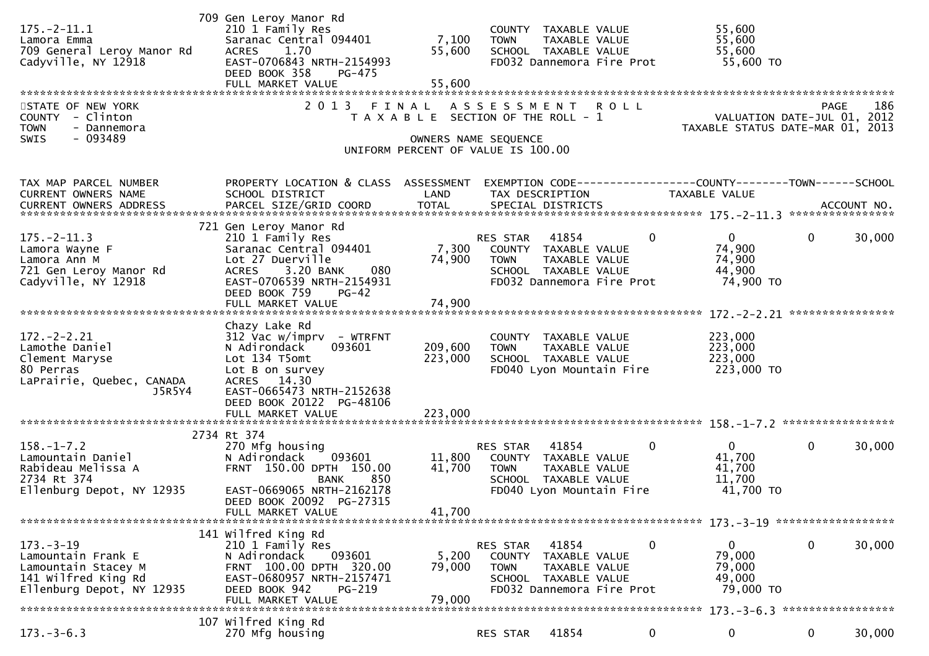| $175. - 2 - 11.1$<br>Lamora Emma<br>709 General Leroy Manor Rd<br>Cadyville, NY 12918                            | 709 Gen Leroy Manor Rd<br>210 1 Family Res<br>Saranac Central 094401<br>1.70<br><b>ACRES</b><br>EAST-0706843 NRTH-2154993<br>DEED BOOK 358<br>PG-475<br>FULL MARKET VALUE                                  | 7,100<br>55,600<br>55,600     | COUNTY TAXABLE VALUE<br>TAXABLE VALUE<br><b>TOWN</b><br>SCHOOL TAXABLE VALUE<br>FD032 Dannemora Fire Prot                         |              | 55,600<br>55,600<br>55,600<br>55,600 TO                            |                       |
|------------------------------------------------------------------------------------------------------------------|------------------------------------------------------------------------------------------------------------------------------------------------------------------------------------------------------------|-------------------------------|-----------------------------------------------------------------------------------------------------------------------------------|--------------|--------------------------------------------------------------------|-----------------------|
| STATE OF NEW YORK<br>COUNTY - Clinton<br><b>TOWN</b><br>- Dannemora<br>SWIS<br>$-093489$                         | 2013                                                                                                                                                                                                       | FINAL                         | A S S E S S M E N T<br>T A X A B L E SECTION OF THE ROLL - 1<br>OWNERS NAME SEQUENCE<br>UNIFORM PERCENT OF VALUE IS 100.00        | <b>ROLL</b>  | VALUATION DATE-JUL $01$ , 2012<br>TAXABLE STATUS DATE-MAR 01, 2013 | 186<br>PAGE           |
| TAX MAP PARCEL NUMBER<br>CURRENT OWNERS NAME                                                                     | PROPERTY LOCATION & CLASS ASSESSMENT<br>SCHOOL DISTRICT                                                                                                                                                    | LAND                          | EXEMPTION CODE-----------------COUNTY-------TOWN------SCHOOL<br>TAX DESCRIPTION                                                   |              | TAXABLE VALUE                                                      |                       |
| $175. - 2 - 11.3$<br>Lamora Wayne F<br>Lamora Ann M<br>721 Gen Leroy Manor Rd<br>Cadyville, NY 12918             | 721 Gen Leroy Manor Rd<br>210 1 Family Res<br>Saranac Central 094401<br>Lot 27 Duerville<br>3.20 BANK<br>080<br><b>ACRES</b><br>EAST-0706539 NRTH-2154931<br>DEED BOOK 759<br>$PG-42$<br>FULL MARKET VALUE | 7,300<br>74,900<br>74,900     | 41854<br>RES STAR<br>COUNTY TAXABLE VALUE<br><b>TOWN</b><br>TAXABLE VALUE<br>SCHOOL TAXABLE VALUE<br>FD032 Dannemora Fire Prot    | $\mathbf{0}$ | $\overline{0}$<br>74,900<br>74,900<br>44,900<br>74,900 TO          | 0<br>30,000           |
| $172. - 2 - 2.21$<br>Lamothe Daniel<br>Clement Maryse<br>80 Perras<br>LaPrairie, Quebec, CANADA<br>J5R5Y4        | Chazy Lake Rd<br>$312$ Vac w/imprv - WTRFNT<br>N Adirondack<br>093601<br>Lot 134 T5omt<br>Lot B on survey<br>ACRES 14.30<br>EAST-0665473 NRTH-2152638<br>DEED BOOK 20122 PG-48106<br>FULL MARKET VALUE     | 209,600<br>223,000<br>223,000 | COUNTY TAXABLE VALUE<br><b>TOWN</b><br>TAXABLE VALUE<br>SCHOOL TAXABLE VALUE<br>FD040 Lyon Mountain Fire                          |              | 223,000<br>223,000<br>223,000<br>223,000 TO                        |                       |
| $158. - 1 - 7.2$<br>Lamountain Daniel<br>Rabideau Melissa A<br>2734 Rt 374<br>Ellenburg Depot, NY 12935          | 2734 Rt 374<br>270 Mfg housing<br>093601<br>N Adirondack<br>FRNT 150.00 DPTH 150.00<br>850<br><b>BANK</b><br>EAST-0669065 NRTH-2162178<br>DEED BOOK 20092 PG-27315<br>FULL MARKET VALUE                    | 11,800<br>41,700<br>41,700    | 41854<br>RES STAR<br>COUNTY TAXABLE VALUE<br><b>TOWN</b><br>TAXABLE VALUE<br>SCHOOL TAXABLE VALUE<br>FD040 Lyon Mountain Fire     | $\mathbf{0}$ | $\mathbf{0}$<br>41,700<br>41,700<br>11,700<br>41,700 TO            | $\mathbf 0$<br>30,000 |
| $173. - 3 - 19$<br>Lamountain Frank E<br>Lamountain Stacey M<br>141 Wilfred King Rd<br>Ellenburg Depot, NY 12935 | 141 Wilfred King Rd<br>210 1 Family Res<br>N Adirondack<br>093601<br>FRNT 100.00 DPTH 320.00<br>EAST-0680957 NRTH-2157471<br>PG-219<br>DEED BOOK 942<br>FULL MARKET VALUE                                  | 5,200<br>79,000<br>79,000     | 41854<br>RES STAR<br>COUNTY<br>TAXABLE VALUE<br><b>TOWN</b><br>TAXABLE VALUE<br>SCHOOL TAXABLE VALUE<br>FD032 Dannemora Fire Prot | 0            | $\bf{0}$<br>79,000<br>79,000<br>49,000<br>79,000 TO                | $\mathbf 0$<br>30,000 |
| $173.-3-6.3$                                                                                                     | 107 Wilfred King Rd<br>270 Mfg housing                                                                                                                                                                     |                               | 41854<br>RES STAR                                                                                                                 | 0            | 0                                                                  | $\bf{0}$<br>30,000    |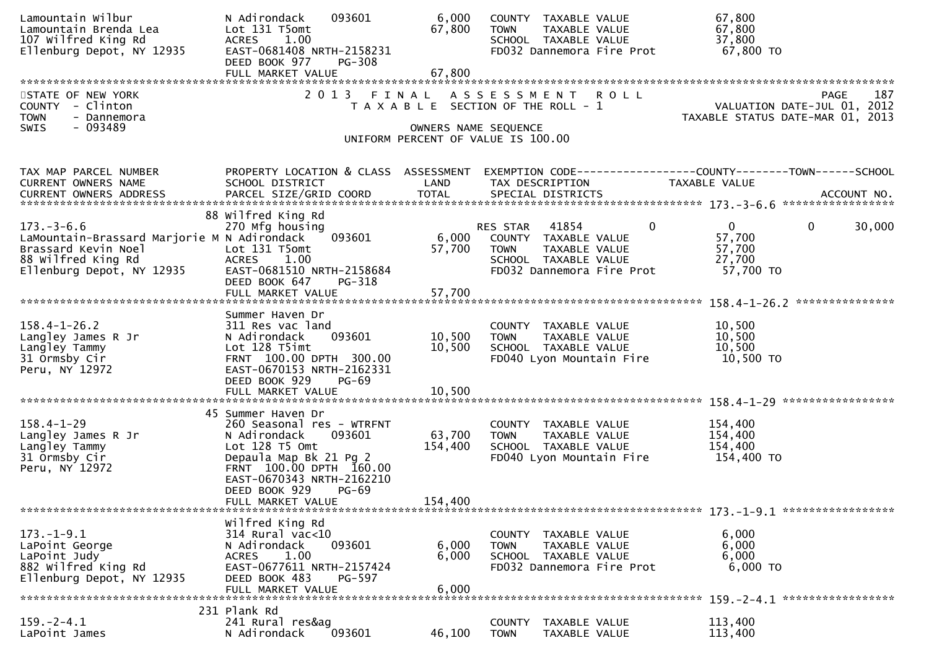| Lamountain Wilbur<br>Lamountain Brenda Lea<br>107 Wilfred King Rd<br>Ellenburg Depot, NY 12935                                            | N Adirondack<br>093601<br>Lot 131 T5omt<br>ACRES 1.00<br>EAST-0681408 NRTH-2158231<br>DEED BOOK 977<br><b>PG-308</b>                                                                                     | 6,000<br>67,800              | COUNTY TAXABLE VALUE<br>TAXABLE VALUE<br><b>TOWN</b><br>SCHOOL TAXABLE VALUE<br>FD032 Dannemora Fire Prot                                           | 67,800<br>67,800<br>37,800<br>67,800 TO                                                                                                                                                                                                                                                                                                             |
|-------------------------------------------------------------------------------------------------------------------------------------------|----------------------------------------------------------------------------------------------------------------------------------------------------------------------------------------------------------|------------------------------|-----------------------------------------------------------------------------------------------------------------------------------------------------|-----------------------------------------------------------------------------------------------------------------------------------------------------------------------------------------------------------------------------------------------------------------------------------------------------------------------------------------------------|
|                                                                                                                                           | FULL MARKET VALUE                                                                                                                                                                                        | 67,800                       |                                                                                                                                                     |                                                                                                                                                                                                                                                                                                                                                     |
| STATE OF NEW YORK<br>COUNTY - Clinton<br>- Dannemora<br><b>TOWN</b><br>$-093489$<br><b>SWIS</b>                                           |                                                                                                                                                                                                          |                              | 2013 FINAL ASSESSMENT ROLL<br>T A X A B L E SECTION OF THE ROLL - 1<br>OWNERS NAME SEQUENCE<br>UNIFORM PERCENT OF VALUE IS 100.00                   | 187<br><b>PAGE</b><br>187<br>VALUATION DATE-JUL 01, 2012<br>TAXABLE STATUS DATE-MAR 01, 2013                                                                                                                                                                                                                                                        |
| TAX MAP PARCEL NUMBER<br>CURRENT OWNERS NAME                                                                                              | SCHOOL DISTRICT                                                                                                                                                                                          | LAND                         | TAX DESCRIPTION                                                                                                                                     | PROPERTY LOCATION & CLASS ASSESSMENT EXEMPTION CODE----------------COUNTY-------TOWN------SCHOOL<br>TAXABLE VALUE<br>.4CCOUNT NO . PARCEL SIZE/GRID COORD TOTAL SPECIAL DISTRICTS . ACCOUNT NO . ACCOUNT NO . ACCOUNT NO . بالمحدثة المستوى المستوى المستوى المستوى المستوى المستوى المستوى المستوى المستوى المستوى المستوى المستوى المستوى المستوى |
| $173. - 3 - 6.6$<br>LaMountain-Brassard Marjorie M N Adirondack<br>Brassard Kevin Noel<br>88 Wilfred King Rd<br>Ellenburg Depot, NY 12935 | 88 Wilfred King Rd<br>270 Mfg housing<br>093601<br>Lot 131 T5omt<br>ACRES 1.00<br>EAST-0681510 NRTH-2158684<br>DEED BOOK 647<br>PG-318<br>FULL MARKET VALUE                                              | 57,700<br>57,700             | RES STAR 41854<br>$\overline{0}$<br>6,000 COUNTY TAXABLE VALUE<br>TAXABLE VALUE<br><b>TOWN</b><br>SCHOOL TAXABLE VALUE<br>FD032 Dannemora Fire Prot | $\mathbf{0}$<br>$\mathbf{0}$<br>30,000<br>57,700<br>57,700<br>27,700<br>57,700 TO                                                                                                                                                                                                                                                                   |
|                                                                                                                                           |                                                                                                                                                                                                          |                              |                                                                                                                                                     |                                                                                                                                                                                                                                                                                                                                                     |
| $158.4 - 1 - 26.2$<br>Langley James R Jr<br>Langley Tammy<br>31 Ormsby Cir<br>Peru, NY 12972                                              | Summer Haven Dr<br>311 Res vac land<br>093601<br>N Adirondack<br>Lot 128 T5imt<br>FRNT 100.00 DPTH 300.00<br>EAST-0670153 NRTH-2162331<br>DEED BOOK 929<br>$PG-69$                                       | 10,500<br>10,500             | COUNTY TAXABLE VALUE<br>TAXABLE VALUE<br><b>TOWN</b><br>SCHOOL TAXABLE VALUE<br>FD040 Lyon Mountain Fire                                            | 10,500<br>10,500<br>10,500<br>10,500 TO                                                                                                                                                                                                                                                                                                             |
|                                                                                                                                           | 45 Summer Haven Dr                                                                                                                                                                                       |                              |                                                                                                                                                     |                                                                                                                                                                                                                                                                                                                                                     |
| $158.4 - 1 - 29$<br>Langley James R Jr<br>Langley Tammy<br>31 Ormsby Cir<br>Peru, NY 12972                                                | 260 Seasonal res - WTRFNT<br>093601<br>N Adirondack<br>Lot 128 T5 Omt<br>Depaula Map Bk 21 Pg 2<br>FRNT 100.00 DPTH 160.00<br>EAST-0670343 NRTH-2162210<br>DEED BOOK 929<br>$PG-69$<br>FULL MARKET VALUE | 63,700<br>154,400<br>154,400 | COUNTY TAXABLE VALUE<br><b>TOWN</b><br>TAXABLE VALUE<br>SCHOOL TAXABLE VALUE<br>FD040 Lyon Mountain Fire                                            | 154,400<br>154,400<br>154,400<br>154,400 TO                                                                                                                                                                                                                                                                                                         |
|                                                                                                                                           |                                                                                                                                                                                                          |                              |                                                                                                                                                     |                                                                                                                                                                                                                                                                                                                                                     |
| $173. - 1 - 9.1$<br>LaPoint George<br>LaPoint Judy<br>882 Wilfred King Rd<br>Ellenburg Depot, NY 12935                                    | Wilfred King Rd<br>314 Rural vac<10<br>093601<br>N Adirondack<br>1.00<br><b>ACRES</b><br>EAST-0677611 NRTH-2157424<br>DEED BOOK 483<br>PG-597<br>FULL MARKET VALUE                                       | 6,000<br>6,000<br>6,000      | COUNTY TAXABLE VALUE<br><b>TOWN</b><br>TAXABLE VALUE<br>SCHOOL TAXABLE VALUE<br>FD032 Dannemora Fire Prot                                           | 6,000<br>6,000<br>6,000<br>6,000 TO                                                                                                                                                                                                                                                                                                                 |
|                                                                                                                                           | 231 Plank Rd                                                                                                                                                                                             |                              |                                                                                                                                                     |                                                                                                                                                                                                                                                                                                                                                     |
| $159. - 2 - 4.1$<br>LaPoint James                                                                                                         | 241 Rural res&ag<br>093601<br>N Adirondack                                                                                                                                                               | 46,100                       | TAXABLE VALUE<br>COUNTY<br><b>TOWN</b><br>TAXABLE VALUE                                                                                             | 113,400<br>113,400                                                                                                                                                                                                                                                                                                                                  |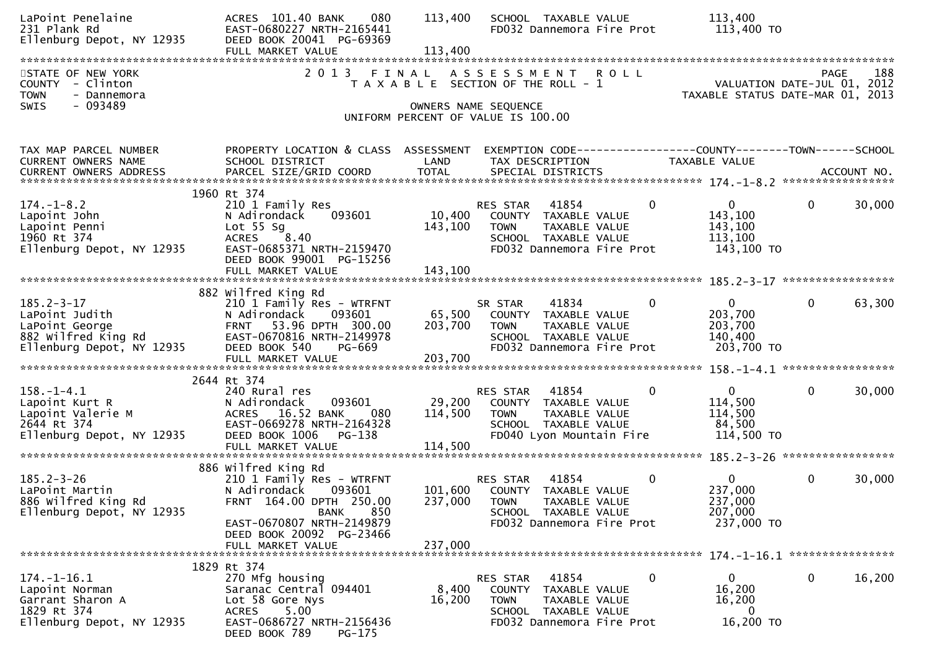| LaPoint Penelaine<br>231 Plank Rd<br>231 Plank Rd<br>Ellenburg Depot, NY 12935                           | ACRES 101.40 BANK<br>080<br>EAST-0680227 NRTH-2165441<br>DEED BOOK 20041 PG-69369<br>FULL MARKET VALUE                                       | 113,400<br>113,400 | SCHOOL TAXABLE VALUE<br>FD032 Dannemora Fire Prot                                                                                        |              | 113,400<br>113,400 TO                                                           |              |        |
|----------------------------------------------------------------------------------------------------------|----------------------------------------------------------------------------------------------------------------------------------------------|--------------------|------------------------------------------------------------------------------------------------------------------------------------------|--------------|---------------------------------------------------------------------------------|--------------|--------|
|                                                                                                          |                                                                                                                                              |                    |                                                                                                                                          |              |                                                                                 |              |        |
| STATE OF NEW YORK<br>COUNTY - Clinton<br><b>TOWN</b><br>- Dannemora                                      | 2 0 1 3                                                                                                                                      | FINAL              | ASSESSMENT ROLL<br>T A X A B L E SECTION OF THE ROLL - 1                                                                                 |              | VALUATION DATE-JUL 01, 2012<br>TAXABLE STATUS DATE-MAR 01, 2013                 | <b>PAGE</b>  | 188    |
| $-093489$<br>SWIS                                                                                        |                                                                                                                                              |                    | OWNERS NAME SEQUENCE<br>UNIFORM PERCENT OF VALUE IS 100.00                                                                               |              |                                                                                 |              |        |
| TAX MAP PARCEL NUMBER<br>CURRENT OWNERS NAME<br>CURRENT OWNERS ADDRESS                                   | PROPERTY LOCATION & CLASS ASSESSMENT<br>SCHOOL DISTRICT                                                                                      | LAND               | TAX DESCRIPTION                                                                                                                          |              | EXEMPTION CODE------------------COUNTY--------TOWN------SCHOOL<br>TAXABLE VALUE |              |        |
|                                                                                                          |                                                                                                                                              |                    |                                                                                                                                          |              |                                                                                 |              |        |
| $174. - 1 - 8.2$<br>Lapoint John<br>Lapoint Penni                                                        | 1960 Rt 374<br>210 1 Family Res<br>093601<br>N Adirondack<br>Lot $55$ Sg                                                                     | 10,400<br>143,100  | RES STAR<br>41854<br>COUNTY TAXABLE VALUE<br>TAXABLE VALUE<br><b>TOWN</b>                                                                | $\mathbf 0$  | $\mathbf{0}$<br>143,100<br>143,100                                              | $\mathbf{0}$ | 30,000 |
| 1960 Rt 374<br>Ellenburg Depot, NY 12935                                                                 | 8.40<br><b>ACRES</b><br>EAST-0685371 NRTH-2159470<br>DEED BOOK 99001 PG-15256<br>FULL MARKET VALUE                                           | 143,100            | SCHOOL TAXABLE VALUE<br>FD032 Dannemora Fire Prot                                                                                        |              | 113,100<br>143,100 TO                                                           |              |        |
|                                                                                                          | 882 Wilfred King Rd                                                                                                                          |                    |                                                                                                                                          |              |                                                                                 |              |        |
| $185.2 - 3 - 17$<br>LaPoint Judith<br>LaPoint George<br>882 Wilfred King Rd<br>Ellenburg Depot, NY 12935 | 210 1 Family Res - WTRFNT<br>N Adirondack<br>093601<br>FRNT 53.96 DPTH 300.00<br>EAST-0670816 NRTH-2149978<br>PG-669<br>DEED BOOK 540        | 65,500<br>203,700  | 41834<br>SR STAR<br>COUNTY TAXABLE VALUE<br>TOWN<br>TAXABLE VALUE<br>SCHOOL TAXABLE VALUE<br>FD032 Dannemora Fire Prot                   | $\mathbf 0$  | $\mathbf{0}$<br>203,700<br>203,700<br>140,400<br>203,700 TO                     | $\mathbf 0$  | 63,300 |
|                                                                                                          |                                                                                                                                              |                    |                                                                                                                                          |              |                                                                                 |              |        |
| 158.-1-4.1<br>Lapoint Kurt R<br>Lapoint Valerie M<br>2644 Rt 374<br>Ellenburg Depot, NY 12935            | 2644 Rt 374<br>240 Rural res<br>N Adirondack<br>093601<br>ACRES 16.52 BANK<br>080<br>EAST-0669278 NRTH-2164328<br>DEED BOOK 1006<br>PG-138   | 29,200<br>114,500  | RES STAR<br>41854<br>COUNTY TAXABLE VALUE<br>TAXABLE VALUE<br><b>TOWN</b><br>SCHOOL TAXABLE VALUE<br>FD040 Lyon Mountain Fire            | $\Omega$     | $\mathbf{0}$<br>114,500<br>114,500<br>84,500<br>114,500 TO                      | $\mathbf{0}$ | 30,000 |
|                                                                                                          | FULL MARKET VALUE                                                                                                                            | 114,500            |                                                                                                                                          |              |                                                                                 |              |        |
| $185.2 - 3 - 26$<br>LaPoint Martin<br>886 Wilfred King Rd<br>Ellenburg Depot, NY 12935                   | 886 Wilfred King Rd<br>210 1 Family Res - WTRFNT<br>N Adirondack<br>093601<br>FRNT 164.00 DPTH 250.00<br>850<br><b>BANK</b>                  | 237,000            | 41854<br>RES STAR<br>101,600 COUNTY TAXABLE VALUE<br><b>TOWN</b><br>TAXABLE VALUE<br>SCHOOL TAXABLE VALUE                                | $\mathbf{0}$ | $\mathbf{0}$<br>237,000<br>237,000<br>207,000                                   | $\mathbf{0}$ | 30,000 |
|                                                                                                          | EAST-0670807 NRTH-2149879<br>DEED BOOK 20092 PG-23466<br>FULL MARKET VALUE                                                                   | 237,000            | FD032 Dannemora Fire Prot                                                                                                                |              | 237,000 TO                                                                      |              |        |
|                                                                                                          | 1829 Rt 374                                                                                                                                  |                    |                                                                                                                                          |              |                                                                                 |              |        |
| 174. -1-16.1<br>Lapoint Norman<br>Garrant Sharon A<br>1829 Rt 374<br>Ellenburg Depot, NY 12935           | 270 Mfg housing<br>Saranac Central 094401<br>Lot 58 Gore Nys<br>5.00<br><b>ACRES</b><br>EAST-0686727 NRTH-2156436<br>DEED BOOK 789<br>PG-175 | 8,400<br>16,200    | <b>RES STAR</b><br>41854<br>COUNTY<br>TAXABLE VALUE<br><b>TOWN</b><br>TAXABLE VALUE<br>SCHOOL TAXABLE VALUE<br>FD032 Dannemora Fire Prot | 0            | 0<br>16,200<br>16,200<br>0<br>16,200 TO                                         | 0            | 16,200 |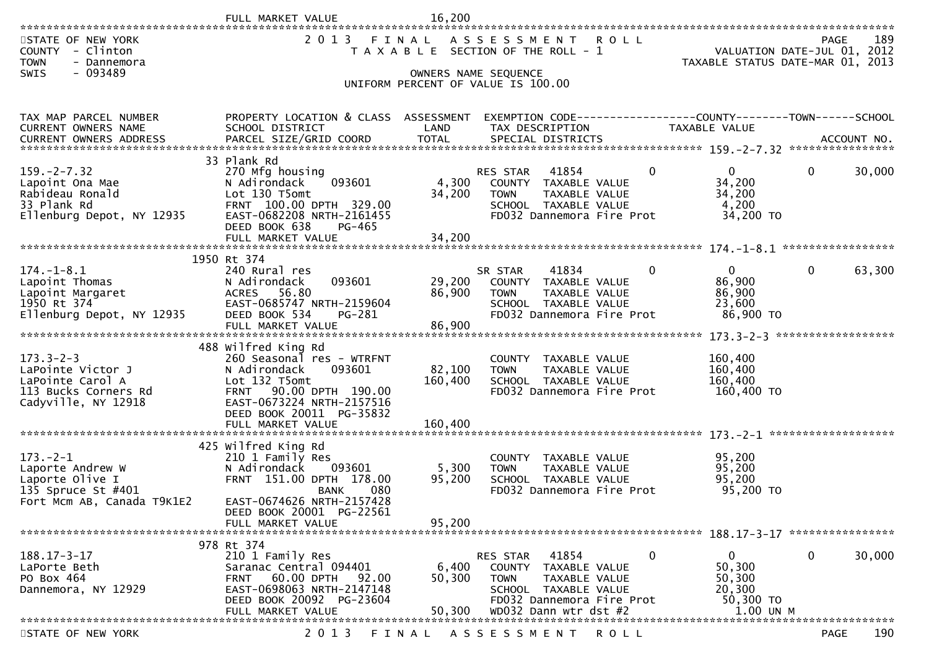|                                                                                                           | FULL MARKET VALUE                                                                                                                                                                                             | 16,200                       |                                                                                                                                                      |                                                           |                                                                                       |
|-----------------------------------------------------------------------------------------------------------|---------------------------------------------------------------------------------------------------------------------------------------------------------------------------------------------------------------|------------------------------|------------------------------------------------------------------------------------------------------------------------------------------------------|-----------------------------------------------------------|---------------------------------------------------------------------------------------|
| STATE OF NEW YORK<br>- Clinton<br><b>COUNTY</b><br><b>TOWN</b><br>- Dannemora<br>$-093489$<br><b>SWIS</b> | 2 0 1 3                                                                                                                                                                                                       | FINAL                        | ASSESSMENT ROLL<br>T A X A B L E SECTION OF THE ROLL - 1<br>OWNERS NAME SEQUENCE                                                                     |                                                           | 189<br><b>PAGE</b><br>VALUATION DATE-JUL 01, 2012<br>TAXABLE STATUS DATE-MAR 01, 2013 |
|                                                                                                           |                                                                                                                                                                                                               |                              | UNIFORM PERCENT OF VALUE IS 100.00                                                                                                                   |                                                           |                                                                                       |
| TAX MAP PARCEL NUMBER                                                                                     | PROPERTY LOCATION & CLASS ASSESSMENT                                                                                                                                                                          |                              | EXEMPTION CODE------------------COUNTY--------TOWN------SCHOOL                                                                                       |                                                           |                                                                                       |
| <b>CURRENT OWNERS NAME</b>                                                                                | SCHOOL DISTRICT                                                                                                                                                                                               | LAND                         | TAX DESCRIPTION                                                                                                                                      | TAXABLE VALUE                                             |                                                                                       |
|                                                                                                           | 33 Plank Rd                                                                                                                                                                                                   |                              |                                                                                                                                                      |                                                           |                                                                                       |
| $159. -2 - 7.32$<br>Lapoint Ona Mae<br>Rabideau Ronald<br>33 Plank Rd<br>Ellenburg Depot, NY 12935        | 270 Mfg housing<br>N Adirondack<br>093601<br>Lot 130 T5omt<br>FRNT 100.00 DPTH 329.00<br>EAST-0682208 NRTH-2161455<br>DEED BOOK 638<br>PG-465                                                                 | 4,300<br>34,200              | RES STAR<br>41854<br>0<br>COUNTY TAXABLE VALUE<br>TAXABLE VALUE<br><b>TOWN</b><br>SCHOOL TAXABLE VALUE<br>FD032 Dannemora Fire Prot                  | $\mathbf{0}$<br>34,200<br>34,200<br>4,200<br>34,200 TO    | $\mathbf{0}$<br>30,000                                                                |
|                                                                                                           | FULL MARKET VALUE                                                                                                                                                                                             | 34,200                       |                                                                                                                                                      |                                                           |                                                                                       |
|                                                                                                           | 1950 Rt 374                                                                                                                                                                                                   |                              |                                                                                                                                                      |                                                           |                                                                                       |
| $174. - 1 - 8.1$<br>Lapoint Thomas<br>Lapoint Margaret<br>1950 Rt 374<br>Ellenburg Depot, NY 12935        | 240 Rural res<br>N Adirondack<br>093601<br>ACRES 56.80<br>EAST-0685747 NRTH-2159604<br>DEED BOOK 534<br>PG-281<br>FULL MARKET VALUE                                                                           | 29,200<br>86,900<br>86,900   | 41834<br>0<br>SR STAR<br>COUNTY TAXABLE VALUE<br><b>TOWN</b><br>TAXABLE VALUE<br>SCHOOL TAXABLE VALUE<br>FD032 Dannemora Fire Prot                   | $\mathbf{0}$<br>86,900<br>86,900<br>23,600<br>86,900 TO   | $\Omega$<br>63,300                                                                    |
|                                                                                                           |                                                                                                                                                                                                               |                              |                                                                                                                                                      |                                                           |                                                                                       |
| $173.3 - 2 - 3$<br>LaPointe Victor J<br>LaPointe Carol A<br>113 Bucks Corners Rd<br>Cadyville, NY 12918   | 488 Wilfred King Rd<br>260 Seasonal res - WTRFNT<br>N Adirondack<br>093601<br>Lot 132 T5omt<br>90.00 DPTH 190.00<br><b>FRNT</b><br>EAST-0673224 NRTH-2157516<br>DEED BOOK 20011 PG-35832<br>FULL MARKET VALUE | 82,100<br>160,400<br>160,400 | COUNTY TAXABLE VALUE<br>TAXABLE VALUE<br><b>TOWN</b><br>SCHOOL TAXABLE VALUE<br>FD032 Dannemora Fire Prot                                            | 160,400<br>160,400<br>160,400<br>160,400 TO               |                                                                                       |
|                                                                                                           |                                                                                                                                                                                                               |                              |                                                                                                                                                      |                                                           |                                                                                       |
| $173. - 2 - 1$<br>Laporte Andrew W<br>Laporte Olive I<br>135 Spruce St #401<br>Fort Mcm AB, Canada T9K1E2 | 425 Wilfred King Rd<br>210 1 Family Res<br>093601<br>N Adirondack<br>FRNT 151.00 DPTH 178.00<br>080<br><b>BANK</b><br>EAST-0674626 NRTH-2157428<br>DEED BOOK 20001 PG-22561                                   | 5,300<br>95,200              | <b>COUNTY</b><br>TAXABLE VALUE<br>TAXABLE VALUE<br><b>TOWN</b><br>SCHOOL TAXABLE VALUE<br>FD032 Dannemora Fire Prot                                  | 95,200<br>95,200<br>95,200<br>95,200 TO                   |                                                                                       |
|                                                                                                           | FULL MARKET VALUE                                                                                                                                                                                             | 95,200                       |                                                                                                                                                      |                                                           |                                                                                       |
| $188.17 - 3 - 17$<br>LaPorte Beth<br>PO Box 464<br>Dannemora, NY 12929                                    | 978 Rt 374<br>210 1 Family Res<br>Saranac Central 094401<br>60.00 DPTH<br>92.00<br><b>FRNT</b><br>EAST-0698063 NRTH-2147148<br>DEED BOOK 20092 PG-23604                                                       | 6,400<br>50,300              | 0<br>41854<br><b>RES STAR</b><br><b>COUNTY</b><br>TAXABLE VALUE<br>TAXABLE VALUE<br><b>TOWN</b><br>SCHOOL TAXABLE VALUE<br>FD032 Dannemora Fire Prot | $\overline{0}$<br>50,300<br>50,300<br>20,300<br>50,300 TO | 30,000<br>0                                                                           |
|                                                                                                           | FULL MARKET VALUE                                                                                                                                                                                             | 50,300                       | WD032 Dann wtr dst #2                                                                                                                                | 1.00 UN M                                                 |                                                                                       |
| STATE OF NEW YORK                                                                                         | 2 0 1 3                                                                                                                                                                                                       | FINAL                        | A S S E S S M E N T<br>R O L L                                                                                                                       |                                                           | 190<br><b>PAGE</b>                                                                    |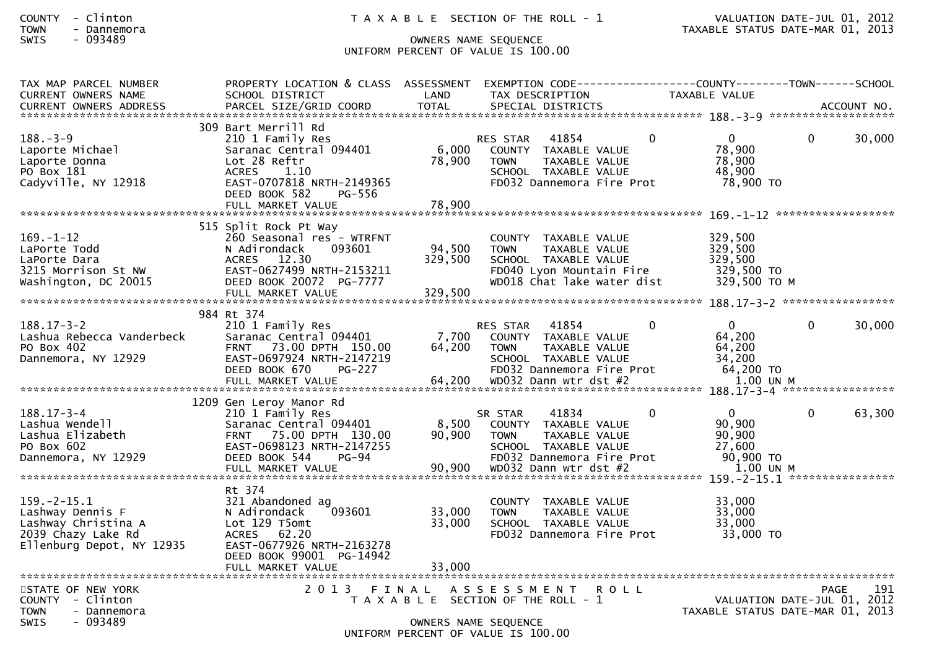# SWIS - 093489 OWNERS NAME SEQUENCE UNIFORM PERCENT OF VALUE IS 100.00

| TAX MAP PARCEL NUMBER<br><b>CURRENT OWNERS NAME</b>                                                             | PROPERTY LOCATION & CLASS ASSESSMENT<br>SCHOOL DISTRICT                                                                                                            | LAND                         | EXEMPTION CODE-----------------COUNTY-------TOWN------SCHOOL<br>TAX DESCRIPTION                                                                        |                | <b>TAXABLE VALUE</b>                                               |              |        |
|-----------------------------------------------------------------------------------------------------------------|--------------------------------------------------------------------------------------------------------------------------------------------------------------------|------------------------------|--------------------------------------------------------------------------------------------------------------------------------------------------------|----------------|--------------------------------------------------------------------|--------------|--------|
|                                                                                                                 |                                                                                                                                                                    |                              |                                                                                                                                                        |                |                                                                    |              |        |
| $188. - 3 - 9$<br>Laporte Michael<br>Laporte Donna<br>PO Box 181<br>Cadyville, NY 12918                         | 309 Bart Merrill Rd<br>210 1 Family Res<br>Saranac Central 094401<br>Lot 28 Reftr<br>1.10<br>ACRES<br>EAST-0707818 NRTH-2149365<br>DEED BOOK 582<br>PG-556         | 6,000<br>78,900              | 41854<br>RES STAR<br>COUNTY TAXABLE VALUE<br><b>TOWN</b><br>TAXABLE VALUE<br>SCHOOL TAXABLE VALUE<br>FD032 Dannemora Fire Prot                         | $\overline{0}$ | $\mathbf{0}$<br>78,900<br>78,900<br>48,900<br>78,900 TO            | 0            | 30,000 |
|                                                                                                                 | 515 Split Rock Pt Way                                                                                                                                              |                              |                                                                                                                                                        |                |                                                                    |              |        |
| $169. - 1 - 12$<br>LaPorte Todd<br>LaPorte Dara<br>3215 Morrison St NW<br>Washington, DC 20015                  | 260 Seasonal res - WTRFNT<br>N Adirondack<br>093601<br>ACRES 12.30<br>EAST-0627499 NRTH-2153211<br>DEED BOOK 20072 PG-7777<br>FULL MARKET VALUE                    | 94,500<br>329,500<br>329,500 | COUNTY TAXABLE VALUE<br><b>TOWN</b><br>TAXABLE VALUE<br>SCHOOL TAXABLE VALUE<br>FD040 Lyon Mountain Fire<br>WD018 Chat lake water dist                 |                | 329,500<br>329,500<br>329,500<br>329,500 TO<br>329,500 TO M        |              |        |
|                                                                                                                 | 984 Rt 374                                                                                                                                                         |                              |                                                                                                                                                        |                |                                                                    |              |        |
| $188.17 - 3 - 2$<br>Lashua Rebecca Vanderbeck<br>PO Box 402<br>Dannemora, NY 12929                              | 210 1 Family Res<br>Saranac Central 094401<br>FRNT 73.00 DPTH 150.00<br>EAST-0697924 NRTH-2147219<br>DEED BOOK 670<br>$PG-227$                                     | 7,700<br>64,200              | <b>RES STAR</b><br>41854<br>COUNTY TAXABLE VALUE<br>TAXABLE VALUE<br><b>TOWN</b><br>SCHOOL TAXABLE VALUE<br>FD032 Dannemora Fire Prot                  | $\mathbf{0}$   | $\Omega$<br>64,200<br>64,200<br>34,200<br>64,200 TO                | $\mathbf{0}$ | 30,000 |
|                                                                                                                 | 1209 Gen Leroy Manor Rd                                                                                                                                            |                              |                                                                                                                                                        |                |                                                                    |              |        |
| $188.17 - 3 - 4$<br>Lashua Wendell<br>Lashua Elizabeth<br>PO Box 602<br>Dannemora, NY 12929                     | 210 1 Family Res<br>Saranac Central 094401<br>FRNT 75.00 DPTH 130.00<br>EAST-0698123 NRTH-2147255<br>DEED BOOK 544<br>$PG-94$<br>FULL MARKET VALUE                 | 8,500<br>90,900<br>90,900    | 41834<br>SR STAR<br>COUNTY TAXABLE VALUE<br><b>TOWN</b><br>TAXABLE VALUE<br>SCHOOL TAXABLE VALUE<br>FD032 Dannemora Fire Prot<br>WD032 Dann wtr dst #2 | $\Omega$       | $\Omega$<br>90,900<br>90,900<br>27,600<br>90,900 TO<br>$1.00$ UN M | $\mathbf{0}$ | 63,300 |
| $159. - 2 - 15.1$<br>Lashway Dennis F<br>Lashway Christina A<br>2039 Chazy Lake Rd<br>Ellenburg Depot, NY 12935 | Rt 374<br>321 Abandoned ag<br>093601<br>N Adirondack<br>Lot 129 T5omt<br>ACRES 62.20<br>EAST-0677926 NRTH-2163278<br>DEED BOOK 99001 PG-14942<br>FULL MARKET VALUE | 33,000<br>33,000<br>33,000   | COUNTY TAXABLE VALUE<br><b>TOWN</b><br>TAXABLE VALUE<br>SCHOOL TAXABLE VALUE<br>FD032 Dannemora Fire Prot                                              |                | 33,000<br>33,000<br>33,000<br>33,000 TO                            |              |        |
| STATE OF NEW YORK<br>COUNTY - Clinton<br><b>TOWN</b><br>- Dannemora<br>$-093489$<br><b>SWIS</b>                 |                                                                                                                                                                    |                              | 2013 FINAL ASSESSMENT<br>T A X A B L E SECTION OF THE ROLL - 1<br>OWNERS NAME SEQUENCE<br>UNIFORM PERCENT OF VALUE IS 100.00                           | <b>ROLL</b>    | VALUATION DATE-JUL 01, 2012<br>TAXABLE STATUS DATE-MAR 01, 2013    | <b>PAGE</b>  | 191    |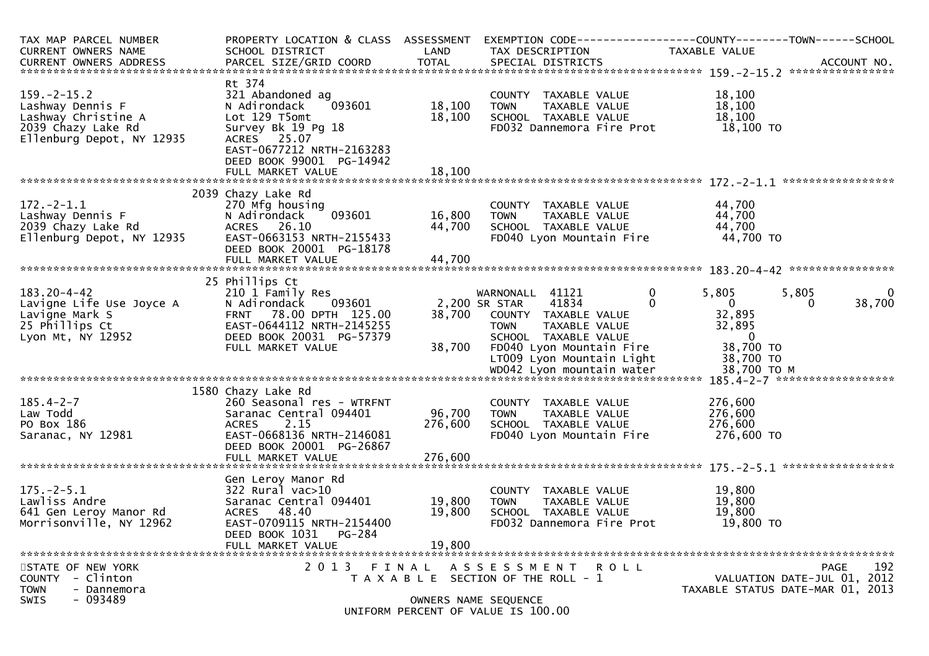| TAX MAP PARCEL NUMBER<br>CURRENT OWNERS NAME<br>CURRENT OWNERS ADDRESS                                          | PROPERTY LOCATION & CLASS ASSESSMENT<br>SCHOOL DISTRICT<br>PARCEL SIZE/GRID COORD                                                                                                        | LAND<br>TOTAL                | EXEMPTION CODE-----------------COUNTY-------TOWN------SCHOOL<br>TAX DESCRIPTION<br>SPECIAL DISTRICTS                                                                               | TAXABLE VALUE                                                                                                    | ACCOUNT NO.                                                                    |
|-----------------------------------------------------------------------------------------------------------------|------------------------------------------------------------------------------------------------------------------------------------------------------------------------------------------|------------------------------|------------------------------------------------------------------------------------------------------------------------------------------------------------------------------------|------------------------------------------------------------------------------------------------------------------|--------------------------------------------------------------------------------|
| $159. - 2 - 15.2$<br>Lashway Dennis F<br>Lashway Christine A<br>2039 Chazy Lake Rd<br>Ellenburg Depot, NY 12935 | Rt 374<br>321 Abandoned ag<br>093601<br>N Adirondack<br>Lot 129 T5omt<br>Survey Bk 19 Pg 18<br>ACRES 25.07<br>EAST-0677212 NRTH-2163283<br>DEED BOOK 99001 PG-14942<br>FULL MARKET VALUE | 18,100<br>18,100<br>18,100   | COUNTY TAXABLE VALUE<br><b>TOWN</b><br>TAXABLE VALUE<br>SCHOOL TAXABLE VALUE<br>FD032 Dannemora Fire Prot                                                                          | 18,100<br>18,100<br>18,100<br>18,100 TO                                                                          |                                                                                |
| $172. - 2 - 1.1$<br>Lashway Dennis F<br>2039 Chazy Lake Rd<br>Ellenburg Depot, NY 12935                         | 2039 Chazy Lake Rd<br>270 Mfg housing<br>N Adirondack<br>093601<br>ACRES 26.10<br>EAST-0663153 NRTH-2155433<br>DEED BOOK 20001 PG-18178<br>FULL MARKET VALUE                             | 16,800<br>44,700<br>44,700   | COUNTY TAXABLE VALUE<br><b>TOWN</b><br>TAXABLE VALUE<br>SCHOOL TAXABLE VALUE<br>FD040 Lyon Mountain Fire                                                                           | 44,700<br>44,700<br>44,700<br>44,700 TO                                                                          |                                                                                |
| $183.20 - 4 - 42$<br>Lavigne Life Use Joyce A<br>Lavigne Mark S<br>25 Phillips Ct<br>Lyon Mt, NY 12952          | 25 Phillips Ct<br>210 1 Family Res<br>N Adirondack<br>093601<br>FRNT 78.00 DPTH 125.00<br>EAST-0644112 NRTH-2145255<br>DEED BOOK 20031 PG-57379<br>FULL MARKET VALUE                     | 38,700<br>38,700             | WARNONALL 41121<br>41834<br>2,200 SR STAR<br>COUNTY TAXABLE VALUE<br><b>TOWN</b><br>TAXABLE VALUE<br>SCHOOL TAXABLE VALUE<br>FD040 Lyon Mountain Fire<br>LT009 Lyon Mountain Light | $\mathbf 0$<br>5,805<br>$\overline{0}$<br>$\Omega$<br>32,895<br>32,895<br>$\mathbf{0}$<br>38,700 TO<br>38,700 TO | 5,805<br>$\mathbf{0}$<br>38,700<br>$\Omega$                                    |
| $185.4 - 2 - 7$<br>Law Todd<br>PO Box 186<br>Saranac, NY 12981                                                  | 1580 Chazy Lake Rd<br>260 Seasonal res - WTRFNT<br>Saranac Central 094401<br><b>ACRES</b><br>2.15<br>EAST-0668136 NRTH-2146081<br>DEED BOOK 20001 PG-26867<br>FULL MARKET VALUE          | 96,700<br>276,600<br>276,600 | COUNTY TAXABLE VALUE<br>TAXABLE VALUE<br><b>TOWN</b><br>SCHOOL TAXABLE VALUE<br>FD040 Lyon Mountain Fire                                                                           | 276,600<br>276,600<br>276,600<br>276,600 то                                                                      |                                                                                |
| $175. - 2 - 5.1$<br>Lawliss Andre<br>641 Gen Leroy Manor Rd<br>Morrisonville, NY 12962                          | Gen Leroy Manor Rd<br>322 Rural vac>10<br>Saranac Central 094401<br>ACRES 48.40<br>EAST-0709115 NRTH-2154400<br><b>PG-284</b><br>DEED BOOK 1031<br>FULL MARKET VALUE                     | 19,800<br>19,800<br>19,800   | COUNTY TAXABLE VALUE<br><b>TOWN</b><br>TAXABLE VALUE<br>SCHOOL TAXABLE VALUE<br>FD032 Dannemora Fire Prot                                                                          | 19,800<br>19,800<br>19,800<br>19,800 TO                                                                          |                                                                                |
| STATE OF NEW YORK<br>COUNTY<br>- Clinton<br><b>TOWN</b><br>- Dannemora<br>- 093489<br><b>SWIS</b>               | 2 0 1 3                                                                                                                                                                                  | FINAL                        | A S S E S S M E N T R O L L<br>T A X A B L E SECTION OF THE ROLL - 1<br>OWNERS NAME SEQUENCE<br>UNIFORM PERCENT OF VALUE IS 100.00                                                 |                                                                                                                  | 192<br>PAGE<br>VALUATION DATE-JUL 01, 2012<br>TAXABLE STATUS DATE-MAR 01, 2013 |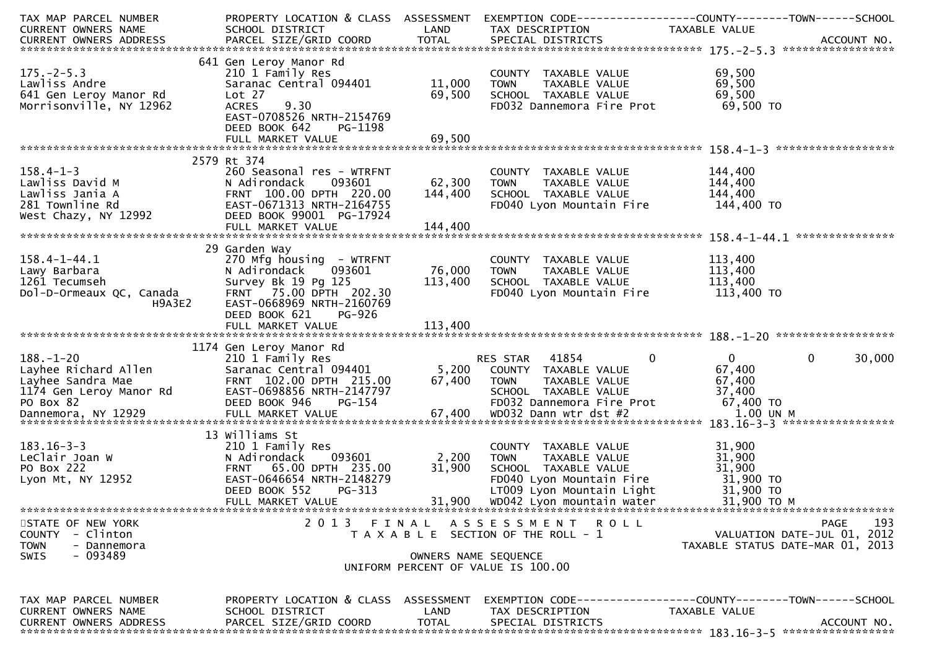| TAX MAP PARCEL NUMBER<br><b>CURRENT OWNERS NAME</b>                                              | PROPERTY LOCATION & CLASS ASSESSMENT<br>SCHOOL DISTRICT                                                                                                                             | LAND                      | TAX DESCRIPTION                                                                                                                                                    | EXEMPTION CODE------------------COUNTY--------TOWN------SCHOOL<br>TAXABLE VALUE                                                                                                                                                                                                |
|--------------------------------------------------------------------------------------------------|-------------------------------------------------------------------------------------------------------------------------------------------------------------------------------------|---------------------------|--------------------------------------------------------------------------------------------------------------------------------------------------------------------|--------------------------------------------------------------------------------------------------------------------------------------------------------------------------------------------------------------------------------------------------------------------------------|
| $175. - 2 - 5.3$<br>Lawliss Andre<br>641 Gen Leroy Manor Rd<br>Morrisonville, NY 12962           | 641 Gen Leroy Manor Rd<br>210 1 Family Res<br>Saranac Central 094401<br>Lot 27<br>9.30<br><b>ACRES</b><br>EAST-0708526 NRTH-2154769<br>DEED BOOK 642<br>PG-1198                     | 11,000<br>69,500          | COUNTY TAXABLE VALUE<br><b>TOWN</b><br>TAXABLE VALUE<br>SCHOOL TAXABLE VALUE<br>FD032 Dannemora Fire Prot                                                          | 69,500<br>69,500<br>69,500<br>69,500 TO                                                                                                                                                                                                                                        |
| $158.4 - 1 - 3$<br>Lawliss David M<br>Lawliss Jania A<br>281 Townline Rd<br>West Chazy, NY 12992 | 2579 Rt 374<br>260 Seasonal res - WTRFNT<br>N Adirondack<br>093601<br>FRNT 100.00 DPTH 220.00<br>EAST-0671313 NRTH-2164755<br>DEED BOOK 99001 PG-17924                              | 62,300<br>144,400         | COUNTY TAXABLE VALUE<br><b>TOWN</b><br>TAXABLE VALUE<br>SCHOOL TAXABLE VALUE<br>FD040 Lyon Mountain Fire                                                           | 144,400<br>144,400<br>144,400<br>144,400 TO                                                                                                                                                                                                                                    |
| $158.4 - 1 - 44.1$<br>Lawy Barbara<br>1261 Tecumseh<br>Dol-D-Ormeaux QC, Canada<br>H9A3E2        | 29 Garden Way<br>270 Mfg housing - WTRFNT<br>093601<br>N Adirondack<br>Survey Bk 19 Pg 125<br>FRNT 75.00 DPTH 202.30<br>EAST-0668969 NRTH-2160769<br>DEED BOOK 621<br><b>PG-926</b> | 76,000<br>113,400         | COUNTY TAXABLE VALUE<br><b>TOWN</b><br>TAXABLE VALUE<br>SCHOOL TAXABLE VALUE<br>FD040 Lyon Mountain Fire                                                           | 113,400<br>113,400<br>113,400<br>113,400 TO                                                                                                                                                                                                                                    |
|                                                                                                  | 1174 Gen Leroy Manor Rd                                                                                                                                                             |                           |                                                                                                                                                                    |                                                                                                                                                                                                                                                                                |
| $188. - 1 - 20$                                                                                  | 210 1 Family Res                                                                                                                                                                    |                           | $\mathbf 0$<br>RES STAR 41854                                                                                                                                      | $\mathbf{0}$<br>$\mathbf{0}$<br>30,000<br>1.00 UNIVERSIDE REVIS AND TAXABLE VALUE<br>Layhee Richard Allen FRNT 102.00 DPTH 215.00 67,400 TOWN TAXABLE VALUE 67,400<br>1174 Gen Leroy Manor Rd EAST-0698856 NRTH-2147797 SCHOOL TAXABLE VALUE 67,400<br>PO Box 82 DEED BOOK 946 |
| $183.16 - 3 - 3$<br>LeClair Joan W<br>PO Box 222<br>Lyon Mt, NY 12952                            | 13 Williams St<br>210 1 Family Res<br>093601<br>N Adirondack<br>FRNT 65.00 DPTH 235.00<br>EAST-0646654 NRTH-2148279<br>DEED BOOK 552<br>PG-313<br>FULL MARKET VALUE                 | 2,200<br>31,900<br>31,900 | COUNTY TAXABLE VALUE<br><b>TOWN</b><br>TAXABLE VALUE<br>SCHOOL TAXABLE VALUE<br>FD040 Lyon Mountain Fire<br>LT009 Lyon Mountain Light<br>WD042 Lyon mountain water | 31,900<br>31,900<br>31,900<br>31,900 TO<br>31,900 TO<br>31,900 ТО М                                                                                                                                                                                                            |
| STATE OF NEW YORK<br>COUNTY - Clinton<br><b>TOWN</b><br>- Dannemora<br>- 093489<br><b>SWIS</b>   | 2013<br>FINAL                                                                                                                                                                       | OWNERS NAME SEQUENCE      | A S S E S S M E N T R O L L<br>T A X A B L E SECTION OF THE ROLL - 1<br>UNIFORM PERCENT OF VALUE IS 100.00                                                         | 193<br>PAGE<br>VALUATION DATE-JUL 01, 2012<br>TAXABLE STATUS DATE-MAR 01, 2013                                                                                                                                                                                                 |
| TAX MAP PARCEL NUMBER<br>CURRENT OWNERS NAME<br>CURRENT OWNERS ADDRESS                           | PROPERTY LOCATION & CLASS ASSESSMENT<br>SCHOOL DISTRICT<br>PARCEL SIZE/GRID COORD                                                                                                   | LAND<br><b>TOTAL</b>      | TAX DESCRIPTION<br>SPECIAL DISTRICTS                                                                                                                               | EXEMPTION CODE-----------------COUNTY--------TOWN------SCHOOL<br>TAXABLE VALUE<br>ACCOUNT NO.                                                                                                                                                                                  |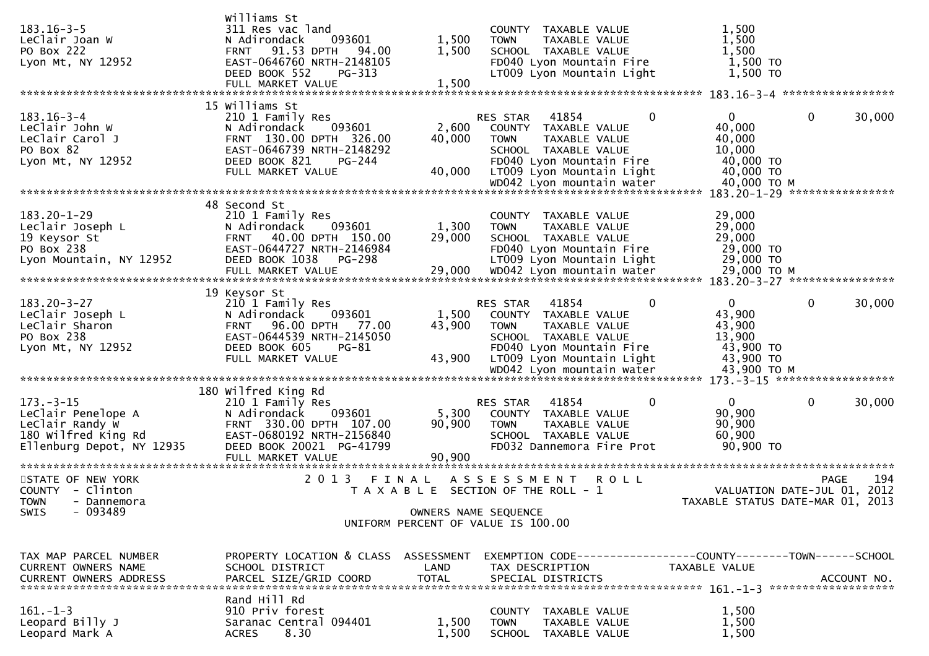| $183.16 - 3 - 5$<br>LeClair Joan W<br>PO Box 222<br>Lyon Mt, NY 12952                                        | Williams St<br>311 Res vac land<br>093601<br>N Adirondack<br>91.53 DPTH<br>94.00<br><b>FRNT</b><br>EAST-0646760 NRTH-2148105<br>DEED BOOK 552<br>$PG-313$<br>FULL MARKET VALUE | 1,500<br>1,500<br>1,500   | COUNTY TAXABLE VALUE<br>TAXABLE VALUE<br>TOWN<br>SCHOOL TAXABLE VALUE<br>FD040 Lyon Mountain Fire<br>LT009 Lyon Mountain Light                                  | 1,500<br>1,500<br>1,500<br>1,500 TO<br>1,500 TO                        |                                                   |
|--------------------------------------------------------------------------------------------------------------|--------------------------------------------------------------------------------------------------------------------------------------------------------------------------------|---------------------------|-----------------------------------------------------------------------------------------------------------------------------------------------------------------|------------------------------------------------------------------------|---------------------------------------------------|
|                                                                                                              | 15 Williams St                                                                                                                                                                 |                           |                                                                                                                                                                 |                                                                        |                                                   |
| $183.16 - 3 - 4$<br>LeClair John W<br>LeClair Carol J<br>PO Box 82<br>Lyon Mt, NY 12952                      | 210 1 Family Res<br>093601<br>N Adirondack<br>FRNT 130.00 DPTH 326.00<br>EAST-0646739 NRTH-2148292<br>DEED BOOK 821<br>PG-244<br>FULL MARKET VALUE                             | 2,600<br>40,000<br>40,000 | 41854<br>0<br>RES STAR<br>COUNTY TAXABLE VALUE<br><b>TOWN</b><br>TAXABLE VALUE<br>SCHOOL TAXABLE VALUE<br>FD040 Lyon Mountain Fire<br>LT009 Lyon Mountain Light | $\overline{0}$<br>40,000<br>40,000<br>10,000<br>40,000 TO<br>40,000 TO | $\mathbf 0$<br>30,000                             |
|                                                                                                              |                                                                                                                                                                                |                           |                                                                                                                                                                 |                                                                        |                                                   |
| $183.20 - 1 - 29$<br>Leclair Joseph L<br>19 Keysor St<br>PO Box 238<br>Lyon Mountain, NY 12952               | 48 Second St<br>210 1 Family Res<br>093601<br>N Adirondack<br>40.00 DPTH 150.00<br><b>FRNT</b><br>EAST-0644727 NRTH-2146984<br>DEED BOOK 1038<br>PG-298                        | 1,300<br>29,000           | COUNTY TAXABLE VALUE<br>TAXABLE VALUE<br><b>TOWN</b><br>SCHOOL TAXABLE VALUE<br>FD040 Lyon Mountain Fire<br>LT009 Lyon Mountain Light                           | 29,000<br>29,000<br>29,000<br>29,000 TO<br>29,000 TO                   |                                                   |
|                                                                                                              | 19 Keysor St                                                                                                                                                                   |                           |                                                                                                                                                                 |                                                                        |                                                   |
| $183.20 - 3 - 27$<br>LeClair Joseph L<br>LeClair Sharon<br>PO Box 238<br>Lyon Mt, NY 12952                   | 210 1 Family Res<br>093601<br>N Adirondack<br><b>FRNT</b><br>96.00 DPTH<br>77.00<br>EAST-0644539 NRTH-2145050<br>DEED BOOK 605<br>PG-81<br>FULL MARKET VALUE                   | 1,500<br>43,900<br>43,900 | RES STAR<br>41854<br>0<br>COUNTY TAXABLE VALUE<br><b>TOWN</b><br>TAXABLE VALUE<br>SCHOOL TAXABLE VALUE<br>FD040 Lyon Mountain Fire<br>LT009 Lyon Mountain Light | $\overline{0}$<br>43,900<br>43,900<br>13,900<br>43,900 TO<br>43,900 TO | 30,000<br>0                                       |
|                                                                                                              |                                                                                                                                                                                |                           |                                                                                                                                                                 |                                                                        |                                                   |
| $173. - 3 - 15$<br>LeClair Penelope A<br>LeClair Randy W<br>180 Wilfred King Rd<br>Ellenburg Depot, NY 12935 | 180 Wilfred King Rd<br>210 1 Family Res<br>N Adirondack<br>093601<br>FRNT 330.00 DPTH 107.00<br>EAST-0680192 NRTH-2156840<br>DEED BOOK 20021 PG-41799<br>FULL MARKET VALUE     | 5,300<br>90,900<br>90,900 | 41854<br>0<br>RES STAR<br>COUNTY TAXABLE VALUE<br>TAXABLE VALUE<br><b>TOWN</b><br>SCHOOL TAXABLE VALUE<br>FD032 Dannemora Fire Prot                             | $\overline{0}$<br>90,900<br>90,900<br>60,900<br>90,900 TO              | 0<br>30,000                                       |
| STATE OF NEW YORK<br>COUNTY - Clinton                                                                        | 2 0 1 3                                                                                                                                                                        | FINAL                     | A S S E S S M E N T<br><b>ROLL</b><br>T A X A B L E SECTION OF THE ROLL - 1                                                                                     |                                                                        | 194<br><b>PAGE</b><br>VALUATION DATE-JUL 01, 2012 |
| TOWN - Dannemora<br>$-093489$<br>SWIS                                                                        |                                                                                                                                                                                | OWNERS NAME SEQUENCE      | UNIFORM PERCENT OF VALUE IS 100.00                                                                                                                              |                                                                        | TAXABLE STATUS DATE-MAR 01, 2013                  |
| TAX MAP PARCEL NUMBER<br>CURRENT OWNERS NAME<br>CURRENT OWNERS ADDRESS                                       | PROPERTY LOCATION & CLASS ASSESSMENT<br>SCHOOL DISTRICT<br>PARCEL SIZE/GRID COORD                                                                                              | LAND<br><b>TOTAL</b>      | EXEMPTION CODE------------------COUNTY--------TOWN------SCHOOL<br>TAX DESCRIPTION<br>SPECIAL DISTRICTS                                                          | TAXABLE VALUE                                                          | ACCOUNT NO.                                       |
| $161. - 1 - 3$<br>Leopard Billy J<br>Leopard Mark A                                                          | Rand Hill Rd<br>910 Priv forest<br>Saranac Central 094401<br>8.30<br><b>ACRES</b>                                                                                              | 1,500<br>1,500            | COUNTY TAXABLE VALUE<br><b>TOWN</b><br>TAXABLE VALUE<br>SCHOOL TAXABLE VALUE                                                                                    | 1,500<br>1,500<br>1,500                                                |                                                   |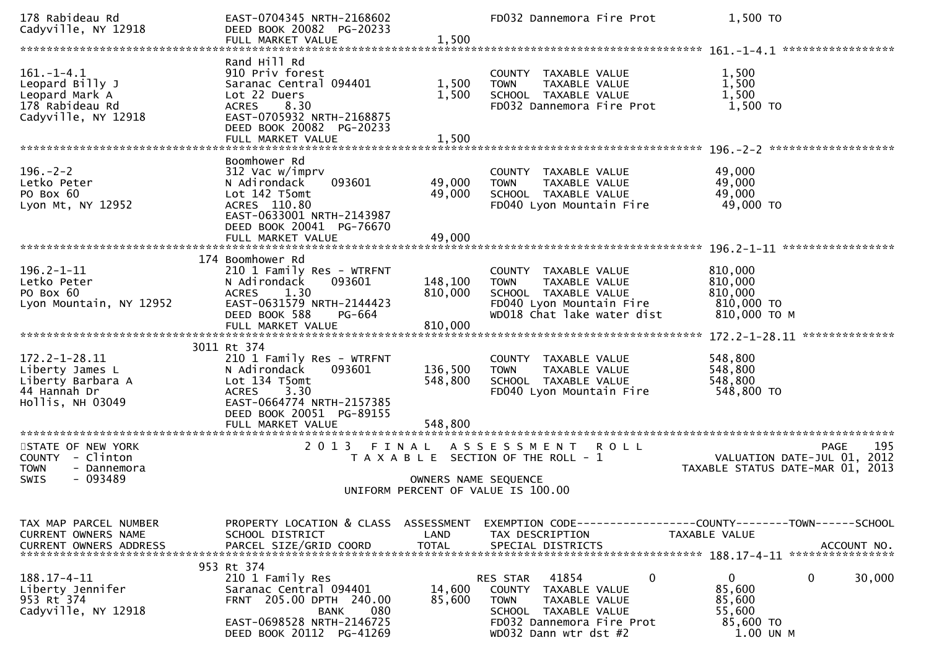| 178 Rabideau Rd<br>Cadyville, NY 12918                                                          | EAST-0704345 NRTH-2168602<br>DEED BOOK 20082 PG-20233                                                                                                                           |                                    | FD032 Dannemora Fire Prot                                                                                                                                                 | 1,500 TO                                                                                                         |
|-------------------------------------------------------------------------------------------------|---------------------------------------------------------------------------------------------------------------------------------------------------------------------------------|------------------------------------|---------------------------------------------------------------------------------------------------------------------------------------------------------------------------|------------------------------------------------------------------------------------------------------------------|
|                                                                                                 | FULL MARKET VALUE                                                                                                                                                               | 1,500                              |                                                                                                                                                                           |                                                                                                                  |
| $161. - 1 - 4.1$<br>Leopard Billy J<br>Leopard Mark A<br>178 Rabideau Rd<br>Cadyville, NY 12918 | Rand Hill Rd<br>910 Priv forest<br>Saranac Central 094401<br>Lot 22 Duers<br>8.30<br><b>ACRES</b><br>EAST-0705932 NRTH-2168875<br>DEED BOOK 20082 PG-20233<br>FULL MARKET VALUE | 1,500<br>1,500<br>1,500            | COUNTY TAXABLE VALUE<br>TAXABLE VALUE<br><b>TOWN</b><br>SCHOOL TAXABLE VALUE<br>FD032 Dannemora Fire Prot                                                                 | 1,500<br>1,500<br>1,500<br>1,500 TO                                                                              |
| $196. - 2 - 2$<br>Letko Peter<br>PO Box 60<br>Lyon Mt, NY 12952                                 | Boomhower Rd<br>312 Vac w/imprv<br>093601<br>N Adirondack<br>Lot 142 T5omt<br>ACRES 110.80<br>EAST-0633001 NRTH-2143987<br>DEED BOOK 20041 PG-76670<br>FULL MARKET VALUE        | 49,000<br>49,000<br>49,000         | COUNTY TAXABLE VALUE<br><b>TOWN</b><br>TAXABLE VALUE<br>SCHOOL TAXABLE VALUE<br>FD040 Lyon Mountain Fire                                                                  | 49,000<br>49,000<br>49,000<br>49,000 TO                                                                          |
| $196.2 - 1 - 11$<br>Letko Peter<br>PO Box 60<br>Lyon Mountain, NY 12952                         | 174 Boomhower Rd<br>210 1 Family Res - WTRFNT<br>N Adirondack<br>093601<br>1.30<br><b>ACRES</b><br>EAST-0631579 NRTH-2144423<br>DEED BOOK 588<br>PG-664<br>FULL MARKET VALUE    | 148,100<br>810,000<br>810,000      | COUNTY TAXABLE VALUE<br>TAXABLE VALUE<br><b>TOWN</b><br>SCHOOL TAXABLE VALUE<br>FD040 Lyon Mountain Fire<br>WD018 Chat lake water dist                                    | 810,000<br>810,000<br>810,000<br>810,000 TO<br>810,000 ТО М                                                      |
|                                                                                                 |                                                                                                                                                                                 |                                    |                                                                                                                                                                           | 172.2-1-28.11 ***************                                                                                    |
| $172.2 - 1 - 28.11$<br>Liberty James L<br>Liberty Barbara A<br>44 Hannah Dr<br>Hollis, NH 03049 | 3011 Rt 374<br>210 1 Family Res - WTRFNT<br>N Adirondack<br>093601<br>Lot 134 T5omt<br>3.30<br><b>ACRES</b><br>EAST-0664774 NRTH-2157385<br>DEED BOOK 20051 PG-89155            | 136,500<br>548,800                 | COUNTY TAXABLE VALUE<br>TAXABLE VALUE<br><b>TOWN</b><br>SCHOOL TAXABLE VALUE<br>FD040 Lyon Mountain Fire                                                                  | 548,800<br>548,800<br>548,800<br>548,800 TO                                                                      |
|                                                                                                 | FULL MARKET VALUE                                                                                                                                                               | 548,800                            |                                                                                                                                                                           |                                                                                                                  |
| STATE OF NEW YORK<br>COUNTY - Clinton<br><b>TOWN</b><br>- Dannemora<br>$-093489$<br>SWIS        | 2 0 1 3<br>FINAL                                                                                                                                                                | OWNERS NAME SEQUENCE               | A S S E S S M E N T<br><b>ROLL</b><br>T A X A B L E SECTION OF THE ROLL - 1<br>UNIFORM PERCENT OF VALUE IS 100.00                                                         | 195<br>PAGE<br>2012<br>VALUATION DATE-JUL 01,<br>TAXABLE STATUS DATE-MAR 01, 2013                                |
| TAX MAP PARCEL NUMBER<br>CURRENT OWNERS NAME<br><b>CURRENT OWNERS ADDRESS</b>                   | PROPERTY LOCATION & CLASS<br>SCHOOL DISTRICT<br>PARCEL SIZE/GRID COORD                                                                                                          | ASSESSMENT<br>LAND<br><b>TOTAL</b> | TAX DESCRIPTION<br>SPECIAL DISTRICTS                                                                                                                                      | EXEMPTION CODE-----------------COUNTY-------TOWN------SCHOOL<br>TAXABLE VALUE<br>ACCOUNT NO.<br>**************** |
| 188.17-4-11<br>Liberty Jennifer<br>953 Rt 374<br>Cadyville, NY 12918                            | 953 Rt 374<br>210 1 Family Res<br>Saranac Central 094401<br>FRNT 205.00 DPTH 240.00<br>080<br><b>BANK</b><br>EAST-0698528 NRTH-2146725<br>DEED BOOK 20112 PG-41269              | 14,600<br>85,600                   | 41854<br>$\mathbf 0$<br>RES STAR<br>COUNTY<br>TAXABLE VALUE<br><b>TOWN</b><br>TAXABLE VALUE<br>SCHOOL TAXABLE VALUE<br>FD032 Dannemora Fire Prot<br>WD032 Dann wtr dst #2 | $\mathbf{0}$<br>$\mathbf 0$<br>30,000<br>85,600<br>85,600<br>55,600<br>85,600 TO<br>1.00 UN M                    |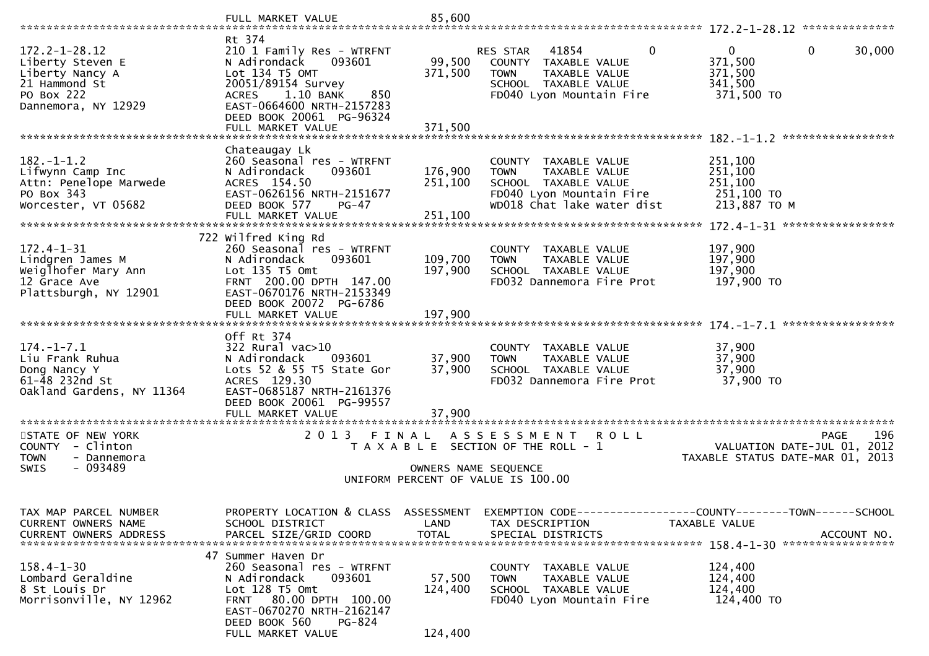|                                                                                                                  | FULL MARKET VALUE                                                                                                                                                                                    | 85,600                        |                                                                                                                                        |                                                                                      |
|------------------------------------------------------------------------------------------------------------------|------------------------------------------------------------------------------------------------------------------------------------------------------------------------------------------------------|-------------------------------|----------------------------------------------------------------------------------------------------------------------------------------|--------------------------------------------------------------------------------------|
|                                                                                                                  | Rt 374                                                                                                                                                                                               |                               |                                                                                                                                        |                                                                                      |
| $172.2 - 1 - 28.12$<br>Liberty Steven E<br>Liberty Nancy A<br>21 Hammond St<br>PO Box 222<br>Dannemora, NY 12929 | 210 1 Family Res - WTRFNT<br>N Adirondack<br>093601<br>Lot 134 T5 OMT<br>20051/89154 Survey<br>ACRES 1.10 BANK<br>850<br>EAST-0664600 NRTH-2157283                                                   | 99,500<br>371,500             | 41854<br>0<br>RES STAR<br>COUNTY TAXABLE VALUE<br><b>TOWN</b><br>TAXABLE VALUE<br>SCHOOL TAXABLE VALUE<br>FD040 Lyon Mountain Fire     | $\mathbf{0}$<br>$\mathbf 0$<br>30,000<br>371,500<br>371,500<br>341,500<br>371,500 TO |
|                                                                                                                  | DEED BOOK 20061 PG-96324<br>FULL MARKET VALUE                                                                                                                                                        | 371,500                       |                                                                                                                                        |                                                                                      |
|                                                                                                                  |                                                                                                                                                                                                      |                               |                                                                                                                                        |                                                                                      |
| $182. - 1 - 1.2$<br>Lifwynn Camp Inc<br>Attn: Penelope Marwede<br>PO Box 343<br>Worcester, VT 05682              | Chateaugay Lk<br>260 Seasonal res - WTRFNT<br>N Adirondack<br>093601<br>ACRES 154.50<br>EAST-0626156 NRTH-2151677<br>DEED BOOK 577<br>PG-47                                                          | 176,900<br>251,100            | COUNTY TAXABLE VALUE<br><b>TOWN</b><br>TAXABLE VALUE<br>SCHOOL TAXABLE VALUE<br>FD040 Lyon Mountain Fire<br>WD018 Chat lake water dist | 251,100<br>251,100<br>251,100<br>251,100 TO<br>213,887 TO M                          |
|                                                                                                                  | FULL MARKET VALUE                                                                                                                                                                                    | 251,100                       |                                                                                                                                        |                                                                                      |
|                                                                                                                  |                                                                                                                                                                                                      |                               |                                                                                                                                        |                                                                                      |
| $172.4 - 1 - 31$<br>Lindgren James M<br>Weiglhofer Mary Ann<br>12 Grace Ave<br>Plattsburgh, NY 12901             | 722 Wilfred King Rd<br>260 Seasonal res - WTRFNT<br>093601<br>N Adirondack<br>Lot 135 T5 Omt<br>FRNT 200.00 DPTH 147.00<br>EAST-0670176 NRTH-2153349<br>DEED BOOK 20072 PG-6786<br>FULL MARKET VALUE | 109,700<br>197,900<br>197,900 | COUNTY TAXABLE VALUE<br><b>TAXABLE VALUE</b><br><b>TOWN</b><br>SCHOOL TAXABLE VALUE<br>FD032 Dannemora Fire Prot                       | 197,900<br>197,900<br>197,900<br>197,900 TO                                          |
|                                                                                                                  |                                                                                                                                                                                                      |                               |                                                                                                                                        |                                                                                      |
| $174. - 1 - 7.1$<br>Liu Frank Ruhua<br>Dong Nancy Y<br>61-48 232nd St<br>Oakland Gardens, NY 11364               | Off Rt 374<br>322 Rural vac>10<br>N Adirondack<br>093601<br>Lots 52 & 55 T5 State Gor<br>ACRES 129.30<br>EAST-0685187 NRTH-2161376<br>DEED BOOK 20061 PG-99557<br>FULL MARKET VALUE                  | 37,900<br>37,900<br>37,900    | COUNTY TAXABLE VALUE<br><b>TOWN</b><br>TAXABLE VALUE<br>SCHOOL TAXABLE VALUE<br>FD032 Dannemora Fire Prot                              | 37,900<br>37,900<br>37,900<br>37,900 TO                                              |
| STATE OF NEW YORK<br>COUNTY - Clinton<br><b>TOWN</b><br>- Dannemora<br><b>SWIS</b><br>$-093489$                  | 2 0 1 3<br>FINAL                                                                                                                                                                                     |                               | A S S E S S M E N T<br>R O L L<br>T A X A B L E SECTION OF THE ROLL - 1<br>OWNERS NAME SEQUENCE<br>UNIFORM PERCENT OF VALUE IS 100.00  | 196<br>PAGE<br>VALUATION DATE-JUL 01,<br>2012<br>TAXABLE STATUS DATE-MAR 01, 2013    |
| TAX MAP PARCEL NUMBER<br>CURRENT OWNERS NAME                                                                     | PROPERTY LOCATION & CLASS<br>SCHOOL DISTRICT                                                                                                                                                         | ASSESSMENT<br>LAND            | EXEMPTION CODE------------------COUNTY--------TOWN------SCHOOL<br>TAX DESCRIPTION                                                      | TAXABLE VALUE                                                                        |
| $158.4 - 1 - 30$<br>Lombard Geraldine<br>8 St Louis Dr<br>Morrisonville, NY 12962                                | 47 Summer Haven Dr<br>260 Seasonal res - WTRFNT<br>093601<br>N Adirondack<br>Lot 128 T5 Omt<br>FRNT 80.00 DPTH 100.00<br>EAST-0670270 NRTH-2162147<br>DEED BOOK 560<br>PG-824<br>FULL MARKET VALUE   | 57,500<br>124,400<br>124,400  | COUNTY TAXABLE VALUE<br>TAXABLE VALUE<br><b>TOWN</b><br>SCHOOL TAXABLE VALUE<br>FD040 Lyon Mountain Fire                               | 124,400<br>124,400<br>124,400<br>124,400 TO                                          |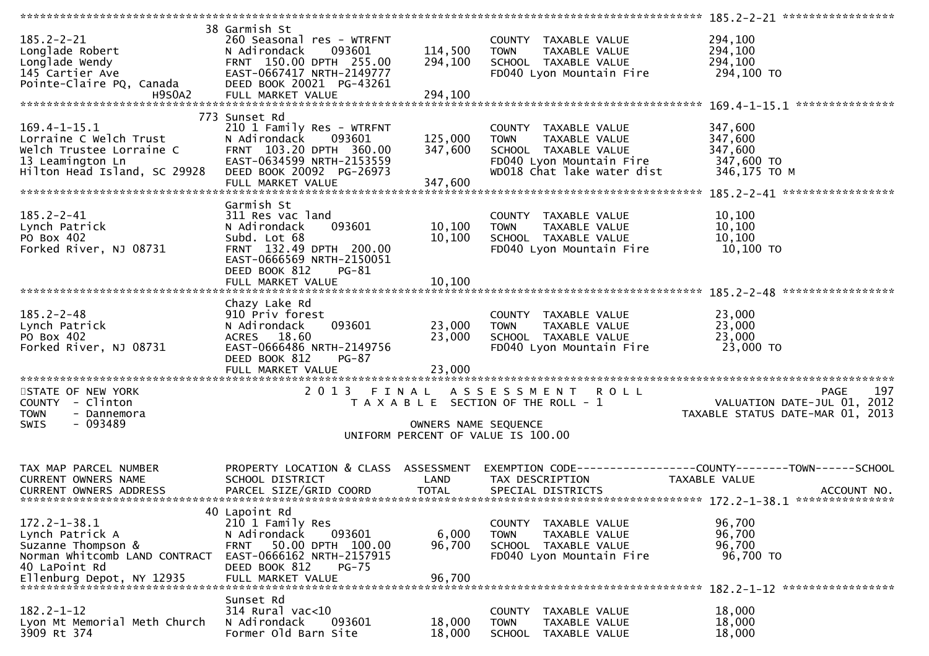| $185.2 - 2 - 21$<br>Longlade Robert<br>Longlade Wendy<br>145 Cartier Ave<br>Pointe-Claire PQ, Canada<br><b>H9S0A2</b>                      | 38 Garmish St<br>260 Seasonal res - WTRFNT<br>093601<br>N Adirondack<br>FRNT 150.00 DPTH 255.00<br>EAST-0667417 NRTH-2149777<br>DEED BOOK 20021 PG-43261<br>FULL MARKET VALUE | 114,500<br>294,100<br>294,100 | COUNTY TAXABLE VALUE<br>TAXABLE VALUE<br><b>TOWN</b><br>SCHOOL TAXABLE VALUE<br>FD040 Lyon Mountain Fire                               | 294,100<br>294,100<br>294,100<br>294,100 TO                                                  |
|--------------------------------------------------------------------------------------------------------------------------------------------|-------------------------------------------------------------------------------------------------------------------------------------------------------------------------------|-------------------------------|----------------------------------------------------------------------------------------------------------------------------------------|----------------------------------------------------------------------------------------------|
|                                                                                                                                            |                                                                                                                                                                               |                               |                                                                                                                                        |                                                                                              |
| $169.4 - 1 - 15.1$<br>Lorraine C Welch Trust<br>Welch Trustee Lorraine C<br>13 Leamington Ln<br>Hilton Head Island, SC 29928               | 773 Sunset Rd<br>210 1 Family Res - WTRFNT<br>N Adirondack<br>093601<br>FRNT 103.20 DPTH 360.00<br>EAST-0634599 NRTH-2153559<br>DEED BOOK 20092 PG-26973<br>FULL MARKET VALUE | 125,000<br>347,600<br>347,600 | COUNTY TAXABLE VALUE<br>TAXABLE VALUE<br><b>TOWN</b><br>SCHOOL TAXABLE VALUE<br>FD040 Lyon Mountain Fire<br>WD018 Chat lake water dist | 347,600<br>347,600<br>347,600<br>347,600 TO<br>346,175 TO M                                  |
|                                                                                                                                            | Garmish St                                                                                                                                                                    |                               |                                                                                                                                        |                                                                                              |
| $185.2 - 2 - 41$<br>Lynch Patrick<br>PO Box 402<br>Forked River, NJ 08731                                                                  | 311 Res vac land<br>N Adirondack<br>093601<br>Subd. Lot 68<br>FRNT 132.49 DPTH 200.00<br>EAST-0666569 NRTH-2150051<br>DEED BOOK 812<br>PG-81                                  | 10,100<br>10,100              | COUNTY TAXABLE VALUE<br><b>TOWN</b><br>TAXABLE VALUE<br>SCHOOL TAXABLE VALUE<br>FD040 Lyon Mountain Fire                               | 10,100<br>10,100<br>10, 100<br>10,100 TO                                                     |
|                                                                                                                                            | FULL MARKET VALUE                                                                                                                                                             | 10,100                        |                                                                                                                                        |                                                                                              |
| $185.2 - 2 - 48$<br>Lynch Patrick<br>PO Box 402<br>Forked River, NJ 08731                                                                  | Chazy Lake Rd<br>910 Priv forest<br>N Adirondack<br>093601<br>ACRES 18.60<br>EAST-0666486 NRTH-2149756<br>DEED BOOK 812<br>PG-87                                              | 23,000<br>23,000              | COUNTY TAXABLE VALUE<br>TAXABLE VALUE<br><b>TOWN</b><br>SCHOOL TAXABLE VALUE<br>FD040 Lyon Mountain Fire                               | 23,000<br>23,000<br>23,000<br>23,000 TO                                                      |
|                                                                                                                                            | FULL MARKET VALUE                                                                                                                                                             | 23,000                        |                                                                                                                                        |                                                                                              |
| STATE OF NEW YORK<br>COUNTY - Clinton<br><b>TOWN</b><br>- Dannemora<br>$-093489$<br>SWIS                                                   | 2 0 1 3<br>FINAL                                                                                                                                                              | OWNERS NAME SEQUENCE          | ASSESSMENT ROLL<br>T A X A B L E SECTION OF THE ROLL - 1                                                                               | 197<br><b>PAGE</b><br>2012<br>VALUATION DATE-JUL 01,<br>TAXABLE STATUS DATE-MAR 01, 2013     |
|                                                                                                                                            |                                                                                                                                                                               |                               | UNIFORM PERCENT OF VALUE IS 100.00                                                                                                     |                                                                                              |
|                                                                                                                                            |                                                                                                                                                                               |                               |                                                                                                                                        |                                                                                              |
| TAX MAP PARCEL NUMBER<br>CURRENT OWNERS NAME<br><b>CURRENT OWNERS ADDRESS</b>                                                              | PROPERTY LOCATION & CLASS ASSESSMENT<br>SCHOOL DISTRICT<br>PARCEL SIZE/GRID COORD                                                                                             | LAND<br><b>TOTAL</b>          | TAX DESCRIPTION<br>SPECIAL DISTRICTS                                                                                                   | EXEMPTION CODE-----------------COUNTY-------TOWN------SCHOOL<br>TAXABLE VALUE<br>ACCOUNT NO. |
|                                                                                                                                            | 40 Lapoint Rd                                                                                                                                                                 |                               |                                                                                                                                        |                                                                                              |
| $172.2 - 1 - 38.1$<br>Lynch Patrick A<br>Suzanne Thompson &<br>Norman Whitcomb LAND CONTRACT<br>40 LaPoint Rd<br>Ellenburg Depot, NY 12935 | 210 1 Family Res<br>N Adirondack<br>093601<br>50.00 DPTH 100.00<br><b>FRNT</b><br>EAST-0666162 NRTH-2157915<br>DEED BOOK 812<br>$PG-75$<br>FULL MARKET VALUE                  | 6,000<br>96,700<br>96,700     | COUNTY TAXABLE VALUE<br><b>TOWN</b><br>TAXABLE VALUE<br>SCHOOL TAXABLE VALUE<br>FD040 Lyon Mountain Fire                               | 96,700<br>96,700<br>96,700<br>96,700 TO                                                      |
|                                                                                                                                            | Sunset Rd                                                                                                                                                                     |                               |                                                                                                                                        |                                                                                              |
| $182.2 - 1 - 12$<br>Lyon Mt Memorial Meth Church<br>3909 Rt 374                                                                            | $314$ Rural vac<10<br>N Adirondack<br>093601<br>Former Old Barn Site                                                                                                          | 18,000<br>18,000              | <b>COUNTY</b><br>TAXABLE VALUE<br><b>TOWN</b><br>TAXABLE VALUE<br><b>SCHOOL</b><br>TAXABLE VALUE                                       | 18,000<br>18,000<br>18,000                                                                   |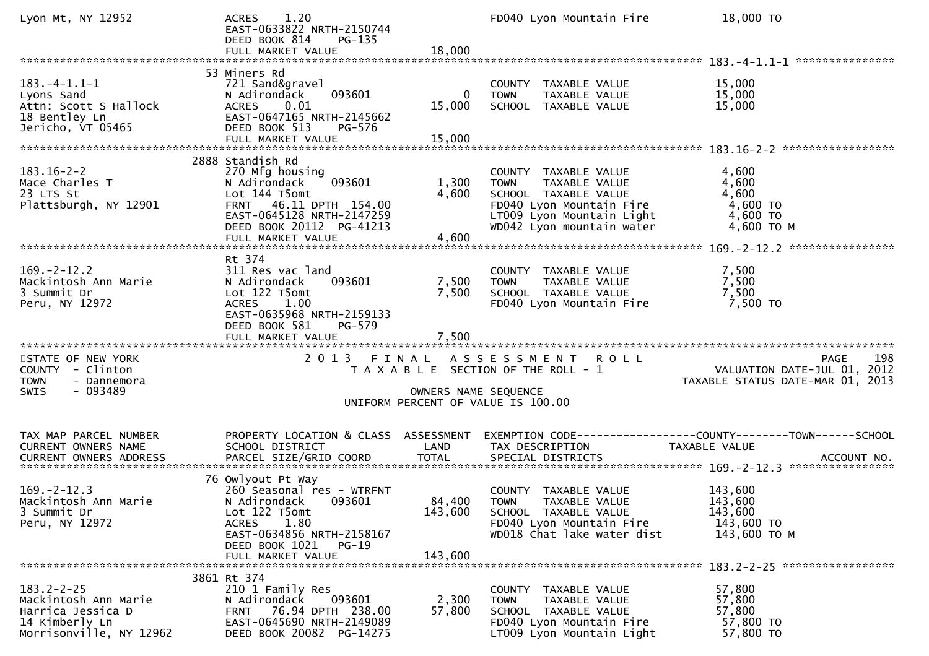| Lyon Mt, NY 12952                                                                                          | 1.20<br><b>ACRES</b><br>EAST-0633822 NRTH-2150744<br>DEED BOOK 814<br>$PG-135$<br>FULL MARKET VALUE                                                                                            | 18,000                           | FD040 Lyon Mountain Fire                                                                                                                                           | 18,000 TO                                                                      |
|------------------------------------------------------------------------------------------------------------|------------------------------------------------------------------------------------------------------------------------------------------------------------------------------------------------|----------------------------------|--------------------------------------------------------------------------------------------------------------------------------------------------------------------|--------------------------------------------------------------------------------|
|                                                                                                            |                                                                                                                                                                                                |                                  |                                                                                                                                                                    |                                                                                |
| $183. -4 - 1.1 - 1$<br>Lyons Sand<br>Attn: Scott S Hallock<br>18 Bentley Ln<br>Jericho, VT 05465           | 53 Miners Rd<br>721 Sand&gravel<br>N Adirondack<br>093601<br>0.01<br>ACRES<br>EAST-0647165 NRTH-2145662<br>DEED BOOK 513<br>PG-576<br>FULL MARKET VALUE                                        | $\mathbf{0}$<br>15,000<br>15,000 | COUNTY TAXABLE VALUE<br>TAXABLE VALUE<br><b>TOWN</b><br>SCHOOL TAXABLE VALUE                                                                                       | 15,000<br>15,000<br>15,000                                                     |
|                                                                                                            |                                                                                                                                                                                                |                                  |                                                                                                                                                                    |                                                                                |
| $183.16 - 2 - 2$<br>Mace Charles T<br>23 LTS St<br>Plattsburgh, NY 12901                                   | 2888 Standish Rd<br>270 Mfg housing<br>093601<br>N Adirondack<br>Lot 144 T5omt<br>FRNT 46.11 DPTH 154.00<br>EAST-0645128 NRTH-2147259<br>DEED BOOK 20112 PG-41213<br>FULL MARKET VALUE         | 1,300<br>4,600<br>4,600          | COUNTY TAXABLE VALUE<br>TAXABLE VALUE<br><b>TOWN</b><br>SCHOOL TAXABLE VALUE<br>FD040 Lyon Mountain Fire<br>LT009 Lyon Mountain Light<br>WD042 Lyon mountain water | 4,600<br>4,600<br>4,600<br>4,600 TO<br>4,600 TO<br>4,600 TO M                  |
|                                                                                                            | Rt 374                                                                                                                                                                                         |                                  |                                                                                                                                                                    |                                                                                |
| $169. - 2 - 12.2$<br>Mackintosh Ann Marie<br>3 Summit Dr<br>Peru, NY 12972                                 | 311 Res vac land<br>N Adirondack<br>093601<br>Lot 122 T5omt<br><b>ACRES</b><br>1.00<br>EAST-0635968 NRTH-2159133<br>DEED BOOK 581<br>PG-579                                                    | 7,500<br>7,500                   | COUNTY TAXABLE VALUE<br>TAXABLE VALUE<br><b>TOWN</b><br>SCHOOL TAXABLE VALUE<br>FD040 Lyon Mountain Fire                                                           | 7,500<br>7,500<br>7,500<br>7,500 TO                                            |
|                                                                                                            |                                                                                                                                                                                                |                                  |                                                                                                                                                                    |                                                                                |
| STATE OF NEW YORK<br>COUNTY - Clinton<br>- Dannemora<br><b>TOWN</b><br>$-093489$<br><b>SWIS</b>            |                                                                                                                                                                                                | OWNERS NAME SEQUENCE             | 2013 FINAL ASSESSMENT ROLL<br>T A X A B L E SECTION OF THE ROLL - 1<br>UNIFORM PERCENT OF VALUE IS 100.00                                                          | 198<br>PAGE<br>VALUATION DATE-JUL 01, 2012<br>TAXABLE STATUS DATE-MAR 01, 2013 |
| TAX MAP PARCEL NUMBER<br>CURRENT OWNERS NAME                                                               | PROPERTY LOCATION & CLASS ASSESSMENT<br>SCHOOL DISTRICT                                                                                                                                        | LAND                             | TAX DESCRIPTION                                                                                                                                                    | <b>TAXABLE VALUE</b><br>ACCOUNT NO.<br>****************                        |
| $169. - 2 - 12.3$<br>Mackintosh Ann Marie<br>3 Summit Dr<br>Peru, NY 12972                                 | 76 Owlyout Pt Way<br>260 Seasonal res - WTRFNT<br>N Adirondack<br>093601<br>Lot 122 T5omt<br>1.80<br><b>ACRES</b><br>EAST-0634856 NRTH-2158167<br>DEED BOOK 1021<br>PG-19<br>FULL MARKET VALUE | 84,400<br>143,600<br>143,600     | COUNTY TAXABLE VALUE<br><b>TOWN</b><br>TAXABLE VALUE<br>SCHOOL TAXABLE VALUE<br>FD040 Lyon Mountain Fire<br>WD018 Chat lake water dist                             | 143,600<br>143,600<br>143,600<br>143,600 TO<br>143,600 TO M                    |
|                                                                                                            | 3861 Rt 374                                                                                                                                                                                    |                                  |                                                                                                                                                                    |                                                                                |
| $183.2 - 2 - 25$<br>Mackintosh Ann Marie<br>Harrica Jessica D<br>14 Kimberly Ln<br>Morrisonville, NY 12962 | 210 1 Family Res<br>N Adirondack<br>093601<br>76.94 DPTH 238.00<br><b>FRNT</b><br>EAST-0645690 NRTH-2149089<br>DEED BOOK 20082 PG-14275                                                        | 2,300<br>57,800                  | COUNTY TAXABLE VALUE<br><b>TOWN</b><br>TAXABLE VALUE<br>SCHOOL TAXABLE VALUE<br>FD040 Lyon Mountain Fire<br>LT009 Lyon Mountain Light                              | 57,800<br>57,800<br>57,800<br>57,800 TO<br>57,800 TO                           |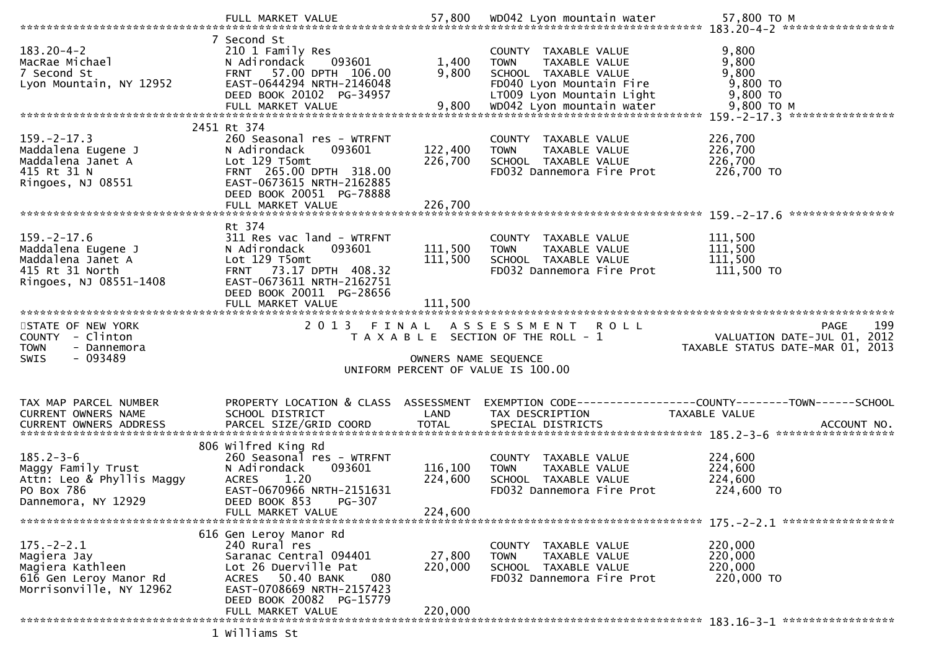| $183.20 - 4 - 2$<br>MacRae Michael<br>7 Second St<br>Lyon Mountain, NY 12952                              | 7 Second St<br>210 1 Family Res<br>093601<br>N Adirondack<br>57.00 DPTH 106.00<br><b>FRNT</b><br>EAST-0644294 NRTH-2146048<br>DEED BOOK 20102 PG-34957                           | 1,400<br>9,800                | COUNTY TAXABLE VALUE<br>TAXABLE VALUE<br><b>TOWN</b><br>SCHOOL TAXABLE VALUE<br>FD040 Lyon Mountain Fire<br>LT009 Lyon Mountain Light | 9,800<br>9,800<br>9,800<br>9,800 TO<br>9,800 TO                                                |
|-----------------------------------------------------------------------------------------------------------|----------------------------------------------------------------------------------------------------------------------------------------------------------------------------------|-------------------------------|---------------------------------------------------------------------------------------------------------------------------------------|------------------------------------------------------------------------------------------------|
|                                                                                                           |                                                                                                                                                                                  |                               |                                                                                                                                       |                                                                                                |
| $159. -2 - 17.3$<br>Maddalena Eugene J<br>Maddalena Janet A<br>415 Rt 31 N<br>Ringoes, NJ 08551           | 2451 Rt 374<br>260 Seasonal res - WTRFNT<br>N Adirondack<br>093601<br>Lot 129 T5omt<br>FRNT 265.00 DPTH 318.00<br>EAST-0673615 NRTH-2162885<br>DEED BOOK 20051 PG-78888          | 122,400<br>226,700            | COUNTY TAXABLE VALUE<br><b>TOWN</b><br>TAXABLE VALUE<br>SCHOOL TAXABLE VALUE<br>FD032 Dannemora Fire Prot                             | 226,700<br>226,700<br>226,700<br>226,700 TO                                                    |
|                                                                                                           | Rt 374                                                                                                                                                                           |                               |                                                                                                                                       |                                                                                                |
| $159. - 2 - 17.6$<br>Maddalena Eugene J<br>Maddalena Janet A<br>415 Rt 31 North<br>Ringoes, NJ 08551-1408 | 311 Res vac land - WTRFNT<br>N Adirondack<br>093601<br>Lot 129 T5omt<br>FRNT 73.17 DPTH 408.32<br>EAST-0673611 NRTH-2162751<br>DEED BOOK 20011 PG-28656                          | 111,500<br>111,500            | COUNTY TAXABLE VALUE<br><b>TOWN</b><br>TAXABLE VALUE<br>SCHOOL TAXABLE VALUE<br>FD032 Dannemora Fire Prot                             | 111,500<br>111,500<br>111,500<br>111,500 TO                                                    |
|                                                                                                           | FULL MARKET VALUE                                                                                                                                                                | 111,500                       |                                                                                                                                       |                                                                                                |
|                                                                                                           |                                                                                                                                                                                  |                               |                                                                                                                                       |                                                                                                |
| STATE OF NEW YORK<br>COUNTY - Clinton<br><b>TOWN</b><br>- Dannemora<br>$-093489$<br>SWIS                  | 2 0 1 3                                                                                                                                                                          | FINAL<br>OWNERS NAME SEQUENCE | ASSESSMENT ROLL<br>T A X A B L E SECTION OF THE ROLL - 1<br>UNIFORM PERCENT OF VALUE IS 100.00                                        | 199<br>PAGE<br>VALUATION DATE-JUL 01, 2012<br>TAXABLE STATUS DATE-MAR 01, 2013                 |
| TAX MAP PARCEL NUMBER<br><b>CURRENT OWNERS NAME</b><br><b>CURRENT OWNERS ADDRESS</b>                      | PROPERTY LOCATION & CLASS ASSESSMENT<br>SCHOOL DISTRICT<br>PARCEL SIZE/GRID COORD                                                                                                | LAND<br><b>TOTAL</b>          | TAX DESCRIPTION<br>SPECIAL DISTRICTS                                                                                                  | EXEMPTION CODE------------------COUNTY--------TOWN------SCHOOL<br>TAXABLE VALUE<br>ACCOUNT NO. |
| $185.2 - 3 - 6$<br>Maggy Family Trust<br>Attn: Leo & Phyllis Maggy<br>PO Box 786<br>Dannemora, NY 12929   | 806 Wilfred King Rd<br>260 Seasonal res - WTRFNT<br>N Adirondack<br>093601<br>1.20<br><b>ACRES</b><br>EAST-0670966 NRTH-2151631<br>PG-307<br>DEED BOOK 853<br>FULL MARKET VALUE  | 116,100<br>224,600<br>224,600 | COUNTY TAXABLE VALUE<br><b>TOWN</b><br>TAXABLE VALUE<br>SCHOOL TAXABLE VALUE<br>FD032 Dannemora Fire Prot                             | 224,600<br>224,600<br>224,600<br>224,600 TO                                                    |
|                                                                                                           |                                                                                                                                                                                  |                               |                                                                                                                                       |                                                                                                |
| $175. - 2 - 2.1$<br>Magiera Jay<br>Magiera Kathleen<br>616 Gen Leroy Manor Rd<br>Morrisonville, NY 12962  | 616 Gen Leroy Manor Rd<br>240 Rural res<br>Saranac Central 094401<br>Lot 26 Duerville Pat<br>50.40 BANK<br>080<br>ACRES<br>EAST-0708669 NRTH-2157423<br>DEED BOOK 20082 PG-15779 | 27,800<br>220,000             | <b>COUNTY</b><br>TAXABLE VALUE<br><b>TOWN</b><br>TAXABLE VALUE<br>SCHOOL TAXABLE VALUE<br>FD032 Dannemora Fire Prot                   | 220,000<br>220,000<br>220,000<br>220,000 TO                                                    |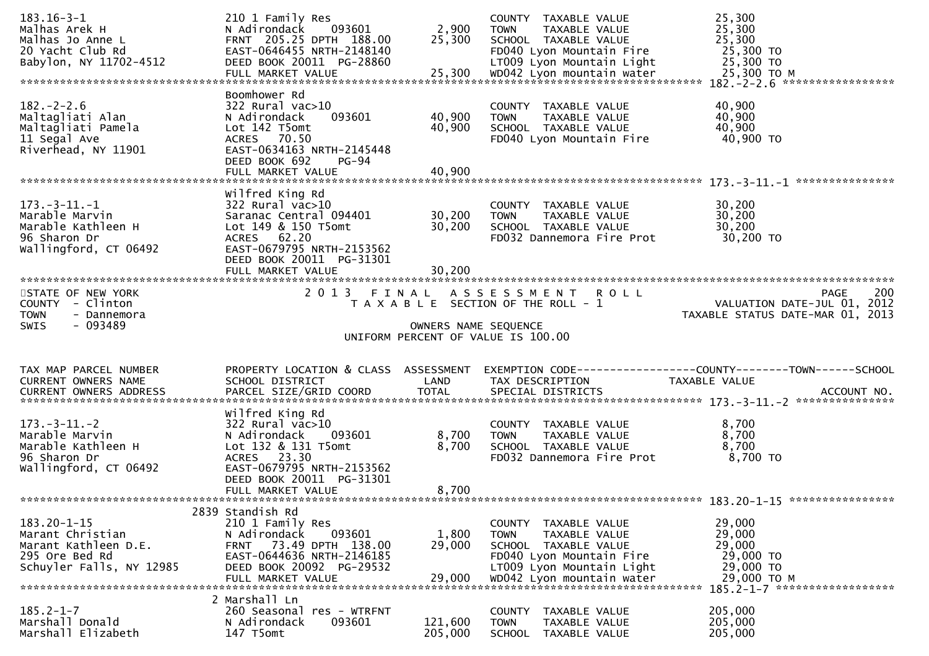| $183.16 - 3 - 1$<br>Malhas Arek H<br>Malhas Jo Anne L<br>20 Yacht Club Rd<br>Babylon, NY 11702-4512         | 210 1 Family Res<br>093601<br>N Adirondack<br>FRNT 205.25 DPTH 188.00<br>EAST-0646455 NRTH-2148140<br>DEED BOOK 20011 PG-28860                                                         | 2,900<br>25,300            | COUNTY TAXABLE VALUE<br><b>TOWN</b><br>TAXABLE VALUE<br>SCHOOL TAXABLE VALUE<br>FD040 Lyon Mountain Fire<br>LT009 Lyon Mountain Light                              | 25,300<br>25,300<br>25,300<br>25,300 TO<br>25,300 TO                                                              |     |
|-------------------------------------------------------------------------------------------------------------|----------------------------------------------------------------------------------------------------------------------------------------------------------------------------------------|----------------------------|--------------------------------------------------------------------------------------------------------------------------------------------------------------------|-------------------------------------------------------------------------------------------------------------------|-----|
|                                                                                                             | Boomhower Rd                                                                                                                                                                           |                            |                                                                                                                                                                    |                                                                                                                   |     |
| $182 - 2 - 2.6$<br>Maltagliati Alan<br>Maltagliati Pamela<br>11 Segal Ave<br>Riverhead, NY 11901            | $322$ Rural vac $>10$<br>093601<br>N Adirondack<br>Lot 142 T5omt<br>ACRES 70.50<br>EAST-0634163 NRTH-2145448<br>DEED BOOK 692<br>$PG-94$<br>FULL MARKET VALUE                          | 40,900<br>40,900<br>40,900 | COUNTY TAXABLE VALUE<br>TAXABLE VALUE<br><b>TOWN</b><br>SCHOOL TAXABLE VALUE<br>FD040 Lyon Mountain Fire                                                           | 40,900<br>40,900<br>40,900<br>40,900 TO                                                                           |     |
|                                                                                                             |                                                                                                                                                                                        |                            |                                                                                                                                                                    |                                                                                                                   |     |
| $173. - 3 - 11. - 1$<br>Marable Marvin<br>Marable Kathleen H<br>96 Sharon Dr<br>Wallingford, CT 06492       | Wilfred King Rd<br>$322$ Rural vac $>10$<br>Saranac Central 094401<br>Lot 149 & 150 T5omt<br>ACRES 62.20<br>EAST-0679795 NRTH-2153562<br>DEED BOOK 20011 PG-31301                      | 30,200<br>30,200           | COUNTY TAXABLE VALUE<br>TAXABLE VALUE<br><b>TOWN</b><br>SCHOOL TAXABLE VALUE<br>FD032 Dannemora Fire Prot                                                          | 30,200<br>30,200<br>30,200<br>30,200 TO                                                                           |     |
|                                                                                                             |                                                                                                                                                                                        |                            |                                                                                                                                                                    |                                                                                                                   |     |
| STATE OF NEW YORK<br>COUNTY - Clinton<br><b>TOWN</b><br>- Dannemora                                         |                                                                                                                                                                                        |                            | 2013 FINAL ASSESSMENT ROLL<br>T A X A B L E SECTION OF THE ROLL - 1                                                                                                | PAGE<br>VALUATION DATE-JUL 01, 2012<br>TAXABLE STATUS DATE-MAR 01, 2013                                           | 200 |
| <b>SWIS</b><br>- 093489                                                                                     |                                                                                                                                                                                        |                            |                                                                                                                                                                    |                                                                                                                   |     |
|                                                                                                             |                                                                                                                                                                                        |                            | OWNERS NAME SEQUENCE<br>UNIFORM PERCENT OF VALUE IS 100.00                                                                                                         |                                                                                                                   |     |
|                                                                                                             |                                                                                                                                                                                        |                            |                                                                                                                                                                    |                                                                                                                   |     |
| TAX MAP PARCEL NUMBER<br>CURRENT OWNERS NAME                                                                | SCHOOL DISTRICT                                                                                                                                                                        | LAND                       | TAX DESCRIPTION                                                                                                                                                    | PROPERTY LOCATION & CLASS ASSESSMENT EXEMPTION CODE----------------COUNTY-------TOWN------SCHOOL<br>TAXABLE VALUE |     |
| $173. - 3 - 11. - 2$<br>Marable Marvin<br>Marable Kathleen H<br>96 Sharon Dr<br>Wallingford, CT 06492       | Wilfred King Rd<br>$322$ Rural vac $>10$<br>093601<br>N Adirondack<br>Lot 132 & 131 T5omt<br>ACRES 23.30<br>EAST-0679795 NRTH-2153562<br>DEED BOOK 20011 PG-31301<br>FULL MARKET VALUE | 8,700<br>8,700<br>8,700    | COUNTY TAXABLE VALUE<br><b>TOWN</b><br>TAXABLE VALUE<br>SCHOOL TAXABLE VALUE<br>FD032 Dannemora Fire Prot                                                          | 8,700<br>8,700<br>8,700<br>8,700 TO                                                                               |     |
|                                                                                                             | 2839 Standish Rd                                                                                                                                                                       |                            |                                                                                                                                                                    |                                                                                                                   |     |
| $183.20 - 1 - 15$<br>Marant Christian<br>Marant Kathleen D.E.<br>295 Ore Bed Rd<br>Schuyler Falls, NY 12985 | 210 1 Family Res<br>N Adirondack<br>093601<br>73.49 DPTH 138.00<br><b>FRNT</b><br>EAST-0644636 NRTH-2146185<br>DEED BOOK 20092 PG-29532<br>FULL MARKET VALUE                           | 1,800<br>29,000<br>29,000  | COUNTY TAXABLE VALUE<br><b>TOWN</b><br>TAXABLE VALUE<br>SCHOOL TAXABLE VALUE<br>FD040 Lyon Mountain Fire<br>LT009 Lyon Mountain Light<br>WD042 Lyon mountain water | 29,000<br>29,000<br>29,000<br>29,000 TO<br>29,000 TO<br>29,000 TO M                                               |     |
|                                                                                                             | 2 Marshall Ln                                                                                                                                                                          |                            |                                                                                                                                                                    | 185.2-1-7 *******************                                                                                     |     |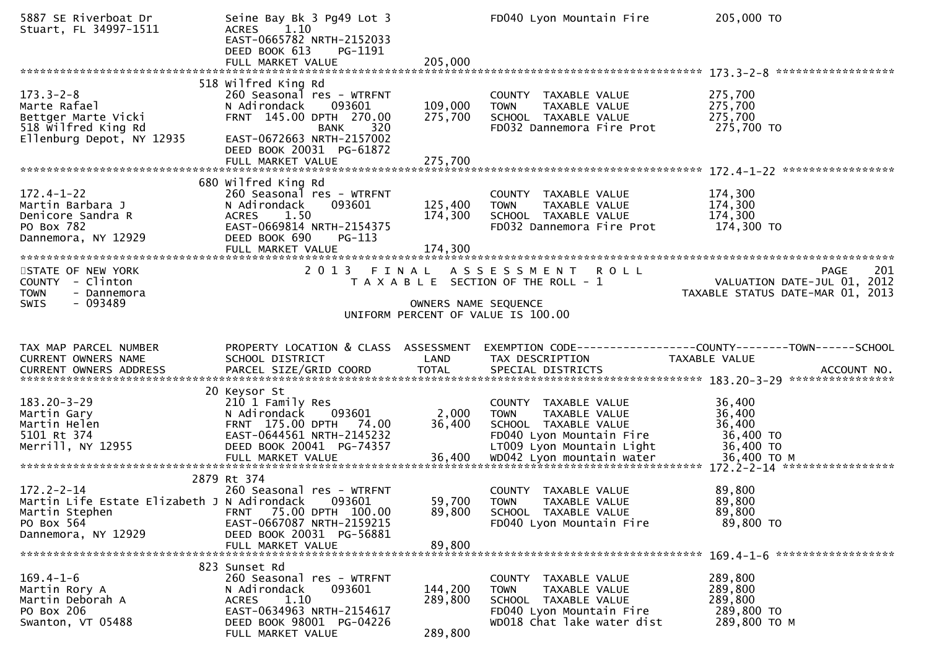| 5887 SE Riverboat Dr<br>Stuart, FL 34997-1511                                                                                 | Seine Bay Bk 3 Pg49 Lot 3<br>1.10<br><b>ACRES</b><br>EAST-0665782 NRTH-2152033<br>DEED BOOK 613<br>PG-1191<br>FULL MARKET VALUE                               | 205,000              | FD040 Lyon Mountain Fire                                                                                                               | 205,000 TO                                                                                                                       |
|-------------------------------------------------------------------------------------------------------------------------------|---------------------------------------------------------------------------------------------------------------------------------------------------------------|----------------------|----------------------------------------------------------------------------------------------------------------------------------------|----------------------------------------------------------------------------------------------------------------------------------|
|                                                                                                                               | 518 Wilfred King Rd                                                                                                                                           |                      |                                                                                                                                        |                                                                                                                                  |
| $173.3 - 2 - 8$<br>Marte Rafael<br>Bettger Marte Vicki<br>518 wilfred King Rd<br>Ellenburg Depot, NY 12935                    | 260 Seasonal res - WTRFNT<br>093601<br>N Adirondack<br>FRNT 145.00 DPTH 270.00<br>320<br><b>BANK</b><br>EAST-0672663 NRTH-2157002<br>DEED BOOK 20031 PG-61872 | 109,000<br>275,700   | COUNTY TAXABLE VALUE<br>TAXABLE VALUE<br><b>TOWN</b><br>SCHOOL TAXABLE VALUE<br>FD032 Dannemora Fire Prot                              | 275,700<br>275,700<br>275,700<br>275,700 TO                                                                                      |
|                                                                                                                               |                                                                                                                                                               |                      |                                                                                                                                        |                                                                                                                                  |
|                                                                                                                               | 680 wilfred King Rd                                                                                                                                           |                      |                                                                                                                                        |                                                                                                                                  |
| $172.4 - 1 - 22$<br>Martin Barbara J<br>Denicore Sandra R<br>PO Box 782<br>Dannemora, NY 12929                                | 260 Seasonal res - WTRFNT<br>093601<br>N Adirondack<br><b>ACRES</b><br>1.50<br>EAST-0669814 NRTH-2154375<br>DEED BOOK 690<br>$PG-113$                         | 125,400<br>174,300   | COUNTY TAXABLE VALUE<br><b>TOWN</b><br>TAXABLE VALUE<br>SCHOOL TAXABLE VALUE<br>FD032 Dannemora Fire Prot                              | 174,300<br>174,300<br>174,300<br>174,300 TO                                                                                      |
|                                                                                                                               | FULL MARKET VALUE                                                                                                                                             | 174,300              |                                                                                                                                        |                                                                                                                                  |
| STATE OF NEW YORK<br>COUNTY - Clinton<br><b>TOWN</b><br>- Dannemora                                                           |                                                                                                                                                               |                      | 2013 FINAL ASSESSMENT ROLL<br>T A X A B L E SECTION OF THE ROLL - 1                                                                    | 201<br>PAGE<br>201 - FASE<br>VALUATION DATE-JUL 01, 2012<br>TAXABLE STATIIS DATE-MAR 01 2012<br>TAXABLE STATUS DATE-MAR 01, 2013 |
| - 093489<br><b>SWIS</b>                                                                                                       |                                                                                                                                                               | OWNERS NAME SEQUENCE | UNIFORM PERCENT OF VALUE IS 100.00                                                                                                     |                                                                                                                                  |
|                                                                                                                               |                                                                                                                                                               |                      |                                                                                                                                        |                                                                                                                                  |
|                                                                                                                               |                                                                                                                                                               |                      |                                                                                                                                        |                                                                                                                                  |
| TAX MAP PARCEL NUMBER<br>CURRENT OWNERS NAME                                                                                  | PROPERTY LOCATION & CLASS ASSESSMENT<br>SCHOOL DISTRICT                                                                                                       | LAND                 | TAX DESCRIPTION                                                                                                                        | EXEMPTION CODE-----------------COUNTY-------TOWN------SCHOOL<br>TAXABLE VALUE                                                    |
| CURRENT OWNERS ADDRESS                                                                                                        |                                                                                                                                                               |                      |                                                                                                                                        |                                                                                                                                  |
| $183.20 - 3 - 29$<br>Martin Gary<br>Martin Helen<br>5101 Rt 374<br>Merrill, NY 12955                                          | 20 Keysor St<br>210 1 Family Res<br>093601<br>N Adirondack<br>FRNT 175.00 DPTH 74.00<br>EAST-0644561 NRTH-2145232<br>DEED BOOK 20041 PG-74357                 | 2,000<br>36,400      | COUNTY TAXABLE VALUE<br><b>TOWN</b><br>TAXABLE VALUE<br>SCHOOL TAXABLE VALUE<br>FD040 Lyon Mountain Fire<br>LT009 Lyon Mountain Light  | 36,400<br>36,400<br>36,400<br>36,400 TO<br>36,400 TO                                                                             |
|                                                                                                                               |                                                                                                                                                               |                      |                                                                                                                                        |                                                                                                                                  |
| $172.2 - 2 - 14$<br>Martin Life Estate Elizabeth J N Adirondack 093601<br>Martin Stephen<br>PO Box 564<br>Dannemora, NY 12929 | 2879 Rt 374<br>260 Seasonal res - WTRFNT<br>FRNT 75.00 DPTH 100.00<br>EAST-0667087 NRTH-2159215<br>DEED BOOK 20031 PG-56881<br>FULL MARKET VALUE              | 89,800<br>89,800     | COUNTY TAXABLE VALUE<br>59,700 TOWN TAXABLE VALUE<br>SCHOOL TAXABLE VALUE<br>FD040 Lyon Mountain Fire                                  | 89,800<br>89,800<br>89,800<br>89,800 TO                                                                                          |
|                                                                                                                               | 823 Sunset Rd                                                                                                                                                 |                      |                                                                                                                                        |                                                                                                                                  |
| $169.4 - 1 - 6$<br>Martin Rory A<br>Martin Deborah A<br>PO Box 206                                                            | 260 Seasonal res - WTRFNT<br>093601<br>N Adirondack<br>1.10<br>ACRES<br>EAST-0634963 NRTH-2154617                                                             | 144,200<br>289,800   | COUNTY TAXABLE VALUE<br>TAXABLE VALUE<br><b>TOWN</b><br>SCHOOL TAXABLE VALUE<br>FD040 Lyon Mountain Fire<br>WD018 Chat lake water dist | 289,800<br>289,800<br>289,800<br>289,800 TO<br>289,800 TO M                                                                      |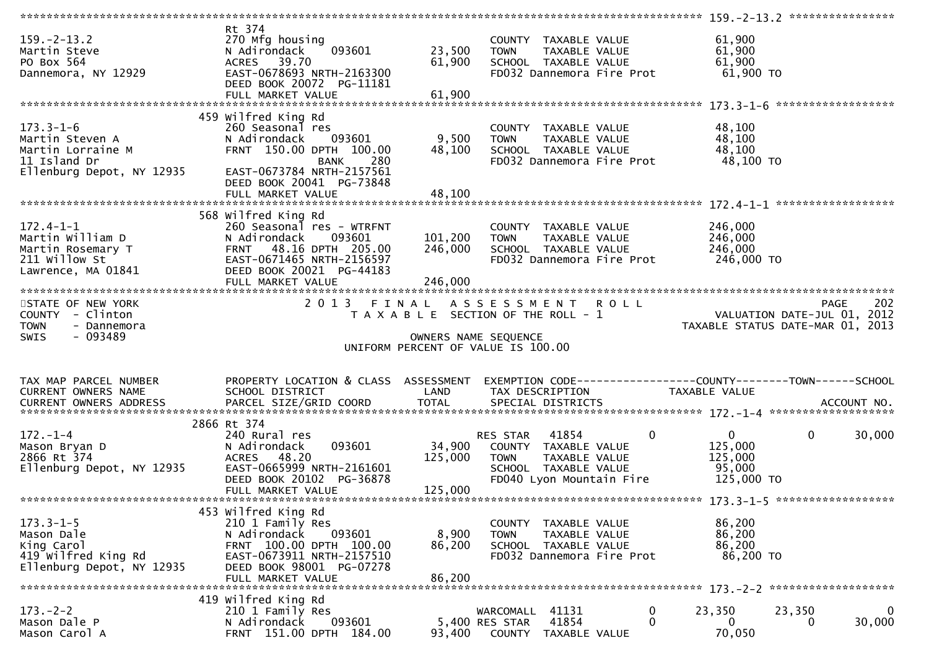| $159. - 2 - 13.2$<br>Martin Steve<br>PO Box 564<br>Dannemora, NY 12929                               | Rt 374<br>270 Mfg housing<br>093601<br>N Adirondack<br>ACRES 39.70<br>EAST-0678693 NRTH-2163300                                                                                    | 23,500<br>61,900              | COUNTY TAXABLE VALUE<br><b>TOWN</b><br>TAXABLE VALUE<br>SCHOOL TAXABLE VALUE<br>FD032 Dannemora Fire Prot                                    | 61,900<br>61,900<br>61,900<br>61,900 TO                                               |
|------------------------------------------------------------------------------------------------------|------------------------------------------------------------------------------------------------------------------------------------------------------------------------------------|-------------------------------|----------------------------------------------------------------------------------------------------------------------------------------------|---------------------------------------------------------------------------------------|
|                                                                                                      | DEED BOOK 20072 PG-11181<br>FULL MARKET VALUE                                                                                                                                      | 61,900                        |                                                                                                                                              | ******************                                                                    |
|                                                                                                      | 459 Wilfred King Rd                                                                                                                                                                |                               |                                                                                                                                              |                                                                                       |
| $173.3 - 1 - 6$<br>Martin Steven A<br>Martin Lorraine M<br>11 Island Dr<br>Ellenburg Depot, NY 12935 | 260 Seasonal res<br>093601<br>N Adirondack<br>FRNT 150.00 DPTH 100.00<br><b>BANK</b><br>280<br>EAST-0673784 NRTH-2157561<br>DEED BOOK 20041 PG-73848                               | 9,500<br>48,100               | COUNTY TAXABLE VALUE<br>TAXABLE VALUE<br><b>TOWN</b><br>SCHOOL TAXABLE VALUE<br>FD032 Dannemora Fire Prot                                    | 48,100<br>48,100<br>48,100<br>48,100 TO                                               |
|                                                                                                      | FULL MARKET VALUE                                                                                                                                                                  | 48,100                        |                                                                                                                                              |                                                                                       |
|                                                                                                      |                                                                                                                                                                                    |                               |                                                                                                                                              |                                                                                       |
| $172.4 - 1 - 1$<br>Martin William D<br>Martin Rosemary T<br>211 Willow St<br>Lawrence, MA 01841      | 568 Wilfred King Rd<br>260 Seasonal res - WTRFNT<br>N Adirondack<br>093601<br>FRNT 48.16 DPTH 205.00<br>EAST-0671465 NRTH-2156597<br>DEED BOOK 20021 PG-44183<br>FULL MARKET VALUE | 101,200<br>246,000<br>246,000 | COUNTY TAXABLE VALUE<br><b>TOWN</b><br>TAXABLE VALUE<br>SCHOOL TAXABLE VALUE<br>FD032 Dannemora Fire Prot                                    | 246,000<br>246,000<br>246,000<br>246,000 TO                                           |
|                                                                                                      |                                                                                                                                                                                    |                               |                                                                                                                                              |                                                                                       |
| STATE OF NEW YORK<br>COUNTY - Clinton<br><b>TOWN</b><br>- Dannemora                                  |                                                                                                                                                                                    |                               | 2013 FINAL ASSESSMENT ROLL<br>T A X A B L E SECTION OF THE ROLL - 1                                                                          | 202<br><b>PAGE</b><br>VALUATION DATE-JUL 01, 2012<br>TAXABLE STATUS DATE-MAR 01, 2013 |
| $-093489$<br><b>SWIS</b>                                                                             |                                                                                                                                                                                    |                               | OWNERS NAME SEQUENCE<br>UNIFORM PERCENT OF VALUE IS 100.00                                                                                   |                                                                                       |
|                                                                                                      |                                                                                                                                                                                    |                               |                                                                                                                                              |                                                                                       |
| TAX MAP PARCEL NUMBER<br>CURRENT OWNERS NAME                                                         | PROPERTY LOCATION & CLASS ASSESSMENT<br>SCHOOL DISTRICT                                                                                                                            | LAND                          | TAX DESCRIPTION                                                                                                                              | TAXABLE VALUE                                                                         |
|                                                                                                      |                                                                                                                                                                                    |                               |                                                                                                                                              |                                                                                       |
| $172. - 1 - 4$<br>Mason Bryan D<br>2866 Rt 374<br>Ellenburg Depot, NY 12935                          | 2866 Rt 374<br>240 Rural res<br>093601<br>N Adirondack<br>ACRES 48.20<br>EAST-0665999 NRTH-2161601<br>DEED BOOK 20102 PG-36878<br>FULL MARKET VALUE                                | 34,900<br>125,000<br>125,000  | $\mathbf 0$<br>41854<br>RES STAR<br>COUNTY TAXABLE VALUE<br>TAXABLE VALUE<br><b>TOWN</b><br>SCHOOL TAXABLE VALUE<br>FD040 Lyon Mountain Fire | 0<br>$\mathbf 0$<br>30,000<br>125,000<br>125,000<br>95,000<br>125,000 TO              |
|                                                                                                      |                                                                                                                                                                                    |                               |                                                                                                                                              |                                                                                       |
| $173.3 - 1 - 5$<br>Mason Dale<br>King Carol<br>419 Wilfred King Rd<br>Ellenburg Depot, NY 12935      | 453 Wilfred King Rd<br>210 1 Family Res<br>N Adirondack<br>093601<br>FRNT 100.00 DPTH 100.00<br>EAST-0673911 NRTH-2157510<br>DEED BOOK 98001 PG-07278<br>FULL MARKET VALUE         | 8,900<br>86,200<br>86,200     | COUNTY TAXABLE VALUE<br>TAXABLE VALUE<br>TOWN<br>SCHOOL TAXABLE VALUE<br>FD032 Dannemora Fire Prot                                           | 86,200<br>86,200<br>86,200<br>86,200 TO                                               |
|                                                                                                      | 419 Wilfred King Rd                                                                                                                                                                |                               |                                                                                                                                              |                                                                                       |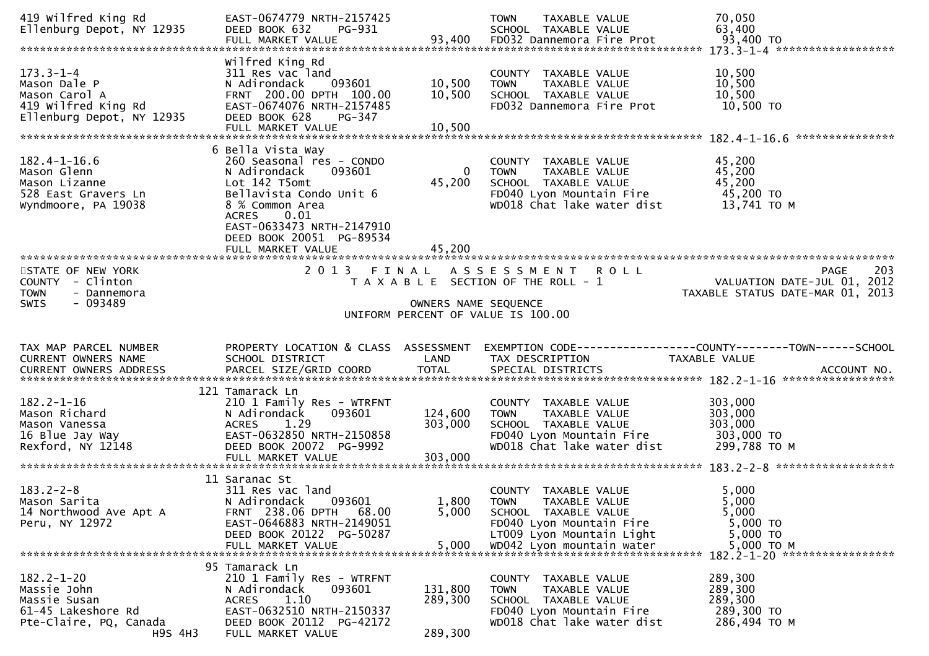| 419 Wilfred King Rd<br>Ellenburg Depot, NY 12935                                                     | EAST-0674779 NRTH-2157425<br>DEED BOOK 632<br>PG-931<br>FULL MARKET VALUE                                                                                                                                                                    | 93,400                        | <b>TOWN</b><br>TAXABLE VALUE<br>SCHOOL TAXABLE VALUE<br>FD032 Dannemora Fire Prot                                                                                  | 70,050<br>63,400<br>93,400 TO                                                                  |
|------------------------------------------------------------------------------------------------------|----------------------------------------------------------------------------------------------------------------------------------------------------------------------------------------------------------------------------------------------|-------------------------------|--------------------------------------------------------------------------------------------------------------------------------------------------------------------|------------------------------------------------------------------------------------------------|
| $173.3 - 1 - 4$<br>Mason Dale P<br>Mason Carol A<br>419 Wilfred King Rd<br>Ellenburg Depot, NY 12935 | Wilfred King Rd<br>311 Res vac land<br>N Adirondack<br>093601<br>FRNT 200.00 DPTH 100.00<br>EAST-0674076 NRTH-2157485<br>DEED BOOK 628<br>PG-347<br>FULL MARKET VALUE                                                                        | 10,500<br>10,500<br>10,500    | COUNTY TAXABLE VALUE<br><b>TOWN</b><br>TAXABLE VALUE<br>SCHOOL TAXABLE VALUE<br>FD032 Dannemora Fire Prot                                                          | 10,500<br>10,500<br>10,500<br>10,500 TO                                                        |
| $182.4 - 1 - 16.6$<br>Mason Glenn<br>Mason Lizanne<br>528 East Gravers Ln<br>Wyndmoore, PA 19038     | 6 Bella Vista Way<br>260 Seasonal res - CONDO<br>N Adirondack<br>093601<br>Lot 142 T5omt<br>Bellavista Condo Unit 6<br>8 % Common Area<br>0.01<br><b>ACRES</b><br>EAST-0633473 NRTH-2147910<br>DEED BOOK 20051 PG-89534<br>FULL MARKET VALUE | $\Omega$<br>45,200<br>45,200  | COUNTY TAXABLE VALUE<br>TAXABLE VALUE<br><b>TOWN</b><br>SCHOOL TAXABLE VALUE<br>FD040 Lyon Mountain Fire<br>WD018 Chat lake water dist                             | 45,200<br>45,200<br>45,200<br>45,200 TO<br>13,741 TO M                                         |
| STATE OF NEW YORK<br>COUNTY - Clinton<br><b>TOWN</b><br>- Dannemora<br>- 093489<br>SWIS              | 2 0 1 3<br>FINAL                                                                                                                                                                                                                             | OWNERS NAME SEQUENCE          | ASSESSMENT ROLL<br>T A X A B L E SECTION OF THE ROLL - 1<br>UNIFORM PERCENT OF VALUE IS 100.00                                                                     | 203<br><b>PAGE</b><br>VALUATION DATE-JUL 01, 2012<br>TAXABLE STATUS DATE-MAR 01, 2013          |
|                                                                                                      |                                                                                                                                                                                                                                              |                               |                                                                                                                                                                    |                                                                                                |
| TAX MAP PARCEL NUMBER<br>CURRENT OWNERS NAME                                                         | PROPERTY LOCATION & CLASS ASSESSMENT<br>SCHOOL DISTRICT                                                                                                                                                                                      | LAND                          | TAX DESCRIPTION                                                                                                                                                    | TAXABLE VALUE                                                                                  |
| $182.2 - 1 - 16$<br>Mason Richard<br>Mason Vanessa<br>16 Blue Jay Way<br>Rexford, NY 12148           | 121 Tamarack Ln<br>210 1 Family Res - WTRFNT<br>N Adirondack<br>093601<br>ACRES<br>1.29<br>EAST-0632850 NRTH-2150858<br>DEED BOOK 20072 PG-9992<br>FULL MARKET VALUE                                                                         | 124,600<br>303,000<br>303,000 | COUNTY TAXABLE VALUE<br>TAXABLE VALUE<br><b>TOWN</b><br>SCHOOL TAXABLE VALUE<br>FD040 Lyon Mountain Fire<br>WD018 Chat lake water dist                             | 303,000<br>303,000<br>303,000<br>303,000 TO<br>299,788 TO M                                    |
| $183.2 - 2 - 8$<br>Mason Sarita<br>14 Northwood Ave Apt A<br>Peru, NY 12972                          | 11 Saranac St<br>311 Res vac land<br>093601<br>N Adirondack<br>FRNT 238.06 DPTH 68.00<br>EAST-0646883 NRTH-2149051<br>DEED BOOK 20122 PG-50287<br>FULL MARKET VALUE                                                                          | 1,800<br>5,000<br>5,000       | COUNTY TAXABLE VALUE<br><b>TOWN</b><br>TAXABLE VALUE<br>SCHOOL TAXABLE VALUE<br>FD040 Lyon Mountain Fire<br>LT009 Lyon Mountain Light<br>WD042 Lyon mountain water | 5,000<br>5,000<br>5,000<br>5,000 TO<br>5,000 TO<br>5,000 TO M<br>182.2-1-20 ****************** |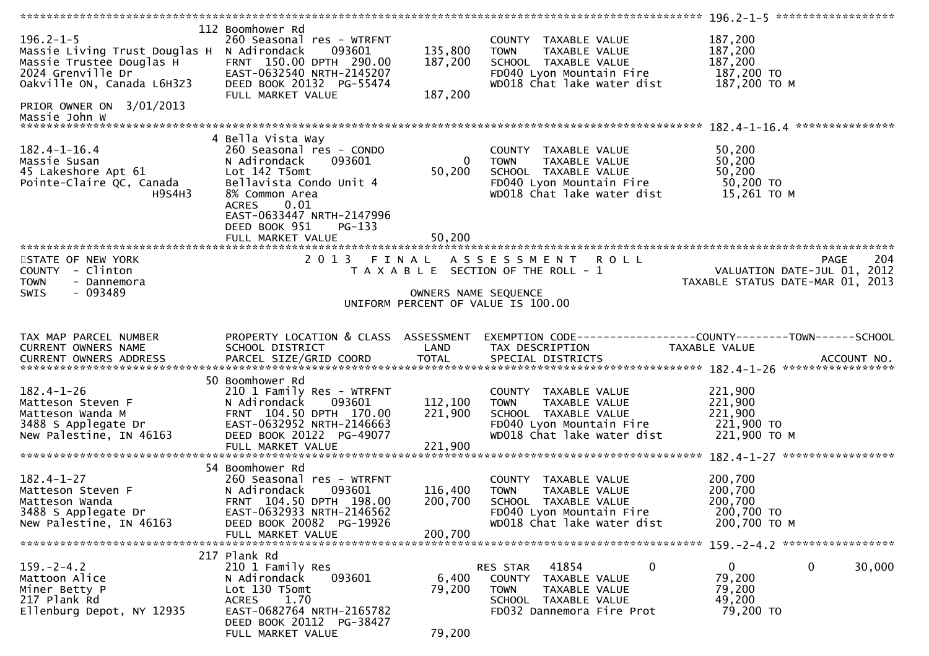|                                                                                                                                                             |                                                                                                                                                                                            |                               |                                                                                                                                               | 196.2-1-5 *******************                                   |                    |
|-------------------------------------------------------------------------------------------------------------------------------------------------------------|--------------------------------------------------------------------------------------------------------------------------------------------------------------------------------------------|-------------------------------|-----------------------------------------------------------------------------------------------------------------------------------------------|-----------------------------------------------------------------|--------------------|
| $196.2 - 1 - 5$<br>Massie Living Trust Douglas H<br>Massie Trustee Douglas H<br>2024 Grenville Dr<br>Oakville ON, Canada L6H3Z3<br>PRIOR OWNER ON 3/01/2013 | 112 Boomhower Rd<br>260 Seasonal res - WTRFNT<br>093601<br>N Adirondack<br>FRNT 150.00 DPTH 290.00<br>EAST-0632540 NRTH-2145207<br>DEED BOOK 20132 PG-55474<br>FULL MARKET VALUE           | 135,800<br>187,200<br>187,200 | COUNTY TAXABLE VALUE<br><b>TOWN</b><br>TAXABLE VALUE<br>SCHOOL TAXABLE VALUE<br>FD040 Lyon Mountain Fire<br>WD018 Chat lake water dist        | 187,200<br>187,200<br>187,200<br>187,200 TO<br>187,200 ТО М     |                    |
| Massie John W                                                                                                                                               |                                                                                                                                                                                            |                               |                                                                                                                                               |                                                                 |                    |
|                                                                                                                                                             |                                                                                                                                                                                            |                               |                                                                                                                                               |                                                                 |                    |
| $182.4 - 1 - 16.4$<br>Massie Susan<br>45 Lakeshore Apt 61<br>Pointe-Claire QC, Canada<br>H9S4H3                                                             | 4 Bella Vista Way<br>260 Seasonal res - CONDO<br>N Adirondack<br>093601<br>Lot 142 T5omt<br>Bellavista Condo Unit 4<br>8% Common Area<br><b>ACRES</b><br>0.01<br>EAST-0633447 NRTH-2147996 | $\overline{0}$<br>50,200      | COUNTY TAXABLE VALUE<br><b>TOWN</b><br>TAXABLE VALUE<br>SCHOOL TAXABLE VALUE<br>FD040 Lyon Mountain Fire<br>WD018 Chat lake water dist        | 50,200<br>50,200<br>50,200<br>50,200 TO<br>15,261 TO M          |                    |
|                                                                                                                                                             | DEED BOOK 951<br>$PG-133$                                                                                                                                                                  |                               |                                                                                                                                               |                                                                 |                    |
|                                                                                                                                                             | FULL MARKET VALUE                                                                                                                                                                          | 50,200                        |                                                                                                                                               |                                                                 |                    |
| STATE OF NEW YORK<br>COUNTY - Clinton<br><b>TOWN</b><br>- Dannemora                                                                                         | 2 0 1 3<br>FINAL                                                                                                                                                                           |                               | A S S E S S M E N T R O L L<br>T A X A B L E SECTION OF THE ROLL - 1                                                                          | VALUATION DATE-JUL 01, 2012<br>TAXABLE STATUS DATE-MAR 01, 2013 | 204<br><b>PAGE</b> |
| $-093489$<br>SWIS                                                                                                                                           |                                                                                                                                                                                            |                               | OWNERS NAME SEQUENCE                                                                                                                          |                                                                 |                    |
|                                                                                                                                                             |                                                                                                                                                                                            |                               | UNIFORM PERCENT OF VALUE IS 100.00                                                                                                            |                                                                 |                    |
|                                                                                                                                                             |                                                                                                                                                                                            |                               |                                                                                                                                               |                                                                 |                    |
| TAX MAP PARCEL NUMBER<br>CURRENT OWNERS NAME<br>CURRENT OWNERS ADDRESS                                                                                      | PROPERTY LOCATION & CLASS ASSESSMENT<br>SCHOOL DISTRICT                                                                                                                                    | LAND                          | EXEMPTION CODE-----------------COUNTY-------TOWN------SCHOOL<br>TAX DESCRIPTION                                                               | TAXABLE VALUE                                                   |                    |
|                                                                                                                                                             |                                                                                                                                                                                            |                               |                                                                                                                                               |                                                                 |                    |
| $182.4 - 1 - 26$<br>Matteson Steven F<br>Matteson Wanda M<br>3488 S Applegate Dr<br>New Palestine, IN 46163                                                 | 50 Boomhower Rd<br>210 1 Family Res - WTRFNT<br>093601<br>N Adirondack<br>FRNT 104.50 DPTH 170.00<br>EAST-0632952 NRTH-2146663<br>DEED BOOK 20122 PG-49077<br>FULL MARKET VALUE            | 112,100<br>221,900<br>221,900 | COUNTY TAXABLE VALUE<br>TAXABLE VALUE<br><b>TOWN</b><br>SCHOOL TAXABLE VALUE<br>FD040 Lyon Mountain Fire<br>WD018 Chat lake water dist        | 221,900<br>221,900<br>221,900<br>221,900 TO<br>221,900 ТО М     |                    |
|                                                                                                                                                             | 54 Boomhower Rd                                                                                                                                                                            |                               |                                                                                                                                               |                                                                 |                    |
| $182.4 - 1 - 27$<br>Matteson Steven F<br>Matteson Wanda<br>3488 S Applegate Dr<br>New Palestine, IN 46163                                                   | 260 Seasonal res - WTRFNT<br>093601<br>N Adirondack<br>FRNT 104.50 DPTH 198.00<br>EAST-0632933 NRTH-2146562<br>DEED BOOK 20082 PG-19926                                                    | 116,400<br>200,700            | COUNTY TAXABLE VALUE<br><b>TOWN</b><br>TAXABLE VALUE<br>SCHOOL TAXABLE VALUE<br>FD040 Lyon Mountain Fire<br>WD018 Chat lake water dist        | 200,700<br>200,700<br>200,700<br>200,700 TO<br>200,700 ТО М     |                    |
|                                                                                                                                                             | FULL MARKET VALUE                                                                                                                                                                          | 200,700                       |                                                                                                                                               | 159. - 2 - 4. 2 ******************                              |                    |
|                                                                                                                                                             | 217 Plank Rd                                                                                                                                                                               |                               |                                                                                                                                               |                                                                 |                    |
| $159. - 2 - 4.2$<br>Mattoon Alice<br>Miner Betty P<br>217 Plank Rd<br>Ellenburg Depot, NY 12935                                                             | 210 1 Family Res<br>093601<br>N Adirondack<br>Lot 130 T5omt<br>1.70<br><b>ACRES</b><br>EAST-0682764 NRTH-2165782<br>DEED BOOK 20112 PG-38427                                               | 6,400<br>79,200               | 41854<br>0<br>RES STAR<br><b>COUNTY</b><br>TAXABLE VALUE<br><b>TOWN</b><br>TAXABLE VALUE<br>SCHOOL TAXABLE VALUE<br>FD032 Dannemora Fire Prot | $\mathbf{0}$<br>0<br>79,200<br>79,200<br>49,200<br>79,200 TO    | 30,000             |
|                                                                                                                                                             | FULL MARKET VALUE                                                                                                                                                                          | 79,200                        |                                                                                                                                               |                                                                 |                    |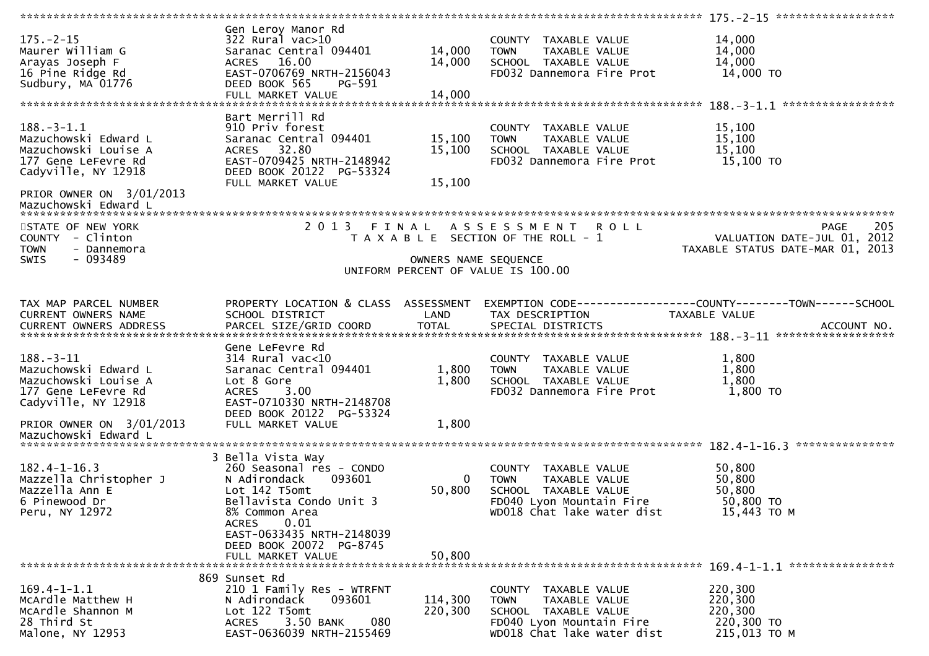| $175. - 2 - 15$<br>Maurer William G<br>Arayas Joseph F<br>16 Pine Ridge Rd<br>Sudbury, MA 01776                | Gen Leroy Manor Rd<br>$322$ Rural vac $>10$<br>Saranac Central 094401<br><b>ACRES</b><br>16.00<br>EAST-0706769 NRTH-2156043<br>DEED BOOK 565<br>PG-591<br>FULL MARKET VALUE | 14,000<br>14,000<br>14,000 | COUNTY TAXABLE VALUE<br>TAXABLE VALUE<br><b>TOWN</b><br>SCHOOL TAXABLE VALUE<br>FD032 Dannemora Fire Prot                              | 14,000<br>14,000<br>14,000<br>14,000 TO                                               |
|----------------------------------------------------------------------------------------------------------------|-----------------------------------------------------------------------------------------------------------------------------------------------------------------------------|----------------------------|----------------------------------------------------------------------------------------------------------------------------------------|---------------------------------------------------------------------------------------|
|                                                                                                                |                                                                                                                                                                             |                            |                                                                                                                                        |                                                                                       |
| $188. - 3 - 1.1$<br>Mazuchowski Edward L<br>Mazuchowski Louise A<br>177 Gene LeFevre Rd<br>Cadyville, NY 12918 | Bart Merrill Rd<br>910 Priv forest<br>Saranac Central 094401<br>ACRES 32.80<br>EAST-0709425 NRTH-2148942<br>DEED BOOK 20122 PG-53324<br>FULL MARKET VALUE                   | 15,100<br>15,100<br>15,100 | COUNTY TAXABLE VALUE<br>TAXABLE VALUE<br><b>TOWN</b><br>SCHOOL TAXABLE VALUE<br>FD032 Dannemora Fire Prot                              | 15,100<br>15,100<br>15,100<br>15,100 TO                                               |
| PRIOR OWNER ON 3/01/2013<br>Mazuchowski Edward L                                                               |                                                                                                                                                                             |                            |                                                                                                                                        |                                                                                       |
| STATE OF NEW YORK<br>COUNTY - Clinton<br><b>TOWN</b><br>- Dannemora<br>$-093489$<br>SWIS                       | 2013 FINAL                                                                                                                                                                  | OWNERS NAME SEQUENCE       | A S S E S S M E N T R O L L<br>T A X A B L E SECTION OF THE ROLL - 1                                                                   | 205<br><b>PAGE</b><br>VALUATION DATE-JUL 01, 2012<br>TAXABLE STATUS DATE-MAR 01, 2013 |
|                                                                                                                |                                                                                                                                                                             |                            | UNIFORM PERCENT OF VALUE IS 100.00                                                                                                     |                                                                                       |
|                                                                                                                |                                                                                                                                                                             |                            |                                                                                                                                        |                                                                                       |
| TAX MAP PARCEL NUMBER<br>CURRENT OWNERS NAME                                                                   | PROPERTY LOCATION & CLASS ASSESSMENT<br>SCHOOL DISTRICT                                                                                                                     | LAND                       | TAX DESCRIPTION                                                                                                                        | EXEMPTION CODE-----------------COUNTY-------TOWN------SCHOOL<br><b>TAXABLE VALUE</b>  |
|                                                                                                                | Gene LeFevre Rd                                                                                                                                                             |                            |                                                                                                                                        |                                                                                       |
| $188. - 3 - 11$<br>Mazuchowski Edward L<br>Mazuchowski Louise A<br>177 Gene LeFevre Rd<br>Cadyville, NY 12918  | 314 Rural vac<10<br>Saranac Central 094401<br>Lot 8 Gore<br><b>ACRES</b><br>3.00<br>EAST-0710330 NRTH-2148708                                                               | 1,800<br>1,800             | COUNTY TAXABLE VALUE<br>TAXABLE VALUE<br><b>TOWN</b><br>SCHOOL TAXABLE VALUE<br>FD032 Dannemora Fire Prot                              | 1,800<br>1,800<br>1,800<br>1,800 TO                                                   |
| PRIOR OWNER ON 3/01/2013                                                                                       | DEED BOOK 20122 PG-53324<br>FULL MARKET VALUE                                                                                                                               | 1,800                      |                                                                                                                                        |                                                                                       |
| Mazuchowski Edward L                                                                                           |                                                                                                                                                                             |                            |                                                                                                                                        |                                                                                       |
|                                                                                                                |                                                                                                                                                                             |                            |                                                                                                                                        |                                                                                       |
| $182.4 - 1 - 16.3$<br>Mazzella Christopher J<br>Mazzella Ann E<br>6 Pinewood Dr<br>Peru, NY 12972              | 3 Bella Vista Way<br>260 Seasonal res - CONDO<br>N Adirondack<br>093601<br>Lot 142 T5omt<br>Bellavista Condo Unit 3<br>8% Common Area<br>0.01<br><b>ACRES</b>               | $\Omega$<br>50,800         | COUNTY TAXABLE VALUE<br>TAXABLE VALUE<br><b>TOWN</b><br>SCHOOL TAXABLE VALUE<br>FD040 Lyon Mountain Fire<br>WD018 Chat lake water dist | 50,800<br>50,800<br>50,800<br>50,800 TO<br>15,443 TO M                                |
|                                                                                                                | EAST-0633435 NRTH-2148039<br>DEED BOOK 20072 PG-8745                                                                                                                        |                            |                                                                                                                                        |                                                                                       |
|                                                                                                                | 869 Sunset Rd                                                                                                                                                               |                            |                                                                                                                                        |                                                                                       |
| $169.4 - 1 - 1.1$<br>McArdle Matthew H<br>McArdle Shannon M<br>28 Third St<br>Malone, NY 12953                 | 210 1 Family Res - WTRFNT<br>N Adirondack<br>093601<br>Lot 122 T5omt<br>3.50 BANK<br>080<br><b>ACRES</b><br>EAST-0636039 NRTH-2155469                                       | 114,300<br>220,300         | COUNTY TAXABLE VALUE<br><b>TOWN</b><br>TAXABLE VALUE<br>SCHOOL TAXABLE VALUE<br>FD040 Lyon Mountain Fire<br>WD018 Chat lake water dist | 220,300<br>220,300<br>220,300<br>220,300 TO<br>215,013 TO M                           |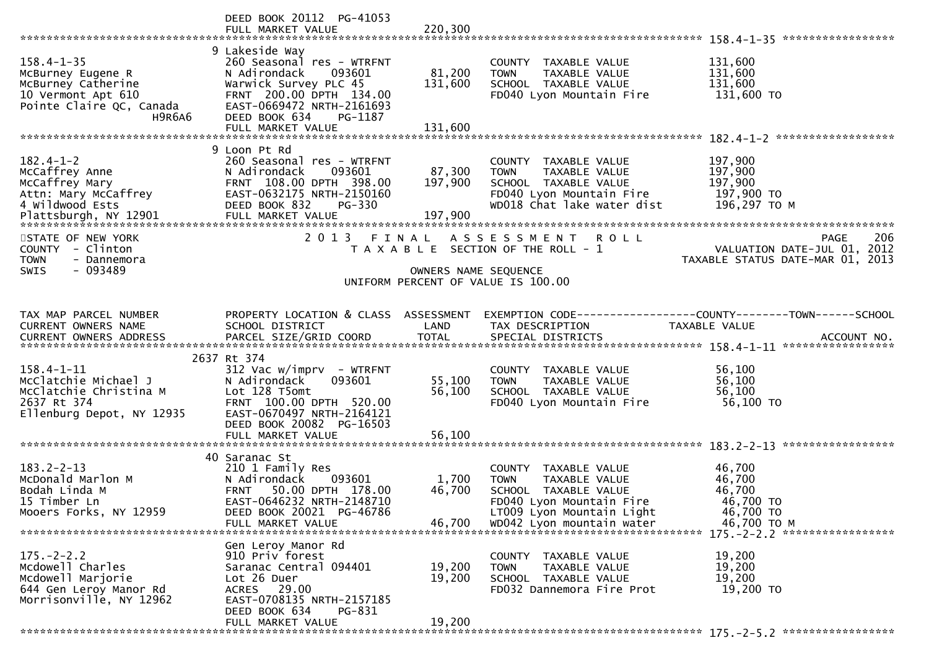|                                                                                                                         | DEED BOOK 20112 PG-41053                                                                                                                                                           |                           |                                                                                                                                                                    |                                                                                                                                                                          |
|-------------------------------------------------------------------------------------------------------------------------|------------------------------------------------------------------------------------------------------------------------------------------------------------------------------------|---------------------------|--------------------------------------------------------------------------------------------------------------------------------------------------------------------|--------------------------------------------------------------------------------------------------------------------------------------------------------------------------|
| $158.4 - 1 - 35$<br>McBurney Eugene R<br>McBurney Catherine<br>10 Vermont Apt 610<br>Pointe Claire QC, Canada<br>H9R6A6 | 9 Lakeside Way<br>260 Seasonal res - WTRFNT<br>N Adirondack<br>093601<br>Warwick Survey PLC 45<br>FRNT 200.00 DPTH 134.00<br>EAST-0669472 NRTH-2161693<br>DEED BOOK 634<br>PG-1187 | 81,200<br>131,600         | COUNTY TAXABLE VALUE<br>TAXABLE VALUE<br><b>TOWN</b><br>SCHOOL TAXABLE VALUE<br>FD040 Lyon Mountain Fire                                                           | 131,600<br>131,600<br>131,600<br>131,600 TO                                                                                                                              |
|                                                                                                                         | 9 Loon Pt Rd                                                                                                                                                                       |                           |                                                                                                                                                                    |                                                                                                                                                                          |
| $182.4 - 1 - 2$<br>McCaffrey Anne<br>McCaffrey Mary<br>Attn: Mary McCaffrey<br>4 Wildwood Ests                          | 260 Seasonal res - WTRFNT<br>093601<br>N Adirondack<br>FRNT 108.00 DPTH 398.00<br>EAST-0632175 NRTH-2150160<br>DEED BOOK 832<br>PG-330                                             | 87,300<br>197,900         | COUNTY TAXABLE VALUE<br><b>TOWN</b><br>TAXABLE VALUE<br>SCHOOL TAXABLE VALUE<br>FD040 Lyon Mountain Fire<br>WD018 Chat lake water dist                             | 197,900<br>197,900<br>197,900<br>197,900 то<br>196,297 ТО М                                                                                                              |
| STATE OF NEW YORK<br>COUNTY - Clinton<br><b>TOWN</b><br>- Dannemora                                                     |                                                                                                                                                                                    |                           | 2013 FINAL ASSESSMENT ROLL<br>T A X A B L E SECTION OF THE ROLL - 1                                                                                                | 206<br>PAGE<br>VALUATION DATE-JUL 01, 2012<br>TAXABLE STATUS DATE-MAR 01, 2013                                                                                           |
| - 093489<br><b>SWIS</b>                                                                                                 |                                                                                                                                                                                    | OWNERS NAME SEQUENCE      | UNIFORM PERCENT OF VALUE IS 100.00                                                                                                                                 |                                                                                                                                                                          |
|                                                                                                                         |                                                                                                                                                                                    |                           |                                                                                                                                                                    |                                                                                                                                                                          |
| TAX MAP PARCEL NUMBER<br>CURRENT OWNERS NAME                                                                            | PROPERTY LOCATION & CLASS ASSESSMENT<br>SCHOOL DISTRICT                                                                                                                            | LAND                      | TAX DESCRIPTION                                                                                                                                                    | EXEMPTION CODE-----------------COUNTY-------TOWN------SCHOOL<br>TAXABLE VALUE<br>CURRENT OWNERS ADDRESS PARCEL SIZE/GRID COORD TOTAL SPECIAL DISTRICTS 75 75 ACCOUNT NO. |
|                                                                                                                         | 2637 Rt 374                                                                                                                                                                        |                           |                                                                                                                                                                    |                                                                                                                                                                          |
| $158.4 - 1 - 11$<br>McClatchie Michael J<br>McClatchie Christina M<br>2637 Rt 374<br>Ellenburg Depot, NY 12935          | $312$ Vac w/imprv - WTRFNT<br>093601<br>N Adirondack<br>Lot 128 T5omt<br>FRNT 100.00 DPTH 520.00<br>EAST-0670497 NRTH-2164121<br>DEED BOOK 20082 PG-16503                          | 55,100<br>56,100          | COUNTY TAXABLE VALUE<br>TAXABLE VALUE<br><b>TOWN</b><br>SCHOOL TAXABLE VALUE<br>FD040 Lyon Mountain Fire                                                           | 56,100<br>56,100<br>56,100<br>56,100 TO                                                                                                                                  |
|                                                                                                                         | FULL MARKET VALUE                                                                                                                                                                  | 56,100                    |                                                                                                                                                                    |                                                                                                                                                                          |
| $183.2 - 2 - 13$<br>McDonald Marlon M<br>Bodah Linda M<br>15 Timber Ln<br>Mooers Forks, NY 12959                        | 40 Saranac St<br>210 1 Family Res<br>N Adirondack<br>093601<br>50.00 DPTH 178.00<br><b>FRNT</b><br>EAST-0646232 NRTH-2148710<br>DEED BOOK 20021 PG-46786<br>FULL MARKET VALUE      | 1,700<br>46,700<br>46,700 | COUNTY TAXABLE VALUE<br>TAXABLE VALUE<br><b>TOWN</b><br>SCHOOL TAXABLE VALUE<br>FD040 Lyon Mountain Fire<br>LT009 Lyon Mountain Light<br>WD042 Lyon mountain water | 46,700<br>46,700<br>46,700<br>46,700 TO<br>46,700 TO<br>46,700 TO M<br>175. - 2 - 2. 2 ******************                                                                |
|                                                                                                                         | Gen Leroy Manor Rd                                                                                                                                                                 |                           |                                                                                                                                                                    |                                                                                                                                                                          |
| $175. - 2 - 2.2$<br>Mcdowell Charles<br>Mcdowell Marjorie<br>644 Gen Leroy Manor Rd<br>Morrisonville, NY 12962          | 910 Priv forest<br>Saranac Central 094401<br>Lot 26 Duer<br>ACRES 29.00<br>EAST-0708135 NRTH-2157185                                                                               | 19,200<br>19,200          | COUNTY TAXABLE VALUE<br>TAXABLE VALUE<br><b>TOWN</b><br>SCHOOL TAXABLE VALUE<br>FD032 Dannemora Fire Prot                                                          | 19,200<br>19,200<br>19,200<br>19,200 TO                                                                                                                                  |
|                                                                                                                         | DEED BOOK 634<br>PG-831<br>FULL MARKET VALUE                                                                                                                                       | 19,200                    |                                                                                                                                                                    |                                                                                                                                                                          |
|                                                                                                                         |                                                                                                                                                                                    |                           |                                                                                                                                                                    |                                                                                                                                                                          |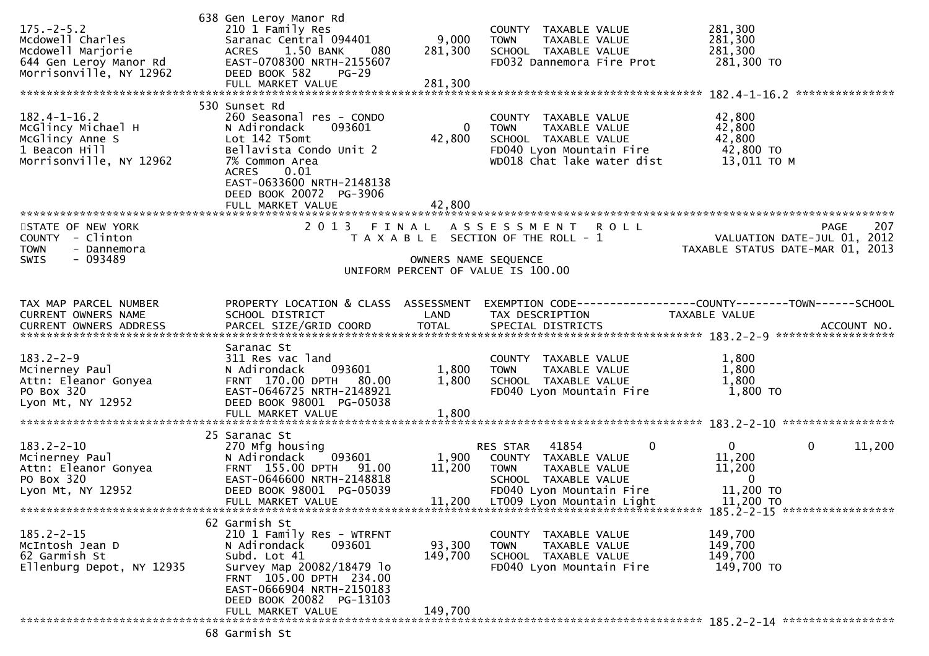| $175. - 2 - 5.2$<br>Mcdowell Charles<br>Mcdowell Marjorie<br>644 Gen Leroy Manor Rd<br>Morrisonville, NY 12962 | 638 Gen Leroy Manor Rd<br>210 1 Family Res<br>Saranac Central 094401<br>ACRES 1.50 BANK<br>080<br>EAST-0708300 NRTH-2155607<br>DEED BOOK 582<br>$PG-29$<br>FULL MARKET VALUE                                               | 9,000<br>281,300<br>281,300  | COUNTY TAXABLE VALUE<br>TAXABLE VALUE<br><b>TOWN</b><br>SCHOOL TAXABLE VALUE<br>FD032 Dannemora Fire Prot                                                                 | 281,300<br>281,300<br>281,300<br>281,300 TO<br>***************                                  |
|----------------------------------------------------------------------------------------------------------------|----------------------------------------------------------------------------------------------------------------------------------------------------------------------------------------------------------------------------|------------------------------|---------------------------------------------------------------------------------------------------------------------------------------------------------------------------|-------------------------------------------------------------------------------------------------|
| $182.4 - 1 - 16.2$<br>McGlincy Michael H<br>McGlincy Anne S<br>1 Beacon Hill<br>Morrisonville, NY 12962        | 530 Sunset Rd<br>260 Seasonal res - CONDO<br>N Adirondack<br>093601<br>Lot 142 T5omt<br>Bellavista Condo Unit 2<br>7% Common Area<br><b>ACRES</b><br>0.01<br>EAST-0633600 NRTH-2148138<br>DEED BOOK 20072 PG-3906          | 0<br>42,800                  | COUNTY TAXABLE VALUE<br>TAXABLE VALUE<br><b>TOWN</b><br>SCHOOL TAXABLE VALUE<br>FD040 Lyon Mountain Fire<br>WD018 Chat lake water dist                                    | 42,800<br>42,800<br>42,800<br>42,800 TO<br>13,011 TO M                                          |
| STATE OF NEW YORK<br>COUNTY - Clinton<br><b>TOWN</b><br>- Dannemora<br>$-093489$<br><b>SWIS</b>                |                                                                                                                                                                                                                            | OWNERS NAME SEQUENCE         | 2013 FINAL ASSESSMENT ROLL<br>T A X A B L E SECTION OF THE ROLL - 1<br>UNIFORM PERCENT OF VALUE IS 100.00                                                                 | 207<br>PAGE<br>VALUATION DATE-JUL 01, 2012<br>TAXABLE STATUS DATE-MAR 01, 2013                  |
| TAX MAP PARCEL NUMBER<br><b>CURRENT OWNERS NAME</b>                                                            | PROPERTY LOCATION & CLASS ASSESSMENT<br>SCHOOL DISTRICT                                                                                                                                                                    | LAND                         | TAX DESCRIPTION                                                                                                                                                           | EXEMPTION CODE-----------------COUNTY-------TOWN------SCHOOL<br><b>TAXABLE VALUE</b>            |
| $183.2 - 2 - 9$<br>Mcinerney Paul<br>Attn: Eleanor Gonyea<br>PO Box 320<br>Lyon Mt, NY 12952                   | Saranac St<br>311 Res vac land<br>093601<br>N Adirondack<br>FRNT 170.00 DPTH 80.00<br>EAST-0646725 NRTH-2148921<br>DEED BOOK 98001 PG-05038                                                                                | 1,800<br>1,800               | COUNTY TAXABLE VALUE<br>TAXABLE VALUE<br><b>TOWN</b><br>SCHOOL TAXABLE VALUE<br>FD040 Lyon Mountain Fire                                                                  | 1,800<br>1,800<br>1,800<br>1,800 TO                                                             |
| $183.2 - 2 - 10$<br>Mcinerney Paul<br>Attn: Eleanor Gonyea<br>PO Box 320<br>Lyon Mt, NY 12952                  | 25 Saranac St<br>270 Mfg housing<br>093601<br>N Adirondack<br>FRNT 155.00 DPTH 91.00<br>EAST-0646600 NRTH-2148818<br>DEED BOOK 98001 PG-05039<br>FULL MARKET VALUE                                                         | 1,900<br>11,200              | $\mathbf 0$<br>RES STAR<br>41854<br>COUNTY TAXABLE VALUE<br>TAXABLE VALUE<br>TOWN<br>SCHOOL TAXABLE VALUE<br>FD040 Lyon Mountain Fire<br>11,200 LT009 Lyon Mountain Light | $\mathbf{0}$<br>$\mathbf 0$<br>11,200<br>11,200<br>11,200<br>$\Omega$<br>11,200 TO<br>11,200 TO |
| $185.2 - 2 - 15$<br>McIntosh Jean D<br>62 Garmish St<br>Ellenburg Depot, NY 12935                              | 62 Garmish St<br>210 1 Family Res - WTRFNT<br>093601<br>N Adirondack<br>Subd. Lot 41<br>Survey Map 20082/18479 lo<br>FRNT 105.00 DPTH 234.00<br>EAST-0666904 NRTH-2150183<br>DEED BOOK 20082 PG-13103<br>FULL MARKET VALUE | 93,300<br>149,700<br>149,700 | COUNTY TAXABLE VALUE<br><b>TOWN</b><br>TAXABLE VALUE<br>SCHOOL TAXABLE VALUE<br>FD040 Lyon Mountain Fire                                                                  | 149,700<br>149,700<br>149,700<br>149,700 TO                                                     |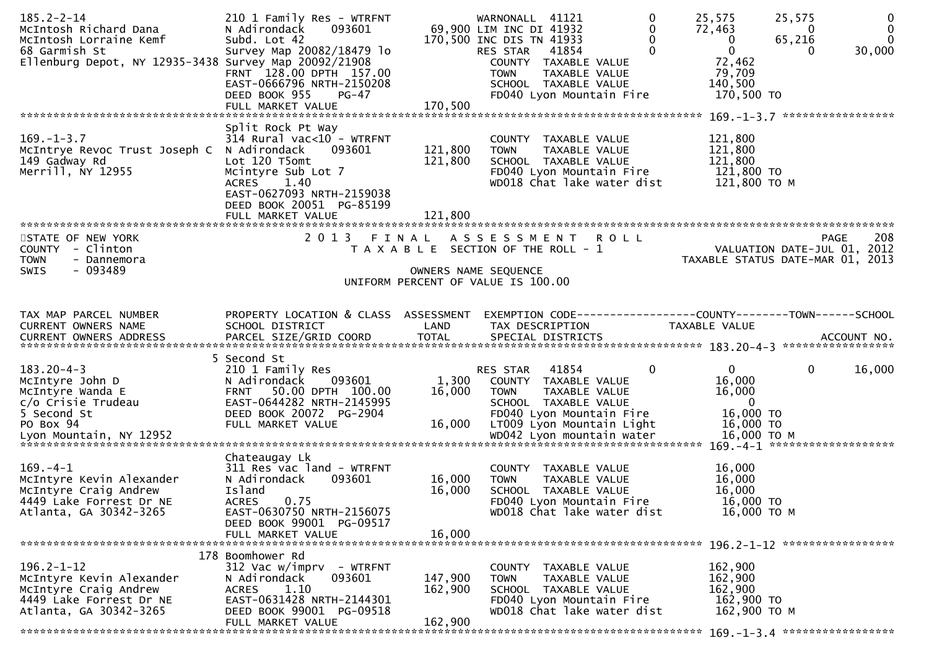| $185.2 - 2 - 14$<br>McIntosh Richard Dana<br>McIntosh Lorraine Kemf<br>68 Garmish St<br>Ellenburg Depot, NY 12935-3438 Survey Map 20092/21908 | 210 1 Family Res - WTRFNT<br>093601<br>N Adirondack<br>Subd. Lot 42<br>Survey Map 20082/18479 lo<br>FRNT 128.00 DPTH 157.00<br>EAST-0666796 NRTH-2150208<br>DEED BOOK 955<br>$PG-47$<br>FULL MARKET VALUE | 170,500                       | WARNONALL 41121<br>69,900 LIM INC DI 41932<br>170,500 INC DIS TN 41933<br>41854<br>RES STAR<br>COUNTY TAXABLE VALUE<br><b>TOWN</b><br>TAXABLE VALUE<br>SCHOOL TAXABLE VALUE<br>FD040 Lyon Mountain Fire | 0<br>25,575<br>0<br>72,463<br>0<br>$\bf{0}$<br>$\mathbf 0$<br>0<br>72,462<br>79,709<br>140,500 | 25,575<br>$\mathbf{0}$<br>$\bf{0}$<br>0<br>$\Omega$<br>65,216<br>30,000<br>0<br>170,500 TO                         |
|-----------------------------------------------------------------------------------------------------------------------------------------------|-----------------------------------------------------------------------------------------------------------------------------------------------------------------------------------------------------------|-------------------------------|---------------------------------------------------------------------------------------------------------------------------------------------------------------------------------------------------------|------------------------------------------------------------------------------------------------|--------------------------------------------------------------------------------------------------------------------|
| $169. - 1 - 3.7$<br>McIntrye Revoc Trust Joseph C N Adirondack<br>149 Gadway Rd<br>Merrill, NY 12955                                          | Split Rock Pt Way<br>$314$ Rural vac<10 - WTRFNT<br>093601<br>Lot 120 T5omt<br>Mcintyre Sub Lot 7<br>1.40<br>ACRES<br>EAST-0627093 NRTH-2159038<br>DEED BOOK 20051 PG-85199<br>FULL MARKET VALUE          | 121,800<br>121,800<br>121,800 | COUNTY TAXABLE VALUE<br><b>TOWN</b><br><b>TAXABLE VALUE</b><br>SCHOOL TAXABLE VALUE<br>FD040 Lyon Mountain Fire<br>WD018 Chat lake water dist                                                           | 121,800<br>121,800<br>121,800<br>121,800 TO                                                    | 121,800 TO M                                                                                                       |
| STATE OF NEW YORK<br>COUNTY - Clinton<br><b>TOWN</b><br>- Dannemora<br>- 093489<br>SWIS                                                       | 2 0 1 3                                                                                                                                                                                                   | FINAL                         | ASSESSMENT ROLL<br>T A X A B L E SECTION OF THE ROLL - 1<br>OWNERS NAME SEQUENCE<br>UNIFORM PERCENT OF VALUE IS 100.00                                                                                  |                                                                                                | 208<br><b>PAGE</b><br>VALUATION DATE-JUL 01, 2012<br>TAXABLE STATUS DATE-MAR 01, 2013                              |
| TAX MAP PARCEL NUMBER<br>CURRENT OWNERS NAME                                                                                                  | PROPERTY LOCATION & CLASS ASSESSMENT<br>SCHOOL DISTRICT                                                                                                                                                   | LAND                          | EXEMPTION CODE------------------COUNTY--------TOWN------SCHOOL<br>TAX DESCRIPTION                                                                                                                       | TAXABLE VALUE                                                                                  |                                                                                                                    |
| $183.20 - 4 - 3$<br>McIntyre John D<br>McIntyre Wanda E<br>c/o Crisie Trudeau<br>5 Second St<br>PO Box 94                                     | 5 Second St<br>210 1 Family Res<br>093601<br>N Adirondack<br>50.00 DPTH 100.00<br><b>FRNT</b><br>EAST-0644282 NRTH-2145995<br>DEED BOOK 20072 PG-2904<br>FULL MARKET VALUE                                | 1,300<br>16,000<br>16,000     | 41854<br>RES STAR<br>COUNTY TAXABLE VALUE<br><b>TOWN</b><br>TAXABLE VALUE<br>SCHOOL TAXABLE VALUE<br>FD040 Lyon Mountain Fire<br>LT009 Lyon Mountain Light                                              | $\mathbf{0}$<br>$\mathbf{0}$<br>16,000<br>16,000                                               | $\mathbf{0}$<br>16,000<br>$\Omega$<br>16,000 TO<br>16,000 TO<br>16,000 ТО М<br>$169 - 4 - 1$ ********************* |
| $169. -4-1$<br>McIntyre Kevin Alexander<br>McIntyre Craig Andrew<br>4449 Lake Forrest Dr NE<br>Atlanta, GA 30342-3265                         | Chateaugay Lk<br>311 Res vac land - WTRFNT<br>093601<br>N Adirondack<br>Island<br>0.75<br><b>ACRES</b><br>EAST-0630750 NRTH-2156075<br>DEED BOOK 99001 PG-09517<br>FULL MARKET VALUE                      | 16,000<br>16,000<br>16,000    | COUNTY TAXABLE VALUE<br><b>TOWN</b><br>TAXABLE VALUE<br>SCHOOL TAXABLE VALUE<br>FD040 Lyon Mountain Fire<br>WD018 Chat lake water dist                                                                  | 16,000<br>16,000<br>16,000                                                                     | 16,000 TO<br>16,000 ТО М                                                                                           |
| $196.2 - 1 - 12$<br>McIntyre Kevin Alexander<br>McIntyre Craig Andrew<br>4449 Lake Forrest Dr NE<br>Atlanta, GA 30342-3265                    | 178 Boomhower Rd<br>$312$ Vac w/imprv - WTRFNT<br>093601<br>N Adirondack<br>1.10<br>ACRES<br>EAST-0631428 NRTH-2144301<br>DEED BOOK 99001 PG-09518<br>FULL MARKET VALUE                                   | 147,900<br>162,900<br>162,900 | COUNTY TAXABLE VALUE<br>TAXABLE VALUE<br><b>TOWN</b><br>SCHOOL TAXABLE VALUE<br>FD040 Lyon Mountain Fire<br>WD018 Chat lake water dist                                                                  | 162,900<br>162,900<br>162,900                                                                  | 162,900 TO<br>162,900 ТО М                                                                                         |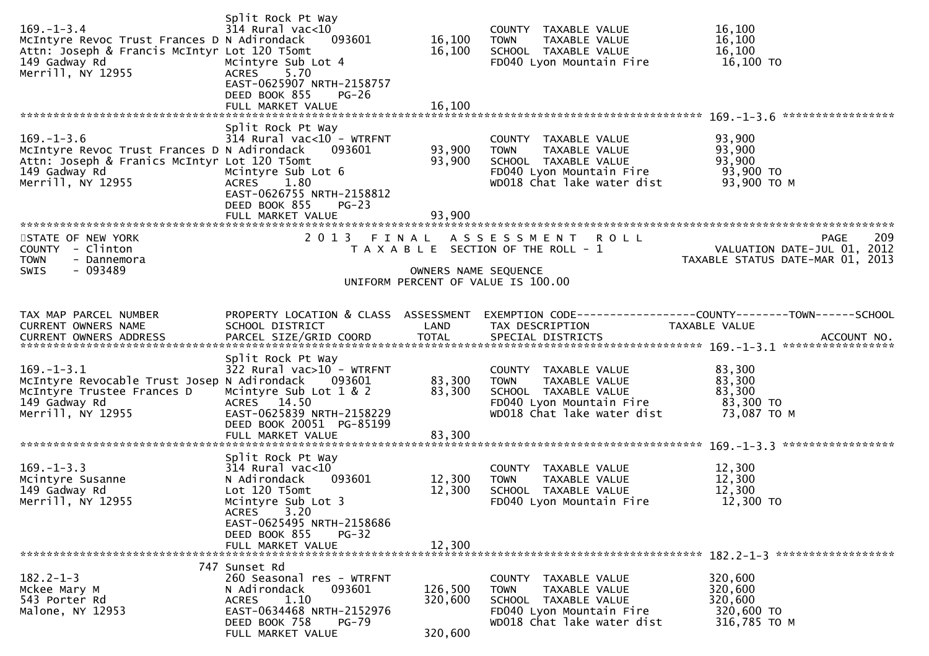| $169. - 1 - 3.4$<br>McIntyre Revoc Trust Frances D N Adirondack<br>Attn: Joseph & Francis McIntyr Lot 120 T5omt<br>149 Gadway Rd<br>Merrill, NY 12955 | Split Rock Pt Way<br>$314$ Rural vac< $10$<br>093601<br>Mcintyre Sub Lot 4<br>5.70<br><b>ACRES</b><br>EAST-0625907 NRTH-2158757<br>DEED BOOK 855<br>$PG-26$<br>FULL MARKET VALUE                        | 16,100<br>16,100<br>16,100 | COUNTY TAXABLE VALUE<br>TAXABLE VALUE<br>TOWN<br>SCHOOL TAXABLE VALUE<br>FD040 Lyon Mountain Fire                                      | 16,100<br>16,100<br>16,100<br>16,100 TO                                                     |
|-------------------------------------------------------------------------------------------------------------------------------------------------------|---------------------------------------------------------------------------------------------------------------------------------------------------------------------------------------------------------|----------------------------|----------------------------------------------------------------------------------------------------------------------------------------|---------------------------------------------------------------------------------------------|
| $169. - 1 - 3.6$<br>McIntyre Revoc Trust Frances D N Adirondack<br>Attn: Joseph & Franics McIntyr Lot 120 T5omt<br>149 Gadway Rd<br>Merrill, NY 12955 | Split Rock Pt Way<br>$314$ Rural vac<10 - WTRFNT<br>093601<br>Mcintyre Sub Lot 6<br>ACRES 1.80<br>EAST-0626755 NRTH-2158812<br>DEED BOOK 855<br>$PG-23$<br>FULL MARKET VALUE                            | 93,900<br>93,900<br>93,900 | COUNTY TAXABLE VALUE<br>TAXABLE VALUE<br><b>TOWN</b><br>SCHOOL TAXABLE VALUE<br>FD040 Lyon Mountain Fire<br>WD018 Chat lake water dist | 93,900<br>93,900<br>93,900<br>93,900 TO<br>93,900 ТО М                                      |
| STATE OF NEW YORK<br>COUNTY - Clinton<br>- Dannemora<br><b>TOWN</b><br><b>SWIS</b><br>$-093489$                                                       |                                                                                                                                                                                                         | OWNERS NAME SEQUENCE       | 2013 FINAL ASSESSMENT ROLL<br>T A X A B L E SECTION OF THE ROLL - 1<br>UNIFORM PERCENT OF VALUE IS 100.00                              | 209<br>PAGE<br>VALUATION DATE-JUL 01, 2012<br>TAXABLE STATUS DATE-MAR 01, 2013              |
| TAX MAP PARCEL NUMBER<br>CURRENT OWNERS NAME                                                                                                          | PROPERTY LOCATION & CLASS ASSESSMENT<br>SCHOOL DISTRICT                                                                                                                                                 | LAND                       | TAX DESCRIPTION                                                                                                                        | EXEMPTION        CODE-----------------COUNTY-------TOWN------SCHOOL<br><b>TAXABLE VALUE</b> |
| $169. - 1 - 3.1$<br>McIntyre Revocable Trust Josep N Adirondack<br>McIntyre Trustee Frances D<br>149 Gadway Rd<br>Merrill, NY 12955                   | Split Rock Pt Way<br>$322$ Rural vac $>10$ - WTRFNT<br>093601<br>Mcintyre Sub Lot 1 & 2<br>ACRES 14.50<br>EAST-0625839 NRTH-2158229<br>DEED BOOK 20051 PG-85199<br>FULL MARKET VALUE                    | 83,300<br>83,300<br>83,300 | COUNTY TAXABLE VALUE<br><b>TOWN</b><br>TAXABLE VALUE<br>SCHOOL TAXABLE VALUE<br>FD040 Lyon Mountain Fire<br>WD018 Chat lake water dist | 83,300<br>83,300<br>83,300<br>83,300 TO<br>73,087 TO M                                      |
| $169. -1 - 3.3$<br>Mcintyre Susanne<br>149 Gadway Rd<br>Merrill, NY 12955                                                                             | Split Rock Pt Way<br>$314$ Rural vac< $10$<br>093601<br>N Adirondack<br>Lot 120 T5omt<br>Mcintyre Sub Lot 3<br>ACRES 3.20<br>EAST-0625495 NRTH-2158686<br>DEED BOOK 855<br>$PG-32$<br>FULL MARKET VALUE | 12,300<br>12,300<br>12,300 | COUNTY TAXABLE VALUE<br>TAXABLE VALUE<br><b>TOWN</b><br>SCHOOL TAXABLE VALUE<br>FD040 Lyon Mountain Fire                               | 12,300<br>12,300<br>12,300<br>12,300 TO                                                     |
|                                                                                                                                                       | 747 Sunset Rd                                                                                                                                                                                           |                            |                                                                                                                                        |                                                                                             |
| $182.2 - 1 - 3$<br>Mckee Mary M<br>543 Porter Rd<br>Malone, NY 12953                                                                                  | 260 Seasonal res - WTRFNT<br>093601<br>N Adirondack<br>1.10<br>ACRES<br>EAST-0634468 NRTH-2152976<br>DEED BOOK 758<br><b>PG-79</b>                                                                      | 126,500<br>320,600         | COUNTY TAXABLE VALUE<br>TAXABLE VALUE<br>TOWN<br>SCHOOL TAXABLE VALUE<br>FD040 Lyon Mountain Fire<br>WD018 Chat lake water dist        | 320,600<br>320,600<br>320,600<br>320,600 TO<br>316,785 TO M                                 |
|                                                                                                                                                       | FULL MARKET VALUE                                                                                                                                                                                       | 320,600                    |                                                                                                                                        |                                                                                             |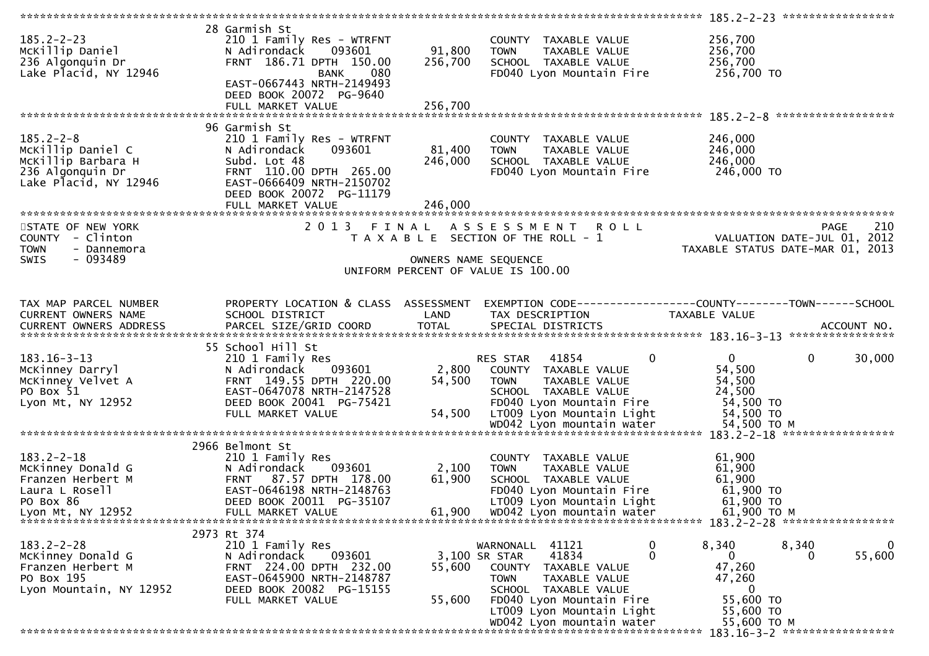|                                                                                                                |                                                                                                                                                                               |                           |                                                                                                                                                                                       | 185.2-2-23 ******************                                                                       |                    |
|----------------------------------------------------------------------------------------------------------------|-------------------------------------------------------------------------------------------------------------------------------------------------------------------------------|---------------------------|---------------------------------------------------------------------------------------------------------------------------------------------------------------------------------------|-----------------------------------------------------------------------------------------------------|--------------------|
| $185.2 - 2 - 23$<br>McKillip Daniel<br>236 Algonquin Dr<br>Lake Placid, NY 12946                               | 28 Garmish St<br>210 1 Family Res - WTRFNT<br>093601<br>N Adirondack<br>FRNT 186.71 DPTH 150.00<br>080<br><b>BANK</b><br>EAST-0667443 NRTH-2149493<br>DEED BOOK 20072 PG-9640 | 91,800<br>256,700         | COUNTY TAXABLE VALUE<br><b>TOWN</b><br>TAXABLE VALUE<br>SCHOOL TAXABLE VALUE<br>FD040 Lyon Mountain Fire                                                                              | 256,700<br>256,700<br>256,700<br>256,700 TO                                                         |                    |
|                                                                                                                |                                                                                                                                                                               |                           |                                                                                                                                                                                       |                                                                                                     |                    |
| $185.2 - 2 - 8$<br>McKillip Daniel C<br>McKillip Barbara H<br>236 Algonquin Dr<br>Lake Placid, NY 12946        | 96 Garmish St<br>210 1 Family Res - WTRFNT<br>093601<br>N Adirondack<br>Subd. Lot 48<br>FRNT 110.00 DPTH 265.00<br>EAST-0666409 NRTH-2150702<br>DEED BOOK 20072 PG-11179      | 81,400<br>246,000         | COUNTY TAXABLE VALUE<br><b>TOWN</b><br>TAXABLE VALUE<br>SCHOOL TAXABLE VALUE<br>FD040 Lyon Mountain Fire                                                                              | 246,000<br>246,000<br>246,000<br>246,000 TO                                                         |                    |
|                                                                                                                |                                                                                                                                                                               |                           |                                                                                                                                                                                       |                                                                                                     |                    |
| STATE OF NEW YORK<br>COUNTY - Clinton<br><b>TOWN</b><br>- Dannemora<br>- 093489<br>SWIS                        |                                                                                                                                                                               | OWNERS NAME SEQUENCE      | 2013 FINAL ASSESSMENT ROLL<br>T A X A B L E SECTION OF THE ROLL - 1                                                                                                                   | VALUATION DATE-JUL 01, 2012<br>TAXABLE STATUS DATE-MAR 01, 2013                                     | 210<br><b>PAGE</b> |
|                                                                                                                |                                                                                                                                                                               |                           | UNIFORM PERCENT OF VALUE IS 100.00                                                                                                                                                    |                                                                                                     |                    |
|                                                                                                                |                                                                                                                                                                               |                           |                                                                                                                                                                                       |                                                                                                     |                    |
| TAX MAP PARCEL NUMBER<br>CURRENT OWNERS NAME                                                                   | PROPERTY LOCATION & CLASS ASSESSMENT<br>SCHOOL DISTRICT                                                                                                                       | LAND                      | TAX DESCRIPTION                                                                                                                                                                       | TAXABLE VALUE                                                                                       |                    |
|                                                                                                                | 55 School Hill St                                                                                                                                                             |                           |                                                                                                                                                                                       |                                                                                                     |                    |
| $183.16 - 3 - 13$<br>McKinney Darryl<br>McKinney Velvet A<br>PO Box 51<br>Lyon Mt, NY 12952                    | 210 1 Family Res<br>093601<br>N Adirondack<br>FRNT 149.55 DPTH 220.00<br>EAST-0647078 NRTH-2147528<br>DEED BOOK 20041 PG-75421<br>FULL MARKET VALUE                           | 2,800<br>54,500<br>54,500 | 41854<br>0<br>RES STAR<br>COUNTY TAXABLE VALUE<br>TAXABLE VALUE<br>TOWN<br>SCHOOL TAXABLE VALUE<br>FD040 Lyon Mountain Fire<br>LT009 Lyon Mountain Light<br>WD042 Lyon mountain water | $\mathbf{0}$<br>$\mathbf{0}$<br>54,500<br>54,500<br>24,500<br>54,500 TO<br>54,500 TO<br>54,500 TO M | 30,000             |
|                                                                                                                |                                                                                                                                                                               |                           |                                                                                                                                                                                       |                                                                                                     |                    |
| $183.2 - 2 - 18$<br>McKinney Donald G<br>Franzen Herbert M<br>Laura L Rosell<br>PO Box 86<br>Lyon Mt, NY 12952 | 2966 Belmont St<br>210 1 Family Res<br>093601<br>N Adirondack<br>FRNT 87.57 DPTH 178.00<br>EAST-0646198 NRTH-2148763<br>DEED BOOK 20011 PG-35107<br>FULL MARKET VALUE         | 2,100<br>61,900<br>61,900 | COUNTY TAXABLE VALUE<br>TAXABLE VALUE<br><b>TOWN</b><br>SCHOOL TAXABLE VALUE<br>FD040 Lyon Mountain Fire<br>LT009 Lyon Mountain Light<br>WD042 Lyon mountain water                    | 61,900<br>61,900<br>61,900<br>61,900 TO<br>61,900 TO<br>61,900 то м                                 |                    |
|                                                                                                                | 2973 Rt 374                                                                                                                                                                   |                           |                                                                                                                                                                                       |                                                                                                     |                    |
| $183.2 - 2 - 28$<br>McKinney Donald G<br>Franzen Herbert M<br>PO Box 195<br>Lyon Mountain, NY 12952            | 210 1 Family Res<br>093601<br>N Adirondack<br>FRNT 224.00 DPTH 232.00<br>EAST-0645900 NRTH-2148787<br>DEED BOOK 20082 PG-15155<br>FULL MARKET VALUE                           | 55,600<br>55,600          | 41121<br>0<br>WARNONALL<br>0<br>41834<br>3,100 SR STAR<br>COUNTY TAXABLE VALUE<br>TAXABLE VALUE<br><b>TOWN</b><br>SCHOOL TAXABLE VALUE<br>FD040 Lyon Mountain Fire                    | 8,340<br>8,340<br>0<br>$\Omega$<br>47,260<br>47,260<br>0<br>55,600 TO                               | 0<br>55,600        |
|                                                                                                                |                                                                                                                                                                               |                           | LT009 Lyon Mountain Light<br>WD042 Lyon mountain water                                                                                                                                | 55,600 TO<br>55,600 TO M                                                                            |                    |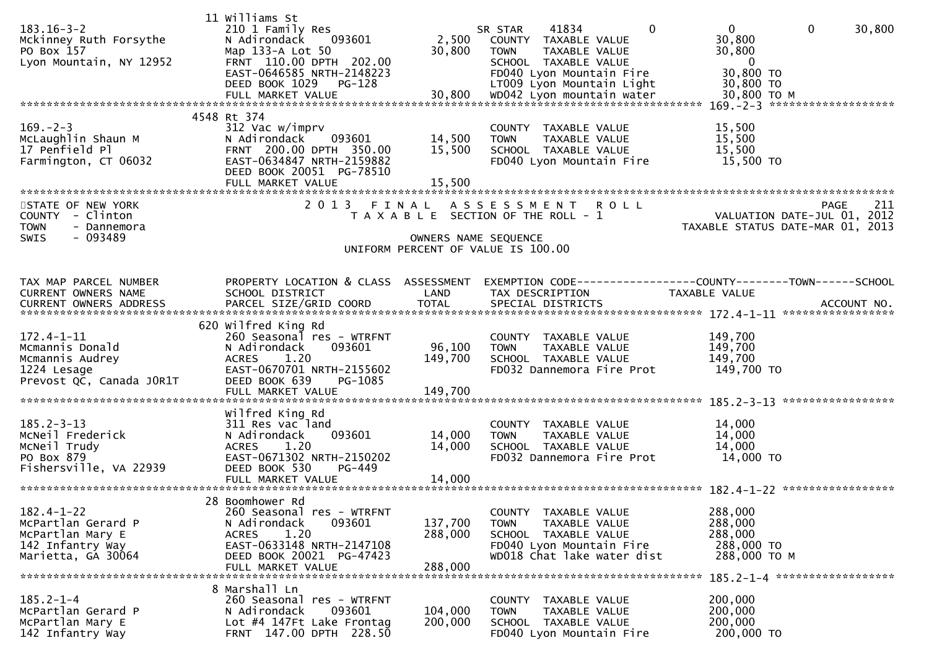| $183.16 - 3 - 2$<br>Mckinney Ruth Forsythe<br>PO Box 157<br>Lyon Mountain, NY 12952                  | 11 Williams St<br>210 1 Family Res<br>N Adirondack<br>093601<br>Map 133-A Lot 50<br>FRNT 110.00 DPTH 202.00<br>EAST-0646585 NRTH-2148223<br>DEED BOOK 1029<br>PG-128<br>FULL MARKET VALUE | 2,500<br>30,800<br>30,800     | $\Omega$<br>41834<br>SR STAR<br>COUNTY TAXABLE VALUE<br><b>TOWN</b><br>TAXABLE VALUE<br>SCHOOL TAXABLE VALUE<br>FD040 Lyon Mountain Fire<br>LT009 Lyon Mountain Light<br>WD042 Lyon mountain water | $\mathbf 0$<br>$\mathbf 0$<br>30,800<br>30,800<br>30,800<br>$\mathbf{0}$<br>30,800 TO<br>30,800 TO<br>30,800 TO M |
|------------------------------------------------------------------------------------------------------|-------------------------------------------------------------------------------------------------------------------------------------------------------------------------------------------|-------------------------------|----------------------------------------------------------------------------------------------------------------------------------------------------------------------------------------------------|-------------------------------------------------------------------------------------------------------------------|
|                                                                                                      | 4548 Rt 374                                                                                                                                                                               |                               |                                                                                                                                                                                                    | $169. -2 - 3$ *********************                                                                               |
| $169. - 2 - 3$<br>McLaughlin Shaun M<br>17 Penfield Pl<br>Farmington, CT 06032                       | 312 Vac w/imprv<br>093601<br>N Adirondack<br>FRNT 200.00 DPTH 350.00<br>EAST-0634847 NRTH-2159882<br>DEED BOOK 20051 PG-78510<br>FULL MARKET VALUE                                        | 14,500<br>15,500<br>15,500    | COUNTY TAXABLE VALUE<br>TAXABLE VALUE<br><b>TOWN</b><br>SCHOOL TAXABLE VALUE<br>FD040 Lyon Mountain Fire                                                                                           | 15,500<br>15,500<br>15,500<br>15,500 TO                                                                           |
|                                                                                                      |                                                                                                                                                                                           |                               |                                                                                                                                                                                                    |                                                                                                                   |
| STATE OF NEW YORK<br>COUNTY - Clinton<br><b>TOWN</b><br>- Dannemora<br><b>SWIS</b><br>- 093489       | 2 0 1 3                                                                                                                                                                                   | FINAL<br>OWNERS NAME SEQUENCE | A S S E S S M E N T<br>R O L L<br>T A X A B L E SECTION OF THE ROLL - 1                                                                                                                            | 211<br><b>PAGE</b><br>VALUATION DATE-JUL 01, 2012<br>TAXABLE STATUS DATE-MAR 01,<br>2013                          |
|                                                                                                      |                                                                                                                                                                                           |                               | UNIFORM PERCENT OF VALUE IS 100.00                                                                                                                                                                 |                                                                                                                   |
| TAX MAP PARCEL NUMBER<br>CURRENT OWNERS NAME<br><b>CURRENT OWNERS ADDRESS</b>                        | PROPERTY LOCATION & CLASS ASSESSMENT<br>SCHOOL DISTRICT<br>PARCEL SIZE/GRID COORD                                                                                                         | LAND<br><b>TOTAL</b>          | TAX DESCRIPTION<br>SPECIAL DISTRICTS                                                                                                                                                               | TAXABLE VALUE<br>ACCOUNT NO.                                                                                      |
|                                                                                                      |                                                                                                                                                                                           |                               |                                                                                                                                                                                                    |                                                                                                                   |
| $172.4 - 1 - 11$<br>Mcmannis Donald<br>Mcmannis Audrey<br>1224 Lesage<br>Prevost QC, Canada JOR1T    | 620 Wilfred King Rd<br>260 Seasonal res - WTRFNT<br>093601<br>N Adirondack<br><b>ACRES</b><br>1.20<br>EAST-0670701 NRTH-2155602<br>DEED BOOK 639<br>PG-1085<br>FULL MARKET VALUE          | 96,100<br>149,700<br>149,700  | COUNTY TAXABLE VALUE<br>TAXABLE VALUE<br><b>TOWN</b><br>SCHOOL TAXABLE VALUE<br>FD032 Dannemora Fire Prot                                                                                          | 149,700<br>149,700<br>149,700<br>149,700 TO                                                                       |
|                                                                                                      | Wilfred King Rd                                                                                                                                                                           |                               |                                                                                                                                                                                                    |                                                                                                                   |
| $185.2 - 3 - 13$<br>MCNeil Frederick<br>MCNeil Trudy<br>PO Box 879<br>Fishersville, VA 22939         | 311 Res vac land<br>093601<br>N Adirondack<br>1.20<br><b>ACRES</b><br>EAST-0671302 NRTH-2150202<br>DEED BOOK 530<br>$PG-449$                                                              | 14,000<br>14,000              | COUNTY TAXABLE VALUE<br>TAXABLE VALUE<br><b>TOWN</b><br>SCHOOL TAXABLE VALUE<br>FD032 Dannemora Fire Prot                                                                                          | 14,000<br>14,000<br>14,000<br>14,000 TO                                                                           |
|                                                                                                      | FULL MARKET VALUE                                                                                                                                                                         | 14,000                        |                                                                                                                                                                                                    |                                                                                                                   |
| $182.4 - 1 - 22$<br>McPartlan Gerard P<br>McPartlan Mary E<br>142 Infantry Way<br>Marietta, GA 30064 | 28 Boomhower Rd<br>260 Seasonal res - WTRFNT<br>093601<br>N Adirondack<br><b>ACRES</b><br>1.20<br>EAST-0633148 NRTH-2147108<br>DEED BOOK 20021 PG-47423<br>FULL MARKET VALUE              | 137,700<br>288,000<br>288,000 | COUNTY TAXABLE VALUE<br>TAXABLE VALUE<br><b>TOWN</b><br>SCHOOL TAXABLE VALUE<br>FD040 Lyon Mountain Fire<br>WD018 Chat lake water dist                                                             | 288,000<br>288,000<br>288,000<br>288,000 TO<br>288,000 TO M<br>185.2-1-4 *******************                      |
|                                                                                                      | 8 Marshall Ln                                                                                                                                                                             |                               |                                                                                                                                                                                                    |                                                                                                                   |
| $185.2 - 1 - 4$<br>McPartlan Gerard P<br>McPartlan Mary E<br>142 Infantry Way                        | 260 Seasonal res - WTRFNT<br>N Adirondack<br>093601<br>Lot #4 147Ft Lake Frontag<br>FRNT 147.00 DPTH 228.50                                                                               | 104,000<br>200,000            | COUNTY TAXABLE VALUE<br>TAXABLE VALUE<br>TOWN<br>SCHOOL TAXABLE VALUE<br>FD040 Lyon Mountain Fire                                                                                                  | 200,000<br>200,000<br>200,000<br>200,000 TO                                                                       |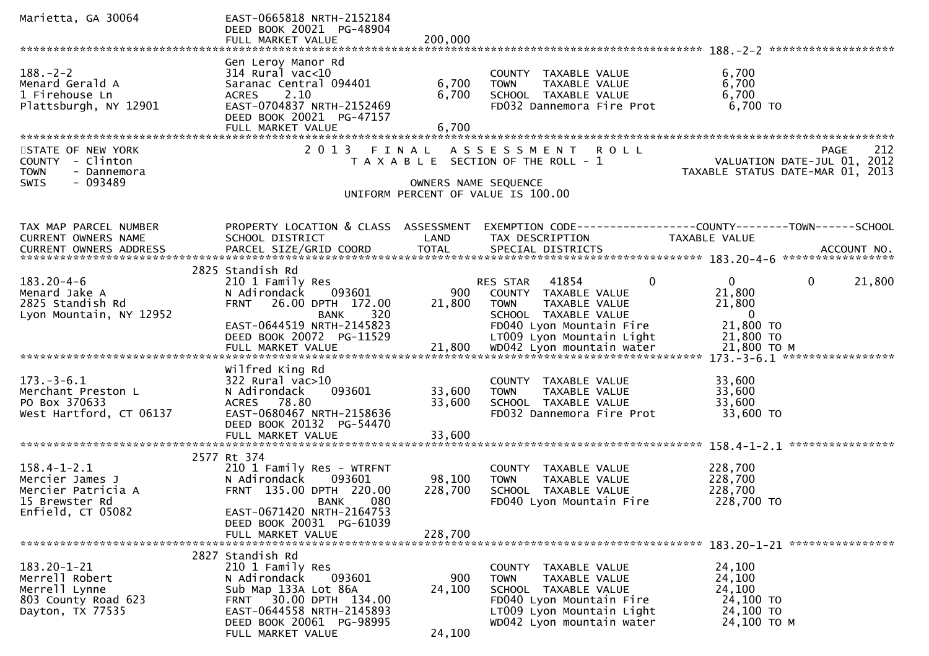| Marietta, GA 30064                                                                                | EAST-0665818 NRTH-2152184<br>DEED BOOK 20021 PG-48904<br>FULL MARKET VALUE                                                                                                          | 200,000                    |                                                                                                                                                                    |                                                                                       |
|---------------------------------------------------------------------------------------------------|-------------------------------------------------------------------------------------------------------------------------------------------------------------------------------------|----------------------------|--------------------------------------------------------------------------------------------------------------------------------------------------------------------|---------------------------------------------------------------------------------------|
|                                                                                                   |                                                                                                                                                                                     |                            |                                                                                                                                                                    |                                                                                       |
| $188. - 2 - 2$<br>Menard Gerald A<br>1 Firehouse Ln<br>Plattsburgh, NY 12901                      | Gen Leroy Manor Rd<br>$314$ Rural vac<10<br>Saranac Central 094401<br>2.10<br><b>ACRES</b><br>EAST-0704837 NRTH-2152469<br>DEED BOOK 20021 PG-47157<br>FULL MARKET VALUE            | 6,700<br>6,700<br>6,700    | COUNTY TAXABLE VALUE<br><b>TOWN</b><br>TAXABLE VALUE<br>SCHOOL TAXABLE VALUE<br>FD032 Dannemora Fire Prot                                                          | 6,700<br>6,700<br>6,700<br>6,700 TO                                                   |
| STATE OF NEW YORK<br>COUNTY - Clinton<br><b>TOWN</b><br>- Dannemora<br>$-093489$<br>SWIS          |                                                                                                                                                                                     | OWNERS NAME SEQUENCE       | 2013 FINAL ASSESSMENT ROLL<br>T A X A B L E SECTION OF THE ROLL - 1                                                                                                | 212<br>PAGE<br>VALUATION DATE-JUL 01, 2012<br>TAXABLE STATUS DATE-MAR 01, 2013        |
|                                                                                                   |                                                                                                                                                                                     |                            | UNIFORM PERCENT OF VALUE IS 100.00                                                                                                                                 |                                                                                       |
| TAX MAP PARCEL NUMBER<br>CURRENT OWNERS NAME                                                      | PROPERTY LOCATION & CLASS ASSESSMENT<br>SCHOOL DISTRICT                                                                                                                             | LAND                       | TAX DESCRIPTION                                                                                                                                                    | EXEMPTION CODE-----------------COUNTY-------TOWN------SCHOOL<br>TAXABLE VALUE         |
|                                                                                                   | 2825 Standish Rd                                                                                                                                                                    |                            |                                                                                                                                                                    |                                                                                       |
| $183.20 - 4 - 6$<br>Menard Jake A<br>2825 Standish Rd<br>Lyon Mountain, NY 12952                  | 210 1 Family Res<br>N Adirondack<br>093601<br>26.00 DPTH 172.00<br><b>FRNT</b><br>320<br><b>BANK</b><br>EAST-0644519 NRTH-2145823                                                   | 900<br>21,800              | RES STAR 41854<br>$\mathbf{0}$<br>COUNTY TAXABLE VALUE<br>TAXABLE VALUE<br>TOWN<br>SCHOOL TAXABLE VALUE<br>FD040 Lyon Mountain Fire                                | $\overline{0}$<br>$\mathbf{0}$<br>21,800<br>21,800<br>21,800<br>$\bf{0}$<br>21,800 TO |
|                                                                                                   | DEED BOOK 20072 PG-11529                                                                                                                                                            |                            | LT009 Lyon Mountain Light                                                                                                                                          | 21,800 TO                                                                             |
|                                                                                                   |                                                                                                                                                                                     |                            |                                                                                                                                                                    |                                                                                       |
| $173. - 3 - 6.1$<br>Merchant Preston L<br>PO Box 370633<br>West Hartford, CT 06137                | Wilfred King Rd<br>322 Rural vac>10<br>N Adirondack<br>093601<br>ACRES 78.80<br>EAST-0680467 NRTH-2158636<br>DEED BOOK 20132 PG-54470<br>FULL MARKET VALUE                          | 33,600<br>33,600<br>33,600 | COUNTY TAXABLE VALUE<br>TAXABLE VALUE<br><b>TOWN</b><br>SCHOOL TAXABLE VALUE<br>FD032 Dannemora Fire Prot                                                          | 33,600<br>33,600<br>33,600<br>33,600 TO                                               |
|                                                                                                   |                                                                                                                                                                                     |                            |                                                                                                                                                                    |                                                                                       |
| $158.4 - 1 - 2.1$<br>Mercier James J<br>Mercier Patricia A<br>15 Brewster Rd<br>Enfield, CT 05082 | 2577 Rt 374<br>210 1 Family Res - WTRFNT<br>093601<br>N Adirondack<br>FRNT 135.00 DPTH 220.00<br>080<br><b>BANK</b><br>EAST-0671420 NRTH-2164753<br>DEED BOOK 20031 PG-61039        | 98,100<br>228,700          | COUNTY TAXABLE VALUE<br>TAXABLE VALUE<br><b>TOWN</b><br>SCHOOL TAXABLE VALUE<br>FD040 Lyon Mountain Fire                                                           | 228,700<br>228,700<br>228,700<br>228,700 TO                                           |
|                                                                                                   | FULL MARKET VALUE                                                                                                                                                                   | 228,700                    |                                                                                                                                                                    |                                                                                       |
|                                                                                                   |                                                                                                                                                                                     |                            |                                                                                                                                                                    |                                                                                       |
| 183.20-1-21<br>Merrell Robert<br>Merrell Lynne<br>803 County Road 623<br>Dayton, TX 77535         | 2827 Standish Rd<br>210 1 Family Res<br>093601<br>N Adirondack<br>Sub Map 133A Lot 86A<br>30.00 DPTH 134.00<br><b>FRNT</b><br>EAST-0644558 NRTH-2145893<br>DEED BOOK 20061 PG-98995 | 900<br>24,100              | COUNTY TAXABLE VALUE<br>TAXABLE VALUE<br><b>TOWN</b><br>SCHOOL TAXABLE VALUE<br>FD040 Lyon Mountain Fire<br>LT009 Lyon Mountain Light<br>WD042 Lyon mountain water | 24,100<br>24,100<br>24,100<br>24,100 TO<br>24,100 TO<br>24,100 ТО М                   |
|                                                                                                   | FULL MARKET VALUE                                                                                                                                                                   | 24,100                     |                                                                                                                                                                    |                                                                                       |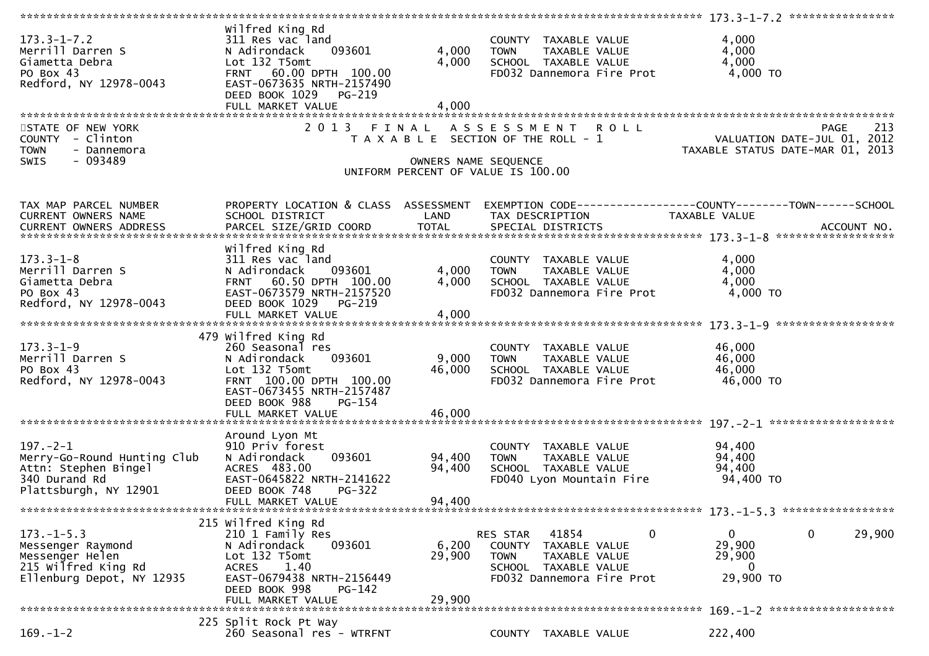| $173.3 - 1 - 7.2$<br>Merrill Darren S<br>Giametta Debra<br>PO Box 43<br>Redford, NY 12978-0043                  | Wilfred King Rd<br>311 Res vac land<br>093601<br>N Adirondack<br>Lot 132 T5omt<br>FRNT 60.00 DPTH 100.00<br>EAST-0673635 NRTH-2157490<br>DEED BOOK 1029<br>PG-219<br>FULL MARKET VALUE       | 4,000<br>4,000<br>4,000       | COUNTY TAXABLE VALUE<br>TAXABLE VALUE<br><b>TOWN</b><br>SCHOOL TAXABLE VALUE<br>FD032 Dannemora Fire Prot                              | 4,000<br>4,000<br>4,000<br>4,000 TO                                             |
|-----------------------------------------------------------------------------------------------------------------|----------------------------------------------------------------------------------------------------------------------------------------------------------------------------------------------|-------------------------------|----------------------------------------------------------------------------------------------------------------------------------------|---------------------------------------------------------------------------------|
| STATE OF NEW YORK<br>COUNTY - Clinton<br><b>TOWN</b><br>- Dannemora<br>SWIS<br>- 093489                         | 2 0 1 3                                                                                                                                                                                      | FINAL<br>OWNERS NAME SEQUENCE | ASSESSMENT ROLL<br>T A X A B L E SECTION OF THE ROLL - 1<br>UNIFORM PERCENT OF VALUE IS 100.00                                         | 213<br>PAGE<br>VALUATION DATE-JUL 01, 2012<br>TAXABLE STATUS DATE-MAR 01, 2013  |
| TAX MAP PARCEL NUMBER<br>CURRENT OWNERS NAME                                                                    | PROPERTY LOCATION & CLASS ASSESSMENT<br>SCHOOL DISTRICT                                                                                                                                      | LAND                          | TAX DESCRIPTION                                                                                                                        | EXEMPTION CODE------------------COUNTY--------TOWN------SCHOOL<br>TAXABLE VALUE |
| $173.3 - 1 - 8$<br>Merrill Darren S<br>Giametta Debra<br>PO Box 43<br>Redford, NY 12978-0043                    | Wilfred King Rd<br>311 Res vac land<br>N Adirondack<br>093601<br>FRNT 60.50 DPTH 100.00<br>EAST-0673579 NRTH-2157520<br>DEED BOOK 1029<br>PG-219<br>FULL MARKET VALUE                        | 4,000<br>4,000<br>4,000       | COUNTY TAXABLE VALUE<br>TAXABLE VALUE<br><b>TOWN</b><br>SCHOOL TAXABLE VALUE<br>FD032 Dannemora Fire Prot                              | 4,000<br>4,000<br>4,000<br>$4,000$ TO                                           |
| $173.3 - 1 - 9$<br>Merrill Darren S<br>PO Box 43<br>Redford, NY 12978-0043                                      | 479 Wilfred King Rd<br>260 Seasonal res<br>093601<br>N Adirondack<br>Lot 132 T5omt<br>FRNT 100.00 DPTH 100.00<br>EAST-0673455 NRTH-2157487<br>DEED BOOK 988<br>$PG-154$<br>FULL MARKET VALUE | 9,000<br>46,000<br>46,000     | COUNTY TAXABLE VALUE<br>TAXABLE VALUE<br><b>TOWN</b><br>SCHOOL TAXABLE VALUE<br>FD032 Dannemora Fire Prot                              | 46,000<br>46,000<br>46,000<br>46,000 TO                                         |
| $197. - 2 - 1$<br>Merry-Go-Round Hunting Club<br>Attn: Stephen Bingel<br>340 Durand Rd<br>Plattsburgh, NY 12901 | Around Lyon Mt<br>910 Priv forest<br>093601<br>N Adirondack<br>ACRES 483.00<br>EAST-0645822 NRTH-2141622<br>DEED BOOK 748<br><b>PG-322</b><br>FULL MARKET VALUE                              | 94,400<br>94,400<br>94,400    | COUNTY TAXABLE VALUE<br><b>TOWN</b><br>TAXABLE VALUE<br>SCHOOL TAXABLE VALUE<br>FD040 Lyon Mountain Fire                               | 94,400<br>94,400<br>94,400<br>94,400 TO                                         |
| $173. - 1 - 5.3$<br>Messenger Raymond<br>Messenger Helen<br>215 Wilfred King Rd<br>Ellenburg Depot, NY 12935    | 215 Wilfred King Rd<br>210 1 Family Res<br>093601<br>N Adirondack<br>Lot 132 T5omt<br>1.40<br><b>ACRES</b><br>EAST-0679438 NRTH-2156449<br>DEED BOOK 998<br>PG-142<br>FULL MARKET VALUE      | 6,200<br>29,900<br>29,900     | 41854<br>0<br>RES STAR<br>COUNTY<br>TAXABLE VALUE<br><b>TOWN</b><br>TAXABLE VALUE<br>SCHOOL TAXABLE VALUE<br>FD032 Dannemora Fire Prot | $\mathbf 0$<br>29,900<br>0<br>29,900<br>29,900<br>$\mathbf{0}$<br>29,900 TO     |
|                                                                                                                 | 225 Split Rock Pt Way                                                                                                                                                                        |                               |                                                                                                                                        |                                                                                 |
| $169. - 1 - 2$                                                                                                  | 260 Seasonal res - WTRFNT                                                                                                                                                                    |                               | COUNTY TAXABLE VALUE                                                                                                                   | 222,400                                                                         |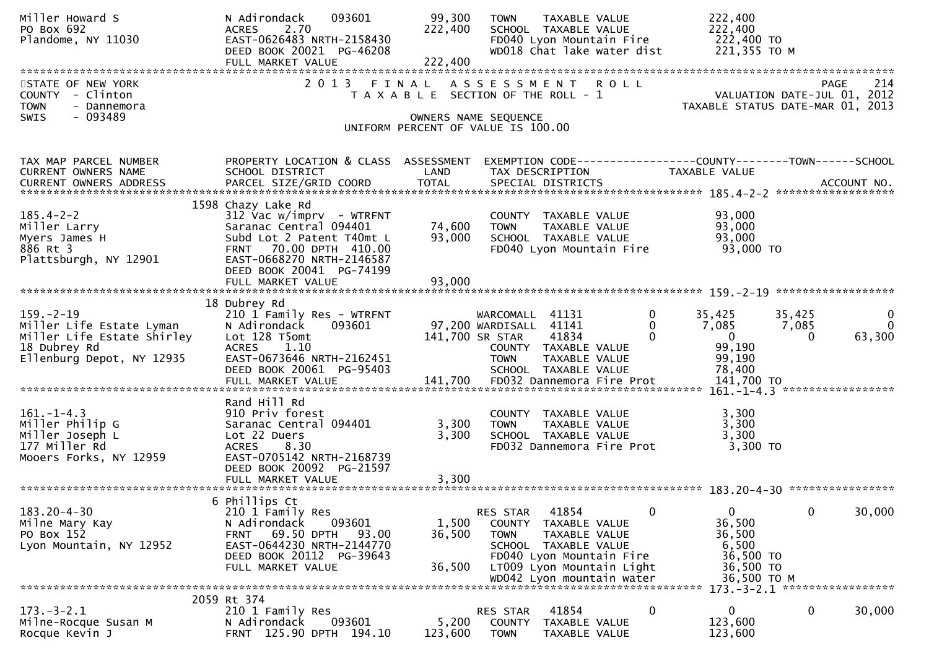| Miller Howard S<br>PO Box 692<br>Plandome, NY 11030                                                                    | N Adirondack<br>093601<br>2.70<br><b>ACRES</b><br>EAST-0626483 NRTH-2158430<br>DEED BOOK 20021 PG-46208<br>FULL MARKET VALUE                                                               | 99,300<br>222,400<br>222,400 | TAXABLE VALUE<br><b>TOWN</b><br>SCHOOL TAXABLE VALUE<br>FD040 Lyon Mountain Fire<br>WD018 Chat lake water dist                                                                          |                              | 222,400<br>222,400<br>222,400 TO<br>221,355 ТО М                                        |                                         |
|------------------------------------------------------------------------------------------------------------------------|--------------------------------------------------------------------------------------------------------------------------------------------------------------------------------------------|------------------------------|-----------------------------------------------------------------------------------------------------------------------------------------------------------------------------------------|------------------------------|-----------------------------------------------------------------------------------------|-----------------------------------------|
| STATE OF NEW YORK<br>COUNTY - Clinton<br><b>TOWN</b><br>- Dannemora<br>- 093489<br><b>SWIS</b>                         |                                                                                                                                                                                            |                              | 2013 FINAL ASSESSMENT ROLL<br>T A X A B L E SECTION OF THE ROLL - 1<br>OWNERS NAME SEQUENCE                                                                                             |                              | VALUATION DATE-JUL 01, 2012<br>TAXABLE STATUS DATE-MAR 01, 2013                         | 214<br><b>PAGE</b>                      |
|                                                                                                                        |                                                                                                                                                                                            |                              | UNIFORM PERCENT OF VALUE IS 100.00                                                                                                                                                      |                              |                                                                                         |                                         |
| TAX MAP PARCEL NUMBER<br>CURRENT OWNERS NAME                                                                           | PROPERTY LOCATION & CLASS ASSESSMENT<br>SCHOOL DISTRICT                                                                                                                                    | LAND                         | TAX DESCRIPTION                                                                                                                                                                         |                              | EXEMPTION CODE-----------------COUNTY-------TOWN------SCHOOL<br>TAXABLE VALUE           |                                         |
| $185.4 - 2 - 2$<br>Miller Larry<br>Myers James H<br>886 Rt 3<br>Plattsburgh, NY 12901                                  | 1598 Chazy Lake Rd<br>$312$ Vac w/imprv - WTRFNT<br>Saranac Central 094401<br>Subd Lot 2 Patent T40mt L<br>FRNT 70.00 DPTH 410.00<br>EAST-0668270 NRTH-2146587<br>DEED BOOK 20041 PG-74199 | 74,600<br>93,000             | COUNTY TAXABLE VALUE<br><b>TOWN</b><br>TAXABLE VALUE<br>SCHOOL TAXABLE VALUE<br>FD040 Lyon Mountain Fire                                                                                |                              | 93,000<br>93,000<br>93,000<br>93,000 TO                                                 |                                         |
|                                                                                                                        |                                                                                                                                                                                            |                              |                                                                                                                                                                                         |                              |                                                                                         |                                         |
| $159. - 2 - 19$<br>Miller Life Estate Lyman<br>Miller Life Estate Shirley<br>18 Dubrey Rd<br>Ellenburg Depot, NY 12935 | 18 Dubrey Rd<br>210 1 Family Res - WTRFNT<br>N Adirondack<br>093601<br>Lot 128 T5omt<br><b>ACRES</b><br>1.10<br>EAST-0673646 NRTH-2162451<br>DEED BOOK 20061 PG-95403                      |                              | WARCOMALL 41131<br>97,200 WARDISALL 41141<br>141,700 SR STAR<br>41834<br>COUNTY TAXABLE VALUE<br><b>TOWN</b><br>TAXABLE VALUE<br>SCHOOL TAXABLE VALUE                                   | $\mathbf 0$<br>0<br>$\Omega$ | 35,425<br>35,425<br>7,085<br>7,085<br>$\mathbf{0}$<br>0<br>99,190<br>99,190<br>78,400   | $\mathbf 0$<br>$\overline{0}$<br>63,300 |
|                                                                                                                        |                                                                                                                                                                                            |                              |                                                                                                                                                                                         |                              |                                                                                         |                                         |
| $161. - 1 - 4.3$<br>Miller Philip G<br>Miller Joseph L<br>177 Miller Rd<br>Mooers Forks, NY 12959                      | Rand Hill Rd<br>910 Priv forest<br>Saranac Central 094401<br>Lot 22 Duers<br>8.30<br><b>ACRES</b><br>EAST-0705142 NRTH-2168739<br>DEED BOOK 20092 PG-21597                                 | 3,300<br>3,300               | COUNTY TAXABLE VALUE<br>TAXABLE VALUE<br><b>TOWN</b><br>SCHOOL TAXABLE VALUE<br>FD032 Dannemora Fire Prot                                                                               |                              | 3,300<br>3,300<br>3,300<br>$3,300$ TO                                                   |                                         |
|                                                                                                                        |                                                                                                                                                                                            |                              |                                                                                                                                                                                         |                              |                                                                                         |                                         |
| $183.20 - 4 - 30$<br>Milne Mary Kay<br>PO Box 152<br>Lyon Mountain, NY 12952                                           | 6 Phillips Ct<br>210 1 Family Res<br>093601<br>N Adirondack<br>69.50 DPTH<br>93.00<br>FRNT<br>EAST-0644230 NRTH-2144770<br>DEED BOOK 20112 PG-39643<br>FULL MARKET VALUE                   | 1,500<br>36,500<br>36,500    | 41854<br>RES STAR<br>COUNTY TAXABLE VALUE<br><b>TOWN</b><br>TAXABLE VALUE<br>SCHOOL TAXABLE VALUE<br>FD040 Lyon Mountain Fire<br>LT009 Lyon Mountain Light<br>WD042 Lyon mountain water | $\mathbf 0$                  | $\mathbf{0}$<br>0<br>36,500<br>36,500<br>6,500<br>36,500 TO<br>36,500 TO<br>36,500 TO M | 30,000                                  |
|                                                                                                                        |                                                                                                                                                                                            |                              |                                                                                                                                                                                         |                              | 173. - 3 - 2.1 ******************                                                       |                                         |
| $173. - 3 - 2.1$<br>Milne-Rocque Susan M<br>Rocque Kevin J                                                             | 2059 Rt 374<br>210 1 Family Res<br>093601<br>N Adirondack<br>FRNT 125.90 DPTH 194.10                                                                                                       | 5,200<br>123,600             | RES STAR<br>41854<br><b>COUNTY</b><br>TAXABLE VALUE<br><b>TOWN</b><br>TAXABLE VALUE                                                                                                     | 0                            | 0<br>$\mathbf{0}$<br>123,600<br>123,600                                                 | 30,000                                  |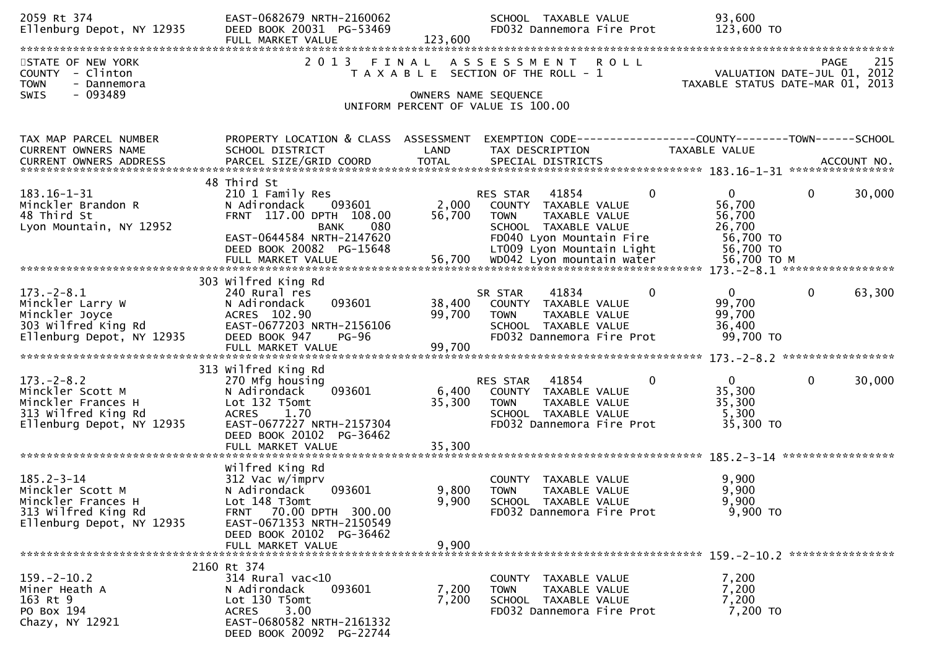| 2059 Rt 374<br>Ellenburg Depot, NY 12935                                                                       | EAST-0682679 NRTH-2160062<br>DEED BOOK 20031 PG-53469<br>FULL MARKET VALUE                                                                                                              | 123,600                   | SCHOOL TAXABLE VALUE<br>FD032 Dannemora Fire Prot                                                                                                                      | 93,600<br>123,600 TO                                                                                                                                                                                                                                                                                              |
|----------------------------------------------------------------------------------------------------------------|-----------------------------------------------------------------------------------------------------------------------------------------------------------------------------------------|---------------------------|------------------------------------------------------------------------------------------------------------------------------------------------------------------------|-------------------------------------------------------------------------------------------------------------------------------------------------------------------------------------------------------------------------------------------------------------------------------------------------------------------|
| STATE OF NEW YORK<br>COUNTY - Clinton<br><b>TOWN</b><br>- Dannemora<br><b>SWIS</b><br>- 093489                 |                                                                                                                                                                                         |                           | 2013 FINAL ASSESSMENT<br><b>ROLL</b><br>T A X A B L E SECTION OF THE ROLL - 1<br>OWNERS NAME SEQUENCE<br>UNIFORM PERCENT OF VALUE IS 100.00                            | PAGE<br>215<br>VALUATION DATE-JUL 01, 2012<br>TAXABLE STATUS DATE-MAR 01, 2013                                                                                                                                                                                                                                    |
| TAX MAP PARCEL NUMBER<br>CURRENT OWNERS NAME                                                                   | PROPERTY LOCATION & CLASS ASSESSMENT<br>SCHOOL DISTRICT                                                                                                                                 | LAND                      | TAX DESCRIPTION                                                                                                                                                        | EXEMPTION CODE------------------COUNTY--------TOWN------SCHOOL<br>TAXABLE VALUE<br>.4CCOUNT NO . PARCEL SIZE/GRID COORD TOTAL SPECIAL DISTRICTS . ACCOUNT NO . ACCOUNT NO . ACCOUNT NO . يتعدي بالمكتب المكتب المكتب المكتب المكتب المكتب المكتب المكتب المكتب المكتب المكتب المكتب المكتب المكتب المكتب المكتب ا |
| $183.16 - 1 - 31$<br>Minckler Brandon R<br>48 Third St<br>Lyon Mountain, NY 12952                              | 48 Third St<br>210 1 Family Res<br>093601<br>N Adirondack<br>FRNT 117.00 DPTH 108.00<br>080<br>BANK<br>EAST-0644584 NRTH-2147620<br>DEED BOOK 20082 PG-15648                            | 2,000<br>56,700           | $\Omega$<br>41854<br>RES STAR<br>COUNTY TAXABLE VALUE<br><b>TOWN</b><br>TAXABLE VALUE<br>SCHOOL TAXABLE VALUE<br>FD040 Lyon Mountain Fire<br>LT009 Lyon Mountain Light | 30,000<br>$\Omega$<br>$\mathbf 0$<br>56,700<br>56,700<br>26,700<br>56,700 TO<br>56,700 TO                                                                                                                                                                                                                         |
|                                                                                                                | 303 Wilfred King Rd                                                                                                                                                                     |                           |                                                                                                                                                                        |                                                                                                                                                                                                                                                                                                                   |
| $173. - 2 - 8.1$<br>Minckler Larry W<br>Minckler Joyce<br>303 Wilfred King Rd<br>Ellenburg Depot, NY 12935     | 240 Rural res<br>093601<br>N Adirondack<br>ACRES 102.90<br>EAST-0677203 NRTH-2156106<br>DEED BOOK 947<br><b>PG-96</b>                                                                   | 38,400<br>99,700          | 41834<br>$\mathbf{0}$<br>SR STAR<br>COUNTY TAXABLE VALUE<br><b>TOWN</b><br>TAXABLE VALUE<br>SCHOOL TAXABLE VALUE<br>FD032 Dannemora Fire Prot                          | 63,300<br>$\overline{0}$<br>$\mathbf{0}$<br>99,700<br>99,700<br>36,400<br>99,700 TO                                                                                                                                                                                                                               |
|                                                                                                                | FULL MARKET VALUE                                                                                                                                                                       | 99,700                    |                                                                                                                                                                        |                                                                                                                                                                                                                                                                                                                   |
| $173. - 2 - 8.2$<br>Minckler Scott M<br>Minckler Frances H<br>313 Wilfred King Rd<br>Ellenburg Depot, NY 12935 | 313 Wilfred King Rd<br>270 Mfg housing<br>093601<br>N Adirondack<br>Lot 132 T5omt<br><b>ACRES</b><br>1.70<br>EAST-0677227 NRTH-2157304<br>DEED BOOK 20102 PG-36462<br>FULL MARKET VALUE | 6,400<br>35,300<br>35,300 | $\mathbf 0$<br>41854<br>RES STAR<br>COUNTY TAXABLE VALUE<br>TAXABLE VALUE<br><b>TOWN</b><br>SCHOOL TAXABLE VALUE<br>FD032 Dannemora Fire Prot                          | $\mathbf{0}$<br>$\mathbf 0$<br>30,000<br>35,300<br>35,300<br>5,300<br>35,300 TO                                                                                                                                                                                                                                   |
|                                                                                                                |                                                                                                                                                                                         |                           |                                                                                                                                                                        |                                                                                                                                                                                                                                                                                                                   |
| $185.2 - 3 - 14$<br>Minckler Scott M<br>Minckler Frances H<br>313 Wilfred King Rd<br>Ellenburg Depot, NY 12935 | Wilfred King Rd<br>312 Vac w/imprv<br>N Adirondack<br>093601<br>Lot 148 T3omt<br>FRNT 70.00 DPTH 300.00<br>EAST-0671353 NRTH-2150549<br>DEED BOOK 20102 PG-36462<br>FULL MARKET VALUE   | 9,800<br>9,900<br>9,900   | COUNTY TAXABLE VALUE<br><b>TOWN</b><br>TAXABLE VALUE<br>SCHOOL TAXABLE VALUE<br>FD032 Dannemora Fire Prot                                                              | 9,900<br>9,900<br>9,900<br>9,900 TO                                                                                                                                                                                                                                                                               |
|                                                                                                                |                                                                                                                                                                                         |                           |                                                                                                                                                                        |                                                                                                                                                                                                                                                                                                                   |
| $159. - 2 - 10.2$<br>Miner Heath A<br>163 Rt 9<br>PO Box 194<br>Chazy, NY 12921                                | 2160 Rt 374<br>314 Rural vac<10<br>N Adirondack<br>093601<br>Lot 130 T5omt<br>3.00<br><b>ACRES</b><br>EAST-0680582 NRTH-2161332<br>DEED BOOK 20092 PG-22744                             | 7,200<br>7,200            | COUNTY TAXABLE VALUE<br>TAXABLE VALUE<br><b>TOWN</b><br>SCHOOL TAXABLE VALUE<br>FD032 Dannemora Fire Prot                                                              | 7,200<br>7,200<br>7,200<br>7,200 TO                                                                                                                                                                                                                                                                               |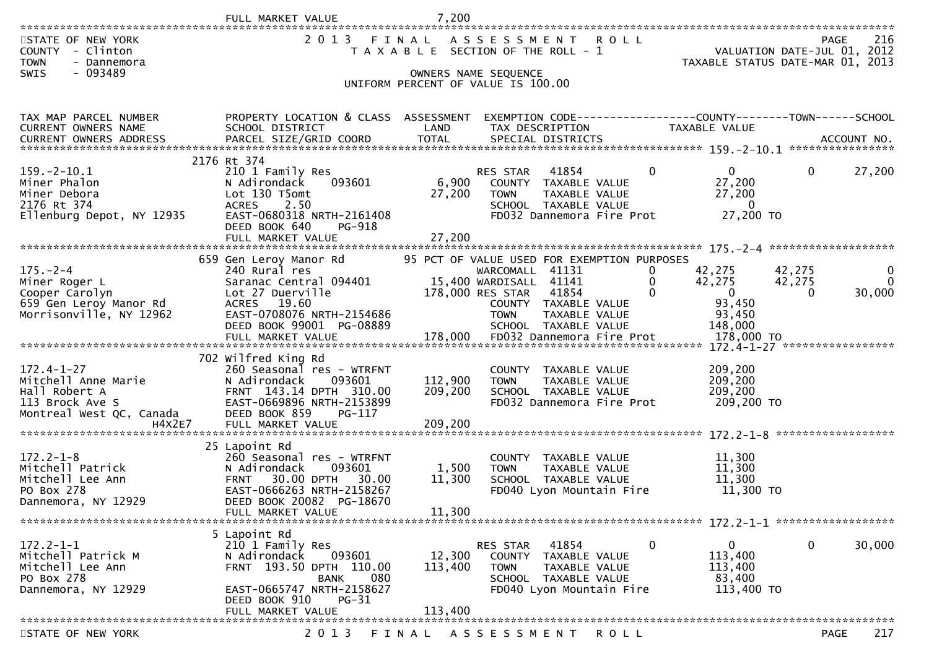|                                                                                                        | FULL MARKET VALUE                                                                                                                                                                     | 7,200                         |                                                                                                                                                                                      |                                               |                                                                                |                             |                         |
|--------------------------------------------------------------------------------------------------------|---------------------------------------------------------------------------------------------------------------------------------------------------------------------------------------|-------------------------------|--------------------------------------------------------------------------------------------------------------------------------------------------------------------------------------|-----------------------------------------------|--------------------------------------------------------------------------------|-----------------------------|-------------------------|
| STATE OF NEW YORK<br>COUNTY - Clinton<br><b>TOWN</b><br>- Dannemora                                    | 2 0 1 3                                                                                                                                                                               |                               | FINAL ASSESSMENT ROLL<br>T A X A B L E SECTION OF THE ROLL - 1                                                                                                                       |                                               | TAXABLE STATUS DATE-MAR 01, 2013                                               | VALUATION DATE-JUL 01, 2012 | 216<br>PAGE             |
| $-093489$<br><b>SWIS</b>                                                                               |                                                                                                                                                                                       |                               | OWNERS NAME SEQUENCE<br>UNIFORM PERCENT OF VALUE IS 100.00                                                                                                                           |                                               |                                                                                |                             |                         |
|                                                                                                        |                                                                                                                                                                                       |                               |                                                                                                                                                                                      |                                               |                                                                                |                             |                         |
| TAX MAP PARCEL NUMBER<br>CURRENT OWNERS NAME                                                           | PROPERTY LOCATION & CLASS ASSESSMENT<br>SCHOOL DISTRICT                                                                                                                               | LAND                          | TAX DESCRIPTION                                                                                                                                                                      |                                               | EXEMPTION CODE-----------------COUNTY--------TOWN------SCHOOL<br>TAXABLE VALUE |                             |                         |
| $159. - 2 - 10.1$<br>Miner Phalon<br>Miner Debora<br>2176 Rt 374<br>Ellenburg Depot, NY 12935          | 2176 Rt 374<br>210 1 Family Res<br>093601<br>N Adirondack<br>Lot 130 T5omt<br><b>ACRES</b><br>2.50<br>EAST-0680318 NRTH-2161408<br>DEED BOOK 640<br>PG-918                            | 6,900<br>27,200               | RES STAR<br>41854<br>COUNTY TAXABLE VALUE<br><b>TOWN</b><br>SCHOOL TAXABLE VALUE<br>FD032 Dannemora Fire Prot                                                                        | 0<br>TAXABLE VALUE                            | $\mathbf{0}$<br>27,200<br>27,200<br>- 0<br>27,200 TO                           | $\mathbf{0}$                | 27,200                  |
|                                                                                                        | FULL MARKET VALUE                                                                                                                                                                     | 27,200                        |                                                                                                                                                                                      |                                               |                                                                                |                             |                         |
| $175. - 2 - 4$<br>Miner Roger L<br>Cooper Carolyn<br>659 Gen Leroy Manor Rd<br>Morrisonville, NY 12962 | 659 Gen Leroy Manor Rd<br>240 Rural res<br>Saranac Central 094401<br>Lot 27 Duerville<br>ACRES 19.60<br>EAST-0708076 NRTH-2154686<br>DEED BOOK 99001 PG-08889                         |                               | 95 PCT OF VALUE USED FOR EXEMPTION PURPOSES<br>WARCOMALL 41131<br>15,400 WARDISALL 41141<br>178,000 RES STAR<br>41854<br>COUNTY TAXABLE VALUE<br><b>TOWN</b><br>SCHOOL TAXABLE VALUE | 0<br>0<br>$\mathbf{0}$<br>TAXABLE VALUE       | 42,275<br>42,275<br>$\overline{0}$<br>93,450<br>93,450<br>148,000              | 42,275<br>42,275<br>0       | 0<br>$\Omega$<br>30,000 |
| $172.4 - 1 - 27$<br>Mitchell Anne Marie<br>Hall Robert A<br>Montreal West QC, Canada                   | 702 Wilfred King Rd<br>260 Seasonal res - WTRFNT<br>N Adirondack<br>093601<br>FRNT 143.14 DPTH 310.00<br>EAST-0669896 NRTH-2153899<br>DEED BOOK 859<br>PG-117<br>FULL MARKET VALUE    | 112,900<br>209,200<br>209,200 | COUNTY TAXABLE VALUE<br><b>TOWN</b><br>SCHOOL TAXABLE VALUE<br>FD032 Dannemora Fire Prot                                                                                             | TAXABLE VALUE                                 | 209,200<br>209,200<br>209,200<br>209,200 TO                                    |                             |                         |
| $172.2 - 1 - 8$<br>Mitchell Patrick<br>Mitchell Lee Ann<br>PO Box 278<br>Dannemora, NY 12929           | 25 Lapoint Rd<br>260 Seasonal res - WTRFNT<br>093601<br>N Adirondack<br>30.00 DPTH 30.00<br><b>FRNT</b><br>EAST-0666263 NRTH-2158267<br>DEED BOOK 20082 PG-18670<br>FULL MARKET VALUE | 1,500<br>11,300<br>11,300     | <b>COUNTY</b><br><b>TOWN</b><br>SCHOOL TAXABLE VALUE<br>FD040 Lyon Mountain Fire                                                                                                     | TAXABLE VALUE<br>TAXABLE VALUE                | 11,300<br>11,300<br>11,300<br>11,300 TO                                        |                             |                         |
|                                                                                                        | 5 Lapoint Rd                                                                                                                                                                          |                               |                                                                                                                                                                                      |                                               |                                                                                |                             |                         |
| $172.2 - 1 - 1$<br>Mitchell Patrick M<br>Mitchell Lee Ann<br>PO Box 278<br>Dannemora, NY 12929         | 210 1 Family Res<br>N Adirondack<br>093601<br>FRNT 193.50 DPTH 110.00<br>080<br><b>BANK</b><br>EAST-0665747 NRTH-2158627<br>DEED BOOK 910<br>$PG-31$                                  | 12,300<br>113,400             | 41854<br>RES STAR<br><b>COUNTY</b><br>TOWN<br>SCHOOL TAXABLE VALUE<br>FD040 Lyon Mountain Fire                                                                                       | $\mathbf 0$<br>TAXABLE VALUE<br>TAXABLE VALUE | 0<br>113,400<br>113,400<br>83,400<br>113,400 TO                                | 0                           | 30,000                  |
|                                                                                                        | FULL MARKET VALUE                                                                                                                                                                     | 113,400                       |                                                                                                                                                                                      |                                               |                                                                                |                             |                         |
| STATE OF NEW YORK                                                                                      | 2 0 1 3                                                                                                                                                                               |                               | FINAL ASSESSMENT                                                                                                                                                                     | <b>ROLL</b>                                   |                                                                                |                             | 217<br><b>PAGE</b>      |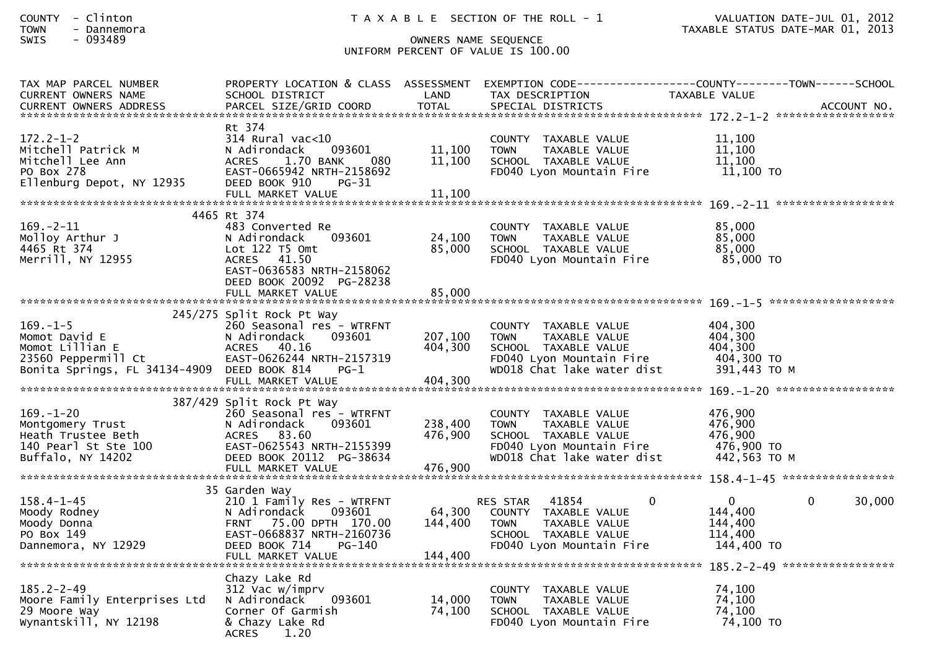| <b>COUNTY</b> | Clinton |  |
|---------------|---------|--|
|               |         |  |

# SWIS - 093489 OWNERS NAME SEQUENCE UNIFORM PERCENT OF VALUE IS 100.00

| TAX MAP PARCEL NUMBER<br>CURRENT OWNERS NAME                       | PROPERTY LOCATION & CLASS ASSESSMENT<br>SCHOOL DISTRICT | LAND             | TAX DESCRIPTION                                        | EXEMPTION        CODE-----------------COUNTY-------TOWN------SCHOOL<br>TAXABLE VALUE |
|--------------------------------------------------------------------|---------------------------------------------------------|------------------|--------------------------------------------------------|--------------------------------------------------------------------------------------|
| CURRENT OWNERS ADDRESS                                             | PARCEL SIZE/GRID COORD                                  | <b>TOTAL</b>     | SPECIAL DISTRICTS                                      | ACCOUNT NO.                                                                          |
|                                                                    | Rt 374                                                  |                  |                                                        |                                                                                      |
| $172.2 - 1 - 2$                                                    | 314 Rural vac<10                                        |                  | COUNTY TAXABLE VALUE                                   | 11,100                                                                               |
| Mitchell Patrick M<br>Mitchell Lee Ann                             | N Adirondack<br>093601<br><b>ACRES</b><br>1.70 BANK     | 11,100<br>11,100 | TAXABLE VALUE<br><b>TOWN</b><br>SCHOOL TAXABLE VALUE   | 11,100<br>11,100                                                                     |
| PO Box 278                                                         | -080<br>EAST-0665942 NRTH-2158692                       |                  | FD040 Lyon Mountain Fire                               | 11,100 TO                                                                            |
| Ellenburg Depot, NY 12935                                          | DEED BOOK 910<br>PG-31                                  |                  |                                                        |                                                                                      |
|                                                                    | FULL MARKET VALUE                                       | 11,100           |                                                        |                                                                                      |
|                                                                    | 4465 Rt 374                                             |                  |                                                        |                                                                                      |
| $169. - 2 - 11$<br>Molloy Arthur J                                 | 483 Converted Re<br>N Adirondack<br>093601              | 24,100           | COUNTY TAXABLE VALUE<br><b>TOWN</b><br>TAXABLE VALUE   | 85,000<br>85,000                                                                     |
| 4465 Rt 374                                                        | Lot $122$ T5 Omt                                        | 85,000           | SCHOOL TAXABLE VALUE                                   | 85,000                                                                               |
| Merrill, NY 12955                                                  | ACRES 41.50                                             |                  | FD040 Lyon Mountain Fire                               | 85,000 TO                                                                            |
|                                                                    | EAST-0636583 NRTH-2158062<br>DEED BOOK 20092 PG-28238   |                  |                                                        |                                                                                      |
|                                                                    | FULL MARKET VALUE                                       | 85,000           |                                                        |                                                                                      |
|                                                                    | 245/275 Split Rock Pt Way                               |                  |                                                        |                                                                                      |
| $169. - 1 - 5$                                                     | 260 Seasonal res - WTRFNT                               |                  | COUNTY TAXABLE VALUE                                   | 404,300                                                                              |
| Momot David E                                                      | 093601<br>N Adirondack                                  | 207,100          | <b>TOWN</b><br>TAXABLE VALUE                           | 404,300                                                                              |
| Momot Lillian E                                                    | 40.16<br>ACRES                                          | 404,300          | SCHOOL TAXABLE VALUE                                   | 404,300                                                                              |
| 23560 Peppermill Ct<br>Bonita Springs, FL 34134-4909 DEED BOOK 814 | EAST-0626244 NRTH-2157319<br>$PG-1$                     |                  | FD040 Lyon Mountain Fire<br>WD018 Chat lake water dist | 404,300 TO<br>391,443 ТО М                                                           |
|                                                                    | FULL MARKET VALUE                                       | 404.300          |                                                        |                                                                                      |
|                                                                    | 387/429 Split Rock Pt Way                               |                  |                                                        |                                                                                      |
| $169. - 1 - 20$                                                    | 260 Seasonal res - WTRFNT                               |                  | COUNTY TAXABLE VALUE                                   | 476,900                                                                              |
| Montgomery Trust                                                   | N Adirondack<br>093601                                  | 238,400          | <b>TOWN</b><br>TAXABLE VALUE                           | 476,900                                                                              |
| Heath Trustee Beth                                                 | ACRES 83.60                                             | 476,900          | SCHOOL TAXABLE VALUE                                   | 476,900<br>476,900 TO                                                                |
| 140 Pearl St Ste 100<br>Buffalo, NY 14202                          | EAST-0625543 NRTH-2155399<br>DEED BOOK 20112 PG-38634   |                  | FD040 Lyon Mountain Fire<br>WD018 Chat lake water dist | 442,563 TO M                                                                         |
|                                                                    | FULL MARKET VALUE                                       | 476,900          |                                                        |                                                                                      |
|                                                                    | 35 Garden Way                                           |                  |                                                        |                                                                                      |
| $158.4 - 1 - 45$                                                   | 210 1 Family Res - WTRFNT                               |                  | $\mathbf 0$<br>41854<br>RES STAR                       | $\mathbf{0}$<br>$\mathbf{0}$<br>30,000                                               |
| Moody Rodney                                                       | N Adirondack<br>093601                                  | 64,300           | COUNTY TAXABLE VALUE                                   | 144,400                                                                              |
| Moody Donna                                                        | 75.00 DPTH 170.00<br><b>FRNT</b>                        | 144,400          | <b>TOWN</b><br>TAXABLE VALUE                           | 144,400                                                                              |
| PO Box 149<br>Dannemora, NY 12929                                  | EAST-0668837 NRTH-2160736<br>DEED BOOK 714<br>PG-140    |                  | SCHOOL TAXABLE VALUE<br>FD040 Lyon Mountain Fire       | 114,400<br>144,400 TO                                                                |
|                                                                    |                                                         |                  |                                                        |                                                                                      |
|                                                                    | Chazy Lake Rd                                           |                  |                                                        |                                                                                      |
| $185.2 - 2 - 49$                                                   | 312 Vac w/imprv                                         |                  | COUNTY<br>TAXABLE VALUE                                | 74,100                                                                               |
| Moore Family Enterprises Ltd                                       | 093601<br>N Adirondack                                  | 14,000           | <b>TOWN</b><br>TAXABLE VALUE                           | 74,100                                                                               |
| 29 Moore Way<br>Wynantskill, NY 12198                              | Corner Of Garmish<br>& Chazy Lake Rd                    | 74,100           | SCHOOL TAXABLE VALUE<br>FD040 Lyon Mountain Fire       | 74,100<br>74,100 TO                                                                  |
|                                                                    | <b>ACRES</b><br>1.20                                    |                  |                                                        |                                                                                      |
|                                                                    |                                                         |                  |                                                        |                                                                                      |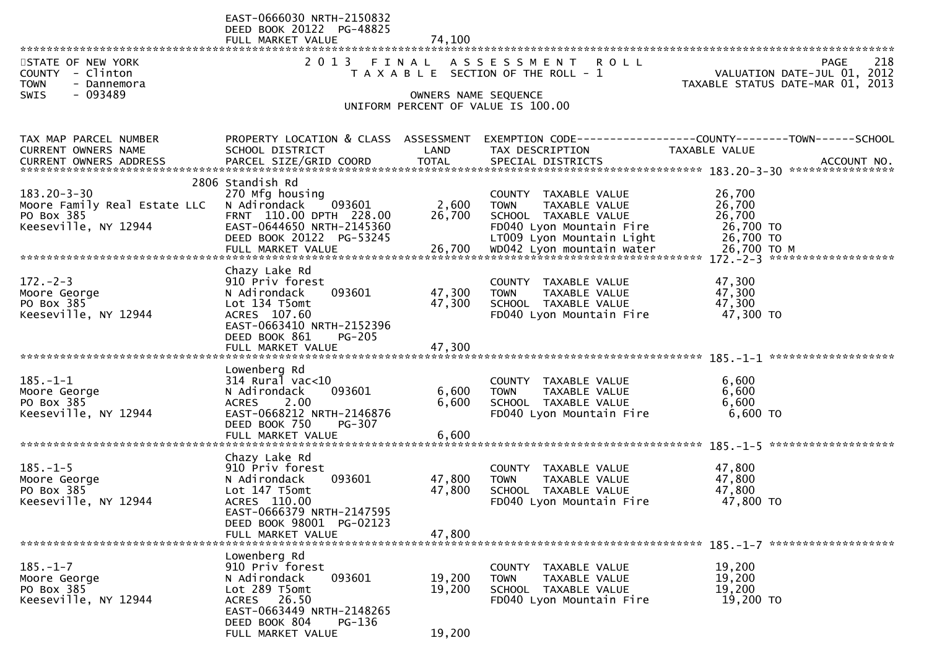| STATE OF NEW YORK<br>COUNTY - Clinton<br><b>TOWN</b><br>- Dannemora<br>SWIS<br>- 093489 | EAST-0666030 NRTH-2150832<br>DEED BOOK 20122 PG-48825<br>FULL MARKET VALUE                                                                                                      | 74,100<br>OWNERS NAME SEQUENCE | 2013 FINAL ASSESSMENT ROLL<br>T A X A B L E SECTION OF THE ROLL - 1<br>UNIFORM PERCENT OF VALUE IS 100.00                      | VALUATION DATE-JUL 01, 2012<br>TAXABLE STATUS DATE-MAR 01, 2013 | 218<br>PAGE |
|-----------------------------------------------------------------------------------------|---------------------------------------------------------------------------------------------------------------------------------------------------------------------------------|--------------------------------|--------------------------------------------------------------------------------------------------------------------------------|-----------------------------------------------------------------|-------------|
| TAX MAP PARCEL NUMBER<br>CURRENT OWNERS NAME                                            | PROPERTY LOCATION & CLASS ASSESSMENT<br>SCHOOL DISTRICT                                                                                                                         | LAND                           | EXEMPTION CODE------------------COUNTY--------TOWN------SCHOOL<br>TAX DESCRIPTION                                              | TAXABLE VALUE                                                   |             |
| $183.20 - 3 - 30$<br>Moore Family Real Estate LLC<br>PO Box 385<br>Keeseville, NY 12944 | 2806 Standish Rd<br>270 Mfg housing<br>093601<br>N Adirondack<br>FRNT 110.00 DPTH 228.00<br>EAST-0644650 NRTH-2145360<br>DEED BOOK 20122 PG-53245                               | 2,600<br>26,700                | COUNTY TAXABLE VALUE<br>TAXABLE VALUE<br>TOWN<br>SCHOOL TAXABLE VALUE<br>FD040 Lyon Mountain Fire<br>LT009 Lyon Mountain Light | 26,700<br>26,700<br>26,700<br>26,700 TO<br>26,700 TO            |             |
| $172. - 2 - 3$<br>Moore George<br>PO Box 385<br>Keeseville, NY 12944                    | Chazy Lake Rd<br>910 Priv forest<br>N Adirondack<br>093601<br>Lot 134 T5omt<br>ACRES 107.60<br>EAST-0663410 NRTH-2152396<br>DEED BOOK 861<br><b>PG-205</b><br>FULL MARKET VALUE | 47,300<br>47,300<br>47,300     | COUNTY TAXABLE VALUE<br>TAXABLE VALUE<br>TOWN<br>SCHOOL TAXABLE VALUE<br>FD040 Lyon Mountain Fire                              | 47,300<br>47,300<br>47,300<br>47,300 TO                         |             |
| $185. - 1 - 1$<br>Moore George<br>PO Box 385<br>Keeseville, NY 12944                    | Lowenberg Rd<br>$314$ Rural vac<10<br>093601<br>N Adirondack<br><b>ACRES</b><br>2.00<br>EAST-0668212 NRTH-2146876<br>DEED BOOK 750<br>PG-307<br>FULL MARKET VALUE               | 6,600<br>6,600<br>6,600        | COUNTY TAXABLE VALUE<br>TAXABLE VALUE<br><b>TOWN</b><br>SCHOOL TAXABLE VALUE<br>FD040 Lyon Mountain Fire                       | 6,600<br>6,600<br>6,600<br>6,600 TO                             |             |
| $185. - 1 - 5$<br>Moore George<br>PO Box 385<br>Keeseville, NY 12944                    | Chazy Lake Rd<br>910 Priv forest<br>093601<br>N Adirondack<br>Lot 147 T5omt<br>ACRES 110.00<br>EAST-0666379 NRTH-2147595<br>DEED BOOK 98001 PG-02123<br>FULL MARKET VALUE       | 47,800<br>47,800<br>47,800     | COUNTY TAXABLE VALUE<br><b>TOWN</b><br>TAXABLE VALUE<br>SCHOOL TAXABLE VALUE<br>FD040 Lyon Mountain Fire                       | 47,800<br>47,800<br>47,800<br>47,800 TO                         |             |
| $185. - 1 - 7$<br>Moore George<br>PO Box 385<br>Keeseville, NY 12944                    | Lowenberg Rd<br>910 Priv forest<br>N Adirondack<br>093601<br>Lot 289 T5omt<br>ACRES 26.50<br>EAST-0663449 NRTH-2148265<br>DEED BOOK 804<br>PG-136<br>FULL MARKET VALUE          | 19,200<br>19,200<br>19,200     | COUNTY TAXABLE VALUE<br><b>TOWN</b><br>TAXABLE VALUE<br>SCHOOL TAXABLE VALUE<br>FD040 Lyon Mountain Fire                       | 19,200<br>19,200<br>19,200<br>19,200 TO                         |             |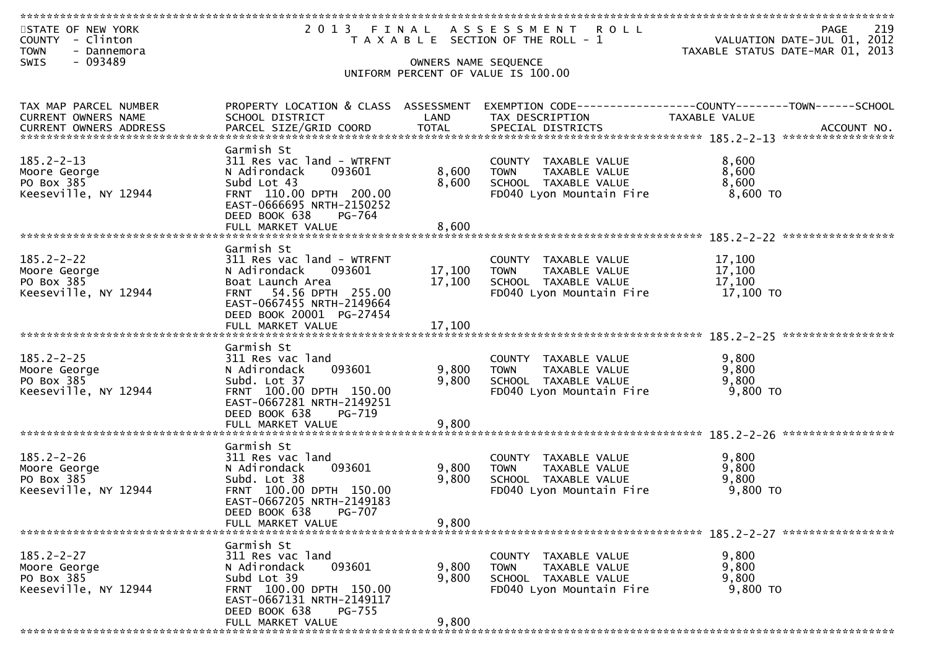| STATE OF NEW YORK<br>COUNTY - Clinton<br><b>TOWN</b><br>- Dannemora |                                                             |                      | 2013 FINAL ASSESSMENT ROLL<br>T A X A B L E SECTION OF THE ROLL - 1 | 219<br>PAGE<br>VALUATION DATE-JUL 01, 2012<br>TAXABLE STATUS DATE-MAR 01, 2013         |
|---------------------------------------------------------------------|-------------------------------------------------------------|----------------------|---------------------------------------------------------------------|----------------------------------------------------------------------------------------|
| - 093489<br>SWIS                                                    |                                                             | OWNERS NAME SEQUENCE | UNIFORM PERCENT OF VALUE IS 100.00                                  |                                                                                        |
|                                                                     |                                                             |                      |                                                                     |                                                                                        |
|                                                                     |                                                             |                      |                                                                     |                                                                                        |
| TAX MAP PARCEL NUMBER<br>CURRENT OWNERS NAME                        | PROPERTY LOCATION & CLASS ASSESSMENT<br>SCHOOL DISTRICT     | LAND                 | TAX DESCRIPTION                                                     | EXEMPTION CODE------------------COUNTY--------TOWN------SCHOOL<br><b>TAXABLE VALUE</b> |
|                                                                     |                                                             |                      |                                                                     |                                                                                        |
|                                                                     |                                                             |                      |                                                                     |                                                                                        |
| $185.2 - 2 - 13$                                                    | Garmish St<br>311 Res vac land - WTRFNT                     |                      | COUNTY TAXABLE VALUE                                                | 8,600                                                                                  |
| Moore George                                                        | 093601<br>N Adirondack                                      | 8,600                | <b>TOWN</b><br><b>TAXABLE VALUE</b>                                 | 8,600                                                                                  |
| PO Box 385                                                          | Subd Lot 43                                                 | 8,600                | SCHOOL TAXABLE VALUE                                                | 8,600                                                                                  |
| Keeseville, NY 12944                                                | FRNT 110.00 DPTH 200.00                                     |                      | FD040 Lyon Mountain Fire                                            | 8,600 TO                                                                               |
|                                                                     | EAST-0666695 NRTH-2150252<br>DEED BOOK 638<br>PG-764        |                      |                                                                     |                                                                                        |
|                                                                     |                                                             |                      |                                                                     |                                                                                        |
|                                                                     |                                                             |                      |                                                                     |                                                                                        |
| $185.2 - 2 - 22$                                                    | Garmish St<br>311 Res vac land - WTRFNT                     |                      | COUNTY TAXABLE VALUE                                                | 17,100                                                                                 |
| Moore George                                                        | N Adirondack<br>093601                                      | 17,100               | <b>TOWN</b><br>TAXABLE VALUE                                        | 17,100                                                                                 |
| PO Box 385                                                          | Boat Launch Area                                            | 17,100               | SCHOOL TAXABLE VALUE                                                | 17,100                                                                                 |
| Keeseville, NY 12944                                                | FRNT 54.56 DPTH 255.00                                      |                      | FD040 Lyon Mountain Fire                                            | 17,100 TO                                                                              |
|                                                                     | EAST-0667455 NRTH-2149664<br>DEED BOOK 20001 PG-27454       |                      |                                                                     |                                                                                        |
|                                                                     | FULL MARKET VALUE                                           | 17,100               |                                                                     |                                                                                        |
|                                                                     |                                                             |                      |                                                                     |                                                                                        |
| $185.2 - 2 - 25$                                                    | Garmish St                                                  |                      |                                                                     |                                                                                        |
| Moore George                                                        | 311 Res vac land<br>093601<br>N Adirondack                  | 9,800                | COUNTY TAXABLE VALUE<br><b>TOWN</b><br>TAXABLE VALUE                | 9,800<br>9,800                                                                         |
| PO Box 385                                                          | Subd. Lot 37                                                | 9,800                | SCHOOL TAXABLE VALUE                                                | 9,800                                                                                  |
| Keeseville, NY 12944                                                | FRNT 100.00 DPTH 150.00                                     |                      | FD040 Lyon Mountain Fire                                            | 9,800 TO                                                                               |
|                                                                     | EAST-0667281 NRTH-2149251<br>DEED BOOK 638<br>PG-719        |                      |                                                                     |                                                                                        |
|                                                                     | FULL MARKET VALUE                                           | 9,800                |                                                                     |                                                                                        |
|                                                                     |                                                             |                      |                                                                     |                                                                                        |
|                                                                     | Garmish St                                                  |                      |                                                                     |                                                                                        |
| $185.2 - 2 - 26$<br>Moore George                                    | 311 Res vac land<br>093601<br>N Adirondack                  | 9,800                | COUNTY TAXABLE VALUE<br>TAXABLE VALUE<br><b>TOWN</b>                | 9,800<br>9,800                                                                         |
| PO Box 385                                                          | Subd. Lot 38                                                | 9,800                | SCHOOL TAXABLE VALUE                                                | 9,800                                                                                  |
| Keeseville, NY 12944                                                | FRNT 100.00 DPTH 150.00                                     |                      | FD040 Lyon Mountain Fire                                            | 9,800 TO                                                                               |
|                                                                     | EAST-0667205 NRTH-2149183<br><b>PG-707</b><br>DEED BOOK 638 |                      |                                                                     |                                                                                        |
|                                                                     | FULL MARKET VALUE                                           | 9,800                |                                                                     |                                                                                        |
|                                                                     |                                                             |                      |                                                                     |                                                                                        |
|                                                                     | Garmish St                                                  |                      |                                                                     |                                                                                        |
| $185.2 - 2 - 27$<br>Moore George                                    | 311 Res vac land<br>093601<br>N Adirondack                  | 9,800                | COUNTY TAXABLE VALUE<br><b>TOWN</b><br>TAXABLE VALUE                | 9,800<br>9,800                                                                         |
| PO Box 385                                                          | Subd Lot 39                                                 | 9,800                | SCHOOL TAXABLE VALUE                                                | 9,800                                                                                  |
| Keeseville, NY 12944                                                | FRNT 100.00 DPTH 150.00                                     |                      | FD040 Lyon Mountain Fire                                            | 9,800 TO                                                                               |
|                                                                     | EAST-0667131 NRTH-2149117<br>DEED BOOK 638<br><b>PG-755</b> |                      |                                                                     |                                                                                        |
|                                                                     | FULL MARKET VALUE                                           | 9,800                |                                                                     |                                                                                        |
|                                                                     |                                                             |                      |                                                                     |                                                                                        |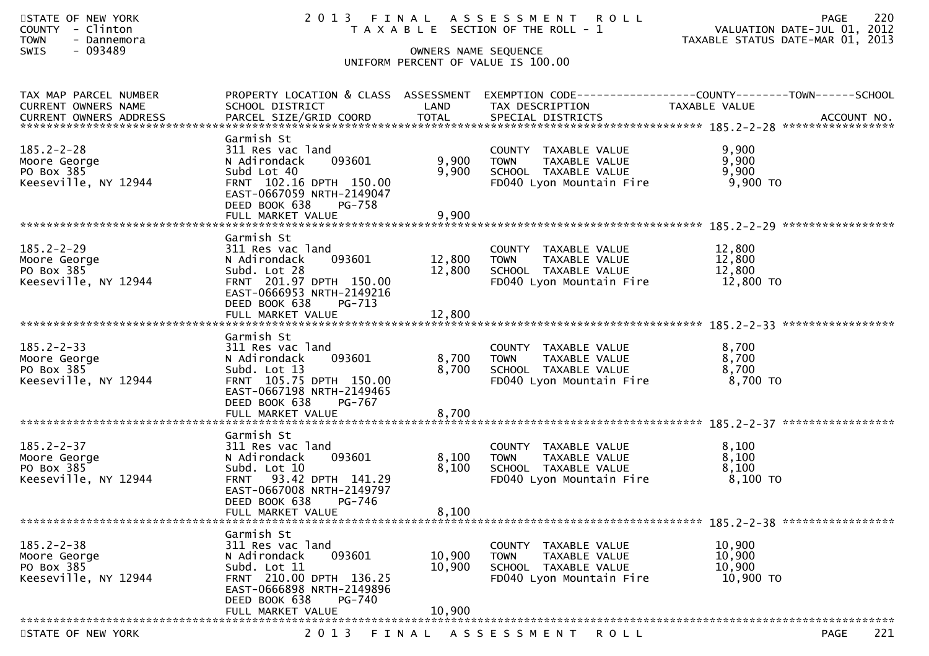| STATE OF NEW YORK<br>COUNTY - Clinton<br><b>TOWN</b><br>- Dannemora<br>$-093489$<br>SWIS | 2013 FINAL ASSESSMENT ROLL<br>T A X A B L E SECTION OF THE ROLL - 1<br>UNIFORM PERCENT OF VALUE IS 100.00                                                                        | 220<br><b>PAGE</b><br>VALUATION DATE-JUL 01, 2012<br>TAXABLE STATUS DATE-MAR 01, 2013 |                                                                                                                    |                                                                                                                   |
|------------------------------------------------------------------------------------------|----------------------------------------------------------------------------------------------------------------------------------------------------------------------------------|---------------------------------------------------------------------------------------|--------------------------------------------------------------------------------------------------------------------|-------------------------------------------------------------------------------------------------------------------|
| TAX MAP PARCEL NUMBER<br>CURRENT OWNERS NAME                                             | SCHOOL DISTRICT                                                                                                                                                                  | LAND                                                                                  | TAX DESCRIPTION                                                                                                    | PROPERTY LOCATION & CLASS ASSESSMENT EXEMPTION CODE----------------COUNTY-------TOWN------SCHOOL<br>TAXABLE VALUE |
| $185.2 - 2 - 28$<br>Moore George<br>PO Box 385<br>Keeseville, NY 12944                   | Garmish St<br>311 Res vac land<br>093601<br>N Adirondack<br>Subd Lot 40<br>FRNT 102.16 DPTH 150.00<br>EAST-0667059 NRTH-2149047<br>DEED BOOK 638<br>PG-758<br>FULL MARKET VALUE  | 9,900<br>9,900<br>9,900                                                               | COUNTY TAXABLE VALUE<br><b>TOWN</b><br>TAXABLE VALUE<br>SCHOOL TAXABLE VALUE<br>FD040 Lyon Mountain Fire           | 9,900<br>9,900<br>9,900<br>9,900 TO                                                                               |
| $185.2 - 2 - 29$<br>Moore George<br>PO Box 385<br>Keeseville, NY 12944                   | Garmish St<br>311 Res vac land<br>093601<br>N Adirondack<br>Subd. Lot 28<br>FRNT 201.97 DPTH 150.00<br>EAST-0666953 NRTH-2149216<br>DEED BOOK 638<br>PG-713<br>FULL MARKET VALUE | 12,800 TOWN<br>12,800<br>12,800                                                       | COUNTY TAXABLE VALUE<br>TAXABLE VALUE<br>SCHOOL TAXABLE VALUE<br>FD040 Lyon Mountain Fire                          | 12,800<br>12,800<br>12,800<br>12,800 TO                                                                           |
| $185.2 - 2 - 33$<br>Moore George<br>PO Box 385<br>Keeseville, NY 12944                   | Garmish St<br>311 Res vac land<br>093601<br>N Adirondack<br>Subd. Lot 13<br>FRNT 105.75 DPTH 150.00<br>EAST-0667198 NRTH-2149465<br>DEED BOOK 638<br>PG-767                      | 8,700<br>8,700                                                                        | COUNTY TAXABLE VALUE<br><b>TOWN</b><br>TAXABLE VALUE<br>SCHOOL TAXABLE VALUE<br>FD040 Lyon Mountain Fire           | 8,700<br>8,700<br>8,700<br>8,700 TO                                                                               |
| $185.2 - 2 - 37$<br>Moore George<br>PO Box 385<br>Keeseville, NY 12944                   | Garmish St<br>311 Res vac land<br>093601<br>N Adirondack<br>Subd. Lot 10<br>FRNT 93.42 DPTH 141.29<br>EAST-0667008 NRTH-2149797<br>DEED BOOK 638 PG-746<br>FULL MARKET VALUE     | 8,100<br>8,100<br>8,100                                                               | COUNTY TAXABLE VALUE<br><b>TOWN</b><br>TAXABLE VALUE<br>SCHOOL TAXABLE VALUE<br>FD040 Lyon Mountain Fire           | 8,100<br>8,100<br>8,100<br>8,100 TO                                                                               |
| $185.2 - 2 - 38$<br>Moore George<br>PO Box 385<br>Keeseville, NY 12944                   | Garmish St<br>311 Res vac land<br>N Adirondack<br>093601<br>Subd. Lot 11<br>FRNT 210.00 DPTH 136.25                                                                              | 10,900<br>10,900                                                                      | <b>COUNTY</b><br>TAXABLE VALUE<br><b>TOWN</b><br>TAXABLE VALUE<br>SCHOOL TAXABLE VALUE<br>FD040 Lyon Mountain Fire | 10,900<br>10,900<br>10,900<br>10,900 TO                                                                           |

 DEED BOOK 638 PG-740 FULL MARKET VALUE 10,900 \*\*\*\*\*\*\*\*\*\*\*\*\*\*\*\*\*\*\*\*\*\*\*\*\*\*\*\*\*\*\*\*\*\*\*\*\*\*\*\*\*\*\*\*\*\*\*\*\*\*\*\*\*\*\*\*\*\*\*\*\*\*\*\*\*\*\*\*\*\*\*\*\*\*\*\*\*\*\*\*\*\*\*\*\*\*\*\*\*\*\*\*\*\*\*\*\*\*\*\*\*\*\*\*\*\*\*\*\*\*\*\*\*\*\*\*\*\*\*\*\*\*\*\*\*\*\*\*\*\*\*\*STATE OF NEW YORK 2013 FINAL ASSESSMENT ROLL PAGE

EAST-0666898 NRTH-2149896

Keeseville, NY 12944 FRNT 210.00 DPTH 136.25 FD040 Lyon Mountain Fire 10,900 TO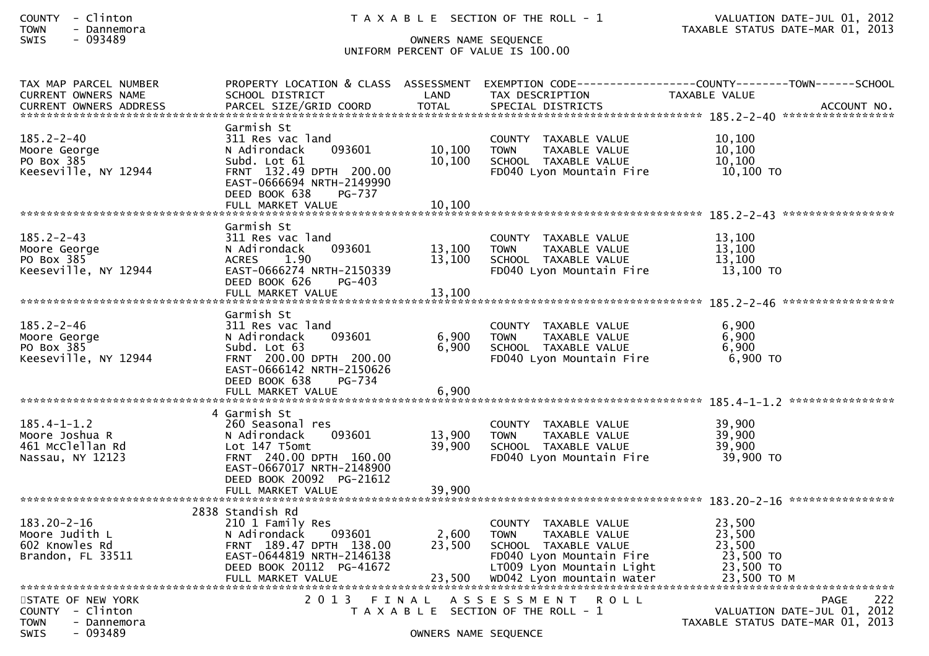| COUNTY | Clinton   |
|--------|-----------|
| ΓΩΜΝ   | Dannemora |

# SWIS - 093489 OWNERS NAME SEQUENCE UNIFORM PERCENT OF VALUE IS 100.00

| TAX MAP PARCEL NUMBER<br><b>CURRENT OWNERS NAME</b>   | PROPERTY LOCATION & CLASS ASSESSMENT<br>SCHOOL DISTRICT | LAND                 | TAX DESCRIPTION                                      | EXEMPTION CODE------------------COUNTY--------TOWN------SCHOOL<br><b>TAXABLE VALUE</b> |
|-------------------------------------------------------|---------------------------------------------------------|----------------------|------------------------------------------------------|----------------------------------------------------------------------------------------|
|                                                       |                                                         |                      |                                                      |                                                                                        |
|                                                       | Garmish St                                              |                      |                                                      |                                                                                        |
| $185.2 - 2 - 40$                                      | 311 Res vac land                                        |                      | COUNTY TAXABLE VALUE                                 | 10,100                                                                                 |
| Moore George<br>PO Box 385                            | N Adirondack<br>093601<br>Subd. Lot 61                  | 10,100<br>10,100     | TAXABLE VALUE<br><b>TOWN</b><br>SCHOOL TAXABLE VALUE | 10,100<br>10,100                                                                       |
| Keeseville, NY 12944                                  | FRNT 132.49 DPTH 200.00                                 |                      | FD040 Lyon Mountain Fire                             | 10,100 TO                                                                              |
|                                                       | EAST-0666694 NRTH-2149990                               |                      |                                                      |                                                                                        |
|                                                       | DEED BOOK 638<br>PG-737<br>FULL MARKET VALUE            | 10,100               |                                                      |                                                                                        |
|                                                       |                                                         |                      |                                                      |                                                                                        |
| $185.2 - 2 - 43$                                      | Garmish St<br>311 Res vac land                          |                      | COUNTY TAXABLE VALUE                                 | 13,100                                                                                 |
| Moore George                                          | N Adirondack<br>093601                                  | 13,100               | TAXABLE VALUE<br><b>TOWN</b>                         | 13,100                                                                                 |
| PO Box 385                                            | 1.90<br><b>ACRES</b>                                    | 13,100               | SCHOOL TAXABLE VALUE                                 | 13,100                                                                                 |
| Keeseville, NY 12944                                  | EAST-0666274 NRTH-2150339<br>$PG-403$                   |                      | FD040 Lyon Mountain Fire                             | $13,100$ TO                                                                            |
|                                                       | DEED BOOK 626<br>FULL MARKET VALUE                      | 13,100               |                                                      |                                                                                        |
|                                                       |                                                         |                      |                                                      |                                                                                        |
| $185.2 - 2 - 46$                                      | Garmish St<br>311 Res vac land                          |                      | COUNTY TAXABLE VALUE                                 | 6,900                                                                                  |
| Moore George                                          | 093601<br>N Adirondack                                  | 6,900                | <b>TOWN</b><br>TAXABLE VALUE                         | 6,900                                                                                  |
| PO Box 385                                            | Subd. Lot 63                                            | 6,900                | SCHOOL TAXABLE VALUE                                 | 6,900                                                                                  |
| Keeseville, NY 12944                                  | FRNT 200.00 DPTH 200.00<br>EAST-0666142 NRTH-2150626    |                      | FD040 Lyon Mountain Fire                             | 6,900 TO                                                                               |
|                                                       | DEED BOOK 638<br>PG-734                                 |                      |                                                      |                                                                                        |
|                                                       |                                                         |                      |                                                      |                                                                                        |
|                                                       | 4 Garmish St                                            |                      |                                                      |                                                                                        |
| $185.4 - 1 - 1.2$                                     | 260 Seasonal res                                        |                      | COUNTY TAXABLE VALUE                                 | 39,900                                                                                 |
| Moore Joshua R                                        | 093601<br>N Adirondack                                  | 13,900               | TAXABLE VALUE<br><b>TOWN</b>                         | 39,900                                                                                 |
| 461 McClellan Rd<br>Nassau, NY 12123                  | Lot 147 T5omt<br>FRNT 240.00 DPTH 160.00                | 39,900               | SCHOOL TAXABLE VALUE<br>FD040 Lyon Mountain Fire     | 39,900<br>39,900 TO                                                                    |
|                                                       | EAST-0667017 NRTH-2148900                               |                      |                                                      |                                                                                        |
|                                                       | DEED BOOK 20092 PG-21612                                |                      |                                                      |                                                                                        |
|                                                       | FULL MARKET VALUE                                       | 39,900               |                                                      |                                                                                        |
|                                                       | 2838 Standish Rd                                        |                      |                                                      |                                                                                        |
| $183.20 - 2 - 16$                                     | 210 1 Family Res                                        |                      | COUNTY TAXABLE VALUE                                 | 23,500                                                                                 |
| Moore Judith L<br>602 Knowles Rd                      | 093601<br>N Adirondack<br>FRNT 189.47 DPTH 138.00       | 2,600<br>23,500      | TAXABLE VALUE<br><b>TOWN</b><br>SCHOOL TAXABLE VALUE | 23,500<br>23,500                                                                       |
| Brandon, FL 33511                                     | EAST-0644819 NRTH-2146138                               |                      | FD040 Lyon Mountain Fire                             | 23,500 TO                                                                              |
|                                                       | DEED BOOK 20112 PG-41672                                |                      | LT009 Lyon Mountain Light                            | 23,500 TO                                                                              |
|                                                       |                                                         |                      |                                                      |                                                                                        |
| STATE OF NEW YORK                                     | 2 0 1 3                                                 | FINAL                | A S S E S S M E N T R O L L                          | 222<br><b>PAGE</b>                                                                     |
| COUNTY - Clinton                                      |                                                         |                      | T A X A B L E SECTION OF THE ROLL - 1                | VALUATION DATE-JUL 01, 2012                                                            |
| <b>TOWN</b><br>- Dannemora<br><b>SWIS</b><br>- 093489 |                                                         |                      |                                                      | TAXABLE STATUS DATE-MAR 01, 2013                                                       |
|                                                       |                                                         | OWNERS NAME SEQUENCE |                                                      |                                                                                        |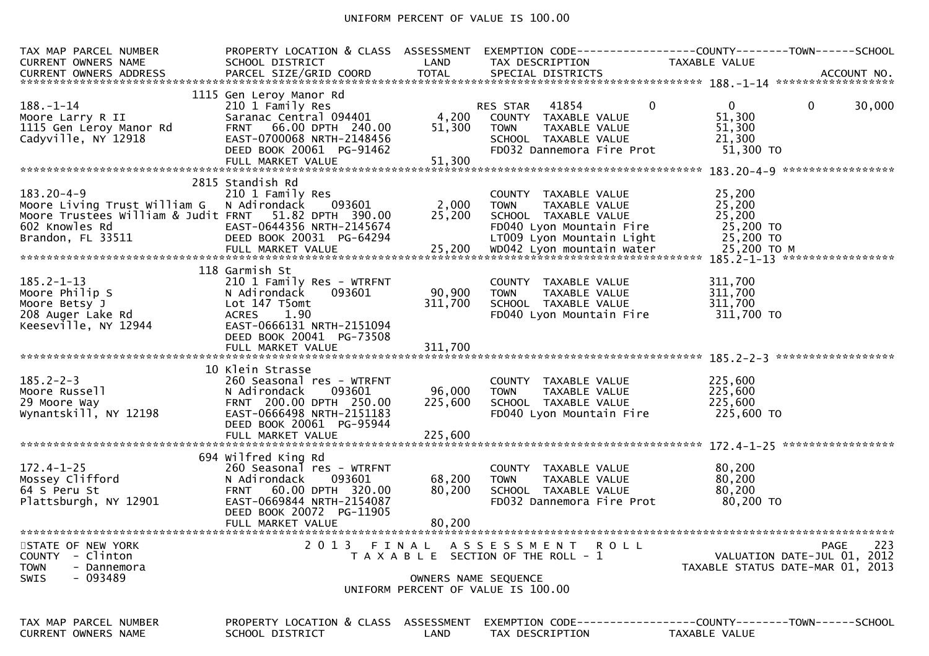### UNIFORM PERCENT OF VALUE IS 100.00

| TAX MAP PARCEL NUMBER<br><b>CURRENT OWNERS NAME</b><br>CURRENT OWNERS ADDRESS | PROPERTY LOCATION & CLASS ASSESSMENT<br>SCHOOL DISTRICT | LAND                 | TAX DESCRIPTION                       | TAXABLE VALUE                                                       |
|-------------------------------------------------------------------------------|---------------------------------------------------------|----------------------|---------------------------------------|---------------------------------------------------------------------|
|                                                                               |                                                         |                      |                                       |                                                                     |
|                                                                               | 1115 Gen Leroy Manor Rd                                 |                      |                                       |                                                                     |
| $188. - 1 - 14$                                                               | 210 1 Family Res                                        |                      | 41854<br>RES STAR                     | $\overline{0}$<br>$\mathbf{0}$<br>$\mathbf{0}$<br>30,000            |
| Moore Larry R II                                                              | Saranac Central 094401                                  | 4,200                | COUNTY TAXABLE VALUE                  | 51,300                                                              |
| 1115 Gen Leroy Manor Rd                                                       | FRNT 66.00 DPTH 240.00                                  | 51,300               | <b>TOWN</b><br>TAXABLE VALUE          | 51,300                                                              |
| Cadyville, NY 12918                                                           | EAST-0700068 NRTH-2148456                               |                      | SCHOOL TAXABLE VALUE                  | 21,300                                                              |
|                                                                               | DEED BOOK 20061 PG-91462                                |                      | FD032 Dannemora Fire Prot             | 51,300 TO                                                           |
|                                                                               | FULL MARKET VALUE                                       | 51,300               |                                       |                                                                     |
|                                                                               |                                                         |                      |                                       |                                                                     |
|                                                                               | 2815 Standish Rd                                        |                      |                                       |                                                                     |
| $183.20 - 4 - 9$                                                              | 210 1 Family Res                                        |                      | COUNTY TAXABLE VALUE                  | 25,200                                                              |
| Moore Living Trust William G                                                  | N Adirondack<br>093601                                  | 2,000                | TAXABLE VALUE<br><b>TOWN</b>          | 25,200                                                              |
| Moore Trustees William & Judit FRNT 51.82 DPTH 390.00                         |                                                         | 25,200               | SCHOOL TAXABLE VALUE                  | 25,200                                                              |
| 602 Knowles Rd                                                                | EAST-0644356 NRTH-2145674                               |                      | FD040 Lyon Mountain Fire              | 25,200 TO                                                           |
| Brandon, FL 33511                                                             | DEED BOOK 20031 PG-64294                                |                      | LT009 Lyon Mountain Light             | 25,200 TO                                                           |
|                                                                               |                                                         |                      |                                       |                                                                     |
|                                                                               |                                                         |                      |                                       |                                                                     |
|                                                                               | 118 Garmish St                                          |                      |                                       |                                                                     |
| $185.2 - 1 - 13$                                                              | 210 1 Family Res - WTRFNT                               |                      | COUNTY TAXABLE VALUE                  | 311,700                                                             |
| Moore Philip S                                                                | N Adirondack<br>093601                                  | 90,900               | <b>TOWN</b><br>TAXABLE VALUE          | 311,700                                                             |
| Moore Betsy J                                                                 | Lot 147 T5omt                                           | 311,700              | SCHOOL TAXABLE VALUE                  | 311,700                                                             |
| 208 Auger Lake Rd                                                             | 1.90<br><b>ACRES</b>                                    |                      | FD040 Lyon Mountain Fire              | 311,700 TO                                                          |
| Keeseville, NY 12944                                                          | EAST-0666131 NRTH-2151094                               |                      |                                       |                                                                     |
|                                                                               | DEED BOOK 20041 PG-73508                                |                      |                                       |                                                                     |
|                                                                               |                                                         |                      |                                       |                                                                     |
|                                                                               |                                                         |                      |                                       |                                                                     |
|                                                                               | 10 Klein Strasse                                        |                      |                                       |                                                                     |
| $185.2 - 2 - 3$                                                               | 260 Seasonal res - WTRFNT                               |                      | COUNTY TAXABLE VALUE                  | 225,600                                                             |
| Moore Russell                                                                 | 093601<br>N Adirondack                                  | 96,000               | TAXABLE VALUE<br><b>TOWN</b>          | 225,600                                                             |
| 29 Moore Way                                                                  | FRNT 200.00 DPTH 250.00                                 | 225,600              | SCHOOL TAXABLE VALUE                  | 225,600                                                             |
| Wynantskill, NY 12198                                                         | EAST-0666498 NRTH-2151183                               |                      | FD040 Lyon Mountain Fire              | 225,600 TO                                                          |
|                                                                               | DEED BOOK 20061 PG-95944                                |                      |                                       |                                                                     |
|                                                                               |                                                         |                      |                                       |                                                                     |
|                                                                               |                                                         |                      |                                       |                                                                     |
|                                                                               | 694 Wilfred King Rd                                     |                      |                                       |                                                                     |
| $172.4 - 1 - 25$                                                              | 260 Seasonal res - WTRFNT                               |                      | COUNTY TAXABLE VALUE                  | 80,200                                                              |
| Mossey Clifford                                                               | 093601<br>N Adirondack                                  | 68,200               | <b>TOWN</b><br>TAXABLE VALUE          | 80,200                                                              |
| 64 S Peru St                                                                  | FRNT 60.00 DPTH 320.00                                  | 80,200               | SCHOOL TAXABLE VALUE                  | 80,200                                                              |
| Plattsburgh, NY 12901                                                         | EAST-0669844 NRTH-2154087                               |                      | FD032 Dannemora Fire Prot             | 80,200 TO                                                           |
|                                                                               |                                                         |                      |                                       |                                                                     |
|                                                                               | DEED BOOK 20072 PG-11905                                |                      |                                       |                                                                     |
|                                                                               | FULL MARKET VALUE                                       | 80,200               |                                       |                                                                     |
|                                                                               |                                                         |                      |                                       |                                                                     |
| STATE OF NEW YORK                                                             |                                                         |                      | 2013 FINAL ASSESSMENT ROLL            | 223<br>PAGE                                                         |
| <b>COUNTY</b><br>- Clinton                                                    |                                                         |                      | T A X A B L E SECTION OF THE ROLL - 1 | VALUATION DATE-JUL 01, 2012                                         |
| <b>TOWN</b><br>- Dannemora                                                    |                                                         |                      |                                       | TAXABLE STATUS DATE-MAR 01, 2013                                    |
| - 093489<br>SWIS                                                              |                                                         | OWNERS NAME SEQUENCE |                                       |                                                                     |
|                                                                               |                                                         |                      | UNIFORM PERCENT OF VALUE IS 100.00    |                                                                     |
|                                                                               |                                                         |                      |                                       |                                                                     |
| TAX MAP PARCEL NUMBER                                                         | PROPERTY LOCATION & CLASS ASSESSMENT                    |                      |                                       | EXEMPTION        CODE-----------------COUNTY-------TOWN------SCHOOL |
| CURRENT OWNERS NAME                                                           | SCHOOL DISTRICT                                         | LAND                 | TAX DESCRIPTION                       | <b>TAXABLE VALUE</b>                                                |
|                                                                               |                                                         |                      |                                       |                                                                     |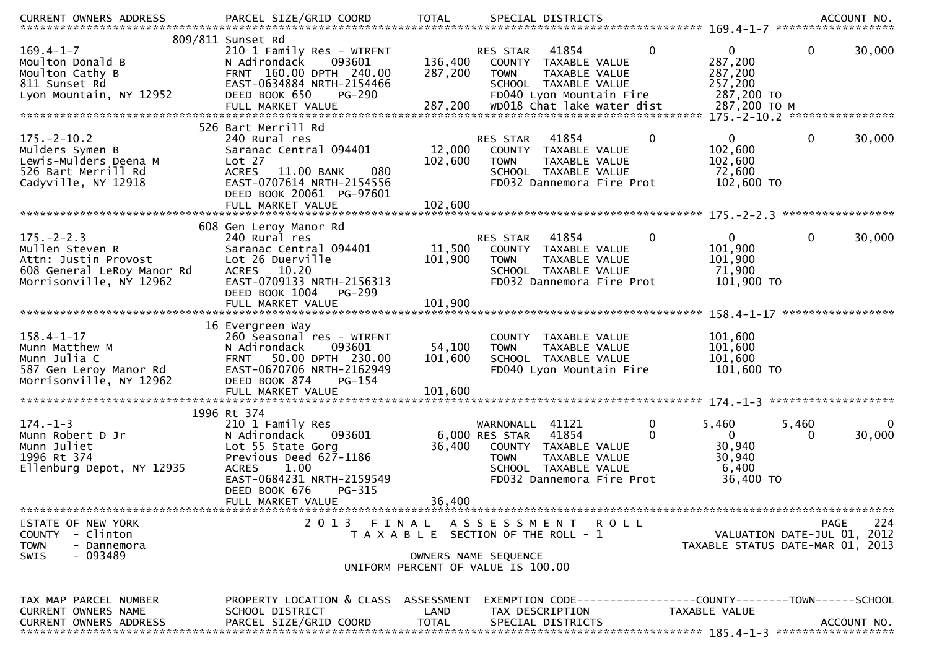| CURRENT OWNERS ADDRESS                                                                                                                                                                                                                                                                                                              | PARCEL SIZE/GRID COORD                                                                                                                                                            | <b>TOTAL</b>         | SPECIAL DISTRICTS                                                                                   |                                                                                                                     |                  |                                                                 | ****************** | ACCOUNT NO. |
|-------------------------------------------------------------------------------------------------------------------------------------------------------------------------------------------------------------------------------------------------------------------------------------------------------------------------------------|-----------------------------------------------------------------------------------------------------------------------------------------------------------------------------------|----------------------|-----------------------------------------------------------------------------------------------------|---------------------------------------------------------------------------------------------------------------------|------------------|-----------------------------------------------------------------|--------------------|-------------|
|                                                                                                                                                                                                                                                                                                                                     | 809/811 Sunset Rd                                                                                                                                                                 |                      |                                                                                                     |                                                                                                                     |                  |                                                                 |                    |             |
| $169.4 - 1 - 7$<br>Moulton Donald B<br>Moulton Cathy B<br>811 Sunset Rd<br>Lyon Mountain, NY 12952<br>FULL MARKET VALUE 287,200 wD018 Chat lake water dist 287,200 TO M الEULL MARKET VALUE 287,200 TO M المستخدمة بمعنى المستخدمة بمعنى بمعنى المستخدمة بمعنى المستخدمة بمعنى المستخدمة بمعنى المستخدمة بمعنى المستخدمة بمعنى المس | 210 1 Family Res - WTRFNT<br>N Adirondack<br>093601<br>FRNT 160.00 DPTH 240.00<br>EAST-0634884 NRTH-2154466<br>DEED BOOK 650<br>$PG-290$                                          | 136,400<br>287,200   | RES STAR<br><b>TOWN</b>                                                                             | 41854<br>COUNTY TAXABLE VALUE<br>TAXABLE VALUE<br>SCHOOL TAXABLE VALUE<br>FD040 Lyon Mountain Fire                  | $\mathbf{0}$     | $\mathbf{0}$<br>287,200<br>287,200<br>257,200<br>287,200 TO     | 0                  | 30,000      |
| $175. - 2 - 10.2$<br>Mulders Symen B<br>Lewis-Mulders Deena M<br>526 Bart Merrill Rd<br>Cadyville, NY 12918                                                                                                                                                                                                                         | 526 Bart Merrill Rd<br>240 Rural res<br>Saranac Central 094401<br>Lot <sub>27</sub><br>080<br><b>ACRES</b><br>11.00 BANK<br>EAST-0707614 NRTH-2154556<br>DEED BOOK 20061 PG-97601 | 12,000<br>102,600    | RES STAR<br><b>TOWN</b>                                                                             | 41854<br>COUNTY TAXABLE VALUE<br>TAXABLE VALUE<br>SCHOOL TAXABLE VALUE<br>FD032 Dannemora Fire Prot                 | $\mathbf{0}$     | $\mathbf{0}$<br>102,600<br>102,600<br>72,600<br>102,600 TO      | $\mathbf{0}$       | 30,000      |
|                                                                                                                                                                                                                                                                                                                                     |                                                                                                                                                                                   |                      |                                                                                                     |                                                                                                                     |                  |                                                                 |                    |             |
| $175. - 2 - 2.3$<br>Mullen Steven R<br>Attn: Justin Provost<br>608 General LeRoy Manor Rd<br>Morrisonville, NY 12962                                                                                                                                                                                                                | 608 Gen Leroy Manor Rd<br>240 Rural res<br>Saranac Central 094401<br>Lot 26 Duerville<br>ACRES 10.20<br>EAST-0709133 NRTH-2156313<br>DEED BOOK 1004<br>PG-299                     | 11,500<br>101,900    | RES STAR<br><b>TOWN</b>                                                                             | 41854<br>COUNTY TAXABLE VALUE<br>TAXABLE VALUE<br>SCHOOL TAXABLE VALUE<br>FD032 Dannemora Fire Prot                 | 0                | 0<br>101,900<br>101,900<br>71,900<br>101,900 TO                 | $\mathbf 0$        | 30,000      |
|                                                                                                                                                                                                                                                                                                                                     |                                                                                                                                                                                   |                      |                                                                                                     |                                                                                                                     |                  |                                                                 |                    |             |
| $158.4 - 1 - 17$<br>Munn Matthew M<br>Munn Julia C<br>587 Gen Leroy Manor Rd<br>Morrisonville, NY 12962                                                                                                                                                                                                                             | 16 Evergreen Way<br>260 Seasonal res - WTRFNT<br>N Adirondack<br>093601<br>50.00 DPTH 230.00<br><b>FRNT</b><br>EAST-0670706 NRTH-2162949<br>DEED BOOK 874<br>PG-154               | 54,100<br>101,600    | <b>TOWN</b>                                                                                         | COUNTY TAXABLE VALUE<br>TAXABLE VALUE<br>SCHOOL TAXABLE VALUE<br>FD040 Lyon Mountain Fire                           |                  | 101,600<br>101,600<br>101,600<br>101,600 TO                     |                    |             |
|                                                                                                                                                                                                                                                                                                                                     | 1996 Rt 374                                                                                                                                                                       |                      |                                                                                                     |                                                                                                                     |                  |                                                                 |                    |             |
| $174. - 1 - 3$<br>Munn Robert D Jr<br>Munn Juliet<br>1996 Rt 374<br>Ellenburg Depot, NY 12935                                                                                                                                                                                                                                       | 210 1 Family Res<br>N Adirondack<br>093601<br>Lot 55 State Gorg<br>Previous Deed 627-1186<br>1.00<br><b>ACRES</b><br>EAST-0684231 NRTH-2159549<br>PG-315<br>DEED BOOK 676         | 36,400               | WARNONALL<br>6,000 RES STAR<br><b>TOWN</b>                                                          | 41121<br>41854<br>COUNTY TAXABLE VALUE<br><b>TAXABLE VALUE</b><br>SCHOOL TAXABLE VALUE<br>FD032 Dannemora Fire Prot | $\mathbf 0$<br>0 | 5,460<br>$\mathbf{0}$<br>30,940<br>30,940<br>6,400<br>36,400 TO | 5,460<br>0         | 30,000      |
|                                                                                                                                                                                                                                                                                                                                     | FULL MARKET VALUE                                                                                                                                                                 | 36,400               |                                                                                                     |                                                                                                                     |                  |                                                                 |                    |             |
| STATE OF NEW YORK<br>COUNTY - Clinton<br><b>TOWN</b><br>- Dannemora<br>- 093489<br><b>SWIS</b>                                                                                                                                                                                                                                      | 2013 FINAL                                                                                                                                                                        |                      | T A X A B L E SECTION OF THE ROLL - 1<br>OWNERS NAME SEQUENCE<br>UNIFORM PERCENT OF VALUE IS 100.00 | A S S E S S M E N T R O L L                                                                                         |                  | VALUATION DATE-JUL 01, 2012<br>TAXABLE STATUS DATE-MAR 01, 2013 | PAGE               | 224         |
| TAX MAP PARCEL NUMBER<br><b>CURRENT OWNERS NAME</b><br><b>CURRENT OWNERS ADDRESS</b>                                                                                                                                                                                                                                                | PROPERTY LOCATION & CLASS ASSESSMENT<br>SCHOOL DISTRICT<br>PARCEL SIZE/GRID COORD                                                                                                 | LAND<br><b>TOTAL</b> | TAX DESCRIPTION<br>SPECIAL DISTRICTS                                                                | EXEMPTION CODE-----------------COUNTY-------TOWN------SCHOOL                                                        |                  | TAXABLE VALUE                                                   |                    | ACCOUNT NO. |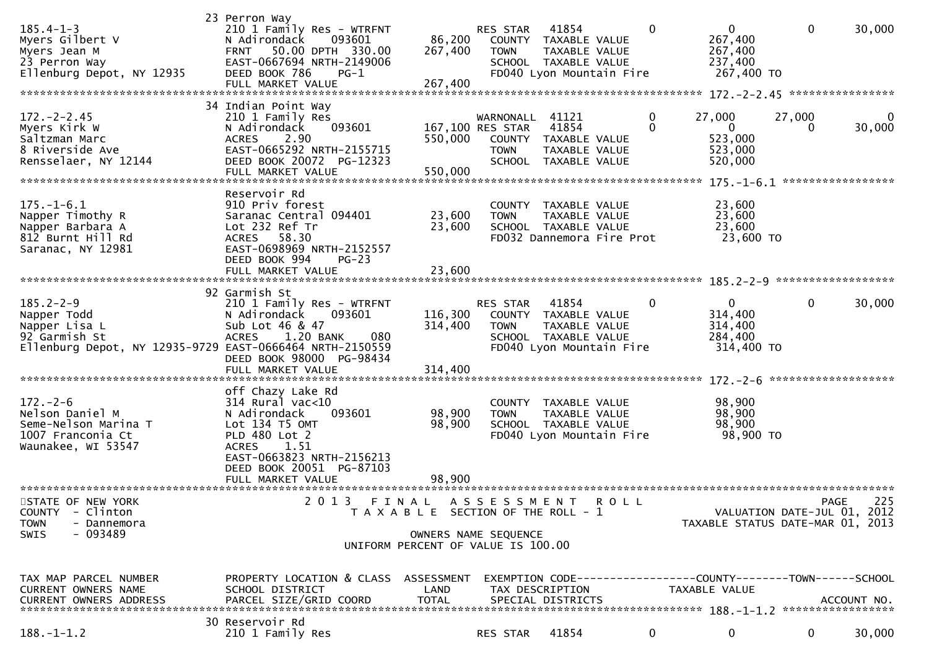| $185.4 - 1 - 3$<br>Myers Gilbert V<br>Myers Jean M<br>23 Perron Way<br>Ellenburg Depot, NY 12935                             | 23 Perron Way<br>210 1 Family Res - WTRFNT<br>N Adirondack<br>093601<br>50.00 DPTH 330.00<br><b>FRNT</b><br>EAST-0667694 NRTH-2149006<br>DEED BOOK 786<br>$PG-1$<br>FULL MARKET VALUE | 86,200<br>267,400<br>267,400                               | RES STAR<br><b>TOWN</b>                                       | 41854<br>COUNTY TAXABLE VALUE<br>TAXABLE VALUE<br>SCHOOL TAXABLE VALUE<br>FD040 Lyon Mountain Fire | 0                    | $\mathbf{0}$<br>267,400<br>267,400<br>237,400<br>267,400 TO                     | $\mathbf{0}$       | 30,000                      |
|------------------------------------------------------------------------------------------------------------------------------|---------------------------------------------------------------------------------------------------------------------------------------------------------------------------------------|------------------------------------------------------------|---------------------------------------------------------------|----------------------------------------------------------------------------------------------------|----------------------|---------------------------------------------------------------------------------|--------------------|-----------------------------|
|                                                                                                                              | 34 Indian Point Way                                                                                                                                                                   |                                                            |                                                               |                                                                                                    |                      |                                                                                 |                    |                             |
| $172 - 2 - 2.45$<br>Myers Kirk W<br>Saltzman Marc<br>8 Riverside Ave<br>Rensselaer, NY 12144                                 | 210 1 Family Res<br>093601<br>N Adirondack<br><b>ACRES</b><br>2.90<br>EAST-0665292 NRTH-2155715<br>DEED BOOK 20072 PG-12323<br>FULL MARKET VALUE                                      | 550,000<br>550,000                                         | WARNONALL<br>167,100 RES STAR<br><b>TOWN</b><br><b>SCHOOL</b> | 41121<br>41854<br>COUNTY TAXABLE VALUE<br>TAXABLE VALUE<br>TAXABLE VALUE                           | $\bf{0}$<br>$\Omega$ | 27,000<br>$\overline{0}$<br>523,000<br>523,000<br>520,000                       | 27,000<br>$\Omega$ | 0<br>30,000                 |
|                                                                                                                              |                                                                                                                                                                                       |                                                            |                                                               |                                                                                                    |                      |                                                                                 |                    |                             |
| $175. - 1 - 6.1$<br>Napper Timothy R<br>Napper Barbara A<br>812 Burnt Hill Rd<br>Saranac, NY 12981                           | Reservoir Rd<br>910 Priv forest<br>Saranac Central 094401<br>Lot 232 Ref Tr<br>58.30<br>ACRES<br>EAST-0698969 NRTH-2152557<br>DEED BOOK 994<br>$PG-23$                                | 23,600<br>23,600                                           | <b>TOWN</b>                                                   | COUNTY TAXABLE VALUE<br>TAXABLE VALUE<br>SCHOOL TAXABLE VALUE<br>FD032 Dannemora Fire Prot         |                      | 23,600<br>23,600<br>23,600<br>23,600 TO                                         |                    |                             |
|                                                                                                                              | FULL MARKET VALUE                                                                                                                                                                     | 23,600                                                     |                                                               |                                                                                                    |                      |                                                                                 |                    |                             |
|                                                                                                                              | 92 Garmish St                                                                                                                                                                         |                                                            |                                                               |                                                                                                    |                      |                                                                                 |                    |                             |
| $185.2 - 2 - 9$<br>Napper Todd<br>Napper Lisa L<br>92 Garmish St<br>Ellenburg Depot, NY 12935-9729 EAST-0666464 NRTH-2150559 | 210 1 Family Res - WTRFNT<br>093601<br>N Adirondack<br>Sub Lot 46 & 47<br>1.20 BANK<br>080<br><b>ACRES</b><br>DEED BOOK 98000 PG-98434                                                | 116,300<br>314,400                                         | RES STAR<br>COUNTY<br><b>TOWN</b>                             | 41854<br>TAXABLE VALUE<br>TAXABLE VALUE<br>SCHOOL TAXABLE VALUE<br>FD040 Lyon Mountain Fire        | 0                    | $\mathbf 0$<br>314,400<br>314,400<br>284,400<br>314,400 TO                      | $\mathbf 0$        | 30,000                      |
|                                                                                                                              | FULL MARKET VALUE                                                                                                                                                                     | 314,400                                                    |                                                               |                                                                                                    |                      |                                                                                 |                    |                             |
| $172. - 2 - 6$<br>Nelson Daniel M<br>Seme-Nelson Marina T<br>1007 Franconia Ct<br>Waunakee, WI 53547                         | off Chazy Lake Rd<br>$314$ Rural vac<10<br>N Adirondack<br>093601<br>$Lot$ 134 $T5$ OMT<br>PLD 480 Lot 2<br>1.51<br><b>ACRES</b>                                                      | 98,900<br>98,900                                           | <b>TOWN</b>                                                   | COUNTY TAXABLE VALUE<br>TAXABLE VALUE<br>SCHOOL TAXABLE VALUE<br>FD040 Lyon Mountain Fire          |                      | 98,900<br>98,900<br>98,900<br>98,900 TO                                         |                    |                             |
| *************************                                                                                                    | EAST-0663823 NRTH-2156213<br>DEED BOOK 20051 PG-87103<br>FULL MARKET VALUE                                                                                                            | 98,900                                                     |                                                               |                                                                                                    |                      |                                                                                 |                    |                             |
| STATE OF NEW YORK                                                                                                            | 2 0 1 3                                                                                                                                                                               | FINAL                                                      | A S S E S S M E N T                                           | <b>ROLL</b>                                                                                        |                      |                                                                                 |                    | 225<br><b>PAGE</b>          |
| <b>COUNTY</b><br>- Clinton<br><b>TOWN</b><br>- Dannemora                                                                     |                                                                                                                                                                                       | T A X A B L E SECTION OF THE ROLL - 1                      |                                                               |                                                                                                    |                      | TAXABLE STATUS DATE-MAR 01, 2013                                                |                    | VALUATION DATE-JUL 01, 2012 |
| SWIS<br>- 093489                                                                                                             |                                                                                                                                                                                       | OWNERS NAME SEQUENCE<br>UNIFORM PERCENT OF VALUE IS 100.00 |                                                               |                                                                                                    |                      |                                                                                 |                    |                             |
| TAX MAP PARCEL NUMBER<br>CURRENT OWNERS NAME<br><b>CURRENT OWNERS ADDRESS</b>                                                | PROPERTY LOCATION & CLASS ASSESSMENT<br>SCHOOL DISTRICT<br>PARCEL SIZE/GRID COORD                                                                                                     | LAND<br><b>TOTAL</b>                                       |                                                               | TAX DESCRIPTION<br>SPECIAL DISTRICTS                                                               |                      | EXEMPTION CODE------------------COUNTY--------TOWN------SCHOOL<br>TAXABLE VALUE |                    | ACCOUNT NO.                 |
| $188. - 1 - 1.2$                                                                                                             | 30 Reservoir Rd<br>210 1 Family Res                                                                                                                                                   |                                                            | RES STAR                                                      | 41854                                                                                              | $\mathbf{0}$         | $\mathbf{0}$                                                                    | $\mathbf{0}$       | 30,000                      |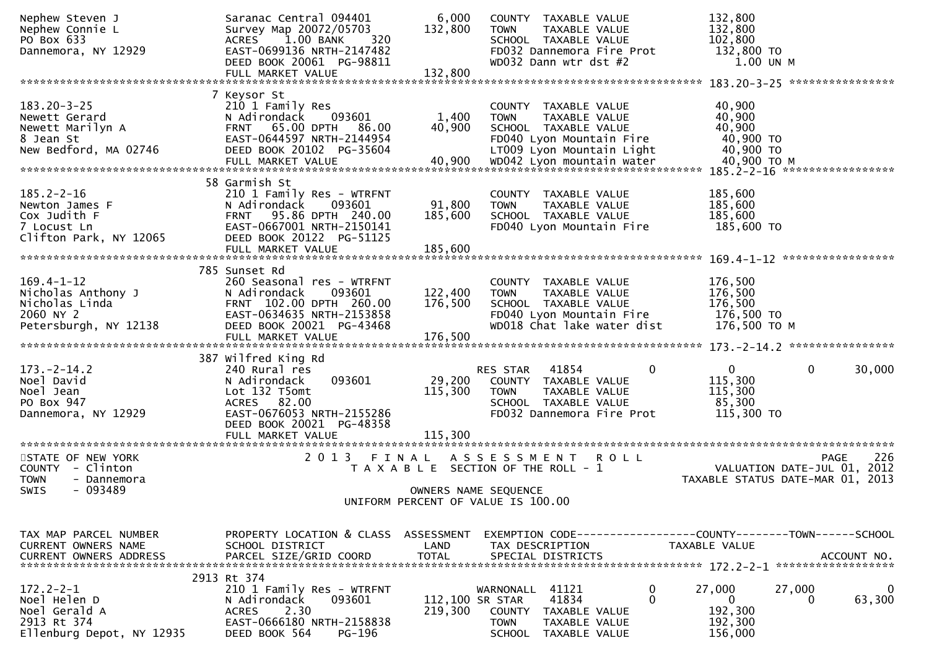| Nephew Steven J<br>Nephew Connie L<br>PO Box 633                                               | Saranac Central 094401<br>Survey Map 20072/05703<br>1.00 BANK<br>320<br>ACRES                                                                                                 | 6,000<br>132,800             | COUNTY TAXABLE VALUE<br><b>TOWN</b><br>TAXABLE VALUE<br>SCHOOL TAXABLE VALUE                                                                                       | 132,800<br>132,800<br>102,800                                                      |  |  |
|------------------------------------------------------------------------------------------------|-------------------------------------------------------------------------------------------------------------------------------------------------------------------------------|------------------------------|--------------------------------------------------------------------------------------------------------------------------------------------------------------------|------------------------------------------------------------------------------------|--|--|
| Dannemora, NY 12929                                                                            | EAST-0699136 NRTH-2147482<br>DEED BOOK 20061 PG-98811<br>FULL MARKET VALUE                                                                                                    | 132,800                      | FD032 Dannemora Fire Prot<br>WD032 Dann wtr dst #2                                                                                                                 | 132,800 TO<br>1.00 UN M                                                            |  |  |
|                                                                                                |                                                                                                                                                                               |                              |                                                                                                                                                                    |                                                                                    |  |  |
| $183.20 - 3 - 25$<br>Newett Gerard<br>Newett Marilyn A<br>8 Jean St<br>New Bedford, MA 02746   | 7 Keysor St<br>210 1 Family Res<br>093601<br>N Adirondack<br>65.00 DPTH<br>86.00<br><b>FRNT</b><br>EAST-0644597 NRTH-2144954<br>DEED BOOK 20102 PG-35604<br>FULL MARKET VALUE | 1,400<br>40,900<br>40,900    | COUNTY TAXABLE VALUE<br><b>TOWN</b><br>TAXABLE VALUE<br>SCHOOL TAXABLE VALUE<br>FD040 Lyon Mountain Fire<br>LT009 Lyon Mountain Light<br>WD042 Lyon mountain water | 40,900<br>40,900<br>40,900<br>40,900 TO<br>40,900 TO<br>40,900 ТО М                |  |  |
|                                                                                                |                                                                                                                                                                               |                              |                                                                                                                                                                    |                                                                                    |  |  |
| $185.2 - 2 - 16$<br>Newton James F<br>Cox Judith F<br>7 Locust Ln<br>Clifton Park, NY 12065    | 58 Garmish St<br>210 1 Family Res - WTRFNT<br>093601<br>N Adirondack<br>FRNT 95.86 DPTH 240.00<br>EAST-0667001 NRTH-2150141<br>DEED BOOK 20122 PG-51125<br>FULL MARKET VALUE  | 91,800<br>185,600<br>185,600 | COUNTY TAXABLE VALUE<br><b>TOWN</b><br>TAXABLE VALUE<br>SCHOOL TAXABLE VALUE<br>FD040 Lyon Mountain Fire                                                           | 185,600<br>185,600<br>185,600<br>185,600 TO                                        |  |  |
|                                                                                                |                                                                                                                                                                               |                              |                                                                                                                                                                    |                                                                                    |  |  |
| $169.4 - 1 - 12$<br>Nicholas Anthony J<br>Nicholas Linda<br>2060 NY 2<br>Petersburgh, NY 12138 | 785 Sunset Rd<br>260 Seasonal res - WTRFNT<br>093601<br>N Adirondack<br>FRNT 102.00 DPTH 260.00<br>EAST-0634635 NRTH-2153858<br>DEED BOOK 20021 PG-43468                      | 122,400<br>176,500           | COUNTY TAXABLE VALUE<br><b>TOWN</b><br>TAXABLE VALUE<br>SCHOOL TAXABLE VALUE<br>FD040 Lyon Mountain Fire<br>WD018 Chat lake water dist                             | 176,500<br>176,500<br>176,500<br>176,500 TO<br>176,500 ТО М                        |  |  |
|                                                                                                | 387 Wilfred King Rd                                                                                                                                                           |                              |                                                                                                                                                                    |                                                                                    |  |  |
| $173. - 2 - 14.2$<br>Noel David<br>Noel Jean<br>PO Box 947<br>Dannemora, NY 12929              | 240 Rural res<br>093601<br>N Adirondack<br>Lot 132 T5omt<br>ACRES 82.00<br>EAST-0676053 NRTH-2155286<br>DEED BOOK 20021 PG-48358<br>FULL MARKET VALUE                         | 29,200<br>115,300<br>115,300 | 41854<br>0<br>RES STAR<br>COUNTY TAXABLE VALUE<br><b>TOWN</b><br>TAXABLE VALUE<br>SCHOOL TAXABLE VALUE<br>FD032 Dannemora Fire Prot                                | $\mathbf 0$<br>$\mathbf 0$<br>30,000<br>115,300<br>115,300<br>85,300<br>115,300 TO |  |  |
|                                                                                                |                                                                                                                                                                               |                              |                                                                                                                                                                    |                                                                                    |  |  |
| STATE OF NEW YORK<br>COUNTY - Clinton<br><b>TOWN</b><br>- Dannemora<br>- 093489<br>SWIS        | 2013 FINAL                                                                                                                                                                    |                              | A S S E S S M E N T R O L L<br>T A X A B L E SECTION OF THE ROLL - 1<br>OWNERS NAME SEQUENCE                                                                       | 226<br>PAGE<br>VALUATION DATE-JUL 01, 2012<br>TAXABLE STATUS DATE-MAR 01, 2013     |  |  |
| UNIFORM PERCENT OF VALUE IS 100.00                                                             |                                                                                                                                                                               |                              |                                                                                                                                                                    |                                                                                    |  |  |
|                                                                                                |                                                                                                                                                                               |                              |                                                                                                                                                                    |                                                                                    |  |  |
| TAX MAP PARCEL NUMBER<br>CURRENT OWNERS NAME                                                   | PROPERTY LOCATION & CLASS ASSESSMENT<br>SCHOOL DISTRICT                                                                                                                       | LAND                         | EXEMPTION CODE-----------------COUNTY-------TOWN------SCHOOL<br>TAX DESCRIPTION                                                                                    | TAXABLE VALUE                                                                      |  |  |
| $172.2 - 2 - 1$<br>Noel Helen D<br>Noel Gerald A<br>2913 Rt 374<br>Ellenburg Depot, NY 12935   | 2913 Rt 374<br>210 1 Family Res - WTRFNT<br>093601<br>N Adirondack<br>2.30<br>ACRES<br>EAST-0666180 NRTH-2158838<br>DEED BOOK 564<br>PG-196                                   | 112,100 SR STAR<br>219,300   | 0<br>41121<br>WARNONALL<br>$\Omega$<br>41834<br><b>COUNTY</b><br>TAXABLE VALUE<br><b>TOWN</b><br>TAXABLE VALUE<br><b>SCHOOL</b><br>TAXABLE VALUE                   | 27,000<br>27,000<br>0<br>63,300<br>0<br>0<br>192,300<br>192,300<br>156,000         |  |  |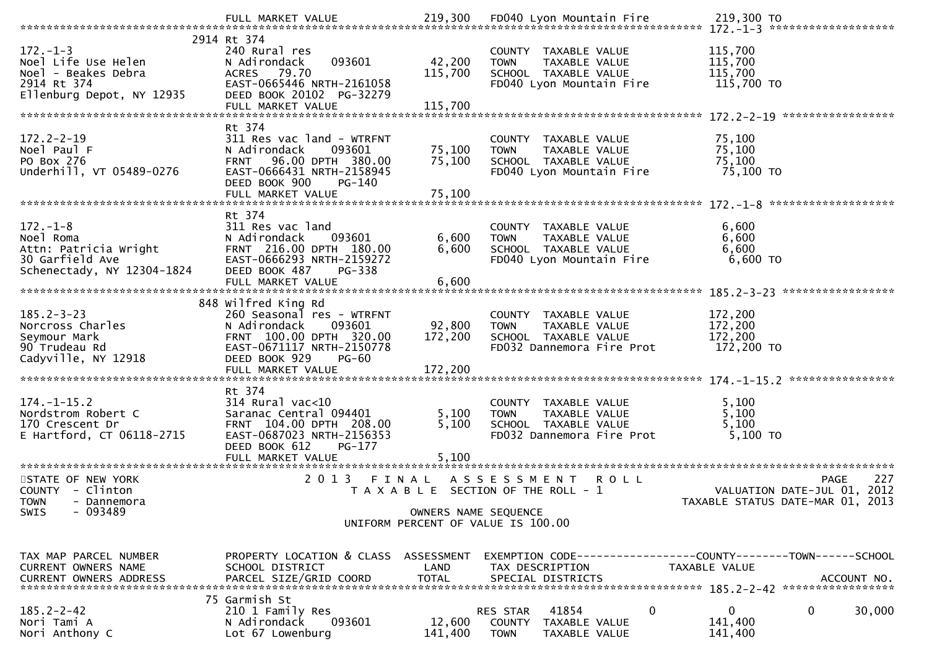| 2914 Rt 374                                                                                              |                                                                                                                                                                                          |                              |                                                                                                              |                                                                                       |  |
|----------------------------------------------------------------------------------------------------------|------------------------------------------------------------------------------------------------------------------------------------------------------------------------------------------|------------------------------|--------------------------------------------------------------------------------------------------------------|---------------------------------------------------------------------------------------|--|
| $172. - 1 - 3$<br>Noel Life Use Helen<br>Noel - Beakes Debra<br>2914 Rt 374<br>Ellenburg Depot, NY 12935 | 240 Rural res<br>093601<br>N Adirondack<br>ACRES 79.70<br>EAST-0665446 NRTH-2161058<br>DEED BOOK 20102 PG-32279                                                                          | 42,200<br>115,700            | COUNTY TAXABLE VALUE<br>TAXABLE VALUE<br><b>TOWN</b><br>SCHOOL TAXABLE VALUE<br>FD040 Lyon Mountain Fire     | 115,700<br>115,700<br>115,700<br>115,700 TO                                           |  |
|                                                                                                          |                                                                                                                                                                                          |                              |                                                                                                              |                                                                                       |  |
| $172.2 - 2 - 19$<br>Noel Paul F<br>PO Box 276<br>Underhill, VT 05489-0276                                | Rt 374<br>311 Res vac land - WTRFNT<br>N Adirondack<br>093601<br>FRNT 96.00 DPTH 380.00<br>EAST-0666431 NRTH-2158945<br>DEED BOOK 900<br>PG-140<br>FULL MARKET VALUE                     | 75,100<br>75,100<br>75,100   | COUNTY TAXABLE VALUE<br><b>TOWN</b><br>TAXABLE VALUE<br>SCHOOL TAXABLE VALUE<br>FD040 Lyon Mountain Fire     | 75,100<br>75,100<br>75,100<br>75,100 TO                                               |  |
| $172. - 1 - 8$<br>Noel Roma<br>Attn: Patricia Wright<br>30 Garfield Ave<br>Schenectady, NY 12304-1824    | Rt 374<br>311 Res vac land<br>093601<br>N Adirondack<br>FRNT 216.00 DPTH 180.00<br>EAST-0666293 NRTH-2159272<br>DEED BOOK 487<br>PG-338                                                  | 6,600<br>6,600               | COUNTY TAXABLE VALUE<br><b>TOWN</b><br>TAXABLE VALUE<br>SCHOOL TAXABLE VALUE<br>FD040 Lyon Mountain Fire     | 6,600<br>6,600<br>6,600<br>6,600 TO                                                   |  |
|                                                                                                          |                                                                                                                                                                                          |                              |                                                                                                              |                                                                                       |  |
| $185.2 - 3 - 23$<br>Norcross Charles<br>Seymour Mark<br>90 Trudeau Rd<br>Cadyville, NY 12918             | 848 Wilfred King Rd<br>260 Seasonal res - WTRFNT<br>N Adirondack<br>093601<br>FRNT 100.00 DPTH 320.00<br>EAST-0671117 NRTH-2150778<br>DEED BOOK 929<br><b>PG-60</b><br>FULL MARKET VALUE | 92,800<br>172,200<br>172,200 | COUNTY TAXABLE VALUE<br>TAXABLE VALUE<br><b>TOWN</b><br>SCHOOL TAXABLE VALUE<br>FD032 Dannemora Fire Prot    | 172,200<br>172,200<br>172,200<br>172,200 TO                                           |  |
|                                                                                                          |                                                                                                                                                                                          |                              |                                                                                                              |                                                                                       |  |
| $174. - 1 - 15.2$<br>Nordstrom Robert C<br>170 Crescent Dr<br>E Hartford, CT 06118-2715                  | Rt 374<br>$314$ Rural vac<10<br>Saranac Central 094401<br>FRNT 104.00 DPTH 208.00<br>EAST-0687023 NRTH-2156353<br>DEED BOOK 612<br>PG-177                                                | 5,100<br>5,100               | COUNTY TAXABLE VALUE<br><b>TOWN</b><br>TAXABLE VALUE<br>SCHOOL TAXABLE VALUE<br>FD032 Dannemora Fire Prot    | 5,100<br>5,100<br>5,100<br>5,100 TO                                                   |  |
|                                                                                                          |                                                                                                                                                                                          |                              |                                                                                                              |                                                                                       |  |
| STATE OF NEW YORK<br>COUNTY - Clinton<br><b>TOWN</b><br>- Dannemora<br>$-093489$                         |                                                                                                                                                                                          |                              | 2013 FINAL ASSESSMENT ROLL<br>T A X A B L E SECTION OF THE ROLL - 1                                          | 227<br><b>PAGE</b><br>VALUATION DATE-JUL 01, 2012<br>TAXABLE STATUS DATE-MAR 01, 2013 |  |
| SWIS                                                                                                     |                                                                                                                                                                                          | OWNERS NAME SEQUENCE         | UNIFORM PERCENT OF VALUE IS 100.00                                                                           |                                                                                       |  |
|                                                                                                          |                                                                                                                                                                                          |                              |                                                                                                              |                                                                                       |  |
| TAX MAP PARCEL NUMBER<br>CURRENT OWNERS NAME<br><b>CURRENT OWNERS ADDRESS</b>                            | PROPERTY LOCATION & CLASS ASSESSMENT<br>SCHOOL DISTRICT<br>PARCEL SIZE/GRID COORD                                                                                                        | LAND<br><b>TOTAL</b>         | EXEMPTION        CODE------------------COUNTY-------TOWN------SCHOOL<br>TAX DESCRIPTION<br>SPECIAL DISTRICTS | TAXABLE VALUE<br>ACCOUNT NO.                                                          |  |
|                                                                                                          | 75 Garmish St                                                                                                                                                                            |                              |                                                                                                              |                                                                                       |  |
| $185.2 - 2 - 42$<br>Nori Tami A<br>Nori Anthony C                                                        | 210 1 Family Res<br>093601<br>N Adirondack<br>Lot 67 Lowenburg                                                                                                                           | 12,600<br>141,400            | 41854<br>0<br>RES STAR<br>COUNTY<br>TAXABLE VALUE<br><b>TOWN</b><br>TAXABLE VALUE                            | 0<br>0<br>30,000<br>141,400<br>141,400                                                |  |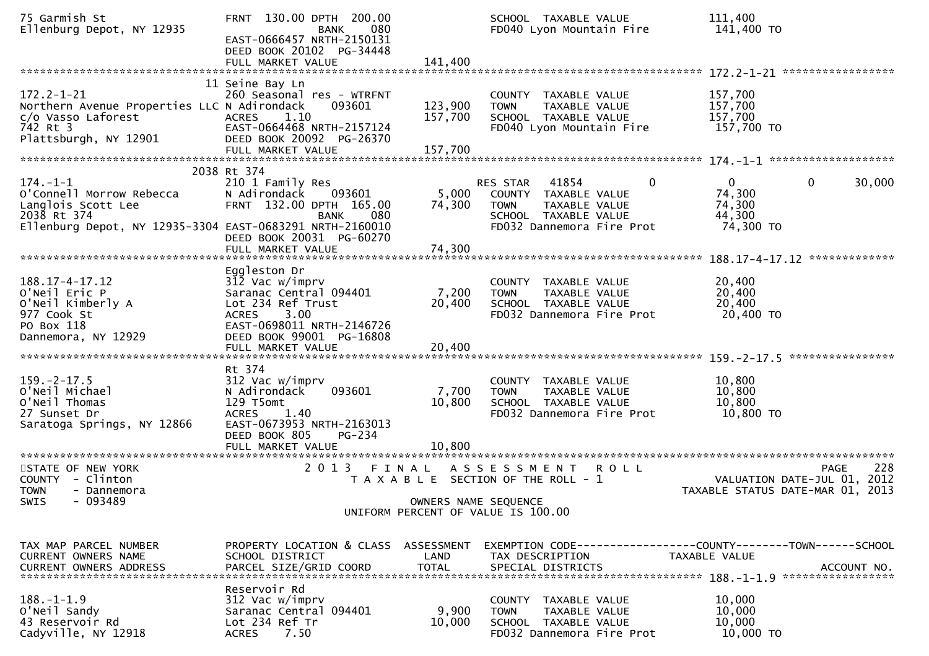| 75 Garmish St<br>Ellenburg Depot, NY 12935                                                                                                  | FRNT 130.00 DPTH 200.00<br>080<br><b>BANK</b><br>EAST-0666457 NRTH-2150131<br>DEED BOOK 20102 PG-34448                                                                |                           | SCHOOL TAXABLE VALUE<br>FD040 Lyon Mountain Fire                                                                                           | 111,400<br>141,400 TO                                                                        |
|---------------------------------------------------------------------------------------------------------------------------------------------|-----------------------------------------------------------------------------------------------------------------------------------------------------------------------|---------------------------|--------------------------------------------------------------------------------------------------------------------------------------------|----------------------------------------------------------------------------------------------|
|                                                                                                                                             |                                                                                                                                                                       |                           |                                                                                                                                            |                                                                                              |
| $172.2 - 1 - 21$<br>Northern Avenue Properties LLC N Adirondack<br>c/o Vasso Laforest<br>742 Rt 3<br>Plattsburgh, NY 12901                  | 11 Seine Bay Ln<br>260 Seasonal res - WTRFNT<br>093601<br>1.10<br><b>ACRES</b><br>EAST-0664468 NRTH-2157124<br>DEED BOOK 20092 PG-26370                               | 123,900<br>157,700        | COUNTY TAXABLE VALUE<br>TAXABLE VALUE<br><b>TOWN</b><br>SCHOOL TAXABLE VALUE<br>FD040 Lyon Mountain Fire                                   | 157,700<br>157,700<br>157,700<br>157,700 TO                                                  |
|                                                                                                                                             |                                                                                                                                                                       |                           |                                                                                                                                            |                                                                                              |
| $174. - 1 - 1$<br>O'Connell Morrow Rebecca<br>Langlois Scott Lee<br>2038 Rt 374<br>Ellenburg Depot, NY 12935-3304 EAST-0683291 NRTH-2160010 | 2038 Rt 374<br>210 1 Family Res<br>N Adirondack<br>093601<br>FRNT 132.00 DPTH 165.00<br>080<br><b>BANK</b><br>DEED BOOK 20031 PG-60270<br>FULL MARKET VALUE           | 5,000<br>74,300<br>74,300 | 41854<br>0<br><b>RES STAR</b><br>COUNTY TAXABLE VALUE<br>TAXABLE VALUE<br><b>TOWN</b><br>SCHOOL TAXABLE VALUE<br>FD032 Dannemora Fire Prot | $\mathbf{0}$<br>$\mathbf 0$<br>30,000<br>74,300<br>74,300<br>44,300<br>74,300 TO             |
|                                                                                                                                             |                                                                                                                                                                       |                           |                                                                                                                                            |                                                                                              |
| $188.17 - 4 - 17.12$<br>O'Neil Eric P<br>O'Neil Kimberly A<br>977 Cook St<br>PO Box 118<br>Dannemora, NY 12929                              | Eggleston Dr<br>312 Vac w/imprv<br>Saranac Central 094401<br>Lot 234 Ref Trust<br><b>ACRES</b><br>3.00<br>EAST-0698011 NRTH-2146726<br>DEED BOOK 99001 PG-16808       | 7,200<br>20,400           | COUNTY TAXABLE VALUE<br>TAXABLE VALUE<br><b>TOWN</b><br>SCHOOL TAXABLE VALUE<br>FD032 Dannemora Fire Prot                                  | 20,400<br>20,400<br>20,400<br>20,400 TO                                                      |
|                                                                                                                                             |                                                                                                                                                                       |                           |                                                                                                                                            |                                                                                              |
| $159. - 2 - 17.5$<br>O'Neil Michael<br>O'Neil Thomas<br>27 Sunset Dr<br>Saratoga Springs, NY 12866                                          | Rt 374<br>312 Vac w/imprv<br>093601<br>N Adirondack<br>129 T5omt<br>1.40<br><b>ACRES</b><br>EAST-0673953 NRTH-2163013<br>DEED BOOK 805<br>PG-234<br>FULL MARKET VALUE | 7,700<br>10,800<br>10.800 | COUNTY TAXABLE VALUE<br><b>TOWN</b><br>TAXABLE VALUE<br>SCHOOL TAXABLE VALUE<br>FD032 Dannemora Fire Prot                                  | 10,800<br>10,800<br>10,800<br>10,800 TO                                                      |
|                                                                                                                                             |                                                                                                                                                                       |                           |                                                                                                                                            |                                                                                              |
| STATE OF NEW YORK<br>COUNTY - Clinton<br><b>TOWN</b><br>- Dannemora                                                                         | 2 0 1 3<br>FINAL                                                                                                                                                      |                           | A S S E S S M E N T<br><b>ROLL</b><br>T A X A B L E SECTION OF THE ROLL - 1                                                                | 228<br><b>PAGE</b><br>2012<br>VALUATION DATE-JUL 01,<br>TAXABLE STATUS DATE-MAR 01, 2013     |
| - 093489<br><b>SWIS</b>                                                                                                                     |                                                                                                                                                                       | OWNERS NAME SEQUENCE      | UNIFORM PERCENT OF VALUE IS 100.00                                                                                                         |                                                                                              |
|                                                                                                                                             |                                                                                                                                                                       |                           |                                                                                                                                            |                                                                                              |
| TAX MAP PARCEL NUMBER<br>CURRENT OWNERS NAME<br><b>CURRENT OWNERS ADDRESS</b>                                                               | PROPERTY LOCATION & CLASS ASSESSMENT<br>SCHOOL DISTRICT<br>PARCEL SIZE/GRID COORD                                                                                     | LAND<br><b>TOTAL</b>      | TAX DESCRIPTION<br>SPECIAL DISTRICTS                                                                                                       | EXEMPTION CODE-----------------COUNTY-------TOWN------SCHOOL<br>TAXABLE VALUE<br>ACCOUNT NO. |
| $188. - 1 - 1.9$<br>O'Neil Sandy<br>43 Reservoir Rd<br>Cadyville, NY 12918                                                                  | Reservoir Rd<br>312 Vac w/imprv<br>Saranac Central 094401<br>Lot 234 Ref Tr<br>7.50<br><b>ACRES</b>                                                                   | 9,900<br>10,000           | COUNTY TAXABLE VALUE<br><b>TOWN</b><br>TAXABLE VALUE<br>SCHOOL TAXABLE VALUE<br>FD032 Dannemora Fire Prot                                  | 10,000<br>10,000<br>10,000<br>10,000 TO                                                      |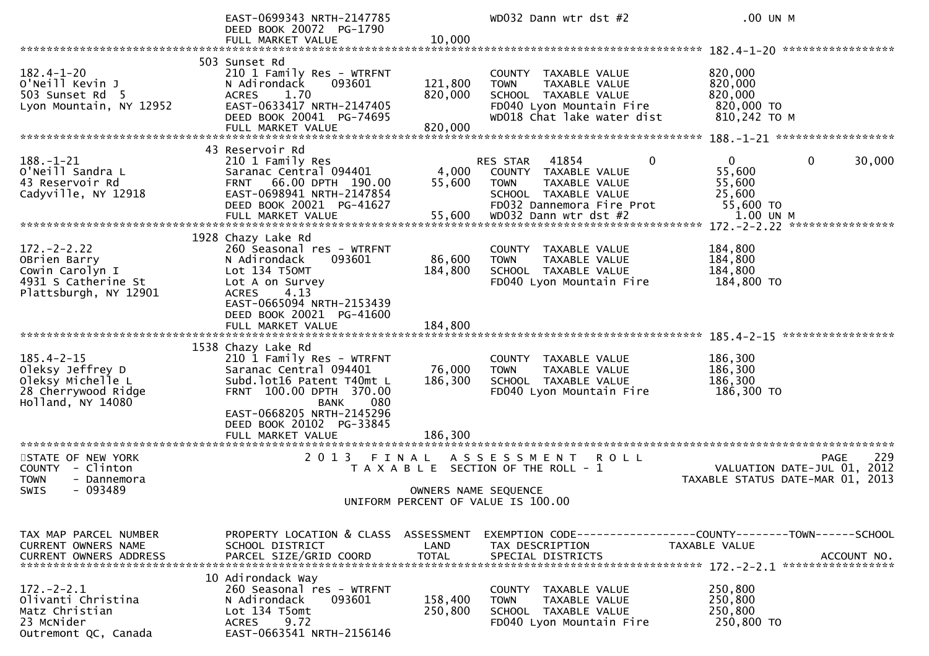|                                                                                                          | EAST-0699343 NRTH-2147785<br>DEED BOOK 20072 PG-1790                                                                                                                                           |                               | WD032 Dann wtr dst #2                                                                                                                  | .00 UN M                                                                                     |
|----------------------------------------------------------------------------------------------------------|------------------------------------------------------------------------------------------------------------------------------------------------------------------------------------------------|-------------------------------|----------------------------------------------------------------------------------------------------------------------------------------|----------------------------------------------------------------------------------------------|
|                                                                                                          | FULL MARKET VALUE                                                                                                                                                                              | 10,000                        |                                                                                                                                        |                                                                                              |
|                                                                                                          | 503 Sunset Rd                                                                                                                                                                                  |                               |                                                                                                                                        |                                                                                              |
| $182.4 - 1 - 20$<br>O'Neill Kevin J<br>503 Sunset Rd 5<br>Lyon Mountain, NY 12952                        | 210 1 Family Res - WTRFNT<br>N Adirondack<br>093601<br><b>ACRES</b><br>1.70<br>EAST-0633417 NRTH-2147405<br>DEED BOOK 20041 PG-74695                                                           | 121,800<br>820,000<br>820,000 | COUNTY TAXABLE VALUE<br>TAXABLE VALUE<br><b>TOWN</b><br>SCHOOL TAXABLE VALUE<br>FD040 Lyon Mountain Fire<br>WD018 Chat lake water dist | 820,000<br>820,000<br>820,000<br>820,000 TO<br>810,242 ТО М                                  |
|                                                                                                          | FULL MARKET VALUE                                                                                                                                                                              |                               |                                                                                                                                        |                                                                                              |
| $188. - 1 - 21$<br>O'Neill Sandra L<br>43 Reservoir Rd<br>Cadyville, NY 12918                            | 43 Reservoir Rd<br>210 1 Family Res<br>Saranac Central 094401<br>FRNT 66.00 DPTH 190.00<br>EAST-0698941 NRTH-2147854                                                                           | 4,000<br>55,600               | RES STAR<br>41854<br>0<br>COUNTY TAXABLE VALUE<br>TAXABLE VALUE<br><b>TOWN</b><br>SCHOOL TAXABLE VALUE                                 | $\Omega$<br>$\mathbf{0}$<br>30,000<br>55,600<br>55,600<br>25,600                             |
|                                                                                                          | DEED BOOK 20021 PG-41627                                                                                                                                                                       |                               | FD032 Dannemora Fire Prot                                                                                                              | 55,600 TO                                                                                    |
|                                                                                                          | FULL MARKET VALUE                                                                                                                                                                              | 55,600                        | WD032 Dann wtr dst #2                                                                                                                  | $1.00$ UN M<br>172. - 2 - 2.22 *****************                                             |
| $172. - 2 - 2.22$<br>OBrien Barry<br>Cowin Carolyn I<br>4931 S Catherine St<br>Plattsburgh, NY 12901     | 1928 Chazy Lake Rd<br>260 Seasonal res - WTRFNT<br>093601<br>N Adirondack<br>Lot 134 T50MT<br>Lot A on Survey<br>4.13<br><b>ACRES</b><br>EAST-0665094 NRTH-2153439<br>DEED BOOK 20021 PG-41600 | 86,600<br>184,800             | COUNTY TAXABLE VALUE<br>TAXABLE VALUE<br><b>TOWN</b><br>SCHOOL TAXABLE VALUE<br>FD040 Lyon Mountain Fire                               | 184,800<br>184,800<br>184,800<br>184,800 TO                                                  |
|                                                                                                          | FULL MARKET VALUE                                                                                                                                                                              | 184,800                       |                                                                                                                                        |                                                                                              |
|                                                                                                          |                                                                                                                                                                                                |                               |                                                                                                                                        |                                                                                              |
| $185.4 - 2 - 15$<br>Oleksy Jeffrey D<br>Oleksy Michelle L<br>28 Cherrywood Ridge<br>Holland, NY 14080    | 1538 Chazy Lake Rd<br>210 1 Family Res - WTRFNT<br>Saranac Central 094401<br>Subd.lot16 Patent T40mt L<br>FRNT 100.00 DPTH 370.00<br>080<br><b>BANK</b>                                        | 76,000<br>186,300             | COUNTY TAXABLE VALUE<br><b>TOWN</b><br>TAXABLE VALUE<br>SCHOOL TAXABLE VALUE<br>FD040 Lyon Mountain Fire                               | 186,300<br>186,300<br>186,300<br>186,300 TO                                                  |
| *************************                                                                                | EAST-0668205 NRTH-2145296<br>DEED BOOK 20102 PG-33845<br>FULL MARKET VALUE<br>****************************                                                                                     | 186.300                       |                                                                                                                                        |                                                                                              |
| STATE OF NEW YORK<br>- Clinton<br><b>COUNTY</b><br><b>TOWN</b><br>- Dannemora<br><b>SWIS</b><br>- 093489 | 2 0 1 3<br>FINAL                                                                                                                                                                               | OWNERS NAME SEQUENCE          | A S S E S S M E N T<br><b>ROLL</b><br>T A X A B L E SECTION OF THE ROLL - 1                                                            | 229<br><b>PAGE</b><br>VALUATION DATE-JUL 01, 2012<br>TAXABLE STATUS DATE-MAR 01, 2013        |
|                                                                                                          |                                                                                                                                                                                                |                               | UNIFORM PERCENT OF VALUE IS 100.00                                                                                                     |                                                                                              |
|                                                                                                          |                                                                                                                                                                                                |                               |                                                                                                                                        |                                                                                              |
| TAX MAP PARCEL NUMBER<br><b>CURRENT OWNERS NAME</b><br><b>CURRENT OWNERS ADDRESS</b>                     | PROPERTY LOCATION & CLASS ASSESSMENT<br>SCHOOL DISTRICT<br>PARCEL SIZE/GRID COORD                                                                                                              | LAND<br><b>TOTAL</b>          | TAX DESCRIPTION<br>SPECIAL DISTRICTS                                                                                                   | EXEMPTION CODE-----------------COUNTY-------TOWN------SCHOOL<br>TAXABLE VALUE<br>ACCOUNT NO. |
| $172. - 2 - 2.1$<br>Olivanti Christina<br>Matz Christian<br>23 McNider<br>Outremont QC, Canada           | 10 Adirondack Way<br>260 Seasonal res - WTRFNT<br>N Adirondack<br>093601<br>Lot 134 T5omt<br>9.72<br><b>ACRES</b><br>EAST-0663541 NRTH-2156146                                                 | 158,400<br>250,800            | COUNTY TAXABLE VALUE<br><b>TOWN</b><br>TAXABLE VALUE<br>SCHOOL TAXABLE VALUE<br>FD040 Lyon Mountain Fire                               | 250,800<br>250,800<br>250,800<br>250,800 TO                                                  |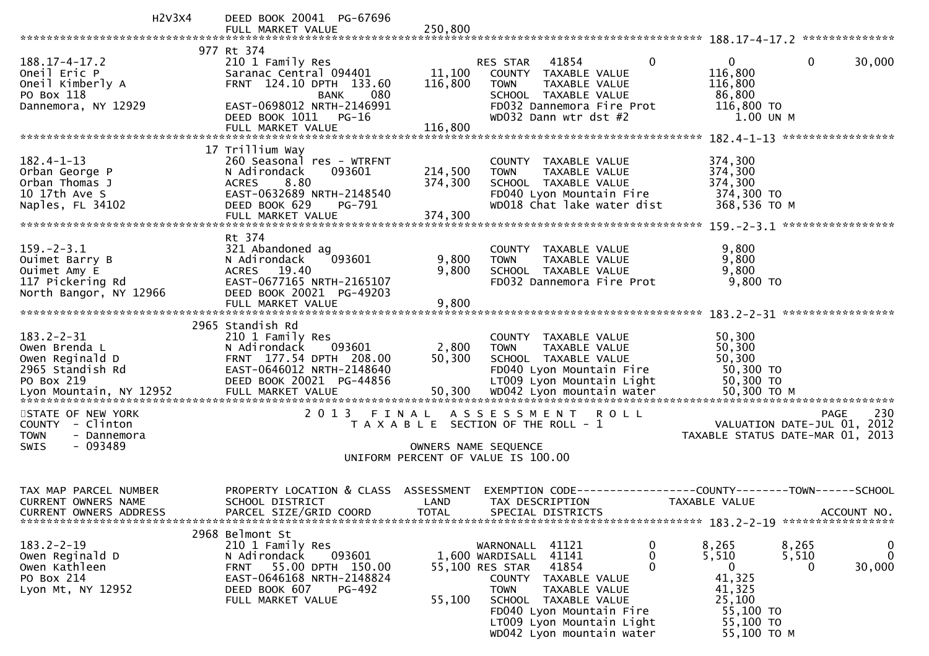| H2V3X4                           | DEED BOOK 20041 PG-67696                             |                                       |                      |                                                        |              |                                               |                |             |
|----------------------------------|------------------------------------------------------|---------------------------------------|----------------------|--------------------------------------------------------|--------------|-----------------------------------------------|----------------|-------------|
|                                  | FULL MARKET VALUE                                    | 250,800                               |                      |                                                        |              |                                               |                |             |
|                                  |                                                      |                                       |                      |                                                        |              |                                               |                |             |
| $188.17 - 4 - 17.2$              | 977 Rt 374<br>210 1 Family Res                       |                                       | RES STAR             | 41854                                                  | $\mathbf{0}$ | $\mathbf 0$                                   | $\overline{0}$ | 30,000      |
| Oneil Eric P                     | Saranac Central 094401                               | 11,100                                |                      | COUNTY TAXABLE VALUE                                   |              | 116,800                                       |                |             |
| Oneil Kimberly A                 | FRNT 124.10 DPTH 133.60                              | 116,800                               | <b>TOWN</b>          | TAXABLE VALUE                                          |              | 116,800                                       |                |             |
| PO Box 118                       | 080<br><b>BANK</b>                                   |                                       |                      | SCHOOL TAXABLE VALUE                                   |              | 86,800                                        |                |             |
| Dannemora, NY 12929              | EAST-0698012 NRTH-2146991                            |                                       |                      | FD032 Dannemora Fire Prot                              |              | 116,800 TO                                    |                |             |
|                                  | DEED BOOK 1011<br>$PG-16$                            |                                       |                      | WD032 Dann wtr dst #2                                  |              | 1.00 UN M                                     |                |             |
|                                  | FULL MARKET VALUE                                    | 116,800                               |                      |                                                        |              |                                               |                |             |
|                                  |                                                      |                                       |                      |                                                        |              |                                               |                |             |
|                                  | 17 Trillium Way                                      |                                       |                      |                                                        |              |                                               |                |             |
| $182.4 - 1 - 13$                 | 260 Seasonal res - WTRFNT                            |                                       |                      | COUNTY TAXABLE VALUE                                   |              | 374,300                                       |                |             |
| Orban George P                   | N Adirondack<br>093601                               | 214,500                               | <b>TOWN</b>          | TAXABLE VALUE                                          |              | 374,300                                       |                |             |
| Orban Thomas J                   | 8.80<br><b>ACRES</b>                                 | 374,300                               |                      | SCHOOL TAXABLE VALUE                                   |              | 374,300                                       |                |             |
| 10 17th Ave S                    | EAST-0632689 NRTH-2148540<br>DEED BOOK 629<br>PG-791 |                                       |                      | FD040 Lyon Mountain Fire<br>WD018 Chat lake water dist |              | 374,300 TO<br>368,536 TO M                    |                |             |
| Naples, FL 34102                 | FULL MARKET VALUE                                    | 374,300                               |                      |                                                        |              |                                               |                |             |
|                                  |                                                      |                                       |                      |                                                        |              |                                               |                |             |
|                                  | Rt 374                                               |                                       |                      |                                                        |              |                                               |                |             |
| $159. - 2 - 3.1$                 | 321 Abandoned ag                                     |                                       |                      | COUNTY TAXABLE VALUE                                   |              | 9,800                                         |                |             |
| Ouimet Barry B                   | N Adirondack<br>093601                               | 9,800                                 | <b>TOWN</b>          | TAXABLE VALUE                                          |              | 9,800                                         |                |             |
| Ouimet Amy E                     | ACRES 19.40                                          | 9,800                                 |                      | SCHOOL TAXABLE VALUE                                   |              | 9,800                                         |                |             |
| 117 Pickering Rd                 | EAST-0677165 NRTH-2165107                            |                                       |                      | FD032 Dannemora Fire Prot                              |              | 9,800 TO                                      |                |             |
| North Bangor, NY 12966           | DEED BOOK 20021 PG-49203                             |                                       |                      |                                                        |              |                                               |                |             |
|                                  | FULL MARKET VALUE                                    | 9,800                                 |                      |                                                        |              |                                               |                |             |
|                                  |                                                      |                                       |                      |                                                        |              |                                               |                |             |
|                                  | 2965 Standish Rd                                     |                                       |                      |                                                        |              |                                               |                |             |
| $183.2 - 2 - 31$                 | 210 1 Family Res                                     |                                       |                      | COUNTY TAXABLE VALUE                                   |              | 50,300                                        |                |             |
| Owen Brenda L<br>Owen Reginald D | 093601<br>N Adirondack<br>FRNT 177.54 DPTH 208.00    | 2,800<br>50,300                       | <b>TOWN</b>          | TAXABLE VALUE<br>SCHOOL TAXABLE VALUE                  |              | 50,300<br>50,300                              |                |             |
| 2965 Standish Rd                 | EAST-0646012 NRTH-2148640                            |                                       |                      | FD040 Lyon Mountain Fire                               |              | 50,300 TO                                     |                |             |
| PO Box 219                       | DEED BOOK 20021 PG-44856                             |                                       |                      | LT009 Lyon Mountain Light                              |              | 50,300 TO                                     |                |             |
|                                  |                                                      |                                       |                      |                                                        |              |                                               |                |             |
|                                  |                                                      |                                       |                      |                                                        |              |                                               |                |             |
| STATE OF NEW YORK                | 2013 FINAL                                           |                                       | ASSESSMENT ROLL      |                                                        |              |                                               | <b>PAGE</b>    | 230         |
| COUNTY - Clinton                 |                                                      | T A X A B L E SECTION OF THE ROLL - 1 |                      |                                                        |              | VALUATION DATE-JUL 01, 2012                   |                |             |
| <b>TOWN</b><br>- Dannemora       |                                                      |                                       |                      |                                                        |              | TAXABLE STATUS DATE-MAR 01, 2013              |                |             |
| $-093489$<br><b>SWIS</b>         |                                                      |                                       | OWNERS NAME SEQUENCE |                                                        |              |                                               |                |             |
|                                  |                                                      | UNIFORM PERCENT OF VALUE IS 100.00    |                      |                                                        |              |                                               |                |             |
|                                  |                                                      |                                       |                      |                                                        |              |                                               |                |             |
| TAX MAP PARCEL NUMBER            | PROPERTY LOCATION & CLASS                            | ASSESSMENT                            | EXEMPTION CODE--     |                                                        |              | ---------------COUNTY--------TOWN------SCHOOL |                |             |
| CURRENT OWNERS NAME              | SCHOOL DISTRICT                                      | LAND                                  | TAX DESCRIPTION      |                                                        |              | TAXABLE VALUE                                 |                |             |
| CURRENT OWNERS ADDRESS           | PARCEL SIZE/GRID COORD                               | <b>TOTAL</b>                          |                      | SPECIAL DISTRICTS                                      |              |                                               |                | ACCOUNT NO. |
|                                  |                                                      |                                       |                      |                                                        |              |                                               |                |             |
|                                  | 2968 Belmont St                                      |                                       |                      |                                                        |              |                                               |                |             |
| $183.2 - 2 - 19$                 | 210 1 Family Res                                     |                                       | WARNONALL 41121      |                                                        | 0            | 8,265                                         | 8,265          | 0           |
| Owen Reginald D                  | 093601<br>N Adirondack                               |                                       | 1,600 WARDISALL      | 41141                                                  | 0            | 5,510                                         | 5,510          | 0           |
| Owen Kathleen                    | 55.00 DPTH 150.00<br><b>FRNT</b>                     |                                       | 55,100 RES STAR      | 41854                                                  | 0            | 0                                             | 0              | 30,000      |
| PO Box 214                       | EAST-0646168 NRTH-2148824                            |                                       | COUNTY               | TAXABLE VALUE                                          |              | 41,325                                        |                |             |
| Lyon Mt, NY 12952                | DEED BOOK 607<br><b>PG-492</b>                       |                                       | <b>TOWN</b>          | TAXABLE VALUE                                          |              | 41,325                                        |                |             |
|                                  | FULL MARKET VALUE                                    | 55,100                                |                      | SCHOOL TAXABLE VALUE                                   |              | 25,100                                        |                |             |
|                                  |                                                      |                                       |                      | FD040 Lyon Mountain Fire                               |              | 55,100 TO                                     |                |             |
|                                  |                                                      |                                       |                      | LT009 Lyon Mountain Light<br>WD042 Lyon mountain water |              | 55,100 TO<br>55,100 TO M                      |                |             |
|                                  |                                                      |                                       |                      |                                                        |              |                                               |                |             |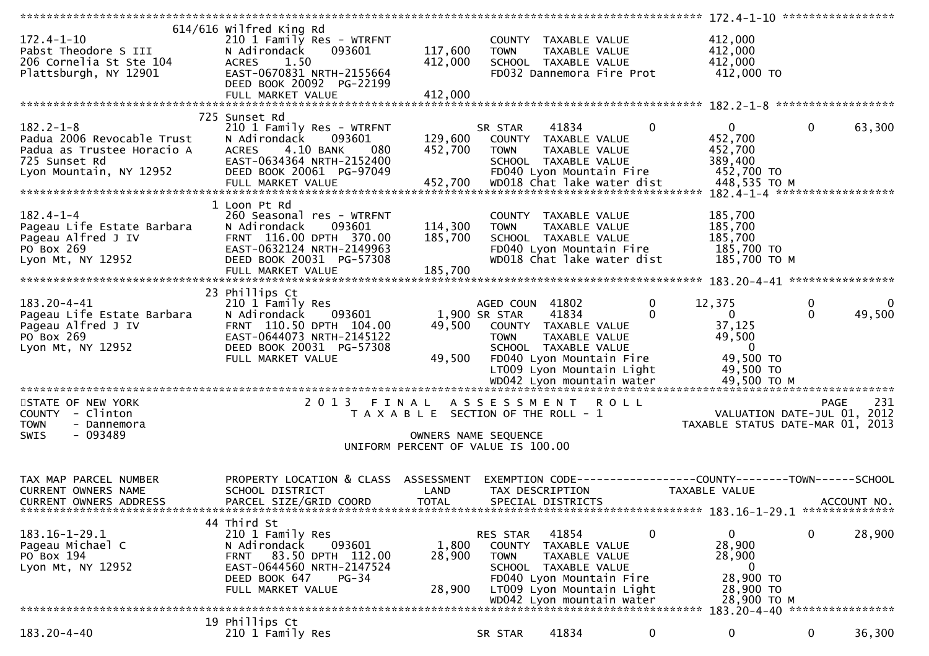| $172.4 - 1 - 10$<br>Pabst Theodore S III<br>206 Cornelia St Ste 104<br>Plattsburgh, NY 12901                            | 614/616 wilfred King Rd<br>210 1 Family Res - WTRFNT<br>N Adirondack<br>093601<br>1.50<br><b>ACRES</b><br>EAST-0670831 NRTH-2155664<br>DEED BOOK 20092 PG-22199<br>FULL MARKET VALUE   | 117,600<br>412,000<br>412,000                                               | <b>TOWN</b>                                     | COUNTY TAXABLE VALUE<br>TAXABLE VALUE<br>SCHOOL TAXABLE VALUE                                      | FD032 Dannemora Fire Prot                                               | 412,000<br>412,000<br>412,000<br>412,000 TO                                                     |               |                                            |
|-------------------------------------------------------------------------------------------------------------------------|----------------------------------------------------------------------------------------------------------------------------------------------------------------------------------------|-----------------------------------------------------------------------------|-------------------------------------------------|----------------------------------------------------------------------------------------------------|-------------------------------------------------------------------------|-------------------------------------------------------------------------------------------------|---------------|--------------------------------------------|
|                                                                                                                         |                                                                                                                                                                                        |                                                                             |                                                 |                                                                                                    |                                                                         |                                                                                                 |               |                                            |
| $182.2 - 1 - 8$<br>Padua 2006 Revocable Trust<br>Padua as Trustee Horacio A<br>725 Sunset Rd<br>Lyon Mountain, NY 12952 | 725 Sunset Rd<br>210 1 Family Res - WTRFNT<br>093601<br>N Adirondack<br>4.10 BANK<br><b>ACRES</b><br>080<br>EAST-0634364 NRTH-2152400<br>DEED BOOK 20061 PG-97049<br>FULL MARKET VALUE | 129,600<br>452,700<br>452,700                                               | SR STAR<br><b>TOWN</b>                          | 41834<br>COUNTY TAXABLE VALUE<br>TAXABLE VALUE<br>SCHOOL TAXABLE VALUE<br>FD040 Lyon Mountain Fire | 0<br>WD018 Chat lake water dist                                         | $\mathbf{0}$<br>452,700<br>452,700<br>389,400<br>452,700 TO<br>448,535 TO M                     | $\mathbf{0}$  | 63,300                                     |
|                                                                                                                         | 1 Loon Pt Rd                                                                                                                                                                           |                                                                             |                                                 |                                                                                                    |                                                                         |                                                                                                 |               |                                            |
| $182.4 - 1 - 4$<br>Pageau Life Estate Barbara<br>Pageau Alfred J IV<br>PO Box 269<br>Lyon Mt, NY 12952                  | 260 Seasonal res - WTRFNT<br>N Adirondack<br>093601<br>FRNT 116.00 DPTH 370.00<br>EAST-0632124 NRTH-2149963<br>DEED BOOK 20031 PG-57308                                                | 114,300<br>185,700                                                          | <b>TOWN</b>                                     | COUNTY TAXABLE VALUE<br>TAXABLE VALUE<br>SCHOOL TAXABLE VALUE<br>FD040 Lyon Mountain Fire          | WD018 Chat lake water dist                                              | 185,700<br>185,700<br>185,700<br>185,700 TO<br>185,700 TO M                                     |               |                                            |
|                                                                                                                         | FULL MARKET VALUE                                                                                                                                                                      | 185,700                                                                     |                                                 |                                                                                                    |                                                                         |                                                                                                 |               |                                            |
| 183.20-4-41<br>Pageau Life Estate Barbara<br>Pageau Alfred J IV<br>PO Box 269<br>Lyon Mt, NY 12952                      | 23 Phillips Ct<br>210 1 Family Res<br>N Adirondack<br>093601<br>FRNT 110.50 DPTH 104.00<br>EAST-0644073 NRTH-2145122<br>DEED BOOK 20031 PG-57308<br>FULL MARKET VALUE                  | 49,500<br>49,500                                                            | AGED COUN 41802<br>1,900 SR STAR<br><b>TOWN</b> | 41834<br>COUNTY TAXABLE VALUE<br>TAXABLE VALUE<br>SCHOOL TAXABLE VALUE<br>FD040 Lyon Mountain Fire | 0<br>$\Omega$<br>LT009 Lyon Mountain Light<br>WD042 Lyon mountain water | 12,375<br>$\mathbf{0}$<br>37,125<br>49,500<br>$\Omega$<br>49,500 TO<br>49,500 TO<br>49,500 ТО М | 0<br>$\Omega$ | $\Omega$<br>49,500                         |
|                                                                                                                         |                                                                                                                                                                                        |                                                                             |                                                 |                                                                                                    |                                                                         |                                                                                                 |               |                                            |
| STATE OF NEW YORK<br>COUNTY - Clinton<br><b>TOWN</b><br>- Dannemora<br>$-093489$<br>SWIS                                | 2 0 1 3<br>FINAL                                                                                                                                                                       | T A X A B L E SECTION OF THE ROLL - 1<br>UNIFORM PERCENT OF VALUE IS 100.00 | A S S E S S M E N T<br>OWNERS NAME SEQUENCE     |                                                                                                    | <b>ROLL</b>                                                             | TAXABLE STATUS DATE-MAR 01, 2013                                                                |               | 231<br>PAGE<br>VALUATION DATE-JUL 01, 2012 |
| TAX MAP PARCEL NUMBER<br><b>CURRENT OWNERS NAME</b><br><b>CURRENT OWNERS ADDRESS</b>                                    | PROPERTY LOCATION & CLASS<br>SCHOOL DISTRICT<br>PARCEL SIZE/GRID COORD                                                                                                                 | ASSESSMENT<br>LAND<br><b>TOTAL</b>                                          |                                                 | TAX DESCRIPTION<br>SPECIAL DISTRICTS                                                               |                                                                         | EXEMPTION CODE------------------COUNTY--------TOWN------SCHOOL<br><b>TAXABLE VALUE</b>          |               | ACCOUNT NO.                                |
| $183.16 - 1 - 29.1$<br>Pageau Michael C<br>PO Box 194<br>Lyon Mt, NY 12952                                              | 44 Third St<br>210 1 Family Res<br>093601<br>N Adirondack<br>83.50 DPTH 112.00<br>FRNT<br>EAST-0644560 NRTH-2147524<br>DEED BOOK 647<br>$PG-34$<br>FULL MARKET VALUE                   | 1,800<br>28,900<br>28,900                                                   | RES STAR<br><b>TOWN</b>                         | 41854<br>COUNTY TAXABLE VALUE<br>TAXABLE VALUE<br>SCHOOL TAXABLE VALUE<br>FD040 Lyon Mountain Fire | 0<br>LT009 Lyon Mountain Light<br>WD042 Lyon mountain water             | 0<br>28,900<br>28,900<br>$\mathbf 0$<br>28,900 TO<br>28,900 TO<br>28,900 TO M                   | 0             | 28,900                                     |
|                                                                                                                         |                                                                                                                                                                                        |                                                                             |                                                 |                                                                                                    |                                                                         | 183.20-4-40 *****************                                                                   |               |                                            |
| 183.20-4-40                                                                                                             | 19 Phillips Ct<br>210 1 Family Res                                                                                                                                                     |                                                                             | SR STAR                                         | 41834                                                                                              | 0                                                                       | 0                                                                                               | 0             | 36,300                                     |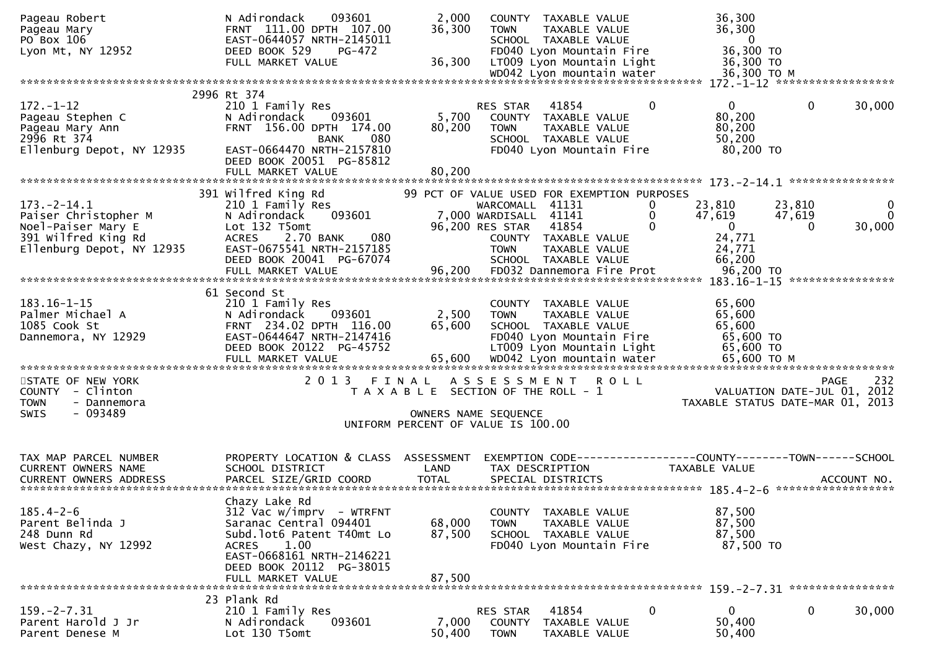| Pageau Robert<br>Pageau Mary<br>PO Box 106<br>Lyon Mt, NY 12952                                                     | N Adirondack<br>093601<br>FRNT 111.00 DPTH 107.00<br>EAST-0644057 NRTH-2145011<br>DEED BOOK 529<br>PG-472<br>FULL MARKET VALUE                                                                     | 2,000<br>36,300<br>36,300                                                   | <b>TOWN</b>                                                                | COUNTY TAXABLE VALUE<br>TAXABLE VALUE<br>SCHOOL TAXABLE VALUE<br>FD040 Lyon Mountain Fire<br>LT009 Lyon Mountain Light |                       | 36,300<br>36,300<br>$\mathbf{0}$<br>36,300 TO<br>36,300 TO                     |                                     |                         |
|---------------------------------------------------------------------------------------------------------------------|----------------------------------------------------------------------------------------------------------------------------------------------------------------------------------------------------|-----------------------------------------------------------------------------|----------------------------------------------------------------------------|------------------------------------------------------------------------------------------------------------------------|-----------------------|--------------------------------------------------------------------------------|-------------------------------------|-------------------------|
|                                                                                                                     |                                                                                                                                                                                                    |                                                                             |                                                                            |                                                                                                                        |                       |                                                                                |                                     |                         |
| $172. - 1 - 12$<br>Pageau Stephen C<br>Pageau Mary Ann<br>2996 Rt 374<br>Ellenburg Depot, NY 12935                  | 2996 Rt 374<br>210 1 Family Res<br>093601<br>N Adirondack<br>FRNT 156.00 DPTH 174.00<br><b>BANK</b><br>080<br>EAST-0664470 NRTH-2157810<br>DEED BOOK 20051 PG-85812                                | 5,700<br>80,200                                                             | RES STAR<br><b>TOWN</b>                                                    | 41854<br>COUNTY TAXABLE VALUE<br>TAXABLE VALUE<br>SCHOOL TAXABLE VALUE<br>FD040 Lyon Mountain Fire                     | $\mathbf 0$           | $\mathbf{0}$<br>80,200<br>80,200<br>50,200<br>80,200 TO                        | 0                                   | 30,000                  |
|                                                                                                                     | FULL MARKET VALUE                                                                                                                                                                                  | 80,200                                                                      |                                                                            |                                                                                                                        |                       |                                                                                |                                     |                         |
| $173. - 2 - 14.1$<br>Paiser Christopher M<br>Noel-Paiser Mary E<br>391 Wilfred King Rd<br>Ellenburg Depot, NY 12935 | 391 Wilfred King Rd<br>210 1 Family Res<br>093601<br>N Adirondack<br>Lot 132 T5omt<br>080<br><b>ACRES</b><br>2.70 BANK<br>EAST-0675541 NRTH-2157185<br>DEED BOOK 20041 PG-67074                    |                                                                             | WARCOMALL 41131<br>7,000 WARDISALL 41141<br>96,200 RES STAR<br><b>TOWN</b> | 99 PCT OF VALUE USED FOR EXEMPTION PURPOSES<br>41854<br>COUNTY TAXABLE VALUE<br>TAXABLE VALUE<br>SCHOOL TAXABLE VALUE  | 0<br>0<br>$\mathbf 0$ | 23,810<br>47,619<br>$\bf{0}$<br>24,771<br>24,771<br>66,200                     | 23,810<br>47,619<br>$\Omega$        | 0<br>$\Omega$<br>30,000 |
| $183.16 - 1 - 15$<br>Palmer Michael A<br>1085 Cook St<br>Dannemora, NY 12929                                        | 61 Second St<br>210 1 Family Res<br>093601<br>N Adirondack<br>FRNT 234.02 DPTH 116.00<br>EAST-0644647 NRTH-2147416<br>DEED BOOK 20122 PG-45752<br>FULL MARKET VALUE                                | 2,500<br>65,600                                                             | <b>TOWN</b>                                                                | COUNTY TAXABLE VALUE<br>TAXABLE VALUE<br>SCHOOL TAXABLE VALUE<br>FD040 Lyon Mountain Fire<br>LT009 Lyon Mountain Light |                       | 65,600<br>65,600<br>65,600<br>65,600 TO<br>65,600 TO                           |                                     |                         |
| STATE OF NEW YORK<br>COUNTY - Clinton<br><b>TOWN</b><br>- Dannemora<br>- 093489<br><b>SWIS</b>                      | 2013<br>FINAL                                                                                                                                                                                      | T A X A B L E SECTION OF THE ROLL - 1<br>UNIFORM PERCENT OF VALUE IS 100.00 | A S S E S S M E N T<br>OWNERS NAME SEQUENCE                                | <b>ROLL</b>                                                                                                            |                       | TAXABLE STATUS DATE-MAR 01, 2013                                               | PAGE<br>VALUATION DATE-JUL 01, 2012 | 232                     |
| TAX MAP PARCEL NUMBER<br>CURRENT OWNERS NAME                                                                        | PROPERTY LOCATION & CLASS ASSESSMENT<br>SCHOOL DISTRICT                                                                                                                                            | LAND                                                                        |                                                                            | TAX DESCRIPTION                                                                                                        |                       | EXEMPTION CODE-----------------COUNTY--------TOWN------SCHOOL<br>TAXABLE VALUE |                                     |                         |
| $185.4 - 2 - 6$<br>Parent Belinda J<br>248 Dunn Rd<br>West Chazy, NY 12992                                          | Chazy Lake Rd<br>$312$ Vac w/imprv - WTRFNT<br>Saranac Central 094401<br>Subd. lot6 Patent T40mt Lo<br>1.00<br>ACRES<br>EAST-0668161 NRTH-2146221<br>DEED BOOK 20112 PG-38015<br>FULL MARKET VALUE | 68,000<br>87,500<br>87,500                                                  | <b>TOWN</b>                                                                | COUNTY TAXABLE VALUE<br>TAXABLE VALUE<br>SCHOOL TAXABLE VALUE<br>FD040 Lyon Mountain Fire                              |                       | 87,500<br>87,500<br>87,500<br>87,500 TO                                        |                                     |                         |
|                                                                                                                     | 23 Plank Rd                                                                                                                                                                                        |                                                                             |                                                                            |                                                                                                                        |                       |                                                                                |                                     |                         |
| $159. - 2 - 7.31$<br>Parent Harold J Jr<br>Parent Denese M                                                          | 210 1 Family Res<br>093601<br>N Adirondack<br>Lot 130 T5omt                                                                                                                                        | 7,000<br>50,400                                                             | RES STAR<br>COUNTY<br><b>TOWN</b>                                          | 41854<br>TAXABLE VALUE<br>TAXABLE VALUE                                                                                | 0                     | $\mathbf 0$<br>50,400<br>50,400                                                | 0                                   | 30,000                  |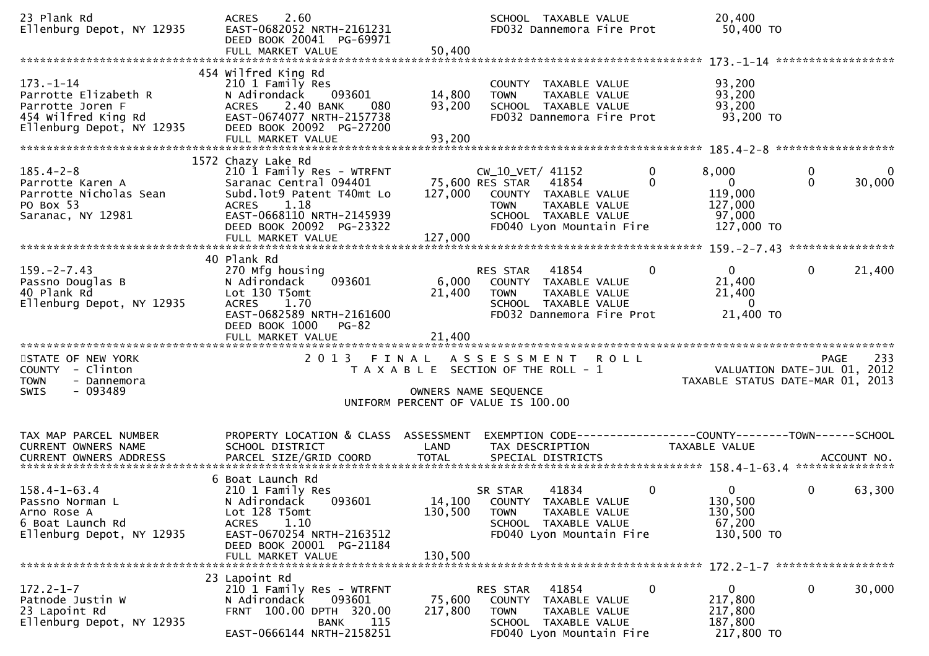| 23 Plank Rd<br>Ellenburg Depot, NY 12935                                                                        | 2.60<br><b>ACRES</b><br>EAST-0682052 NRTH-2161231<br>DEED BOOK 20041 PG-69971<br>FULL MARKET VALUE                                                                                                 | 50,400                     | SCHOOL TAXABLE VALUE<br>FD032 Dannemora Fire Prot                                                                                                        |                          | 20,400<br>50,400 TO                                                 |                                                                                       |
|-----------------------------------------------------------------------------------------------------------------|----------------------------------------------------------------------------------------------------------------------------------------------------------------------------------------------------|----------------------------|----------------------------------------------------------------------------------------------------------------------------------------------------------|--------------------------|---------------------------------------------------------------------|---------------------------------------------------------------------------------------|
| $173. - 1 - 14$<br>Parrotte Elizabeth R<br>Parrotte Joren F<br>454 Wilfred King Rd<br>Ellenburg Depot, NY 12935 | 454 Wilfred King Rd<br>210 1 Family Res<br>N Adirondack<br>093601<br>ACRES 2.40 BANK<br>080<br>EAST-0674077 NRTH-2157738<br>DEED BOOK 20092 PG-27200<br>FULL MARKET VALUE                          | 14,800<br>93,200<br>93,200 | COUNTY TAXABLE VALUE<br>TAXABLE VALUE<br><b>TOWN</b><br>SCHOOL TAXABLE VALUE<br>FD032 Dannemora Fire Prot                                                |                          | 93,200<br>93,200<br>93,200<br>93,200 TO                             |                                                                                       |
| $185.4 - 2 - 8$<br>Parrotte Karen A<br>Parrotte Nicholas Sean<br>PO Box 53<br>Saranac, NY 12981                 | 1572 Chazy Lake Rd<br>210 1 Family Res - WTRFNT<br>Saranac Central 094401<br>Subd.lot9 Patent T40mt Lo<br>ACRES 1.18<br>EAST-0668110 NRTH-2145939<br>DEED BOOK 20092 PG-23322<br>FULL MARKET VALUE | 127,000<br>127,000         | CW_10_VET/ 41152<br>75,600 RES STAR<br>41854<br>COUNTY TAXABLE VALUE<br>TAXABLE VALUE<br><b>TOWN</b><br>SCHOOL TAXABLE VALUE<br>FD040 Lyon Mountain Fire | $\mathbf{0}$<br>$\Omega$ | 8,000<br>$\mathbf{0}$<br>119,000<br>127,000<br>97,000<br>127,000 TO | $\mathbf 0$<br>$\overline{0}$<br>$\Omega$<br>30,000                                   |
| $159. - 2 - 7.43$<br>Passno Douglas B<br>40 Plank Rd<br>Ellenburg Depot, NY 12935                               | 40 Plank Rd<br>270 Mfg housing<br>093601<br>N Adirondack<br>Lot 130 T5omt<br>ACRES 1.70<br>EAST-0682589 NRTH-2161600<br>DEED BOOK 1000<br>PG-82<br>FULL MARKET VALUE                               | 6,000<br>21,400<br>21,400  | RES STAR<br>41854<br>COUNTY TAXABLE VALUE<br><b>TOWN</b><br>TAXABLE VALUE<br>SCHOOL TAXABLE VALUE<br>FD032 Dannemora Fire Prot                           | 0                        | $\overline{0}$<br>21,400<br>21,400<br>$\overline{0}$<br>21,400 TO   | $\mathbf{0}$<br>21,400                                                                |
| STATE OF NEW YORK<br>COUNTY - Clinton<br><b>TOWN</b><br>- Dannemora<br>- 093489<br><b>SWIS</b>                  |                                                                                                                                                                                                    |                            | 2013 FINAL ASSESSMENT<br><b>ROLL</b><br>T A X A B L E SECTION OF THE ROLL - 1<br>OWNERS NAME SEQUENCE<br>UNIFORM PERCENT OF VALUE IS 100.00              |                          |                                                                     | 233<br><b>PAGE</b><br>VALUATION DATE-JUL 01, 2012<br>TAXABLE STATUS DATE-MAR 01, 2013 |
| TAX MAP PARCEL NUMBER<br>CURRENT OWNERS NAME<br>CURRENT OWNERS ADDRESS                                          | PROPERTY LOCATION & CLASS ASSESSMENT<br>SCHOOL DISTRICT                                                                                                                                            | <b>LAND</b>                | TAX DESCRIPTION                                                                                                                                          |                          | TAXABLE VALUE                                                       |                                                                                       |
| $158.4 - 1 - 63.4$<br>Passno Norman L<br>Arno Rose A<br>6 Boat Launch Rd<br>Ellenburg Depot, NY 12935           | 6 Boat Launch Rd<br>210 1 Family Res<br>093601<br>N Adirondack<br>Lot 128 T5omt<br><b>ACRES</b><br>1.10<br>EAST-0670254 NRTH-2163512<br>DEED BOOK 20001 PG-21184                                   | 130,500                    | 41834<br>SR STAR<br>14,100 COUNTY TAXABLE VALUE<br><b>TOWN</b><br>TAXABLE VALUE<br>SCHOOL TAXABLE VALUE<br>FD040 Lyon Mountain Fire                      | 0                        | $\overline{0}$<br>130,500<br>130,500<br>67,200<br>130,500 TO        | $\mathbf{0}$<br>63,300                                                                |
| $172.2 - 1 - 7$<br>Patnode Justin W<br>23 Lapoint Rd<br>Ellenburg Depot, NY 12935                               | 23 Lapoint Rd<br>210 1 Family Res - WTRFNT<br>N Adirondack<br>093601<br>FRNT 100.00 DPTH 320.00<br><b>BANK</b> 115<br>EAST-0666144 NRTH-2158251                                                    | 75,600<br>217,800          | RES STAR 41854<br>COUNTY TAXABLE VALUE<br>TOWN<br>TAXABLE VALUE<br>SCHOOL TAXABLE VALUE<br>FD040 Lyon Mountain Fire                                      | 0                        | $\mathbf{0}$<br>217,800<br>217,800<br>187,800<br>217,800 TO         | 0<br>30,000                                                                           |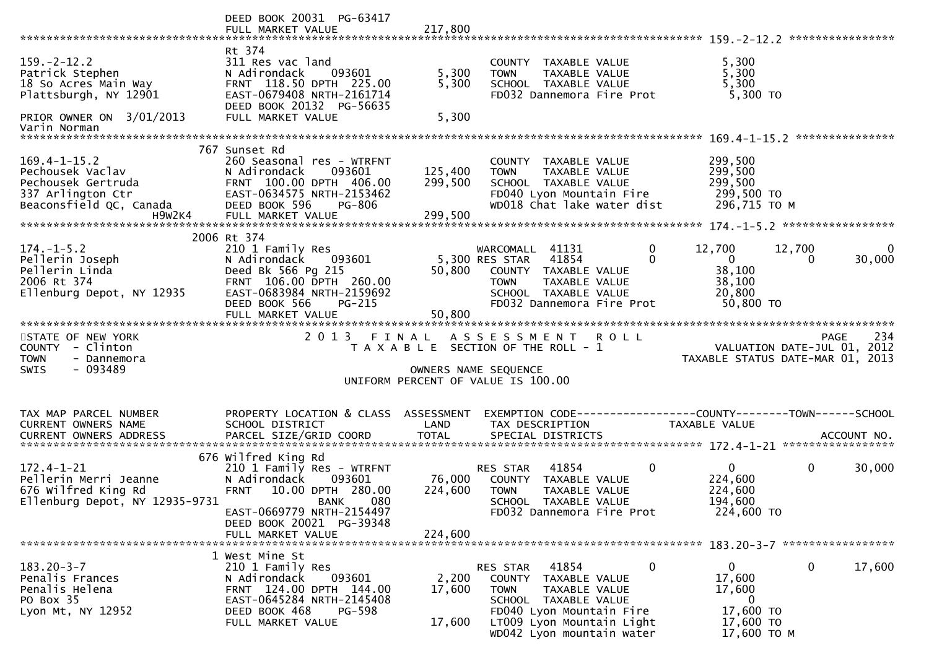|                                                                                                                                   | DEED BOOK 20031 PG-63417                                                                                                                                                                       |                         |                                                                                                                                                                                 |                                                                                              |                        |
|-----------------------------------------------------------------------------------------------------------------------------------|------------------------------------------------------------------------------------------------------------------------------------------------------------------------------------------------|-------------------------|---------------------------------------------------------------------------------------------------------------------------------------------------------------------------------|----------------------------------------------------------------------------------------------|------------------------|
| $159. - 2 - 12.2$<br>Patrick Stephen<br>18 So Acres Main Way<br>Plattsburgh, NY 12901<br>PRIOR OWNER ON 3/01/2013<br>Varin Norman | Rt 374<br>311 Res vac land<br>N Adirondack<br>093601<br>FRNT 118.50 DPTH 225.00<br>EAST-0679408 NRTH-2161714<br>DEED BOOK 20132 PG-56635<br>FULL MARKET VALUE                                  | 5,300<br>5,300<br>5,300 | COUNTY TAXABLE VALUE<br>TAXABLE VALUE<br><b>TOWN</b><br>SCHOOL TAXABLE VALUE<br>FD032 Dannemora Fire Prot                                                                       | 5,300<br>5,300<br>5,300<br>5,300 TO                                                          |                        |
|                                                                                                                                   | 767 Sunset Rd                                                                                                                                                                                  |                         |                                                                                                                                                                                 |                                                                                              |                        |
| $169.4 - 1 - 15.2$<br>Pechousek Vaclav<br>Pechousek Gertruda<br>337 Arlington Ctr<br>Beaconsfield QC, Canada                      | 260 Seasonal res - WTRFNT<br>093601<br>N Adirondack<br>FRNT 100.00 DPTH 406.00<br>EAST-0634575 NRTH-2153462<br>DEED BOOK 596<br>PG-806                                                         | 125,400<br>299,500      | COUNTY TAXABLE VALUE<br>TAXABLE VALUE<br><b>TOWN</b><br>SCHOOL TAXABLE VALUE<br>FD040 Lyon Mountain Fire<br>WD018 Chat lake water dist                                          | 299,500<br>299,500<br>299,500<br>299,500 то<br>296,715 ТО М                                  |                        |
|                                                                                                                                   |                                                                                                                                                                                                |                         |                                                                                                                                                                                 |                                                                                              |                        |
| $174. - 1 - 5.2$<br>Pellerin Joseph<br>Pellerin Linda<br>2006 Rt 374<br>Ellenburg Depot, NY 12935                                 | 2006 Rt 374<br>210 1 Family Res<br>093601<br>N Adirondack<br>Deed Bk 566 Pg 215<br>FRNT 106.00 DPTH 260.00<br>EAST-0683984 NRTH-2159692<br>DEED BOOK 566<br><b>PG-215</b><br>FULL MARKET VALUE | 50,800<br>50,800        | $\mathbf 0$<br>WARCOMALL 41131<br>5,300 RES STAR 41854<br>$\Omega$<br>COUNTY TAXABLE VALUE<br><b>TOWN</b><br>TAXABLE VALUE<br>SCHOOL TAXABLE VALUE<br>FD032 Dannemora Fire Prot | 12,700<br>12,700<br>$\overline{0}$<br>$\Omega$<br>38,100<br>38,100<br>20,800<br>50,800 TO    | $\mathbf{0}$<br>30,000 |
|                                                                                                                                   |                                                                                                                                                                                                |                         |                                                                                                                                                                                 |                                                                                              |                        |
| STATE OF NEW YORK<br>COUNTY - Clinton<br><b>TOWN</b><br>- Dannemora<br><b>SWIS</b><br>- 093489                                    | 2 0 1 3                                                                                                                                                                                        | FINAL                   | ASSESSMENT ROLL<br>T A X A B L E SECTION OF THE ROLL - 1<br>OWNERS NAME SEQUENCE<br>UNIFORM PERCENT OF VALUE IS 100.00                                                          | <b>PAGE</b><br>۲۵۹ - ۲۹۵۴<br>VALUATION DATE-JUL 01, 2012<br>TAXABLE STATUS DATE-MAR 01, 2013 | 234                    |
| TAX MAP PARCEL NUMBER                                                                                                             | PROPERTY LOCATION & CLASS ASSESSMENT                                                                                                                                                           |                         |                                                                                                                                                                                 | EXEMPTION CODE------------------COUNTY--------TOWN------SCHOOL                               |                        |
| CURRENT OWNERS NAME<br>CURRENT OWNERS ADDRESS                                                                                     | SCHOOL DISTRICT                                                                                                                                                                                | LAND                    | TAX DESCRIPTION                                                                                                                                                                 | TAXABLE VALUE                                                                                |                        |
|                                                                                                                                   | 676 Wilfred King Rd                                                                                                                                                                            |                         |                                                                                                                                                                                 |                                                                                              |                        |
| $172.4 - 1 - 21$<br>Pellerin Merri Jeanne<br>676 Wilfred King Rd<br>Ellenburg Depot, NY 12935-9731                                | 210 1 Family Res - WTRFNT<br>N Adirondack<br>093601<br><b>FRNT</b><br>10.00 DPTH 280.00<br>080<br><b>BANK</b><br>EAST-0669779 NRTH-2154497                                                     | 224,600                 | $\mathbf 0$<br>41854<br>RES STAR<br>76,000 COUNTY TAXABLE VALUE<br><b>TOWN</b><br>TAXABLE VALUE<br>SCHOOL TAXABLE VALUE<br>FD032 Dannemora Fire Prot                            | $\mathbf 0$<br>$\mathbf{0}$<br>224,600<br>224,600<br>194,600<br>224,600 TO                   | 30,000                 |
|                                                                                                                                   | DEED BOOK 20021 PG-39348<br>FULL MARKET VALUE                                                                                                                                                  | 224,600                 |                                                                                                                                                                                 |                                                                                              |                        |
|                                                                                                                                   |                                                                                                                                                                                                |                         |                                                                                                                                                                                 |                                                                                              |                        |
| $183.20 - 3 - 7$<br>Penalis Frances<br>Penalis Helena<br>PO Box 35<br>Lyon Mt, NY 12952                                           | 1 West Mine St<br>210 1 Family Res<br>N Adirondack<br>093601<br>FRNT 124.00 DPTH 144.00<br>EAST-0645284 NRTH-2145408<br><b>PG-598</b><br>DEED BOOK 468                                         | 2,200<br>17,600         | RES STAR<br>41854<br>$\bf{0}$<br>COUNTY<br>TAXABLE VALUE<br><b>TOWN</b><br>TAXABLE VALUE<br>SCHOOL TAXABLE VALUE<br>FD040 Lyon Mountain Fire                                    | $\mathbf 0$<br>$\mathbf{0}$<br>17,600<br>17,600<br>$\bf{0}$<br>17,600 TO                     | 17,600                 |
|                                                                                                                                   |                                                                                                                                                                                                |                         |                                                                                                                                                                                 |                                                                                              |                        |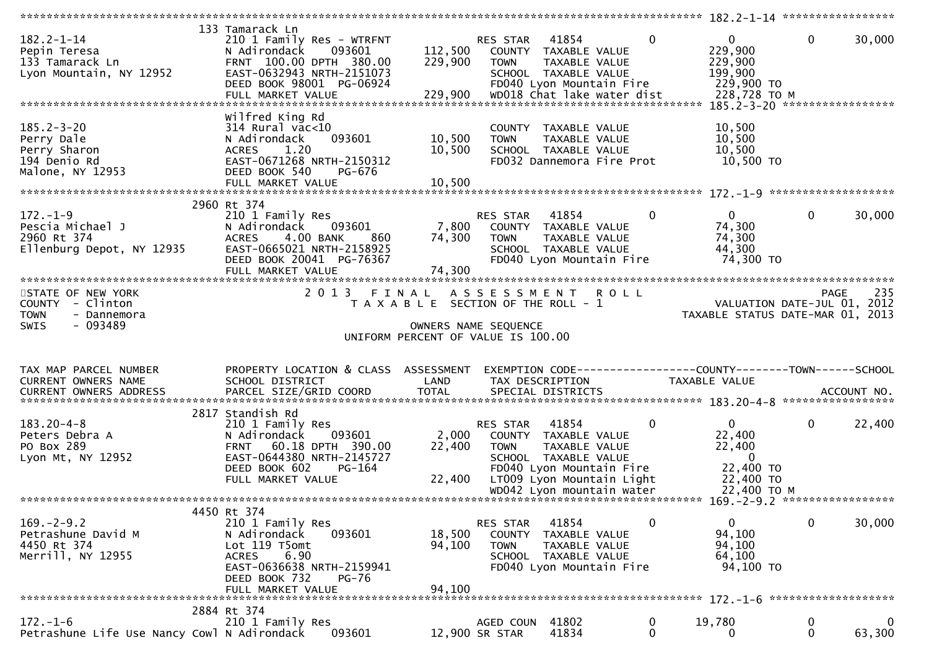|                                                                                          |                                                                                                                                                                                 |                                                                             |                                   |                                                                                                                                                              |                  | *********** 182.2-1-14 ******************                                                   |                   |                       |
|------------------------------------------------------------------------------------------|---------------------------------------------------------------------------------------------------------------------------------------------------------------------------------|-----------------------------------------------------------------------------|-----------------------------------|--------------------------------------------------------------------------------------------------------------------------------------------------------------|------------------|---------------------------------------------------------------------------------------------|-------------------|-----------------------|
| $182.2 - 1 - 14$<br>Pepin Teresa<br>133 Tamarack Ln<br>Lyon Mountain, NY 12952           | 133 Tamarack Ln<br>210 1 Family Res - WTRFNT<br>093601<br>N Adirondack<br>FRNT 100.00 DPTH 380.00<br>EAST-0632943 NRTH-2151073<br>DEED BOOK 98001 PG-06924<br>FULL MARKET VALUE | 112,500<br>229,900<br>229,900                                               | RES STAR 41854<br><b>TOWN</b>     | COUNTY TAXABLE VALUE<br>TAXABLE VALUE<br>SCHOOL TAXABLE VALUE<br>FD040 Lyon Mountain Fire<br>WD018 Chat lake water dist                                      | $\mathbf{0}$     | $\overline{0}$<br>229,900<br>229,900<br>199,900<br>229,900 TO<br>228,728 TO M               | $\mathbf 0$       | 30,000                |
| $185.2 - 3 - 20$<br>Perry Dale<br>Perry Sharon<br>194 Denio Rd<br>Malone, NY 12953       | Wilfred King Rd<br>$314$ Rural vac<10<br>093601<br>N Adirondack<br>1.20<br><b>ACRES</b><br>EAST-0671268 NRTH-2150312<br>DEED BOOK 540<br>PG-676                                 | 10,500<br>10,500                                                            | <b>TOWN</b>                       | COUNTY TAXABLE VALUE<br>TAXABLE VALUE<br>SCHOOL TAXABLE VALUE<br>FD032 Dannemora Fire Prot                                                                   |                  | 10,500<br>10,500<br>10,500<br>10,500 TO                                                     |                   |                       |
| $172. - 1 - 9$<br>Pescia Michael J<br>2960 Rt 374<br>Ellenburg Depot, NY 12935           | 2960 Rt 374<br>210 1 Family Res<br>093601<br>N Adirondack<br>4.00 BANK<br><b>ACRES</b><br>860<br>EAST-0665021 NRTH-2158925<br>DEED BOOK 20041 PG-76367<br>FULL MARKET VALUE     | 7,800<br>74,300<br>74,300                                                   | RES STAR<br><b>TOWN</b>           | 41854<br>COUNTY TAXABLE VALUE<br>TAXABLE VALUE<br>SCHOOL TAXABLE VALUE<br>FD040 Lyon Mountain Fire                                                           | 0                | $\overline{0}$<br>74,300<br>74,300<br>44,300<br>74,300 TO                                   | $\Omega$          | 30,000                |
| STATE OF NEW YORK<br>COUNTY - Clinton<br><b>TOWN</b><br>- Dannemora<br>$-093489$<br>SWIS | 2013 FINAL ASSESSMENT                                                                                                                                                           | T A X A B L E SECTION OF THE ROLL - 1<br>UNIFORM PERCENT OF VALUE IS 100.00 | OWNERS NAME SEQUENCE              | <b>ROLL</b>                                                                                                                                                  |                  | VALUATION DATE-JUL 01, 2012<br>TAXABLE STATUS DATE-MAR 01, 2013                             |                   | 235<br><b>PAGE</b>    |
| TAX MAP PARCEL NUMBER<br>CURRENT OWNERS NAME                                             | PROPERTY LOCATION & CLASS ASSESSMENT<br>SCHOOL DISTRICT                                                                                                                         | LAND                                                                        | TAX DESCRIPTION                   |                                                                                                                                                              |                  | TAXABLE VALUE                                                                               |                   |                       |
| $183.20 - 4 - 8$<br>Peters Debra A<br>PO Box 289<br>Lyon Mt, NY 12952                    | 2817 Standish Rd<br>210 1 Family Res<br>093601<br>N Adirondack<br>60.18 DPTH 390.00<br><b>FRNT</b><br>EAST-0644380 NRTH-2145727<br>DEED BOOK 602<br>PG-164<br>FULL MARKET VALUE | 2,000<br>22,400<br>22,400                                                   | RES STAR<br>TOWN                  | 41854<br>COUNTY TAXABLE VALUE<br>TAXABLE VALUE<br>SCHOOL TAXABLE VALUE<br>FD040 Lyon Mountain Fire<br>LT009 Lyon Mountain Light<br>WD042 Lyon mountain water | 0                | $\mathbf{0}$<br>22,400<br>22,400<br>$\overline{0}$<br>22,400 TO<br>22,400 TO<br>22,400 TO M | 0                 | 22,400                |
|                                                                                          |                                                                                                                                                                                 |                                                                             |                                   |                                                                                                                                                              |                  |                                                                                             |                   |                       |
| $169. - 2 - 9.2$<br>Petrashune David M<br>4450 Rt 374<br>Merrill, NY 12955               | 4450 Rt 374<br>210 1 Family Res<br>N Adirondack<br>093601<br>Lot 119 T5omt<br><b>ACRES</b><br>6.90<br>EAST-0636638 NRTH-2159941<br>DEED BOOK 732<br><b>PG-76</b>                | 18,500<br>94,100<br>94,100                                                  | RES STAR<br><b>COUNTY</b><br>TOWN | 41854<br>TAXABLE VALUE<br>TAXABLE VALUE<br>SCHOOL TAXABLE VALUE<br>FD040 Lyon Mountain Fire                                                                  | 0                | 0<br>94,100<br>94,100<br>64,100<br>94,100 TO                                                | 0                 | 30,000                |
|                                                                                          | FULL MARKET VALUE                                                                                                                                                               |                                                                             |                                   |                                                                                                                                                              |                  |                                                                                             |                   |                       |
| $172. - 1 - 6$<br>Petrashune Life Use Nancy Cowl N Adirondack                            | 2884 Rt 374<br>210 1 Family Res<br>093601                                                                                                                                       |                                                                             | AGED COUN 41802<br>12,900 SR STAR | 41834                                                                                                                                                        | 0<br>$\mathbf 0$ | 19,780<br>0                                                                                 | 0<br>$\mathbf{0}$ | $\mathbf 0$<br>63,300 |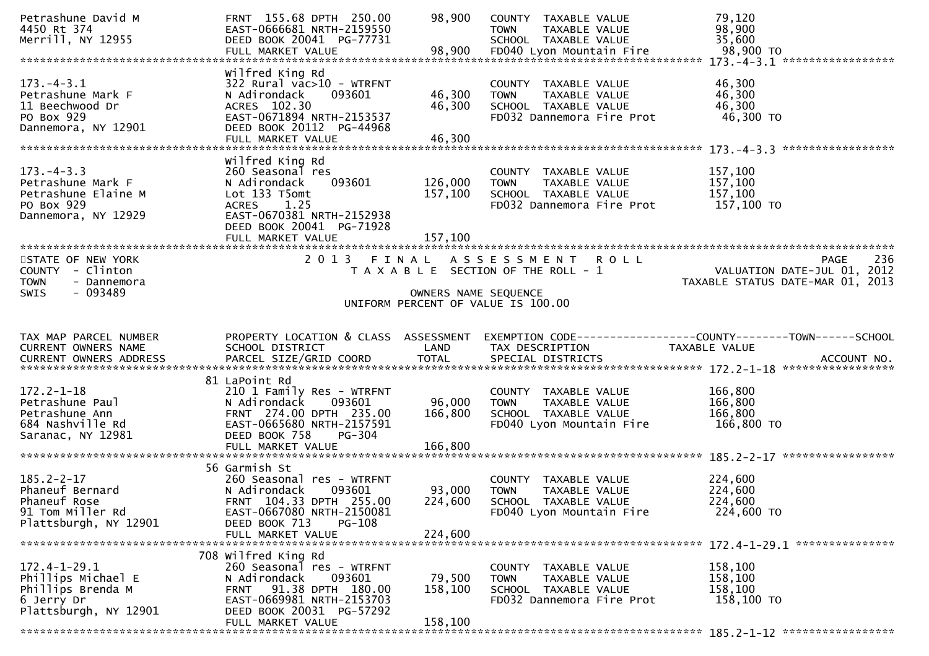| Petrashune David M<br>4450 Rt 374<br>Merrill, NY 12955                                           | FRNT 155.68 DPTH 250.00<br>EAST-0666681 NRTH-2159550<br>DEED BOOK 20041 PG-77731                                                                                                     | 98,900                        | COUNTY TAXABLE VALUE<br><b>TOWN</b><br><b>TAXABLE VALUE</b><br>SCHOOL TAXABLE VALUE                       | 79,120<br>98,900<br>35,600                                                     |
|--------------------------------------------------------------------------------------------------|--------------------------------------------------------------------------------------------------------------------------------------------------------------------------------------|-------------------------------|-----------------------------------------------------------------------------------------------------------|--------------------------------------------------------------------------------|
| $173. - 4 - 3.1$<br>Petrashune Mark F<br>11 Beechwood Dr<br>PO Box 929<br>Dannemora, NY 12901    | Wilfred King Rd<br>322 Rural vac>10 - WTRFNT<br>N Adirondack<br>093601<br>ACRES 102.30<br>EAST-0671894 NRTH-2153537<br>DEED BOOK 20112 PG-44968<br>FULL MARKET VALUE                 | 46,300<br>46,300<br>46,300    | COUNTY TAXABLE VALUE<br>TAXABLE VALUE<br><b>TOWN</b><br>SCHOOL TAXABLE VALUE<br>FD032 Dannemora Fire Prot | 46,300<br>46,300<br>46,300<br>46,300 TO                                        |
| $173. -4 - 3.3$<br>Petrashune Mark F<br>Petrashune Elaine M<br>PO Box 929<br>Dannemora, NY 12929 | Wilfred King Rd<br>260 Seasonal res<br>093601<br>N Adirondack<br>Lot 133 T5omt<br>1.25<br><b>ACRES</b><br>EAST-0670381 NRTH-2152938<br>DEED BOOK 20041 PG-71928<br>FULL MARKET VALUE | 126,000<br>157,100<br>157,100 | COUNTY TAXABLE VALUE<br><b>TOWN</b><br>TAXABLE VALUE<br>SCHOOL TAXABLE VALUE<br>FD032 Dannemora Fire Prot | 157,100<br>157,100<br>157,100<br>157,100 TO                                    |
| STATE OF NEW YORK<br>COUNTY - Clinton<br><b>TOWN</b><br>- Dannemora<br>$-093489$<br>SWIS         | 2 0 1 3                                                                                                                                                                              | FINAL<br>OWNERS NAME SEQUENCE | ASSESSMENT ROLL<br>T A X A B L E SECTION OF THE ROLL - 1<br>UNIFORM PERCENT OF VALUE IS 100.00            | 236<br>PAGE<br>VALUATION DATE-JUL 01, 2012<br>TAXABLE STATUS DATE-MAR 01, 2013 |
|                                                                                                  |                                                                                                                                                                                      |                               |                                                                                                           |                                                                                |
| TAX MAP PARCEL NUMBER<br><b>CURRENT OWNERS NAME</b><br>CURRENT OWNERS ADDRESS                    | PROPERTY LOCATION & CLASS ASSESSMENT<br>SCHOOL DISTRICT                                                                                                                              | LAND                          | TAX DESCRIPTION                                                                                           | EXEMPTION CODE-----------------COUNTY-------TOWN------SCHOOL<br>TAXABLE VALUE  |
| $172.2 - 1 - 18$<br>Petrashune Paul<br>Petrashune Ann<br>684 Nashville Rd<br>Saranac, NY 12981   | 81 LaPoint Rd<br>210 1 Family Res - WTRFNT<br>N Adirondack<br>093601<br>FRNT 274.00 DPTH 235.00<br>EAST-0665680 NRTH-2157591<br>DEED BOOK 758<br><b>PG-304</b><br>FULL MARKET VALUE  | 96,000<br>166,800<br>166,800  | COUNTY TAXABLE VALUE<br><b>TOWN</b><br>TAXABLE VALUE<br>SCHOOL TAXABLE VALUE<br>FD040 Lyon Mountain Fire  | 166,800<br>166,800<br>166,800<br>166,800 TO                                    |
| $185.2 - 2 - 17$<br>Phaneuf Bernard<br>Phaneuf Rose<br>91 Tom Miller Rd<br>Plattsburgh, NY 12901 | 56 Garmish St<br>260 Seasonal res - WTRFNT<br>N Adirondack<br>093601<br>FRNT 104.33 DPTH 255.00<br>EAST-0667080 NRTH-2150081<br>PG-108<br>DEED BOOK 713<br>FULL MARKET VALUE         | 93,000<br>224,600<br>224,600  | COUNTY TAXABLE VALUE<br><b>TOWN</b><br>TAXABLE VALUE<br>SCHOOL TAXABLE VALUE<br>FD040 Lyon Mountain Fire  | 224,600<br>224,600<br>224,600<br>224,600 TO                                    |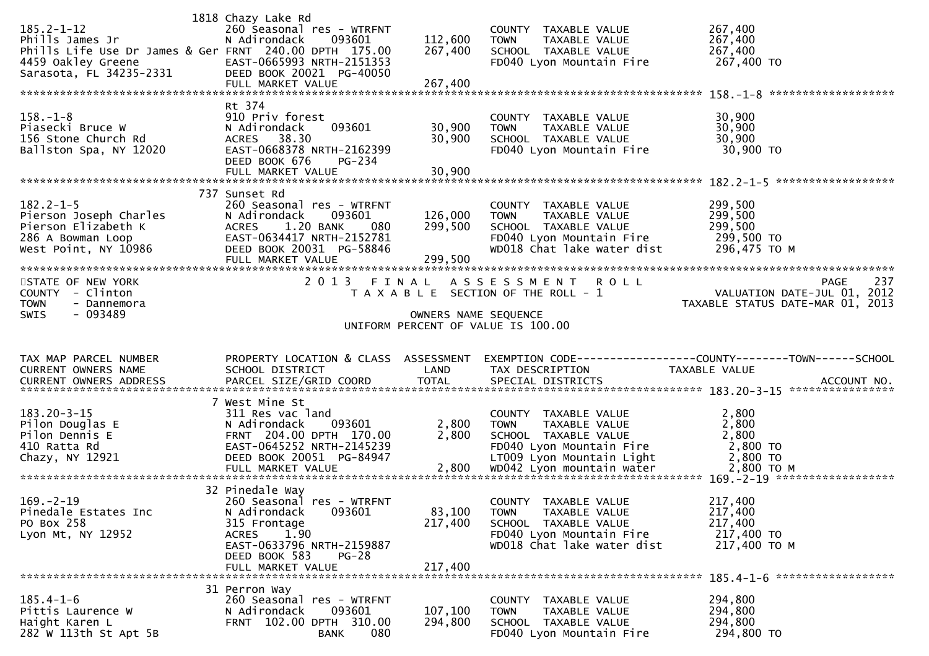| $185.2 - 1 - 12$<br>Phills James Jr<br>Phills Life Use Dr James & Ger FRNT 240.00 DPTH 175.00<br>4459 Oakley Greene<br>Sarasota, FL 34235-2331 | 1818 Chazy Lake Rd<br>260 Seasonal res - WTRFNT<br>093601<br>N Adirondack<br>EAST-0665993 NRTH-2151353<br>DEED BOOK 20021 PG-40050                                                     | 112,600<br>267,400            | COUNTY TAXABLE VALUE<br><b>TOWN</b><br>TAXABLE VALUE<br>SCHOOL TAXABLE VALUE<br>FD040 Lyon Mountain Fire                               | 267,400<br>267,400<br>267,400<br>267,400 TO                                              |
|------------------------------------------------------------------------------------------------------------------------------------------------|----------------------------------------------------------------------------------------------------------------------------------------------------------------------------------------|-------------------------------|----------------------------------------------------------------------------------------------------------------------------------------|------------------------------------------------------------------------------------------|
| $158. - 1 - 8$<br>Piasecki Bruce W<br>156 Stone Church Rd<br>Ballston Spa, NY 12020                                                            | Rt 374<br>910 Priv forest<br>N Adirondack<br>093601<br>ACRES 38.30<br>EAST-0668378 NRTH-2162399<br>DEED BOOK 676<br><b>PG-234</b><br>FULL MARKET VALUE                                 | 30,900<br>30,900<br>30,900    | COUNTY TAXABLE VALUE<br>TAXABLE VALUE<br><b>TOWN</b><br>SCHOOL TAXABLE VALUE<br>FD040 Lyon Mountain Fire                               | 30,900<br>30,900<br>30,900<br>30,900 TO                                                  |
| $182.2 - 1 - 5$<br>Pierson Joseph Charles<br>Pierson Elizabeth K<br>286 A Bowman Loop<br>West Point, NY 10986                                  | 737 Sunset Rd<br>260 Seasonal res - WTRFNT<br>N Adirondack<br>093601<br><b>ACRES</b><br>1.20 BANK<br>080<br>EAST-0634417 NRTH-2152781<br>DEED BOOK 20031 PG-58846<br>FULL MARKET VALUE | 126,000<br>299,500<br>299,500 | COUNTY TAXABLE VALUE<br><b>TOWN</b><br>TAXABLE VALUE<br>SCHOOL TAXABLE VALUE<br>FD040 Lyon Mountain Fire<br>WD018 Chat lake water dist | 299,500<br>299,500<br>299,500<br>299,500 то<br>296,475 TO M                              |
| STATE OF NEW YORK<br>COUNTY - Clinton<br>TOWN<br>- Dannemora<br>$-093489$<br>SWIS                                                              | 2 0 1 3                                                                                                                                                                                | FINAL<br>OWNERS NAME SEQUENCE | ASSESSMENT ROLL<br>T A X A B L E SECTION OF THE ROLL - 1<br>UNIFORM PERCENT OF VALUE IS 100.00                                         | 237<br><b>PAGE</b><br>VALUATION DATE-JUL $01$ , 2012<br>TAXABLE STATUS DATE-MAR 01, 2013 |
| TAX MAP PARCEL NUMBER<br>CURRENT OWNERS NAME<br>CURRENT OWNERS ADDRESS                                                                         | PROPERTY LOCATION & CLASS ASSESSMENT<br>SCHOOL DISTRICT                                                                                                                                | LAND                          | TAX DESCRIPTION                                                                                                                        | EXEMPTION CODE-----------------COUNTY-------TOWN------SCHOOL<br>TAXABLE VALUE            |
|                                                                                                                                                | PARCEL SIZE/GRID COORD                                                                                                                                                                 | <b>TOTAL</b>                  | SPECIAL DISTRICTS                                                                                                                      | ACCOUNT NO.                                                                              |
| $183.20 - 3 - 15$<br>Pilon Douglas E<br>Pilon Dennis E<br>410 Ratta Rd<br>Chazy, NY 12921                                                      | 7 West Mine St<br>311 Res vac land<br>N Adirondack<br>093601<br>FRNT 204.00 DPTH 170.00<br>EAST-0645252 NRTH-2145239<br>DEED BOOK 20051 PG-84947                                       | 2,800<br>2,800                | COUNTY TAXABLE VALUE<br>TAXABLE VALUE<br><b>TOWN</b><br>SCHOOL TAXABLE VALUE<br>FD040 Lyon Mountain Fire<br>LT009 Lyon Mountain Light  | 2,800<br>2,800<br>2,800<br>2,800 TO<br>2,800 TO                                          |
| $169. - 2 - 19$<br>Pinedale Estates Inc<br>PO Box 258<br>Lyon Mt, NY 12952                                                                     | 32 Pinedale Way<br>260 Seasonal res - WTRFNT<br>N Adirondack<br>093601<br>315 Frontage<br>ACRES 1.90<br>EAST-0633796 NRTH-2159887<br>DEED BOOK 583<br>$PG-28$<br>FULL MARKET VALUE     | 83,100<br>217,400<br>217,400  | COUNTY TAXABLE VALUE<br>TAXABLE VALUE<br><b>TOWN</b><br>SCHOOL TAXABLE VALUE<br>FD040 Lyon Mountain Fire<br>WD018 Chat lake water dist | 217,400<br>217,400<br>217,400<br>217,400 TO<br>217,400 TO M                              |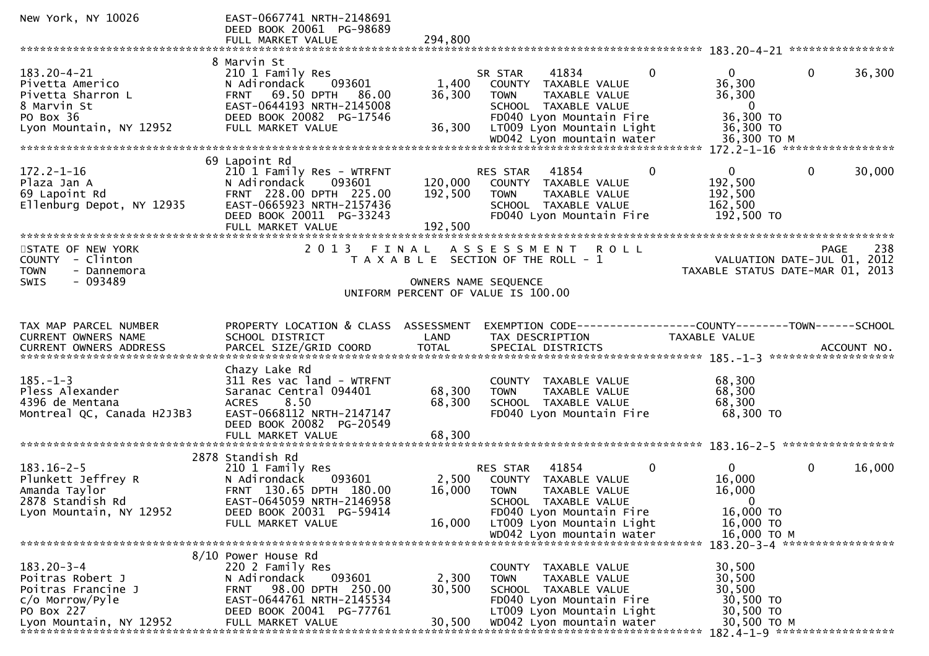| New York, NY 10026                                                                                                     | EAST-0667741 NRTH-2148691<br>DEED BOOK 20061 PG-98689                                                                                                                         |                               |                                                                                                                                                                      |                                                                                          |                                                                                       |
|------------------------------------------------------------------------------------------------------------------------|-------------------------------------------------------------------------------------------------------------------------------------------------------------------------------|-------------------------------|----------------------------------------------------------------------------------------------------------------------------------------------------------------------|------------------------------------------------------------------------------------------|---------------------------------------------------------------------------------------|
|                                                                                                                        | FULL MARKET VALUE                                                                                                                                                             | 294,800                       |                                                                                                                                                                      |                                                                                          |                                                                                       |
|                                                                                                                        | 8 Marvin St                                                                                                                                                                   |                               |                                                                                                                                                                      |                                                                                          |                                                                                       |
| $183.20 - 4 - 21$<br>Pivetta Americo<br>Pivetta Sharron L<br>8 Marvin St<br>PO Box 36<br>Lyon Mountain, NY 12952       | 210 1 Family Res<br>093601<br>N Adirondack<br>FRNT 69.50 DPTH 86.00<br>EAST-0644193 NRTH-2145008<br>DEED BOOK 20082 PG-17546<br>FULL MARKET VALUE                             | 1,400<br>36,300<br>36,300     | 41834<br>SR STAR<br>COUNTY TAXABLE VALUE<br>TAXABLE VALUE<br><b>TOWN</b><br>SCHOOL TAXABLE VALUE<br>FD040 Lyon Mountain Fire<br>LT009 Lyon Mountain Light            | $\mathbf{0}$<br>$\Omega$<br>36,300<br>36,300<br>$\overline{0}$<br>36,300 TO<br>36,300 TO | $\mathbf{0}$<br>36,300                                                                |
|                                                                                                                        |                                                                                                                                                                               |                               |                                                                                                                                                                      |                                                                                          |                                                                                       |
| $172.2 - 1 - 16$<br>Plaza Jan A<br>69 Lapoint Rd<br>Ellenburg Depot, NY 12935                                          | 69 Lapoint Rd<br>210 1 Family Res - WTRFNT<br>N Adirondack<br>093601<br>FRNT 228.00 DPTH 225.00<br>EAST-0665923 NRTH-2157436<br>DEED BOOK 20011 PG-33243<br>FULL MARKET VALUE | 120,000<br>192,500<br>192,500 | 41854<br>RES STAR<br>COUNTY TAXABLE VALUE<br>TAXABLE VALUE<br><b>TOWN</b><br>SCHOOL TAXABLE VALUE<br>FD040 Lyon Mountain Fire                                        | $\mathbf{0}$<br>$\mathbf{0}$<br>192,500<br>192,500<br>162,500<br>192,500 TO              | $\mathbf 0$<br>30,000                                                                 |
| *******************************                                                                                        | ***************************                                                                                                                                                   | *********************         |                                                                                                                                                                      |                                                                                          |                                                                                       |
| STATE OF NEW YORK<br>COUNTY - Clinton<br><b>TOWN</b><br>- Dannemora                                                    | 2 0 1 3                                                                                                                                                                       | FINAL                         | A S S E S S M E N T<br><b>ROLL</b><br>T A X A B L E SECTION OF THE ROLL - 1                                                                                          |                                                                                          | 238<br><b>PAGE</b><br>VALUATION DATE-JUL 01, 2012<br>TAXABLE STATUS DATE-MAR 01, 2013 |
| $-093489$<br>SWIS                                                                                                      |                                                                                                                                                                               |                               | OWNERS NAME SEQUENCE                                                                                                                                                 |                                                                                          |                                                                                       |
|                                                                                                                        |                                                                                                                                                                               |                               | UNIFORM PERCENT OF VALUE IS 100.00                                                                                                                                   |                                                                                          |                                                                                       |
| TAX MAP PARCEL NUMBER<br>CURRENT OWNERS NAME                                                                           | PROPERTY LOCATION & CLASS ASSESSMENT<br>SCHOOL DISTRICT                                                                                                                       | LAND                          | EXEMPTION CODE------------------COUNTY--------TOWN------SCHOOL<br>TAX DESCRIPTION                                                                                    | TAXABLE VALUE                                                                            |                                                                                       |
|                                                                                                                        | Chazy Lake Rd                                                                                                                                                                 |                               |                                                                                                                                                                      |                                                                                          |                                                                                       |
| $185. - 1 - 3$<br>Pless Alexander<br>4396 de Mentana<br>Montreal QC, Canada H2J3B3                                     | 311 Res vac land - WTRFNT<br>Saranac Central 094401<br>8.50<br><b>ACRES</b><br>EAST-0668112 NRTH-2147147<br>DEED BOOK 20082 PG-20549                                          | 68,300<br>68,300              | COUNTY TAXABLE VALUE<br>TAXABLE VALUE<br><b>TOWN</b><br>SCHOOL TAXABLE VALUE<br>FD040 Lyon Mountain Fire                                                             | 68,300<br>68,300<br>68,300<br>68,300 TO                                                  |                                                                                       |
|                                                                                                                        | FULL MARKET VALUE                                                                                                                                                             | 68,300                        |                                                                                                                                                                      |                                                                                          |                                                                                       |
| $183.16 - 2 - 5$<br>Plunkett Jeffrey R<br>Amanda Taylor<br>2878 Standish Rd<br>Lyon Mountain, NY 12952                 | 2878 Standish Rd<br>210 1 Family Res<br>093601<br>N Adirondack<br>FRNT 130.65 DPTH 180.00<br>EAST-0645059 NRTH-2146958<br>DEED BOOK 20031 PG-59414<br>FULL MARKET VALUE       | 2,500<br>16,000<br>16,000     | 41854<br>RES STAR<br>COUNTY TAXABLE VALUE<br><b>TOWN</b><br>TAXABLE VALUE<br><b>SCHOOL</b><br>TAXABLE VALUE<br>FD040 Lyon Mountain Fire<br>LT009 Lyon Mountain Light | 0<br>$\mathbf{0}$<br>16,000<br>16,000<br>0<br>16,000 TO<br>16,000 TO                     | $\mathbf 0$<br>16,000                                                                 |
|                                                                                                                        |                                                                                                                                                                               |                               | WD042 Lyon mountain water                                                                                                                                            | 16,000 ТО М                                                                              | 183.20-3-4 ******************                                                         |
|                                                                                                                        | 8/10 Power House Rd                                                                                                                                                           |                               |                                                                                                                                                                      |                                                                                          |                                                                                       |
| $183.20 - 3 - 4$<br>Poitras Robert J<br>Poitras Francine J<br>c/o Morrow/Pyle<br>PO Box 227<br>Lyon Mountain, NY 12952 | 220 2 Family Res<br>093601<br>N Adirondack<br>98.00 DPTH 250.00<br><b>FRNT</b><br>EAST-0644761 NRTH-2145534<br>DEED BOOK 20041 PG-77761<br>FULL MARKET VALUE                  | 2,300<br>30,500<br>30,500     | COUNTY TAXABLE VALUE<br>TAXABLE VALUE<br><b>TOWN</b><br>SCHOOL TAXABLE VALUE<br>FD040 Lyon Mountain Fire<br>LT009 Lyon Mountain Light<br>WD042 Lyon mountain water   | 30,500<br>30,500<br>30,500<br>30,500 TO<br>30,500 TO<br>30,500 то м                      |                                                                                       |
|                                                                                                                        |                                                                                                                                                                               |                               |                                                                                                                                                                      |                                                                                          |                                                                                       |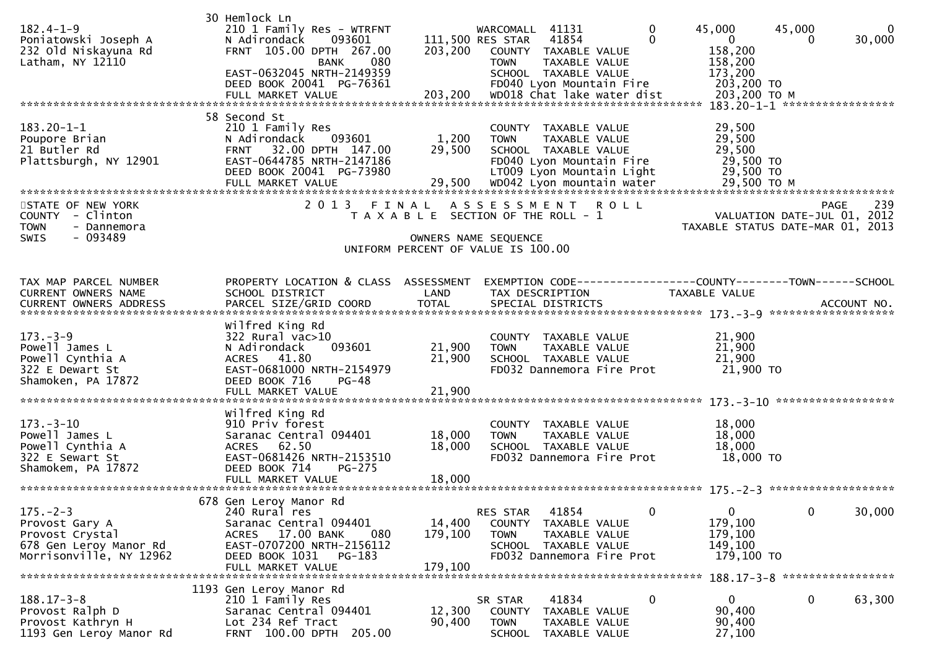| $182.4 - 1 - 9$<br>Poniatowski Joseph A<br>232 Old Niskayuna Rd<br>Latham, NY 12110                                                                                                                                                                                                             | 30 Hemlock Ln<br>210 1 Family Res - WTRFNT<br>093601<br>N Adirondack<br>FRNT 105.00 DPTH 267.00<br>080<br>BANK<br>EAST-0632045 NRTH-2149359<br>DEED BOOK 20041 PG-76361    | 203,200                      | WARCOMALL 41131<br>111,500 RES STAR<br>41854<br>COUNTY TAXABLE VALUE<br><b>TOWN</b><br>TAXABLE VALUE<br>SCHOOL TAXABLE VALUE<br>FD040 Lyon Mountain Fire                                                | 0<br>$\Omega$ | 45,000<br>$\mathbf{0}$<br>158,200<br>158,200<br>173,200<br>203,200 TO                    | 45,000<br>0                                | $\mathbf 0$<br>30,000 |
|-------------------------------------------------------------------------------------------------------------------------------------------------------------------------------------------------------------------------------------------------------------------------------------------------|----------------------------------------------------------------------------------------------------------------------------------------------------------------------------|------------------------------|---------------------------------------------------------------------------------------------------------------------------------------------------------------------------------------------------------|---------------|------------------------------------------------------------------------------------------|--------------------------------------------|-----------------------|
| $183.20 - 1 - 1$<br>Poupore Brian<br>21 Butler Rd<br>Plattsburgh, NY 12901<br>FULL MARKET VALUE 79,500 WD042 Lyon mountain water 79,500 TO M مكروم 29,500 FULL MARKET VALUE 79,500 WD042 Lyon mountain water 79,500 TO M<br>STATE OF NEW YORK<br>COUNTY - Clinton<br><b>TOWN</b><br>- Dannemora | 58 Second St<br>210 1 Family Res<br>N Adirondack<br>093601<br>32.00 DPTH 147.00<br><b>FRNT</b><br>EAST-0644785 NRTH-2147186<br>DEED BOOK 20041 PG-73980<br>2 0 1 3         | 1,200<br>29,500              | COUNTY TAXABLE VALUE<br><b>TOWN</b><br>TAXABLE VALUE<br>SCHOOL TAXABLE VALUE<br>FD040 Lyon Mountain Fire<br>LT009 Lyon Mountain Light<br>FINAL ASSESSMENT ROLL<br>T A X A B L E SECTION OF THE ROLL - 1 |               | 29,500<br>29,500<br>29,500<br>29,500 TO<br>29,500 TO<br>TAXABLE STATUS DATE-MAR 01, 2013 | <b>PAGE</b><br>VALUATION DATE-JUL 01, 2012 | 239                   |
| $-093489$<br>SWIS                                                                                                                                                                                                                                                                               |                                                                                                                                                                            |                              | OWNERS NAME SEQUENCE<br>UNIFORM PERCENT OF VALUE IS 100.00                                                                                                                                              |               |                                                                                          |                                            |                       |
| TAX MAP PARCEL NUMBER<br>CURRENT OWNERS NAME                                                                                                                                                                                                                                                    | PROPERTY LOCATION & CLASS ASSESSMENT<br>SCHOOL DISTRICT                                                                                                                    | LAND                         | EXEMPTION CODE-----------------COUNTY-------TOWN------SCHOOL<br>TAX DESCRIPTION                                                                                                                         |               | TAXABLE VALUE                                                                            |                                            |                       |
| $173. - 3 - 9$<br>Powell James L<br>Powell Cynthia A<br>322 E Dewart St<br>Shamoken, PA 17872                                                                                                                                                                                                   | Wilfred King Rd<br>$322$ Rural vac $>10$<br>093601<br>N Adirondack<br>ACRES 41.80<br>EAST-0681000 NRTH-2154979<br>DEED BOOK 716<br>$PG-48$<br>FULL MARKET VALUE            | 21,900<br>21,900<br>21,900   | COUNTY TAXABLE VALUE<br><b>TOWN</b><br>TAXABLE VALUE<br>SCHOOL TAXABLE VALUE<br>FD032 Dannemora Fire Prot                                                                                               |               | 21,900<br>21,900<br>21,900<br>21,900 TO                                                  |                                            |                       |
| $173. - 3 - 10$<br>Powell James L<br>Powell Cynthia A<br>322 E Sewart St<br>Shamokem, PA 17872                                                                                                                                                                                                  | Wilfred King Rd<br>910 Priv forest<br>Saranac Central 094401<br>ACRES 62.50<br>EAST-0681426 NRTH-2153510<br>DEED BOOK 714<br><b>PG-275</b>                                 | 18,000<br>18,000             | COUNTY TAXABLE VALUE<br>TAXABLE VALUE<br><b>TOWN</b><br>SCHOOL TAXABLE VALUE<br>FD032 Dannemora Fire Prot                                                                                               |               | 18,000<br>18,000<br>18,000<br>18,000 TO                                                  |                                            |                       |
| $175. - 2 - 3$<br>Provost Gary A<br>Provost Crystal<br>678 Gen Leroy Manor Rd<br>Morrisonville, NY 12962                                                                                                                                                                                        | 678 Gen Leroy Manor Rd<br>240 Rural res<br>Saranac Central 094401<br>ACRES 17.00 BANK<br>080<br>EAST-0707200 NRTH-2156112<br>DEED BOOK 1031<br>PG-183<br>FULL MARKET VALUE | 14,400<br>179,100<br>179,100 | 41854<br>RES STAR<br>COUNTY TAXABLE VALUE<br><b>TOWN</b><br>TAXABLE VALUE<br>SCHOOL TAXABLE VALUE<br>FD032 Dannemora Fire Prot                                                                          | 0             | $\mathbf{0}$<br>179,100<br>179,100<br>149,100<br>179,100 TO                              | 0                                          | 30,000                |
| $188.17 - 3 - 8$<br>Provost Ralph D<br>Provost Kathryn H<br>1193 Gen Leroy Manor Rd                                                                                                                                                                                                             | 1193 Gen Leroy Manor Rd<br>210 1 Family Res<br>Saranac Central 094401<br>Lot 234 Ref Tract<br>FRNT 100.00 DPTH 205.00                                                      | 12,300<br>90,400             | 41834<br>SR STAR<br>COUNTY TAXABLE VALUE<br><b>TOWN</b><br>TAXABLE VALUE<br>SCHOOL<br>TAXABLE VALUE                                                                                                     | 0             | $\mathbf{0}$<br>90,400<br>90,400<br>27,100                                               | 0                                          | 63,300                |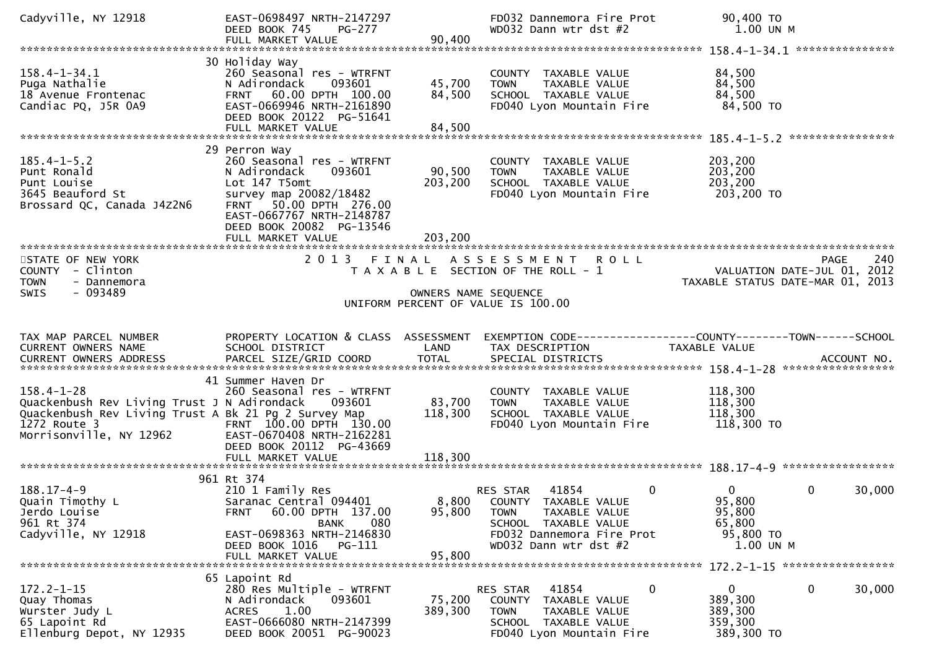| Cadyville, NY 12918                                                                                                                                                | EAST-0698497 NRTH-2147297<br>DEED BOOK 745<br>PG-277<br>FULL MARKET VALUE                                                                                                                                               | 90,400                       | FD032 Dannemora Fire Prot<br>WD032 Dann wtr dst #2                                                                                                                           | 90,400 TO<br>1.00 UN M                                                                |
|--------------------------------------------------------------------------------------------------------------------------------------------------------------------|-------------------------------------------------------------------------------------------------------------------------------------------------------------------------------------------------------------------------|------------------------------|------------------------------------------------------------------------------------------------------------------------------------------------------------------------------|---------------------------------------------------------------------------------------|
|                                                                                                                                                                    |                                                                                                                                                                                                                         |                              |                                                                                                                                                                              |                                                                                       |
| $158.4 - 1 - 34.1$<br>Puga Nathalie<br>18 Avenue Frontenac<br>Candiac PQ, J5R 0A9                                                                                  | 30 Holiday Way<br>260 Seasonal res - WTRFNT<br>N Adirondack<br>093601<br>FRNT 60.00 DPTH 100.00<br>EAST-0669946 NRTH-2161890<br>DEED BOOK 20122 PG-51641                                                                | 45,700<br>84,500             | COUNTY TAXABLE VALUE<br>TAXABLE VALUE<br><b>TOWN</b><br>SCHOOL TAXABLE VALUE<br>FD040 Lyon Mountain Fire                                                                     | 84,500<br>84,500<br>84,500<br>84,500 TO                                               |
|                                                                                                                                                                    |                                                                                                                                                                                                                         |                              |                                                                                                                                                                              |                                                                                       |
| $185.4 - 1 - 5.2$<br>Punt Ronald<br>Punt Louise<br>3645 Beauford St<br>Brossard QC, Canada J4Z2N6                                                                  | 29 Perron Way<br>260 Seasonal res - WTRFNT<br>N Adirondack<br>093601<br>Lot 147 T5omt<br>survey map 20082/18482<br>FRNT 50.00 DPTH 276.00<br>EAST-0667767 NRTH-2148787<br>DEED BOOK 20082 PG-13546<br>FULL MARKET VALUE | 90,500<br>203,200<br>203,200 | COUNTY TAXABLE VALUE<br><b>TOWN</b><br>TAXABLE VALUE<br>SCHOOL TAXABLE VALUE<br>FD040 Lyon Mountain Fire                                                                     | 203,200<br>203,200<br>203,200<br>203,200 TO                                           |
|                                                                                                                                                                    |                                                                                                                                                                                                                         |                              |                                                                                                                                                                              |                                                                                       |
| STATE OF NEW YORK<br>COUNTY - Clinton<br>- Dannemora<br><b>TOWN</b>                                                                                                | 2013 FINAL                                                                                                                                                                                                              |                              | A S S E S S M E N T<br><b>ROLL</b><br>T A X A B L E SECTION OF THE ROLL - 1                                                                                                  | 240<br><b>PAGE</b><br>VALUATION DATE-JUL 01, 2012<br>TAXABLE STATUS DATE-MAR 01, 2013 |
| $-093489$<br><b>SWIS</b>                                                                                                                                           |                                                                                                                                                                                                                         | OWNERS NAME SEQUENCE         | UNIFORM PERCENT OF VALUE IS 100.00                                                                                                                                           |                                                                                       |
|                                                                                                                                                                    |                                                                                                                                                                                                                         |                              |                                                                                                                                                                              |                                                                                       |
| TAX MAP PARCEL NUMBER<br>CURRENT OWNERS NAME                                                                                                                       | PROPERTY LOCATION & CLASS ASSESSMENT<br>SCHOOL DISTRICT                                                                                                                                                                 | LAND                         | TAX DESCRIPTION                                                                                                                                                              | EXEMPTION CODE------------------COUNTY--------TOWN------SCHOOL<br>TAXABLE VALUE       |
| $158.4 - 1 - 28$<br>Quackenbush Rev Living Trust J N Adirondack<br>Quackenbush Rev Living Trust A Bk 21 Pg 2 Survey Map<br>1272 Route 3<br>Morrisonville, NY 12962 | 41 Summer Haven Dr<br>260 Seasonal res - WTRFNT<br>093601<br>FRNT 100.00 DPTH 130.00<br>EAST-0670408 NRTH-2162281<br>DEED BOOK 20112 PG-43669                                                                           | 83,700<br>118,300            | COUNTY TAXABLE VALUE<br>TAXABLE VALUE<br><b>TOWN</b><br>SCHOOL TAXABLE VALUE<br>FD040 Lyon Mountain Fire                                                                     | 118,300<br>118,300<br>118,300<br>118,300 TO                                           |
|                                                                                                                                                                    | FULL MARKET VALUE                                                                                                                                                                                                       | 118,300                      |                                                                                                                                                                              |                                                                                       |
| $188.17 - 4 - 9$<br>Quain Timothy L<br>Jerdo Louise<br>961 Rt 374<br>Cadyville, NY 12918                                                                           | 961 Rt 374<br>210 1 Family Res<br>Saranac Central 094401<br>60.00 DPTH 137.00<br><b>FRNT</b><br>080<br><b>BANK</b><br>EAST-0698363 NRTH-2146830<br>DEED BOOK 1016<br>PG-111                                             | 95,800                       | $\mathbf 0$<br>RES STAR<br>41854<br>8,800 COUNTY TAXABLE VALUE<br><b>TOWN</b><br>TAXABLE VALUE<br>SCHOOL TAXABLE VALUE<br>FD032 Dannemora Fire Prot<br>WD032 Dann wtr dst #2 | 0<br>0<br>30,000<br>95,800<br>95,800<br>65,800<br>95,800 TO<br>1.00 UN M              |
|                                                                                                                                                                    | FULL MARKET VALUE                                                                                                                                                                                                       | 95,800                       |                                                                                                                                                                              |                                                                                       |
|                                                                                                                                                                    |                                                                                                                                                                                                                         |                              |                                                                                                                                                                              |                                                                                       |
| $172.2 - 1 - 15$<br>Quay Thomas<br>Wurster Judy L<br>65 Lapoint Rd<br>Ellenburg Depot, NY 12935                                                                    | 65 Lapoint Rd<br>280 Res Multiple - WTRFNT<br>N Adirondack<br>093601<br>1.00<br><b>ACRES</b><br>EAST-0666080 NRTH-2147399<br>DEED BOOK 20051 PG-90023                                                                   | 75,200<br>389,300            | 41854<br>0<br>RES STAR<br>TAXABLE VALUE<br>COUNTY<br><b>TOWN</b><br>TAXABLE VALUE<br>SCHOOL TAXABLE VALUE<br>FD040 Lyon Mountain Fire                                        | $\mathbf{0}$<br>0<br>30,000<br>389,300<br>389,300<br>359,300<br>389,300 TO            |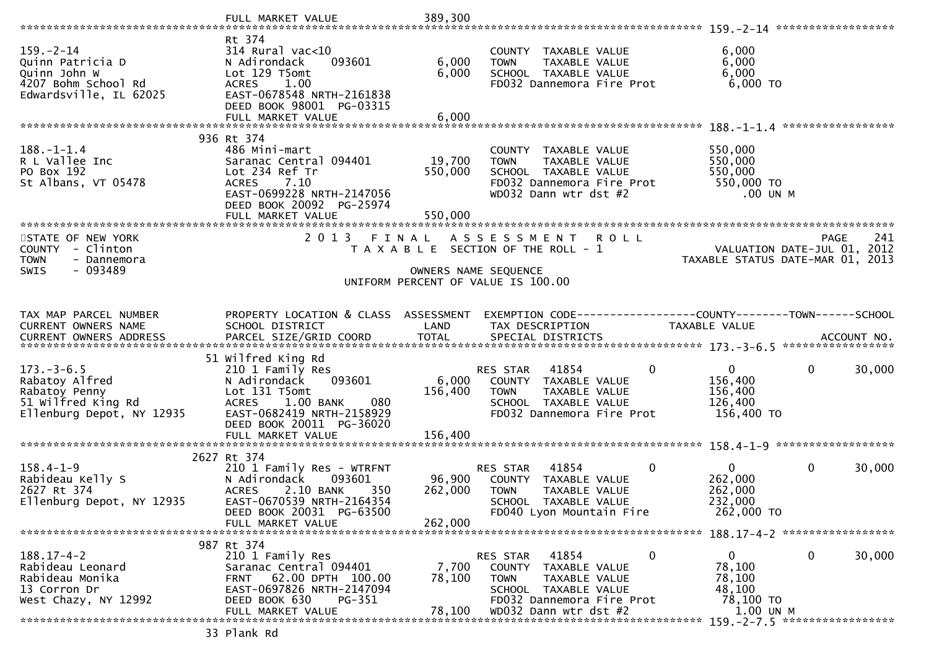|                                                                                                      | FULL MARKET VALUE                                                                                                                                        | 389,300        |                                                                                                           |                                                              |
|------------------------------------------------------------------------------------------------------|----------------------------------------------------------------------------------------------------------------------------------------------------------|----------------|-----------------------------------------------------------------------------------------------------------|--------------------------------------------------------------|
|                                                                                                      |                                                                                                                                                          |                |                                                                                                           |                                                              |
| $159. - 2 - 14$<br>Quinn Patricia D<br>Quinn John W<br>4207 Bohm School Rd<br>Edwardsville, IL 62025 | Rt 374<br>$314$ Rural vac<10<br>N Adirondack<br>093601<br>Lot 129 T5omt<br>1.00<br><b>ACRES</b><br>EAST-0678548 NRTH-2161838<br>DEED BOOK 98001 PG-03315 | 6,000<br>6,000 | COUNTY TAXABLE VALUE<br>TAXABLE VALUE<br><b>TOWN</b><br>SCHOOL TAXABLE VALUE<br>FD032 Dannemora Fire Prot | 6,000<br>6,000<br>6,000<br>6,000 TO                          |
|                                                                                                      | FULL MARKET VALUE                                                                                                                                        | 6,000          |                                                                                                           |                                                              |
|                                                                                                      |                                                                                                                                                          |                |                                                                                                           |                                                              |
|                                                                                                      | 936 Rt 374                                                                                                                                               |                |                                                                                                           |                                                              |
| $188. - 1 - 1.4$                                                                                     | 486 Mini-mart                                                                                                                                            |                | COUNTY TAXABLE VALUE                                                                                      | 550,000                                                      |
| R L Vallee Inc                                                                                       | Saranac Central 094401                                                                                                                                   | 19,700         | TAXABLE VALUE<br><b>TOWN</b>                                                                              | 550,000                                                      |
| PO Box 192<br>St Albans, VT 05478                                                                    | Lot 234 Ref Tr<br>7.10<br><b>ACRES</b>                                                                                                                   | 550,000        | SCHOOL TAXABLE VALUE<br>FD032 Dannemora Fire Prot                                                         | 550,000<br>550,000 TO                                        |
|                                                                                                      | EAST-0699228 NRTH-2147056                                                                                                                                |                | WD032 Dann wtr dst #2                                                                                     | .00 UN M                                                     |
|                                                                                                      | DEED BOOK 20092 PG-25974                                                                                                                                 |                |                                                                                                           |                                                              |
|                                                                                                      | FULL MARKET VALUE                                                                                                                                        | 550,000        |                                                                                                           |                                                              |
|                                                                                                      |                                                                                                                                                          |                |                                                                                                           |                                                              |
| STATE OF NEW YORK                                                                                    | 2013 FINAL                                                                                                                                               |                | ASSESSMENT ROLL                                                                                           | 241<br>PAGE                                                  |
| COUNTY - Clinton                                                                                     |                                                                                                                                                          |                | T A X A B L E SECTION OF THE ROLL - 1                                                                     | VALUATION DATE-JUL 01, 2012                                  |
| <b>TOWN</b><br>- Dannemora<br>SWIS<br>- 093489                                                       |                                                                                                                                                          |                | OWNERS NAME SEQUENCE                                                                                      | TAXABLE STATUS DATE-MAR 01, 2013                             |
|                                                                                                      |                                                                                                                                                          |                | UNIFORM PERCENT OF VALUE IS 100.00                                                                        |                                                              |
|                                                                                                      |                                                                                                                                                          |                |                                                                                                           |                                                              |
|                                                                                                      |                                                                                                                                                          |                |                                                                                                           |                                                              |
| TAX MAP PARCEL NUMBER                                                                                | PROPERTY LOCATION & CLASS ASSESSMENT                                                                                                                     |                |                                                                                                           | EXEMPTION CODE-----------------COUNTY-------TOWN------SCHOOL |
| CURRENT OWNERS NAME                                                                                  | SCHOOL DISTRICT                                                                                                                                          | LAND           | TAX DESCRIPTION                                                                                           | TAXABLE VALUE                                                |
|                                                                                                      |                                                                                                                                                          |                |                                                                                                           |                                                              |
|                                                                                                      | 51 Wilfred King Rd                                                                                                                                       |                |                                                                                                           |                                                              |
| $173. - 3 - 6.5$                                                                                     | 210 1 Family Res                                                                                                                                         |                | $\Omega$<br>RES STAR<br>41854                                                                             | $\overline{0}$<br>$\mathbf{0}$<br>30,000                     |
| Rabatoy Alfred                                                                                       | 093601<br>N Adirondack                                                                                                                                   | 6,000          | COUNTY TAXABLE VALUE                                                                                      | 156,400                                                      |
| Rabatoy Penny                                                                                        | Lot 131 T5omt                                                                                                                                            | 156,400        | TAXABLE VALUE<br><b>TOWN</b>                                                                              | 156,400                                                      |
| 51 Wilfred King Rd<br>Ellenburg Depot, NY 12935                                                      | <b>ACRES</b><br>1.00 BANK<br>080<br>EAST-0682419 NRTH-2158929                                                                                            |                | SCHOOL TAXABLE VALUE<br>FD032 Dannemora Fire Prot                                                         | 126,400<br>156,400 TO                                        |
|                                                                                                      | DEED BOOK 20011 PG-36020                                                                                                                                 |                |                                                                                                           |                                                              |
|                                                                                                      |                                                                                                                                                          |                |                                                                                                           |                                                              |
|                                                                                                      |                                                                                                                                                          |                |                                                                                                           |                                                              |
|                                                                                                      |                                                                                                                                                          |                |                                                                                                           |                                                              |
|                                                                                                      | 2627 Rt 374                                                                                                                                              |                |                                                                                                           |                                                              |
| $158.4 - 1 - 9$                                                                                      | 210 1 Family Res - WTRFNT                                                                                                                                |                | 41854<br>$\mathbf{0}$<br>RES STAR                                                                         | $\overline{0}$<br>$\mathbf 0$<br>30,000                      |
| Rabideau Kelly S                                                                                     | N Adirondack<br>093601                                                                                                                                   | 96,900         | COUNTY TAXABLE VALUE                                                                                      | 262,000                                                      |
| 2627 Rt 374                                                                                          | 2.10 BANK<br><b>ACRES</b><br>350                                                                                                                         | 262,000        | <b>TOWN</b><br>TAXABLE VALUE                                                                              | 262,000                                                      |
| Ellenburg Depot, NY 12935                                                                            | EAST-0670539 NRTH-2164354                                                                                                                                |                | SCHOOL TAXABLE VALUE                                                                                      | 232,000                                                      |
|                                                                                                      | DEED BOOK 20031 PG-63500<br>FULL MARKET VALUE                                                                                                            | 262,000        | FD040 Lyon Mountain Fire                                                                                  | 262,000 TO                                                   |
|                                                                                                      |                                                                                                                                                          |                |                                                                                                           |                                                              |
|                                                                                                      | 987 Rt 374                                                                                                                                               |                |                                                                                                           |                                                              |
| $188.17 - 4 - 2$                                                                                     | 210 1 Family Res                                                                                                                                         |                | $\mathbf 0$<br>41854<br>RES STAR                                                                          | $\mathbf{0}$<br>0<br>30,000                                  |
| Rabideau Leonard                                                                                     | Saranac Central 094401                                                                                                                                   | 7,700          | TAXABLE VALUE<br>COUNTY                                                                                   | 78,100                                                       |
| Rabideau Monika                                                                                      | 62.00 DPTH 100.00<br>FRNT                                                                                                                                | 78,100         | <b>TOWN</b><br>TAXABLE VALUE                                                                              | 78,100                                                       |
| 13 Corron Dr                                                                                         | EAST-0697826 NRTH-2147094<br>DEED BOOK 630<br>PG-351                                                                                                     |                | SCHOOL TAXABLE VALUE<br>FD032 Dannemora Fire Prot                                                         | 48,100<br>78,100 TO                                          |
| West Chazy, NY 12992                                                                                 | FULL MARKET VALUE                                                                                                                                        | 78,100         | WD032 Dann wtr dst #2                                                                                     | 1.00 UN M<br>159. - 2 - 7.5 ******************               |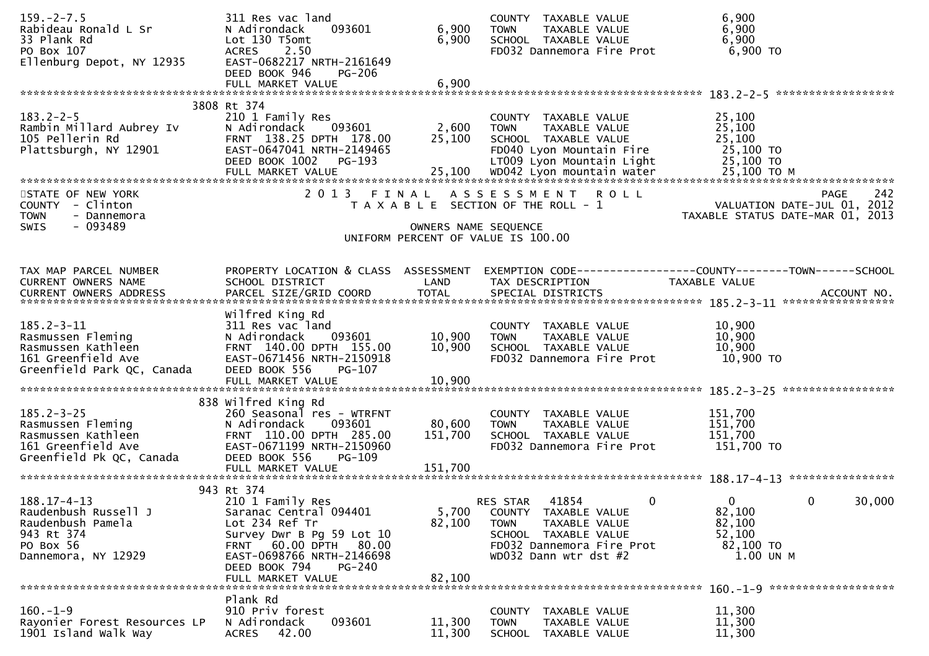| $159. - 2 - 7.5$<br>Rabideau Ronald L Sr<br>33 Plank Rd<br>PO Box 107<br>Ellenburg Depot, NY 12935               | 311 Res vac land<br>093601<br>N Adirondack<br>Lot 130 T5omt<br>ACRES 2.50<br>EAST-0682217 NRTH-2161649<br>DEED BOOK 946<br><b>PG-206</b>                                                                       | 6,900<br>6,900                | COUNTY TAXABLE VALUE<br>TAXABLE VALUE<br><b>TOWN</b><br>SCHOOL TAXABLE VALUE<br>FD032 Dannemora Fire Prot                                                           | 6,900<br>6,900<br>6,900<br>6,900 TO                                                            |
|------------------------------------------------------------------------------------------------------------------|----------------------------------------------------------------------------------------------------------------------------------------------------------------------------------------------------------------|-------------------------------|---------------------------------------------------------------------------------------------------------------------------------------------------------------------|------------------------------------------------------------------------------------------------|
|                                                                                                                  | FULL MARKET VALUE                                                                                                                                                                                              | 6,900                         |                                                                                                                                                                     |                                                                                                |
| $183.2 - 2 - 5$<br>Rambin Millard Aubrey Iv<br>105 Pellerin Rd<br>Plattsburgh, NY 12901                          | 3808 Rt 374<br>210 1 Family Res<br>093601<br>N Adirondack<br>FRNT 138.25 DPTH 178.00<br>EAST-0647041 NRTH-2149465<br>DEED BOOK 1002<br>PG-193                                                                  | 2,600<br>25,100               | COUNTY TAXABLE VALUE<br>TAXABLE VALUE<br><b>TOWN</b><br>SCHOOL TAXABLE VALUE<br>FD040 Lyon Mountain Fire<br>LT009 Lyon Mountain Light                               | 25,100<br>25,100<br>25,100<br>25,100 TO<br>25,100 TO                                           |
| STATE OF NEW YORK<br>COUNTY - Clinton<br><b>TOWN</b><br>- Dannemora<br><b>SWIS</b><br>- 093489                   | 2 0 1 3                                                                                                                                                                                                        | FINAL<br>OWNERS NAME SEQUENCE | ASSESSMENT ROLL<br>T A X A B L E SECTION OF THE ROLL - 1                                                                                                            | 242<br><b>PAGE</b><br>VALUATION DATE-JUL 01, 2012<br>TAXABLE STATUS DATE-MAR 01, 2013          |
|                                                                                                                  |                                                                                                                                                                                                                |                               | UNIFORM PERCENT OF VALUE IS 100.00                                                                                                                                  |                                                                                                |
| TAX MAP PARCEL NUMBER<br>CURRENT OWNERS NAME<br>CURRENT OWNERS ADDRESS                                           | PROPERTY LOCATION & CLASS ASSESSMENT<br>SCHOOL DISTRICT<br>PARCEL SIZE/GRID COORD                                                                                                                              | LAND<br><b>TOTAL</b>          | TAX DESCRIPTION<br>SPECIAL DISTRICTS                                                                                                                                | EXEMPTION CODE------------------COUNTY--------TOWN------SCHOOL<br>TAXABLE VALUE<br>ACCOUNT NO. |
| $185.2 - 3 - 11$<br>Rasmussen Fleming<br>Rasmussen Kathleen<br>161 Greenfield Ave<br>Greenfield Park QC, Canada  | Wilfred King Rd<br>311 Res vac land<br>N Adirondack<br>093601<br>FRNT 140.00 DPTH 155.00<br>EAST-0671456 NRTH-2150918<br>DEED BOOK 556<br>PG-107<br>FULL MARKET VALUE                                          | 10,900<br>10,900<br>10,900    | COUNTY TAXABLE VALUE<br>TAXABLE VALUE<br><b>TOWN</b><br>SCHOOL TAXABLE VALUE<br>FD032 Dannemora Fire Prot                                                           | 10,900<br>10,900<br>10,900<br>10,900 TO                                                        |
| $185.2 - 3 - 25$<br>Rasmussen Fleming<br>Rasmussen Kathleen<br>161 Greenfield Ave<br>Greenfield Pk QC, Canada    | 838 Wilfred King Rd<br>260 Seasonal res - WTRFNT<br>093601<br>N Adirondack<br>FRNT 110.00 DPTH 285.00<br>EAST-0671199 NRTH-2150960<br>DEED BOOK 556<br>$PG-109$                                                | 80,600<br>151,700             | COUNTY TAXABLE VALUE<br>TAXABLE VALUE<br><b>TOWN</b><br>SCHOOL TAXABLE VALUE<br>FD032 Dannemora Fire Prot                                                           | 151,700<br>151,700<br>151,700<br>151,700 TO                                                    |
|                                                                                                                  | 943 Rt 374                                                                                                                                                                                                     |                               |                                                                                                                                                                     |                                                                                                |
| $188.17 - 4 - 13$<br>Raudenbush Russell J<br>Raudenbush Pamela<br>943 Rt 374<br>PO Box 56<br>Dannemora, NY 12929 | 210 1 Family Res<br>Saranac Central 094401<br>Lot 234 Ref Tr<br>Survey Dwr B Pg 59 Lot 10<br>60.00 DPTH<br>80.00<br><b>FRNT</b><br>EAST-0698766 NRTH-2146698<br>DEED BOOK 794<br>$PG-240$<br>FULL MARKET VALUE | 5,700<br>82,100<br>82.100     | 0<br>41854<br><b>RES STAR</b><br>COUNTY TAXABLE VALUE<br><b>TOWN</b><br>TAXABLE VALUE<br>SCHOOL TAXABLE VALUE<br>FD032 Dannemora Fire Prot<br>WD032 Dann wtr dst #2 | $\mathbf{0}$<br>$\mathbf 0$<br>30,000<br>82,100<br>82,100<br>52,100<br>82,100 TO<br>1.00 UN M  |
|                                                                                                                  | Plank Rd                                                                                                                                                                                                       |                               |                                                                                                                                                                     |                                                                                                |
| $160. - 1 - 9$<br>Rayonier Forest Resources LP<br>1901 Island Walk Way                                           | 910 Priv forest<br>093601<br>N Adirondack<br>42.00<br><b>ACRES</b>                                                                                                                                             | 11,300<br>11,300              | COUNTY<br>TAXABLE VALUE<br><b>TOWN</b><br>TAXABLE VALUE<br><b>SCHOOL</b><br>TAXABLE VALUE                                                                           | 11,300<br>11,300<br>11,300                                                                     |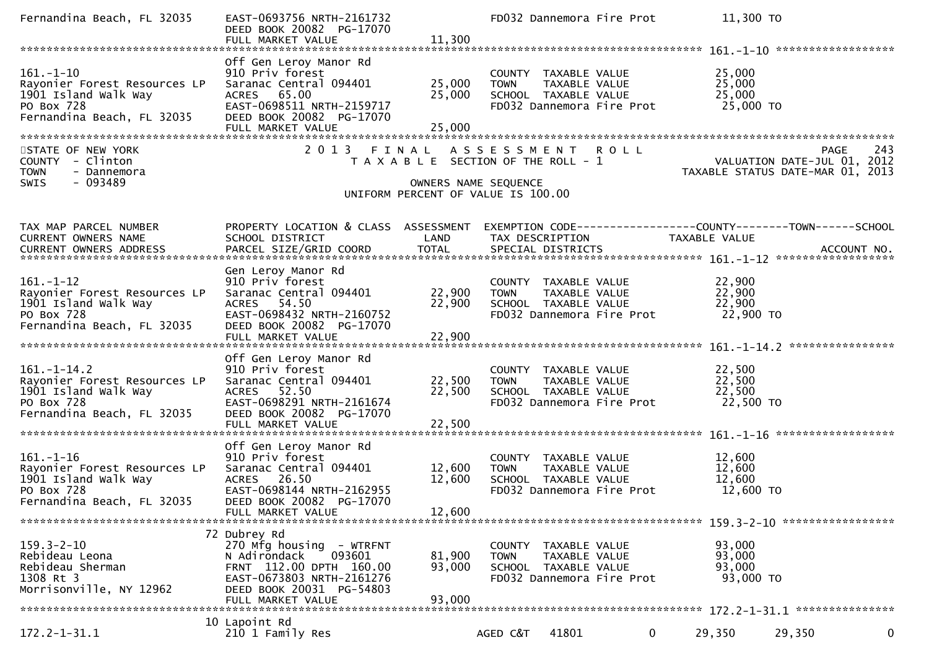| Fernandina Beach, FL 32035                                                                                            | EAST-0693756 NRTH-2161732<br>DEED BOOK 20082 PG-17070<br>FULL MARKET VALUE                                                                                                  | 11,300                        | FD032 Dannemora Fire Prot                                                                                  |   | 11,300 TO                                                                                                        |   |
|-----------------------------------------------------------------------------------------------------------------------|-----------------------------------------------------------------------------------------------------------------------------------------------------------------------------|-------------------------------|------------------------------------------------------------------------------------------------------------|---|------------------------------------------------------------------------------------------------------------------|---|
| $161. - 1 - 10$<br>Rayonier Forest Resources LP<br>1901 Island Walk Way<br>PO Box 728<br>Fernandina Beach, FL 32035   | Off Gen Leroy Manor Rd<br>910 Priv forest<br>Saranac Central 094401<br>65.00<br><b>ACRES</b><br>EAST-0698511 NRTH-2159717<br>DEED BOOK 20082 PG-17070<br>FULL MARKET VALUE  | 25,000<br>25,000<br>25,000    | COUNTY TAXABLE VALUE<br><b>TOWN</b><br>TAXABLE VALUE<br>SCHOOL TAXABLE VALUE<br>FD032 Dannemora Fire Prot  |   | 25,000<br>25,000<br>25,000<br>25,000 TO                                                                          |   |
| STATE OF NEW YORK<br>COUNTY - Clinton<br>- Dannemora<br><b>TOWN</b><br>$-093489$<br><b>SWIS</b>                       | 2 0 1 3                                                                                                                                                                     | FINAL<br>OWNERS NAME SEQUENCE | A S S E S S M E N T R O L L<br>T A X A B L E SECTION OF THE ROLL - 1<br>UNIFORM PERCENT OF VALUE IS 100.00 |   | PAGE 243<br>VALUATION DATE-JUL 01, 2012<br>TAXARLE STATUE DATE USE 101, 2012<br>TAXABLE STATUS DATE-MAR 01, 2013 |   |
| TAX MAP PARCEL NUMBER<br>CURRENT OWNERS NAME                                                                          | PROPERTY LOCATION & CLASS ASSESSMENT<br>SCHOOL DISTRICT                                                                                                                     | LAND                          | TAX DESCRIPTION                                                                                            |   | EXEMPTION CODE-----------------COUNTY--------TOWN-----SCHOOL<br>TAXABLE VALUE                                    |   |
| $161. - 1 - 12$<br>Rayonier Forest Resources LP<br>1901 Island Walk Way<br>PO Box 728<br>Fernandina Beach, FL 32035   | Gen Leroy Manor Rd<br>910 Priv forest<br>Saranac Central 094401<br>ACRES 54.50<br>EAST-0698432 NRTH-2160752<br>DEED BOOK 20082 PG-17070<br>FULL MARKET VALUE                | 22,900<br>22,900<br>22,900    | COUNTY TAXABLE VALUE<br><b>TOWN</b><br>TAXABLE VALUE<br>SCHOOL TAXABLE VALUE<br>FD032 Dannemora Fire Prot  |   | 22,900<br>22,900<br>22,900<br>22,900 TO                                                                          |   |
| $161. - 1 - 14.2$<br>Rayonier Forest Resources LP<br>1901 Island Walk Way<br>PO Box 728<br>Fernandina Beach, FL 32035 | Off Gen Leroy Manor Rd<br>910 Priv forest<br>Saranac Central 094401<br>ACRES 52.50<br>EAST-0698291 NRTH-2161674<br>DEED BOOK 20082 PG-17070                                 | 22,500<br>22,500              | COUNTY TAXABLE VALUE<br><b>TOWN</b><br>TAXABLE VALUE<br>SCHOOL TAXABLE VALUE<br>FD032 Dannemora Fire Prot  |   | 22,500<br>22,500<br>22,500<br>22,500 TO                                                                          |   |
| $161. - 1 - 16$<br>Rayonier Forest Resources LP<br>1901 Island Walk Way<br>PO Box 728<br>Fernandina Beach, FL 32035   | Off Gen Leroy Manor Rd<br>910 Priv forest<br>Saranac Central 094401<br>ACRES 26.50<br>EAST-0698144 NRTH-2162955<br>DEED BOOK 20082 PG-17070<br>FULL MARKET VALUE            | 12,600<br>12,600<br>12,600    | COUNTY TAXABLE VALUE<br><b>TOWN</b><br>TAXABLE VALUE<br>SCHOOL TAXABLE VALUE<br>FD032 Dannemora Fire Prot  |   | 12,600<br>12,600<br>12,600<br>12,600 TO                                                                          |   |
| $159.3 - 2 - 10$<br>Rebideau Leona<br>Rebideau Sherman<br>1308 Rt 3<br>Morrisonville, NY 12962                        | 72 Dubrey Rd<br>270 Mfg housing - WTRFNT<br>093601<br>N Adirondack<br>FRNT 112.00 DPTH 160.00<br>EAST-0673803 NRTH-2161276<br>DEED BOOK 20031 PG-54803<br>FULL MARKET VALUE | 81,900<br>93,000<br>93,000    | COUNTY TAXABLE VALUE<br><b>TOWN</b><br>TAXABLE VALUE<br>SCHOOL TAXABLE VALUE<br>FD032 Dannemora Fire Prot  |   | 93,000<br>93,000<br>93,000<br>93,000 TO                                                                          |   |
| 172.2-1-31.1                                                                                                          | 10 Lapoint Rd<br>210 1 Family Res                                                                                                                                           |                               | 41801<br>AGED C&T                                                                                          | 0 | 29,350<br>29,350                                                                                                 | 0 |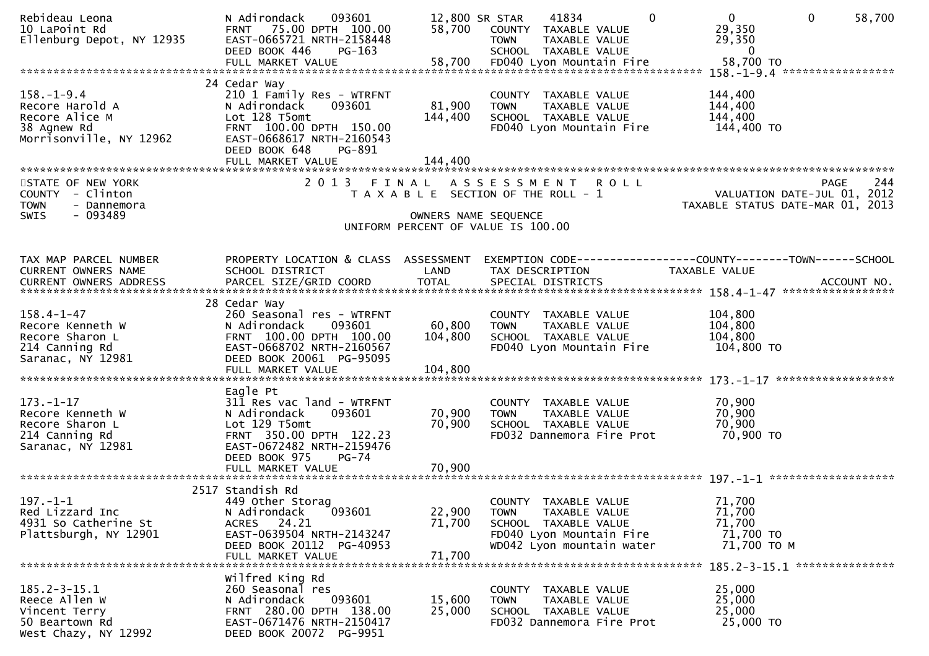| Rebideau Leona<br>10 LaPoint Rd<br>Ellenburg Depot, NY 12935                                    | N Adirondack<br>093601<br>FRNT 75.00 DPTH 100.00<br>EAST-0665721 NRTH-2158448<br>DEED BOOK 446<br>$PG-163$                                                                                     | 12,800 SR STAR<br>58,700      | $\mathbf{0}$<br>41834<br>COUNTY TAXABLE VALUE<br>TAXABLE VALUE<br><b>TOWN</b><br>SCHOOL TAXABLE VALUE                                 | $\mathbf 0$<br>$\mathbf 0$<br>58,700<br>29,350<br>29,350<br>$\bf{0}$                    |     |
|-------------------------------------------------------------------------------------------------|------------------------------------------------------------------------------------------------------------------------------------------------------------------------------------------------|-------------------------------|---------------------------------------------------------------------------------------------------------------------------------------|-----------------------------------------------------------------------------------------|-----|
| $158. - 1 - 9.4$<br>Recore Harold A<br>Recore Alice M<br>38 Agnew Rd<br>Morrisonville, NY 12962 | 24 Cedar Way<br>210 1 Family Res - WTRFNT<br>N Adirondack<br>093601<br>Lot 128 T5omt<br>FRNT 100.00 DPTH 150.00<br>EAST-0668617 NRTH-2160543<br>DEED BOOK 648<br>PG-891<br>FULL MARKET VALUE   | 81,900<br>144,400<br>144,400  | COUNTY TAXABLE VALUE<br><b>TOWN</b><br>TAXABLE VALUE<br>SCHOOL TAXABLE VALUE<br>FD040 Lyon Mountain Fire                              | 144,400<br>144,400<br>144,400<br>144,400 TO                                             |     |
| STATE OF NEW YORK<br>COUNTY - Clinton<br><b>TOWN</b><br>- Dannemora<br>- 093489<br><b>SWIS</b>  | 2 0 1 3                                                                                                                                                                                        | FINAL<br>OWNERS NAME SEQUENCE | A S S E S S M E N T R O L L<br>T A X A B L E SECTION OF THE ROLL - 1<br>UNIFORM PERCENT OF VALUE IS 100.00                            | PAGE<br>VALUATION DATE-JUL 01, 2012<br>TAXABLE STATUS DATE-MAR 01, 2013                 | 244 |
| TAX MAP PARCEL NUMBER<br>CURRENT OWNERS NAME                                                    | PROPERTY LOCATION & CLASS ASSESSMENT<br>SCHOOL DISTRICT                                                                                                                                        | LAND                          | TAX DESCRIPTION                                                                                                                       | EXEMPTION        CODE------------------COUNTY-------TOWN------SCHOOL<br>TAXABLE VALUE   |     |
| $158.4 - 1 - 47$<br>Recore Kenneth W<br>Recore Sharon L<br>214 Canning Rd<br>Saranac, NY 12981  | 28 Cedar Way<br>260 Seasonal res - WTRFNT<br>N Adirondack<br>093601<br>FRNT 100.00 DPTH 100.00<br>EAST-0668702 NRTH-2160567<br>DEED BOOK 20061 PG-95095<br>FULL MARKET VALUE                   | 60,800<br>104,800<br>104,800  | COUNTY TAXABLE VALUE<br>TAXABLE VALUE<br><b>TOWN</b><br>SCHOOL TAXABLE VALUE<br>FD040 Lyon Mountain Fire                              | 104,800<br>104,800<br>104,800<br>104,800 TO                                             |     |
| $173. - 1 - 17$<br>Recore Kenneth W<br>Recore Sharon L<br>214 Canning Rd<br>Saranac, NY 12981   | Eagle Pt<br>311 Res vac land - WTRFNT<br>093601<br>N Adirondack<br>Lot 129 T5omt<br>FRNT 350.00 DPTH 122.23<br>EAST-0672482 NRTH-2159476<br>DEED BOOK 975<br><b>PG-74</b><br>FULL MARKET VALUE | 70,900<br>70,900<br>70,900    | COUNTY TAXABLE VALUE<br><b>TOWN</b><br>TAXABLE VALUE<br>SCHOOL TAXABLE VALUE<br>FD032 Dannemora Fire Prot                             | 70,900<br>70,900<br>70,900<br>70,900 TO                                                 |     |
| $197. - 1 - 1$<br>Red Lizzard Inc<br>4931 So Catherine St<br>Plattsburgh, NY 12901              | 2517 Standish Rd<br>449 Other Storag<br>093601<br>N Adirondack<br>ACRES 24.21<br>EAST-0639504 NRTH-2143247<br>DEED BOOK 20112 PG-40953<br>FULL MARKET VALUE                                    | 22,900<br>71,700<br>71,700    | COUNTY TAXABLE VALUE<br><b>TOWN</b><br>TAXABLE VALUE<br>SCHOOL TAXABLE VALUE<br>FD040 Lyon Mountain Fire<br>WD042 Lyon mountain water | 71,700<br>71,700<br>71,700<br>71,700 TO<br>71,700 TO M<br>185.2-3-15.1 **************** |     |
| $185.2 - 3 - 15.1$<br>Reece Allen W<br>Vincent Terry<br>50 Beartown Rd<br>West Chazy, NY 12992  | Wilfred King Rd<br>260 Seasonal res<br>N Adirondack<br>093601<br>FRNT 280.00 DPTH 138.00<br>EAST-0671476 NRTH-2150417<br>DEED BOOK 20072 PG-9951                                               | 15,600<br>25,000              | COUNTY TAXABLE VALUE<br>TAXABLE VALUE<br><b>TOWN</b><br>SCHOOL TAXABLE VALUE<br>FD032 Dannemora Fire Prot                             | 25,000<br>25,000<br>25,000<br>25,000 TO                                                 |     |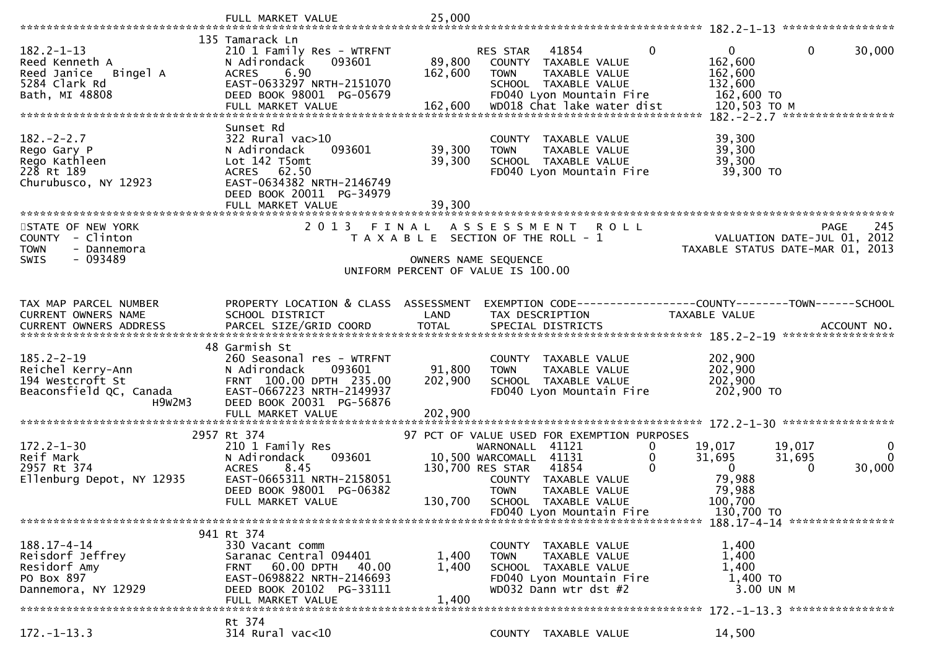|                                                                                                                                                                                       | FULL MARKET VALUE                                                                                                                                                             | 25,000                       |                                                                                                                                              |                                                                          |                                                                             |                                                                                       |
|---------------------------------------------------------------------------------------------------------------------------------------------------------------------------------------|-------------------------------------------------------------------------------------------------------------------------------------------------------------------------------|------------------------------|----------------------------------------------------------------------------------------------------------------------------------------------|--------------------------------------------------------------------------|-----------------------------------------------------------------------------|---------------------------------------------------------------------------------------|
| $182.2 - 1 - 13$<br>Reed Kenneth A<br>Reed Janice<br>Bingel A<br>5284 Clark Rd<br>Bath, MI 48808                                                                                      | 135 Tamarack Ln<br>210 1 Family Res - WTRFNT<br>093601<br>N Adirondack<br>6.90<br><b>ACRES</b><br>EAST-0633297 NRTH-2151070<br>DEED BOOK 98001 PG-05679<br>FULL MARKET VALUE  | 89,800<br>162,600<br>162,600 | 41854<br><b>RES STAR</b><br><b>COUNTY</b><br><b>TOWN</b><br>SCHOOL TAXABLE VALUE<br>FD040 Lyon Mountain Fire                                 | $\Omega$<br>TAXABLE VALUE<br>TAXABLE VALUE<br>WD018 Chat lake water dist | $\mathbf{0}$<br>162,600<br>162,600<br>132,600<br>162,600 TO<br>120,503 TO M | $\mathbf{0}$<br>30,000<br>$182. -2 - 2.7$ ******************                          |
| $182 - 2 - 2.7$<br>Rego Gary P<br>Rego Kathleen<br>228 Rt 189<br>Churubusco, NY 12923                                                                                                 | Sunset Rd<br>$322$ Rural vac $>10$<br>093601<br>N Adirondack<br>Lot 142 T5omt<br>ACRES 62.50<br>EAST-0634382 NRTH-2146749<br>DEED BOOK 20011 PG-34979<br>FULL MARKET VALUE    | 39,300<br>39,300<br>39,300   | COUNTY TAXABLE VALUE<br><b>TOWN</b><br>SCHOOL TAXABLE VALUE                                                                                  | TAXABLE VALUE<br>FD040 Lyon Mountain Fire                                | 39,300<br>39,300<br>39,300<br>39,300 TO                                     |                                                                                       |
| STATE OF NEW YORK<br>COUNTY - Clinton<br><b>TOWN</b><br>- Dannemora<br>- 093489<br>SWIS                                                                                               | 2 0 1 3                                                                                                                                                                       | FINAL                        | ASSESSMENT ROLL<br>T A X A B L E SECTION OF THE ROLL - 1<br>OWNERS NAME SEQUENCE<br>UNIFORM PERCENT OF VALUE IS 100.00                       |                                                                          |                                                                             | 245<br><b>PAGE</b><br>VALUATION DATE-JUL 01, 2012<br>TAXABLE STATUS DATE-MAR 01, 2013 |
| TAX MAP PARCEL NUMBER<br><b>CURRENT OWNERS NAME</b><br>.4CCOUNT NO . PARCEL SIZE/GRID COORD TOTAL SPECIAL DISTRICTS SPERE TREAD BELOCOUNT NO . ACCOUNT NO . AND RESERT OWNERS ADDRESS | PROPERTY LOCATION & CLASS ASSESSMENT<br>SCHOOL DISTRICT                                                                                                                       | LAND                         | TAX DESCRIPTION                                                                                                                              |                                                                          | TAXABLE VALUE                                                               | EXEMPTION CODE------------------COUNTY--------TOWN------SCHOOL                        |
| $185.2 - 2 - 19$<br>Reichel Kerry-Ann<br>194 Westcroft St<br>Beaconsfield QC, Canada<br>H9w2M3                                                                                        | 48 Garmish St<br>260 Seasonal res - WTRFNT<br>N Adirondack<br>093601<br>FRNT 100.00 DPTH 235.00<br>EAST-0667223 NRTH-2149937<br>DEED BOOK 20031 PG-56876<br>FULL MARKET VALUE | 91,800<br>202,900<br>202,900 | COUNTY TAXABLE VALUE<br><b>TOWN</b><br>SCHOOL TAXABLE VALUE<br>FD040 Lyon Mountain Fire                                                      | TAXABLE VALUE                                                            | 202,900<br>202,900<br>202,900<br>202,900 TO                                 |                                                                                       |
| $172.2 - 1 - 30$<br>Reif Mark<br>2957 Rt 374                                                                                                                                          | 2957 Rt 374<br>210 1 Family Res<br>093601<br>N Adirondack                                                                                                                     |                              | 97 PCT OF VALUE USED FOR EXEMPTION PURPOSES<br>41121<br>WARNONALL<br>10,500 WARCOMALL<br>41131                                               | 0<br>0                                                                   | 19,017<br>31,695                                                            | 19.017<br>0                                                                           |
| Ellenburg Depot, NY 12935                                                                                                                                                             | 8.45<br><b>ACRES</b><br>EAST-0665311 NRTH-2158051<br>DEED BOOK 98001 PG-06382<br>FULL MARKET VALUE                                                                            | 130,700                      | 130,700 RES STAR<br>41854<br>COUNTY TAXABLE VALUE<br><b>TOWN</b><br>SCHOOL TAXABLE VALUE                                                     | $\Omega$<br>TAXABLE VALUE                                                | $\Omega$<br>79,988<br>79,988<br>100,700                                     | 31,695<br>$\Omega$<br>30,000<br>$\Omega$                                              |
| $188.17 - 4 - 14$<br>Reisdorf Jeffrey<br>Residorf Amy<br>PO Box 897<br>Dannemora, NY 12929                                                                                            | 941 Rt 374<br>330 Vacant comm<br>Saranac Central 094401<br>60.00 DPTH<br>- 40.00<br><b>FRNT</b><br>EAST-0698822 NRTH-2146693<br>DEED BOOK 20102 PG-33111<br>FULL MARKET VALUE | 1,400<br>1,400<br>1.400      | FD040 Lyon Mountain Fire<br>COUNTY TAXABLE VALUE<br><b>TOWN</b><br>SCHOOL TAXABLE VALUE<br>FD040 Lyon Mountain Fire<br>WD032 Dann wtr dst #2 | TAXABLE VALUE                                                            | 130,700 TO<br>1,400<br>1,400<br>1,400<br>1,400 TO<br>3.00 UN M              | 188.17-4-14 *****************<br>172. -1-13.3 *****************                       |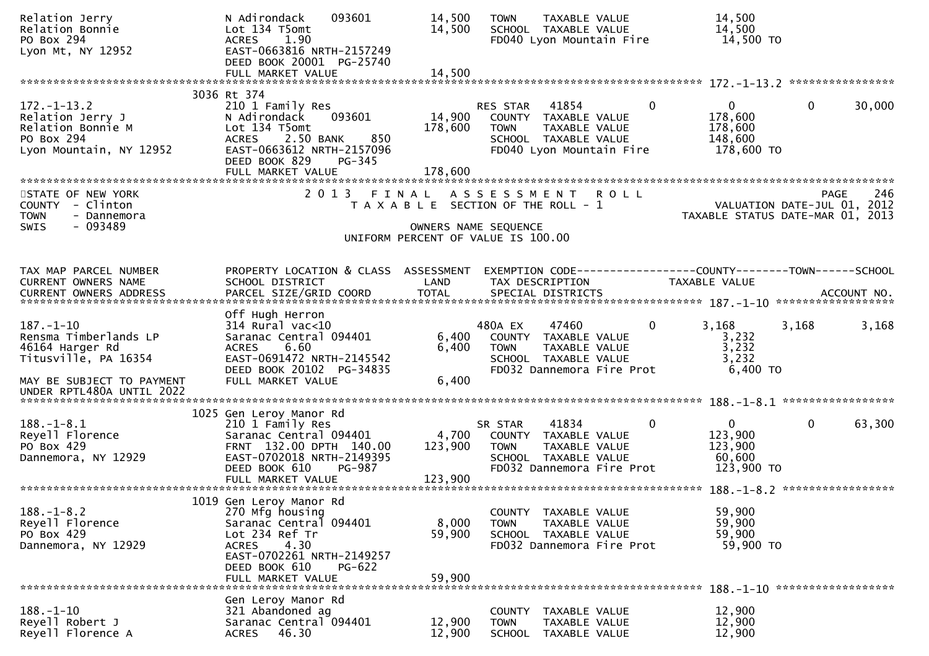| Relation Jerry<br>Relation Bonnie<br>PO Box 294<br>Lyon Mt, NY 12952                                | N Adirondack<br>093601<br>Lot 134 T5omt<br>1.90<br><b>ACRES</b><br>EAST-0663816 NRTH-2157249                                                            | 14,500<br>14,500  | <b>TOWN</b><br>TAXABLE VALUE<br>SCHOOL TAXABLE VALUE<br>FD040 Lyon Mountain Fire                                              |                | 14,500<br>14,500<br>14,500 TO                                   |              |             |
|-----------------------------------------------------------------------------------------------------|---------------------------------------------------------------------------------------------------------------------------------------------------------|-------------------|-------------------------------------------------------------------------------------------------------------------------------|----------------|-----------------------------------------------------------------|--------------|-------------|
|                                                                                                     | DEED BOOK 20001 PG-25740                                                                                                                                |                   |                                                                                                                               |                |                                                                 |              |             |
|                                                                                                     | FULL MARKET VALUE                                                                                                                                       | 14,500            |                                                                                                                               |                |                                                                 |              |             |
|                                                                                                     | 3036 Rt 374                                                                                                                                             |                   |                                                                                                                               |                |                                                                 |              |             |
| $172. - 1 - 13.2$<br>Relation Jerry J<br>Relation Bonnie M<br>PO Box 294<br>Lyon Mountain, NY 12952 | 210 1 Family Res<br>093601<br>N Adirondack<br>Lot 134 T5omt<br>2.50 BANK<br>850<br><b>ACRES</b><br>EAST-0663612 NRTH-2157096<br>DEED BOOK 829<br>PG-345 | 14,900<br>178,600 | 41854<br>RES STAR<br>COUNTY TAXABLE VALUE<br><b>TOWN</b><br>TAXABLE VALUE<br>SCHOOL TAXABLE VALUE<br>FD040 Lyon Mountain Fire | $\overline{0}$ | $\mathbf{0}$<br>178,600<br>178,600<br>148,600<br>178,600 TO     | $\mathbf{0}$ | 30,000      |
|                                                                                                     | FULL MARKET VALUE                                                                                                                                       | 178,600           |                                                                                                                               |                |                                                                 |              |             |
| STATE OF NEW YORK<br>COUNTY - Clinton<br>- Dannemora<br><b>TOWN</b><br>SWIS<br>$-093489$            | 2 0 1 3                                                                                                                                                 | FINAL             | ASSESSMENT ROLL<br>T A X A B L E SECTION OF THE ROLL - 1<br>OWNERS NAME SEQUENCE                                              |                | VALUATION DATE-JUL 01, 2012<br>TAXABLE STATUS DATE-MAR 01, 2013 | <b>PAGE</b>  | 246         |
|                                                                                                     |                                                                                                                                                         |                   | UNIFORM PERCENT OF VALUE IS 100.00                                                                                            |                |                                                                 |              |             |
|                                                                                                     |                                                                                                                                                         |                   |                                                                                                                               |                |                                                                 |              |             |
| TAX MAP PARCEL NUMBER<br>CURRENT OWNERS NAME                                                        | PROPERTY LOCATION & CLASS ASSESSMENT<br>SCHOOL DISTRICT                                                                                                 | LAND              | EXEMPTION CODE-----------------COUNTY--------TOWN------SCHOOL<br>TAX DESCRIPTION                                              |                | <b>TAXABLE VALUE</b>                                            |              |             |
| <b>CURRENT OWNERS ADDRESS</b>                                                                       | PARCEL SIZE/GRID COORD                                                                                                                                  | <b>TOTAL</b>      | SPECIAL DISTRICTS                                                                                                             |                |                                                                 |              | ACCOUNT NO. |
|                                                                                                     | Off Hugh Herron                                                                                                                                         |                   |                                                                                                                               |                |                                                                 |              |             |
| $187. - 1 - 10$<br>Rensma Timberlands LP                                                            | $314$ Rural vac<10<br>Saranac Central 094401                                                                                                            | 6,400             | 47460<br>480A EX<br>COUNTY TAXABLE VALUE                                                                                      | 0              | 3,168<br>3,232                                                  | 3,168        | 3,168       |
| 46164 Harger Rd                                                                                     | 6.60<br><b>ACRES</b>                                                                                                                                    | 6,400             | TAXABLE VALUE<br><b>TOWN</b>                                                                                                  |                | 3,232                                                           |              |             |
| Titusville, PA 16354                                                                                | EAST-0691472 NRTH-2145542<br>DEED BOOK 20102 PG-34835                                                                                                   |                   | SCHOOL TAXABLE VALUE<br>FD032 Dannemora Fire Prot                                                                             |                | 3,232<br>6,400 TO                                               |              |             |
| MAY BE SUBJECT TO PAYMENT<br>UNDER RPTL480A UNTIL 2022                                              | FULL MARKET VALUE                                                                                                                                       | 6,400             |                                                                                                                               |                |                                                                 |              |             |
|                                                                                                     | 1025 Gen Leroy Manor Rd                                                                                                                                 |                   |                                                                                                                               |                |                                                                 |              |             |
| $188. - 1 - 8.1$<br>Reyell Florence<br>PO Box 429<br>Dannemora, NY 12929                            | 210 1 Family Res<br>Saranac Central 094401<br>FRNT 132.00 DPTH 140.00<br>EAST-0702018 NRTH-2149395                                                      | 4,700<br>123,900  | 41834<br>SR STAR<br>COUNTY TAXABLE VALUE<br><b>TOWN</b><br>TAXABLE VALUE<br>SCHOOL TAXABLE VALUE                              | $\mathbf 0$    | $\overline{0}$<br>123,900<br>123,900<br>60,600                  | $\mathbf{0}$ | 63,300      |
|                                                                                                     | DEED BOOK 610<br>PG-987<br>FULL MARKET VALUE                                                                                                            | 123,900           | FD032 Dannemora Fire Prot                                                                                                     |                | 123,900 TO                                                      |              |             |
|                                                                                                     | 1019 Gen Leroy Manor Rd                                                                                                                                 |                   |                                                                                                                               |                |                                                                 |              |             |
| $188. - 1 - 8.2$<br>Reyell Florence<br>PO Box 429<br>Dannemora, NY 12929                            | 270 Mfg housing<br>Saranac Central 094401<br>Lot 234 Ref Tr<br>4.30<br><b>ACRES</b>                                                                     | 8,000<br>59,900   | COUNTY TAXABLE VALUE<br>TAXABLE VALUE<br><b>TOWN</b><br>SCHOOL TAXABLE VALUE<br>FD032 Dannemora Fire Prot                     |                | 59,900<br>59,900<br>59,900<br>59,900 TO                         |              |             |
|                                                                                                     | EAST-0702261 NRTH-2149257<br>DEED BOOK 610<br><b>PG-622</b><br>FULL MARKET VALUE                                                                        | 59,900            |                                                                                                                               |                |                                                                 |              |             |
|                                                                                                     |                                                                                                                                                         |                   |                                                                                                                               |                | 188. -1-10 *******************                                  |              |             |
| $188. - 1 - 10$<br>Reyell Robert J<br>Reyell Florence A                                             | Gen Leroy Manor Rd<br>321 Abandoned ag<br>Saranac Central 094401<br><b>ACRES</b><br>46.30                                                               | 12,900<br>12,900  | COUNTY<br>TAXABLE VALUE<br><b>TOWN</b><br>TAXABLE VALUE<br>SCHOOL TAXABLE VALUE                                               |                | 12,900<br>12,900<br>12,900                                      |              |             |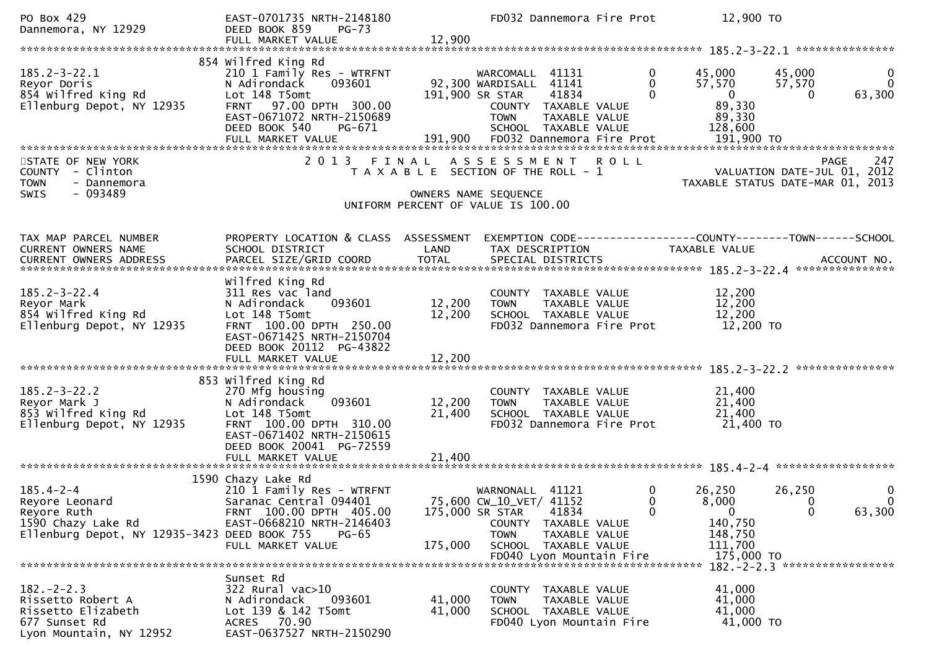| PO Box 429<br>Dannemora, NY 12929                                                                                      | EAST-0701735 NRTH-2148180<br>DEED BOOK 859<br>$PG-73$<br>FULL MARKET VALUE                                                                                                    | 12,900                                                                      |                                                                              | FD032 Dannemora Fire Prot                                                                  |             |                               | 12,900 TO                                                                                 |                                         |                                                                                |
|------------------------------------------------------------------------------------------------------------------------|-------------------------------------------------------------------------------------------------------------------------------------------------------------------------------|-----------------------------------------------------------------------------|------------------------------------------------------------------------------|--------------------------------------------------------------------------------------------|-------------|-------------------------------|-------------------------------------------------------------------------------------------|-----------------------------------------|--------------------------------------------------------------------------------|
|                                                                                                                        |                                                                                                                                                                               |                                                                             |                                                                              |                                                                                            |             |                               |                                                                                           |                                         |                                                                                |
| $185.2 - 3 - 22.1$<br>Reyor Doris<br>854 wilfred King Rd<br>Ellenburg Depot, NY 12935                                  | 854 Wilfred King Rd<br>210 1 Family Res - WTRFNT<br>N Adirondack<br>093601<br>Lot 148 T5omt<br>FRNT 97.00 DPTH 300.00<br>EAST-0671072 NRTH-2150689<br>DEED BOOK 540<br>PG-671 |                                                                             | WARCOMALL 41131<br>92,300 WARDISALL 41141<br>191,900 SR STAR<br><b>TOWN</b>  | 41834<br>COUNTY TAXABLE VALUE<br>TAXABLE VALUE<br>SCHOOL TAXABLE VALUE                     |             | 0<br>$\Omega$<br>$\mathbf{0}$ | 45,000<br>57,570<br>$\overline{0}$<br>89,330<br>89,330<br>128,600                         | 45,000<br>57,570<br>$\Omega$            | $\mathbf 0$<br>$\Omega$<br>63,300                                              |
| STATE OF NEW YORK<br>COUNTY - Clinton<br><b>TOWN</b><br>- Dannemora<br>$-093489$<br><b>SWIS</b>                        | 2013 FINAL                                                                                                                                                                    | T A X A B L E SECTION OF THE ROLL - 1<br>UNIFORM PERCENT OF VALUE IS 100.00 | A S S E S S M E N T<br>OWNERS NAME SEQUENCE                                  |                                                                                            | <b>ROLL</b> |                               |                                                                                           |                                         | 247<br>PAGE<br>VALUATION DATE-JUL 01, 2012<br>TAXABLE STATUS DATE-MAR 01, 2013 |
| TAX MAP PARCEL NUMBER<br>CURRENT OWNERS NAME                                                                           | PROPERTY LOCATION & CLASS ASSESSMENT<br>SCHOOL DISTRICT                                                                                                                       | LAND                                                                        |                                                                              | TAX DESCRIPTION                                                                            |             |                               | TAXABLE VALUE                                                                             |                                         | EXEMPTION CODE-----------------COUNTY-------TOWN------SCHOOL                   |
| $185.2 - 3 - 22.4$<br>Reyor Mark<br>854 wilfred King Rd<br>Ellenburg Depot, NY 12935                                   | Wilfred King Rd<br>311 Res vac land<br>093601<br>N Adirondack<br>Lot 148 T5omt<br>FRNT 100.00 DPTH 250.00<br>EAST-0671425 NRTH-2150704<br>DEED BOOK 20112 PG-43822            | 12,200<br>12,200                                                            | <b>TOWN</b>                                                                  | COUNTY TAXABLE VALUE<br>TAXABLE VALUE<br>SCHOOL TAXABLE VALUE<br>FD032 Dannemora Fire Prot |             |                               | 12,200<br>12,200<br>12,200<br>12,200 TO                                                   |                                         | ***************                                                                |
| $185.2 - 3 - 22.2$<br>Reyor Mark J<br>853 Wilfred King Rd<br>Ellenburg Depot, NY 12935                                 | 853 Wilfred King Rd<br>270 Mfg housing<br>N Adirondack<br>093601<br>Lot 148 T5omt<br>FRNT 100.00 DPTH 310.00<br>EAST-0671402 NRTH-2150615<br>DEED BOOK 20041 PG-72559         | 12,200<br>21,400                                                            | <b>TOWN</b>                                                                  | COUNTY TAXABLE VALUE<br>TAXABLE VALUE<br>SCHOOL TAXABLE VALUE<br>FD032 Dannemora Fire Prot |             |                               | 21,400<br>21,400<br>21,400<br>21,400 TO                                                   |                                         |                                                                                |
| $185.4 - 2 - 4$<br>Reyore Leonard<br>Reyore Ruth<br>1590 Chazy Lake Rd<br>Ellenburg Depot, NY 12935-3423 DEED BOOK 755 | 1590 Chazy Lake Rd<br>210 1 Family Res - WTRFNT<br>Saranac Central 094401<br>FRNT 100.00 DPTH 405.00<br>EAST-0668210 NRTH-2146403<br><b>PG-65</b><br>FULL MARKET VALUE        | 175,000                                                                     | WARNONALL 41121<br>75,600 CW_10_VET/ 41152<br>175,000 SR STAR<br><b>TOWN</b> | 41834<br>COUNTY TAXABLE VALUE<br>TAXABLE VALUE<br>SCHOOL TAXABLE VALUE                     |             | 0<br>$\Omega$<br>$\mathbf 0$  | 26,250<br>8,000<br>$\overline{\mathbf{0}}$<br>140,750<br>148,750<br>111,700<br>175,000 TO | 26,250<br>$\overline{0}$<br>$\mathbf 0$ | $\mathbf 0$<br>$\mathbf{0}$<br>63,300                                          |
| $182 - 2 - 2.3$<br>Rissetto Robert A<br>Rissetto Elizabeth<br>677 Sunset Rd<br>Lyon Mountain, NY 12952                 | Sunset Rd<br>322 Rural vac>10<br>093601<br>N Adirondack<br>Lot 139 & 142 T5omt<br>ACRES 70.90<br>EAST-0637527 NRTH-2150290                                                    | 41,000<br>41,000                                                            | <b>TOWN</b>                                                                  | COUNTY TAXABLE VALUE<br>TAXABLE VALUE<br>SCHOOL TAXABLE VALUE<br>FD040 Lyon Mountain Fire  |             |                               | 41,000<br>41,000<br>41,000<br>41,000 TO                                                   |                                         | 182. - 2 - 2.3 ******************                                              |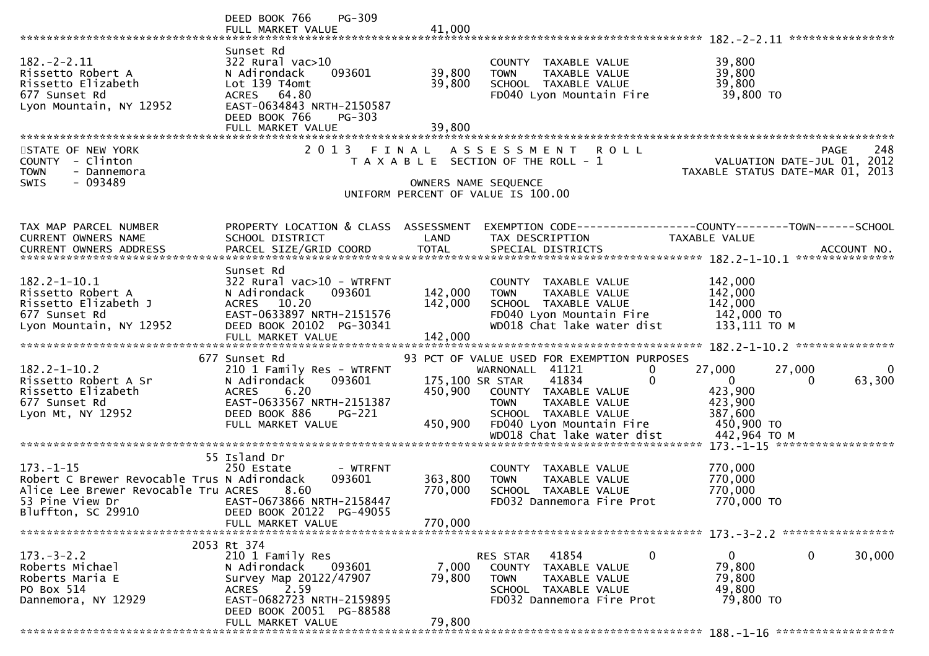|                                                                                                                                                      | DEED BOOK 766<br>PG-309<br>FULL MARKET VALUE                                                                                                                                       | 41,000                     |                                                                                                                                                                                                              |                                                                                                                 |
|------------------------------------------------------------------------------------------------------------------------------------------------------|------------------------------------------------------------------------------------------------------------------------------------------------------------------------------------|----------------------------|--------------------------------------------------------------------------------------------------------------------------------------------------------------------------------------------------------------|-----------------------------------------------------------------------------------------------------------------|
|                                                                                                                                                      |                                                                                                                                                                                    |                            |                                                                                                                                                                                                              |                                                                                                                 |
| $182 - 2 - 2.11$<br>Rissetto Robert A<br>Rissetto Elizabeth<br>677 Sunset Rd<br>Lyon Mountain, NY 12952                                              | Sunset Rd<br>$322$ Rural vac $>10$<br>093601<br>N Adirondack<br>Lot 139 T4omt<br>ACRES 64.80<br>EAST-0634843 NRTH-2150587<br>DEED BOOK 766<br>PG-303                               | 39,800<br>39,800           | COUNTY TAXABLE VALUE<br><b>TOWN</b><br>TAXABLE VALUE<br>SCHOOL TAXABLE VALUE<br>FD040 Lyon Mountain Fire                                                                                                     | 39,800<br>39,800<br>39,800<br>39,800 TO                                                                         |
|                                                                                                                                                      | FULL MARKET VALUE                                                                                                                                                                  | 39,800                     |                                                                                                                                                                                                              |                                                                                                                 |
| STATE OF NEW YORK<br>COUNTY - Clinton<br><b>TOWN</b><br>- Dannemora<br>$-093489$<br><b>SWIS</b>                                                      |                                                                                                                                                                                    | OWNERS NAME SEQUENCE       | 2013 FINAL ASSESSMENT<br><b>ROLL</b><br>T A X A B L E SECTION OF THE ROLL - 1<br>UNIFORM PERCENT OF VALUE IS 100.00                                                                                          | 248<br>PAGE<br>VALUATION DATE-JUL 01, 2012<br>TAXABLE STATUS DATE-MAR 01, 2013                                  |
|                                                                                                                                                      |                                                                                                                                                                                    |                            |                                                                                                                                                                                                              |                                                                                                                 |
| TAX MAP PARCEL NUMBER<br>CURRENT OWNERS NAME                                                                                                         | PROPERTY LOCATION & CLASS ASSESSMENT<br>SCHOOL DISTRICT                                                                                                                            | LAND                       | TAX DESCRIPTION                                                                                                                                                                                              | EXEMPTION CODE-----------------COUNTY-------TOWN------SCHOOL<br>TAXABLE VALUE                                   |
|                                                                                                                                                      |                                                                                                                                                                                    |                            |                                                                                                                                                                                                              |                                                                                                                 |
|                                                                                                                                                      |                                                                                                                                                                                    |                            |                                                                                                                                                                                                              | .CURRENT OWNERS ADDRESS PARCEL SIZE/GRID COORD TOTAL SPECIAL DISTRICTS ACCOUNT NO ACCOUNT NO ACCOUNT NO ACCOUNT |
| $182.2 - 1 - 10.1$<br>Rissetto Robert A<br>Rissetto Elizabeth J<br>677 Sunset Rd<br>Lyon Mountain, NY 12952                                          | Sunset Rd<br>$322$ Rural vac $>10$ - WTRFNT<br>093601<br>N Adirondack<br>ACRES 10.20<br>EAST-0633897 NRTH-2151576<br>DEED BOOK 20102 PG-30341                                      | 142,000<br>142,000         | COUNTY TAXABLE VALUE<br>TAXABLE VALUE<br><b>TOWN</b><br>SCHOOL TAXABLE VALUE<br>FD040 Lyon Mountain Fire<br>WD018 Chat lake water dist                                                                       | 142,000<br>142,000<br>142,000<br>142,000 TO<br>133,111 ТО М                                                     |
|                                                                                                                                                      |                                                                                                                                                                                    |                            |                                                                                                                                                                                                              |                                                                                                                 |
| $182.2 - 1 - 10.2$<br>Rissetto Robert A Sr<br>Rissetto Elizabeth<br>677 Sunset Rd<br>Lyon Mt, NY 12952                                               | 677 Sunset Rd<br>210 1 Family Res - WTRFNT<br>093601<br>N Adirondack<br><b>ACRES</b><br>6.20<br>EAST-0633567 NRTH-2151387<br>DEED BOOK 886<br>PG-221<br>FULL MARKET VALUE          | 175,100 SR STAR<br>450,900 | 93 PCT OF VALUE USED FOR EXEMPTION PURPOSES<br>WARNONALL 41121<br>$\bf{0}$<br>41834<br>0<br>450,900 COUNTY TAXABLE VALUE<br>TAXABLE VALUE<br><b>TOWN</b><br>SCHOOL TAXABLE VALUE<br>FD040 Lyon Mountain Fire | 27,000<br>27,000<br>$\Omega$<br>63,300<br>$\mathbf{0}$<br>0<br>423,900<br>423,900<br>387,600<br>450,900 TO      |
|                                                                                                                                                      |                                                                                                                                                                                    |                            |                                                                                                                                                                                                              |                                                                                                                 |
| $173. - 1 - 15$<br>Robert C Brewer Revocable Trus N Adirondack<br>Alice Lee Brewer Revocable Tru ACRES 8.60<br>53 Pine View Dr<br>Bluffton, SC 29910 | 55 Island Dr<br>- WTRFNT<br>250 Estate<br>093601<br>EAST-0673866 NRTH-2158447<br>DEED BOOK 20122 PG-49055                                                                          | 363,800<br>770,000         | COUNTY TAXABLE VALUE<br>TAXABLE VALUE<br><b>TOWN</b><br>SCHOOL TAXABLE VALUE<br>FD032 Dannemora Fire Prot                                                                                                    | 770,000<br>770,000<br>770,000<br>770,000 TO                                                                     |
|                                                                                                                                                      | FULL MARKET VALUE                                                                                                                                                                  | 770,000                    |                                                                                                                                                                                                              |                                                                                                                 |
|                                                                                                                                                      |                                                                                                                                                                                    |                            |                                                                                                                                                                                                              |                                                                                                                 |
| $173. - 3 - 2.2$<br>Roberts Michael<br>Roberts Maria E<br>PO Box 514<br>Dannemora, NY 12929                                                          | 2053 Rt 374<br>210 1 Family Res<br>093601<br>N Adirondack<br>Survey Map 20122/47907<br>2.59<br>ACRES<br>EAST-0682723 NRTH-2159895<br>DEED BOOK 20051 PG-88588<br>FULL MARKET VALUE | 7,000<br>79,800<br>79,800  | $\mathbf 0$<br>RES STAR<br>41854<br>COUNTY TAXABLE VALUE<br>TAXABLE VALUE<br><b>TOWN</b><br>SCHOOL TAXABLE VALUE<br>FD032 Dannemora Fire Prot                                                                | 30,000<br>0<br>0<br>79,800<br>79,800<br>49,800<br>79,800 TO                                                     |
|                                                                                                                                                      |                                                                                                                                                                                    |                            |                                                                                                                                                                                                              |                                                                                                                 |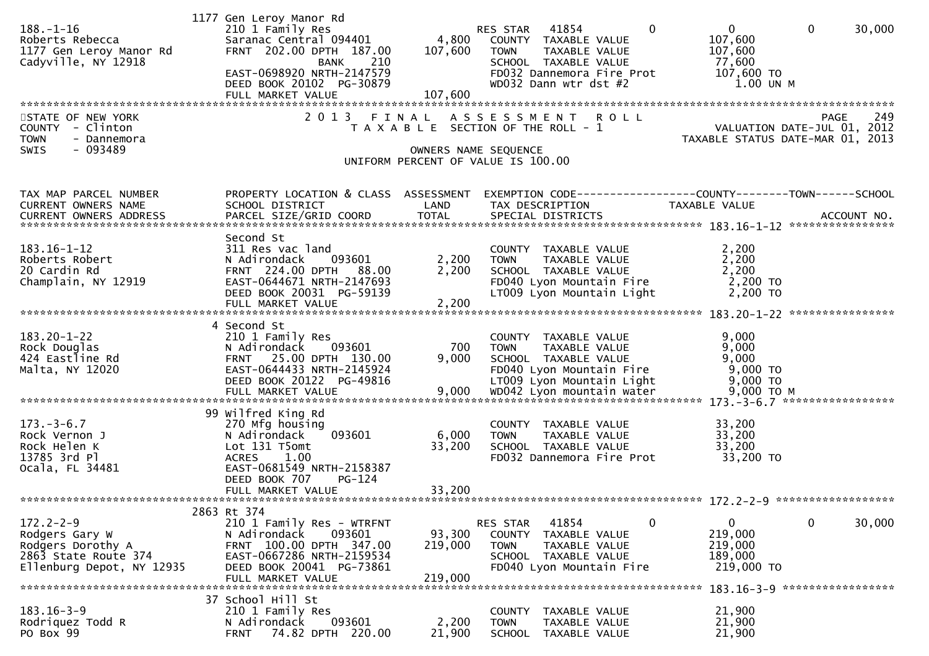| $188. - 1 - 16$<br>Roberts Rebecca<br>1177 Gen Leroy Manor Rd<br>Cadyville, NY 12918<br>STATE OF NEW YORK<br>COUNTY - Clinton<br><b>TOWN</b><br>- Dannemora<br>SWIS<br>- 093489 | 1177 Gen Leroy Manor Rd<br>210 1 Family Res<br>Saranac Central 094401<br>FRNT 202.00 DPTH 187.00<br>210<br>BANK<br>EAST-0698920 NRTH-2147579<br>DEED BOOK 20102 PG-30879<br>FULL MARKET VALUE<br>2 0 1 3 | 4,800<br>107,600<br>107,600<br>FINAL<br>OWNERS NAME SEQUENCE | RES STAR 41854<br>$\mathbf 0$<br>COUNTY TAXABLE VALUE<br><b>TOWN</b><br>TAXABLE VALUE<br>SCHOOL TAXABLE VALUE<br>FD032 Dannemora Fire Prot<br>WD032 Dann wtr dst #2<br>ASSESSMENT ROLL<br>T A X A B L E SECTION OF THE ROLL - 1<br>UNIFORM PERCENT OF VALUE IS 100.00 | $\overline{0}$<br>$\overline{0}$<br>30,000<br>107,600<br>107,600<br>77,600<br>107,600 TO<br>1.00 UN M<br>249<br><b>PAGE</b><br>249<br>VALUATION DATE-JUL 01, 2012<br>TAYABLE STATUS ALL: 1<br>TAXABLE STATUS DATE-MAR 01, 2013 |
|---------------------------------------------------------------------------------------------------------------------------------------------------------------------------------|----------------------------------------------------------------------------------------------------------------------------------------------------------------------------------------------------------|--------------------------------------------------------------|-----------------------------------------------------------------------------------------------------------------------------------------------------------------------------------------------------------------------------------------------------------------------|--------------------------------------------------------------------------------------------------------------------------------------------------------------------------------------------------------------------------------|
| TAX MAP PARCEL NUMBER<br>CURRENT OWNERS NAME                                                                                                                                    | PROPERTY LOCATION & CLASS ASSESSMENT<br>SCHOOL DISTRICT                                                                                                                                                  | LAND                                                         | TAX DESCRIPTION                                                                                                                                                                                                                                                       | EXEMPTION CODE------------------COUNTY--------TOWN------SCHOOL<br>TAXABLE VALUE                                                                                                                                                |
| $183.16 - 1 - 12$<br>Roberts Robert<br>20 Cardin Rd<br>Champlain, NY 12919                                                                                                      | Second St<br>311 Res vac land<br>093601<br>N Adirondack<br>FRNT 224.00 DPTH 88.00<br>EAST-0644671 NRTH-2147693<br>DEED BOOK 20031 PG-59139<br>FULL MARKET VALUE                                          | 2,200<br>2,200<br>2,200                                      | COUNTY TAXABLE VALUE<br><b>TOWN</b><br>TAXABLE VALUE<br>SCHOOL TAXABLE VALUE<br>FD040 Lyon Mountain Fire<br>LT009 Lyon Mountain Light                                                                                                                                 | 2,200<br>2,200<br>2,200<br>2,200 TO<br>2,200 TO                                                                                                                                                                                |
| $183.20 - 1 - 22$<br>Rock Douglas<br>424 Eastline Rd<br>Malta, NY 12020                                                                                                         | 4 Second St<br>210 1 Family Res<br>093601<br>N Adirondack<br>FRNT 25.00 DPTH 130.00<br>EAST-0644433 NRTH-2145924<br>DEED BOOK 20122 PG-49816                                                             | 700<br>9,000                                                 | COUNTY TAXABLE VALUE<br><b>TOWN</b><br>TAXABLE VALUE<br>SCHOOL TAXABLE VALUE<br>FD040 Lyon Mountain Fire<br>LT009 Lyon Mountain Light                                                                                                                                 | 9,000<br>9,000<br>9,000<br>9,000 TO<br>9,000 TO                                                                                                                                                                                |
| $173. - 3 - 6.7$<br>Rock Vernon J<br>Rock Helen K<br>13785 3rd Pl<br>Ocala, FL 34481                                                                                            | 99 Wilfred King Rd<br>270 Mfg housing<br>N Adirondack<br>093601<br>Lot 131 T5omt<br><b>ACRES</b><br>1.00<br>EAST-0681549 NRTH-2158387<br>DEED BOOK 707<br>$PG-124$<br>FULL MARKET VALUE                  | 6,000<br>33,200<br>33,200                                    | COUNTY TAXABLE VALUE<br><b>TAXABLE VALUE</b><br><b>TOWN</b><br>SCHOOL TAXABLE VALUE<br>FD032 Dannemora Fire Prot                                                                                                                                                      | 33,200<br>33,200<br>33,200<br>33,200 TO                                                                                                                                                                                        |
| $172.2 - 2 - 9$<br>Rodgers Gary W<br>Rodgers Dorothy A<br>2863 State Route 374<br>Ellenburg Depot, NY 12935                                                                     | 2863 Rt 374<br>210 1 Family Res - WTRFNT<br>093601<br>N Adirondack<br>FRNT 100.00 DPTH 347.00<br>EAST-0667286 NRTH-2159534<br>DEED BOOK 20041 PG-73861<br>FULL MARKET VALUE                              | 93,300<br>219,000<br>219,000                                 | 41854<br>RES STAR<br>0<br>COUNTY<br><b>TAXABLE VALUE</b><br><b>TOWN</b><br>TAXABLE VALUE<br>SCHOOL TAXABLE VALUE<br>FD040 Lyon Mountain Fire                                                                                                                          | $\mathbf{0}$<br>$\mathbf 0$<br>30,000<br>219,000<br>219,000<br>189,000<br>219,000 TO                                                                                                                                           |
| $183.16 - 3 - 9$<br>Rodriquez Todd R<br>PO Box 99                                                                                                                               | 37 School Hill St<br>210 1 Family Res<br>093601<br>N Adirondack<br>74.82 DPTH 220.00<br><b>FRNT</b>                                                                                                      | 2,200<br>21,900                                              | COUNTY TAXABLE VALUE<br><b>TOWN</b><br>TAXABLE VALUE<br><b>SCHOOL</b><br>TAXABLE VALUE                                                                                                                                                                                | 183.16-3-9 ******************<br>21,900<br>21,900<br>21,900                                                                                                                                                                    |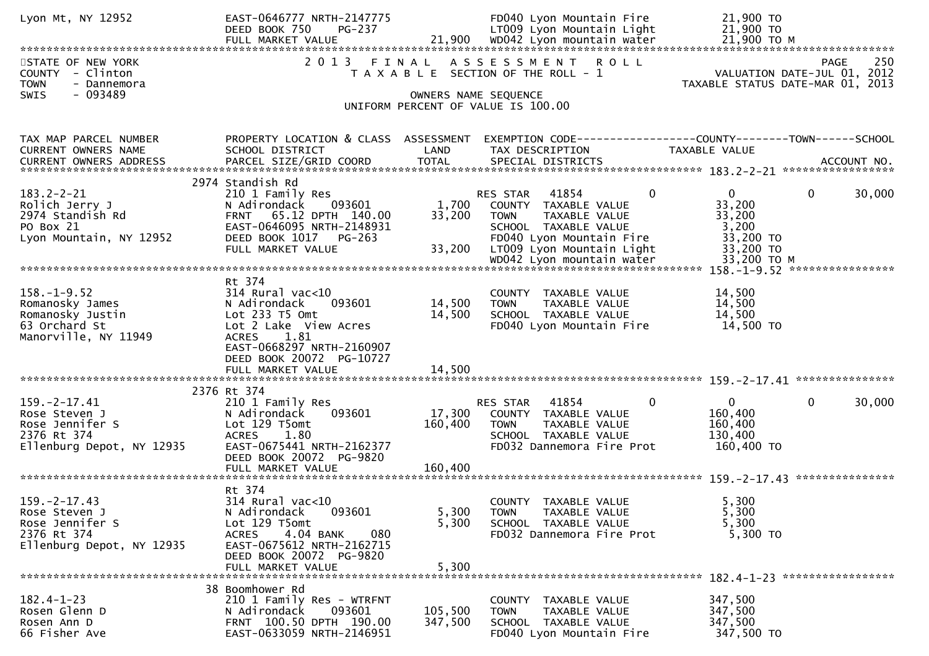| Lyon Mt, NY 12952                                                                                  | EAST-0646777 NRTH-2147775<br>DEED BOOK 750<br>PG-237                                                                                                                                                       |                            | FD040 Lyon Mountain Fire<br>LT009 Lyon Mountain Light                                                                                                           | 21,900 TO<br>21,900 TO                                                                |
|----------------------------------------------------------------------------------------------------|------------------------------------------------------------------------------------------------------------------------------------------------------------------------------------------------------------|----------------------------|-----------------------------------------------------------------------------------------------------------------------------------------------------------------|---------------------------------------------------------------------------------------|
| STATE OF NEW YORK<br>COUNTY - Clinton<br><b>TOWN</b><br>- Dannemora<br>$-093489$<br>SWIS           | 2 0 1 3<br>FINAL                                                                                                                                                                                           | OWNERS NAME SEQUENCE       | ASSESSMENT ROLL<br>T A X A B L E SECTION OF THE ROLL - 1<br>UNIFORM PERCENT OF VALUE IS 100.00                                                                  | 250<br><b>PAGE</b><br>VALUATION DATE-JUL 01, 2012<br>TAXABLE STATUS DATE-MAR 01, 2013 |
| TAX MAP PARCEL NUMBER<br>CURRENT OWNERS NAME<br><b>CURRENT OWNERS ADDRESS</b>                      | PROPERTY LOCATION & CLASS ASSESSMENT<br>SCHOOL DISTRICT                                                                                                                                                    | LAND                       | TAX DESCRIPTION                                                                                                                                                 | EXEMPTION CODE------------------COUNTY--------TOWN------SCHOOL<br>TAXABLE VALUE       |
| $183.2 - 2 - 21$<br>Rolich Jerry J<br>2974 Standish Rd<br>PO Box 21<br>Lyon Mountain, NY 12952     | 2974 Standish Rd<br>210 1 Family Res<br>093601<br>N Adirondack<br>FRNT 65.12 DPTH 140.00<br>EAST-0646095 NRTH-2148931<br>DEED BOOK 1017 PG-263<br>FULL MARKET VALUE                                        | 1,700<br>33,200<br>33,200  | 0<br>41854<br>RES STAR<br>COUNTY TAXABLE VALUE<br><b>TOWN</b><br>TAXABLE VALUE<br>SCHOOL TAXABLE VALUE<br>FD040 Lyon Mountain Fire<br>LT009 Lyon Mountain Light | 0<br>30,000<br>$\overline{0}$<br>33,200<br>33,200<br>3,200<br>33,200 TO<br>33,200 TO  |
| $158. - 1 - 9.52$<br>Romanosky James<br>Romanosky Justin<br>63 Orchard St<br>Manorville, NY 11949  | Rt 374<br>$314$ Rural vac< $10$<br>093601<br>N Adirondack<br>Lot 233 T5 Omt<br>Lot 2 Lake View Acres<br>1.81<br><b>ACRES</b><br>EAST-0668297 NRTH-2160907<br>DEED BOOK 20072 PG-10727<br>FULL MARKET VALUE | 14,500<br>14,500<br>14.500 | COUNTY TAXABLE VALUE<br>TAXABLE VALUE<br><b>TOWN</b><br>SCHOOL TAXABLE VALUE<br>FD040 Lyon Mountain Fire                                                        | 14,500<br>14,500<br>14,500<br>14,500 TO                                               |
| $159. - 2 - 17.41$<br>Rose Steven J<br>Rose Jennifer S<br>2376 Rt 374<br>Ellenburg Depot, NY 12935 | 2376 Rt 374<br>210 1 Family Res<br>N Adirondack<br>093601<br>Lot 129 T5omt<br>1.80<br><b>ACRES</b><br>EAST-0675441 NRTH-2162377<br>DEED BOOK 20072 PG-9820                                                 | 17,300<br>160,400          | 41854<br>$\mathbf{0}$<br>RES STAR<br>COUNTY TAXABLE VALUE<br><b>TOWN</b><br>TAXABLE VALUE<br>SCHOOL TAXABLE VALUE<br>FD032 Dannemora Fire Prot                  | $\mathbf{0}$<br>$\mathbf{0}$<br>30,000<br>160,400<br>160,400<br>130,400<br>160,400 TO |
| $159. -2 - 17.43$<br>Rose Steven J<br>Rose Jennifer S<br>2376 Rt 374<br>Ellenburg Depot, NY 12935  | Rt 374<br>314 Rural vac<10<br>093601<br>N Adirondack<br>Lot 129 T5omt<br>4.04 BANK<br>080<br><b>ACRES</b><br>EAST-0675612 NRTH-2162715<br>DEED BOOK 20072 PG-9820<br>FULL MARKET VALUE                     | 5,300<br>5,300<br>5,300    | COUNTY TAXABLE VALUE<br>TAXABLE VALUE<br><b>TOWN</b><br>SCHOOL TAXABLE VALUE<br>FD032 Dannemora Fire Prot                                                       | 5,300<br>5,300<br>5,300<br>5,300 TO                                                   |
| $182.4 - 1 - 23$<br>Rosen Glenn D<br>Rosen Ann D<br>66 Fisher Ave                                  | 38 Boomhower Rd<br>210 1 Family Res - WTRFNT<br>093601<br>N Adirondack<br>FRNT 100.50 DPTH 190.00<br>EAST-0633059 NRTH-2146951                                                                             | 105,500<br>347,500         | COUNTY TAXABLE VALUE<br>TAXABLE VALUE<br><b>TOWN</b><br>SCHOOL TAXABLE VALUE<br>FD040 Lyon Mountain Fire                                                        | 347,500<br>347,500<br>347,500<br>347,500 TO                                           |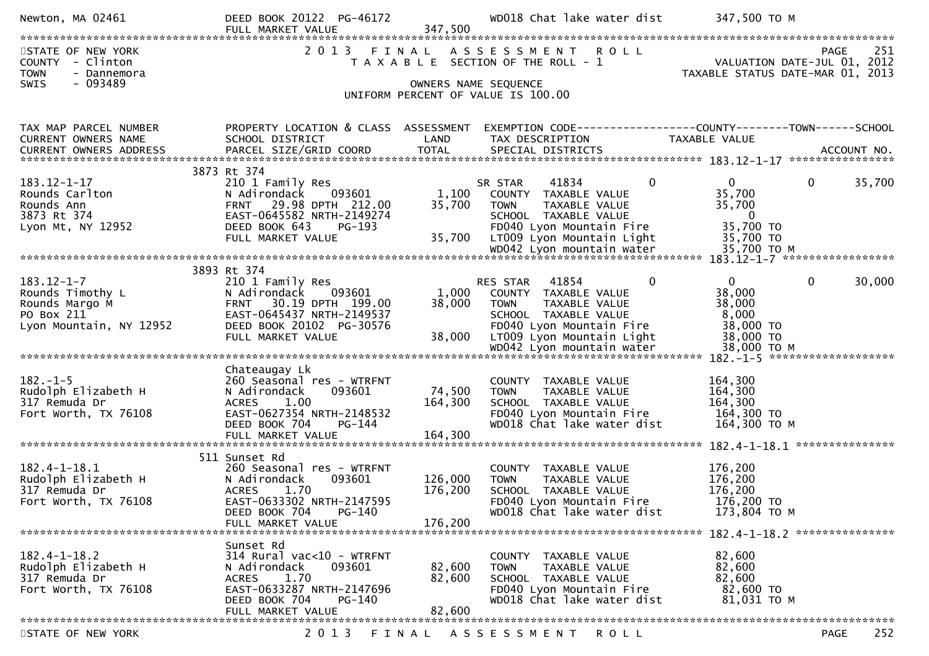| Newton, MA 02461                                                    | DEED BOOK 20122 PG-46172                                |                      | WD018 Chat lake water dist                                          | 347,500 TO M                                                                          |
|---------------------------------------------------------------------|---------------------------------------------------------|----------------------|---------------------------------------------------------------------|---------------------------------------------------------------------------------------|
| STATE OF NEW YORK<br>COUNTY - Clinton<br><b>TOWN</b><br>- Dannemora |                                                         |                      | 2013 FINAL ASSESSMENT ROLL<br>T A X A B L E SECTION OF THE ROLL - 1 | <b>PAGE</b><br>251<br>VALUATION DATE-JUL 01, 2012<br>TAXABLE STATUS DATE-MAR 01, 2013 |
| - 093489<br>SWIS                                                    |                                                         | OWNERS NAME SEQUENCE | UNIFORM PERCENT OF VALUE IS 100.00                                  |                                                                                       |
| TAX MAP PARCEL NUMBER<br>CURRENT OWNERS NAME                        | PROPERTY LOCATION & CLASS ASSESSMENT<br>SCHOOL DISTRICT | LAND                 | TAX DESCRIPTION                                                     | EXEMPTION CODE-----------------COUNTY--------TOWN------SCHOOL<br>TAXABLE VALUE        |
|                                                                     |                                                         |                      |                                                                     |                                                                                       |
|                                                                     | 3873 Rt 374                                             |                      |                                                                     |                                                                                       |
| $183.12 - 1 - 17$<br>Rounds Carlton                                 | 210 1 Family Res<br>093601<br>N Adirondack              | 1,100                | $\mathbf 0$<br>SR STAR<br>41834<br>COUNTY TAXABLE VALUE             | $\mathbf{0}$<br>$\mathbf{0}$<br>35,700<br>35,700                                      |
| Rounds Ann<br>3873 Rt 374                                           | FRNT 29.98 DPTH 212.00<br>EAST-0645582 NRTH-2149274     | 35,700               | TAXABLE VALUE<br><b>TOWN</b><br>SCHOOL TAXABLE VALUE                | 35,700<br>$\overline{0}$                                                              |
| Lyon Mt, NY 12952                                                   | DEED BOOK 643<br>PG-193<br>FULL MARKET VALUE            | 35,700               | FD040 Lyon Mountain Fire<br>LT009 Lyon Mountain Light               | 35,700 TO<br>35,700 TO                                                                |
|                                                                     |                                                         |                      | WD042 Lyon mountain water                                           | 35,700 TO M                                                                           |
|                                                                     | 3893 Rt 374                                             |                      |                                                                     |                                                                                       |
| $183.12 - 1 - 7$<br>Rounds Timothy L                                | 210 1 Family Res<br>093601<br>N Adirondack              |                      | $\mathbf{0}$<br>RES STAR 41854<br>1,000 COUNTY TAXABLE VALUE        | $\overline{0}$<br>$\mathbf 0$<br>30,000<br>38,000                                     |
| Rounds Margo M                                                      | 30.19 DPTH 199.00<br><b>FRNT</b>                        | 38,000               | <b>TOWN</b><br>TAXABLE VALUE                                        | 38,000                                                                                |
| PO Box 211                                                          | EAST-0645437 NRTH-2149537                               |                      | SCHOOL TAXABLE VALUE                                                | 8,000                                                                                 |
| Lyon Mountain, NY 12952                                             | DEED BOOK 20102 PG-30576                                |                      | FD040 Lyon Mountain Fire                                            | 38,000 TO                                                                             |
|                                                                     | FULL MARKET VALUE                                       | 38,000               | LT009 Lyon Mountain Light                                           | 38,000 TO                                                                             |
|                                                                     |                                                         |                      |                                                                     |                                                                                       |
| $182. - 1 - 5$                                                      | Chateaugay Lk                                           |                      |                                                                     | 164,300                                                                               |
| Rudolph Elizabeth H                                                 | 260 Seasonal res - WTRFNT<br>093601<br>N Adirondack     | 74,500               | COUNTY TAXABLE VALUE<br><b>TOWN</b><br>TAXABLE VALUE                | 164,300                                                                               |
| 317 Remuda Dr                                                       | 1.00<br><b>ACRES</b>                                    | 164,300              | SCHOOL TAXABLE VALUE                                                | 164,300                                                                               |
| Fort Worth, TX 76108                                                | EAST-0627354 NRTH-2148532                               |                      | FD040 Lyon Mountain Fire                                            | 164,300 TO                                                                            |
|                                                                     | DEED BOOK 704<br>PG-144                                 |                      | WD018 Chat lake water dist                                          | 164,300 ТО М                                                                          |
|                                                                     |                                                         |                      |                                                                     |                                                                                       |
| $182.4 - 1 - 18.1$                                                  | 511 Sunset Rd<br>260 Seasonal res - WTRFNT              |                      | COUNTY<br>TAXABLE VALUE                                             | 176,200                                                                               |
| Rudolph Elizabeth H                                                 | N Adirondack<br>093601                                  | 126,000              | TAXABLE VALUE<br><b>TOWN</b>                                        | 176,200                                                                               |
| 317 Remuda Dr                                                       | <b>ACRES</b><br>1.70                                    | 176,200              | SCHOOL TAXABLE VALUE                                                | 176,200                                                                               |
| Fort Worth, TX 76108                                                | EAST-0633302 NRTH-2147595<br>$PG-140$<br>DEED BOOK 704  |                      | FD040 Lyon Mountain Fire<br>WD018 Chat lake water dist              | 176,200 TO<br>173,804 ТО М                                                            |
|                                                                     | FULL MARKET VALUE                                       | 176,200              |                                                                     |                                                                                       |
|                                                                     |                                                         |                      |                                                                     | 182.4-1-18.2 ****************                                                         |
| $182.4 - 1 - 18.2$                                                  | Sunset Rd<br>314 Rural vac<10 - WTRFNT                  |                      | TAXABLE VALUE<br><b>COUNTY</b>                                      | 82,600                                                                                |
| Rudolph Elizabeth H                                                 | N Adirondack<br>093601                                  | 82,600               | TAXABLE VALUE<br><b>TOWN</b>                                        | 82,600                                                                                |
| 317 Remuda Dr                                                       | <b>ACRES</b><br>1.70                                    | 82,600               | SCHOOL TAXABLE VALUE                                                | 82,600                                                                                |
| Fort Worth, TX 76108                                                | EAST-0633287 NRTH-2147696<br>DEED BOOK 704<br>PG-140    |                      | FD040 Lyon Mountain Fire<br>WD018 Chat lake water dist              | 82,600 TO<br>81,031 TO M                                                              |
|                                                                     | FULL MARKET VALUE                                       | 82,600               |                                                                     |                                                                                       |
|                                                                     |                                                         |                      |                                                                     |                                                                                       |
| STATE OF NEW YORK                                                   | FINAL<br>2 0 1 3                                        |                      | A S S E S S M E N T<br>ROLL                                         | 252<br><b>PAGE</b>                                                                    |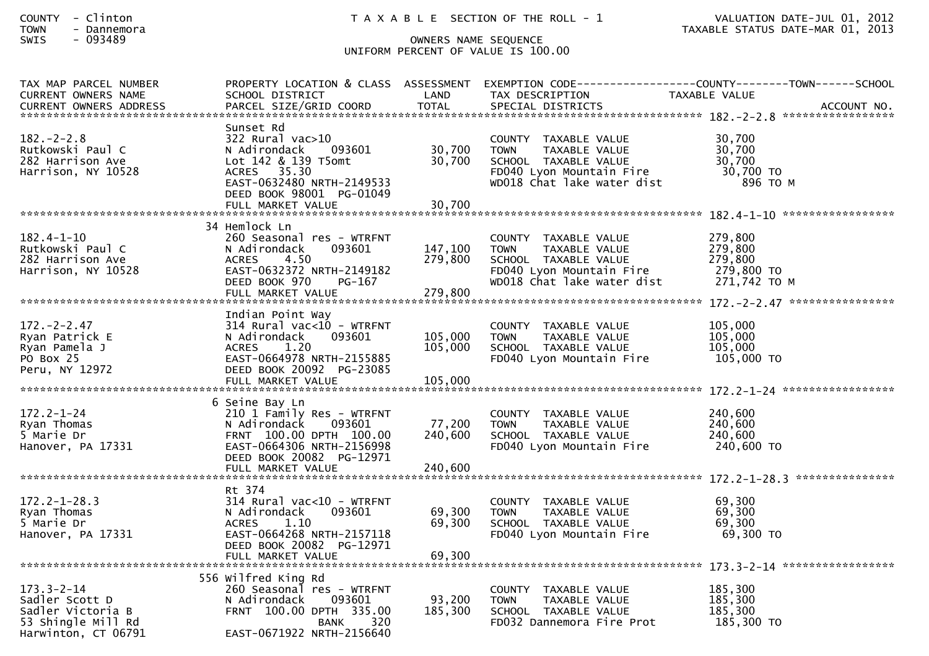| <b>COUNTY</b> |  | Clinton    |  |
|---------------|--|------------|--|
| T             |  | ---------- |  |

### SWIS - 093489 OWNERS NAME SEQUENCE UNIFORM PERCENT OF VALUE IS 100.00

| TAX MAP PARCEL NUMBER<br><b>CURRENT OWNERS NAME</b>                                                  | SCHOOL DISTRICT                                                                                                                                                                | LAND                          | TAX DESCRIPTION                                                                                                                        | PROPERTY LOCATION & CLASS ASSESSMENT EXEMPTION CODE----------------COUNTY-------TOWN------SCHOOL<br>TAXABLE VALUE |
|------------------------------------------------------------------------------------------------------|--------------------------------------------------------------------------------------------------------------------------------------------------------------------------------|-------------------------------|----------------------------------------------------------------------------------------------------------------------------------------|-------------------------------------------------------------------------------------------------------------------|
| <b>CURRENT OWNERS ADDRESS</b>                                                                        | PARCEL SIZE/GRID COORD                                                                                                                                                         | <b>TOTAL</b>                  | SPECIAL DISTRICTS                                                                                                                      | ACCOUNT NO.                                                                                                       |
| $182 - 2 - 2.8$<br>Rutkowski Paul C<br>282 Harrison Ave<br>Harrison, NY 10528                        | Sunset Rd<br>322 Rural vac>10<br>N Adirondack<br>093601<br>Lot 142 & 139 T5omt<br>ACRES 35.30<br>EAST-0632480 NRTH-2149533<br>DEED BOOK 98001 PG-01049                         | 30,700<br>30,700              | COUNTY TAXABLE VALUE<br>TAXABLE VALUE<br><b>TOWN</b><br>SCHOOL TAXABLE VALUE<br>FD040 Lyon Mountain Fire<br>WD018 Chat lake water dist | 30,700<br>30,700<br>30,700<br>30,700 TO<br>896 то м                                                               |
|                                                                                                      | 34 Hemlock Ln                                                                                                                                                                  |                               |                                                                                                                                        |                                                                                                                   |
| $182.4 - 1 - 10$<br>Rutkowski Paul C<br>282 Harrison Ave<br>Harrison, NY 10528                       | 260 Seasonal res - WTRFNT<br>093601<br>N Adirondack<br><b>ACRES</b><br>4.50<br>EAST-0632372 NRTH-2149182<br>DEED BOOK 970<br>PG-167<br>FULL MARKET VALUE                       | 147,100<br>279,800<br>279,800 | COUNTY TAXABLE VALUE<br><b>TOWN</b><br>TAXABLE VALUE<br>SCHOOL TAXABLE VALUE<br>FD040 Lyon Mountain Fire<br>WD018 Chat lake water dist | 279,800<br>279,800<br>279,800<br>279,800 TO<br>271,742 TO M                                                       |
|                                                                                                      | Indian Point Way                                                                                                                                                               |                               |                                                                                                                                        |                                                                                                                   |
| $172. - 2 - 2.47$<br>Ryan Patrick E<br>Ryan Pamela J<br>PO Box 25<br>Peru, NY 12972                  | 314 Rural vac<10 - WTRFNT<br>N Adirondack<br>093601<br>1.20<br><b>ACRES</b><br>EAST-0664978 NRTH-2155885<br>DEED BOOK 20092 PG-23085                                           | 105,000<br>105,000            | COUNTY TAXABLE VALUE<br><b>TOWN</b><br>TAXABLE VALUE<br>SCHOOL TAXABLE VALUE<br>FD040 Lyon Mountain Fire                               | 105,000<br>105,000<br>105,000<br>105,000 TO                                                                       |
|                                                                                                      |                                                                                                                                                                                |                               |                                                                                                                                        |                                                                                                                   |
| $172.2 - 1 - 24$<br>Ryan Thomas<br>5 Marie Dr<br>Hanover, PA 17331                                   | 6 Seine Bay Ln<br>210 1 Family Res - WTRFNT<br>N Adirondack<br>093601<br>FRNT 100.00 DPTH 100.00<br>EAST-0664306 NRTH-2156998<br>DEED BOOK 20082 PG-12971<br>FULL MARKET VALUE | 77,200<br>240,600<br>240,600  | COUNTY TAXABLE VALUE<br><b>TOWN</b><br>TAXABLE VALUE<br>SCHOOL TAXABLE VALUE<br>FD040 Lyon Mountain Fire                               | 240,600<br>240,600<br>240,600<br>240,600 TO                                                                       |
|                                                                                                      |                                                                                                                                                                                |                               |                                                                                                                                        |                                                                                                                   |
| $172.2 - 1 - 28.3$<br>Ryan Thomas<br>5 Marie Dr<br>Hanover, PA 17331                                 | Rt 374<br>314 Rural vac<10 - WTRFNT<br>N Adirondack<br>093601<br><b>ACRES</b><br>1.10<br>EAST-0664268 NRTH-2157118<br>DEED BOOK 20082 PG-12971<br>FULL MARKET VALUE            | 69,300<br>69,300<br>69,300    | COUNTY TAXABLE VALUE<br>TAXABLE VALUE<br><b>TOWN</b><br>SCHOOL TAXABLE VALUE<br>FD040 Lyon Mountain Fire                               | 69,300<br>69,300<br>69,300<br>$69,300$ TO                                                                         |
|                                                                                                      |                                                                                                                                                                                |                               |                                                                                                                                        |                                                                                                                   |
| $173.3 - 2 - 14$<br>Sadler Scott D<br>Sadler Victoria B<br>53 Shingle Mill Rd<br>Harwinton, CT 06791 | 556 Wilfred King Rd<br>260 Seasonal res - WTRFNT<br>093601<br>N Adirondack<br>FRNT 100.00 DPTH 335.00<br>320<br><b>BANK</b><br>EAST-0671922 NRTH-2156640                       | 93,200<br>185,300             | COUNTY TAXABLE VALUE<br><b>TOWN</b><br>TAXABLE VALUE<br>SCHOOL TAXABLE VALUE<br>FD032 Dannemora Fire Prot                              | 185,300<br>185,300<br>185,300<br>185,300 TO                                                                       |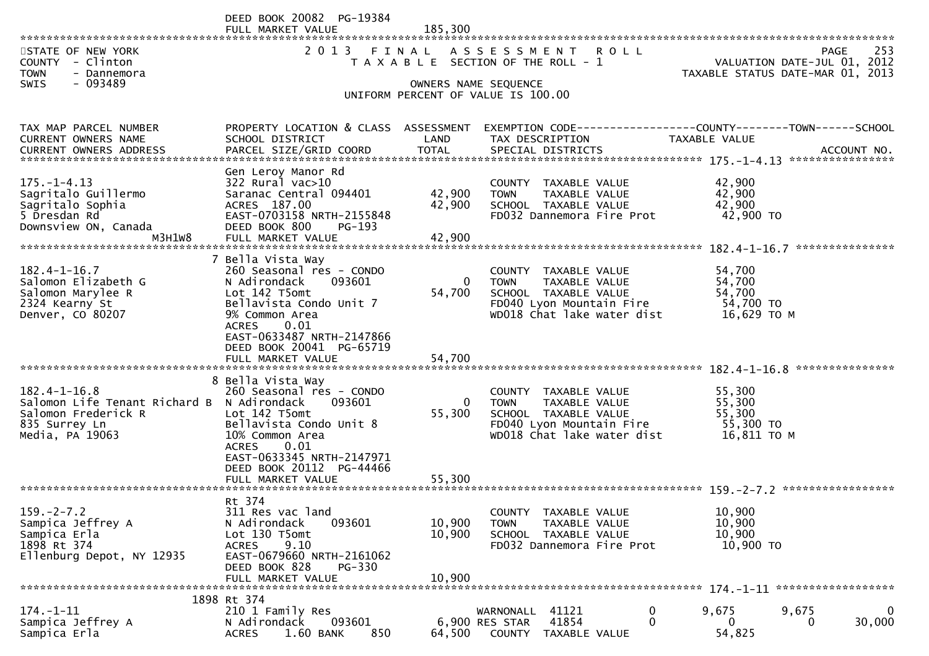|                                                                                                                             | DEED BOOK 20082 PG-19384<br>FULL MARKET VALUE<br>************************                                                                                                                                              | 185.300                    |                                                                                                                                        |                                                                                 |
|-----------------------------------------------------------------------------------------------------------------------------|------------------------------------------------------------------------------------------------------------------------------------------------------------------------------------------------------------------------|----------------------------|----------------------------------------------------------------------------------------------------------------------------------------|---------------------------------------------------------------------------------|
| STATE OF NEW YORK<br>COUNTY - Clinton<br><b>TOWN</b><br>- Dannemora                                                         | 2 0 1 3                                                                                                                                                                                                                | FINAL                      | A S S E S S M E N T<br><b>ROLL</b><br>T A X A B L E SECTION OF THE ROLL - 1                                                            | 253<br>PAGE<br>VALUATION DATE-JUL 01, 2012<br>TAXABLE STATUS DATE-MAR 01, 2013  |
| - 093489<br>SWIS                                                                                                            |                                                                                                                                                                                                                        |                            | OWNERS NAME SEQUENCE<br>UNIFORM PERCENT OF VALUE IS 100.00                                                                             |                                                                                 |
| TAX MAP PARCEL NUMBER<br>CURRENT OWNERS NAME                                                                                | PROPERTY LOCATION & CLASS ASSESSMENT<br>SCHOOL DISTRICT                                                                                                                                                                | LAND                       | TAX DESCRIPTION                                                                                                                        | EXEMPTION CODE------------------COUNTY--------TOWN------SCHOOL<br>TAXABLE VALUE |
| $175. - 1 - 4.13$<br>Sagritalo Guillermo<br>Sagritalo Sophia<br>5 Dresdan Rd<br>Downsview ON, Canada<br>M3H1W8              | Gen Leroy Manor Rd<br>322 Rural vac>10<br>Saranac Central 094401<br>ACRES 187.00<br>EAST-0703158 NRTH-2155848<br>DEED BOOK 800<br>$PG-193$<br>FULL MARKET VALUE                                                        | 42,900<br>42,900<br>42,900 | COUNTY TAXABLE VALUE<br><b>TOWN</b><br>TAXABLE VALUE<br>SCHOOL TAXABLE VALUE<br>FD032 Dannemora Fire Prot                              | 42,900<br>42,900<br>42,900<br>42,900 TO                                         |
| $182.4 - 1 - 16.7$<br>Salomon Elizabeth G<br>Salomon Marylee R<br>2324 Kearny St<br>Denver, CO 80207                        | 7 Bella Vista Way<br>260 Seasonal res - CONDO<br>093601<br>N Adirondack<br>Lot 142 T5omt<br>Bellavista Condo Unit 7<br>9% Common Area<br>0.01<br><b>ACRES</b><br>EAST-0633487 NRTH-2147866<br>DEED BOOK 20041 PG-65719 | $\overline{0}$<br>54,700   | COUNTY TAXABLE VALUE<br>TAXABLE VALUE<br><b>TOWN</b><br>SCHOOL TAXABLE VALUE<br>FD040 Lyon Mountain Fire<br>WD018 Chat lake water dist | 54,700<br>54,700<br>54,700<br>54,700 TO<br>16,629 TO M                          |
|                                                                                                                             | FULL MARKET VALUE                                                                                                                                                                                                      | 54,700                     |                                                                                                                                        | ***************                                                                 |
| $182.4 - 1 - 16.8$<br>Salomon Life Tenant Richard B N Adirondack<br>Salomon Frederick R<br>835 Surrey Ln<br>Media, PA 19063 | 8 Bella Vista Way<br>260 Seasonal res - CONDO<br>093601<br>Lot 142 T5omt<br>Bellavista Condo Unit 8<br>10% Common Area<br>0.01<br><b>ACRES</b><br>EAST-0633345 NRTH-2147971<br>DEED BOOK 20112 PG-44466                | $\Omega$<br>55,300         | COUNTY TAXABLE VALUE<br>TAXABLE VALUE<br><b>TOWN</b><br>SCHOOL TAXABLE VALUE<br>FD040 Lyon Mountain Fire<br>WD018 Chat lake water dist | 55,300<br>55,300<br>55,300<br>55,300 TO<br>16,811 TO M                          |
|                                                                                                                             | FULL MARKET VALUE<br>*******************************                                                                                                                                                                   | 55,300                     |                                                                                                                                        |                                                                                 |
| $159. -2 - 7.2$<br>Sampica Jeffrey A<br>Sampica Erla<br>1898 Rt 374<br>Ellenburg Depot, NY 12935                            | Rt 374<br>311 Res vac land<br>093601<br>N Adirondack<br>Lot 130 T5omt<br><b>ACRES</b><br>9.10<br>EAST-0679660 NRTH-2161062<br>DEED BOOK 828<br><b>PG-330</b><br>FULL MARKET VALUE                                      | 10,900<br>10,900<br>10,900 | COUNTY TAXABLE VALUE<br>TAXABLE VALUE<br><b>TOWN</b><br>SCHOOL TAXABLE VALUE<br>FD032 Dannemora Fire Prot                              | 10,900<br>10,900<br>10,900<br>10,900 TO                                         |
|                                                                                                                             | 1898 Rt 374                                                                                                                                                                                                            |                            |                                                                                                                                        |                                                                                 |
| $174. - 1 - 11$<br>Sampica Jeffrey A<br>Sampica Erla                                                                        | 210 1 Family Res<br>093601<br>N Adirondack<br>850<br><b>ACRES</b><br>1.60 BANK                                                                                                                                         | 64,500                     | 41121<br>0<br>WARNONALL<br>$\mathbf 0$<br>41854<br>6,900 RES STAR<br>COUNTY<br>TAXABLE VALUE                                           | $\mathbf 0$<br>9,675<br>9,675<br>30,000<br>0<br>0<br>54,825                     |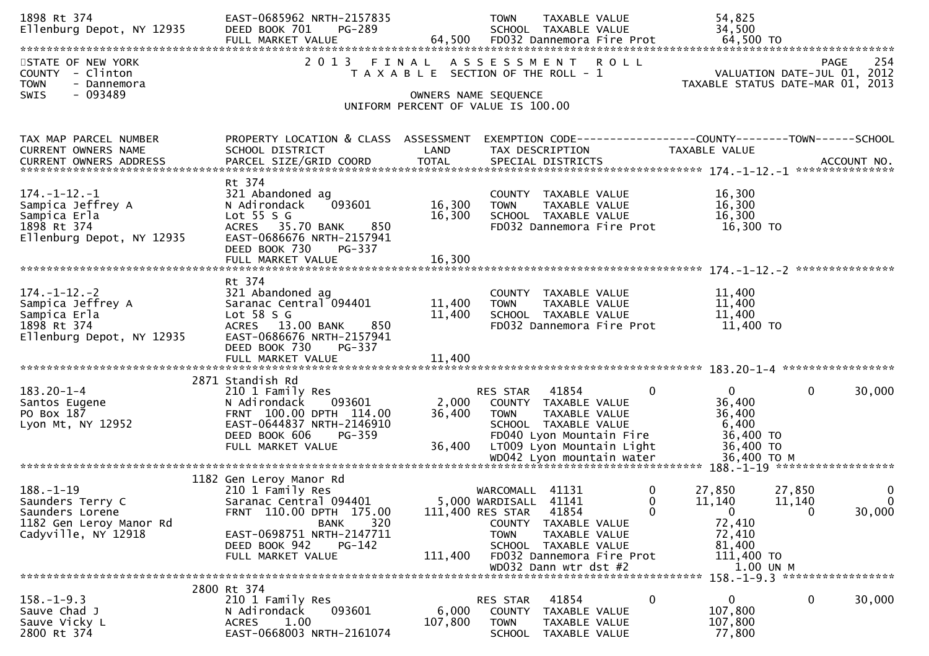| 1898 Rt 374<br>Ellenburg Depot, NY 12935                                                                 | EAST-0685962 NRTH-2157835<br><b>PG-289</b><br>DEED BOOK 701<br>FULL MARKET VALUE                                                                                                             |                             | TAXABLE VALUE<br><b>TOWN</b><br>SCHOOL TAXABLE VALUE<br>64,500 FD032 Dannemora Fire Prot                                                                                                |                                      | 54,825<br>34,500<br>64,500 TO                                                             |                                                                                       |
|----------------------------------------------------------------------------------------------------------|----------------------------------------------------------------------------------------------------------------------------------------------------------------------------------------------|-----------------------------|-----------------------------------------------------------------------------------------------------------------------------------------------------------------------------------------|--------------------------------------|-------------------------------------------------------------------------------------------|---------------------------------------------------------------------------------------|
| STATE OF NEW YORK<br>- Clinton<br><b>COUNTY</b><br><b>TOWN</b><br>- Dannemora<br>- 093489<br>SWIS        | 2 0 1 3<br>FINAL                                                                                                                                                                             | OWNERS NAME SEQUENCE        | ASSESSMENT ROLL<br>T A X A B L E SECTION OF THE ROLL - 1<br>UNIFORM PERCENT OF VALUE IS 100.00                                                                                          |                                      |                                                                                           | 254<br><b>PAGE</b><br>VALUATION DATE-JUL 01, 2012<br>TAXABLE STATUS DATE-MAR 01, 2013 |
| TAX MAP PARCEL NUMBER<br>CURRENT OWNERS NAME                                                             | PROPERTY LOCATION & CLASS ASSESSMENT<br>SCHOOL DISTRICT                                                                                                                                      | LAND                        | TAX DESCRIPTION                                                                                                                                                                         |                                      | EXEMPTION CODE-----------------COUNTY--------TOWN-----SCHOOL<br>TAXABLE VALUE             |                                                                                       |
| $174. - 1 - 12. - 1$<br>Sampica Jeffrey A<br>Sampica Erla<br>1898 Rt 374<br>Ellenburg Depot, NY 12935    | Rt 374<br>321 Abandoned ag<br>N Adirondack<br>093601<br>Lot $55 S G$<br>ACRES 35.70 BANK<br>850<br>EAST-0686676 NRTH-2157941<br>DEED BOOK 730<br>PG-337                                      | 16,300<br>16,300            | COUNTY TAXABLE VALUE<br>TAXABLE VALUE<br><b>TOWN</b><br>SCHOOL TAXABLE VALUE<br>FD032 Dannemora Fire Prot                                                                               |                                      | 16,300<br>16,300<br>16,300<br>16,300 TO                                                   |                                                                                       |
| $174. - 1 - 12. - 2$<br>Sampica Jeffrey A<br>Sampica Erla<br>1898 Rt 374<br>Ellenburg Depot, NY 12935    | Rt 374<br>321 Abandoned ag<br>Saranac Central 094401<br>Lot $58 S G$<br>ACRES 13.00 BANK<br>850<br>EAST-0686676 NRTH-2157941<br>DEED BOOK 730<br>PG-337                                      | 11,400<br>11,400            | COUNTY TAXABLE VALUE<br>TAXABLE VALUE<br><b>TOWN</b><br>SCHOOL TAXABLE VALUE<br>FD032 Dannemora Fire Prot                                                                               |                                      | 11,400<br>11,400<br>11,400<br>11,400 TO                                                   |                                                                                       |
| $183.20 - 1 - 4$<br>Santos Eugene<br>PO Box 187<br>Lyon Mt, NY 12952                                     | 2871 Standish Rd<br>210 1 Family Res<br>093601<br>N Adirondack<br>FRNT 100.00 DPTH 114.00<br>EAST-0644837 NRTH-2146910<br>DEED BOOK 606<br>PG-359<br>FULL MARKET VALUE                       | 2,000<br>36,400<br>36,400   | RES STAR<br>41854<br>COUNTY TAXABLE VALUE<br><b>TOWN</b><br>TAXABLE VALUE<br>SCHOOL TAXABLE VALUE<br>FD040 Lyon Mountain Fire<br>LT009 Lyon Mountain Light                              | 0                                    | $\mathbf{0}$<br>36,400<br>36,400<br>6,400<br>36,400 TO<br>36,400 TO                       | $\mathbf 0$<br>30,000                                                                 |
| $188. - 1 - 19$<br>Saunders Terry C<br>Saunders Lorene<br>1182 Gen Leroy Manor Rd<br>Cadyville, NY 12918 | 1182 Gen Leroy Manor Rd<br>210 1 Family Res<br>Saranac Central 094401<br>FRNT 110.00 DPTH 175.00<br>320<br>BANK<br>EAST-0698751 NRTH-2147711<br>DEED BOOK 942<br>PG-142<br>FULL MARKET VALUE | 111,400 RES STAR<br>111,400 | WARCOMALL 41131<br>5,000 WARDISALL 41141<br>41854<br>COUNTY TAXABLE VALUE<br>TAXABLE VALUE<br><b>TOWN</b><br>SCHOOL TAXABLE VALUE<br>FD032 Dannemora Fire Prot<br>WD032 Dann wtr dst #2 | $\bf{0}$<br>$\Omega$<br>$\mathbf{0}$ | 27,850<br>11,140<br>$\mathbf{0}$<br>72,410<br>72,410<br>81,400<br>111,400 TO<br>1.00 UN M | 0<br>27,850<br>$\mathbf{0}$<br>11,140<br>$\mathbf 0$<br>30,000                        |
| $158.-1-9.3$<br>Sauve Chad J<br>Sauve Vicky L<br>2800 Rt 374                                             | 2800 Rt 374<br>210 1 Family Res<br>N Adirondack<br>093601<br>1.00<br><b>ACRES</b><br>EAST-0668003 NRTH-2161074                                                                               | 6,000<br>107,800            | RES STAR<br>41854<br><b>COUNTY</b><br>TAXABLE VALUE<br><b>TOWN</b><br>TAXABLE VALUE<br><b>SCHOOL</b><br>TAXABLE VALUE                                                                   | 0                                    | 0<br>107,800<br>107,800<br>77,800                                                         | 158. -1-9.3 ******************<br>0<br>30,000                                         |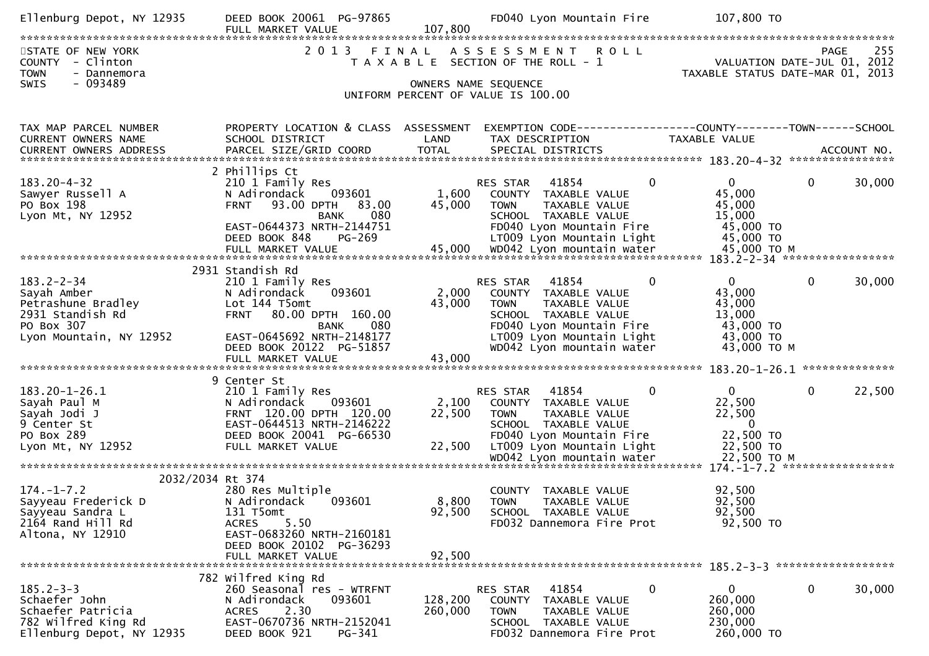| 107,800<br>FULL MARKET VALUE<br>2 0 1 3<br>FINAL<br>ASSESSMENT ROLL<br>255<br>STATE OF NEW YORK<br><b>PAGE</b><br>COUNTY - Clinton<br>VALUATION DATE-JUL 01, 2012<br>T A X A B L E SECTION OF THE ROLL - 1<br><b>TOWN</b><br>- Dannemora<br>TAXABLE STATUS DATE-MAR 01, 2013<br>$-093489$<br><b>SWIS</b><br>OWNERS NAME SEQUENCE<br>UNIFORM PERCENT OF VALUE IS 100.00<br>PROPERTY LOCATION & CLASS ASSESSMENT<br>EXEMPTION CODE-----------------COUNTY-------TOWN------SCHOOL<br>TAX MAP PARCEL NUMBER<br>CURRENT OWNERS NAME<br>SCHOOL DISTRICT<br>LAND<br>TAX DESCRIPTION<br><b>TAXABLE VALUE</b><br>2 Phillips Ct<br>$\mathbf 0$<br>$\mathbf 0$<br>$183.20 - 4 - 32$<br>$\mathbf{0}$<br>30,000<br>210 1 Family Res<br>RES STAR<br>41854<br>45,000<br>Sawyer Russell A<br>N Adirondack<br>093601<br>1,600<br>COUNTY TAXABLE VALUE<br>45,000<br>45,000<br>PO Box 198<br>93.00 DPTH<br>TAXABLE VALUE<br><b>FRNT</b><br>83.00<br><b>TOWN</b><br>080<br>15,000<br>Lyon Mt, NY 12952<br><b>BANK</b><br>SCHOOL TAXABLE VALUE<br>45,000 TO<br>EAST-0644373 NRTH-2144751<br>FD040 Lyon Mountain Fire<br>45,000 TO<br>DEED BOOK 848<br>PG-269<br>LT009 Lyon Mountain Light<br>FULL MARKET VALUE 45,000 WD042 Lyon mountain water 45,000 TO M FULL MARKET VALUE 45,000 VD042 Lyon mountain water 45,000 TO M بالتقليم بمعدية بالمستخدمة بالمستخدمة بالتقليم بالمستخدمة بالمستخدمة بالتقليم بالمستخدمة بالتقل<br>2931 Standish Rd<br>$183.2 - 2 - 34$<br>$\mathbf{0}$<br>$\mathbf{0}$<br>$\mathbf 0$<br>30,000<br>210 1 Family Res<br>RES STAR<br>41854<br>Sayah Amber<br>43,000<br>N Adirondack<br>093601<br>2,000<br>COUNTY TAXABLE VALUE<br>43,000<br>43,000<br>Petrashune Bradley<br>Lot 144 T5omt<br><b>TOWN</b><br>TAXABLE VALUE<br>FRNT 80.00 DPTH 160.00<br>2931 Standish Rd<br>SCHOOL TAXABLE VALUE<br>13,000<br>PO Box 307<br>43,000 TO<br>080<br>FD040 Lyon Mountain Fire<br><b>BANK</b><br>43,000 TO<br>Lyon Mountain, NY 12952<br>EAST-0645692 NRTH-2148177<br>LT009 Lyon Mountain Light<br>43,000 TO M<br>DEED BOOK 20122 PG-51857<br>WD042 Lyon mountain water<br>FULL MARKET VALUE<br>43,000<br>9 Center St<br>0<br>22,500<br>$183.20 - 1 - 26.1$<br>41854<br>$\mathbf{0}$<br>210 1 Family Res<br>RES STAR<br>$\Omega$<br>093601<br>2,100<br>22,500<br>Sayah Paul M<br>N Adirondack<br>COUNTY TAXABLE VALUE<br>FRNT 120.00 DPTH 120.00<br>22,500<br>22,500<br>Sayah Jodi J<br>TAXABLE VALUE<br><b>TOWN</b><br>EAST-0644513 NRTH-2146222<br>$\mathbf{0}$<br>9 Center St<br>SCHOOL TAXABLE VALUE<br>22,500 TO<br>PO Box 289<br>DEED BOOK 20041 PG-66530<br>FD040 Lyon Mountain Fire<br>22,500<br>Lyon Mt, NY 12952<br>FULL MARKET VALUE<br>LT009 Lyon Mountain Light<br>22,500 TO<br>2032/2034 Rt 374<br>$174. - 1 - 7.2$<br>280 Res Multiple<br>COUNTY TAXABLE VALUE<br>92,500<br>8,800<br>N Adirondack<br>92,500<br>Sayyeau Frederick D<br>093601<br><b>TOWN</b><br>TAXABLE VALUE<br>92,500<br>131 T5omt<br>92,500<br>SCHOOL TAXABLE VALUE<br>Sayyeau Sandra L<br>2164 Rand Hill Rd<br>5.50<br>FD032 Dannemora Fire Prot<br>92,500 TO<br><b>ACRES</b><br>EAST-0683260 NRTH-2160181<br>Altona, NY 12910<br>DEED BOOK 20102 PG-36293<br>FULL MARKET VALUE<br>92,500<br>782 Wilfred King Rd<br>$185.2 - 3 - 3$<br>0<br>30,000<br>41854<br>0<br>$\mathbf{0}$<br>260 Seasonal res - WTRFNT<br><b>RES STAR</b><br>128,200<br>260,000<br>Schaefer John<br>093601<br>N Adirondack<br>COUNTY<br>TAXABLE VALUE<br>2.30<br>Schaefer Patricia<br>260,000<br>260,000<br><b>ACRES</b><br>TAXABLE VALUE<br><b>TOWN</b><br>EAST-0670736 NRTH-2152041<br>782 Wilfred King Rd<br>230,000<br>SCHOOL TAXABLE VALUE<br>Ellenburg Depot, NY 12935<br>DEED BOOK 921<br>PG-341<br>FD032 Dannemora Fire Prot<br>260,000 TO | Ellenburg Depot, NY 12935 | DEED BOOK 20061 PG-97865 | FD040 Lyon Mountain Fire | 107,800 TO |
|-----------------------------------------------------------------------------------------------------------------------------------------------------------------------------------------------------------------------------------------------------------------------------------------------------------------------------------------------------------------------------------------------------------------------------------------------------------------------------------------------------------------------------------------------------------------------------------------------------------------------------------------------------------------------------------------------------------------------------------------------------------------------------------------------------------------------------------------------------------------------------------------------------------------------------------------------------------------------------------------------------------------------------------------------------------------------------------------------------------------------------------------------------------------------------------------------------------------------------------------------------------------------------------------------------------------------------------------------------------------------------------------------------------------------------------------------------------------------------------------------------------------------------------------------------------------------------------------------------------------------------------------------------------------------------------------------------------------------------------------------------------------------------------------------------------------------------------------------------------------------------------------------------------------------------------------------------------------------------------------------------------------------------------------------------------------------------------------------------------------------------------------------------------------------------------------------------------------------------------------------------------------------------------------------------------------------------------------------------------------------------------------------------------------------------------------------------------------------------------------------------------------------------------------------------------------------------------------------------------------------------------------------------------------------------------------------------------------------------------------------------------------------------------------------------------------------------------------------------------------------------------------------------------------------------------------------------------------------------------------------------------------------------------------------------------------------------------------------------------------------------------------------------------------------------------------------------------------------------------------------------------------------------------------------------------------------------------------------------------------------------------------------------------------------------------------------------------------------------------------------------------------------------------------------------------------------------------------------------------------------------------------------------------------------------------------------------------|---------------------------|--------------------------|--------------------------|------------|
|                                                                                                                                                                                                                                                                                                                                                                                                                                                                                                                                                                                                                                                                                                                                                                                                                                                                                                                                                                                                                                                                                                                                                                                                                                                                                                                                                                                                                                                                                                                                                                                                                                                                                                                                                                                                                                                                                                                                                                                                                                                                                                                                                                                                                                                                                                                                                                                                                                                                                                                                                                                                                                                                                                                                                                                                                                                                                                                                                                                                                                                                                                                                                                                                                                                                                                                                                                                                                                                                                                                                                                                                                                                                                                           |                           |                          |                          |            |
|                                                                                                                                                                                                                                                                                                                                                                                                                                                                                                                                                                                                                                                                                                                                                                                                                                                                                                                                                                                                                                                                                                                                                                                                                                                                                                                                                                                                                                                                                                                                                                                                                                                                                                                                                                                                                                                                                                                                                                                                                                                                                                                                                                                                                                                                                                                                                                                                                                                                                                                                                                                                                                                                                                                                                                                                                                                                                                                                                                                                                                                                                                                                                                                                                                                                                                                                                                                                                                                                                                                                                                                                                                                                                                           |                           |                          |                          |            |
|                                                                                                                                                                                                                                                                                                                                                                                                                                                                                                                                                                                                                                                                                                                                                                                                                                                                                                                                                                                                                                                                                                                                                                                                                                                                                                                                                                                                                                                                                                                                                                                                                                                                                                                                                                                                                                                                                                                                                                                                                                                                                                                                                                                                                                                                                                                                                                                                                                                                                                                                                                                                                                                                                                                                                                                                                                                                                                                                                                                                                                                                                                                                                                                                                                                                                                                                                                                                                                                                                                                                                                                                                                                                                                           |                           |                          |                          |            |
|                                                                                                                                                                                                                                                                                                                                                                                                                                                                                                                                                                                                                                                                                                                                                                                                                                                                                                                                                                                                                                                                                                                                                                                                                                                                                                                                                                                                                                                                                                                                                                                                                                                                                                                                                                                                                                                                                                                                                                                                                                                                                                                                                                                                                                                                                                                                                                                                                                                                                                                                                                                                                                                                                                                                                                                                                                                                                                                                                                                                                                                                                                                                                                                                                                                                                                                                                                                                                                                                                                                                                                                                                                                                                                           |                           |                          |                          |            |
|                                                                                                                                                                                                                                                                                                                                                                                                                                                                                                                                                                                                                                                                                                                                                                                                                                                                                                                                                                                                                                                                                                                                                                                                                                                                                                                                                                                                                                                                                                                                                                                                                                                                                                                                                                                                                                                                                                                                                                                                                                                                                                                                                                                                                                                                                                                                                                                                                                                                                                                                                                                                                                                                                                                                                                                                                                                                                                                                                                                                                                                                                                                                                                                                                                                                                                                                                                                                                                                                                                                                                                                                                                                                                                           |                           |                          |                          |            |
|                                                                                                                                                                                                                                                                                                                                                                                                                                                                                                                                                                                                                                                                                                                                                                                                                                                                                                                                                                                                                                                                                                                                                                                                                                                                                                                                                                                                                                                                                                                                                                                                                                                                                                                                                                                                                                                                                                                                                                                                                                                                                                                                                                                                                                                                                                                                                                                                                                                                                                                                                                                                                                                                                                                                                                                                                                                                                                                                                                                                                                                                                                                                                                                                                                                                                                                                                                                                                                                                                                                                                                                                                                                                                                           |                           |                          |                          |            |
|                                                                                                                                                                                                                                                                                                                                                                                                                                                                                                                                                                                                                                                                                                                                                                                                                                                                                                                                                                                                                                                                                                                                                                                                                                                                                                                                                                                                                                                                                                                                                                                                                                                                                                                                                                                                                                                                                                                                                                                                                                                                                                                                                                                                                                                                                                                                                                                                                                                                                                                                                                                                                                                                                                                                                                                                                                                                                                                                                                                                                                                                                                                                                                                                                                                                                                                                                                                                                                                                                                                                                                                                                                                                                                           |                           |                          |                          |            |
|                                                                                                                                                                                                                                                                                                                                                                                                                                                                                                                                                                                                                                                                                                                                                                                                                                                                                                                                                                                                                                                                                                                                                                                                                                                                                                                                                                                                                                                                                                                                                                                                                                                                                                                                                                                                                                                                                                                                                                                                                                                                                                                                                                                                                                                                                                                                                                                                                                                                                                                                                                                                                                                                                                                                                                                                                                                                                                                                                                                                                                                                                                                                                                                                                                                                                                                                                                                                                                                                                                                                                                                                                                                                                                           |                           |                          |                          |            |
|                                                                                                                                                                                                                                                                                                                                                                                                                                                                                                                                                                                                                                                                                                                                                                                                                                                                                                                                                                                                                                                                                                                                                                                                                                                                                                                                                                                                                                                                                                                                                                                                                                                                                                                                                                                                                                                                                                                                                                                                                                                                                                                                                                                                                                                                                                                                                                                                                                                                                                                                                                                                                                                                                                                                                                                                                                                                                                                                                                                                                                                                                                                                                                                                                                                                                                                                                                                                                                                                                                                                                                                                                                                                                                           |                           |                          |                          |            |
|                                                                                                                                                                                                                                                                                                                                                                                                                                                                                                                                                                                                                                                                                                                                                                                                                                                                                                                                                                                                                                                                                                                                                                                                                                                                                                                                                                                                                                                                                                                                                                                                                                                                                                                                                                                                                                                                                                                                                                                                                                                                                                                                                                                                                                                                                                                                                                                                                                                                                                                                                                                                                                                                                                                                                                                                                                                                                                                                                                                                                                                                                                                                                                                                                                                                                                                                                                                                                                                                                                                                                                                                                                                                                                           |                           |                          |                          |            |
|                                                                                                                                                                                                                                                                                                                                                                                                                                                                                                                                                                                                                                                                                                                                                                                                                                                                                                                                                                                                                                                                                                                                                                                                                                                                                                                                                                                                                                                                                                                                                                                                                                                                                                                                                                                                                                                                                                                                                                                                                                                                                                                                                                                                                                                                                                                                                                                                                                                                                                                                                                                                                                                                                                                                                                                                                                                                                                                                                                                                                                                                                                                                                                                                                                                                                                                                                                                                                                                                                                                                                                                                                                                                                                           |                           |                          |                          |            |
|                                                                                                                                                                                                                                                                                                                                                                                                                                                                                                                                                                                                                                                                                                                                                                                                                                                                                                                                                                                                                                                                                                                                                                                                                                                                                                                                                                                                                                                                                                                                                                                                                                                                                                                                                                                                                                                                                                                                                                                                                                                                                                                                                                                                                                                                                                                                                                                                                                                                                                                                                                                                                                                                                                                                                                                                                                                                                                                                                                                                                                                                                                                                                                                                                                                                                                                                                                                                                                                                                                                                                                                                                                                                                                           |                           |                          |                          |            |
|                                                                                                                                                                                                                                                                                                                                                                                                                                                                                                                                                                                                                                                                                                                                                                                                                                                                                                                                                                                                                                                                                                                                                                                                                                                                                                                                                                                                                                                                                                                                                                                                                                                                                                                                                                                                                                                                                                                                                                                                                                                                                                                                                                                                                                                                                                                                                                                                                                                                                                                                                                                                                                                                                                                                                                                                                                                                                                                                                                                                                                                                                                                                                                                                                                                                                                                                                                                                                                                                                                                                                                                                                                                                                                           |                           |                          |                          |            |
|                                                                                                                                                                                                                                                                                                                                                                                                                                                                                                                                                                                                                                                                                                                                                                                                                                                                                                                                                                                                                                                                                                                                                                                                                                                                                                                                                                                                                                                                                                                                                                                                                                                                                                                                                                                                                                                                                                                                                                                                                                                                                                                                                                                                                                                                                                                                                                                                                                                                                                                                                                                                                                                                                                                                                                                                                                                                                                                                                                                                                                                                                                                                                                                                                                                                                                                                                                                                                                                                                                                                                                                                                                                                                                           |                           |                          |                          |            |
|                                                                                                                                                                                                                                                                                                                                                                                                                                                                                                                                                                                                                                                                                                                                                                                                                                                                                                                                                                                                                                                                                                                                                                                                                                                                                                                                                                                                                                                                                                                                                                                                                                                                                                                                                                                                                                                                                                                                                                                                                                                                                                                                                                                                                                                                                                                                                                                                                                                                                                                                                                                                                                                                                                                                                                                                                                                                                                                                                                                                                                                                                                                                                                                                                                                                                                                                                                                                                                                                                                                                                                                                                                                                                                           |                           |                          |                          |            |
|                                                                                                                                                                                                                                                                                                                                                                                                                                                                                                                                                                                                                                                                                                                                                                                                                                                                                                                                                                                                                                                                                                                                                                                                                                                                                                                                                                                                                                                                                                                                                                                                                                                                                                                                                                                                                                                                                                                                                                                                                                                                                                                                                                                                                                                                                                                                                                                                                                                                                                                                                                                                                                                                                                                                                                                                                                                                                                                                                                                                                                                                                                                                                                                                                                                                                                                                                                                                                                                                                                                                                                                                                                                                                                           |                           |                          |                          |            |
|                                                                                                                                                                                                                                                                                                                                                                                                                                                                                                                                                                                                                                                                                                                                                                                                                                                                                                                                                                                                                                                                                                                                                                                                                                                                                                                                                                                                                                                                                                                                                                                                                                                                                                                                                                                                                                                                                                                                                                                                                                                                                                                                                                                                                                                                                                                                                                                                                                                                                                                                                                                                                                                                                                                                                                                                                                                                                                                                                                                                                                                                                                                                                                                                                                                                                                                                                                                                                                                                                                                                                                                                                                                                                                           |                           |                          |                          |            |
|                                                                                                                                                                                                                                                                                                                                                                                                                                                                                                                                                                                                                                                                                                                                                                                                                                                                                                                                                                                                                                                                                                                                                                                                                                                                                                                                                                                                                                                                                                                                                                                                                                                                                                                                                                                                                                                                                                                                                                                                                                                                                                                                                                                                                                                                                                                                                                                                                                                                                                                                                                                                                                                                                                                                                                                                                                                                                                                                                                                                                                                                                                                                                                                                                                                                                                                                                                                                                                                                                                                                                                                                                                                                                                           |                           |                          |                          |            |
|                                                                                                                                                                                                                                                                                                                                                                                                                                                                                                                                                                                                                                                                                                                                                                                                                                                                                                                                                                                                                                                                                                                                                                                                                                                                                                                                                                                                                                                                                                                                                                                                                                                                                                                                                                                                                                                                                                                                                                                                                                                                                                                                                                                                                                                                                                                                                                                                                                                                                                                                                                                                                                                                                                                                                                                                                                                                                                                                                                                                                                                                                                                                                                                                                                                                                                                                                                                                                                                                                                                                                                                                                                                                                                           |                           |                          |                          |            |
|                                                                                                                                                                                                                                                                                                                                                                                                                                                                                                                                                                                                                                                                                                                                                                                                                                                                                                                                                                                                                                                                                                                                                                                                                                                                                                                                                                                                                                                                                                                                                                                                                                                                                                                                                                                                                                                                                                                                                                                                                                                                                                                                                                                                                                                                                                                                                                                                                                                                                                                                                                                                                                                                                                                                                                                                                                                                                                                                                                                                                                                                                                                                                                                                                                                                                                                                                                                                                                                                                                                                                                                                                                                                                                           |                           |                          |                          |            |
|                                                                                                                                                                                                                                                                                                                                                                                                                                                                                                                                                                                                                                                                                                                                                                                                                                                                                                                                                                                                                                                                                                                                                                                                                                                                                                                                                                                                                                                                                                                                                                                                                                                                                                                                                                                                                                                                                                                                                                                                                                                                                                                                                                                                                                                                                                                                                                                                                                                                                                                                                                                                                                                                                                                                                                                                                                                                                                                                                                                                                                                                                                                                                                                                                                                                                                                                                                                                                                                                                                                                                                                                                                                                                                           |                           |                          |                          |            |
|                                                                                                                                                                                                                                                                                                                                                                                                                                                                                                                                                                                                                                                                                                                                                                                                                                                                                                                                                                                                                                                                                                                                                                                                                                                                                                                                                                                                                                                                                                                                                                                                                                                                                                                                                                                                                                                                                                                                                                                                                                                                                                                                                                                                                                                                                                                                                                                                                                                                                                                                                                                                                                                                                                                                                                                                                                                                                                                                                                                                                                                                                                                                                                                                                                                                                                                                                                                                                                                                                                                                                                                                                                                                                                           |                           |                          |                          |            |
|                                                                                                                                                                                                                                                                                                                                                                                                                                                                                                                                                                                                                                                                                                                                                                                                                                                                                                                                                                                                                                                                                                                                                                                                                                                                                                                                                                                                                                                                                                                                                                                                                                                                                                                                                                                                                                                                                                                                                                                                                                                                                                                                                                                                                                                                                                                                                                                                                                                                                                                                                                                                                                                                                                                                                                                                                                                                                                                                                                                                                                                                                                                                                                                                                                                                                                                                                                                                                                                                                                                                                                                                                                                                                                           |                           |                          |                          |            |
|                                                                                                                                                                                                                                                                                                                                                                                                                                                                                                                                                                                                                                                                                                                                                                                                                                                                                                                                                                                                                                                                                                                                                                                                                                                                                                                                                                                                                                                                                                                                                                                                                                                                                                                                                                                                                                                                                                                                                                                                                                                                                                                                                                                                                                                                                                                                                                                                                                                                                                                                                                                                                                                                                                                                                                                                                                                                                                                                                                                                                                                                                                                                                                                                                                                                                                                                                                                                                                                                                                                                                                                                                                                                                                           |                           |                          |                          |            |
|                                                                                                                                                                                                                                                                                                                                                                                                                                                                                                                                                                                                                                                                                                                                                                                                                                                                                                                                                                                                                                                                                                                                                                                                                                                                                                                                                                                                                                                                                                                                                                                                                                                                                                                                                                                                                                                                                                                                                                                                                                                                                                                                                                                                                                                                                                                                                                                                                                                                                                                                                                                                                                                                                                                                                                                                                                                                                                                                                                                                                                                                                                                                                                                                                                                                                                                                                                                                                                                                                                                                                                                                                                                                                                           |                           |                          |                          |            |
|                                                                                                                                                                                                                                                                                                                                                                                                                                                                                                                                                                                                                                                                                                                                                                                                                                                                                                                                                                                                                                                                                                                                                                                                                                                                                                                                                                                                                                                                                                                                                                                                                                                                                                                                                                                                                                                                                                                                                                                                                                                                                                                                                                                                                                                                                                                                                                                                                                                                                                                                                                                                                                                                                                                                                                                                                                                                                                                                                                                                                                                                                                                                                                                                                                                                                                                                                                                                                                                                                                                                                                                                                                                                                                           |                           |                          |                          |            |
|                                                                                                                                                                                                                                                                                                                                                                                                                                                                                                                                                                                                                                                                                                                                                                                                                                                                                                                                                                                                                                                                                                                                                                                                                                                                                                                                                                                                                                                                                                                                                                                                                                                                                                                                                                                                                                                                                                                                                                                                                                                                                                                                                                                                                                                                                                                                                                                                                                                                                                                                                                                                                                                                                                                                                                                                                                                                                                                                                                                                                                                                                                                                                                                                                                                                                                                                                                                                                                                                                                                                                                                                                                                                                                           |                           |                          |                          |            |
|                                                                                                                                                                                                                                                                                                                                                                                                                                                                                                                                                                                                                                                                                                                                                                                                                                                                                                                                                                                                                                                                                                                                                                                                                                                                                                                                                                                                                                                                                                                                                                                                                                                                                                                                                                                                                                                                                                                                                                                                                                                                                                                                                                                                                                                                                                                                                                                                                                                                                                                                                                                                                                                                                                                                                                                                                                                                                                                                                                                                                                                                                                                                                                                                                                                                                                                                                                                                                                                                                                                                                                                                                                                                                                           |                           |                          |                          |            |
|                                                                                                                                                                                                                                                                                                                                                                                                                                                                                                                                                                                                                                                                                                                                                                                                                                                                                                                                                                                                                                                                                                                                                                                                                                                                                                                                                                                                                                                                                                                                                                                                                                                                                                                                                                                                                                                                                                                                                                                                                                                                                                                                                                                                                                                                                                                                                                                                                                                                                                                                                                                                                                                                                                                                                                                                                                                                                                                                                                                                                                                                                                                                                                                                                                                                                                                                                                                                                                                                                                                                                                                                                                                                                                           |                           |                          |                          |            |
|                                                                                                                                                                                                                                                                                                                                                                                                                                                                                                                                                                                                                                                                                                                                                                                                                                                                                                                                                                                                                                                                                                                                                                                                                                                                                                                                                                                                                                                                                                                                                                                                                                                                                                                                                                                                                                                                                                                                                                                                                                                                                                                                                                                                                                                                                                                                                                                                                                                                                                                                                                                                                                                                                                                                                                                                                                                                                                                                                                                                                                                                                                                                                                                                                                                                                                                                                                                                                                                                                                                                                                                                                                                                                                           |                           |                          |                          |            |
|                                                                                                                                                                                                                                                                                                                                                                                                                                                                                                                                                                                                                                                                                                                                                                                                                                                                                                                                                                                                                                                                                                                                                                                                                                                                                                                                                                                                                                                                                                                                                                                                                                                                                                                                                                                                                                                                                                                                                                                                                                                                                                                                                                                                                                                                                                                                                                                                                                                                                                                                                                                                                                                                                                                                                                                                                                                                                                                                                                                                                                                                                                                                                                                                                                                                                                                                                                                                                                                                                                                                                                                                                                                                                                           |                           |                          |                          |            |
|                                                                                                                                                                                                                                                                                                                                                                                                                                                                                                                                                                                                                                                                                                                                                                                                                                                                                                                                                                                                                                                                                                                                                                                                                                                                                                                                                                                                                                                                                                                                                                                                                                                                                                                                                                                                                                                                                                                                                                                                                                                                                                                                                                                                                                                                                                                                                                                                                                                                                                                                                                                                                                                                                                                                                                                                                                                                                                                                                                                                                                                                                                                                                                                                                                                                                                                                                                                                                                                                                                                                                                                                                                                                                                           |                           |                          |                          |            |
|                                                                                                                                                                                                                                                                                                                                                                                                                                                                                                                                                                                                                                                                                                                                                                                                                                                                                                                                                                                                                                                                                                                                                                                                                                                                                                                                                                                                                                                                                                                                                                                                                                                                                                                                                                                                                                                                                                                                                                                                                                                                                                                                                                                                                                                                                                                                                                                                                                                                                                                                                                                                                                                                                                                                                                                                                                                                                                                                                                                                                                                                                                                                                                                                                                                                                                                                                                                                                                                                                                                                                                                                                                                                                                           |                           |                          |                          |            |
|                                                                                                                                                                                                                                                                                                                                                                                                                                                                                                                                                                                                                                                                                                                                                                                                                                                                                                                                                                                                                                                                                                                                                                                                                                                                                                                                                                                                                                                                                                                                                                                                                                                                                                                                                                                                                                                                                                                                                                                                                                                                                                                                                                                                                                                                                                                                                                                                                                                                                                                                                                                                                                                                                                                                                                                                                                                                                                                                                                                                                                                                                                                                                                                                                                                                                                                                                                                                                                                                                                                                                                                                                                                                                                           |                           |                          |                          |            |
|                                                                                                                                                                                                                                                                                                                                                                                                                                                                                                                                                                                                                                                                                                                                                                                                                                                                                                                                                                                                                                                                                                                                                                                                                                                                                                                                                                                                                                                                                                                                                                                                                                                                                                                                                                                                                                                                                                                                                                                                                                                                                                                                                                                                                                                                                                                                                                                                                                                                                                                                                                                                                                                                                                                                                                                                                                                                                                                                                                                                                                                                                                                                                                                                                                                                                                                                                                                                                                                                                                                                                                                                                                                                                                           |                           |                          |                          |            |
|                                                                                                                                                                                                                                                                                                                                                                                                                                                                                                                                                                                                                                                                                                                                                                                                                                                                                                                                                                                                                                                                                                                                                                                                                                                                                                                                                                                                                                                                                                                                                                                                                                                                                                                                                                                                                                                                                                                                                                                                                                                                                                                                                                                                                                                                                                                                                                                                                                                                                                                                                                                                                                                                                                                                                                                                                                                                                                                                                                                                                                                                                                                                                                                                                                                                                                                                                                                                                                                                                                                                                                                                                                                                                                           |                           |                          |                          |            |
|                                                                                                                                                                                                                                                                                                                                                                                                                                                                                                                                                                                                                                                                                                                                                                                                                                                                                                                                                                                                                                                                                                                                                                                                                                                                                                                                                                                                                                                                                                                                                                                                                                                                                                                                                                                                                                                                                                                                                                                                                                                                                                                                                                                                                                                                                                                                                                                                                                                                                                                                                                                                                                                                                                                                                                                                                                                                                                                                                                                                                                                                                                                                                                                                                                                                                                                                                                                                                                                                                                                                                                                                                                                                                                           |                           |                          |                          |            |
|                                                                                                                                                                                                                                                                                                                                                                                                                                                                                                                                                                                                                                                                                                                                                                                                                                                                                                                                                                                                                                                                                                                                                                                                                                                                                                                                                                                                                                                                                                                                                                                                                                                                                                                                                                                                                                                                                                                                                                                                                                                                                                                                                                                                                                                                                                                                                                                                                                                                                                                                                                                                                                                                                                                                                                                                                                                                                                                                                                                                                                                                                                                                                                                                                                                                                                                                                                                                                                                                                                                                                                                                                                                                                                           |                           |                          |                          |            |
|                                                                                                                                                                                                                                                                                                                                                                                                                                                                                                                                                                                                                                                                                                                                                                                                                                                                                                                                                                                                                                                                                                                                                                                                                                                                                                                                                                                                                                                                                                                                                                                                                                                                                                                                                                                                                                                                                                                                                                                                                                                                                                                                                                                                                                                                                                                                                                                                                                                                                                                                                                                                                                                                                                                                                                                                                                                                                                                                                                                                                                                                                                                                                                                                                                                                                                                                                                                                                                                                                                                                                                                                                                                                                                           |                           |                          |                          |            |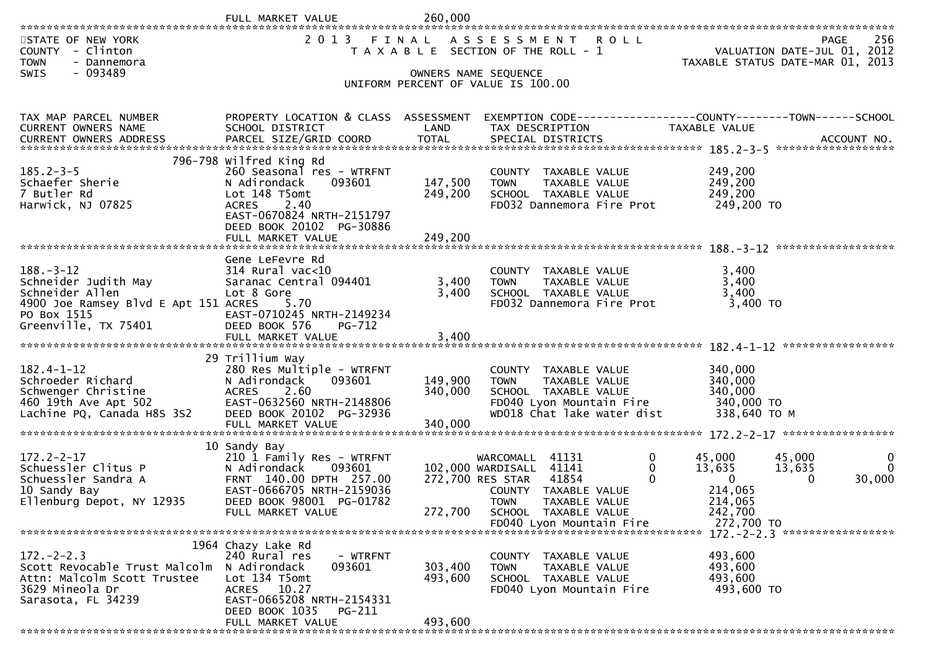|                                                                                          | FULL MARKET VALUE<br>******************************     | 260,000            |                                                                                              |                         |                                                                                |
|------------------------------------------------------------------------------------------|---------------------------------------------------------|--------------------|----------------------------------------------------------------------------------------------|-------------------------|--------------------------------------------------------------------------------|
| STATE OF NEW YORK<br>COUNTY - Clinton<br><b>TOWN</b><br>- Dannemora<br>$-093489$<br>SWIS | 2 0 1 3                                                 | FINAL              | A S S E S S M E N T R O L L<br>T A X A B L E SECTION OF THE ROLL - 1<br>OWNERS NAME SEQUENCE |                         | 256<br>PAGE<br>VALUATION DATE-JUL 01, 2012<br>TAXABLE STATUS DATE-MAR 01, 2013 |
|                                                                                          |                                                         |                    | UNIFORM PERCENT OF VALUE IS 100.00                                                           |                         |                                                                                |
|                                                                                          |                                                         |                    |                                                                                              |                         |                                                                                |
| TAX MAP PARCEL NUMBER<br>CURRENT OWNERS NAME                                             | PROPERTY LOCATION & CLASS ASSESSMENT<br>SCHOOL DISTRICT | LAND               | EXEMPTION CODE-----------------COUNTY--------TOWN------SCHOOL<br>TAX DESCRIPTION             | TAXABLE VALUE           |                                                                                |
|                                                                                          |                                                         |                    |                                                                                              |                         |                                                                                |
|                                                                                          | 796-798 wilfred King Rd                                 |                    |                                                                                              |                         |                                                                                |
| $185.2 - 3 - 5$                                                                          | 260 Seasonal res - WTRFNT                               |                    | COUNTY TAXABLE VALUE                                                                         | 249,200                 |                                                                                |
| Schaefer Sherie<br>7 Butler Rd                                                           | 093601<br>N Adirondack<br>Lot 148 T5omt                 | 147,500<br>249,200 | TAXABLE VALUE<br><b>TOWN</b><br>SCHOOL TAXABLE VALUE                                         | 249,200<br>249,200      |                                                                                |
| Harwick, NJ 07825                                                                        | 2.40<br><b>ACRES</b>                                    |                    | FD032 Dannemora Fire Prot                                                                    | 249,200 TO              |                                                                                |
|                                                                                          | EAST-0670824 NRTH-2151797<br>DEED BOOK 20102 PG-30886   |                    |                                                                                              |                         |                                                                                |
|                                                                                          | FULL MARKET VALUE                                       | 249,200            |                                                                                              |                         |                                                                                |
|                                                                                          | Gene LeFevre Rd                                         |                    |                                                                                              |                         |                                                                                |
| $188. - 3 - 12$                                                                          | 314 Rural vac<10                                        |                    | COUNTY TAXABLE VALUE                                                                         | 3,400                   |                                                                                |
| Schneider Judith May<br>Schneider Allen                                                  | Saranac Central 094401<br>Lot 8 Gore                    | 3,400<br>3,400     | <b>TAXABLE VALUE</b><br><b>TOWN</b><br>SCHOOL TAXABLE VALUE                                  | 3,400<br>3,400          |                                                                                |
| 4900 Joe Ramsey Blvd E Apt 151 ACRES                                                     | 5.70                                                    |                    | FD032 Dannemora Fire Prot                                                                    | 3,400 TO                |                                                                                |
| PO Box 1515<br>Greenville, TX 75401                                                      | EAST-0710245 NRTH-2149234<br>DEED BOOK 576<br>$PG-712$  |                    |                                                                                              |                         |                                                                                |
|                                                                                          |                                                         |                    |                                                                                              |                         |                                                                                |
|                                                                                          | 29 Trillium Way                                         |                    |                                                                                              |                         |                                                                                |
| $182.4 - 1 - 12$                                                                         | 280 Res Multiple - WTRFNT                               |                    | COUNTY TAXABLE VALUE                                                                         | 340,000                 |                                                                                |
| Schroeder Richard<br>Schwenger Christine                                                 | N Adirondack<br>093601<br><b>ACRES</b><br>2.60          | 149,900<br>340,000 | <b>TOWN</b><br>TAXABLE VALUE<br>SCHOOL TAXABLE VALUE                                         | 340,000<br>340,000      |                                                                                |
| 460 19th Ave Apt 502                                                                     | EAST-0632560 NRTH-2148806                               |                    | FD040 Lyon Mountain Fire                                                                     | 340,000 TO              |                                                                                |
| Lachine PQ, Canada H8S 3S2                                                               | DEED BOOK 20102 PG-32936<br>FULL MARKET VALUE           | 340,000            | WD018 Chat lake water dist                                                                   | 338,640 TO M            |                                                                                |
|                                                                                          |                                                         |                    |                                                                                              |                         |                                                                                |
| $172.2 - 2 - 17$                                                                         | 10 Sandy Bay<br>210 1 Family Res - WTRFNT               |                    | 0<br>41131<br>WARCOMALL                                                                      | 45,000                  | 0<br>45,000                                                                    |
| Schuessler Clitus P                                                                      | 093601<br>N Adirondack                                  |                    | $\mathbf 0$<br>102,000 WARDISALL 41141                                                       | 13,635                  | $\Omega$<br>13,635                                                             |
| Schuessler Sandra A<br>10 Sandy Bay                                                      | FRNT 140.00 DPTH 257.00<br>EAST-0666705 NRTH-2159036    |                    | $\Omega$<br>41854<br>272,700 RES STAR<br>COUNTY TAXABLE VALUE                                | $\mathbf{0}$<br>214,065 | $\Omega$<br>30,000                                                             |
| Ellenburg Depot, NY 12935                                                                | DEED BOOK 98001 PG-01782                                |                    | <b>TOWN</b><br><b>TAXABLE VALUE</b>                                                          | 214,065                 |                                                                                |
|                                                                                          | FULL MARKET VALUE                                       | 272,700            | SCHOOL TAXABLE VALUE                                                                         | 242,700                 |                                                                                |
|                                                                                          |                                                         |                    | FD040 Lyon Mountain Fire                                                                     | 272,700 TO              | 172. - 2 - 2.3 ******************                                              |
|                                                                                          | 1964 Chazy Lake Rd                                      |                    |                                                                                              |                         |                                                                                |
| $172. - 2 - 2.3$<br>Scott Revocable Trust Malcolm                                        | 240 Rural res<br>- WTRFNT<br>N Adirondack<br>093601     | 303,400            | COUNTY TAXABLE VALUE<br><b>TOWN</b><br>TAXABLE VALUE                                         | 493,600<br>493,600      |                                                                                |
| Attn: Malcolm Scott Trustee                                                              | Lot 134 T5omt                                           | 493,600            | SCHOOL TAXABLE VALUE                                                                         | 493,600                 |                                                                                |
| 3629 Mineola Dr<br>Sarasota, FL 34239                                                    | ACRES 10.27<br>EAST-0665208 NRTH-2154331                |                    | FD040 Lyon Mountain Fire                                                                     | 493,600 TO              |                                                                                |
|                                                                                          | DEED BOOK 1035<br>PG-211                                |                    |                                                                                              |                         |                                                                                |
|                                                                                          | FULL MARKET VALUE                                       | 493,600            |                                                                                              |                         |                                                                                |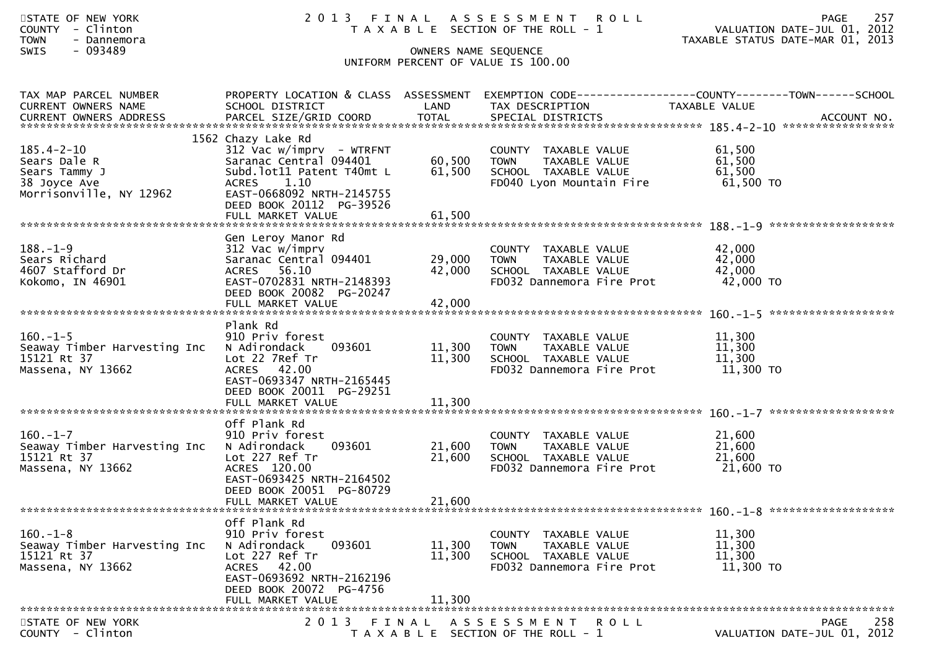| STATE OF NEW YORK<br>COUNTY - Clinton<br><b>TOWN</b><br>- Dannemora<br>- 093489<br><b>SWIS</b> | 2 0 1 3                                                                                                                                                                                             | OWNERS NAME SEQUENCE       | FINAL ASSESSMENT<br><b>ROLL</b><br>T A X A B L E SECTION OF THE ROLL - 1                                  | VALUATION DATE-JUL 01, 2012<br>TAXABLE STATUS DATE-MAR 01, 2013 | 257<br>PAGE |
|------------------------------------------------------------------------------------------------|-----------------------------------------------------------------------------------------------------------------------------------------------------------------------------------------------------|----------------------------|-----------------------------------------------------------------------------------------------------------|-----------------------------------------------------------------|-------------|
|                                                                                                |                                                                                                                                                                                                     |                            | UNIFORM PERCENT OF VALUE IS 100.00                                                                        |                                                                 |             |
| TAX MAP PARCEL NUMBER<br>CURRENT OWNERS NAME                                                   | PROPERTY LOCATION & CLASS ASSESSMENT<br>SCHOOL DISTRICT                                                                                                                                             | LAND                       | EXEMPTION CODE------------------COUNTY--------TOWN------SCHOOL<br>TAX DESCRIPTION                         | TAXABLE VALUE                                                   |             |
| $185.4 - 2 - 10$<br>Sears Dale R<br>Sears Tammy J<br>38 Joyce Ave<br>Morrisonville, NY 12962   | 1562 Chazy Lake Rd<br>$312$ Vac w/imprv - WTRFNT<br>Saranac Central 094401<br>Subd.lot11 Patent T40mt L<br>ACRES 1.10<br>EAST-0668092 NRTH-2145755<br>DEED BOOK 20112 PG-39526<br>FULL MARKET VALUE | 60,500<br>61,500<br>61,500 | COUNTY TAXABLE VALUE<br><b>TOWN</b><br>TAXABLE VALUE<br>SCHOOL TAXABLE VALUE<br>FD040 Lyon Mountain Fire  | 61,500<br>61,500<br>61,500<br>61,500 TO                         |             |
| $188. - 1 - 9$<br>Sears Richard<br>4607 Stafford Dr<br>Kokomo, IN 46901                        | Gen Leroy Manor Rd<br>312 Vac w/imprv<br>Saranac Central 094401<br>ACRES 56.10<br>EAST-0702831 NRTH-2148393<br>DEED BOOK 20082 PG-20247                                                             | 29,000<br>42,000           | COUNTY TAXABLE VALUE<br><b>TOWN</b><br>TAXABLE VALUE<br>SCHOOL TAXABLE VALUE<br>FD032 Dannemora Fire Prot | 42,000<br>42,000<br>42,000<br>42,000 TO                         |             |
| $160.-1-5$<br>Seaway Timber Harvesting Inc<br>15121 Rt 37<br>Massena, NY 13662                 | Plank Rd<br>910 Priv forest<br>093601<br>N Adirondack<br>Lot 22 7Ref Tr<br>ACRES 42.00<br>EAST-0693347 NRTH-2165445<br>DEED BOOK 20011 PG-29251<br>FULL MARKET VALUE                                | 11,300<br>11,300<br>11,300 | COUNTY TAXABLE VALUE<br>TAXABLE VALUE<br><b>TOWN</b><br>SCHOOL TAXABLE VALUE<br>FD032 Dannemora Fire Prot | 11,300<br>11,300<br>11,300<br>11,300 TO                         |             |
| $160. -1 - 7$<br>Seaway Timber Harvesting Inc<br>15121 Rt 37<br>Massena, NY 13662              | Off Plank Rd<br>910 Priv forest<br>093601<br>N Adirondack<br>Lot 227 Ref Tr<br>ACRES 120.00<br>EAST-0693425 NRTH-2164502<br>DEED BOOK 20051 PG-80729                                                | 21,600<br>21,600           | COUNTY TAXABLE VALUE<br>TAXABLE VALUE<br><b>TOWN</b><br>SCHOOL TAXABLE VALUE<br>FD032 Dannemora Fire Prot | 21,600<br>21,600<br>21,600<br>21,600 TO                         |             |
|                                                                                                | FULL MARKET VALUE                                                                                                                                                                                   | 21,600                     |                                                                                                           |                                                                 |             |
| $160. - 1 - 8$<br>Seaway Timber Harvesting Inc<br>15121 Rt 37<br>Massena, NY 13662             | Off Plank Rd<br>910 Priv forest<br>093601<br>N Adirondack<br>Lot 227 Ref Tr<br>ACRES 42.00<br>EAST-0693692 NRTH-2162196<br>DEED BOOK 20072 PG-4756<br>FULL MARKET VALUE                             | 11,300<br>11,300<br>11,300 | COUNTY TAXABLE VALUE<br><b>TOWN</b><br>TAXABLE VALUE<br>SCHOOL TAXABLE VALUE<br>FD032 Dannemora Fire Prot | 11,300<br>11,300<br>11,300<br>11,300 TO                         |             |
| STATE OF NEW YORK<br>COUNTY - Clinton                                                          |                                                                                                                                                                                                     |                            | 2013 FINAL ASSESSMENT<br>ROLL<br>T A X A B L E SECTION OF THE ROLL - 1                                    | VALUATION DATE-JUL 01, 2012                                     | 258<br>PAGE |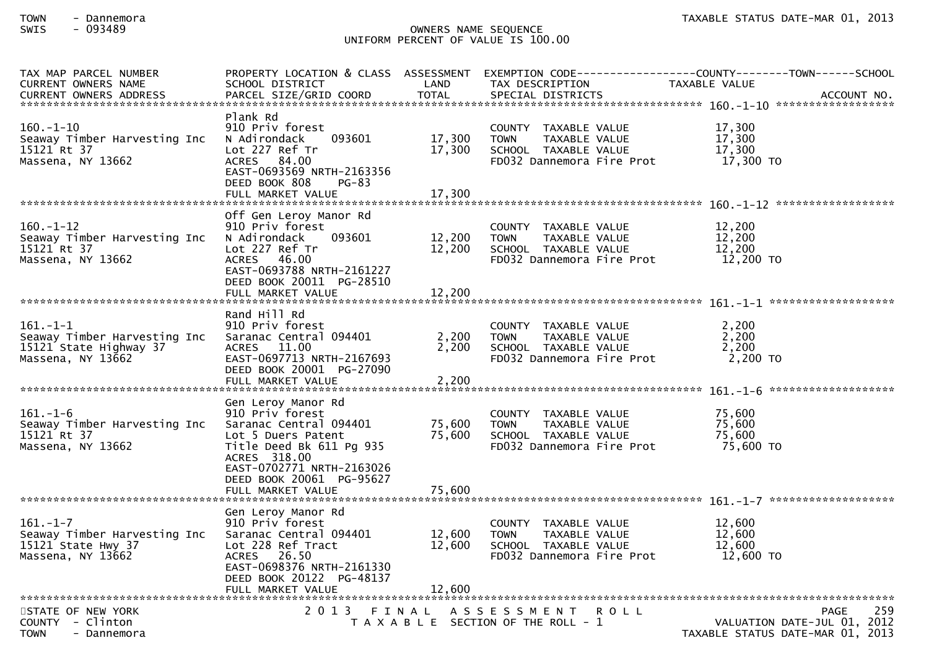## SWIS - 093489 OWNERS NAME SEQUENCE UNIFORM PERCENT OF VALUE IS 100.00

| TAX MAP PARCEL NUMBER            |                                          |        |                                                   | PROPERTY LOCATION & CLASS ASSESSMENT EXEMPTION CODE----------------COUNTY-------TOWN------SCHOOL                            |
|----------------------------------|------------------------------------------|--------|---------------------------------------------------|-----------------------------------------------------------------------------------------------------------------------------|
| CURRENT OWNERS NAME              | SCHOOL DISTRICT                          | LAND   | TAX DESCRIPTION                                   | TAXABLE VALUE                                                                                                               |
|                                  |                                          |        |                                                   | . CURRENT OWNERS ADDRESS PARCEL SIZE/GRID COORD TOTAL SPECIAL DISTRICTS ACCOUNT NO ACCOUNT NO AND MANUSCRIPT OWNERS ADDRESS |
|                                  |                                          |        |                                                   |                                                                                                                             |
| $160. - 1 - 10$                  | Plank Rd<br>910 Priv forest              |        |                                                   | 17,300                                                                                                                      |
|                                  |                                          |        | COUNTY TAXABLE VALUE                              |                                                                                                                             |
| Seaway Timber Harvesting Inc     | N Adirondack<br>093601                   | 17,300 | <b>TOWN</b><br>TAXABLE VALUE                      | 17,300                                                                                                                      |
| 15121 Rt 37<br>Massena, NY 13662 | Lot 227 Ref Tr<br>ACRES 84.00            | 17,300 | SCHOOL TAXABLE VALUE<br>FD032 Dannemora Fire Prot | 17,300<br>17,300 TO                                                                                                         |
|                                  | EAST-0693569 NRTH-2163356                |        |                                                   |                                                                                                                             |
|                                  | DEED BOOK 808<br>$PG-83$                 |        |                                                   |                                                                                                                             |
|                                  | FULL MARKET VALUE                        | 17.300 |                                                   |                                                                                                                             |
|                                  |                                          |        |                                                   |                                                                                                                             |
|                                  | Off Gen Leroy Manor Rd                   |        |                                                   |                                                                                                                             |
| $160 - 1 - 12$                   | 910 Priv forest                          |        | COUNTY TAXABLE VALUE                              | 12,200                                                                                                                      |
| Seaway Timber Harvesting Inc     | N Adirondack<br>093601                   | 12,200 | <b>TOWN</b><br>TAXABLE VALUE                      | 12,200                                                                                                                      |
| 15121 Rt 37                      | Lot 227 Ref Tr                           | 12,200 | SCHOOL TAXABLE VALUE                              | 12,200                                                                                                                      |
| Massena, NY 13662                | ACRES 46.00                              |        | FD032 Dannemora Fire Prot                         | 12,200 TO                                                                                                                   |
|                                  | EAST-0693788 NRTH-2161227                |        |                                                   |                                                                                                                             |
|                                  | DEED BOOK 20011 PG-28510                 |        |                                                   |                                                                                                                             |
|                                  | FULL MARKET VALUE                        | 12,200 |                                                   |                                                                                                                             |
|                                  |                                          |        |                                                   |                                                                                                                             |
|                                  | Rand Hill Rd                             |        |                                                   |                                                                                                                             |
| $161.-1-1$                       | 910 Priv forest                          |        | COUNTY TAXABLE VALUE                              | 2,200                                                                                                                       |
| Seaway Timber Harvesting Inc     | Saranac Central 094401                   | 2,200  | <b>TOWN</b><br>TAXABLE VALUE                      | 2,200                                                                                                                       |
| 15121 State Highway 37           | ACRES 11.00                              | 2,200  | SCHOOL TAXABLE VALUE                              | 2,200                                                                                                                       |
| Massena, NY 13662                | EAST-0697713 NRTH-2167693                |        | FD032 Dannemora Fire Prot                         | 2,200 TO                                                                                                                    |
|                                  | DEED BOOK 20001 PG-27090                 |        |                                                   |                                                                                                                             |
|                                  | FULL MARKET VALUE                        | 2,200  |                                                   |                                                                                                                             |
|                                  |                                          |        |                                                   |                                                                                                                             |
|                                  | Gen Leroy Manor Rd                       |        |                                                   |                                                                                                                             |
| $161. - 1 - 6$                   | 910 Priv forest                          |        | COUNTY TAXABLE VALUE                              | 75,600                                                                                                                      |
| Seaway Timber Harvesting Inc     | Saranac Central 094401                   | 75,600 | TAXABLE VALUE<br><b>TOWN</b>                      | 75,600                                                                                                                      |
| 15121 Rt 37                      | Lot 5 Duers Patent                       | 75,600 | SCHOOL TAXABLE VALUE                              | 75,600                                                                                                                      |
| Massena, NY 13662                | Title Deed Bk 611 Pg 935                 |        | FD032 Dannemora Fire Prot                         | 75,600 TO                                                                                                                   |
|                                  | ACRES 318.00                             |        |                                                   |                                                                                                                             |
|                                  | EAST-0702771 NRTH-2163026                |        |                                                   |                                                                                                                             |
|                                  | DEED BOOK 20061 PG-95627                 |        |                                                   |                                                                                                                             |
|                                  | FULL MARKET VALUE                        | 75,600 |                                                   |                                                                                                                             |
|                                  |                                          |        |                                                   |                                                                                                                             |
|                                  | Gen Leroy Manor Rd                       |        |                                                   |                                                                                                                             |
| $161. - 1 - 7$                   | 910 Priv forest                          |        | COUNTY TAXABLE VALUE                              | 12,600                                                                                                                      |
| Seaway Timber Harvesting Inc     | Saranac Central 094401                   | 12,600 | <b>TOWN</b><br>TAXABLE VALUE                      | 12,600                                                                                                                      |
| 15121 State Hwy 37               | Lot 228 Ref Tract                        | 12,600 | SCHOOL TAXABLE VALUE                              | 12,600<br>12,600 TO                                                                                                         |
| Massena, NY 13662                | ACRES 26.50<br>EAST-0698376 NRTH-2161330 |        | FD032 Dannemora Fire Prot                         |                                                                                                                             |
|                                  | DEED BOOK 20122 PG-48137                 |        |                                                   |                                                                                                                             |
|                                  | FULL MARKET VALUE                        | 12,600 |                                                   |                                                                                                                             |
|                                  |                                          |        |                                                   |                                                                                                                             |
| STATE OF NEW YORK                |                                          |        | 2013 FINAL ASSESSMENT ROLL                        | 259<br>PAGE                                                                                                                 |
| COUNTY - Clinton                 |                                          |        | T A X A B L E SECTION OF THE ROLL - 1             | VALUATION DATE-JUL 01, 2012                                                                                                 |
| <b>TOWN</b><br>- Dannemora       |                                          |        |                                                   | TAXABLE STATUS DATE-MAR 01, 2013                                                                                            |
|                                  |                                          |        |                                                   |                                                                                                                             |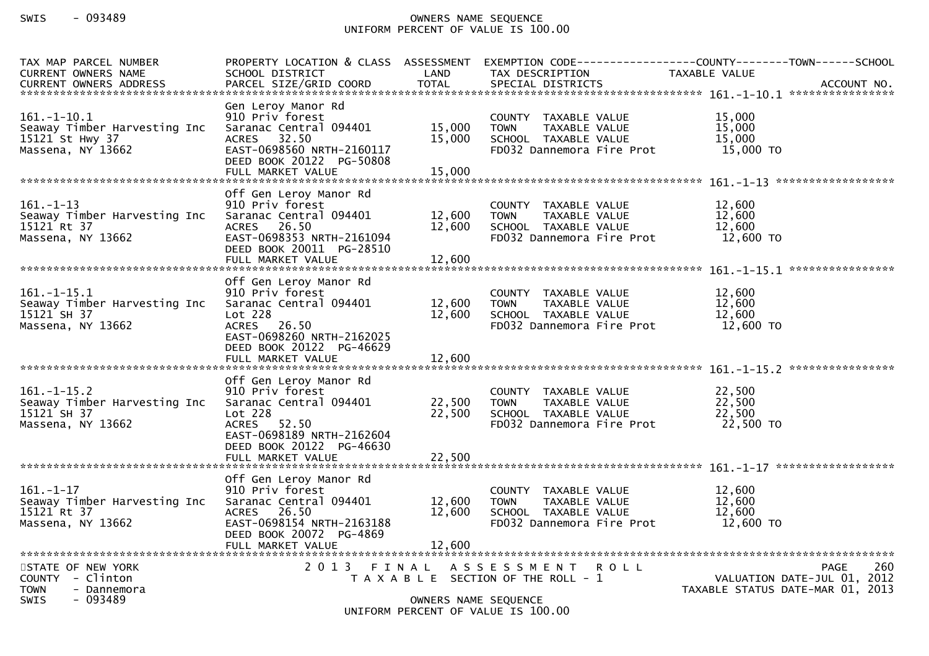# SWIS - 093489 OWNERS NAME SEQUENCE UNIFORM PERCENT OF VALUE IS 100.00

| TAX MAP PARCEL NUMBER<br><b>CURRENT OWNERS NAME</b>                                             | PROPERTY LOCATION & CLASS ASSESSMENT<br>SCHOOL DISTRICT                                                                                                      | LAND                       | TAX DESCRIPTION                                                                                           | EXEMPTION CODE-----------------COUNTY-------TOWN------SCHOOL<br>TAXABLE VALUE |                                                                                |
|-------------------------------------------------------------------------------------------------|--------------------------------------------------------------------------------------------------------------------------------------------------------------|----------------------------|-----------------------------------------------------------------------------------------------------------|-------------------------------------------------------------------------------|--------------------------------------------------------------------------------|
|                                                                                                 |                                                                                                                                                              |                            |                                                                                                           |                                                                               |                                                                                |
| $161. - 1 - 10.1$<br>Seaway Timber Harvesting Inc<br>15121 St Hwy 37<br>Massena, NY 13662       | Gen Leroy Manor Rd<br>910 Priv forest<br>Saranac Central 094401<br>ACRES 32.50<br>EAST-0698560 NRTH-2160117<br>DEED BOOK 20122 PG-50808<br>FULL MARKET VALUE | 15,000<br>15,000<br>15,000 | COUNTY TAXABLE VALUE<br><b>TOWN</b><br>TAXABLE VALUE<br>SCHOOL TAXABLE VALUE<br>FD032 Dannemora Fire Prot | 15,000<br>15,000<br>15,000<br>15,000 TO                                       |                                                                                |
|                                                                                                 |                                                                                                                                                              |                            |                                                                                                           |                                                                               |                                                                                |
| $161. - 1 - 13$<br>Seaway Timber Harvesting Inc<br>15121 Rt 37<br>Massena, NY 13662             | Off Gen Leroy Manor Rd<br>910 Priv forest<br>Saranac Central 094401<br>ACRES 26.50<br>EAST-0698353 NRTH-2161094<br>DEED BOOK 20011 PG-28510                  | 12,600<br>12,600           | COUNTY TAXABLE VALUE<br><b>TOWN</b><br>TAXABLE VALUE<br>SCHOOL TAXABLE VALUE<br>FD032 Dannemora Fire Prot | 12,600<br>12,600<br>12,600<br>$12,600$ TO                                     |                                                                                |
|                                                                                                 | FULL MARKET VALUE                                                                                                                                            | 12,600                     |                                                                                                           |                                                                               |                                                                                |
|                                                                                                 | Off Gen Leroy Manor Rd                                                                                                                                       |                            |                                                                                                           |                                                                               |                                                                                |
| $161. - 1 - 15.1$<br>Seaway Timber Harvesting Inc<br>15121 SH 37<br>Massena, NY 13662           | 910 Priv forest<br>Saranac Central 094401<br>Lot 228<br>ACRES 26.50<br>EAST-0698260 NRTH-2162025<br>DEED BOOK 20122 PG-46629                                 | 12,600<br>12,600           | COUNTY TAXABLE VALUE<br><b>TOWN</b><br>TAXABLE VALUE<br>SCHOOL TAXABLE VALUE<br>FD032 Dannemora Fire Prot | 12,600<br>12,600<br>12,600<br>12,600 TO                                       |                                                                                |
|                                                                                                 | FULL MARKET VALUE                                                                                                                                            | 12,600                     |                                                                                                           |                                                                               |                                                                                |
| $161. - 1 - 15.2$<br>Seaway Timber Harvesting Inc<br>15121 SH 37<br>Massena, NY 13662           | Off Gen Leroy Manor Rd<br>910 Priv forest<br>Saranac Central 094401<br>Lot 228<br>ACRES 52.50<br>EAST-0698189 NRTH-2162604<br>DEED BOOK 20122 PG-46630       | 22,500<br>22,500           | COUNTY TAXABLE VALUE<br>TAXABLE VALUE<br><b>TOWN</b><br>SCHOOL TAXABLE VALUE<br>FD032 Dannemora Fire Prot | 22,500<br>22,500<br>22,500<br>22,500 TO                                       |                                                                                |
|                                                                                                 |                                                                                                                                                              |                            |                                                                                                           |                                                                               |                                                                                |
| $161. - 1 - 17$<br>Seaway Timber Harvesting Inc<br>15121 Rt 37<br>Massena, NY 13662             | Off Gen Leroy Manor Rd<br>910 Priv forest<br>Saranac Central 094401<br><b>ACRES</b><br>26.50<br>EAST-0698154 NRTH-2163188<br>DEED BOOK 20072 PG-4869         | 12,600<br>12,600           | COUNTY TAXABLE VALUE<br><b>TOWN</b><br>TAXABLE VALUE<br>SCHOOL TAXABLE VALUE<br>FD032 Dannemora Fire Prot | 12,600<br>12,600<br>12,600<br>12,600 TO                                       |                                                                                |
|                                                                                                 | FULL MARKET VALUE                                                                                                                                            | 12,600                     |                                                                                                           |                                                                               |                                                                                |
| STATE OF NEW YORK<br>COUNTY - Clinton<br><b>TOWN</b><br>- Dannemora<br>$-093489$<br><b>SWIS</b> |                                                                                                                                                              | OWNERS NAME SEQUENCE       | 2013 FINAL ASSESSMENT<br>T A X A B L E SECTION OF THE ROLL - 1                                            | R O L L                                                                       | 260<br>PAGE<br>VALUATION DATE-JUL 01, 2012<br>TAXABLE STATUS DATE-MAR 01, 2013 |
|                                                                                                 |                                                                                                                                                              |                            | UNIFORM PERCENT OF VALUE IS 100.00                                                                        |                                                                               |                                                                                |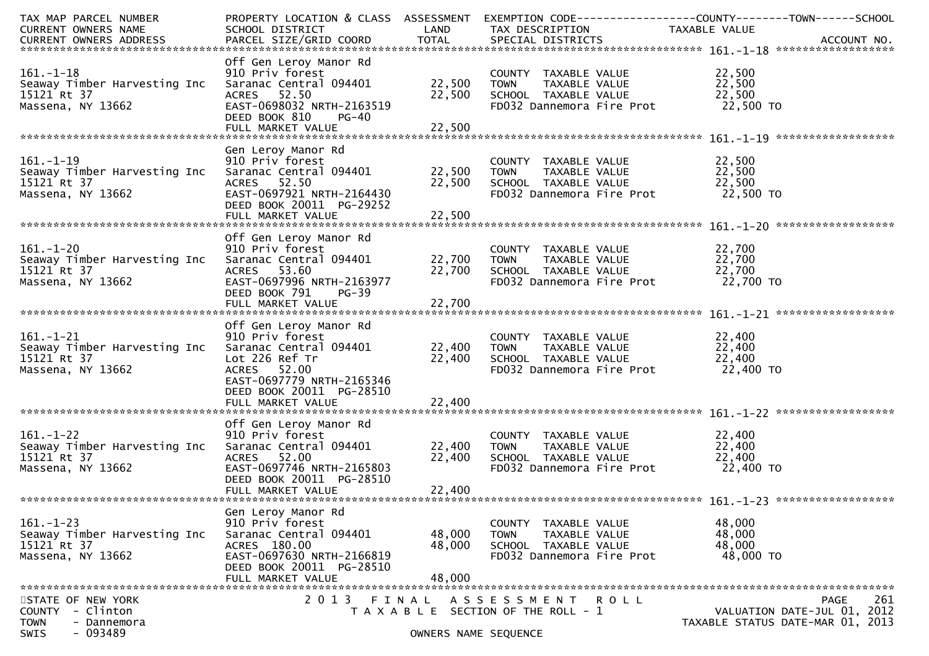| TAX MAP PARCEL NUMBER                               |                           |                      |                                                   | PROPERTY LOCATION & CLASS ASSESSMENT EXEMPTION CODE----------------COUNTY-------TOWN------SCHOOL |
|-----------------------------------------------------|---------------------------|----------------------|---------------------------------------------------|--------------------------------------------------------------------------------------------------|
| CURRENT OWNERS NAME                                 | SCHOOL DISTRICT           | LAND                 | TAX DESCRIPTION                                   | TAXABLE VALUE                                                                                    |
|                                                     |                           |                      |                                                   |                                                                                                  |
|                                                     |                           |                      |                                                   |                                                                                                  |
|                                                     | Off Gen Leroy Manor Rd    |                      |                                                   |                                                                                                  |
| $161. - 1 - 18$                                     | 910 Priv forest           |                      | COUNTY TAXABLE VALUE                              | 22,500                                                                                           |
| Seaway Timber Harvesting Inc                        | Saranac Central 094401    | 22,500               | <b>TOWN</b><br>TAXABLE VALUE                      | 22,500                                                                                           |
| 15121 Rt 37                                         | ACRES 52.50               | 22,500               | SCHOOL TAXABLE VALUE                              | 22,500                                                                                           |
| Massena, NY 13662                                   | EAST-0698032 NRTH-2163519 |                      | FD032 Dannemora Fire Prot                         | 22,500 TO                                                                                        |
|                                                     | DEED BOOK 810<br>PG-40    |                      |                                                   |                                                                                                  |
|                                                     |                           |                      |                                                   |                                                                                                  |
|                                                     |                           |                      |                                                   |                                                                                                  |
|                                                     | Gen Leroy Manor Rd        |                      |                                                   |                                                                                                  |
| $161. - 1 - 19$                                     | 910 Priv forest           |                      | COUNTY TAXABLE VALUE                              | 22,500                                                                                           |
| Seaway Timber Harvesting Inc                        | Saranac Central 094401    | 22,500               | <b>TOWN</b>                                       | 22,500                                                                                           |
| 15121 Rt 37                                         | ACRES 52.50               | 22,500               | TOWN      TAXABLE VALUE<br>SCHOOL   TAXABLE VALUE | 22,500                                                                                           |
| Massena, NY 13662                                   | EAST-0697921 NRTH-2164430 |                      | FD032 Dannemora Fire Prot                         | 22,500 TO                                                                                        |
|                                                     | DEED BOOK 20011 PG-29252  |                      |                                                   |                                                                                                  |
|                                                     | FULL MARKET VALUE         | 22,500               |                                                   |                                                                                                  |
|                                                     |                           |                      |                                                   |                                                                                                  |
|                                                     | Off Gen Leroy Manor Rd    |                      |                                                   |                                                                                                  |
| $161. - 1 - 20$                                     | 910 Priv forest           |                      | COUNTY TAXABLE VALUE                              | 22,700                                                                                           |
| Seaway Timber Harvesting Inc                        | Saranac Central 094401    | 22,700               | <b>TOWN</b><br>TAXABLE VALUE                      | 22,700                                                                                           |
| 15121 Rt 37                                         | ACRES 53.60               | 22,700               | SCHOOL TAXABLE VALUE                              | 22,700                                                                                           |
| Massena, NY 13662                                   | EAST-0697996 NRTH-2163977 |                      | FD032 Dannemora Fire Prot                         | 22,700 TO                                                                                        |
|                                                     | DEED BOOK 791<br>PG-39    |                      |                                                   |                                                                                                  |
|                                                     |                           |                      |                                                   |                                                                                                  |
|                                                     |                           |                      |                                                   |                                                                                                  |
|                                                     |                           |                      |                                                   |                                                                                                  |
|                                                     | Off Gen Leroy Manor Rd    |                      |                                                   |                                                                                                  |
| $161. - 1 - 21$                                     | 910 Priv forest           |                      | COUNTY TAXABLE VALUE                              | 22,400                                                                                           |
| Seaway Timber Harvesting Inc Saranac Central 094401 |                           | 22,400               | TAXABLE VALUE<br>TOWN                             | 22,400                                                                                           |
| 15121 Rt 37                                         | Lot 226 Ref Tr            | 22,400               | SCHOOL TAXABLE VALUE                              | 22,400                                                                                           |
| Massena, NY 13662                                   | ACRES 52.00               |                      | FD032 Dannemora Fire Prot                         | 22,400 TO                                                                                        |
|                                                     | EAST-0697779 NRTH-2165346 |                      |                                                   |                                                                                                  |
|                                                     | DEED BOOK 20011 PG-28510  |                      |                                                   |                                                                                                  |
|                                                     |                           |                      |                                                   |                                                                                                  |
|                                                     |                           |                      |                                                   |                                                                                                  |
|                                                     | Off Gen Leroy Manor Rd    |                      |                                                   |                                                                                                  |
| $161. - 1 - 22$                                     | 910 Priv forest           |                      | COUNTY TAXABLE VALUE                              | 22,400                                                                                           |
| Seaway Timber Harvesting Inc                        | Saranac Central 094401    | 22,400               | TAXABLE VALUE<br><b>TOWN</b>                      | 22,400                                                                                           |
| 15121 Rt 37                                         | ACRES 52.00               | 22,400               | SCHOOL TAXABLE VALUE                              | 22,400                                                                                           |
| Massena, NY 13662                                   | EAST-0697746 NRTH-2165803 |                      | FD032 Dannemora Fire Prot                         | 22,400 TO                                                                                        |
|                                                     | DEED BOOK 20011 PG-28510  |                      |                                                   |                                                                                                  |
|                                                     | FULL MARKET VALUE         | 22,400               |                                                   |                                                                                                  |
|                                                     |                           |                      |                                                   |                                                                                                  |
|                                                     | Gen Leroy Manor Rd        |                      |                                                   |                                                                                                  |
| $161. - 1 - 23$                                     | 910 Priv forest           |                      | COUNTY TAXABLE VALUE                              | 48,000                                                                                           |
| Seaway Timber Harvesting Inc                        | Saranac Central 094401    | 48,000               | TAXABLE VALUE<br>TOWN                             | 48,000                                                                                           |
| 15121 Rt 37                                         | ACRES 180.00              | 48,000               | SCHOOL TAXABLE VALUE                              | 48,000                                                                                           |
| Massena, NY 13662                                   | EAST-0697630 NRTH-2166819 |                      | FD032 Dannemora Fire Prot                         | 48,000 TO                                                                                        |
|                                                     | DEED BOOK 20011 PG-28510  |                      |                                                   |                                                                                                  |
|                                                     | FULL MARKET VALUE         | 48,000               |                                                   |                                                                                                  |
|                                                     |                           |                      |                                                   |                                                                                                  |
| STATE OF NEW YORK                                   | 2 0 1 3                   | FINAL                | A S S E S S M E N T<br><b>ROLL</b>                | PAGE<br>261                                                                                      |
| - Clinton<br><b>COUNTY</b>                          |                           |                      | T A X A B L E SECTION OF THE ROLL - 1             | VALUATION DATE-JUL 01, 2012                                                                      |
| <b>TOWN</b><br>- Dannemora                          |                           |                      |                                                   | TAXABLE STATUS DATE-MAR 01, 2013                                                                 |
| $-093489$<br>SWIS                                   |                           | OWNERS NAME SEQUENCE |                                                   |                                                                                                  |
|                                                     |                           |                      |                                                   |                                                                                                  |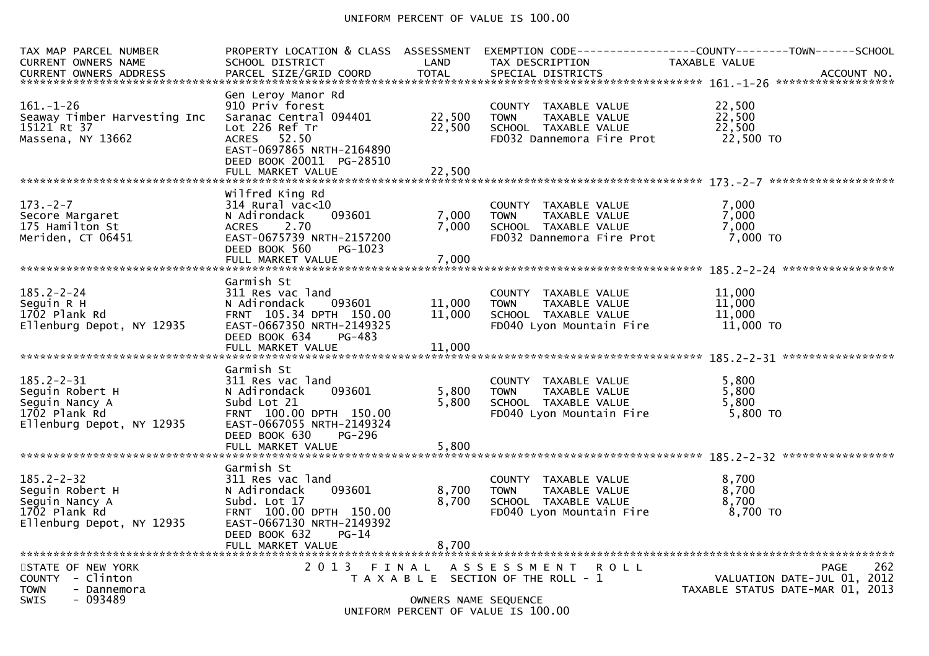#### UNIFORM PERCENT OF VALUE IS 100.00

| TAX MAP PARCEL NUMBER<br>CURRENT OWNERS NAME                                                        | PROPERTY LOCATION & CLASS ASSESSMENT<br>SCHOOL DISTRICT                                                                                                                           | LAND                       | TAX DESCRIPTION                                                                                           | TAXABLE VALUE                                                      |                    |
|-----------------------------------------------------------------------------------------------------|-----------------------------------------------------------------------------------------------------------------------------------------------------------------------------------|----------------------------|-----------------------------------------------------------------------------------------------------------|--------------------------------------------------------------------|--------------------|
| $161. - 1 - 26$<br>Seaway Timber Harvesting Inc<br>15121 Rt 37<br>Massena, NY 13662                 | Gen Leroy Manor Rd<br>910 Priv forest<br>Saranac Central 094401<br>Lot 226 Ref Tr<br>ACRES 52.50<br>EAST-0697865 NRTH-2164890<br>DEED BOOK 20011 PG-28510<br>FULL MARKET VALUE    | 22,500<br>22,500<br>22,500 | COUNTY TAXABLE VALUE<br><b>TOWN</b><br>TAXABLE VALUE<br>SCHOOL TAXABLE VALUE<br>FD032 Dannemora Fire Prot | 22,500<br>22,500<br>22,500<br>22,500 TO                            |                    |
|                                                                                                     |                                                                                                                                                                                   |                            |                                                                                                           |                                                                    |                    |
| $173. - 2 - 7$<br>Secore Margaret<br>175 Hamilton St<br>Meriden, CT 06451                           | Wilfred King Rd<br>$314$ Rural vac<10<br>093601<br>N Adirondack<br>2.70<br><b>ACRES</b><br>EAST-0675739 NRTH-2157200<br>DEED BOOK 560<br>PG-1023<br>FULL MARKET VALUE             | 7,000<br>7.000<br>7,000    | COUNTY TAXABLE VALUE<br>TAXABLE VALUE<br><b>TOWN</b><br>SCHOOL TAXABLE VALUE<br>FD032 Dannemora Fire Prot | 7,000<br>7,000<br>7,000<br>7,000 TO                                |                    |
|                                                                                                     |                                                                                                                                                                                   |                            |                                                                                                           |                                                                    |                    |
| $185.2 - 2 - 24$<br>Seguin R H<br>1702 Plank Rd<br>Ellenburg Depot, NY 12935                        | Garmish St<br>311 Res vac land<br>N Adirondack<br>093601<br>FRNT 105.34 DPTH 150.00<br>EAST-0667350 NRTH-2149325<br>DEED BOOK 634<br>PG-483<br>FULL MARKET VALUE                  | 11,000<br>11,000<br>11,000 | COUNTY TAXABLE VALUE<br>TAXABLE VALUE<br><b>TOWN</b><br>SCHOOL TAXABLE VALUE<br>FD040 Lyon Mountain Fire  | 11,000<br>11,000<br>11,000<br>11,000 TO                            |                    |
|                                                                                                     | Garmish St                                                                                                                                                                        |                            |                                                                                                           |                                                                    |                    |
| $185.2 - 2 - 31$<br>Seguin Robert H<br>Seguin Nancy A<br>1702 Plank Rd<br>Ellenburg Depot, NY 12935 | 311 Res vac land<br>093601<br>N Adirondack<br>Subd Lot 21<br>FRNT 100.00 DPTH 150.00<br>EAST-0667055 NRTH-2149324<br>DEED BOOK 630<br>PG-296                                      | 5,800<br>5,800             | COUNTY TAXABLE VALUE<br>TAXABLE VALUE<br><b>TOWN</b><br>SCHOOL TAXABLE VALUE<br>FD040 Lyon Mountain Fire  | 5,800<br>5,800<br>5,800<br>$5,800$ TO                              |                    |
|                                                                                                     |                                                                                                                                                                                   |                            |                                                                                                           |                                                                    |                    |
| $185.2 - 2 - 32$<br>Seguin Robert H<br>Seguin Nancy A<br>1702 Plank Rd<br>Ellenburg Depot, NY 12935 | Garmish St<br>311 Res vac land<br>093601<br>N Adirondack<br>Subd. Lot 17<br>FRNT 100.00 DPTH 150.00<br>EAST-0667130 NRTH-2149392<br>DEED BOOK 632<br>$PG-14$<br>FULL MARKET VALUE | 8,700<br>8,700<br>8,700    | COUNTY TAXABLE VALUE<br><b>TOWN</b><br>TAXABLE VALUE<br>SCHOOL TAXABLE VALUE<br>FD040 Lyon Mountain Fire  | 8,700<br>8,700<br>8,700<br>8,700 TO                                |                    |
| STATE OF NEW YORK                                                                                   | 2013 FINAL                                                                                                                                                                        |                            | ASSESSMENT ROLL                                                                                           |                                                                    | 262<br><b>PAGE</b> |
| COUNTY - Clinton<br><b>TOWN</b><br>- Dannemora<br><b>SWIS</b><br>- 093489                           |                                                                                                                                                                                   | OWNERS NAME SEQUENCE       | T A X A B L E SECTION OF THE ROLL - 1<br>$11175001$ $0.55051$ $0.5$ $0.1115$ $0.6$ $0.00$                 | VALUATION DATE-JUL $01$ , 2012<br>TAXABLE STATUS DATE-MAR 01, 2013 |                    |

UNIFORM PERCENT OF VALUE IS 100.00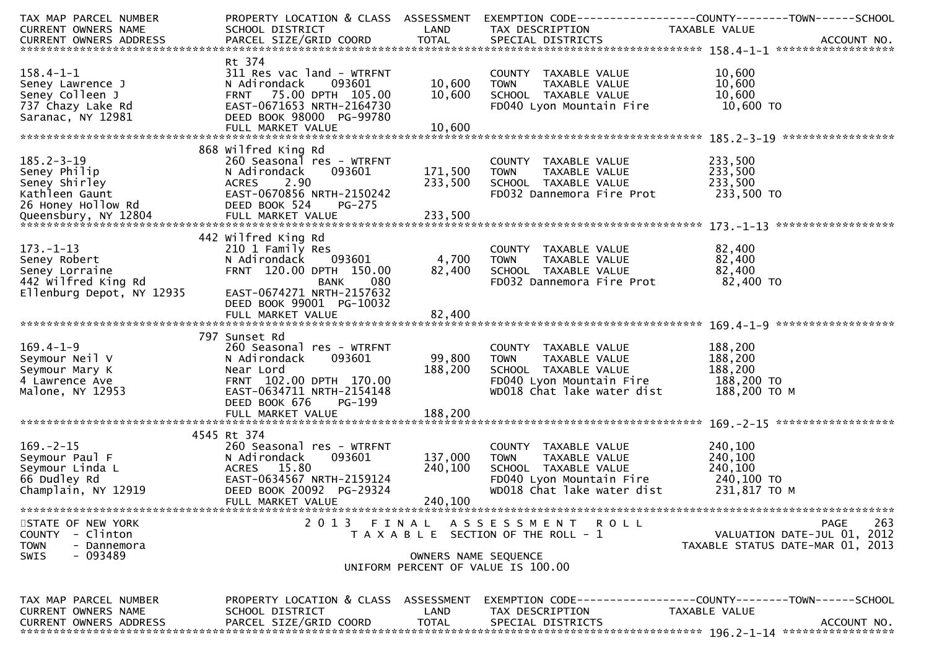| TAX MAP PARCEL NUMBER                                                              |                           |                      |                                       | PROPERTY LOCATION & CLASS ASSESSMENT EXEMPTION CODE----------------COUNTY-------TOWN------SCHOOL                                                                                                                                     |
|------------------------------------------------------------------------------------|---------------------------|----------------------|---------------------------------------|--------------------------------------------------------------------------------------------------------------------------------------------------------------------------------------------------------------------------------------|
| CURRENT OWNERS NAME                                                                | SCHOOL DISTRICT           | LAND                 | TAX DESCRIPTION                       | TAXABLE VALUE                                                                                                                                                                                                                        |
|                                                                                    |                           |                      |                                       |                                                                                                                                                                                                                                      |
|                                                                                    |                           |                      |                                       |                                                                                                                                                                                                                                      |
|                                                                                    | Rt 374                    |                      |                                       |                                                                                                                                                                                                                                      |
| $158.4 - 1 - 1$                                                                    | 311 Res vac land - WTRFNT |                      | COUNTY TAXABLE VALUE                  | 10,600                                                                                                                                                                                                                               |
| Seney Lawrence J                                                                   | 093601<br>N Adirondack    | 10,600               | <b>TOWN</b><br>TAXABLE VALUE          | 10,600                                                                                                                                                                                                                               |
| Seney Colleen J                                                                    | FRNT 75.00 DPTH 105.00    | 10,600               | SCHOOL TAXABLE VALUE                  | 10,600                                                                                                                                                                                                                               |
| 737 Chazy Lake Rd                                                                  | EAST-0671653 NRTH-2164730 |                      | FD040 Lyon Mountain Fire 10,600 TO    |                                                                                                                                                                                                                                      |
| Saranac, NY 12981                                                                  | DEED BOOK 98000 PG-99780  |                      |                                       |                                                                                                                                                                                                                                      |
|                                                                                    |                           |                      |                                       |                                                                                                                                                                                                                                      |
|                                                                                    |                           |                      |                                       |                                                                                                                                                                                                                                      |
|                                                                                    | 868 Wilfred King Rd       |                      |                                       |                                                                                                                                                                                                                                      |
| $185.2 - 3 - 19$                                                                   | 260 Seasonal res - WTRFNT |                      | COUNTY TAXABLE VALUE                  | 233,500                                                                                                                                                                                                                              |
|                                                                                    |                           |                      |                                       |                                                                                                                                                                                                                                      |
|                                                                                    |                           |                      |                                       |                                                                                                                                                                                                                                      |
|                                                                                    |                           |                      |                                       |                                                                                                                                                                                                                                      |
|                                                                                    |                           |                      |                                       |                                                                                                                                                                                                                                      |
|                                                                                    |                           |                      |                                       |                                                                                                                                                                                                                                      |
|                                                                                    |                           |                      |                                       | 185.2-3-19 260 Seasonal res - WTRFNT<br>Seney Philip Madirondack 093601 171,500 TOWN TAXABLE VALUE 233,500<br>Seney Shirley Ackes 2.90 233,500 SCHOOL TAXABLE VALUE 233,500<br>Kathleen Gaunt East -0670856 NRTH-2150242 FD032 Danne |
|                                                                                    | 442 Wilfred King Rd       |                      |                                       |                                                                                                                                                                                                                                      |
| $173. - 1 - 13$                                                                    |                           |                      |                                       |                                                                                                                                                                                                                                      |
|                                                                                    | 210 1 Family Res          |                      | COUNTY TAXABLE VALUE                  | 82,400                                                                                                                                                                                                                               |
| Seney Robert                                                                       | 093601<br>N Adirondack    | 4,700                | <b>TOWN</b><br>TAXABLE VALUE          | 82,400                                                                                                                                                                                                                               |
|                                                                                    | FRNT 120.00 DPTH 150.00   | 82,400               | SCHOOL TAXABLE VALUE                  | 82,400                                                                                                                                                                                                                               |
| Seney Robert<br>Seney Lorraine<br>442 Wilfred King Rd<br>Ellenburg Depot, NY 12935 | <b>BANK</b><br>080        |                      | FD032 Dannemora Fire Prot             | 82,400 TO                                                                                                                                                                                                                            |
|                                                                                    | EAST-0674271 NRTH-2157632 |                      |                                       |                                                                                                                                                                                                                                      |
|                                                                                    | DEED BOOK 99001 PG-10032  |                      |                                       |                                                                                                                                                                                                                                      |
|                                                                                    |                           |                      |                                       |                                                                                                                                                                                                                                      |
|                                                                                    |                           |                      |                                       |                                                                                                                                                                                                                                      |
|                                                                                    | 797 Sunset Rd             |                      |                                       |                                                                                                                                                                                                                                      |
| $169.4 - 1 - 9$                                                                    | 260 Seasonal res - WTRFNT |                      | COUNTY TAXABLE VALUE                  | 188,200                                                                                                                                                                                                                              |
| Seymour Neil V                                                                     | 093601<br>N Adirondack    | 99,800               | <b>TOWN</b><br>TAXABLE VALUE          | 188,200                                                                                                                                                                                                                              |
| Seymour Mary K                                                                     | Near Lord                 | 188,200              | SCHOOL TAXABLE VALUE                  | 188,200                                                                                                                                                                                                                              |
| 4 Lawrence Ave                                                                     | FRNT 102.00 DPTH 170.00   |                      | FD040 Lyon Mountain Fire 188,200 TO   |                                                                                                                                                                                                                                      |
| Malone, NY 12953                                                                   | EAST-0634711 NRTH-2154148 |                      | WD018 Chat lake water dist            | 188,200 то м                                                                                                                                                                                                                         |
|                                                                                    | DEED BOOK 676<br>PG-199   |                      |                                       |                                                                                                                                                                                                                                      |
|                                                                                    | FULL MARKET VALUE         | 188,200              |                                       |                                                                                                                                                                                                                                      |
|                                                                                    |                           |                      |                                       |                                                                                                                                                                                                                                      |
|                                                                                    | 4545 Rt 374               |                      |                                       |                                                                                                                                                                                                                                      |
| $169. - 2 - 15$                                                                    | 260 Seasonal res - WTRFNT |                      | COUNTY TAXABLE VALUE                  | 240,100                                                                                                                                                                                                                              |
| Seymour Paul F                                                                     | N Adirondack<br>093601    | 137,000              | <b>TOWN</b><br>TAXABLE VALUE          | 240,100                                                                                                                                                                                                                              |
| Seymour Linda L                                                                    | ACRES 15.80               | 240,100              | SCHOOL TAXABLE VALUE                  | 240,100                                                                                                                                                                                                                              |
| 66 Dudley Rd                                                                       | EAST-0634567 NRTH-2159124 |                      | FD040 Lyon Mountain Fire 240,100 TO   |                                                                                                                                                                                                                                      |
| Champlain, NY 12919                                                                | DEED BOOK 20092 PG-29324  |                      | WD018 Chat lake water dist            | 231,817 то м                                                                                                                                                                                                                         |
|                                                                                    |                           | 240,100              |                                       |                                                                                                                                                                                                                                      |
|                                                                                    | FULL MARKET VALUE         |                      |                                       |                                                                                                                                                                                                                                      |
|                                                                                    |                           |                      |                                       |                                                                                                                                                                                                                                      |
| STATE OF NEW YORK                                                                  | 2013 FINAL                |                      | A S S E S S M E N T R O L L           | 263<br>PAGE                                                                                                                                                                                                                          |
| COUNTY - Clinton                                                                   |                           |                      | T A X A B L E SECTION OF THE ROLL - 1 | VALUATION DATE-JUL 01, 2012                                                                                                                                                                                                          |
| <b>TOWN</b><br>- Dannemora                                                         |                           |                      |                                       | TAXABLE STATUS DATE-MAR 01, 2013                                                                                                                                                                                                     |
| - 093489<br><b>SWIS</b>                                                            |                           | OWNERS NAME SEQUENCE |                                       |                                                                                                                                                                                                                                      |
|                                                                                    |                           |                      | UNIFORM PERCENT OF VALUE IS 100.00    |                                                                                                                                                                                                                                      |
|                                                                                    |                           |                      |                                       |                                                                                                                                                                                                                                      |
|                                                                                    |                           |                      |                                       |                                                                                                                                                                                                                                      |
| TAX MAP PARCEL NUMBER                                                              |                           |                      |                                       | PROPERTY LOCATION & CLASS ASSESSMENT EXEMPTION CODE----------------COUNTY--------TOWN------SCHOOL                                                                                                                                    |
| CURRENT OWNERS NAME                                                                | SCHOOL DISTRICT           | LAND                 | TAX DESCRIPTION                       | TAXABLE VALUE                                                                                                                                                                                                                        |
| CURRENT OWNERS ADDRESS                                                             | PARCEL SIZE/GRID COORD    | <b>TOTAL</b>         | SPECIAL DISTRICTS                     | ACCOUNT NO.                                                                                                                                                                                                                          |
|                                                                                    |                           |                      |                                       |                                                                                                                                                                                                                                      |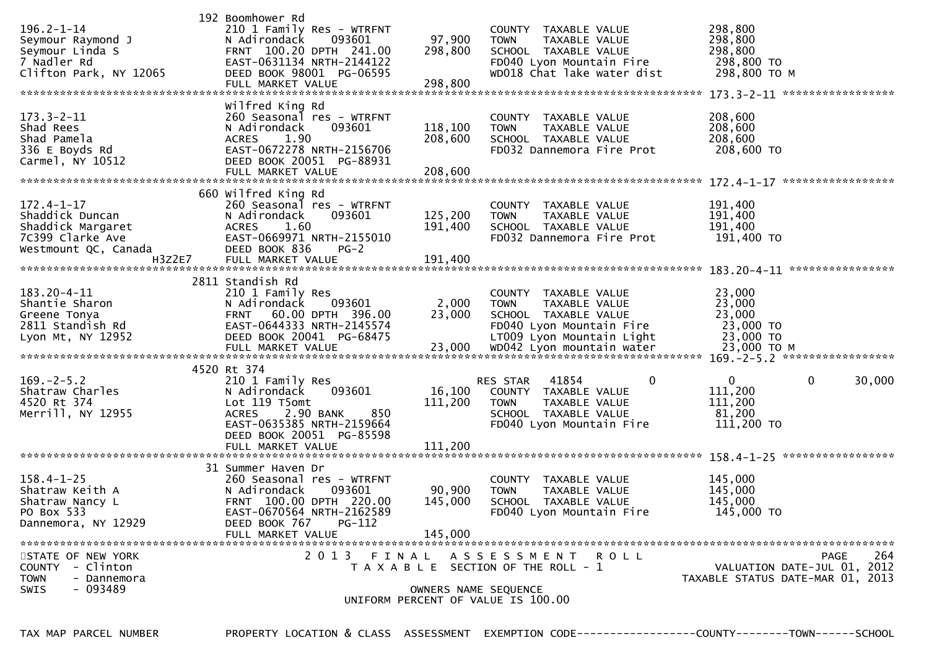| $196.2 - 1 - 14$<br>Seymour Raymond J<br>Seymour Linda S<br>7 Nadler Rd<br>Clifton Park, NY 12065                | 192 Boomhower Rd<br>210 1 Family Res - WTRFNT<br>093601<br>N Adirondack<br>FRNT 100.20 DPTH 241.00<br>EAST-0631134 NRTH-2144122<br>DEED BOOK 98001 PG-06595                                           | 97,900<br>298,800             | COUNTY TAXABLE VALUE<br><b>TOWN</b><br>TAXABLE VALUE<br>SCHOOL TAXABLE VALUE<br>FD040 Lyon Mountain Fire<br>WD018 Chat lake water dist  | 298,800<br>298,800<br>298,800<br>298,800 TO<br>298,800 ТО М     |        |
|------------------------------------------------------------------------------------------------------------------|-------------------------------------------------------------------------------------------------------------------------------------------------------------------------------------------------------|-------------------------------|-----------------------------------------------------------------------------------------------------------------------------------------|-----------------------------------------------------------------|--------|
| $173.3 - 2 - 11$<br>Shad Rees<br>Shad Pamela<br>336 E Boyds Rd<br>Carmel, NY 10512                               | Wilfred King Rd<br>260 Seasonal res - WTRFNT<br>093601<br>N Adirondack<br>1.90<br>ACRES<br>EAST-0672278 NRTH-2156706<br>DEED BOOK 20051 PG-88931<br>FULL MARKET VALUE                                 | 118,100<br>208,600<br>208,600 | COUNTY TAXABLE VALUE<br><b>TOWN</b><br>TAXABLE VALUE<br>SCHOOL TAXABLE VALUE<br>FD032 Dannemora Fire Prot                               | 208,600<br>208,600<br>208,600<br>208,600 TO                     |        |
| $172.4 - 1 - 17$<br>Shaddick Duncan<br>Shaddick Margaret<br>7C399 Clarke Ave<br>Westmount QC, Canada<br>H3Z2E7   | 660 wilfred King Rd<br>260 Seasonal res - WTRFNT<br>N Adirondack<br>093601<br>ACRES 1.60<br>EAST-0669971 NRTH-2155010<br>DEED BOOK 836<br>$PG-2$<br>FULL MARKET VALUE                                 | 125,200<br>191,400<br>191,400 | COUNTY TAXABLE VALUE<br><b>TOWN</b><br>TAXABLE VALUE<br>SCHOOL TAXABLE VALUE<br>FD032 Dannemora Fire Prot                               | 191,400<br>191,400<br>191,400<br>191,400 TO                     |        |
| 183.20-4-11<br>Shantie Sharon<br>snantie Sharon<br>Greene Tonya<br>2811 Standish Rd<br>Lyon Mt, NY 12952         | 2811 Standish Rd<br>210 1 Family Res<br>N Adirondack<br>093601<br>FRNT 60.00 DPTH 396.00<br>EAST-0644333 NRTH-2145574<br>DEED BOOK 20041 PG-68475                                                     | 2,000<br>23,000               | COUNTY TAXABLE VALUE<br><b>TOWN</b><br>TAXABLE VALUE<br>SCHOOL TAXABLE VALUE<br>FD040 Lyon Mountain Fire<br>LT009 Lyon Mountain Light   | 23,000<br>23,000<br>23,000<br>23,000 TO<br>23,000 TO            |        |
| $169. - 2 - 5.2$<br>Shatraw Charles<br>4520 Rt 374<br>Merrill, NY 12955                                          | 4520 Rt 374<br>210 1 Family Res<br>093601<br>N Adirondack<br>Lot 119 T5omt<br>850<br><b>ACRES</b><br>2.90 BANK<br>EAST-0635385 NRTH-2159664<br>DEED BOOK 20051 PG-85598<br>FULL MARKET VALUE          | 16,100<br>111,200<br>111,200  | 41854<br>0<br>RES STAR<br>COUNTY TAXABLE VALUE<br><b>TOWN</b><br>TAXABLE VALUE<br>SCHOOL TAXABLE VALUE<br>FD040 Lyon Mountain Fire      | 0<br>0<br>111,200<br>111,200<br>81,200<br>111,200 TO            | 30,000 |
| $158.4 - 1 - 25$<br>Shatraw Keith A<br>Shatraw Nancy L<br>PO Box 533<br>Dannemora, NY 12929<br>STATE OF NEW YORK | 31 Summer Haven Dr<br>260 Seasonal res - WTRFNT<br>093601<br>N Adirondack<br>FRNT 100.00 DPTH 220.00<br>EAST-0670564 NRTH-2162589<br>DEED BOOK 767<br>PG-112<br>FULL MARKET VALUE<br>2 0 1 3<br>FINAL | 90,900<br>145,000<br>145,000  | COUNTY TAXABLE VALUE<br><b>TOWN</b><br>TAXABLE VALUE<br>SCHOOL TAXABLE VALUE<br>FD040 Lyon Mountain Fire<br>A S S E S S M E N T R O L L | 145,000<br>145,000<br>145,000<br>145,000 TO<br>PAGE             | 264    |
| - Clinton<br><b>COUNTY</b><br><b>TOWN</b><br>- Dannemora<br>- 093489<br><b>SWIS</b>                              |                                                                                                                                                                                                       | OWNERS NAME SEQUENCE          | T A X A B L E SECTION OF THE ROLL - 1<br>UNIFORM PERCENT OF VALUE IS 100.00                                                             | VALUATION DATE-JUL 01, 2012<br>TAXABLE STATUS DATE-MAR 01, 2013 |        |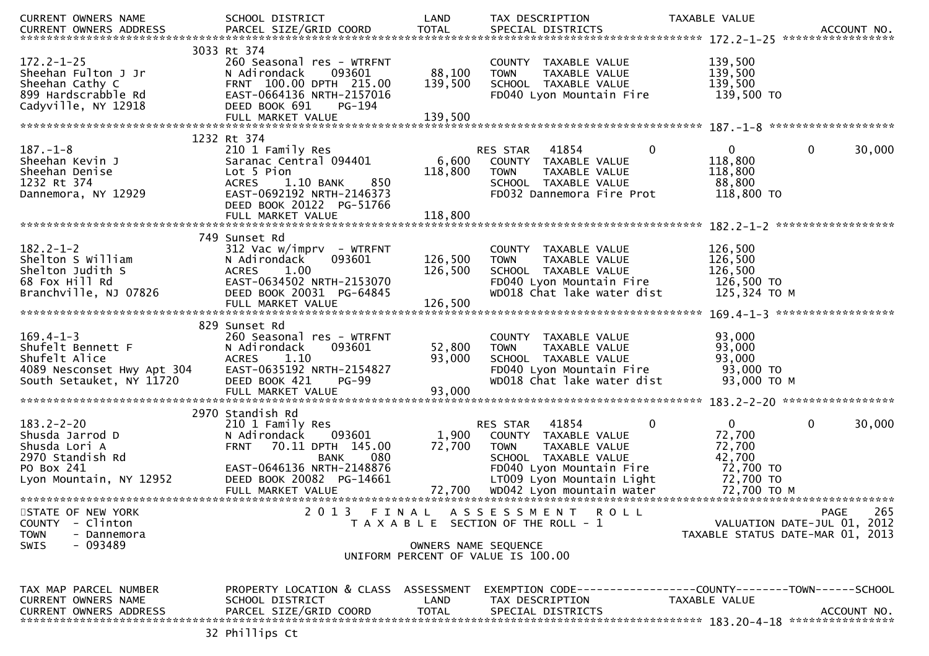| CURRENT OWNERS NAME                                                                                               | SCHOOL DISTRICT                                                                                                                                                            | LAND                         | TAX DESCRIPTION                                                                                                                                                                                         | TAXABLE VALUE                                                                                                |
|-------------------------------------------------------------------------------------------------------------------|----------------------------------------------------------------------------------------------------------------------------------------------------------------------------|------------------------------|---------------------------------------------------------------------------------------------------------------------------------------------------------------------------------------------------------|--------------------------------------------------------------------------------------------------------------|
| $172.2 - 1 - 25$<br>Sheehan Fulton J Jr<br>Sheehan Cathy C<br>899 Hardscrabble Rd<br>Cadyville, NY 12918          | 3033 Rt 374<br>260 Seasonal res - WTRFNT<br>N Adirondack<br>093601<br>FRNT 100.00 DPTH 215.00<br>EAST-0664136 NRTH-2157016<br>DEED BOOK 691<br>PG-194<br>FULL MARKET VALUE | 88,100<br>139,500<br>139,500 | COUNTY TAXABLE VALUE<br><b>TOWN</b><br>TAXABLE VALUE<br>SCHOOL TAXABLE VALUE<br>FD040 Lyon Mountain Fire                                                                                                | 139,500<br>139,500<br>139,500<br>139,500 TO                                                                  |
|                                                                                                                   | 1232 Rt 374                                                                                                                                                                |                              |                                                                                                                                                                                                         |                                                                                                              |
| $187. - 1 - 8$<br>Sheehan Kevin J<br>Sheehan Denise<br>1232 Rt 374<br>Dannemora, NY 12929                         | 210 1 Family Res<br>Saranac Central 094401<br>Lot 5 Pion<br>850<br><b>ACRES</b><br>1.10 BANK<br>EAST-0692192 NRTH-2146373<br>DEED BOOK 20122 PG-51766<br>FULL MARKET VALUE | 6,600<br>118,800<br>118,800  | $\mathbf{0}$<br>RES STAR 41854<br>COUNTY TAXABLE VALUE<br><b>TOWN</b><br>TAXABLE VALUE<br>SCHOOL TAXABLE VALUE<br>FD032 Dannemora Fire Prot                                                             | $\mathbf{0}$<br>$\mathbf{0}$<br>30,000<br>118,800<br>118,800<br>88,800<br>118,800 TO                         |
|                                                                                                                   |                                                                                                                                                                            |                              |                                                                                                                                                                                                         |                                                                                                              |
| $182.2 - 1 - 2$<br>Shelton S William<br>Shelton Judith S<br>68 Fox Hill Rd<br>Branchville, NJ 07826               | 749 Sunset Rd<br>$312$ Vac w/imprv - WTRFNT<br>N Adirondack<br>093601<br>1.00<br><b>ACRES</b><br>EAST-0634502 NRTH-2153070<br>DEED BOOK 20031 PG-64845                     | 126,500<br>126,500           | COUNTY TAXABLE VALUE<br>TAXABLE VALUE<br><b>TOWN</b><br>SCHOOL TAXABLE VALUE<br>FD040 Lyon Mountain Fire<br>WD018 Chat lake water dist                                                                  | 126,500<br>126,500<br>126,500<br>126,500 TO<br>125,324 TO M                                                  |
|                                                                                                                   |                                                                                                                                                                            |                              |                                                                                                                                                                                                         |                                                                                                              |
| $169.4 - 1 - 3$<br>Shufelt Bennett F<br>Shufelt Alice<br>4089 Nesconset Hwy Apt 304<br>South Setauket, NY 11720   | 829 Sunset Rd<br>260 Seasonal res - WTRFNT<br>093601<br>N Adirondack<br><b>ACRES</b><br>1.10<br>EAST-0635192 NRTH-2154827<br><b>PG-99</b><br>DEED BOOK 421                 | 52,800<br>93,000             | COUNTY TAXABLE VALUE<br><b>TOWN</b><br>TAXABLE VALUE<br>SCHOOL TAXABLE VALUE<br>FD040 Lyon Mountain Fire<br>WD018 Chat lake water dist                                                                  | 93,000<br>93,000<br>93,000<br>93,000 TO<br>93,000 TO M                                                       |
|                                                                                                                   | 2970 Standish Rd                                                                                                                                                           |                              |                                                                                                                                                                                                         |                                                                                                              |
| $183.2 - 2 - 20$<br>Shusda Jarrod D<br>Shusda Lori A<br>2970 Standish Rd<br>PO Box 241<br>Lyon Mountain, NY 12952 | 210 1 Family Res<br>N Adirondack<br>093601<br>FRNT 70.11 DPTH 145.00<br>080<br>BANK<br>EAST-0646136 NRTH-2148876<br>DEED BOOK 20082 PG-14661<br>FULL MARKET VALUE          | 1,900<br>72,700<br>72,700    | 41854<br>$\mathbf{0}$<br>RES STAR<br>COUNTY TAXABLE VALUE<br><b>TOWN</b><br>TAXABLE VALUE<br>SCHOOL TAXABLE VALUE<br>FD040 Lyon Mountain Fire<br>LT009 Lyon Mountain Light<br>WD042 Lyon mountain water | $\mathbf 0$<br>30,000<br>$\mathbf{0}$<br>72,700<br>72,700<br>42,700<br>72,700 TO<br>72,700 TO<br>72,700 TO M |
| STATE OF NEW YORK                                                                                                 |                                                                                                                                                                            |                              | 2013 FINAL ASSESSMENT ROLL                                                                                                                                                                              | 265<br><b>PAGE</b>                                                                                           |
| COUNTY<br>- Clinton                                                                                               |                                                                                                                                                                            |                              | T A X A B L E SECTION OF THE ROLL - 1                                                                                                                                                                   | VALUATION DATE-JUL 01, 2012                                                                                  |
| <b>TOWN</b><br>- Dannemora<br>- 093489<br>SWIS                                                                    |                                                                                                                                                                            | OWNERS NAME SEQUENCE         | UNIFORM PERCENT OF VALUE IS 100.00                                                                                                                                                                      | TAXABLE STATUS DATE-MAR 01, 2013                                                                             |
| TAX MAP PARCEL NUMBER<br>CURRENT OWNERS NAME<br><b>CURRENT OWNERS ADDRESS</b>                                     | PROPERTY LOCATION & CLASS ASSESSMENT<br>SCHOOL DISTRICT<br>PARCEL SIZE/GRID COORD                                                                                          | LAND<br><b>TOTAL</b>         | TAX DESCRIPTION<br>SPECIAL DISTRICTS                                                                                                                                                                    | TAXABLE VALUE<br>ACCOUNT NO.                                                                                 |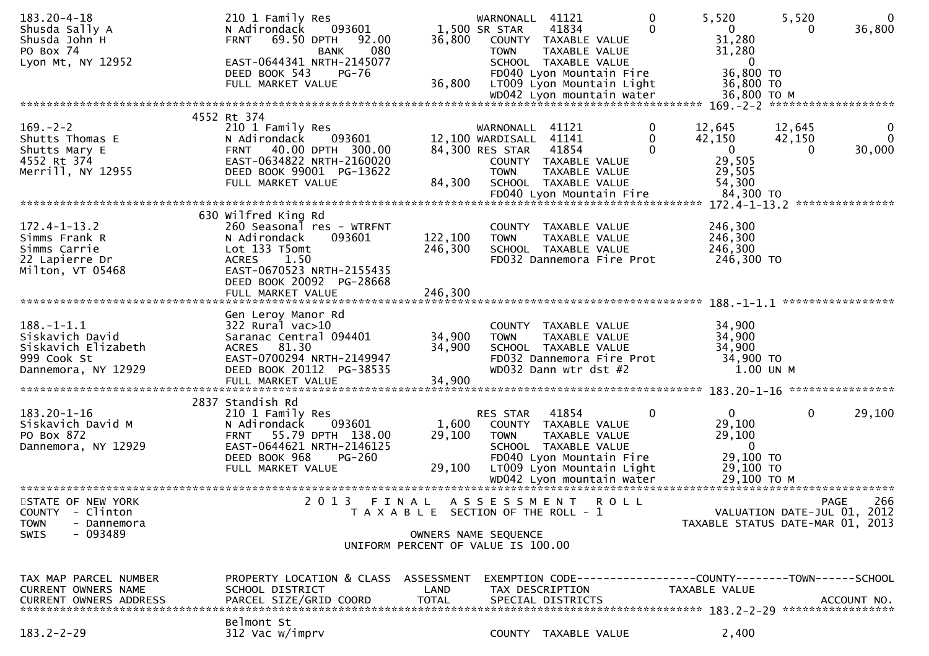| $183.20 - 4 - 18$<br>Shusda Sally A<br>Shusda John H<br>PO Box 74 | 210 1 Family Res<br>093601<br>N Adirondack<br>69.50 DPTH<br><b>FRNT</b><br>92.00<br>080<br><b>BANK</b> | 36,800                                | WARNONALL<br>1,500 SR STAR<br><b>TOWN</b> | 41121<br>41834<br>COUNTY TAXABLE VALUE<br>TAXABLE VALUE                                                    | 0<br>0      | 5,520<br>$\mathbf{0}$<br>31,280<br>31,280                      | 5,520<br>0       | $\mathbf{0}$<br>36,800        |
|-------------------------------------------------------------------|--------------------------------------------------------------------------------------------------------|---------------------------------------|-------------------------------------------|------------------------------------------------------------------------------------------------------------|-------------|----------------------------------------------------------------|------------------|-------------------------------|
| Lyon Mt, NY 12952                                                 | EAST-0644341 NRTH-2145077<br>DEED BOOK 543<br><b>PG-76</b><br>FULL MARKET VALUE                        | 36,800                                |                                           | SCHOOL TAXABLE VALUE<br>FD040 Lyon Mountain Fire<br>LT009 Lyon Mountain Light<br>WD042 Lyon mountain water |             | $\Omega$<br>36,800 TO<br>36,800 TO<br>36,800 ТО М              |                  |                               |
|                                                                   |                                                                                                        |                                       |                                           |                                                                                                            |             |                                                                |                  |                               |
|                                                                   | 4552 Rt 374                                                                                            |                                       |                                           |                                                                                                            |             |                                                                |                  |                               |
| $169. - 2 - 2$<br>Shutts Thomas E                                 | 210 1 Family Res<br>093601<br>N Adirondack                                                             |                                       | WARNONALL 41121<br>12,100 WARDISALL       | 41141                                                                                                      | 0<br>0      | 12,645<br>42,150                                               | 12,645<br>42,150 | 0<br>$\Omega$                 |
| Shutts Mary E                                                     | 40.00 DPTH 300.00<br><b>FRNT</b>                                                                       |                                       | 84,300 RES STAR                           | 41854                                                                                                      | 0           | $\mathbf{0}$                                                   | 0                | 30,000                        |
| 4552 Rt 374                                                       | EAST-0634822 NRTH-2160020                                                                              |                                       |                                           | COUNTY TAXABLE VALUE                                                                                       |             | 29,505                                                         |                  |                               |
| Merrill, NY 12955                                                 | DEED BOOK 99001 PG-13622                                                                               |                                       | <b>TOWN</b>                               | TAXABLE VALUE                                                                                              |             | 29,505                                                         |                  |                               |
|                                                                   | FULL MARKET VALUE                                                                                      | 84,300                                |                                           | SCHOOL TAXABLE VALUE                                                                                       |             | 54,300                                                         |                  |                               |
|                                                                   |                                                                                                        |                                       |                                           | FD040 Lyon Mountain Fire                                                                                   |             | 84,300 TO                                                      |                  | 172.4-1-13.2 **************** |
|                                                                   | 630 Wilfred King Rd                                                                                    |                                       |                                           |                                                                                                            |             |                                                                |                  |                               |
| $172.4 - 1 - 13.2$                                                | 260 Seasonal res - WTRFNT                                                                              |                                       |                                           | COUNTY TAXABLE VALUE                                                                                       |             | 246,300                                                        |                  |                               |
| Simms Frank R                                                     | 093601<br>N Adirondack                                                                                 | 122,100                               | <b>TOWN</b>                               | TAXABLE VALUE                                                                                              |             | 246,300                                                        |                  |                               |
| Simms Carrie                                                      | Lot 133 T5omt                                                                                          | 246,300                               |                                           | SCHOOL TAXABLE VALUE                                                                                       |             | 246,300                                                        |                  |                               |
| 22 Lapierre Dr                                                    | 1.50<br><b>ACRES</b>                                                                                   |                                       |                                           | FD032 Dannemora Fire Prot                                                                                  |             | 246,300 TO                                                     |                  |                               |
| Milton, VT 05468                                                  | EAST-0670523 NRTH-2155435<br>DEED BOOK 20092 PG-28668                                                  |                                       |                                           |                                                                                                            |             |                                                                |                  |                               |
|                                                                   | FULL MARKET VALUE                                                                                      | 246,300                               |                                           |                                                                                                            |             |                                                                |                  |                               |
|                                                                   |                                                                                                        |                                       |                                           |                                                                                                            |             |                                                                |                  | *****************             |
|                                                                   | Gen Leroy Manor Rd                                                                                     |                                       |                                           |                                                                                                            |             |                                                                |                  |                               |
| $188. - 1 - 1.1$                                                  | $322$ Rural vac $>10$                                                                                  |                                       |                                           | COUNTY TAXABLE VALUE                                                                                       |             | 34,900                                                         |                  |                               |
| Siskavich David                                                   | Saranac Central 094401                                                                                 | 34,900                                | <b>TOWN</b>                               | TAXABLE VALUE                                                                                              |             | 34,900                                                         |                  |                               |
| Siskavich Elizabeth<br>999 Cook St                                | ACRES 81.30<br>EAST-0700294 NRTH-2149947                                                               | 34,900                                |                                           | SCHOOL TAXABLE VALUE<br>FD032 Dannemora Fire Prot                                                          |             | 34,900<br>34,900 TO                                            |                  |                               |
| Dannemora, NY 12929                                               | DEED BOOK 20112 PG-38535                                                                               |                                       |                                           | WD032 Dann wtr dst #2                                                                                      |             | 1.00 UN M                                                      |                  |                               |
|                                                                   | FULL MARKET VALUE                                                                                      | 34,900                                |                                           |                                                                                                            |             |                                                                |                  |                               |
|                                                                   |                                                                                                        |                                       |                                           |                                                                                                            |             |                                                                |                  | ****************              |
|                                                                   | 2837 Standish Rd                                                                                       |                                       |                                           |                                                                                                            |             |                                                                |                  |                               |
| 183.20-1-16                                                       | 210 1 Family Res                                                                                       |                                       | RES STAR                                  | 41854                                                                                                      | 0           | $\overline{0}$                                                 | $\mathbf 0$      | 29,100                        |
| Siskavich David M<br>PO Box 872                                   | N Adirondack<br>093601<br>55.79 DPTH 138.00<br><b>FRNT</b>                                             | 1,600<br>29,100                       | <b>TOWN</b>                               | COUNTY TAXABLE VALUE<br>TAXABLE VALUE                                                                      |             | 29,100<br>29,100                                               |                  |                               |
| Dannemora, NY 12929                                               | EAST-0644621 NRTH-2146125                                                                              |                                       |                                           | SCHOOL TAXABLE VALUE                                                                                       |             | 0                                                              |                  |                               |
|                                                                   | DEED BOOK 968<br>PG-260                                                                                |                                       |                                           | FD040 Lyon Mountain Fire                                                                                   |             | 29,100 TO                                                      |                  |                               |
|                                                                   | FULL MARKET VALUE                                                                                      | 29,100                                |                                           | LT009 Lyon Mountain Light                                                                                  |             | 29,100 TO                                                      |                  |                               |
|                                                                   |                                                                                                        |                                       |                                           |                                                                                                            |             |                                                                |                  |                               |
| STATE OF NEW YORK                                                 | 2 0 1 3                                                                                                | FINAL                                 |                                           |                                                                                                            | <b>ROLL</b> |                                                                |                  | 266<br><b>PAGE</b>            |
| COUNTY - Clinton                                                  |                                                                                                        | T A X A B L E SECTION OF THE ROLL - 1 | A S S E S S M E N T                       |                                                                                                            |             |                                                                |                  | VALUATION DATE-JUL 01, 2012   |
| <b>TOWN</b><br>- Dannemora                                        |                                                                                                        |                                       |                                           |                                                                                                            |             | TAXABLE STATUS DATE-MAR 01, 2013                               |                  |                               |
| $-093489$<br><b>SWIS</b>                                          |                                                                                                        |                                       | OWNERS NAME SEQUENCE                      |                                                                                                            |             |                                                                |                  |                               |
|                                                                   |                                                                                                        | UNIFORM PERCENT OF VALUE IS 100.00    |                                           |                                                                                                            |             |                                                                |                  |                               |
|                                                                   |                                                                                                        |                                       |                                           |                                                                                                            |             |                                                                |                  |                               |
| TAX MAP PARCEL NUMBER                                             | PROPERTY LOCATION & CLASS ASSESSMENT                                                                   |                                       |                                           |                                                                                                            |             | EXEMPTION CODE------------------COUNTY--------TOWN------SCHOOL |                  |                               |
| CURRENT OWNERS NAME                                               | SCHOOL DISTRICT                                                                                        | LAND                                  |                                           | TAX DESCRIPTION                                                                                            |             | TAXABLE VALUE                                                  |                  |                               |
| <b>CURRENT OWNERS ADDRESS</b>                                     | PARCEL SIZE/GRID COORD                                                                                 | <b>TOTAL</b>                          |                                           | SPECIAL DISTRICTS                                                                                          |             |                                                                |                  | ACCOUNT NO.                   |
|                                                                   |                                                                                                        |                                       |                                           |                                                                                                            |             |                                                                |                  |                               |
|                                                                   | Belmont St                                                                                             |                                       |                                           |                                                                                                            |             |                                                                |                  |                               |
| $183.2 - 2 - 29$                                                  | 312 Vac w/imprv                                                                                        |                                       |                                           | COUNTY TAXABLE VALUE                                                                                       |             | 2,400                                                          |                  |                               |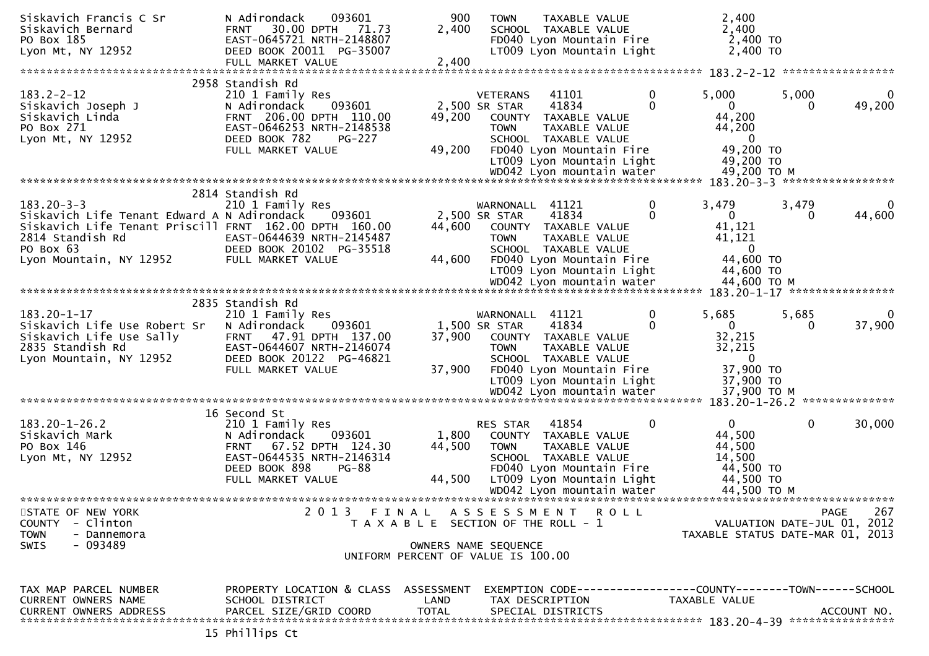| Siskavich Francis C Sr<br>Siskavich Bernard<br>PO Box 185<br>Lyon Mt, NY 12952                                            | N Adirondack<br>093601<br>30.00 DPTH<br>71.73<br><b>FRNT</b><br>EAST-0645721 NRTH-2148807<br>DEED BOOK 20011 PG-35007                                                             | 900<br>2,400                          | <b>TOWN</b>                                     | TAXABLE VALUE<br>SCHOOL TAXABLE VALUE<br>FD040 Lyon Mountain Fire<br>LT009 Lyon Mountain Light                                                               |               | 2,400<br>2,400<br>2,400 TO<br>2,400 TO                                              |                               |                    |
|---------------------------------------------------------------------------------------------------------------------------|-----------------------------------------------------------------------------------------------------------------------------------------------------------------------------------|---------------------------------------|-------------------------------------------------|--------------------------------------------------------------------------------------------------------------------------------------------------------------|---------------|-------------------------------------------------------------------------------------|-------------------------------|--------------------|
|                                                                                                                           | FULL MARKET VALUE                                                                                                                                                                 | 2,400                                 |                                                 |                                                                                                                                                              |               |                                                                                     |                               | *****************  |
|                                                                                                                           | 2958 Standish Rd                                                                                                                                                                  |                                       |                                                 |                                                                                                                                                              |               |                                                                                     |                               |                    |
| $183.2 - 2 - 12$<br>Siskavich Joseph J<br>Siskavich Linda<br>PO Box 271<br>Lyon Mt, NY 12952                              | 210 1 Family Res<br>093601<br>N Adirondack<br>FRNT 206.00 DPTH 110.00<br>EAST-0646253 NRTH-2148538<br>DEED BOOK 782<br><b>PG-227</b>                                              | 49,200                                | <b>VETERANS</b><br>2,500 SR STAR<br><b>TOWN</b> | 41101<br>41834<br>COUNTY TAXABLE VALUE<br>TAXABLE VALUE<br>SCHOOL TAXABLE VALUE                                                                              | 0<br>$\Omega$ | 5,000<br>0<br>44,200<br>44,200<br>$\overline{0}$                                    | 5,000<br>$\Omega$             | $\Omega$<br>49,200 |
|                                                                                                                           | FULL MARKET VALUE                                                                                                                                                                 | 49,200                                |                                                 | FD040 Lyon Mountain Fire<br>LT009 Lyon Mountain Light<br>WD042 Lyon mountain water                                                                           |               | 49,200 TO<br>49,200 TO<br>49,200 ТО М                                               |                               |                    |
|                                                                                                                           |                                                                                                                                                                                   |                                       |                                                 |                                                                                                                                                              |               |                                                                                     | 183.20-3-3 ****************** |                    |
| $183.20 - 3 - 3$<br>Siskavich Life Tenant Edward A N Adirondack<br>Siskavich Life Tenant Priscill FRNT 162.00 DPTH 160.00 | 2814 Standish Rd<br>210 1 Family Res<br>093601                                                                                                                                    | 44,600                                | WARNONALL<br>2,500 SR STAR                      | 41121<br>41834<br>COUNTY TAXABLE VALUE                                                                                                                       | 0<br>$\Omega$ | 3,479<br>$\Omega$<br>41,121                                                         | 3,479<br>0                    | 44,600             |
| 2814 Standish Rd<br>PO Box 63<br>Lyon Mountain, NY 12952                                                                  | EAST-0644639 NRTH-2145487<br>DEED BOOK 20102 PG-35518<br>FULL MARKET VALUE                                                                                                        | 44.600                                | <b>TOWN</b>                                     | TAXABLE VALUE<br>SCHOOL TAXABLE VALUE<br>FD040 Lyon Mountain Fire<br>LT009 Lyon Mountain Light                                                               |               | 41,121<br>0<br>44,600 TO<br>44,600 TO                                               |                               |                    |
|                                                                                                                           |                                                                                                                                                                                   |                                       |                                                 | WD042 Lyon mountain water<br>*********************************                                                                                               |               | 44,600 TO M                                                                         | 183.20-1-17 ***************** |                    |
| $183.20 - 1 - 17$<br>Siskavich Life Use Robert Sr                                                                         | 2835 Standish Rd<br>210 1 Family Res<br>093601<br>N Adirondack                                                                                                                    |                                       | WARNONALL 41121<br>1,500 SR STAR                | 41834                                                                                                                                                        | 0<br>0        | 5,685<br>$\mathbf{0}$                                                               | 5,685<br>$\Omega$             | 37,900             |
| Siskavich Life Use Sally<br>2835 Standish Rd<br>Lyon Mountain, NY 12952                                                   | 47.91 DPTH 137.00<br><b>FRNT</b><br>EAST-0644607 NRTH-2146074<br>DEED BOOK 20122 PG-46821<br>FULL MARKET VALUE                                                                    | 37,900<br>37,900                      | <b>TOWN</b>                                     | COUNTY TAXABLE VALUE<br>TAXABLE VALUE<br>SCHOOL TAXABLE VALUE<br>FD040 Lyon Mountain Fire<br>LT009 Lyon Mountain Light<br>WD042 Lyon mountain water          |               | 32,215<br>32,215<br>$\mathbf{0}$<br>37,900 TO<br>37,900 TO<br>37,900 ТО М           |                               |                    |
|                                                                                                                           |                                                                                                                                                                                   |                                       |                                                 |                                                                                                                                                              |               |                                                                                     | 183.20-1-26.2 *************** |                    |
| $183.20 - 1 - 26.2$<br>Siskavich Mark<br>PO Box 146<br>Lyon Mt, NY 12952                                                  | 16 Second St<br>210 1 Family Res<br>N Adirondack<br>093601<br>67.52 DPTH 124.30<br><b>FRNT</b><br>EAST-0644535 NRTH-2146314<br>DEED BOOK 898<br><b>PG-88</b><br>FULL MARKET VALUE | 1,800<br>44,500<br>44,500             | RES STAR<br><b>TOWN</b>                         | 41854<br>COUNTY TAXABLE VALUE<br>TAXABLE VALUE<br>SCHOOL TAXABLE VALUE<br>FD040 Lyon Mountain Fire<br>LT009 Lyon Mountain Light<br>WD042 Lyon mountain water | $\Omega$      | $\mathbf{0}$<br>44,500<br>44,500<br>14,500<br>44,500 TO<br>44,500 TO<br>44,500 TO M | 0                             | 30,000             |
|                                                                                                                           |                                                                                                                                                                                   |                                       |                                                 |                                                                                                                                                              |               | ********************************                                                    |                               |                    |
| STATE OF NEW YORK<br>- Clinton<br><b>COUNTY</b><br><b>TOWN</b><br>- Dannemora<br>- 093489<br>SWIS                         | 2013 FINAL ASSESSMENT ROLL                                                                                                                                                        | T A X A B L E SECTION OF THE ROLL - 1 | OWNERS NAME SEQUENCE                            |                                                                                                                                                              |               | TAXABLE STATUS DATE-MAR 01, 2013                                                    | VALUATION DATE-JUL 01, 2012   | 267<br>PAGE        |
|                                                                                                                           |                                                                                                                                                                                   | UNIFORM PERCENT OF VALUE IS 100.00    |                                                 |                                                                                                                                                              |               |                                                                                     |                               |                    |
| TAX MAP PARCEL NUMBER<br>CURRENT OWNERS NAME<br><b>CURRENT OWNERS ADDRESS</b>                                             | PROPERTY LOCATION & CLASS ASSESSMENT<br>SCHOOL DISTRICT<br>PARCEL SIZE/GRID COORD                                                                                                 | LAND<br><b>TOTAL</b>                  |                                                 | TAX DESCRIPTION<br>SPECIAL DISTRICTS                                                                                                                         |               | TAXABLE VALUE                                                                       |                               | ACCOUNT NO.        |
|                                                                                                                           | 15 Phillips Ct                                                                                                                                                                    |                                       |                                                 |                                                                                                                                                              |               |                                                                                     |                               |                    |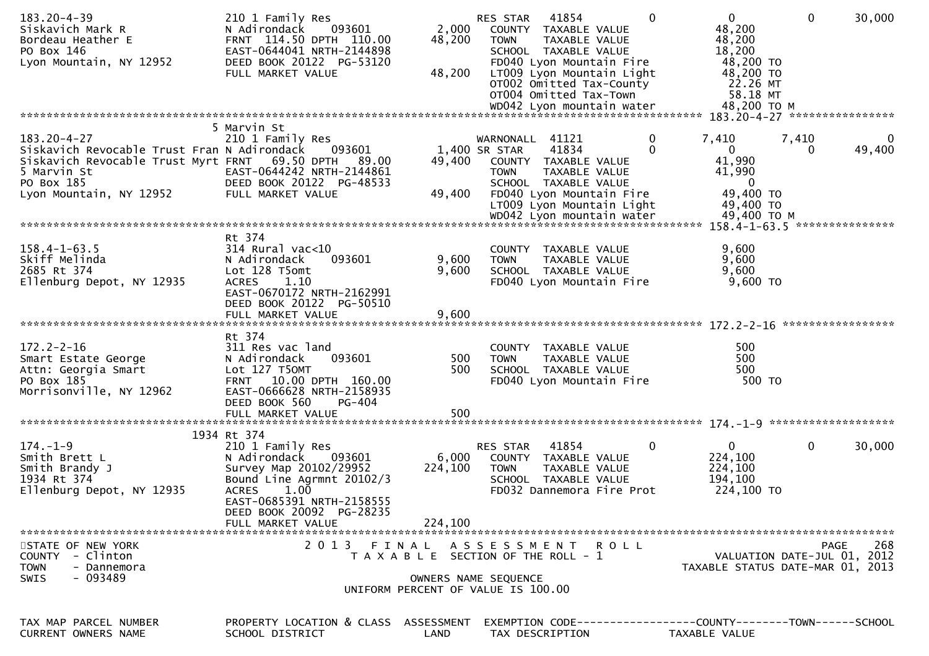| $183.20 - 4 - 39$<br>Siskavich Mark R<br>Bordeau Heather E<br>PO Box 146<br>Lyon Mountain, NY 12952                                                                        | 210 1 Family Res<br>N Adirondack<br>093601<br>FRNT 114.50 DPTH 110.00<br>EAST-0644041 NRTH-2144898<br>DEED BOOK 20122 PG-53120<br>FULL MARKET VALUE                              | 2,000<br>48,200<br>48,200 | 41854<br>$\Omega$<br>RES STAR<br>COUNTY TAXABLE VALUE<br><b>TOWN</b><br>TAXABLE VALUE<br>SCHOOL TAXABLE VALUE<br>FD040 Lyon Mountain Fire<br>LT009 Lyon Mountain Light<br>OTO02 Omitted Tax-County<br>OT004 Omitted Tax-Town | $\overline{0}$<br>48,200<br>48,200<br>18,200<br>48,200 TO<br>48,200 TO<br>22.26 MT<br>58.18 MT<br>48,200 TO M | $\mathbf{0}$<br>30,000                                                         |
|----------------------------------------------------------------------------------------------------------------------------------------------------------------------------|----------------------------------------------------------------------------------------------------------------------------------------------------------------------------------|---------------------------|------------------------------------------------------------------------------------------------------------------------------------------------------------------------------------------------------------------------------|---------------------------------------------------------------------------------------------------------------|--------------------------------------------------------------------------------|
|                                                                                                                                                                            |                                                                                                                                                                                  |                           |                                                                                                                                                                                                                              |                                                                                                               | 183.20-4-27 *****************                                                  |
| $183.20 - 4 - 27$<br>Siskavich Revocable Trust Fran N Adirondack<br>Siskavich Revocable Trust Myrt FRNT 69.50 DPTH<br>5 Marvin St<br>PO Box 185<br>Lyon Mountain, NY 12952 | 5 Marvin St<br>210 1 Family Res<br>093601<br>89.00<br>EAST-0644242 NRTH-2144861<br>DEED BOOK 20122 PG-48533<br>FULL MARKET VALUE                                                 | 49,400<br>49,400          | $\mathbf 0$<br>WARNONALL 41121<br>41834<br>$\Omega$<br>1,400 SR STAR<br>COUNTY TAXABLE VALUE<br><b>TOWN</b><br>TAXABLE VALUE<br>SCHOOL TAXABLE VALUE<br>FD040 Lyon Mountain Fire<br>LT009 Lyon Mountain Light                | 7,410<br>$\mathbf{0}$<br>41,990<br>41,990<br>$\bf{0}$<br>49,400 TO<br>49,400 TO                               | 7,410<br>$\bf{0}$<br>49,400<br>0                                               |
|                                                                                                                                                                            |                                                                                                                                                                                  |                           | WD042 Lyon mountain water                                                                                                                                                                                                    | 49,400 TO M                                                                                                   |                                                                                |
| $158.4 - 1 - 63.5$<br>Skiff Melinda<br>2685 Rt 374<br>Ellenburg Depot, NY 12935                                                                                            | Rt 374<br>$314$ Rural vac< $10$<br>N Adirondack<br>093601<br>Lot 128 T5omt<br>1.10<br><b>ACRES</b><br>EAST-0670172 NRTH-2162991<br>DEED BOOK 20122 PG-50510<br>FULL MARKET VALUE | 9,600<br>9,600<br>9,600   | COUNTY TAXABLE VALUE<br>TAXABLE VALUE<br><b>TOWN</b><br>SCHOOL TAXABLE VALUE<br>FD040 Lyon Mountain Fire                                                                                                                     | 9,600<br>9,600<br>9,600<br>9,600 TO                                                                           |                                                                                |
|                                                                                                                                                                            | Rt 374                                                                                                                                                                           |                           |                                                                                                                                                                                                                              |                                                                                                               |                                                                                |
| $172.2 - 2 - 16$<br>Smart Estate George<br>Attn: Georgia Smart<br>PO Box 185<br>Morrisonville, NY 12962                                                                    | 311 Res vac land<br>093601<br>N Adirondack<br>Lot 127 T50MT<br>FRNT 10.00 DPTH 160.00<br>EAST-0666628 NRTH-2158935<br>DEED BOOK 560<br>PG-404<br>FULL MARKET VALUE               | 500<br>500<br>500         | COUNTY TAXABLE VALUE<br><b>TOWN</b><br>TAXABLE VALUE<br>SCHOOL TAXABLE VALUE<br>FD040 Lyon Mountain Fire                                                                                                                     | 500<br>500<br>500<br>500 TO                                                                                   |                                                                                |
|                                                                                                                                                                            |                                                                                                                                                                                  |                           |                                                                                                                                                                                                                              |                                                                                                               | 174. -1-9 ********************                                                 |
| $174. - 1 - 9$<br>Smith Brett L<br>Smith Brandy J<br>1934 Rt 374<br>Ellenburg Depot, NY 12935                                                                              | 1934 Rt 374<br>210 1 Family Res<br>093601<br>N Adirondack<br>Survey Map 20102/29952<br>Bound Line Agrmnt 20102/3<br><b>ACRES</b><br>1.00<br>EAST-0685391 NRTH-2158555            | 6,000<br>224,100          | RES STAR<br>41854<br>0<br>COUNTY TAXABLE VALUE<br>TAXABLE VALUE<br><b>TOWN</b><br>SCHOOL TAXABLE VALUE<br>FD032 Dannemora Fire Prot                                                                                          | 0<br>224,100<br>224,100<br>194,100<br>224,100 TO                                                              | $\mathbf{0}$<br>30,000                                                         |
|                                                                                                                                                                            | DEED BOOK 20092 PG-28235<br>FULL MARKET VALUE                                                                                                                                    | 224,100                   |                                                                                                                                                                                                                              |                                                                                                               |                                                                                |
| STATE OF NEW YORK<br>COUNTY - Clinton<br>- Dannemora<br>TOWN<br>- 093489<br>SWIS                                                                                           | 2 0 1 3                                                                                                                                                                          | FINAL                     | A S S E S S M E N T R O L L<br>T A X A B L E SECTION OF THE ROLL - 1<br>OWNERS NAME SEQUENCE<br>UNIFORM PERCENT OF VALUE IS 100.00                                                                                           |                                                                                                               | 268<br>PAGE<br>VALUATION DATE-JUL 01, 2012<br>TAXABLE STATUS DATE-MAR 01, 2013 |
|                                                                                                                                                                            |                                                                                                                                                                                  |                           |                                                                                                                                                                                                                              |                                                                                                               |                                                                                |
| TAX MAP PARCEL NUMBER<br><b>CURRENT OWNERS NAME</b>                                                                                                                        | PROPERTY LOCATION & CLASS ASSESSMENT<br>SCHOOL DISTRICT                                                                                                                          | LAND                      | EXEMPTION CODE----<br>TAX DESCRIPTION                                                                                                                                                                                        | -------------COUNTY--------TOWN------SCHOOL<br>TAXABLE VALUE                                                  |                                                                                |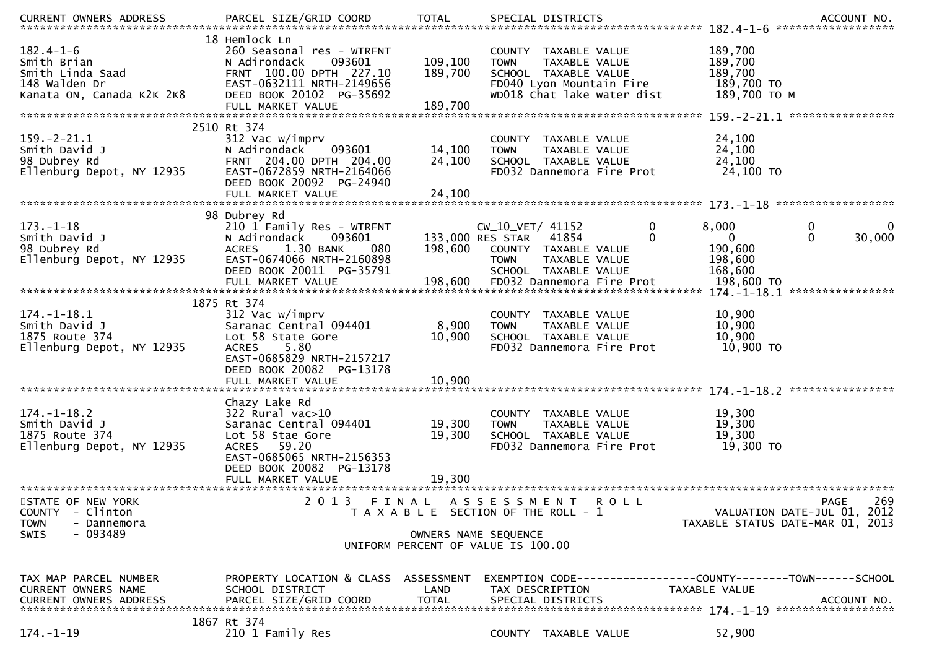|                                                                                                           |                                                                                                                                                                                     |                               | .CURRENT OWNERS ADDRESS PARCEL SIZE/GRID COORD TOTAL SPECIAL DISTRICTS (ACCOUNT NO ACCOUNT NO ACCOUNT NO AND ASSESS TO A AND A A SERVER AND A A SERVER ASSESS TO A A SERVER AND A SERVER AND TO A SERVER AND TO A SERVER AND T |                                                                                            |
|-----------------------------------------------------------------------------------------------------------|-------------------------------------------------------------------------------------------------------------------------------------------------------------------------------------|-------------------------------|--------------------------------------------------------------------------------------------------------------------------------------------------------------------------------------------------------------------------------|--------------------------------------------------------------------------------------------|
| $182.4 - 1 - 6$<br>Smith Brian<br>Smith Linda Saad<br>148 Walden Dr<br>Kanata ON, Canada K2K 2K8          | 18 Hemlock Ln<br>260 Seasonal res - WTRFNT<br>093601<br>N Adirondack<br>FRNT 100.00 DPTH 227.10<br>EAST-0632111 NRTH-2149656<br>DEED BOOK 20102 PG-35692<br>FULL MARKET VALUE       | 109,100<br>189,700<br>189,700 | COUNTY TAXABLE VALUE<br>TAXABLE VALUE<br><b>TOWN</b><br>SCHOOL TAXABLE VALUE<br>FD040 Lyon Mountain Fire<br>WD018 Chat lake water dist                                                                                         | 189,700<br>189,700<br>189,700<br>189,700 TO<br>189,700 ТО М                                |
| $159. - 2 - 21.1$<br>Smith David J                                                                        | 2510 Rt 374<br>312 Vac w/imprv<br>093601<br>N Adirondack                                                                                                                            | 14,100                        | COUNTY TAXABLE VALUE<br>TAXABLE VALUE<br><b>TOWN</b>                                                                                                                                                                           | 24,100<br>24,100                                                                           |
| 98 Dubrey Rd<br>Ellenburg Depot, NY 12935                                                                 | FRNT 204.00 DPTH 204.00<br>EAST-0672859 NRTH-2164066<br>DEED BOOK 20092 PG-24940                                                                                                    | 24,100                        | SCHOOL TAXABLE VALUE<br>FD032 Dannemora Fire Prot                                                                                                                                                                              | 24,100<br>24,100 TO                                                                        |
|                                                                                                           | FULL MARKET VALUE                                                                                                                                                                   | 24,100                        |                                                                                                                                                                                                                                |                                                                                            |
| $173. - 1 - 18$<br>Smith David J<br>98 Dubrey Rd<br>Ellenburg Depot, NY 12935                             | 98 Dubrey Rd<br>210 1 Family Res - WTRFNT<br>N Adirondack<br>093601<br>1.30 BANK<br><b>ACRES</b><br>080<br>EAST-0674066 NRTH-2160898<br>DEED BOOK 20011 PG-35791                    | 198,600                       | CW_10_VET/ 41152<br>0<br>133,000 RES STAR<br>0<br>41854<br>COUNTY TAXABLE VALUE<br><b>TAXABLE VALUE</b><br><b>TOWN</b><br>SCHOOL TAXABLE VALUE                                                                                 | 8,000<br>0<br>0<br>$\mathbf{0}$<br>30,000<br>$\mathbf{0}$<br>190,600<br>198,600<br>168,600 |
|                                                                                                           |                                                                                                                                                                                     |                               |                                                                                                                                                                                                                                | ****************                                                                           |
| $174. - 1 - 18.1$<br>Smith David J<br>1875 Route 374<br>Ellenburg Depot, NY 12935                         | 1875 Rt 374<br>312 Vac w/imprv<br>Saranac Central 094401<br>Lot 58 State Gore<br>5.80<br><b>ACRES</b><br>EAST-0685829 NRTH-2157217<br>DEED BOOK 20082 PG-13178<br>FULL MARKET VALUE | 8,900<br>10,900<br>10,900     | COUNTY TAXABLE VALUE<br>TAXABLE VALUE<br><b>TOWN</b><br>SCHOOL TAXABLE VALUE<br>FD032 Dannemora Fire Prot                                                                                                                      | 10,900<br>10,900<br>10,900<br>10,900 TO                                                    |
|                                                                                                           | Chazy Lake Rd                                                                                                                                                                       |                               |                                                                                                                                                                                                                                |                                                                                            |
| $174. - 1 - 18.2$<br>Smith David J<br>1875 Route 374<br>Ellenburg Depot, NY 12935                         | 322 Rural vac>10<br>Saranac Central 094401<br>Lot 58 Stae Gore<br>ACRES 59.20<br>EAST-0685065 NRTH-2156353<br>DEED BOOK 20082 PG-13178                                              | 19,300<br>19,300              | COUNTY TAXABLE VALUE<br><b>TOWN</b><br>TAXABLE VALUE<br>SCHOOL TAXABLE VALUE<br>FD032 Dannemora Fire Prot                                                                                                                      | 19,300<br>19,300<br>19,300<br>19,300 TO                                                    |
|                                                                                                           | FULL MARKET VALUE                                                                                                                                                                   | 19,300                        |                                                                                                                                                                                                                                |                                                                                            |
| STATE OF NEW YORK<br>- Clinton<br><b>COUNTY</b><br><b>TOWN</b><br>- Dannemora<br>$-093489$<br><b>SWIS</b> | 2 0 1 3<br>FINAL                                                                                                                                                                    |                               | A S S E S S M E N T<br><b>ROLL</b><br>T A X A B L E SECTION OF THE ROLL - 1<br>OWNERS NAME SEQUENCE                                                                                                                            | 269<br><b>PAGE</b><br>VALUATION DATE-JUL 01, 2012<br>TAXABLE STATUS DATE-MAR 01, 2013      |
|                                                                                                           |                                                                                                                                                                                     |                               | UNIFORM PERCENT OF VALUE IS 100.00                                                                                                                                                                                             |                                                                                            |
| TAX MAP PARCEL NUMBER<br>CURRENT OWNERS NAME<br><b>CURRENT OWNERS ADDRESS</b>                             | PROPERTY LOCATION & CLASS ASSESSMENT<br>SCHOOL DISTRICT<br>PARCEL SIZE/GRID COORD                                                                                                   | LAND<br><b>TOTAL</b>          | EXEMPTION CODE-----------------COUNTY-------TOWN------SCHOOL<br>TAX DESCRIPTION<br>SPECIAL DISTRICTS                                                                                                                           | TAXABLE VALUE<br>ACCOUNT NO.                                                               |
| $174. - 1 - 19$                                                                                           | 1867 Rt 374<br>210 1 Family Res                                                                                                                                                     |                               | COUNTY TAXABLE VALUE                                                                                                                                                                                                           | 52,900                                                                                     |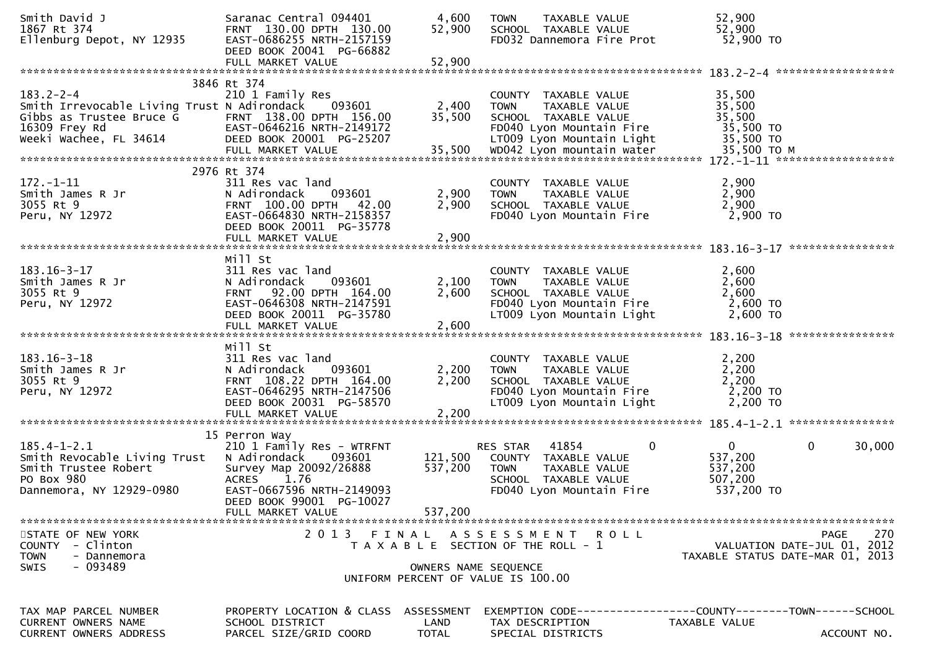| Smith David J<br>1867 Rt 374<br>Ellenburg Depot, NY 12935                                                                                                                                                        | Saranac Central 094401<br>FRNT 130.00 DPTH 130.00<br>EAST-0686255 NRTH-2157159<br>DEED BOOK 20041 PG-66882<br>FULL MARKET VALUE                                | 4,600<br>52,900<br>52,900 | <b>TOWN</b><br>TAXABLE VALUE<br>SCHOOL TAXABLE VALUE<br>FD032 Dannemora Fire Prot                                                     | 52,900<br>52,900<br>52,900 TO                                                         |
|------------------------------------------------------------------------------------------------------------------------------------------------------------------------------------------------------------------|----------------------------------------------------------------------------------------------------------------------------------------------------------------|---------------------------|---------------------------------------------------------------------------------------------------------------------------------------|---------------------------------------------------------------------------------------|
|                                                                                                                                                                                                                  |                                                                                                                                                                |                           |                                                                                                                                       |                                                                                       |
| $183.2 - 2 - 4$<br>Smith Irrevocable Living Trust N Adirondack<br>Gibbs as Trustee Bruce G FRNT 138.00 DPTH 156.00<br>16309 Frey Rd EAST-0646216 NRTH-2149172<br>Weeki Wachee, FL 34614 DEED BOOK 20001 PG-25207 | 3846 Rt 374<br>210 1 Family Res<br>093601                                                                                                                      | 2,400<br>35,500           | COUNTY TAXABLE VALUE<br><b>TOWN</b><br>TAXABLE VALUE<br>SCHOOL TAXABLE VALUE<br>FD040 Lyon Mountain Fire<br>LT009 Lyon Mountain Light | 35,500<br>35,500<br>35,500<br>35,500 TO<br>35,500 TO                                  |
|                                                                                                                                                                                                                  | 2976 Rt 374                                                                                                                                                    |                           |                                                                                                                                       |                                                                                       |
| $172. - 1 - 11$<br>Smith James R Jr<br>3055 Rt 9<br>Peru, NY 12972                                                                                                                                               | 311 Res vac land<br>093601<br>N Adirondack<br>FRNT 100.00 DPTH 42.00<br>EAST-0664830 NRTH-2158357<br>DEED BOOK 20011 PG-35778<br>FULL MARKET VALUE             | 2,900<br>2,900<br>2,900   | COUNTY TAXABLE VALUE<br><b>TOWN</b><br>TAXABLE VALUE<br>SCHOOL TAXABLE VALUE<br>FD040 Lyon Mountain Fire                              | 2,900<br>2,900<br>2,900<br>2,900 TO                                                   |
|                                                                                                                                                                                                                  |                                                                                                                                                                |                           |                                                                                                                                       |                                                                                       |
| $183.16 - 3 - 17$<br>Smith James R Jr<br>3055 Rt 9<br>Peru, NY 12972                                                                                                                                             | Mill St<br>311 Res vac land<br>N Adirondack<br>093601<br>FRNT 92.00 DPTH 164.00<br>EAST-0646308 NRTH-2147591<br>DEED BOOK 20011 PG-35780                       | 2,100<br>2,600            | COUNTY TAXABLE VALUE<br>TAXABLE VALUE<br><b>TOWN</b><br>SCHOOL TAXABLE VALUE<br>FD040 Lyon Mountain Fire<br>LT009 Lyon Mountain Light | 2,600<br>2,600<br>2,600<br>2,600 TO<br>2,600 TO                                       |
|                                                                                                                                                                                                                  | FULL MARKET VALUE                                                                                                                                              | 2,600                     |                                                                                                                                       |                                                                                       |
| $183.16 - 3 - 18$<br>Smith James R Jr<br>3055 Rt 9<br>Peru, NY 12972                                                                                                                                             | Mill St<br>311 Res vac land<br>093601<br>N Adirondack<br>FRNT 108.22 DPTH 164.00<br>EAST-0646295 NRTH-2147506<br>DEED BOOK 20031 PG-58570<br>FULL MARKET VALUE | 2,200<br>2,200<br>2,200   | COUNTY TAXABLE VALUE<br><b>TOWN</b><br>TAXABLE VALUE<br>SCHOOL TAXABLE VALUE<br>FD040 Lyon Mountain Fire<br>LT009 Lyon Mountain Light | 2,200<br>2,200<br>2,200<br>2,200 TO<br>2,200 TO                                       |
|                                                                                                                                                                                                                  | 15 Perron Way                                                                                                                                                  |                           |                                                                                                                                       |                                                                                       |
| $185.4 - 1 - 2.1$<br>Smith Revocable Living Trust N Adirondack<br>Smith Trustee Robert<br>PO Box 980<br>Dannemora, NY 12929-0980                                                                                 | 210 1 Family Res - WTRFNT<br>093601<br>Survey Map 20092/26888<br>1.76<br><b>ACRES</b><br>EAST-0667596 NRTH-2149093<br>DEED BOOK 99001 PG-10027                 | 121,500<br>537,200        | RES STAR 41854<br>0<br>COUNTY TAXABLE VALUE<br><b>TOWN</b><br>TAXABLE VALUE<br>SCHOOL TAXABLE VALUE<br>FD040 Lyon Mountain Fire       | 0<br>$\mathbf{0}$<br>30,000<br>537,200<br>537,200<br>507,200<br>537,200 TO            |
|                                                                                                                                                                                                                  | FULL MARKET VALUE                                                                                                                                              | 537,200                   |                                                                                                                                       |                                                                                       |
| STATE OF NEW YORK<br>COUNTY - Clinton<br><b>TOWN</b><br>- Dannemora<br>- 093489<br><b>SWIS</b>                                                                                                                   | 2 0 1 3                                                                                                                                                        | FINAL                     | A S S E S S M E N T<br>R O L L<br>T A X A B L E SECTION OF THE ROLL - 1<br>OWNERS NAME SEQUENCE<br>UNIFORM PERCENT OF VALUE IS 100.00 | 270<br><b>PAGE</b><br>VALUATION DATE-JUL 01, 2012<br>TAXABLE STATUS DATE-MAR 01, 2013 |
|                                                                                                                                                                                                                  |                                                                                                                                                                |                           |                                                                                                                                       |                                                                                       |
| TAX MAP PARCEL NUMBER<br><b>CURRENT OWNERS NAME</b><br><b>CURRENT OWNERS ADDRESS</b>                                                                                                                             | PROPERTY LOCATION & CLASS ASSESSMENT<br>SCHOOL DISTRICT<br>PARCEL SIZE/GRID COORD                                                                              | LAND<br><b>TOTAL</b>      | TAX DESCRIPTION<br>SPECIAL DISTRICTS                                                                                                  | TAXABLE VALUE<br>ACCOUNT NO.                                                          |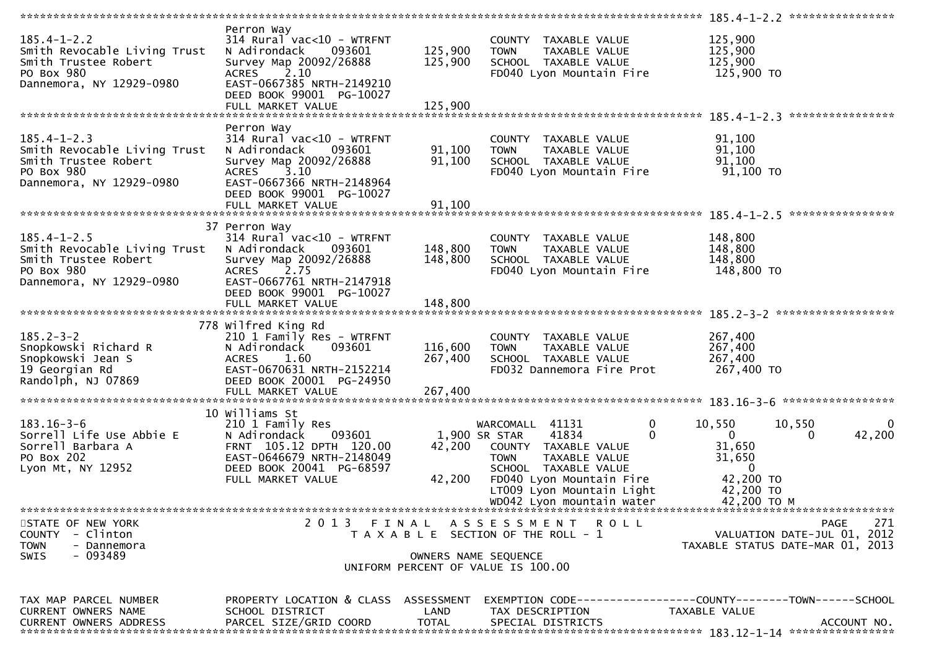| $185.4 - 1 - 2.2$<br>Smith Revocable Living Trust<br>Smith Trustee Robert<br>PO Box 980<br>Dannemora, NY 12929-0980 | Perron Way<br>$314$ Rural vac<10 - WTRFNT<br>N Adirondack<br>093601<br>Survey Map 20092/26888<br>2.10<br><b>ACRES</b><br>EAST-0667385 NRTH-2149210<br>DEED BOOK 99001 PG-10027 | 125,900<br>125,900   | COUNTY TAXABLE VALUE<br>TAXABLE VALUE<br><b>TOWN</b><br>SCHOOL TAXABLE VALUE<br>FD040 Lyon Mountain Fire                                                                                                      | 125,900<br>125,900<br>125,900<br>125,900 TO                                                                               |
|---------------------------------------------------------------------------------------------------------------------|--------------------------------------------------------------------------------------------------------------------------------------------------------------------------------|----------------------|---------------------------------------------------------------------------------------------------------------------------------------------------------------------------------------------------------------|---------------------------------------------------------------------------------------------------------------------------|
|                                                                                                                     |                                                                                                                                                                                |                      |                                                                                                                                                                                                               |                                                                                                                           |
| $185.4 - 1 - 2.3$<br>Smith Revocable Living Trust<br>Smith Trustee Robert<br>PO Box 980<br>Dannemora, NY 12929-0980 | Perron Way<br>$314$ Rural vac<10 - WTRFNT<br>N Adirondack<br>093601<br>Survey Map 20092/26888<br>3.10<br><b>ACRES</b><br>EAST-0667366 NRTH-2148964<br>DEED BOOK 99001 PG-10027 | 91,100<br>91,100     | COUNTY TAXABLE VALUE<br>TAXABLE VALUE<br><b>TOWN</b><br>SCHOOL TAXABLE VALUE<br>FD040 Lyon Mountain Fire                                                                                                      | 91,100<br>91,100<br>91,100<br>91,100 TO                                                                                   |
|                                                                                                                     |                                                                                                                                                                                |                      |                                                                                                                                                                                                               | ****************                                                                                                          |
| $185.4 - 1 - 2.5$<br>Smith Revocable Living Trust<br>Smith Trustee Robert<br>PO Box 980<br>Dannemora, NY 12929-0980 | 37 Perron Way<br>$314$ Rural vac<10 - WTRFNT<br>N Adirondack<br>093601<br>Survey Map 20092/26888<br>2.75<br><b>ACRES</b><br>EAST-0667761 NRTH-2147918                          | 148,800<br>148,800   | COUNTY TAXABLE VALUE<br><b>TOWN</b><br>TAXABLE VALUE<br>SCHOOL TAXABLE VALUE<br>FD040 Lyon Mountain Fire                                                                                                      | 148,800<br>148,800<br>148,800<br>148,800 TO                                                                               |
|                                                                                                                     | DEED BOOK 99001 PG-10027                                                                                                                                                       |                      |                                                                                                                                                                                                               |                                                                                                                           |
| $185.2 - 3 - 2$<br>Snopkowski Richard R<br>Snopkowski Jean S<br>19 Georgian Rd<br>Randolph, NJ 07869                | 778 Wilfred King Rd<br>210 1 Family Res - WTRFNT<br>N Adirondack<br>093601<br><b>ACRES</b><br>1.60<br>EAST-0670631 NRTH-2152214<br>DEED BOOK 20001 PG-24950                    | 116,600<br>267,400   | COUNTY TAXABLE VALUE<br><b>TOWN</b><br>TAXABLE VALUE<br>SCHOOL TAXABLE VALUE<br>FD032 Dannemora Fire Prot                                                                                                     | 267,400<br>267,400<br>267,400<br>267,400 TO                                                                               |
|                                                                                                                     |                                                                                                                                                                                |                      |                                                                                                                                                                                                               |                                                                                                                           |
| $183.16 - 3 - 6$<br>Sorrell Life Use Abbie E<br>Sorrell Barbara A<br>PO Box 202<br>Lyon Mt, NY 12952                | 10 Williams St<br>210 1 Family Res<br>093601<br>N Adirondack<br>FRNT 105.12 DPTH 120.00<br>EAST-0646679 NRTH-2148049<br>DEED BOOK 20041 PG-68597<br>FULL MARKET VALUE          | 42,200<br>42,200     | $\mathbf 0$<br>WARCOMALL 41131<br>41834<br>$\Omega$<br>1,900 SR STAR<br>COUNTY TAXABLE VALUE<br>TAXABLE VALUE<br><b>TOWN</b><br>SCHOOL TAXABLE VALUE<br>FD040 Lyon Mountain Fire<br>LT009 Lyon Mountain Light | 10,550<br>10,550<br>$\Omega$<br>42,200<br>$\mathbf{0}$<br>0<br>31,650<br>31,650<br>$\mathbf{0}$<br>42,200 TO<br>42,200 TO |
|                                                                                                                     |                                                                                                                                                                                |                      | WD042 Lyon mountain water                                                                                                                                                                                     | 42,200 TO M                                                                                                               |
|                                                                                                                     |                                                                                                                                                                                |                      |                                                                                                                                                                                                               |                                                                                                                           |
| STATE OF NEW YORK<br>COUNTY - Clinton<br><b>TOWN</b><br>- Dannemora<br>- 093489<br>SWIS                             | 2013 FINAL                                                                                                                                                                     |                      | ASSESSMENT ROLL<br>T A X A B L E SECTION OF THE ROLL - 1<br>OWNERS NAME SEQUENCE                                                                                                                              | 271<br>PAGE<br>VALUATION DATE-JUL 01, 2012<br>TAXABLE STATUS DATE-MAR 01, 2013                                            |
|                                                                                                                     |                                                                                                                                                                                |                      | UNIFORM PERCENT OF VALUE IS 100.00                                                                                                                                                                            |                                                                                                                           |
| TAX MAP PARCEL NUMBER<br>CURRENT OWNERS NAME<br><b>CURRENT OWNERS ADDRESS</b>                                       | PROPERTY LOCATION & CLASS ASSESSMENT<br>SCHOOL DISTRICT<br>PARCEL SIZE/GRID COORD                                                                                              | LAND<br><b>TOTAL</b> | TAX DESCRIPTION<br>SPECIAL DISTRICTS                                                                                                                                                                          | EXEMPTION        CODE------------------COUNTY-------TOWN------SCHOOL<br>TAXABLE VALUE<br>ACCOUNT NO.                      |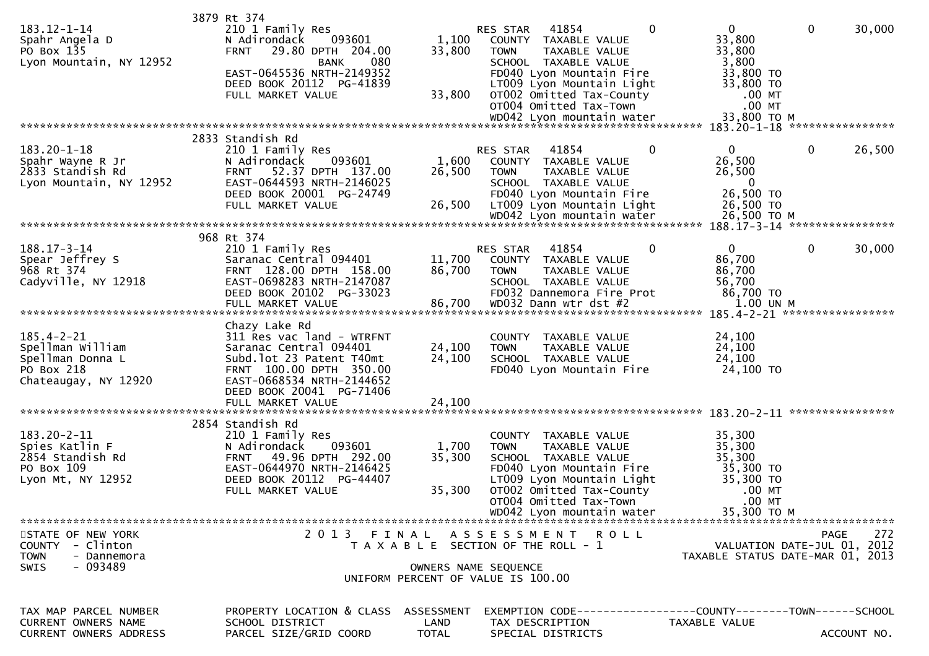| 183.12-1-14<br>Spahr Angela D<br>PO Box 135<br>Lyon Mountain, NY 12952                         | 3879 Rt 374<br>210 1 Family Res<br>N Adirondack<br>093601<br>29.80 DPTH 204.00<br><b>FRNT</b><br>080<br><b>BANK</b><br>EAST-0645536 NRTH-2149352<br>DEED BOOK 20112 PG-41839<br>FULL MARKET VALUE | 1,100<br>33,800<br>33,800          | $\mathbf 0$<br>RES STAR<br>41854<br>COUNTY TAXABLE VALUE<br>TAXABLE VALUE<br><b>TOWN</b><br>SCHOOL TAXABLE VALUE<br>FD040 Lyon Mountain Fire<br>LT009 Lyon Mountain Light<br>OT002 Omitted Tax-County<br>OT004 Omitted Tax-Town<br>WD042 Lyon mountain water | $\mathbf{0}$<br>33,800<br>33,800<br>3,800<br>33,800 TO<br>33,800 TO<br>$.00$ MT<br>$.00$ MT<br>33,800 TO M | $\mathbf 0$<br>30,000         |
|------------------------------------------------------------------------------------------------|---------------------------------------------------------------------------------------------------------------------------------------------------------------------------------------------------|------------------------------------|--------------------------------------------------------------------------------------------------------------------------------------------------------------------------------------------------------------------------------------------------------------|------------------------------------------------------------------------------------------------------------|-------------------------------|
|                                                                                                | 2833 Standish Rd                                                                                                                                                                                  |                                    |                                                                                                                                                                                                                                                              |                                                                                                            |                               |
| $183.20 - 1 - 18$<br>Spahr Wayne R Jr<br>2833 Standish Rd<br>Lyon Mountain, NY 12952           | 210 1 Family Res<br>093601<br>N Adirondack<br>52.37 DPTH 137.00<br><b>FRNT</b><br>EAST-0644593 NRTH-2146025<br>DEED BOOK 20001 PG-24749<br>FULL MARKET VALUE                                      | 1,600<br>26,500<br>26,500          | $\Omega$<br>41854<br><b>RES STAR</b><br>COUNTY TAXABLE VALUE<br><b>TOWN</b><br>TAXABLE VALUE<br>SCHOOL TAXABLE VALUE<br>FD040 Lyon Mountain Fire<br>LT009 Lyon Mountain Light<br>WD042 Lyon mountain water                                                   | 0<br>26,500<br>26,500<br>$\Omega$<br>26,500 TO<br>26,500 TO<br>26,500 ТО М                                 | $\mathbf{0}$<br>26,500        |
|                                                                                                |                                                                                                                                                                                                   |                                    |                                                                                                                                                                                                                                                              |                                                                                                            |                               |
| $188.17 - 3 - 14$<br>Spear Jeffrey S<br>968 Rt 374<br>Cadyville, NY 12918                      | 968 Rt 374<br>210 1 Family Res<br>Saranac Central 094401<br>FRNT 128.00 DPTH 158.00<br>EAST-0698283 NRTH-2147087<br>DEED BOOK 20102 PG-33023<br>FULL MARKET VALUE                                 | 11,700<br>86,700<br>86,700         | 41854<br>0<br>RES STAR<br>COUNTY TAXABLE VALUE<br><b>TOWN</b><br>TAXABLE VALUE<br>SCHOOL TAXABLE VALUE<br>FD032 Dannemora Fire Prot<br>WD032 Dann wtr dst #2                                                                                                 | 0<br>86,700<br>86,700<br>56,700<br>86,700 TO<br>1.00 UN M                                                  | 30,000<br>0                   |
|                                                                                                | Chazy Lake Rd                                                                                                                                                                                     |                                    |                                                                                                                                                                                                                                                              |                                                                                                            | 185.4-2-21 ****************** |
| $185.4 - 2 - 21$<br>Spellman William<br>Spellman Donna L<br>PO Box 218<br>Chateaugay, NY 12920 | 311 Res vac land - WTRFNT<br>Saranac Central 094401<br>Subd. lot 23 Patent T40mt<br>FRNT 100.00 DPTH 350.00<br>EAST-0668534 NRTH-2144652<br>DEED BOOK 20041 PG-71406                              | 24,100<br>24,100                   | <b>COUNTY</b><br>TAXABLE VALUE<br><b>TOWN</b><br>TAXABLE VALUE<br>SCHOOL TAXABLE VALUE<br>FD040 Lyon Mountain Fire                                                                                                                                           | 24,100<br>24,100<br>24,100<br>24,100 TO                                                                    |                               |
|                                                                                                |                                                                                                                                                                                                   |                                    |                                                                                                                                                                                                                                                              |                                                                                                            |                               |
| 183.20-2-11<br>Spies Katlin F<br>2854 Standish Rd<br>PO Box 109<br>Lyon Mt, NY 12952           | 2854 Standish Rd<br>210 1 Family Res<br>093601<br>N Adirondack<br>FRNT 49.96 DPTH 292.00<br>EAST-0644970 NRTH-2146425<br>DEED BOOK 20112 PG-44407<br>FULL MARKET VALUE                            | 1,700<br>35,300<br>35,300          | COUNTY TAXABLE VALUE<br><b>TOWN</b><br>TAXABLE VALUE<br>SCHOOL TAXABLE VALUE<br>FD040 Lyon Mountain Fire<br>LT009 Lyon Mountain Light<br>OTOO2 Omitted Tax-County<br>OT004 Omitted Tax-Town                                                                  | 35,300<br>35,300<br>35,300<br>35,300 TO<br>35,300 TO<br>$.00$ MT<br>$.00$ MT                               |                               |
| STATE OF NEW YORK                                                                              |                                                                                                                                                                                                   |                                    | 2013 FINAL ASSESSMENT ROLL                                                                                                                                                                                                                                   |                                                                                                            | 272<br>PAGE                   |
| - Clinton<br><b>COUNTY</b><br><b>TOWN</b><br>- Dannemora<br>- 093489<br>SWIS                   |                                                                                                                                                                                                   |                                    | T A X A B L E SECTION OF THE ROLL - 1<br>OWNERS NAME SEQUENCE<br>UNIFORM PERCENT OF VALUE IS 100.00                                                                                                                                                          | TAXABLE STATUS DATE-MAR 01, 2013                                                                           | VALUATION DATE-JUL 01, 2012   |
| TAX MAP PARCEL NUMBER<br>CURRENT OWNERS NAME<br><b>CURRENT OWNERS ADDRESS</b>                  | PROPERTY LOCATION & CLASS<br>SCHOOL DISTRICT<br>PARCEL SIZE/GRID COORD                                                                                                                            | ASSESSMENT<br>LAND<br><b>TOTAL</b> | EXEMPTION CODE------------------COUNTY--------TOWN------SCHOOL<br>TAX DESCRIPTION<br>SPECIAL DISTRICTS                                                                                                                                                       | TAXABLE VALUE                                                                                              | ACCOUNT NO.                   |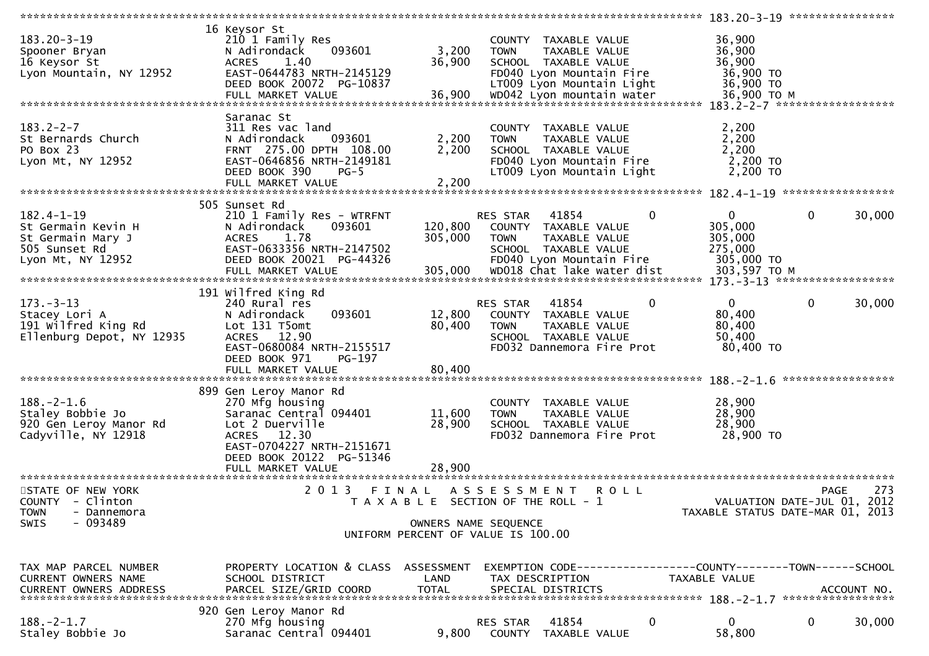|                                                                                                   |                                                                                                                                                                                     |                                                               |                         |                                                                                                                                                     | *****************                      | 183.20-3-19 *****************                                               |             |                                  |
|---------------------------------------------------------------------------------------------------|-------------------------------------------------------------------------------------------------------------------------------------------------------------------------------------|---------------------------------------------------------------|-------------------------|-----------------------------------------------------------------------------------------------------------------------------------------------------|----------------------------------------|-----------------------------------------------------------------------------|-------------|----------------------------------|
| $183.20 - 3 - 19$<br>Spooner Bryan<br>16 Keysor St<br>Lyon Mountain, NY 12952                     | 16 Keysor St<br>210 1 Family Res<br>093601<br>N Adirondack<br>1.40<br><b>ACRES</b><br>EAST-0644783 NRTH-2145129<br>DEED BOOK 20072 PG-10837<br>FULL MARKET VALUE                    | 3,200<br>36,900<br>36,900                                     | <b>TOWN</b>             | COUNTY TAXABLE VALUE<br>TAXABLE VALUE<br>SCHOOL TAXABLE VALUE<br>FD040 Lyon Mountain Fire<br>LT009 Lyon Mountain Light<br>WD042 Lyon mountain water |                                        | 36,900<br>36,900<br>36,900<br>36,900 TO<br>36,900 TO<br>36,900 ТО М         |             |                                  |
|                                                                                                   | Saranac St                                                                                                                                                                          |                                                               |                         |                                                                                                                                                     |                                        |                                                                             |             |                                  |
| $183.2 - 2 - 7$<br>St Bernards Church<br>PO Box 23<br>Lyon Mt, NY 12952                           | 311 Res vac land<br>093601<br>N Adirondack<br>FRNT 275.00 DPTH 108.00<br>EAST-0646856 NRTH-2149181<br>DEED BOOK 390<br>$PG-5$<br>FULL MARKET VALUE                                  | 2,200<br>2,200<br>2,200                                       | <b>TOWN</b>             | COUNTY TAXABLE VALUE<br>TAXABLE VALUE<br>SCHOOL TAXABLE VALUE<br>FD040 Lyon Mountain Fire<br>LT009 Lyon Mountain Light                              |                                        | 2,200<br>2,200<br>2,200<br>$2,200$ TO<br>2,200 TO                           |             |                                  |
|                                                                                                   |                                                                                                                                                                                     |                                                               |                         |                                                                                                                                                     |                                        |                                                                             |             |                                  |
| $182.4 - 1 - 19$<br>St Germain Kevin H<br>St Germain Mary J<br>505 Sunset Rd<br>Lyon Mt, NY 12952 | 505 Sunset Rd<br>210 1 Family Res - WTRFNT<br>N Adirondack<br>093601<br><b>ACRES</b><br>1.78<br>EAST-0633356 NRTH-2147502<br>DEED BOOK 20021 PG-44326<br>FULL MARKET VALUE          | 120,800<br>305,000<br>305,000                                 | RES STAR<br><b>TOWN</b> | 41854<br>COUNTY TAXABLE VALUE<br>TAXABLE VALUE<br>SCHOOL TAXABLE VALUE<br>FD040 Lyon Mountain Fire                                                  | $\bf{0}$<br>WD018 Chat lake water dist | $\mathbf{0}$<br>305,000<br>305,000<br>275,000<br>305,000 TO<br>303,597 TO M | 0           | 30,000                           |
|                                                                                                   |                                                                                                                                                                                     |                                                               |                         |                                                                                                                                                     |                                        |                                                                             |             |                                  |
| $173. - 3 - 13$<br>Stacey Lori A<br>191 Wilfred King Rd<br>Ellenburg Depot, NY 12935              | 191 Wilfred King Rd<br>240 Rural res<br>093601<br>N Adirondack<br>Lot 131 T5omt<br>ACRES 12.90<br>EAST-0680084 NRTH-2155517<br>DEED BOOK 971<br>PG-197<br>FULL MARKET VALUE         | 12,800<br>80,400<br>80,400                                    | RES STAR<br><b>TOWN</b> | 41854<br>COUNTY TAXABLE VALUE<br>TAXABLE VALUE<br>SCHOOL TAXABLE VALUE<br>FD032 Dannemora Fire Prot                                                 | 0                                      | $\mathbf 0$<br>80,400<br>80,400<br>50,400<br>80,400 TO                      | $\mathbf 0$ | 30,000                           |
|                                                                                                   |                                                                                                                                                                                     |                                                               |                         |                                                                                                                                                     |                                        |                                                                             |             | *****************                |
| $188. - 2 - 1.6$<br>Staley Bobbie Jo<br>920 Gen Leroy Manor Rd<br>Cadyville, NY 12918             | 899 Gen Leroy Manor Rd<br>270 Mfg housing<br>Saranac Central 094401<br>Lot 2 Duerville<br>ACRES 12.30<br>EAST-0704227 NRTH-2151671<br>DEED BOOK 20122 PG-51346<br>FULL MARKET VALUE | 11,600<br>28,900<br>28,900                                    | <b>TOWN</b>             | COUNTY TAXABLE VALUE<br>TAXABLE VALUE<br>SCHOOL TAXABLE VALUE<br>FD032 Dannemora Fire Prot                                                          |                                        | 28,900<br>28,900<br>28,900<br>28,900 TO                                     |             |                                  |
|                                                                                                   |                                                                                                                                                                                     |                                                               |                         |                                                                                                                                                     |                                        |                                                                             |             |                                  |
| STATE OF NEW YORK<br>COUNTY - Clinton<br><b>TOWN</b><br>- Dannemora<br>$-093489$<br>SWIS          | 2 0 1 3<br>FINAL                                                                                                                                                                    | T A X A B L E SECTION OF THE ROLL - 1<br>OWNERS NAME SEQUENCE | A S S E S S M E N T     |                                                                                                                                                     | <b>ROLL</b>                            | VALUATION DATE-JUL 01, 2012<br>TAXABLE STATUS DATE-MAR 01, 2013             | <b>PAGE</b> | 273                              |
|                                                                                                   |                                                                                                                                                                                     | UNIFORM PERCENT OF VALUE IS 100.00                            |                         |                                                                                                                                                     |                                        |                                                                             |             |                                  |
|                                                                                                   |                                                                                                                                                                                     |                                                               |                         |                                                                                                                                                     |                                        |                                                                             |             |                                  |
| TAX MAP PARCEL NUMBER<br><b>CURRENT OWNERS NAME</b>                                               | PROPERTY LOCATION & CLASS ASSESSMENT<br>SCHOOL DISTRICT                                                                                                                             | LAND                                                          |                         | TAX DESCRIPTION                                                                                                                                     |                                        | TAXABLE VALUE                                                               |             | ACCOUNT NO.<br>***************** |
| $188. - 2 - 1.7$<br>Staley Bobbie Jo                                                              | 920 Gen Leroy Manor Rd<br>270 Mfg housing<br>Saranac Central 094401                                                                                                                 | 9,800                                                         | RES STAR                | 41854<br>COUNTY TAXABLE VALUE                                                                                                                       | 0                                      | $\mathbf{0}$<br>58,800                                                      | $\mathbf 0$ | 30,000                           |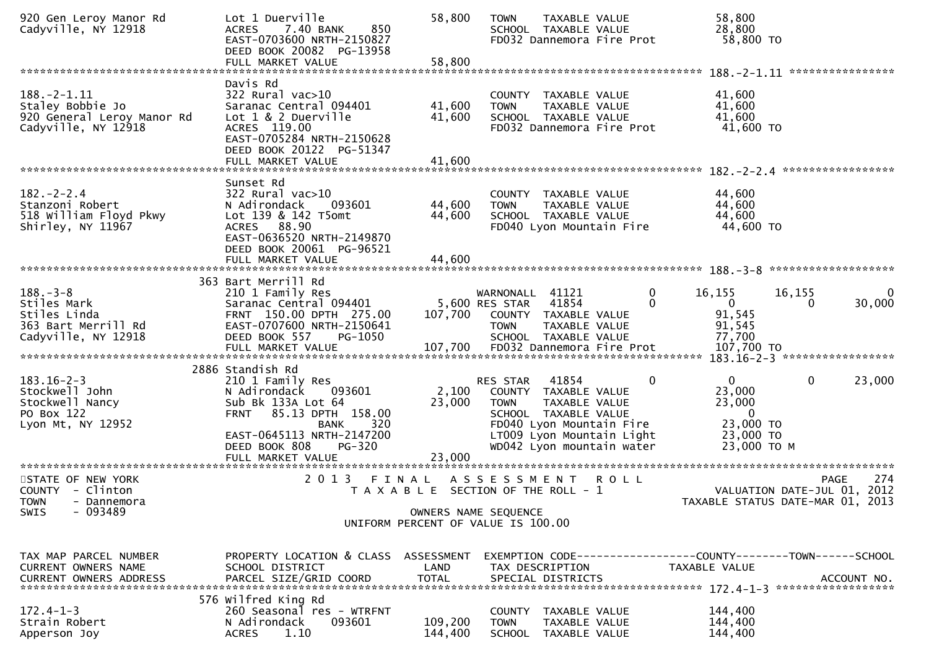| 920 Gen Leroy Manor Rd<br>Cadyville, NY 12918                                                   | Lot 1 Duerville<br>7.40 BANK<br>850<br><b>ACRES</b><br>EAST-0703600 NRTH-2150827<br>DEED BOOK 20082 PG-13958<br>FULL MARKET VALUE                                                                                           | 58,800<br>58,800          | <b>TOWN</b><br>TAXABLE VALUE<br>SCHOOL TAXABLE VALUE<br>FD032 Dannemora Fire Prot                                                                                                                   | 58,800<br>28,800<br>58,800 TO                                                                           |
|-------------------------------------------------------------------------------------------------|-----------------------------------------------------------------------------------------------------------------------------------------------------------------------------------------------------------------------------|---------------------------|-----------------------------------------------------------------------------------------------------------------------------------------------------------------------------------------------------|---------------------------------------------------------------------------------------------------------|
|                                                                                                 |                                                                                                                                                                                                                             |                           |                                                                                                                                                                                                     | ****************                                                                                        |
| $188. - 2 - 1.11$<br>Staley Bobbie Jo<br>920 General Leroy Manor Rd<br>Cadyville, NY 12918      | Davis Rd<br>322 Rural vac>10<br>Saranac Central 094401<br>Lot 1 & 2 Duerville<br>ACRES 119.00<br>EAST-0705284 NRTH-2150628<br>DEED BOOK 20122 PG-51347                                                                      | 41,600<br>41,600          | COUNTY TAXABLE VALUE<br>TAXABLE VALUE<br><b>TOWN</b><br>SCHOOL TAXABLE VALUE<br>FD032 Dannemora Fire Prot                                                                                           | 41,600<br>41,600<br>41,600<br>41,600 TO                                                                 |
|                                                                                                 | FULL MARKET VALUE                                                                                                                                                                                                           | 41,600                    |                                                                                                                                                                                                     |                                                                                                         |
|                                                                                                 | Sunset Rd                                                                                                                                                                                                                   |                           |                                                                                                                                                                                                     | 182. - 2 - 2.4 *******************                                                                      |
| $182 - 2 - 2.4$<br>Stanzoni Robert<br>518 William Floyd Pkwy<br>Shirley, NY 11967               | $322$ Rural vac $>10$<br>N Adirondack<br>093601<br>Lot 139 & 142 T5omt<br>ACRES 88.90<br>EAST-0636520 NRTH-2149870<br>DEED BOOK 20061 PG-96521                                                                              | 44,600<br>44,600          | COUNTY TAXABLE VALUE<br>TAXABLE VALUE<br><b>TOWN</b><br>SCHOOL TAXABLE VALUE<br>FD040 Lyon Mountain Fire                                                                                            | 44,600<br>44,600<br>44,600<br>44,600 TO                                                                 |
|                                                                                                 | FULL MARKET VALUE                                                                                                                                                                                                           | 44,600                    |                                                                                                                                                                                                     |                                                                                                         |
| $188. - 3 - 8$<br>Stiles Mark<br>Stiles Linda<br>363 Bart Merrill Rd<br>Cadyville, NY 12918     | 363 Bart Merrill Rd<br>210 1 Family Res<br>Saranac Central 094401<br>FRNT 150.00 DPTH 275.00<br>EAST-0707600 NRTH-2150641<br>DEED BOOK 557<br>PG-1050<br>FULL MARKET VALUE                                                  | 107,700<br>107,700        | WARNONALL 41121<br>0<br>41854<br>0<br>5,600 RES STAR<br>COUNTY TAXABLE VALUE<br><b>TOWN</b><br>TAXABLE VALUE<br>SCHOOL TAXABLE VALUE<br>FD032 Dannemora Fire Prot                                   | 16,155<br>16,155<br>0<br>$\mathbf{0}$<br>30,000<br>$\Omega$<br>91,545<br>91,545<br>77,700<br>107,700 TO |
| $183.16 - 2 - 3$<br>Stockwell John<br>Stockwell Nancy<br>PO Box 122<br>Lyon Mt, NY 12952        | 2886 Standish Rd<br>210 1 Family Res<br>093601<br>N Adirondack<br>Sub Bk 133A Lot 64<br>85.13 DPTH 158.00<br><b>FRNT</b><br>320<br><b>BANK</b><br>EAST-0645113 NRTH-2147200<br>DEED BOOK 808<br>PG-320<br>FULL MARKET VALUE | 2,100<br>23,000<br>23,000 | 41854<br>0<br><b>RES STAR</b><br>COUNTY TAXABLE VALUE<br>TAXABLE VALUE<br><b>TOWN</b><br>SCHOOL TAXABLE VALUE<br>FD040 Lyon Mountain Fire<br>LT009 Lyon Mountain Light<br>WD042 Lyon mountain water | $\mathbf{0}$<br>0<br>23,000<br>23,000<br>23,000<br>$\Omega$<br>23,000 TO<br>23,000 TO<br>23,000 TO M    |
| STATE OF NEW YORK<br>COUNTY - Clinton<br><b>TOWN</b><br>- Dannemora<br>$-093489$<br><b>SWIS</b> | 2013 FINAL                                                                                                                                                                                                                  |                           | A S S E S S M E N T<br>R O L L<br>T A X A B L E SECTION OF THE ROLL - 1<br>OWNERS NAME SEQUENCE<br>UNIFORM PERCENT OF VALUE IS 100.00                                                               | 274<br>PAGE<br>VALUATION DATE-JUL 01, 2012<br>2013<br>TAXABLE STATUS DATE-MAR 01,                       |
| TAX MAP PARCEL NUMBER<br>CURRENT OWNERS NAME<br><b>CURRENT OWNERS ADDRESS</b>                   | PROPERTY LOCATION & CLASS ASSESSMENT<br>SCHOOL DISTRICT<br>PARCEL SIZE/GRID COORD                                                                                                                                           | LAND<br><b>TOTAL</b>      | TAX DESCRIPTION<br>SPECIAL DISTRICTS                                                                                                                                                                | EXEMPTION CODE-----------------COUNTY-------TOWN------SCHOOL<br>TAXABLE VALUE<br>ACCOUNT NO.            |
| $172.4 - 1 - 3$<br>Strain Robert<br>Apperson Joy                                                | 576 Wilfred King Rd<br>260 Seasonal res - WTRFNT<br>093601<br>N Adirondack<br><b>ACRES</b><br>1.10                                                                                                                          | 109,200<br>144,400        | COUNTY TAXABLE VALUE<br>TAXABLE VALUE<br><b>TOWN</b><br>SCHOOL TAXABLE VALUE                                                                                                                        | 144,400<br>144,400<br>144,400                                                                           |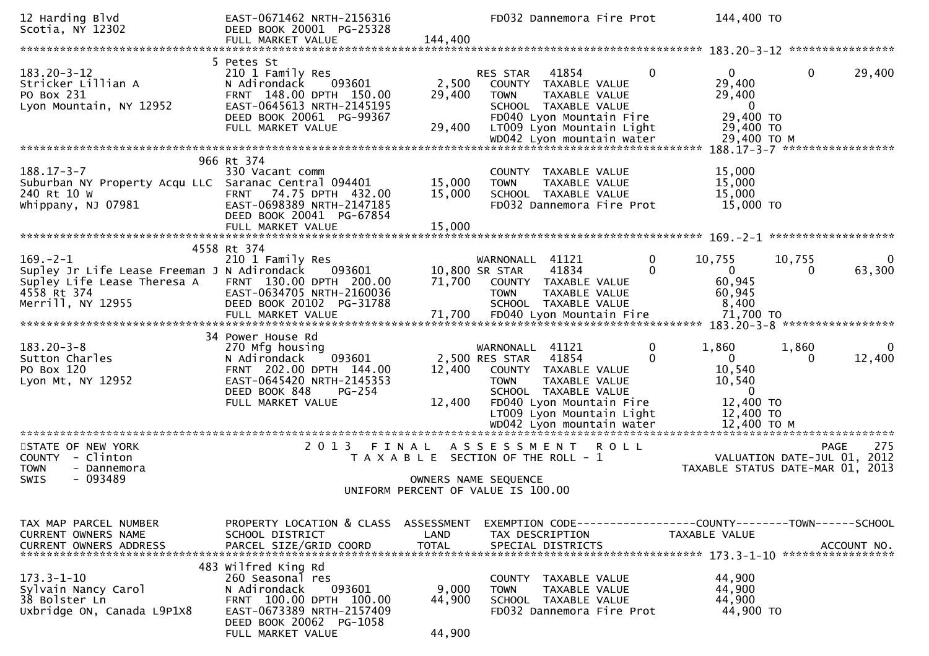| 12 Harding Blvd<br>Scotia, NY 12302                                                                                              | EAST-0671462 NRTH-2156316<br>DEED BOOK 20001 PG-25328<br>FULL MARKET VALUE                                                                                                | 144,400                            |                                                                                                                            | FD032 Dannemora Fire Prot                                                                                                                             |              | 144,400 TO                                                                       |                                                                                   |          |
|----------------------------------------------------------------------------------------------------------------------------------|---------------------------------------------------------------------------------------------------------------------------------------------------------------------------|------------------------------------|----------------------------------------------------------------------------------------------------------------------------|-------------------------------------------------------------------------------------------------------------------------------------------------------|--------------|----------------------------------------------------------------------------------|-----------------------------------------------------------------------------------|----------|
|                                                                                                                                  |                                                                                                                                                                           |                                    |                                                                                                                            |                                                                                                                                                       |              |                                                                                  |                                                                                   |          |
| $183.20 - 3 - 12$<br>Stricker Lillian A<br>PO Box 231<br>Lyon Mountain, NY 12952                                                 | 5 Petes St<br>210 1 Family Res<br>N Adirondack<br>093601<br>FRNT 148.00 DPTH 150.00<br>EAST-0645613 NRTH-2145195<br>DEED BOOK 20061 PG-99367<br>FULL MARKET VALUE         | 2,500<br>29,400<br>29,400          | RES STAR<br>COUNTY<br><b>TOWN</b>                                                                                          | 41854<br>TAXABLE VALUE<br>TAXABLE VALUE<br>SCHOOL TAXABLE VALUE<br>FD040 Lyon Mountain Fire<br>LT009 Lyon Mountain Light<br>WD042 Lyon mountain water | $\mathbf{0}$ | 0<br>29,400<br>29,400<br>$\overline{0}$<br>29,400 TO<br>29,400 TO<br>29,400 ТО М | $\mathbf{0}$<br>29,400                                                            |          |
| $188.17 - 3 - 7$<br>Suburban NY Property Acqu LLC<br>240 Rt 10 W<br>Whippany, NJ 07981                                           | 966 Rt 374<br>330 Vacant comm<br>Saranac Central 094401<br>74.75 DPTH 432.00<br><b>FRNT</b><br>EAST-0698389 NRTH-2147185<br>DEED BOOK 20041 PG-67854<br>FULL MARKET VALUE | 15,000<br>15,000<br>15,000         | <b>TOWN</b>                                                                                                                | COUNTY TAXABLE VALUE<br>TAXABLE VALUE<br>SCHOOL TAXABLE VALUE<br>FD032 Dannemora Fire Prot                                                            |              | 15,000<br>15,000<br>15,000<br>15,000 TO                                          |                                                                                   |          |
|                                                                                                                                  |                                                                                                                                                                           |                                    |                                                                                                                            |                                                                                                                                                       |              |                                                                                  |                                                                                   |          |
| $169. - 2 - 1$<br>Supley Jr Life Lease Freeman J N Adirondack<br>Supley Life Lease Theresa A<br>4558 Rt 374<br>Merrill, NY 12955 | 4558 Rt 374<br>210 1 Family Res<br>093601<br>FRNT 130.00 DPTH 200.00<br>EAST-0634705 NRTH-2160036<br>DEED BOOK 20102 PG-31788<br>FULL MARKET VALUE                        | 71,700<br>71,700                   | WARNONALL 41121<br>10,800 SR STAR<br><b>TOWN</b>                                                                           | 41834<br>COUNTY TAXABLE VALUE<br>TAXABLE VALUE<br>SCHOOL TAXABLE VALUE<br>FD040 Lyon Mountain Fire                                                    | 0<br>0       | 10,755<br>$\Omega$<br>60,945<br>60,945<br>8,400<br>71,700 TO                     | 10,755<br>63,300<br>0                                                             | 0        |
|                                                                                                                                  |                                                                                                                                                                           |                                    |                                                                                                                            |                                                                                                                                                       |              |                                                                                  |                                                                                   |          |
| $183.20 - 3 - 8$<br>Sutton Charles<br>PO Box 120<br>Lyon Mt, NY 12952                                                            | 34 Power House Rd<br>270 Mfg housing<br>093601<br>N Adirondack<br>FRNT 202.00 DPTH 144.00<br>EAST-0645420 NRTH-2145353<br>DEED BOOK 848<br>PG-254<br>FULL MARKET VALUE    | 12,400<br>12,400                   | WARNONALL<br>2,500 RES STAR<br><b>TOWN</b>                                                                                 | 41121<br>41854<br>COUNTY TAXABLE VALUE<br>TAXABLE VALUE<br>SCHOOL TAXABLE VALUE<br>FD040 Lyon Mountain Fire<br>LT009 Lyon Mountain Light              | 0<br>0       | 1,860<br>$\Omega$<br>10,540<br>10,540<br>0<br>12,400 TO<br>12,400 TO             | 1,860<br>12,400<br>$\Omega$                                                       | $\Omega$ |
|                                                                                                                                  |                                                                                                                                                                           |                                    |                                                                                                                            |                                                                                                                                                       |              |                                                                                  |                                                                                   |          |
| STATE OF NEW YORK<br>COUNTY - Clinton<br><b>TOWN</b><br>- Dannemora<br>SWIS<br>$-093489$                                         | 2 0 1 3<br>FINAL                                                                                                                                                          |                                    | A S S E S S M E N T<br>T A X A B L E SECTION OF THE ROLL - 1<br>OWNERS NAME SEQUENCE<br>UNIFORM PERCENT OF VALUE IS 100.00 | <b>ROLL</b>                                                                                                                                           |              |                                                                                  | <b>PAGE</b><br>2012<br>VALUATION DATE-JUL 01,<br>TAXABLE STATUS DATE-MAR 01, 2013 | 275      |
| TAX MAP PARCEL NUMBER<br>CURRENT OWNERS NAME<br><b>CURRENT OWNERS ADDRESS</b>                                                    | PROPERTY LOCATION & CLASS<br>SCHOOL DISTRICT<br>PARCEL SIZE/GRID COORD                                                                                                    | ASSESSMENT<br>LAND<br><b>TOTAL</b> | TAX DESCRIPTION<br>SPECIAL DISTRICTS                                                                                       |                                                                                                                                                       |              | TAXABLE VALUE                                                                    | EXEMPTION CODE------------------COUNTY--------TOWN------SCHOOL<br>ACCOUNT NO.     |          |
| $173.3 - 1 - 10$<br>Sylvain Nancy Carol<br>38 Bolster Ln<br>Uxbridge ON, Canada L9P1X8                                           | 483 Wilfred King Rd<br>260 Seasonal res<br>N Adirondack<br>093601<br>FRNT 100.00 DPTH 100.00<br>EAST-0673389 NRTH-2157409<br>DEED BOOK 20062 PG-1058                      | 9,000<br>44,900                    | <b>TOWN</b>                                                                                                                | COUNTY TAXABLE VALUE<br>TAXABLE VALUE<br>SCHOOL TAXABLE VALUE<br>FD032 Dannemora Fire Prot                                                            |              | 44,900<br>44,900<br>44,900<br>44,900 TO                                          |                                                                                   |          |
|                                                                                                                                  | FULL MARKET VALUE                                                                                                                                                         | 44,900                             |                                                                                                                            |                                                                                                                                                       |              |                                                                                  |                                                                                   |          |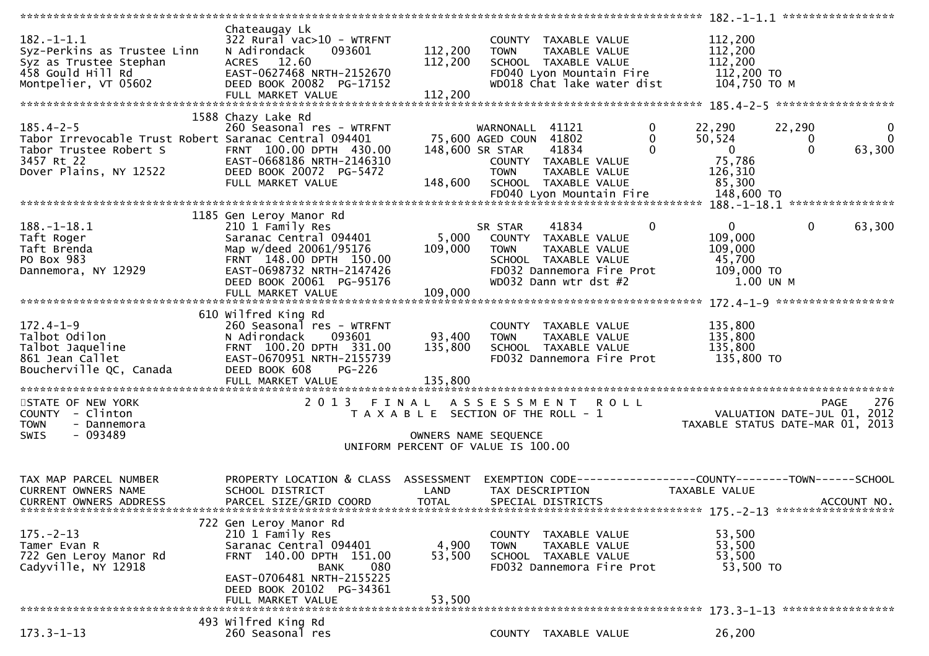|                                                       | Chateaugay Lk                        |                                       |                            |                       |                            |             |                |              |                                                                |
|-------------------------------------------------------|--------------------------------------|---------------------------------------|----------------------------|-----------------------|----------------------------|-------------|----------------|--------------|----------------------------------------------------------------|
| $182. - 1 - 1.1$                                      | 322 Rural vac>10 - WTRFNT            |                                       |                            | COUNTY TAXABLE VALUE  |                            |             | 112,200        |              |                                                                |
| Syz-Perkins as Trustee Linn                           | 093601<br>N Adirondack               | 112,200                               | <b>TOWN</b>                | TAXABLE VALUE         |                            |             | 112,200        |              |                                                                |
| Syz as Trustee Stephan                                | ACRES 12.60                          | 112,200                               |                            | SCHOOL TAXABLE VALUE  |                            |             | 112,200        |              |                                                                |
| 458 Gould Hill Rd                                     | EAST-0627468 NRTH-2152670            |                                       |                            |                       | FD040 Lyon Mountain Fire   |             | 112,200 TO     |              |                                                                |
| Montpelier, VT 05602                                  | DEED BOOK 20082 PG-17152             |                                       |                            |                       | WD018 Chat lake water dist |             | 104,750 то м   |              |                                                                |
|                                                       |                                      |                                       |                            |                       |                            |             |                |              |                                                                |
|                                                       | FULL MARKET VALUE                    | 112,200                               |                            |                       |                            |             |                |              |                                                                |
|                                                       |                                      |                                       |                            |                       |                            |             |                |              |                                                                |
|                                                       | 1588 Chazy Lake Rd                   |                                       |                            |                       |                            |             |                |              |                                                                |
| $185.4 - 2 - 5$                                       | 260 Seasonal res - WTRFNT            |                                       | WARNONALL 41121            |                       |                            | 0           | 22,290         | 22,290       | $\bf{0}$                                                       |
| Tabor Irrevocable Trust Robert Saranac Central 094401 |                                      |                                       | 75,600 AGED COUN 41802     |                       |                            | $\bf{0}$    | 50,524         | $\bf{0}$     | $\mathbf{0}$                                                   |
| Tabor Trustee Robert S                                | FRNT 100.00 DPTH 430.00              |                                       | 148,600 SR STAR            | 41834                 |                            | $\Omega$    | $\overline{0}$ | $\mathbf{0}$ | 63,300                                                         |
| 3457 Rt 22                                            | EAST-0668186 NRTH-2146310            |                                       |                            | COUNTY TAXABLE VALUE  |                            |             | 75,786         |              |                                                                |
| Dover Plains, NY 12522                                | DEED BOOK 20072 PG-5472              |                                       | <b>TOWN</b>                | TAXABLE VALUE         |                            |             | 126,310        |              |                                                                |
|                                                       | FULL MARKET VALUE                    | 148,600                               |                            | SCHOOL TAXABLE VALUE  |                            |             | 85,300         |              |                                                                |
|                                                       |                                      |                                       |                            |                       | FD040 Lyon Mountain Fire   |             | 148,600 TO     |              |                                                                |
|                                                       |                                      |                                       |                            |                       |                            |             |                |              |                                                                |
|                                                       | 1185 Gen Leroy Manor Rd              |                                       |                            |                       |                            |             |                |              |                                                                |
| $188. - 1 - 18.1$                                     | 210 1 Family Res                     |                                       | SR STAR                    | 41834                 |                            | $\mathbf 0$ | $\overline{0}$ | $\mathbf{0}$ | 63,300                                                         |
| Taft Roger                                            | Saranac Central 094401               |                                       | 5,000 COUNTY TAXABLE VALUE |                       |                            |             | 109,000        |              |                                                                |
| Taft Brenda                                           | Map w/deed 20061/95176               | 109,000                               | <b>TOWN</b>                | TAXABLE VALUE         |                            |             | 109,000        |              |                                                                |
|                                                       |                                      |                                       |                            |                       |                            |             |                |              |                                                                |
| PO Box 983                                            | FRNT 148.00 DPTH 150.00              |                                       |                            | SCHOOL TAXABLE VALUE  |                            |             | 45,700         |              |                                                                |
| Dannemora, NY 12929                                   | EAST-0698732 NRTH-2147426            |                                       |                            |                       | FD032 Dannemora Fire Prot  |             | 109,000 TO     |              |                                                                |
|                                                       | DEED BOOK 20061 PG-95176             |                                       |                            | WD032 Dann wtr dst #2 |                            |             | 1.00 UN M      |              |                                                                |
|                                                       | FULL MARKET VALUE                    | 109,000                               |                            |                       |                            |             |                |              |                                                                |
|                                                       |                                      |                                       |                            |                       |                            |             |                |              |                                                                |
|                                                       | 610 Wilfred King Rd                  |                                       |                            |                       |                            |             |                |              |                                                                |
| $172.4 - 1 - 9$                                       | 260 Seasonal res - WTRFNT            |                                       |                            | COUNTY TAXABLE VALUE  |                            |             | 135,800        |              |                                                                |
| Talbot Odilon                                         | N Adirondack<br>093601               | 93,400                                | <b>TOWN</b>                | TAXABLE VALUE         |                            |             | 135,800        |              |                                                                |
| Talbot Jaqueline                                      | FRNT 100.20 DPTH 331.00              | 135,800                               |                            | SCHOOL TAXABLE VALUE  |                            |             | 135,800        |              |                                                                |
| 861 Jean Callet                                       | EAST-0670951 NRTH-2155739            |                                       |                            |                       | FD032 Dannemora Fire Prot  |             | 135,800 TO     |              |                                                                |
| Boucherville QC, Canada                               | DEED BOOK 608<br>PG-226              |                                       |                            |                       |                            |             |                |              |                                                                |
|                                                       | FULL MARKET VALUE                    | 135,800                               |                            |                       |                            |             |                |              |                                                                |
|                                                       |                                      |                                       |                            |                       |                            |             |                |              |                                                                |
| STATE OF NEW YORK                                     | 2 0 1 3                              | FINAL ASSESSMENT ROLL                 |                            |                       |                            |             |                |              | 276<br>PAGE                                                    |
| COUNTY - Clinton                                      |                                      | T A X A B L E SECTION OF THE ROLL - 1 |                            |                       |                            |             |                |              | VALUATION DATE-JUL 01, 2012                                    |
| - Dannemora<br><b>TOWN</b>                            |                                      |                                       |                            |                       |                            |             |                |              | TAXABLE STATUS DATE-MAR 01, 2013                               |
| $-093489$<br><b>SWIS</b>                              |                                      |                                       | OWNERS NAME SEQUENCE       |                       |                            |             |                |              |                                                                |
|                                                       |                                      | UNIFORM PERCENT OF VALUE IS 100.00    |                            |                       |                            |             |                |              |                                                                |
|                                                       |                                      |                                       |                            |                       |                            |             |                |              |                                                                |
|                                                       |                                      |                                       |                            |                       |                            |             |                |              |                                                                |
| TAX MAP PARCEL NUMBER                                 | PROPERTY LOCATION & CLASS ASSESSMENT |                                       |                            |                       |                            |             |                |              | EXEMPTION CODE------------------COUNTY--------TOWN------SCHOOL |
| <b>CURRENT OWNERS NAME</b>                            | SCHOOL DISTRICT                      | LAND                                  |                            | TAX DESCRIPTION       |                            |             | TAXABLE VALUE  |              |                                                                |
| <b>CURRENT OWNERS ADDRESS</b>                         | PARCEL SIZE/GRID COORD               | <b>TOTAL</b>                          |                            | SPECIAL DISTRICTS     |                            |             |                |              | ACCOUNT NO.                                                    |
|                                                       |                                      |                                       |                            |                       |                            |             |                |              |                                                                |
|                                                       |                                      |                                       |                            |                       |                            |             |                |              |                                                                |
|                                                       | 722 Gen Leroy Manor Rd               |                                       |                            |                       |                            |             |                |              |                                                                |
| $175. - 2 - 13$                                       | 210 1 Family Res                     |                                       |                            | COUNTY TAXABLE VALUE  |                            |             | 53,500         |              |                                                                |
| Tamer Evan R                                          | Saranac Central 094401               | 4,900                                 | <b>TOWN</b>                | TAXABLE VALUE         |                            |             | 53,500         |              |                                                                |
| 722 Gen Leroy Manor Rd                                | FRNT 140.00 DPTH 151.00              | 53,500                                |                            | SCHOOL TAXABLE VALUE  |                            |             | 53,500         |              |                                                                |
| Cadyville, NY 12918                                   | <b>BANK</b><br>080                   |                                       |                            |                       | FD032 Dannemora Fire Prot  |             | 53,500 TO      |              |                                                                |
|                                                       | EAST-0706481 NRTH-2155225            |                                       |                            |                       |                            |             |                |              |                                                                |
|                                                       | DEED BOOK 20102 PG-34361             |                                       |                            |                       |                            |             |                |              |                                                                |
|                                                       | FULL MARKET VALUE                    | 53,500                                |                            |                       |                            |             |                |              |                                                                |
|                                                       |                                      |                                       |                            |                       |                            |             |                |              |                                                                |
|                                                       | 493 Wilfred King Rd                  |                                       |                            |                       |                            |             |                |              |                                                                |
| $173.3 - 1 - 13$                                      | 260 Seasonal res                     |                                       |                            | COUNTY TAXABLE VALUE  |                            |             | 26,200         |              |                                                                |
|                                                       |                                      |                                       |                            |                       |                            |             |                |              |                                                                |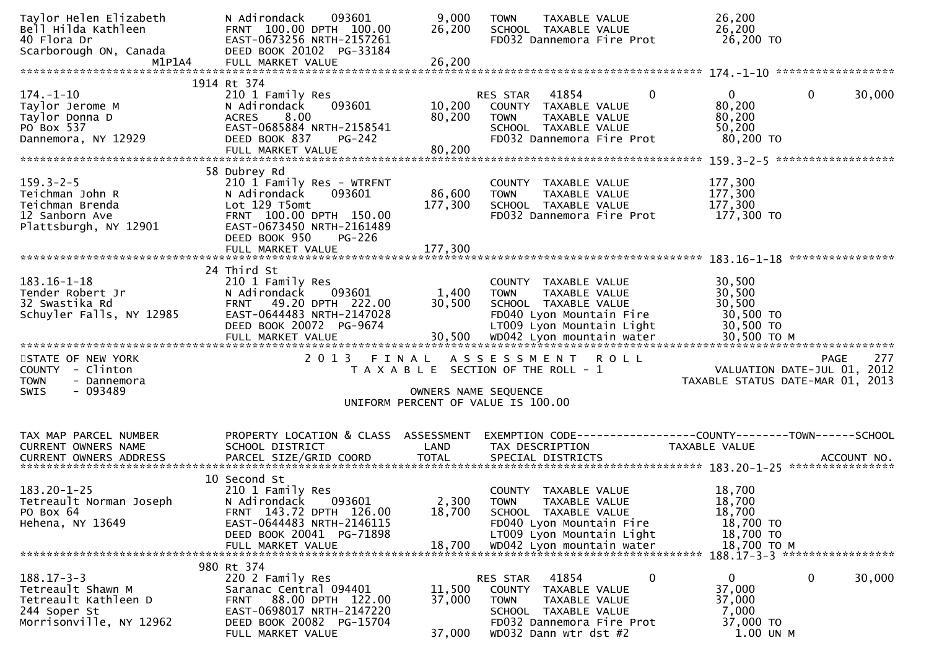| Taylor Helen Elizabeth<br>Bell Hilda Kathleen<br>40 Flora Dr<br>Scarborough ON, Canada<br>M1P1A4         | 093601<br>N Adirondack<br>FRNT 100.00 DPTH 100.00<br>EAST-0673256 NRTH-2157261<br>DEED BOOK 20102 PG-33184<br>FULL MARKET VALUE                                                                | 9,000<br>26,200<br>26,200    | TAXABLE VALUE<br><b>TOWN</b><br>SCHOOL TAXABLE VALUE<br>FD032 Dannemora Fire Prot                                                                                     | 26,200<br>26,200<br>26,200 TO                                       |                                                   |
|----------------------------------------------------------------------------------------------------------|------------------------------------------------------------------------------------------------------------------------------------------------------------------------------------------------|------------------------------|-----------------------------------------------------------------------------------------------------------------------------------------------------------------------|---------------------------------------------------------------------|---------------------------------------------------|
|                                                                                                          | 1914 Rt 374                                                                                                                                                                                    |                              |                                                                                                                                                                       |                                                                     |                                                   |
| $174. - 1 - 10$<br>Taylor Jerome M<br>Taylor Donna D<br>PO Box 537<br>Dannemora, NY 12929                | 210 1 Family Res<br>N Adirondack<br>093601<br>8.00<br><b>ACRES</b><br>EAST-0685884 NRTH-2158541<br>DEED BOOK 837<br>PG-242                                                                     | 10,200<br>80,200             | 41854<br>0<br><b>RES STAR</b><br>COUNTY TAXABLE VALUE<br><b>TOWN</b><br>TAXABLE VALUE<br>SCHOOL TAXABLE VALUE<br>FD032 Dannemora Fire Prot                            | $\mathbf{0}$<br>80,200<br>80,200<br>50,200<br>80,200 TO             | $\mathbf{0}$<br>30,000                            |
|                                                                                                          |                                                                                                                                                                                                |                              |                                                                                                                                                                       |                                                                     |                                                   |
| $159.3 - 2 - 5$<br>Teichman John R<br>Teichman Brenda<br>12 Sanborn Ave<br>Plattsburgh, NY 12901         | 58 Dubrey Rd<br>210 1 Family Res - WTRFNT<br>N Adirondack<br>093601<br>Lot 129 T5omt<br>FRNT 100.00 DPTH 150.00<br>EAST-0673450 NRTH-2161489<br>DEED BOOK 950<br>$PG-226$<br>FULL MARKET VALUE | 86,600<br>177,300<br>177,300 | COUNTY TAXABLE VALUE<br>TAXABLE VALUE<br><b>TOWN</b><br>SCHOOL TAXABLE VALUE<br>FD032 Dannemora Fire Prot                                                             | 177,300<br>177,300<br>177,300<br>177,300 TO                         |                                                   |
|                                                                                                          |                                                                                                                                                                                                |                              |                                                                                                                                                                       |                                                                     |                                                   |
| $183.16 - 1 - 18$<br>Tender Robert Jr<br>32 Swastika Rd<br>Schuyler Falls, NY 12985                      | 24 Third St<br>210 1 Family Res<br>N Adirondack<br>093601<br>FRNT 49.20 DPTH 222.00<br>EAST-0644483 NRTH-2147028<br>DEED BOOK 20072 PG-9674                                                    | 1,400<br>30,500              | COUNTY TAXABLE VALUE<br>TAXABLE VALUE<br><b>TOWN</b><br>SCHOOL TAXABLE VALUE<br>FD040 Lyon Mountain Fire<br>LT009 Lyon Mountain Light                                 | 30,500<br>30,500<br>30,500<br>30,500 TO<br>30,500 TO                |                                                   |
| STATE OF NEW YORK<br>COUNTY - Clinton<br><b>TOWN</b><br>- Dannemora                                      | 2 0 1 3                                                                                                                                                                                        | FINAL                        | ASSESSMENT ROLL<br>T A X A B L E SECTION OF THE ROLL - 1                                                                                                              | TAXABLE STATUS DATE-MAR 01, 2013                                    | 277<br><b>PAGE</b><br>VALUATION DATE-JUL 01, 2012 |
| SWIS<br>- 093489                                                                                         |                                                                                                                                                                                                | OWNERS NAME SEQUENCE         | UNIFORM PERCENT OF VALUE IS 100.00                                                                                                                                    |                                                                     |                                                   |
| TAX MAP PARCEL NUMBER<br>CURRENT OWNERS NAME                                                             | PROPERTY LOCATION & CLASS ASSESSMENT<br>SCHOOL DISTRICT                                                                                                                                        | LAND                         | EXEMPTION CODE-----------------COUNTY-------TOWN------SCHOOL<br>TAX DESCRIPTION                                                                                       | TAXABLE VALUE                                                       |                                                   |
| $183.20 - 1 - 25$<br>Tetreault Norman Joseph<br>PO Box 64<br>Hehena, NY 13649                            | 10 Second St<br>210 1 Family Res<br>N Adirondack<br>093601<br>FRNT 143.72 DPTH 126.00<br>EAST-0644483 NRTH-2146115<br>DEED BOOK 20041 PG-71898<br>FULL MARKET VALUE                            | 2,300<br>18,700<br>18,700    | COUNTY<br>TAXABLE VALUE<br><b>TOWN</b><br>TAXABLE VALUE<br>SCHOOL TAXABLE VALUE<br>FD040 Lyon Mountain Fire<br>LT009 Lyon Mountain Light<br>WD042 Lyon mountain water | 18,700<br>18,700<br>18,700<br>18,700 TO<br>18,700 TO<br>18,700 TO M |                                                   |
|                                                                                                          | 980 Rt 374                                                                                                                                                                                     |                              |                                                                                                                                                                       |                                                                     | 188.17-3-3 ******************                     |
| $188.17 - 3 - 3$<br>Tetreault Shawn M<br>Tetreault Kathleen D<br>244 Soper St<br>Morrisonville, NY 12962 | 220 2 Family Res<br>Saranac Central 094401<br>88.00 DPTH 122.00<br>FRNT<br>EAST-0698017 NRTH-2147220<br>DEED BOOK 20082 PG-15704                                                               | 11,500<br>37,000             | 41854<br>0<br>RES STAR<br>TAXABLE VALUE<br>COUNTY<br>TAXABLE VALUE<br><b>TOWN</b><br>SCHOOL TAXABLE VALUE<br>FD032 Dannemora Fire Prot                                | 0<br>37,000<br>37,000<br>7,000<br>37,000 TO                         | 0<br>30,000                                       |
|                                                                                                          | FULL MARKET VALUE                                                                                                                                                                              | 37,000                       | WD032 Dann wtr dst #2                                                                                                                                                 | 1.00 UN M                                                           |                                                   |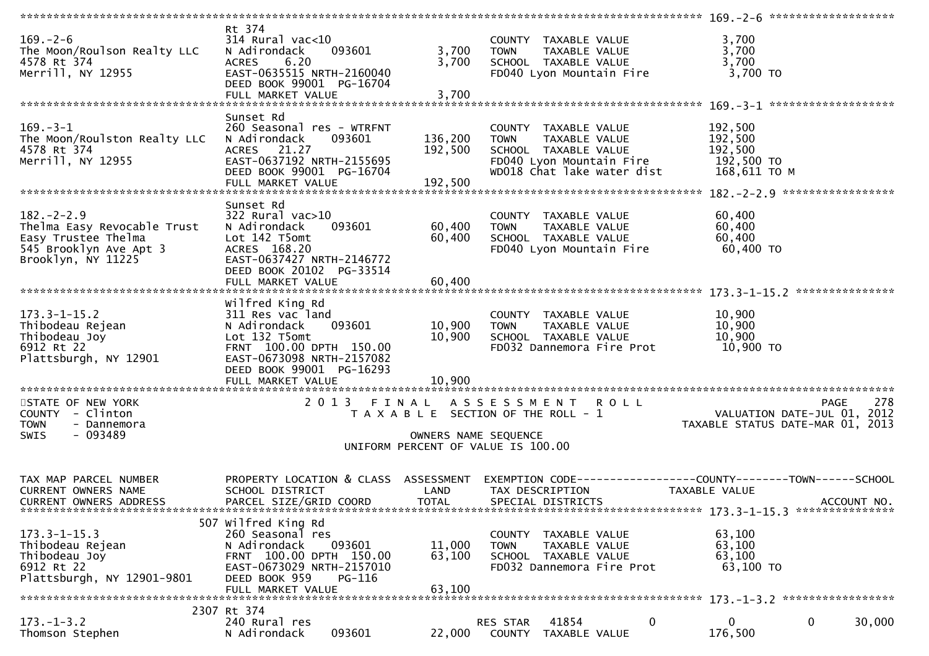| $169. - 2 - 6$<br>The Moon/Roulson Realty LLC<br>4578 Rt 374<br>Merrill, NY 12955                                     | Rt 374<br>$314$ Rural vac<10<br>093601<br>N Adirondack<br><b>ACRES</b><br>6.20<br>EAST-0635515 NRTH-2160040<br>DEED BOOK 99001 PG-16704<br>FULL MARKET VALUE              | 3,700<br>3,700<br>3,700       | COUNTY TAXABLE VALUE<br>TAXABLE VALUE<br><b>TOWN</b><br>SCHOOL TAXABLE VALUE<br>FD040 Lyon Mountain Fire                               | 3,700<br>3,700<br>3,700<br>3,700 TO                                                                   |
|-----------------------------------------------------------------------------------------------------------------------|---------------------------------------------------------------------------------------------------------------------------------------------------------------------------|-------------------------------|----------------------------------------------------------------------------------------------------------------------------------------|-------------------------------------------------------------------------------------------------------|
|                                                                                                                       |                                                                                                                                                                           |                               |                                                                                                                                        |                                                                                                       |
| $169. - 3 - 1$<br>The Moon/Roulston Realty LLC<br>4578 Rt 374<br>Merrill, NY 12955                                    | Sunset Rd<br>260 Seasonal res - WTRFNT<br>N Adirondack<br>093601<br>ACRES 21.27<br>EAST-0637192 NRTH-2155695<br>DEED BOOK 99001 PG-16704<br>FULL MARKET VALUE             | 136,200<br>192,500<br>192,500 | COUNTY TAXABLE VALUE<br><b>TOWN</b><br>TAXABLE VALUE<br>SCHOOL TAXABLE VALUE<br>FD040 Lyon Mountain Fire<br>WD018 Chat lake water dist | 192,500<br>192,500<br>192,500<br>192,500 TO<br>168,611 ТО М                                           |
|                                                                                                                       | Sunset Rd                                                                                                                                                                 |                               |                                                                                                                                        |                                                                                                       |
| $182 - 2 - 2.9$<br>Thelma Easy Revocable Trust<br>Easy Trustee Thelma<br>545 Brooklyn Ave Apt 3<br>Brooklyn, NY 11225 | $322$ Rural vac $>10$<br>093601<br>N Adirondack<br>Lot 142 T5omt<br>ACRES 168.20<br>EAST-0637427 NRTH-2146772<br>DEED BOOK 20102 PG-33514                                 | 60,400<br>60,400              | COUNTY TAXABLE VALUE<br><b>TOWN</b><br>TAXABLE VALUE<br>SCHOOL TAXABLE VALUE<br>FD040 Lyon Mountain Fire                               | 60,400<br>60,400<br>60,400<br>60,400 TO                                                               |
|                                                                                                                       | FULL MARKET VALUE                                                                                                                                                         | 60,400                        |                                                                                                                                        |                                                                                                       |
| $173.3 - 1 - 15.2$<br>Thibodeau Rejean<br>Thibodeau Joy<br>6912 Rt 22<br>Plattsburgh, NY 12901                        | Wilfred King Rd<br>311 Res vac land<br>093601<br>N Adirondack<br>Lot 132 T5omt<br>FRNT 100.00 DPTH 150.00<br>EAST-0673098 NRTH-2157082<br>DEED BOOK 99001 PG-16293        | 10,900<br>10,900              | COUNTY TAXABLE VALUE<br>TAXABLE VALUE<br><b>TOWN</b><br>SCHOOL TAXABLE VALUE<br>FD032 Dannemora Fire Prot                              | 10,900<br>10,900<br>10,900<br>10,900 TO                                                               |
|                                                                                                                       |                                                                                                                                                                           |                               |                                                                                                                                        |                                                                                                       |
| STATE OF NEW YORK<br>COUNTY - Clinton<br>- Dannemora<br><b>TOWN</b><br>- 093489<br><b>SWIS</b>                        |                                                                                                                                                                           | OWNERS NAME SEQUENCE          | 2013 FINAL ASSESSMENT ROLL<br>T A X A B L E SECTION OF THE ROLL - 1<br>UNIFORM PERCENT OF VALUE IS 100.00                              | 278<br><b>PAGE</b><br>VALUATION DATE-JUL 01, 2012<br>TAXABLE STATUS DATE-MAR 01, 2013                 |
| TAX MAP PARCEL NUMBER<br><b>CURRENT OWNERS NAME</b><br><b>CURRENT OWNERS ADDRESS</b>                                  | PROPERTY LOCATION & CLASS ASSESSMENT<br>SCHOOL DISTRICT<br>PARCEL SIZE/GRID COORD                                                                                         | LAND<br>TOTAL                 | TAX DESCRIPTION<br>SPECIAL DISTRICTS                                                                                                   | EXEMPTION CODE------------------COUNTY--------TOWN------SCHOOL<br><b>TAXABLE VALUE</b><br>ACCOUNT NO. |
| $173.3 - 1 - 15.3$<br>Thibodeau Rejean<br>Thibodeau Joy<br>6912 Rt 22<br>Plattsburgh, NY 12901-9801                   | 507 Wilfred King Rd<br>260 Seasonal res<br>093601<br>N Adirondack<br>FRNT 100.00 DPTH 150.00<br>EAST-0673029 NRTH-2157010<br>DEED BOOK 959<br>PG-116<br>FULL MARKET VALUE | 11,000<br>63,100<br>63,100    | COUNTY TAXABLE VALUE<br><b>TOWN</b><br>TAXABLE VALUE<br>SCHOOL TAXABLE VALUE<br>FD032 Dannemora Fire Prot                              | 63,100<br>63,100<br>63,100<br>63,100 TO                                                               |
|                                                                                                                       | 2307 Rt 374                                                                                                                                                               |                               |                                                                                                                                        |                                                                                                       |
| $173. - 1 - 3.2$<br>Thomson Stephen                                                                                   | 240 Rural res<br>093601<br>N Adirondack                                                                                                                                   | 22,000                        | 41854<br>$\mathbf 0$<br>RES STAR<br>COUNTY TAXABLE VALUE                                                                               | $\mathbf 0$<br>0<br>30,000<br>176,500                                                                 |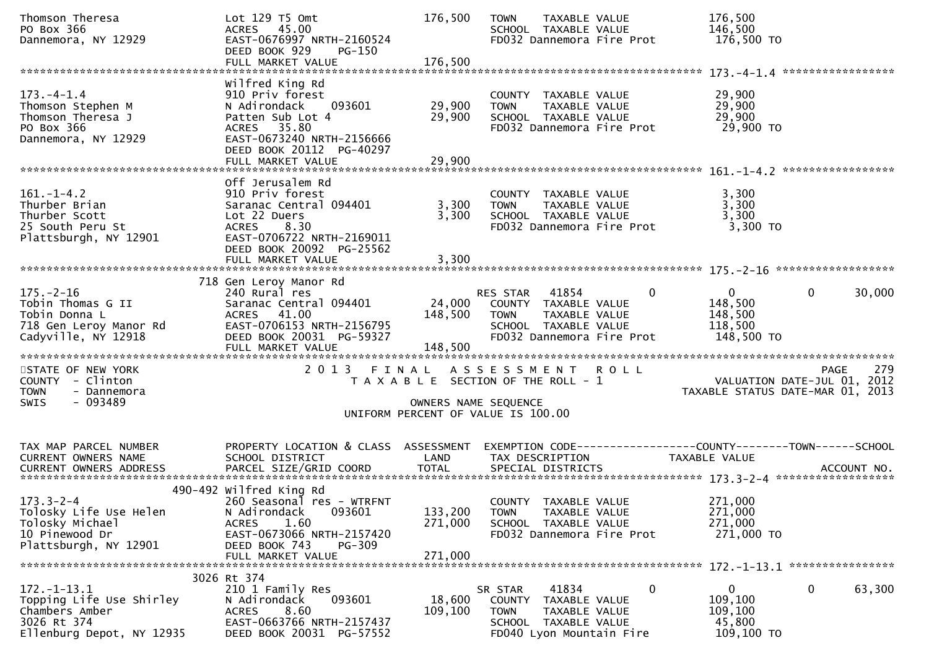| Thomson Theresa<br>PO Box 366<br>Dannemora, NY 12929                                                                | Lot 129 T5 Omt<br>ACRES 45.00<br>EAST-0676997 NRTH-2160524<br>DEED BOOK 929<br>PG-150                                                                                                      | 176,500                       | <b>TOWN</b><br>TAXABLE VALUE<br>SCHOOL TAXABLE VALUE<br>FD032 Dannemora Fire Prot                                                      | 176,500<br>146,500<br>176,500 TO                                        |                                                        |
|---------------------------------------------------------------------------------------------------------------------|--------------------------------------------------------------------------------------------------------------------------------------------------------------------------------------------|-------------------------------|----------------------------------------------------------------------------------------------------------------------------------------|-------------------------------------------------------------------------|--------------------------------------------------------|
|                                                                                                                     |                                                                                                                                                                                            |                               |                                                                                                                                        |                                                                         |                                                        |
| $173. - 4 - 1.4$<br>Thomson Stephen M<br>Thomson Theresa J<br>PO Box 366<br>Dannemora, NY 12929                     | Wilfred King Rd<br>910 Priv forest<br>093601<br>N Adirondack<br>Patten Sub Lot 4<br>ACRES 35.80<br>EAST-0673240 NRTH-2156666<br>DEED BOOK 20112 PG-40297                                   | 29,900<br>29,900              | COUNTY TAXABLE VALUE<br>TAXABLE VALUE<br><b>TOWN</b><br>SCHOOL TAXABLE VALUE<br>FD032 Dannemora Fire Prot                              | 29,900<br>29,900<br>29,900<br>29,900 TO                                 |                                                        |
|                                                                                                                     | FULL MARKET VALUE                                                                                                                                                                          | 29,900                        |                                                                                                                                        |                                                                         |                                                        |
|                                                                                                                     |                                                                                                                                                                                            |                               |                                                                                                                                        |                                                                         |                                                        |
| $161. - 1 - 4.2$<br>Thurber Brian<br>Thurber Scott<br>25 South Peru St<br>Plattsburgh, NY 12901                     | Off Jerusalem Rd<br>910 Priv forest<br>Saranac Central 094401<br>Lot 22 Duers<br>ACRES 8.30<br>EAST-0706722 NRTH-2169011<br>DEED BOOK 20092 PG-25562<br>FULL MARKET VALUE                  | 3,300<br>3,300<br>3,300       | COUNTY TAXABLE VALUE<br>TAXABLE VALUE<br><b>TOWN</b><br>SCHOOL TAXABLE VALUE<br>FD032 Dannemora Fire Prot                              | 3,300<br>3,300<br>3,300<br>3,300 TO                                     |                                                        |
|                                                                                                                     |                                                                                                                                                                                            |                               |                                                                                                                                        |                                                                         |                                                        |
| $175. - 2 - 16$<br>Tobin Thomas G II<br>Tobin Donna L<br>718 Gen Leroy Manor Rd<br>Coduction<br>Cadyville, NY 12918 | 718 Gen Leroy Manor Rd<br>240 Rural res<br>Saranac Central 094401<br>$148,500$ TOWN<br>$500$ TOWN<br>ACRES 41.00<br>EAST-0706153 NRTH-2156795<br>DEED BOOK 20031 PG-59327                  |                               | <b>RES STAR 41854</b><br>24,000 COUNTY TAXABLE VALUE<br>TAXABLE VALUE<br>SCHOOL TAXABLE VALUE<br>FD032 Dannemora Fire Prot             | $\Omega$<br>$\mathbf{0}$<br>148,500<br>148,500<br>118,500<br>148,500 TO | $\mathbf{0}$<br>30,000                                 |
| STATE OF NEW YORK<br>COUNTY - Clinton<br>- Dannemora<br><b>TOWN</b><br>$-093489$<br><b>SWIS</b>                     | 2 0 1 3                                                                                                                                                                                    |                               | FINAL ASSESSMENT ROLL<br>T A X A B L E SECTION OF THE ROLL - 1<br>OWNERS NAME SEQUENCE<br>UNIFORM PERCENT OF VALUE IS 100.00           | VALUATION DATE-JUL 01, 2012                                             | 279<br><b>PAGE</b><br>TAXABLE STATUS DATE-MAR 01, 2013 |
| TAX MAP PARCEL NUMBER                                                                                               | PROPERTY LOCATION & CLASS ASSESSMENT EXEMPTION CODE----------------COUNTY-------TOWN------SCHOOL                                                                                           |                               |                                                                                                                                        |                                                                         |                                                        |
| CURRENT OWNERS NAME                                                                                                 | SCHOOL DISTRICT<br><b>Example 18 The LAND</b>                                                                                                                                              |                               | TAX DESCRIPTION                                                                                                                        | TAXABLE VALUE                                                           |                                                        |
|                                                                                                                     |                                                                                                                                                                                            |                               |                                                                                                                                        |                                                                         |                                                        |
| $173.3 - 2 - 4$<br>Tolosky Life Use Helen<br>Tolosky Michael<br>10 Pinewood Dr<br>Plattsburgh, NY 12901             | 490-492 wilfred King Rd<br>260 Seasonal res - WTRFNT<br>N Adirondack<br>093601<br>1.60<br><b>ACRES</b><br>EAST-0673066 NRTH-2157420<br>DEED BOOK 743<br><b>PG-309</b><br>FULL MARKET VALUE | 133,200<br>271,000<br>271,000 | COUNTY TAXABLE VALUE<br><b>TOWN</b><br>TAXABLE VALUE<br>SCHOOL TAXABLE VALUE<br>FD032 Dannemora Fire Prot                              | 271,000<br>271,000<br>271,000<br>271,000 TO                             |                                                        |
|                                                                                                                     |                                                                                                                                                                                            |                               |                                                                                                                                        |                                                                         |                                                        |
| $172. - 1 - 13.1$<br>Topping Life Use Shirley<br>Chambers Amber<br>3026 Rt 374<br>Ellenburg Depot, NY 12935         | 3026 Rt 374<br>210 1 Family Res<br>093601<br>N Adirondack<br>8.60<br><b>ACRES</b><br>EAST-0663766 NRTH-2157437<br>DEED BOOK 20031 PG-57552                                                 | 18,600<br>109,100             | 41834<br>SR STAR<br><b>COUNTY</b><br>TAXABLE VALUE<br>TAXABLE VALUE<br><b>TOWN</b><br>SCHOOL TAXABLE VALUE<br>FD040 Lyon Mountain Fire | 0<br>$\overline{0}$<br>109,100<br>109,100<br>45,800<br>109,100 TO       | $\mathbf 0$<br>63,300                                  |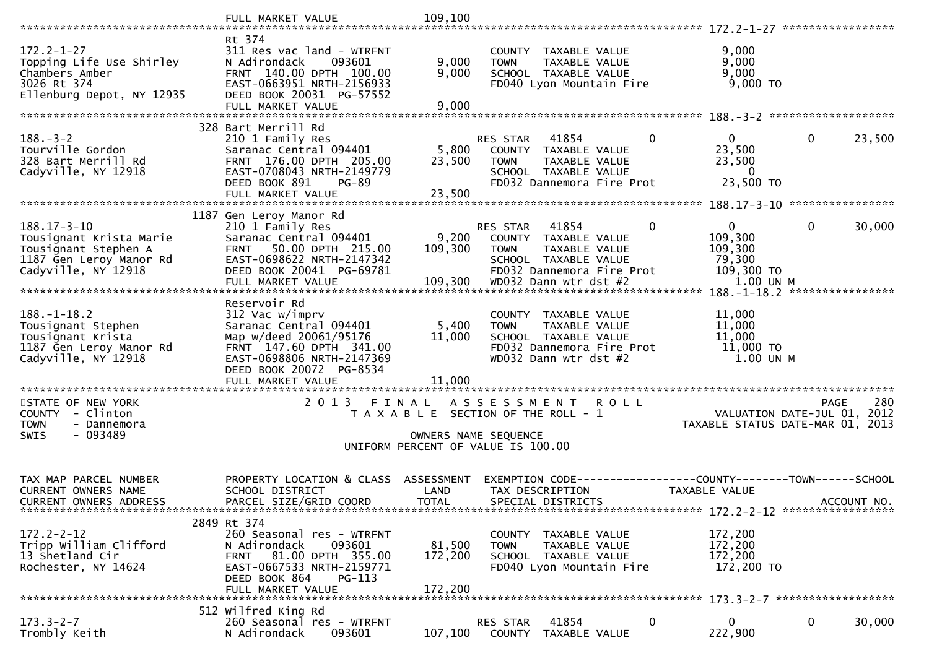|                                                                                                                        | FULL MARKET VALUE                                                                                                                                                      | 109,100                            |                                                                                                                                               |                                                                                         |
|------------------------------------------------------------------------------------------------------------------------|------------------------------------------------------------------------------------------------------------------------------------------------------------------------|------------------------------------|-----------------------------------------------------------------------------------------------------------------------------------------------|-----------------------------------------------------------------------------------------|
|                                                                                                                        | Rt 374                                                                                                                                                                 |                                    |                                                                                                                                               |                                                                                         |
| $172.2 - 1 - 27$<br>Topping Life Use Shirley<br>Chambers Amber<br>3026 Rt 374<br>Ellenburg Depot, NY 12935             | 311 Res vac land - WTRFNT<br>N Adirondack<br>093601<br>FRNT 140.00 DPTH 100.00<br>EAST-0663951 NRTH-2156933<br>DEED BOOK 20031 PG-57552                                | 9,000<br>9,000                     | COUNTY TAXABLE VALUE<br><b>TOWN</b><br>TAXABLE VALUE<br>SCHOOL TAXABLE VALUE<br>FD040 Lyon Mountain Fire                                      | 9,000<br>9,000<br>9,000<br>9,000 TO                                                     |
|                                                                                                                        | FULL MARKET VALUE                                                                                                                                                      | 9,000                              |                                                                                                                                               |                                                                                         |
|                                                                                                                        | 328 Bart Merrill Rd                                                                                                                                                    |                                    |                                                                                                                                               |                                                                                         |
| $188. - 3 - 2$<br>Tourville Gordon<br>328 Bart Merrill Rd<br>Cadyville, NY 12918                                       | 210 1 Family Res<br>Saranac Central 094401<br>FRNT 176.00 DPTH 205.00<br>EAST-0708043 NRTH-2149779<br>DEED BOOK 891<br>PG-89                                           | 5,800<br>23,500                    | $\mathbf 0$<br>RES STAR<br>41854<br>COUNTY TAXABLE VALUE<br><b>TOWN</b><br>TAXABLE VALUE<br>SCHOOL TAXABLE VALUE<br>FD032 Dannemora Fire Prot | $\mathbf{0}$<br>$\mathbf{0}$<br>23,500<br>23,500<br>23,500<br>$\mathbf{0}$<br>23,500 TO |
|                                                                                                                        | FULL MARKET VALUE                                                                                                                                                      | 23,500                             |                                                                                                                                               |                                                                                         |
|                                                                                                                        | 1187 Gen Leroy Manor Rd                                                                                                                                                |                                    |                                                                                                                                               |                                                                                         |
| $188.17 - 3 - 10$<br>Tousignant Krista Marie<br>Tousignant Stephen A<br>1187 Gen Leroy Manor Rd<br>Cadyville, NY 12918 | 210 1 Family Res<br>Saranac Central 094401<br>50.00 DPTH 215.00<br><b>FRNT</b><br>EAST-0698622 NRTH-2147342<br>DEED BOOK 20041 PG-69781                                | 9,200<br>109,300                   | 41854<br>0<br><b>RES STAR</b><br>COUNTY TAXABLE VALUE<br>TAXABLE VALUE<br><b>TOWN</b><br>SCHOOL TAXABLE VALUE<br>FD032 Dannemora Fire Prot    | 0<br>0<br>30,000<br>109,300<br>109,300<br>79,300<br>109,300 TO                          |
|                                                                                                                        | FULL MARKET VALUE                                                                                                                                                      | 109,300                            | WD032 Dann wtr dst #2                                                                                                                         | 1.00 UN M<br>****************<br>$188. - 1 - 18.2$                                      |
| $188. - 1 - 18.2$<br>Tousignant Stephen<br>Tousignant Krista<br>1187 Gen Leroy Manor Rd<br>Cadyville, NY 12918         | Reservoir Rd<br>312 Vac w/imprv<br>Saranac Central 094401<br>Map w/deed 20061/95176<br>FRNT 147.60 DPTH 341.00<br>EAST-0698806 NRTH-2147369<br>DEED BOOK 20072 PG-8534 | 5,400<br>11,000                    | COUNTY TAXABLE VALUE<br>TAXABLE VALUE<br><b>TOWN</b><br>SCHOOL TAXABLE VALUE<br>FD032 Dannemora Fire Prot<br>WD032 Dann wtr dst #2            | 11,000<br>11,000<br>11,000<br>$11,000$ TO<br>1.00 UN M                                  |
|                                                                                                                        | FULL MARKET VALUE                                                                                                                                                      | 11,000                             |                                                                                                                                               |                                                                                         |
| STATE OF NEW YORK                                                                                                      | 2 0 1 3<br>FINAL                                                                                                                                                       |                                    | ASSESSMENT ROLL                                                                                                                               | 280<br><b>PAGE</b>                                                                      |
| COUNTY - Clinton<br><b>TOWN</b><br>- Dannemora                                                                         |                                                                                                                                                                        |                                    | T A X A B L E SECTION OF THE ROLL - 1                                                                                                         | VALUATION DATE-JUL 01, 2012<br>TAXABLE STATUS DATE-MAR 01, 2013                         |
| $-093489$<br>SWIS                                                                                                      |                                                                                                                                                                        |                                    | OWNERS NAME SEQUENCE<br>UNIFORM PERCENT OF VALUE IS 100.00                                                                                    |                                                                                         |
|                                                                                                                        |                                                                                                                                                                        |                                    |                                                                                                                                               |                                                                                         |
| TAX MAP PARCEL NUMBER<br><b>CURRENT OWNERS NAME</b><br><b>CURRENT OWNERS ADDRESS</b>                                   | PROPERTY LOCATION & CLASS<br>SCHOOL DISTRICT<br>PARCEL SIZE/GRID COORD                                                                                                 | ASSESSMENT<br>LAND<br><b>TOTAL</b> | EXEMPTION CODE-----------------COUNTY-------TOWN------SCHOOL<br>TAX DESCRIPTION<br>SPECIAL DISTRICTS                                          | TAXABLE VALUE<br>ACCOUNT NO.                                                            |
|                                                                                                                        | 2849 Rt 374                                                                                                                                                            |                                    |                                                                                                                                               |                                                                                         |
| $172.2 - 2 - 12$<br>Tripp William Clifford<br>13 Shetland Cir<br>Rochester, NY 14624                                   | 260 Seasonal res - WTRFNT<br>N Adirondack<br>093601<br>FRNT 81.00 DPTH 355.00<br>EAST-0667533 NRTH-2159771<br>DEED BOOK 864<br>$PG-113$                                | 81,500<br>172,200                  | COUNTY TAXABLE VALUE<br>TAXABLE VALUE<br><b>TOWN</b><br>SCHOOL TAXABLE VALUE<br>FD040 Lyon Mountain Fire                                      | 172,200<br>172,200<br>172,200<br>172,200 TO                                             |
|                                                                                                                        | FULL MARKET VALUE                                                                                                                                                      | 172,200                            |                                                                                                                                               |                                                                                         |
| $173.3 - 2 - 7$<br>Trombly Keith                                                                                       | 512 Wilfred King Rd<br>260 Seasonal res - WTRFNT<br>N Adirondack<br>093601                                                                                             | 107,100                            | 0<br>41854<br><b>RES STAR</b><br>COUNTY TAXABLE VALUE                                                                                         | $\mathbf 0$<br>0<br>30,000<br>222,900                                                   |
|                                                                                                                        |                                                                                                                                                                        |                                    |                                                                                                                                               |                                                                                         |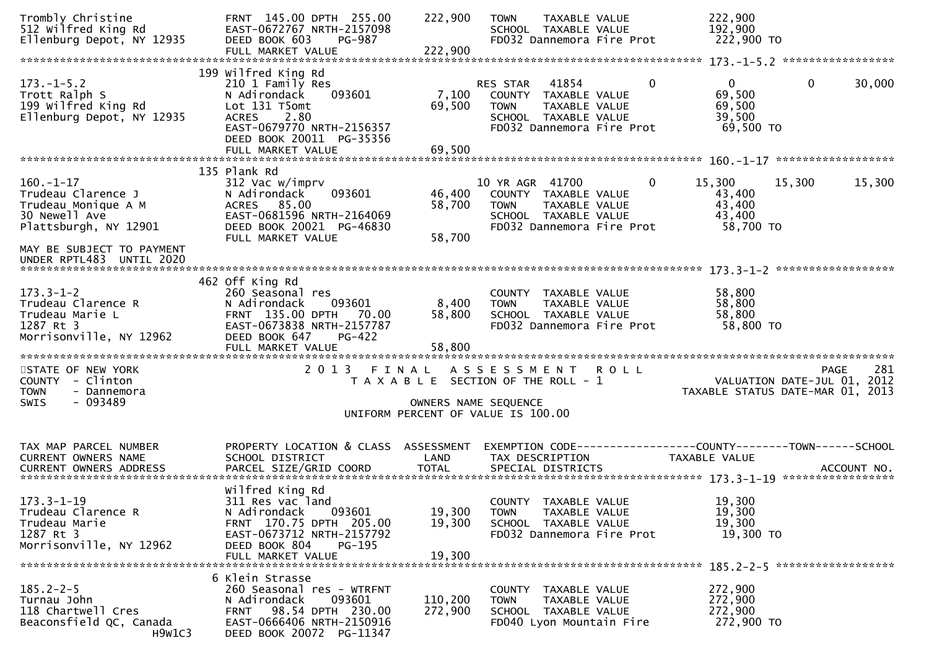| Trombly Christine<br>512 Wilfred King Rd<br>Ellenburg Depot, NY 12935                                                               | FRNT 145.00 DPTH 255.00<br>EAST-0672767 NRTH-2157098<br>DEED BOOK 603<br>PG-987<br>FULL MARKET VALUE                                                                  | 222,900<br>222,900            | <b>TOWN</b><br>TAXABLE VALUE<br>SCHOOL TAXABLE VALUE<br>FD032 Dannemora Fire Prot                                                     |                | 222,900<br>192,900<br>222,900 TO                                                |                    |
|-------------------------------------------------------------------------------------------------------------------------------------|-----------------------------------------------------------------------------------------------------------------------------------------------------------------------|-------------------------------|---------------------------------------------------------------------------------------------------------------------------------------|----------------|---------------------------------------------------------------------------------|--------------------|
|                                                                                                                                     |                                                                                                                                                                       |                               |                                                                                                                                       |                |                                                                                 |                    |
| $173. - 1 - 5.2$<br>Trott Ralph S<br>199 Wilfred King Rd<br>Ellenburg Depot, NY 12935                                               | 199 Wilfred King Rd<br>210 1 Family Res<br>N Adirondack<br>093601<br>Lot 131 T5omt<br><b>ACRES</b><br>2.80<br>EAST-0679770 NRTH-2156357<br>DEED BOOK 20011 PG-35356   | 7,100<br>69,500               | 41854<br>RES STAR<br>COUNTY TAXABLE VALUE<br><b>TOWN</b><br><b>TAXABLE VALUE</b><br>SCHOOL TAXABLE VALUE<br>FD032 Dannemora Fire Prot | $\mathbf{0}$   | $\mathbf 0$<br>$\mathbf{0}$<br>69,500<br>69,500<br>39,500<br>69,500 TO          | 30,000             |
|                                                                                                                                     |                                                                                                                                                                       |                               |                                                                                                                                       |                |                                                                                 |                    |
| $160. - 1 - 17$<br>Trudeau Clarence J<br>Trudeau Monique A M<br>30 Newell Ave<br>Plattsburgh, NY 12901<br>MAY BE SUBJECT TO PAYMENT | 135 Plank Rd<br>312 Vac w/imprv<br>093601<br>N Adirondack<br>ACRES 85.00<br>EAST-0681596 NRTH-2164069<br>DEED BOOK 20021 PG-46830<br>FULL MARKET VALUE                | 46,400<br>58,700<br>58,700    | 10 YR AGR 41700<br>COUNTY TAXABLE VALUE<br>TAXABLE VALUE<br><b>TOWN</b><br>SCHOOL TAXABLE VALUE<br>FD032 Dannemora Fire Prot          | $\overline{0}$ | 15,300<br>15,300<br>43,400<br>43,400<br>43,400<br>58,700 TO                     | 15,300             |
| UNDER RPTL483 UNTIL 2020                                                                                                            |                                                                                                                                                                       |                               |                                                                                                                                       |                |                                                                                 |                    |
| $173.3 - 1 - 2$<br>Trudeau Clarence R<br>Trudeau Marie L<br>1287 Rt 3<br>Morrisonville, NY 12962                                    | 462 Off King Rd<br>260 Seasonal res<br>093601<br>N Adirondack<br>FRNT 135.00 DPTH 70.00<br>EAST-0673838 NRTH-2157787<br>DEED BOOK 647<br>PG-422<br>FULL MARKET VALUE  | 8,400<br>58,800<br>58,800     | COUNTY TAXABLE VALUE<br><b>TOWN</b><br>TAXABLE VALUE<br>SCHOOL TAXABLE VALUE<br>FD032 Dannemora Fire Prot                             |                | 58,800<br>58,800<br>58,800<br>58,800 TO                                         |                    |
| STATE OF NEW YORK<br>COUNTY - Clinton<br><b>TOWN</b><br>- Dannemora<br>$-093489$<br>SWIS                                            | 2 0 1 3                                                                                                                                                               | FINAL<br>OWNERS NAME SEQUENCE | A S S E S S M E N T R O L L<br>T A X A B L E SECTION OF THE ROLL - 1<br>UNIFORM PERCENT OF VALUE IS 100.00                            |                | VALUATION DATE-JUL 01, 2012<br>TAXABLE STATUS DATE-MAR 01, 2013                 | 281<br><b>PAGE</b> |
| TAX MAP PARCEL NUMBER<br>CURRENT OWNERS NAME                                                                                        | PROPERTY LOCATION & CLASS ASSESSMENT<br>SCHOOL DISTRICT                                                                                                               | LAND                          | TAX DESCRIPTION                                                                                                                       |                | EXEMPTION CODE------------------COUNTY--------TOWN------SCHOOL<br>TAXABLE VALUE |                    |
| $173.3 - 1 - 19$<br>Trudeau Clarence R<br>Trudeau Marie<br>1287 Rt 3<br>Morrisonville, NY 12962                                     | Wilfred King Rd<br>311 Res vac land<br>N Adirondack<br>093601<br>FRNT 170.75 DPTH 205.00<br>EAST-0673712 NRTH-2157792<br>DEED BOOK 804<br>PG-195<br>FULL MARKET VALUE | 19,300<br>19,300<br>19,300    | COUNTY TAXABLE VALUE<br>TAXABLE VALUE<br><b>TOWN</b><br>SCHOOL TAXABLE VALUE<br>FD032 Dannemora Fire Prot                             |                | 19,300<br>19,300<br>19,300<br>19,300 TO                                         |                    |
| $185.2 - 2 - 5$<br>Turnau John<br>118 Chartwell Cres<br>Beaconsfield QC, Canada<br>H9W1C3                                           | 6 Klein Strasse<br>260 Seasonal res - WTRFNT<br>093601<br>N Adirondack<br>98.54 DPTH 230.00<br><b>FRNT</b><br>EAST-0666406 NRTH-2150916<br>DEED BOOK 20072 PG-11347   | 110,200<br>272,900            | <b>COUNTY</b><br>TAXABLE VALUE<br>TAXABLE VALUE<br><b>TOWN</b><br>SCHOOL TAXABLE VALUE<br>FD040 Lyon Mountain Fire                    |                | 272,900<br>272,900<br>272,900<br>272,900 TO                                     |                    |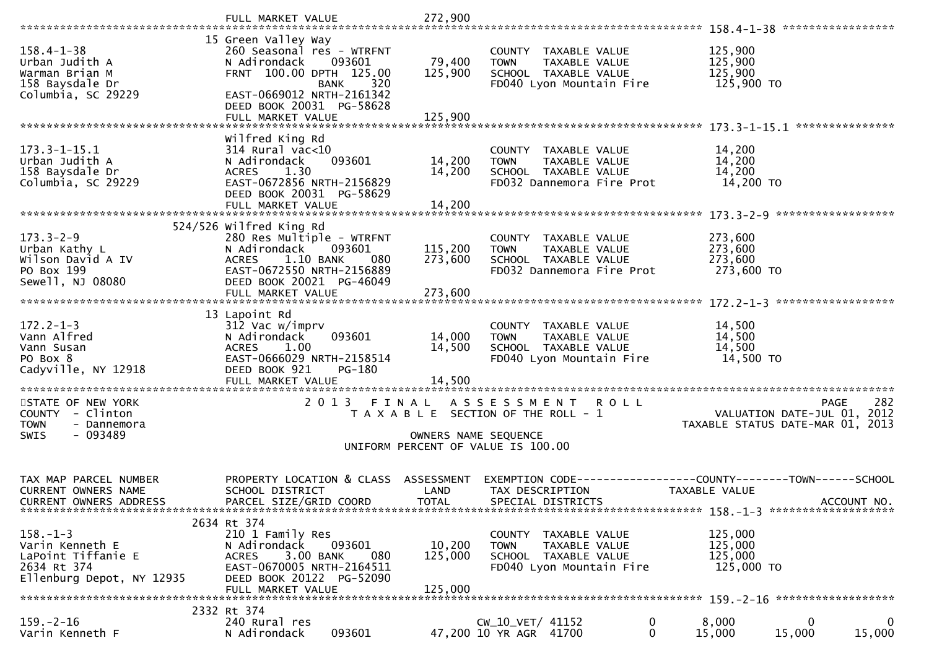|                                                                                                     | FULL MARKET VALUE                                                                                                                                                                                         | 272,900                            |                                                                                                                        |                                                                                                     |     |
|-----------------------------------------------------------------------------------------------------|-----------------------------------------------------------------------------------------------------------------------------------------------------------------------------------------------------------|------------------------------------|------------------------------------------------------------------------------------------------------------------------|-----------------------------------------------------------------------------------------------------|-----|
| $158.4 - 1 - 38$<br>Urban Judith A<br>Warman Brian M<br>158 Baysdale Dr<br>Columbia, SC 29229       | 15 Green Valley Way<br>260 Seasonal res - WTRFNT<br>N Adirondack<br>093601<br>FRNT 100.00 DPTH 125.00<br><b>BANK</b><br>320<br>EAST-0669012 NRTH-2161342<br>DEED BOOK 20031 PG-58628<br>FULL MARKET VALUE | 79,400<br>125,900<br>125,900       | COUNTY TAXABLE VALUE<br><b>TOWN</b><br>TAXABLE VALUE<br>SCHOOL TAXABLE VALUE<br>FD040 Lyon Mountain Fire               | 125,900<br>125,900<br>125,900<br>125,900 TO                                                         |     |
| $173.3 - 1 - 15.1$<br>Urban Judith A<br>158 Baysdale Dr<br>Columbia, SC 29229                       | Wilfred King Rd<br>$314$ Rural vac<10<br>093601<br>N Adirondack<br>1.30<br><b>ACRES</b><br>EAST-0672856 NRTH-2156829<br>DEED BOOK 20031 PG-58629<br>FULL MARKET VALUE                                     | 14,200<br>14,200<br>14,200         | COUNTY TAXABLE VALUE<br><b>TOWN</b><br>TAXABLE VALUE<br>SCHOOL TAXABLE VALUE<br>FD032 Dannemora Fire Prot              | 14,200<br>14,200<br>14,200<br>14,200 TO                                                             |     |
| $173.3 - 2 - 9$<br>Urban Kathy L<br>Wilson David A IV<br>PO Box 199<br>Sewell, NJ 08080             | 524/526 wilfred King Rd<br>280 Res Multiple - WTRFNT<br>N Adirondack<br>093601<br>1.10 BANK<br>080<br><b>ACRES</b><br>EAST-0672550 NRTH-2156889<br>DEED BOOK 20021 PG-46049<br>FULL MARKET VALUE          | 115,200<br>273,600<br>273,600      | COUNTY TAXABLE VALUE<br>TAXABLE VALUE<br><b>TOWN</b><br>SCHOOL TAXABLE VALUE<br>FD032 Dannemora Fire Prot              | 273,600<br>273,600<br>273,600<br>273,600 TO<br>******************                                   |     |
| $172.2 - 1 - 3$<br>Vann Alfred<br>Vann Susan<br>PO Box 8<br>Cadyville, NY 12918                     | 13 Lapoint Rd<br>312 Vac w/imprv<br>093601<br>N Adirondack<br>1.00<br><b>ACRES</b><br>EAST-0666029 NRTH-2158514<br>DEED BOOK 921<br>PG-180                                                                | 14,000<br>14,500<br>14,500         | COUNTY TAXABLE VALUE<br>TAXABLE VALUE<br><b>TOWN</b><br>SCHOOL TAXABLE VALUE<br>FD040 Lyon Mountain Fire               | 14,500<br>14,500<br>14,500<br>14,500 TO                                                             |     |
| STATE OF NEW YORK<br>COUNTY - Clinton<br><b>TOWN</b><br>- Dannemora<br>- 093489<br><b>SWIS</b>      | 2 0 1 3<br>FINAL                                                                                                                                                                                          |                                    | ASSESSMENT ROLL<br>T A X A B L E SECTION OF THE ROLL - 1<br>OWNERS NAME SEQUENCE<br>UNIFORM PERCENT OF VALUE IS 100.00 | <b>PAGE</b><br>VALUATION DATE-JUL 01, 2012<br>TAXABLE STATUS DATE-MAR 01, 2013                      | 282 |
| TAX MAP PARCEL NUMBER<br><b>CURRENT OWNERS NAME</b><br>CURRENT OWNERS ADDRESS                       | PROPERTY LOCATION & CLASS<br>SCHOOL DISTRICT<br>PARCEL SIZE/GRID COORD                                                                                                                                    | ASSESSMENT<br>LAND<br><b>TOTAL</b> | TAX DESCRIPTION<br>SPECIAL DISTRICTS                                                                                   | EXEMPTION        CODE-----------------COUNTY-------TOWN------SCHOOL<br>TAXABLE VALUE<br>ACCOUNT NO. |     |
| $158. - 1 - 3$<br>Varin Kenneth E<br>LaPoint Tiffanie E<br>2634 Rt 374<br>Ellenburg Depot, NY 12935 | 2634 Rt 374<br>210 1 Family Res<br>093601<br>N Adirondack<br>3.00 BANK<br><b>ACRES</b><br>080<br>EAST-0670005 NRTH-2164511<br>DEED BOOK 20122 PG-52090<br>FULL MARKET VALUE                               | 10,200<br>125,000<br>125,000       | COUNTY TAXABLE VALUE<br><b>TOWN</b><br>TAXABLE VALUE<br>SCHOOL TAXABLE VALUE<br>FD040 Lyon Mountain Fire               | 125,000<br>125,000<br>125,000<br>125,000 TO                                                         |     |
| $159. - 2 - 16$<br>Varin Kenneth F                                                                  | 2332 Rt 374<br>240 Rural res<br>093601<br>N Adirondack                                                                                                                                                    |                                    | CW_10_VET/ 41152<br>47,200 10 YR AGR 41700<br>0                                                                        | 8,000<br>0<br>15,000<br>15,000<br>15,000                                                            | 0   |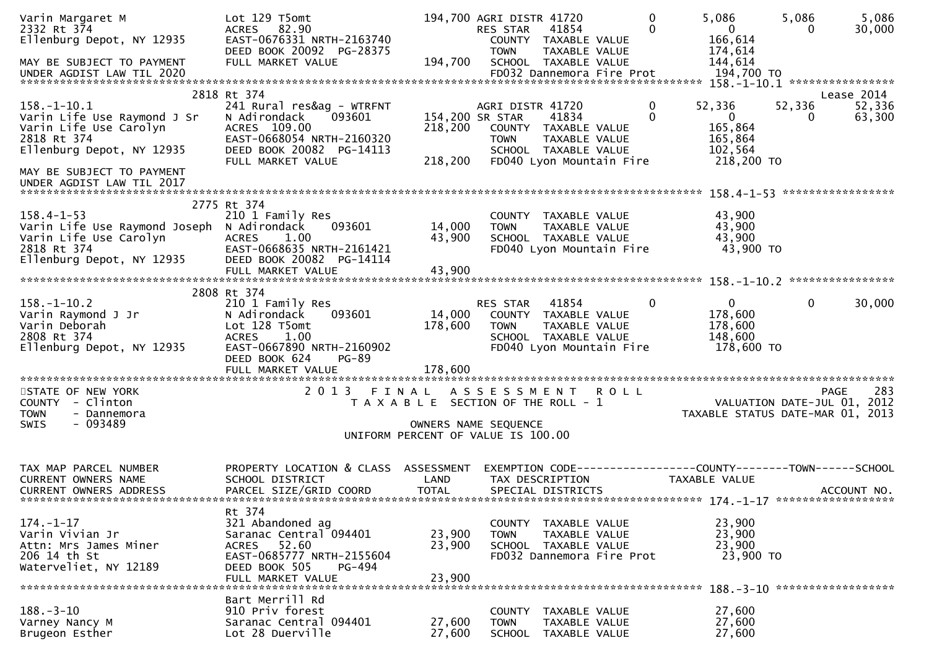| Varin Margaret M<br>2332 Rt 374<br>Ellenburg Depot, NY 12935<br>MAY BE SUBJECT TO PAYMENT<br>UNDER AGDIST LAW TIL 2020               | Lot 129 T5omt<br>ACRES 82.90<br>EAST-0676331 NRTH-2163740<br>DEED BOOK 20092 PG-28375<br>FULL MARKET VALUE                                        | 194,700                                                                              | 194,700 AGRI DISTR 41720<br>RES STAR<br><b>TOWN</b> | 41854<br>COUNTY TAXABLE VALUE<br>TAXABLE VALUE<br>SCHOOL TAXABLE VALUE<br>FD032 Dannemora Fire Prot | $\mathbf{0}$<br>$\mathbf{0}$ | 5,086<br>$\mathbf{0}$<br>166,614<br>174,614<br>144,614<br>194,700 TO           | 5,086<br>$\mathbf{0}$ | 5,086<br>30,000    |
|--------------------------------------------------------------------------------------------------------------------------------------|---------------------------------------------------------------------------------------------------------------------------------------------------|--------------------------------------------------------------------------------------|-----------------------------------------------------|-----------------------------------------------------------------------------------------------------|------------------------------|--------------------------------------------------------------------------------|-----------------------|--------------------|
|                                                                                                                                      | 2818 Rt 374                                                                                                                                       |                                                                                      |                                                     |                                                                                                     |                              |                                                                                |                       | Lease 2014         |
| $158. - 1 - 10.1$<br>Varin Life Use Raymond J Sr<br>Varin Life Use Carolyn<br>2818 Rt 374<br>Ellenburg Depot, NY 12935               | 241 Rural res&ag - WTRFNT<br>093601<br>N Adirondack<br>ACRES 109.00<br>EAST-0668054 NRTH-2160320<br>DEED BOOK 20082 PG-14113<br>FULL MARKET VALUE | 218,200<br>218,200                                                                   | AGRI DISTR 41720<br>154,200 SR STAR<br><b>TOWN</b>  | 41834<br>COUNTY TAXABLE VALUE<br>TAXABLE VALUE<br>SCHOOL TAXABLE VALUE<br>FD040 Lyon Mountain Fire  | 0<br>$\Omega$                | 52,336<br>$\overline{0}$<br>165,864<br>165,864<br>102,564<br>218,200 TO        | 52,336<br>0           | 52,336<br>63,300   |
| MAY BE SUBJECT TO PAYMENT<br>UNDER AGDIST LAW TIL 2017                                                                               |                                                                                                                                                   |                                                                                      |                                                     |                                                                                                     |                              |                                                                                |                       |                    |
| $158.4 - 1 - 53$<br>Varin Life Use Raymond Joseph N Adirondack<br>Varin Life Use Carolyn<br>2818 Rt 374<br>Ellenburg Depot, NY 12935 | 2775 Rt 374<br>210 1 Family Res<br>093601<br><b>ACRES</b><br>1.00<br>EAST-0668635 NRTH-2161421<br>DEED BOOK 20082 PG-14114<br>FULL MARKET VALUE   | 14,000<br>43,900<br>43,900                                                           | <b>TOWN</b>                                         | COUNTY TAXABLE VALUE<br>TAXABLE VALUE<br>SCHOOL TAXABLE VALUE<br>FD040 Lyon Mountain Fire           |                              | 43,900<br>43,900<br>43,900<br>43,900 TO                                        |                       |                    |
|                                                                                                                                      | 2808 Rt 374                                                                                                                                       |                                                                                      |                                                     |                                                                                                     |                              |                                                                                |                       |                    |
| $158. - 1 - 10.2$<br>Varin Raymond J Jr<br>Varin Deborah<br>2808 Rt 374<br>Ellenburg Depot, NY 12935                                 | 210 1 Family Res<br>093601<br>N Adirondack<br>Lot 128 T5omt<br><b>ACRES</b><br>1.00<br>EAST-0667890 NRTH-2160902<br>DEED BOOK 624<br>$PG-89$      | 14,000<br>178,600                                                                    | RES STAR<br><b>TOWN</b>                             | 41854<br>COUNTY TAXABLE VALUE<br>TAXABLE VALUE<br>SCHOOL TAXABLE VALUE<br>FD040 Lyon Mountain Fire  | 0                            | $\mathbf{0}$<br>178,600<br>178,600<br>148,600<br>178,600 TO                    | $\mathbf{0}$          | 30,000             |
|                                                                                                                                      | FULL MARKET VALUE                                                                                                                                 | 178,600                                                                              |                                                     |                                                                                                     |                              |                                                                                |                       |                    |
| STATE OF NEW YORK<br>COUNTY - Clinton<br><b>TOWN</b><br>- Dannemora<br>$-093489$<br><b>SWIS</b>                                      | 2 0 1 3                                                                                                                                           | FINAL<br>T A X A B L E SECTION OF THE ROLL - 1<br>UNIFORM PERCENT OF VALUE IS 100.00 | OWNERS NAME SEQUENCE                                | ASSESSMENT ROLL                                                                                     |                              | VALUATION DATE-JUL 01, 2012<br>TAXABLE STATUS DATE-MAR 01, 2013                |                       | 283<br><b>PAGE</b> |
| TAX MAP PARCEL NUMBER<br><b>CURRENT OWNERS NAME</b><br><b>CURRENT OWNERS ADDRESS</b>                                                 | PROPERTY LOCATION & CLASS<br>SCHOOL DISTRICT<br>PARCEL SIZE/GRID COORD                                                                            | ASSESSMENT<br>LAND<br><b>TOTAL</b>                                                   | TAX DESCRIPTION                                     | SPECIAL DISTRICTS                                                                                   |                              | EXEMPTION CODE-----------------COUNTY--------TOWN------SCHOOL<br>TAXABLE VALUE |                       | ACCOUNT NO.        |
| $174. - 1 - 17$<br>Varin Vivian Jr<br>Attn: Mrs James Miner<br>206 14 th St<br>Waterveliet, NY 12189                                 | Rt 374<br>321 Abandoned ag<br>Saranac Central 094401<br>ACRES 52.60<br>EAST-0685777 NRTH-2155604<br>DEED BOOK 505<br>PG-494<br>FULL MARKET VALUE  | 23,900<br>23,900<br>23,900                                                           | <b>TOWN</b>                                         | COUNTY TAXABLE VALUE<br>TAXABLE VALUE<br>SCHOOL TAXABLE VALUE<br>FD032 Dannemora Fire Prot          |                              | 23,900<br>23,900<br>23,900<br>23,900 TO                                        |                       |                    |
| $188. - 3 - 10$<br>Varney Nancy M<br>Brugeon Esther                                                                                  | Bart Merrill Rd<br>910 Priv forest<br>Saranac Central 094401<br>Lot 28 Duerville                                                                  | 27,600<br>27,600                                                                     | COUNTY<br><b>TOWN</b><br><b>SCHOOL</b>              | TAXABLE VALUE<br>TAXABLE VALUE<br>TAXABLE VALUE                                                     |                              | 188. - 3 - 10 *******************<br>27,600<br>27,600<br>27,600                |                       |                    |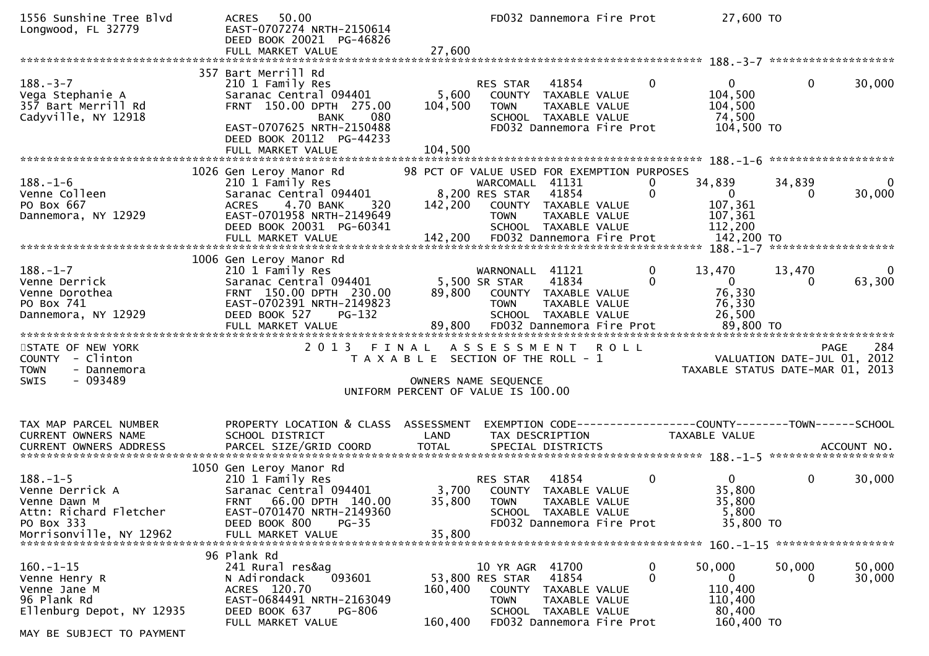| 357 Bart Merrill Rd<br>$\mathbf{0}$<br>$188. - 3 - 7$<br>41854<br>$\mathbf{0}$<br>$\overline{0}$<br>210 1 Family Res<br>RES STAR<br>104,500<br>Saranac Central 094401<br>5,600<br>Vega Stephanie A<br>COUNTY TAXABLE VALUE<br>357 Bart Merrill Rd<br>FRNT 150.00 DPTH 275.00<br>104,500<br>104,500<br><b>TOWN</b><br>TAXABLE VALUE<br>Cadyville, NY 12918<br>080<br>74,500<br>SCHOOL TAXABLE VALUE<br><b>BANK</b><br>EAST-0707625 NRTH-2150488<br>104,500 TO<br>FD032 Dannemora Fire Prot<br>DEED BOOK 20112 PG-44233<br>98 PCT OF VALUE USED FOR EXEMPTION PURPOSES<br>1026 Gen Leroy Manor Rd<br>34,839<br>34,839<br>$188. - 1 - 6$<br>210 1 Family Res<br>WARCOMALL 41131<br>0<br>8,200 RES STAR<br>Saranac Central 094401<br>0<br>Venne Colleen<br>41854<br>$\overline{0}$<br>$\Omega$<br>PO Box 667<br>4.70 BANK<br>107,361<br>320<br>142,200 COUNTY TAXABLE VALUE<br><b>ACRES</b><br>EAST-0701958 NRTH-2149649<br>Dannemora, NY 12929<br>TAXABLE VALUE<br>107,361<br><b>TOWN</b><br>112,200<br>DEED BOOK 20031 PG-60341<br>SCHOOL TAXABLE VALUE<br>1006 Gen Leroy Manor Rd<br>$188. - 1 - 7$<br>210 1 Family Res<br>13,470<br>WARNONALL 41121<br>13,470<br>0<br>Saranac Central 094401<br>5,500 SR STAR<br>41834<br>$\Omega$<br>$\overline{0}$<br>Venne Derrick<br>$\Omega$<br>76,330<br>FRNT 150.00 DPTH 230.00<br>89,800<br>Venne Dorothea<br>COUNTY TAXABLE VALUE<br>EAST-0702391 NRTH-2149823<br>76,330<br>PO Box 741<br><b>TAXABLE VALUE</b><br><b>TOWN</b><br>Dannemora, NY 12929<br>DEED BOOK 527<br>PG-132<br>SCHOOL TAXABLE VALUE<br>26,500<br>89,800<br>89,800 TO<br>FD032 Dannemora Fire Prot<br>FULL MARKET VALUE<br>2 0 1 3<br>ASSESSMENT ROLL<br>STATE OF NEW YORK<br>FINAL<br><b>PAGE</b><br>VALUATION DATE-JUL $01$ , 2012<br>COUNTY - Clinton<br>T A X A B L E SECTION OF THE ROLL - 1<br><b>TOWN</b><br>TAXABLE STATUS DATE-MAR 01, 2013<br>- Dannemora<br>$-093489$<br><b>SWIS</b><br>OWNERS NAME SEQUENCE<br>UNIFORM PERCENT OF VALUE IS 100.00<br>PROPERTY LOCATION & CLASS ASSESSMENT<br>TAX MAP PARCEL NUMBER<br>EXEMPTION CODE-----------------COUNTY-------TOWN------SCHOOL<br>CURRENT OWNERS NAME<br>SCHOOL DISTRICT<br>LAND<br>TAX DESCRIPTION<br>TAXABLE VALUE<br>1050 Gen Leroy Manor Rd<br>$188. - 1 - 5$<br>41854<br>0<br>$\overline{0}$<br>$\mathbf 0$<br>210 1 Family Res<br><b>RES STAR</b><br>35,800<br>Saranac Central 094401<br>3,700 COUNTY TAXABLE VALUE<br>Venne Derrick A<br>FRNT 66.00 DPTH 140.00<br>35,800<br>35,800<br><b>TOWN</b><br>TAXABLE VALUE<br>Venne Dawn M<br>5,800<br>Attn: Richard Fletcher<br>EAST-0701470 NRTH-2149360<br>SCHOOL TAXABLE VALUE<br>PO Box 333<br>DEED BOOK 800<br>$PG-35$<br>35,800 TO<br>FD032 Dannemora Fire Prot<br>35,800<br>Morrisonville, NY 12962<br>FULL MARKET VALUE<br>96 Plank Rd<br>$160.-1-15$<br>50,000<br>241 Rural res&ag<br>10 YR AGR 41700<br>0<br>50,000<br>093601<br>41854<br>0<br>N Adirondack<br>$\mathbf{0}$<br>53,800 RES STAR<br>0<br>Venne Henry R<br>ACRES 120.70<br>110,400<br>Venne Jane M<br>160,400<br>COUNTY<br>TAXABLE VALUE<br>96 Plank Rd<br>EAST-0684491 NRTH-2163049<br>TAXABLE VALUE<br>110,400<br><b>TOWN</b><br>Ellenburg Depot, NY 12935<br>80,400<br>DEED BOOK 637<br><b>PG-806</b><br>SCHOOL TAXABLE VALUE | 1556 Sunshine Tree Blvd<br>Longwood, FL 32779 | 50.00<br><b>ACRES</b><br>EAST-0707274 NRTH-2150614<br>DEED BOOK 20021 PG-46826<br>FULL MARKET VALUE | 27,600 | FD032 Dannemora Fire Prot | 27,600 TO |                  |
|--------------------------------------------------------------------------------------------------------------------------------------------------------------------------------------------------------------------------------------------------------------------------------------------------------------------------------------------------------------------------------------------------------------------------------------------------------------------------------------------------------------------------------------------------------------------------------------------------------------------------------------------------------------------------------------------------------------------------------------------------------------------------------------------------------------------------------------------------------------------------------------------------------------------------------------------------------------------------------------------------------------------------------------------------------------------------------------------------------------------------------------------------------------------------------------------------------------------------------------------------------------------------------------------------------------------------------------------------------------------------------------------------------------------------------------------------------------------------------------------------------------------------------------------------------------------------------------------------------------------------------------------------------------------------------------------------------------------------------------------------------------------------------------------------------------------------------------------------------------------------------------------------------------------------------------------------------------------------------------------------------------------------------------------------------------------------------------------------------------------------------------------------------------------------------------------------------------------------------------------------------------------------------------------------------------------------------------------------------------------------------------------------------------------------------------------------------------------------------------------------------------------------------------------------------------------------------------------------------------------------------------------------------------------------------------------------------------------------------------------------------------------------------------------------------------------------------------------------------------------------------------------------------------------------------------------------------------------------------------------------------------------------------------------------------------------------------------------------------------------------------------------------------------------------------------------------------------------------------------|-----------------------------------------------|-----------------------------------------------------------------------------------------------------|--------|---------------------------|-----------|------------------|
|                                                                                                                                                                                                                                                                                                                                                                                                                                                                                                                                                                                                                                                                                                                                                                                                                                                                                                                                                                                                                                                                                                                                                                                                                                                                                                                                                                                                                                                                                                                                                                                                                                                                                                                                                                                                                                                                                                                                                                                                                                                                                                                                                                                                                                                                                                                                                                                                                                                                                                                                                                                                                                                                                                                                                                                                                                                                                                                                                                                                                                                                                                                                                                                                                                      |                                               |                                                                                                     |        |                           |           | 30,000           |
|                                                                                                                                                                                                                                                                                                                                                                                                                                                                                                                                                                                                                                                                                                                                                                                                                                                                                                                                                                                                                                                                                                                                                                                                                                                                                                                                                                                                                                                                                                                                                                                                                                                                                                                                                                                                                                                                                                                                                                                                                                                                                                                                                                                                                                                                                                                                                                                                                                                                                                                                                                                                                                                                                                                                                                                                                                                                                                                                                                                                                                                                                                                                                                                                                                      |                                               |                                                                                                     |        |                           |           |                  |
|                                                                                                                                                                                                                                                                                                                                                                                                                                                                                                                                                                                                                                                                                                                                                                                                                                                                                                                                                                                                                                                                                                                                                                                                                                                                                                                                                                                                                                                                                                                                                                                                                                                                                                                                                                                                                                                                                                                                                                                                                                                                                                                                                                                                                                                                                                                                                                                                                                                                                                                                                                                                                                                                                                                                                                                                                                                                                                                                                                                                                                                                                                                                                                                                                                      |                                               |                                                                                                     |        |                           |           | 30,000           |
|                                                                                                                                                                                                                                                                                                                                                                                                                                                                                                                                                                                                                                                                                                                                                                                                                                                                                                                                                                                                                                                                                                                                                                                                                                                                                                                                                                                                                                                                                                                                                                                                                                                                                                                                                                                                                                                                                                                                                                                                                                                                                                                                                                                                                                                                                                                                                                                                                                                                                                                                                                                                                                                                                                                                                                                                                                                                                                                                                                                                                                                                                                                                                                                                                                      |                                               |                                                                                                     |        |                           |           |                  |
|                                                                                                                                                                                                                                                                                                                                                                                                                                                                                                                                                                                                                                                                                                                                                                                                                                                                                                                                                                                                                                                                                                                                                                                                                                                                                                                                                                                                                                                                                                                                                                                                                                                                                                                                                                                                                                                                                                                                                                                                                                                                                                                                                                                                                                                                                                                                                                                                                                                                                                                                                                                                                                                                                                                                                                                                                                                                                                                                                                                                                                                                                                                                                                                                                                      |                                               |                                                                                                     |        |                           |           | 0<br>63,300      |
|                                                                                                                                                                                                                                                                                                                                                                                                                                                                                                                                                                                                                                                                                                                                                                                                                                                                                                                                                                                                                                                                                                                                                                                                                                                                                                                                                                                                                                                                                                                                                                                                                                                                                                                                                                                                                                                                                                                                                                                                                                                                                                                                                                                                                                                                                                                                                                                                                                                                                                                                                                                                                                                                                                                                                                                                                                                                                                                                                                                                                                                                                                                                                                                                                                      |                                               |                                                                                                     |        |                           |           | 284              |
|                                                                                                                                                                                                                                                                                                                                                                                                                                                                                                                                                                                                                                                                                                                                                                                                                                                                                                                                                                                                                                                                                                                                                                                                                                                                                                                                                                                                                                                                                                                                                                                                                                                                                                                                                                                                                                                                                                                                                                                                                                                                                                                                                                                                                                                                                                                                                                                                                                                                                                                                                                                                                                                                                                                                                                                                                                                                                                                                                                                                                                                                                                                                                                                                                                      |                                               |                                                                                                     |        |                           |           |                  |
|                                                                                                                                                                                                                                                                                                                                                                                                                                                                                                                                                                                                                                                                                                                                                                                                                                                                                                                                                                                                                                                                                                                                                                                                                                                                                                                                                                                                                                                                                                                                                                                                                                                                                                                                                                                                                                                                                                                                                                                                                                                                                                                                                                                                                                                                                                                                                                                                                                                                                                                                                                                                                                                                                                                                                                                                                                                                                                                                                                                                                                                                                                                                                                                                                                      |                                               |                                                                                                     |        |                           |           |                  |
|                                                                                                                                                                                                                                                                                                                                                                                                                                                                                                                                                                                                                                                                                                                                                                                                                                                                                                                                                                                                                                                                                                                                                                                                                                                                                                                                                                                                                                                                                                                                                                                                                                                                                                                                                                                                                                                                                                                                                                                                                                                                                                                                                                                                                                                                                                                                                                                                                                                                                                                                                                                                                                                                                                                                                                                                                                                                                                                                                                                                                                                                                                                                                                                                                                      |                                               |                                                                                                     |        |                           |           | 30,000           |
|                                                                                                                                                                                                                                                                                                                                                                                                                                                                                                                                                                                                                                                                                                                                                                                                                                                                                                                                                                                                                                                                                                                                                                                                                                                                                                                                                                                                                                                                                                                                                                                                                                                                                                                                                                                                                                                                                                                                                                                                                                                                                                                                                                                                                                                                                                                                                                                                                                                                                                                                                                                                                                                                                                                                                                                                                                                                                                                                                                                                                                                                                                                                                                                                                                      |                                               |                                                                                                     |        |                           |           |                  |
| FD032 Dannemora Fire Prot<br>160,400 TO<br>FULL MARKET VALUE<br>160,400<br>MAY BE SUBJECT TO PAYMENT                                                                                                                                                                                                                                                                                                                                                                                                                                                                                                                                                                                                                                                                                                                                                                                                                                                                                                                                                                                                                                                                                                                                                                                                                                                                                                                                                                                                                                                                                                                                                                                                                                                                                                                                                                                                                                                                                                                                                                                                                                                                                                                                                                                                                                                                                                                                                                                                                                                                                                                                                                                                                                                                                                                                                                                                                                                                                                                                                                                                                                                                                                                                 |                                               |                                                                                                     |        |                           |           | 50,000<br>30,000 |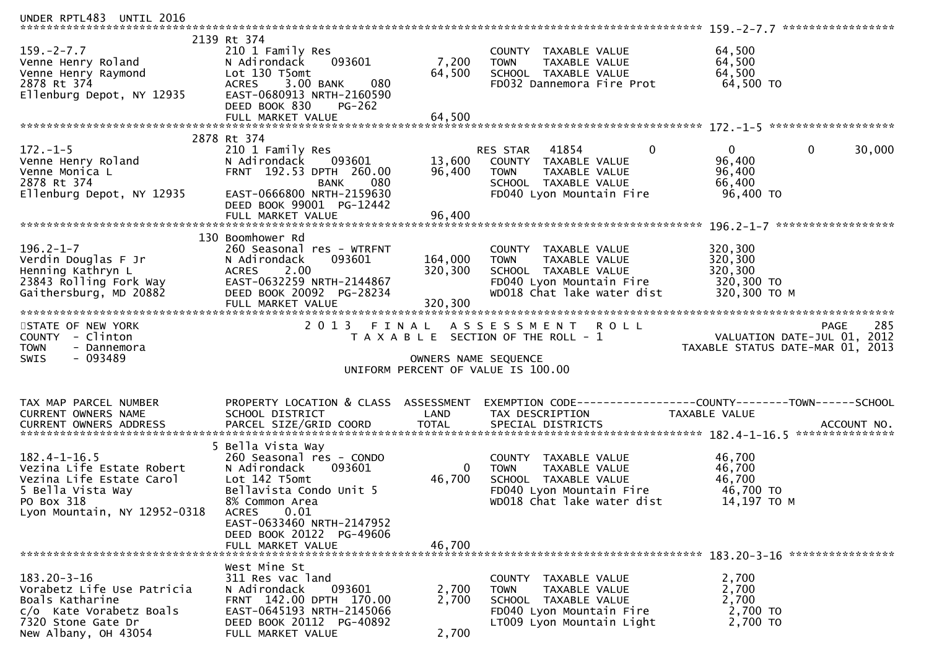| UNDER RPTL483 UNTIL 2016                                              |                                                       |                      |                                                       |                                                              |
|-----------------------------------------------------------------------|-------------------------------------------------------|----------------------|-------------------------------------------------------|--------------------------------------------------------------|
|                                                                       | 2139 Rt 374                                           |                      |                                                       |                                                              |
| $159. - 2 - 7.7$                                                      | 210 1 Family Res                                      |                      | COUNTY TAXABLE VALUE                                  | 64,500                                                       |
| Venne Henry Roland                                                    | 093601<br>N Adirondack                                | 7,200                | TAXABLE VALUE<br><b>TOWN</b>                          | 64,500                                                       |
| Venne Henry Raymond<br><b>aymond</b>                                  | Lot 130 T5omt                                         | 64,500               | SCHOOL TAXABLE VALUE                                  | 64,500                                                       |
| 2878 Rt 374<br>Ellenburg Depot, NY 12935                              | ACRES 3.00 BANK<br>080<br>EAST-0680913 NRTH-2160590   |                      | FD032 Dannemora Fire Prot                             | 64,500 TO                                                    |
|                                                                       | DEED BOOK 830<br>PG-262                               |                      |                                                       |                                                              |
|                                                                       | FULL MARKET VALUE                                     | 64,500               |                                                       |                                                              |
|                                                                       |                                                       |                      |                                                       |                                                              |
|                                                                       | 2878 Rt 374                                           |                      |                                                       |                                                              |
| $172. - 1 - 5$<br>172.-1-5<br>Venne Henry Roland                      | 210 1 Family Res                                      |                      | $\mathbf{0}$<br>RES STAR 41854                        | 30,000<br>0<br>$\mathbf{0}$                                  |
|                                                                       | 093601<br>N Adirondack                                | 13,600               | COUNTY TAXABLE VALUE                                  | 96,400                                                       |
| Venne Monica L<br>2878 Rt 374                                         | FRNT 192.53 DPTH 260.00<br>080<br>BANK                | 96,400               | <b>TOWN</b><br>TAXABLE VALUE<br>SCHOOL TAXABLE VALUE  | 96,400<br>66,400                                             |
| Ellenburg Depot, NY 12935                                             | EAST-0666800 NRTH-2159630                             |                      | FD040 Lyon Mountain Fire                              | 96,400 TO                                                    |
|                                                                       | DEED BOOK 99001 PG-12442                              |                      |                                                       |                                                              |
|                                                                       | FULL MARKET VALUE                                     | 96,400               |                                                       |                                                              |
|                                                                       |                                                       |                      |                                                       |                                                              |
|                                                                       | 130 Boomhower Rd                                      |                      |                                                       |                                                              |
| $196.2 - 1 - 7$                                                       | 260 Seasonal res - WTRFNT                             |                      | COUNTY TAXABLE VALUE                                  | 320,300                                                      |
| Verdin Douglas F Jr<br>Henning Kathryn L                              | N Adirondack<br>093601<br>2.00<br><b>ACRES</b>        | 164,000<br>320,300   | TAXABLE VALUE<br><b>TOWN</b><br>SCHOOL TAXABLE VALUE  | 320,300<br>320,300                                           |
| 23843 Rolling Fork Way                                                | EAST-0632259 NRTH-2144867                             |                      | FD040 Lyon Mountain Fire                              | 320,300 TO                                                   |
| Gaithersburg, MD 20882                                                | DEED BOOK 20092 PG-28234                              |                      | WD018 Chat lake water dist                            | 320,300 ТО М                                                 |
|                                                                       | FULL MARKET VALUE                                     | 320,300              |                                                       |                                                              |
| STATE OF NEW YORK                                                     |                                                       |                      |                                                       |                                                              |
|                                                                       |                                                       |                      |                                                       |                                                              |
|                                                                       | 2 0 1 3                                               | FINAL                | ASSESSMENT ROLL                                       | 285<br>PAGE                                                  |
| COUNTY - Clinton                                                      |                                                       |                      | T A X A B L E SECTION OF THE ROLL - 1                 | VALUATION DATE-JUL $01$ , 2012                               |
| <b>TOWN</b><br>- Dannemora<br><b>SWIS</b><br>- 093489                 |                                                       | OWNERS NAME SEQUENCE |                                                       | TAXABLE STATUS DATE-MAR 01, 2013                             |
|                                                                       |                                                       |                      | UNIFORM PERCENT OF VALUE IS 100.00                    |                                                              |
|                                                                       |                                                       |                      |                                                       |                                                              |
| TAX MAP PARCEL NUMBER                                                 | PROPERTY LOCATION & CLASS ASSESSMENT                  |                      |                                                       | EXEMPTION CODE-----------------COUNTY-------TOWN------SCHOOL |
| CURRENT OWNERS NAME                                                   | SCHOOL DISTRICT                                       | LAND                 | TAX DESCRIPTION                                       | TAXABLE VALUE                                                |
| CURRENT OWNERS ADDRESS                                                | PARCEL SIZE/GRID COORD                                | <b>TOTAL</b>         | SPECIAL DISTRICTS                                     | ACCOUNT NO.                                                  |
|                                                                       |                                                       |                      |                                                       |                                                              |
| $182.4 - 1 - 16.5$                                                    | 5 Bella Vista Way<br>260 Seasonal res - CONDO         |                      | COUNTY TAXABLE VALUE                                  |                                                              |
| Vezina Life Estate Robert                                             | N Adirondack<br>093601                                | 0                    | TAXABLE VALUE<br><b>TOWN</b>                          | 46,700<br>46,700                                             |
| Vezina Life Estate Carol                                              | Lot 142 T5omt                                         | 46,700               | SCHOOL TAXABLE VALUE                                  | 46,700                                                       |
| 5 Bella Vista Way                                                     | Bellavista Condo Unit 5                               |                      | FD040 Lyon Mountain Fire                              | 46,700 TO                                                    |
| PO Box 318                                                            | 8% Common Area                                        |                      | WD018 Chat lake water dist                            | 14,197 TO M                                                  |
| Lyon Mountain, NY 12952-0318                                          | 0.01<br><b>ACRES</b>                                  |                      |                                                       |                                                              |
|                                                                       | EAST-0633460 NRTH-2147952                             |                      |                                                       |                                                              |
|                                                                       | DEED BOOK 20122 PG-49606<br>FULL MARKET VALUE         | 46,700               |                                                       |                                                              |
|                                                                       |                                                       |                      |                                                       |                                                              |
|                                                                       | West Mine St                                          |                      |                                                       |                                                              |
| $183.20 - 3 - 16$                                                     | 311 Res vac land                                      |                      | COUNTY TAXABLE VALUE                                  | 2,700                                                        |
| Vorabetz Life Use Patricia                                            | N Adirondack<br>093601                                | 2,700                | <b>TOWN</b><br>TAXABLE VALUE                          | 2,700                                                        |
| Boals Katharine                                                       | FRNT 142.00 DPTH 170.00                               | 2,700                | SCHOOL TAXABLE VALUE                                  | 2,700                                                        |
| c/o Kate Vorabetz Boals<br>7320 Stone Gate Dr<br>New Albany, OH 43054 | EAST-0645193 NRTH-2145066<br>DEED BOOK 20112 PG-40892 |                      | FD040 Lyon Mountain Fire<br>LT009 Lyon Mountain Light | 2,700 TO<br>2,700 TO                                         |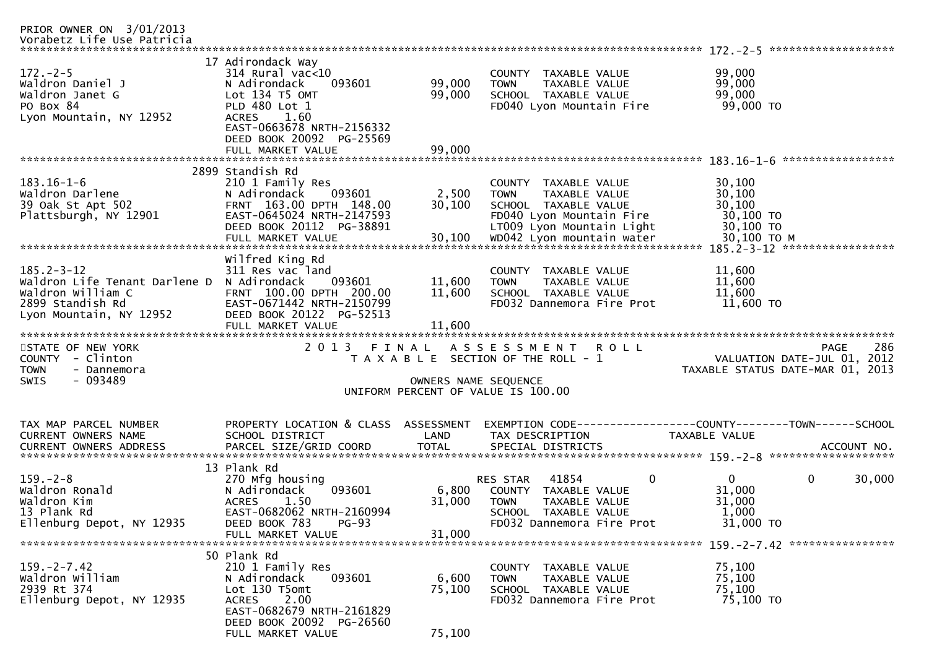| PRIOR OWNER ON 3/01/2013<br>Vorabetz Life Use Patricia                                                                |                                                                                                                                                                                                               |                            |                                                                                                                                                             |                                                                                |             |
|-----------------------------------------------------------------------------------------------------------------------|---------------------------------------------------------------------------------------------------------------------------------------------------------------------------------------------------------------|----------------------------|-------------------------------------------------------------------------------------------------------------------------------------------------------------|--------------------------------------------------------------------------------|-------------|
| $172. - 2 - 5$<br>Waldron Daniel J<br>Waldron Janet G<br>PO Box 84<br>Lyon Mountain, NY 12952                         | 17 Adirondack Way<br>$314$ Rural vac< $10$<br>093601<br>N Adirondack<br>Lot 134 T5 OMT<br>PLD 480 Lot 1<br><b>ACRES</b><br>1.60<br>EAST-0663678 NRTH-2156332<br>DEED BOOK 20092 PG-25569<br>FULL MARKET VALUE | 99,000<br>99,000<br>99,000 | <b>COUNTY</b><br>TAXABLE VALUE<br>TAXABLE VALUE<br><b>TOWN</b><br>SCHOOL TAXABLE VALUE<br>FD040 Lyon Mountain Fire                                          | 99,000<br>99,000<br>99,000<br>99,000 TO                                        |             |
|                                                                                                                       |                                                                                                                                                                                                               |                            |                                                                                                                                                             | *****************                                                              |             |
| $183.16 - 1 - 6$<br>Waldron Darlene<br>39 Oak St Apt 502<br>Plattsburgh, NY 12901                                     | 2899 Standish Rd<br>210 1 Family Res<br>093601<br>N Adirondack<br>FRNT 163.00 DPTH 148.00<br>EAST-0645024 NRTH-2147593<br>DEED BOOK 20112 PG-38891                                                            | 2,500<br>30,100            | COUNTY TAXABLE VALUE<br>TAXABLE VALUE<br><b>TOWN</b><br>SCHOOL TAXABLE VALUE<br>FD040 Lyon Mountain Fire<br>LT009 Lyon Mountain Light                       | 30,100<br>30,100<br>30,100<br>30,100 TO<br>30,100 TO<br>30,100 TO M            |             |
|                                                                                                                       |                                                                                                                                                                                                               |                            |                                                                                                                                                             | 185.2-3-12 ******************                                                  |             |
| $185.2 - 3 - 12$<br>Waldron Life Tenant Darlene D<br>Waldron William C<br>2899 Standish Rd<br>Lyon Mountain, NY 12952 | Wilfred King Rd<br>311 Res vac land<br>N Adirondack<br>093601<br>FRNT 100.00 DPTH 200.00<br>EAST-0671442 NRTH-2150799<br>DEED BOOK 20122 PG-52513                                                             | 11,600<br>11,600           | COUNTY<br><b>TAXABLE VALUE</b><br>TAXABLE VALUE<br><b>TOWN</b><br>SCHOOL TAXABLE VALUE<br>FD032 Dannemora Fire Prot                                         | 11,600<br>11,600<br>11,600<br>11,600 TO                                        |             |
|                                                                                                                       | FULL MARKET VALUE                                                                                                                                                                                             | 11,600                     |                                                                                                                                                             |                                                                                |             |
|                                                                                                                       |                                                                                                                                                                                                               |                            |                                                                                                                                                             |                                                                                |             |
| STATE OF NEW YORK<br>COUNTY - Clinton<br><b>TOWN</b><br>- Dannemora<br>$-093489$<br><b>SWIS</b>                       | 2013 FINAL                                                                                                                                                                                                    | OWNERS NAME SEQUENCE       | A S S E S S M E N T<br><b>ROLL</b><br>T A X A B L E SECTION OF THE ROLL - 1<br>UNIFORM PERCENT OF VALUE IS 100.00                                           | <b>PAGE</b><br>VALUATION DATE-JUL 01, 2012<br>TAXABLE STATUS DATE-MAR 01, 2013 | 286         |
|                                                                                                                       |                                                                                                                                                                                                               |                            |                                                                                                                                                             |                                                                                |             |
| TAX MAP PARCEL NUMBER<br>CURRENT OWNERS NAME<br><b>CURRENT OWNERS ADDRESS</b>                                         | PROPERTY LOCATION & CLASS ASSESSMENT<br>SCHOOL DISTRICT<br>PARCEL SIZE/GRID COORD                                                                                                                             | LAND<br><b>TOTAL</b>       | TAX DESCRIPTION<br>SPECIAL DISTRICTS                                                                                                                        | TAXABLE VALUE                                                                  | ACCOUNT NO. |
|                                                                                                                       | 13 Plank Rd                                                                                                                                                                                                   |                            |                                                                                                                                                             |                                                                                |             |
| $159. - 2 - 8$<br>Waldron Ronald<br>Waldron Kim<br>13 Plank Rd<br>Ellenburg Depot, NY 12935                           | 270 Mfg housing<br>N Adirondack<br>093601<br><b>ACRES</b><br>1.50<br>EAST-0682062 NRTH-2160994<br>DEED BOOK 783<br>$PG-93$                                                                                    | 6,800<br>31,000            | $\mathbf{0}$<br>41854<br><b>RES STAR</b><br>COUNTY<br>TAXABLE VALUE<br><b>TOWN</b><br>TAXABLE VALUE<br>SCHOOL<br>TAXABLE VALUE<br>FD032 Dannemora Fire Prot | $\mathbf{0}$<br>$\mathbf 0$<br>31,000<br>31,000<br>1,000<br>31,000 TO          | 30,000      |
|                                                                                                                       | FULL MARKET VALUE                                                                                                                                                                                             | 31,000                     |                                                                                                                                                             |                                                                                |             |
|                                                                                                                       | 50 Plank Rd                                                                                                                                                                                                   |                            |                                                                                                                                                             |                                                                                |             |
| $159. -2 - 7.42$<br>Waldron William<br>2939 Rt 374<br>Ellenburg Depot, NY 12935                                       | 210 1 Family Res<br>N Adirondack<br>093601<br>Lot 130 T5omt<br>2.00<br><b>ACRES</b><br>EAST-0682679 NRTH-2161829<br>DEED BOOK 20092 PG-26560                                                                  | 6,600<br>75,100            | COUNTY TAXABLE VALUE<br>TAXABLE VALUE<br><b>TOWN</b><br>SCHOOL TAXABLE VALUE<br>FD032 Dannemora Fire Prot                                                   | 75,100<br>75,100<br>75,100<br>75,100 TO                                        |             |
|                                                                                                                       | FULL MARKET VALUE                                                                                                                                                                                             | 75,100                     |                                                                                                                                                             |                                                                                |             |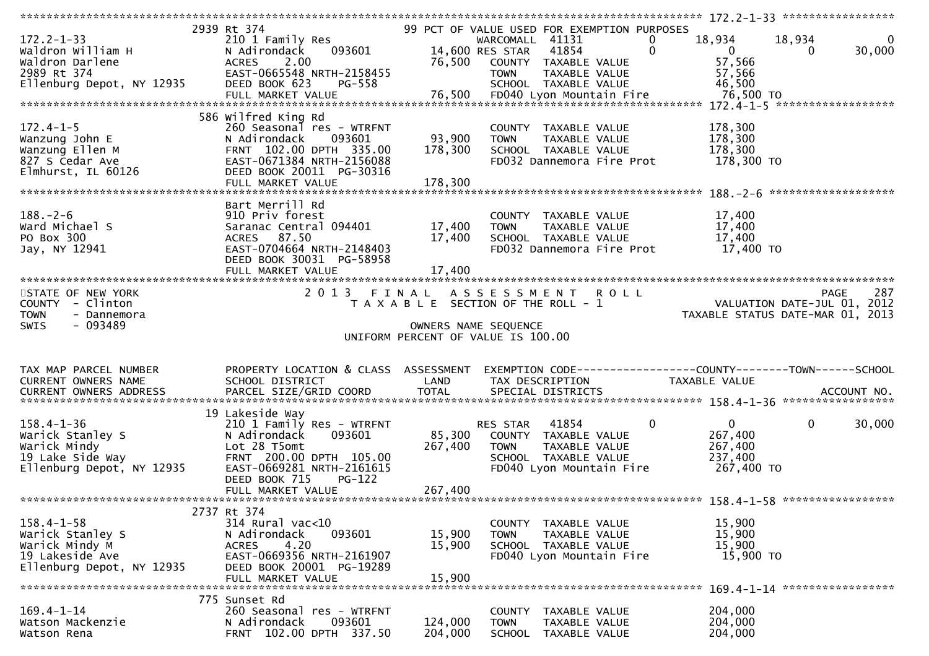|                                                                                                        |                                                                                                                                                                                                  |                              |                                                                                                                                                                                             | 172.2-1-33 ******************                                                  |             |
|--------------------------------------------------------------------------------------------------------|--------------------------------------------------------------------------------------------------------------------------------------------------------------------------------------------------|------------------------------|---------------------------------------------------------------------------------------------------------------------------------------------------------------------------------------------|--------------------------------------------------------------------------------|-------------|
| $172.2 - 1 - 33$<br>Waldron William H<br>Waldron Darlene<br>2989 Rt 374<br>Ellenburg Depot, NY 12935   | 2939 Rt 374<br>210 1 Family Res<br>093601<br>N Adirondack<br><b>ACRES</b><br>2.00<br>EAST-0665548 NRTH-2158455<br>DEED BOOK 623<br>PG-558                                                        | 76,500                       | 99 PCT OF VALUE USED FOR EXEMPTION PURPOSES<br>WARCOMALL 41131<br>0<br>$\Omega$<br>14,600 RES STAR<br>41854<br>COUNTY TAXABLE VALUE<br><b>TOWN</b><br>TAXABLE VALUE<br>SCHOOL TAXABLE VALUE | 18,934<br>18,934<br>$\mathbf{0}$<br>0<br>57,566<br>57,566<br>46,500            | 0<br>30,000 |
| $172.4 - 1 - 5$<br>Wanzung John E<br>Wanzung Ellen M<br>827 S Cedar Ave<br>Elmhurst, IL 60126          | 586 Wilfred King Rd<br>260 Seasonal res - WTRFNT<br>093601<br>N Adirondack<br>FRNT 102.00 DPTH 335.00<br>EAST-0671384 NRTH-2156088<br>DEED BOOK 20011 PG-30316<br>FULL MARKET VALUE              | 93,900<br>178,300<br>178,300 | COUNTY TAXABLE VALUE<br><b>TOWN</b><br>TAXABLE VALUE<br>SCHOOL TAXABLE VALUE<br>FD032 Dannemora Fire Prot                                                                                   | 178,300<br>178,300<br>178,300<br>178,300 TO                                    |             |
| $188. - 2 - 6$<br>Ward Michael S<br>PO Box 300<br>Jay, NY 12941                                        | Bart Merrill Rd<br>910 Priv forest<br>Saranac Central 094401<br>ACRES 87.50<br>EAST-0704664 NRTH-2148403<br>DEED BOOK 30031 PG-58958<br>FULL MARKET VALUE                                        | 17,400<br>17,400<br>17,400   | COUNTY TAXABLE VALUE<br><b>TOWN</b><br>TAXABLE VALUE<br>SCHOOL TAXABLE VALUE<br>FD032 Dannemora Fire Prot                                                                                   | 17,400<br>17,400<br>17,400<br>17,400 TO                                        |             |
| STATE OF NEW YORK<br>COUNTY - Clinton<br><b>TOWN</b><br>- Dannemora<br>$-093489$<br>SWIS               |                                                                                                                                                                                                  |                              | 2013 FINAL ASSESSMENT ROLL<br>T A X A B L E SECTION OF THE ROLL - 1<br>OWNERS NAME SEQUENCE<br>UNIFORM PERCENT OF VALUE IS 100.00                                                           | <b>PAGE</b><br>VALUATION DATE-JUL 01, 2012<br>TAXABLE STATUS DATE-MAR 01, 2013 | 287         |
| TAX MAP PARCEL NUMBER<br>CURRENT OWNERS NAME                                                           | PROPERTY LOCATION & CLASS ASSESSMENT<br>SCHOOL DISTRICT                                                                                                                                          | LAND                         | TAX DESCRIPTION                                                                                                                                                                             | EXEMPTION CODE-----------------COUNTY-------TOWN------SCHOOL<br>TAXABLE VALUE  |             |
| $158.4 - 1 - 36$<br>Warick Stanley S<br>Warick Mindy<br>19 Lake Side Way<br>Ellenburg Depot, NY 12935  | 19 Lakeside Way<br>210 1 Family Res - WTRFNT<br>093601<br>N Adirondack<br>Lot 28 T5omt<br>FRNT 200.00 DPTH 105.00<br>EAST-0669281 NRTH-2161615<br>DEED BOOK 715<br>$PG-122$<br>FULL MARKET VALUE | 85,300<br>267,400<br>267,400 | $\mathbf 0$<br>41854<br>RES STAR<br>COUNTY TAXABLE VALUE<br>TAXABLE VALUE<br><b>TOWN</b><br>SCHOOL TAXABLE VALUE<br>FD040 Lyon Mountain Fire                                                | $\mathbf{0}$<br>$\mathbf 0$<br>267,400<br>267,400<br>237,400<br>267,400 TO     | 30,000      |
|                                                                                                        |                                                                                                                                                                                                  |                              |                                                                                                                                                                                             |                                                                                |             |
| $158.4 - 1 - 58$<br>Warick Stanley S<br>Warick Mindy M<br>19 Lakeside Ave<br>Ellenburg Depot, NY 12935 | 2737 Rt 374<br>314 Rural vac<10<br>N Adirondack<br>093601<br><b>ACRES</b><br>4.20<br>EAST-0669356 NRTH-2161907<br>DEED BOOK 20001 PG-19289<br>FULL MARKET VALUE                                  | 15,900<br>15,900<br>15,900   | COUNTY TAXABLE VALUE<br><b>TOWN</b><br>TAXABLE VALUE<br>SCHOOL TAXABLE VALUE<br>FD040 Lyon Mountain Fire                                                                                    | 15,900<br>15,900<br>15,900<br>15,900 TO                                        |             |
|                                                                                                        | 775 Sunset Rd                                                                                                                                                                                    |                              |                                                                                                                                                                                             |                                                                                |             |
| $169.4 - 1 - 14$<br>Watson Mackenzie<br>Watson Rena                                                    | 260 Seasonal res - WTRFNT<br>N Adirondack<br>093601<br>FRNT 102.00 DPTH 337.50                                                                                                                   | 124,000<br>204,000           | TAXABLE VALUE<br>COUNTY<br><b>TOWN</b><br>TAXABLE VALUE<br><b>SCHOOL</b><br>TAXABLE VALUE                                                                                                   | 204,000<br>204,000<br>204,000                                                  |             |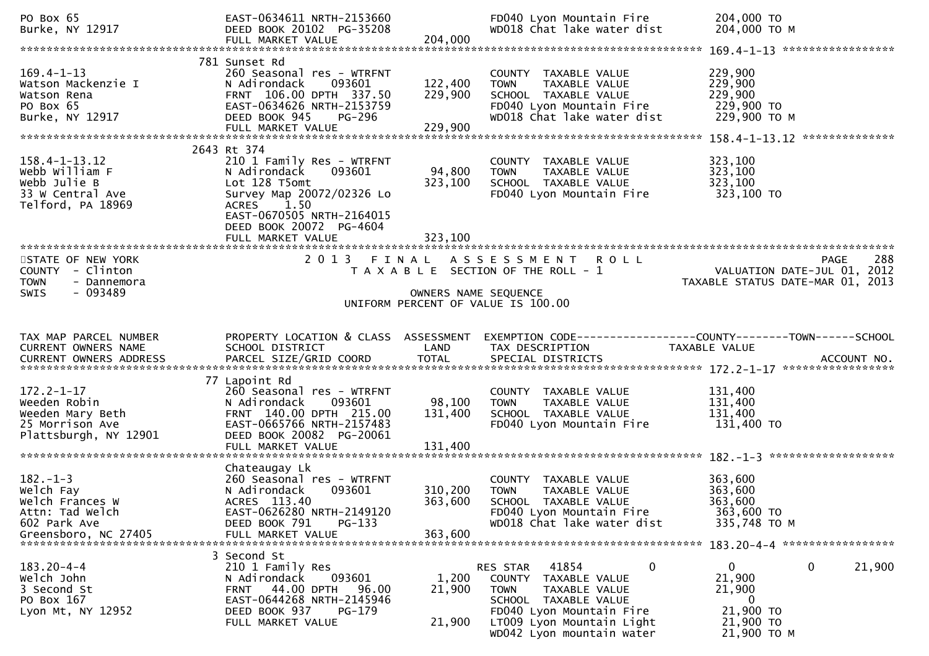| PO Box 65<br>Burke, NY 12917                                                                     | EAST-0634611 NRTH-2153660<br>DEED BOOK 20102 PG-35208<br>FULL MARKET VALUE                                                                                                        | 204,000                       | FD040 Lyon Mountain Fire<br>WD018 Chat lake water dist                                                                                       | 204,000 TO<br>204,000 ТО М                                                                                       |
|--------------------------------------------------------------------------------------------------|-----------------------------------------------------------------------------------------------------------------------------------------------------------------------------------|-------------------------------|----------------------------------------------------------------------------------------------------------------------------------------------|------------------------------------------------------------------------------------------------------------------|
|                                                                                                  |                                                                                                                                                                                   |                               |                                                                                                                                              |                                                                                                                  |
| $169.4 - 1 - 13$<br>Watson Mackenzie I<br>Watson Rena<br>PO Box 65<br>Burke, NY 12917            | 781 Sunset Rd<br>260 Seasonal res - WTRFNT<br>093601<br>N Adirondack<br>FRNT 106.00 DPTH 337.50<br>EAST-0634626 NRTH-2153759<br>DEED BOOK 945<br>PG-296<br>FULL MARKET VALUE      | 122,400<br>229,900<br>229,900 | COUNTY TAXABLE VALUE<br>TAXABLE VALUE<br><b>TOWN</b><br>SCHOOL TAXABLE VALUE<br>FD040 Lyon Mountain Fire<br>WD018 Chat lake water dist       | 229,900<br>229,900<br>229,900<br>229,900 TO<br>229,900 ТО М                                                      |
|                                                                                                  | 2643 Rt 374                                                                                                                                                                       |                               |                                                                                                                                              |                                                                                                                  |
| $158.4 - 1 - 13.12$<br>Webb William F<br>Webb Julie B<br>33 W Central Ave<br>Telford, PA 18969   | 210 1 Family Res - WTRFNT<br>N Adirondack<br>093601<br>Lot 128 T5omt<br>Survey Map 20072/02326 Lo<br><b>ACRES</b><br>1.50<br>EAST-0670505 NRTH-2164015<br>DEED BOOK 20072 PG-4604 | 94,800<br>323,100<br>323,100  | COUNTY TAXABLE VALUE<br>TAXABLE VALUE<br><b>TOWN</b><br>SCHOOL TAXABLE VALUE<br>FD040 Lyon Mountain Fire                                     | 323,100<br>323,100<br>323,100<br>323,100 TO                                                                      |
|                                                                                                  | FULL MARKET VALUE                                                                                                                                                                 |                               |                                                                                                                                              |                                                                                                                  |
| STATE OF NEW YORK<br>COUNTY - Clinton<br><b>TOWN</b><br>- Dannemora                              |                                                                                                                                                                                   |                               | 2013 FINAL ASSESSMENT ROLL<br>T A X A B L E SECTION OF THE ROLL - 1                                                                          | PAGE 288<br>VALUATION DATE-JUL 01, 2012<br>TAXARLE STATUS DATE :::- 21, 2012<br>TAXABLE STATUS DATE-MAR 01, 2013 |
| $-093489$<br><b>SWIS</b>                                                                         |                                                                                                                                                                                   | OWNERS NAME SEQUENCE          |                                                                                                                                              |                                                                                                                  |
|                                                                                                  |                                                                                                                                                                                   |                               | UNIFORM PERCENT OF VALUE IS 100.00                                                                                                           |                                                                                                                  |
|                                                                                                  |                                                                                                                                                                                   |                               |                                                                                                                                              |                                                                                                                  |
|                                                                                                  |                                                                                                                                                                                   |                               |                                                                                                                                              |                                                                                                                  |
| TAX MAP PARCEL NUMBER<br>CURRENT OWNERS NAME                                                     | PROPERTY LOCATION & CLASS ASSESSMENT<br>SCHOOL DISTRICT                                                                                                                           | LAND                          | TAX DESCRIPTION                                                                                                                              | EXEMPTION CODE-----------------COUNTY-------TOWN------SCHOOL<br>TAXABLE VALUE                                    |
|                                                                                                  |                                                                                                                                                                                   |                               |                                                                                                                                              |                                                                                                                  |
| $172.2 - 1 - 17$<br>Weeden Robin<br>Weeden Mary Beth<br>25 Morrison Ave<br>Plattsburgh, NY 12901 | 77 Lapoint Rd<br>260 Seasonal res - WTRFNT<br>N Adirondack<br>093601<br>FRNT 140.00 DPTH 215.00<br>EAST-0665766 NRTH-2157483<br>DEED BOOK 20082 PG-20061<br>FULL MARKET VALUE     | 98,100<br>131,400<br>131,400  | COUNTY TAXABLE VALUE<br><b>TOWN</b><br>TAXABLE VALUE<br>SCHOOL TAXABLE VALUE<br>FD040 Lyon Mountain Fire                                     | 131,400<br>131,400<br>131,400<br>131,400 TO                                                                      |
|                                                                                                  |                                                                                                                                                                                   |                               |                                                                                                                                              |                                                                                                                  |
| $182. - 1 - 3$<br>Welch Fay<br>Welch Frances W<br>Attn: Tad Welch<br>602 Park Ave                | Chateaugay Lk<br>260 Seasonal res - WTRFNT<br>N Adirondack<br>093601<br>ACRES 113.40<br>EAST-0626280 NRTH-2149120<br>DEED BOOK 791<br>PG-133                                      | 310,200<br>363,600            | COUNTY TAXABLE VALUE<br><b>TOWN</b><br>TAXABLE VALUE<br>SCHOOL TAXABLE VALUE<br>FD040 Lyon Mountain Fire<br>WD018 Chat lake water dist       | 363,600<br>363,600<br>363,600<br>363,600 TO<br>335,748 TO M                                                      |
| Greensboro, NC 27405                                                                             | FULL MARKET VALUE                                                                                                                                                                 | 363,600                       |                                                                                                                                              |                                                                                                                  |
|                                                                                                  |                                                                                                                                                                                   |                               |                                                                                                                                              | 183.20-4-4 ******************                                                                                    |
| $183.20 - 4 - 4$<br>Welch John<br>3 Second St<br>PO Box 167<br>Lyon Mt, NY 12952                 | 3 Second St<br>210 1 Family Res<br>093601<br>N Adirondack<br>44.00 DPTH<br>96.00<br>FRNT<br>EAST-0644268 NRTH-2145946<br>DEED BOOK 937<br>PG-179                                  | 1,200<br>21,900               | 41854<br>0<br>RES STAR<br><b>COUNTY</b><br>TAXABLE VALUE<br><b>TOWN</b><br>TAXABLE VALUE<br>SCHOOL TAXABLE VALUE<br>FD040 Lyon Mountain Fire | 0<br>0<br>21,900<br>21,900<br>21,900<br>$\mathbf{0}$<br>21,900 TO                                                |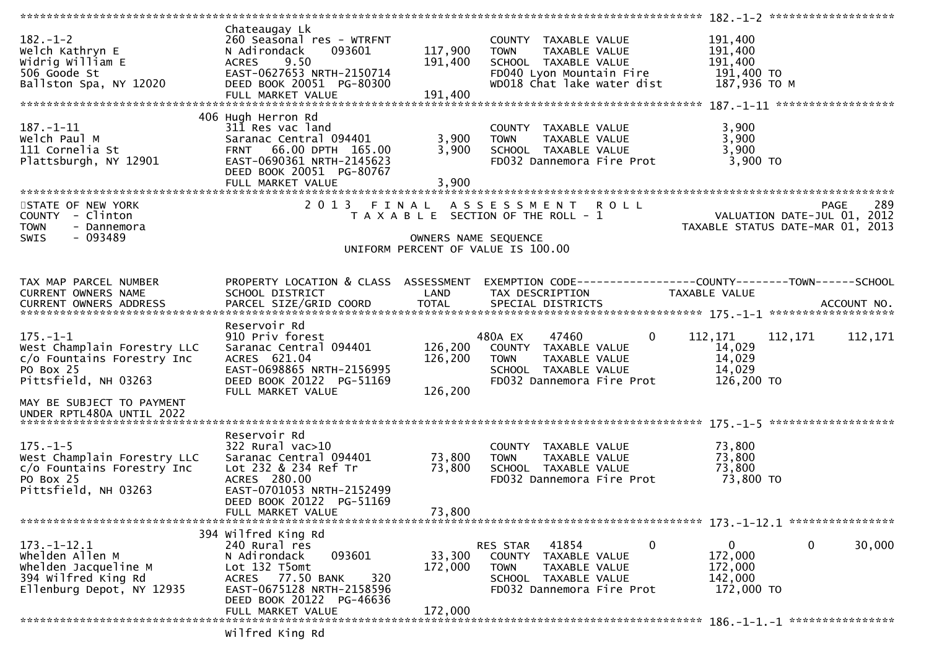| $182 - 1 - 2$               | Chateaugay Lk<br>260 Seasonal res - WTRFNT |         | COUNTY TAXABLE VALUE                  | 191,400                                                      |
|-----------------------------|--------------------------------------------|---------|---------------------------------------|--------------------------------------------------------------|
| Welch Kathryn E             | N Adirondack<br>093601                     | 117,900 | TAXABLE VALUE<br><b>TOWN</b>          | 191,400                                                      |
|                             |                                            |         |                                       |                                                              |
| Widrig William E            | 9.50<br><b>ACRES</b>                       | 191,400 | SCHOOL TAXABLE VALUE                  | 191,400                                                      |
| 506 Goode St                | EAST-0627653 NRTH-2150714                  |         | FD040 Lyon Mountain Fire              | 191,400 TO                                                   |
| Ballston Spa, NY 12020      | DEED BOOK 20051 PG-80300                   |         | WD018 Chat lake water dist            | 187,936 ТО М                                                 |
|                             | FULL MARKET VALUE                          | 191,400 |                                       |                                                              |
|                             | 406 Hugh Herron Rd                         |         |                                       |                                                              |
| $187. - 1 - 11$             | 311 Res vac land                           |         | COUNTY TAXABLE VALUE                  | 3,900                                                        |
| Welch Paul M                | Saranac Central 094401                     | 3,900   | TAXABLE VALUE<br><b>TOWN</b>          | 3,900                                                        |
| 111 Cornelia St             | FRNT 66.00 DPTH 165.00                     | 3,900   | SCHOOL TAXABLE VALUE                  | 3,900                                                        |
| Plattsburgh, NY 12901       | EAST-0690361 NRTH-2145623                  |         | FD032 Dannemora Fire Prot             | $3,900$ TO                                                   |
|                             |                                            |         |                                       |                                                              |
|                             | DEED BOOK 20051 PG-80767                   |         |                                       |                                                              |
|                             | FULL MARKET VALUE                          | 3,900   |                                       |                                                              |
|                             |                                            |         |                                       |                                                              |
| STATE OF NEW YORK           |                                            |         | 2013 FINAL ASSESSMENT<br><b>ROLL</b>  | 289<br><b>PAGE</b>                                           |
| COUNTY - Clinton            |                                            |         | T A X A B L E SECTION OF THE ROLL - 1 | VALUATION DATE-JUL 01, 2012                                  |
| - Dannemora<br><b>TOWN</b>  |                                            |         |                                       | TAXABLE STATUS DATE-MAR 01, 2013                             |
| - 093489<br>SWIS            |                                            |         | OWNERS NAME SEQUENCE                  |                                                              |
|                             |                                            |         | UNIFORM PERCENT OF VALUE IS 100.00    |                                                              |
|                             |                                            |         |                                       |                                                              |
|                             |                                            |         |                                       |                                                              |
|                             |                                            |         |                                       |                                                              |
| TAX MAP PARCEL NUMBER       | PROPERTY LOCATION & CLASS ASSESSMENT       |         |                                       | EXEMPTION CODE-----------------COUNTY-------TOWN------SCHOOL |
| CURRENT OWNERS NAME         | SCHOOL DISTRICT                            | LAND    | TAX DESCRIPTION                       | <b>TAXABLE VALUE</b>                                         |
|                             |                                            |         |                                       |                                                              |
|                             |                                            |         |                                       |                                                              |
|                             | Reservoir Rd                               |         |                                       |                                                              |
| $175. - 1 - 1$              | 910 Priv forest                            |         | 47460<br>$\mathbf{0}$<br>480A EX      | 112,171<br>112,171<br>112,171                                |
| West Champlain Forestry LLC | Saranac Central 094401                     | 126,200 | COUNTY TAXABLE VALUE                  | 14,029                                                       |
|                             |                                            |         | <b>TOWN</b>                           | 14,029                                                       |
| c/o Fountains Forestry Inc  | ACRES 621.04                               | 126,200 | TAXABLE VALUE                         |                                                              |
| PO Box 25                   | EAST-0698865 NRTH-2156995                  |         | SCHOOL TAXABLE VALUE                  | 14,029                                                       |
| Pittsfield, NH 03263        | DEED BOOK 20122 PG-51169                   |         | FD032 Dannemora Fire Prot             | 126,200 TO                                                   |
|                             | FULL MARKET VALUE                          | 126,200 |                                       |                                                              |
| MAY BE SUBJECT TO PAYMENT   |                                            |         |                                       |                                                              |
| UNDER RPTL480A UNTIL 2022   |                                            |         |                                       |                                                              |
|                             |                                            |         |                                       |                                                              |
|                             | Reservoir Rd                               |         |                                       |                                                              |
| $175. - 1 - 5$              | $322$ Rural vac $>10$                      |         | COUNTY TAXABLE VALUE                  | 73,800                                                       |
|                             |                                            |         |                                       |                                                              |
| West Champlain Forestry LLC | Saranac Central 094401                     | 73,800  | TAXABLE VALUE<br><b>TOWN</b>          | 73,800                                                       |
| c/o Fountains Forestry Inc  | Lot 232 & 234 Ref Tr                       | 73,800  | SCHOOL TAXABLE VALUE                  | 73,800                                                       |
| PO Box 25                   | ACRES 280.00                               |         | FD032 Dannemora Fire Prot             | 73,800 TO                                                    |
| Pittsfield, NH 03263        | EAST-0701053 NRTH-2152499                  |         |                                       |                                                              |
|                             |                                            |         |                                       |                                                              |
|                             | DEED BOOK 20122 PG-51169                   |         |                                       |                                                              |
|                             |                                            |         |                                       |                                                              |
|                             | FULL MARKET VALUE                          | 73,800  |                                       |                                                              |
|                             |                                            |         |                                       |                                                              |
|                             | 394 Wilfred King Rd                        |         |                                       |                                                              |
| $173.-1-12.1$               | 240 Rural res                              |         | 0<br>41854<br>RES STAR                | 0<br>30,000<br>$\mathbf{0}$                                  |
| Whelden Allen M             | 093601<br>N Adirondack                     | 33,300  | COUNTY<br>TAXABLE VALUE               | 172,000                                                      |
| Whelden Jacqueline M        | Lot 132 T5omt                              | 172,000 | <b>TOWN</b><br>TAXABLE VALUE          | 172,000                                                      |
| 394 Wilfred King Rd         | 77.50 BANK<br>320<br><b>ACRES</b>          |         | SCHOOL TAXABLE VALUE                  | 142,000                                                      |
| Ellenburg Depot, NY 12935   | EAST-0675128 NRTH-2158596                  |         | FD032 Dannemora Fire Prot             | 172,000 TO                                                   |
|                             |                                            |         |                                       |                                                              |
|                             | DEED BOOK 20122 PG-46636                   |         |                                       |                                                              |
|                             | FULL MARKET VALUE                          | 172,000 |                                       |                                                              |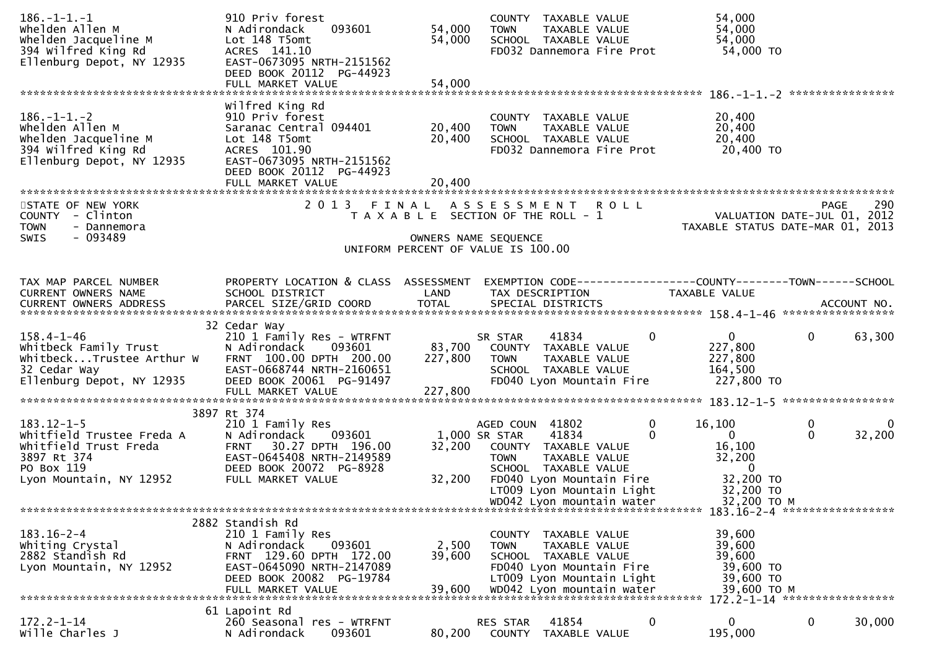| $186. - 1 - 1. - 1$<br>Whelden Allen M<br>Whelden Jacqueline M<br>394 Wilfred King Rd<br>Ellenburg Depot, NY 12935 | 910 Priv forest<br>093601<br>N Adirondack<br>Lot 148 T5omt<br>ACRES 141.10<br>EAST-0673095 NRTH-2151562<br>DEED BOOK 20112 PG-44923<br>FULL MARKET VALUE                    | 54,000<br>54,000<br>54,000 | COUNTY TAXABLE VALUE<br><b>TOWN</b><br>SCHOOL TAXABLE VALUE                                                                       | TAXABLE VALUE<br>FD032 Dannemora Fire Prot                                         | 54,000<br>54,000<br>54,000<br>54,000 TO                             |                                                                                |
|--------------------------------------------------------------------------------------------------------------------|-----------------------------------------------------------------------------------------------------------------------------------------------------------------------------|----------------------------|-----------------------------------------------------------------------------------------------------------------------------------|------------------------------------------------------------------------------------|---------------------------------------------------------------------|--------------------------------------------------------------------------------|
| $186. - 1 - 1. - 2$<br>Whelden Allen M<br>Whelden Jacqueline M<br>394 Wilfred King Rd<br>Ellenburg Depot, NY 12935 | Wilfred King Rd<br>910 Priv forest<br>Saranac Central 094401<br>Lot 148 T5omt<br>ACRES 101.90<br>EAST-0673095 NRTH-2151562<br>DEED BOOK 20112 PG-44923<br>FULL MARKET VALUE | 20,400<br>20,400<br>20,400 | COUNTY TAXABLE VALUE<br><b>TOWN</b><br>SCHOOL TAXABLE VALUE                                                                       | TAXABLE VALUE<br>FD032 Dannemora Fire Prot                                         | 20,400<br>20,400<br>20,400<br>20,400 TO                             |                                                                                |
| STATE OF NEW YORK<br>COUNTY - Clinton<br><b>TOWN</b><br>- Dannemora<br>$-093489$<br><b>SWIS</b>                    |                                                                                                                                                                             |                            | 2013 FINAL ASSESSMENT ROLL<br>T A X A B L E SECTION OF THE ROLL - 1<br>OWNERS NAME SEQUENCE<br>UNIFORM PERCENT OF VALUE IS 100.00 |                                                                                    |                                                                     | 290<br>PAGE<br>VALUATION DATE-JUL 01, 2012<br>TAXABLE STATUS DATE-MAR 01, 2013 |
| TAX MAP PARCEL NUMBER<br><b>CURRENT OWNERS NAME</b>                                                                | PROPERTY LOCATION & CLASS ASSESSMENT<br>SCHOOL DISTRICT                                                                                                                     | LAND                       | TAX DESCRIPTION                                                                                                                   |                                                                                    | TAXABLE VALUE                                                       | EXEMPTION CODE-----------------COUNTY-------TOWN------SCHOOL                   |
| $158.4 - 1 - 46$<br>whitbeck Family Trust<br>WhitbeckTrustee Arthur W<br>32 Cedar Way<br>Ellenburg Depot, NY 12935 | 32 Cedar Way<br>210 1 Family Res - WTRFNT<br>N Adirondack<br>093601<br>FRNT 100.00 DPTH 200.00<br>EAST-0668744 NRTH-2160651<br>DEED BOOK 20061 PG-91497                     | 83,700<br>227,800          | 41834<br>SR STAR<br>COUNTY TAXABLE VALUE<br><b>TOWN</b><br>SCHOOL TAXABLE VALUE                                                   | $\mathbf{0}$<br>TAXABLE VALUE<br>FD040 Lyon Mountain Fire                          | $\overline{0}$<br>227,800<br>227,800<br>164,500<br>227,800 TO       | $\mathbf 0$<br>63,300                                                          |
|                                                                                                                    | 3897 Rt 374                                                                                                                                                                 |                            |                                                                                                                                   |                                                                                    |                                                                     |                                                                                |
| $183.12 - 1 - 5$<br>Whitfield Trustee Freda A<br>Whitfield Trust Freda<br>3897 Rt 374<br>PO Box 119                | 210 1 Family Res<br>093601<br>N Adirondack<br>30.27 DPTH 196.00<br><b>FRNT</b><br>EAST-0645408 NRTH-2149589<br>DEED BOOK 20072 PG-8928                                      | 32,200                     | AGED COUN 41802<br>1,000 SR STAR<br>41834<br>COUNTY TAXABLE VALUE<br><b>TOWN</b><br>SCHOOL TAXABLE VALUE                          | 0<br>$\Omega$<br>TAXABLE VALUE                                                     | 16,100<br>$\mathbf{0}$<br>16,100<br>32,200<br>$\Omega$              | 0<br>0<br>$\Omega$<br>32,200                                                   |
| Lyon Mountain, NY 12952                                                                                            | FULL MARKET VALUE                                                                                                                                                           | 32,200                     |                                                                                                                                   | FD040 Lyon Mountain Fire<br>LT009 Lyon Mountain Light<br>WD042 Lyon mountain water | 32,200 TO<br>32,200 TO<br>32,200 TO M                               |                                                                                |
|                                                                                                                    | 2882 Standish Rd                                                                                                                                                            |                            |                                                                                                                                   |                                                                                    |                                                                     | 183.16-2-4 ******************                                                  |
| $183.16 - 2 - 4$<br>Whiting Crystal<br>2882 Standish Rd<br>Lyon Mountain, NY 12952                                 | 210 1 Family Res<br>N Adirondack<br>093601<br>FRNT 129.60 DPTH 172.00<br>EAST-0645090 NRTH-2147089<br>DEED BOOK 20082 PG-19784                                              | 2,500<br>39,600            | COUNTY TAXABLE VALUE<br><b>TOWN</b><br>SCHOOL TAXABLE VALUE                                                                       | TAXABLE VALUE<br>FD040 Lyon Mountain Fire<br>LT009 Lyon Mountain Light             | 39,600<br>39,600<br>39,600<br>39,600 TO<br>39,600 TO<br>39,600 TO M | 172.2-1-14 ******************                                                  |
| $172.2 - 1 - 14$<br>Wille Charles J                                                                                | 61 Lapoint Rd<br>260 Seasonal res - WTRFNT<br>N Adirondack<br>093601                                                                                                        | 80,200                     | 41854<br>RES STAR<br>COUNTY TAXABLE VALUE                                                                                         | 0                                                                                  | $\mathbf{0}$<br>195,000                                             | $\mathbf 0$<br>30,000                                                          |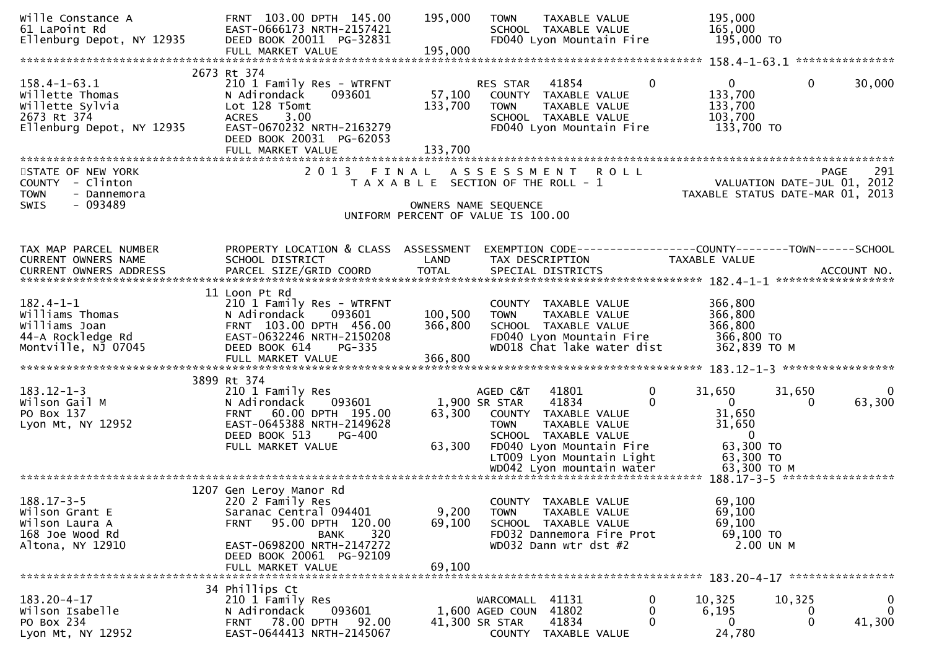| Wille Constance A<br>61 LaPoint Rd<br>61 LaPoınt Rd<br>Ellenburg Depot, NY 12935                     | FRNT 103.00 DPTH 145.00<br>EAST-0666173 NRTH-2157421<br>DEED BOOK 20011 PG-32831                                                                                                                              | 195,000                        | TAXABLE VALUE<br><b>TOWN</b><br>SCHOOL TAXABLE VALUE<br>FD040 Lyon Mountain Fire                                                                                                                      | 195,000<br>165,000<br>195,000 TO                                                                                         |                            |
|------------------------------------------------------------------------------------------------------|---------------------------------------------------------------------------------------------------------------------------------------------------------------------------------------------------------------|--------------------------------|-------------------------------------------------------------------------------------------------------------------------------------------------------------------------------------------------------|--------------------------------------------------------------------------------------------------------------------------|----------------------------|
|                                                                                                      |                                                                                                                                                                                                               |                                |                                                                                                                                                                                                       |                                                                                                                          |                            |
| $158.4 - 1 - 63.1$<br>willette Thomas<br>Willette Sylvia<br>2673 Rt 374<br>Ellenburg Depot, NY 12935 | 2673 Rt 374<br>210 1 Family Res - WTRFNT<br>N Adirondack<br>093601<br>Lot 128 T5omt<br>3.00<br><b>ACRES</b><br>EAST-0670232 NRTH-2163279<br>DEED BOOK 20031 PG-62053                                          | 133,700                        | $\mathbf{0}$<br>RES STAR 41854<br>57,100 COUNTY TAXABLE VALUE<br>TAXABLE VALUE<br><b>TOWN</b><br>SCHOOL TAXABLE VALUE<br>FD040 Lyon Mountain Fire                                                     | $\overline{0}$<br>$\mathbf 0$<br>133,700<br>133,700<br>103,700<br>133,700 TO                                             | 30,000                     |
| STATE OF NEW YORK<br>COUNTY - Clinton<br><b>TOWN</b><br>- Dannemora                                  | 2 0 1 3                                                                                                                                                                                                       |                                | FINAL ASSESSMENT<br><b>ROLL</b><br>T A X A B L E SECTION OF THE ROLL - 1                                                                                                                              | VALUATION DATE-JUL 01, 2012<br>TAXABLE STATUS DATE-MAR 01, 2013                                                          | 291<br><b>PAGE</b>         |
| SWIS<br>- 093489                                                                                     |                                                                                                                                                                                                               |                                | OWNERS NAME SEQUENCE<br>UNIFORM PERCENT OF VALUE IS 100.00                                                                                                                                            |                                                                                                                          |                            |
| TAX MAP PARCEL NUMBER<br>CURRENT OWNERS NAME<br><b>CURRENT OWNERS ADDRESS</b>                        | PROPERTY LOCATION & CLASS ASSESSMENT<br>SCHOOL DISTRICT                                                                                                                                                       | LAND                           | EXEMPTION CODE-----------------COUNTY-------TOWN------SCHOOL<br>TAX DESCRIPTION                                                                                                                       | TAXABLE VALUE                                                                                                            |                            |
| $182.4 - 1 - 1$<br>Williams Thomas<br>Williams Joan<br>44-A Rockledge Rd<br>Montville, NJ 07045      | 11 Loon Pt Rd<br>210 1 Family Res - WTRFNT<br>N Adirondack<br>093601<br>FRNT 103.00 DPTH 456.00<br>EAST-0632246 NRTH-2150208<br>DEED BOOK 614<br>PG-335<br>FULL MARKET VALUE                                  | 100, 500<br>366,800<br>366,800 | COUNTY TAXABLE VALUE<br><b>TOWN</b><br>TAXABLE VALUE<br>SCHOOL TAXABLE VALUE<br>FD040 Lyon Mountain Fire<br>WD018 Chat lake water dist                                                                | 366,800<br>366,800<br>366,800<br>366,800 TO<br>362,839 TO M                                                              |                            |
| $183.12 - 1 - 3$<br>Wilson Gail M<br>PO Box 137<br>Lyon Mt, NY 12952                                 | 3899 Rt 374<br>210 1 Family Res<br>093601<br>N Adirondack<br>FRNT 60.00 DPTH 195.00<br>EAST-0645388 NRTH-2149628<br>DEED BOOK 513<br>PG-400<br>FULL MARKET VALUE                                              | 63,300<br>63,300               | AGED C&T<br>41801<br>0<br>1,900 SR STAR<br>41834<br>$\Omega$<br>COUNTY TAXABLE VALUE<br><b>TAXABLE VALUE</b><br>TOWN<br>SCHOOL TAXABLE VALUE<br>FD040 Lyon Mountain Fire<br>LT009 Lyon Mountain Light | 31,650<br>31,650<br>$\overline{0}$<br>$\Omega$<br>31,650<br>31,650<br>$\overline{\phantom{0}}$<br>63,300 TO<br>63,300 TO | $\Omega$<br>63,300         |
| $188.17 - 3 - 5$<br>Wilson Grant E<br>Wilson Laura A<br>168 Joe Wood Rd<br>Altona, NY 12910          | 1207 Gen Leroy Manor Rd<br>220 2 Family Res<br>Saranac Central 094401<br>95.00 DPTH 120.00<br><b>FRNT</b><br>320<br><b>BANK</b><br>EAST-0698200 NRTH-2147272<br>DEED BOOK 20061 PG-92109<br>FULL MARKET VALUE | 9,200<br>69,100<br>69,100      | COUNTY TAXABLE VALUE<br>TAXABLE VALUE<br><b>TOWN</b><br>SCHOOL TAXABLE VALUE<br>FD032 Dannemora Fire Prot<br>WD032 Dann wtr dst #2                                                                    | 69,100<br>69,100<br>69,100<br>69,100 TO<br>2.00 UN M                                                                     |                            |
| $183.20 - 4 - 17$<br>Wilson Isabelle<br>PO Box 234<br>Lyon Mt, NY 12952                              | 34 Phillips Ct<br>210 1 Family Res<br>093601<br>N Adirondack<br><b>FRNT 78.00 DPTH</b><br>92.00<br>EAST-0644413 NRTH-2145067                                                                                  |                                | 0<br>WARCOMALL 41131<br>1,600 AGED COUN 41802<br>0<br>$\Omega$<br>41,300 SR STAR<br>41834<br>COUNTY TAXABLE VALUE                                                                                     | 10,325<br>10,325<br>6,195<br>0<br>$\Omega$<br>$\Omega$<br>24,780                                                         | 0<br>$\mathbf 0$<br>41,300 |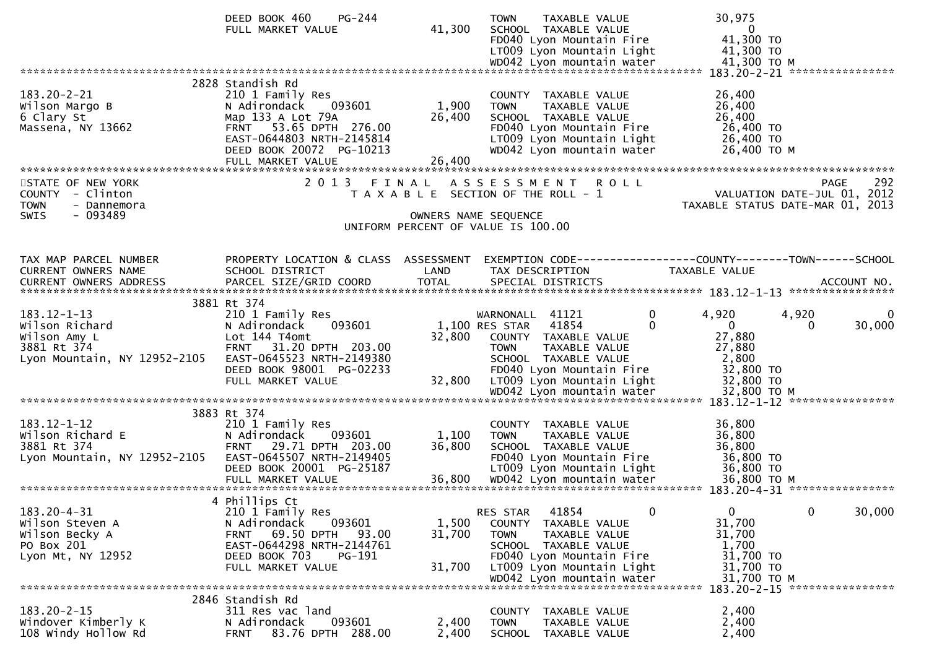|                                                                        | DEED BOOK 460<br>PG-244<br>FULL MARKET VALUE                                                                                                                                                | 41,300                    | <b>TOWN</b><br>TAXABLE VALUE<br>SCHOOL TAXABLE VALUE<br>FD040 Lyon Mountain Fire<br>LT009 Lyon Mountain Light                                                      | 30,975<br>$\overline{0}$<br>41,300 TO<br>41,300 TO<br>41,300 ТО М             |
|------------------------------------------------------------------------|---------------------------------------------------------------------------------------------------------------------------------------------------------------------------------------------|---------------------------|--------------------------------------------------------------------------------------------------------------------------------------------------------------------|-------------------------------------------------------------------------------|
|                                                                        |                                                                                                                                                                                             |                           |                                                                                                                                                                    | 183.20-2-21 *****************                                                 |
| $183.20 - 2 - 21$<br>Wilson Margo B<br>6 Clary St<br>Massena, NY 13662 | 2828 Standish Rd<br>210 1 Family Res<br>N Adirondack<br>093601<br>Map 133 A Lot 79A<br>FRNT 53.65 DPTH 276.00<br>EAST-0644803 NRTH-2145814<br>DEED BOOK 20072 PG-10213<br>FULL MARKET VALUE | 1,900<br>26,400<br>26,400 | COUNTY TAXABLE VALUE<br>TAXABLE VALUE<br><b>TOWN</b><br>SCHOOL TAXABLE VALUE<br>FD040 Lyon Mountain Fire<br>LT009 Lyon Mountain Light<br>WD042 Lyon mountain water | 26,400<br>26,400<br>26,400<br>26,400 TO<br>26,400 TO<br>26,400 ТО М           |
| STATE OF NEW YORK                                                      |                                                                                                                                                                                             |                           | 2013 FINAL ASSESSMENT ROLL                                                                                                                                         | 292<br><b>PAGE</b>                                                            |
| COUNTY - Clinton<br><b>TOWN</b><br>- Dannemora<br>- 093489<br>SWIS     |                                                                                                                                                                                             |                           | T A X A B L E SECTION OF THE ROLL - 1                                                                                                                              | VALUATION DATE-JUL 01, 2012<br>TAXABLE STATUS DATE-MAR 01, 2013               |
|                                                                        |                                                                                                                                                                                             |                           | OWNERS NAME SEQUENCE<br>UNIFORM PERCENT OF VALUE IS 100.00                                                                                                         |                                                                               |
|                                                                        |                                                                                                                                                                                             |                           |                                                                                                                                                                    |                                                                               |
| TAX MAP PARCEL NUMBER<br>CURRENT OWNERS NAME                           | PROPERTY LOCATION & CLASS ASSESSMENT<br>SCHOOL DISTRICT                                                                                                                                     | LAND                      | TAX DESCRIPTION                                                                                                                                                    | EXEMPTION CODE-----------------COUNTY-------TOWN------SCHOOL<br>TAXABLE VALUE |
|                                                                        |                                                                                                                                                                                             |                           |                                                                                                                                                                    |                                                                               |
| $183.12 - 1 - 13$                                                      | 3881 Rt 374                                                                                                                                                                                 |                           | 0                                                                                                                                                                  | 4,920                                                                         |
| Wilson Richard                                                         | 210 1 Family Res<br>093601<br>N Adirondack                                                                                                                                                  |                           | WARNONALL 41121<br>1,100 RES STAR 41854                                                                                                                            | 4,920<br>0<br>$\overline{0}$<br>30,000<br>$\Omega$                            |
| Wilson Amy L                                                           | Lot 144 T4omt                                                                                                                                                                               | 32,800                    | COUNTY TAXABLE VALUE                                                                                                                                               | 27,880                                                                        |
| 3881 Rt 374<br>Lyon Mountain, NY 12952-2105                            | FRNT 31.20 DPTH 203.00<br>EAST-0645523 NRTH-2149380                                                                                                                                         |                           | <b>TOWN</b><br>TAXABLE VALUE<br>SCHOOL TAXABLE VALUE                                                                                                               | 27,880<br>2,800                                                               |
|                                                                        | DEED BOOK 98001 PG-02233                                                                                                                                                                    |                           | FD040 Lyon Mountain Fire                                                                                                                                           | 32,800 TO                                                                     |
|                                                                        | FULL MARKET VALUE                                                                                                                                                                           | 32,800                    | LT009 Lyon Mountain Light                                                                                                                                          | 32,800 TO                                                                     |
|                                                                        |                                                                                                                                                                                             |                           |                                                                                                                                                                    |                                                                               |
| 183.12-1-12                                                            | 3883 Rt 374<br>210 1 Family Res                                                                                                                                                             |                           | COUNTY TAXABLE VALUE                                                                                                                                               | 36,800                                                                        |
| Wilson Richard E                                                       | N Adirondack<br>093601                                                                                                                                                                      | 1,100                     | TAXABLE VALUE<br><b>TOWN</b>                                                                                                                                       | 36,800                                                                        |
| 3881 Rt 374<br>Lyon Mountain, NY 12952-2105                            | FRNT 29.71 DPTH 203.00<br>EAST-0645507 NRTH-2149405                                                                                                                                         | 36,800                    | SCHOOL TAXABLE VALUE<br>FD040 Lyon Mountain Fire                                                                                                                   | 36,800<br>36,800 TO                                                           |
|                                                                        | DEED BOOK 20001 PG-25187                                                                                                                                                                    |                           | LT009 Lyon Mountain Light                                                                                                                                          | 36,800 TO                                                                     |
|                                                                        |                                                                                                                                                                                             |                           |                                                                                                                                                                    |                                                                               |
|                                                                        | 4 Phillips Ct                                                                                                                                                                               |                           |                                                                                                                                                                    |                                                                               |
| $183.20 - 4 - 31$<br>Wilson Steven A                                   | 210 1 Family Res<br>N Adirondack<br>093601                                                                                                                                                  | 1,500                     | $\mathbf{0}$<br>RES STAR<br>41854<br>COUNTY TAXABLE VALUE                                                                                                          | 0<br>$\mathbf 0$<br>30,000<br>31,700                                          |
| Wilson Becky A                                                         | 69.50 DPTH<br><b>FRNT</b><br>93.00                                                                                                                                                          | 31,700                    | TAXABLE VALUE<br><b>TOWN</b>                                                                                                                                       | 31,700                                                                        |
| PO Box 201<br>Lyon Mt, NY 12952                                        | EAST-0644298 NRTH-2144761<br>DEED BOOK 703<br>PG-191                                                                                                                                        |                           | SCHOOL TAXABLE VALUE<br>FD040 Lyon Mountain Fire                                                                                                                   | 1,700<br>31,700 TO                                                            |
|                                                                        | FULL MARKET VALUE                                                                                                                                                                           | 31,700                    | LT009 Lyon Mountain Light                                                                                                                                          | 31,700 TO                                                                     |
|                                                                        |                                                                                                                                                                                             |                           | WD042 Lyon mountain water                                                                                                                                          | 31,700 TO M                                                                   |
|                                                                        | 2846 Standish Rd                                                                                                                                                                            |                           |                                                                                                                                                                    |                                                                               |
| $183.20 - 2 - 15$<br>Windover Kimberly K                               | 311 Res vac land<br>093601<br>N Adirondack                                                                                                                                                  | 2,400                     | COUNTY TAXABLE VALUE<br><b>TAXABLE VALUE</b><br><b>TOWN</b>                                                                                                        | 2,400<br>2,400                                                                |
| 108 Windy Hollow Rd                                                    | 83.76 DPTH 288.00<br><b>FRNT</b>                                                                                                                                                            | 2,400                     | SCHOOL<br>TAXABLE VALUE                                                                                                                                            | 2,400                                                                         |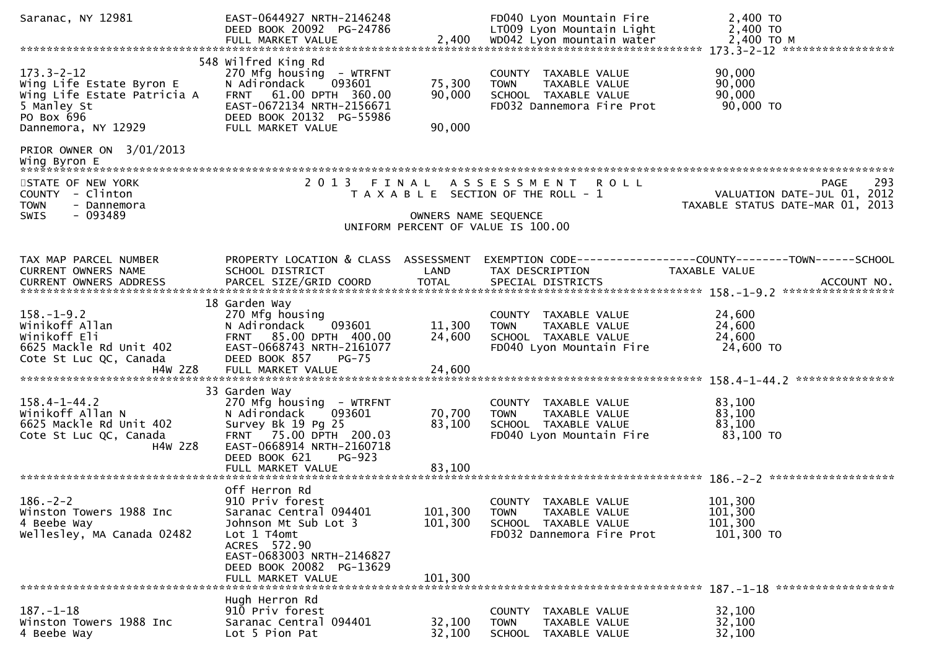| Saranac, NY 12981                                                                                                               | EAST-0644927 NRTH-2146248<br>DEED BOOK 20092 PG-24786<br>FULL MARKET VALUE                                                                                                                       | 2,400                         | FD040 Lyon Mountain Fire<br>LT009 Lyon Mountain Light<br>WD042 Lyon mountain water                        | 2,400 TO<br>2,400 TO<br>2,400 TO M                                                    |
|---------------------------------------------------------------------------------------------------------------------------------|--------------------------------------------------------------------------------------------------------------------------------------------------------------------------------------------------|-------------------------------|-----------------------------------------------------------------------------------------------------------|---------------------------------------------------------------------------------------|
|                                                                                                                                 |                                                                                                                                                                                                  |                               |                                                                                                           |                                                                                       |
| $173.3 - 2 - 12$<br>Wing Life Estate Byron E<br>Wing Life Estate Patricia A<br>5 Manley St<br>PO Box 696<br>Dannemora, NY 12929 | 548 Wilfred King Rd<br>270 Mfg housing - WTRFNT<br>N Adirondack<br>093601<br>FRNT 61.00 DPTH 360.00<br>EAST-0672134 NRTH-2156671<br>DEED BOOK 20132 PG-55986<br>FULL MARKET VALUE                | 75,300<br>90,000<br>90,000    | COUNTY TAXABLE VALUE<br><b>TOWN</b><br>TAXABLE VALUE<br>SCHOOL TAXABLE VALUE<br>FD032 Dannemora Fire Prot | 90,000<br>90,000<br>90,000<br>90,000 TO                                               |
| PRIOR OWNER ON 3/01/2013<br>Wing Byron E                                                                                        |                                                                                                                                                                                                  |                               |                                                                                                           |                                                                                       |
| STATE OF NEW YORK<br>COUNTY - Clinton<br><b>TOWN</b><br>- Dannemora                                                             |                                                                                                                                                                                                  |                               | 2013 FINAL ASSESSMENT ROLL<br>T A X A B L E SECTION OF THE ROLL - 1                                       | 293<br><b>PAGE</b><br>VALUATION DATE-JUL 01, 2012<br>TAXABLE STATUS DATE-MAR 01, 2013 |
| - 093489<br><b>SWIS</b>                                                                                                         |                                                                                                                                                                                                  | OWNERS NAME SEQUENCE          | UNIFORM PERCENT OF VALUE IS 100.00                                                                        |                                                                                       |
| TAX MAP PARCEL NUMBER<br>CURRENT OWNERS NAME                                                                                    | PROPERTY LOCATION & CLASS ASSESSMENT<br>SCHOOL DISTRICT                                                                                                                                          | LAND                          | TAX DESCRIPTION                                                                                           | EXEMPTION CODE------------------COUNTY--------TOWN------SCHOOL<br>TAXABLE VALUE       |
| $158. - 1 - 9.2$<br>Winikoff Allan<br>Winikoff Eli<br>6625 Mackle Rd Unit 402<br>Cote St Luc QC, Canada<br>H4W 2Z8              | 18 Garden Way<br>270 Mfg housing<br>093601<br>N Adirondack<br>FRNT 85.00 DPTH 400.00<br>EAST-0668743 NRTH-2161077<br>DEED BOOK 857<br><b>PG-75</b><br>FULL MARKET VALUE                          | 11,300<br>24,600<br>24,600    | COUNTY TAXABLE VALUE<br>TAXABLE VALUE<br><b>TOWN</b><br>SCHOOL TAXABLE VALUE<br>FD040 Lyon Mountain Fire  | 24,600<br>24,600<br>24,600<br>24,600 TO                                               |
| $158.4 - 1 - 44.2$<br>Winikoff Allan N<br>6625 Mackle Rd Unit 402<br>Cote St Luc QC, Canada<br>H4W 2Z8                          | 33 Garden Way<br>270 Mfg housing - WTRFNT<br>093601<br>N Adirondack<br>Survey Bk 19 Pg 25<br>FRNT 75.00 DPTH 200.03<br>EAST-0668914 NRTH-2160718<br>PG-923<br>DEED BOOK 621<br>FULL MARKET VALUE | 70,700<br>83,100<br>83,100    | COUNTY TAXABLE VALUE<br>TAXABLE VALUE<br><b>TOWN</b><br>SCHOOL TAXABLE VALUE<br>FD040 Lyon Mountain Fire  | 83,100<br>83,100<br>83,100<br>83,100 TO                                               |
| $186. - 2 - 2$<br>Winston Towers 1988 Inc<br>4 Beebe Way<br>Wellesley, MA Canada 02482                                          | Off Herron Rd<br>910 Priv forest<br>Saranac Central 094401<br>Johnson Mt Sub Lot 3<br>Lot 1 T4omt<br>ACRES 572.90<br>EAST-0683003 NRTH-2146827<br>DEED BOOK 20082 PG-13629<br>FULL MARKET VALUE  | 101,300<br>101,300<br>101,300 | COUNTY TAXABLE VALUE<br><b>TOWN</b><br>TAXABLE VALUE<br>SCHOOL TAXABLE VALUE<br>FD032 Dannemora Fire Prot | 101,300<br>101,300<br>101,300<br>101,300 TO                                           |
| $187. - 1 - 18$<br>Winston Towers 1988 Inc<br>4 Beebe Way                                                                       | Hugh Herron Rd<br>910 Priv forest<br>Saranac Central 094401<br>Lot 5 Pion Pat                                                                                                                    | 32,100<br>32,100              | COUNTY TAXABLE VALUE<br><b>TOWN</b><br>TAXABLE VALUE<br><b>SCHOOL</b><br>TAXABLE VALUE                    | 32,100<br>32,100<br>32,100                                                            |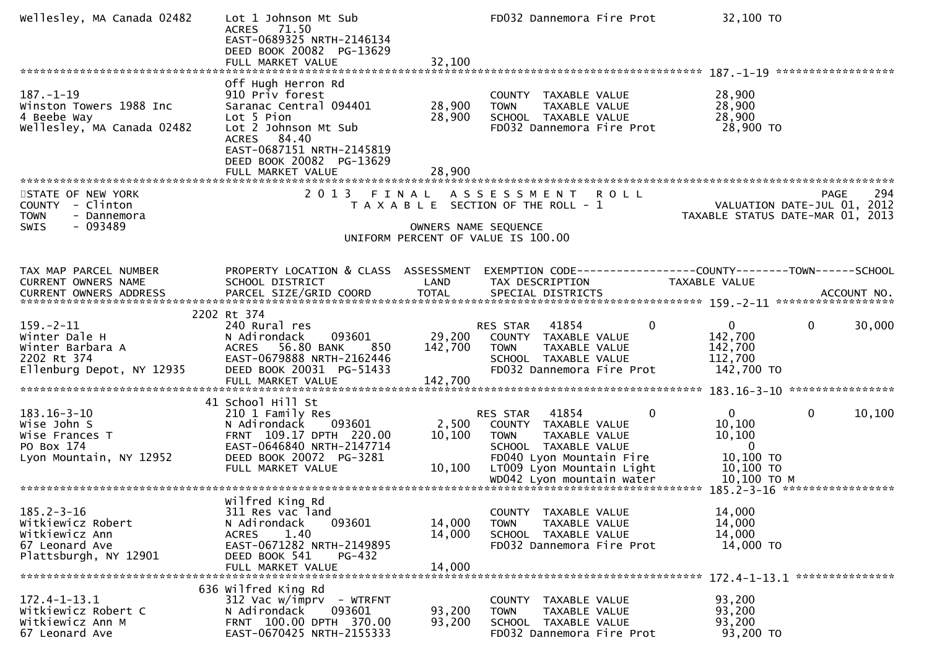| Wellesley, MA Canada 02482                                                                                | Lot 1 Johnson Mt Sub<br>71.50<br><b>ACRES</b><br>EAST-0689325 NRTH-2146134<br>DEED BOOK 20082 PG-13629<br>FULL MARKET VALUE                                                   | 32,100                       | FD032 Dannemora Fire Prot                                                                                                                                                  | 32,100 TO                                                                                  |
|-----------------------------------------------------------------------------------------------------------|-------------------------------------------------------------------------------------------------------------------------------------------------------------------------------|------------------------------|----------------------------------------------------------------------------------------------------------------------------------------------------------------------------|--------------------------------------------------------------------------------------------|
| $187. - 1 - 19$<br>Winston Towers 1988 Inc<br>4 Beebe Way<br>Wellesley, MA Canada 02482                   | Off Hugh Herron Rd<br>910 Priv forest<br>Saranac Central 094401<br>Lot 5 Pion<br>Lot 2 Johnson Mt Sub<br>ACRES 84.40<br>EAST-0687151 NRTH-2145819<br>DEED BOOK 20082 PG-13629 | 28,900<br>28,900             | COUNTY TAXABLE VALUE<br><b>TOWN</b><br>TAXABLE VALUE<br>SCHOOL TAXABLE VALUE<br>FD032 Dannemora Fire Prot                                                                  | 28,900<br>28,900<br>28,900<br>28,900 TO                                                    |
| STATE OF NEW YORK<br><b>COUNTY</b><br>- Clinton<br>- Dannemora<br><b>TOWN</b><br>$-093489$<br><b>SWIS</b> | FULL MARKET VALUE<br>2 0 1 3<br>FINAL                                                                                                                                         | 28,900                       | ASSESSMENT ROLL<br>T A X A B L E SECTION OF THE ROLL - 1<br>OWNERS NAME SEQUENCE<br>UNIFORM PERCENT OF VALUE IS 100.00                                                     | 294<br>PAGE<br>VALUATION DATE-JUL 01, 2012<br>TAXABLE STATUS DATE-MAR 01,<br>2013          |
| TAX MAP PARCEL NUMBER<br>CURRENT OWNERS NAME                                                              | PROPERTY LOCATION & CLASS ASSESSMENT<br>SCHOOL DISTRICT                                                                                                                       | LAND                         | TAX DESCRIPTION                                                                                                                                                            | EXEMPTION CODE-----------------COUNTY--------TOWN------SCHOOL<br>TAXABLE VALUE             |
| $159. - 2 - 11$<br>Winter Dale H<br>Winter Barbara A<br>2202 Rt 374<br>Ellenburg Depot, NY 12935          | 2202 Rt 374<br>240 Rural res<br>093601<br>N Adirondack<br>56.80 BANK<br>850<br>ACRES<br>EAST-0679888 NRTH-2162446<br>DEED BOOK 20031 PG-51433<br>FULL MARKET VALUE            | 29,200<br>142,700<br>142,700 | $\mathbf{0}$<br>RES STAR<br>41854<br>COUNTY TAXABLE VALUE<br><b>TOWN</b><br>TAXABLE VALUE<br>SCHOOL TAXABLE VALUE<br>FD032 Dannemora Fire Prot                             | $\mathbf{0}$<br>0<br>30,000<br>142,700<br>142,700<br>112,700<br>142,700 TO                 |
| $183.16 - 3 - 10$<br>Wise John S<br>Wise Frances T<br>PO Box 174<br>Lyon Mountain, NY 12952               | 41 School Hill St<br>210 1 Family Res<br>N Adirondack<br>093601<br>FRNT 109.17 DPTH 220.00<br>EAST-0646840 NRTH-2147714<br>DEED BOOK 20072 PG-3281<br>FULL MARKET VALUE       | 2,500<br>10,100<br>10,100    | $\mathbf{0}$<br>RES STAR<br>41854<br>COUNTY TAXABLE VALUE<br>TAXABLE VALUE<br><b>TOWN</b><br>SCHOOL TAXABLE VALUE<br>FD040 Lyon Mountain Fire<br>LT009 Lyon Mountain Light | $\mathbf{0}$<br>0<br>10,100<br>10,100<br>10,100<br>$\mathbf 0$<br>10,100 TO<br>$10,100$ TO |
| $185.2 - 3 - 16$<br>Witkiewicz Robert<br>Witkiewicz Ann<br>67 Leonard Ave<br>Plattsburgh, NY 12901        | Wilfred King Rd<br>311 Res vac land<br>093601<br>N Adirondack<br>1.40<br><b>ACRES</b><br>EAST-0671282 NRTH-2149895<br>DEED BOOK 541<br>PG-432<br>FULL MARKET VALUE            | 14,000<br>14,000<br>14,000   | COUNTY TAXABLE VALUE<br><b>TOWN</b><br>TAXABLE VALUE<br>SCHOOL TAXABLE VALUE<br>FD032 Dannemora Fire Prot                                                                  | 14,000<br>14,000<br>14,000<br>14,000 TO                                                    |
| $172.4 - 1 - 13.1$<br>Witkiewicz Robert C<br>Witkiewicz Ann M<br>67 Leonard Ave                           | 636 Wilfred King Rd<br>312 Vac w/imprv - WTRFNT<br>N Adirondack<br>093601<br>FRNT 100.00 DPTH 370.00<br>EAST-0670425 NRTH-2155333                                             | 93,200<br>93,200             | COUNTY TAXABLE VALUE<br><b>TOWN</b><br>TAXABLE VALUE<br>SCHOOL TAXABLE VALUE<br>FD032 Dannemora Fire Prot                                                                  | 93,200<br>93,200<br>93,200<br>93,200 TO                                                    |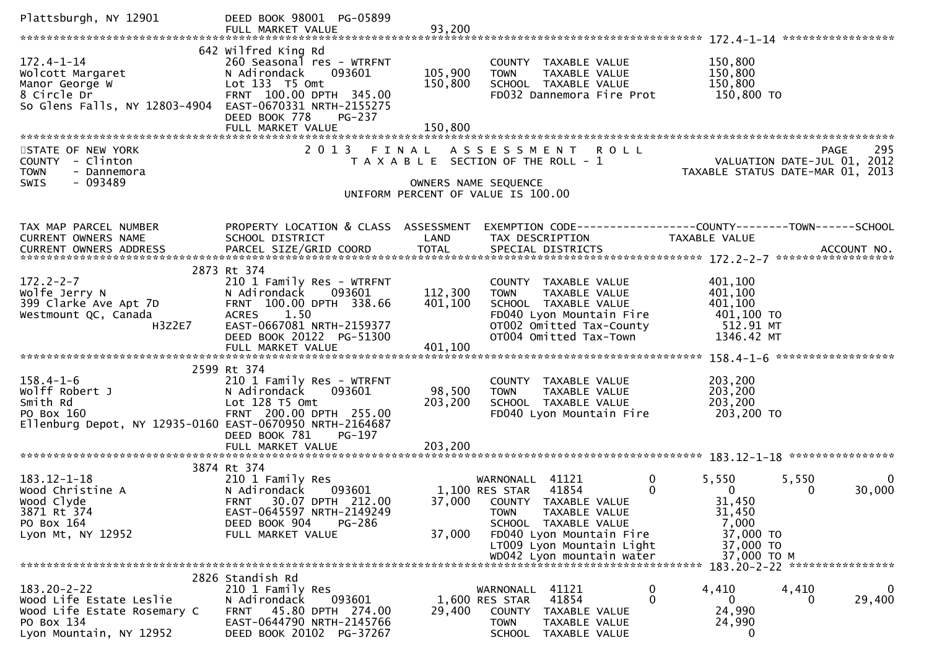| Plattsburgh, NY 12901                                                                                                   | DEED BOOK 98001 PG-05899                                                                                                                                                        |                               |                                                                                                                                                                                   |                                                                                                     |
|-------------------------------------------------------------------------------------------------------------------------|---------------------------------------------------------------------------------------------------------------------------------------------------------------------------------|-------------------------------|-----------------------------------------------------------------------------------------------------------------------------------------------------------------------------------|-----------------------------------------------------------------------------------------------------|
| $172.4 - 1 - 14$<br>Wolcott Margaret<br>Manor George W<br>8 Circle Dr<br>So Glens Falls, NY 12803-4904                  | 642 Wilfred King Rd<br>260 Seasonal res - WTRFNT<br>093601<br>N Adirondack<br>Lot 133 T5 Omt<br>FRNT 100.00 DPTH 345.00<br>EAST-0670331 NRTH-2155275<br>DEED BOOK 778<br>PG-237 | 105,900<br>150,800<br>150,800 | COUNTY TAXABLE VALUE<br><b>TOWN</b><br>TAXABLE VALUE<br>SCHOOL TAXABLE VALUE<br>FD032 Dannemora Fire Prot                                                                         | 150,800<br>150,800<br>150,800<br>150,800 TO                                                         |
| STATE OF NEW YORK<br>COUNTY - Clinton<br><b>TOWN</b><br>- Dannemora<br>$-093489$<br>SWIS                                | 2 0 1 3                                                                                                                                                                         | FINAL                         | ASSESSMENT ROLL<br>T A X A B L E SECTION OF THE ROLL - 1<br>OWNERS NAME SEQUENCE<br>UNIFORM PERCENT OF VALUE IS 100.00                                                            | 295<br><b>PAGE</b><br>VALUATION DATE-JUL 01, 2012<br>TAXABLE STATUS DATE-MAR 01, 2013               |
| TAX MAP PARCEL NUMBER<br>CURRENT OWNERS NAME                                                                            | PROPERTY LOCATION & CLASS ASSESSMENT<br>SCHOOL DISTRICT                                                                                                                         | LAND                          | TAX DESCRIPTION                                                                                                                                                                   | EXEMPTION CODE------------------COUNTY--------TOWN------SCHOOL<br>TAXABLE VALUE                     |
| $172.2 - 2 - 7$<br>Wolfe Jerry N<br>399 Clarke Ave Apt 7D<br>Westmount QC, Canada<br>H3Z2E7                             | 2873 Rt 374<br>210 1 Family Res - WTRFNT<br>N Adirondack<br>093601<br>FRNT 100.00 DPTH 338.66<br>ACRES 1.50<br>EAST-0667081 NRTH-2159377<br>DEED BOOK 20122 PG-51300            | 112,300<br>401,100            | COUNTY TAXABLE VALUE<br>TAXABLE VALUE<br><b>TOWN</b><br>SCHOOL TAXABLE VALUE<br>FD040 Lyon Mountain Fire<br>OTOO2 Omitted Tax-County<br>OTOO4 Omitted Tax-Town                    | 401,100<br>401,100<br>401,100<br>401,100 TO<br>512.91 MT<br>1346.42 MT                              |
| $158.4 - 1 - 6$<br>Wolff Robert J<br>Smith Rd<br>PO Box 160<br>Ellenburg Depot, NY 12935-0160 EAST-0670950 NRTH-2164687 | 2599 Rt 374<br>210 1 Family Res - WTRFNT<br>N Adirondack<br>093601<br>Lot 128 T5 Omt<br>FRNT 200.00 DPTH 255.00<br>DEED BOOK 781<br>PG-197<br>FULL MARKET VALUE                 | 98,500<br>203,200<br>203,200  | COUNTY TAXABLE VALUE<br><b>TOWN</b><br>TAXABLE VALUE<br>SCHOOL TAXABLE VALUE<br>FD040 Lyon Mountain Fire                                                                          | 203,200<br>203,200<br>203,200<br>203,200 TO                                                         |
| $183.12 - 1 - 18$<br>Wood Christine A<br>Wood Clyde<br>3871 Rt 374<br>PO Box 164<br>Lyon Mt, NY 12952                   | 3874 Rt 374<br>210 1 Family Res<br>093601<br>N Adirondack<br>FRNT 30.07 DPTH 212.00<br>EAST-0645597 NRTH-2149249<br>DEED BOOK 904<br><b>PG-286</b><br>FULL MARKET VALUE         | 37,000                        | $\mathbf 0$<br>WARNONALL 41121<br>41854<br>0<br>1,100 RES STAR<br>37,000 COUNTY TAXABLE VALUE<br>TAXABLE VALUE<br><b>TOWN</b><br>SCHOOL TAXABLE VALUE<br>FD040 Lyon Mountain Fire | 5,550<br>5,550<br>$\Omega$<br>$\mathbf{0}$<br>30,000<br>0<br>31,450<br>31,450<br>7,000<br>37,000 TO |
|                                                                                                                         |                                                                                                                                                                                 |                               | LT009 Lyon Mountain Light<br>WD042 Lyon mountain water                                                                                                                            | 37,000 TO<br>37,000 TO M                                                                            |
| $183.20 - 2 - 22$<br>Wood Life Estate Leslie<br>Wood Life Estate Rosemary C<br>PO Box 134<br>Lyon Mountain, NY 12952    | 2826 Standish Rd<br>210 1 Family Res<br>093601<br>N Adirondack<br>FRNT 45.80 DPTH 274.00<br>EAST-0644790 NRTH-2145766<br>DEED BOOK 20102 PG-37267                               | 29,400                        | WARNONALL 41121<br>0<br>$\mathbf{0}$<br>41854<br>1,600 RES STAR<br>COUNTY TAXABLE VALUE<br>TOWN<br>TAXABLE VALUE<br>TAXABLE VALUE<br><b>SCHOOL</b>                                | 4,410<br>4,410<br>0<br>29,400<br>0<br>$\Omega$<br>24,990<br>24,990<br>0                             |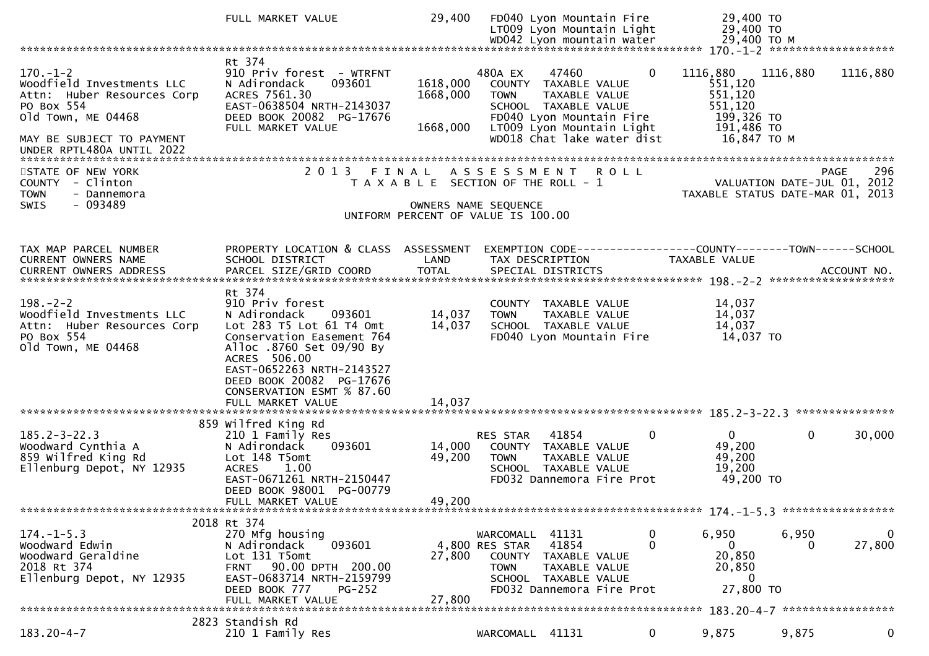|                                                                                                                                                                         | FULL MARKET VALUE                                                                                                                                                                                                                                                   | 29,400                           | FD040 Lyon Mountain Fire<br>LT009 Lyon Mountain Light                                                                                                                                   | 29,400 TO<br>29,400 TO                                                                |                             |                        |
|-------------------------------------------------------------------------------------------------------------------------------------------------------------------------|---------------------------------------------------------------------------------------------------------------------------------------------------------------------------------------------------------------------------------------------------------------------|----------------------------------|-----------------------------------------------------------------------------------------------------------------------------------------------------------------------------------------|---------------------------------------------------------------------------------------|-----------------------------|------------------------|
|                                                                                                                                                                         |                                                                                                                                                                                                                                                                     |                                  |                                                                                                                                                                                         |                                                                                       |                             |                        |
| $170. - 1 - 2$<br>Woodfield Investments LLC<br>Attn: Huber Resources Corp<br>PO Box 554<br>old Town, ME 04468<br>MAY BE SUBJECT TO PAYMENT<br>UNDER RPTL480A UNTIL 2022 | Rt 374<br>910 Priv forest - WTRFNT<br>093601<br>N Adirondack<br>ACRES 7561.30<br>EAST-0638504 NRTH-2143037<br>DEED BOOK 20082 PG-17676<br>FULL MARKET VALUE                                                                                                         | 1618,000<br>1668,000<br>1668,000 | 480A EX<br>47460<br>COUNTY TAXABLE VALUE<br><b>TOWN</b><br>TAXABLE VALUE<br>SCHOOL TAXABLE VALUE<br>FD040 Lyon Mountain Fire<br>LT009 Lyon Mountain Light<br>WD018 Chat lake water dist | $\mathbf{0}$<br>1116,880<br>551,120<br>551,120<br>551,120<br>199,326 то<br>191,486 TO | 1116,880<br>16,847 TO M     | 1116,880               |
| STATE OF NEW YORK<br>COUNTY - Clinton<br><b>TOWN</b><br>- Dannemora<br>$-093489$<br><b>SWIS</b>                                                                         |                                                                                                                                                                                                                                                                     |                                  | 2013 FINAL ASSESSMENT ROLL<br>T A X A B L E SECTION OF THE ROLL - 1<br>OWNERS NAME SEQUENCE<br>UNIFORM PERCENT OF VALUE IS 100.00                                                       | TAXABLE STATUS DATE-MAR 01, 2013                                                      | VALUATION DATE-JUL 01, 2012 | 296<br>PAGE            |
| TAX MAP PARCEL NUMBER<br>CURRENT OWNERS NAME                                                                                                                            | PROPERTY LOCATION & CLASS ASSESSMENT<br>SCHOOL DISTRICT                                                                                                                                                                                                             | LAND                             | EXEMPTION CODE-----------------COUNTY-------TOWN------SCHOOL<br>TAX DESCRIPTION                                                                                                         | TAXABLE VALUE                                                                         |                             |                        |
| $198. - 2 - 2$<br>Woodfield Investments LLC<br>Attn: Huber Resources Corp<br>PO Box 554<br>old Town, ME 04468                                                           | Rt 374<br>910 Priv forest<br>093601<br>N Adirondack<br>Lot 283 T5 Lot 61 T4 Omt<br>Conservation Easement 764<br>Alloc .8760 Set 09/90 By<br>ACRES 506.00<br>EAST-0652263 NRTH-2143527<br>DEED BOOK 20082 PG-17676<br>CONSERVATION ESMT % 87.60<br>FULL MARKET VALUE | 14,037<br>14,037<br>14,037       | COUNTY TAXABLE VALUE<br>TAXABLE VALUE<br><b>TOWN</b><br>SCHOOL TAXABLE VALUE<br>FD040 Lyon Mountain Fire                                                                                | 14,037<br>14,037<br>14,037<br>14,037 TO                                               |                             |                        |
| $185.2 - 3 - 22.3$<br>Woodward Cynthia A<br>859 Wilfred King Rd<br>Ellenburg Depot, NY 12935                                                                            | 859 wilfred King Rd<br>210 1 Family Res<br>N Adirondack<br>093601<br>Lot 148 T5omt<br>1.00<br><b>ACRES</b><br>EAST-0671261 NRTH-2150447<br>DEED BOOK 98001 PG-00779                                                                                                 | 14,000<br>49,200                 | RES STAR<br>41854<br>COUNTY TAXABLE VALUE<br><b>TOWN</b><br>TAXABLE VALUE<br>SCHOOL TAXABLE VALUE<br>FD032 Dannemora Fire Prot                                                          | $\Omega$<br>$\Omega$<br>49,200<br>49,200<br>19,200<br>49,200 TO                       | $\mathbf{0}$                | 30,000                 |
|                                                                                                                                                                         | FULL MARKET VALUE                                                                                                                                                                                                                                                   | 49,200                           |                                                                                                                                                                                         |                                                                                       |                             |                        |
| $174. - 1 - 5.3$<br>Woodward Edwin<br>Woodward Geraldine<br>2018 Rt 374<br>Ellenburg Depot, NY 12935                                                                    | 2018 Rt 374<br>270 Mfg housing<br>093601<br>N Adirondack<br>Lot 131 T5omt<br>FRNT 90.00 DPTH 200.00<br>EAST-0683714 NRTH-2159799<br>DEED BOOK 777<br>$PG-252$<br>FULL MARKET VALUE                                                                                  | 27,800<br>27,800                 | WARCOMALL 41131<br>4,800 RES STAR<br>41854<br>COUNTY TAXABLE VALUE<br><b>TOWN</b><br>TAXABLE VALUE<br>SCHOOL TAXABLE VALUE<br>FD032 Dannemora Fire Prot                                 | 6,950<br>0<br>0<br>0<br>20,850<br>20,850<br>0<br>27,800 TO                            | 6,950                       | $\mathbf{0}$<br>27,800 |
| $183.20 - 4 - 7$                                                                                                                                                        | 2823 Standish Rd<br>210 1 Family Res                                                                                                                                                                                                                                |                                  | WARCOMALL 41131                                                                                                                                                                         | 9,875<br>$\mathbf{0}$                                                                 | 9,875                       | $\mathbf 0$            |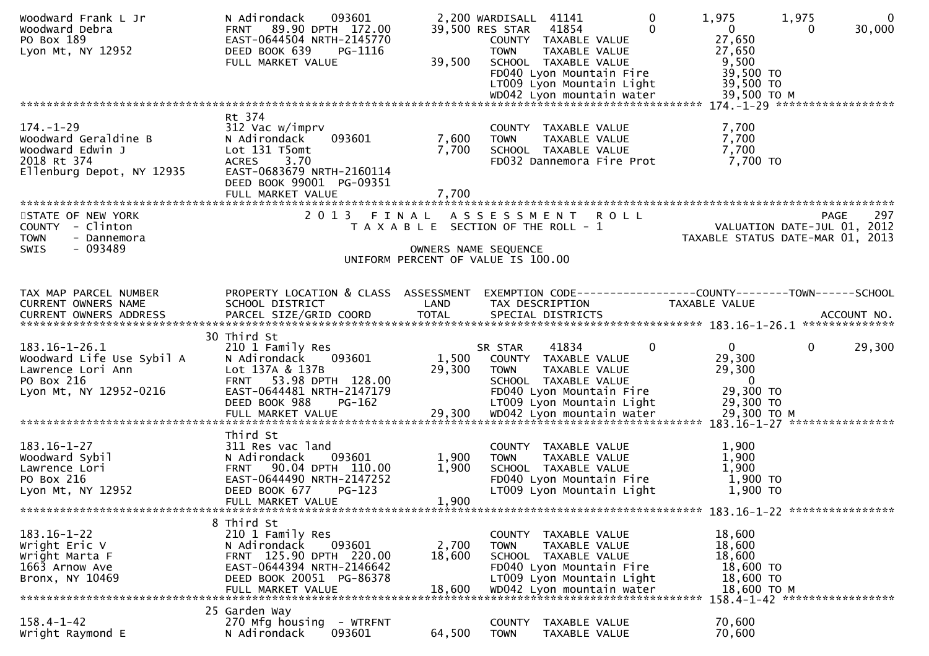| Woodward Frank L Jr<br>Woodward Debra<br>PO Box 189<br>Lyon Mt, NY 12952                                | 093601<br>N Adirondack<br>89.90 DPTH 172.00<br><b>FRNT</b><br>EAST-0644504 NRTH-2145770<br>DEED BOOK 639<br>PG-1116<br>FULL MARKET VALUE                                   | 39,500                    | 2,200 WARDISALL 41141<br>$\mathbf{0}$<br>41854<br>39,500 RES STAR<br>$\Omega$<br>COUNTY TAXABLE VALUE<br>TAXABLE VALUE<br><b>TOWN</b><br>SCHOOL TAXABLE VALUE<br>FD040 Lyon Mountain Fire<br>LT009 Lyon Mountain Light | 1,975<br>1,975<br>$\mathbf{0}$<br>30,000<br>$\mathbf{0}$<br>0<br>27,650<br>27,650<br>9,500<br>39,500 TO<br>39,500 TO |
|---------------------------------------------------------------------------------------------------------|----------------------------------------------------------------------------------------------------------------------------------------------------------------------------|---------------------------|------------------------------------------------------------------------------------------------------------------------------------------------------------------------------------------------------------------------|----------------------------------------------------------------------------------------------------------------------|
|                                                                                                         |                                                                                                                                                                            |                           |                                                                                                                                                                                                                        |                                                                                                                      |
| $174. - 1 - 29$<br>Woodward Geraldine B<br>Woodward Edwin J<br>2018 Rt 374<br>Ellenburg Depot, NY 12935 | Rt 374<br>312 Vac w/imprv<br>N Adirondack<br>093601<br>Lot 131 T5omt<br><b>ACRES</b><br>3.70<br>EAST-0683679 NRTH-2160114<br>DEED BOOK 99001 PG-09351<br>FULL MARKET VALUE | 7,600<br>7,700<br>7,700   | COUNTY TAXABLE VALUE<br>TAXABLE VALUE<br><b>TOWN</b><br>SCHOOL TAXABLE VALUE<br>FD032 Dannemora Fire Prot                                                                                                              | 7,700<br>7,700<br>7,700<br>7,700 TO                                                                                  |
|                                                                                                         |                                                                                                                                                                            |                           |                                                                                                                                                                                                                        |                                                                                                                      |
| STATE OF NEW YORK<br>COUNTY - Clinton<br>- Dannemora<br><b>TOWN</b><br>$-093489$<br>SWIS                |                                                                                                                                                                            |                           | 2013 FINAL ASSESSMENT ROLL<br>T A X A B L E SECTION OF THE ROLL - 1<br>OWNERS NAME SEQUENCE<br>UNIFORM PERCENT OF VALUE IS 100.00                                                                                      | 297<br><b>PAGE</b><br>VALUATION DATE-JUL 01, 2012<br>TAXABLE STATUS DATE-MAR 01, 2013                                |
| TAX MAP PARCEL NUMBER<br>CURRENT OWNERS NAME                                                            | PROPERTY LOCATION & CLASS ASSESSMENT<br>SCHOOL DISTRICT                                                                                                                    | LAND                      | TAX DESCRIPTION                                                                                                                                                                                                        | EXEMPTION CODE------------------COUNTY--------TOWN------SCHOOL<br><b>TAXABLE VALUE</b>                               |
| 183.16-1-26.1<br>Woodward Life Use Sybil A<br>Lawrence Lori Ann<br>PO Box 216<br>Lyon Mt, NY 12952-0216 | 30 Third St<br>210 1 Family Res<br>093601<br>N Adirondack<br>Lot 137A & 137B<br>FRNT 53.98 DPTH 128.00<br>EAST-0644481 NRTH-2147179<br>DEED BOOK 988<br>$PG-162$           | 1,500<br>29,300           | SR STAR<br>41834<br>0<br>COUNTY TAXABLE VALUE<br><b>TOWN</b><br>TAXABLE VALUE<br>SCHOOL TAXABLE VALUE<br>FD040 Lyon Mountain Fire<br>LT009 Lyon Mountain Light                                                         | 29,300<br>0<br>$\overline{0}$<br>29,300<br>29,300<br>$\overline{\mathbf{0}}$<br>29,300 TO<br>29,300 TO               |
| $183.16 - 1 - 27$<br>Woodward Sybil<br>Lawrence Lori<br>PO Box 216<br>Lyon Mt, NY 12952                 | Third St<br>311 Res vac land<br>093601<br>N Adirondack<br>FRNT 90.04 DPTH 110.00<br>EAST-0644490 NRTH-2147252<br>DEED BOOK 677<br>$PG-123$<br>FULL MARKET VALUE            | 1,900<br>1,900<br>1,900   | COUNTY TAXABLE VALUE<br><b>TOWN</b><br>TAXABLE VALUE<br>SCHOOL TAXABLE VALUE<br>FD040 Lyon Mountain Fire<br>LT009 Lyon Mountain Light                                                                                  | 1,900<br>1,900<br>1,900<br>1,900 TO<br>1,900 TO<br>183.16-1-22 *****************                                     |
| $183.16 - 1 - 22$<br>Wright Eric V<br>Wright Marta F<br>1663 Arnow Ave<br>Bronx, NY 10469               | 8 Third St<br>210 1 Family Res<br>093601<br>N Adirondack<br>FRNT 125.90 DPTH 220.00<br>EAST-0644394 NRTH-2146642<br>DEED BOOK 20051 PG-86378<br>FULL MARKET VALUE          | 2,700<br>18,600<br>18,600 | COUNTY TAXABLE VALUE<br>TAXABLE VALUE<br>TOWN<br>SCHOOL TAXABLE VALUE<br>FD040 Lyon Mountain Fire<br>LT009 Lyon Mountain Light<br>WD042 Lyon mountain water                                                            | 18,600<br>18,600<br>18,600<br>18,600 TO<br>18,600 TO<br>18,600 ТО М<br>158.4-1-42 ******************                 |
| $158.4 - 1 - 42$<br>Wright Raymond E                                                                    | 25 Garden Way<br>270 Mfg housing<br>- WTRFNT<br>093601<br>N Adirondack                                                                                                     | 64,500                    | TAXABLE VALUE<br>COUNTY<br><b>TOWN</b><br>TAXABLE VALUE                                                                                                                                                                | 70,600<br>70,600                                                                                                     |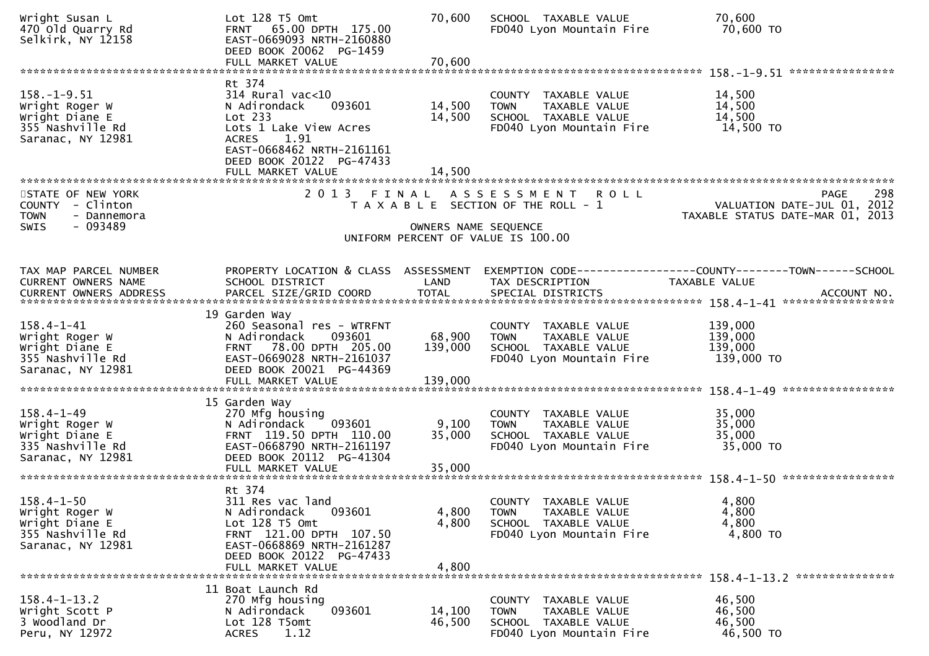| Wright Susan L<br>470 Old Quarry Rd<br>Selkirk, NY 12158                                        | Lot 128 T5 Omt<br>FRNT 65.00 DPTH 175.00<br>EAST-0669093 NRTH-2160880<br>DEED BOOK 20062 PG-1459<br>FULL MARKET VALUE                                                           | 70,600<br>70,600                        | SCHOOL TAXABLE VALUE<br>FD040 Lyon Mountain Fire                                                            | 70,600<br>70,600 TO                                                                           |
|-------------------------------------------------------------------------------------------------|---------------------------------------------------------------------------------------------------------------------------------------------------------------------------------|-----------------------------------------|-------------------------------------------------------------------------------------------------------------|-----------------------------------------------------------------------------------------------|
| $158. - 1 - 9.51$<br>Wright Roger W<br>Wright Diane E<br>355 Nashville Rd<br>Saranac, NY 12981  | Rt 374<br>$314$ Rural vac<10<br>N Adirondack<br>093601<br>Lot 233<br>Lots 1 Lake View Acres<br>1.91<br>ACRES<br>EAST-0668462 NRTH-2161161<br>DEED BOOK 20122 PG-47433           | 14,500<br>14,500                        | COUNTY TAXABLE VALUE<br>TAXABLE VALUE<br><b>TOWN</b><br>SCHOOL TAXABLE VALUE<br>FD040 Lyon Mountain Fire    | 14,500<br>14,500<br>14,500<br>14,500 TO                                                       |
| STATE OF NEW YORK<br>COUNTY - Clinton<br>- Dannemora<br><b>TOWN</b><br>$-093489$<br><b>SWIS</b> | FULL MARKET VALUE<br>2 0 1 3                                                                                                                                                    | 14,500<br>FINAL<br>OWNERS NAME SEQUENCE | ASSESSMENT ROLL<br>T A X A B L E SECTION OF THE ROLL - 1<br>UNIFORM PERCENT OF VALUE IS 100.00              | 298<br>PAGE<br>VALUATION DATE-JUL 01, 2012<br>TAXABLE STATUS DATE-MAR 01, 2013                |
| TAX MAP PARCEL NUMBER<br>CURRENT OWNERS NAME<br><b>CURRENT OWNERS ADDRESS</b>                   | PROPERTY LOCATION & CLASS ASSESSMENT<br>SCHOOL DISTRICT<br>PARCEL SIZE/GRID COORD                                                                                               | LAND<br><b>TOTAL</b>                    | TAX DESCRIPTION<br>SPECIAL DISTRICTS                                                                        | EXEMPTION CODE-----------------COUNTY--------TOWN------SCHOOL<br>TAXABLE VALUE<br>ACCOUNT NO. |
| $158.4 - 1 - 41$<br>Wright Roger W<br>Wright Diane E<br>355 Nashville Rd<br>Saranac, NY 12981   | 19 Garden Way<br>260 Seasonal res - WTRFNT<br>N Adirondack<br>093601<br>FRNT 78.00 DPTH 205.00<br>EAST-0669028 NRTH-2161037<br>DEED BOOK 20021 PG-44369<br>FULL MARKET VALUE    | 68,900<br>139,000<br>139,000            | COUNTY TAXABLE VALUE<br>TAXABLE VALUE<br><b>TOWN</b><br>SCHOOL TAXABLE VALUE<br>FD040 Lyon Mountain Fire    | 139,000<br>139,000<br>139,000<br>139,000 TO                                                   |
| $158.4 - 1 - 49$<br>Wright Roger W<br>Wright Diane E<br>335 Nashville Rd<br>Saranac, NY 12981   | 15 Garden Way<br>270 Mfg housing<br>N Adirondack<br>093601<br>FRNT 119.50 DPTH 110.00<br>EAST-0668790 NRTH-2161197<br>DEED BOOK 20112 PG-41304<br>FULL MARKET VALUE             | 9,100<br>35,000<br>35,000               | COUNTY TAXABLE VALUE<br>TAXABLE VALUE<br><b>TOWN</b><br>SCHOOL TAXABLE VALUE<br>FD040 Lyon Mountain Fire    | 35,000<br>35,000<br>35,000<br>35,000 TO                                                       |
| $158.4 - 1 - 50$<br>Wright Roger W<br>Wright Diane E<br>355 Nashville Rd<br>Saranac, NY 12981   | Rt 374<br>311 Res vac land<br>N Adirondack<br>093601<br>Lot 128 T5 Omt<br>FRNT 121.00 DPTH 107.50<br>EAST-0668869 NRTH-2161287<br>DEED BOOK 20122 PG-47433<br>FULL MARKET VALUE | 4,800<br>4,800<br>4,800                 | COUNTY TAXABLE VALUE<br><b>TOWN</b><br>TAXABLE VALUE<br>SCHOOL TAXABLE VALUE<br>FD040 Lyon Mountain Fire    | 4,800<br>4,800<br>4,800<br>4,800 TO                                                           |
| $158.4 - 1 - 13.2$<br>Wright Scott P<br>3 Woodland Dr<br>Peru, NY 12972                         | 11 Boat Launch Rd<br>270 Mfg housing<br>N Adirondack<br>093601<br>Lot 128 T5omt<br>1.12<br><b>ACRES</b>                                                                         | 14,100<br>46,500                        | COUNTY<br>TAXABLE VALUE<br>TAXABLE VALUE<br><b>TOWN</b><br>SCHOOL TAXABLE VALUE<br>FD040 Lyon Mountain Fire | 46,500<br>46,500<br>46,500<br>46,500 TO                                                       |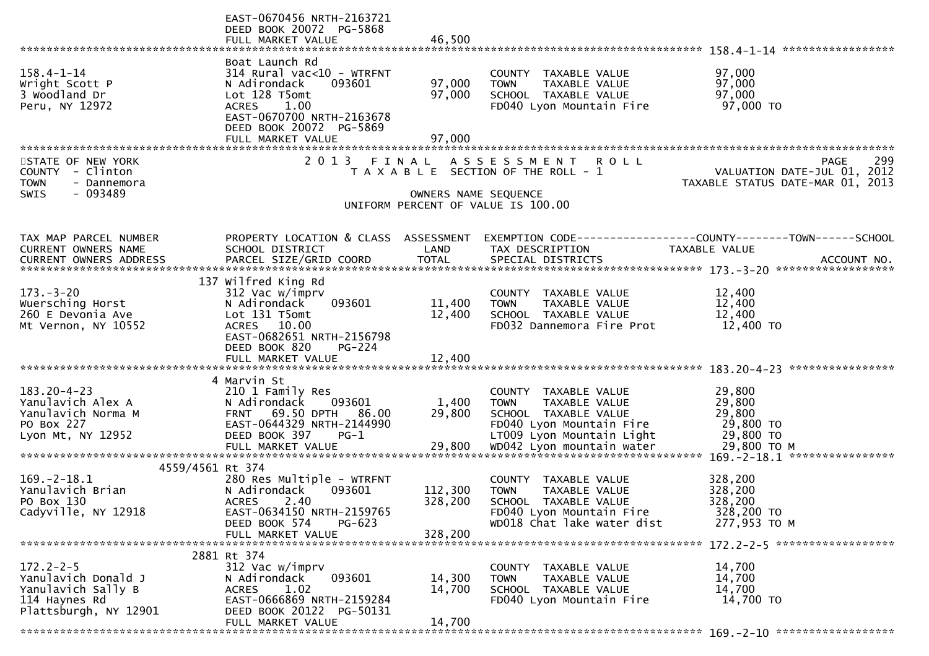|                                              | EAST-0670456 NRTH-2163721<br>DEED BOOK 20072 PG-5868    |                      |                                                                             |                                                   |
|----------------------------------------------|---------------------------------------------------------|----------------------|-----------------------------------------------------------------------------|---------------------------------------------------|
|                                              | FULL MARKET VALUE                                       | 46,500               |                                                                             |                                                   |
|                                              |                                                         |                      |                                                                             |                                                   |
|                                              | Boat Launch Rd                                          |                      |                                                                             |                                                   |
| $158.4 - 1 - 14$<br>Wright Scott P           | $314$ Rural vac<10 - WTRFNT<br>093601                   | 97,000               | COUNTY TAXABLE VALUE<br><b>TOWN</b>                                         | 97,000<br>97,000                                  |
| 3 Woodland Dr                                | N Adirondack<br>Lot 128 T5omt                           | 97,000               | TAXABLE VALUE<br>SCHOOL TAXABLE VALUE                                       | 97,000                                            |
| Peru, NY 12972                               | 1.00<br><b>ACRES</b>                                    |                      | FD040 Lyon Mountain Fire                                                    | 97,000 TO                                         |
|                                              | EAST-0670700 NRTH-2163678                               |                      |                                                                             |                                                   |
|                                              | DEED BOOK 20072 PG-5869                                 |                      |                                                                             |                                                   |
|                                              | FULL MARKET VALUE                                       | 97,000               |                                                                             |                                                   |
|                                              |                                                         |                      |                                                                             |                                                   |
| STATE OF NEW YORK<br>COUNTY<br>- Clinton     | 2 0 1 3                                                 | FINAL                | A S S E S S M E N T<br><b>ROLL</b><br>T A X A B L E SECTION OF THE ROLL - 1 | 299<br><b>PAGE</b><br>VALUATION DATE-JUL 01, 2012 |
| <b>TOWN</b><br>- Dannemora                   |                                                         |                      |                                                                             | TAXABLE STATUS DATE-MAR 01, 2013                  |
| <b>SWIS</b><br>- 093489                      |                                                         | OWNERS NAME SEQUENCE |                                                                             |                                                   |
|                                              |                                                         |                      | UNIFORM PERCENT OF VALUE IS 100.00                                          |                                                   |
|                                              |                                                         |                      |                                                                             |                                                   |
|                                              |                                                         |                      |                                                                             |                                                   |
| TAX MAP PARCEL NUMBER<br>CURRENT OWNERS NAME | PROPERTY LOCATION & CLASS ASSESSMENT<br>SCHOOL DISTRICT | LAND                 | TAX DESCRIPTION                                                             | TAXABLE VALUE                                     |
|                                              |                                                         |                      |                                                                             |                                                   |
|                                              |                                                         |                      |                                                                             |                                                   |
|                                              | 137 Wilfred King Rd                                     |                      |                                                                             |                                                   |
| $173. - 3 - 20$                              | 312 Vac w/imprv                                         |                      | COUNTY TAXABLE VALUE                                                        | 12,400                                            |
| Wuersching Horst                             | N Adirondack<br>093601                                  | 11,400               | TAXABLE VALUE<br><b>TOWN</b>                                                | 12,400                                            |
| 260 E Devonia Ave                            | Lot 131 T5omt<br>ACRES 10.00                            | 12,400               | SCHOOL TAXABLE VALUE                                                        | 12,400                                            |
| Mt Vernon, NY 10552                          | EAST-0682651 NRTH-2156798                               |                      | FD032 Dannemora Fire Prot                                                   | 12,400 TO                                         |
|                                              | DEED BOOK 820<br>$PG-224$                               |                      |                                                                             |                                                   |
|                                              | FULL MARKET VALUE                                       | 12,400               |                                                                             |                                                   |
|                                              |                                                         |                      |                                                                             |                                                   |
|                                              | 4 Marvin St                                             |                      |                                                                             |                                                   |
| $183.20 - 4 - 23$<br>Yanulavich Alex A       | 210 1 Family Res<br>N Adirondack<br>093601              |                      | COUNTY<br>TAXABLE VALUE                                                     | 29,800<br>29,800                                  |
| Yanulavich Norma M                           | FRNT 69.50 DPTH<br>86.00                                | 1,400<br>29,800      | TAXABLE VALUE<br><b>TOWN</b><br>SCHOOL TAXABLE VALUE                        | 29,800                                            |
| PO Box 227                                   | EAST-0644329 NRTH-2144990                               |                      | FD040 Lyon Mountain Fire                                                    | 29,800 TO                                         |
| Lyon Mt, NY 12952                            | DEED BOOK 397<br>PG-1                                   |                      | LT009 Lyon Mountain Light                                                   | 29,800 TO                                         |
|                                              | FULL MARKET VALUE                                       | 29,800               | WD042 Lyon mountain water                                                   | 29,800 ТО М                                       |
|                                              |                                                         |                      |                                                                             | 169. - 2 - 18. 1 *****************                |
| 4559/4561 Rt 374                             |                                                         |                      |                                                                             |                                                   |
| $169. - 2 - 18.1$<br>Yanulavich Brian        | 280 Res Multiple - WTRFNT<br>N Adirondack<br>093601     | 112,300              | COUNTY<br>TAXABLE VALUE<br>TAXABLE VALUE<br><b>TOWN</b>                     | 328,200<br>328,200                                |
| PO Box 130                                   | 2.40<br><b>ACRES</b>                                    | 328,200              | SCHOOL TAXABLE VALUE                                                        | 328,200                                           |
| Cadyville, NY 12918                          | EAST-0634150 NRTH-2159765                               |                      | FD040 Lyon Mountain Fire                                                    | 328,200 TO                                        |
|                                              | DEED BOOK 574<br>$PG-623$                               |                      | WD018 Chat lake water dist                                                  | 277,953 ТО М                                      |
|                                              | FULL MARKET VALUE                                       | 328,200              |                                                                             |                                                   |
|                                              |                                                         |                      |                                                                             | 172.2-2-5 *******************                     |
| $172.2 - 2 - 5$                              | 2881 Rt 374<br>312 Vac w/imprv                          |                      | COUNTY TAXABLE VALUE                                                        | 14,700                                            |
| Yanulavich Donald J                          | 093601<br>N Adirondack                                  | 14,300               | TAXABLE VALUE<br><b>TOWN</b>                                                | 14,700                                            |
| Yanulavich Sally B                           | <b>ACRES</b><br>1.02                                    | 14,700               | SCHOOL TAXABLE VALUE                                                        | 14,700                                            |
| 114 Haynes Rd                                | EAST-0666869 NRTH-2159284                               |                      | FD040 Lyon Mountain Fire                                                    | 14,700 TO                                         |
| Plattsburgh, NY 12901                        | DEED BOOK 20122 PG-50131                                |                      |                                                                             |                                                   |
|                                              | FULL MARKET VALUE                                       | 14,700               |                                                                             |                                                   |
|                                              |                                                         |                      |                                                                             |                                                   |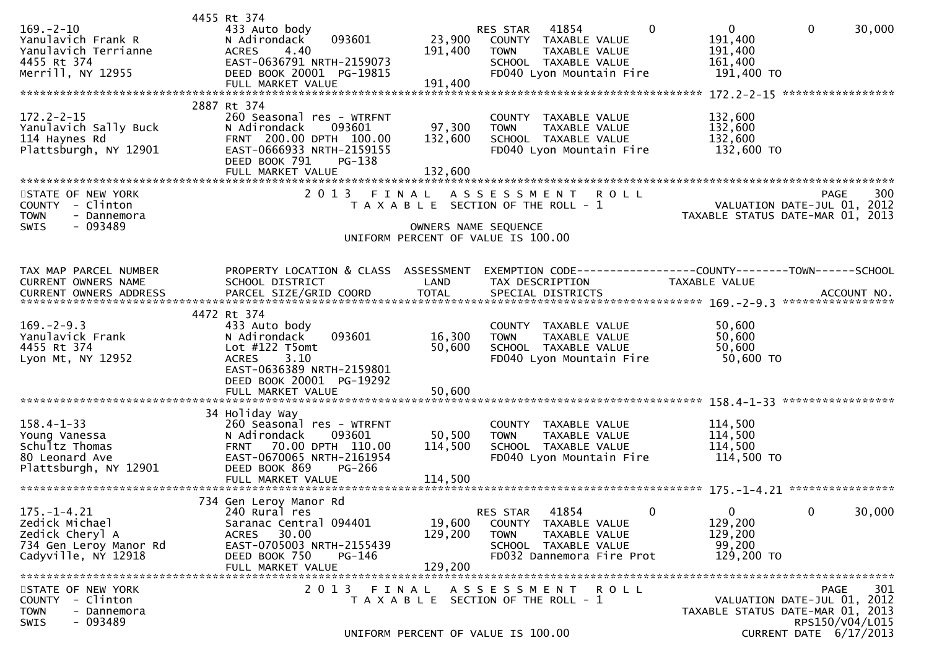| $169. - 2 - 10$<br>Yanulavich Frank R<br>Yanulavich Terrianne<br>4455 Rt 374<br>Merrill, NY 12955       | 4455 Rt 374<br>433 Auto body<br>093601<br>N Adirondack<br>4.40<br><b>ACRES</b><br>EAST-0636791 NRTH-2159073<br>DEED BOOK 20001 PG-19815<br>FULL MARKET VALUE                     | 23,900<br>191,400<br>191,400 | 41854<br>RES STAR<br>COUNTY TAXABLE VALUE<br><b>TOWN</b><br>TAXABLE VALUE<br>SCHOOL TAXABLE VALUE<br>FD040 Lyon Mountain Fire  | $\mathbf{0}$ | $\overline{0}$<br>191,400<br>191,400<br>161,400<br>191,400 TO   | $\mathbf 0$                                              | 30,000      |
|---------------------------------------------------------------------------------------------------------|----------------------------------------------------------------------------------------------------------------------------------------------------------------------------------|------------------------------|--------------------------------------------------------------------------------------------------------------------------------|--------------|-----------------------------------------------------------------|----------------------------------------------------------|-------------|
| $172.2 - 2 - 15$<br>Yanulavich Sally Buck<br>114 Haynes Rd<br>Plattsburgh, NY 12901                     | 2887 Rt 374<br>260 Seasonal res - WTRFNT<br>N Adirondack<br>093601<br>FRNT 200.00 DPTH 100.00<br>EAST-0666933 NRTH-2159155<br>DEED BOOK 791<br>PG-138<br>FULL MARKET VALUE       | 97,300<br>132,600<br>132,600 | COUNTY TAXABLE VALUE<br><b>TOWN</b><br>TAXABLE VALUE<br>SCHOOL TAXABLE VALUE<br>FD040 Lyon Mountain Fire                       |              | 132,600<br>132,600<br>132,600<br>132,600 TO                     |                                                          |             |
| STATE OF NEW YORK<br>COUNTY - Clinton<br><b>TOWN</b><br>- Dannemora<br>$-093489$<br><b>SWIS</b>         | 2 0 1 3                                                                                                                                                                          | FINAL                        | A S S E S S M E N T<br>T A X A B L E SECTION OF THE ROLL - 1<br>OWNERS NAME SEQUENCE<br>UNIFORM PERCENT OF VALUE IS 100.00     | <b>ROLL</b>  | VALUATION DATE-JUL 01, 2012<br>TAXABLE STATUS DATE-MAR 01,      | PAGE                                                     | 300<br>2013 |
| TAX MAP PARCEL NUMBER<br>CURRENT OWNERS NAME                                                            | PROPERTY LOCATION & CLASS ASSESSMENT<br>SCHOOL DISTRICT                                                                                                                          | LAND                         | EXEMPTION CODE-----------------COUNTY-------TOWN------SCHOOL<br>TAX DESCRIPTION                                                |              | TAXABLE VALUE                                                   |                                                          |             |
| $169. -2 - 9.3$<br>Yanulavick Frank<br>4455 Rt 374<br>Lyon Mt, NY 12952                                 | 4472 Rt 374<br>433 Auto body<br>N Adirondack<br>093601<br>Lot $#122$ T5omt<br><b>ACRES</b><br>3.10<br>EAST-0636389 NRTH-2159801<br>DEED BOOK 20001 PG-19292<br>FULL MARKET VALUE | 16,300<br>50,600<br>50,600   | COUNTY TAXABLE VALUE<br>TAXABLE VALUE<br><b>TOWN</b><br>SCHOOL TAXABLE VALUE<br>FD040 Lyon Mountain Fire                       |              | 50,600<br>50,600<br>50,600<br>50,600 TO                         |                                                          |             |
| $158.4 - 1 - 33$<br>Young Vanessa<br>Schultz Thomas<br>80 Leonard Ave<br>Plattsburgh, NY 12901          | 34 Holiday Way<br>260 Seasonal res - WTRFNT<br>093601<br>N Adirondack<br>70.00 DPTH 110.00<br><b>FRNT</b><br>EAST-0670065 NRTH-2161954<br>PG-266<br>DEED BOOK 869                | 50,500<br>114,500            | COUNTY TAXABLE VALUE<br><b>TAXABLE VALUE</b><br><b>TOWN</b><br>SCHOOL TAXABLE VALUE<br>FD040 Lyon Mountain Fire                |              | 114,500<br>114,500<br>114,500<br>114,500 TO                     |                                                          |             |
| $175. - 1 - 4.21$<br>Zedick Michael<br>Zedick Cheryl A<br>734 Gen Leroy Manor Rd<br>Cadyville, NY 12918 | 734 Gen Leroy Manor Rd<br>240 Rural res<br>Saranac Central 094401<br>ACRES 30.00<br>EAST-0705003 NRTH-2155439<br>DEED BOOK 750<br>PG-146<br>FULL MARKET VALUE                    | 19,600<br>129,200<br>129,200 | 41854<br>RES STAR<br>COUNTY TAXABLE VALUE<br><b>TOWN</b><br>TAXABLE VALUE<br>SCHOOL TAXABLE VALUE<br>FD032 Dannemora Fire Prot | $\mathbf{0}$ | $\mathbf{0}$<br>129,200<br>129,200<br>99,200<br>129,200 TO      | 0                                                        | 30,000      |
| STATE OF NEW YORK<br>COUNTY - Clinton<br><b>TOWN</b><br>- Dannemora<br>- 093489<br><b>SWIS</b>          | 2013 FINAL                                                                                                                                                                       |                              | ASSESSMENT ROLL<br>T A X A B L E SECTION OF THE ROLL - 1<br>UNIFORM PERCENT OF VALUE IS 100.00                                 |              | VALUATION DATE-JUL 01, 2012<br>TAXABLE STATUS DATE-MAR 01, 2013 | <b>PAGE</b><br>RPS150/V04/L015<br>CURRENT DATE 6/17/2013 | 301         |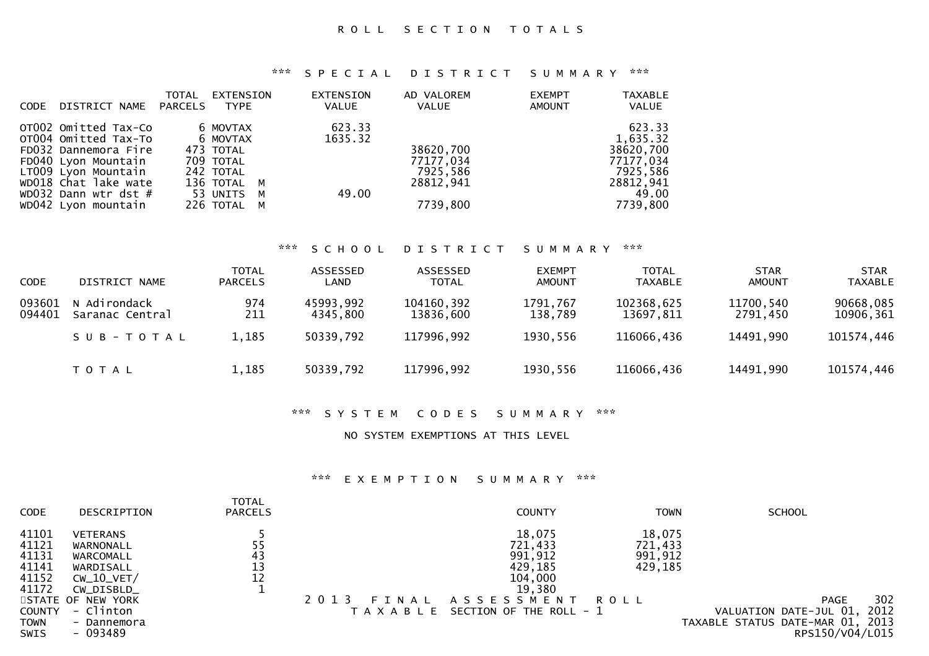| <b>CODE</b> | DISTRICT NAME                                                                                                                                                                             | <b>TOTAL</b><br><b>PARCELS</b> | EXTENSION<br><b>TYPE</b>                                                                                | EXTENSION<br><b>VALUE</b>  | AD VALOREM<br><b>VALUE</b>                                  | <b>EXEMPT</b><br>AMOUNT | <b>TAXABLE</b><br><b>VALUE</b>                                                             |
|-------------|-------------------------------------------------------------------------------------------------------------------------------------------------------------------------------------------|--------------------------------|---------------------------------------------------------------------------------------------------------|----------------------------|-------------------------------------------------------------|-------------------------|--------------------------------------------------------------------------------------------|
|             | OT002 Omitted Tax-Co<br>OT004 Omitted Tax-To<br>FD032 Dannemora Fire<br>FD040 Lyon Mountain<br>LT009 Lyon Mountain<br>WD018 Chat lake wate<br>WD032 Dann wtr dst #<br>WD042 Lyon mountain |                                | 6 MOVTAX<br>6 MOVTAX<br>473 TOTAL<br>709 TOTAL<br>242 TOTAL<br>136 TOTAL M<br>53 UNITS M<br>226 TOTAL M | 623.33<br>1635.32<br>49.00 | 38620,700<br>77177,034<br>7925,586<br>28812,941<br>7739,800 |                         | 623.33<br>1,635.32<br>38620,700<br>77177,034<br>7925,586<br>28812,941<br>49.00<br>7739,800 |

### \*\*\* S C H O O L D I S T R I C T S U M M A R Y \*\*\*

| <b>CODE</b>      | DISTRICT NAME                   | <b>TOTAL</b><br><b>PARCELS</b> | ASSESSED<br>LAND      | ASSESSED<br><b>TOTAL</b> | <b>EXEMPT</b><br><b>AMOUNT</b> | <b>TOTAL</b><br><b>TAXABLE</b> | <b>STAR</b><br>AMOUNT | <b>STAR</b><br><b>TAXABLE</b> |
|------------------|---------------------------------|--------------------------------|-----------------------|--------------------------|--------------------------------|--------------------------------|-----------------------|-------------------------------|
| 093601<br>094401 | N Adirondack<br>Saranac Central | 974<br>211                     | 45993,992<br>4345,800 | 104160,392<br>13836.600  | 1791,767<br>138,789            | 102368,625<br>13697,811        | 11700,540<br>2791.450 | 90668,085<br>10906,361        |
|                  | SUB-TOTAL                       | 1,185                          | 50339,792             | 117996,992               | 1930,556                       | 116066,436                     | 14491,990             | 101574,446                    |
|                  | T O T A L                       | 1,185                          | 50339,792             | 117996,992               | 1930,556                       | 116066,436                     | 14491,990             | 101574,446                    |

### \*\*\* S Y S T E M C O D E S S U M M A R Y \*\*\*

### NO SYSTEM EXEMPTIONS AT THIS LEVEL

| <b>CODE</b>                                                                                       | DESCRIPTION                                                                                                                                       | <b>TOTAL</b><br><b>PARCELS</b> |                                   | <b>COUNTY</b>                                                                                                  | <b>TOWN</b>                                     | <b>SCHOOL</b>                                                                                               |
|---------------------------------------------------------------------------------------------------|---------------------------------------------------------------------------------------------------------------------------------------------------|--------------------------------|-----------------------------------|----------------------------------------------------------------------------------------------------------------|-------------------------------------------------|-------------------------------------------------------------------------------------------------------------|
| 41101<br>41121<br>41131<br>41141<br>41152<br>41172<br><b>COUNTY</b><br><b>TOWN</b><br><b>SWIS</b> | <b>VETERANS</b><br>WARNONALL<br>WARCOMALL<br>WARDISALL<br>$CW_10_VET/$<br>CW_DISBLD_<br>STATE OF NEW YORK<br>- Clinton<br>- Dannemora<br>- 093489 | 55<br>43<br>13<br>12           | 2 0 1 3<br>FINAL<br>T A X A B L E | 18,075<br>721,433<br>991,912<br>429,185<br>104,000<br>19,380<br>A S S E S S M E N T<br>SECTION OF THE ROLL - 1 | 18,075<br>721,433<br>991,912<br>429,185<br>ROLL | 302<br><b>PAGE</b><br>2012<br>VALUATION DATE-JUL 01,<br>TAXABLE STATUS DATE-MAR 01, 2013<br>RPS150/V04/L015 |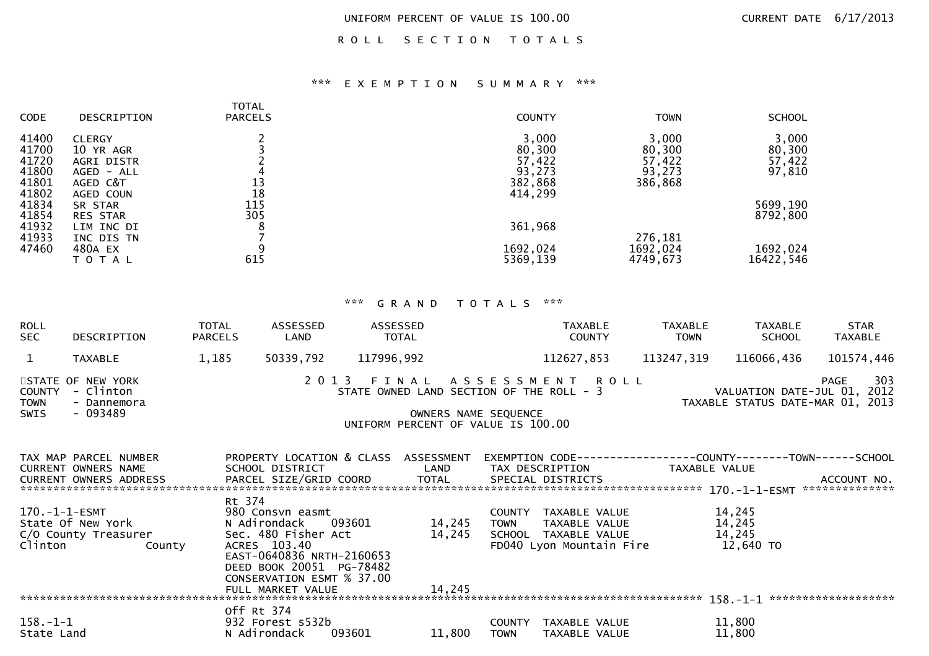ROLL SECTION TOTALS

### \*\*\* E X E M P T I O N S U M M A R Y \*\*\*

| <b>CODE</b>                               | DESCRIPTION                                                        | <b>TOTAL</b><br><b>PARCELS</b> | <b>COUNTY</b>                                  | <b>TOWN</b>                                    | <b>SCHOOL</b>                       |
|-------------------------------------------|--------------------------------------------------------------------|--------------------------------|------------------------------------------------|------------------------------------------------|-------------------------------------|
| 41400<br>41700<br>41720<br>41800<br>41801 | <b>CLERGY</b><br>10 YR AGR<br>AGRI DISTR<br>AGED - ALL<br>AGED C&T | 13                             | 3,000<br>80,300<br>57,422<br>93,273<br>382,868 | 3,000<br>80,300<br>57,422<br>93,273<br>386,868 | 3,000<br>80,300<br>57,422<br>97,810 |
| 41802<br>41834<br>41854<br>41932          | AGED COUN<br>SR STAR<br><b>RES STAR</b><br>LIM INC DI              | 18<br>115<br>305               | 414,299<br>361,968                             |                                                | 5699,190<br>8792,800                |
| 41933<br>47460                            | INC DIS TN<br>480A EX<br>ΤΟΤΑΙ                                     | 615                            | 1692,024<br>5369,139                           | 276,181<br>1692,024<br>4749,673                | 1692,024<br>16422,546               |

| <b>ROLL</b><br><b>SEC</b>            | DESCRIPTION                                                | TOTAL<br><b>PARCELS</b> | ASSESSED<br>LAND                                                                                                                 | ASSESSED<br>TOTAL                                                                                            |                      |                       | <b>TAXABLE</b><br><b>COUNTY</b>                                          |                 | <b>TAXABLE</b><br><b>TOWN</b> | TAXABLE<br><b>SCHOOL</b>                | <b>STAR</b><br><b>TAXABLE</b>                                                  |
|--------------------------------------|------------------------------------------------------------|-------------------------|----------------------------------------------------------------------------------------------------------------------------------|--------------------------------------------------------------------------------------------------------------|----------------------|-----------------------|--------------------------------------------------------------------------|-----------------|-------------------------------|-----------------------------------------|--------------------------------------------------------------------------------|
| $\mathbf{1}$                         | <b>TAXABLE</b>                                             | 1,185                   | 50339,792                                                                                                                        | 117996,992                                                                                                   |                      |                       | 112627,853                                                               |                 | 113247,319                    | 116066,436                              | 101574,446                                                                     |
| <b>COUNTY</b><br><b>TOWN</b><br>SWIS | STATE OF NEW YORK<br>- Clinton<br>- Dannemora<br>$-093489$ |                         |                                                                                                                                  | 2013 FINAL ASSESSMENT ROLL<br>STATE OWNED LAND SECTION OF THE ROLL - 3<br>UNIFORM PERCENT OF VALUE IS 100.00 | OWNERS NAME SEQUENCE |                       |                                                                          |                 |                               |                                         | 303<br>PAGE<br>VALUATION DATE-JUL 01, 2012<br>TAXABLE STATUS DATE-MAR 01, 2013 |
|                                      | TAX MAP PARCEL NUMBER<br>CURRENT OWNERS NAME               |                         | PROPERTY LOCATION & CLASS ASSESSMENT<br>SCHOOL DISTRICT                                                                          |                                                                                                              | LAND                 |                       |                                                                          | TAX DESCRIPTION | TAXABLE VALUE                 |                                         | EXEMPTION CODE------------------COUNTY--------TOWN------SCHOOL                 |
| 170.-1-1-ESMT<br>Clinton             | State Of New York<br>C/O County Treasurer<br>County        | Rt 374                  | 980 Consvn easmt<br>N Adirondack<br>Sec. 480 Fisher Act<br>ACRES 103.40<br>EAST-0640836 NRTH-2160653<br>DEED BOOK 20051 PG-78482 | 093601                                                                                                       | 14,245<br>14,245     | <b>TOWN</b>           | COUNTY TAXABLE VALUE<br>SCHOOL TAXABLE VALUE<br>FD040 Lyon Mountain Fire | TAXABLE VALUE   |                               | 14,245<br>14,245<br>14,245<br>12,640 TO |                                                                                |
|                                      |                                                            |                         | CONSERVATION ESMT % 37.00<br>FULL MARKET VALUE                                                                                   |                                                                                                              | 14,245               |                       |                                                                          |                 |                               |                                         |                                                                                |
| $158. - 1 - 1$<br>State Land         |                                                            |                         | Off Rt 374<br>932 Forest s532b<br>N Adirondack                                                                                   | 093601                                                                                                       | 11,800               | COUNTY<br><b>TOWN</b> | TAXABLE VALUE<br>TAXABLE VALUE                                           |                 |                               | 11,800<br>11,800                        |                                                                                |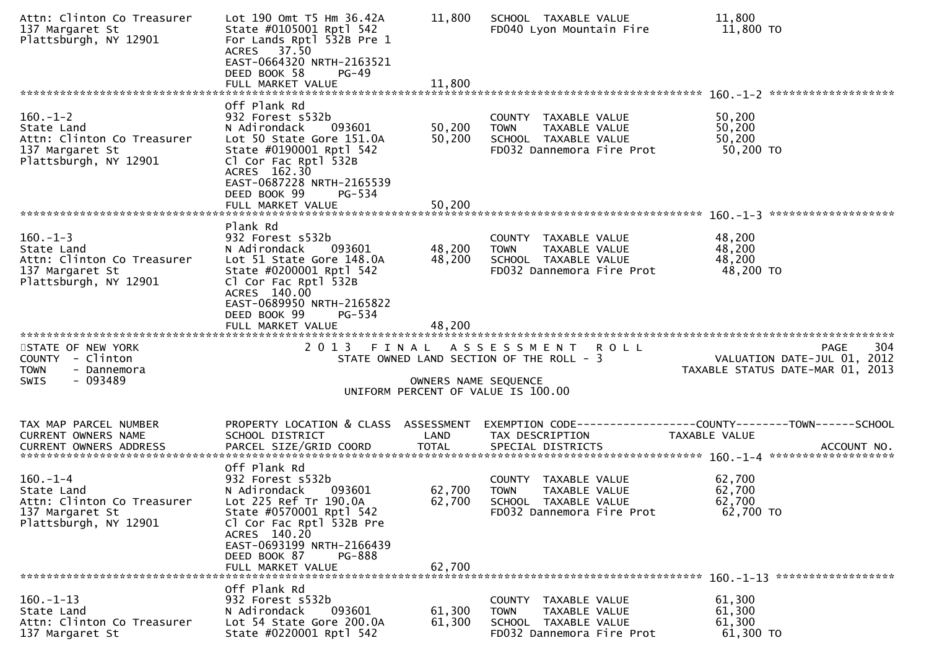| Attn: Clinton Co Treasurer<br>137 Margaret St<br>Plattsburgh, NY 12901                                 | Lot 190 Omt T5 Hm 36.42A<br>State #0105001 Rptl 542<br>For Lands Rptl 532B Pre 1<br>ACRES 37.50<br>EAST-0664320 NRTH-2163521<br>DEED BOOK 58<br>$PG-49$<br>FULL MARKET VALUE                                                           | 11,800<br>11,800               | SCHOOL TAXABLE VALUE<br>FD040 Lyon Mountain Fire                                                             | 11,800<br>11,800 TO                                                                           |
|--------------------------------------------------------------------------------------------------------|----------------------------------------------------------------------------------------------------------------------------------------------------------------------------------------------------------------------------------------|--------------------------------|--------------------------------------------------------------------------------------------------------------|-----------------------------------------------------------------------------------------------|
|                                                                                                        |                                                                                                                                                                                                                                        |                                |                                                                                                              | *******************                                                                           |
| $160. - 1 - 2$<br>State Land<br>Attn: Clinton Co Treasurer<br>137 Margaret St<br>Plattsburgh, NY 12901 | Off Plank Rd<br>932 Forest s532b<br>N Adirondack<br>093601<br>Lot 50 State Gore 151.0A<br>State #0190001 Rptl 542<br>Cl Cor Fac Rptl 532B<br>ACRES 162.30<br>EAST-0687228 NRTH-2165539<br>DEED BOOK 99<br>PG-534                       | 50,200<br>50,200               | COUNTY TAXABLE VALUE<br>TAXABLE VALUE<br><b>TOWN</b><br>SCHOOL TAXABLE VALUE<br>FD032 Dannemora Fire Prot    | 50,200<br>50,200<br>50,200<br>50,200 TO                                                       |
|                                                                                                        |                                                                                                                                                                                                                                        |                                |                                                                                                              |                                                                                               |
|                                                                                                        |                                                                                                                                                                                                                                        |                                |                                                                                                              |                                                                                               |
| $160.-1-3$<br>State Land<br>Attn: Clinton Co Treasurer<br>137 Margaret St<br>Plattsburgh, NY 12901     | Plank Rd<br>932 Forest s532b<br>N Adirondack<br>093601<br>Lot 51 State Gore 148.0A<br>State #0200001 Rptl 542<br>Cl Cor Fac Rptl 532B<br>ACRES 140.00<br>EAST-0689950 NRTH-2165822                                                     | 48,200<br>48,200               | COUNTY TAXABLE VALUE<br><b>TOWN</b><br>TAXABLE VALUE<br>SCHOOL TAXABLE VALUE<br>FD032 Dannemora Fire Prot    | 48,200<br>48,200<br>48,200<br>48,200 TO                                                       |
| STATE OF NEW YORK<br>COUNTY - Clinton<br>- Dannemora<br><b>TOWN</b><br>$-093489$<br>SWIS               | DEED BOOK 99<br>PG-534<br>FULL MARKET VALUE                                                                                                                                                                                            | 48,200<br>OWNERS NAME SEQUENCE | 2013 FINAL ASSESSMENT ROLL<br>STATE OWNED LAND SECTION OF THE ROLL - 3<br>UNIFORM PERCENT OF VALUE IS 100.00 | 304<br>PAGE<br>VALUATION DATE-JUL 01, 2012<br>TAXABLE STATUS DATE-MAR 01, 2013                |
|                                                                                                        |                                                                                                                                                                                                                                        |                                |                                                                                                              |                                                                                               |
| TAX MAP PARCEL NUMBER<br>CURRENT OWNERS NAME                                                           | PROPERTY LOCATION & CLASS ASSESSMENT                                                                                                                                                                                                   |                                |                                                                                                              |                                                                                               |
| <b>CURRENT OWNERS ADDRESS</b>                                                                          | SCHOOL DISTRICT<br>PARCEL SIZE/GRID COORD                                                                                                                                                                                              | LAND<br><b>TOTAL</b>           | TAX DESCRIPTION<br>SPECIAL DISTRICTS                                                                         | EXEMPTION CODE-----------------COUNTY--------TOWN------SCHOOL<br>TAXABLE VALUE<br>ACCOUNT NO. |
| $160 - 1 - 4$<br>State Land<br>Attn: Clinton Co Treasurer<br>137 Margaret St<br>Plattsburgh, NY 12901  | Off Plank Rd<br>932 Forest s532b<br>093601<br>N Adirondack<br>Lot 225 Ref Tr 190.0A<br>State #0570001 Rptl 542<br>Cl Cor Fac Rptl 532B Pre<br>ACRES 140.20<br>EAST-0693199 NRTH-2166439<br>DEED BOOK 87<br>PG-888<br>FULL MARKET VALUE | 62,700<br>62,700<br>62,700     | COUNTY TAXABLE VALUE<br>TAXABLE VALUE<br><b>TOWN</b><br>SCHOOL TAXABLE VALUE<br>FD032 Dannemora Fire Prot    | 62,700<br>62,700<br>62,700<br>62,700 TO                                                       |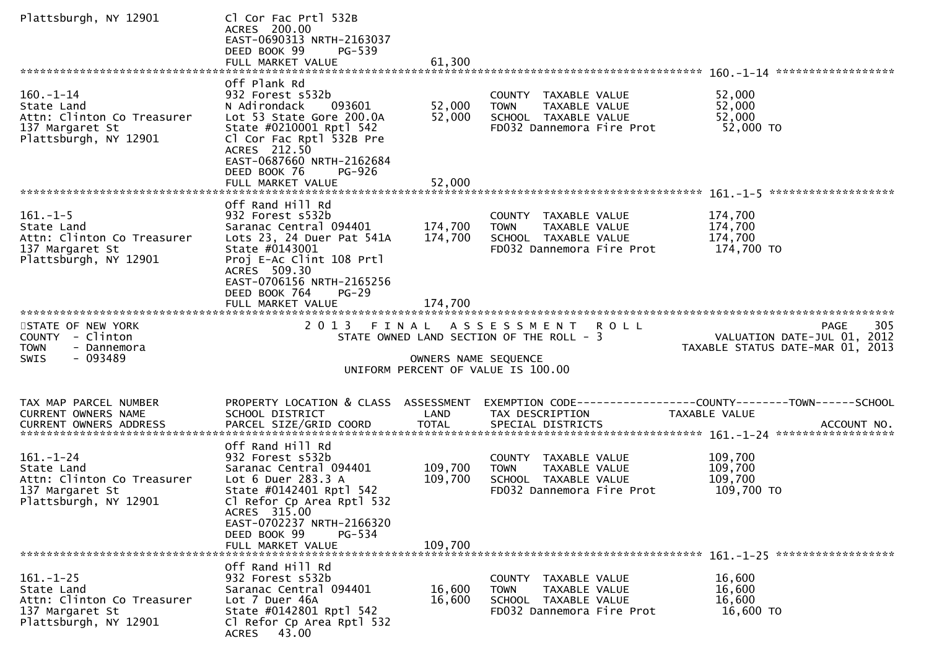| Plattsburgh, NY 12901                                                                                   | Cl Cor Fac Prtl 532B<br>ACRES 200.00<br>EAST-0690313 NRTH-2163037<br>DEED BOOK 99<br>PG-539<br>FULL MARKET VALUE                                                                                                     | 61,300                        |                                                                                                               |                                                                                       |
|---------------------------------------------------------------------------------------------------------|----------------------------------------------------------------------------------------------------------------------------------------------------------------------------------------------------------------------|-------------------------------|---------------------------------------------------------------------------------------------------------------|---------------------------------------------------------------------------------------|
|                                                                                                         |                                                                                                                                                                                                                      |                               |                                                                                                               |                                                                                       |
| $160. - 1 - 14$<br>State Land<br>Attn: Clinton Co Treasurer<br>137 Margaret St<br>Plattsburgh, NY 12901 | Off Plank Rd<br>932 Forest s532b<br>093601<br>N Adirondack<br>Lot 53 State Gore 200.0A<br>State #0210001 Rptl 542<br>Cl Cor Fac Rptl 532B Pre<br>ACRES 212.50<br>EAST-0687660 NRTH-2162684<br>DEED BOOK 76<br>PG-926 | 52,000<br>52,000              | COUNTY TAXABLE VALUE<br>TAXABLE VALUE<br><b>TOWN</b><br>SCHOOL TAXABLE VALUE<br>FD032 Dannemora Fire Prot     | 52,000<br>52,000<br>52,000<br>52,000 TO                                               |
|                                                                                                         |                                                                                                                                                                                                                      |                               |                                                                                                               |                                                                                       |
| $161. - 1 - 5$<br>State Land<br>Attn: Clinton Co Treasurer<br>137 Margaret St<br>Plattsburgh, NY 12901  | Off Rand Hill Rd<br>932 Forest s532b<br>Saranac Central 094401<br>Lots 23, 24 Duer Pat 541A<br>State #0143001<br>Proj E-Ac Clint 108 Prtl<br>ACRES 509.30<br>EAST-0706156 NRTH-2165256<br>DEED BOOK 764<br>$PG-29$   | 174,700<br>174,700            | COUNTY TAXABLE VALUE<br>TAXABLE VALUE<br><b>TOWN</b><br>SCHOOL TAXABLE VALUE<br>FD032 Dannemora Fire Prot     | 174,700<br>174,700<br>174,700<br>174,700 TO                                           |
|                                                                                                         | FULL MARKET VALUE                                                                                                                                                                                                    | 174,700                       |                                                                                                               |                                                                                       |
|                                                                                                         |                                                                                                                                                                                                                      |                               |                                                                                                               |                                                                                       |
| STATE OF NEW YORK<br>COUNTY - Clinton<br><b>TOWN</b><br>- Dannemora<br>- 093489<br>SWIS                 | 2 0 1 3                                                                                                                                                                                                              | FINAL<br>OWNERS NAME SEQUENCE | A S S E S S M E N T R O L L<br>STATE OWNED LAND SECTION OF THE ROLL - 3<br>UNIFORM PERCENT OF VALUE IS 100.00 | 305<br><b>PAGE</b><br>VALUATION DATE-JUL 01, 2012<br>TAXABLE STATUS DATE-MAR 01, 2013 |
| TAX MAP PARCEL NUMBER                                                                                   | PROPERTY LOCATION & CLASS ASSESSMENT                                                                                                                                                                                 |                               |                                                                                                               | EXEMPTION CODE-----------------COUNTY-------TOWN------SCHOOL                          |
| CURRENT OWNERS NAME<br><b>CURRENT OWNERS ADDRESS</b>                                                    | SCHOOL DISTRICT<br>PARCEL SIZE/GRID COORD                                                                                                                                                                            | LAND<br><b>TOTAL</b>          | TAX DESCRIPTION<br>SPECIAL DISTRICTS                                                                          | TAXABLE VALUE<br>ACCOUNT NO.                                                          |
|                                                                                                         | Off Rand Hill Rd                                                                                                                                                                                                     |                               |                                                                                                               |                                                                                       |
| $161. - 1 - 24$<br>State Land<br>Attn: Clinton Co Treasurer<br>137 Margaret St<br>Plattsburgh, NY 12901 | 932 Forest s532b<br>Saranac Central 094401<br>Lot 6 Duer 283.3 A<br>State #0142401 Rptl 542<br>Cl Refor Cp Area Rptl 532<br>ACRES 315.00<br>EAST-0702237 NRTH-2166320<br>DEED BOOK 99<br>PG-534                      | 109,700<br>109,700            | COUNTY TAXABLE VALUE<br><b>TOWN</b><br>TAXABLE VALUE<br>SCHOOL TAXABLE VALUE<br>FD032 Dannemora Fire Prot     | 109,700<br>109,700<br>109,700<br>109,700 TO                                           |
|                                                                                                         | FULL MARKET VALUE                                                                                                                                                                                                    | 109,700                       |                                                                                                               |                                                                                       |
| $161. - 1 - 25$<br>State Land<br>Attn: Clinton Co Treasurer<br>137 Margaret St<br>Plattsburgh, NY 12901 | Off Rand Hill Rd<br>932 Forest s532b<br>Saranac Central 094401<br>Lot 7 Duer 46A<br>State #0142801 Rptl 542<br>Cl Refor Cp Area Rptl 532<br><b>ACRES</b><br>43.00                                                    | 16,600<br>16,600              | COUNTY TAXABLE VALUE<br>TAXABLE VALUE<br><b>TOWN</b><br>SCHOOL TAXABLE VALUE<br>FD032 Dannemora Fire Prot     | 16,600<br>16,600<br>16,600<br>16,600 TO                                               |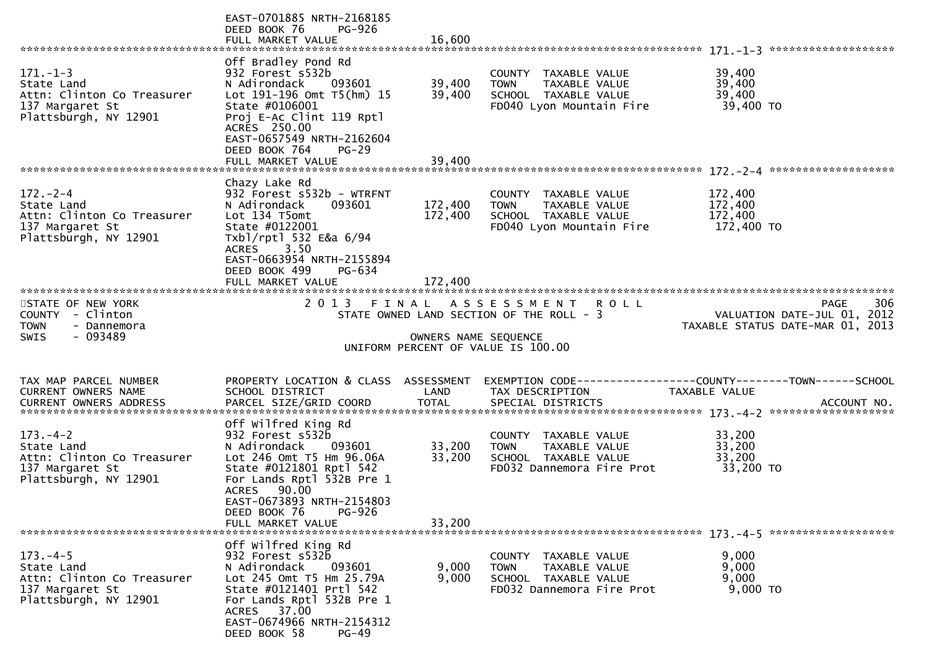|                                                                                                        | EAST-0701885 NRTH-2168185<br>DEED BOOK 76<br>PG-926<br>FULL MARKET VALUE                                                                                                                                                                         | 16,600                     |                                                                                                              |                                                                                 |
|--------------------------------------------------------------------------------------------------------|--------------------------------------------------------------------------------------------------------------------------------------------------------------------------------------------------------------------------------------------------|----------------------------|--------------------------------------------------------------------------------------------------------------|---------------------------------------------------------------------------------|
|                                                                                                        |                                                                                                                                                                                                                                                  |                            |                                                                                                              |                                                                                 |
| $171. - 1 - 3$<br>State Land<br>Attn: Clinton Co Treasurer<br>137 Margaret St<br>Plattsburgh, NY 12901 | Off Bradley Pond Rd<br>932 Forest s532b<br>N Adirondack<br>093601<br>Lot 191-196 Omt T5(hm) 15<br>State #0106001<br>Proj E-Ac Clint 119 Rptl<br>ACRES 250.00<br>EAST-0657549 NRTH-2162604<br>DEED BOOK 764<br>$PG-29$                            | 39,400<br>39,400           | COUNTY TAXABLE VALUE<br>TAXABLE VALUE<br><b>TOWN</b><br>SCHOOL TAXABLE VALUE<br>FD040 Lyon Mountain Fire     | 39,400<br>39,400<br>39,400<br>39,400 TO                                         |
|                                                                                                        | FULL MARKET VALUE                                                                                                                                                                                                                                | 39,400                     |                                                                                                              |                                                                                 |
|                                                                                                        |                                                                                                                                                                                                                                                  |                            |                                                                                                              |                                                                                 |
| $172 - 2 - 4$<br>State Land<br>Attn: Clinton Co Treasurer<br>137 Margaret St<br>Plattsburgh, NY 12901  | Chazy Lake Rd<br>932 Forest s532b - WTRFNT<br>N Adirondack<br>093601<br>Lot 134 T5omt<br>State #0122001<br>Txbl/rptl 532 E&a 6/94<br><b>ACRES</b><br>3.50<br>EAST-0663954 NRTH-2155894<br>DEED BOOK 499<br>PG-634                                | 172,400<br>172,400         | COUNTY TAXABLE VALUE<br>TAXABLE VALUE<br><b>TOWN</b><br>SCHOOL TAXABLE VALUE<br>FD040 Lyon Mountain Fire     | 172,400<br>172,400<br>172,400<br>172,400 TO                                     |
|                                                                                                        | FULL MARKET VALUE                                                                                                                                                                                                                                |                            |                                                                                                              |                                                                                 |
| STATE OF NEW YORK<br>COUNTY - Clinton<br><b>TOWN</b><br>- Dannemora<br>- 093489<br><b>SWIS</b>         |                                                                                                                                                                                                                                                  | OWNERS NAME SEQUENCE       | 2013 FINAL ASSESSMENT ROLL<br>STATE OWNED LAND SECTION OF THE ROLL - 3<br>UNIFORM PERCENT OF VALUE IS 100.00 | 306<br>PAGE<br>VALUATION DATE-JUL 01, 2012<br>TAXABLE STATUS DATE-MAR 01, 2013  |
| TAX MAP PARCEL NUMBER<br>CURRENT OWNERS NAME                                                           | PROPERTY LOCATION & CLASS ASSESSMENT<br>SCHOOL DISTRICT                                                                                                                                                                                          | LAND                       | TAX DESCRIPTION                                                                                              | EXEMPTION CODE------------------COUNTY--------TOWN------SCHOOL<br>TAXABLE VALUE |
| $173. - 4 - 2$<br>State Land<br>Attn: Clinton Co Treasurer<br>137 Margaret St<br>Plattsburgh, NY 12901 | Off wilfred King Rd<br>932 Forest s532b<br>N Adirondack<br>093601<br>Lot 246 Omt T5 Hm 96.06A<br>State #0121801 Rptl 542<br>For Lands Rptl 532B Pre 1<br>ACRES 90.00<br>EAST-0673893 NRTH-2154803<br>PG-926<br>DEED BOOK 76<br>FULL MARKET VALUE | 33,200<br>33,200<br>33,200 | COUNTY TAXABLE VALUE<br><b>TOWN</b><br>TAXABLE VALUE<br>SCHOOL TAXABLE VALUE<br>FD032 Dannemora Fire Prot    | 33,200<br>33,200<br>33,200<br>33,200 TO                                         |
|                                                                                                        |                                                                                                                                                                                                                                                  |                            |                                                                                                              |                                                                                 |
| $173. -4-5$<br>State Land<br>Attn: Clinton Co Treasurer<br>137 Margaret St<br>Plattsburgh, NY 12901    | Off Wilfred King Rd<br>932 Forest s532b<br>N Adirondack<br>093601<br>Lot 245 Omt T5 Hm 25.79A<br>State #0121401 Prtl 542<br>For Lands Rptl 532B Pre 1<br>ACRES 37.00<br>EAST-0674966 NRTH-2154312<br>DEED BOOK 58<br><b>PG-49</b>                | 9,000<br>9,000             | COUNTY TAXABLE VALUE<br>TAXABLE VALUE<br><b>TOWN</b><br>SCHOOL TAXABLE VALUE<br>FD032 Dannemora Fire Prot    | 9,000<br>9,000<br>9,000<br>9,000 TO                                             |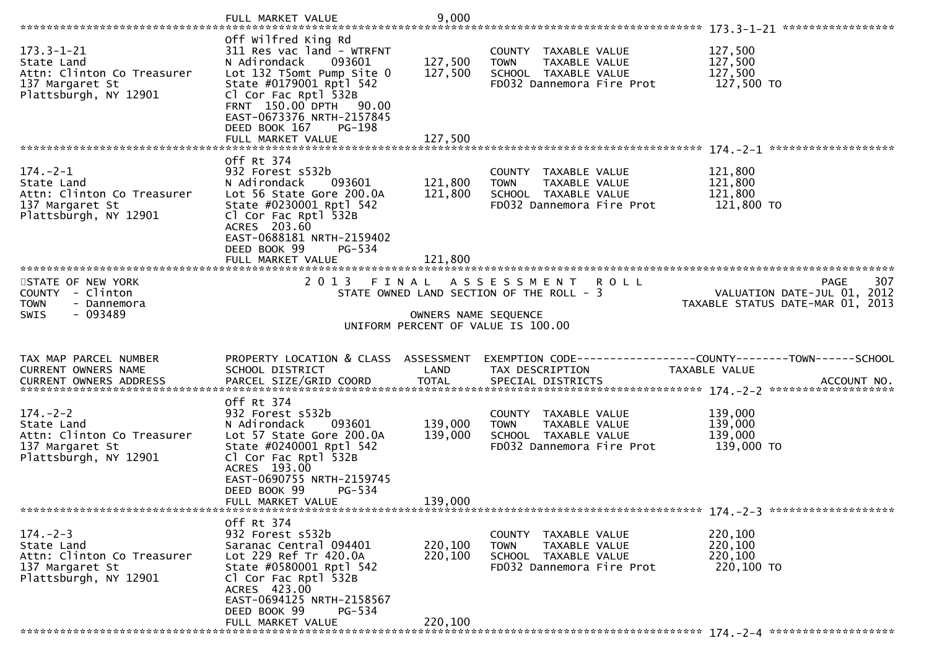|                                                                                                          | FULL MARKET VALUE                                                                                                                                                                                                                                                    | 9,000                         |                                                                                                                        |                                                                                |
|----------------------------------------------------------------------------------------------------------|----------------------------------------------------------------------------------------------------------------------------------------------------------------------------------------------------------------------------------------------------------------------|-------------------------------|------------------------------------------------------------------------------------------------------------------------|--------------------------------------------------------------------------------|
| $173.3 - 1 - 21$<br>State Land<br>Attn: Clinton Co Treasurer<br>137 Margaret St<br>Plattsburgh, NY 12901 | Off wilfred King Rd<br>311 Res vac land - WTRFNT<br>N Adirondack<br>093601<br>Lot 132 T5omt Pump Site 0<br>State #0179001 Rptl 542<br>Cl Cor Fac Rptl 532B<br>FRNT 150.00 DPTH<br>90.00<br>EAST-0673376 NRTH-2157845<br>DEED BOOK 167<br>PG-198<br>FULL MARKET VALUE | 127,500<br>127,500<br>127,500 | COUNTY TAXABLE VALUE<br><b>TOWN</b><br>TAXABLE VALUE<br>SCHOOL TAXABLE VALUE<br>FD032 Dannemora Fire Prot              | 127,500<br>127,500<br>127,500<br>127,500 TO                                    |
| $174. - 2 - 1$<br>State Land<br>Attn: Clinton Co Treasurer<br>137 Margaret St<br>Plattsburgh, NY 12901   | Off Rt 374<br>932 Forest s532b<br>N Adirondack<br>093601<br>Lot 56 State Gore 200.0A<br>State #0230001 Rptl 542<br>Cl Cor Fac Rptl 532B<br>ACRES 203.60<br>EAST-0688181 NRTH-2159402<br>DEED BOOK 99<br>PG-534<br>FULL MARKET VALUE                                  | 121,800<br>121,800<br>121,800 | COUNTY TAXABLE VALUE<br><b>TOWN</b><br>TAXABLE VALUE<br>SCHOOL TAXABLE VALUE<br>FD032 Dannemora Fire Prot              | 121,800<br>121,800<br>121,800<br>121,800 TO                                    |
| STATE OF NEW YORK<br>COUNTY - Clinton<br><b>TOWN</b><br>- Dannemora<br>$-093489$<br><b>SWIS</b>          |                                                                                                                                                                                                                                                                      | OWNERS NAME SEQUENCE          | 2013 FINAL ASSESSMENT<br><b>ROLL</b><br>STATE OWNED LAND SECTION OF THE ROLL - 3<br>UNIFORM PERCENT OF VALUE IS 100.00 | 307<br>PAGE<br>VALUATION DATE-JUL 01, 2012<br>TAXABLE STATUS DATE-MAR 01, 2013 |
| TAX MAP PARCEL NUMBER<br>CURRENT OWNERS NAME                                                             | PROPERTY LOCATION & CLASS ASSESSMENT<br>SCHOOL DISTRICT                                                                                                                                                                                                              | LAND                          |                                                                                                                        | EXEMPTION CODE-----------------COUNTY-------TOWN------SCHOOL<br>TAXABLE VALUE  |
|                                                                                                          |                                                                                                                                                                                                                                                                      |                               | TAX DESCRIPTION                                                                                                        |                                                                                |
| $174. - 2 - 2$<br>State Land<br>Attn: Clinton Co Treasurer<br>137 Margaret St<br>Plattsburgh, NY 12901   | Off Rt 374<br>932 Forest s532b<br>N Adirondack<br>093601<br>Lot 57 State Gore 200.0A<br>State #0240001 Rptl 542<br>Cl Cor Fac Rptl 532B<br>ACRES 193.00<br>EAST-0690755 NRTH-2159745<br>PG-534<br>DEED BOOK 99                                                       | 139,000<br>139,000            | COUNTY TAXABLE VALUE<br>TAXABLE VALUE<br><b>TOWN</b><br>SCHOOL TAXABLE VALUE<br>FD032 Dannemora Fire Prot              | 139,000<br>139,000<br>139,000<br>139,000 TO                                    |
|                                                                                                          | FULL MARKET VALUE                                                                                                                                                                                                                                                    | 139,000                       |                                                                                                                        |                                                                                |
| $174. - 2 - 3$<br>State Land<br>Attn: Clinton Co Treasurer<br>137 Margaret St<br>Plattsburgh, NY 12901   | Off Rt 374<br>932 Forest s532b<br>Saranac Central 094401<br>Lot 229 Ref Tr 420.0A<br>State #0580001 Rptl 542<br>Cl Cor Fac Rptl 532B<br>ACRES 423.00<br>EAST-0694125 NRTH-2158567<br>DEED BOOK 99<br>PG-534<br>FULL MARKET VALUE                                     | 220,100<br>220,100<br>220,100 | COUNTY TAXABLE VALUE<br><b>TOWN</b><br>TAXABLE VALUE<br>SCHOOL TAXABLE VALUE<br>FD032 Dannemora Fire Prot              | 220,100<br>220,100<br>220,100<br>220,100 TO                                    |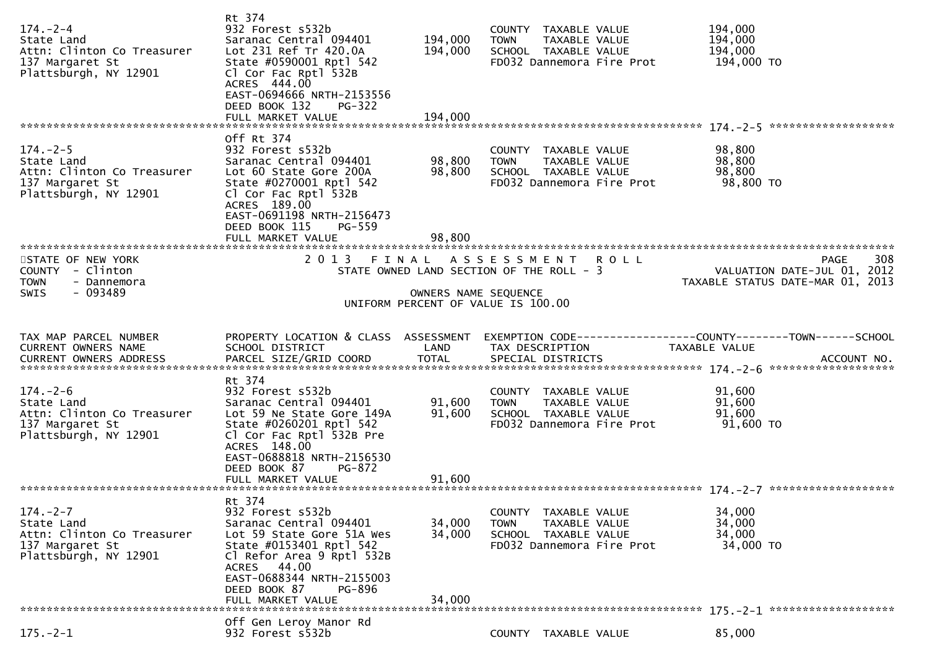| $174. - 2 - 4$<br>State Land<br>Attn: Clinton Co Treasurer<br>137 Margaret St<br>Plattsburgh, NY 12901 | Rt 374<br>932 Forest s532b<br>Saranac Central 094401<br>Lot 231 Ref Tr 420.0A<br>State #0590001 Rptl 542<br>Cl Cor Fac Rptl 532B<br>ACRES 444.00<br>EAST-0694666 NRTH-2153556<br>DEED BOOK 132<br>PG-322<br>FULL MARKET VALUE | 194,000<br>194,000<br>194,000 | COUNTY TAXABLE VALUE<br><b>TOWN</b><br>TAXABLE VALUE<br>SCHOOL TAXABLE VALUE<br>FD032 Dannemora Fire Prot | 194,000<br>194,000<br>194,000<br>194,000 TO                                    |     |
|--------------------------------------------------------------------------------------------------------|-------------------------------------------------------------------------------------------------------------------------------------------------------------------------------------------------------------------------------|-------------------------------|-----------------------------------------------------------------------------------------------------------|--------------------------------------------------------------------------------|-----|
| $174. - 2 - 5$                                                                                         | Off Rt 374<br>932 Forest s532b                                                                                                                                                                                                |                               | COUNTY TAXABLE VALUE                                                                                      | 98,800                                                                         |     |
| State Land<br>Attn: Clinton Co Treasurer<br>137 Margaret St<br>Plattsburgh, NY 12901                   | Saranac Central 094401<br>Lot 60 State Gore 200A<br>State #0270001 Rptl 542<br>Cl Cor Fac Rptl 532B<br>ACRES 189.00<br>EAST-0691198 NRTH-2156473<br>DEED BOOK 115<br><b>PG-559</b>                                            | 98,800<br>98,800              | <b>TOWN</b><br>TAXABLE VALUE<br>SCHOOL TAXABLE VALUE<br>FD032 Dannemora Fire Prot                         | 98,800<br>98,800<br>98,800 TO                                                  |     |
|                                                                                                        | FULL MARKET VALUE                                                                                                                                                                                                             | 98,800                        |                                                                                                           |                                                                                |     |
| STATE OF NEW YORK<br>COUNTY - Clinton<br><b>TOWN</b><br>- Dannemora                                    |                                                                                                                                                                                                                               |                               | 2013 FINAL ASSESSMENT ROLL<br>STATE OWNED LAND SECTION OF THE ROLL - 3                                    | <b>PAGE</b><br>VALUATION DATE-JUL 01, 2012<br>TAXABLE STATUS DATE-MAR 01, 2013 | 308 |
| $-093489$<br><b>SWIS</b>                                                                               |                                                                                                                                                                                                                               | OWNERS NAME SEQUENCE          | UNIFORM PERCENT OF VALUE IS 100.00                                                                        |                                                                                |     |
|                                                                                                        |                                                                                                                                                                                                                               |                               |                                                                                                           |                                                                                |     |
|                                                                                                        |                                                                                                                                                                                                                               |                               |                                                                                                           |                                                                                |     |
| TAX MAP PARCEL NUMBER<br>CURRENT OWNERS NAME                                                           | PROPERTY LOCATION & CLASS ASSESSMENT<br>SCHOOL DISTRICT                                                                                                                                                                       | LAND                          | TAX DESCRIPTION                                                                                           | TAXABLE VALUE                                                                  |     |
|                                                                                                        |                                                                                                                                                                                                                               |                               |                                                                                                           |                                                                                |     |
| $174. - 2 - 6$                                                                                         | Rt 374<br>932 Forest s532b                                                                                                                                                                                                    |                               | COUNTY TAXABLE VALUE                                                                                      | 91,600                                                                         |     |
| State Land<br>Attn: Clinton Co Treasurer                                                               | Saranac Central 094401<br>Lot 59 Ne State Gore 149A                                                                                                                                                                           | 91,600<br>91,600              | TAXABLE VALUE<br><b>TOWN</b><br>SCHOOL TAXABLE VALUE                                                      | 91,600<br>91,600                                                               |     |
| 137 Margaret St<br>Plattsburgh, NY 12901                                                               | State #0260201 Rptl 542<br>Cl Cor Fac Rptl 532B Pre<br>ACRES 148.00<br>EAST-0688818 NRTH-2156530                                                                                                                              |                               | FD032 Dannemora Fire Prot                                                                                 | 91,600 TO                                                                      |     |
|                                                                                                        | DEED BOOK 87<br>PG-872<br>FULL MARKET VALUE                                                                                                                                                                                   | 91,600                        |                                                                                                           |                                                                                |     |
|                                                                                                        | Rt 374                                                                                                                                                                                                                        |                               |                                                                                                           |                                                                                |     |
| $174. - 2 - 7$                                                                                         | 932 Forest s532b                                                                                                                                                                                                              |                               | <b>COUNTY</b><br>TAXABLE VALUE                                                                            | 34,000                                                                         |     |
| State Land<br>Attn: Clinton Co Treasurer                                                               | Saranac Central 094401<br>Lot 59 State Gore 51A Wes                                                                                                                                                                           | 34,000<br>34,000              | TAXABLE VALUE<br><b>TOWN</b><br>SCHOOL TAXABLE VALUE                                                      | 34,000<br>34,000                                                               |     |
| 137 Margaret St<br>Plattsburgh, NY 12901                                                               | State #0153401 Rptl 542<br>Cl Refor Area 9 Rptl 532B<br>ACRES 44.00<br>EAST-0688344 NRTH-2155003                                                                                                                              |                               | FD032 Dannemora Fire Prot                                                                                 | 34,000 TO                                                                      |     |
|                                                                                                        | DEED BOOK 87<br>PG-896<br>FULL MARKET VALUE                                                                                                                                                                                   | 34,000                        |                                                                                                           |                                                                                |     |
|                                                                                                        | Off Gen Leroy Manor Rd                                                                                                                                                                                                        |                               |                                                                                                           |                                                                                |     |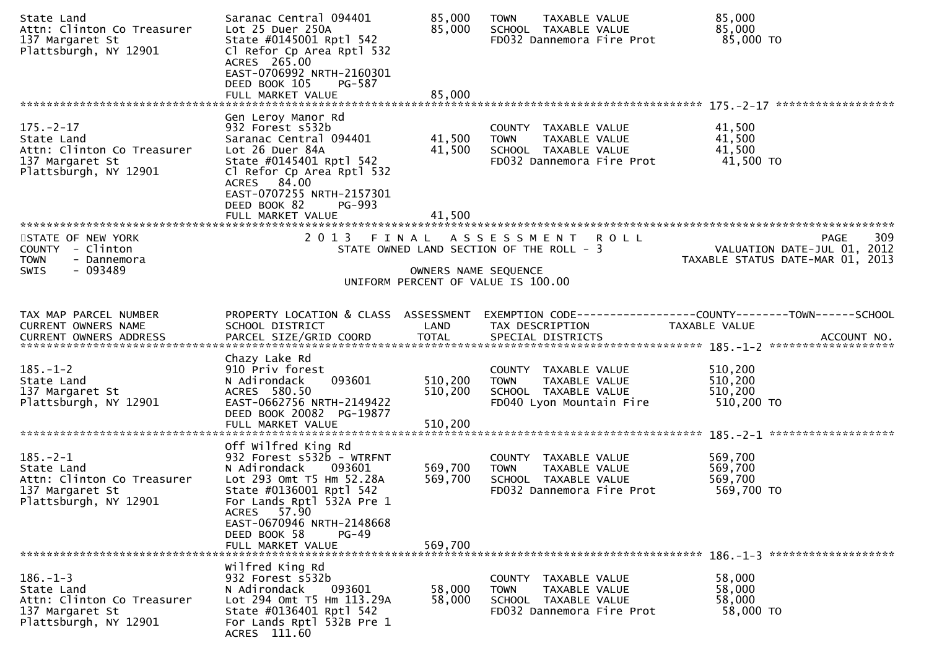| State Land<br>Attn: Clinton Co Treasurer<br>137 Margaret St<br>Plattsburgh, NY 12901                    | Saranac Central 094401<br>Lot 25 Duer 250A<br>State #0145001 Rptl 542<br>Cl Refor Cp Area Rptl 532<br>ACRES 265.00<br>EAST-0706992 NRTH-2160301<br>DEED BOOK 105<br>PG-587                                        | 85,000<br>85,000              | <b>TOWN</b><br>TAXABLE VALUE<br>SCHOOL TAXABLE VALUE<br>FD032 Dannemora Fire Prot                                | 85,000<br>85,000<br>85,000 TO                                                                                     |
|---------------------------------------------------------------------------------------------------------|-------------------------------------------------------------------------------------------------------------------------------------------------------------------------------------------------------------------|-------------------------------|------------------------------------------------------------------------------------------------------------------|-------------------------------------------------------------------------------------------------------------------|
|                                                                                                         | FULL MARKET VALUE                                                                                                                                                                                                 | 85,000                        |                                                                                                                  |                                                                                                                   |
| $175. - 2 - 17$<br>State Land<br>Attn: Clinton Co Treasurer<br>137 Margaret St<br>Plattsburgh, NY 12901 | Gen Leroy Manor Rd<br>932 Forest s532b<br>Saranac Central 094401<br>Lot 26 Duer 84A<br>State #0145401 Rptl 542<br>Cl Refor Cp Area Rptl 532<br>ACRES 84.00<br>EAST-0707255 NRTH-2157301<br>DEED BOOK 82<br>PG-993 | 41,500<br>41,500              | COUNTY TAXABLE VALUE<br><b>TOWN</b><br>TAXABLE VALUE<br>SCHOOL TAXABLE VALUE<br>FD032 Dannemora Fire Prot        | 41,500<br>41,500<br>41,500<br>41,500 TO                                                                           |
|                                                                                                         | FULL MARKET VALUE                                                                                                                                                                                                 | 41,500                        |                                                                                                                  |                                                                                                                   |
| STATE OF NEW YORK<br>COUNTY - Clinton<br><b>TOWN</b><br>- Dannemora                                     | 2 0 1 3                                                                                                                                                                                                           |                               | FINAL ASSESSMENT ROLL<br>STATE OWNED LAND SECTION OF THE ROLL - 3                                                | 309<br>PAGE<br>VALUATION DATE-JUL 01, 2012<br>TAXABLE STATUS DATE-MAR 01, 2013                                    |
| - 093489<br><b>SWIS</b>                                                                                 |                                                                                                                                                                                                                   | OWNERS NAME SEQUENCE          | UNIFORM PERCENT OF VALUE IS 100.00                                                                               |                                                                                                                   |
|                                                                                                         |                                                                                                                                                                                                                   |                               |                                                                                                                  |                                                                                                                   |
| TAX MAP PARCEL NUMBER<br>CURRENT OWNERS NAME                                                            | SCHOOL DISTRICT                                                                                                                                                                                                   | LAND                          | TAX DESCRIPTION                                                                                                  | PROPERTY LOCATION & CLASS ASSESSMENT EXEMPTION CODE----------------COUNTY-------TOWN------SCHOOL<br>TAXABLE VALUE |
| $185. - 1 - 2$<br>State Land<br>137 Margaret St<br>Plattsburgh, NY 12901                                | Chazy Lake Rd<br>910 Priv forest<br>093601<br>N Adirondack<br>ACRES 580.50<br>EAST-0662756 NRTH-2149422<br>DEED BOOK 20082 PG-19877<br>FULL MARKET VALUE                                                          | 510,200<br>510,200<br>510,200 | COUNTY TAXABLE VALUE<br>TAXABLE VALUE<br><b>TOWN</b><br>SCHOOL TAXABLE VALUE<br>FD040 Lyon Mountain Fire         | 510,200<br>510,200<br>510,200<br>510,200 TO                                                                       |
|                                                                                                         |                                                                                                                                                                                                                   |                               |                                                                                                                  |                                                                                                                   |
| $185. - 2 - 1$<br>State Land<br>Attn: Clinton Co Treasurer<br>137 Margaret St<br>Plattsburgh, NY 12901  | Off wilfred King Rd<br>932 Forest s532b - WTRFNT<br>N Adirondack<br>093601<br>Lot 293 Omt T5 Hm 52.28A<br>State #0136001 Rptl 542<br>For Lands Rptl 532A Pre 1<br>ACRES 57.90<br>EAST-0670946 NRTH-2148668        | 569,700<br>569,700            | COUNTY TAXABLE VALUE<br><b>TOWN</b><br>TAXABLE VALUE<br>SCHOOL TAXABLE VALUE<br>FD032 Dannemora Fire Prot        | 569,700<br>569,700<br>569,700<br>569,700 TO                                                                       |
|                                                                                                         | DEED BOOK 58<br>$PG-49$<br>FULL MARKET VALUE                                                                                                                                                                      | 569,700                       |                                                                                                                  |                                                                                                                   |
| $186. - 1 - 3$<br>State Land<br>Attn: Clinton Co Treasurer<br>137 Margaret St<br>Plattsburgh, NY 12901  | Wilfred King Rd<br>932 Forest s532b<br>093601<br>N Adirondack<br>Lot 294 Omt T5 Hm 113.29A<br>State #0136401 Rptl 542<br>For Lands Rptl 532B Pre 1<br>ACRES 111.60                                                | 58,000<br>58,000              | COUNTY TAXABLE VALUE<br><b>TAXABLE VALUE</b><br><b>TOWN</b><br>SCHOOL TAXABLE VALUE<br>FD032 Dannemora Fire Prot | 58,000<br>58,000<br>58,000<br>58,000 TO                                                                           |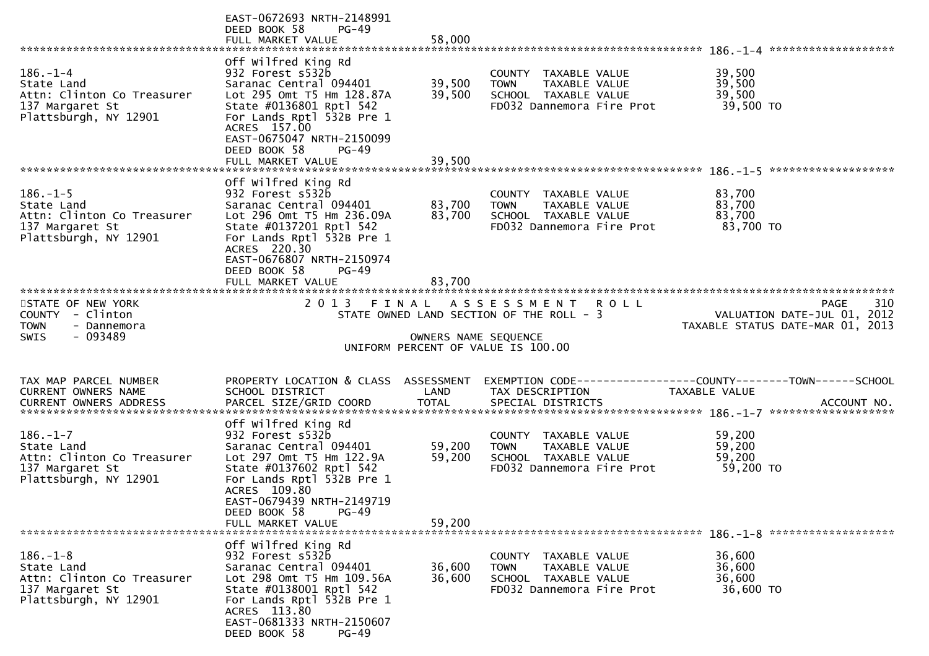|                                                                                                        | EAST-0672693 NRTH-2148991<br>DEED BOOK 58<br>PG-49<br>FULL MARKET VALUE                                                                                                                                                        | 58,000               |                                                                                                           |                                                                                |     |
|--------------------------------------------------------------------------------------------------------|--------------------------------------------------------------------------------------------------------------------------------------------------------------------------------------------------------------------------------|----------------------|-----------------------------------------------------------------------------------------------------------|--------------------------------------------------------------------------------|-----|
|                                                                                                        |                                                                                                                                                                                                                                |                      |                                                                                                           |                                                                                |     |
| $186. - 1 - 4$<br>State Land<br>Attn: Clinton Co Treasurer<br>137 Margaret St                          | Off wilfred King Rd<br>932 Forest s532b<br>Saranac Central 094401<br>Lot 295 Omt T5 Hm 128.87A<br>State #0136801 Rptl 542                                                                                                      | 39,500<br>39,500     | COUNTY TAXABLE VALUE<br><b>TOWN</b><br>TAXABLE VALUE<br>SCHOOL TAXABLE VALUE<br>FD032 Dannemora Fire Prot | 39,500<br>39,500<br>39,500<br>39,500 TO                                        |     |
| Plattsburgh, NY 12901                                                                                  | For Lands Rptl 532B Pre 1<br>ACRES 157.00<br>EAST-0675047 NRTH-2150099<br>DEED BOOK 58<br><b>PG-49</b><br>FULL MARKET VALUE                                                                                                    | 39,500               |                                                                                                           |                                                                                |     |
|                                                                                                        |                                                                                                                                                                                                                                |                      |                                                                                                           |                                                                                |     |
| $186. - 1 - 5$<br>State Land<br>Attn: Clinton Co Treasurer<br>137 Margaret St<br>Plattsburgh, NY 12901 | Off wilfred King Rd<br>932 Forest s532b<br>Saranac Central 094401<br>Lot 296 Omt T5 Hm 236.09A<br>State #0137201 Rptl 542<br>For Lands Rptl 532B Pre 1<br>ACRES 220.30<br>EAST-0676807 NRTH-2150974<br>DEED BOOK 58<br>$PG-49$ | 83,700<br>83,700     | COUNTY TAXABLE VALUE<br>TAXABLE VALUE<br><b>TOWN</b><br>SCHOOL TAXABLE VALUE<br>FD032 Dannemora Fire Prot | 83,700<br>83,700<br>83,700<br>83,700 TO                                        |     |
|                                                                                                        |                                                                                                                                                                                                                                |                      |                                                                                                           |                                                                                |     |
|                                                                                                        |                                                                                                                                                                                                                                |                      |                                                                                                           |                                                                                |     |
| STATE OF NEW YORK<br>COUNTY - Clinton<br><b>TOWN</b><br>- Dannemora<br>- 093489<br><b>SWIS</b>         |                                                                                                                                                                                                                                |                      | 2013 FINAL ASSESSMENT ROLL<br>STATE OWNED LAND SECTION OF THE ROLL - 3                                    | <b>PAGE</b><br>VALUATION DATE-JUL 01, 2012<br>TAXABLE STATUS DATE-MAR 01, 2013 | 310 |
|                                                                                                        |                                                                                                                                                                                                                                | OWNERS NAME SEQUENCE | UNIFORM PERCENT OF VALUE IS 100.00                                                                        |                                                                                |     |
|                                                                                                        |                                                                                                                                                                                                                                |                      |                                                                                                           |                                                                                |     |
| TAX MAP PARCEL NUMBER                                                                                  | PROPERTY LOCATION & CLASS ASSESSMENT                                                                                                                                                                                           |                      |                                                                                                           |                                                                                |     |
| CURRENT OWNERS NAME                                                                                    | SCHOOL DISTRICT                                                                                                                                                                                                                | LAND                 | TAX DESCRIPTION                                                                                           | TAXABLE VALUE                                                                  |     |
|                                                                                                        | Off wilfred King Rd                                                                                                                                                                                                            |                      |                                                                                                           |                                                                                |     |
| $186. - 1 - 7$<br>State Land                                                                           | 932 Forest s532b<br>Saranac Central 094401                                                                                                                                                                                     | 59,200               | COUNTY TAXABLE VALUE<br><b>TOWN</b><br>TAXABLE VALUE                                                      | 59,200<br>59,200                                                               |     |
| Attn: Clinton Co Treasurer                                                                             | Lot 297 Omt T5 Hm 122.9A                                                                                                                                                                                                       | 59,200               | SCHOOL TAXABLE VALUE                                                                                      | 59,200                                                                         |     |
| 137 Margaret St<br>Plattsburgh, NY 12901                                                               | State #0137602 Rptl 542<br>For Lands Rptl 532B Pre 1<br>ACRES 109.80<br>EAST-0679439 NRTH-2149719<br>$PG-49$<br>DEED BOOK 58                                                                                                   |                      | FD032 Dannemora Fire Prot                                                                                 | 59,200 TO                                                                      |     |
|                                                                                                        | FULL MARKET VALUE                                                                                                                                                                                                              | 59,200               |                                                                                                           |                                                                                |     |
|                                                                                                        | Off wilfred King Rd                                                                                                                                                                                                            |                      |                                                                                                           |                                                                                |     |
| $186. - 1 - 8$                                                                                         | 932 Forest s532b                                                                                                                                                                                                               |                      | COUNTY<br>TAXABLE VALUE                                                                                   | 36,600                                                                         |     |
| State Land                                                                                             | Saranac Central 094401                                                                                                                                                                                                         | 36,600               | <b>TOWN</b><br>TAXABLE VALUE                                                                              | 36,600                                                                         |     |
| Attn: Clinton Co Treasurer<br>137 Margaret St                                                          | Lot 298 Omt T5 Hm 109.56A<br>State #0138001 Rptl 542                                                                                                                                                                           | 36,600               | SCHOOL TAXABLE VALUE<br>FD032 Dannemora Fire Prot                                                         | 36,600<br>36,600 TO                                                            |     |
| Plattsburgh, NY 12901                                                                                  | For Lands Rptl 532B Pre 1<br>ACRES 113.80                                                                                                                                                                                      |                      |                                                                                                           |                                                                                |     |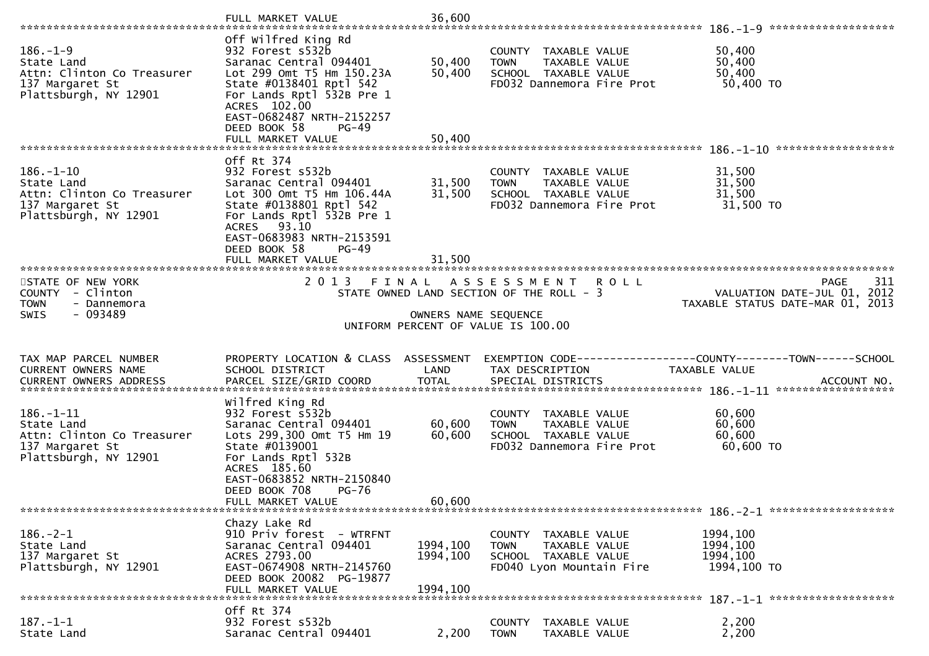|                                                                                                        | FULL MARKET VALUE                                                                                                                                                                                                                                   | 36,600                     |                                                                                                           |                                                                                              |
|--------------------------------------------------------------------------------------------------------|-----------------------------------------------------------------------------------------------------------------------------------------------------------------------------------------------------------------------------------------------------|----------------------------|-----------------------------------------------------------------------------------------------------------|----------------------------------------------------------------------------------------------|
| $186. - 1 - 9$<br>State Land<br>Attn: Clinton Co Treasurer<br>137 Margaret St<br>Plattsburgh, NY 12901 | Off wilfred King Rd<br>932 Forest s532b<br>Saranac Central 094401<br>Lot 299 Omt T5 Hm 150.23A<br>State #0138401 Rptl 542<br>For Lands Rptl 532B Pre 1<br>ACRES 102.00<br>EAST-0682487 NRTH-2152257<br>DEED BOOK 58<br>$PG-49$<br>FULL MARKET VALUE | 50,400<br>50,400<br>50,400 | COUNTY TAXABLE VALUE<br><b>TOWN</b><br>TAXABLE VALUE<br>SCHOOL TAXABLE VALUE<br>FD032 Dannemora Fire Prot | 50,400<br>50,400<br>50,400<br>50,400 TO                                                      |
| $186. - 1 - 10$                                                                                        | Off Rt 374<br>932 Forest s532b                                                                                                                                                                                                                      |                            | COUNTY<br>TAXABLE VALUE                                                                                   | 31,500                                                                                       |
| State Land<br>Attn: Clinton Co Treasurer<br>137 Margaret St<br>Plattsburgh, NY 12901                   | Saranac Central 094401<br>Lot 300 Omt T5 Hm 106.44A<br>State #0138801 Rptl 542<br>For Lands Rptl 532B Pre 1<br>ACRES 93.10<br>EAST-0683983 NRTH-2153591<br>DEED BOOK 58<br>$PG-49$                                                                  | 31,500<br>31,500           | <b>TOWN</b><br>TAXABLE VALUE<br>SCHOOL TAXABLE VALUE<br>FD032 Dannemora Fire Prot                         | 31,500<br>31,500<br>31,500 TO                                                                |
|                                                                                                        | FULL MARKET VALUE                                                                                                                                                                                                                                   | 31,500                     |                                                                                                           |                                                                                              |
| STATE OF NEW YORK<br>COUNTY - Clinton<br><b>TOWN</b><br>- Dannemora                                    | 2013 FINAL                                                                                                                                                                                                                                          |                            | A S S E S S M E N T<br>R O L L<br>STATE OWNED LAND SECTION OF THE ROLL - 3                                | 311<br><b>PAGE</b><br>VALUATION DATE-JUL 01, 2012<br>TAXABLE STATUS DATE-MAR 01, 2013        |
| $-093489$<br>SWIS                                                                                      |                                                                                                                                                                                                                                                     | OWNERS NAME SEQUENCE       |                                                                                                           |                                                                                              |
|                                                                                                        |                                                                                                                                                                                                                                                     |                            | UNIFORM PERCENT OF VALUE IS 100.00                                                                        |                                                                                              |
|                                                                                                        |                                                                                                                                                                                                                                                     |                            |                                                                                                           |                                                                                              |
| TAX MAP PARCEL NUMBER<br>CURRENT OWNERS NAME                                                           | PROPERTY LOCATION & CLASS ASSESSMENT<br>SCHOOL DISTRICT                                                                                                                                                                                             | LAND                       | TAX DESCRIPTION                                                                                           | EXEMPTION CODE-----------------COUNTY-------TOWN------SCHOOL<br>TAXABLE VALUE<br>ACCOUNT NO. |
|                                                                                                        | Wilfred King Rd                                                                                                                                                                                                                                     |                            |                                                                                                           | ******************                                                                           |
| 186.-1-11<br>State Land                                                                                | 932 Forest s532b<br>Saranac Central 094401                                                                                                                                                                                                          | 60,600                     | COUNTY TAXABLE VALUE<br><b>TOWN</b><br>TAXABLE VALUE                                                      | 60,600<br>60,600                                                                             |
| Attn: Clinton Co Treasurer<br>137 Margaret St<br>Plattsburgh, NY 12901                                 | Lots 299,300 Omt T5 Hm 19<br>State #0139001<br>For Lands Rptl 532B<br>ACRES 185.60                                                                                                                                                                  | 60,600                     | SCHOOL TAXABLE VALUE<br>FD032 Dannemora Fire Prot                                                         | 60,600<br>60,600 TO                                                                          |
|                                                                                                        | EAST-0683852 NRTH-2150840<br><b>PG-76</b><br>DEED BOOK 708                                                                                                                                                                                          |                            |                                                                                                           |                                                                                              |
|                                                                                                        | FULL MARKET VALUE                                                                                                                                                                                                                                   | 60,600                     |                                                                                                           |                                                                                              |
|                                                                                                        | Chazy Lake Rd                                                                                                                                                                                                                                       |                            |                                                                                                           |                                                                                              |
| $186. - 2 - 1$<br>State Land                                                                           | 910 Priv forest - WTRFNT<br>Saranac Central 094401                                                                                                                                                                                                  | 1994,100                   | COUNTY TAXABLE VALUE<br>TAXABLE VALUE<br><b>TOWN</b>                                                      | 1994,100<br>1994,100                                                                         |
| 137 Margaret St<br>Plattsburgh, NY 12901                                                               | ACRES 2793.00<br>EAST-0674908 NRTH-2145760                                                                                                                                                                                                          | 1994,100                   | SCHOOL TAXABLE VALUE<br>FD040 Lyon Mountain Fire                                                          | 1994,100<br>1994,100 TO                                                                      |
|                                                                                                        | DEED BOOK 20082 PG-19877<br>FULL MARKET VALUE                                                                                                                                                                                                       | 1994.100                   |                                                                                                           |                                                                                              |
| $187. - 1 - 1$                                                                                         | Off Rt 374<br>932 Forest s532b                                                                                                                                                                                                                      |                            | COUNTY<br>TAXABLE VALUE                                                                                   | 2,200                                                                                        |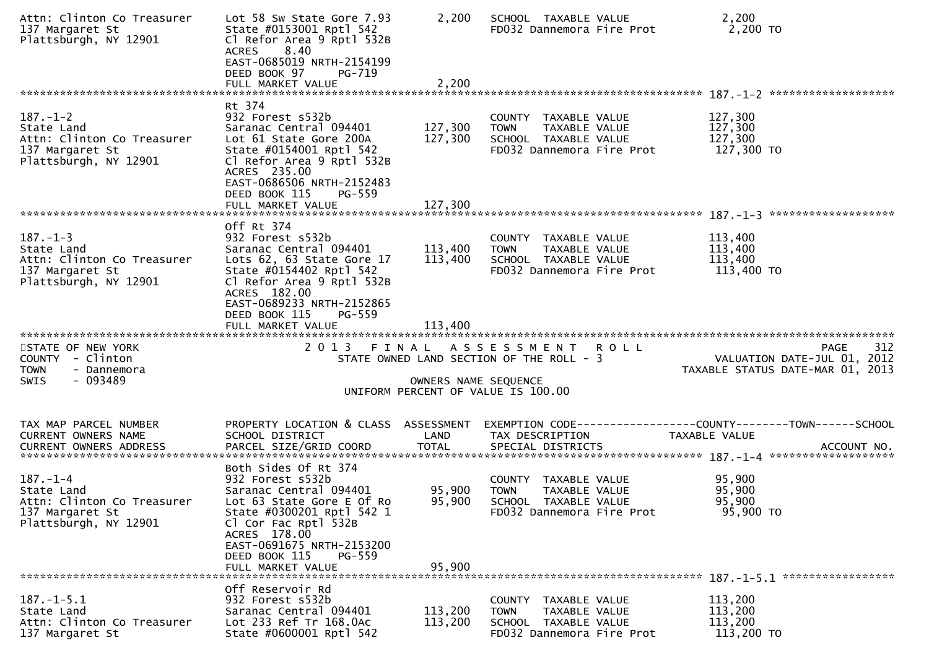| Attn: Clinton Co Treasurer<br>137 Margaret St<br>Plattsburgh, NY 12901                                 | Lot 58 Sw State Gore 7.93<br>State #0153001 Rptl 542<br>Cl Refor Area 9 Rptl 532B<br>8.40<br><b>ACRES</b><br>EAST-0685019 NRTH-2154199<br>DEED BOOK 97<br>PG-719                                                                                    | 2,200                           | SCHOOL TAXABLE VALUE<br>FD032 Dannemora Fire Prot                                                            | 2,200<br>2,200 TO                                                              |
|--------------------------------------------------------------------------------------------------------|-----------------------------------------------------------------------------------------------------------------------------------------------------------------------------------------------------------------------------------------------------|---------------------------------|--------------------------------------------------------------------------------------------------------------|--------------------------------------------------------------------------------|
|                                                                                                        |                                                                                                                                                                                                                                                     |                                 |                                                                                                              |                                                                                |
| $187. - 1 - 2$<br>State Land<br>Attn: Clinton Co Treasurer<br>137 Margaret St<br>Plattsburgh, NY 12901 | Rt 374<br>932 Forest s532b<br>Saranac Central 094401<br>Lot 61 State Gore 200A<br>State #0154001 Rptl 542<br>Cl Refor Area 9 Rptl 532B<br>ACRES 235.00<br>EAST-0686506 NRTH-2152483<br>DEED BOOK 115<br>PG-559                                      | 127,300<br>127,300              | COUNTY TAXABLE VALUE<br><b>TOWN</b><br>TAXABLE VALUE<br>SCHOOL TAXABLE VALUE<br>FD032 Dannemora Fire Prot    | 127,300<br>127,300<br>127,300<br>127,300 TO                                    |
|                                                                                                        |                                                                                                                                                                                                                                                     |                                 |                                                                                                              |                                                                                |
| $187. - 1 - 3$<br>State Land<br>Attn: Clinton Co Treasurer<br>137 Margaret St<br>Plattsburgh, NY 12901 | Off Rt 374<br>932 Forest s532b<br>Saranac Central 094401<br>Lots 62, 63 State Gore 17<br>State #0154402 Rptl 542<br>Cl Refor Area 9 Rptl 532B<br>ACRES 182.00                                                                                       | 113,400<br>113,400              | COUNTY TAXABLE VALUE<br><b>TOWN</b><br>TAXABLE VALUE<br>SCHOOL TAXABLE VALUE<br>FD032 Dannemora Fire Prot    | 113,400<br>113,400<br>113,400<br>113,400 TO                                    |
| STATE OF NEW YORK<br>COUNTY - Clinton<br><b>TOWN</b><br>- Dannemora<br>$-093489$<br><b>SWIS</b>        | EAST-0689233 NRTH-2152865<br>DEED BOOK 115<br>PG-559<br>FULL MARKET VALUE                                                                                                                                                                           | 113,400<br>OWNERS NAME SEQUENCE | 2013 FINAL ASSESSMENT ROLL<br>STATE OWNED LAND SECTION OF THE ROLL - 3<br>UNIFORM PERCENT OF VALUE IS 100.00 | 312<br>PAGE<br>VALUATION DATE-JUL 01, 2012<br>TAXABLE STATUS DATE-MAR 01, 2013 |
| TAX MAP PARCEL NUMBER<br>CURRENT OWNERS NAME                                                           | PROPERTY LOCATION & CLASS ASSESSMENT<br>SCHOOL DISTRICT                                                                                                                                                                                             | LAND                            | TAX DESCRIPTION                                                                                              | EXEMPTION CODE-----------------COUNTY-------TOWN------SCHOOL<br>TAXABLE VALUE  |
| $187. - 1 - 4$<br>State Land<br>Attn: Clinton Co Treasurer<br>137 Margaret St<br>Plattsburgh, NY 12901 | Both Sides Of Rt 374<br>932 Forest s532b<br>Saranac Central 094401<br>Lot 63 State Gore E Of Ro<br>State #0300201 Rptl 542 1<br>Cl Cor Fac Rptl 532B<br>ACRES 178.00<br>EAST-0691675 NRTH-2153200<br>DEED BOOK 115<br>$PG-559$<br>FULL MARKET VALUE | 95,900<br>95,900<br>95,900      | COUNTY TAXABLE VALUE<br><b>TOWN</b><br>TAXABLE VALUE<br>SCHOOL TAXABLE VALUE<br>FD032 Dannemora Fire Prot    | 95,900<br>95,900<br>95,900<br>95,900 TO                                        |
| $187. - 1 - 5.1$<br>State Land<br>Attn: Clinton Co Treasurer                                           | Off Reservoir Rd<br>932 Forest s532b                                                                                                                                                                                                                | 113,200                         | COUNTY TAXABLE VALUE                                                                                         | 113,200<br>113,200                                                             |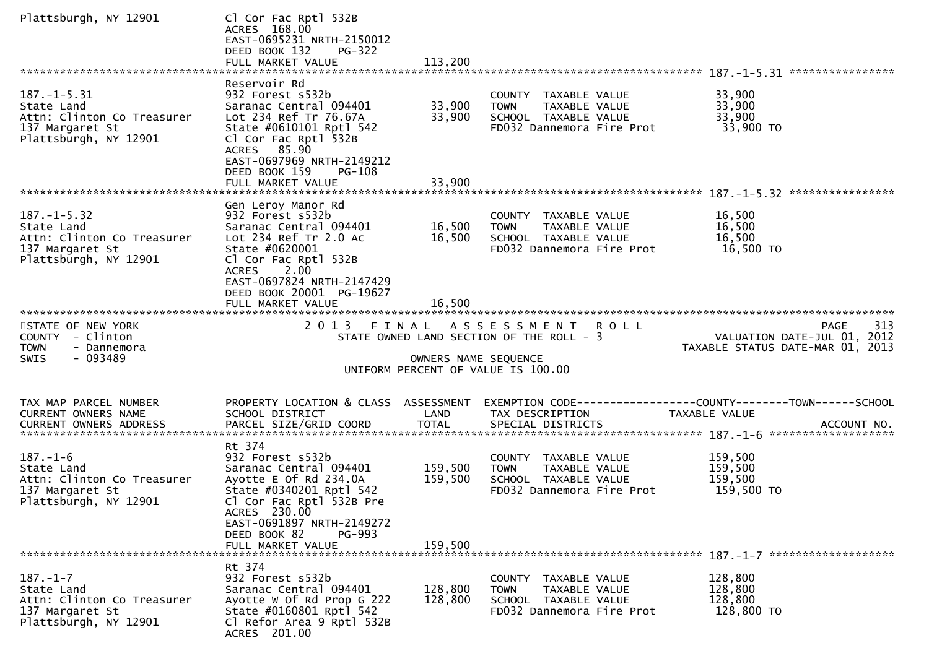| Plattsburgh, NY 12901                                                                                     | Cl Cor Fac Rptl 532B<br>ACRES 168.00<br>EAST-0695231 NRTH-2150012<br>DEED BOOK 132<br><b>PG-322</b><br>FULL MARKET VALUE                                                                                        | 113,200                       |                                                                                                           |                                                                                       |
|-----------------------------------------------------------------------------------------------------------|-----------------------------------------------------------------------------------------------------------------------------------------------------------------------------------------------------------------|-------------------------------|-----------------------------------------------------------------------------------------------------------|---------------------------------------------------------------------------------------|
|                                                                                                           |                                                                                                                                                                                                                 |                               |                                                                                                           |                                                                                       |
| $187. - 1 - 5.31$<br>State Land<br>Attn: Clinton Co Treasurer<br>137 Margaret St<br>Plattsburgh, NY 12901 | Reservoir Rd<br>932 Forest s532b<br>Saranac Central 094401<br>Lot 234 Ref Tr 76.67A<br>State #0610101 Rptl 542<br>Cl Cor Fac Rptl 532B<br>ACRES 85.90<br>EAST-0697969 NRTH-2149212<br>DEED BOOK 159<br>$PG-108$ | 33,900<br>33,900              | COUNTY TAXABLE VALUE<br>TAXABLE VALUE<br><b>TOWN</b><br>SCHOOL TAXABLE VALUE<br>FD032 Dannemora Fire Prot | 33,900<br>33,900<br>33,900<br>33,900 TO                                               |
|                                                                                                           |                                                                                                                                                                                                                 |                               |                                                                                                           |                                                                                       |
| $187. - 1 - 5.32$<br>State Land<br>Attn: Clinton Co Treasurer<br>137 Margaret St<br>Plattsburgh, NY 12901 | Gen Leroy Manor Rd<br>932 Forest s532b<br>Saranac Central 094401<br>Lot 234 Ref Tr 2.0 Ac<br>State #0620001<br>Cl Cor Fac Rptl 532B<br>2.00<br><b>ACRES</b>                                                     | 16,500<br>16,500              | COUNTY TAXABLE VALUE<br>TAXABLE VALUE<br><b>TOWN</b><br>SCHOOL TAXABLE VALUE<br>FD032 Dannemora Fire Prot | 16,500<br>16,500<br>16,500<br>16,500 TO                                               |
|                                                                                                           | EAST-0697824 NRTH-2147429<br>DEED BOOK 20001 PG-19627<br>FULL MARKET VALUE                                                                                                                                      | 16.500                        |                                                                                                           |                                                                                       |
| STATE OF NEW YORK<br>COUNTY - Clinton<br><b>TOWN</b><br>- Dannemora<br>- 093489<br>SWIS                   | 2 0 1 3                                                                                                                                                                                                         | FINAL<br>OWNERS NAME SEQUENCE | ASSESSMENT ROLL<br>STATE OWNED LAND SECTION OF THE ROLL - 3<br>UNIFORM PERCENT OF VALUE IS 100.00         | 313<br><b>PAGE</b><br>VALUATION DATE-JUL 01, 2012<br>TAXABLE STATUS DATE-MAR 01, 2013 |
|                                                                                                           |                                                                                                                                                                                                                 |                               |                                                                                                           |                                                                                       |
| TAX MAP PARCEL NUMBER<br>CURRENT OWNERS NAME                                                              | PROPERTY LOCATION & CLASS ASSESSMENT<br>SCHOOL DISTRICT                                                                                                                                                         | LAND                          | TAX DESCRIPTION                                                                                           | EXEMPTION CODE-----------------COUNTY-------TOWN------SCHOOL<br>TAXABLE VALUE         |
| $187. - 1 - 6$<br>State Land<br>Attn: Clinton Co Treasurer<br>137 Margaret St<br>Plattsburgh, NY 12901    | Rt 374<br>932 Forest s532b<br>Saranac Central 094401<br>Ayotte E Of Rd 234.0A<br>State #0340201 Rptl 542<br>Cl Cor Fac Rptl 532B Pre<br>ACRES 230.00<br>EAST-0691897 NRTH-2149272<br>DEED BOOK 82<br>PG-993     | 159,500<br>159,500            | COUNTY TAXABLE VALUE<br>TAXABLE VALUE<br><b>TOWN</b><br>SCHOOL TAXABLE VALUE<br>FD032 Dannemora Fire Prot | 159,500<br>159,500<br>159,500<br>159,500 TO                                           |
|                                                                                                           | FULL MARKET VALUE                                                                                                                                                                                               | 159,500                       |                                                                                                           |                                                                                       |
| $187. - 1 - 7$<br>State Land<br>Attn: Clinton Co Treasurer<br>137 Margaret St<br>Plattsburgh, NY 12901    | Rt 374<br>932 Forest s532b<br>Saranac Central 094401<br>Ayotte W Of Rd Prop G 222<br>State #0160801 Rptl 542<br>Cl Refor Area 9 Rptl 532B<br>ACRES 201.00                                                       | 128,800<br>128,800            | COUNTY TAXABLE VALUE<br>TAXABLE VALUE<br><b>TOWN</b><br>SCHOOL TAXABLE VALUE<br>FD032 Dannemora Fire Prot | 128,800<br>128,800<br>128,800<br>128,800 TO                                           |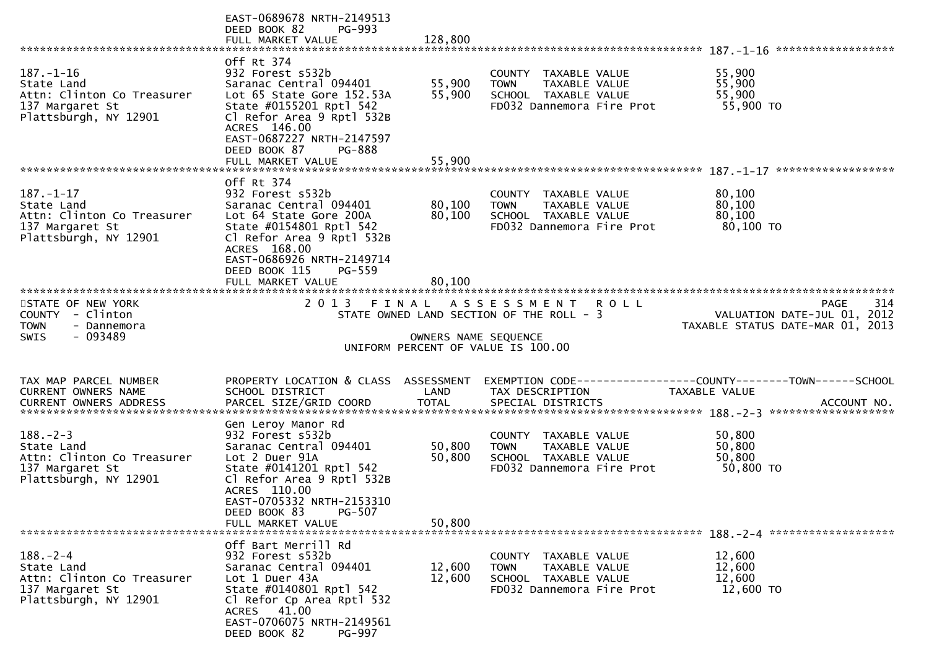|                                                                                                         | EAST-0689678 NRTH-2149513<br>DEED BOOK 82<br>PG-993<br>FULL MARKET VALUE                                                                                                | 128,800              |                                                                                                           |                                                                                 |
|---------------------------------------------------------------------------------------------------------|-------------------------------------------------------------------------------------------------------------------------------------------------------------------------|----------------------|-----------------------------------------------------------------------------------------------------------|---------------------------------------------------------------------------------|
|                                                                                                         |                                                                                                                                                                         |                      |                                                                                                           |                                                                                 |
| $187. - 1 - 16$<br>State Land<br>Attn: Clinton Co Treasurer<br>137 Margaret St                          | Off Rt 374<br>932 Forest s532b<br>Saranac Central 094401<br>Lot 65 State Gore 152.53A<br>State #0155201 Rptl 542                                                        | 55,900<br>55,900     | COUNTY TAXABLE VALUE<br>TAXABLE VALUE<br><b>TOWN</b><br>SCHOOL TAXABLE VALUE<br>FD032 Dannemora Fire Prot | 55,900<br>55,900<br>55,900<br>55,900 TO                                         |
| Plattsburgh, NY 12901                                                                                   | Cl Refor Area 9 Rptl 532B<br>ACRES 146.00<br>EAST-0687227 NRTH-2147597<br>DEED BOOK 87<br>PG-888<br>FULL MARKET VALUE                                                   | 55,900               |                                                                                                           |                                                                                 |
|                                                                                                         |                                                                                                                                                                         |                      |                                                                                                           | ******************                                                              |
| $187. - 1 - 17$<br>State Land<br>Attn: Clinton Co Treasurer<br>137 Margaret St<br>Plattsburgh, NY 12901 | Off Rt 374<br>932 Forest s532b<br>Saranac Central 094401<br>Lot 64 State Gore 200A<br>State #0154801 Rptl 542<br>Cl Refor Area 9 Rptl 532B                              | 80,100<br>80,100     | COUNTY TAXABLE VALUE<br>TAXABLE VALUE<br><b>TOWN</b><br>SCHOOL TAXABLE VALUE<br>FD032 Dannemora Fire Prot | 80,100<br>80,100<br>80,100<br>80,100 TO                                         |
|                                                                                                         | ACRES 168.00<br>EAST-0686926 NRTH-2149714<br>DEED BOOK 115<br>PG-559                                                                                                    |                      |                                                                                                           |                                                                                 |
|                                                                                                         | 2 0 1 3                                                                                                                                                                 |                      |                                                                                                           | 314                                                                             |
| STATE OF NEW YORK<br>COUNTY - Clinton<br><b>TOWN</b><br>- Dannemora                                     |                                                                                                                                                                         |                      | FINAL ASSESSMENT ROLL<br>STATE OWNED LAND SECTION OF THE ROLL - 3                                         | PAGE<br>VALUATION DATE-JUL 01, 2012<br>TAXABLE STATUS DATE-MAR 01, 2013         |
| - 093489<br><b>SWIS</b>                                                                                 |                                                                                                                                                                         | OWNERS NAME SEQUENCE | UNIFORM PERCENT OF VALUE IS 100.00                                                                        |                                                                                 |
| TAX MAP PARCEL NUMBER<br>CURRENT OWNERS NAME                                                            | PROPERTY LOCATION & CLASS ASSESSMENT<br>SCHOOL DISTRICT                                                                                                                 | LAND                 | TAX DESCRIPTION                                                                                           | EXEMPTION CODE------------------COUNTY--------TOWN------SCHOOL<br>TAXABLE VALUE |
| $188. - 2 - 3$                                                                                          | Gen Leroy Manor Rd<br>932 Forest s532b                                                                                                                                  |                      | COUNTY TAXABLE VALUE                                                                                      | 50,800                                                                          |
| State Land<br>Attn: Clinton Co Treasurer<br>137 Margaret St<br>Plattsburgh, NY 12901                    | Saranac Central 094401<br>Lot 2 Duer 91A<br>State #0141201 Rptl 542<br>Cl Refor Area 9 Rptl 532B<br>ACRES 110.00<br>EAST-0705332 NRTH-2153310<br>PG-507<br>DEED BOOK 83 | 50,800<br>50,800     | <b>TOWN</b><br>TAXABLE VALUE<br>SCHOOL TAXABLE VALUE<br>FD032 Dannemora Fire Prot                         | 50,800<br>50,800<br>50,800 TO                                                   |
|                                                                                                         | FULL MARKET VALUE                                                                                                                                                       | 50,800               |                                                                                                           |                                                                                 |
|                                                                                                         | Off Bart Merrill Rd                                                                                                                                                     |                      |                                                                                                           |                                                                                 |
| $188. - 2 - 4$                                                                                          | 932 Forest s532b                                                                                                                                                        |                      | COUNTY TAXABLE VALUE                                                                                      | 12,600                                                                          |
| State Land<br>Attn: Clinton Co Treasurer                                                                | Saranac Central 094401<br>Lot 1 Duer 43A                                                                                                                                | 12,600<br>12,600     | <b>TOWN</b><br>TAXABLE VALUE<br>SCHOOL TAXABLE VALUE                                                      | 12,600<br>12,600                                                                |
| 137 Margaret St<br>Plattsburgh, NY 12901                                                                | State #0140801 Rptl 542                                                                                                                                                 |                      | FD032 Dannemora Fire Prot                                                                                 | 12,600 TO                                                                       |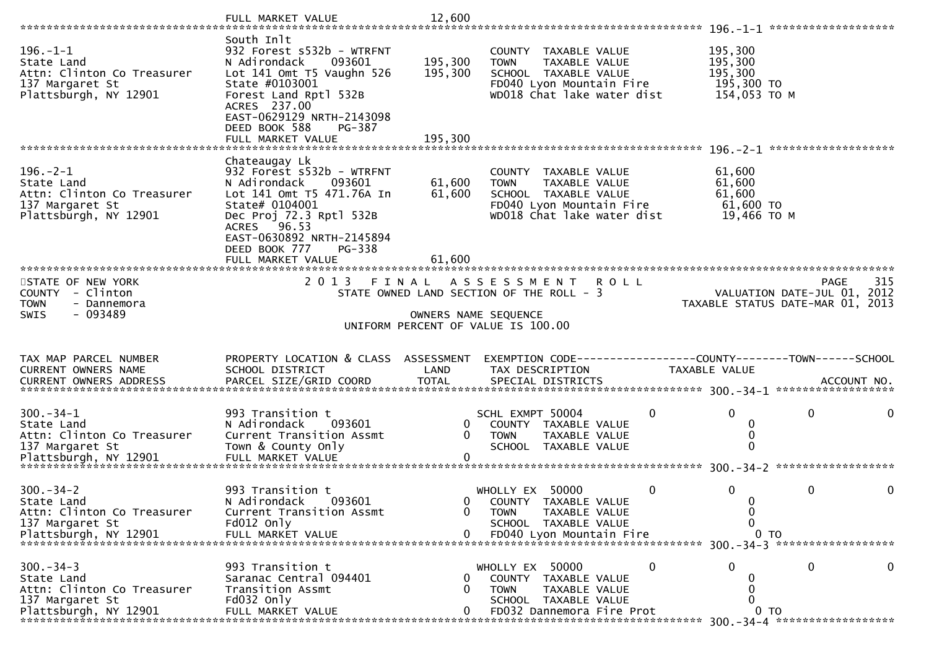|                                                                                                        | FULL MARKET VALUE                                                                                                                                                                                                                          | 12,600                        |                                                                                                                                        |                      |                                                             |                                                                                |
|--------------------------------------------------------------------------------------------------------|--------------------------------------------------------------------------------------------------------------------------------------------------------------------------------------------------------------------------------------------|-------------------------------|----------------------------------------------------------------------------------------------------------------------------------------|----------------------|-------------------------------------------------------------|--------------------------------------------------------------------------------|
|                                                                                                        | South Inlt                                                                                                                                                                                                                                 |                               |                                                                                                                                        |                      |                                                             |                                                                                |
| $196. - 1 - 1$<br>State Land<br>Attn: Clinton Co Treasurer<br>137 Margaret St<br>Plattsburgh, NY 12901 | 932 Forest s532b - WTRFNT<br>N Adirondack<br>093601<br>Lot 141 Omt T5 Vaughn 526<br>State #0103001<br>Forest Land Rptl 532B<br>ACRES 237.00<br>EAST-0629129 NRTH-2143098<br>DEED BOOK 588<br>PG-387<br>FULL MARKET VALUE                   | 195,300<br>195,300<br>195,300 | COUNTY TAXABLE VALUE<br><b>TOWN</b><br>TAXABLE VALUE<br>SCHOOL TAXABLE VALUE<br>FD040 Lyon Mountain Fire<br>WD018 Chat lake water dist |                      | 195,300<br>195,300<br>195,300<br>195,300 TO<br>154,053 TO M |                                                                                |
|                                                                                                        |                                                                                                                                                                                                                                            |                               |                                                                                                                                        |                      |                                                             |                                                                                |
| $196. - 2 - 1$<br>State Land<br>Attn: Clinton Co Treasurer<br>137 Margaret St<br>Plattsburgh, NY 12901 | Chateaugay Lk<br>932 Forest s532b - WTRFNT<br>093601<br>N Adirondack<br>Lot 141 Omt T5 471.76A In<br>State# 0104001<br>Dec Proj 72.3 Rptl 532B<br>ACRES 96.53<br>EAST-0630892 NRTH-2145894<br>DEED BOOK 777<br>PG-338<br>FULL MARKET VALUE | 61,600<br>61,600<br>61,600    | COUNTY TAXABLE VALUE<br><b>TOWN</b><br>TAXABLE VALUE<br>SCHOOL TAXABLE VALUE<br>FD040 Lyon Mountain Fire<br>WD018 Chat lake water dist |                      | 61,600<br>61,600<br>61,600<br>61,600 TO<br>19,466 ТО М      |                                                                                |
|                                                                                                        |                                                                                                                                                                                                                                            |                               |                                                                                                                                        |                      |                                                             |                                                                                |
| STATE OF NEW YORK<br>COUNTY - Clinton<br><b>TOWN</b><br>- Dannemora<br><b>SWIS</b><br>- 093489         |                                                                                                                                                                                                                                            | OWNERS NAME SEQUENCE          | 2013 FINAL ASSESSMENT<br>R O L L<br>STATE OWNED LAND SECTION OF THE ROLL - 3<br>UNIFORM PERCENT OF VALUE IS 100.00                     |                      |                                                             | 315<br>PAGE<br>VALUATION DATE-JUL 01, 2012<br>TAXABLE STATUS DATE-MAR 01, 2013 |
| TAX MAP PARCEL NUMBER<br>CURRENT OWNERS NAME                                                           | PROPERTY LOCATION & CLASS ASSESSMENT<br>SCHOOL DISTRICT                                                                                                                                                                                    | LAND                          | EXEMPTION CODE-----------------COUNTY-------TOWN------SCHOOL<br>TAX DESCRIPTION                                                        | <b>TAXABLE VALUE</b> |                                                             |                                                                                |
| $300 - 34 - 1$<br>State Land<br>Attn: Clinton Co Treasurer<br>137 Margaret St                          | 993 Transition t<br>N Adirondack<br>093601<br>Current Transition Assmt<br>Town & County Only                                                                                                                                               | 0<br>0                        | SCHL EXMPT 50004<br>COUNTY TAXABLE VALUE<br><b>TOWN</b><br>TAXABLE VALUE<br>SCHOOL TAXABLE VALUE                                       | 0                    | $\Omega$<br>0<br>0<br>$\mathbf{0}$                          | 0                                                                              |
| $300 - 34 - 2$<br>State Land<br>Attn: Clinton Co Treasurer<br>137 Margaret St                          | 993 Transition t<br>093601<br>N Adirondack<br>Current Transition Assmt<br>Fd012 Only                                                                                                                                                       | 0<br>0                        | WHOLLY EX 50000<br>COUNTY TAXABLE VALUE<br><b>TOWN</b><br>TAXABLE VALUE<br>SCHOOL TAXABLE VALUE                                        | $\mathbf 0$          | $\Omega$<br>$\mathbf{0}$<br>0<br>0                          | 0                                                                              |
| $300 - 34 - 3$<br>State Land<br>Attn: Clinton Co Treasurer<br>137 Margaret St<br>Plattsburgh, NY 12901 | 993 Transition t<br>Saranac Central 094401<br>Transition Assmt<br>Fd032 Only<br>FULL MARKET VALUE                                                                                                                                          | $\Omega$<br>$\Omega$<br>0     | WHOLLY EX 50000<br>COUNTY TAXABLE VALUE<br><b>TOWN</b><br>TAXABLE VALUE<br>SCHOOL TAXABLE VALUE<br>FD032 Dannemora Fire Prot           | 0                    | 0<br>$\mathbf{\Omega}$<br>0<br>ი<br>0 <sub>T</sub>          | 0<br>0                                                                         |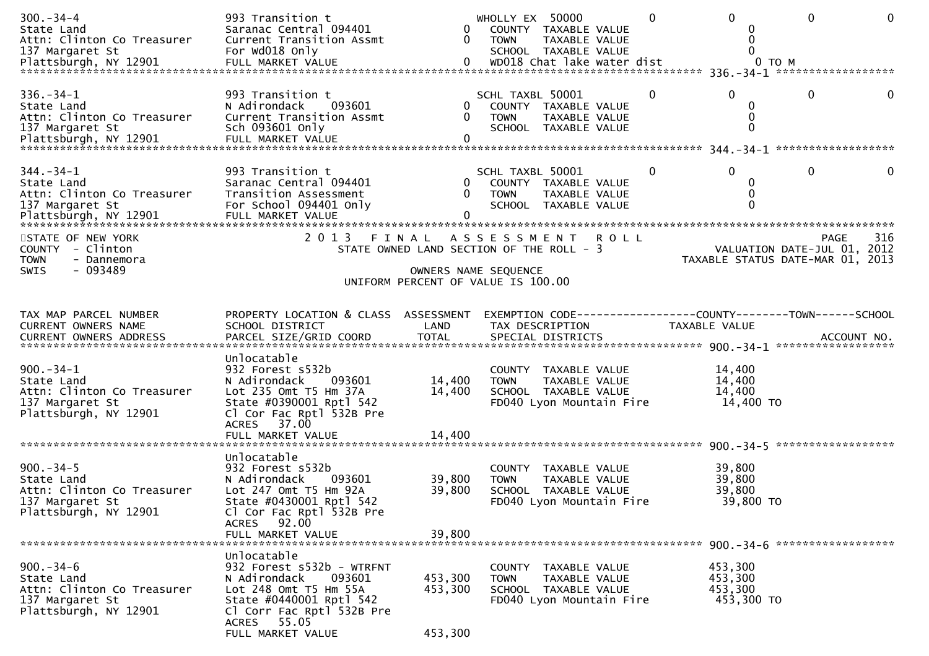| $300 - 34 - 4$<br>State Land<br>Attn: Clinton Co Treasurer                                             | 993 Transition t<br>Saranac Central 094401<br>Current Transition Assmt                                                                                                           | $\mathbf{0}$<br>$\mathbf{0}$  | WHOLLY EX 50000<br>COUNTY TAXABLE VALUE<br>TAXABLE VALUE<br>TOWN                                         | $\mathbf{0}$ | $\Omega$<br>0                                                   | $\mathbf{0}$ | 0   |
|--------------------------------------------------------------------------------------------------------|----------------------------------------------------------------------------------------------------------------------------------------------------------------------------------|-------------------------------|----------------------------------------------------------------------------------------------------------|--------------|-----------------------------------------------------------------|--------------|-----|
| $336. - 34 - 1$<br>State Land<br>Attn: Clinton Co Treasurer<br>137 Margaret St                         | 993 Transition t<br>N Adirondack<br>093601<br>Current Transition Assmt<br>Sch 093601 Only                                                                                        | 0<br>$\mathbf{0}$             | SCHL TAXBL 50001<br>COUNTY TAXABLE VALUE<br><b>TOWN</b><br>TAXABLE VALUE<br>SCHOOL TAXABLE VALUE         | 0            | $\Omega$<br>0<br>0<br>$\Omega$                                  | $\mathbf{0}$ |     |
| $344. - 34 - 1$<br>State Land<br>Attn: Clinton Co Treasurer<br>137 Margaret St                         | 993 Transition t<br>Saranac Central 094401<br>Transition Assessment<br>For School 094401 Only                                                                                    | $\overline{0}$<br>0           | SCHL TAXBL 50001<br>COUNTY TAXABLE VALUE<br>TAXABLE VALUE<br><b>TOWN</b><br>SCHOOL TAXABLE VALUE         | 0            | $\Omega$<br>0<br>0<br>$\Omega$                                  | $\mathbf{0}$ |     |
| STATE OF NEW YORK<br>COUNTY - Clinton<br><b>TOWN</b><br>- Dannemora<br>- 093489<br>SWIS                | 2 0 1 3                                                                                                                                                                          | FINAL<br>OWNERS NAME SEQUENCE | ASSESSMENT ROLL<br>STATE OWNED LAND SECTION OF THE ROLL - 3<br>UNIFORM PERCENT OF VALUE IS 100.00        |              | VALUATION DATE-JUL 01, 2012<br>TAXABLE STATUS DATE-MAR 01, 2013 | PAGE         | 316 |
| TAX MAP PARCEL NUMBER<br>CURRENT OWNERS NAME                                                           | PROPERTY LOCATION & CLASS ASSESSMENT<br>SCHOOL DISTRICT                                                                                                                          | LAND                          | TAX DESCRIPTION                                                                                          |              | TAXABLE VALUE                                                   |              |     |
| $900 - 34 - 1$<br>State Land<br>Attn: Clinton Co Treasurer<br>137 Margaret St<br>Plattsburgh, NY 12901 | Unlocatable<br>932 Forest s532b<br>093601<br>N Adirondack<br>Lot 235 Omt T5 Hm 37A<br>State #0390001 Rptl 542<br>Cl Cor Fac Rptl 532B Pre<br>ACRES 37.00<br>FULL MARKET VALUE    | 14,400<br>14,400<br>14,400    | COUNTY TAXABLE VALUE<br>TAXABLE VALUE<br><b>TOWN</b><br>SCHOOL TAXABLE VALUE<br>FD040 Lyon Mountain Fire |              | 14,400<br>14,400<br>14,400<br>14,400 TO                         |              |     |
| $900 - 34 - 5$<br>State Land<br>Attn: Clinton Co Treasurer<br>137 Margaret St<br>Plattsburgh, NY 12901 | Unlocatable<br>932 Forest s532b<br>093601<br>N Adirondack<br>Lot 247 Omt T5 Hm 92A<br>State #0430001 Rptl 542<br>Cl Cor Fac Rptl 532B Pre<br>92.00<br>ACRES<br>FULL MARKET VALUE | 39,800<br>39,800<br>39,800    | COUNTY TAXABLE VALUE<br>TAXABLE VALUE<br><b>TOWN</b><br>SCHOOL TAXABLE VALUE<br>FD040 Lyon Mountain Fire |              | 39,800<br>39,800<br>39,800<br>39,800 TO                         |              |     |
| $900 - 34 - 6$<br>State Land<br>Attn: Clinton Co Treasurer                                             | Unlocatable<br>932 Forest s532b - WTRFNT<br>093601<br>N Adirondack<br>Lot 248 Omt T5 Hm 55A                                                                                      | 453,300<br>453,300            | COUNTY TAXABLE VALUE<br>TAXABLE VALUE<br><b>TOWN</b><br>SCHOOL TAXABLE VALUE                             |              | 453,300<br>453,300<br>453,300                                   |              |     |
| 137 Margaret St<br>Plattsburgh, NY 12901                                                               | State #0440001 Rptl 542<br>Cl Corr Fac Rptl 532B Pre<br>55.05<br>ACRES<br>FULL MARKET VALUE                                                                                      | 453,300                       | FD040 Lyon Mountain Fire                                                                                 |              | 453,300 TO                                                      |              |     |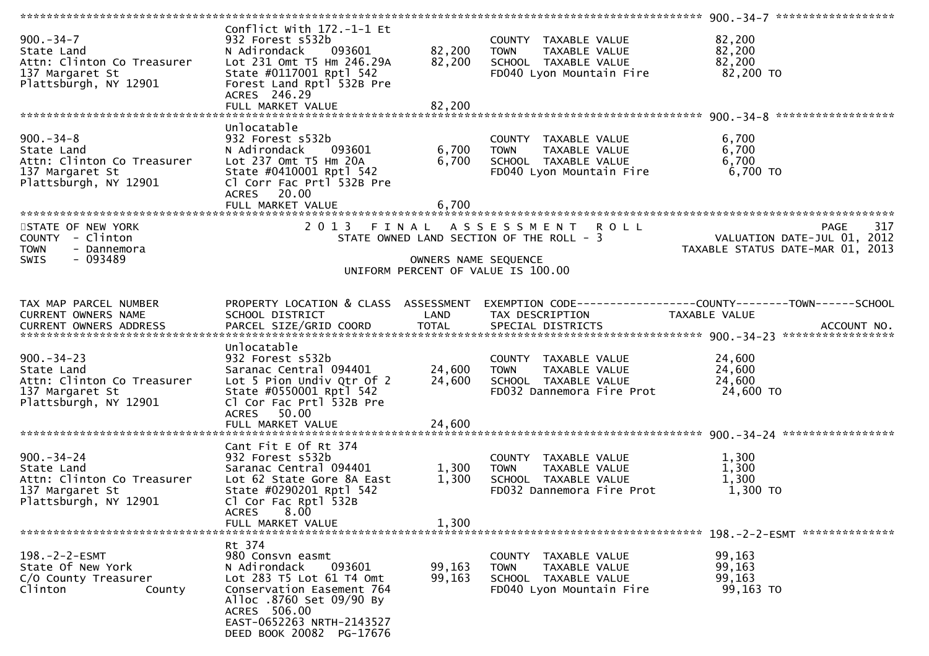| $900 - 34 - 7$<br>State Land<br>Attn: Clinton Co Treasurer<br>137 Margaret St<br>Plattsburgh, NY 12901                                                          | Conflict With 172.-1-1 Et<br>932 Forest s532b<br>093601<br>N Adirondack<br>Lot 231 Omt T5 Hm 246.29A<br>State #0117001 Rptl 542<br>Forest Land Rptl 532B Pre<br>ACRES 246.29                                       | 82,200<br>82,200           | COUNTY TAXABLE VALUE<br><b>TOWN</b><br>TAXABLE VALUE<br>SCHOOL TAXABLE VALUE<br>FD040 Lyon Mountain Fire  | 82,200<br>82,200<br>82,200<br>82,200 TO                                        |     |
|-----------------------------------------------------------------------------------------------------------------------------------------------------------------|--------------------------------------------------------------------------------------------------------------------------------------------------------------------------------------------------------------------|----------------------------|-----------------------------------------------------------------------------------------------------------|--------------------------------------------------------------------------------|-----|
|                                                                                                                                                                 |                                                                                                                                                                                                                    |                            |                                                                                                           |                                                                                |     |
| $900 - 34 - 8$<br>State Land<br>Attn: Clinton Co Treasurer<br>137 Margaret St<br>Plattsburgh, NY 12901                                                          | Unlocatable<br>932 Forest s532b<br>N Adirondack<br>093601<br>Lot 237 Omt T5 Hm 20A<br>State #0410001 Rptl 542<br>Cl Corr Fac Prtl 532B Pre<br>20.00<br><b>ACRES</b>                                                | 6,700<br>6,700             | COUNTY TAXABLE VALUE<br>TAXABLE VALUE<br><b>TOWN</b><br>SCHOOL TAXABLE VALUE<br>FD040 Lyon Mountain Fire  | 6,700<br>6,700<br>6,700<br>6,700 TO                                            |     |
|                                                                                                                                                                 |                                                                                                                                                                                                                    |                            |                                                                                                           |                                                                                |     |
| STATE OF NEW YORK<br>COUNTY - Clinton<br><b>TOWN</b><br>- Dannemora<br>- 093489<br><b>SWIS</b>                                                                  | 2 0 1 3                                                                                                                                                                                                            | OWNERS NAME SEQUENCE       | FINAL ASSESSMENT ROLL<br>STATE OWNED LAND SECTION OF THE ROLL - 3<br>UNIFORM PERCENT OF VALUE IS 100.00   | <b>PAGE</b><br>VALUATION DATE-JUL 01, 2012<br>TAXABLE STATUS DATE-MAR 01, 2013 | 317 |
| TAX MAP PARCEL NUMBER<br>CURRENT OWNERS NAME<br>.CURRENT OWNERS ADDRESS PARCEL SIZE/GRID COORD TOTAL SPECIAL DISTRICTS ACCOUNT NO ACCOUNT NO ACCOUNT NO ACCOUNT | PROPERTY LOCATION & CLASS ASSESSMENT<br>SCHOOL DISTRICT                                                                                                                                                            | LAND                       | EXEMPTION CODE------------------COUNTY--------TOWN------SCHOOL<br>TAX DESCRIPTION                         | TAXABLE VALUE                                                                  |     |
| $900 - 34 - 23$<br>State Land<br>Attn: Clinton Co Treasurer<br>137 Margaret St<br>Plattsburgh, NY 12901                                                         | Unlocatable<br>932 Forest s532b<br>Saranac Central 094401<br>Lot 5 Pion Undiv Qtr Of 2<br>State #0550001 Rptl 542<br>Cl Cor Fac Prtl 532B Pre<br>50.00<br><b>ACRES</b><br>FULL MARKET VALUE                        | 24,600<br>24,600<br>24,600 | COUNTY TAXABLE VALUE<br>TAXABLE VALUE<br><b>TOWN</b><br>SCHOOL TAXABLE VALUE<br>FD032 Dannemora Fire Prot | 24,600<br>24,600<br>24,600<br>24,600 TO                                        |     |
|                                                                                                                                                                 |                                                                                                                                                                                                                    |                            |                                                                                                           |                                                                                |     |
| $900 - 34 - 24$<br>State Land<br>Attn: Clinton Co Treasurer<br>137 Margaret St<br>Plattsburgh, NY 12901                                                         | Cant Fit E Of Rt 374<br>932 Forest s532b<br>Saranac Central 094401<br>Lot 62 State Gore 8A East<br>State #0290201 Rptl 542<br>Cl Cor Fac Rptl 532B<br><b>ACRES</b><br>8.00<br>FULL MARKET VALUE                    | 1,300<br>1,300<br>1,300    | COUNTY TAXABLE VALUE<br>TAXABLE VALUE<br><b>TOWN</b><br>SCHOOL TAXABLE VALUE<br>FD032 Dannemora Fire Prot | 1,300<br>1,300<br>1,300<br>1,300 TO                                            |     |
|                                                                                                                                                                 |                                                                                                                                                                                                                    |                            |                                                                                                           |                                                                                |     |
| 198.-2-2-ESMT<br>State Of New York<br>C/O County Treasurer<br>Clinton<br>County                                                                                 | Rt 374<br>980 Consvn easmt<br>093601<br>N Adirondack<br>Lot 283 T5 Lot 61 T4 Omt<br>Conservation Easement 764<br>Alloc .8760 Set 09/90 By<br>ACRES 506.00<br>EAST-0652263 NRTH-2143527<br>DEED BOOK 20082 PG-17676 | 99,163<br>99,163           | COUNTY TAXABLE VALUE<br>TAXABLE VALUE<br><b>TOWN</b><br>SCHOOL TAXABLE VALUE<br>FD040 Lyon Mountain Fire  | 99,163<br>99,163<br>99,163<br>99,163 TO                                        |     |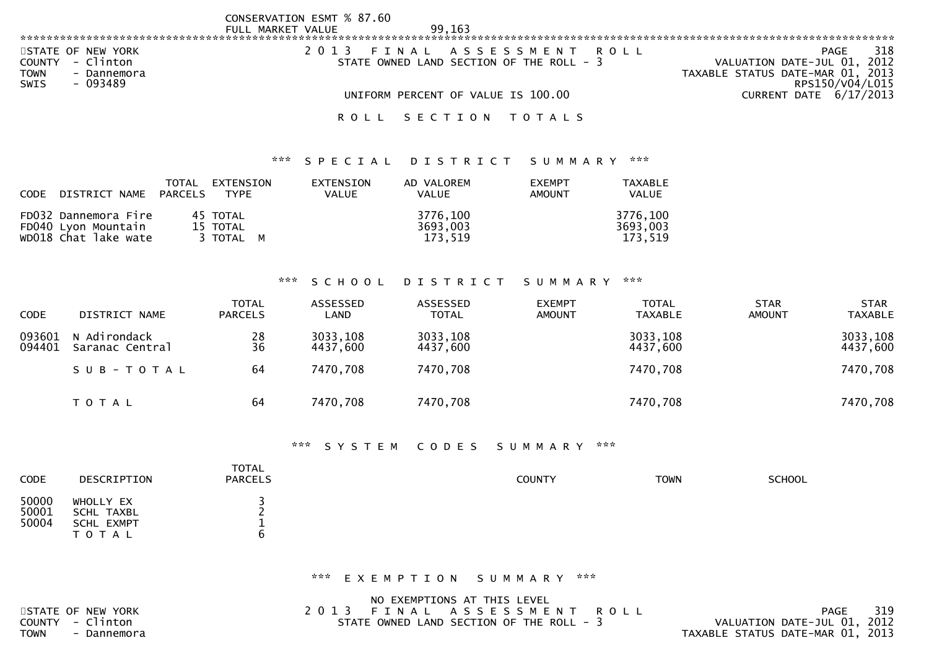|                            | CONSERVATION ESMT % 87.60 |                                          |                                  |
|----------------------------|---------------------------|------------------------------------------|----------------------------------|
|                            | FULL MARKET VALUE         | 99.163                                   |                                  |
|                            |                           |                                          |                                  |
| STATE OF NEW YORK          | 2 0 1 3                   | FINAL ASSESSMENT ROLL                    | 318<br>PAGE                      |
| - Clinton<br><b>COUNTY</b> |                           | STATE OWNED LAND SECTION OF THE ROLL - 3 | VALUATION DATE-JUL 01, 2012      |
| TOWN<br>- Dannemora        |                           |                                          | TAXABLE STATUS DATE-MAR 01, 2013 |
| $-093489$<br>SWIS          |                           |                                          | RPS150/V04/L015                  |
|                            |                           | UNIFORM PERCENT OF VALUE IS 100.00       | CURRENT DATE 6/17/2013           |
|                            | ROLL                      | SECTION TOTALS                           |                                  |

| CODE DISTRICT NAME PARCELS                                          | TOTAL | EXTENSION<br>TYPE                 | <b>EXTENSION</b><br><b>VALUE</b> | AD VALOREM<br><b>VALUE</b>      | <b>FXEMPT</b><br><b>AMOUNT</b> | TAXABLE<br><b>VALUE</b>         |
|---------------------------------------------------------------------|-------|-----------------------------------|----------------------------------|---------------------------------|--------------------------------|---------------------------------|
| FD032 Dannemora Fire<br>FD040 Lyon Mountain<br>wD018 Chat lake wate |       | 45 TOTAL<br>15 TOTAL<br>3 TOTAL M |                                  | 3776,100<br>3693,003<br>173.519 |                                | 3776,100<br>3693.003<br>173.519 |

### \*\*\* S C H O O L D I S T R I C T S U M M A R Y \*\*\*

| <b>CODE</b>      | DISTRICT NAME                   | <b>TOTAL</b><br><b>PARCELS</b>          | ASSESSED<br>LAND     | ASSESSED<br>TOTAL    | <b>EXEMPT</b><br><b>AMOUNT</b> | <b>TOTAL</b><br>TAXABLE | <b>STAR</b><br><b>AMOUNT</b> | <b>STAR</b><br><b>TAXABLE</b> |
|------------------|---------------------------------|-----------------------------------------|----------------------|----------------------|--------------------------------|-------------------------|------------------------------|-------------------------------|
| 093601<br>094401 | N Adirondack<br>Saranac Central | $\begin{array}{c} 28 \\ 36 \end{array}$ | 3033,108<br>4437,600 | 3033,108<br>4437,600 |                                | 3033,108<br>4437,600    |                              | 3033,108<br>4437,600          |
|                  | SUB-TOTAL                       | 64                                      | 7470,708             | 7470,708             |                                | 7470,708                |                              | 7470,708                      |
|                  | T O T A L                       | 64                                      | 7470,708             | 7470,708             |                                | 7470,708                |                              | 7470,708                      |

### \*\*\* S Y S T E M C O D E S S U M M A R Y \*\*\*

| CODE                    | DESCRIPTION                                               | <b>TOTAL</b><br><b>PARCELS</b> | COUNTY | <b>TOWN</b> | <b>SCHOOL</b> |
|-------------------------|-----------------------------------------------------------|--------------------------------|--------|-------------|---------------|
| 50000<br>50001<br>50004 | WHOLLY EX<br>SCHL TAXBL<br><b>SCHL EXMPT</b><br>T O T A L |                                |        |             |               |

|             |                   | NO EXEMPTIONS AT THIS LEVEL              |                                  |     |
|-------------|-------------------|------------------------------------------|----------------------------------|-----|
|             | STATE OF NEW YORK | 2013 FINAL ASSESSMENT ROLL               | PAGE                             | 319 |
|             | COUNTY - Clinton  | STATE OWNED LAND SECTION OF THE ROLL - 3 | VALUATION DATE-JUL 01, 2012      |     |
| <b>TOWN</b> | - Dannemora       |                                          | TAXABLE STATUS DATE-MAR 01, 2013 |     |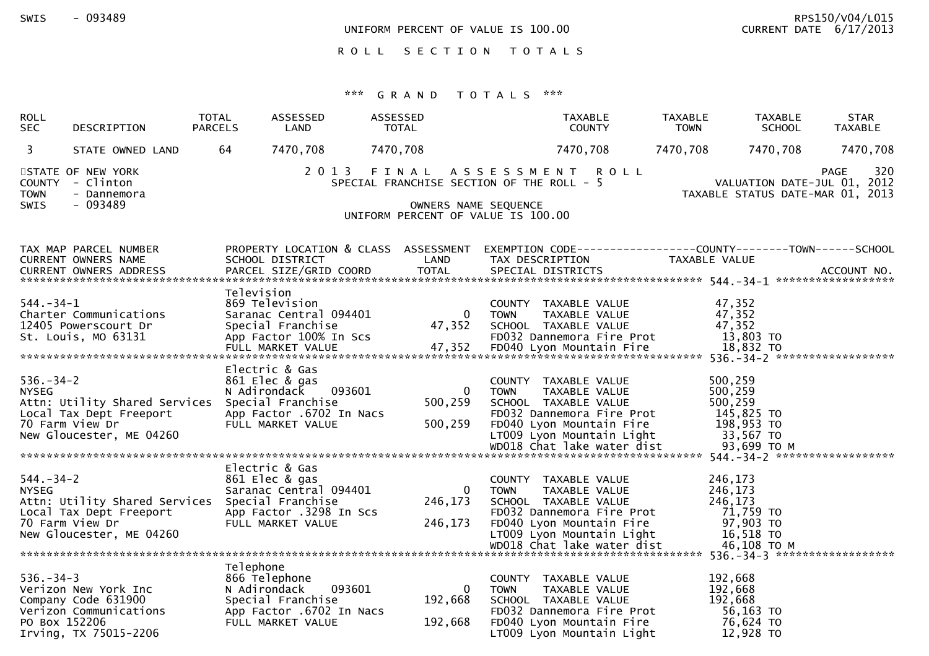UNIFORM PERCENT OF VALUE IS  $100.00$ 

RPS150/V04/L015<br>CUPPENT DATE 6/17/2013

ROLL SECTION TOTALS

| ROLL<br><b>SEC</b>               | DESCRIPTION                                                                                                               | <b>TOTAL</b><br><b>PARCELS</b> | ASSESSED<br>LAND                                                                                                       | ASSESSED<br><b>TOTAL</b> |                                                                                                         |             | <b>TAXABLE</b><br><b>COUNTY</b>                               |                                                                                    | TAXABLE<br><b>TOWN</b> | TAXABLE<br><b>SCHOOL</b>                                                        | <b>STAR</b><br><b>TAXABLE</b> |
|----------------------------------|---------------------------------------------------------------------------------------------------------------------------|--------------------------------|------------------------------------------------------------------------------------------------------------------------|--------------------------|---------------------------------------------------------------------------------------------------------|-------------|---------------------------------------------------------------|------------------------------------------------------------------------------------|------------------------|---------------------------------------------------------------------------------|-------------------------------|
| 3                                | STATE OWNED LAND                                                                                                          | 64                             | 7470,708                                                                                                               | 7470,708                 |                                                                                                         |             | 7470,708                                                      |                                                                                    | 7470,708               | 7470,708                                                                        | 7470,708                      |
| <b>TOWN</b><br><b>SWIS</b>       | STATE OF NEW YORK<br>COUNTY - Clinton<br>- Dannemora<br>$-093489$                                                         |                                |                                                                                                                        | 2013 FINAL               | SPECIAL FRANCHISE SECTION OF THE ROLL - 5<br>OWNERS NAME SEQUENCE<br>UNIFORM PERCENT OF VALUE IS 100.00 |             | A S S E S S M E N T R O L L                                   |                                                                                    |                        | VALUATION DATE-JUL 01, 2012<br>TAXABLE STATUS DATE-MAR 01, 2013                 | 320<br><b>PAGE</b>            |
|                                  | TAX MAP PARCEL NUMBER<br>CURRENT OWNERS NAME                                                                              |                                | PROPERTY LOCATION & CLASS ASSESSMENT<br>SCHOOL DISTRICT                                                                |                          | LAND                                                                                                    |             | TAX DESCRIPTION                                               |                                                                                    |                        | EXEMPTION CODE------------------COUNTY--------TOWN------SCHOOL<br>TAXABLE VALUE |                               |
| $544. - 34 - 1$                  | Charter Communications<br>12405 Powerscourt Dr<br>St. Louis, MO 63131                                                     | Television                     | 869 Television<br>Saranac Central 094401<br>Special Franchise<br>App Factor 100% In Scs                                |                          | $\mathbf{0}$<br>47,352                                                                                  | <b>TOWN</b> | COUNTY TAXABLE VALUE<br>TAXABLE VALUE<br>SCHOOL TAXABLE VALUE | FD032 Dannemora Fire Prot                                                          |                        | 47,352<br>47,352<br>47,352<br>13,803 TO                                         |                               |
| $536. - 34 - 2$<br><b>NYSEG</b>  | Attn: Utility Shared Services<br>Local Tax Dept Freeport<br>70 Farm View Dr<br>New Gloucester, ME 04260                   |                                | Electric & Gas<br>861 Elec & gas<br>N Adirondack<br>Special Franchise<br>App Factor .6702 In Nacs<br>FULL MARKET VALUE | 093601                   | $\overline{0}$<br>500,259<br>500,259                                                                    | <b>TOWN</b> | COUNTY TAXABLE VALUE<br>TAXABLE VALUE<br>SCHOOL TAXABLE VALUE | FD032 Dannemora Fire Prot<br>FD040 Lyon Mountain Fire<br>LT009 Lyon Mountain Light |                        | 500,259<br>500,259<br>500,259<br>145,825 TO<br>198,953 TO<br>33,567 TO          |                               |
| $544. - 34 - 2$<br><b>NYSEG</b>  | Attn: Utility Shared Services Special Franchise<br>Local Tax Dept Freeport<br>70 Farm View Dr<br>New Gloucester, ME 04260 |                                | Electric & Gas<br>861 Elec & gas<br>Saranac Central 094401<br>App Factor .3298 In Scs<br>FULL MARKET VALUE             |                          | $\overline{0}$<br>246,173<br>246,173                                                                    | <b>TOWN</b> | COUNTY TAXABLE VALUE<br>TAXABLE VALUE<br>SCHOOL TAXABLE VALUE | FD032 Dannemora Fire Prot<br>FD040 Lyon Mountain Fire<br>LT009 Lyon Mountain Light |                        | 246,173<br>246,173<br>246,173<br>71,759 TO<br>97,903 TO<br>16,518 TO            |                               |
| $536. - 34 - 3$<br>PO Box 152206 | Verizon New York Inc<br>Company Code 631900<br>Verizon Communications<br>Irving, TX 75015-2206                            | Telephone                      | 866 Telephone<br>N Adirondack<br>Special Franchise<br>App Factor .6702 In Nacs<br>FULL MARKET VALUE                    | 093601                   | $\Omega$<br>192,668<br>192,668                                                                          | <b>TOWN</b> | COUNTY TAXABLE VALUE<br>TAXABLE VALUE<br>SCHOOL TAXABLE VALUE | FD032 Dannemora Fire Prot<br>FD040 Lyon Mountain Fire<br>LT009 Lyon Mountain Light |                        | 192,668<br>192,668<br>192,668<br>56,163 TO<br>76,624 TO<br>12,928 TO            |                               |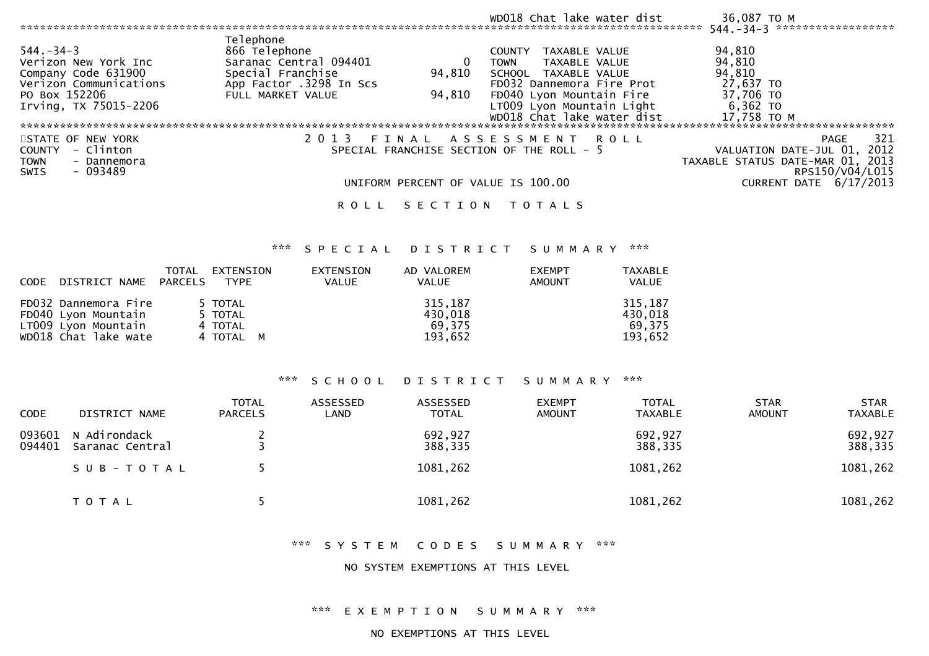|                                                                                                                                    |                                                                                                                           |                  | WD018 Chat lake water dist                                                                                                                                                                                    | 36,087 TO M<br>******************<br>$544. - 34 - 3$                                                                                  |
|------------------------------------------------------------------------------------------------------------------------------------|---------------------------------------------------------------------------------------------------------------------------|------------------|---------------------------------------------------------------------------------------------------------------------------------------------------------------------------------------------------------------|---------------------------------------------------------------------------------------------------------------------------------------|
| $544. - 34 - 3$<br>Verizon New York Inc<br>Company Code 631900<br>Verizon Communications<br>PO Box 152206<br>Irving, TX 75015-2206 | Telephone<br>866 Telephone<br>Saranac Central 094401<br>Special Franchise<br>App Factor .3298 In Scs<br>FULL MARKET VALUE | 94,810<br>94,810 | TAXABLE VALUE<br><b>COUNTY</b><br>TAXABLE VALUE<br><b>TOWN</b><br>TAXABLE VALUE<br>SCHOOL<br>FD032 Dannemora Fire Prot<br>FD040 Lyon Mountain Fire<br>LT009 Lyon Mountain Light<br>WD018 Chat lake water dist | 94,810<br>94,810<br>94,810<br>27,637 TO<br>37,706 TO<br>$6,362$ TO<br>17,758 TO M                                                     |
| STATE OF NEW YORK<br>- Clinton<br><b>COUNTY</b><br><b>TOWN</b><br>- Dannemora<br>$-093489$<br><b>SWIS</b>                          | 2 0 1 3<br>ROLL                                                                                                           | FINAL            | ASSESSMENT ROLL<br>SPECIAL FRANCHISE SECTION OF THE ROLL - 5<br>UNIFORM PERCENT OF VALUE IS 100.00<br>SECTION TOTALS                                                                                          | 321<br>PAGE<br>VALUATION DATE-JUL 01, 2012<br>TAXABLE STATUS DATE-MAR 01, 2013<br>RPS150/V04/L015<br>DATE 6/17/2013<br><b>CURRENT</b> |

| <b>CODE</b> | DISTRICT NAME                                                                              | TOTAL<br>PARCELS | EXTENSION<br>TYPE                          | EXTENSION<br><b>VALUE</b> | AD VALOREM<br><b>VALUE</b>              | <b>EXEMPT</b><br>AMOUNT | <b>TAXABLE</b><br><b>VALUE</b>          |
|-------------|--------------------------------------------------------------------------------------------|------------------|--------------------------------------------|---------------------------|-----------------------------------------|-------------------------|-----------------------------------------|
|             | FD032 Dannemora Fire<br>FD040 Lyon Mountain<br>LT009 Lyon Mountain<br>WD018 Chat lake wate |                  | 5 TOTAL<br>5 TOTAL<br>4 TOTAL<br>4 TOTAL M |                           | 315,187<br>430,018<br>69.375<br>193.652 |                         | 315,187<br>430,018<br>69.375<br>193,652 |

### \*\*\* S C H O O L D I S T R I C T S U M M A R Y \*\*\*

| <b>CODE</b>      | DISTRICT NAME                   | <b>TOTAL</b><br><b>PARCELS</b> | ASSESSED<br>LAND | ASSESSED<br><b>TOTAL</b> | <b>EXEMPT</b><br><b>AMOUNT</b> | <b>TOTAL</b><br><b>TAXABLE</b> | <b>STAR</b><br>AMOUNT | <b>STAR</b><br><b>TAXABLE</b> |
|------------------|---------------------------------|--------------------------------|------------------|--------------------------|--------------------------------|--------------------------------|-----------------------|-------------------------------|
| 093601<br>094401 | N Adirondack<br>Saranac Central |                                |                  | 692,927<br>388,335       |                                | 692,927<br>388,335             |                       | 692,927<br>388,335            |
|                  | SUB-TOTAL                       |                                |                  | 1081,262                 |                                | 1081,262                       |                       | 1081,262                      |
|                  | T O T A L                       |                                |                  | 1081,262                 |                                | 1081,262                       |                       | 1081,262                      |

\*\*\* S Y S T E M C O D E S S U M M A R Y \*\*\*

NO SYSTEM EXEMPTIONS AT THIS LEVEL

\*\*\* E X E M P T I O N S U M M A R Y \*\*\*

NO EXEMPTIONS AT THIS LEVEL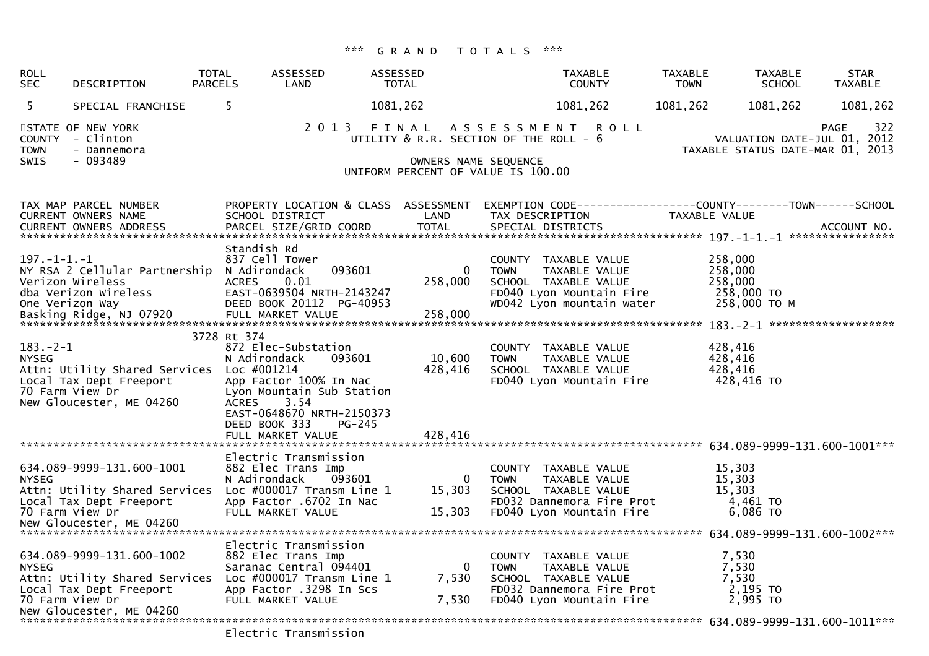| <b>ROLL</b><br><b>SEC</b>                   | DESCRIPTION                                                                                                                          | <b>TOTAL</b><br><b>PARCELS</b> | <b>ASSESSED</b><br>LAND                                                                                                                                                                                  | <b>ASSESSED</b><br><b>TOTAL</b> | <b>TAXABLE</b><br><b>COUNTY</b>                                                                                                                 | <b>TAXABLE</b><br><b>TOWN</b> | <b>TAXABLE</b><br><b>SCHOOL</b>                                 | <b>STAR</b><br><b>TAXABLE</b> |
|---------------------------------------------|--------------------------------------------------------------------------------------------------------------------------------------|--------------------------------|----------------------------------------------------------------------------------------------------------------------------------------------------------------------------------------------------------|---------------------------------|-------------------------------------------------------------------------------------------------------------------------------------------------|-------------------------------|-----------------------------------------------------------------|-------------------------------|
| 5                                           | SPECIAL FRANCHISE                                                                                                                    | 5                              |                                                                                                                                                                                                          | 1081,262                        | 1081,262                                                                                                                                        | 1081,262                      | 1081,262                                                        | 1081,262                      |
| <b>COUNTY</b><br><b>TOWN</b><br><b>SWIS</b> | STATE OF NEW YORK<br>- Clinton<br>- Dannemora<br>- 093489                                                                            |                                | 2 0 1 3                                                                                                                                                                                                  | FINAL<br>OWNERS NAME SEQUENCE   | A S S E S S M E N T<br><b>ROLL</b><br>UTILITY $\&$ R.R. SECTION OF THE ROLL - $6$<br>UNIFORM PERCENT OF VALUE IS 100.00                         |                               | VALUATION DATE-JUL 01, 2012<br>TAXABLE STATUS DATE-MAR 01, 2013 | 322<br><b>PAGE</b>            |
|                                             | TAX MAP PARCEL NUMBER<br>CURRENT OWNERS NAME<br><b>CURRENT OWNERS ADDRESS</b>                                                        |                                | PROPERTY LOCATION & CLASS ASSESSMENT<br>SCHOOL DISTRICT<br>PARCEL SIZE/GRID COORD                                                                                                                        | LAND<br><b>TOTAL</b>            | EXEMPTION CODE-----------------COUNTY-------TOWN------SCHOOL<br>TAX DESCRIPTION<br>SPECIAL DISTRICTS                                            | TAXABLE VALUE                 |                                                                 | ACCOUNT NO.                   |
| $197. - 1 - 1. - 1$                         | NY RSA 2 Cellular Partnership<br>Verizon Wireless<br>dba Verizon Wireless<br>One Verizon Way                                         | <b>ACRES</b>                   | Standish Rd<br>837 Cell Tower<br>093601<br>N Adirondack<br>0.01<br>EAST-0639504 NRTH-2143247<br>DEED BOOK 20112 PG-40953                                                                                 | 258,000                         | COUNTY TAXABLE VALUE<br>TAXABLE VALUE<br><b>TOWN</b><br>SCHOOL TAXABLE VALUE<br>FD040 Lyon Mountain Fire<br>WD042 Lyon mountain water           |                               | 258,000<br>258,000<br>258,000<br>258,000 TO<br>258,000 ТО М     |                               |
| $183. -2 - 1$<br><b>NYSEG</b>               | Attn: Utility Shared Services<br>Local Tax Dept Freeport<br>70 Farm View Dr<br>New Gloucester, ME 04260                              | 3728 Rt 374<br><b>ACRES</b>    | 872 Elec-Substation<br>N Adirondack<br>093601<br>Loc #001214<br>App Factor 100% In Nac<br>Lyon Mountain Sub Station<br>3.54<br>EAST-0648670 NRTH-2150373<br>DEED BOOK 333<br>PG-245<br>FULL MARKET VALUE | 10,600<br>428,416<br>428,416    | COUNTY TAXABLE VALUE<br>TAXABLE VALUE<br><b>TOWN</b><br>SCHOOL TAXABLE VALUE<br>FD040 Lyon Mountain Fire                                        |                               | 428,416<br>428,416<br>428,416<br>428,416 TO                     |                               |
| <b>NYSEG</b>                                | 634.089-9999-131.600-1001<br>Attn: Utility Shared Services<br>Local Tax Dept Freeport<br>70 Farm View Dr                             |                                | Electric Transmission<br>882 Elec Trans Imp<br>N Adirondack<br>093601<br>Loc $\#000017$ Transm Line 1<br>App Factor .6702 In Nac<br>FULL MARKET VALUE                                                    | $\Omega$<br>15,303<br>15,303    | COUNTY TAXABLE VALUE<br>TAXABLE VALUE<br><b>TOWN</b><br>SCHOOL TAXABLE VALUE<br>FD032 Dannemora Fire Prot<br>FD040 Lyon Mountain Fire           |                               | 15,303<br>15,303<br>15,303<br>4,461 TO<br>6,086 TO              |                               |
| <b>NYSEG</b>                                | 634.089-9999-131.600-1002<br>Attn: Utility Shared Services<br>Local Tax Dept Freeport<br>70 Farm View Dr<br>New Gloucester, ME 04260 |                                | Electric Transmission<br>882 Elec Trans Imp<br>Saranac Central 094401<br>Loc #000017 Transm Line 1<br>App Factor .3298 In Scs<br>FULL MARKET VALUE                                                       | 0<br>7,530<br>7,530             | <b>COUNTY</b><br>TAXABLE VALUE<br><b>TOWN</b><br>TAXABLE VALUE<br>SCHOOL TAXABLE VALUE<br>FD032 Dannemora Fire Prot<br>FD040 Lyon Mountain Fire |                               | 7,530<br>7,530<br>7,530<br>2,195 TO<br>2,995 TO                 |                               |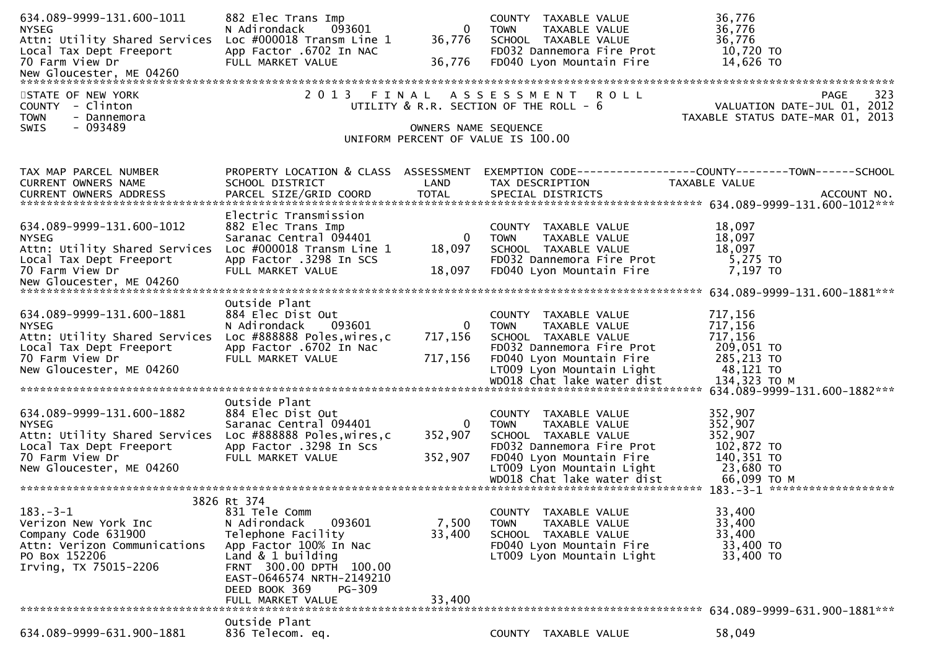| 634.089-9999-131.600-1011<br><b>NYSEG</b><br>Attn: Utility Shared Services<br>Local Tax Dept Freeport<br>70 Farm View Dr                             | 882 Elec Trans Imp<br>093601<br>N Adirondack<br>Loc #000018 Transm Line 1<br>App Factor .6702 In NAC<br>FULL MARKET VALUE                                                                                        | $\mathbf{0}$<br>36,776<br>36,776   | COUNTY TAXABLE VALUE<br>TAXABLE VALUE<br><b>TOWN</b><br>SCHOOL TAXABLE VALUE<br>FD032 Dannemora Fire Prot<br>FD040 Lyon Mountain Fire                                                            | 36,776<br>36,776<br>36,776<br>10,720 TO<br>14,626 TO                                                                                                     |
|------------------------------------------------------------------------------------------------------------------------------------------------------|------------------------------------------------------------------------------------------------------------------------------------------------------------------------------------------------------------------|------------------------------------|--------------------------------------------------------------------------------------------------------------------------------------------------------------------------------------------------|----------------------------------------------------------------------------------------------------------------------------------------------------------|
| STATE OF NEW YORK<br>COUNTY - Clinton<br><b>TOWN</b><br>- Dannemora<br>- 093489<br>SWIS                                                              | 2 0 1 3                                                                                                                                                                                                          | OWNERS NAME SEQUENCE               | FINAL ASSESSMENT ROLL<br>UTILITY $&$ R.R. SECTION OF THE ROLL - $&$<br>UNIFORM PERCENT OF VALUE IS 100.00                                                                                        | 323<br>PAGE<br>VALUATION DATE-JUL 01, 2012<br>TAXABLE STATUS DATE-MAR 01, 2013                                                                           |
| TAX MAP PARCEL NUMBER<br>CURRENT OWNERS NAME                                                                                                         | PROPERTY LOCATION & CLASS ASSESSMENT<br>SCHOOL DISTRICT                                                                                                                                                          | LAND                               | TAX DESCRIPTION                                                                                                                                                                                  | EXEMPTION CODE------------------COUNTY--------TOWN------SCHOOL<br><b>TAXABLE VALUE</b>                                                                   |
| 634.089-9999-131.600-1012<br><b>NYSEG</b><br>Attn: Utility Shared Services<br>Local Tax Dept Freeport<br>70 Farm View Dr                             | Electric Transmission<br>882 Elec Trans Imp<br>Saranac Central 094401<br>Loc $\#000018$ Transm Line 1<br>App Factor .3298 In SCS<br>FULL MARKET VALUE                                                            | $\bf{0}$<br>18,097<br>18,097       | COUNTY TAXABLE VALUE<br><b>TOWN</b><br>TAXABLE VALUE<br>SCHOOL TAXABLE VALUE<br>FD032 Dannemora Fire Prot<br>FD040 Lyon Mountain Fire                                                            | 18,097<br>18,097<br>18,097<br>5,275 TO<br>7,197 TO                                                                                                       |
| 634.089-9999-131.600-1881<br><b>NYSEG</b><br>Attn: Utility Shared Services<br>Local Tax Dept Freeport<br>70 Farm View Dr<br>New Gloucester, ME 04260 | Outside Plant<br>884 Elec Dist Out<br>093601<br>N Adirondack<br>Loc #888888 Poles, wires, c<br>App Factor .6702 In Nac<br>FULL MARKET VALUE                                                                      | $\mathbf{0}$<br>717,156<br>717,156 | COUNTY TAXABLE VALUE<br>TAXABLE VALUE<br><b>TOWN</b><br>SCHOOL TAXABLE VALUE<br>FD032 Dannemora Fire Prot<br>FD040 Lyon Mountain Fire<br>LT009 Lyon Mountain Light<br>WD018 Chat lake water dist | 717,156<br>717,156<br>717,156<br>209,051 TO<br>285,213 TO<br>48,121 TO<br>134,323 ТО М                                                                   |
| 634.089-9999-131.600-1882<br><b>NYSEG</b><br>Attn: Utility Shared Services<br>Local Tax Dept Freeport<br>70 Farm View Dr<br>New Gloucester, ME 04260 | Outside Plant<br>884 Elec Dist Out<br>Saranac Central 094401<br>Loc #888888 Poles, wires, c<br>App Factor .3298 In Scs<br>FULL MARKET VALUE                                                                      | 0<br>352,907<br>352,907            | COUNTY TAXABLE VALUE<br>TAXABLE VALUE<br><b>TOWN</b><br>SCHOOL TAXABLE VALUE<br>FD032 Dannemora Fire Prot<br>FD040 Lyon Mountain Fire<br>LT009 Lyon Mountain Light                               | 634.089-9999-131.600-1882***<br>352,907<br>352,907<br>352,907<br>102,872 TO<br>140,351 TO<br>23,680 TO<br>66,099 ТО М<br>183. -3-1 ********************* |
| $183 - 3 - 1$<br>Verizon New York Inc<br>Company Code 631900<br>Attn: Verizon Communications<br>PO Box 152206<br>Irving, TX 75015-2206               | 3826 Rt 374<br>831 Tele Comm<br>N Adirondack<br>093601<br>Telephone Facility<br>App Factor 100% In Nac<br>Land $& 1$ building<br>FRNT 300.00 DPTH 100.00<br>EAST-0646574 NRTH-2149210<br>DEED BOOK 369<br>PG-309 | 7,500<br>33,400                    | COUNTY TAXABLE VALUE<br>TAXABLE VALUE<br><b>TOWN</b><br>SCHOOL TAXABLE VALUE<br>FD040 Lyon Mountain Fire<br>LT009 Lyon Mountain Light                                                            | 33,400<br>33,400<br>33,400<br>33,400 TO<br>33,400 TO                                                                                                     |
| 634.089-9999-631.900-1881                                                                                                                            | FULL MARKET VALUE<br>Outside Plant<br>836 Telecom. eq.                                                                                                                                                           | 33,400                             | COUNTY TAXABLE VALUE                                                                                                                                                                             | 58,049                                                                                                                                                   |
|                                                                                                                                                      |                                                                                                                                                                                                                  |                                    |                                                                                                                                                                                                  |                                                                                                                                                          |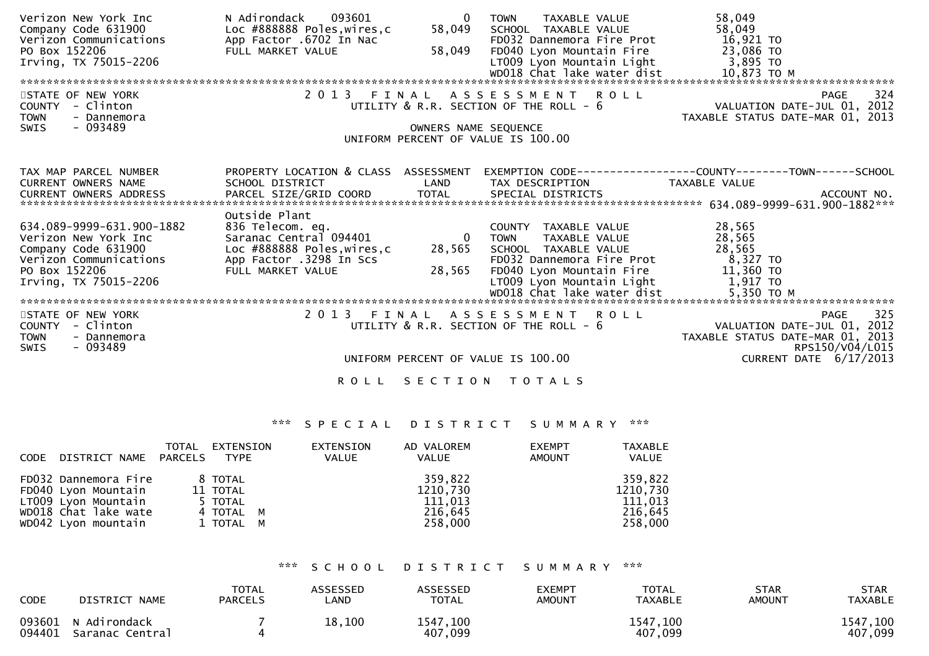| Verizon New York Inc<br>Company Code 631900<br>Verizon Communications<br>PO Box 152206<br>Irving, TX 75015-2206                              | 093601<br>N Adirondack<br>Loc #888888 Poles, wires, c<br>App Factor .6702 In Nac<br>FULL MARKET VALUE                                      | $\Omega$<br>58,049<br>58,049                | TAXABLE VALUE<br><b>TOWN</b><br>SCHOOL TAXABLE VALUE<br>FD032 Dannemora Fire Prot<br>FD040 Lyon Mountain Fire 23,086 TO<br>LT009 Lyon Mountain Light 3,895 TO<br>WD018 Chat lake water dist      | 58,049<br>58,049<br>16,921 то<br>10,873 TO M                                                                                         |
|----------------------------------------------------------------------------------------------------------------------------------------------|--------------------------------------------------------------------------------------------------------------------------------------------|---------------------------------------------|--------------------------------------------------------------------------------------------------------------------------------------------------------------------------------------------------|--------------------------------------------------------------------------------------------------------------------------------------|
| STATE OF NEW YORK<br>COUNTY - Clinton<br><b>TOWN</b><br>- Dannemora<br>- 093489<br>SWIS                                                      |                                                                                                                                            | OWNERS NAME SEQUENCE                        | 2013 FINAL ASSESSMENT ROLL<br>UTILITY $\&$ R.R. SECTION OF THE ROLL - $6$<br>UNIFORM PERCENT OF VALUE IS 100.00                                                                                  | 324<br><b>PAGE</b><br>VALUATION DATE-JUL 01, 2012<br>TAXABLE STATUS DATE-MAR 01, 2013                                                |
| TAX MAP PARCEL NUMBER<br><b>CURRENT OWNERS NAME</b><br><b>CURRENT OWNERS ADDRESS</b>                                                         | PROPERTY LOCATION & CLASS ASSESSMENT<br>SCHOOL DISTRICT                                                                                    | LAND                                        | TAX DESCRIPTION                                                                                                                                                                                  | EXEMPTION        CODE-----------------COUNTY--------TOWN------SCHOOL<br>TAXABLE VALUE                                                |
| 634.089-9999-631.900-1882<br>Verizon New York Inc<br>Company Code 631900<br>Verizon Communications<br>PO Box 152206<br>Irving, TX 75015-2206 | Outside Plant<br>836 Telecom. eq.<br>Saranac Central 094401<br>Loc #888888 Poles, wires, c<br>App Factor .3298 In Scs<br>FULL MARKET VALUE | $\overline{\mathbf{0}}$<br>28,565<br>28,565 | COUNTY TAXABLE VALUE<br><b>TOWN</b><br>TAXABLE VALUE<br>SCHOOL TAXABLE VALUE<br>FD032 Dannemora Fire Prot<br>FD040 Lyon Mountain Fire<br>LT009 Lyon Mountain Light<br>WD018 Chat lake water dist | 28,565<br>28,565<br>28,565<br>8,327 TO<br>11,360 TO<br>1,917 TO<br>5,350 то м                                                        |
| STATE OF NEW YORK<br>COUNTY - Clinton<br><b>TOWN</b><br>- Dannemora<br>- 093489<br>SWIS                                                      |                                                                                                                                            |                                             | 2013 FINAL ASSESSMENT ROLL<br>UTILITY & R.R. SECTION OF THE ROLL - 6<br>UNIFORM PERCENT OF VALUE IS 100.00                                                                                       | 325<br><b>PAGE</b><br>VALUATION DATE-JUL 01, 2012<br>TAXABLE STATUS DATE-MAR 01, 2013<br>RPS150/V04/L015<br>CURRENT DATE $6/17/2013$ |
|                                                                                                                                              | <b>ROLL</b>                                                                                                                                |                                             | SECTION TOTALS                                                                                                                                                                                   |                                                                                                                                      |

|                               | TOTAL<br>EXTENSION | EXTENSION    | AD VALOREM   | <b>EXEMPT</b> | <b>TAXABLE</b> |
|-------------------------------|--------------------|--------------|--------------|---------------|----------------|
| DISTRICT NAME PARCELS<br>CODE | <b>TYPE</b>        | <b>VALUE</b> | <b>VALUE</b> | AMOUNT        | VALUE          |
|                               |                    |              |              |               |                |
| FD032 Dannemora Fire          | 8 TOTAL            |              | 359.822      |               | 359,822        |
| FD040 Lyon Mountain           | 11 TOTAL           |              | 1210,730     |               | 1210,730       |
| LT009 Lyon Mountain           | 5 TOTAL            |              | 111,013      |               | 111,013        |
| WD018 Chat lake wate          | 4 TOTAL M          |              | 216,645      |               | 216,645        |
| WD042 Lyon mountain           | 1 TOTAL M          |              | 258,000      |               | 258,000        |
|                               |                    |              |              |               |                |

### \*\*\* S C H O O L D I S T R I C T S U M M A R Y \*\*\*

| <b>CODE</b> | DISTRICT NAME                          | <b>TOTAL</b><br><b>PARCELS</b> | ASSESSED<br>∟AND | <b>ASSESSED</b><br><b>TOTAL</b> | <b>EXEMPT</b><br>AMOUNT | <b>TOTAL</b><br>TAXABLE | STAR<br><b>AMOUNT</b> | <b>STAR</b><br><b>TAXABLE</b> |
|-------------|----------------------------------------|--------------------------------|------------------|---------------------------------|-------------------------|-------------------------|-----------------------|-------------------------------|
| 094401      | 093601 N Adirondack<br>Saranac Central |                                | 18,100           | 1547,100<br>407,099             |                         | 1547,100<br>407,099     |                       | 1547,100<br>407,099           |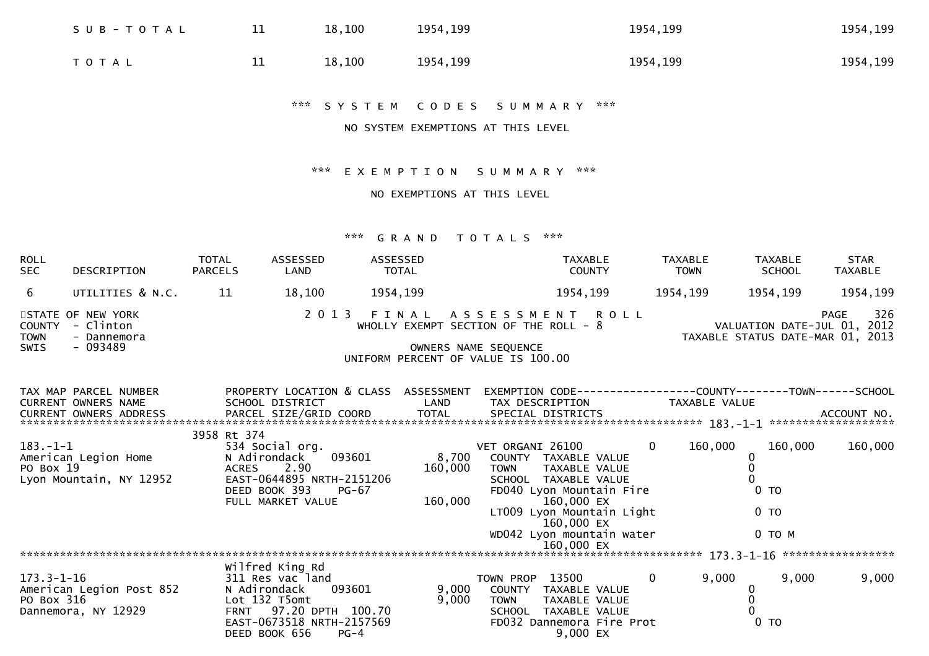| S U B - T O T A L | 11 | 18,100 | 1954, 199 | 1954, 199 | 1954, 199 |
|-------------------|----|--------|-----------|-----------|-----------|
| <b>TOTAL</b>      | ᆂᆂ | 18,100 | 1954, 199 | 1954, 199 | 1954, 199 |

\*\*\* S Y S T E M C O D E S S U M M A R Y \*\*\*

NO SYSTEM EXEMPTIONS AT THIS LEVEL

\*\*\* E X E M P T I O N S U M M A R Y \*\*\*

NO EXEMPTIONS AT THIS LEVEL

| <b>ROLL</b><br><b>SEC</b>                   | <b>DESCRIPTION</b>                                         | <b>TOTAL</b><br><b>PARCELS</b> | <b>ASSESSED</b><br>LAND                                                                                                   | ASSESSED<br>TOTAL |                                                                                                              |                                    | <b>TAXABLE</b><br><b>COUNTY</b>                                                                                                                                                               | <b>TAXABLE</b><br><b>TOWN</b> |                                                                 | <b>TAXABLE</b><br><b>SCHOOL</b> | <b>STAR</b><br><b>TAXABLE</b> |
|---------------------------------------------|------------------------------------------------------------|--------------------------------|---------------------------------------------------------------------------------------------------------------------------|-------------------|--------------------------------------------------------------------------------------------------------------|------------------------------------|-----------------------------------------------------------------------------------------------------------------------------------------------------------------------------------------------|-------------------------------|-----------------------------------------------------------------|---------------------------------|-------------------------------|
| 6                                           | UTILITIES & N.C.                                           | 11                             | 18,100                                                                                                                    | 1954,199          |                                                                                                              |                                    | 1954,199                                                                                                                                                                                      | 1954,199                      |                                                                 | 1954,199                        | 1954,199                      |
| <b>COUNTY</b><br><b>TOWN</b><br><b>SWIS</b> | STATE OF NEW YORK<br>- Clinton<br>- Dannemora<br>$-093489$ |                                | 2 0 1 3                                                                                                                   |                   | FINAL<br>WHOLLY EXEMPT SECTION OF THE ROLL - 8<br>OWNERS NAME SEQUENCE<br>UNIFORM PERCENT OF VALUE IS 100.00 |                                    | A S S E S S M E N T R O L L                                                                                                                                                                   |                               | VALUATION DATE-JUL 01, 2012<br>TAXABLE STATUS DATE-MAR 01, 2013 |                                 | 326<br><b>PAGE</b>            |
|                                             | TAX MAP PARCEL NUMBER<br><b>CURRENT OWNERS NAME</b>        |                                | PROPERTY LOCATION & CLASS ASSESSMENT<br>SCHOOL DISTRICT                                                                   |                   | LAND                                                                                                         |                                    | EXEMPTION CODE-----------------COUNTY-------TOWN------SCHOOL<br>TAX DESCRIPTION                                                                                                               |                               | TAXABLE VALUE                                                   |                                 |                               |
| $183. - 1 - 1$<br>PO Box 19                 | American Legion Home<br>Lyon Mountain, NY 12952            | 3958 Rt 374<br>ACRES           | 534 Social org.<br>N Adirondack<br>2.90<br>EAST-0644895 NRTH-2151206<br>DEED BOOK 393<br>FULL MARKET VALUE                | 093601<br>$PG-67$ | 8,700<br>160,000<br>160,000                                                                                  | VET ORGANI 26100<br><b>TOWN</b>    | COUNTY TAXABLE VALUE<br>TAXABLE VALUE<br>SCHOOL TAXABLE VALUE<br>FD040 Lyon Mountain Fire<br>160,000 EX<br>LT009 Lyon Mountain Light<br>160,000 EX<br>WD042 Lyon mountain water<br>160,000 EX | $\Omega$                      | 160,000<br>0<br>0 <sub>T</sub><br>$0$ TO                        | 160,000<br>$0$ TO M             | 160,000                       |
|                                             |                                                            |                                | Wilfred King Rd                                                                                                           |                   |                                                                                                              |                                    |                                                                                                                                                                                               |                               |                                                                 |                                 |                               |
| $173.3 - 1 - 16$<br>PO Box 316              | American Legion Post 852<br>Dannemora, NY 12929            |                                | 311 Res vac land<br>N Adirondack<br>Lot 132 T5omt<br>FRNT 97.20 DPTH 100.70<br>EAST-0673518 NRTH-2157569<br>DEED BOOK 656 | 093601<br>$PG-4$  | 9,000<br>9,000                                                                                               | TOWN PROP<br>COUNTY<br><b>TOWN</b> | 13500<br>TAXABLE VALUE<br>TAXABLE VALUE<br>SCHOOL TAXABLE VALUE<br>FD032 Dannemora Fire Prot<br>9,000 EX                                                                                      | $\overline{0}$                | 9,000<br>0<br>$0$ TO                                            | 9,000                           | 9,000                         |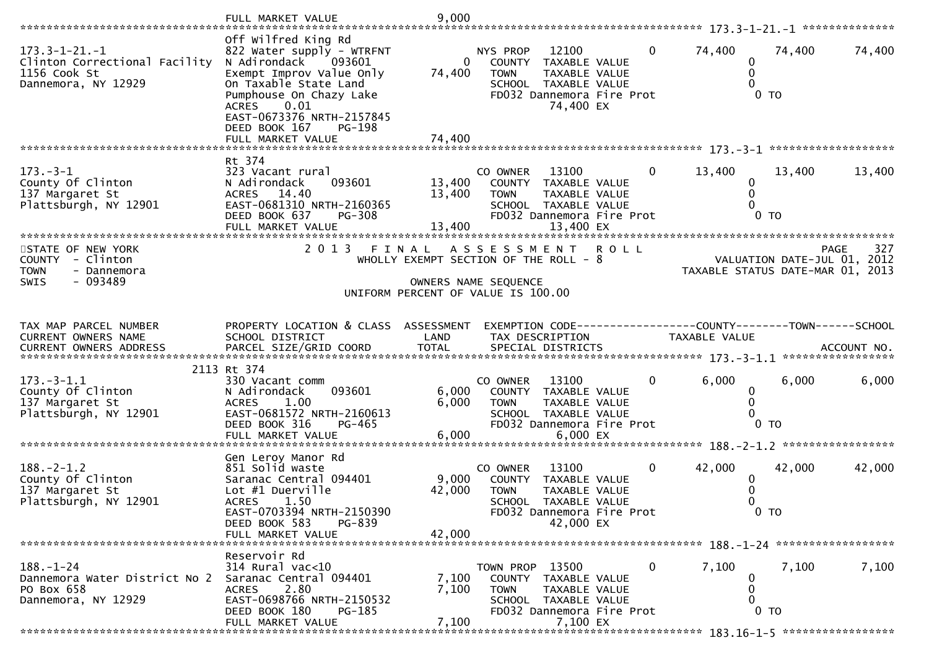|                                                                                                                      | FULL MARKET VALUE                                                                                                                                                                                                                                               | 9,000                              |                                                                                                                                                       |                |                                  |                             |                            |
|----------------------------------------------------------------------------------------------------------------------|-----------------------------------------------------------------------------------------------------------------------------------------------------------------------------------------------------------------------------------------------------------------|------------------------------------|-------------------------------------------------------------------------------------------------------------------------------------------------------|----------------|----------------------------------|-----------------------------|----------------------------|
| $173.3 - 1 - 21. - 1$<br>Clinton Correctional Facility<br>1156 Cook St<br>Dannemora, NY 12929                        | Off wilfred King Rd<br>822 Water supply - WTRFNT<br>N Adirondack<br>093601<br>Exempt Improv Value Only<br>On Taxable State Land<br>Pumphouse On Chazy Lake<br>0.01<br><b>ACRES</b><br>EAST-0673376 NRTH-2157845<br>DEED BOOK 167<br>PG-198<br>FULL MARKET VALUE | $\overline{0}$<br>74,400<br>74,400 | <b>NYS PROP</b><br>12100<br>TAXABLE VALUE<br>COUNTY<br><b>TOWN</b><br>TAXABLE VALUE<br>SCHOOL TAXABLE VALUE<br>FD032 Dannemora Fire Prot<br>74,400 EX | $\mathbf{0}$   | 74,400<br>0<br>0<br>$\Omega$     | 74,400<br>$0$ TO            | 74,400                     |
| $173. - 3 - 1$<br>County Of Clinton<br>137 Margaret St<br>Plattsburgh, NY 12901<br>*************************         | Rt 374<br>323 Vacant rural<br>N Adirondack<br>093601<br>ACRES 14.40<br>EAST-0681310 NRTH-2160365<br>DEED BOOK 637<br><b>PG-308</b><br>FULL MARKET VALUE                                                                                                         | 13,400<br>13,400<br>13,400         | 13100<br>CO OWNER<br>COUNTY TAXABLE VALUE<br>TAXABLE VALUE<br><b>TOWN</b><br>SCHOOL TAXABLE VALUE<br>FD032 Dannemora Fire Prot<br>13,400 EX           | $\Omega$       | 13,400<br>0<br>0                 | 13,400<br>0 <sub>T</sub>    | 13,400                     |
| STATE OF NEW YORK<br>COUNTY - Clinton<br>- Dannemora<br><b>TOWN</b><br>$-093489$<br><b>SWIS</b>                      | 2 0 1 3                                                                                                                                                                                                                                                         | FINAL                              | A S S E S S M E N T<br>WHOLLY EXEMPT SECTION OF THE ROLL - 8<br>OWNERS NAME SEQUENCE<br>UNIFORM PERCENT OF VALUE IS 100.00                            | <b>ROLL</b>    | TAXABLE STATUS DATE-MAR 01, 2013 | VALUATION DATE-JUL 01, 2012 | 327<br><b>PAGE</b>         |
| TAX MAP PARCEL NUMBER<br>CURRENT OWNERS NAME<br>CURRENT OWNERS ADDRESS                                               | PROPERTY LOCATION & CLASS ASSESSMENT<br>SCHOOL DISTRICT<br>PARCEL SIZE/GRID COORD                                                                                                                                                                               | LAND<br><b>TOTAL</b>               | EXEMPTION CODE-----------------COUNTY-------TOWN------SCHOOL<br>TAX DESCRIPTION<br>SPECIAL DISTRICTS                                                  |                | TAXABLE VALUE                    |                             | ACCOUNT NO.                |
| $173. - 3 - 1.1$<br>County Of Clinton<br>137 Margaret St<br>Plattsburgh, NY 12901                                    | 2113 Rt 374<br>330 Vacant comm<br>093601<br>N Adirondack<br>1.00<br><b>ACRES</b><br>EAST-0681572 NRTH-2160613<br>DEED BOOK 316<br>PG-465<br>FULL MARKET VALUE                                                                                                   | 6,000<br>6,000<br>6,000            | 13100<br>CO OWNER<br>COUNTY TAXABLE VALUE<br>TAXABLE VALUE<br><b>TOWN</b><br>SCHOOL TAXABLE VALUE<br>FD032 Dannemora Fire Prot<br>6,000 EX            | 0              | 6,000<br>0<br>0<br>0             | 6,000<br>$0$ TO             | *****************<br>6,000 |
| $188. - 2 - 1.2$<br>County Of Clinton<br>137 Margaret St<br>Plattsburgh, NY 12901<br>******************************* | Gen Leroy Manor Rd<br>851 Solid waste<br>Saranac Central 094401<br>Lot #1 Duerville<br><b>ACRES</b><br>1.50<br>EAST-0703394 NRTH-2150390<br>DEED BOOK 583<br>PG-839<br>FULL MARKET VALUE                                                                        | 9,000<br>42,000<br>42,000          | 13100<br>CO OWNER<br>COUNTY TAXABLE VALUE<br><b>TOWN</b><br>TAXABLE VALUE<br>SCHOOL TAXABLE VALUE<br>FD032 Dannemora Fire Prot<br>42,000 EX           | $\overline{0}$ | 42,000<br>$\bf{0}$               | 42,000<br>0 <sub>T</sub>    | 42,000                     |
| $188. - 1 - 24$<br>Dannemora Water District No 2<br>PO Box 658<br>Dannemora, NY 12929                                | Reservoir Rd<br>$314$ Rural vac<10<br>Saranac Central 094401<br>2.80<br><b>ACRES</b><br>EAST-0698766 NRTH-2150532<br>DEED BOOK 180<br>PG-185<br>FULL MARKET VALUE                                                                                               | 7,100<br>7,100<br>7,100            | TOWN PROP 13500<br>COUNTY TAXABLE VALUE<br><b>TOWN</b><br><b>TAXABLE VALUE</b><br>SCHOOL TAXABLE VALUE<br>FD032 Dannemora Fire Prot<br>7,100 EX       | 0              | 7,100<br>$\mathbf 0$<br>0<br>0   | 7,100<br>$0$ TO             | 7,100                      |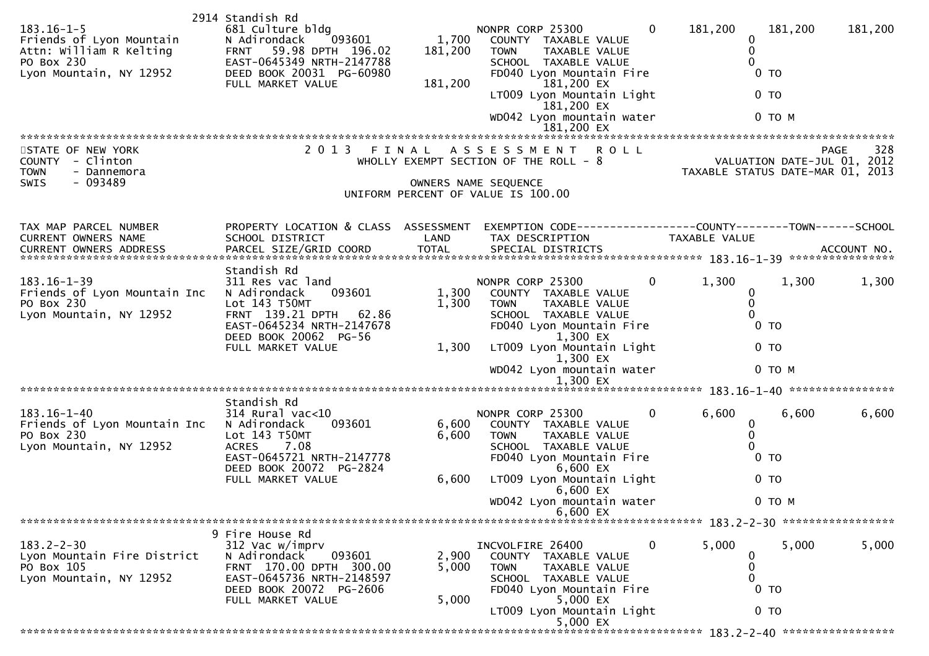| $183.16 - 1 - 5$<br>Friends of Lyon Mountain<br>Attn: William R Kelting<br>PO Box 230<br>Lyon Mountain, NY 12952 | 2914 Standish Rd<br>681 Culture bldg<br>N Adirondack<br>093601<br>59.98 DPTH 196.02<br><b>FRNT</b><br>EAST-0645349 NRTH-2147788<br>DEED BOOK 20031 PG-60980<br>FULL MARKET VALUE | 1,700<br>181,200<br>181,200 | NONPR CORP 25300<br>COUNTY TAXABLE VALUE<br><b>TOWN</b><br>TAXABLE VALUE<br>SCHOOL TAXABLE VALUE<br>FD040 Lyon Mountain Fire<br>181,200 EX<br>LT009 Lyon Mountain Light<br>181,200 EX<br>WD042 Lyon mountain water<br>181,200 EX    | $\overline{0}$<br>181,200<br>181,200<br>$\Omega$<br>0<br>0<br>0 <sub>T</sub><br>0 <sub>T</sub><br>$0$ TO M                                                                                                                                      | 181,200 |
|------------------------------------------------------------------------------------------------------------------|----------------------------------------------------------------------------------------------------------------------------------------------------------------------------------|-----------------------------|-------------------------------------------------------------------------------------------------------------------------------------------------------------------------------------------------------------------------------------|-------------------------------------------------------------------------------------------------------------------------------------------------------------------------------------------------------------------------------------------------|---------|
| STATE OF NEW YORK<br>COUNTY - Clinton<br><b>TOWN</b><br>- Dannemora<br><b>SWIS</b><br>- 093489                   | 2 0 1 3                                                                                                                                                                          | FINAL                       | A S S E S S M E N T<br><b>ROLL</b><br>WHOLLY EXEMPT SECTION OF THE ROLL - 8<br>OWNERS NAME SEQUENCE<br>UNIFORM PERCENT OF VALUE IS 100.00                                                                                           | <b>PAGE</b><br>VALUATION DATE-JUL 01, 2012<br>TAXABLE STATUS DATE-MAR 01, 2013                                                                                                                                                                  | 328     |
| TAX MAP PARCEL NUMBER<br>CURRENT OWNERS NAME                                                                     | PROPERTY LOCATION & CLASS ASSESSMENT<br>SCHOOL DISTRICT                                                                                                                          | LAND                        | TAX DESCRIPTION                                                                                                                                                                                                                     | TAXABLE VALUE<br>.CURRENT OWNERS ADDRESS PARCEL SIZE/GRID COORD TOTAL SPECIAL DISTRICTS (ACCOUNT NO ACCOUNT NO ACCOUNT NO AND TOTAL SPECIAL DISTRICTS 45 AND ASSESS TO A ALL AND A A SERVER AND A A SERVER AND A SERVER AND A SERVER AND THE SE |         |
| $183.16 - 1 - 39$<br>Friends of Lyon Mountain Inc<br>PO Box 230<br>Lyon Mountain, NY 12952                       | Standish Rd<br>311 Res vac land<br>N Adirondack<br>093601<br>Lot 143 T50MT<br>FRNT 139.21 DPTH 62.86<br>EAST-0645234 NRTH-2147678<br>DEED BOOK 20062 PG-56<br>FULL MARKET VALUE  | 1,300<br>1,300<br>1,300     | NONPR CORP 25300<br>COUNTY TAXABLE VALUE<br><b>TOWN</b><br>TAXABLE VALUE<br>SCHOOL TAXABLE VALUE<br>FD040 Lyon Mountain Fire<br>1,300 EX<br>LT009 Lyon Mountain Light<br>1,300 EX<br>WD042 Lyon mountain water<br>1,300 EX          | $\mathbf{0}$<br>1,300<br>1,300<br>0<br>0<br>$\Omega$<br>0 <sub>T</sub><br>0 <sub>T</sub><br>0 TO M                                                                                                                                              | 1,300   |
|                                                                                                                  |                                                                                                                                                                                  |                             |                                                                                                                                                                                                                                     |                                                                                                                                                                                                                                                 |         |
| $183.16 - 1 - 40$<br>Friends of Lyon Mountain Inc<br>PO Box 230<br>Lyon Mountain, NY 12952                       | Standish Rd<br>314 Rural vac<10<br>N Adirondack<br>093601<br>Lot 143 T50MT<br><b>ACRES</b><br>7.08<br>EAST-0645721 NRTH-2147778<br>DEED BOOK 20072 PG-2824<br>FULL MARKET VALUE  | 6,600<br>6,600<br>6,600     | NONPR CORP 25300<br>COUNTY TAXABLE VALUE<br><b>TAXABLE VALUE</b><br><b>TOWN</b><br>SCHOOL TAXABLE VALUE<br>FD040 Lyon Mountain Fire<br>6,600 EX<br>LT009 Lyon Mountain Light<br>$6,600$ EX<br>WD042 Lyon mountain water<br>6,600 EX | $\mathbf{0}$<br>6,600<br>6,600<br>0<br>0<br>0<br>0 <sub>T</sub><br>0 <sub>T</sub><br>0 TO M                                                                                                                                                     | 6,600   |
|                                                                                                                  |                                                                                                                                                                                  |                             |                                                                                                                                                                                                                                     |                                                                                                                                                                                                                                                 |         |
| $183.2 - 2 - 30$<br>Lyon Mountain Fire District<br>PO Box 105<br>Lyon Mountain, NY 12952                         | 9 Fire House Rd<br>312 Vac w/imprv<br>093601<br>N Adirondack<br>FRNT 170.00 DPTH 300.00<br>EAST-0645736 NRTH-2148597<br>DEED BOOK 20072 PG-2606<br>FULL MARKET VALUE             | 2,900<br>5,000<br>5,000     | INCVOLFIRE 26400<br>COUNTY TAXABLE VALUE<br><b>TOWN</b><br><b>TAXABLE VALUE</b><br>SCHOOL TAXABLE VALUE<br>FD040 Lyon Mountain Fire<br>5,000 EX<br>LT009 Lyon Mountain Light<br>5,000 EX                                            | 5,000<br>0<br>5,000<br>O<br>0 <sub>T</sub><br>$0$ TO                                                                                                                                                                                            | 5,000   |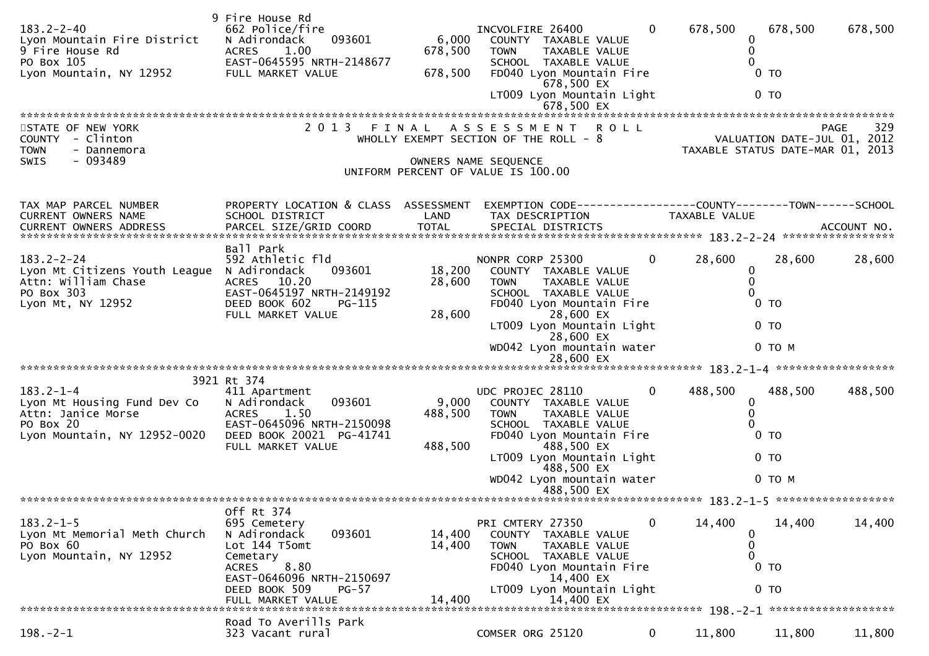| $183.2 - 2 - 40$<br>Lyon Mountain Fire District<br>9 Fire House Rd<br>PO Box 105<br>Lyon Mountain, NY 12952       | 9 Fire House Rd<br>662 Police/fire<br>093601<br>N Adirondack<br>ACRES 1.00<br>EAST-0645595 NRTH-2148677<br>FULL MARKET VALUE                                                          | 6,000<br>678,500<br>678,500 | INCVOLFIRE 26400<br>COUNTY TAXABLE VALUE<br>TAXABLE VALUE<br><b>TOWN</b><br>SCHOOL TAXABLE VALUE<br>FD040 Lyon Mountain Fire<br>678,500 EX<br>LT009 Lyon Mountain Light                                                          | $\mathbf{0}$ | 678,500       | 678,500<br>0<br>$\mathbf{0}$<br>$\mathbf{0}$<br>$0$ TO<br>$0$ TO   | 678,500            |
|-------------------------------------------------------------------------------------------------------------------|---------------------------------------------------------------------------------------------------------------------------------------------------------------------------------------|-----------------------------|----------------------------------------------------------------------------------------------------------------------------------------------------------------------------------------------------------------------------------|--------------|---------------|--------------------------------------------------------------------|--------------------|
| STATE OF NEW YORK<br>COUNTY - Clinton<br>- Dannemora<br><b>TOWN</b><br>- 093489<br><b>SWIS</b>                    | 2 0 1 3                                                                                                                                                                               | FINAL                       | <b>ROLL</b><br>A S S E S S M E N T<br>WHOLLY EXEMPT SECTION OF THE ROLL - 8<br>OWNERS NAME SEQUENCE<br>UNIFORM PERCENT OF VALUE IS 100.00                                                                                        |              |               | VALUATION DATE-JUL 01, 2012<br>TAXABLE STATUS DATE-MAR 01, 2013    | 329<br><b>PAGE</b> |
| TAX MAP PARCEL NUMBER<br>CURRENT OWNERS NAME                                                                      | PROPERTY LOCATION & CLASS ASSESSMENT<br>SCHOOL DISTRICT                                                                                                                               | LAND                        | EXEMPTION CODE------------------COUNTY--------TOWN------SCHOOL<br>TAX DESCRIPTION                                                                                                                                                |              | TAXABLE VALUE |                                                                    |                    |
| $183.2 - 2 - 24$<br>Lyon Mt Citizens Youth League<br>Attn: William Chase<br>PO Box 303<br>Lyon Mt, NY 12952       | Ball Park<br>592 Athletic fld<br>093601<br>N Adirondack<br>ACRES 10.20<br>EAST-0645197 NRTH-2149192<br>DEED BOOK 602<br>$PG-115$<br>FULL MARKET VALUE                                 | 18,200<br>28,600<br>28,600  | NONPR CORP 25300<br>COUNTY TAXABLE VALUE<br>TAXABLE VALUE<br><b>TOWN</b><br>SCHOOL TAXABLE VALUE<br>FD040 Lyon Mountain Fire<br>28,600 EX<br>LT009 Lyon Mountain Light<br>28,600 EX<br>WD042 Lyon mountain water                 | $\Omega$     | 28,600        | 28,600<br>0<br>0<br>$\Omega$<br>$0$ TO<br>0 <sub>T</sub><br>0 то м | 28,600             |
| $183.2 - 1 - 4$<br>Lyon Mt Housing Fund Dev Co<br>Attn: Janice Morse<br>PO Box 20<br>Lyon Mountain, NY 12952-0020 | 3921 Rt 374<br>411 Apartment<br>093601<br>N Adirondack<br><b>ACRES</b><br>1.50<br>EAST-0645096 NRTH-2150098<br>DEED BOOK 20021 PG-41741<br>FULL MARKET VALUE                          | 9,000<br>488,500<br>488,500 | UDC PROJEC 28110<br>COUNTY TAXABLE VALUE<br>TAXABLE VALUE<br><b>TOWN</b><br>SCHOOL TAXABLE VALUE<br>FD040 Lyon Mountain Fire<br>488,500 EX<br>LT009 Lyon Mountain Light<br>488,500 EX<br>WD042 Lyon mountain water<br>488,500 EX | $\mathbf{0}$ | 488,500       | 488,500<br>0<br>0<br>0<br>$0$ TO<br>0 <sub>T</sub><br>0 TO M       | 488,500            |
| $183.2 - 1 - 5$<br>Lyon Mt Memorial Meth Church<br>PO Box 60<br>Lyon Mountain, NY 12952                           | Off Rt 374<br>695 Cemetery<br>093601<br>N Adirondack<br>Lot 144 T5omt<br>Cemetary<br>8.80<br>ACRES<br>EAST-0646096 NRTH-2150697<br>DEED BOOK 509<br><b>PG-57</b><br>FULL MARKET VALUE | 14,400<br>14,400<br>14,400  | PRI CMTERY 27350<br>COUNTY TAXABLE VALUE<br><b>TOWN</b><br><b>TAXABLE VALUE</b><br>SCHOOL TAXABLE VALUE<br>FD040 Lyon Mountain Fire<br>14,400 EX<br>LT009 Lyon Mountain Light<br>14,400 EX                                       | 0            | 14,400        | 14,400<br>0<br>0<br>$\Omega$<br>$0$ TO<br>0 <sub>T</sub>           | 14,400             |
| $198. - 2 - 1$                                                                                                    | Road To Averills Park<br>323 Vacant rural                                                                                                                                             |                             | COMSER ORG 25120                                                                                                                                                                                                                 | $\mathbf{0}$ | 11,800        | 11,800                                                             | 11,800             |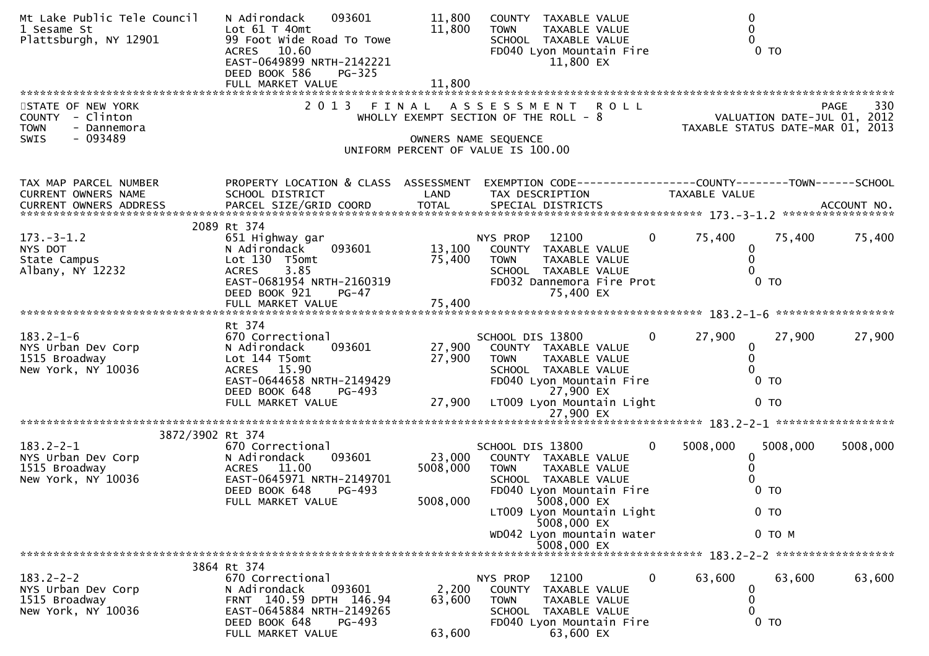| Mt Lake Public Tele Council<br>1 Sesame St<br>Plattsburgh, NY 12901 | 093601<br>N Adirondack<br>Lot $61$ T $40$ mt<br>99 Foot Wide Road To Towe<br>ACRES 10.60<br>EAST-0649899 NRTH-2142221<br>DEED BOOK 586<br><b>PG-325</b> | 11,800<br>11,800   | COUNTY TAXABLE VALUE<br>TAXABLE VALUE<br>TOWN<br>SCHOOL TAXABLE VALUE<br>FD040 Lyon Mountain Fire<br>11,800 EX | 0 <sub>T</sub>                                                                  |
|---------------------------------------------------------------------|---------------------------------------------------------------------------------------------------------------------------------------------------------|--------------------|----------------------------------------------------------------------------------------------------------------|---------------------------------------------------------------------------------|
| STATE OF NEW YORK                                                   |                                                                                                                                                         |                    | 2013 FINAL ASSESSMENT ROLL                                                                                     | 330<br><b>PAGE</b>                                                              |
| COUNTY - Clinton                                                    |                                                                                                                                                         |                    | WHOLLY EXEMPT SECTION OF THE ROLL - 8                                                                          | VALUATION DATE-JUL 01, 2012                                                     |
| <b>TOWN</b><br>- Dannemora<br><b>SWIS</b><br>- 093489               |                                                                                                                                                         |                    | OWNERS NAME SEQUENCE                                                                                           | TAXABLE STATUS DATE-MAR 01, 2013                                                |
|                                                                     |                                                                                                                                                         |                    | UNIFORM PERCENT OF VALUE IS 100.00                                                                             |                                                                                 |
|                                                                     |                                                                                                                                                         |                    |                                                                                                                |                                                                                 |
| TAX MAP PARCEL NUMBER<br>CURRENT OWNERS NAME                        | PROPERTY LOCATION & CLASS ASSESSMENT<br>SCHOOL DISTRICT                                                                                                 | LAND               | TAX DESCRIPTION                                                                                                | EXEMPTION CODE------------------COUNTY--------TOWN------SCHOOL<br>TAXABLE VALUE |
| CURRENT OWNERS ADDRESS                                              |                                                                                                                                                         |                    |                                                                                                                |                                                                                 |
|                                                                     | 2089 Rt 374                                                                                                                                             |                    |                                                                                                                |                                                                                 |
| $173. - 3 - 1.2$                                                    | 651 Highway gar                                                                                                                                         |                    | NYS PROP<br>12100<br>$\overline{0}$                                                                            | 75,400<br>75,400<br>75,400                                                      |
| NYS DOT<br>State Campus                                             | 093601<br>N Adirondack<br>Lot 130 T5omt                                                                                                                 | 13,100<br>75,400   | COUNTY TAXABLE VALUE<br>TAXABLE VALUE<br>TOWN                                                                  | 0<br>0                                                                          |
| Albany, NY 12232                                                    | 3.85<br><b>ACRES</b>                                                                                                                                    |                    | SCHOOL TAXABLE VALUE                                                                                           |                                                                                 |
|                                                                     | EAST-0681954 NRTH-2160319<br>DEED BOOK 921<br><b>PG-47</b>                                                                                              |                    | FD032 Dannemora Fire Prot<br>75,400 EX                                                                         | 0 <sub>T</sub>                                                                  |
|                                                                     | FULL MARKET VALUE                                                                                                                                       | 75,400             |                                                                                                                |                                                                                 |
|                                                                     | Rt 374                                                                                                                                                  |                    |                                                                                                                |                                                                                 |
| $183.2 - 1 - 6$                                                     | 670 Correctional                                                                                                                                        |                    | SCHOOL DIS 13800<br>$\overline{0}$                                                                             | 27,900<br>27,900<br>27,900                                                      |
| NYS Urban Dev Corp<br>1515 Broadway                                 | N Adirondack<br>093601<br>Lot 144 T5omt                                                                                                                 | 27,900<br>27,900   | COUNTY TAXABLE VALUE<br>TAXABLE VALUE<br>TOWN                                                                  | 0<br>0                                                                          |
| New York, NY 10036                                                  | ACRES 15.90                                                                                                                                             |                    | SCHOOL TAXABLE VALUE                                                                                           |                                                                                 |
|                                                                     | EAST-0644658 NRTH-2149429<br>DEED BOOK 648                                                                                                              |                    | FD040 Lyon Mountain Fire<br>27,900 EX                                                                          | 0 <sub>T</sub>                                                                  |
|                                                                     | PG-493<br>FULL MARKET VALUE                                                                                                                             | 27,900             | LT009 Lyon Mountain Light                                                                                      | 0 <sub>T</sub>                                                                  |
|                                                                     |                                                                                                                                                         |                    | 27,900 EX                                                                                                      |                                                                                 |
| 3872/3902 Rt 374                                                    |                                                                                                                                                         |                    |                                                                                                                |                                                                                 |
| $183.2 - 2 - 1$                                                     | 670 Correctional                                                                                                                                        |                    | SCHOOL DIS 13800<br>$\mathbf{0}$                                                                               | 5008,000<br>5008,000<br>5008,000                                                |
| NYS Urban Dev Corp<br>1515 Broadway                                 | 093601<br>N Adirondack<br><b>ACRES</b><br>11.00                                                                                                         | 23,000<br>5008,000 | COUNTY TAXABLE VALUE<br><b>TOWN</b><br>TAXABLE VALUE                                                           | 0                                                                               |
| New York, NY 10036                                                  | EAST-0645971 NRTH-2149701                                                                                                                               |                    | SCHOOL TAXABLE VALUE                                                                                           |                                                                                 |
|                                                                     | DEED BOOK 648<br>$PG-493$<br>FULL MARKET VALUE                                                                                                          | 5008,000           | FD040 Lyon Mountain Fire<br>5008,000 EX                                                                        | 0 <sub>T</sub>                                                                  |
|                                                                     |                                                                                                                                                         |                    | LT009 Lyon Mountain Light<br>5008,000 EX                                                                       | $0$ TO                                                                          |
|                                                                     |                                                                                                                                                         |                    | WD042 Lyon mountain water                                                                                      | $0$ TO M                                                                        |
|                                                                     |                                                                                                                                                         |                    | 5008,000 EX                                                                                                    |                                                                                 |
|                                                                     | 3864 Rt 374                                                                                                                                             |                    |                                                                                                                |                                                                                 |
| $183.2 - 2 - 2$                                                     | 670 Correctional<br>N Adirondack<br>093601                                                                                                              |                    | 12100<br>NYS PROP<br>$\bf{0}$                                                                                  | 63,600<br>63,600<br>63,600                                                      |
| NYS Urban Dev Corp<br>1515 Broadway                                 | FRNT 140.59 DPTH 146.94                                                                                                                                 | 2,200<br>63,600    | <b>COUNTY</b><br>TAXABLE VALUE<br><b>TOWN</b><br>TAXABLE VALUE                                                 | 0<br>0                                                                          |
| New York, NY 10036                                                  | EAST-0645884 NRTH-2149265                                                                                                                               |                    | SCHOOL TAXABLE VALUE                                                                                           | 0                                                                               |
|                                                                     | DEED BOOK 648<br>PG-493<br>FULL MARKET VALUE                                                                                                            | 63,600             | FD040 Lyon Mountain Fire<br>63,600 EX                                                                          | $0$ TO                                                                          |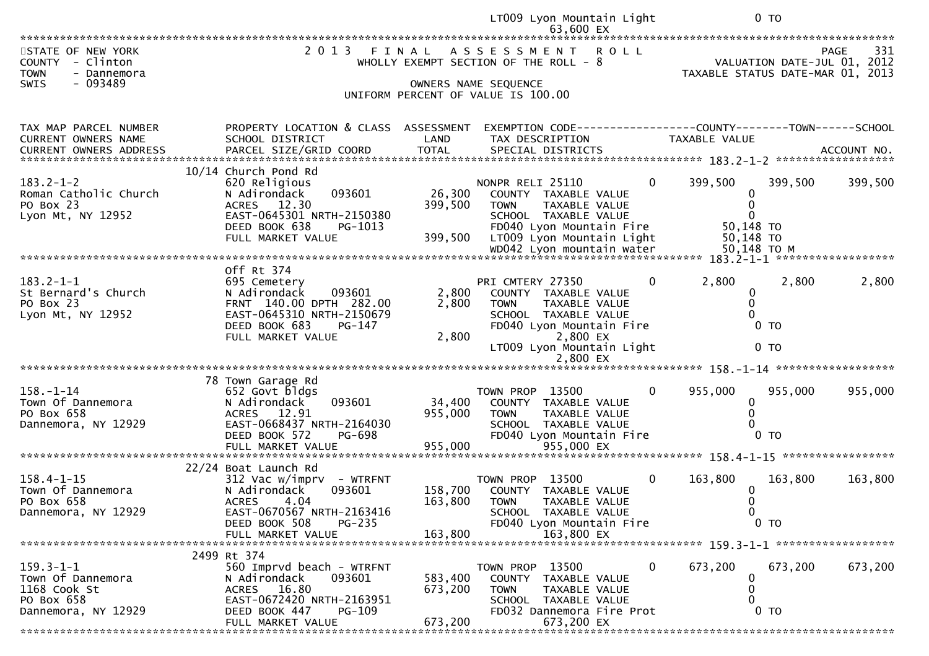| 2 0 1 3<br>STATE OF NEW YORK<br><b>ROLL</b><br>331<br>FINAL<br>A S S E S S M E N T<br>PAGE<br>VALUATION DATE-JUL 01, 2012<br>- Clinton<br>COUNTY<br>WHOLLY EXEMPT SECTION OF THE ROLL - 8<br><b>TOWN</b><br>TAXABLE STATUS DATE-MAR 01, 2013<br>- Dannemora<br>- 093489<br>SWIS<br>OWNERS NAME SEQUENCE<br>UNIFORM PERCENT OF VALUE IS 100.00<br>PROPERTY LOCATION & CLASS ASSESSMENT<br>TAX MAP PARCEL NUMBER<br>EXEMPTION CODE-----------------COUNTY-------TOWN------SCHOOL<br>CURRENT OWNERS NAME<br>SCHOOL DISTRICT<br>TAX DESCRIPTION<br>LAND<br>TAXABLE VALUE<br>10/14 Church Pond Rd<br>$183.2 - 1 - 2$<br>NONPR RELI 25110<br>399,500<br>399,500<br>620 Religious<br>0<br>399,500<br>Roman Catholic Church<br>093601<br>26,300<br>COUNTY TAXABLE VALUE<br>N Adirondack<br>0<br>PO Box 23<br>ACRES 12.30<br>399,500<br><b>TOWN</b><br>TAXABLE VALUE<br>$\Omega$<br>Lyon Mt, NY 12952<br>EAST-0645301 NRTH-2150380<br>SCHOOL TAXABLE VALUE<br>DEED BOOK 638<br>FD040 Lyon Mountain Fire<br>50,148 TO<br>PG-1013<br>399,500<br>50,148 TO<br>FULL MARKET VALUE<br>LT009 Lyon Mountain Light<br>Off Rt 374<br>$183.2 - 1 - 1$<br>2,800<br>2,800<br>2,800<br>695 Cemetery<br>PRI CMTERY 27350<br>0<br>St Bernard's Church<br>2,800<br>N Adirondack<br>093601<br>COUNTY TAXABLE VALUE<br>$\bf{0}$<br>FRNT 140.00 DPTH 282.00<br>2,800<br>$\Omega$<br>PO Box 23<br>TAXABLE VALUE<br><b>TOWN</b><br>Lyon Mt, NY 12952<br>EAST-0645310 NRTH-2150679<br>SCHOOL TAXABLE VALUE<br>DEED BOOK 683<br>0 <sub>T</sub><br>PG-147<br>FD040 Lyon Mountain Fire<br>2,800 EX<br>2,800<br>FULL MARKET VALUE<br>LT009 Lyon Mountain Light<br>$0$ TO<br>2,800 EX<br>78 Town Garage Rd<br>$\mathbf{0}$<br>955,000<br>$158. - 1 - 14$<br>652 Govt bldgs<br>TOWN PROP 13500<br>955,000<br>955,000<br>Town Of Dannemora<br>093601<br>34,400<br>N Adirondack<br>COUNTY TAXABLE VALUE<br>0<br>PO Box 658<br>ACRES 12.91<br>955,000<br><b>TOWN</b><br>TAXABLE VALUE<br>EAST-0668437 NRTH-2164030<br>Dannemora, NY 12929<br>SCHOOL TAXABLE VALUE<br>PG-698<br>FD040 Lyon Mountain Fire<br>0 <sub>T</sub><br>DEED BOOK 572<br>22/24 Boat Launch Rd<br>$158.4 - 1 - 15$<br>TOWN PROP 13500<br>163,800<br>$312$ Vac w/imprv - WTRFNT<br>$\Omega$<br>163,800<br>163,800<br>Town Of Dannemora<br>N Adirondack<br>093601<br>158,700<br>COUNTY TAXABLE VALUE<br>0<br>PO Box 658<br><b>ACRES</b><br>4.04<br>163,800<br><b>TOWN</b><br>0<br>TAXABLE VALUE<br>Dannemora, NY 12929<br>EAST-0670567 NRTH-2163416<br>SCHOOL TAXABLE VALUE<br>$\mathbf{0}$<br>$0$ TO<br>DEED BOOK 508<br>$PG-235$<br>FD040 Lyon Mountain Fire<br>163,800 EX<br>FULL MARKET VALUE<br>163,800<br>2499 Rt 374<br>$159.3 - 1 - 1$<br>560 Imprvd beach - WTRFNT<br>TOWN PROP 13500<br>$\mathbf{0}$<br>673,200<br>673,200<br>673,200<br>Town Of Dannemora<br>583,400<br>N Adirondack<br>093601<br>COUNTY TAXABLE VALUE<br>0<br>ACRES 16.80<br>1168 Cook St<br>673,200<br>0<br><b>TOWN</b><br>TAXABLE VALUE<br>PO Box 658<br>EAST-0672420 NRTH-2163951<br>SCHOOL TAXABLE VALUE<br>$0$ TO<br>Dannemora, NY 12929<br>DEED BOOK 447<br>FD032 Dannemora Fire Prot<br><b>PG-109</b><br>673,200 |  | LT009 Lyon Mountain Light | 0 <sub>T</sub> |
|------------------------------------------------------------------------------------------------------------------------------------------------------------------------------------------------------------------------------------------------------------------------------------------------------------------------------------------------------------------------------------------------------------------------------------------------------------------------------------------------------------------------------------------------------------------------------------------------------------------------------------------------------------------------------------------------------------------------------------------------------------------------------------------------------------------------------------------------------------------------------------------------------------------------------------------------------------------------------------------------------------------------------------------------------------------------------------------------------------------------------------------------------------------------------------------------------------------------------------------------------------------------------------------------------------------------------------------------------------------------------------------------------------------------------------------------------------------------------------------------------------------------------------------------------------------------------------------------------------------------------------------------------------------------------------------------------------------------------------------------------------------------------------------------------------------------------------------------------------------------------------------------------------------------------------------------------------------------------------------------------------------------------------------------------------------------------------------------------------------------------------------------------------------------------------------------------------------------------------------------------------------------------------------------------------------------------------------------------------------------------------------------------------------------------------------------------------------------------------------------------------------------------------------------------------------------------------------------------------------------------------------------------------------------------------------------------------------------------------------------------------------------------------------------------------------------------------------------------------------------------------------------------------------------------------------------------------------------------------------------------------------------------------------------------------------------------------------------------------------------------|--|---------------------------|----------------|
|                                                                                                                                                                                                                                                                                                                                                                                                                                                                                                                                                                                                                                                                                                                                                                                                                                                                                                                                                                                                                                                                                                                                                                                                                                                                                                                                                                                                                                                                                                                                                                                                                                                                                                                                                                                                                                                                                                                                                                                                                                                                                                                                                                                                                                                                                                                                                                                                                                                                                                                                                                                                                                                                                                                                                                                                                                                                                                                                                                                                                                                                                                                              |  | 63,600 EX                 |                |
|                                                                                                                                                                                                                                                                                                                                                                                                                                                                                                                                                                                                                                                                                                                                                                                                                                                                                                                                                                                                                                                                                                                                                                                                                                                                                                                                                                                                                                                                                                                                                                                                                                                                                                                                                                                                                                                                                                                                                                                                                                                                                                                                                                                                                                                                                                                                                                                                                                                                                                                                                                                                                                                                                                                                                                                                                                                                                                                                                                                                                                                                                                                              |  |                           |                |
|                                                                                                                                                                                                                                                                                                                                                                                                                                                                                                                                                                                                                                                                                                                                                                                                                                                                                                                                                                                                                                                                                                                                                                                                                                                                                                                                                                                                                                                                                                                                                                                                                                                                                                                                                                                                                                                                                                                                                                                                                                                                                                                                                                                                                                                                                                                                                                                                                                                                                                                                                                                                                                                                                                                                                                                                                                                                                                                                                                                                                                                                                                                              |  |                           |                |
|                                                                                                                                                                                                                                                                                                                                                                                                                                                                                                                                                                                                                                                                                                                                                                                                                                                                                                                                                                                                                                                                                                                                                                                                                                                                                                                                                                                                                                                                                                                                                                                                                                                                                                                                                                                                                                                                                                                                                                                                                                                                                                                                                                                                                                                                                                                                                                                                                                                                                                                                                                                                                                                                                                                                                                                                                                                                                                                                                                                                                                                                                                                              |  |                           |                |
|                                                                                                                                                                                                                                                                                                                                                                                                                                                                                                                                                                                                                                                                                                                                                                                                                                                                                                                                                                                                                                                                                                                                                                                                                                                                                                                                                                                                                                                                                                                                                                                                                                                                                                                                                                                                                                                                                                                                                                                                                                                                                                                                                                                                                                                                                                                                                                                                                                                                                                                                                                                                                                                                                                                                                                                                                                                                                                                                                                                                                                                                                                                              |  |                           |                |
|                                                                                                                                                                                                                                                                                                                                                                                                                                                                                                                                                                                                                                                                                                                                                                                                                                                                                                                                                                                                                                                                                                                                                                                                                                                                                                                                                                                                                                                                                                                                                                                                                                                                                                                                                                                                                                                                                                                                                                                                                                                                                                                                                                                                                                                                                                                                                                                                                                                                                                                                                                                                                                                                                                                                                                                                                                                                                                                                                                                                                                                                                                                              |  |                           |                |
|                                                                                                                                                                                                                                                                                                                                                                                                                                                                                                                                                                                                                                                                                                                                                                                                                                                                                                                                                                                                                                                                                                                                                                                                                                                                                                                                                                                                                                                                                                                                                                                                                                                                                                                                                                                                                                                                                                                                                                                                                                                                                                                                                                                                                                                                                                                                                                                                                                                                                                                                                                                                                                                                                                                                                                                                                                                                                                                                                                                                                                                                                                                              |  |                           |                |
|                                                                                                                                                                                                                                                                                                                                                                                                                                                                                                                                                                                                                                                                                                                                                                                                                                                                                                                                                                                                                                                                                                                                                                                                                                                                                                                                                                                                                                                                                                                                                                                                                                                                                                                                                                                                                                                                                                                                                                                                                                                                                                                                                                                                                                                                                                                                                                                                                                                                                                                                                                                                                                                                                                                                                                                                                                                                                                                                                                                                                                                                                                                              |  |                           |                |
|                                                                                                                                                                                                                                                                                                                                                                                                                                                                                                                                                                                                                                                                                                                                                                                                                                                                                                                                                                                                                                                                                                                                                                                                                                                                                                                                                                                                                                                                                                                                                                                                                                                                                                                                                                                                                                                                                                                                                                                                                                                                                                                                                                                                                                                                                                                                                                                                                                                                                                                                                                                                                                                                                                                                                                                                                                                                                                                                                                                                                                                                                                                              |  |                           |                |
|                                                                                                                                                                                                                                                                                                                                                                                                                                                                                                                                                                                                                                                                                                                                                                                                                                                                                                                                                                                                                                                                                                                                                                                                                                                                                                                                                                                                                                                                                                                                                                                                                                                                                                                                                                                                                                                                                                                                                                                                                                                                                                                                                                                                                                                                                                                                                                                                                                                                                                                                                                                                                                                                                                                                                                                                                                                                                                                                                                                                                                                                                                                              |  |                           |                |
|                                                                                                                                                                                                                                                                                                                                                                                                                                                                                                                                                                                                                                                                                                                                                                                                                                                                                                                                                                                                                                                                                                                                                                                                                                                                                                                                                                                                                                                                                                                                                                                                                                                                                                                                                                                                                                                                                                                                                                                                                                                                                                                                                                                                                                                                                                                                                                                                                                                                                                                                                                                                                                                                                                                                                                                                                                                                                                                                                                                                                                                                                                                              |  |                           |                |
|                                                                                                                                                                                                                                                                                                                                                                                                                                                                                                                                                                                                                                                                                                                                                                                                                                                                                                                                                                                                                                                                                                                                                                                                                                                                                                                                                                                                                                                                                                                                                                                                                                                                                                                                                                                                                                                                                                                                                                                                                                                                                                                                                                                                                                                                                                                                                                                                                                                                                                                                                                                                                                                                                                                                                                                                                                                                                                                                                                                                                                                                                                                              |  |                           |                |
|                                                                                                                                                                                                                                                                                                                                                                                                                                                                                                                                                                                                                                                                                                                                                                                                                                                                                                                                                                                                                                                                                                                                                                                                                                                                                                                                                                                                                                                                                                                                                                                                                                                                                                                                                                                                                                                                                                                                                                                                                                                                                                                                                                                                                                                                                                                                                                                                                                                                                                                                                                                                                                                                                                                                                                                                                                                                                                                                                                                                                                                                                                                              |  |                           |                |
|                                                                                                                                                                                                                                                                                                                                                                                                                                                                                                                                                                                                                                                                                                                                                                                                                                                                                                                                                                                                                                                                                                                                                                                                                                                                                                                                                                                                                                                                                                                                                                                                                                                                                                                                                                                                                                                                                                                                                                                                                                                                                                                                                                                                                                                                                                                                                                                                                                                                                                                                                                                                                                                                                                                                                                                                                                                                                                                                                                                                                                                                                                                              |  |                           |                |
|                                                                                                                                                                                                                                                                                                                                                                                                                                                                                                                                                                                                                                                                                                                                                                                                                                                                                                                                                                                                                                                                                                                                                                                                                                                                                                                                                                                                                                                                                                                                                                                                                                                                                                                                                                                                                                                                                                                                                                                                                                                                                                                                                                                                                                                                                                                                                                                                                                                                                                                                                                                                                                                                                                                                                                                                                                                                                                                                                                                                                                                                                                                              |  |                           |                |
|                                                                                                                                                                                                                                                                                                                                                                                                                                                                                                                                                                                                                                                                                                                                                                                                                                                                                                                                                                                                                                                                                                                                                                                                                                                                                                                                                                                                                                                                                                                                                                                                                                                                                                                                                                                                                                                                                                                                                                                                                                                                                                                                                                                                                                                                                                                                                                                                                                                                                                                                                                                                                                                                                                                                                                                                                                                                                                                                                                                                                                                                                                                              |  |                           |                |
|                                                                                                                                                                                                                                                                                                                                                                                                                                                                                                                                                                                                                                                                                                                                                                                                                                                                                                                                                                                                                                                                                                                                                                                                                                                                                                                                                                                                                                                                                                                                                                                                                                                                                                                                                                                                                                                                                                                                                                                                                                                                                                                                                                                                                                                                                                                                                                                                                                                                                                                                                                                                                                                                                                                                                                                                                                                                                                                                                                                                                                                                                                                              |  |                           |                |
|                                                                                                                                                                                                                                                                                                                                                                                                                                                                                                                                                                                                                                                                                                                                                                                                                                                                                                                                                                                                                                                                                                                                                                                                                                                                                                                                                                                                                                                                                                                                                                                                                                                                                                                                                                                                                                                                                                                                                                                                                                                                                                                                                                                                                                                                                                                                                                                                                                                                                                                                                                                                                                                                                                                                                                                                                                                                                                                                                                                                                                                                                                                              |  |                           |                |
|                                                                                                                                                                                                                                                                                                                                                                                                                                                                                                                                                                                                                                                                                                                                                                                                                                                                                                                                                                                                                                                                                                                                                                                                                                                                                                                                                                                                                                                                                                                                                                                                                                                                                                                                                                                                                                                                                                                                                                                                                                                                                                                                                                                                                                                                                                                                                                                                                                                                                                                                                                                                                                                                                                                                                                                                                                                                                                                                                                                                                                                                                                                              |  |                           |                |
|                                                                                                                                                                                                                                                                                                                                                                                                                                                                                                                                                                                                                                                                                                                                                                                                                                                                                                                                                                                                                                                                                                                                                                                                                                                                                                                                                                                                                                                                                                                                                                                                                                                                                                                                                                                                                                                                                                                                                                                                                                                                                                                                                                                                                                                                                                                                                                                                                                                                                                                                                                                                                                                                                                                                                                                                                                                                                                                                                                                                                                                                                                                              |  |                           |                |
|                                                                                                                                                                                                                                                                                                                                                                                                                                                                                                                                                                                                                                                                                                                                                                                                                                                                                                                                                                                                                                                                                                                                                                                                                                                                                                                                                                                                                                                                                                                                                                                                                                                                                                                                                                                                                                                                                                                                                                                                                                                                                                                                                                                                                                                                                                                                                                                                                                                                                                                                                                                                                                                                                                                                                                                                                                                                                                                                                                                                                                                                                                                              |  |                           |                |
|                                                                                                                                                                                                                                                                                                                                                                                                                                                                                                                                                                                                                                                                                                                                                                                                                                                                                                                                                                                                                                                                                                                                                                                                                                                                                                                                                                                                                                                                                                                                                                                                                                                                                                                                                                                                                                                                                                                                                                                                                                                                                                                                                                                                                                                                                                                                                                                                                                                                                                                                                                                                                                                                                                                                                                                                                                                                                                                                                                                                                                                                                                                              |  |                           |                |
|                                                                                                                                                                                                                                                                                                                                                                                                                                                                                                                                                                                                                                                                                                                                                                                                                                                                                                                                                                                                                                                                                                                                                                                                                                                                                                                                                                                                                                                                                                                                                                                                                                                                                                                                                                                                                                                                                                                                                                                                                                                                                                                                                                                                                                                                                                                                                                                                                                                                                                                                                                                                                                                                                                                                                                                                                                                                                                                                                                                                                                                                                                                              |  |                           |                |
|                                                                                                                                                                                                                                                                                                                                                                                                                                                                                                                                                                                                                                                                                                                                                                                                                                                                                                                                                                                                                                                                                                                                                                                                                                                                                                                                                                                                                                                                                                                                                                                                                                                                                                                                                                                                                                                                                                                                                                                                                                                                                                                                                                                                                                                                                                                                                                                                                                                                                                                                                                                                                                                                                                                                                                                                                                                                                                                                                                                                                                                                                                                              |  |                           |                |
|                                                                                                                                                                                                                                                                                                                                                                                                                                                                                                                                                                                                                                                                                                                                                                                                                                                                                                                                                                                                                                                                                                                                                                                                                                                                                                                                                                                                                                                                                                                                                                                                                                                                                                                                                                                                                                                                                                                                                                                                                                                                                                                                                                                                                                                                                                                                                                                                                                                                                                                                                                                                                                                                                                                                                                                                                                                                                                                                                                                                                                                                                                                              |  |                           |                |
|                                                                                                                                                                                                                                                                                                                                                                                                                                                                                                                                                                                                                                                                                                                                                                                                                                                                                                                                                                                                                                                                                                                                                                                                                                                                                                                                                                                                                                                                                                                                                                                                                                                                                                                                                                                                                                                                                                                                                                                                                                                                                                                                                                                                                                                                                                                                                                                                                                                                                                                                                                                                                                                                                                                                                                                                                                                                                                                                                                                                                                                                                                                              |  |                           |                |
|                                                                                                                                                                                                                                                                                                                                                                                                                                                                                                                                                                                                                                                                                                                                                                                                                                                                                                                                                                                                                                                                                                                                                                                                                                                                                                                                                                                                                                                                                                                                                                                                                                                                                                                                                                                                                                                                                                                                                                                                                                                                                                                                                                                                                                                                                                                                                                                                                                                                                                                                                                                                                                                                                                                                                                                                                                                                                                                                                                                                                                                                                                                              |  |                           |                |
|                                                                                                                                                                                                                                                                                                                                                                                                                                                                                                                                                                                                                                                                                                                                                                                                                                                                                                                                                                                                                                                                                                                                                                                                                                                                                                                                                                                                                                                                                                                                                                                                                                                                                                                                                                                                                                                                                                                                                                                                                                                                                                                                                                                                                                                                                                                                                                                                                                                                                                                                                                                                                                                                                                                                                                                                                                                                                                                                                                                                                                                                                                                              |  |                           |                |
|                                                                                                                                                                                                                                                                                                                                                                                                                                                                                                                                                                                                                                                                                                                                                                                                                                                                                                                                                                                                                                                                                                                                                                                                                                                                                                                                                                                                                                                                                                                                                                                                                                                                                                                                                                                                                                                                                                                                                                                                                                                                                                                                                                                                                                                                                                                                                                                                                                                                                                                                                                                                                                                                                                                                                                                                                                                                                                                                                                                                                                                                                                                              |  |                           |                |
|                                                                                                                                                                                                                                                                                                                                                                                                                                                                                                                                                                                                                                                                                                                                                                                                                                                                                                                                                                                                                                                                                                                                                                                                                                                                                                                                                                                                                                                                                                                                                                                                                                                                                                                                                                                                                                                                                                                                                                                                                                                                                                                                                                                                                                                                                                                                                                                                                                                                                                                                                                                                                                                                                                                                                                                                                                                                                                                                                                                                                                                                                                                              |  |                           |                |
|                                                                                                                                                                                                                                                                                                                                                                                                                                                                                                                                                                                                                                                                                                                                                                                                                                                                                                                                                                                                                                                                                                                                                                                                                                                                                                                                                                                                                                                                                                                                                                                                                                                                                                                                                                                                                                                                                                                                                                                                                                                                                                                                                                                                                                                                                                                                                                                                                                                                                                                                                                                                                                                                                                                                                                                                                                                                                                                                                                                                                                                                                                                              |  |                           |                |
|                                                                                                                                                                                                                                                                                                                                                                                                                                                                                                                                                                                                                                                                                                                                                                                                                                                                                                                                                                                                                                                                                                                                                                                                                                                                                                                                                                                                                                                                                                                                                                                                                                                                                                                                                                                                                                                                                                                                                                                                                                                                                                                                                                                                                                                                                                                                                                                                                                                                                                                                                                                                                                                                                                                                                                                                                                                                                                                                                                                                                                                                                                                              |  |                           |                |
|                                                                                                                                                                                                                                                                                                                                                                                                                                                                                                                                                                                                                                                                                                                                                                                                                                                                                                                                                                                                                                                                                                                                                                                                                                                                                                                                                                                                                                                                                                                                                                                                                                                                                                                                                                                                                                                                                                                                                                                                                                                                                                                                                                                                                                                                                                                                                                                                                                                                                                                                                                                                                                                                                                                                                                                                                                                                                                                                                                                                                                                                                                                              |  |                           |                |
|                                                                                                                                                                                                                                                                                                                                                                                                                                                                                                                                                                                                                                                                                                                                                                                                                                                                                                                                                                                                                                                                                                                                                                                                                                                                                                                                                                                                                                                                                                                                                                                                                                                                                                                                                                                                                                                                                                                                                                                                                                                                                                                                                                                                                                                                                                                                                                                                                                                                                                                                                                                                                                                                                                                                                                                                                                                                                                                                                                                                                                                                                                                              |  |                           |                |
|                                                                                                                                                                                                                                                                                                                                                                                                                                                                                                                                                                                                                                                                                                                                                                                                                                                                                                                                                                                                                                                                                                                                                                                                                                                                                                                                                                                                                                                                                                                                                                                                                                                                                                                                                                                                                                                                                                                                                                                                                                                                                                                                                                                                                                                                                                                                                                                                                                                                                                                                                                                                                                                                                                                                                                                                                                                                                                                                                                                                                                                                                                                              |  |                           |                |
|                                                                                                                                                                                                                                                                                                                                                                                                                                                                                                                                                                                                                                                                                                                                                                                                                                                                                                                                                                                                                                                                                                                                                                                                                                                                                                                                                                                                                                                                                                                                                                                                                                                                                                                                                                                                                                                                                                                                                                                                                                                                                                                                                                                                                                                                                                                                                                                                                                                                                                                                                                                                                                                                                                                                                                                                                                                                                                                                                                                                                                                                                                                              |  |                           |                |
|                                                                                                                                                                                                                                                                                                                                                                                                                                                                                                                                                                                                                                                                                                                                                                                                                                                                                                                                                                                                                                                                                                                                                                                                                                                                                                                                                                                                                                                                                                                                                                                                                                                                                                                                                                                                                                                                                                                                                                                                                                                                                                                                                                                                                                                                                                                                                                                                                                                                                                                                                                                                                                                                                                                                                                                                                                                                                                                                                                                                                                                                                                                              |  |                           |                |
|                                                                                                                                                                                                                                                                                                                                                                                                                                                                                                                                                                                                                                                                                                                                                                                                                                                                                                                                                                                                                                                                                                                                                                                                                                                                                                                                                                                                                                                                                                                                                                                                                                                                                                                                                                                                                                                                                                                                                                                                                                                                                                                                                                                                                                                                                                                                                                                                                                                                                                                                                                                                                                                                                                                                                                                                                                                                                                                                                                                                                                                                                                                              |  |                           |                |
|                                                                                                                                                                                                                                                                                                                                                                                                                                                                                                                                                                                                                                                                                                                                                                                                                                                                                                                                                                                                                                                                                                                                                                                                                                                                                                                                                                                                                                                                                                                                                                                                                                                                                                                                                                                                                                                                                                                                                                                                                                                                                                                                                                                                                                                                                                                                                                                                                                                                                                                                                                                                                                                                                                                                                                                                                                                                                                                                                                                                                                                                                                                              |  |                           |                |
|                                                                                                                                                                                                                                                                                                                                                                                                                                                                                                                                                                                                                                                                                                                                                                                                                                                                                                                                                                                                                                                                                                                                                                                                                                                                                                                                                                                                                                                                                                                                                                                                                                                                                                                                                                                                                                                                                                                                                                                                                                                                                                                                                                                                                                                                                                                                                                                                                                                                                                                                                                                                                                                                                                                                                                                                                                                                                                                                                                                                                                                                                                                              |  |                           |                |
|                                                                                                                                                                                                                                                                                                                                                                                                                                                                                                                                                                                                                                                                                                                                                                                                                                                                                                                                                                                                                                                                                                                                                                                                                                                                                                                                                                                                                                                                                                                                                                                                                                                                                                                                                                                                                                                                                                                                                                                                                                                                                                                                                                                                                                                                                                                                                                                                                                                                                                                                                                                                                                                                                                                                                                                                                                                                                                                                                                                                                                                                                                                              |  |                           |                |
|                                                                                                                                                                                                                                                                                                                                                                                                                                                                                                                                                                                                                                                                                                                                                                                                                                                                                                                                                                                                                                                                                                                                                                                                                                                                                                                                                                                                                                                                                                                                                                                                                                                                                                                                                                                                                                                                                                                                                                                                                                                                                                                                                                                                                                                                                                                                                                                                                                                                                                                                                                                                                                                                                                                                                                                                                                                                                                                                                                                                                                                                                                                              |  |                           |                |
|                                                                                                                                                                                                                                                                                                                                                                                                                                                                                                                                                                                                                                                                                                                                                                                                                                                                                                                                                                                                                                                                                                                                                                                                                                                                                                                                                                                                                                                                                                                                                                                                                                                                                                                                                                                                                                                                                                                                                                                                                                                                                                                                                                                                                                                                                                                                                                                                                                                                                                                                                                                                                                                                                                                                                                                                                                                                                                                                                                                                                                                                                                                              |  |                           |                |
|                                                                                                                                                                                                                                                                                                                                                                                                                                                                                                                                                                                                                                                                                                                                                                                                                                                                                                                                                                                                                                                                                                                                                                                                                                                                                                                                                                                                                                                                                                                                                                                                                                                                                                                                                                                                                                                                                                                                                                                                                                                                                                                                                                                                                                                                                                                                                                                                                                                                                                                                                                                                                                                                                                                                                                                                                                                                                                                                                                                                                                                                                                                              |  |                           |                |
|                                                                                                                                                                                                                                                                                                                                                                                                                                                                                                                                                                                                                                                                                                                                                                                                                                                                                                                                                                                                                                                                                                                                                                                                                                                                                                                                                                                                                                                                                                                                                                                                                                                                                                                                                                                                                                                                                                                                                                                                                                                                                                                                                                                                                                                                                                                                                                                                                                                                                                                                                                                                                                                                                                                                                                                                                                                                                                                                                                                                                                                                                                                              |  |                           |                |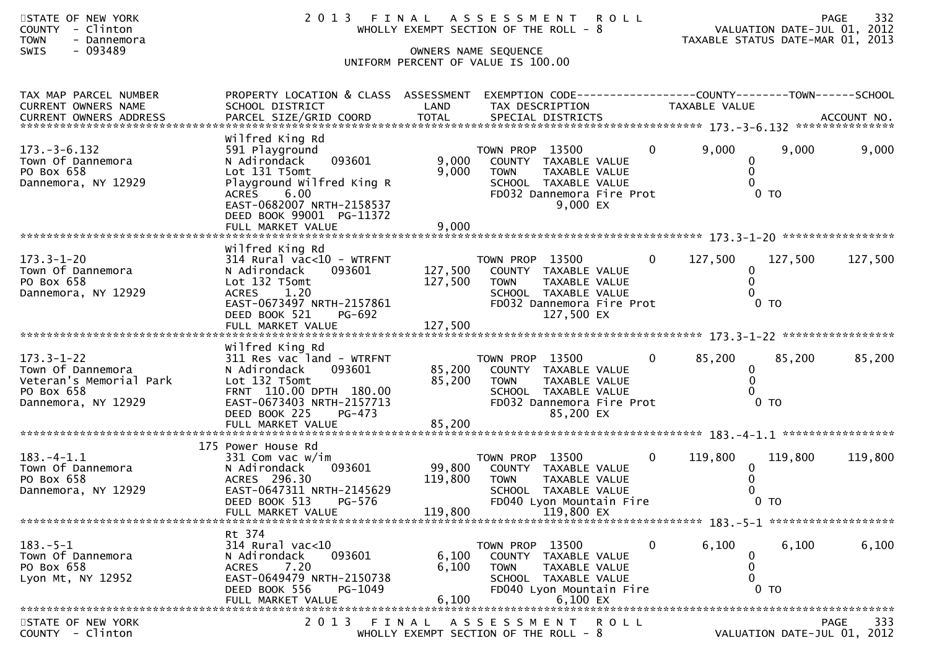| STATE OF NEW YORK<br><b>COUNTY</b><br>- Clinton<br><b>TOWN</b><br>- Dannemora<br>$-093489$<br>SWIS    | 2 0 1 3                                                                                                                                                                                         |                              | FINAL ASSESSMENT ROLL<br>WHOLLY EXEMPT SECTION OF THE ROLL - 8<br>OWNERS NAME SEQUENCE<br>UNIFORM PERCENT OF VALUE IS 100.00                                      | TAXABLE STATUS DATE-MAR 01, 2013        | VALUATION DATE-JUL 01, 2012 | 332<br><b>PAGE</b>               |
|-------------------------------------------------------------------------------------------------------|-------------------------------------------------------------------------------------------------------------------------------------------------------------------------------------------------|------------------------------|-------------------------------------------------------------------------------------------------------------------------------------------------------------------|-----------------------------------------|-----------------------------|----------------------------------|
| TAX MAP PARCEL NUMBER<br>CURRENT OWNERS NAME<br>CURRENT OWNERS ADDRESS                                | PROPERTY LOCATION & CLASS ASSESSMENT<br>SCHOOL DISTRICT                                                                                                                                         | LAND                         | EXEMPTION CODE------------------COUNTY--------TOWN------SCHOOL<br>TAX DESCRIPTION                                                                                 | TAXABLE VALUE                           |                             |                                  |
| $173. - 3 - 6.132$<br>Town Of Dannemora<br>PO Box 658<br>Dannemora, NY 12929                          | Wilfred King Rd<br>591 Playground<br>093601<br>N Adirondack<br>Lot 131 T5omt<br>Playground Wilfred King R<br><b>ACRES</b><br>6.00<br>EAST-0682007 NRTH-2158537<br>DEED BOOK 99001 PG-11372      | 9,000<br>9,000               | TOWN PROP 13500<br>$\mathbf{0}$<br>COUNTY TAXABLE VALUE<br><b>TOWN</b><br>TAXABLE VALUE<br>SCHOOL TAXABLE VALUE<br>FD032 Dannemora Fire Prot<br>9,000 EX          | 9,000<br>0<br>$\mathbf{0}$<br>0         | 9,000<br>0 <sub>T</sub>     | 9,000                            |
| $173.3 - 1 - 20$<br>Town Of Dannemora<br>PO Box 658<br>Dannemora, NY 12929                            | Wilfred King Rd<br>$314$ Rural vac<10 - WTRFNT<br>N Adirondack<br>093601<br>Lot 132 T5omt<br>ACRES<br>1.20<br>EAST-0673497 NRTH-2157861<br>DEED BOOK 521<br>PG-692                              | 127,500<br>127,500           | TOWN PROP 13500<br>$\mathbf{0}$<br>COUNTY TAXABLE VALUE<br><b>TOWN</b><br><b>TAXABLE VALUE</b><br>SCHOOL TAXABLE VALUE<br>FD032 Dannemora Fire Prot<br>127,500 EX | 127,500<br>$\bf{0}$<br>$\Omega$<br>0    | 127,500<br>0 <sub>T</sub>   | 127,500                          |
| $173.3 - 1 - 22$<br>Town Of Dannemora<br>Veteran's Memorial Park<br>PO Box 658<br>Dannemora, NY 12929 | Wilfred King Rd<br>311 Res vac land - WTRFNT<br>N Adirondack<br>093601<br>Lot 132 T5omt<br>FRNT 110.00 DPTH 180.00<br>EAST-0673403 NRTH-2157713<br>DEED BOOK 225<br>PG-473<br>FULL MARKET VALUE | 85,200<br>85,200<br>85,200   | TOWN PROP 13500<br>$\overline{0}$<br>COUNTY TAXABLE VALUE<br><b>TOWN</b><br>TAXABLE VALUE<br>SCHOOL TAXABLE VALUE<br>FD032 Dannemora Fire Prot<br>85,200 EX       | 85,200<br>$\bf{0}$<br>$\mathbf{0}$<br>0 | 85,200<br>$0$ TO            | 85,200                           |
| $183. -4 - 1.1$<br>Town Of Dannemora<br>PO Box 658<br>Dannemora, NY 12929                             | 175 Power House Rd<br>331 Com vac w/im<br>N Adirondack<br>093601<br>ACRES 296.30<br>EAST-0647311 NRTH-2145629<br>DEED BOOK 513<br>PG-576<br>FULL MARKET VALUE                                   | 99,800<br>119,800<br>119,800 | TOWN PROP 13500<br>$\mathbf{0}$<br>COUNTY TAXABLE VALUE<br><b>TOWN</b><br>TAXABLE VALUE<br>SCHOOL TAXABLE VALUE<br>FD040 Lyon Mountain Fire<br>119,800 EX         | 119,800<br>$\bf{0}$<br>$\Omega$         | 119,800<br>0 <sub>T</sub>   | 119,800                          |
| $183.-5-1$<br>Town Of Dannemora<br>PO Box 658<br>Lyon Mt, NY 12952                                    | Rt 374<br>314 Rural vac<10<br>093601<br>N Adirondack<br>7.20<br>ACRES<br>EAST-0649479 NRTH-2150738<br>DEED BOOK 556<br>PG-1049<br>FULL MARKET VALUE                                             | 6,100<br>6,100<br>6,100      | TOWN PROP 13500<br>0<br>COUNTY TAXABLE VALUE<br><b>TOWN</b><br>TAXABLE VALUE<br>SCHOOL TAXABLE VALUE<br>FD040 Lyon Mountain Fire<br>6,100 EX                      | 6,100<br>0<br>0                         | 6,100<br>0 <sub>T</sub>     | 6,100                            |
| STATE OF NEW YORK<br>ᅔᄀᅌᆠᇱᆂ                                                                           |                                                                                                                                                                                                 |                              | 2013 FINAL ASSESSMENT<br>R O L L                                                                                                                                  |                                         |                             | 333<br>PAGE<br>2012<br><b>01</b> |

COUNTY - Clinton WHOLLY EXEMPT SECTION OF THE ROLL - 8 VALUATION DATE-JUL 01, 2012

VALUATION DATE-JUL 01, 2012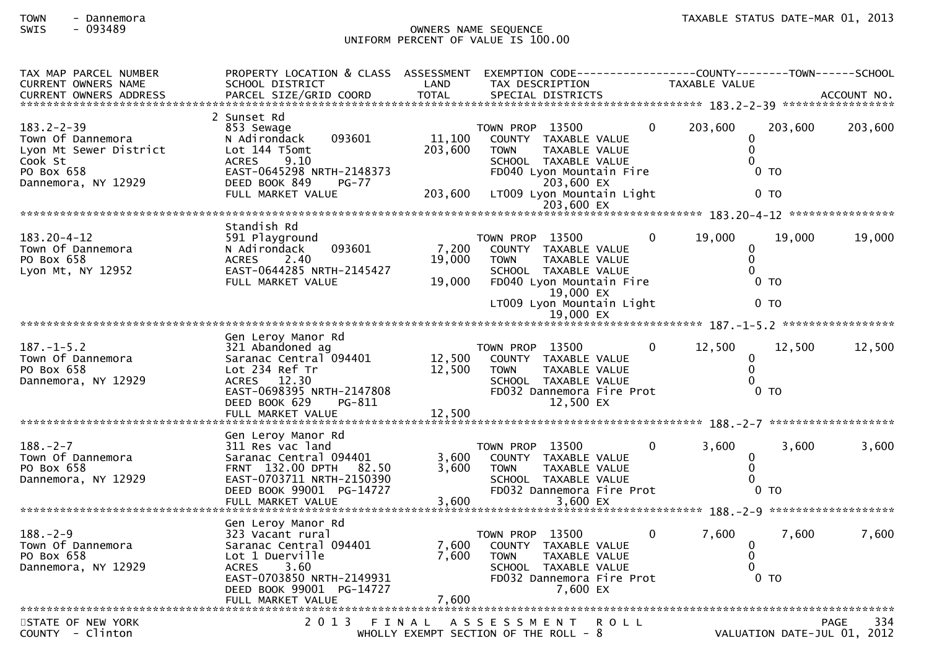# SWIS - 093489 OWNERS NAME SEQUENCE UNIFORM PERCENT OF VALUE IS 100.00

| TAX MAP PARCEL NUMBER<br><b>CURRENT OWNERS NAME</b><br><b>CURRENT OWNERS ADDRESS</b>                            | PROPERTY LOCATION & CLASS ASSESSMENT<br>SCHOOL DISTRICT<br>PARCEL SIZE/GRID COORD                                                                                          | LAND<br><b>TOTAL</b>         | EXEMPTION CODE-----------------COUNTY-------TOWN------SCHOOL<br>TAX DESCRIPTION<br>SPECIAL DISTRICTS                                                                                 |             | <b>TAXABLE VALUE</b>                 |                                     | ACCOUNT NO. |
|-----------------------------------------------------------------------------------------------------------------|----------------------------------------------------------------------------------------------------------------------------------------------------------------------------|------------------------------|--------------------------------------------------------------------------------------------------------------------------------------------------------------------------------------|-------------|--------------------------------------|-------------------------------------|-------------|
|                                                                                                                 |                                                                                                                                                                            |                              |                                                                                                                                                                                      |             |                                      |                                     |             |
| $183.2 - 2 - 39$<br>Town Of Dannemora<br>Lyon Mt Sewer District<br>Cook St<br>PO Box 658<br>Dannemora, NY 12929 | 2 Sunset Rd<br>853 Sewage<br>N Adirondack<br>093601<br>Lot 144 T5omt<br>9.10<br><b>ACRES</b><br>EAST-0645298 NRTH-2148373<br>DEED BOOK 849<br>$PG-77$<br>FULL MARKET VALUE | 11,100<br>203,600<br>203,600 | TOWN PROP 13500<br>COUNTY TAXABLE VALUE<br><b>TOWN</b><br>TAXABLE VALUE<br>SCHOOL TAXABLE VALUE<br>FD040 Lyon Mountain Fire<br>203,600 EX<br>LT009 Lyon Mountain Light<br>203,600 EX | 0           | 203,600<br>0<br>$\Omega$<br>$\Omega$ | 203,600<br>$0$ TO<br>$0$ TO         | 203,600     |
|                                                                                                                 |                                                                                                                                                                            |                              |                                                                                                                                                                                      |             |                                      |                                     |             |
| 183.20-4-12<br>Town Of Dannemora<br>PO Box 658<br>Lyon Mt, NY 12952                                             | Standish Rd<br>591 Playground<br>N Adirondack<br>093601<br><b>ACRES</b><br>2.40<br>EAST-0644285 NRTH-2145427<br>FULL MARKET VALUE                                          | 7,200<br>19,000<br>19,000    | TOWN PROP 13500<br>COUNTY TAXABLE VALUE<br><b>TOWN</b><br>TAXABLE VALUE<br>SCHOOL TAXABLE VALUE<br>FD040 Lyon Mountain Fire<br>19,000 EX                                             | $\Omega$    | 19,000<br>$\mathbf{0}$<br>$\Omega$   | 19,000<br>0 <sub>T</sub>            | 19,000      |
|                                                                                                                 |                                                                                                                                                                            |                              | LT009 Lyon Mountain Light<br>19,000 EX                                                                                                                                               |             |                                      | 0 <sub>T</sub>                      |             |
|                                                                                                                 |                                                                                                                                                                            |                              |                                                                                                                                                                                      |             |                                      |                                     |             |
| $187. - 1 - 5.2$<br>Town Of Dannemora<br>PO Box 658<br>Dannemora, NY 12929<br>*****************************     | Gen Leroy Manor Rd<br>321 Abandoned ag<br>Saranac Central 094401<br>Lot 234 Ref Tr<br>ACRES 12.30<br>EAST-0698395 NRTH-2147808<br>DEED BOOK 629<br>PG-811                  | 12,500<br>12,500             | TOWN PROP 13500<br>COUNTY TAXABLE VALUE<br><b>TOWN</b><br>TAXABLE VALUE<br>SCHOOL TAXABLE VALUE<br>FD032 Dannemora Fire Prot<br>12,500 EX                                            | $\Omega$    | 12,500<br>0<br>$\mathbf{0}$          | 12.500<br>0 <sub>T</sub>            | 12,500      |
|                                                                                                                 | Gen Leroy Manor Rd                                                                                                                                                         |                              |                                                                                                                                                                                      |             |                                      |                                     |             |
| $188. - 2 - 7$<br>Town Of Dannemora<br>PO Box 658<br>Dannemora, NY 12929                                        | 311 Res vac land<br>Saranac Central 094401<br>FRNT 132.00 DPTH<br>82.50<br>EAST-0703711 NRTH-2150390<br>DEED BOOK 99001 PG-14727<br>FULL MARKET VALUE                      | 3,600<br>3,600<br>3,600      | TOWN PROP 13500<br>COUNTY TAXABLE VALUE<br><b>TOWN</b><br>TAXABLE VALUE<br>SCHOOL TAXABLE VALUE<br>FD032 Dannemora Fire Prot<br>3,600 EX                                             | $\Omega$    | 3,600<br>0<br>$\Omega$               | 3.600<br>$0$ TO                     | 3,600       |
|                                                                                                                 | Gen Leroy Manor Rd                                                                                                                                                         |                              |                                                                                                                                                                                      |             |                                      |                                     |             |
| $188. - 2 - 9$<br>Town Of Dannemora<br>PO Box 658<br>Dannemora, NY 12929                                        | 323 Vacant rural<br>Saranac Central 094401<br>Lot 1 Duerville<br>3.60<br><b>ACRES</b><br>EAST-0703850 NRTH-2149931<br>DEED BOOK 99001 PG-14727<br>FULL MARKET VALUE        | 7,600<br>7,600<br>7,600      | TOWN PROP 13500<br>COUNTY TAXABLE VALUE<br>TAXABLE VALUE<br><b>TOWN</b><br>SCHOOL TAXABLE VALUE<br>FD032 Dannemora Fire Prot<br>7,600 EX                                             | $\mathbf 0$ | 7,600<br>0<br>$\Omega$               | 7,600<br>0 <sub>T</sub>             | 7,600       |
|                                                                                                                 |                                                                                                                                                                            |                              |                                                                                                                                                                                      |             |                                      |                                     |             |
| STATE OF NEW YORK<br>COUNTY - Clinton                                                                           | 2013 FINAL                                                                                                                                                                 |                              | A S S E S S M E N T<br><b>ROLL</b><br>WHOLLY EXEMPT SECTION OF THE ROLL - 8                                                                                                          |             |                                      | PAGE<br>VALUATION DATE-JUL 01, 2012 | 334         |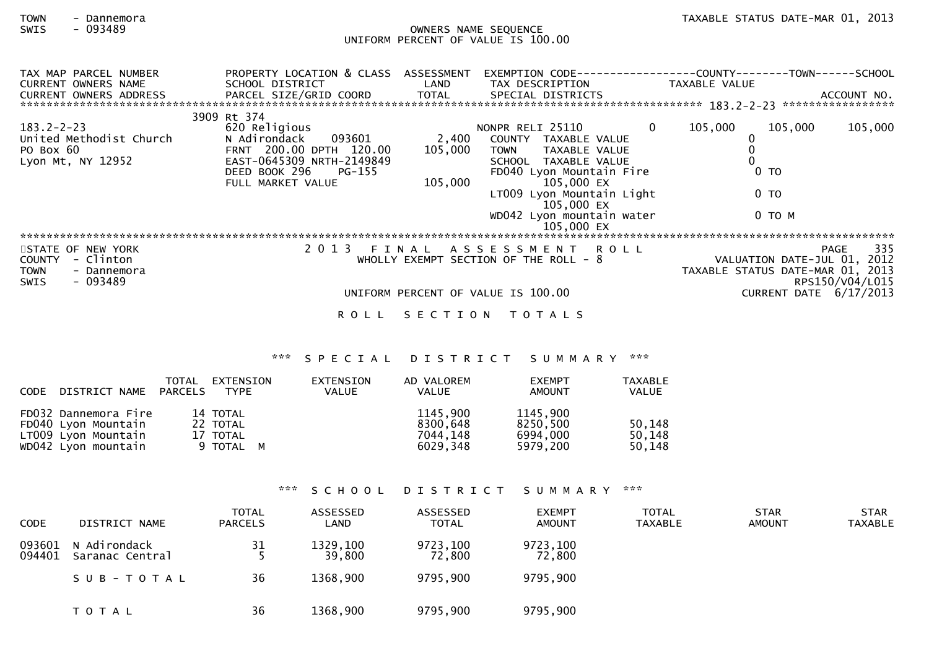## TOWN - Dannemora<br>SWIS - 093489 - 2013 - 2013 - 2013 - 2019 - 2018 - 2019 - 2019 - 2019 - 2013 - 2013<br>OWNERS NAME SEQUENCE SWIS - 093489 OWNERS NAME SEQUENCE UNIFORM PERCENT OF VALUE IS 100.00

| TAX MAP PARCEL NUMBER      | PROPERTY LOCATION & CLASS    | ASSESSMENT | EXEMPTION CODE---                      |              | -------------COUNTY--------TOWN------SCHOOL |                             |             |
|----------------------------|------------------------------|------------|----------------------------------------|--------------|---------------------------------------------|-----------------------------|-------------|
| <b>CURRENT OWNERS NAME</b> | SCHOOL DISTRICT              | LAND       | TAX DESCRIPTION                        |              | TAXABLE VALUE                               |                             |             |
| CURRENT OWNERS ADDRESS     | PARCEL SIZE/GRID COORD TOTAL |            | SPECIAL DISTRICTS                      |              |                                             |                             | ACCOUNT NO. |
|                            |                              |            |                                        |              |                                             |                             |             |
|                            | 3909 Rt 374                  |            |                                        |              |                                             |                             |             |
| $183.2 - 2 - 23$           | 620 Religious                |            | NONPR RELI 25110                       | $\mathbf{0}$ | 105,000                                     | 105,000                     | 105,000     |
| United Methodist Church    | N Adirondack<br>093601       | 2,400      | COUNTY TAXABLE VALUE                   |              |                                             |                             |             |
| PO Box 60                  | FRNT 200.00 DPTH 120.00      | 105,000    | TAXABLE VALUE<br><b>TOWN</b>           |              |                                             |                             |             |
| Lyon Mt, NY 12952          | EAST-0645309 NRTH-2149849    |            | SCHOOL TAXABLE VALUE                   |              |                                             |                             |             |
|                            | DEED BOOK 296<br>PG-155      |            | FD040 Lyon Mountain Fire               |              | 0 <sub>T</sub>                              |                             |             |
|                            | FULL MARKET VALUE            | 105,000    | 105,000 EX                             |              |                                             |                             |             |
|                            |                              |            | LT009 Lyon Mountain Light              |              | 0 <sub>T</sub>                              |                             |             |
|                            |                              |            | 105,000 EX                             |              |                                             |                             |             |
|                            |                              |            | WD042 Lyon mountain water              |              |                                             | 0 TO M                      |             |
|                            |                              |            | 105,000 EX                             |              |                                             |                             |             |
|                            |                              |            |                                        |              |                                             |                             |             |
| STATE OF NEW YORK          | 2 0 1 3                      | FINAL      | ASSESSMENT ROLL                        |              |                                             | PAGE                        | 335         |
| - Clinton<br><b>COUNTY</b> |                              |            | WHOLLY EXEMPT SECTION OF THE ROLL $-8$ |              |                                             | VALUATION DATE-JUL 01, 2012 |             |
|                            |                              |            |                                        |              | TAXABLE STATUS DATE-MAR 01, 2013            |                             |             |
| TOWN<br>- Dannemora        |                              |            |                                        |              |                                             |                             |             |
| - 093489<br><b>SWIS</b>    |                              |            |                                        |              |                                             | RPS150/V04/L015             |             |
|                            |                              |            | UNIFORM PERCENT OF VALUE IS 100.00     |              |                                             | CURRENT DATE $6/17/2013$    |             |
|                            | R O L L                      |            | SECTION TOTALS                         |              |                                             |                             |             |

### \*\*\* S P E C I A L D I S T R I C T S U M M A R Y \*\*\*

| CODE DISTRICT NAME PARCELS                                                                | TOTAL | EXTENSION<br><b>TYPE</b>                      | EXTENSION<br>VALUE | AD VALOREM<br>VALUE                          | <b>EXEMPT</b><br>AMOUNT                      | <b>TAXABLE</b><br><b>VALUE</b> |
|-------------------------------------------------------------------------------------------|-------|-----------------------------------------------|--------------------|----------------------------------------------|----------------------------------------------|--------------------------------|
| FD032 Dannemora Fire<br>FD040 Lyon Mountain<br>LT009 Lyon Mountain<br>WD042 Lyon mountain |       | 14 TOTAL<br>22 TOTAL<br>17 TOTAL<br>9 TOTAL M |                    | 1145,900<br>8300,648<br>7044.148<br>6029.348 | 1145,900<br>8250,500<br>6994,000<br>5979.200 | 50,148<br>50,148<br>50,148     |

\*\*\* S C H O O L D I S T R I C T S U M M A R Y \*\*\*

| <b>CODE</b>      | DISTRICT NAME                   | <b>TOTAL</b><br><b>PARCELS</b> | ASSESSED<br>LAND   | ASSESSED<br>TOTAL  | <b>EXEMPT</b><br><b>AMOUNT</b> | <b>TOTAL</b><br><b>TAXABLE</b> | <b>STAR</b><br><b>AMOUNT</b> | <b>STAR</b><br><b>TAXABLE</b> |
|------------------|---------------------------------|--------------------------------|--------------------|--------------------|--------------------------------|--------------------------------|------------------------------|-------------------------------|
| 093601<br>094401 | N Adirondack<br>Saranac Central | 31                             | 1329,100<br>39,800 | 9723,100<br>72,800 | 9723,100<br>72,800             |                                |                              |                               |
|                  | SUB-TOTAL                       | 36                             | 1368,900           | 9795,900           | 9795,900                       |                                |                              |                               |
|                  | T O T A L                       | 36                             | 1368,900           | 9795,900           | 9795,900                       |                                |                              |                               |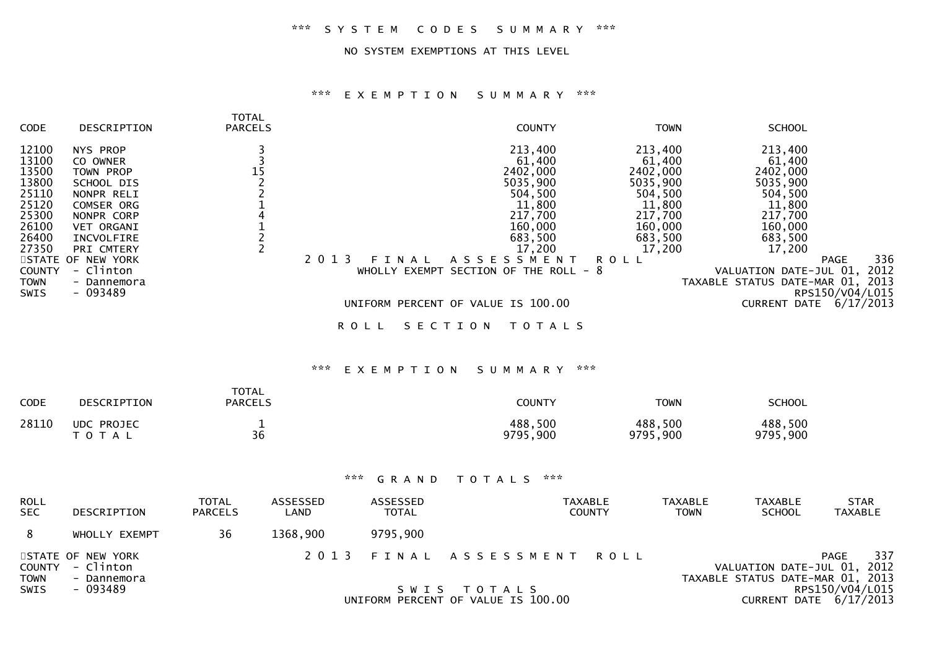### NO SYSTEM EXEMPTIONS AT THIS LEVEL

| <b>CODE</b>                                                                                             | DESCRIPTION                                                                                                                                                           | <b>TOTAL</b><br><b>PARCELS</b>                                               |                          | <b>COUNTY</b>                                                                                                                                                  | <b>TOWN</b>                                                                                                                   | <b>SCHOOL</b>                                                                                                                       |                                        |  |  |  |
|---------------------------------------------------------------------------------------------------------|-----------------------------------------------------------------------------------------------------------------------------------------------------------------------|------------------------------------------------------------------------------|--------------------------|----------------------------------------------------------------------------------------------------------------------------------------------------------------|-------------------------------------------------------------------------------------------------------------------------------|-------------------------------------------------------------------------------------------------------------------------------------|----------------------------------------|--|--|--|
| 12100<br>13100<br>13500<br>13800<br>25110<br>25120<br>25300<br>26100<br>26400<br>27350<br><b>COUNTY</b> | NYS PROP<br>CO OWNER<br>TOWN PROP<br>SCHOOL DIS<br>NONPR RELI<br>COMSER ORG<br>NONPR CORP<br>VET ORGANI<br>INCVOLFIRE<br>PRI CMTERY<br>STATE OF NEW YORK<br>- Clinton | 3<br>$\overline{3}$<br>$15$<br>$2$<br>$2$<br>$1$<br>$4$<br>$1$<br>$2$<br>$2$ | 2 0 1 3<br>FINAL         | 213,400<br>61,400<br>2402,000<br>5035,900<br>504,500<br>11,800<br>217,700<br>160,000<br>683,500<br>17,200<br>ASSESSMENT<br>WHOLLY EXEMPT SECTION OF THE ROLL - | 213,400<br>61,400<br>2402,000<br>5035,900<br>504,500<br>11,800<br>217,700<br>160,000<br>683,500<br>17,200<br><b>ROLL</b><br>8 | 213,400<br>61,400<br>2402,000<br>5035,900<br>504,500<br>11,800<br>217,700<br>160,000<br>683,500<br>17,200<br>VALUATION DATE-JUL 01, | 336<br><b>PAGE</b><br>2012             |  |  |  |
| <b>TOWN</b><br>SWIS                                                                                     | - Dannemora<br>$-093489$                                                                                                                                              |                                                                              |                          |                                                                                                                                                                |                                                                                                                               | TAXABLE STATUS DATE-MAR 01, 2013                                                                                                    | RPS150/V04/L015                        |  |  |  |
|                                                                                                         |                                                                                                                                                                       |                                                                              |                          | UNIFORM PERCENT OF VALUE IS 100.00                                                                                                                             |                                                                                                                               | CURRENT DATE 6/17/2013                                                                                                              |                                        |  |  |  |
|                                                                                                         |                                                                                                                                                                       |                                                                              | <b>ROLL</b>              | SECTION<br><b>TOTALS</b>                                                                                                                                       |                                                                                                                               |                                                                                                                                     |                                        |  |  |  |
|                                                                                                         | ***<br>***<br>EXEMPTION<br>SUMMARY                                                                                                                                    |                                                                              |                          |                                                                                                                                                                |                                                                                                                               |                                                                                                                                     |                                        |  |  |  |
| CODE                                                                                                    | DESCRIPTION                                                                                                                                                           | <b>TOTAL</b><br><b>PARCELS</b>                                               |                          | <b>COUNTY</b>                                                                                                                                                  | <b>TOWN</b>                                                                                                                   | <b>SCHOOL</b>                                                                                                                       |                                        |  |  |  |
| 28110                                                                                                   | <b>UDC PROJEC</b><br>TOTAL                                                                                                                                            | $\mathbf{1}$<br>36                                                           |                          | 488,500<br>9795,900                                                                                                                                            | 488,500<br>9795,900                                                                                                           | 488,500<br>9795,900                                                                                                                 |                                        |  |  |  |
|                                                                                                         |                                                                                                                                                                       |                                                                              |                          |                                                                                                                                                                |                                                                                                                               |                                                                                                                                     |                                        |  |  |  |
|                                                                                                         |                                                                                                                                                                       |                                                                              | $* * *$<br>GRAND         | $\pi \times \pi$<br>TOTALS                                                                                                                                     |                                                                                                                               |                                                                                                                                     |                                        |  |  |  |
| <b>ROLL</b><br><b>SEC</b>                                                                               | DESCRIPTION                                                                                                                                                           | <b>TOTAL</b><br>ASSESSED<br>LAND<br><b>PARCELS</b>                           | ASSESSED<br><b>TOTAL</b> | <b>TAXABLE</b><br><b>COUNTY</b>                                                                                                                                | <b>TAXABLE</b><br><b>TOWN</b>                                                                                                 | <b>TAXABLE</b><br><b>SCHOOL</b>                                                                                                     | <b>STAR</b><br><b>TAXABLE</b>          |  |  |  |
| 8                                                                                                       | WHOLLY EXEMPT                                                                                                                                                         | 36<br>1368,900                                                               | 9795,900                 |                                                                                                                                                                |                                                                                                                               |                                                                                                                                     |                                        |  |  |  |
| <b>COUNTY</b><br><b>TOWN</b><br>SWIS                                                                    | STATE OF NEW YORK<br>- Clinton<br>- Dannemora<br>$-093489$                                                                                                            |                                                                              | 2013<br>FINAL<br>SWIS    | A S S E S S M E N T<br>T O T A L S<br>UNIFORM PERCENT OF VALUE IS 100.00                                                                                       | <b>ROLL</b>                                                                                                                   | VALUATION DATE-JUL 01, 2012<br>TAXABLE STATUS DATE-MAR 01,<br>CURRENT DATE 6/17/2013                                                | 337<br>PAGE<br>2013<br>RPS150/V04/L015 |  |  |  |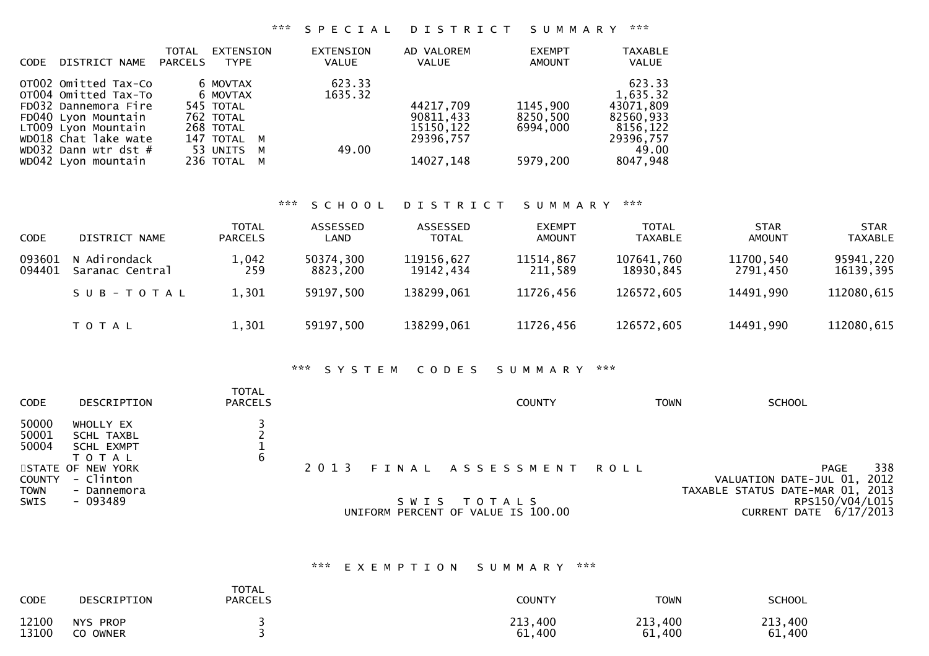| DISTRICT NAME<br><b>CODE</b>                                                                                                                                                                | <b>TOTAL</b><br>EXTENSION<br>PARCELS<br><b>TYPE</b>                                                     | <b>EXTENSION</b><br><b>VALUE</b> | AD VALOREM<br>VALUE                                            | <b>EXEMPT</b><br>AMOUNT                      | <b>TAXABLE</b><br>VALUE                                                                    |
|---------------------------------------------------------------------------------------------------------------------------------------------------------------------------------------------|---------------------------------------------------------------------------------------------------------|----------------------------------|----------------------------------------------------------------|----------------------------------------------|--------------------------------------------------------------------------------------------|
| OTO02 Omitted Tax-Co<br>OT004 Omitted Tax-To<br>FD032 Dannemora Fire<br>FD040 Lyon Mountain<br>LT009 Lvon Mountain<br>WD018 Chat lake wate<br>WD032 Dann wtr dst $#$<br>WD042 Lyon mountain | 6 MOVTAX<br>6 MOVTAX<br>545 TOTAL<br>762 TOTAL<br>268 TOTAL<br>147 TOTAL M<br>53 UNITS M<br>236 TOTAL M | 623.33<br>1635.32<br>49.00       | 44217,709<br>90811.433<br>15150, 122<br>29396,757<br>14027,148 | 1145,900<br>8250,500<br>6994.000<br>5979,200 | 623.33<br>1,635.32<br>43071,809<br>82560,933<br>8156,122<br>29396,757<br>49.00<br>8047,948 |

### \*\*\* S C H O O L D I S T R I C T S U M M A R Y \*\*\*

| <b>CODE</b>      | DISTRICT NAME                   | <b>TOTAL</b><br><b>PARCELS</b> | ASSESSED<br>LAND      | ASSESSED<br><b>TOTAL</b> | <b>EXEMPT</b><br><b>AMOUNT</b> | <b>TOTAL</b><br><b>TAXABLE</b> | <b>STAR</b><br><b>AMOUNT</b> | <b>STAR</b><br><b>TAXABLE</b> |
|------------------|---------------------------------|--------------------------------|-----------------------|--------------------------|--------------------------------|--------------------------------|------------------------------|-------------------------------|
| 093601<br>094401 | N Adirondack<br>Saranac Central | 1,042<br>259                   | 50374,300<br>8823,200 | 119156,627<br>19142,434  | 11514,867<br>211,589           | 107641,760<br>18930,845        | 11700,540<br>2791.450        | 95941,220<br>16139,395        |
|                  | SUB-TOTAL                       | 1,301                          | 59197,500             | 138299,061               | 11726,456                      | 126572,605                     | 14491,990                    | 112080,615                    |
|                  | T O T A L                       | 1,301                          | 59197,500             | 138299,061               | 11726,456                      | 126572,605                     | 14491,990                    | 112080,615                    |

### \*\*\* S Y S T E M C O D E S S U M M A R Y \*\*\*

| <b>CODE</b>                  | DESCRIPTION                                               | <b>TOTAL</b><br><b>PARCELS</b> |         | <b>COUNTY</b>                                     | <b>TOWN</b> | <b>SCHOOL</b>                                                                         |
|------------------------------|-----------------------------------------------------------|--------------------------------|---------|---------------------------------------------------|-------------|---------------------------------------------------------------------------------------|
| 50000<br>50001<br>50004      | WHOLLY EX<br>SCHL TAXBL<br><b>SCHL EXMPT</b><br>T O T A L | 6                              |         |                                                   |             |                                                                                       |
| <b>COUNTY</b><br><b>TOWN</b> | STATE OF NEW YORK<br>- Clinton<br>- Dannemora             |                                | 2 0 1 3 | FINAL ASSESSMENT                                  | ROLL        | 338<br><b>PAGE</b><br>VALUATION DATE-JUL 01, 2012<br>TAXABLE STATUS DATE-MAR 01, 2013 |
| <b>SWIS</b>                  | - 093489                                                  |                                | S W I S | T O T A L S<br>UNIFORM PERCENT OF VALUE IS 100.00 |             | RPS150/V04/L015<br>CURRENT DATE 6/17/2013                                             |

| <b>CODE</b>    | DESCRIPTION                           | TOTAL<br><b>PARCELS</b> | <b>COUNTY</b>     | <b>TOWN</b>       | <b>SCHOOL</b>         |
|----------------|---------------------------------------|-------------------------|-------------------|-------------------|-----------------------|
| 12100<br>13100 | <b>NYS</b><br><b>PROP</b><br>CO OWNER |                         | 213,400<br>61,400 | 213,400<br>61,400 | ,400<br>213<br>61,400 |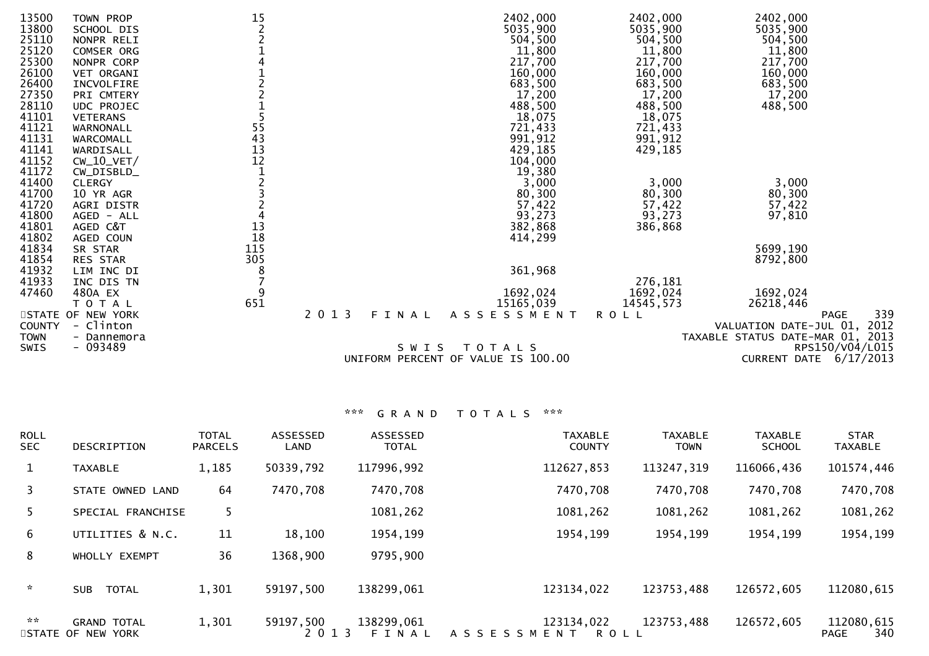| 13500<br>13800<br>25110<br>25120<br>25300<br>26100<br>26400<br>27350<br>28110<br>41101<br>41121<br>41131<br>41141<br>41152 | TOWN PROP<br>SCHOOL DIS<br>NONPR RELI<br><b>COMSER ORG</b><br>NONPR CORP<br><b>VET ORGANI</b><br>INCVOLFIRE<br>PRI CMTERY<br><b>UDC PROJEC</b><br><b>VETERANS</b><br>WARNONALL<br>WARCOMALL<br>WARDISALL<br>$CW_10_VET/$ | 15<br>55<br>43<br>$\frac{13}{12}$ |                  | 2402,000<br>5035,900<br>504,500<br>11,800<br>217,700<br>160,000<br>683,500<br>17,200<br>488,500<br>18,075<br>721,433<br>991,912<br>429,185<br>104,000 | 2402,000<br>5035,900<br>504,500<br>11,800<br>217,700<br>160,000<br>683,500<br>17,200<br>488,500<br>18,075<br>721,433<br>991,912<br>429,185 | 2402,000<br>5035,900<br>504,500<br>11,800<br>217,700<br>160,000<br>683,500<br>17,200<br>488,500 |
|----------------------------------------------------------------------------------------------------------------------------|--------------------------------------------------------------------------------------------------------------------------------------------------------------------------------------------------------------------------|-----------------------------------|------------------|-------------------------------------------------------------------------------------------------------------------------------------------------------|--------------------------------------------------------------------------------------------------------------------------------------------|-------------------------------------------------------------------------------------------------|
| 41172                                                                                                                      | CW_DISBLD_                                                                                                                                                                                                               |                                   |                  | 19,380                                                                                                                                                |                                                                                                                                            |                                                                                                 |
| 41400                                                                                                                      | <b>CLERGY</b>                                                                                                                                                                                                            |                                   |                  | 3,000                                                                                                                                                 | 3,000                                                                                                                                      | 3,000                                                                                           |
| 41700                                                                                                                      | 10 YR AGR                                                                                                                                                                                                                |                                   |                  | 80,300                                                                                                                                                | 80,300                                                                                                                                     | 80,300                                                                                          |
| 41720                                                                                                                      | AGRI DISTR                                                                                                                                                                                                               |                                   |                  | 57,422                                                                                                                                                | 57,422                                                                                                                                     | 57,422                                                                                          |
| 41800                                                                                                                      | AGED - ALL                                                                                                                                                                                                               |                                   |                  | 93,273                                                                                                                                                | 93,273                                                                                                                                     | 97,810                                                                                          |
| 41801                                                                                                                      | AGED C&T                                                                                                                                                                                                                 | 13                                |                  | 382,868                                                                                                                                               | 386,868                                                                                                                                    |                                                                                                 |
| 41802                                                                                                                      | AGED COUN                                                                                                                                                                                                                | 18                                |                  | 414,299                                                                                                                                               |                                                                                                                                            |                                                                                                 |
| 41834                                                                                                                      | SR STAR                                                                                                                                                                                                                  | 115<br>305                        |                  |                                                                                                                                                       |                                                                                                                                            | 5699,190                                                                                        |
| 41854<br>41932                                                                                                             | RES STAR<br>LIM INC DI                                                                                                                                                                                                   | 8                                 |                  | 361,968                                                                                                                                               |                                                                                                                                            | 8792,800                                                                                        |
| 41933                                                                                                                      | INC DIS TN                                                                                                                                                                                                               |                                   |                  |                                                                                                                                                       | 276,181                                                                                                                                    |                                                                                                 |
| 47460                                                                                                                      | 480A EX                                                                                                                                                                                                                  | 9                                 |                  | 1692,024                                                                                                                                              | 1692,024                                                                                                                                   | 1692,024                                                                                        |
|                                                                                                                            | T O T A L                                                                                                                                                                                                                | 651                               |                  | 15165,039                                                                                                                                             | 14545,573                                                                                                                                  | 26218,446                                                                                       |
|                                                                                                                            | STATE OF NEW YORK                                                                                                                                                                                                        |                                   | 2 0 1 3<br>FINAL | A S S E S S M E N T                                                                                                                                   | <b>ROLL</b>                                                                                                                                | 339<br><b>PAGE</b>                                                                              |
| <b>COUNTY</b>                                                                                                              | - Clinton                                                                                                                                                                                                                |                                   |                  |                                                                                                                                                       |                                                                                                                                            | VALUATION DATE-JUL 01, 2012                                                                     |
| <b>TOWN</b>                                                                                                                | - Dannemora                                                                                                                                                                                                              |                                   |                  |                                                                                                                                                       |                                                                                                                                            | TAXABLE STATUS DATE-MAR 01, 2013                                                                |
| SWIS                                                                                                                       | $-093489$                                                                                                                                                                                                                |                                   | SWIS             | T O T A L S<br>UNIFORM PERCENT OF VALUE IS 100.00                                                                                                     |                                                                                                                                            | RPS150/V04/L015<br>CURRENT DATE 6/17/2013                                                       |
|                                                                                                                            |                                                                                                                                                                                                                          |                                   |                  |                                                                                                                                                       |                                                                                                                                            |                                                                                                 |

| <b>ROLL</b><br><b>SEC</b> | <b>DESCRIPTION</b>                      | <b>TOTAL</b><br><b>PARCELS</b> | ASSESSED<br>LAND     | ASSESSED<br><b>TOTAL</b> | <b>TAXABLE</b><br><b>COUNTY</b>           | <b>TAXABLE</b><br><b>TOWN</b> | <b>TAXABLE</b><br><b>SCHOOL</b> | <b>STAR</b><br><b>TAXABLE</b>    |
|---------------------------|-----------------------------------------|--------------------------------|----------------------|--------------------------|-------------------------------------------|-------------------------------|---------------------------------|----------------------------------|
| $\mathbf{1}$              | <b>TAXABLE</b>                          | 1,185                          | 50339,792            | 117996,992               | 112627,853                                | 113247,319                    | 116066,436                      | 101574,446                       |
| 3                         | STATE OWNED LAND                        | 64                             | 7470,708             | 7470,708                 | 7470,708                                  | 7470,708                      | 7470,708                        | 7470,708                         |
| 5.                        | SPECIAL FRANCHISE                       | 5.                             |                      | 1081,262                 | 1081,262                                  | 1081,262                      | 1081,262                        | 1081,262                         |
| 6                         | UTILITIES & N.C.                        | 11                             | 18,100               | 1954, 199                | 1954, 199                                 | 1954, 199                     | 1954, 199                       | 1954, 199                        |
| 8                         | WHOLLY EXEMPT                           | 36                             | 1368,900             | 9795,900                 |                                           |                               |                                 |                                  |
| $\sim$                    | <b>SUB</b><br><b>TOTAL</b>              | 1,301                          | 59197,500            | 138299,061               | 123134,022                                | 123753,488                    | 126572,605                      | 112080,615                       |
| $\mathbf{x} \times$       | <b>GRAND TOTAL</b><br>STATE OF NEW YORK | 1,301                          | 59197,500<br>2 0 1 3 | 138299,061<br>FINAL      | 123134,022<br>A S S E S S M E N T<br>ROLL | 123753,488                    | 126572,605                      | 112080,615<br>340<br><b>PAGE</b> |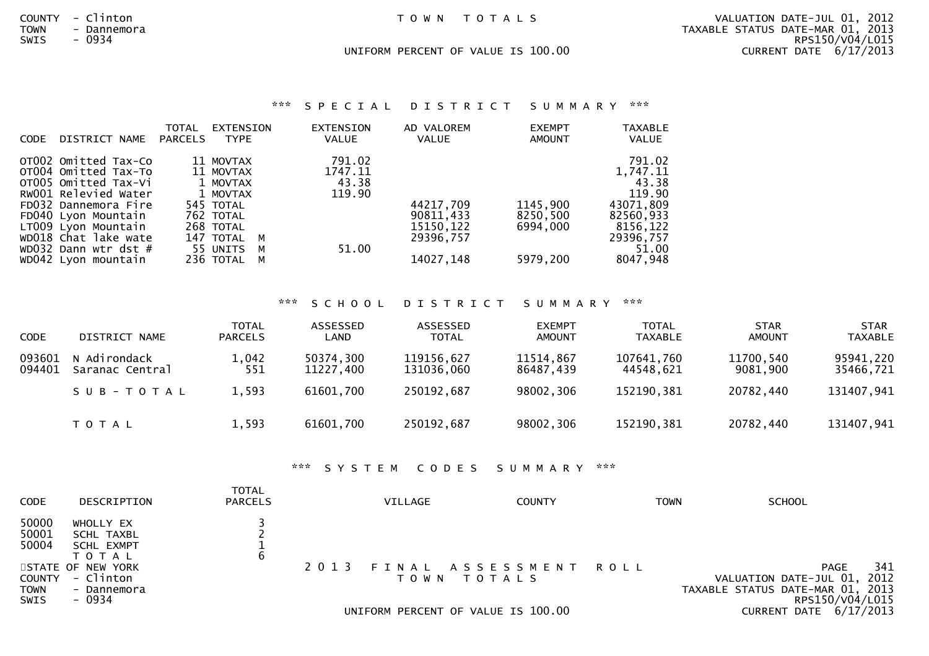COUNTY - Clinton T O W N T O T A L S VALUATION DATE-JUL 01, 2012 TOWN - Dannemora TAXABLE STATUS DATE-MAR 01, 2013RPS150/V04/L015 8WIS - 0934<br>RPS150/V04/L015 - محدد 190.00 RPS150/V04/L015 - محدد المستخدم المستخدم المستخدم المستخدم المستخدم المستخدم المستخدم المستخدم المستخدم المستخدم المستخدم المستخدم المستخدم المستخدم المستخدم المستخدم المستخدم الم CURRENT DATE  $6/17/2013$ UNIFORM PERCENT OF VALUE IS 100.00 CURRENT DATE 6/17/2013

### \*\*\* S P E C I A L D I S T R I C T S U M M A R Y \*\*\*

| DISTRICT NAME<br><b>CODE</b> | TOTAL<br>PARCELS | EXTENSION<br><b>TYPE</b> | <b>EXTENSION</b><br><b>VALUE</b> | AD VALOREM<br>VALUE | <b>EXEMPT</b><br>AMOUNT | <b>TAXABLE</b><br>VALUE |
|------------------------------|------------------|--------------------------|----------------------------------|---------------------|-------------------------|-------------------------|
| OT002 Omitted Tax-Co         |                  | 11 MOVTAX                | 791.02                           |                     |                         | 791.02                  |
| OT004 Omitted Tax-To         |                  | 11 MOVTAX                | 1747.11                          |                     |                         | 1,747.11                |
| OTO05 Omitted Tax-Vi         |                  | 1 MOVTAX                 | 43.38                            |                     |                         | 43.38                   |
| RW001 Relevied Water         |                  | 1 MOVTAX                 | 119.90                           |                     |                         | 119.90                  |
| FD032 Dannemora Fire         |                  | 545 TOTAL                |                                  | 44217,709           | 1145,900                | 43071,809               |
| FD040 Lyon Mountain          |                  | 762 TOTAL                |                                  | 90811,433           | 8250,500                | 82560,933               |
| LT009 Lvon Mountain          |                  | 268 TOTAL                |                                  | 15150,122           | 6994.000                | 8156,122                |
| WD018 Chat lake wate         |                  | 147 TOTAL M              |                                  | 29396.757           |                         | 29396,757               |
| WD032 Dann wtr dst $#$       |                  | 55 UNITS M               | 51.00                            |                     |                         | 51.00                   |
| WD042 Lyon mountain          |                  | 236 TOTAL M              |                                  | 14027, 148          | 5979,200                | 8047,948                |

### \*\*\* S C H O O L D I S T R I C T S U M M A R Y \*\*\*

| <b>CODE</b>      | DISTRICT NAME                   | <b>TOTAL</b><br><b>PARCELS</b> | ASSESSED<br><b>LAND</b> | ASSESSED<br><b>TOTAL</b> | <b>EXEMPT</b><br><b>AMOUNT</b> | <b>TOTAL</b><br><b>TAXABLE</b> | <b>STAR</b><br><b>AMOUNT</b> | <b>STAR</b><br><b>TAXABLE</b> |
|------------------|---------------------------------|--------------------------------|-------------------------|--------------------------|--------------------------------|--------------------------------|------------------------------|-------------------------------|
| 093601<br>094401 | N Adirondack<br>Saranac Central | 1,042<br>551                   | 50374,300<br>11227,400  | 119156,627<br>131036,060 | 11514,867<br>86487,439         | 107641,760<br>44548.621        | 11700,540<br>9081,900        | 95941,220<br>35466,721        |
|                  | SUB-TOTAL                       | 1,593                          | 61601,700               | 250192,687               | 98002,306                      | 152190,381                     | 20782,440                    | 131407,941                    |
|                  | T O T A L                       | 1,593                          | 61601,700               | 250192,687               | 98002,306                      | 152190,381                     | 20782,440                    | 131407,941                    |

### \*\*\* S Y S T E M C O D E S S U M M A R Y \*\*\*

| <b>CODE</b>                   | DESCRIPTION                                             | TOTAL<br><b>PARCELS</b> | VILLAGE | <b>COUNTY</b>                                                              | <b>TOWN</b> | <b>SCHOOL</b>                                                                                                               |
|-------------------------------|---------------------------------------------------------|-------------------------|---------|----------------------------------------------------------------------------|-------------|-----------------------------------------------------------------------------------------------------------------------------|
| 50000<br>50001<br>50004       | WHOLLY EX<br>SCHL TAXBL<br>SCHL EXMPT<br>T O T A L      | b                       |         |                                                                            |             |                                                                                                                             |
| COUNTY<br><b>TOWN</b><br>SWIS | STATE OF NEW YORK<br>- Clinton<br>- Dannemora<br>- 0934 |                         | 2013    | FINAL ASSESSMENT ROLL<br>TOWN TOTALS<br>UNIFORM PERCENT OF VALUE IS 100.00 |             | 341<br>PAGE<br>VALUATION DATE-JUL 01, 2012<br>TAXABLE STATUS DATE-MAR 01, 2013<br>RPS150/V04/L015<br>CURRENT DATE 6/17/2013 |
|                               |                                                         |                         |         |                                                                            |             |                                                                                                                             |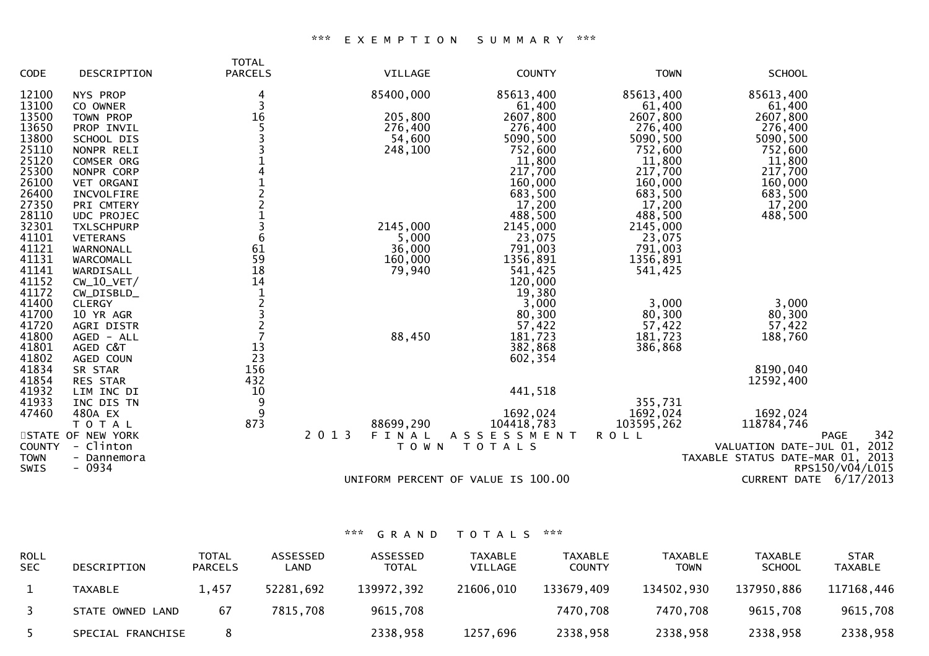### \*\*\* E X E M P T I O N S U M M A R Y \*\*\*

|               |                   | <b>TOTAL</b>    |                                    |               |             |                                  |
|---------------|-------------------|-----------------|------------------------------------|---------------|-------------|----------------------------------|
| CODE          | DESCRIPTION       | <b>PARCELS</b>  | VILLAGE                            | <b>COUNTY</b> | <b>TOWN</b> | <b>SCHOOL</b>                    |
| 12100         | NYS PROP          | 4               | 85400,000                          | 85613,400     | 85613,400   | 85613,400                        |
| 13100         | CO OWNER          | 3               |                                    | 61,400        | 61,400      | 61,400                           |
| 13500         | TOWN PROP         | 16              | 205,800                            | 2607,800      | 2607,800    | 2607,800                         |
| 13650         | PROP INVIL        |                 | 276,400                            | 276,400       | 276,400     | 276,400                          |
| 13800         | SCHOOL DIS        |                 | 54,600                             | 5090,500      | 5090,500    | 5090,500                         |
| 25110         | NONPR RELI        |                 | 248,100                            | 752,600       | 752,600     | 752,600                          |
| 25120         | COMSER ORG        |                 |                                    | 11,800        | 11,800      | 11,800                           |
| 25300         | NONPR CORP        |                 |                                    | 217,700       | 217,700     | 217,700                          |
| 26100         | VET ORGANI        |                 |                                    | 160,000       | 160,000     | 160,000                          |
| 26400         | INCVOLFIRE        |                 |                                    | 683,500       | 683,500     | 683,500                          |
| 27350         | PRI CMTERY        |                 |                                    | 17,200        | 17,200      | 17,200                           |
| 28110         | UDC PROJEC        |                 |                                    | 488,500       | 488,500     | 488,500                          |
| 32301         | <b>TXLSCHPURP</b> |                 | 2145,000                           | 2145,000      | 2145,000    |                                  |
| 41101         | <b>VETERANS</b>   | $6\phantom{1}6$ | 5,000                              | 23,075        | 23,075      |                                  |
| 41121         | WARNONALL         | 61              | 36,000                             | 791,003       | 791,003     |                                  |
| 41131         | WARCOMALL         | 59              | 160,000                            | 1356,891      | 1356,891    |                                  |
| 41141         | WARDISALL         | 18              | 79,940                             | 541,425       | 541,425     |                                  |
| 41152         | $CW_10_VET/$      | 14              |                                    | 120,000       |             |                                  |
| 41172         | CW_DISBLD_        | $\mathbf{1}$    |                                    | 19,380        |             |                                  |
| 41400         | <b>CLERGY</b>     | $\overline{c}$  |                                    | 3,000         | 3,000       | 3,000                            |
| 41700         | 10 YR AGR         |                 |                                    | 80,300        | 80,300      | 80,300                           |
| 41720         | AGRI DISTR        |                 |                                    | 57,422        | 57,422      | 57,422                           |
| 41800         | AGED - ALL        |                 | 88,450                             | 181,723       | 181,723     | 188,760                          |
| 41801         | AGED C&T          | 13              |                                    | 382,868       | 386,868     |                                  |
| 41802         | AGED COUN         | 23              |                                    | 602,354       |             |                                  |
| 41834         | SR STAR           | 156             |                                    |               |             | 8190,040                         |
| 41854         | RES STAR          | 432             |                                    |               |             | 12592,400                        |
| 41932         | LIM INC DI        | 10              |                                    | 441,518       |             |                                  |
| 41933         | INC DIS TN        | 9               |                                    |               | 355,731     |                                  |
| 47460         | 480A EX           | 9               |                                    | 1692,024      | 1692,024    | 1692,024                         |
|               | T O T A L         | 873             | 88699,290                          | 104418,783    | 103595,262  | 118784,746                       |
|               | STATE OF NEW YORK |                 | 2 0 1 3<br>FINAL                   | ASSESSMENT    | <b>ROLL</b> | 342<br><b>PAGE</b>               |
| <b>COUNTY</b> | - Clinton         |                 | T O W N                            | TOTALS        |             | VALUATION DATE-JUL 01, 2012      |
| <b>TOWN</b>   | - Dannemora       |                 |                                    |               |             | TAXABLE STATUS DATE-MAR 01, 2013 |
| <b>SWIS</b>   | $-0934$           |                 |                                    |               |             | RPS150/V04/L015                  |
|               |                   |                 | UNIFORM PERCENT OF VALUE IS 100.00 |               |             | CURRENT DATE 6/17/2013           |
|               |                   |                 |                                    |               |             |                                  |

| <b>ROLL</b><br><b>SEC</b> | DESCRIPTION       | TOTAL<br><b>PARCELS</b> | <b>ASSESSED</b><br>∟AND | <b>ASSESSED</b><br><b>TOTAL</b> | <b>TAXABLE</b><br>VILLAGE | <b>TAXABLE</b><br><b>COUNTY</b> | <b>TAXABLE</b><br><b>TOWN</b> | <b>TAXABLE</b><br><b>SCHOOL</b> | <b>STAR</b><br>TAXABLE |
|---------------------------|-------------------|-------------------------|-------------------------|---------------------------------|---------------------------|---------------------------------|-------------------------------|---------------------------------|------------------------|
|                           | TAXABLE           | 1.457                   | 52281,692               | 139972,392                      | 21606,010                 | 133679,409                      | 134502,930                    | 137950.886                      | 117168,446             |
|                           | STATE OWNED LAND  | 67                      | 7815,708                | 9615,708                        |                           | 7470,708                        | 7470,708                      | 9615,708                        | 9615,708               |
|                           | SPECIAL FRANCHISE |                         |                         | 2338,958                        | 1257,696                  | 2338,958                        | 2338,958                      | 2338,958                        | 2338,958               |